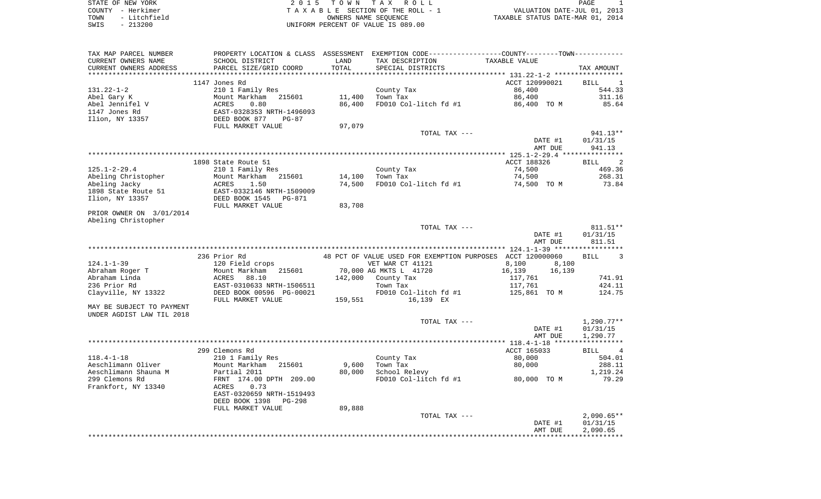| STATE OF NEW YORK     | TOWN TAX ROLL<br>2015              | PAGE                             |
|-----------------------|------------------------------------|----------------------------------|
| COUNTY - Herkimer     | TAXABLE SECTION OF THE ROLL - 1    | VALUATION DATE-JUL 01, 2013      |
| - Litchfield<br>TOWN  | OWNERS NAME SEOUENCE               | TAXABLE STATUS DATE-MAR 01, 2014 |
| 213200<br>SWIS<br>$-$ | UNIFORM PERCENT OF VALUE IS 089.00 |                                  |

| TAX MAP PARCEL NUMBER               | PROPERTY LOCATION & CLASS ASSESSMENT EXEMPTION CODE---------------COUNTY-------TOWN---------- |         |                                                            |                                    |                   |
|-------------------------------------|-----------------------------------------------------------------------------------------------|---------|------------------------------------------------------------|------------------------------------|-------------------|
| CURRENT OWNERS NAME                 | SCHOOL DISTRICT                                                                               | LAND    | TAX DESCRIPTION                                            | TAXABLE VALUE                      |                   |
| CURRENT OWNERS ADDRESS              | PARCEL SIZE/GRID COORD                                                                        | TOTAL   | SPECIAL DISTRICTS                                          |                                    | TAX AMOUNT        |
|                                     |                                                                                               |         |                                                            |                                    |                   |
|                                     | 1147 Jones Rd                                                                                 |         |                                                            | ACCT 120990021                     | BILL 1            |
| $131.22 - 1 - 2$                    | 210 1 Family Res                                                                              |         | County Tax                                                 | 86,400                             | 544.33            |
| Abel Gary K                         | Mount Markham<br>215601                                                                       | 11,400  | Town Tax                                                   | 86,400                             | 311.16            |
| Abel Jennifel V                     | ACRES<br>0.80                                                                                 | 86,400  | FD010 Col-litch fd #1                                      | 86,400 TO M                        | 85.64             |
| 1147 Jones Rd                       | EAST-0328353 NRTH-1496093                                                                     |         |                                                            |                                    |                   |
| Ilion, NY 13357                     | DEED BOOK 877<br>$PG-87$                                                                      |         |                                                            |                                    |                   |
|                                     | FULL MARKET VALUE                                                                             | 97,079  |                                                            |                                    |                   |
|                                     |                                                                                               |         | TOTAL TAX ---                                              |                                    | 941.13**          |
|                                     |                                                                                               |         |                                                            | DATE #1                            | 01/31/15          |
|                                     |                                                                                               |         |                                                            | AMT DUE                            | 941.13            |
|                                     |                                                                                               |         |                                                            |                                    |                   |
|                                     | 1898 State Route 51                                                                           |         |                                                            | ACCT 188326                        | BILL <sub>2</sub> |
| $125.1 - 2 - 29.4$                  | 210 1 Family Res                                                                              |         | County Tax                                                 | 74,500                             | 469.36            |
| Abeling Christopher                 | 215601<br>Mount Markham                                                                       | 14,100  | Town Tax                                                   | 74,500                             | 268.31            |
| Abeling Jacky                       | 1.50<br>ACRES                                                                                 | 74,500  | FD010 Col-litch fd #1                                      | 74,500 TO M                        | 73.84             |
| 1898 State Route 51                 | EAST-0332146 NRTH-1509009                                                                     |         |                                                            |                                    |                   |
| Ilion, NY 13357                     | DEED BOOK 1545<br>PG-871                                                                      |         |                                                            |                                    |                   |
|                                     | FULL MARKET VALUE                                                                             | 83,708  |                                                            |                                    |                   |
| PRIOR OWNER ON 3/01/2014            |                                                                                               |         |                                                            |                                    |                   |
| Abeling Christopher                 |                                                                                               |         |                                                            |                                    |                   |
|                                     |                                                                                               |         | TOTAL TAX ---                                              |                                    | 811.51**          |
|                                     |                                                                                               |         |                                                            | DATE #1                            | 01/31/15          |
|                                     |                                                                                               |         |                                                            | AMT DUE                            | 811.51            |
|                                     | 236 Prior Rd                                                                                  |         | 48 PCT OF VALUE USED FOR EXEMPTION PURPOSES ACCT 120000060 |                                    |                   |
|                                     |                                                                                               |         |                                                            |                                    | BILL<br>3         |
| $124.1 - 1 - 39$<br>Abraham Roger T | 120 Field crops                                                                               |         | VET WAR CT 41121<br>70,000 AG MKTS L 41720                 | 8,100<br>8,100<br>16,139<br>16,139 |                   |
| Abraham Linda                       | Mount Markham 215601                                                                          |         | 142,000 County Tax                                         |                                    | 741.91            |
| 236 Prior Rd                        | ACRES 88.10<br>EAST-0310633 NRTH-1506511                                                      |         | Town Tax                                                   | 117,761<br>117,761                 | 424.11            |
| Clayville, NY 13322                 | DEED BOOK 00596 PG-00021                                                                      |         | FD010 Col-litch fd #1                                      | 125,861   TO  M                    | 124.75            |
|                                     | FULL MARKET VALUE                                                                             | 159,551 | 16,139 EX                                                  |                                    |                   |
| MAY BE SUBJECT TO PAYMENT           |                                                                                               |         |                                                            |                                    |                   |
| UNDER AGDIST LAW TIL 2018           |                                                                                               |         |                                                            |                                    |                   |
|                                     |                                                                                               |         | TOTAL TAX ---                                              |                                    | $1,290.77**$      |
|                                     |                                                                                               |         |                                                            | DATE #1                            | 01/31/15          |
|                                     |                                                                                               |         |                                                            | AMT DUE                            | 1,290.77          |
|                                     |                                                                                               |         |                                                            |                                    |                   |
|                                     | 299 Clemons Rd                                                                                |         |                                                            | ACCT 165033                        | BILL 4            |
| $118.4 - 1 - 18$                    | 210 1 Family Res                                                                              |         | County Tax                                                 | 80,000                             | 504.01            |
| Aeschlimann Oliver                  | Mount Markham<br>215601                                                                       | 9,600   | Town Tax                                                   | 80,000                             | 288.11            |
| Aeschlimann Shauna M                | Partial 2011                                                                                  | 80,000  | School Relevy                                              |                                    | 1,219.24          |
| 299 Clemons Rd                      | FRNT 174.00 DPTH 209.00                                                                       |         | FD010 Col-litch fd #1                                      | 80,000 TO M                        | 79.29             |
| Frankfort, NY 13340                 | 0.73<br>ACRES                                                                                 |         |                                                            |                                    |                   |
|                                     | EAST-0320659 NRTH-1519493                                                                     |         |                                                            |                                    |                   |
|                                     | DEED BOOK 1398<br>$PG-298$                                                                    |         |                                                            |                                    |                   |
|                                     | FULL MARKET VALUE                                                                             | 89,888  |                                                            |                                    |                   |
|                                     |                                                                                               |         | TOTAL TAX ---                                              |                                    | $2,090.65**$      |
|                                     |                                                                                               |         |                                                            | DATE #1                            | 01/31/15          |
|                                     |                                                                                               |         |                                                            | AMT DUE                            | 2,090.65          |
|                                     |                                                                                               |         |                                                            |                                    |                   |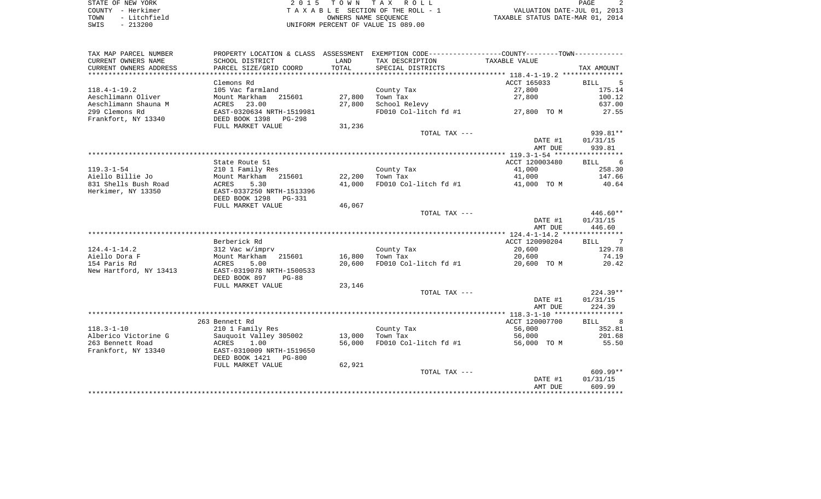STATE OF NEW YORK 2 0 1 5 T O W N T A X R O L L PAGE 2 COUNTY - Herkimer T A X A B L E SECTION OF THE ROLL - 1 VALUATION DATE-JUL 01, 2013 TOWN - Litchfield OWNERS NAME SEQUENCE TAXABLE STATUS DATE-MAR 01, 2014 SWIS - 213200 UNIFORM PERCENT OF VALUE IS 089.00

| TAX MAP PARCEL NUMBER                         | PROPERTY LOCATION & CLASS ASSESSMENT                  |               | EXEMPTION CODE----------------COUNTY-------TOWN----------- |                |                  |
|-----------------------------------------------|-------------------------------------------------------|---------------|------------------------------------------------------------|----------------|------------------|
| CURRENT OWNERS NAME<br>CURRENT OWNERS ADDRESS | SCHOOL DISTRICT<br>PARCEL SIZE/GRID COORD             | LAND<br>TOTAL | TAX DESCRIPTION<br>SPECIAL DISTRICTS                       | TAXABLE VALUE  | TAX AMOUNT       |
|                                               |                                                       |               |                                                            |                |                  |
|                                               | Clemons Rd                                            |               |                                                            | ACCT 165033    | <b>BILL</b><br>5 |
| $118.4 - 1 - 19.2$                            | 105 Vac farmland                                      |               | County Tax                                                 | 27,800         | 175.14           |
| Aeschlimann Oliver                            | Mount Markham<br>215601                               | 27,800        | Town Tax                                                   | 27,800         | 100.12           |
| Aeschlimann Shauna M                          | 23.00<br>ACRES                                        | 27,800        | School Relevy                                              |                | 637.00           |
| 299 Clemons Rd<br>Frankfort, NY 13340         | EAST-0320634 NRTH-1519981                             |               | FD010 Col-litch fd #1                                      | 27,800 TO M    | 27.55            |
|                                               | DEED BOOK 1398 PG-298<br>FULL MARKET VALUE            | 31,236        |                                                            |                |                  |
|                                               |                                                       |               | TOTAL TAX ---                                              |                | 939.81**         |
|                                               |                                                       |               |                                                            | DATE #1        | 01/31/15         |
|                                               |                                                       |               |                                                            | AMT DUE        | 939.81           |
|                                               |                                                       |               |                                                            |                |                  |
|                                               | State Route 51                                        |               |                                                            | ACCT 120003480 | 6<br><b>BILL</b> |
| $119.3 - 1 - 54$                              | 210 1 Family Res                                      |               | County Tax                                                 | 41,000         | 258.30           |
| Aiello Billie Jo                              | Mount Markham<br>215601                               | 22,200        | Town Tax                                                   | 41,000         | 147.66           |
| 831 Shells Bush Road                          | <b>ACRES</b><br>5.30                                  | 41,000        | FD010 Col-litch fd #1                                      | 41,000 TO M    | 40.64            |
| Herkimer, NY 13350                            | EAST-0337250 NRTH-1513396<br>DEED BOOK 1298<br>PG-331 |               |                                                            |                |                  |
|                                               | FULL MARKET VALUE                                     | 46,067        |                                                            |                |                  |
|                                               |                                                       |               | TOTAL TAX ---                                              |                | 446.60**         |
|                                               |                                                       |               |                                                            | DATE #1        | 01/31/15         |
|                                               |                                                       |               |                                                            | AMT DUE        | 446.60           |
|                                               |                                                       |               |                                                            |                |                  |
|                                               | Berberick Rd                                          |               |                                                            | ACCT 120090204 | BILL 7           |
| $124.4 - 1 - 14.2$                            | 312 Vac w/imprv                                       |               | County Tax                                                 | 20,600         | 129.78           |
| Aiello Dora F                                 | Mount Markham<br>215601                               | 16,800        | Town Tax                                                   | 20,600         | 74.19            |
| 154 Paris Rd                                  | 5.00<br><b>ACRES</b>                                  | 20,600        | FD010 Col-litch fd #1                                      | 20,600 TO M    | 20.42            |
| New Hartford, NY 13413                        | EAST-0319078 NRTH-1500533<br>DEED BOOK 897<br>$PG-88$ |               |                                                            |                |                  |
|                                               | FULL MARKET VALUE                                     | 23,146        |                                                            |                |                  |
|                                               |                                                       |               | TOTAL TAX ---                                              |                | 224.39**         |
|                                               |                                                       |               |                                                            | DATE #1        | 01/31/15         |
|                                               |                                                       |               |                                                            | AMT DUE        | 224.39           |
|                                               |                                                       |               |                                                            |                |                  |
|                                               | 263 Bennett Rd                                        |               |                                                            | ACCT 120007700 | 8<br><b>BILL</b> |
| $118.3 - 1 - 10$                              | 210 1 Family Res                                      |               | County Tax                                                 | 56,000         | 352.81           |
| Alberico Victorine G                          | Sauquoit Valley 305002                                | 13,000        | Town Tax                                                   | 56,000         | 201.68           |
| 263 Bennett Road                              | 1.00<br>ACRES                                         | 56,000        | FD010 Col-litch fd #1                                      | 56,000 TO M    | 55.50            |
| Frankfort, NY 13340                           | EAST-0310009 NRTH-1519650                             |               |                                                            |                |                  |
|                                               | DEED BOOK 1421<br>$PG-800$                            |               |                                                            |                |                  |
|                                               | FULL MARKET VALUE                                     | 62,921        |                                                            |                |                  |
|                                               |                                                       |               | TOTAL TAX ---                                              |                | $609.99**$       |
|                                               |                                                       |               |                                                            | DATE #1        | 01/31/15         |
|                                               |                                                       |               |                                                            | AMT DUE        | 609.99           |
|                                               |                                                       |               |                                                            |                |                  |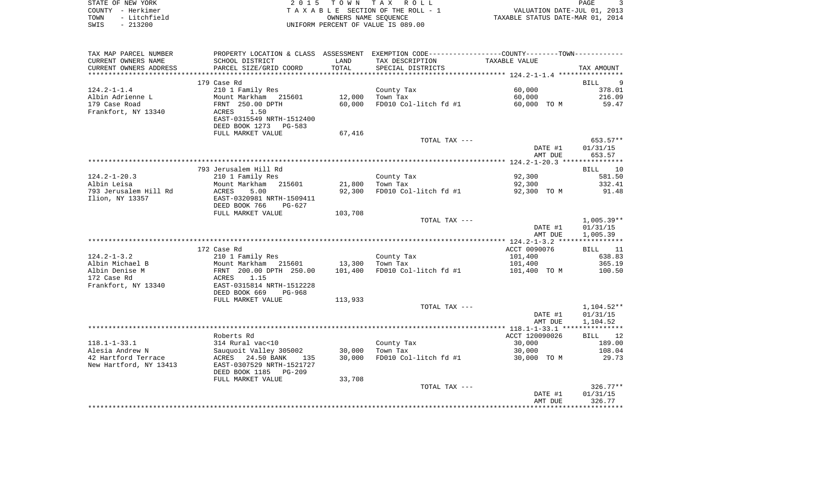|      | STATE OF NEW YORK | 2015 TOWN TAX ROLL                    | PAGE                             |  |
|------|-------------------|---------------------------------------|----------------------------------|--|
|      | COUNTY - Herkimer | T A X A B L E SECTION OF THE ROLL - 1 | VALUATION DATE-JUL 01, 2013      |  |
| TOWN | - Litchfield      | OWNERS NAME SEOUENCE                  | TAXABLE STATUS DATE-MAR 01, 2014 |  |
| SWIS | $-213200$         | UNIFORM PERCENT OF VALUE IS 089.00    |                                  |  |

| TAX MAP PARCEL NUMBER   | PROPERTY LOCATION & CLASS ASSESSMENT EXEMPTION CODE----------------COUNTY-------TOWN----------- |         |                       |                |              |
|-------------------------|-------------------------------------------------------------------------------------------------|---------|-----------------------|----------------|--------------|
| CURRENT OWNERS NAME     | SCHOOL DISTRICT                                                                                 | LAND    | TAX DESCRIPTION       | TAXABLE VALUE  |              |
| CURRENT OWNERS ADDRESS  | PARCEL SIZE/GRID COORD                                                                          | TOTAL   | SPECIAL DISTRICTS     |                | TAX AMOUNT   |
| *********************** |                                                                                                 |         |                       |                |              |
|                         | 179 Case Rd                                                                                     |         |                       |                | 9<br>BILL    |
| $124.2 - 1 - 1.4$       | 210 1 Family Res                                                                                |         | County Tax            | 60,000         | 378.01       |
| Albin Adrienne L        | Mount Markham 215601                                                                            | 12,000  | Town Tax              | 60,000         | 216.09       |
| 179 Case Road           | FRNT 250.00 DPTH                                                                                | 60,000  | FD010 Col-litch fd #1 | 60,000 TO M    | 59.47        |
| Frankfort, NY 13340     | 1.50<br>ACRES                                                                                   |         |                       |                |              |
|                         | EAST-0315549 NRTH-1512400                                                                       |         |                       |                |              |
|                         | DEED BOOK 1273 PG-583                                                                           |         |                       |                |              |
|                         | FULL MARKET VALUE                                                                               | 67,416  |                       |                |              |
|                         |                                                                                                 |         | TOTAL TAX ---         |                | 653.57**     |
|                         |                                                                                                 |         |                       | DATE #1        | 01/31/15     |
|                         |                                                                                                 |         |                       | AMT DUE        | 653.57       |
|                         |                                                                                                 |         |                       |                |              |
|                         | 793 Jerusalem Hill Rd                                                                           |         |                       |                | BILL 10      |
| $124.2 - 1 - 20.3$      | 210 1 Family Res                                                                                |         | County Tax            | 92,300         | 581.50       |
| Albin Leisa             | Mount Markham<br>215601                                                                         | 21,800  | Town Tax              | 92,300         | 332.41       |
| 793 Jerusalem Hill Rd   | 5.00<br>ACRES                                                                                   | 92,300  | FD010 Col-litch fd #1 | 92,300 TO M    | 91.48        |
| Ilion, NY 13357         | EAST-0320981 NRTH-1509411                                                                       |         |                       |                |              |
|                         | DEED BOOK 766<br>$PG-627$                                                                       |         |                       |                |              |
|                         | FULL MARKET VALUE                                                                               | 103,708 |                       |                |              |
|                         |                                                                                                 |         | TOTAL TAX ---         |                | $1,005.39**$ |
|                         |                                                                                                 |         |                       | DATE #1        | 01/31/15     |
|                         |                                                                                                 |         |                       | AMT DUE        | 1,005.39     |
|                         |                                                                                                 |         |                       |                |              |
|                         | 172 Case Rd                                                                                     |         |                       | ACCT 0090076   | BILL 11      |
| $124.2 - 1 - 3.2$       | 210 1 Family Res                                                                                |         | County Tax            | 101,400        | 638.83       |
| Albin Michael B         | Mount Markham 215601                                                                            | 13,300  | Town Tax              | 101,400        | 365.19       |
| Albin Denise M          | FRNT 200.00 DPTH 250.00                                                                         | 101,400 | FD010 Col-litch fd #1 | 101,400 TO M   | 100.50       |
| 172 Case Rd             | ACRES<br>1.15                                                                                   |         |                       |                |              |
| Frankfort, NY 13340     | EAST-0315814 NRTH-1512228                                                                       |         |                       |                |              |
|                         | DEED BOOK 669<br>PG-968                                                                         |         |                       |                |              |
|                         | FULL MARKET VALUE                                                                               | 113,933 |                       |                |              |
|                         |                                                                                                 |         | TOTAL TAX ---         |                | 1,104.52**   |
|                         |                                                                                                 |         |                       | DATE #1        | 01/31/15     |
|                         |                                                                                                 |         |                       | AMT DUE        | 1,104.52     |
|                         | Roberts Rd                                                                                      |         |                       | ACCT 120090026 | BILL 12      |
| $118.1 - 1 - 33.1$      | 314 Rural vac<10                                                                                |         | County Tax            | 30,000         | 189.00       |
| Alesia Andrew N         | Sauquoit Valley 305002                                                                          | 30,000  | Town Tax              | 30,000         | 108.04       |
| 42 Hartford Terrace     | ACRES 24.50 BANK<br>135                                                                         | 30,000  | FD010 Col-litch fd #1 | 30,000 TO M    | 29.73        |
| New Hartford, NY 13413  | EAST-0307529 NRTH-1521727                                                                       |         |                       |                |              |
|                         | DEED BOOK 1185<br>PG-209                                                                        |         |                       |                |              |
|                         | FULL MARKET VALUE                                                                               | 33,708  |                       |                |              |
|                         |                                                                                                 |         | TOTAL TAX ---         |                | $326.77**$   |
|                         |                                                                                                 |         |                       | DATE #1        | 01/31/15     |
|                         |                                                                                                 |         |                       | AMT DUE        | 326.77       |
|                         |                                                                                                 |         |                       |                |              |
|                         |                                                                                                 |         |                       |                |              |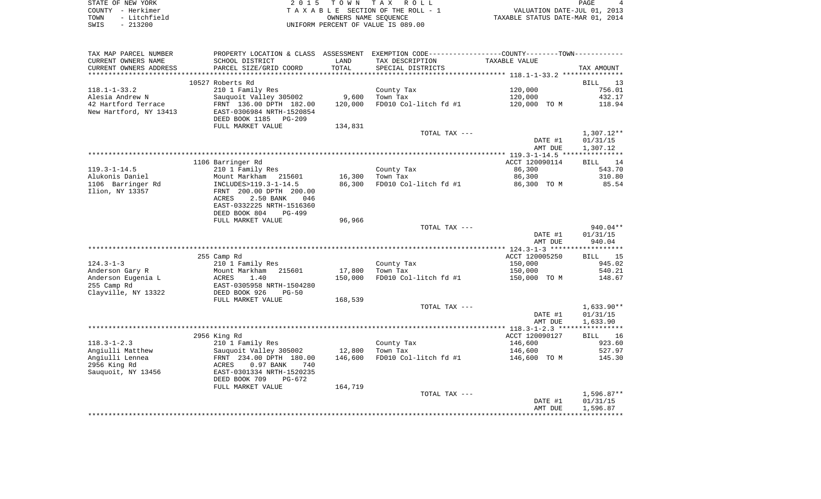| STATE OF NEW YORK                          | 2015 TOWN TAX ROLL                 | PAGE                             |
|--------------------------------------------|------------------------------------|----------------------------------|
| COUNTY - Herkimer                          | TAXABLE SECTION OF THE ROLL - 1    | VALUATION DATE-JUL 01, 2013      |
| - Litchfield<br>TOWN                       | OWNERS NAME SEOUENCE               | TAXABLE STATUS DATE-MAR 01, 2014 |
| 213200<br>SWIS<br>$\overline{\phantom{0}}$ | UNIFORM PERCENT OF VALUE IS 089.00 |                                  |

| TAX MAP PARCEL NUMBER  |                             |         | PROPERTY LOCATION & CLASS ASSESSMENT EXEMPTION CODE---------------COUNTY-------TOWN---------- |                |                   |
|------------------------|-----------------------------|---------|-----------------------------------------------------------------------------------------------|----------------|-------------------|
| CURRENT OWNERS NAME    | SCHOOL DISTRICT             | LAND    | TAX DESCRIPTION                                                                               | TAXABLE VALUE  |                   |
| CURRENT OWNERS ADDRESS | PARCEL SIZE/GRID COORD      | TOTAL   | SPECIAL DISTRICTS                                                                             |                | TAX AMOUNT        |
|                        |                             |         |                                                                                               |                |                   |
|                        | 10527 Roberts Rd            |         |                                                                                               |                | <b>BILL</b><br>13 |
| $118.1 - 1 - 33.2$     | 210 1 Family Res            |         | County Tax                                                                                    | 120,000        | 756.01            |
| Alesia Andrew N        | Sauquoit Valley 305002      | 9,600   | Town Tax                                                                                      | 120,000        | 432.17            |
|                        |                             |         |                                                                                               |                |                   |
| 42 Hartford Terrace    | FRNT 136.00 DPTH 182.00     | 120,000 | FD010 Col-litch fd #1                                                                         | 120,000 TO M   | 118.94            |
| New Hartford, NY 13413 | EAST-0306984 NRTH-1520854   |         |                                                                                               |                |                   |
|                        | DEED BOOK 1185 PG-209       |         |                                                                                               |                |                   |
|                        | FULL MARKET VALUE           | 134,831 |                                                                                               |                |                   |
|                        |                             |         | TOTAL TAX ---                                                                                 |                | $1,307.12**$      |
|                        |                             |         |                                                                                               | DATE #1        | 01/31/15          |
|                        |                             |         |                                                                                               | AMT DUE        | 1,307.12          |
|                        |                             |         |                                                                                               |                |                   |
|                        | 1106 Barringer Rd           |         |                                                                                               | ACCT 120090114 | BILL 14           |
| $119.3 - 1 - 14.5$     | 210 1 Family Res            |         | County Tax                                                                                    | 86,300         | 543.70            |
| Alukonis Daniel        | Mount Markham 215601        | 16,300  | Town Tax                                                                                      | 86,300         | 310.80            |
|                        |                             |         |                                                                                               |                |                   |
| 1106 Barringer Rd      | INCLUDES>119.3-1-14.5       | 86,300  | FD010 Col-litch fd #1                                                                         | 86,300 TO M    | 85.54             |
| Ilion, NY 13357        | FRNT 200.00 DPTH 200.00     |         |                                                                                               |                |                   |
|                        | 2.50 BANK<br>ACRES<br>046   |         |                                                                                               |                |                   |
|                        | EAST-0332225 NRTH-1516360   |         |                                                                                               |                |                   |
|                        | DEED BOOK 804<br>PG-499     |         |                                                                                               |                |                   |
|                        | FULL MARKET VALUE           | 96,966  |                                                                                               |                |                   |
|                        |                             |         | TOTAL TAX ---                                                                                 |                | 940.04**          |
|                        |                             |         |                                                                                               | DATE #1        | 01/31/15          |
|                        |                             |         |                                                                                               | AMT DUE        | 940.04            |
|                        |                             |         |                                                                                               |                |                   |
|                        | 255 Camp Rd                 |         |                                                                                               | ACCT 120005250 | BILL 15           |
| $124.3 - 1 - 3$        | 210 1 Family Res            |         | County Tax                                                                                    | 150,000        | 945.02            |
|                        |                             |         |                                                                                               |                |                   |
| Anderson Gary R        | Mount Markham<br>215601     | 17,800  | Town Tax                                                                                      | 150,000        | 540.21            |
| Anderson Eugenia L     | 1.40<br>ACRES               | 150,000 | FD010 Col-litch fd #1                                                                         | 150,000 TO M   | 148.67            |
| 255 Camp Rd            | EAST-0305958 NRTH-1504280   |         |                                                                                               |                |                   |
| Clayville, NY 13322    | DEED BOOK 926<br>$PG-50$    |         |                                                                                               |                |                   |
|                        | FULL MARKET VALUE           | 168,539 |                                                                                               |                |                   |
|                        |                             |         | TOTAL TAX ---                                                                                 |                | $1,633.90**$      |
|                        |                             |         |                                                                                               | DATE #1        | 01/31/15          |
|                        |                             |         |                                                                                               | AMT DUE        | 1,633.90          |
|                        |                             |         |                                                                                               |                |                   |
|                        | 2956 King Rd                |         |                                                                                               | ACCT 120090127 | BILL 16           |
| $118.3 - 1 - 2.3$      | 210 1 Family Res            |         | County Tax                                                                                    | 146,600        | 923.60            |
| Angiulli Matthew       | Sauguoit Valley 305002      | 12,800  | Town Tax                                                                                      | 146,600        | 527.97            |
| Angiulli Lennea        |                             | 146,600 | FD010 Col-litch fd #1                                                                         |                | 145.30            |
|                        | FRNT 234.00 DPTH 180.00     |         |                                                                                               | 146,600 TO M   |                   |
| 2956 King Rd           | $0.97$ BANK<br>ACRES<br>740 |         |                                                                                               |                |                   |
| Sauquoit, NY 13456     | EAST-0301334 NRTH-1520235   |         |                                                                                               |                |                   |
|                        | DEED BOOK 709<br>PG-672     |         |                                                                                               |                |                   |
|                        | FULL MARKET VALUE           | 164,719 |                                                                                               |                |                   |
|                        |                             |         | TOTAL TAX ---                                                                                 |                | $1,596.87**$      |
|                        |                             |         |                                                                                               | DATE #1        | 01/31/15          |
|                        |                             |         |                                                                                               | AMT DUE        | 1,596.87          |
|                        |                             |         |                                                                                               |                |                   |
|                        |                             |         |                                                                                               |                |                   |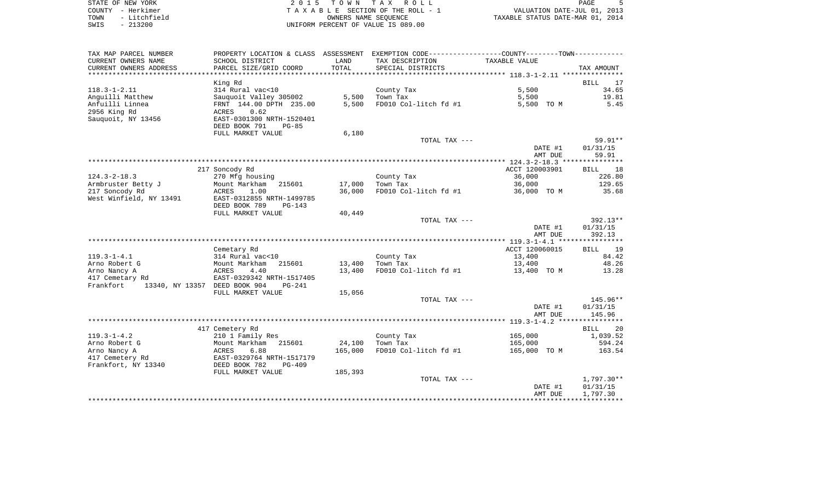| STATE OF NEW YORK    | 2015 TOWN TAX ROLL                 | PAGE                             |
|----------------------|------------------------------------|----------------------------------|
| COUNTY - Herkimer    | TAXABLE SECTION OF THE ROLL - 1    | VALUATION DATE-JUL 01, 2013      |
| - Litchfield<br>TOWN | OWNERS NAME SEOUENCE               | TAXABLE STATUS DATE-MAR 01, 2014 |
| $-213200$<br>SWIS    | UNIFORM PERCENT OF VALUE IS 089.00 |                                  |

| SCHOOL DISTRICT<br>LAND<br>TAX DESCRIPTION<br>TAXABLE VALUE<br>TOTAL<br>PARCEL SIZE/GRID COORD<br>SPECIAL DISTRICTS<br>TAX AMOUNT<br>17<br>King Rd<br><b>BILL</b><br>$118.3 - 1 - 2.11$<br>314 Rural vac<10<br>5,500<br>34.65<br>County Tax<br>Sauquoit Valley 305002<br>5,500<br>Town Tax<br>19.81<br>5,500<br>FD010 Col-litch fd #1<br>5.45<br>FRNT 144.00 DPTH 235.00<br>5,500<br>5,500 TO M<br>2956 King Rd<br>0.62<br>ACRES<br>Sauquoit, NY 13456<br>EAST-0301300 NRTH-1520401<br>DEED BOOK 791<br>$PG-85$<br>FULL MARKET VALUE<br>6,180<br>$59.91**$<br>TOTAL TAX ---<br>01/31/15<br>DATE #1<br>AMT DUE<br>59.91<br>217 Soncody Rd<br>ACCT 120003901<br>18<br><b>BILL</b><br>$124.3 - 2 - 18.3$<br>36,000<br>226.80<br>270 Mfg housing<br>County Tax<br>129.65<br>Armbruster Betty J<br>17,000<br>36,000<br>Mount Markham<br>215601<br>Town Tax<br>217 Soncody Rd<br>1.00<br>36,000<br>FD010 Col-litch fd #1<br>36,000 TO M<br>35.68<br>ACRES<br>West Winfield, NY 13491<br>EAST-0312855 NRTH-1499785<br>DEED BOOK 789<br>$PG-143$<br>FULL MARKET VALUE<br>40,449<br>TOTAL TAX ---<br>392.13**<br>DATE #1<br>01/31/15<br>AMT DUE<br>392.13<br>ACCT 120060015<br>19<br>Cemetary Rd<br><b>BILL</b><br>$119.3 - 1 - 4.1$<br>314 Rural vac<10<br>County Tax<br>13,400<br>84.42<br>Arno Robert G<br>Town Tax<br>48.26<br>Mount Markham<br>215601<br>13,400<br>13,400<br>Arno Nancy A<br>4.40<br>13,400<br>FD010 Col-litch fd #1<br>13,400 TO M<br>13.28<br>ACRES<br>417 Cemetary Rd<br>EAST-0329342 NRTH-1517405<br>13340, NY 13357 DEED BOOK 904<br>Frankfort<br>$PG-241$<br>FULL MARKET VALUE<br>15,056<br>$145.96**$<br>TOTAL TAX ---<br>DATE #1<br>01/31/15<br>AMT DUE<br>145.96<br>417 Cemetery Rd<br><b>BILL</b><br>20<br>$119.3 - 1 - 4.2$<br>210 1 Family Res<br>County Tax<br>165,000<br>1,039.52<br>Arno Robert G<br>Mount Markham<br>24,100<br>Town Tax<br>165,000<br>594.24<br>215601<br>165,000<br>Arno Nancy A<br>ACRES<br>6.88<br>FD010 Col-litch fd #1<br>165,000 TO M<br>163.54<br>417 Cemetery Rd<br>EAST-0329764 NRTH-1517179<br>Frankfort, NY 13340<br>DEED BOOK 782<br>$PG-409$<br>FULL MARKET VALUE<br>185,393<br>TOTAL TAX ---<br>1,797.30**<br>DATE #1<br>01/31/15<br>1,797.30<br>AMT DUE | TAX MAP PARCEL NUMBER  | PROPERTY LOCATION & CLASS | ASSESSMENT EXEMPTION CODE-----------------COUNTY-------TOWN----------- |  |
|--------------------------------------------------------------------------------------------------------------------------------------------------------------------------------------------------------------------------------------------------------------------------------------------------------------------------------------------------------------------------------------------------------------------------------------------------------------------------------------------------------------------------------------------------------------------------------------------------------------------------------------------------------------------------------------------------------------------------------------------------------------------------------------------------------------------------------------------------------------------------------------------------------------------------------------------------------------------------------------------------------------------------------------------------------------------------------------------------------------------------------------------------------------------------------------------------------------------------------------------------------------------------------------------------------------------------------------------------------------------------------------------------------------------------------------------------------------------------------------------------------------------------------------------------------------------------------------------------------------------------------------------------------------------------------------------------------------------------------------------------------------------------------------------------------------------------------------------------------------------------------------------------------------------------------------------------------------------------------------------------------------------------------------------------------------------------------------------------------------------------------------------------------------------------------------------------------------------|------------------------|---------------------------|------------------------------------------------------------------------|--|
|                                                                                                                                                                                                                                                                                                                                                                                                                                                                                                                                                                                                                                                                                                                                                                                                                                                                                                                                                                                                                                                                                                                                                                                                                                                                                                                                                                                                                                                                                                                                                                                                                                                                                                                                                                                                                                                                                                                                                                                                                                                                                                                                                                                                                    | CURRENT OWNERS NAME    |                           |                                                                        |  |
|                                                                                                                                                                                                                                                                                                                                                                                                                                                                                                                                                                                                                                                                                                                                                                                                                                                                                                                                                                                                                                                                                                                                                                                                                                                                                                                                                                                                                                                                                                                                                                                                                                                                                                                                                                                                                                                                                                                                                                                                                                                                                                                                                                                                                    | CURRENT OWNERS ADDRESS |                           |                                                                        |  |
|                                                                                                                                                                                                                                                                                                                                                                                                                                                                                                                                                                                                                                                                                                                                                                                                                                                                                                                                                                                                                                                                                                                                                                                                                                                                                                                                                                                                                                                                                                                                                                                                                                                                                                                                                                                                                                                                                                                                                                                                                                                                                                                                                                                                                    |                        |                           |                                                                        |  |
|                                                                                                                                                                                                                                                                                                                                                                                                                                                                                                                                                                                                                                                                                                                                                                                                                                                                                                                                                                                                                                                                                                                                                                                                                                                                                                                                                                                                                                                                                                                                                                                                                                                                                                                                                                                                                                                                                                                                                                                                                                                                                                                                                                                                                    |                        |                           |                                                                        |  |
|                                                                                                                                                                                                                                                                                                                                                                                                                                                                                                                                                                                                                                                                                                                                                                                                                                                                                                                                                                                                                                                                                                                                                                                                                                                                                                                                                                                                                                                                                                                                                                                                                                                                                                                                                                                                                                                                                                                                                                                                                                                                                                                                                                                                                    |                        |                           |                                                                        |  |
|                                                                                                                                                                                                                                                                                                                                                                                                                                                                                                                                                                                                                                                                                                                                                                                                                                                                                                                                                                                                                                                                                                                                                                                                                                                                                                                                                                                                                                                                                                                                                                                                                                                                                                                                                                                                                                                                                                                                                                                                                                                                                                                                                                                                                    | Anguilli Matthew       |                           |                                                                        |  |
|                                                                                                                                                                                                                                                                                                                                                                                                                                                                                                                                                                                                                                                                                                                                                                                                                                                                                                                                                                                                                                                                                                                                                                                                                                                                                                                                                                                                                                                                                                                                                                                                                                                                                                                                                                                                                                                                                                                                                                                                                                                                                                                                                                                                                    | Anfuilli Linnea        |                           |                                                                        |  |
|                                                                                                                                                                                                                                                                                                                                                                                                                                                                                                                                                                                                                                                                                                                                                                                                                                                                                                                                                                                                                                                                                                                                                                                                                                                                                                                                                                                                                                                                                                                                                                                                                                                                                                                                                                                                                                                                                                                                                                                                                                                                                                                                                                                                                    |                        |                           |                                                                        |  |
|                                                                                                                                                                                                                                                                                                                                                                                                                                                                                                                                                                                                                                                                                                                                                                                                                                                                                                                                                                                                                                                                                                                                                                                                                                                                                                                                                                                                                                                                                                                                                                                                                                                                                                                                                                                                                                                                                                                                                                                                                                                                                                                                                                                                                    |                        |                           |                                                                        |  |
|                                                                                                                                                                                                                                                                                                                                                                                                                                                                                                                                                                                                                                                                                                                                                                                                                                                                                                                                                                                                                                                                                                                                                                                                                                                                                                                                                                                                                                                                                                                                                                                                                                                                                                                                                                                                                                                                                                                                                                                                                                                                                                                                                                                                                    |                        |                           |                                                                        |  |
|                                                                                                                                                                                                                                                                                                                                                                                                                                                                                                                                                                                                                                                                                                                                                                                                                                                                                                                                                                                                                                                                                                                                                                                                                                                                                                                                                                                                                                                                                                                                                                                                                                                                                                                                                                                                                                                                                                                                                                                                                                                                                                                                                                                                                    |                        |                           |                                                                        |  |
|                                                                                                                                                                                                                                                                                                                                                                                                                                                                                                                                                                                                                                                                                                                                                                                                                                                                                                                                                                                                                                                                                                                                                                                                                                                                                                                                                                                                                                                                                                                                                                                                                                                                                                                                                                                                                                                                                                                                                                                                                                                                                                                                                                                                                    |                        |                           |                                                                        |  |
|                                                                                                                                                                                                                                                                                                                                                                                                                                                                                                                                                                                                                                                                                                                                                                                                                                                                                                                                                                                                                                                                                                                                                                                                                                                                                                                                                                                                                                                                                                                                                                                                                                                                                                                                                                                                                                                                                                                                                                                                                                                                                                                                                                                                                    |                        |                           |                                                                        |  |
|                                                                                                                                                                                                                                                                                                                                                                                                                                                                                                                                                                                                                                                                                                                                                                                                                                                                                                                                                                                                                                                                                                                                                                                                                                                                                                                                                                                                                                                                                                                                                                                                                                                                                                                                                                                                                                                                                                                                                                                                                                                                                                                                                                                                                    |                        |                           |                                                                        |  |
|                                                                                                                                                                                                                                                                                                                                                                                                                                                                                                                                                                                                                                                                                                                                                                                                                                                                                                                                                                                                                                                                                                                                                                                                                                                                                                                                                                                                                                                                                                                                                                                                                                                                                                                                                                                                                                                                                                                                                                                                                                                                                                                                                                                                                    |                        |                           |                                                                        |  |
|                                                                                                                                                                                                                                                                                                                                                                                                                                                                                                                                                                                                                                                                                                                                                                                                                                                                                                                                                                                                                                                                                                                                                                                                                                                                                                                                                                                                                                                                                                                                                                                                                                                                                                                                                                                                                                                                                                                                                                                                                                                                                                                                                                                                                    |                        |                           |                                                                        |  |
|                                                                                                                                                                                                                                                                                                                                                                                                                                                                                                                                                                                                                                                                                                                                                                                                                                                                                                                                                                                                                                                                                                                                                                                                                                                                                                                                                                                                                                                                                                                                                                                                                                                                                                                                                                                                                                                                                                                                                                                                                                                                                                                                                                                                                    |                        |                           |                                                                        |  |
|                                                                                                                                                                                                                                                                                                                                                                                                                                                                                                                                                                                                                                                                                                                                                                                                                                                                                                                                                                                                                                                                                                                                                                                                                                                                                                                                                                                                                                                                                                                                                                                                                                                                                                                                                                                                                                                                                                                                                                                                                                                                                                                                                                                                                    |                        |                           |                                                                        |  |
|                                                                                                                                                                                                                                                                                                                                                                                                                                                                                                                                                                                                                                                                                                                                                                                                                                                                                                                                                                                                                                                                                                                                                                                                                                                                                                                                                                                                                                                                                                                                                                                                                                                                                                                                                                                                                                                                                                                                                                                                                                                                                                                                                                                                                    |                        |                           |                                                                        |  |
|                                                                                                                                                                                                                                                                                                                                                                                                                                                                                                                                                                                                                                                                                                                                                                                                                                                                                                                                                                                                                                                                                                                                                                                                                                                                                                                                                                                                                                                                                                                                                                                                                                                                                                                                                                                                                                                                                                                                                                                                                                                                                                                                                                                                                    |                        |                           |                                                                        |  |
|                                                                                                                                                                                                                                                                                                                                                                                                                                                                                                                                                                                                                                                                                                                                                                                                                                                                                                                                                                                                                                                                                                                                                                                                                                                                                                                                                                                                                                                                                                                                                                                                                                                                                                                                                                                                                                                                                                                                                                                                                                                                                                                                                                                                                    |                        |                           |                                                                        |  |
|                                                                                                                                                                                                                                                                                                                                                                                                                                                                                                                                                                                                                                                                                                                                                                                                                                                                                                                                                                                                                                                                                                                                                                                                                                                                                                                                                                                                                                                                                                                                                                                                                                                                                                                                                                                                                                                                                                                                                                                                                                                                                                                                                                                                                    |                        |                           |                                                                        |  |
|                                                                                                                                                                                                                                                                                                                                                                                                                                                                                                                                                                                                                                                                                                                                                                                                                                                                                                                                                                                                                                                                                                                                                                                                                                                                                                                                                                                                                                                                                                                                                                                                                                                                                                                                                                                                                                                                                                                                                                                                                                                                                                                                                                                                                    |                        |                           |                                                                        |  |
|                                                                                                                                                                                                                                                                                                                                                                                                                                                                                                                                                                                                                                                                                                                                                                                                                                                                                                                                                                                                                                                                                                                                                                                                                                                                                                                                                                                                                                                                                                                                                                                                                                                                                                                                                                                                                                                                                                                                                                                                                                                                                                                                                                                                                    |                        |                           |                                                                        |  |
|                                                                                                                                                                                                                                                                                                                                                                                                                                                                                                                                                                                                                                                                                                                                                                                                                                                                                                                                                                                                                                                                                                                                                                                                                                                                                                                                                                                                                                                                                                                                                                                                                                                                                                                                                                                                                                                                                                                                                                                                                                                                                                                                                                                                                    |                        |                           |                                                                        |  |
|                                                                                                                                                                                                                                                                                                                                                                                                                                                                                                                                                                                                                                                                                                                                                                                                                                                                                                                                                                                                                                                                                                                                                                                                                                                                                                                                                                                                                                                                                                                                                                                                                                                                                                                                                                                                                                                                                                                                                                                                                                                                                                                                                                                                                    |                        |                           |                                                                        |  |
|                                                                                                                                                                                                                                                                                                                                                                                                                                                                                                                                                                                                                                                                                                                                                                                                                                                                                                                                                                                                                                                                                                                                                                                                                                                                                                                                                                                                                                                                                                                                                                                                                                                                                                                                                                                                                                                                                                                                                                                                                                                                                                                                                                                                                    |                        |                           |                                                                        |  |
|                                                                                                                                                                                                                                                                                                                                                                                                                                                                                                                                                                                                                                                                                                                                                                                                                                                                                                                                                                                                                                                                                                                                                                                                                                                                                                                                                                                                                                                                                                                                                                                                                                                                                                                                                                                                                                                                                                                                                                                                                                                                                                                                                                                                                    |                        |                           |                                                                        |  |
|                                                                                                                                                                                                                                                                                                                                                                                                                                                                                                                                                                                                                                                                                                                                                                                                                                                                                                                                                                                                                                                                                                                                                                                                                                                                                                                                                                                                                                                                                                                                                                                                                                                                                                                                                                                                                                                                                                                                                                                                                                                                                                                                                                                                                    |                        |                           |                                                                        |  |
|                                                                                                                                                                                                                                                                                                                                                                                                                                                                                                                                                                                                                                                                                                                                                                                                                                                                                                                                                                                                                                                                                                                                                                                                                                                                                                                                                                                                                                                                                                                                                                                                                                                                                                                                                                                                                                                                                                                                                                                                                                                                                                                                                                                                                    |                        |                           |                                                                        |  |
|                                                                                                                                                                                                                                                                                                                                                                                                                                                                                                                                                                                                                                                                                                                                                                                                                                                                                                                                                                                                                                                                                                                                                                                                                                                                                                                                                                                                                                                                                                                                                                                                                                                                                                                                                                                                                                                                                                                                                                                                                                                                                                                                                                                                                    |                        |                           |                                                                        |  |
|                                                                                                                                                                                                                                                                                                                                                                                                                                                                                                                                                                                                                                                                                                                                                                                                                                                                                                                                                                                                                                                                                                                                                                                                                                                                                                                                                                                                                                                                                                                                                                                                                                                                                                                                                                                                                                                                                                                                                                                                                                                                                                                                                                                                                    |                        |                           |                                                                        |  |
|                                                                                                                                                                                                                                                                                                                                                                                                                                                                                                                                                                                                                                                                                                                                                                                                                                                                                                                                                                                                                                                                                                                                                                                                                                                                                                                                                                                                                                                                                                                                                                                                                                                                                                                                                                                                                                                                                                                                                                                                                                                                                                                                                                                                                    |                        |                           |                                                                        |  |
|                                                                                                                                                                                                                                                                                                                                                                                                                                                                                                                                                                                                                                                                                                                                                                                                                                                                                                                                                                                                                                                                                                                                                                                                                                                                                                                                                                                                                                                                                                                                                                                                                                                                                                                                                                                                                                                                                                                                                                                                                                                                                                                                                                                                                    |                        |                           |                                                                        |  |
|                                                                                                                                                                                                                                                                                                                                                                                                                                                                                                                                                                                                                                                                                                                                                                                                                                                                                                                                                                                                                                                                                                                                                                                                                                                                                                                                                                                                                                                                                                                                                                                                                                                                                                                                                                                                                                                                                                                                                                                                                                                                                                                                                                                                                    |                        |                           |                                                                        |  |
|                                                                                                                                                                                                                                                                                                                                                                                                                                                                                                                                                                                                                                                                                                                                                                                                                                                                                                                                                                                                                                                                                                                                                                                                                                                                                                                                                                                                                                                                                                                                                                                                                                                                                                                                                                                                                                                                                                                                                                                                                                                                                                                                                                                                                    |                        |                           |                                                                        |  |
|                                                                                                                                                                                                                                                                                                                                                                                                                                                                                                                                                                                                                                                                                                                                                                                                                                                                                                                                                                                                                                                                                                                                                                                                                                                                                                                                                                                                                                                                                                                                                                                                                                                                                                                                                                                                                                                                                                                                                                                                                                                                                                                                                                                                                    |                        |                           |                                                                        |  |
|                                                                                                                                                                                                                                                                                                                                                                                                                                                                                                                                                                                                                                                                                                                                                                                                                                                                                                                                                                                                                                                                                                                                                                                                                                                                                                                                                                                                                                                                                                                                                                                                                                                                                                                                                                                                                                                                                                                                                                                                                                                                                                                                                                                                                    |                        |                           |                                                                        |  |
|                                                                                                                                                                                                                                                                                                                                                                                                                                                                                                                                                                                                                                                                                                                                                                                                                                                                                                                                                                                                                                                                                                                                                                                                                                                                                                                                                                                                                                                                                                                                                                                                                                                                                                                                                                                                                                                                                                                                                                                                                                                                                                                                                                                                                    |                        |                           |                                                                        |  |
|                                                                                                                                                                                                                                                                                                                                                                                                                                                                                                                                                                                                                                                                                                                                                                                                                                                                                                                                                                                                                                                                                                                                                                                                                                                                                                                                                                                                                                                                                                                                                                                                                                                                                                                                                                                                                                                                                                                                                                                                                                                                                                                                                                                                                    |                        |                           |                                                                        |  |
|                                                                                                                                                                                                                                                                                                                                                                                                                                                                                                                                                                                                                                                                                                                                                                                                                                                                                                                                                                                                                                                                                                                                                                                                                                                                                                                                                                                                                                                                                                                                                                                                                                                                                                                                                                                                                                                                                                                                                                                                                                                                                                                                                                                                                    |                        |                           |                                                                        |  |
|                                                                                                                                                                                                                                                                                                                                                                                                                                                                                                                                                                                                                                                                                                                                                                                                                                                                                                                                                                                                                                                                                                                                                                                                                                                                                                                                                                                                                                                                                                                                                                                                                                                                                                                                                                                                                                                                                                                                                                                                                                                                                                                                                                                                                    |                        |                           |                                                                        |  |
|                                                                                                                                                                                                                                                                                                                                                                                                                                                                                                                                                                                                                                                                                                                                                                                                                                                                                                                                                                                                                                                                                                                                                                                                                                                                                                                                                                                                                                                                                                                                                                                                                                                                                                                                                                                                                                                                                                                                                                                                                                                                                                                                                                                                                    |                        |                           |                                                                        |  |
|                                                                                                                                                                                                                                                                                                                                                                                                                                                                                                                                                                                                                                                                                                                                                                                                                                                                                                                                                                                                                                                                                                                                                                                                                                                                                                                                                                                                                                                                                                                                                                                                                                                                                                                                                                                                                                                                                                                                                                                                                                                                                                                                                                                                                    |                        |                           |                                                                        |  |
|                                                                                                                                                                                                                                                                                                                                                                                                                                                                                                                                                                                                                                                                                                                                                                                                                                                                                                                                                                                                                                                                                                                                                                                                                                                                                                                                                                                                                                                                                                                                                                                                                                                                                                                                                                                                                                                                                                                                                                                                                                                                                                                                                                                                                    |                        |                           |                                                                        |  |
|                                                                                                                                                                                                                                                                                                                                                                                                                                                                                                                                                                                                                                                                                                                                                                                                                                                                                                                                                                                                                                                                                                                                                                                                                                                                                                                                                                                                                                                                                                                                                                                                                                                                                                                                                                                                                                                                                                                                                                                                                                                                                                                                                                                                                    |                        |                           |                                                                        |  |
|                                                                                                                                                                                                                                                                                                                                                                                                                                                                                                                                                                                                                                                                                                                                                                                                                                                                                                                                                                                                                                                                                                                                                                                                                                                                                                                                                                                                                                                                                                                                                                                                                                                                                                                                                                                                                                                                                                                                                                                                                                                                                                                                                                                                                    |                        |                           |                                                                        |  |
|                                                                                                                                                                                                                                                                                                                                                                                                                                                                                                                                                                                                                                                                                                                                                                                                                                                                                                                                                                                                                                                                                                                                                                                                                                                                                                                                                                                                                                                                                                                                                                                                                                                                                                                                                                                                                                                                                                                                                                                                                                                                                                                                                                                                                    |                        |                           |                                                                        |  |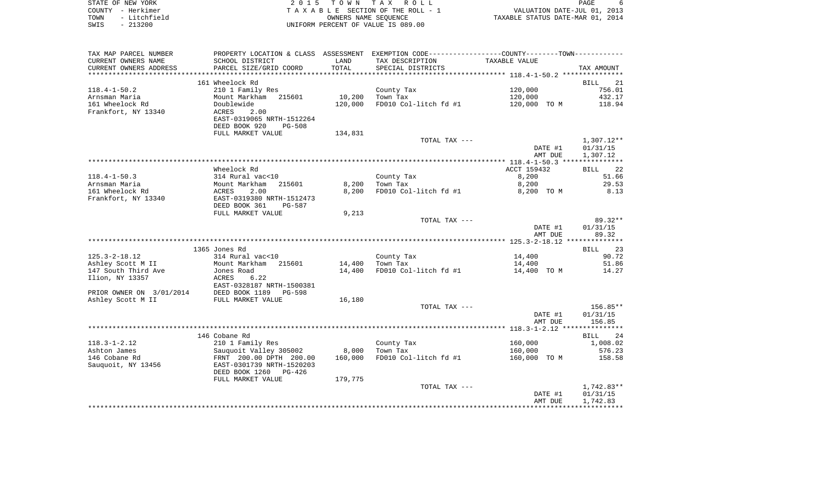| STATE OF NEW YORK    | 2015 TOWN TAX ROLL                 | PAGE                             |
|----------------------|------------------------------------|----------------------------------|
| COUNTY – Herkimer    | TAXABLE SECTION OF THE ROLL - 1    | VALUATION DATE-JUL 01, 2013      |
| - Litchfield<br>TOWN | OWNERS NAME SEOUENCE               | TAXABLE STATUS DATE-MAR 01, 2014 |
| $-213200$<br>SWIS    | UNIFORM PERCENT OF VALUE IS 089.00 |                                  |

 $\begin{array}{c} 6 \\ 2013 \\ 2014 \end{array}$ 

| TAX MAP PARCEL NUMBER    |                           |         | PROPERTY LOCATION & CLASS ASSESSMENT EXEMPTION CODE----------------COUNTY-------TOWN---------- |               |                   |
|--------------------------|---------------------------|---------|------------------------------------------------------------------------------------------------|---------------|-------------------|
| CURRENT OWNERS NAME      | SCHOOL DISTRICT           | LAND    | TAX DESCRIPTION                                                                                | TAXABLE VALUE |                   |
| CURRENT OWNERS ADDRESS   | PARCEL SIZE/GRID COORD    | TOTAL   | SPECIAL DISTRICTS                                                                              |               | TAX AMOUNT        |
|                          |                           |         |                                                                                                |               |                   |
|                          | 161 Wheelock Rd           |         |                                                                                                |               | 21<br><b>BILL</b> |
| $118.4 - 1 - 50.2$       | 210 1 Family Res          |         | County Tax                                                                                     | 120,000       | 756.01            |
| Arnsman Maria            | Mount Markham<br>215601   | 10,200  | Town Tax                                                                                       | 120,000       | 432.17            |
| 161 Wheelock Rd          | Doublewide                | 120,000 | FD010 Col-litch fd #1                                                                          | 120,000 TO M  | 118.94            |
| Frankfort, NY 13340      | ACRES<br>2.00             |         |                                                                                                |               |                   |
|                          | EAST-0319065 NRTH-1512264 |         |                                                                                                |               |                   |
|                          | DEED BOOK 920<br>$PG-508$ |         |                                                                                                |               |                   |
|                          | FULL MARKET VALUE         | 134,831 |                                                                                                |               |                   |
|                          |                           |         | TOTAL TAX ---                                                                                  |               | $1,307.12**$      |
|                          |                           |         |                                                                                                | DATE #1       | 01/31/15          |
|                          |                           |         |                                                                                                | AMT DUE       | 1,307.12          |
|                          |                           |         |                                                                                                |               |                   |
|                          | Wheelock Rd               |         |                                                                                                | ACCT 159432   | 22<br>BILL        |
| $118.4 - 1 - 50.3$       | 314 Rural vac<10          |         | County Tax                                                                                     | 8,200         | 51.66             |
| Arnsman Maria            | Mount Markham<br>215601   | 8,200   | Town Tax                                                                                       | 8,200         | 29.53             |
| 161 Wheelock Rd          | ACRES<br>2.00             | 8,200   | FD010 Col-litch fd #1                                                                          | 8,200 TO M    | 8.13              |
| Frankfort, NY 13340      | EAST-0319380 NRTH-1512473 |         |                                                                                                |               |                   |
|                          | DEED BOOK 361<br>PG-587   |         |                                                                                                |               |                   |
|                          | FULL MARKET VALUE         | 9,213   |                                                                                                |               |                   |
|                          |                           |         | TOTAL TAX ---                                                                                  |               | $89.32**$         |
|                          |                           |         |                                                                                                | DATE #1       | 01/31/15<br>89.32 |
|                          |                           |         |                                                                                                | AMT DUE       |                   |
|                          | 1365 Jones Rd             |         |                                                                                                |               | 23<br>BILL        |
| $125.3 - 2 - 18.12$      | 314 Rural vac<10          |         | County Tax                                                                                     | 14,400        | 90.72             |
| Ashley Scott M II        | Mount Markham 215601      | 14,400  | Town Tax                                                                                       | 14,400        | 51.86             |
| 147 South Third Ave      | Jones Road                | 14,400  | FD010 Col-litch fd #1                                                                          | 14,400 TO M   | 14.27             |
| Ilion, NY 13357          | ACRES<br>6.22             |         |                                                                                                |               |                   |
|                          | EAST-0328187 NRTH-1500381 |         |                                                                                                |               |                   |
| PRIOR OWNER ON 3/01/2014 | DEED BOOK 1189<br>PG-598  |         |                                                                                                |               |                   |
| Ashley Scott M II        | FULL MARKET VALUE         | 16,180  |                                                                                                |               |                   |
|                          |                           |         | TOTAL TAX ---                                                                                  |               | 156.85**          |
|                          |                           |         |                                                                                                | DATE #1       | 01/31/15          |
|                          |                           |         |                                                                                                | AMT DUE       | 156.85            |
|                          |                           |         |                                                                                                |               |                   |
|                          | 146 Cobane Rd             |         |                                                                                                |               | <b>BILL</b><br>24 |
| $118.3 - 1 - 2.12$       | 210 1 Family Res          |         | County Tax                                                                                     | 160,000       | 1,008.02          |
| Ashton James             | Sauquoit Valley 305002    | 8,000   | Town Tax                                                                                       | 160,000       | 576.23            |
| 146 Cobane Rd            | FRNT 200.00 DPTH 200.00   | 160,000 | FD010 Col-litch fd #1                                                                          | 160,000 TO M  | 158.58            |
| Sauquoit, NY 13456       | EAST-0301739 NRTH-1520203 |         |                                                                                                |               |                   |
|                          | DEED BOOK 1260<br>PG-426  |         |                                                                                                |               |                   |
|                          | FULL MARKET VALUE         | 179,775 |                                                                                                |               |                   |
|                          |                           |         | TOTAL TAX ---                                                                                  |               | 1,742.83**        |
|                          |                           |         |                                                                                                | DATE #1       | 01/31/15          |
|                          |                           |         |                                                                                                | AMT DUE       | 1,742.83          |
|                          |                           |         |                                                                                                |               |                   |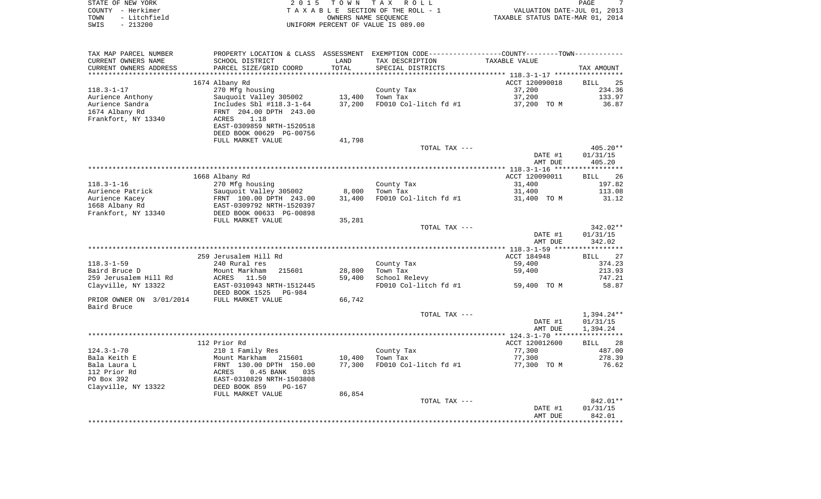|      | STATE OF NEW YORK | 2015 TOWN TAX ROLL                 | PAGE                             |
|------|-------------------|------------------------------------|----------------------------------|
|      | COUNTY - Herkimer | TAXABLE SECTION OF THE ROLL - 1    | VALUATION DATE-JUL 01, 2013      |
| TOWN | - Litchfield      | OWNERS NAME SEOUENCE               | TAXABLE STATUS DATE-MAR 01, 2014 |
| SWIS | $-213200$         | UNIFORM PERCENT OF VALUE IS 089.00 |                                  |

| TAX MAP PARCEL NUMBER                         | PROPERTY LOCATION & CLASS ASSESSMENT EXEMPTION CODE---------------COUNTY-------TOWN---------- |               |                                      | TAXABLE VALUE  |                   |
|-----------------------------------------------|-----------------------------------------------------------------------------------------------|---------------|--------------------------------------|----------------|-------------------|
| CURRENT OWNERS NAME<br>CURRENT OWNERS ADDRESS | SCHOOL DISTRICT<br>PARCEL SIZE/GRID COORD                                                     | LAND<br>TOTAL | TAX DESCRIPTION<br>SPECIAL DISTRICTS |                | TAX AMOUNT        |
| *****************                             |                                                                                               |               |                                      |                |                   |
|                                               | 1674 Albany Rd                                                                                |               |                                      | ACCT 120090018 | 25<br><b>BILL</b> |
| $118.3 - 1 - 17$                              | 270 Mfg housing                                                                               |               | County Tax                           | 37,200         | 234.36            |
| Aurience Anthony                              | Sauguoit Valley 305002                                                                        | 13,400        | Town Tax                             | 37,200         | 133.97            |
| Aurience Sandra                               | Includes Sbl #118.3-1-64                                                                      | 37,200        | FD010 Col-litch fd #1                | 37,200 TO M    | 36.87             |
| 1674 Albany Rd                                | FRNT 204.00 DPTH 243.00                                                                       |               |                                      |                |                   |
| Frankfort, NY 13340                           | ACRES<br>1.18                                                                                 |               |                                      |                |                   |
|                                               | EAST-0309859 NRTH-1520518                                                                     |               |                                      |                |                   |
|                                               | DEED BOOK 00629 PG-00756                                                                      |               |                                      |                |                   |
|                                               | FULL MARKET VALUE                                                                             | 41,798        |                                      |                |                   |
|                                               |                                                                                               |               | TOTAL TAX ---                        |                | $405.20**$        |
|                                               |                                                                                               |               |                                      | DATE #1        | 01/31/15          |
|                                               |                                                                                               |               |                                      | AMT DUE        | 405.20            |
|                                               |                                                                                               |               |                                      |                |                   |
|                                               | 1668 Albany Rd                                                                                |               |                                      | ACCT 120090011 | 26<br><b>BILL</b> |
| $118.3 - 1 - 16$                              | 270 Mfg housing                                                                               |               | County Tax                           | 31,400         | 197.82            |
| Aurience Patrick                              | Sauquoit Valley 305002                                                                        | 8,000         | Town Tax                             | 31,400         | 113.08            |
| Aurience Kacey                                | FRNT 100.00 DPTH 243.00<br>EAST-0309792 NRTH-1520397                                          | 31,400        | FD010 Col-litch fd #1                | 31,400 TO M    | 31.12             |
| 1668 Albany Rd<br>Frankfort, NY 13340         | DEED BOOK 00633 PG-00898                                                                      |               |                                      |                |                   |
|                                               | FULL MARKET VALUE                                                                             | 35,281        |                                      |                |                   |
|                                               |                                                                                               |               | TOTAL TAX ---                        |                | 342.02**          |
|                                               |                                                                                               |               |                                      | DATE #1        | 01/31/15          |
|                                               |                                                                                               |               |                                      | AMT DUE        | 342.02            |
|                                               |                                                                                               |               |                                      |                |                   |
|                                               | 259 Jerusalem Hill Rd                                                                         |               |                                      | ACCT 184948    | 27<br><b>BILL</b> |
| 118.3-1-59                                    | 240 Rural res                                                                                 |               | County Tax                           | 59,400         | 374.23            |
| Baird Bruce D                                 | Mount Markham<br>215601                                                                       | 28,800        | Town Tax                             | 59,400         | 213.93            |
| 259 Jerusalem Hill Rd                         | ACRES<br>11.50                                                                                | 59,400        | School Relevy                        |                | 747.21            |
| Clayville, NY 13322                           | EAST-0310943 NRTH-1512445                                                                     |               | FD010 Col-litch fd #1                | 59,400 TO M    | 58.87             |
|                                               | DEED BOOK 1525<br>PG-984                                                                      |               |                                      |                |                   |
| PRIOR OWNER ON 3/01/2014                      | FULL MARKET VALUE                                                                             | 66,742        |                                      |                |                   |
| Baird Bruce                                   |                                                                                               |               |                                      |                |                   |
|                                               |                                                                                               |               | TOTAL TAX ---                        |                | $1,394.24**$      |
|                                               |                                                                                               |               |                                      | DATE #1        | 01/31/15          |
|                                               |                                                                                               |               |                                      | AMT DUE        | 1,394.24          |
|                                               |                                                                                               |               |                                      | ACCT 120012600 |                   |
| 124.3-1-70                                    | 112 Prior Rd<br>210 1 Family Res                                                              |               | County Tax                           | 77,300         | BILL 28<br>487.00 |
| Bala Keith E                                  | Mount Markham 215601                                                                          | 10,400        | Town Tax                             | 77,300         | 278.39            |
| Bala Laura L                                  |                                                                                               | 77,300        | FD010 Col-litch fd #1                | 77,300 TO M    | 76.62             |
| 112 Prior Rd                                  | FRNT 130.00 DPTH 150.00<br>ACRES 0.45 BANK 035                                                |               |                                      |                |                   |
| PO Box 392                                    | EAST-0310829 NRTH-1503808                                                                     |               |                                      |                |                   |
| Clayville, NY 13322                           | DEED BOOK 859<br>$PG-167$                                                                     |               |                                      |                |                   |
|                                               | FULL MARKET VALUE                                                                             | 86,854        |                                      |                |                   |
|                                               |                                                                                               |               | TOTAL TAX ---                        |                | 842.01**          |
|                                               |                                                                                               |               |                                      | DATE #1        | 01/31/15          |
|                                               |                                                                                               |               |                                      | AMT DUE        | 842.01            |
|                                               |                                                                                               |               |                                      |                |                   |
|                                               |                                                                                               |               |                                      |                |                   |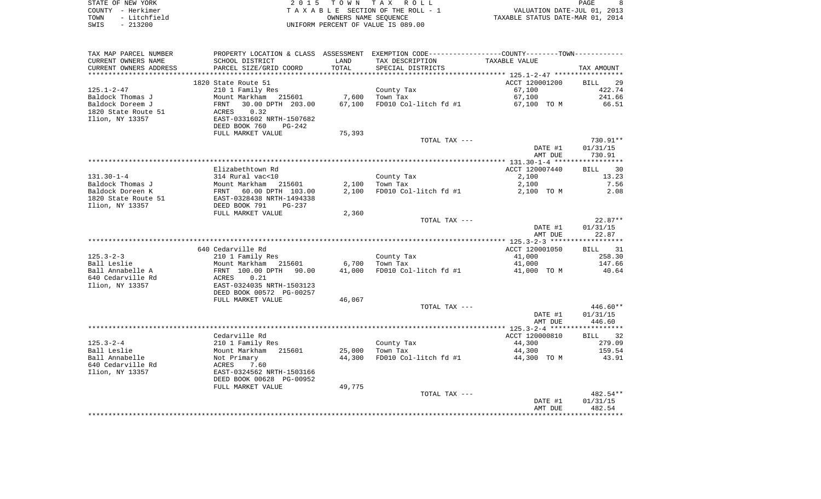|      | STATE OF NEW YORK | 2015 TOWN TAX ROLL                 |                                  | PAGE |  |
|------|-------------------|------------------------------------|----------------------------------|------|--|
|      | COUNTY - Herkimer | TAXABLE SECTION OF THE ROLL - 1    | VALUATION DATE-JUL 01, 2013      |      |  |
| TOWN | - Litchfield      | OWNERS NAME SEOUENCE               | TAXABLE STATUS DATE-MAR 01, 2014 |      |  |
| SWIS | - 213200          | UNIFORM PERCENT OF VALUE IS 089.00 |                                  |      |  |

| TAX MAP PARCEL NUMBER    |                                                              |        | PROPERTY LOCATION & CLASS ASSESSMENT EXEMPTION CODE---------------COUNTY-------TOWN---------- |                  |                  |
|--------------------------|--------------------------------------------------------------|--------|-----------------------------------------------------------------------------------------------|------------------|------------------|
| CURRENT OWNERS NAME      | SCHOOL DISTRICT                                              | LAND   | TAX DESCRIPTION                                                                               | TAXABLE VALUE    |                  |
| CURRENT OWNERS ADDRESS   | PARCEL SIZE/GRID COORD                                       | TOTAL  | SPECIAL DISTRICTS                                                                             |                  | TAX AMOUNT       |
| *****************        | **************************                                   |        |                                                                                               |                  |                  |
|                          | 1820 State Route 51                                          |        |                                                                                               | ACCT 120001200   | BILL 29          |
| 125.1-2-47               | 210 1 Family Res                                             |        | County Tax                                                                                    | 67,100           | 422.74           |
| Baldock Thomas J         | Mount Markham 215601                                         | 7,600  | Town Tax                                                                                      | 67,100           | 241.66           |
| Baldock Doreem J         | FRNT<br>ACRES<br>30.00 DPTH 203.00                           | 67,100 | FD010 Col-litch fd #1 67,100 TO M                                                             |                  | 66.51            |
| 1820 State Route 51      | 0.32                                                         |        |                                                                                               |                  |                  |
| Ilion, NY 13357          | EAST-0331602 NRTH-1507682                                    |        |                                                                                               |                  |                  |
|                          | DEED BOOK 760<br>PG-242                                      |        |                                                                                               |                  |                  |
|                          | FULL MARKET VALUE                                            | 75,393 |                                                                                               |                  | 730.91**         |
|                          |                                                              |        | TOTAL TAX ---                                                                                 | DATE #1          | 01/31/15         |
|                          |                                                              |        |                                                                                               | AMT DUE          | 730.91           |
|                          |                                                              |        |                                                                                               |                  |                  |
|                          | Elizabethtown Rd                                             |        |                                                                                               | ACCT 120007440   | BILL 30          |
| 131.30-1-4               | 314 Rural vac<10                                             |        | County Tax                                                                                    | 2,100            | 13.23            |
| Baldock Thomas J         |                                                              | 2,100  | Town Tax                                                                                      | 2,100            | 7.56             |
| Baldock Doreen K         | Mount Markham 215601<br>FRNT 60.00 DPTH 103.00               | 2,100  | FD010 Col-litch fd #1                                                                         | 2,100 TO M       | 2.08             |
| 1820 State Route 51      | EAST-0328438 NRTH-1494338                                    |        |                                                                                               |                  |                  |
| Ilion, NY 13357          | DEED BOOK 791<br>PG-237                                      |        |                                                                                               |                  |                  |
|                          | FULL MARKET VALUE                                            | 2,360  |                                                                                               |                  |                  |
|                          |                                                              |        | TOTAL TAX ---                                                                                 |                  | $22.87**$        |
|                          |                                                              |        |                                                                                               | DATE #1          | 01/31/15         |
|                          |                                                              |        |                                                                                               | AMT DUE          | 22.87            |
|                          |                                                              |        |                                                                                               |                  |                  |
|                          | 640 Cedarville Rd                                            |        |                                                                                               | ACCT 120001050   | BILL 31          |
| 125.3-2-3<br>Ball Leslie | 210 1 Family Res                                             | 6,700  | County Tax<br>Town Tax                                                                        | 41,000<br>41,000 | 258.30<br>147.66 |
| Ball Annabelle A         | Mount Markham 215601<br>FRNT 100.00 DPTH 90.00<br>ACRES 0.21 | 41,000 | FD010 Col-litch fd #1                                                                         | 41,000 TO M      | 40.64            |
| 640 Cedarville Rd        |                                                              |        |                                                                                               |                  |                  |
| Ilion, NY 13357          | EAST-0324035 NRTH-1503123                                    |        |                                                                                               |                  |                  |
|                          | DEED BOOK 00572 PG-00257                                     |        |                                                                                               |                  |                  |
|                          | FULL MARKET VALUE                                            | 46,067 |                                                                                               |                  |                  |
|                          |                                                              |        | TOTAL TAX ---                                                                                 |                  | 446.60**         |
|                          |                                                              |        |                                                                                               | DATE #1          | 01/31/15         |
|                          |                                                              |        |                                                                                               | AMT DUE          | 446.60           |
|                          |                                                              |        |                                                                                               |                  |                  |
|                          | Cedarville Rd                                                |        |                                                                                               | ACCT 120000810   | BILL 32          |
| 125.3-2-4                | 210 1 Family Res                                             |        | County Tax<br>Town Tax                                                                        | 44,300           | 279.09           |
| Ball Leslie              | ---<br>Mount Markham 215601                                  | 25,000 |                                                                                               | 44,300           | 159.54           |
| Ball Annabelle           | Not Primary                                                  | 44,300 | FD010 Col-litch fd #1                                                                         | 44,300 TO M      | 43.91            |
| 640 Cedarville Rd        | <b>ACRES</b><br>7.60                                         |        |                                                                                               |                  |                  |
| Ilion, NY 13357          | EAST-0324562 NRTH-1503166                                    |        |                                                                                               |                  |                  |
|                          | DEED BOOK 00628 PG-00952                                     |        |                                                                                               |                  |                  |
|                          | FULL MARKET VALUE                                            | 49,775 | TOTAL TAX ---                                                                                 |                  | 482.54**         |
|                          |                                                              |        |                                                                                               | DATE #1          | 01/31/15         |
|                          |                                                              |        |                                                                                               | AMT DUE          | 482.54           |
|                          |                                                              |        |                                                                                               |                  |                  |
|                          |                                                              |        |                                                                                               |                  |                  |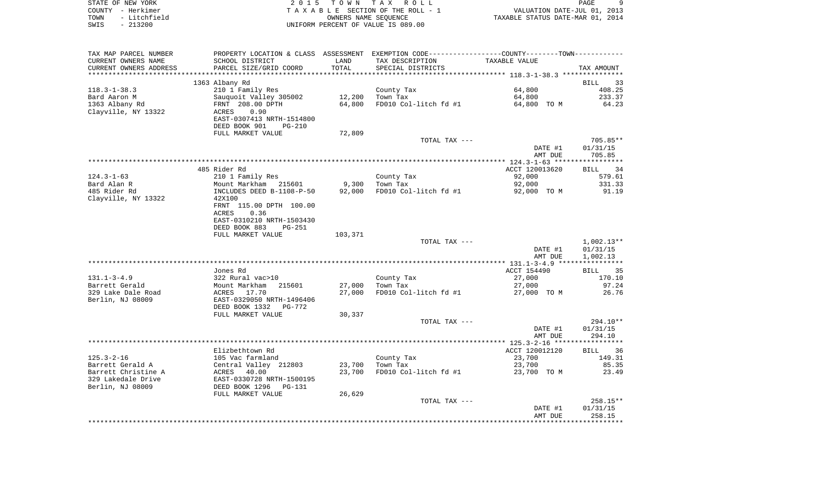| STATE OF NEW YORK |                   | 2015 TOWN TAX ROLL                    | PAGE                             |  |
|-------------------|-------------------|---------------------------------------|----------------------------------|--|
|                   | COUNTY - Herkimer | T A X A B L E SECTION OF THE ROLL - 1 | VALUATION DATE-JUL 01, 2013      |  |
| TOWN              | - Litchfield      | OWNERS NAME SEOUENCE                  | TAXABLE STATUS DATE-MAR 01, 2014 |  |
| SWIS              | - 213200          | UNIFORM PERCENT OF VALUE IS 089.00    |                                  |  |

| TAX MAP PARCEL NUMBER                     | PROPERTY LOCATION & CLASS ASSESSMENT EXEMPTION CODE----------------COUNTY--------TOWN----------- |                  |                       |                |                   |
|-------------------------------------------|--------------------------------------------------------------------------------------------------|------------------|-----------------------|----------------|-------------------|
| CURRENT OWNERS NAME                       | SCHOOL DISTRICT                                                                                  | LAND             | TAX DESCRIPTION       | TAXABLE VALUE  |                   |
| CURRENT OWNERS ADDRESS                    | PARCEL SIZE/GRID COORD                                                                           | TOTAL            | SPECIAL DISTRICTS     |                | TAX AMOUNT        |
| ************************                  |                                                                                                  |                  |                       |                |                   |
|                                           | 1363 Albany Rd                                                                                   |                  |                       |                | BILL<br>33        |
| $118.3 - 1 - 38.3$                        | 210 1 Family Res                                                                                 |                  | County Tax            | 64,800         | 408.25            |
| Bard Aaron M                              | Sauquoit Valley 305002                                                                           | 12,200           | Town Tax              | 64,800         | 233.37            |
| 1363 Albany Rd                            | FRNT 208.00 DPTH                                                                                 | 64,800           | FD010 Col-litch fd #1 | 64,800 TO M    | 64.23             |
| Clayville, NY 13322                       | ACRES<br>0.90                                                                                    |                  |                       |                |                   |
|                                           | EAST-0307413 NRTH-1514800                                                                        |                  |                       |                |                   |
|                                           | DEED BOOK 901<br><b>PG-210</b>                                                                   |                  |                       |                |                   |
|                                           | FULL MARKET VALUE                                                                                | 72,809           |                       |                |                   |
|                                           |                                                                                                  |                  | TOTAL TAX ---         |                | 705.85**          |
|                                           |                                                                                                  |                  |                       | DATE #1        | 01/31/15          |
|                                           |                                                                                                  |                  |                       | AMT DUE        | 705.85            |
|                                           |                                                                                                  |                  |                       |                |                   |
|                                           | 485 Rider Rd                                                                                     |                  |                       | ACCT 120013620 | 34<br><b>BILL</b> |
| $124.3 - 1 - 63$                          | 210 1 Family Res                                                                                 |                  | County Tax            | 92,000         | 579.61            |
| Bard Alan R                               | Mount Markham 215601                                                                             | 9,300            | Town Tax              | 92,000         | 331.33            |
| 485 Rider Rd                              | INCLUDES DEED B-1108-P-50                                                                        | 92,000           | FD010 Col-litch fd #1 | 92,000 TO M    | 91.19             |
| Clayville, NY 13322                       | 42X100                                                                                           |                  |                       |                |                   |
|                                           | FRNT 115.00 DPTH 100.00                                                                          |                  |                       |                |                   |
|                                           | ACRES<br>0.36                                                                                    |                  |                       |                |                   |
|                                           | EAST-0310210 NRTH-1503430                                                                        |                  |                       |                |                   |
|                                           | DEED BOOK 883<br>$PG-251$                                                                        |                  |                       |                |                   |
|                                           | FULL MARKET VALUE                                                                                | 103,371          |                       |                |                   |
|                                           |                                                                                                  |                  | TOTAL TAX ---         |                | $1,002.13**$      |
|                                           |                                                                                                  |                  |                       | DATE #1        | 01/31/15          |
|                                           |                                                                                                  |                  |                       | AMT DUE        | 1,002.13          |
|                                           |                                                                                                  |                  |                       |                |                   |
|                                           | Jones Rd                                                                                         |                  |                       | ACCT 154490    | <b>BILL</b><br>35 |
| $131.1 - 3 - 4.9$                         | 322 Rural vac>10                                                                                 |                  | County Tax            | 27,000         | 170.10            |
| Barrett Gerald                            | Mount Markham<br>215601                                                                          | 27,000           | Town Tax              | 27,000         | 97.24             |
| 329 Lake Dale Road                        | ACRES 17.70                                                                                      | 27,000           | FD010 Col-litch fd #1 | 27,000 TO M    | 26.76             |
| Berlin, NJ 08009                          | EAST-0329050 NRTH-1496406                                                                        |                  |                       |                |                   |
|                                           | DEED BOOK 1332<br>PG-772                                                                         |                  |                       |                |                   |
|                                           | FULL MARKET VALUE                                                                                | 30,337           |                       |                |                   |
|                                           |                                                                                                  |                  | TOTAL TAX ---         |                | 294.10**          |
|                                           |                                                                                                  |                  |                       | DATE #1        | 01/31/15          |
|                                           |                                                                                                  |                  |                       | AMT DUE        | 294.10            |
|                                           |                                                                                                  |                  |                       |                |                   |
|                                           | Elizbethtown Rd                                                                                  |                  |                       | ACCT 120012120 | BILL 36           |
| $125.3 - 2 - 16$                          | 105 Vac farmland                                                                                 |                  | County Tax            | 23,700         | 149.31            |
| Barrett Gerald A                          | Central Valley 212803                                                                            | 23,700<br>23,700 | Town Tax              | 23,700         | 85.35             |
| Barrett Christine A<br>329 Lakedale Drive | ACRES 40.00<br>EAST-0330728 NRTH-1500195                                                         |                  | FD010 Col-litch fd #1 | 23,700 TO M    | 23.49             |
|                                           |                                                                                                  |                  |                       |                |                   |
| Berlin, NJ 08009                          | DEED BOOK 1296<br>PG-131                                                                         |                  |                       |                |                   |
|                                           | FULL MARKET VALUE                                                                                | 26,629           | TOTAL TAX ---         |                | $258.15**$        |
|                                           |                                                                                                  |                  |                       | DATE #1        | 01/31/15          |
|                                           |                                                                                                  |                  |                       | AMT DUE        | 258.15            |
|                                           |                                                                                                  |                  |                       |                |                   |
|                                           |                                                                                                  |                  |                       |                |                   |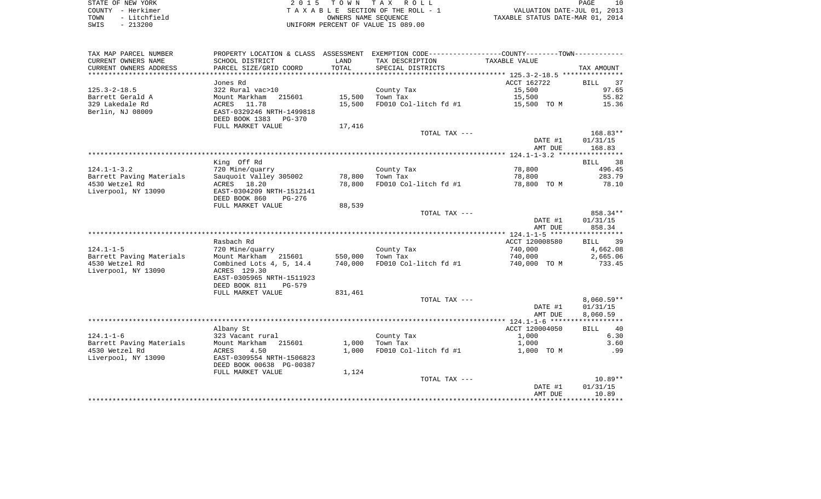STATE OF NEW YORK **EXECUTE:**  $2015$  TOWN TAX ROLL COUNTY - Herkimer<br>
T A X A B L E SECTION OF THE ROLL - 1<br>
TOWN - Litchfield<br>
SWIS - 213200 - UNIFORM PERCENT OF VALUE IS 089.00 TOWN - Litchfield OWNERS NAME SEQUENCE TAXABLE STATUS DATE-MAR 01, 2014 SWIS - 213200 UNIFORM PERCENT OF VALUE IS 089.00

| TAX MAP PARCEL NUMBER    |                           |         | PROPERTY LOCATION & CLASS ASSESSMENT EXEMPTION CODE---------------COUNTY-------TOWN---------- |                |                   |
|--------------------------|---------------------------|---------|-----------------------------------------------------------------------------------------------|----------------|-------------------|
| CURRENT OWNERS NAME      | SCHOOL DISTRICT           | LAND    | TAX DESCRIPTION                                                                               | TAXABLE VALUE  |                   |
| CURRENT OWNERS ADDRESS   | PARCEL SIZE/GRID COORD    | TOTAL   | SPECIAL DISTRICTS                                                                             |                | TAX AMOUNT        |
|                          |                           |         |                                                                                               |                |                   |
|                          | Jones Rd                  |         |                                                                                               | ACCT 162722    | BILL<br>37        |
| $125.3 - 2 - 18.5$       | 322 Rural vac>10          |         | County Tax                                                                                    | 15,500         | 97.65             |
| Barrett Gerald A         | Mount Markham<br>215601   | 15,500  | Town Tax                                                                                      | 15,500         | 55.82             |
| 329 Lakedale Rd          | ACRES 11.78               | 15,500  | FD010 Col-litch fd #1                                                                         | 15,500 TO M    | 15.36             |
| Berlin, NJ 08009         | EAST-0329246 NRTH-1499818 |         |                                                                                               |                |                   |
|                          | DEED BOOK 1383 PG-370     |         |                                                                                               |                |                   |
|                          | FULL MARKET VALUE         | 17,416  |                                                                                               |                |                   |
|                          |                           |         | TOTAL TAX ---                                                                                 |                | $168.83**$        |
|                          |                           |         |                                                                                               | DATE #1        | 01/31/15          |
|                          |                           |         |                                                                                               | AMT DUE        | 168.83            |
|                          |                           |         |                                                                                               |                |                   |
|                          | King Off Rd               |         |                                                                                               |                | BILL 38           |
| $124.1 - 1 - 3.2$        | 720 Mine/quarry           |         |                                                                                               | 78,800         | 496.45            |
|                          |                           |         | County Tax                                                                                    |                | 283.79            |
| Barrett Paving Materials | Sauguoit Valley 305002    | 78,800  | Town Tax                                                                                      | 78,800         |                   |
| 4530 Wetzel Rd           | ACRES 18.20               | 78,800  | FD010 Col-litch fd #1                                                                         | 78,800 TO M    | 78.10             |
| Liverpool, NY 13090      | EAST-0304209 NRTH-1512141 |         |                                                                                               |                |                   |
|                          | DEED BOOK 860<br>PG-276   |         |                                                                                               |                |                   |
|                          | FULL MARKET VALUE         | 88,539  |                                                                                               |                |                   |
|                          |                           |         | TOTAL TAX ---                                                                                 |                | 858.34**          |
|                          |                           |         |                                                                                               | DATE #1        | 01/31/15          |
|                          |                           |         |                                                                                               | AMT DUE        | 858.34            |
|                          |                           |         |                                                                                               |                |                   |
|                          | Rasbach Rd                |         |                                                                                               | ACCT 120008580 | BILL 39           |
| $124.1 - 1 - 5$          | 720 Mine/quarry           |         | County Tax                                                                                    | 740,000        | 4,662.08          |
| Barrett Paving Materials | Mount Markham 215601      | 550,000 | Town Tax                                                                                      | 740,000        | 2,665.06          |
| 4530 Wetzel Rd           | Combined Lots 4, 5, 14.4  | 740,000 | FD010 Col-litch fd #1                                                                         | 740,000 TO M   | 733.45            |
| Liverpool, NY 13090      | ACRES 129.30              |         |                                                                                               |                |                   |
|                          | EAST-0305965 NRTH-1511923 |         |                                                                                               |                |                   |
|                          | DEED BOOK 811<br>PG-579   |         |                                                                                               |                |                   |
|                          | FULL MARKET VALUE         | 831,461 |                                                                                               |                |                   |
|                          |                           |         | TOTAL TAX ---                                                                                 |                | $8,060.59**$      |
|                          |                           |         |                                                                                               | DATE #1        | 01/31/15          |
|                          |                           |         |                                                                                               | AMT DUE        | 8,060.59          |
|                          |                           |         |                                                                                               |                |                   |
|                          | Albany St                 |         |                                                                                               | ACCT 120004050 | 40<br><b>BILL</b> |
| $124.1 - 1 - 6$          | 323 Vacant rural          |         | County Tax                                                                                    | 1,000          | 6.30              |
| Barrett Paving Materials | Mount Markham 215601      | 1,000   | Town Tax                                                                                      | 1,000          | 3.60              |
| 4530 Wetzel Rd           | 4.50<br>ACRES             | 1,000   | FD010 Col-litch fd #1                                                                         | 1,000 TO M     | .99               |
| Liverpool, NY 13090      | EAST-0309554 NRTH-1506823 |         |                                                                                               |                |                   |
|                          | DEED BOOK 00638 PG-00387  |         |                                                                                               |                |                   |
|                          | FULL MARKET VALUE         | 1,124   |                                                                                               |                |                   |
|                          |                           |         | TOTAL TAX ---                                                                                 |                | $10.89**$         |
|                          |                           |         |                                                                                               | DATE #1        | 01/31/15          |
|                          |                           |         |                                                                                               | AMT DUE        | 10.89             |
|                          |                           |         |                                                                                               |                |                   |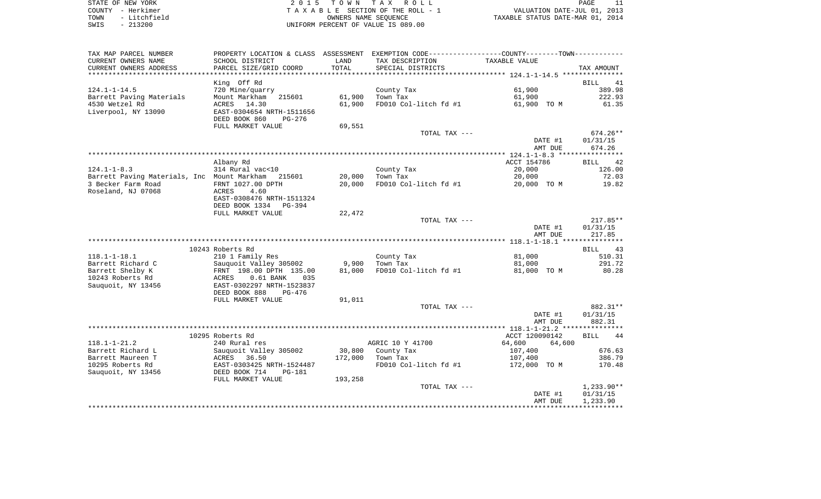| STATE OF NEW YORK    | 2015 TOWN TAX ROLL                 | PAGE                             |
|----------------------|------------------------------------|----------------------------------|
| COUNTY - Herkimer    | TAXABLE SECTION OF THE ROLL - 1    | VALUATION DATE-JUL 01, 2013      |
| - Litchfield<br>TOWN | OWNERS NAME SEOUENCE               | TAXABLE STATUS DATE-MAR 01, 2014 |
| - 213200<br>SWIS     | UNIFORM PERCENT OF VALUE IS 089.00 |                                  |

| TAX MAP PARCEL NUMBER                              |                                   |         | PROPERTY LOCATION & CLASS ASSESSMENT EXEMPTION CODE---------------COUNTY-------TOWN--------- |                          |                   |
|----------------------------------------------------|-----------------------------------|---------|----------------------------------------------------------------------------------------------|--------------------------|-------------------|
| CURRENT OWNERS NAME                                | SCHOOL DISTRICT                   | LAND    | TAX DESCRIPTION                                                                              | TAXABLE VALUE            |                   |
| CURRENT OWNERS ADDRESS                             | PARCEL SIZE/GRID COORD            | TOTAL   | SPECIAL DISTRICTS                                                                            |                          | TAX AMOUNT        |
|                                                    |                                   |         |                                                                                              |                          |                   |
|                                                    | King Off Rd                       |         |                                                                                              |                          | <b>BILL</b><br>41 |
| $124.1 - 1 - 14.5$                                 | 720 Mine/quarry                   |         | County Tax                                                                                   | 61,900                   | 389.98            |
| Barrett Paving Materials                           | Mount Markham<br>215601           | 61,900  | Town Tax                                                                                     | 61,900                   | 222.93            |
| 4530 Wetzel Rd                                     | ACRES<br>14.30                    | 61,900  | FD010 Col-litch fd #1                                                                        | 61,900 TO M              | 61.35             |
| Liverpool, NY 13090                                | EAST-0304654 NRTH-1511656         |         |                                                                                              |                          |                   |
|                                                    | DEED BOOK 860<br>PG-276           |         |                                                                                              |                          |                   |
|                                                    | FULL MARKET VALUE                 | 69,551  | TOTAL TAX ---                                                                                |                          | 674.26**          |
|                                                    |                                   |         |                                                                                              | DATE #1                  | 01/31/15          |
|                                                    |                                   |         |                                                                                              | AMT DUE                  | 674.26            |
|                                                    |                                   |         |                                                                                              |                          |                   |
|                                                    | Albany Rd                         |         |                                                                                              | ACCT 154786              | 42<br>BILL        |
| $124.1 - 1 - 8.3$                                  | 314 Rural vac<10                  |         | County Tax                                                                                   | 20,000                   | 126.00            |
| Barrett Paving Materials, Inc Mount Markham 215601 |                                   | 20,000  | Town Tax                                                                                     | 20,000                   | 72.03             |
| 3 Becker Farm Road                                 | FRNT 1027.00 DPTH                 | 20,000  | FD010 Col-litch fd #1                                                                        | 20,000 TO M              | 19.82             |
| Roseland, NJ 07068                                 | ACRES<br>4.60                     |         |                                                                                              |                          |                   |
|                                                    | EAST-0308476 NRTH-1511324         |         |                                                                                              |                          |                   |
|                                                    | DEED BOOK 1334<br>PG-394          |         |                                                                                              |                          |                   |
|                                                    | FULL MARKET VALUE                 | 22,472  |                                                                                              |                          |                   |
|                                                    |                                   |         | TOTAL TAX ---                                                                                |                          | $217.85**$        |
|                                                    |                                   |         |                                                                                              | DATE #1                  | 01/31/15          |
|                                                    |                                   |         |                                                                                              | AMT DUE                  | 217.85            |
|                                                    | 10243 Roberts Rd                  |         |                                                                                              |                          | <b>BILL</b><br>43 |
| $118.1 - 1 - 18.1$                                 | 210 1 Family Res                  |         | County Tax                                                                                   | 81,000                   | 510.31            |
| Barrett Richard C                                  | Sauquoit Valley 305002            | 9,900   | Town Tax                                                                                     | 81,000                   | 291.72            |
| Barrett Shelby K                                   | FRNT 198.00 DPTH 135.00           | 81,000  | FD010 Col-litch fd #1                                                                        | 81,000 TO M              | 80.28             |
| 10243 Roberts Rd                                   | $0.61$ BANK<br>ACRES<br>035       |         |                                                                                              |                          |                   |
| Sauquoit, NY 13456                                 | EAST-0302297 NRTH-1523837         |         |                                                                                              |                          |                   |
|                                                    | DEED BOOK 888<br>PG-476           |         |                                                                                              |                          |                   |
|                                                    | FULL MARKET VALUE                 | 91,011  |                                                                                              |                          |                   |
|                                                    |                                   |         | TOTAL TAX ---                                                                                |                          | 882.31**          |
|                                                    |                                   |         |                                                                                              | DATE #1                  | 01/31/15          |
|                                                    |                                   |         |                                                                                              | AMT DUE                  | 882.31            |
|                                                    |                                   |         |                                                                                              |                          |                   |
| $118.1 - 1 - 21.2$                                 | 10295 Roberts Rd<br>240 Rural res |         | AGRIC 10 Y 41700                                                                             | ACCT 120090142<br>64,600 | <b>BILL</b><br>44 |
| Barrett Richard L                                  | Sauquoit Valley 305002            | 30,800  | County Tax                                                                                   | 64,600<br>107,400        | 676.63            |
| Barrett Maureen T                                  | ACRES<br>36.50                    | 172,000 | Town Tax                                                                                     | 107,400                  | 386.79            |
| 10295 Roberts Rd                                   | EAST-0303425 NRTH-1524487         |         | FD010 Col-litch fd #1                                                                        | 172,000 TO M             | 170.48            |
| Sauquoit, NY 13456                                 | DEED BOOK 714<br><b>PG-181</b>    |         |                                                                                              |                          |                   |
|                                                    | FULL MARKET VALUE                 | 193,258 |                                                                                              |                          |                   |
|                                                    |                                   |         | TOTAL TAX ---                                                                                |                          | $1,233.90**$      |
|                                                    |                                   |         |                                                                                              | DATE #1                  | 01/31/15          |
|                                                    |                                   |         |                                                                                              | AMT DUE                  | 1,233.90          |
|                                                    |                                   |         |                                                                                              |                          |                   |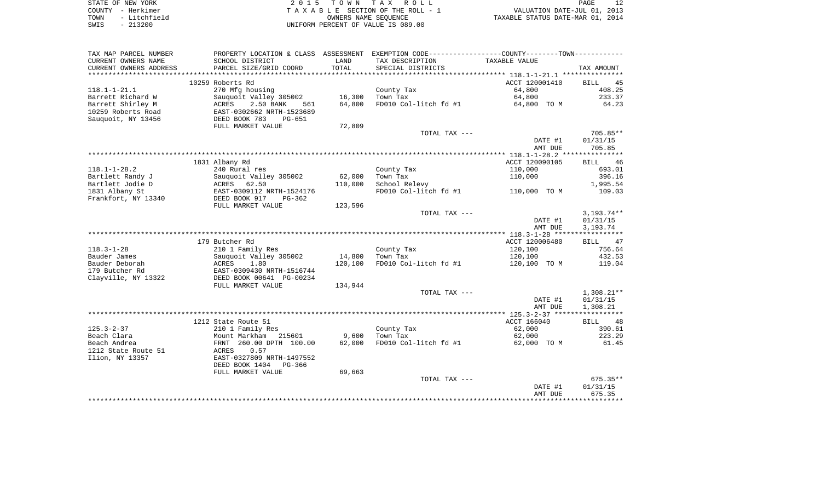| STATE OF NEW YORK    | 2015 TOWN TAX ROLL                 | PAGE                             |
|----------------------|------------------------------------|----------------------------------|
| COUNTY - Herkimer    | TAXABLE SECTION OF THE ROLL - 1    | VALUATION DATE-JUL 01, 2013      |
| - Litchfield<br>TOWN | OWNERS NAME SEOUENCE               | TAXABLE STATUS DATE-MAR 01, 2014 |
| $-213200$<br>SWIS    | UNIFORM PERCENT OF VALUE IS 089.00 |                                  |

| TAX MAP PARCEL NUMBER                |                                          |         | PROPERTY LOCATION & CLASS ASSESSMENT EXEMPTION CODE---------------COUNTY-------TOWN---------- |                  |                   |
|--------------------------------------|------------------------------------------|---------|-----------------------------------------------------------------------------------------------|------------------|-------------------|
| CURRENT OWNERS NAME                  | SCHOOL DISTRICT                          | LAND    | TAX DESCRIPTION                                                                               | TAXABLE VALUE    |                   |
| CURRENT OWNERS ADDRESS               | PARCEL SIZE/GRID COORD                   | TOTAL   | SPECIAL DISTRICTS                                                                             |                  | TAX AMOUNT        |
|                                      |                                          |         |                                                                                               |                  |                   |
|                                      | 10259 Roberts Rd                         |         |                                                                                               | ACCT 120001410   | 45<br><b>BILL</b> |
| $118.1 - 1 - 21.1$                   | 270 Mfg housing                          |         | County Tax                                                                                    | 64,800           | 408.25            |
| Barrett Richard W                    | Sauquoit Valley 305002                   | 16,300  | Town Tax                                                                                      | 64,800           | 233.37            |
| Barrett Shirley M                    | 2.50 BANK<br>ACRES<br>561                | 64,800  | FD010 Col-litch fd #1                                                                         | 64,800 TO M      | 64.23             |
| 10259 Roberts Road                   | EAST-0302662 NRTH-1523689                |         |                                                                                               |                  |                   |
| Sauguoit, NY 13456                   | DEED BOOK 783<br>$PG-651$                |         |                                                                                               |                  |                   |
|                                      | FULL MARKET VALUE                        | 72,809  |                                                                                               |                  |                   |
|                                      |                                          |         | TOTAL TAX ---                                                                                 |                  | 705.85**          |
|                                      |                                          |         |                                                                                               | DATE #1          | 01/31/15          |
|                                      |                                          |         |                                                                                               | AMT DUE          | 705.85            |
|                                      |                                          |         |                                                                                               |                  |                   |
|                                      | 1831 Albany Rd                           |         |                                                                                               | ACCT 120090105   | 46<br>BILL        |
| $118.1 - 1 - 28.2$                   | 240 Rural res                            | 62,000  | County Tax<br>Town Tax                                                                        | 110,000          | 693.01<br>396.16  |
| Bartlett Randy J<br>Bartlett Jodie D | Sauquoit Valley 305002<br>ACRES<br>62.50 | 110,000 |                                                                                               | 110,000          | 1,995.54          |
| 1831 Albany St                       | EAST-0309112 NRTH-1524176                |         | School Relevy<br>FD010 Col-litch fd #1                                                        | 110,000 TO M     | 109.03            |
| Frankfort, NY 13340                  | DEED BOOK 917<br>PG-362                  |         |                                                                                               |                  |                   |
|                                      | FULL MARKET VALUE                        | 123,596 |                                                                                               |                  |                   |
|                                      |                                          |         | TOTAL TAX ---                                                                                 |                  | $3,193.74**$      |
|                                      |                                          |         |                                                                                               | DATE #1          | 01/31/15          |
|                                      |                                          |         |                                                                                               | AMT DUE          | 3,193.74          |
|                                      |                                          |         |                                                                                               |                  |                   |
|                                      | 179 Butcher Rd                           |         |                                                                                               | ACCT 120006480   | 47<br>BILL        |
| $118.3 - 1 - 28$                     | 210 1 Family Res                         |         | County Tax                                                                                    | 120,100          | 756.64            |
| Bauder James                         | Sauquoit Valley 305002                   | 14,800  | Town Tax                                                                                      | 120,100          | 432.53            |
| Bauder Deborah                       | ACRES<br>1.80                            | 120,100 | FD010 Col-litch fd #1                                                                         | 120,100 TO M     | 119.04            |
| 179 Butcher Rd                       | EAST-0309430 NRTH-1516744                |         |                                                                                               |                  |                   |
| Clayville, NY 13322                  | DEED BOOK 00641 PG-00234                 |         |                                                                                               |                  |                   |
|                                      | FULL MARKET VALUE                        | 134,944 |                                                                                               |                  |                   |
|                                      |                                          |         | TOTAL TAX ---                                                                                 |                  | $1,308.21**$      |
|                                      |                                          |         |                                                                                               | DATE #1          | 01/31/15          |
|                                      |                                          |         |                                                                                               | AMT DUE          | 1,308.21          |
|                                      |                                          |         |                                                                                               |                  |                   |
|                                      | 1212 State Route 51                      |         |                                                                                               | ACCT 166040      | 48<br>BILL        |
| $125.3 - 2 - 37$<br>Beach Clara      | 210 1 Family Res<br>Mount Markham        | 9,600   | County Tax<br>Town Tax                                                                        | 62,000<br>62,000 | 390.61<br>223.29  |
| Beach Andrea                         | 215601<br>FRNT 260.00 DPTH 100.00        | 62,000  | FD010 Col-litch fd #1                                                                         | 62,000 TO M      | 61.45             |
| 1212 State Route 51                  | 0.57<br>ACRES                            |         |                                                                                               |                  |                   |
| Ilion, NY 13357                      | EAST-0327809 NRTH-1497552                |         |                                                                                               |                  |                   |
|                                      | DEED BOOK 1404<br>$PG-366$               |         |                                                                                               |                  |                   |
|                                      | FULL MARKET VALUE                        | 69,663  |                                                                                               |                  |                   |
|                                      |                                          |         | TOTAL TAX ---                                                                                 |                  | $675.35**$        |
|                                      |                                          |         |                                                                                               | DATE #1          | 01/31/15          |
|                                      |                                          |         |                                                                                               | AMT DUE          | 675.35            |
|                                      |                                          |         |                                                                                               |                  |                   |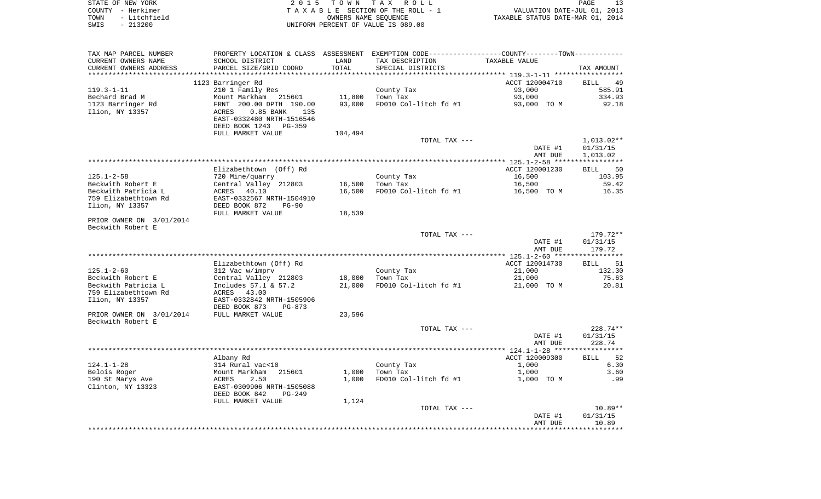|      | STATE OF NEW YORK | 2015 TOWN TAX ROLL                 | PAGE                             |
|------|-------------------|------------------------------------|----------------------------------|
|      | COUNTY - Herkimer | TAXABLE SECTION OF THE ROLL - 1    | VALUATION DATE-JUL 01, 2013      |
| TOWN | - Litchfield      | OWNERS NAME SEOUENCE               | TAXABLE STATUS DATE-MAR 01, 2014 |
| SWIS | - 213200          | UNIFORM PERCENT OF VALUE IS 089.00 |                                  |

| TAX MAP PARCEL NUMBER    |                             |         | PROPERTY LOCATION & CLASS ASSESSMENT EXEMPTION CODE----------------COUNTY--------TOWN---------- |                      |                   |
|--------------------------|-----------------------------|---------|-------------------------------------------------------------------------------------------------|----------------------|-------------------|
| CURRENT OWNERS NAME      | SCHOOL DISTRICT             | LAND    | TAX DESCRIPTION                                                                                 | <b>TAXABLE VALUE</b> |                   |
| CURRENT OWNERS ADDRESS   | PARCEL SIZE/GRID COORD      | TOTAL   | SPECIAL DISTRICTS                                                                               |                      | TAX AMOUNT        |
|                          |                             |         |                                                                                                 |                      |                   |
|                          | 1123 Barringer Rd           |         |                                                                                                 | ACCT 120004710       | BILL 49           |
| 119.3-1-11               | 210 1 Family Res            |         | County Tax                                                                                      | 93,000               | 585.91            |
| Bechard Brad M           | Mount Markham 215601        | 11,800  | Town Tax                                                                                        | 93,000               | 334.93            |
| 1123 Barringer Rd        | FRNT 200.00 DPTH 190.00     | 93,000  | FD010 Col-litch fd #1                                                                           | 93,000 TO M          | 92.18             |
| Ilion, NY 13357          | ACRES<br>$0.85$ BANK<br>135 |         |                                                                                                 |                      |                   |
|                          | EAST-0332480 NRTH-1516546   |         |                                                                                                 |                      |                   |
|                          | DEED BOOK 1243 PG-359       |         |                                                                                                 |                      |                   |
|                          | FULL MARKET VALUE           | 104,494 |                                                                                                 |                      |                   |
|                          |                             |         | TOTAL TAX ---                                                                                   |                      | 1,013.02**        |
|                          |                             |         |                                                                                                 | DATE #1              | 01/31/15          |
|                          |                             |         |                                                                                                 |                      |                   |
|                          |                             |         |                                                                                                 | AMT DUE              | 1,013.02          |
|                          |                             |         |                                                                                                 |                      |                   |
|                          | Elizabethtown (Off) Rd      |         |                                                                                                 | ACCT 120001230       | 50<br>BILL        |
| 125.1-2-58               | 720 Mine/quarry             |         | County Tax                                                                                      | 16,500               | 103.95            |
| Beckwith Robert E        | Central Valley 212803       | 16,500  | Town Tax                                                                                        | 16,500               | 59.42             |
| Beckwith Patricia L      | ACRES<br>40.10              | 16,500  | FD010 Col-litch fd #1                                                                           | 16,500 TO M          | 16.35             |
| 759 Elizabethtown Rd     | EAST-0332567 NRTH-1504910   |         |                                                                                                 |                      |                   |
| Ilion, NY 13357          | DEED BOOK 872<br>$PG-90$    |         |                                                                                                 |                      |                   |
|                          | FULL MARKET VALUE           | 18,539  |                                                                                                 |                      |                   |
| PRIOR OWNER ON 3/01/2014 |                             |         |                                                                                                 |                      |                   |
| Beckwith Robert E        |                             |         |                                                                                                 |                      |                   |
|                          |                             |         | TOTAL TAX ---                                                                                   |                      | 179.72**          |
|                          |                             |         |                                                                                                 | DATE #1              | 01/31/15          |
|                          |                             |         |                                                                                                 | AMT DUE              | 179.72            |
|                          |                             |         |                                                                                                 |                      |                   |
|                          | Elizabethtown (Off) Rd      |         |                                                                                                 | ACCT 120014730       | 51<br>BILL        |
| 125.1-2-60               | 312 Vac w/imprv             |         | County Tax                                                                                      | 21,000               | 132.30            |
| Beckwith Robert E        | Central Valley 212803       | 18,000  | Town Tax                                                                                        | 21,000               | 75.63             |
| Beckwith Patricia L      | Includes 57.1 & 57.2        | 21,000  | FD010 Col-litch fd #1                                                                           | 21,000 TO M          | 20.81             |
| 759 Elizabethtown Rd     | ACRES 43.00                 |         |                                                                                                 |                      |                   |
| Ilion, NY 13357          | EAST-0332842 NRTH-1505906   |         |                                                                                                 |                      |                   |
|                          | DEED BOOK 873<br>PG-873     |         |                                                                                                 |                      |                   |
| PRIOR OWNER ON 3/01/2014 | FULL MARKET VALUE           | 23,596  |                                                                                                 |                      |                   |
| Beckwith Robert E        |                             |         |                                                                                                 |                      |                   |
|                          |                             |         | TOTAL TAX ---                                                                                   |                      | 228.74**          |
|                          |                             |         |                                                                                                 | DATE #1              | 01/31/15          |
|                          |                             |         |                                                                                                 | AMT DUE              | 228.74            |
|                          |                             |         |                                                                                                 |                      |                   |
|                          | Albany Rd                   |         |                                                                                                 | ACCT 120009300       | 52<br><b>BILL</b> |
| 124.1-1-28               | 314 Rural vac<10            |         | County Tax                                                                                      | 1,000                | 6.30              |
| Belois Roger             | Mount Markham<br>215601     | 1,000   | Town Tax                                                                                        | 1,000                | 3.60              |
| 190 St Marys Ave         | ACRES<br>2.50               | 1,000   | FD010 Col-litch fd #1                                                                           | 1,000 TO M           | .99               |
| Clinton, NY 13323        | EAST-0309906 NRTH-1505088   |         |                                                                                                 |                      |                   |
|                          | DEED BOOK 842<br>$PG-249$   |         |                                                                                                 |                      |                   |
|                          | FULL MARKET VALUE           | 1,124   |                                                                                                 |                      |                   |
|                          |                             |         | TOTAL TAX ---                                                                                   |                      | $10.89**$         |
|                          |                             |         |                                                                                                 | DATE #1              | 01/31/15          |
|                          |                             |         |                                                                                                 | AMT DUE              | 10.89             |
|                          |                             |         |                                                                                                 |                      |                   |
|                          |                             |         |                                                                                                 |                      |                   |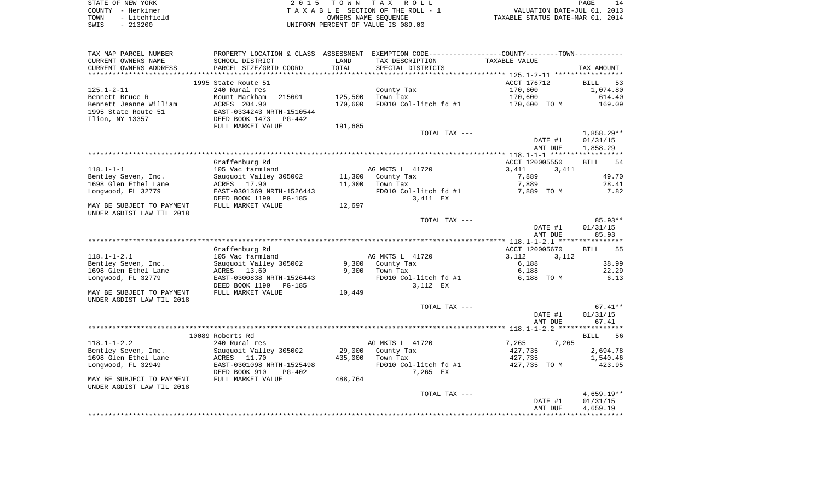| STATE OF NEW YORK    | 2015 TOWN TAX ROLL                 | PAGE                             |  |
|----------------------|------------------------------------|----------------------------------|--|
| COUNTY - Herkimer    | TAXABLE SECTION OF THE ROLL - 1    | VALUATION DATE-JUL 01, 2013      |  |
| - Litchfield<br>TOWN | OWNERS NAME SEOUENCE               | TAXABLE STATUS DATE-MAR 01, 2014 |  |
| SWIS<br>- 213200     | UNIFORM PERCENT OF VALUE IS 089.00 |                                  |  |

| TAX MAP PARCEL NUMBER     |                           |         | PROPERTY LOCATION & CLASS ASSESSMENT EXEMPTION CODE---------------COUNTY-------TOWN---------- |                |                    |
|---------------------------|---------------------------|---------|-----------------------------------------------------------------------------------------------|----------------|--------------------|
| CURRENT OWNERS NAME       | SCHOOL DISTRICT           | LAND    | TAX DESCRIPTION                                                                               | TAXABLE VALUE  |                    |
| CURRENT OWNERS ADDRESS    | PARCEL SIZE/GRID COORD    | TOTAL   | SPECIAL DISTRICTS                                                                             |                | TAX AMOUNT         |
|                           |                           |         |                                                                                               |                |                    |
|                           | 1995 State Route 51       |         |                                                                                               | ACCT 176712    | BILL<br>53         |
| $125.1 - 2 - 11$          | 240 Rural res             |         | County Tax                                                                                    | 170,600        | 1,074.80           |
| Bennett Bruce R           | Mount Markham<br>215601   | 125,500 | Town Tax                                                                                      | 170,600        | 614.40             |
| Bennett Jeanne William    | ACRES 204.90              | 170,600 | FD010 Col-litch fd #1                                                                         | 170,600 TO M   | 169.09             |
| 1995 State Route 51       | EAST-0334243 NRTH-1510544 |         |                                                                                               |                |                    |
| Ilion, NY 13357           | DEED BOOK 1473<br>PG-442  |         |                                                                                               |                |                    |
|                           | FULL MARKET VALUE         | 191,685 |                                                                                               |                |                    |
|                           |                           |         | TOTAL TAX ---                                                                                 |                | 1,858.29**         |
|                           |                           |         |                                                                                               | DATE #1        | 01/31/15           |
|                           |                           |         |                                                                                               | AMT DUE        | 1,858.29           |
|                           |                           |         |                                                                                               |                |                    |
|                           | Graffenburg Rd            |         |                                                                                               |                | <b>BILL</b><br>54  |
|                           |                           |         |                                                                                               | ACCT 120005550 |                    |
| $118.1 - 1 - 1$           | 105 Vac farmland          |         | AG MKTS L 41720                                                                               | 3,411<br>3,411 |                    |
| Bentley Seven, Inc.       | Sauguoit Valley 305002    | 11,300  | County Tax                                                                                    | 7,889          | 49.70              |
| 1698 Glen Ethel Lane      | ACRES 17.90               | 11,300  | Town Tax                                                                                      | 7,889          | 28.41              |
| Longwood, FL 32779        | EAST-0301369 NRTH-1526443 |         | FD010 Col-litch fd #1                                                                         | 7,889 TO M     | 7.82               |
|                           | DEED BOOK 1199<br>PG-185  |         | 3,411 EX                                                                                      |                |                    |
| MAY BE SUBJECT TO PAYMENT | FULL MARKET VALUE         | 12,697  |                                                                                               |                |                    |
| UNDER AGDIST LAW TIL 2018 |                           |         |                                                                                               |                |                    |
|                           |                           |         | TOTAL TAX ---                                                                                 |                | $85.93**$          |
|                           |                           |         |                                                                                               | DATE #1        | 01/31/15           |
|                           |                           |         |                                                                                               | AMT DUE        | 85.93              |
|                           |                           |         |                                                                                               |                |                    |
|                           | Graffenburg Rd            |         |                                                                                               | ACCT 120005670 | 55<br>BILL         |
| $118.1 - 1 - 2.1$         | 105 Vac farmland          |         | AG MKTS L 41720                                                                               | 3,112<br>3,112 |                    |
| Bentley Seven, Inc.       | Sauquoit Valley 305002    | 9,300   | County Tax                                                                                    | 6,188          | 38.99              |
| 1698 Glen Ethel Lane      | ACRES 13.60               | 9,300   | Town Tax                                                                                      | 6,188          | 22.29              |
| Longwood, FL 32779        | EAST-0300838 NRTH-1526443 |         | FD010 Col-litch fd #1                                                                         | 6,188 TO M     | 6.13               |
|                           | DEED BOOK 1199<br>PG-185  |         | 3,112 EX                                                                                      |                |                    |
| MAY BE SUBJECT TO PAYMENT | FULL MARKET VALUE         | 10,449  |                                                                                               |                |                    |
| UNDER AGDIST LAW TIL 2018 |                           |         |                                                                                               |                |                    |
|                           |                           |         | TOTAL TAX ---                                                                                 |                | $67.41**$          |
|                           |                           |         |                                                                                               | DATE #1        | 01/31/15           |
|                           |                           |         |                                                                                               | AMT DUE        | 67.41              |
|                           |                           |         |                                                                                               |                |                    |
|                           | 10089 Roberts Rd          |         |                                                                                               |                | <b>BILL</b><br>-56 |
| $118.1 - 1 - 2.2$         | 240 Rural res             |         | AG MKTS L 41720                                                                               | 7,265<br>7,265 |                    |
| Bentley Seven, Inc.       | Sauquoit Valley 305002    | 29,000  | County Tax                                                                                    | 427,735        | 2,694.78           |
| 1698 Glen Ethel Lane      | ACRES<br>11.70            | 435,000 | Town Tax                                                                                      | 427,735        | 1,540.46           |
| Longwood, FL 32949        | EAST-0301098 NRTH-1525498 |         | FD010 Col-litch fd #1                                                                         | 427,735 TO M   | 423.95             |
|                           | DEED BOOK 910<br>PG-402   |         | 7,265 EX                                                                                      |                |                    |
| MAY BE SUBJECT TO PAYMENT | FULL MARKET VALUE         | 488,764 |                                                                                               |                |                    |
| UNDER AGDIST LAW TIL 2018 |                           |         |                                                                                               |                |                    |
|                           |                           |         | TOTAL TAX ---                                                                                 |                | $4,659.19**$       |
|                           |                           |         |                                                                                               | DATE #1        | 01/31/15           |
|                           |                           |         |                                                                                               | AMT DUE        | 4,659.19           |
|                           |                           |         |                                                                                               |                |                    |
|                           |                           |         |                                                                                               |                |                    |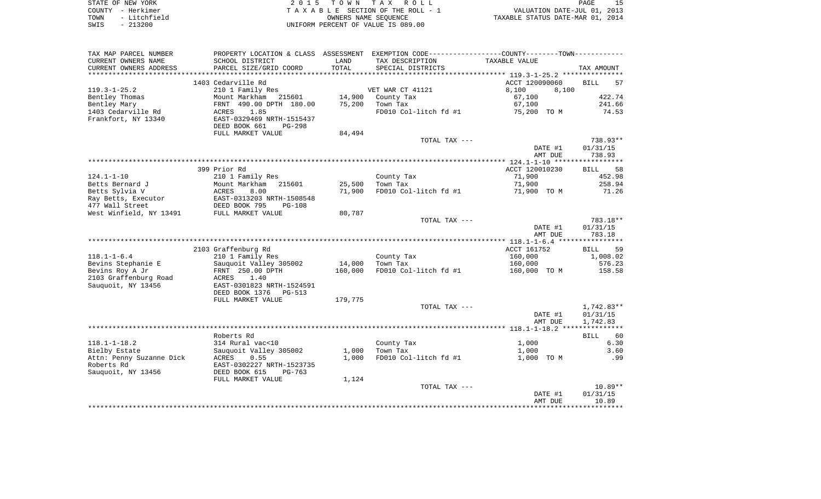|      | STATE OF NEW YORK | 2015 TOWN TAX ROLL                 | PAGE                             |
|------|-------------------|------------------------------------|----------------------------------|
|      | COUNTY - Herkimer | TAXABLE SECTION OF THE ROLL - 1    | VALUATION DATE-JUL 01, 2013      |
| TOWN | - Litchfield      | OWNERS NAME SEOUENCE               | TAXABLE STATUS DATE-MAR 01, 2014 |
| SWIS | $-213200$         | UNIFORM PERCENT OF VALUE IS 089.00 |                                  |

| TAX MAP PARCEL NUMBER    | PROPERTY LOCATION & CLASS ASSESSMENT EXEMPTION CODE---------------COUNTY-------TOWN---------- |         |                       |                |                   |
|--------------------------|-----------------------------------------------------------------------------------------------|---------|-----------------------|----------------|-------------------|
| CURRENT OWNERS NAME      | SCHOOL DISTRICT                                                                               | LAND    | TAX DESCRIPTION       | TAXABLE VALUE  |                   |
| CURRENT OWNERS ADDRESS   | PARCEL SIZE/GRID COORD                                                                        | TOTAL   | SPECIAL DISTRICTS     |                | TAX AMOUNT        |
|                          |                                                                                               |         |                       |                |                   |
|                          | 1403 Cedarville Rd                                                                            |         |                       | ACCT 120090060 | <b>BILL</b><br>57 |
| $119.3 - 1 - 25.2$       | 210 1 Family Res                                                                              |         | VET WAR CT 41121      | 8,100<br>8,100 |                   |
| Bentley Thomas           | Mount Markham<br>215601                                                                       | 14,900  | County Tax            | 67,100         | 422.74            |
| Bentley Mary             | FRNT 490.00 DPTH 180.00                                                                       | 75,200  | Town Tax              | 67,100         | 241.66            |
| 1403 Cedarville Rd       | 1.85<br>ACRES                                                                                 |         | FD010 Col-litch fd #1 | 75,200 TO M    | 74.53             |
| Frankfort, NY 13340      | EAST-0329469 NRTH-1515437                                                                     |         |                       |                |                   |
|                          | DEED BOOK 661<br><b>PG-298</b>                                                                |         |                       |                |                   |
|                          | FULL MARKET VALUE                                                                             | 84,494  |                       |                |                   |
|                          |                                                                                               |         | TOTAL TAX ---         |                | 738.93**          |
|                          |                                                                                               |         |                       | DATE #1        | 01/31/15          |
|                          |                                                                                               |         |                       | AMT DUE        | 738.93            |
|                          |                                                                                               |         |                       |                |                   |
|                          | 399 Prior Rd                                                                                  |         |                       | ACCT 120010230 | BILL<br>58        |
| $124.1 - 1 - 10$         | 210 1 Family Res                                                                              |         | County Tax            | 71,900         | 452.98            |
| Betts Bernard J          | Mount Markham<br>215601                                                                       | 25,500  | Town Tax              | 71,900         | 258.94            |
| Betts Sylvia V           | ACRES<br>8.00                                                                                 | 71,900  | FD010 Col-litch fd #1 | 71,900 TO M    | 71.26             |
| Ray Betts, Executor      | EAST-0313203 NRTH-1508548                                                                     |         |                       |                |                   |
| 477 Wall Street          | DEED BOOK 795<br><b>PG-108</b><br>FULL MARKET VALUE                                           |         |                       |                |                   |
| West Winfield, NY 13491  |                                                                                               | 80,787  | TOTAL TAX ---         |                | 783.18**          |
|                          |                                                                                               |         |                       | DATE #1        | 01/31/15          |
|                          |                                                                                               |         |                       | AMT DUE        | 783.18            |
|                          |                                                                                               |         |                       |                |                   |
|                          | 2103 Graffenburg Rd                                                                           |         |                       | ACCT 161752    | 59<br>BILL        |
| $118.1 - 1 - 6.4$        | 210 1 Family Res                                                                              |         | County Tax            | 160,000        | 1,008.02          |
| Bevins Stephanie E       | Sauquoit Valley 305002                                                                        | 14,000  | Town Tax              | 160,000        | 576.23            |
| Bevins Roy A Jr          | FRNT 250.00 DPTH                                                                              | 160,000 | FD010 Col-litch fd #1 | 160,000 TO M   | 158.58            |
| 2103 Graffenburg Road    | ACRES<br>1.40                                                                                 |         |                       |                |                   |
| Sauquoit, NY 13456       | EAST-0301823 NRTH-1524591                                                                     |         |                       |                |                   |
|                          | DEED BOOK 1376<br>PG-513                                                                      |         |                       |                |                   |
|                          | FULL MARKET VALUE                                                                             | 179,775 |                       |                |                   |
|                          |                                                                                               |         | TOTAL TAX ---         |                | 1,742.83**        |
|                          |                                                                                               |         |                       | DATE #1        | 01/31/15          |
|                          |                                                                                               |         |                       | AMT DUE        | 1,742.83          |
|                          |                                                                                               |         |                       |                |                   |
|                          | Roberts Rd                                                                                    |         |                       |                | <b>BILL</b><br>60 |
| $118.1 - 1 - 18.2$       | 314 Rural vac<10                                                                              |         | County Tax            | 1,000          | 6.30              |
| Bielby Estate            | Sauquoit Valley 305002                                                                        | 1,000   | Town Tax              | 1,000          | 3.60              |
| Attn: Penny Suzanne Dick | ACRES<br>0.55                                                                                 | 1,000   | FD010 Col-litch fd #1 | 1,000 TO M     | .99               |
| Roberts Rd               | EAST-0302227 NRTH-1523735                                                                     |         |                       |                |                   |
| Sauguoit, NY 13456       | DEED BOOK 615<br>$PG-763$                                                                     |         |                       |                |                   |
|                          | FULL MARKET VALUE                                                                             | 1,124   |                       |                |                   |
|                          |                                                                                               |         | TOTAL TAX ---         |                | $10.89**$         |
|                          |                                                                                               |         |                       | DATE #1        | 01/31/15          |
|                          |                                                                                               |         |                       | AMT DUE        | 10.89             |
|                          |                                                                                               |         |                       |                |                   |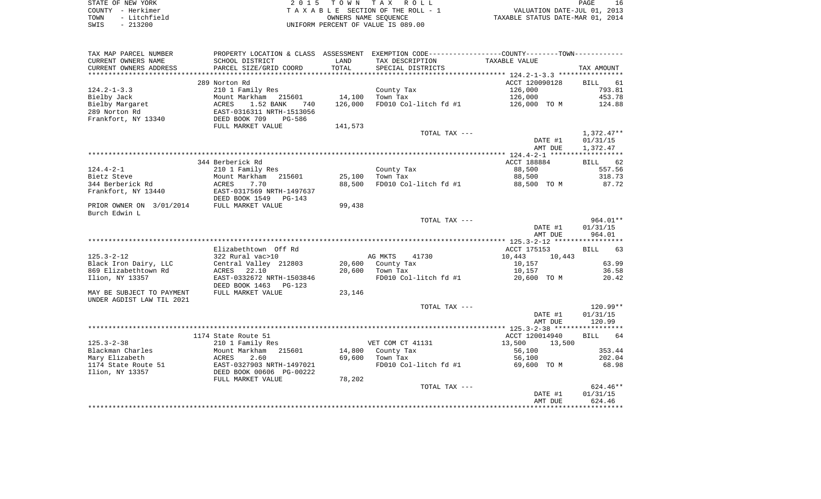| STATE OF NEW YORK    | 2015 TOWN TAX ROLL                 | PAGE                             |
|----------------------|------------------------------------|----------------------------------|
| COUNTY - Herkimer    | TAXABLE SECTION OF THE ROLL - 1    | VALUATION DATE-JUL 01, 2013      |
| - Litchfield<br>TOWN | OWNERS NAME SEOUENCE               | TAXABLE STATUS DATE-MAR 01, 2014 |
| $-213200$<br>SWIS    | UNIFORM PERCENT OF VALUE IS 089.00 |                                  |

| TAX MAP PARCEL NUMBER     |                                 |         | PROPERTY LOCATION & CLASS ASSESSMENT EXEMPTION CODE---------------COUNTY-------TOWN--------- |                  |                   |
|---------------------------|---------------------------------|---------|----------------------------------------------------------------------------------------------|------------------|-------------------|
| CURRENT OWNERS NAME       | SCHOOL DISTRICT                 | LAND    | TAX DESCRIPTION                                                                              | TAXABLE VALUE    |                   |
| CURRENT OWNERS ADDRESS    | PARCEL SIZE/GRID COORD          | TOTAL   | SPECIAL DISTRICTS                                                                            |                  | TAX AMOUNT        |
|                           |                                 |         |                                                                                              |                  |                   |
|                           | 289 Norton Rd                   |         |                                                                                              | ACCT 120090128   | <b>BILL</b><br>61 |
| $124.2 - 1 - 3.3$         | 210 1 Family Res                |         | County Tax                                                                                   | 126,000          | 793.81            |
| Bielby Jack               | Mount Markham<br>215601         | 14,100  | Town Tax                                                                                     | 126,000          | 453.78            |
| Bielby Margaret           | ACRES<br>1.52 BANK<br>740       | 126,000 | FD010 Col-litch fd #1                                                                        | 126,000 TO M     | 124.88            |
| 289 Norton Rd             | EAST-0316311 NRTH-1513056       |         |                                                                                              |                  |                   |
| Frankfort, NY 13340       | DEED BOOK 709<br><b>PG-586</b>  |         |                                                                                              |                  |                   |
|                           | FULL MARKET VALUE               | 141,573 |                                                                                              |                  |                   |
|                           |                                 |         | TOTAL TAX ---                                                                                |                  | $1,372.47**$      |
|                           |                                 |         |                                                                                              | DATE #1          | 01/31/15          |
|                           |                                 |         |                                                                                              | AMT DUE          | 1,372.47          |
|                           |                                 |         |                                                                                              |                  |                   |
|                           | 344 Berberick Rd                |         |                                                                                              | ACCT 188884      | 62<br>BILL        |
| $124.4 - 2 - 1$           | 210 1 Family Res                |         | County Tax                                                                                   | 88,500           | 557.56            |
| Bietz Steve               | Mount Markham<br>215601         | 25,100  | Town Tax                                                                                     | 88,500           | 318.73            |
| 344 Berberick Rd          | ACRES<br>7.70                   | 88,500  | FD010 Col-litch fd #1                                                                        | 88,500 TO M      | 87.72             |
| Frankfort, NY 13440       | EAST-0317569 NRTH-1497637       |         |                                                                                              |                  |                   |
|                           | DEED BOOK 1549<br>$PG-143$      |         |                                                                                              |                  |                   |
| PRIOR OWNER ON 3/01/2014  | FULL MARKET VALUE               | 99,438  |                                                                                              |                  |                   |
| Burch Edwin L             |                                 |         |                                                                                              |                  |                   |
|                           |                                 |         | TOTAL TAX ---                                                                                |                  | $964.01**$        |
|                           |                                 |         |                                                                                              | DATE #1          | 01/31/15          |
|                           |                                 |         |                                                                                              | AMT DUE          | 964.01            |
|                           |                                 |         |                                                                                              |                  |                   |
|                           | Elizabethtown Off Rd            |         |                                                                                              | ACCT 175153      | 63<br><b>BILL</b> |
| $125.3 - 2 - 12$          | 322 Rural vac>10                |         | AG MKTS<br>41730                                                                             | 10,443<br>10,443 |                   |
| Black Iron Dairy, LLC     | Central Valley 212803           | 20,600  | County Tax                                                                                   | 10,157           | 63.99             |
| 869 Elizabethtown Rd      | 22.10<br>ACRES                  | 20,600  | Town Tax                                                                                     | 10,157           | 36.58             |
| Ilion, NY 13357           | EAST-0332672 NRTH-1503846       |         | FD010 Col-litch fd #1                                                                        | 20,600 TO M      | 20.42             |
|                           | DEED BOOK 1463<br><b>PG-123</b> |         |                                                                                              |                  |                   |
| MAY BE SUBJECT TO PAYMENT | FULL MARKET VALUE               | 23,146  |                                                                                              |                  |                   |
| UNDER AGDIST LAW TIL 2021 |                                 |         |                                                                                              |                  |                   |
|                           |                                 |         | TOTAL TAX ---                                                                                |                  | $120.99**$        |
|                           |                                 |         |                                                                                              |                  | 01/31/15          |
|                           |                                 |         |                                                                                              | DATE #1          | 120.99            |
|                           |                                 |         |                                                                                              | AMT DUE          |                   |
|                           | 1174 State Route 51             |         |                                                                                              | ACCT 120014940   | 64                |
|                           |                                 |         |                                                                                              |                  | <b>BILL</b>       |
| $125.3 - 2 - 38$          | 210 1 Family Res                |         | VET COM CT 41131                                                                             | 13,500<br>13,500 |                   |
| Blackman Charles          | Mount Markham<br>215601         | 14,800  | County Tax                                                                                   | 56,100           | 353.44            |
| Mary Elizabeth            | 2.60<br>ACRES                   | 69,600  | Town Tax                                                                                     | 56,100           | 202.04            |
| 1174 State Route 51       | EAST-0327903 NRTH-1497021       |         | FD010 Col-litch fd #1                                                                        | 69,600 TO M      | 68.98             |
| Ilion, NY 13357           | DEED BOOK 00606 PG-00222        |         |                                                                                              |                  |                   |
|                           | FULL MARKET VALUE               | 78,202  |                                                                                              |                  |                   |
|                           |                                 |         | TOTAL TAX ---                                                                                |                  | $624.46**$        |
|                           |                                 |         |                                                                                              | DATE #1          | 01/31/15          |
|                           |                                 |         |                                                                                              | AMT DUE          | 624.46            |
|                           |                                 |         |                                                                                              |                  |                   |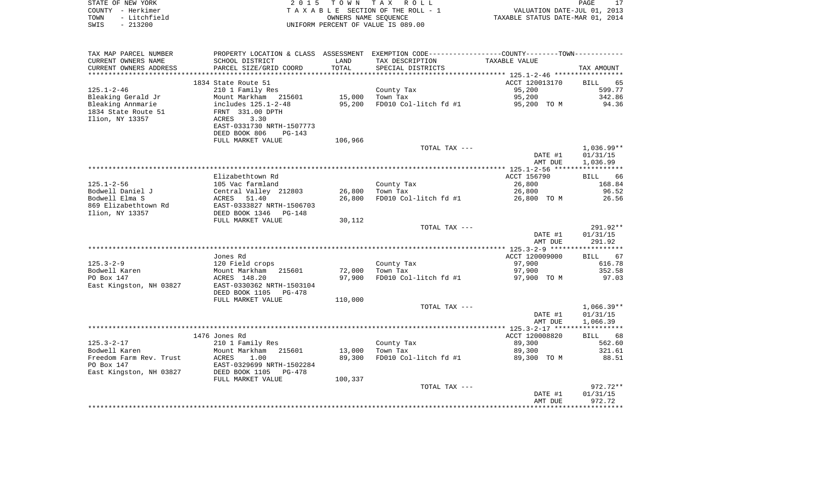|      | STATE OF NEW YORK | 2015 TOWN TAX ROLL                 | PAGE                             |
|------|-------------------|------------------------------------|----------------------------------|
|      | COUNTY - Herkimer | TAXABLE SECTION OF THE ROLL - 1    | VALUATION DATE-JUL 01, 2013      |
| TOWN | - Litchfield      | OWNERS NAME SEOUENCE               | TAXABLE STATUS DATE-MAR 01, 2014 |
| SWIS | - 213200          | UNIFORM PERCENT OF VALUE IS 089.00 |                                  |

 $\frac{17}{2013}$ <br>2014

| TAX MAP PARCEL NUMBER   | PROPERTY LOCATION & CLASS ASSESSMENT EXEMPTION CODE----------------COUNTY-------TOWN---------- |         |                       |                |                   |
|-------------------------|------------------------------------------------------------------------------------------------|---------|-----------------------|----------------|-------------------|
| CURRENT OWNERS NAME     | SCHOOL DISTRICT                                                                                | LAND    | TAX DESCRIPTION       | TAXABLE VALUE  |                   |
| CURRENT OWNERS ADDRESS  | PARCEL SIZE/GRID COORD                                                                         | TOTAL   | SPECIAL DISTRICTS     |                | TAX AMOUNT        |
|                         |                                                                                                |         |                       |                |                   |
|                         | 1834 State Route 51                                                                            |         |                       | ACCT 120013170 | <b>BILL</b><br>65 |
| $125.1 - 2 - 46$        | 210 1 Family Res                                                                               |         | County Tax            | 95,200         | 599.77            |
| Bleaking Gerald Jr      | Mount Markham 215601                                                                           | 15,000  | Town Tax              | 95,200         | 342.86            |
| Bleaking Annmarie       | includes 125.1-2-48                                                                            | 95,200  | FD010 Col-litch fd #1 | 95,200 TO M    | 94.36             |
| 1834 State Route 51     | FRNT 331.00 DPTH                                                                               |         |                       |                |                   |
| Ilion, NY 13357         | <b>ACRES</b><br>3.30                                                                           |         |                       |                |                   |
|                         | EAST-0331730 NRTH-1507773                                                                      |         |                       |                |                   |
|                         | DEED BOOK 806<br>$PG-143$                                                                      |         |                       |                |                   |
|                         | FULL MARKET VALUE                                                                              | 106,966 |                       |                |                   |
|                         |                                                                                                |         | TOTAL TAX ---         |                | $1,036.99**$      |
|                         |                                                                                                |         |                       | DATE #1        | 01/31/15          |
|                         |                                                                                                |         |                       | AMT DUE        | 1,036.99          |
|                         |                                                                                                |         |                       |                |                   |
|                         | Elizabethtown Rd                                                                               |         |                       | ACCT 156790    | <b>BILL</b><br>66 |
| $125.1 - 2 - 56$        | 105 Vac farmland                                                                               |         | County Tax            | 26,800         | 168.84            |
| Bodwell Daniel J        | Central Valley 212803                                                                          | 26,800  | Town Tax              | 26,800         | 96.52             |
| Bodwell Elma S          | 51.40<br>ACRES                                                                                 | 26,800  | FD010 Col-litch fd #1 | 26,800 TO M    | 26.56             |
| 869 Elizabethtown Rd    | EAST-0333827 NRTH-1506703                                                                      |         |                       |                |                   |
| Ilion, NY 13357         | DEED BOOK 1346<br>PG-148                                                                       |         |                       |                |                   |
|                         | FULL MARKET VALUE                                                                              | 30,112  |                       |                |                   |
|                         |                                                                                                |         | TOTAL TAX ---         |                | 291.92**          |
|                         |                                                                                                |         |                       | DATE #1        | 01/31/15          |
|                         |                                                                                                |         |                       | AMT DUE        | 291.92            |
|                         | Jones Rd                                                                                       |         |                       | ACCT 120009000 | <b>BILL</b><br>67 |
| $125.3 - 2 - 9$         | 120 Field crops                                                                                |         | County Tax            | 97,900         | 616.78            |
| Bodwell Karen           | Mount Markham<br>215601                                                                        | 72,000  | Town Tax              | 97,900         | 352.58            |
| PO Box 147              | ACRES 148.20                                                                                   | 97,900  | FD010 Col-litch fd #1 | 97,900 TO M    | 97.03             |
| East Kingston, NH 03827 | EAST-0330362 NRTH-1503104                                                                      |         |                       |                |                   |
|                         | DEED BOOK 1105<br>PG-478                                                                       |         |                       |                |                   |
|                         | FULL MARKET VALUE                                                                              | 110,000 |                       |                |                   |
|                         |                                                                                                |         | TOTAL TAX ---         |                | $1,066.39**$      |
|                         |                                                                                                |         |                       | DATE #1        | 01/31/15          |
|                         |                                                                                                |         |                       | AMT DUE        | 1,066.39          |
|                         |                                                                                                |         |                       |                |                   |
|                         | 1476 Jones Rd                                                                                  |         |                       | ACCT 120008820 | <b>BILL</b><br>68 |
| $125.3 - 2 - 17$        | 210 1 Family Res                                                                               |         | County Tax            | 89,300         | 562.60            |
| Bodwell Karen           | Mount Markham<br>215601                                                                        | 13,000  | Town Tax              | 89,300         | 321.61            |
| Freedom Farm Rev. Trust | ACRES<br>1.00                                                                                  | 89,300  | FD010 Col-litch fd #1 | 89,300 TO M    | 88.51             |
| PO Box 147              | EAST-0329699 NRTH-1502284                                                                      |         |                       |                |                   |
| East Kingston, NH 03827 | DEED BOOK 1105<br>$PG-478$                                                                     |         |                       |                |                   |
|                         | FULL MARKET VALUE                                                                              | 100,337 |                       |                |                   |
|                         |                                                                                                |         | TOTAL TAX ---         |                | $972.72**$        |
|                         |                                                                                                |         |                       | DATE #1        | 01/31/15          |
|                         |                                                                                                |         |                       | AMT DUE        | 972.72            |
|                         |                                                                                                |         |                       |                |                   |
|                         |                                                                                                |         |                       |                |                   |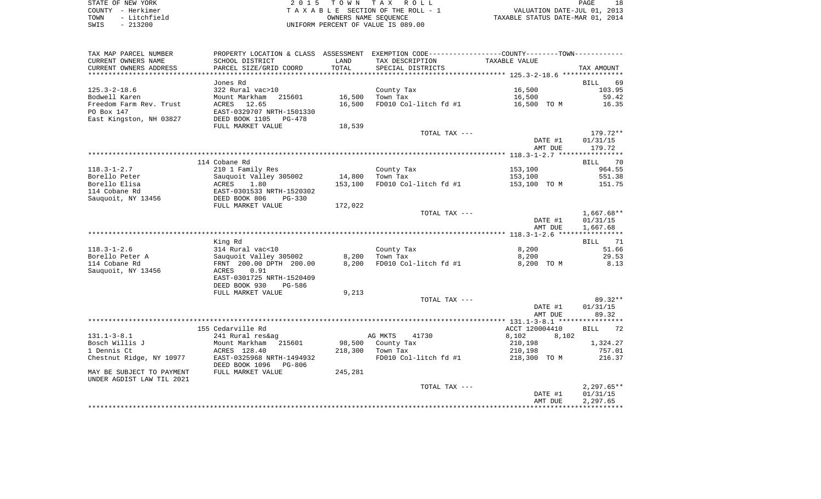| STATE OF NEW YORK    | 2015 TOWN TAX ROLL                   |
|----------------------|--------------------------------------|
| COUNTY - Herkimer    | T A X A B L E SECTION OF THE ROLL -  |
| - Litchfield<br>TOWN | OWNERS NAME SEOUENCE                 |
| CMTC _ 212200        | LINITEOPM DEPOEME OF VALUE TO 000 00 |

COUNTY - Herkimer  $T A X A B L E$  SECTION OF THE ROLL - 1 TAXABLE SECTION OF THE ROLL - 1<br>
TAXABLE SECTION OF THE ROLL - 1 WALUATION DATE-JUL 01, 2013<br>
OWNERS NAME SEQUENCE TAXABLE STATUS DATE-MAR 01, 2014 SWIS - 213200 UNIFORM PERCENT OF VALUE IS 089.00

PAGE 18

| TAX MAP PARCEL NUMBER     |                                                                 |         | PROPERTY LOCATION & CLASS ASSESSMENT EXEMPTION CODE----------------COUNTY--------TOWN---------- |                |                        |
|---------------------------|-----------------------------------------------------------------|---------|-------------------------------------------------------------------------------------------------|----------------|------------------------|
| CURRENT OWNERS NAME       | SCHOOL DISTRICT                                                 | LAND    | TAX DESCRIPTION                                                                                 | TAXABLE VALUE  |                        |
| CURRENT OWNERS ADDRESS    | PARCEL SIZE/GRID COORD                                          | TOTAL   | SPECIAL DISTRICTS                                                                               |                | TAX AMOUNT             |
|                           |                                                                 |         |                                                                                                 |                |                        |
|                           | Jones Rd                                                        |         |                                                                                                 |                | BILL 69                |
| $125.3 - 2 - 18.6$        | 322 Rural vac>10                                                |         | County Tax                                                                                      | 16,500         | 103.95                 |
| Bodwell Karen             | Mount Markham 215601                                            | 16,500  | Town Tax                                                                                        | 16,500         | 59.42                  |
| Freedom Farm Rev. Trust   | ACRES 12.65                                                     | 16,500  | FD010 Col-litch $f d$ #1 $f$ 16,500 TO M                                                        |                | 16.35                  |
| PO Box 147                | EAST-0329707 NRTH-1501330                                       |         |                                                                                                 |                |                        |
| East Kingston, NH 03827   | DEED BOOK 1105 PG-478                                           |         |                                                                                                 |                |                        |
|                           | FULL MARKET VALUE                                               | 18,539  |                                                                                                 |                |                        |
|                           |                                                                 |         | TOTAL TAX ---                                                                                   |                | 179.72**               |
|                           |                                                                 |         |                                                                                                 | DATE #1        | 01/31/15               |
|                           |                                                                 |         |                                                                                                 | AMT DUE        | 179.72                 |
|                           |                                                                 |         |                                                                                                 |                |                        |
|                           | 114 Cobane Rd                                                   |         |                                                                                                 |                | BILL 70                |
| $118.3 - 1 - 2.7$         | 210 1 Family Res                                                |         | County Tax                                                                                      | 153,100        | 964.55                 |
| Borello Peter             | Sauquoit Valley 305002                                          | 14,800  | Town Tax                                                                                        | 153,100        | 551.38                 |
| Borello Elisa             | ACRES<br>1.80                                                   | 153,100 | FD010 Col-litch fd #1                                                                           | 153,100 TO M   | 151.75                 |
| 114 Cobane Rd             | ACRES 1.80<br>EAST-0301533 NRTH-1520302<br>DEED BOOK 806 PG-330 |         |                                                                                                 |                |                        |
| Sauquoit, NY 13456        | DEED BOOK 806 PG-330                                            |         |                                                                                                 |                |                        |
|                           | FULL MARKET VALUE                                               | 172,022 |                                                                                                 |                |                        |
|                           |                                                                 |         | TOTAL TAX ---                                                                                   | DATE #1        | 1,667.68**<br>01/31/15 |
|                           |                                                                 |         |                                                                                                 | AMT DUE        | 1,667.68               |
|                           |                                                                 |         |                                                                                                 |                |                        |
|                           | King Rd                                                         |         |                                                                                                 |                | BILL 71                |
| $118.3 - 1 - 2.6$         | 314 Rural vac<10                                                |         | County Tax                                                                                      | 8,200          | 51.66                  |
| Borello Peter A           | Sauquoit Valley 305002                                          |         | 8,200 Town Tax                                                                                  | 8,200          | 29.53                  |
| 114 Cobane Rd             | FRNT 200.00 DPTH 200.00                                         | 8,200   | FD010 Col-litch fd #1                                                                           | 8,200 TO M     | 8.13                   |
| Sauquoit, NY 13456        | ACRES 0.91                                                      |         |                                                                                                 |                |                        |
|                           | EAST-0301725 NRTH-1520409                                       |         |                                                                                                 |                |                        |
|                           | DEED BOOK 930<br>PG-586                                         |         |                                                                                                 |                |                        |
|                           | FULL MARKET VALUE                                               | 9,213   |                                                                                                 |                |                        |
|                           |                                                                 |         | TOTAL TAX ---                                                                                   |                | $89.32**$              |
|                           |                                                                 |         |                                                                                                 | DATE #1        | 01/31/15               |
|                           |                                                                 |         |                                                                                                 | AMT DUE        | 89.32                  |
|                           |                                                                 |         |                                                                                                 |                |                        |
|                           | 155 Cedarville Rd                                               |         |                                                                                                 | ACCT 120004410 | BILL 72                |
| $131.1 - 3 - 8.1$         | 241 Rural res&ag                                                |         | AG MKTS<br>41730                                                                                | 8,102<br>8,102 |                        |
| Bosch Willis J            | Mount Markham 215601                                            |         | 98,500 County Tax                                                                               | 210,198        | 1,324.27               |
| 1 Dennis Ct               | ACRES 128.40                                                    |         | 218,300 Town Tax                                                                                | 210,198        | 757.01                 |
| Chestnut Ridge, NY 10977  | EAST-0325968 NRTH-1494932                                       |         | FD010 Col-litch fd #1                                                                           | 218,300 TO M   | 216.37                 |
|                           | DEED BOOK 1096 PG-806                                           |         |                                                                                                 |                |                        |
| MAY BE SUBJECT TO PAYMENT | FULL MARKET VALUE                                               | 245,281 |                                                                                                 |                |                        |
| UNDER AGDIST LAW TIL 2021 |                                                                 |         |                                                                                                 |                |                        |
|                           |                                                                 |         | TOTAL TAX ---                                                                                   |                | $2,297.65**$           |
|                           |                                                                 |         |                                                                                                 | DATE #1        | 01/31/15               |
|                           |                                                                 |         |                                                                                                 | AMT DUE        | 2,297.65               |
|                           |                                                                 |         |                                                                                                 |                |                        |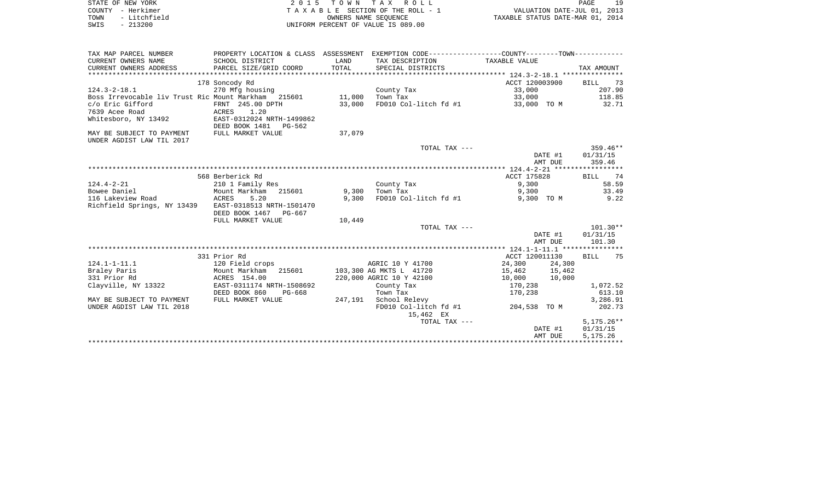|      | STATE OF NEW YORK | 2015 TOWN TAX ROLL                 | PAGE                             |
|------|-------------------|------------------------------------|----------------------------------|
|      | COUNTY - Herkimer | TAXABLE SECTION OF THE ROLL - 1    | VALUATION DATE-JUL 01, 2013      |
| TOWN | - Litchfield      | OWNERS NAME SEOUENCE               | TAXABLE STATUS DATE-MAR 01, 2014 |
| SWIS | $-213200$         | UNIFORM PERCENT OF VALUE IS 089.00 |                                  |

| TAX MAP PARCEL NUMBER                               | PROPERTY LOCATION & CLASS ASSESSMENT EXEMPTION CODE---------------COUNTY-------TOWN---------- |         |                          |                  |              |
|-----------------------------------------------------|-----------------------------------------------------------------------------------------------|---------|--------------------------|------------------|--------------|
| CURRENT OWNERS NAME                                 | SCHOOL DISTRICT                                                                               | LAND    | TAX DESCRIPTION          | TAXABLE VALUE    |              |
| CURRENT OWNERS ADDRESS                              | PARCEL SIZE/GRID COORD                                                                        | TOTAL   | SPECIAL DISTRICTS        |                  | TAX AMOUNT   |
|                                                     |                                                                                               |         |                          |                  |              |
|                                                     | 178 Soncody Rd                                                                                |         |                          | ACCT 120003900   | 73<br>BILL   |
| $124.3 - 2 - 18.1$                                  | 270 Mfg housing                                                                               |         | County Tax               | 33,000           | 207.90       |
| Boss Irrevocable liv Trust Ric Mount Markham 215601 |                                                                                               | 11,000  | Town Tax                 | 33,000           | 118.85       |
| c/o Eric Gifford                                    | FRNT 245.00 DPTH                                                                              | 33,000  | FD010 Col-litch fd #1    | 33,000 TO M      | 32.71        |
| 7639 Acee Road                                      | ACRES<br>1.20                                                                                 |         |                          |                  |              |
| Whitesboro, NY 13492                                | EAST-0312024 NRTH-1499862                                                                     |         |                          |                  |              |
|                                                     | DEED BOOK 1481<br>PG-562                                                                      |         |                          |                  |              |
| MAY BE SUBJECT TO PAYMENT                           | FULL MARKET VALUE                                                                             | 37,079  |                          |                  |              |
| UNDER AGDIST LAW TIL 2017                           |                                                                                               |         |                          |                  |              |
|                                                     |                                                                                               |         | TOTAL TAX ---            |                  | $359.46**$   |
|                                                     |                                                                                               |         |                          | DATE #1          | 01/31/15     |
|                                                     |                                                                                               |         |                          | AMT DUE          | 359.46       |
|                                                     |                                                                                               |         |                          |                  |              |
|                                                     | 568 Berberick Rd                                                                              |         |                          | ACCT 175828      | 74<br>BILL   |
| $124.4 - 2 - 21$                                    | 210 1 Family Res                                                                              |         | County Tax               | 9,300            | 58.59        |
| Bowee Daniel                                        | Mount Markham<br>215601                                                                       | 9,300   | Town Tax                 | 9,300            | 33.49        |
| 116 Lakeview Road                                   | ACRES<br>5.20                                                                                 | 9,300   | FD010 Col-litch fd #1    | 9,300 TO M       | 9.22         |
| Richfield Springs, NY 13439                         | EAST-0318513 NRTH-1501470                                                                     |         |                          |                  |              |
|                                                     | DEED BOOK 1467<br>PG-667                                                                      |         |                          |                  |              |
|                                                     | FULL MARKET VALUE                                                                             | 10,449  |                          |                  |              |
|                                                     |                                                                                               |         | TOTAL TAX ---            |                  | $101.30**$   |
|                                                     |                                                                                               |         |                          | DATE #1          | 01/31/15     |
|                                                     |                                                                                               |         |                          | AMT DUE          | 101.30       |
|                                                     |                                                                                               |         |                          |                  |              |
|                                                     | 331 Prior Rd                                                                                  |         |                          | ACCT 120011130   | BILL 75      |
| $124.1 - 1 - 11.1$                                  | 120 Field crops                                                                               |         | AGRIC 10 Y 41700         | 24,300<br>24,300 |              |
| Braley Paris                                        | Mount Markham 215601                                                                          |         | 103,300 AG MKTS L 41720  | 15,462<br>15,462 |              |
| 331 Prior Rd                                        | ACRES 154.00                                                                                  |         | 220,000 AGRIC 10 Y 42100 | 10,000<br>10,000 |              |
| Clayville, NY 13322                                 | EAST-0311174 NRTH-1508692                                                                     |         | County Tax               | 170,238          | 1,072.52     |
|                                                     | DEED BOOK 860<br>PG-668                                                                       |         | Town Tax                 | 170,238          | 613.10       |
| MAY BE SUBJECT TO PAYMENT                           | FULL MARKET VALUE                                                                             | 247,191 | School Relevy            |                  | 3,286.91     |
| UNDER AGDIST LAW TIL 2018                           |                                                                                               |         | FD010 Col-litch fd #1    | 204,538 TO M     | 202.73       |
|                                                     |                                                                                               |         | 15,462 EX                |                  |              |
|                                                     |                                                                                               |         | TOTAL TAX ---            |                  | $5,175.26**$ |
|                                                     |                                                                                               |         |                          | DATE #1          | 01/31/15     |
|                                                     |                                                                                               |         |                          | AMT DUE          | 5,175.26     |
|                                                     |                                                                                               |         |                          |                  |              |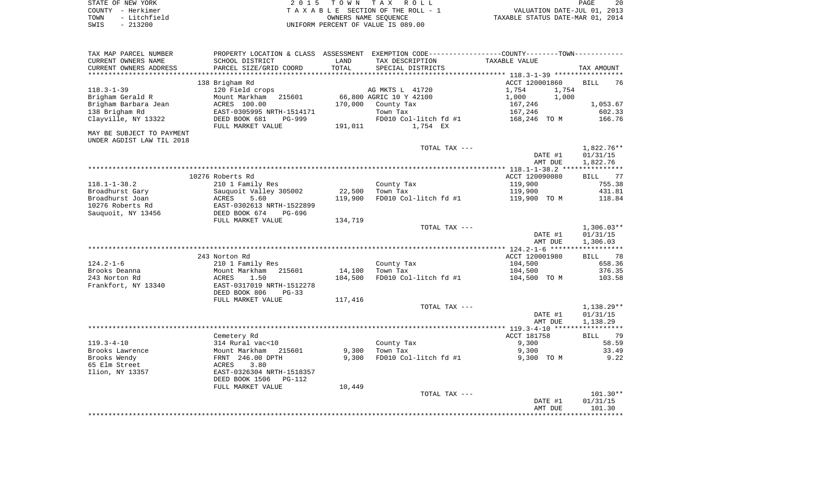| STATE OF NEW YORK    | 2015 TOWN TAX ROLL                 | 20<br>PAGE                       |
|----------------------|------------------------------------|----------------------------------|
| COUNTY - Herkimer    | TAXABLE SECTION OF THE ROLL - 1    | VALUATION DATE-JUL 01, 2013      |
| - Litchfield<br>TOWN | OWNERS NAME SEOUENCE               | TAXABLE STATUS DATE-MAR 01, 2014 |
| $-213200$<br>SWIS    | UNIFORM PERCENT OF VALUE IS 089.00 |                                  |

| TAX MAP PARCEL NUMBER              | PROPERTY LOCATION & CLASS ASSESSMENT EXEMPTION CODE---------------COUNTY-------TOWN---------- |         |                         |                |                   |
|------------------------------------|-----------------------------------------------------------------------------------------------|---------|-------------------------|----------------|-------------------|
| CURRENT OWNERS NAME                | SCHOOL DISTRICT                                                                               | LAND    | TAX DESCRIPTION         | TAXABLE VALUE  |                   |
| CURRENT OWNERS ADDRESS             | PARCEL SIZE/GRID COORD                                                                        | TOTAL   | SPECIAL DISTRICTS       |                | TAX AMOUNT        |
|                                    |                                                                                               |         |                         |                |                   |
|                                    | 138 Brigham Rd                                                                                |         |                         | ACCT 120001860 | <b>BILL</b><br>76 |
| $118.3 - 1 - 39$                   | 120 Field crops                                                                               |         | AG MKTS L 41720         | 1,754<br>1,754 |                   |
| Brigham Gerald R                   | Mount Markham<br>215601                                                                       |         | 66,800 AGRIC 10 Y 42100 | 1,000<br>1,000 |                   |
| Brigham Barbara Jean               | ACRES 100.00                                                                                  | 170,000 | County Tax              | 167,246        | 1,053.67          |
| 138 Brigham Rd                     | EAST-0305995 NRTH-1514171                                                                     |         | Town Tax                | 167,246        | 602.33            |
| Clayville, NY 13322                | DEED BOOK 681<br>PG-999                                                                       |         | FD010 Col-litch fd #1   | 168,246 TO M   | 166.76            |
|                                    | FULL MARKET VALUE                                                                             | 191,011 | 1,754 EX                |                |                   |
| MAY BE SUBJECT TO PAYMENT          |                                                                                               |         |                         |                |                   |
| UNDER AGDIST LAW TIL 2018          |                                                                                               |         |                         |                |                   |
|                                    |                                                                                               |         | TOTAL TAX ---           |                | 1,822.76**        |
|                                    |                                                                                               |         |                         | DATE #1        | 01/31/15          |
|                                    |                                                                                               |         |                         | AMT DUE        | 1,822.76          |
|                                    |                                                                                               |         |                         |                |                   |
|                                    | 10276 Roberts Rd                                                                              |         |                         | ACCT 120090080 | BILL 77           |
| $118.1 - 1 - 38.2$                 | 210 1 Family Res                                                                              | 22,500  | County Tax              | 119,900        | 755.38<br>431.81  |
| Broadhurst Gary<br>Broadhurst Joan | Sauquoit Valley 305002<br>5.60                                                                | 119,900 | Town Tax                | 119,900        | 118.84            |
| 10276 Roberts Rd                   | ACRES<br>EAST-0302613 NRTH-1522899                                                            |         | FD010 Col-litch fd #1   | 119,900 TO M   |                   |
| Sauquoit, NY 13456                 | DEED BOOK 674<br>PG-696                                                                       |         |                         |                |                   |
|                                    | FULL MARKET VALUE                                                                             | 134,719 |                         |                |                   |
|                                    |                                                                                               |         | TOTAL TAX ---           |                | $1,306.03**$      |
|                                    |                                                                                               |         |                         | DATE #1        | 01/31/15          |
|                                    |                                                                                               |         |                         | AMT DUE        | 1,306.03          |
|                                    |                                                                                               |         |                         |                |                   |
|                                    | 243 Norton Rd                                                                                 |         |                         | ACCT 120001980 | BILL<br>78        |
| $124.2 - 1 - 6$                    | 210 1 Family Res                                                                              |         | County Tax              | 104,500        | 658.36            |
| Brooks Deanna                      | Mount Markham<br>215601                                                                       | 14,100  | Town Tax                | 104,500        | 376.35            |
| 243 Norton Rd                      | 1.50<br>ACRES                                                                                 | 104,500 | FD010 Col-litch fd #1   | 104,500 TO M   | 103.58            |
| Frankfort, NY 13340                | EAST-0317019 NRTH-1512278                                                                     |         |                         |                |                   |
|                                    | DEED BOOK 806<br>$PG-33$                                                                      |         |                         |                |                   |
|                                    | FULL MARKET VALUE                                                                             | 117,416 |                         |                |                   |
|                                    |                                                                                               |         | TOTAL TAX ---           |                | 1,138.29**        |
|                                    |                                                                                               |         |                         | DATE #1        | 01/31/15          |
|                                    |                                                                                               |         |                         | AMT DUE        | 1,138.29          |
|                                    |                                                                                               |         |                         |                |                   |
|                                    | Cemetery Rd                                                                                   |         |                         | ACCT 181758    | BILL<br>79        |
| $119.3 - 4 - 10$                   | 314 Rural vac<10                                                                              |         | County Tax              | 9,300          | 58.59             |
| Brooks Lawrence                    | Mount Markham<br>215601                                                                       | 9,300   | Town Tax                | 9,300          | 33.49             |
| Brooks Wendy                       | FRNT 246.00 DPTH                                                                              | 9,300   | FD010 Col-litch fd #1   | 9,300 TO M     | 9.22              |
| 65 Elm Street                      | 3.80<br>ACRES                                                                                 |         |                         |                |                   |
| Ilion, NY 13357                    | EAST-0326304 NRTH-1518357                                                                     |         |                         |                |                   |
|                                    | DEED BOOK 1506<br><b>PG-112</b>                                                               |         |                         |                |                   |
|                                    | FULL MARKET VALUE                                                                             | 10,449  |                         |                |                   |
|                                    |                                                                                               |         | TOTAL TAX ---           |                | $101.30**$        |
|                                    |                                                                                               |         |                         | DATE #1        | 01/31/15          |
|                                    |                                                                                               |         |                         | AMT DUE        | 101.30            |
|                                    |                                                                                               |         |                         |                |                   |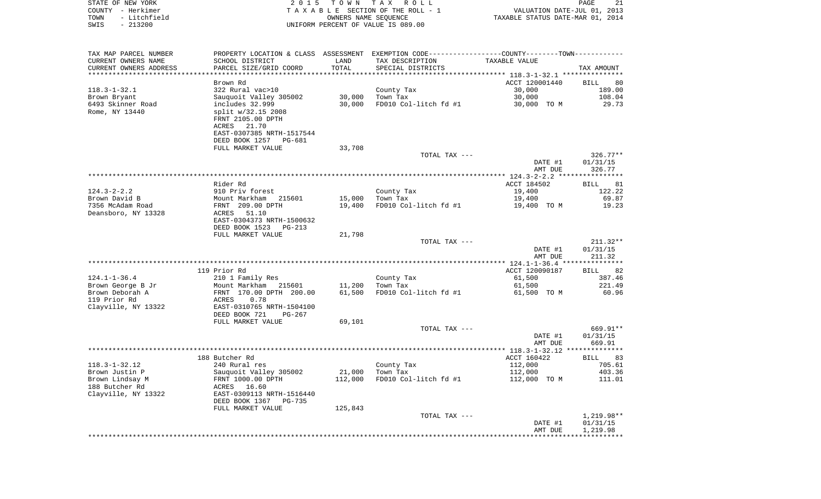|      | STATE OF NEW YORK | 2015 TOWN TAX ROLL                 | PAGE                             | -21 |
|------|-------------------|------------------------------------|----------------------------------|-----|
|      | COUNTY - Herkimer | TAXABLE SECTION OF THE ROLL - 1    | VALUATION DATE-JUL 01, 2013      |     |
| TOWN | - Litchfield      | OWNERS NAME SEOUENCE               | TAXABLE STATUS DATE-MAR 01, 2014 |     |
| SWIS | $-213200$         | UNIFORM PERCENT OF VALUE IS 089.00 |                                  |     |

| TAX MAP PARCEL NUMBER              | PROPERTY LOCATION & CLASS ASSESSMENT EXEMPTION CODE----------------COUNTY-------TOWN---------- |         |                        |                                                |                      |
|------------------------------------|------------------------------------------------------------------------------------------------|---------|------------------------|------------------------------------------------|----------------------|
| CURRENT OWNERS NAME                | SCHOOL DISTRICT                                                                                | LAND    | TAX DESCRIPTION        | TAXABLE VALUE                                  |                      |
| CURRENT OWNERS ADDRESS             | PARCEL SIZE/GRID COORD                                                                         | TOTAL   | SPECIAL DISTRICTS      |                                                | TAX AMOUNT           |
| **********************             |                                                                                                |         |                        |                                                |                      |
|                                    | Brown Rd                                                                                       |         |                        | ACCT 120001440                                 | BILL<br>80           |
| $118.3 - 1 - 32.1$<br>Brown Bryant | 322 Rural vac>10<br>Sauquoit Valley 305002                                                     | 30,000  | County Tax<br>Town Tax | 30,000<br>30,000                               | 189.00<br>108.04     |
| 6493 Skinner Road                  | includes 32.999                                                                                | 30,000  | FD010 Col-litch fd #1  | 30,000 TO M                                    | 29.73                |
| Rome, NY 13440                     | split w/32.15 2008                                                                             |         |                        |                                                |                      |
|                                    | FRNT 2105.00 DPTH                                                                              |         |                        |                                                |                      |
|                                    | ACRES<br>21.70                                                                                 |         |                        |                                                |                      |
|                                    | EAST-0307385 NRTH-1517544                                                                      |         |                        |                                                |                      |
|                                    | DEED BOOK 1257<br>PG-681                                                                       |         |                        |                                                |                      |
|                                    | FULL MARKET VALUE                                                                              | 33,708  |                        |                                                |                      |
|                                    |                                                                                                |         | TOTAL TAX ---          |                                                | $326.77**$           |
|                                    |                                                                                                |         |                        | DATE #1<br>AMT DUE                             | 01/31/15<br>326.77   |
|                                    |                                                                                                |         |                        | *********** 124.3-2-2.2 ****************       |                      |
|                                    | Rider Rd                                                                                       |         |                        | ACCT 184502                                    | 81<br><b>BILL</b>    |
| $124.3 - 2 - 2.2$                  | 910 Priv forest                                                                                |         | County Tax             | 19,400                                         | 122.22               |
| Brown David B                      | Mount Markham 215601                                                                           | 15,000  | Town Tax               | 19,400                                         | 69.87                |
| 7356 McAdam Road                   | FRNT 209.00 DPTH                                                                               | 19,400  | FD010 Col-litch fd #1  | 19,400 TO M                                    | 19.23                |
| Deansboro, NY 13328                | ACRES<br>51.10                                                                                 |         |                        |                                                |                      |
|                                    | EAST-0304373 NRTH-1500632                                                                      |         |                        |                                                |                      |
|                                    | DEED BOOK 1523<br>PG-213<br>FULL MARKET VALUE                                                  | 21,798  |                        |                                                |                      |
|                                    |                                                                                                |         | TOTAL TAX ---          |                                                | $211.32**$           |
|                                    |                                                                                                |         |                        | DATE #1                                        | 01/31/15             |
|                                    |                                                                                                |         |                        | AMT DUE                                        | 211.32               |
|                                    | ***********                                                                                    |         |                        | ***************** 124.1-1-36.4 *************** |                      |
|                                    | 119 Prior Rd                                                                                   |         |                        | ACCT 120090187                                 | BILL 82              |
| $124.1 - 1 - 36.4$                 | 210 1 Family Res                                                                               |         | County Tax             | 61,500                                         | 387.46               |
| Brown George B Jr                  | Mount Markham 215601                                                                           | 11,200  | Town Tax               | 61,500                                         | 221.49               |
| Brown Deborah A<br>119 Prior Rd    | FRNT 170.00 DPTH 200.00<br>ACRES<br>0.78                                                       | 61,500  | FD010 Col-litch fd #1  | 61,500 TO M                                    | 60.96                |
| Clayville, NY 13322                | EAST-0310765 NRTH-1504100                                                                      |         |                        |                                                |                      |
|                                    | DEED BOOK 721<br>$PG-267$                                                                      |         |                        |                                                |                      |
|                                    | FULL MARKET VALUE                                                                              | 69,101  |                        |                                                |                      |
|                                    |                                                                                                |         | TOTAL TAX ---          |                                                | 669.91**             |
|                                    |                                                                                                |         |                        | DATE #1                                        | 01/31/15             |
|                                    |                                                                                                |         |                        | AMT DUE                                        | 669.91               |
|                                    |                                                                                                |         |                        |                                                | **************       |
| $118.3 - 1 - 32.12$                | 188 Butcher Rd<br>240 Rural res                                                                |         | County Tax             | ACCT 160422<br>112,000                         | BILL<br>83<br>705.61 |
| Brown Justin P                     | Sauquoit Valley 305002                                                                         | 21,000  | Town Tax               | 112,000                                        | 403.36               |
| Brown Lindsay M                    | FRNT 1000.00 DPTH                                                                              | 112,000 | FD010 Col-litch fd #1  | 112,000 TO M                                   | 111.01               |
| 188 Butcher Rd                     | ACRES 16.60                                                                                    |         |                        |                                                |                      |
| Clayville, NY 13322                | EAST-0309113 NRTH-1516440                                                                      |         |                        |                                                |                      |
|                                    | DEED BOOK 1367<br>PG-735                                                                       |         |                        |                                                |                      |
|                                    | FULL MARKET VALUE                                                                              | 125,843 |                        |                                                |                      |
|                                    |                                                                                                |         | TOTAL TAX ---          |                                                | $1,219.98**$         |
|                                    |                                                                                                |         |                        | DATE #1                                        | 01/31/15             |
|                                    |                                                                                                |         |                        | AMT DUE                                        | 1,219.98             |
|                                    |                                                                                                |         |                        |                                                |                      |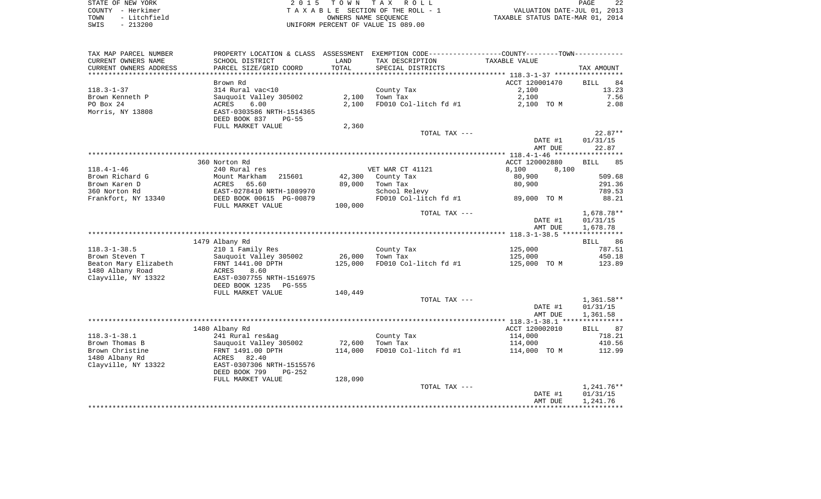| STATE OF NEW YORK |              |
|-------------------|--------------|
| COUNTY            | - Herkimer   |
| TOWN              | - Litchfield |
| SWIS              | $-213200$    |

STATE OF NEW YORK 2 0 1 5 T O W N T A X R O L L PAGE 22 COUNTY - Herkimer T A X A B L E SECTION OF THE ROLL - 1 VALUATION DATE-JUL 01, 2013 TOWN - Litchfield OWNERS NAME SEQUENCE TAXABLE STATUS DATE-MAR 01, 2014 UNIFORM PERCENT OF VALUE IS 089.00

| TAX MAP PARCEL NUMBER                            | PROPERTY LOCATION & CLASS ASSESSMENT |         | EXEMPTION CODE-----------------COUNTY-------TOWN----------- |                |                   |
|--------------------------------------------------|--------------------------------------|---------|-------------------------------------------------------------|----------------|-------------------|
| CURRENT OWNERS NAME                              | SCHOOL DISTRICT                      | LAND    | TAX DESCRIPTION                                             | TAXABLE VALUE  |                   |
| CURRENT OWNERS ADDRESS<br>********************** | PARCEL SIZE/GRID COORD               | TOTAL   | SPECIAL DISTRICTS                                           |                | TAX AMOUNT        |
|                                                  | Brown Rd                             |         |                                                             | ACCT 120001470 | 84<br><b>BILL</b> |
| $118.3 - 1 - 37$                                 | 314 Rural vac<10                     |         | County Tax                                                  | 2,100          | 13.23             |
| Brown Kenneth P                                  | Sauquoit Valley 305002               | 2,100   | Town Tax                                                    | 2,100          | 7.56              |
| PO Box 24                                        | 6.00<br>ACRES                        | 2,100   | FD010 Col-litch fd #1                                       | 2,100 TO M     | 2.08              |
| Morris, NY 13808                                 | EAST-0303586 NRTH-1514365            |         |                                                             |                |                   |
|                                                  | DEED BOOK 837<br>$PG-55$             |         |                                                             |                |                   |
|                                                  | FULL MARKET VALUE                    | 2,360   |                                                             |                |                   |
|                                                  |                                      |         | TOTAL TAX ---                                               |                | $22.87**$         |
|                                                  |                                      |         |                                                             | DATE #1        | 01/31/15          |
|                                                  |                                      |         |                                                             | AMT DUE        | 22.87             |
|                                                  |                                      |         |                                                             |                |                   |
|                                                  | 360 Norton Rd                        |         |                                                             | ACCT 120002880 | 85<br><b>BILL</b> |
| $118.4 - 1 - 46$                                 | 240 Rural res                        |         | VET WAR CT 41121                                            | 8,100<br>8,100 |                   |
| Brown Richard G                                  | Mount Markham<br>215601              | 42,300  | County Tax                                                  | 80,900         | 509.68            |
| Brown Karen D                                    | ACRES<br>65.60                       | 89,000  | Town Tax                                                    | 80,900         | 291.36            |
| 360 Norton Rd                                    | EAST-0278410 NRTH-1089970            |         | School Relevy                                               |                | 789.53            |
| Frankfort, NY 13340                              | DEED BOOK 00615 PG-00879             |         | FD010 Col-litch fd #1                                       | 89,000 TO M    | 88.21             |
|                                                  | FULL MARKET VALUE                    | 100,000 |                                                             |                |                   |
|                                                  |                                      |         | TOTAL TAX ---                                               |                | 1,678.78**        |
|                                                  |                                      |         |                                                             | DATE #1        | 01/31/15          |
|                                                  |                                      |         |                                                             | AMT DUE        | 1,678.78          |
|                                                  | 1479 Albany Rd                       |         |                                                             |                | 86<br>BILL        |
| $118.3 - 1 - 38.5$                               | 210 1 Family Res                     |         | County Tax                                                  | 125,000        | 787.51            |
| Brown Steven T                                   | Sauquoit Valley 305002               | 26,000  | Town Tax                                                    | 125,000        | 450.18            |
| Beaton Mary Elizabeth                            | FRNT 1441.00 DPTH                    | 125,000 | FD010 Col-litch fd #1                                       | 125,000 TO M   | 123.89            |
| 1480 Albany Road                                 | ACRES<br>8.60                        |         |                                                             |                |                   |
| Clayville, NY 13322                              | EAST-0307755 NRTH-1516975            |         |                                                             |                |                   |
|                                                  | DEED BOOK 1235 PG-555                |         |                                                             |                |                   |
|                                                  | FULL MARKET VALUE                    | 140,449 |                                                             |                |                   |
|                                                  |                                      |         | TOTAL TAX ---                                               |                | $1,361.58**$      |
|                                                  |                                      |         |                                                             | DATE #1        | 01/31/15          |
|                                                  |                                      |         |                                                             | AMT DUE        | 1,361.58          |
|                                                  |                                      |         |                                                             |                |                   |
|                                                  | 1480 Albany Rd                       |         |                                                             | ACCT 120002010 | <b>BILL</b><br>87 |
| $118.3 - 1 - 38.1$                               | 241 Rural res&ag                     |         | County Tax                                                  | 114,000        | 718.21            |
| Brown Thomas B                                   | Sauquoit Valley 305002               | 72,600  | Town Tax                                                    | 114,000        | 410.56            |
| Brown Christine                                  | FRNT 1491.00 DPTH                    | 114,000 | FD010 Col-litch fd #1                                       | 114,000 TO M   | 112.99            |
| 1480 Albany Rd                                   | ACRES 82.40                          |         |                                                             |                |                   |
| Clayville, NY 13322                              | EAST-0307306 NRTH-1515576            |         |                                                             |                |                   |
|                                                  | DEED BOOK 799<br>$PG-252$            |         |                                                             |                |                   |
|                                                  | FULL MARKET VALUE                    | 128,090 |                                                             |                |                   |
|                                                  |                                      |         | TOTAL TAX ---                                               |                | $1,241.76**$      |
|                                                  |                                      |         |                                                             | DATE #1        | 01/31/15          |
|                                                  |                                      |         |                                                             | AMT DUE        | 1,241.76          |
|                                                  |                                      |         |                                                             |                |                   |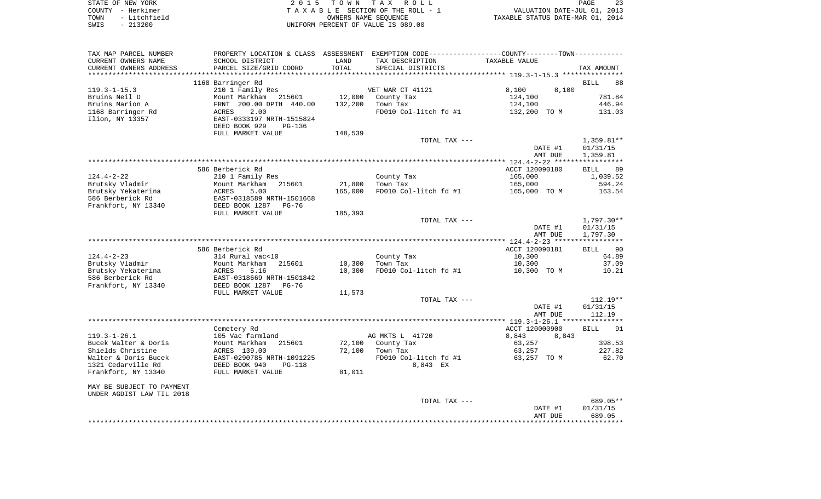| STATE OF NEW YORK    | 2015 TOWN TAX ROLL                 | 23<br><b>PAGE</b>                |
|----------------------|------------------------------------|----------------------------------|
| COUNTY – Herkimer    | TAXABLE SECTION OF THE ROLL - 1    | VALUATION DATE-JUL 01, 2013      |
| - Litchfield<br>TOWN | OWNERS NAME SEOUENCE               | TAXABLE STATUS DATE-MAR 01, 2014 |
| SWIS<br>- 213200     | UNIFORM PERCENT OF VALUE IS 089.00 |                                  |

| TAX MAP PARCEL NUMBER                |                                      |         | PROPERTY LOCATION & CLASS ASSESSMENT EXEMPTION CODE---------------COUNTY-------TOWN---------- |                          |                   |
|--------------------------------------|--------------------------------------|---------|-----------------------------------------------------------------------------------------------|--------------------------|-------------------|
| CURRENT OWNERS NAME                  | SCHOOL DISTRICT                      | LAND    | TAX DESCRIPTION                                                                               | TAXABLE VALUE            |                   |
| CURRENT OWNERS ADDRESS               | PARCEL SIZE/GRID COORD               | TOTAL   | SPECIAL DISTRICTS                                                                             |                          | TAX AMOUNT        |
|                                      |                                      |         |                                                                                               |                          |                   |
|                                      | 1168 Barringer Rd                    |         |                                                                                               |                          | <b>BILL</b><br>88 |
| $119.3 - 1 - 15.3$                   | 210 1 Family Res                     |         | VET WAR CT 41121                                                                              | 8,100<br>8,100           |                   |
| Bruins Neil D                        | Mount Markham<br>215601              | 12,000  | County Tax                                                                                    | 124,100                  | 781.84            |
| Bruins Marion A                      | FRNT 200.00 DPTH 440.00<br>2.00      | 132,200 | Town Tax                                                                                      | 124,100                  | 446.94            |
| 1168 Barringer Rd<br>Ilion, NY 13357 | ACRES<br>EAST-0333197 NRTH-1515824   |         | FD010 Col-litch fd #1                                                                         | 132,200 TO M             | 131.03            |
|                                      | DEED BOOK 929<br>PG-136              |         |                                                                                               |                          |                   |
|                                      | FULL MARKET VALUE                    | 148,539 |                                                                                               |                          |                   |
|                                      |                                      |         | TOTAL TAX ---                                                                                 |                          | $1,359.81**$      |
|                                      |                                      |         |                                                                                               | DATE #1                  | 01/31/15          |
|                                      |                                      |         |                                                                                               | AMT DUE                  | 1,359.81          |
|                                      |                                      |         |                                                                                               |                          |                   |
|                                      | 586 Berberick Rd                     |         |                                                                                               | ACCT 120090180           | <b>BILL</b><br>89 |
| $124.4 - 2 - 22$                     | 210 1 Family Res                     |         | County Tax                                                                                    | 165,000                  | 1,039.52          |
| Brutsky Vladmir                      | Mount Markham<br>215601              | 21,800  | Town Tax                                                                                      | 165,000                  | 594.24            |
| Brutsky Yekaterina                   | ACRES<br>5.00                        | 165,000 | FD010 Col-litch fd #1                                                                         | 165,000 TO M             | 163.54            |
| 586 Berberick Rd                     | EAST-0318589 NRTH-1501668            |         |                                                                                               |                          |                   |
| Frankfort, NY 13340                  | DEED BOOK 1287<br>$PG-76$            |         |                                                                                               |                          |                   |
|                                      | FULL MARKET VALUE                    | 185,393 |                                                                                               |                          |                   |
|                                      |                                      |         | TOTAL TAX ---                                                                                 |                          | $1,797.30**$      |
|                                      |                                      |         |                                                                                               | DATE #1                  | 01/31/15          |
|                                      |                                      |         |                                                                                               | AMT DUE                  | 1,797.30          |
|                                      |                                      |         |                                                                                               |                          |                   |
| $124.4 - 2 - 23$                     | 586 Berberick Rd<br>314 Rural vac<10 |         | County Tax                                                                                    | ACCT 120090181<br>10,300 | BILL 90<br>64.89  |
| Brutsky Vladmir                      | 215601<br>Mount Markham              | 10,300  | Town Tax                                                                                      | 10,300                   | 37.09             |
| Brutsky Yekaterina                   | 5.16<br>ACRES                        | 10,300  | FD010 Col-litch fd #1                                                                         | 10,300 TO M              | 10.21             |
| 586 Berberick Rd                     | EAST-0318669 NRTH-1501842            |         |                                                                                               |                          |                   |
| Frankfort, NY 13340                  | DEED BOOK 1287<br>$PG-76$            |         |                                                                                               |                          |                   |
|                                      | FULL MARKET VALUE                    | 11,573  |                                                                                               |                          |                   |
|                                      |                                      |         | TOTAL TAX ---                                                                                 |                          | $112.19**$        |
|                                      |                                      |         |                                                                                               | DATE #1                  | 01/31/15          |
|                                      |                                      |         |                                                                                               | AMT DUE                  | 112.19            |
|                                      |                                      |         |                                                                                               |                          |                   |
|                                      | Cemetery Rd                          |         |                                                                                               | ACCT 120000900           | 91<br><b>BILL</b> |
| $119.3 - 1 - 26.1$                   | 105 Vac farmland                     |         | AG MKTS L 41720                                                                               | 8,843<br>8,843           |                   |
| Bucek Walter & Doris                 | Mount Markham<br>215601              | 72,100  | County Tax                                                                                    | 63,257                   | 398.53            |
| Shields Christine                    | ACRES 139.00                         | 72,100  | Town Tax                                                                                      | 63,257                   | 227.82            |
| Walter & Doris Bucek                 | EAST-0290785 NRTH-1091225            |         | FD010 Col-litch fd #1                                                                         | 63,257 TO M              | 62.70             |
| 1321 Cedarville Rd                   | DEED BOOK 940<br>$PG-118$            |         | 8,843 EX                                                                                      |                          |                   |
| Frankfort, NY 13340                  | FULL MARKET VALUE                    | 81,011  |                                                                                               |                          |                   |
| MAY BE SUBJECT TO PAYMENT            |                                      |         |                                                                                               |                          |                   |
| UNDER AGDIST LAW TIL 2018            |                                      |         |                                                                                               |                          |                   |
|                                      |                                      |         | TOTAL TAX ---                                                                                 |                          | 689.05**          |
|                                      |                                      |         |                                                                                               | DATE #1                  | 01/31/15          |
|                                      |                                      |         |                                                                                               | AMT DUE                  | 689.05            |
|                                      |                                      |         |                                                                                               |                          | **********        |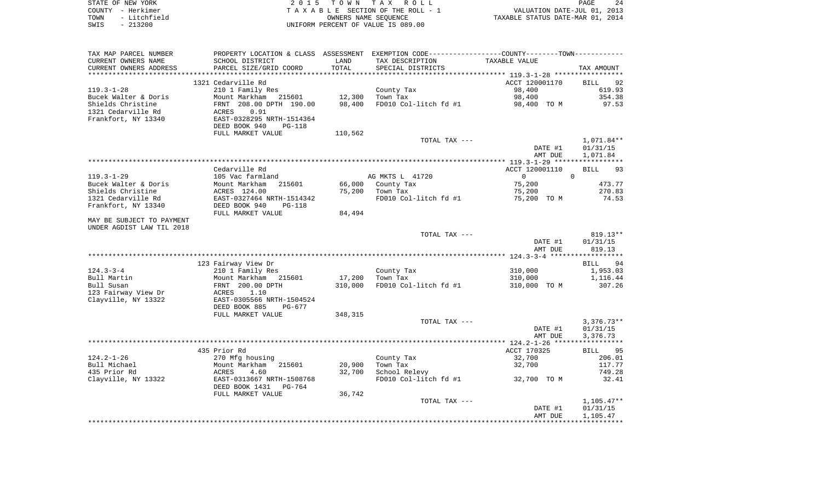| STATE OF NEW YORK |              | 2015 TOWN TAX ROLL                 | 24<br>PAGE                       |
|-------------------|--------------|------------------------------------|----------------------------------|
| COUNTY - Herkimer |              | TAXABLE SECTION OF THE ROLL - 1    | VALUATION DATE-JUL 01, 2013      |
| TOWN              | - Litchfield | OWNERS NAME SEOUENCE               | TAXABLE STATUS DATE-MAR 01, 2014 |
| SWIS              | $-213200$    | UNIFORM PERCENT OF VALUE IS 089.00 |                                  |

 $\begin{array}{c} 24 \\ 2013 \\ 2014 \end{array}$ 

| TAX MAP PARCEL NUMBER     | PROPERTY LOCATION & CLASS ASSESSMENT       |         | EXEMPTION CODE-----------------COUNTY--------TOWN----------- |                                               |                   |
|---------------------------|--------------------------------------------|---------|--------------------------------------------------------------|-----------------------------------------------|-------------------|
| CURRENT OWNERS NAME       | SCHOOL DISTRICT                            | LAND    | TAX DESCRIPTION                                              | TAXABLE VALUE                                 |                   |
| CURRENT OWNERS ADDRESS    | PARCEL SIZE/GRID COORD                     | TOTAL   | SPECIAL DISTRICTS                                            |                                               | TAX AMOUNT        |
|                           | ******************************             |         | ****************************                                 | ******************** 119.3-1-28 ************* |                   |
|                           | 1321 Cedarville Rd                         |         |                                                              | ACCT 120001170                                | BILL<br>92        |
| $119.3 - 1 - 28$          | 210 1 Family Res                           |         | County Tax                                                   | 98,400                                        | 619.93            |
| Bucek Walter & Doris      | Mount Markham<br>215601                    | 12,300  | Town Tax                                                     | 98,400                                        | 354.38            |
| Shields Christine         | FRNT 208.00 DPTH 190.00                    | 98,400  | FD010 Col-litch fd #1                                        | 98,400 TO M                                   | 97.53             |
|                           |                                            |         |                                                              |                                               |                   |
| 1321 Cedarville Rd        | ACRES<br>0.91<br>EAST-0328295 NRTH-1514364 |         |                                                              |                                               |                   |
| Frankfort, NY 13340       |                                            |         |                                                              |                                               |                   |
|                           | DEED BOOK 940<br><b>PG-118</b>             |         |                                                              |                                               |                   |
|                           | FULL MARKET VALUE                          | 110,562 |                                                              |                                               |                   |
|                           |                                            |         | TOTAL TAX ---                                                |                                               | 1,071.84**        |
|                           |                                            |         |                                                              | DATE #1                                       | 01/31/15          |
|                           |                                            |         |                                                              | AMT DUE                                       | 1,071.84          |
|                           |                                            |         |                                                              |                                               |                   |
|                           | Cedarville Rd                              |         |                                                              | ACCT 120001110                                | 93<br><b>BILL</b> |
| $119.3 - 1 - 29$          | 105 Vac farmland                           |         | AG MKTS L 41720                                              | $\Omega$                                      | $\Omega$          |
| Bucek Walter & Doris      | Mount Markham<br>215601                    | 66,000  | County Tax                                                   | 75,200                                        | 473.77            |
| Shields Christine         | ACRES 124.00                               | 75,200  | Town Tax                                                     | 75,200                                        | 270.83            |
| 1321 Cedarville Rd        | EAST-0327464 NRTH-1514342                  |         | FD010 Col-litch fd #1                                        | 75,200 TO M                                   | 74.53             |
| Frankfort, NY 13340       | DEED BOOK 940<br>$PG-118$                  |         |                                                              |                                               |                   |
|                           | FULL MARKET VALUE                          | 84,494  |                                                              |                                               |                   |
|                           |                                            |         |                                                              |                                               |                   |
| MAY BE SUBJECT TO PAYMENT |                                            |         |                                                              |                                               |                   |
| UNDER AGDIST LAW TIL 2018 |                                            |         |                                                              |                                               |                   |
|                           |                                            |         | TOTAL TAX ---                                                |                                               | $819.13**$        |
|                           |                                            |         |                                                              | DATE #1                                       | 01/31/15          |
|                           |                                            |         |                                                              | AMT DUE                                       | 819.13            |
|                           |                                            |         |                                                              |                                               |                   |
|                           | 123 Fairway View Dr                        |         |                                                              |                                               | BILL 94           |
| $124.3 - 3 - 4$           | 210 1 Family Res                           |         | County Tax                                                   | 310,000                                       | 1,953.03          |
| Bull Martin               | Mount Markham<br>215601                    | 17,200  | Town Tax                                                     | 310,000                                       | 1,116.44          |
| Bull Susan                | FRNT 200.00 DPTH                           | 310,000 | FD010 Col-litch fd #1                                        | 310,000 TO M                                  | 307.26            |
| 123 Fairway View Dr       | ACRES<br>1.10                              |         |                                                              |                                               |                   |
| Clayville, NY 13322       | EAST-0305566 NRTH-1504524                  |         |                                                              |                                               |                   |
|                           | DEED BOOK 885<br>PG-677                    |         |                                                              |                                               |                   |
|                           | FULL MARKET VALUE                          | 348,315 |                                                              |                                               |                   |
|                           |                                            |         | TOTAL TAX ---                                                |                                               | $3,376.73**$      |
|                           |                                            |         |                                                              | DATE #1                                       | 01/31/15          |
|                           |                                            |         |                                                              | AMT DUE                                       | 3,376.73          |
|                           |                                            |         |                                                              |                                               |                   |
|                           | 435 Prior Rd                               |         |                                                              | ACCT 170325                                   | 95<br>BILL        |
|                           |                                            |         |                                                              |                                               |                   |
| $124.2 - 1 - 26$          | 270 Mfg housing                            |         | County Tax                                                   | 32,700                                        | 206.01            |
| Bull Michael              | 215601<br>Mount Markham                    | 20,900  | Town Tax                                                     | 32,700                                        | 117.77            |
| 435 Prior Rd              | 4.60<br>ACRES                              | 32,700  | School Relevy                                                |                                               | 749.28            |
| Clayville, NY 13322       | EAST-0313667 NRTH-1508768                  |         | FD010 Col-litch fd #1                                        | 32,700 TO M                                   | 32.41             |
|                           | DEED BOOK 1431<br>PG-764                   |         |                                                              |                                               |                   |
|                           | FULL MARKET VALUE                          | 36,742  |                                                              |                                               |                   |
|                           |                                            |         | TOTAL TAX ---                                                |                                               | $1,105.47**$      |
|                           |                                            |         |                                                              | DATE #1                                       | 01/31/15          |
|                           |                                            |         |                                                              | AMT DUE                                       | 1,105.47          |
|                           |                                            |         |                                                              |                                               |                   |
|                           |                                            |         |                                                              |                                               |                   |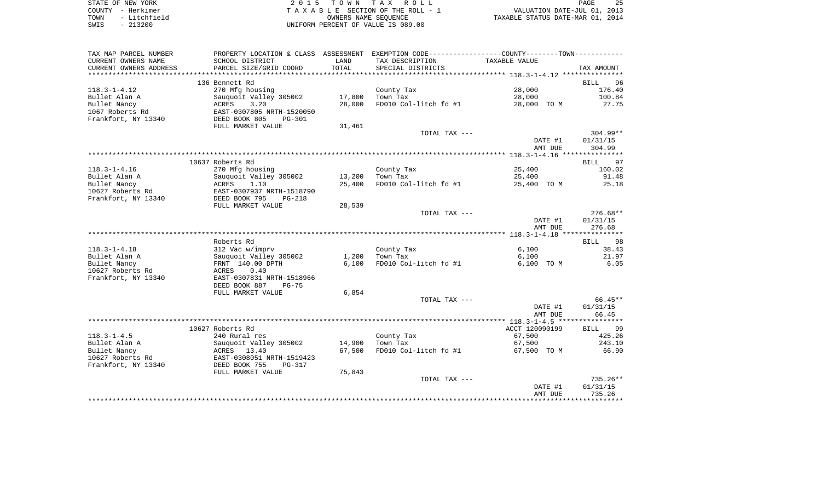| STATE OF NEW YORK    | 2015 TOWN TAX ROLL                 | 25<br>PAGE                       |
|----------------------|------------------------------------|----------------------------------|
| COUNTY - Herkimer    | TAXABLE SECTION OF THE ROLL - 1    | VALUATION DATE-JUL 01, 2013      |
| - Litchfield<br>TOWN | OWNERS NAME SEOUENCE               | TAXABLE STATUS DATE-MAR 01, 2014 |
| $-213200$<br>SWIS    | UNIFORM PERCENT OF VALUE IS 089.00 |                                  |

| TAX MAP PARCEL NUMBER  | PROPERTY LOCATION & CLASS ASSESSMENT EXEMPTION CODE----------------COUNTY--------TOWN----------- |        |                       |                |                   |
|------------------------|--------------------------------------------------------------------------------------------------|--------|-----------------------|----------------|-------------------|
| CURRENT OWNERS NAME    | SCHOOL DISTRICT                                                                                  | LAND   | TAX DESCRIPTION       | TAXABLE VALUE  |                   |
| CURRENT OWNERS ADDRESS | PARCEL SIZE/GRID COORD                                                                           | TOTAL  | SPECIAL DISTRICTS     |                | TAX AMOUNT        |
|                        |                                                                                                  |        |                       |                |                   |
|                        | 136 Bennett Rd                                                                                   |        |                       |                | 96<br><b>BILL</b> |
| $118.3 - 1 - 4.12$     | 270 Mfg housing                                                                                  |        | County Tax            | 28,000         | 176.40            |
| Bullet Alan A          | Sauquoit Valley 305002                                                                           | 17,800 | Town Tax              | 28,000         | 100.84            |
| Bullet Nancy           | ACRES<br>3.20                                                                                    | 28,000 | FD010 Col-litch fd #1 | 28,000 TO M    | 27.75             |
| 1067 Roberts Rd        | EAST-0307805 NRTH-1520050                                                                        |        |                       |                |                   |
| Frankfort, NY 13340    | DEED BOOK 805<br>$PG-301$                                                                        |        |                       |                |                   |
|                        | FULL MARKET VALUE                                                                                | 31,461 |                       |                |                   |
|                        |                                                                                                  |        | TOTAL TAX ---         |                | $304.99**$        |
|                        |                                                                                                  |        |                       | DATE #1        | 01/31/15          |
|                        |                                                                                                  |        |                       | AMT DUE        | 304.99            |
|                        |                                                                                                  |        |                       |                |                   |
|                        | 10637 Roberts Rd                                                                                 |        |                       |                | BILL 97           |
| $118.3 - 1 - 4.16$     | 270 Mfg housing                                                                                  |        | County Tax            | 25,400         | 160.02            |
| Bullet Alan A          | Sauquoit Valley 305002                                                                           | 13,200 | Town Tax              | 25,400         | 91.48             |
| Bullet Nancy           | ACRES<br>1.10                                                                                    | 25,400 | FD010 Col-litch fd #1 | 25,400 TO M    | 25.18             |
| 10627 Roberts Rd       | EAST-0307937 NRTH-1518790                                                                        |        |                       |                |                   |
| Frankfort, NY 13340    | DEED BOOK 795<br><b>PG-218</b>                                                                   |        |                       |                |                   |
|                        | FULL MARKET VALUE                                                                                | 28,539 | TOTAL TAX ---         |                | $276.68**$        |
|                        |                                                                                                  |        |                       | DATE #1        | 01/31/15          |
|                        |                                                                                                  |        |                       | AMT DUE        | 276.68            |
|                        |                                                                                                  |        |                       |                |                   |
|                        | Roberts Rd                                                                                       |        |                       |                | BILL<br>98        |
| $118.3 - 1 - 4.18$     | 312 Vac w/imprv                                                                                  |        | County Tax            | 6,100          | 38.43             |
| Bullet Alan A          | Sauquoit Valley 305002                                                                           | 1,200  | Town Tax              | 6,100          | 21.97             |
| Bullet Nancy           | FRNT 140.00 DPTH                                                                                 | 6,100  | FD010 Col-litch fd #1 | 6,100 TO M     | 6.05              |
| 10627 Roberts Rd       | 0.40<br>ACRES                                                                                    |        |                       |                |                   |
| Frankfort, NY 13340    | EAST-0307831 NRTH-1518966                                                                        |        |                       |                |                   |
|                        | DEED BOOK 887<br>$PG-75$                                                                         |        |                       |                |                   |
|                        | FULL MARKET VALUE                                                                                | 6,854  |                       |                |                   |
|                        |                                                                                                  |        | TOTAL TAX ---         |                | 66.45**           |
|                        |                                                                                                  |        |                       | DATE #1        | 01/31/15          |
|                        |                                                                                                  |        |                       | AMT DUE        | 66.45             |
|                        |                                                                                                  |        |                       |                |                   |
|                        | 10627 Roberts Rd                                                                                 |        |                       | ACCT 120090199 | 99<br>BILL        |
| $118.3 - 1 - 4.5$      | 240 Rural res                                                                                    |        | County Tax            | 67,500         | 425.26            |
| Bullet Alan A          | Sauquoit Valley 305002                                                                           | 14,900 | Town Tax              | 67,500         | 243.10            |
| Bullet Nancy           | ACRES<br>13.40                                                                                   | 67,500 | FD010 Col-litch fd #1 | 67,500 TO M    | 66.90             |
| 10627 Roberts Rd       | EAST-0308051 NRTH-1519423                                                                        |        |                       |                |                   |
| Frankfort, NY 13340    | DEED BOOK 755<br>$PG-317$                                                                        |        |                       |                |                   |
|                        | FULL MARKET VALUE                                                                                | 75,843 |                       |                |                   |
|                        |                                                                                                  |        | TOTAL TAX ---         |                | $735.26**$        |
|                        |                                                                                                  |        |                       | DATE #1        | 01/31/15          |
|                        |                                                                                                  |        |                       | AMT DUE        | 735.26            |
|                        |                                                                                                  |        |                       |                |                   |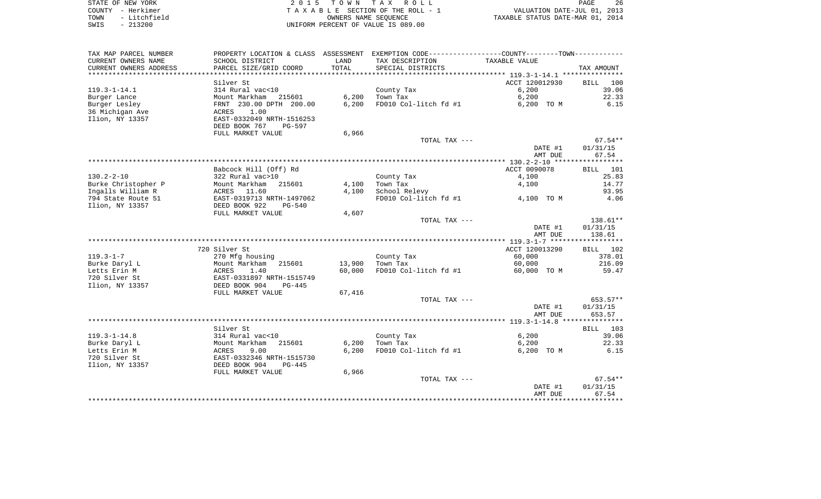| STATE OF NEW YORK    | 2015 TOWN TAX ROLL                 | -26<br>PAGE                      |
|----------------------|------------------------------------|----------------------------------|
| COUNTY - Herkimer    | TAXABLE SECTION OF THE ROLL - 1    | VALUATION DATE-JUL 01, 2013      |
| - Litchfield<br>TOWN | OWNERS NAME SEOUENCE               | TAXABLE STATUS DATE-MAR 01, 2014 |
| $-213200$<br>SWIS    | UNIFORM PERCENT OF VALUE IS 089.00 |                                  |

 $\begin{array}{c} 26 \\ 2013 \\ 2014 \end{array}$ 

| TAX MAP PARCEL NUMBER  |                           |        | PROPERTY LOCATION & CLASS ASSESSMENT EXEMPTION CODE---------------COUNTY-------TOWN---------- |                    |             |
|------------------------|---------------------------|--------|-----------------------------------------------------------------------------------------------|--------------------|-------------|
| CURRENT OWNERS NAME    | SCHOOL DISTRICT           | LAND   | TAX DESCRIPTION                                                                               | TAXABLE VALUE      |             |
| CURRENT OWNERS ADDRESS | PARCEL SIZE/GRID COORD    | TOTAL  | SPECIAL DISTRICTS                                                                             |                    | TAX AMOUNT  |
|                        |                           |        |                                                                                               |                    |             |
|                        | Silver St                 |        |                                                                                               | ACCT 120012930     | BILL<br>100 |
| $119.3 - 1 - 14.1$     | 314 Rural vac<10          |        | County Tax                                                                                    | 6,200              | 39.06       |
| Burger Lance           | Mount Markham 215601      | 6,200  | Town Tax                                                                                      | 6,200              | 22.33       |
| Burger Lesley          | FRNT 230.00 DPTH 200.00   | 6,200  | FD010 Col-litch fd #1                                                                         | 6,200 TO M         | 6.15        |
| 36 Michigan Ave        | 1.00<br>ACRES             |        |                                                                                               |                    |             |
| Ilion, NY 13357        | EAST-0332049 NRTH-1516253 |        |                                                                                               |                    |             |
|                        | DEED BOOK 767<br>PG-597   |        |                                                                                               |                    |             |
|                        | FULL MARKET VALUE         | 6,966  |                                                                                               |                    |             |
|                        |                           |        | TOTAL TAX ---                                                                                 |                    | $67.54**$   |
|                        |                           |        |                                                                                               | DATE #1            | 01/31/15    |
|                        |                           |        |                                                                                               | AMT DUE            | 67.54       |
|                        |                           |        |                                                                                               |                    |             |
|                        | Babcock Hill (Off) Rd     |        |                                                                                               | ACCT 0090078       | BILL 101    |
| 130.2-2-10             | 322 Rural vac>10          |        | County Tax                                                                                    | 4,100              | 25.83       |
| Burke Christopher P    | Mount Markham<br>215601   | 4,100  | Town Tax                                                                                      | 4,100              | 14.77       |
| Ingalls William R      | ACRES 11.60               | 4,100  | School Relevy                                                                                 |                    | 93.95       |
| 794 State Route 51     | EAST-0319713 NRTH-1497062 |        | FD010 Col-litch fd #1                                                                         | 4,100 TO M         | 4.06        |
| Ilion, NY 13357        | DEED BOOK 922<br>PG-540   |        |                                                                                               |                    |             |
|                        | FULL MARKET VALUE         | 4,607  |                                                                                               |                    |             |
|                        |                           |        | TOTAL TAX ---                                                                                 |                    | $138.61**$  |
|                        |                           |        |                                                                                               | DATE #1            | 01/31/15    |
|                        |                           |        |                                                                                               | AMT DUE            | 138.61      |
|                        |                           |        |                                                                                               |                    |             |
|                        | 720 Silver St             |        |                                                                                               | ACCT 120013290     | BILL 102    |
| $119.3 - 1 - 7$        | 270 Mfg housing           |        | County Tax                                                                                    | 60,000             | 378.01      |
| Burke Daryl L          | Mount Markham 215601      | 13,900 | Town Tax                                                                                      | 60,000             | 216.09      |
| Letts Erin M           | ACRES<br>1.40             | 60,000 | FD010 Col-litch fd #1                                                                         | 60,000 TO M        | 59.47       |
| 720 Silver St          | EAST-0331897 NRTH-1515749 |        |                                                                                               |                    |             |
| Ilion, NY 13357        | DEED BOOK 904<br>$PG-445$ |        |                                                                                               |                    |             |
|                        | FULL MARKET VALUE         | 67,416 |                                                                                               |                    |             |
|                        |                           |        | TOTAL TAX ---                                                                                 |                    | $653.57**$  |
|                        |                           |        |                                                                                               | DATE #1            | 01/31/15    |
|                        |                           |        |                                                                                               | AMT DUE            | 653.57      |
|                        |                           |        |                                                                                               |                    |             |
|                        | Silver St                 |        |                                                                                               |                    | BILL 103    |
| $119.3 - 1 - 14.8$     | 314 Rural vac<10          |        | County Tax                                                                                    | 6,200              | 39.06       |
| Burke Daryl L          | 215601<br>Mount Markham   | 6,200  | Town Tax                                                                                      | 6,200              | 22.33       |
| Letts Erin M           | ACRES<br>9.00             | 6,200  | FD010 Col-litch fd #1                                                                         | 6,200 TO M         | 6.15        |
| 720 Silver St          | EAST-0332346 NRTH-1515730 |        |                                                                                               |                    |             |
| Ilion, NY 13357        | DEED BOOK 904<br>$PG-445$ |        |                                                                                               |                    |             |
|                        | FULL MARKET VALUE         | 6,966  |                                                                                               |                    |             |
|                        |                           |        | TOTAL TAX ---                                                                                 |                    | $67.54**$   |
|                        |                           |        |                                                                                               | DATE #1<br>AMT DUE | 01/31/15    |
|                        |                           |        |                                                                                               |                    | 67.54       |
|                        |                           |        |                                                                                               |                    |             |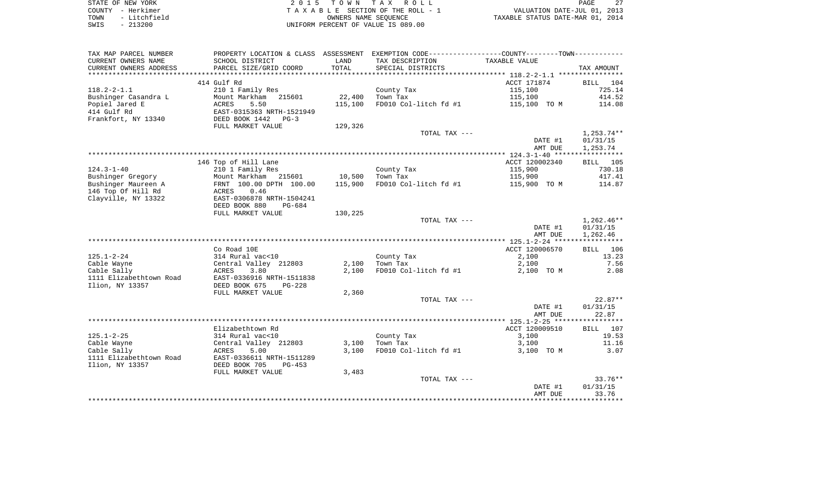| STATE OF NEW YORK    | 2015 TOWN TAX ROLL                 | 27<br>PAGE                       |
|----------------------|------------------------------------|----------------------------------|
| COUNTY - Herkimer    | TAXABLE SECTION OF THE ROLL - 1    | VALUATION DATE-JUL 01, 2013      |
| - Litchfield<br>TOWN | OWNERS NAME SEOUENCE               | TAXABLE STATUS DATE-MAR 01, 2014 |
| $-213200$<br>SWIS    | UNIFORM PERCENT OF VALUE IS 089.00 |                                  |

| TAX MAP PARCEL NUMBER      |                           |         | PROPERTY LOCATION & CLASS ASSESSMENT EXEMPTION CODE---------------COUNTY-------TOWN---------- |                |                   |
|----------------------------|---------------------------|---------|-----------------------------------------------------------------------------------------------|----------------|-------------------|
| CURRENT OWNERS NAME        | SCHOOL DISTRICT           | LAND    | TAX DESCRIPTION                                                                               | TAXABLE VALUE  |                   |
| CURRENT OWNERS ADDRESS     | PARCEL SIZE/GRID COORD    | TOTAL   | SPECIAL DISTRICTS                                                                             |                | TAX AMOUNT        |
| ************************** |                           |         |                                                                                               |                |                   |
|                            | 414 Gulf Rd               |         |                                                                                               | ACCT 171874    | 104<br>BILL       |
| $118.2 - 2 - 1.1$          | 210 1 Family Res          |         | County Tax                                                                                    | 115,100        | 725.14            |
| Bushinger Casandra L       | Mount Markham<br>215601   | 22,400  | Town Tax                                                                                      | 115,100        | 414.52            |
| Popiel Jared E             | 5.50<br>ACRES             | 115,100 | FD010 Col-litch fd #1                                                                         | 115,100 TO M   | 114.08            |
| 414 Gulf Rd                | EAST-0315363 NRTH-1521949 |         |                                                                                               |                |                   |
| Frankfort, NY 13340        | DEED BOOK 1442<br>$PG-3$  |         |                                                                                               |                |                   |
|                            | FULL MARKET VALUE         | 129,326 |                                                                                               |                |                   |
|                            |                           |         | TOTAL TAX ---                                                                                 |                | $1,253.74**$      |
|                            |                           |         |                                                                                               | DATE #1        | 01/31/15          |
|                            |                           |         |                                                                                               | AMT DUE        | 1,253.74          |
|                            | 146 Top of Hill Lane      |         |                                                                                               | ACCT 120002340 | BILL 105          |
| $124.3 - 1 - 40$           | 210 1 Family Res          |         | County Tax                                                                                    | 115,900        | 730.18            |
| Bushinger Gregory          | Mount Markham 215601      | 10,500  | Town Tax                                                                                      | 115,900        | 417.41            |
| Bushinger Maureen A        | FRNT 100.00 DPTH 100.00   | 115,900 | FD010 Col-litch fd #1                                                                         | 115,900 TO M   | 114.87            |
| 146 Top Of Hill Rd         | 0.46<br>ACRES             |         |                                                                                               |                |                   |
| Clayville, NY 13322        | EAST-0306878 NRTH-1504241 |         |                                                                                               |                |                   |
|                            | DEED BOOK 880<br>PG-684   |         |                                                                                               |                |                   |
|                            | FULL MARKET VALUE         | 130,225 |                                                                                               |                |                   |
|                            |                           |         | TOTAL TAX ---                                                                                 |                | $1,262.46**$      |
|                            |                           |         |                                                                                               | DATE #1        | 01/31/15          |
|                            |                           |         |                                                                                               | AMT DUE        | 1,262.46          |
|                            |                           |         |                                                                                               |                |                   |
|                            | Co Road 10E               |         |                                                                                               | ACCT 120006570 | BILL 106          |
| $125.1 - 2 - 24$           | 314 Rural vac<10          |         | County Tax                                                                                    | 2,100          | 13.23             |
| Cable Wayne                | Central Valley 212803     | 2,100   | Town Tax                                                                                      | 2,100          | 7.56              |
| Cable Sally                | ACRES<br>3.80             | 2,100   | FD010 Col-litch fd #1                                                                         | 2,100 TO M     | 2.08              |
| 1111 Elizabethtown Road    | EAST-0336916 NRTH-1511838 |         |                                                                                               |                |                   |
| Ilion, NY 13357            | DEED BOOK 675<br>$PG-228$ |         |                                                                                               |                |                   |
|                            | FULL MARKET VALUE         | 2,360   |                                                                                               |                |                   |
|                            |                           |         | TOTAL TAX ---                                                                                 |                | $22.87**$         |
|                            |                           |         |                                                                                               | DATE #1        | 01/31/15<br>22.87 |
|                            |                           |         |                                                                                               | AMT DUE        |                   |
|                            | Elizabethtown Rd          |         |                                                                                               | ACCT 120009510 | BILL 107          |
| $125.1 - 2 - 25$           | 314 Rural vac<10          |         | County Tax                                                                                    | 3,100          | 19.53             |
| Cable Wayne                | Central Valley 212803     | 3,100   | Town Tax                                                                                      | 3,100          | 11.16             |
| Cable Sally                | ACRES<br>5.00             | 3.100   | FD010 Col-litch fd #1                                                                         | 3,100 TO M     | 3.07              |
| 1111 Elizabethtown Road    | EAST-0336611 NRTH-1511289 |         |                                                                                               |                |                   |
| Ilion, NY 13357            | DEED BOOK 705<br>$PG-453$ |         |                                                                                               |                |                   |
|                            | FULL MARKET VALUE         | 3,483   |                                                                                               |                |                   |
|                            |                           |         | TOTAL TAX ---                                                                                 |                | $33.76**$         |
|                            |                           |         |                                                                                               | DATE #1        | 01/31/15          |
|                            |                           |         |                                                                                               | AMT DUE        | 33.76             |
|                            |                           |         |                                                                                               |                |                   |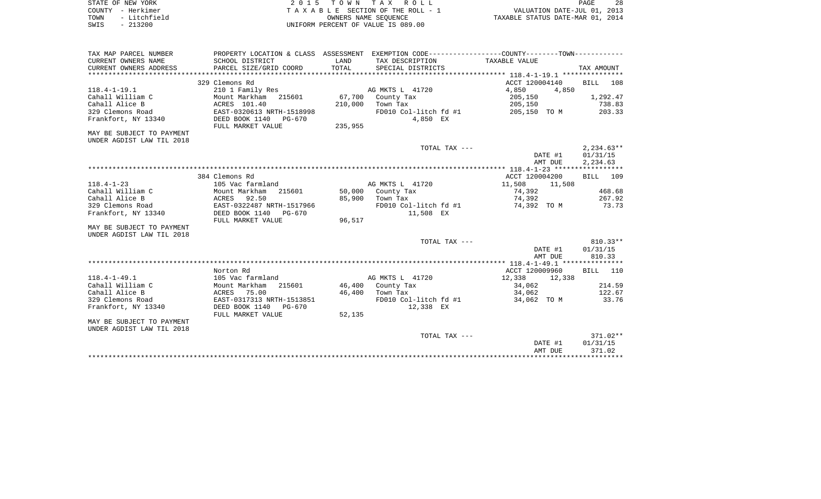| STATE OF NEW YORK    | 2015 TOWN TAX ROLL                 | 28<br>PAGE                       |
|----------------------|------------------------------------|----------------------------------|
| COUNTY - Herkimer    | TAXABLE SECTION OF THE ROLL - 1    | VALUATION DATE-JUL 01, 2013      |
| - Litchfield<br>TOWN | OWNERS NAME SEOUENCE               | TAXABLE STATUS DATE-MAR 01, 2014 |
| $-213200$<br>SWIS    | UNIFORM PERCENT OF VALUE IS 089.00 |                                  |
|                      |                                    |                                  |

|                                                        |                                                                                                |         |                               | AMT DUE                            | 371.02                 |
|--------------------------------------------------------|------------------------------------------------------------------------------------------------|---------|-------------------------------|------------------------------------|------------------------|
|                                                        |                                                                                                |         | TOTAL TAX ---                 | DATE #1                            | $371.02**$<br>01/31/15 |
| MAY BE SUBJECT TO PAYMENT<br>UNDER AGDIST LAW TIL 2018 |                                                                                                |         |                               |                                    |                        |
|                                                        | FULL MARKET VALUE                                                                              | 52,135  |                               |                                    |                        |
| Frankfort, NY 13340                                    | DEED BOOK 1140<br>PG-670                                                                       |         | 12,338 EX                     |                                    |                        |
| 329 Clemons Road                                       | EAST-0317313 NRTH-1513851                                                                      |         | FD010 Col-litch fd #1         | 34,062 TO M                        | 33.76                  |
| Cahall Alice B                                         | ACRES<br>75.00                                                                                 | 46,400  | Town Tax                      | 34,062                             | 122.67                 |
| Cahall William C                                       | 215601<br>Mount Markham                                                                        |         | 46,400 County Tax             | 34,062                             | 214.59                 |
| $118.4 - 1 - 49.1$                                     | Norton Rd<br>105 Vac farmland                                                                  |         | AG MKTS L 41720               | ACCT 120009960<br>12,338<br>12,338 | BILL 110               |
|                                                        |                                                                                                |         |                               |                                    |                        |
|                                                        |                                                                                                |         |                               | AMT DUE                            | 810.33                 |
|                                                        |                                                                                                |         |                               | DATE #1                            | 01/31/15               |
| UNDER AGDIST LAW TIL 2018                              |                                                                                                |         | TOTAL TAX ---                 |                                    | $810.33**$             |
| MAY BE SUBJECT TO PAYMENT                              |                                                                                                |         |                               |                                    |                        |
|                                                        | FULL MARKET VALUE                                                                              | 96,517  |                               |                                    |                        |
| Frankfort, NY 13340                                    | DEED BOOK 1140<br>PG-670                                                                       |         | 11,508 EX                     |                                    |                        |
| 329 Clemons Road                                       | EAST-0322487 NRTH-1517966                                                                      |         | FD010 Col-litch fd #1         | 74,392 TO M                        | 73.73                  |
| Cahall Alice B                                         | ACRES<br>92.50                                                                                 | 85,900  | Town Tax                      | 74,392                             | 267.92                 |
| Cahall William C                                       | Mount Markham<br>215601                                                                        |         | 50,000 County Tax             | 74,392                             | 468.68                 |
| $118.4 - 1 - 23$                                       | 105 Vac farmland                                                                               |         | AG MKTS L 41720               | 11,508<br>11,508                   |                        |
|                                                        | 384 Clemons Rd                                                                                 |         |                               | ACCT 120004200                     | BILL 109               |
|                                                        |                                                                                                |         |                               |                                    |                        |
|                                                        |                                                                                                |         |                               | DATE #1<br>AMT DUE                 | 01/31/15<br>2,234.63   |
|                                                        |                                                                                                |         | TOTAL TAX ---                 |                                    | $2,234.63**$           |
| UNDER AGDIST LAW TIL 2018                              |                                                                                                |         |                               |                                    |                        |
| MAY BE SUBJECT TO PAYMENT                              |                                                                                                |         |                               |                                    |                        |
|                                                        | FULL MARKET VALUE                                                                              | 235,955 |                               |                                    |                        |
| Frankfort, NY 13340                                    | DEED BOOK 1140 PG-670                                                                          |         | 4,850 EX                      |                                    |                        |
| 329 Clemons Road                                       | EAST-0320613 NRTH-1518998                                                                      |         | FD010 Col-litch fd #1         | 205,150 TO M                       | 203.33                 |
| Cahall Alice B                                         | ACRES 101.40                                                                                   | 210,000 | Town Tax                      | 205,150                            | 738.83                 |
| Cahall William C                                       | Mount Markham<br>215601                                                                        | 67,700  | AG MKTS L 41720<br>County Tax | 4,850<br>205,150                   | 1,292.47               |
| $118.4 - 1 - 19.1$                                     | 329 Clemons Rd<br>210 1 Family Res                                                             |         |                               | ACCT 120004140<br>4,850            | BILL<br>108            |
|                                                        |                                                                                                |         |                               |                                    |                        |
| CURRENT OWNERS ADDRESS                                 | PARCEL SIZE/GRID COORD                                                                         | TOTAL   | SPECIAL DISTRICTS             |                                    | TAX AMOUNT             |
| CURRENT OWNERS NAME                                    | SCHOOL DISTRICT                                                                                | LAND    | TAX DESCRIPTION               | TAXABLE VALUE                      |                        |
| TAX MAP PARCEL NUMBER                                  | PROPERTY LOCATION & CLASS ASSESSMENT EXEMPTION CODE----------------COUNTY-------TOWN---------- |         |                               |                                    |                        |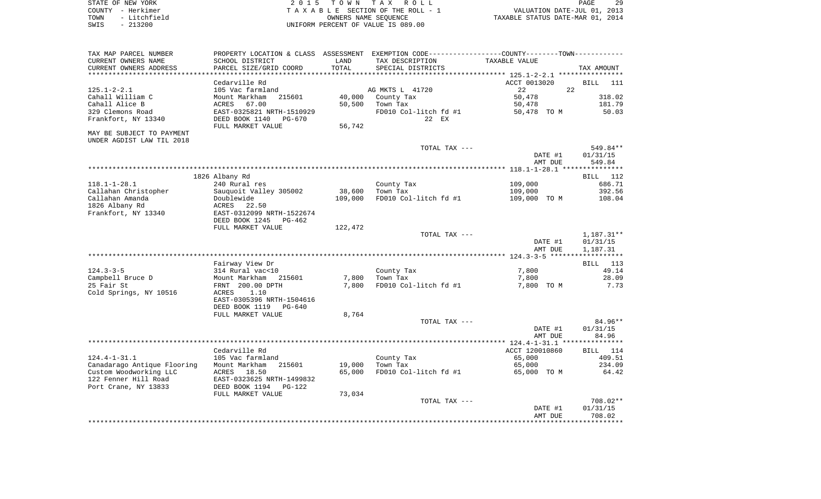| STATE OF NEW YORK    | 2015 TOWN TAX ROLL                 | 29<br>PAGE                       |
|----------------------|------------------------------------|----------------------------------|
| COUNTY - Herkimer    | TAXABLE SECTION OF THE ROLL - 1    | VALUATION DATE-JUL 01, 2013      |
| - Litchfield<br>TOWN | OWNERS NAME SEOUENCE               | TAXABLE STATUS DATE-MAR 01, 2014 |
| $-213200$<br>SWIS    | UNIFORM PERCENT OF VALUE IS 089.00 |                                  |

| TAX MAP PARCEL NUMBER       | PROPERTY LOCATION & CLASS ASSESSMENT EXEMPTION CODE---------------COUNTY-------TOWN---------- |            |                                                   |                |                    |
|-----------------------------|-----------------------------------------------------------------------------------------------|------------|---------------------------------------------------|----------------|--------------------|
| CURRENT OWNERS NAME         | SCHOOL DISTRICT                                                                               | LAND       | TAX DESCRIPTION                                   | TAXABLE VALUE  |                    |
| CURRENT OWNERS ADDRESS      | PARCEL SIZE/GRID COORD                                                                        | TOTAL      | SPECIAL DISTRICTS                                 |                | TAX AMOUNT         |
| ********************        | * * * * * * * * * * * * * * * * * * * *                                                       | ********** | ************************************* 125.1-2-2.1 |                | ****************   |
|                             | Cedarville Rd                                                                                 |            |                                                   | ACCT 0013020   | <b>BILL</b><br>111 |
| $125.1 - 2 - 2.1$           | 105 Vac farmland                                                                              |            | AG MKTS L 41720                                   | 22<br>22       |                    |
| Cahall William C            | Mount Markham<br>215601                                                                       | 40,000     | County Tax                                        | 50,478         | 318.02             |
| Cahall Alice B              | 67.00<br>ACRES                                                                                | 50,500     | Town Tax                                          | 50,478         | 181.79             |
| 329 Clemons Road            | EAST-0325821 NRTH-1510929                                                                     |            | FD010 Col-litch fd #1                             | 50,478 TO M    | 50.03              |
| Frankfort, NY 13340         | DEED BOOK 1140<br>PG-670                                                                      |            | 22 EX                                             |                |                    |
|                             | FULL MARKET VALUE                                                                             | 56,742     |                                                   |                |                    |
| MAY BE SUBJECT TO PAYMENT   |                                                                                               |            |                                                   |                |                    |
| UNDER AGDIST LAW TIL 2018   |                                                                                               |            |                                                   |                |                    |
|                             |                                                                                               |            | TOTAL TAX ---                                     |                | 549.84**           |
|                             |                                                                                               |            |                                                   | DATE #1        | 01/31/15           |
|                             |                                                                                               |            |                                                   | AMT DUE        | 549.84             |
|                             |                                                                                               |            |                                                   |                |                    |
|                             | 1826 Albany Rd                                                                                |            |                                                   |                | BILL 112           |
| $118.1 - 1 - 28.1$          | 240 Rural res                                                                                 |            | County Tax                                        | 109,000        | 686.71             |
| Callahan Christopher        | Sauquoit Valley 305002                                                                        | 38,600     | Town Tax                                          | 109,000        | 392.56             |
| Callahan Amanda             | Doublewide                                                                                    | 109,000    | FD010 Col-litch fd #1                             | 109,000 TO M   | 108.04             |
| 1826 Albany Rd              | ACRES<br>22.50                                                                                |            |                                                   |                |                    |
| Frankfort, NY 13340         | EAST-0312099 NRTH-1522674                                                                     |            |                                                   |                |                    |
|                             | DEED BOOK 1245<br>PG-462                                                                      |            |                                                   |                |                    |
|                             | FULL MARKET VALUE                                                                             | 122,472    |                                                   |                |                    |
|                             |                                                                                               |            | TOTAL TAX ---                                     |                | $1,187.31**$       |
|                             |                                                                                               |            |                                                   | DATE #1        | 01/31/15           |
|                             |                                                                                               |            |                                                   | AMT DUE        | 1,187.31           |
|                             |                                                                                               |            |                                                   |                |                    |
|                             | Fairway View Dr                                                                               |            |                                                   |                | 113<br>BILL        |
| $124.3 - 3 - 5$             | 314 Rural vac<10                                                                              |            | County Tax                                        | 7,800          | 49.14              |
| Campbell Bruce D            | Mount Markham<br>215601                                                                       | 7,800      | Town Tax                                          | 7,800          | 28.09              |
| 25 Fair St                  | FRNT 200.00 DPTH                                                                              | 7,800      | FD010 Col-litch fd #1                             | 7,800 TO M     | 7.73               |
| Cold Springs, NY 10516      | 1.10<br>ACRES                                                                                 |            |                                                   |                |                    |
|                             | EAST-0305396 NRTH-1504616                                                                     |            |                                                   |                |                    |
|                             | DEED BOOK 1119<br>PG-640                                                                      |            |                                                   |                |                    |
|                             | FULL MARKET VALUE                                                                             | 8,764      |                                                   |                |                    |
|                             |                                                                                               |            | TOTAL TAX ---                                     |                | $84.96**$          |
|                             |                                                                                               |            |                                                   | DATE #1        | 01/31/15           |
|                             |                                                                                               |            |                                                   | AMT DUE        | 84.96              |
|                             |                                                                                               |            |                                                   |                |                    |
|                             | Cedarville Rd                                                                                 |            |                                                   | ACCT 120010860 | BILL 114           |
| $124.4 - 1 - 31.1$          | 105 Vac farmland                                                                              |            | County Tax                                        | 65,000         | 409.51             |
| Canadarago Antique Flooring | Mount Markham<br>215601                                                                       | 19,000     | Town Tax                                          | 65,000         | 234.09             |
| Custom Woodworking LLC      | ACRES<br>18.50                                                                                | 65,000     | FD010 Col-litch fd #1                             | 65,000 TO M    | 64.42              |
| 122 Fenner Hill Road        | EAST-0323625 NRTH-1499832                                                                     |            |                                                   |                |                    |
| Port Crane, NY 13833        | DEED BOOK 1194<br>PG-122                                                                      |            |                                                   |                |                    |
|                             | FULL MARKET VALUE                                                                             | 73,034     |                                                   |                |                    |
|                             |                                                                                               |            | TOTAL TAX ---                                     |                | 708.02**           |
|                             |                                                                                               |            |                                                   | DATE #1        | 01/31/15           |
|                             |                                                                                               |            |                                                   | AMT DUE        | 708.02             |
|                             |                                                                                               |            |                                                   |                |                    |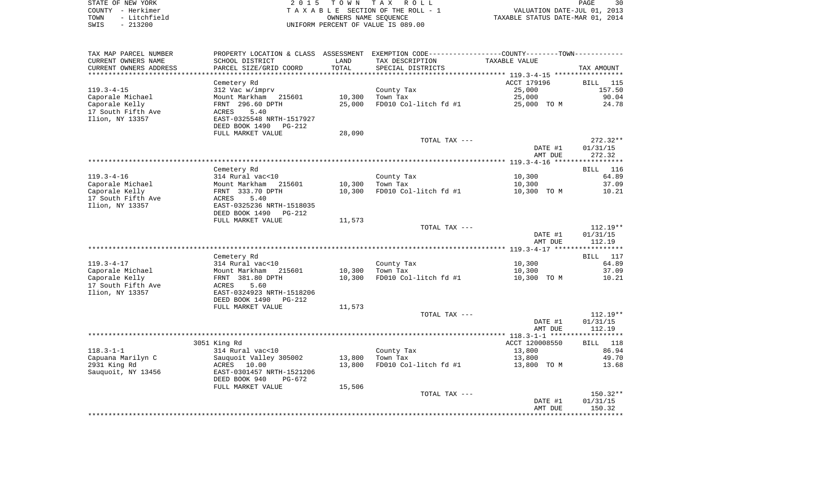| STATE OF NEW YORK    | 2015 TOWN TAX ROLL                 | 30<br>PAGE                       |
|----------------------|------------------------------------|----------------------------------|
| COUNTY - Herkimer    | TAXABLE SECTION OF THE ROLL - 1    | VALUATION DATE-JUL 01, 2013      |
| - Litchfield<br>TOWN | OWNERS NAME SEOUENCE               | TAXABLE STATUS DATE-MAR 01, 2014 |
| $-213200$<br>SWIS    | UNIFORM PERCENT OF VALUE IS 089.00 |                                  |

| TAX MAP PARCEL NUMBER  |                                             |        | PROPERTY LOCATION & CLASS ASSESSMENT EXEMPTION CODE---------------COUNTY-------TOWN---------- |                |            |
|------------------------|---------------------------------------------|--------|-----------------------------------------------------------------------------------------------|----------------|------------|
| CURRENT OWNERS NAME    | SCHOOL DISTRICT                             | LAND   | TAX DESCRIPTION                                                                               | TAXABLE VALUE  |            |
| CURRENT OWNERS ADDRESS | PARCEL SIZE/GRID COORD                      | TOTAL  | SPECIAL DISTRICTS                                                                             |                | TAX AMOUNT |
| ********************** |                                             |        |                                                                                               |                |            |
|                        | Cemetery Rd                                 |        |                                                                                               | ACCT 179196    | BILL 115   |
| $119.3 - 4 - 15$       | 312 Vac w/imprv                             |        | County Tax                                                                                    | 25,000         | 157.50     |
| Caporale Michael       | Mount Markham 215601                        | 10,300 | Town Tax                                                                                      | 25,000         | 90.04      |
| Caporale Kelly         | FRNT 296.60 DPTH                            | 25,000 | FD010 Col-litch fd #1                                                                         | 25,000 TO M    | 24.78      |
| 17 South Fifth Ave     | 5.40<br>ACRES                               |        |                                                                                               |                |            |
| Ilion, NY 13357        | EAST-0325548 NRTH-1517927<br>DEED BOOK 1490 |        |                                                                                               |                |            |
|                        | PG-212<br>FULL MARKET VALUE                 | 28,090 |                                                                                               |                |            |
|                        |                                             |        | TOTAL TAX ---                                                                                 |                | $272.32**$ |
|                        |                                             |        |                                                                                               | DATE #1        | 01/31/15   |
|                        |                                             |        |                                                                                               | AMT DUE        | 272.32     |
|                        |                                             |        |                                                                                               |                |            |
|                        | Cemetery Rd                                 |        |                                                                                               |                | BILL 116   |
| $119.3 - 4 - 16$       | 314 Rural vac<10                            |        | County Tax                                                                                    | 10,300         | 64.89      |
| Caporale Michael       | Mount Markham 215601                        | 10,300 | Town Tax                                                                                      | 10,300         | 37.09      |
| Caporale Kelly         | FRNT 333.70 DPTH                            | 10,300 | FD010 Col-litch fd #1                                                                         | 10,300 TO M    | 10.21      |
| 17 South Fifth Ave     | 5.40<br>ACRES                               |        |                                                                                               |                |            |
| Ilion, NY 13357        | EAST-0325236 NRTH-1518035                   |        |                                                                                               |                |            |
|                        | DEED BOOK 1490<br>PG-212                    |        |                                                                                               |                |            |
|                        | FULL MARKET VALUE                           | 11,573 |                                                                                               |                |            |
|                        |                                             |        | TOTAL TAX ---                                                                                 |                | $112.19**$ |
|                        |                                             |        |                                                                                               | DATE #1        | 01/31/15   |
|                        |                                             |        |                                                                                               | AMT DUE        | 112.19     |
|                        | Cemetery Rd                                 |        |                                                                                               |                | BILL 117   |
| $119.3 - 4 - 17$       | 314 Rural vac<10                            |        | County Tax                                                                                    | 10,300         | 64.89      |
| Caporale Michael       | Mount Markham 215601                        | 10,300 | Town Tax                                                                                      | 10,300         | 37.09      |
| Caporale Kelly         | FRNT 381.80 DPTH                            | 10,300 | FD010 Col-litch fd #1                                                                         | 10,300 TO M    | 10.21      |
| 17 South Fifth Ave     | ACRES 5.60                                  |        |                                                                                               |                |            |
| Ilion, NY 13357        | EAST-0324923 NRTH-1518206                   |        |                                                                                               |                |            |
|                        | DEED BOOK 1490<br>PG-212                    |        |                                                                                               |                |            |
|                        | FULL MARKET VALUE                           | 11,573 |                                                                                               |                |            |
|                        |                                             |        | TOTAL TAX ---                                                                                 |                | $112.19**$ |
|                        |                                             |        |                                                                                               | DATE #1        | 01/31/15   |
|                        |                                             |        |                                                                                               | AMT DUE        | 112.19     |
|                        |                                             |        |                                                                                               |                |            |
|                        | 3051 King Rd                                |        |                                                                                               | ACCT 120008550 | BILL 118   |
| $118.3 - 1 - 1$        | 314 Rural vac<10                            |        | County Tax                                                                                    | 13,800         | 86.94      |
| Capuana Marilyn C      | Sauquoit Valley 305002                      | 13,800 | Town Tax                                                                                      | 13,800         | 49.70      |
| 2931 King Rd           | ACRES 10.00                                 | 13,800 | FD010 Col-litch fd #1                                                                         | 13,800 TO M    | 13.68      |
| Sauquoit, NY 13456     | EAST-0301457 NRTH-1521206                   |        |                                                                                               |                |            |
|                        | DEED BOOK 940<br>PG-672                     |        |                                                                                               |                |            |
|                        | FULL MARKET VALUE                           | 15,506 | TOTAL TAX ---                                                                                 |                | 150.32**   |
|                        |                                             |        |                                                                                               | DATE #1        | 01/31/15   |
|                        |                                             |        |                                                                                               | AMT DUE        | 150.32     |
|                        |                                             |        |                                                                                               |                |            |
|                        |                                             |        |                                                                                               |                |            |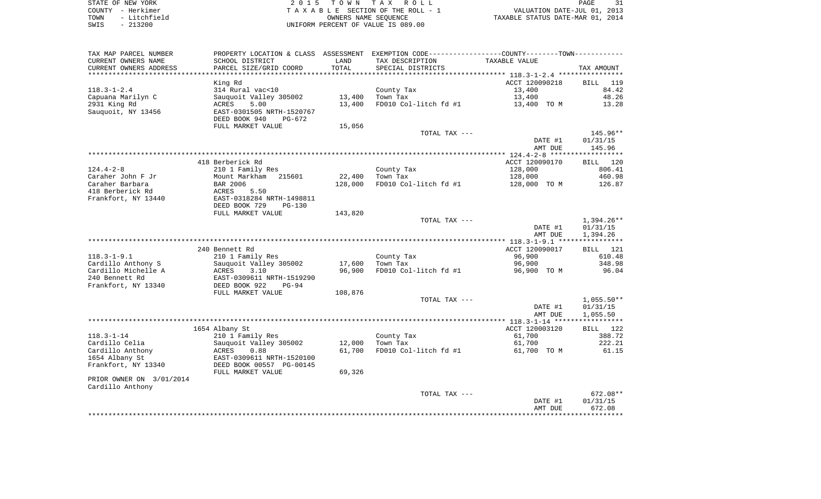| STATE OF NEW YORK |  |              |  |
|-------------------|--|--------------|--|
| COUNTY - Herkimer |  |              |  |
| TOWN              |  | - Litchfield |  |
| SWIS              |  | $-213200$    |  |

2015 TOWN TAX ROLL TA X A B L E SECTION OF THE ROLL - 1 TOWN - LITTLE ROLL - LITTLE OF THE ROLL - 1<br>
TAXABLE STATUS DATE-MAR 01, 2014<br>
TAXABLE STATUS DATE-MAR 01, 2014 SWIS - 213200 UNIFORM PERCENT OF VALUE IS 089.00

PAGE 31

| TAX MAP PARCEL NUMBER    | PROPERTY LOCATION & CLASS ASSESSMENT EXEMPTION CODE---------------COUNTY-------TOWN---------- |         |                              |                                                    |              |
|--------------------------|-----------------------------------------------------------------------------------------------|---------|------------------------------|----------------------------------------------------|--------------|
| CURRENT OWNERS NAME      | SCHOOL DISTRICT                                                                               | LAND    | TAX DESCRIPTION              | TAXABLE VALUE                                      |              |
| CURRENT OWNERS ADDRESS   | PARCEL SIZE/GRID COORD                                                                        | TOTAL   | SPECIAL DISTRICTS            |                                                    | TAX AMOUNT   |
|                          |                                                                                               |         | **************************** | ********************* 118.3-1-2.4 **************** |              |
|                          | King Rd                                                                                       |         |                              | ACCT 120090218                                     | BILL 119     |
| $118.3 - 1 - 2.4$        | 314 Rural vac<10                                                                              |         | County Tax                   | 13,400                                             | 84.42        |
| Capuana Marilyn C        | Sauquoit Valley 305002                                                                        | 13,400  | Town Tax                     | 13,400                                             | 48.26        |
| 2931 King Rd             | ACRES<br>5.00                                                                                 | 13,400  | FD010 Col-litch fd #1        | 13,400 TO M                                        | 13.28        |
| Sauguoit, NY 13456       | EAST-0301505 NRTH-1520767                                                                     |         |                              |                                                    |              |
|                          | DEED BOOK 940<br>$PG-672$                                                                     |         |                              |                                                    |              |
|                          | FULL MARKET VALUE                                                                             | 15,056  |                              |                                                    |              |
|                          |                                                                                               |         | TOTAL TAX ---                |                                                    | 145.96**     |
|                          |                                                                                               |         |                              | DATE #1                                            | 01/31/15     |
|                          |                                                                                               |         |                              | AMT DUE                                            | 145.96       |
|                          |                                                                                               |         |                              |                                                    |              |
|                          | 418 Berberick Rd                                                                              |         |                              | ACCT 120090170                                     | BILL 120     |
| $124.4 - 2 - 8$          | 210 1 Family Res                                                                              |         | County Tax                   | 128,000                                            | 806.41       |
| Caraher John F Jr        | Mount Markham<br>215601                                                                       | 22,400  | Town Tax                     | 128,000                                            | 460.98       |
| Caraher Barbara          | BAR 2006                                                                                      | 128,000 | FD010 Col-litch fd #1        | 128,000 TO M                                       | 126.87       |
| 418 Berberick Rd         | ACRES<br>5.50                                                                                 |         |                              |                                                    |              |
| Frankfort, NY 13440      | EAST-0318284 NRTH-1498811                                                                     |         |                              |                                                    |              |
|                          | DEED BOOK 729<br>PG-130                                                                       |         |                              |                                                    |              |
|                          | FULL MARKET VALUE                                                                             | 143,820 |                              |                                                    |              |
|                          |                                                                                               |         | TOTAL TAX ---                |                                                    | $1,394.26**$ |
|                          |                                                                                               |         |                              | DATE #1                                            | 01/31/15     |
|                          |                                                                                               |         |                              | AMT DUE                                            | 1,394.26     |
|                          |                                                                                               |         |                              |                                                    |              |
|                          | 240 Bennett Rd                                                                                |         |                              | ACCT 120090017                                     | BILL 121     |
| $118.3 - 1 - 9.1$        | 210 1 Family Res                                                                              |         | County Tax                   | 96,900                                             | 610.48       |
| Cardillo Anthony S       | Sauguoit Valley 305002                                                                        | 17,600  | Town Tax                     | 96,900                                             | 348.98       |
| Cardillo Michelle A      | <b>ACRES</b><br>3.10                                                                          | 96,900  | FD010 Col-litch fd #1        |                                                    | 96.04        |
| 240 Bennett Rd           | EAST-0309611 NRTH-1519290                                                                     |         |                              | 96,900 TO M                                        |              |
|                          |                                                                                               |         |                              |                                                    |              |
| Frankfort, NY 13340      | DEED BOOK 922<br>$PG-94$                                                                      |         |                              |                                                    |              |
|                          | FULL MARKET VALUE                                                                             | 108,876 |                              |                                                    |              |
|                          |                                                                                               |         | TOTAL TAX ---                |                                                    | $1,055.50**$ |
|                          |                                                                                               |         |                              | DATE #1                                            | 01/31/15     |
|                          |                                                                                               |         |                              | AMT DUE                                            | 1,055.50     |
|                          |                                                                                               |         |                              |                                                    |              |
|                          | 1654 Albany St                                                                                |         |                              | ACCT 120003120                                     | BILL 122     |
| $118.3 - 1 - 14$         | 210 1 Family Res                                                                              |         | County Tax                   | 61,700                                             | 388.72       |
| Cardillo Celia           | Sauquoit Valley 305002                                                                        | 12,000  | Town Tax                     | 61,700                                             | 222.21       |
| Cardillo Anthony         | ACRES<br>0.88                                                                                 | 61,700  | FD010 Col-litch fd #1        | 61,700 TO M                                        | 61.15        |
| 1654 Albany St           | EAST-0309611 NRTH-1520100                                                                     |         |                              |                                                    |              |
| Frankfort, NY 13340      | DEED BOOK 00557 PG-00145                                                                      |         |                              |                                                    |              |
|                          | FULL MARKET VALUE                                                                             | 69,326  |                              |                                                    |              |
| PRIOR OWNER ON 3/01/2014 |                                                                                               |         |                              |                                                    |              |
| Cardillo Anthony         |                                                                                               |         |                              |                                                    |              |
|                          |                                                                                               |         | TOTAL TAX ---                |                                                    | $672.08**$   |
|                          |                                                                                               |         |                              | DATE #1                                            | 01/31/15     |
|                          |                                                                                               |         |                              | AMT DUE                                            | 672.08       |
|                          |                                                                                               |         |                              |                                                    |              |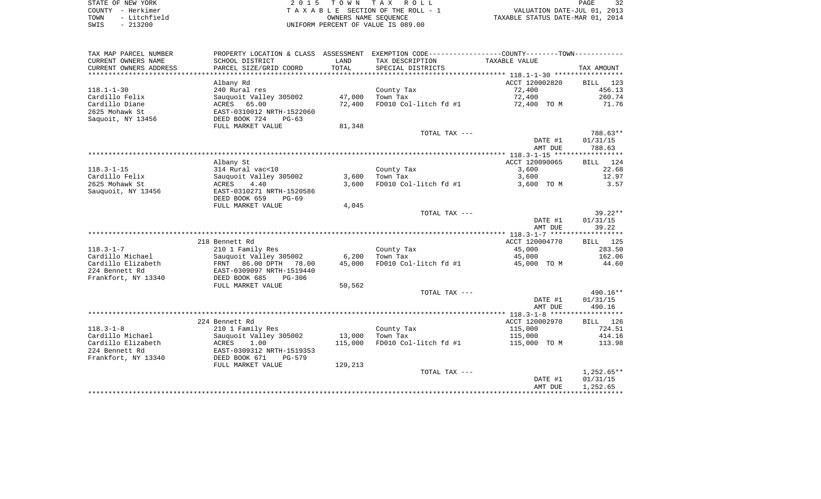| STATE OF NEW YORK |  |              |  |
|-------------------|--|--------------|--|
| COUNTY - Herkimer |  |              |  |
| TOWN              |  | - Litchfield |  |
| SWTS              |  | $-213200$    |  |

2015 TOWN TAX ROLL TA X A B L E SECTION OF THE ROLL - 1 TOWN - Litchfield OWNERS NAME SEQUENCE TAXABLE STATUS DATE-MAR 01, 2014 UNIFORM PERCENT OF VALUE IS 089.00

| TAX MAP PARCEL NUMBER<br>CURRENT OWNERS NAME<br>CURRENT OWNERS ADDRESS | PROPERTY LOCATION & CLASS ASSESSMENT<br>SCHOOL DISTRICT<br>PARCEL SIZE/GRID COORD | LAND<br><b>TOTAL</b> | EXEMPTION CODE----------------COUNTY-------TOWN-----------<br>TAX DESCRIPTION<br>SPECIAL DISTRICTS | TAXABLE VALUE  | TAX AMOUNT         |
|------------------------------------------------------------------------|-----------------------------------------------------------------------------------|----------------------|----------------------------------------------------------------------------------------------------|----------------|--------------------|
|                                                                        |                                                                                   |                      |                                                                                                    |                |                    |
|                                                                        | Albany Rd                                                                         |                      |                                                                                                    | ACCT 120002820 | 123<br>BILL        |
| $118.1 - 1 - 30$                                                       | 240 Rural res                                                                     |                      | County Tax                                                                                         | 72,400         | 456.13             |
| Cardillo Felix                                                         | Sauquoit Valley 305002                                                            | 47,000               | Town Tax                                                                                           | 72,400         | 260.74             |
| Cardillo Diane                                                         | ACRES<br>65.00                                                                    | 72,400               | FD010 Col-litch fd #1                                                                              | 72,400 TO M    | 71.76              |
| 2625 Mohawk St                                                         | EAST-0310012 NRTH-1522060                                                         |                      |                                                                                                    |                |                    |
| Saquoit, NY 13456                                                      | DEED BOOK 724<br>$PG-63$                                                          |                      |                                                                                                    |                |                    |
|                                                                        | FULL MARKET VALUE                                                                 | 81,348               |                                                                                                    |                |                    |
|                                                                        |                                                                                   |                      | TOTAL TAX ---                                                                                      |                | 788.63**           |
|                                                                        |                                                                                   |                      |                                                                                                    | DATE #1        | 01/31/15           |
|                                                                        |                                                                                   |                      |                                                                                                    | AMT DUE        | 788.63             |
|                                                                        |                                                                                   |                      |                                                                                                    |                |                    |
|                                                                        | Albany St                                                                         |                      |                                                                                                    | ACCT 120090065 | <b>BILL</b><br>124 |
| $118.3 - 1 - 15$                                                       | 314 Rural vac<10                                                                  |                      | County Tax                                                                                         | 3,600          | 22.68              |
| Cardillo Felix                                                         | Sauquoit Valley 305002                                                            | 3,600                | Town Tax                                                                                           | 3,600          | 12.97              |
| 2625 Mohawk St                                                         | 4.40<br>ACRES                                                                     | 3,600                | FD010 Col-litch fd #1                                                                              | 3,600 TO M     | 3.57               |
| Sauquoit, NY 13456                                                     | EAST-0310271 NRTH-1520586                                                         |                      |                                                                                                    |                |                    |
|                                                                        | DEED BOOK 659<br>$PG-69$                                                          |                      |                                                                                                    |                |                    |
|                                                                        | FULL MARKET VALUE                                                                 | 4,045                |                                                                                                    |                |                    |
|                                                                        |                                                                                   |                      | TOTAL TAX ---                                                                                      |                | $39.22**$          |
|                                                                        |                                                                                   |                      |                                                                                                    | DATE #1        | 01/31/15           |
|                                                                        |                                                                                   |                      |                                                                                                    | AMT DUE        | 39.22              |
|                                                                        |                                                                                   |                      |                                                                                                    |                |                    |
|                                                                        | 218 Bennett Rd                                                                    |                      |                                                                                                    | ACCT 120004770 | BILL 125           |
| $118.3 - 1 - 7$                                                        | 210 1 Family Res                                                                  |                      | County Tax                                                                                         | 45,000         | 283.50             |
| Cardillo Michael                                                       | Sauquoit Valley 305002                                                            | 6,200                | Town Tax                                                                                           | 45,000         | 162.06             |
| Cardillo Elizabeth                                                     | FRNT 86.00 DPTH<br>78.00                                                          | 45,000               | FD010 Col-litch fd #1                                                                              | 45,000 TO M    | 44.60              |
| 224 Bennett Rd                                                         | EAST-0309097 NRTH-1519440                                                         |                      |                                                                                                    |                |                    |
| Frankfort, NY 13340                                                    | DEED BOOK 685<br>$PG-306$                                                         |                      |                                                                                                    |                |                    |
|                                                                        | FULL MARKET VALUE                                                                 | 50,562               |                                                                                                    |                |                    |
|                                                                        |                                                                                   |                      | TOTAL TAX ---                                                                                      |                | $490.16**$         |
|                                                                        |                                                                                   |                      |                                                                                                    | DATE #1        | 01/31/15           |
|                                                                        |                                                                                   |                      |                                                                                                    | AMT DUE        | 490.16             |
|                                                                        |                                                                                   |                      |                                                                                                    |                |                    |
|                                                                        | 224 Bennett Rd                                                                    |                      |                                                                                                    | ACCT 120002970 | BILL 126           |
| $118.3 - 1 - 8$                                                        | 210 1 Family Res                                                                  |                      | County Tax                                                                                         | 115,000        | 724.51             |
| Cardillo Michael                                                       | Sauquoit Valley 305002                                                            | 13,000               | Town Tax                                                                                           | 115,000        | 414.16             |
| Cardillo Elizabeth                                                     | ACRES<br>1.00                                                                     | 115,000              | FD010 Col-litch fd #1                                                                              | 115,000 TO M   | 113.98             |
| 224 Bennett Rd                                                         | EAST-0309312 NRTH-1519353                                                         |                      |                                                                                                    |                |                    |
| Frankfort, NY 13340                                                    | DEED BOOK 671<br>$PG-579$                                                         |                      |                                                                                                    |                |                    |
|                                                                        | FULL MARKET VALUE                                                                 | 129,213              |                                                                                                    |                |                    |
|                                                                        |                                                                                   |                      | TOTAL TAX ---                                                                                      |                | $1,252.65**$       |
|                                                                        |                                                                                   |                      |                                                                                                    | DATE #1        | 01/31/15           |
|                                                                        |                                                                                   |                      |                                                                                                    | AMT DUE        | 1,252.65           |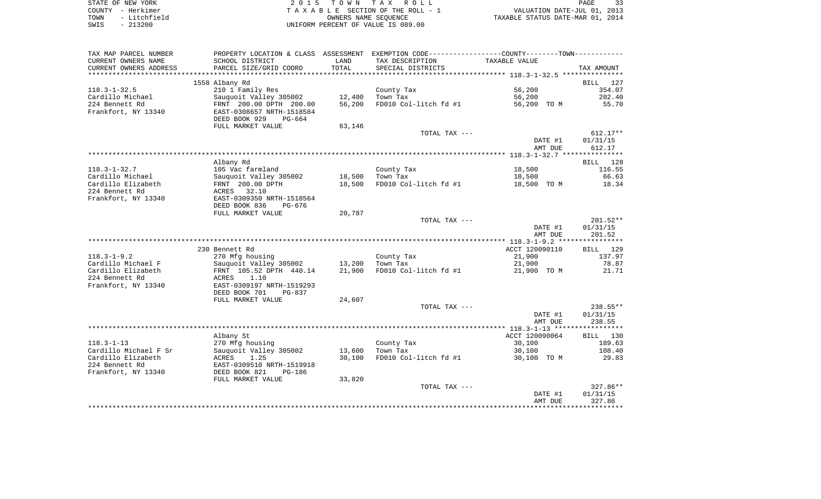| STATE OF NEW YORK    | 2015 TOWN TAX ROLL                 | 33<br>PAGE                       |
|----------------------|------------------------------------|----------------------------------|
| COUNTY - Herkimer    | TAXABLE SECTION OF THE ROLL - 1    | VALUATION DATE-JUL 01, 2013      |
| - Litchfield<br>TOWN | OWNERS NAME SEOUENCE               | TAXABLE STATUS DATE-MAR 01, 2014 |
| $-213200$<br>SWIS    | UNIFORM PERCENT OF VALUE IS 089.00 |                                  |

| TAX MAP PARCEL NUMBER  |                                              |        | PROPERTY LOCATION & CLASS ASSESSMENT EXEMPTION CODE----------------COUNTY-------TOWN---------- |                |                    |
|------------------------|----------------------------------------------|--------|------------------------------------------------------------------------------------------------|----------------|--------------------|
| CURRENT OWNERS NAME    | SCHOOL DISTRICT                              | LAND   | TAX DESCRIPTION                                                                                | TAXABLE VALUE  |                    |
| CURRENT OWNERS ADDRESS | PARCEL SIZE/GRID COORD                       | TOTAL  | SPECIAL DISTRICTS                                                                              |                | TAX AMOUNT         |
|                        |                                              |        |                                                                                                |                |                    |
|                        | 1558 Albany Rd                               |        |                                                                                                |                | <b>BILL</b><br>127 |
| $118.3 - 1 - 32.5$     | 210 1 Family Res                             |        | County Tax                                                                                     | 56,200         | 354.07             |
| Cardillo Michael       | Sauquoit Valley 305002                       | 12,400 | Town Tax                                                                                       | 56,200         | 202.40             |
| 224 Bennett Rd         | FRNT 200.00 DPTH 200.00                      | 56,200 | FD010 Col-litch fd #1                                                                          | 56,200 TO M    | 55.70              |
| Frankfort, NY 13340    | EAST-0308657 NRTH-1518584                    |        |                                                                                                |                |                    |
|                        | DEED BOOK 929<br>PG-664                      |        |                                                                                                |                |                    |
|                        | FULL MARKET VALUE                            | 63,146 |                                                                                                |                |                    |
|                        |                                              |        | TOTAL TAX ---                                                                                  |                | $612.17**$         |
|                        |                                              |        |                                                                                                | DATE #1        | 01/31/15           |
|                        |                                              |        |                                                                                                | AMT DUE        | 612.17             |
|                        |                                              |        |                                                                                                |                |                    |
|                        | Albany Rd                                    |        |                                                                                                |                | BILL 128           |
| $118.3 - 1 - 32.7$     | 105 Vac farmland                             |        | County Tax                                                                                     | 18,500         | 116.55             |
| Cardillo Michael       | Sauquoit Valley 305002                       | 18,500 | Town Tax                                                                                       | 18,500         | 66.63              |
| Cardillo Elizabeth     | FRNT 200.00 DPTH                             | 18,500 | FD010 Col-litch fd #1                                                                          | 18,500 TO M    | 18.34              |
| 224 Bennett Rd         | ACRES<br>32.10                               |        |                                                                                                |                |                    |
| Frankfort, NY 13340    | EAST-0309350 NRTH-1518564                    |        |                                                                                                |                |                    |
|                        | DEED BOOK 836<br>PG-676<br>FULL MARKET VALUE | 20,787 |                                                                                                |                |                    |
|                        |                                              |        | TOTAL TAX ---                                                                                  |                | $201.52**$         |
|                        |                                              |        |                                                                                                | DATE #1        | 01/31/15           |
|                        |                                              |        |                                                                                                | AMT DUE        | 201.52             |
|                        |                                              |        |                                                                                                |                |                    |
|                        | 230 Bennett Rd                               |        |                                                                                                | ACCT 120090110 | 129<br>BILL        |
| $118.3 - 1 - 9.2$      | 270 Mfg housing                              |        | County Tax                                                                                     | 21,900         | 137.97             |
| Cardillo Michael F     | Sauquoit Valley 305002                       | 13,200 | Town Tax                                                                                       | 21,900         | 78.87              |
| Cardillo Elizabeth     | FRNT 105.52 DPTH 440.14                      | 21,900 | FD010 Col-litch fd #1                                                                          | 21,900 TO M    | 21.71              |
| 224 Bennett Rd         | 1.10<br>ACRES                                |        |                                                                                                |                |                    |
| Frankfort, NY 13340    | EAST-0309197 NRTH-1519293                    |        |                                                                                                |                |                    |
|                        | DEED BOOK 701<br>$PG-837$                    |        |                                                                                                |                |                    |
|                        | FULL MARKET VALUE                            | 24,607 |                                                                                                |                |                    |
|                        |                                              |        | TOTAL TAX ---                                                                                  |                | 238.55**           |
|                        |                                              |        |                                                                                                | DATE #1        | 01/31/15           |
|                        |                                              |        |                                                                                                | AMT DUE        | 238.55             |
|                        |                                              |        |                                                                                                |                |                    |
|                        | Albany St                                    |        |                                                                                                | ACCT 120090064 | BILL 130           |
| $118.3 - 1 - 13$       | 270 Mfg housing                              |        | County Tax                                                                                     | 30,100         | 189.63             |
| Cardillo Michael F Sr  | Sauquoit Valley 305002                       | 13,600 | Town Tax                                                                                       | 30,100         | 108.40             |
| Cardillo Elizabeth     | 1.25<br>ACRES                                | 30,100 | FD010 Col-litch fd #1                                                                          | 30,100 TO M    | 29.83              |
| 224 Bennett Rd         | EAST-0309510 NRTH-1519918                    |        |                                                                                                |                |                    |
| Frankfort, NY 13340    | DEED BOOK 821<br><b>PG-186</b>               |        |                                                                                                |                |                    |
|                        | FULL MARKET VALUE                            | 33,820 |                                                                                                |                |                    |
|                        |                                              |        | TOTAL TAX ---                                                                                  |                | $327.86**$         |
|                        |                                              |        |                                                                                                | DATE #1        | 01/31/15           |
|                        |                                              |        |                                                                                                | AMT DUE        | 327.86             |
|                        |                                              |        |                                                                                                |                |                    |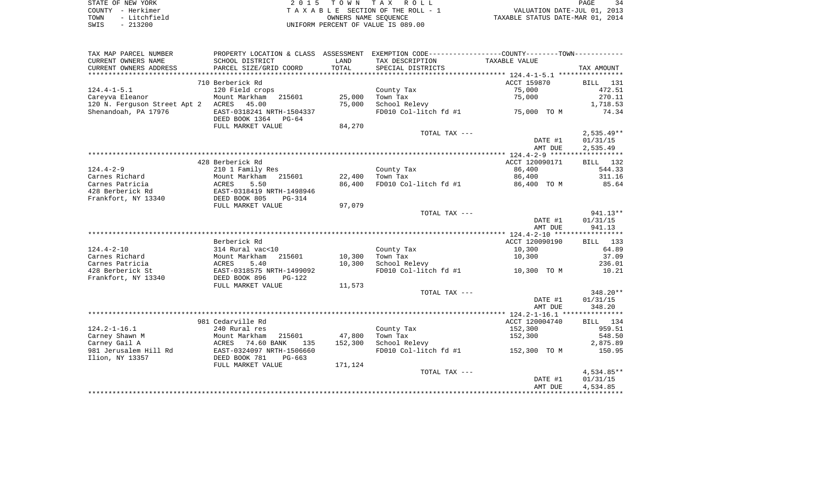| STATE OF NEW YORK |              | 2015 TOWN TAX ROLL                 |                      |  |                                  | PAGE | 34 |
|-------------------|--------------|------------------------------------|----------------------|--|----------------------------------|------|----|
| COUNTY - Herkimer |              | TAXABLE SECTION OF THE ROLL - 1    |                      |  | VALUATION DATE-JUL 01, 2013      |      |    |
| TOWN              | - Litchfield |                                    | OWNERS NAME SEOUENCE |  | TAXABLE STATUS DATE-MAR 01, 2014 |      |    |
| - 213200<br>SWIS  |              | UNIFORM PERCENT OF VALUE IS 089.00 |                      |  |                                  |      |    |

|  | FASH.                            | $\cdot$ $\tau$ |
|--|----------------------------------|----------------|
|  | VALUATION DATE-JUL 01, 2013      |                |
|  | TAXABLE STATUS DATE-MAR 01, 2014 |                |

| TAX MAP PARCEL NUMBER        | PROPERTY LOCATION & CLASS ASSESSMENT             |         | EXEMPTION CODE----------------COUNTY-------TOWN----------- |                |                    |
|------------------------------|--------------------------------------------------|---------|------------------------------------------------------------|----------------|--------------------|
| CURRENT OWNERS NAME          | SCHOOL DISTRICT                                  | LAND    | TAX DESCRIPTION                                            | TAXABLE VALUE  |                    |
| CURRENT OWNERS ADDRESS       | PARCEL SIZE/GRID COORD                           | TOTAL   | SPECIAL DISTRICTS                                          |                | TAX AMOUNT         |
| **********************       |                                                  |         |                                                            |                |                    |
|                              | 710 Berberick Rd                                 |         |                                                            | ACCT 159870    | 131<br><b>BILL</b> |
| $124.4 - 1 - 5.1$            | 120 Field crops                                  |         | County Tax                                                 | 75,000         | 472.51             |
| Careyva Eleanor              | Mount Markham<br>215601                          | 25,000  | Town Tax                                                   | 75,000         | 270.11             |
| 120 N. Ferguson Street Apt 2 | 45.00<br>ACRES                                   | 75,000  | School Relevy                                              |                | 1,718.53           |
| Shenandoah, PA 17976         | EAST-0318241 NRTH-1504337                        |         | FD010 Col-litch fd #1                                      | 75,000 TO M    | 74.34              |
|                              | DEED BOOK 1364<br>$PG-64$                        |         |                                                            |                |                    |
|                              | FULL MARKET VALUE                                | 84,270  |                                                            |                |                    |
|                              |                                                  |         | TOTAL TAX ---                                              |                | $2,535.49**$       |
|                              |                                                  |         |                                                            | DATE #1        | 01/31/15           |
|                              |                                                  |         |                                                            | AMT DUE        | 2,535.49           |
|                              |                                                  |         |                                                            |                |                    |
|                              | 428 Berberick Rd                                 |         |                                                            | ACCT 120090171 | BILL 132           |
| $124.4 - 2 - 9$              | 210 1 Family Res                                 |         | County Tax                                                 | 86,400         | 544.33             |
| Carnes Richard               | Mount Markham<br>215601                          | 22,400  | Town Tax                                                   | 86,400         | 311.16             |
| Carnes Patricia              | <b>ACRES</b><br>5.50                             | 86,400  | FD010 Col-litch fd #1                                      | 86,400 TO M    | 85.64              |
| 428 Berberick Rd             | EAST-0318419 NRTH-1498946                        |         |                                                            |                |                    |
| Frankfort, NY 13340          | DEED BOOK 805<br>$PG-314$                        |         |                                                            |                |                    |
|                              | FULL MARKET VALUE                                | 97,079  |                                                            |                |                    |
|                              |                                                  |         | TOTAL TAX ---                                              |                | 941.13**           |
|                              |                                                  |         |                                                            | DATE #1        | 01/31/15           |
|                              |                                                  |         |                                                            | AMT DUE        | 941.13             |
|                              |                                                  |         |                                                            |                |                    |
|                              | Berberick Rd                                     |         |                                                            | ACCT 120090190 | BILL 133           |
| $124.4 - 2 - 10$             | 314 Rural vac<10                                 |         | County Tax                                                 | 10,300         | 64.89              |
| Carnes Richard               | 215601<br>Mount Markham                          | 10,300  | Town Tax                                                   | 10,300         | 37.09              |
| Carnes Patricia              | <b>ACRES</b><br>5.40                             | 10,300  | School Relevy                                              |                | 236.01             |
| 428 Berberick St             | EAST-0318575 NRTH-1499092                        |         | FD010 Col-litch fd #1                                      | 10,300<br>TO M | 10.21              |
| Frankfort, NY 13340          | DEED BOOK 896<br>$PG-122$                        |         |                                                            |                |                    |
|                              | FULL MARKET VALUE                                | 11,573  |                                                            |                |                    |
|                              |                                                  |         | TOTAL TAX ---                                              |                | 348.20**           |
|                              |                                                  |         |                                                            | DATE #1        | 01/31/15           |
|                              |                                                  |         |                                                            | AMT DUE        | 348.20             |
|                              | 981 Cedarville Rd                                |         |                                                            | ACCT 120004740 | 134                |
| $124.2 - 1 - 16.1$           | 240 Rural res                                    |         |                                                            | 152,300        | BILL<br>959.51     |
| Carney Shawn M               | Mount Markham<br>215601                          | 47,800  | County Tax<br>Town Tax                                     | 152,300        | 548.50             |
| Carney Gail A                | 135                                              | 152,300 | School Relevy                                              |                | 2,875.89           |
| 981 Jerusalem Hill Rd        | ACRES<br>74.60 BANK<br>EAST-0324097 NRTH-1506660 |         | FD010 Col-litch fd #1                                      | 152,300 TO M   | 150.95             |
| Ilion, NY 13357              | DEED BOOK 781<br>$PG-663$                        |         |                                                            |                |                    |
|                              | FULL MARKET VALUE                                | 171,124 |                                                            |                |                    |
|                              |                                                  |         | TOTAL TAX ---                                              |                | 4,534.85**         |
|                              |                                                  |         |                                                            | DATE #1        | 01/31/15           |
|                              |                                                  |         |                                                            | AMT DUE        | 4,534.85           |
|                              |                                                  |         |                                                            |                |                    |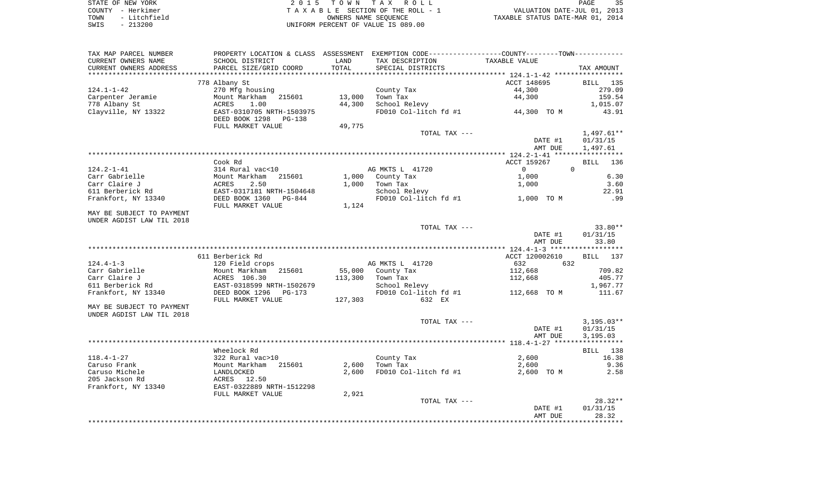| STATE OF NEW YORK    | 2015 TOWN TAX ROLL                  | マロ<br>PAGE                       |
|----------------------|-------------------------------------|----------------------------------|
| COUNTY - Herkimer    | TAXABLE SECTION OF THE ROLL - 1     | VALUATION DATE-JUL 01, 2013      |
| - Litchfield<br>TOWN | OWNERS NAME SEOUENCE                | TAXABLE STATUS DATE-MAR 01, 2014 |
| CMTC                 | LINIEODM DEOGENE OF USILE TO 000 00 |                                  |

 $S$ TOWN TAX ROLL PAGE SWIS - 213200 UNIFORM PERCENT OF VALUE IS 089.00

|                           |                           |         |                                  | PROPERTY LOCATION & CLASS ASSESSMENT EXEMPTION CODE----------------COUNTY-------TOWN--------- |                   |
|---------------------------|---------------------------|---------|----------------------------------|-----------------------------------------------------------------------------------------------|-------------------|
| CURRENT OWNERS NAME       | SCHOOL DISTRICT           | LAND    | TAX DESCRIPTION                  | TAXABLE VALUE                                                                                 |                   |
| CURRENT OWNERS ADDRESS    | PARCEL SIZE/GRID COORD    | TOTAL   | SPECIAL DISTRICTS                |                                                                                               | TAX AMOUNT        |
|                           |                           |         |                                  |                                                                                               |                   |
|                           | 778 Albany St             |         |                                  | ACCT 148695                                                                                   | BILL 135          |
| $124.1 - 1 - 42$          | 270 Mfg housing           |         | County Tax                       | 44,300                                                                                        | 279.09            |
| Carpenter Jeramie         | Mount Markham 215601      | 13,000  | Town Tax                         | 44,300                                                                                        | 159.54            |
| 778 Albany St             | ACRES<br>1.00             | 44,300  | School Relevy                    |                                                                                               | 1,015.07          |
| Clayville, NY 13322       | EAST-0310705 NRTH-1503975 |         | FD010 Col-litch fd #1            | 44,300 TO M                                                                                   | 43.91             |
|                           | DEED BOOK 1298<br>PG-138  |         |                                  |                                                                                               |                   |
|                           | FULL MARKET VALUE         | 49,775  |                                  |                                                                                               |                   |
|                           |                           |         | TOTAL TAX ---                    |                                                                                               | $1,497.61**$      |
|                           |                           |         |                                  | DATE #1                                                                                       | 01/31/15          |
|                           |                           |         |                                  | AMT DUE                                                                                       | 1,497.61          |
|                           |                           |         |                                  |                                                                                               |                   |
|                           | Cook Rd                   |         |                                  | ACCT 159267                                                                                   | BILL 136          |
| $124.2 - 1 - 41$          | 314 Rural vac<10          |         | AG MKTS L 41720                  | $\Omega$<br>$\overline{0}$                                                                    |                   |
| Carr Gabrielle            | Mount Markham 215601      |         | 1,000 County Tax                 | 1,000                                                                                         | 6.30              |
| Carr Claire J             | 2.50<br>ACRES             | 1,000   | Town Tax                         | 1,000                                                                                         | 3.60              |
| 611 Berberick Rd          | EAST-0317181 NRTH-1504648 |         | School Relevy                    |                                                                                               | 22.91             |
| Frankfort, NY 13340       | DEED BOOK 1360 PG-844     |         | FD010 Col-litch fd #1 1,000 TO M |                                                                                               | .99               |
|                           | FULL MARKET VALUE         | 1,124   |                                  |                                                                                               |                   |
| MAY BE SUBJECT TO PAYMENT |                           |         |                                  |                                                                                               |                   |
| UNDER AGDIST LAW TIL 2018 |                           |         |                                  |                                                                                               |                   |
|                           |                           |         | TOTAL TAX ---                    |                                                                                               | $33.80**$         |
|                           |                           |         |                                  | DATE #1                                                                                       | 01/31/15          |
|                           |                           |         |                                  | AMT DUE                                                                                       | 33.80             |
|                           |                           |         |                                  |                                                                                               |                   |
|                           | 611 Berberick Rd          |         |                                  | ACCT 120002610                                                                                | BILL 137          |
|                           |                           |         |                                  |                                                                                               |                   |
|                           |                           |         |                                  |                                                                                               |                   |
| $124.4 - 1 - 3$           | 120 Field crops           |         | AG MKTS L 41720                  | 632<br>632                                                                                    |                   |
| Carr Gabrielle            | Mount Markham 215601      |         | 55,000 County Tax                | 112,668                                                                                       | 709.82            |
| Carr Claire J             | ACRES 106.30              | 113,300 | Town Tax                         | 112,668                                                                                       | 405.77            |
| 611 Berberick Rd          | EAST-0318599 NRTH-1502679 |         | School Relevy                    |                                                                                               | 1,967.77          |
| Frankfort, NY 13340       | DEED BOOK 1296 PG-173     |         | FD010 Col-litch fd #1            | 112,668 TO M                                                                                  | 111.67            |
|                           | FULL MARKET VALUE         | 127,303 | 632 EX                           |                                                                                               |                   |
| MAY BE SUBJECT TO PAYMENT |                           |         |                                  |                                                                                               |                   |
| UNDER AGDIST LAW TIL 2018 |                           |         |                                  |                                                                                               |                   |
|                           |                           |         | TOTAL TAX ---                    |                                                                                               | $3,195.03**$      |
|                           |                           |         |                                  | DATE #1                                                                                       | 01/31/15          |
|                           |                           |         |                                  | AMT DUE                                                                                       | 3,195.03          |
|                           |                           |         |                                  |                                                                                               |                   |
|                           | Wheelock Rd               |         |                                  |                                                                                               | BILL 138          |
| $118.4 - 1 - 27$          | 322 Rural vac>10          |         | County Tax                       | 2,600                                                                                         | 16.38             |
| Caruso Frank              | Mount Markham 215601      | 2,600   | Town Tax                         | 2,600                                                                                         | 9.36              |
| Caruso Michele            |                           | 2,600   | FD010 Col-litch fd #1            | 2,600 TO M                                                                                    | 2.58              |
| 205 Jackson Rd            | LANDLOCKED<br>ACRES 12.50 |         |                                  |                                                                                               |                   |
| Frankfort, NY 13340       | EAST-0322889 NRTH-1512298 |         |                                  |                                                                                               |                   |
|                           | FULL MARKET VALUE         | 2,921   |                                  |                                                                                               |                   |
|                           |                           |         | TOTAL TAX ---                    |                                                                                               | $28.32**$         |
|                           |                           |         |                                  | DATE #1<br>AMT DUE                                                                            | 01/31/15<br>28.32 |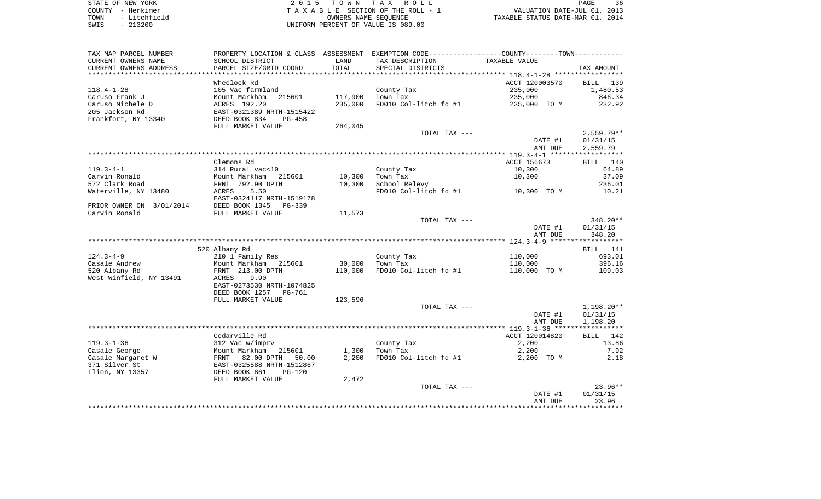| STATE OF NEW YORK |  |              |  |
|-------------------|--|--------------|--|
| COUNTY            |  | - Herkimer   |  |
| TOWN              |  | - Litchfield |  |
| SWIS              |  | $-213200$    |  |

2015 TOWN TAX ROLL TA X A B L E SECTION OF THE ROLL - 1 TOWN - Litchfield OWNERS NAME SEQUENCE TAXABLE STATUS DATE-MAR 01, 2014 SWIS - 213200 UNIFORM PERCENT OF VALUE IS 089.00

| TAX MAP PARCEL NUMBER    |                           |         | PROPERTY LOCATION & CLASS ASSESSMENT EXEMPTION CODE-----------------COUNTY--------TOWN----------- |                |              |
|--------------------------|---------------------------|---------|---------------------------------------------------------------------------------------------------|----------------|--------------|
| CURRENT OWNERS NAME      | SCHOOL DISTRICT           | LAND    | TAX DESCRIPTION                                                                                   | TAXABLE VALUE  |              |
| CURRENT OWNERS ADDRESS   | PARCEL SIZE/GRID COORD    | TOTAL   | SPECIAL DISTRICTS                                                                                 |                | TAX AMOUNT   |
|                          |                           |         |                                                                                                   |                |              |
|                          | Wheelock Rd               |         |                                                                                                   | ACCT 120003570 | BILL 139     |
| $118.4 - 1 - 28$         | 105 Vac farmland          |         | County Tax                                                                                        | 235,000        | 1,480.53     |
| Caruso Frank J           | Mount Markham<br>215601   | 117,900 | Town Tax                                                                                          | 235,000        | 846.34       |
| Caruso Michele D         | ACRES 192.20              | 235,000 | FD010 Col-litch fd #1                                                                             |                | 232.92       |
|                          |                           |         |                                                                                                   | 235,000 TO M   |              |
| 205 Jackson Rd           | EAST-0321389 NRTH-1515422 |         |                                                                                                   |                |              |
| Frankfort, NY 13340      | DEED BOOK 834<br>PG-458   |         |                                                                                                   |                |              |
|                          | FULL MARKET VALUE         | 264,045 |                                                                                                   |                |              |
|                          |                           |         | TOTAL TAX ---                                                                                     |                | $2,559.79**$ |
|                          |                           |         |                                                                                                   | DATE #1        | 01/31/15     |
|                          |                           |         |                                                                                                   | AMT DUE        | 2,559.79     |
|                          |                           |         |                                                                                                   |                |              |
|                          | Clemons Rd                |         |                                                                                                   | ACCT 156673    | BILL<br>140  |
| $119.3 - 4 - 1$          | 314 Rural vac<10          |         | County Tax                                                                                        | 10,300         | 64.89        |
| Carvin Ronald            | Mount Markham 215601      | 10,300  | Town Tax                                                                                          | 10,300         | 37.09        |
| 572 Clark Road           | FRNT 792.90 DPTH          | 10,300  | School Relevy                                                                                     |                | 236.01       |
| Waterville, NY 13480     | 5.50<br>ACRES             |         | FD010 Col-litch fd #1                                                                             | 10,300 TO M    | 10.21        |
|                          | EAST-0324117 NRTH-1519178 |         |                                                                                                   |                |              |
| PRIOR OWNER ON 3/01/2014 | DEED BOOK 1345 PG-339     |         |                                                                                                   |                |              |
| Carvin Ronald            | FULL MARKET VALUE         | 11,573  |                                                                                                   |                |              |
|                          |                           |         | TOTAL TAX ---                                                                                     |                | 348.20**     |
|                          |                           |         |                                                                                                   | DATE #1        | 01/31/15     |
|                          |                           |         |                                                                                                   | AMT DUE        | 348.20       |
|                          |                           |         |                                                                                                   |                |              |
|                          |                           |         |                                                                                                   |                |              |
|                          | 520 Albany Rd             |         |                                                                                                   |                | 141<br>BILL  |
| $124.3 - 4 - 9$          | 210 1 Family Res          |         | County Tax                                                                                        | 110,000        | 693.01       |
| Casale Andrew            | Mount Markham 215601      | 30,000  | Town Tax                                                                                          | 110,000        | 396.16       |
| 520 Albany Rd            | FRNT 213.00 DPTH          | 110,000 | FD010 Col-litch fd #1                                                                             | 110,000 TO M   | 109.03       |
| West Winfield, NY 13491  | ACRES<br>9.90             |         |                                                                                                   |                |              |
|                          | EAST-0273530 NRTH-1074825 |         |                                                                                                   |                |              |
|                          | DEED BOOK 1257 PG-761     |         |                                                                                                   |                |              |
|                          | FULL MARKET VALUE         | 123,596 |                                                                                                   |                |              |
|                          |                           |         | TOTAL TAX ---                                                                                     |                | 1,198.20**   |
|                          |                           |         |                                                                                                   | DATE #1        | 01/31/15     |
|                          |                           |         |                                                                                                   | AMT DUE        | 1,198.20     |
|                          |                           |         |                                                                                                   |                |              |
|                          | Cedarville Rd             |         |                                                                                                   | ACCT 120014820 | BILL 142     |
| $119.3 - 1 - 36$         | 312 Vac w/imprv           |         | County Tax                                                                                        | 2,200          | 13.86        |
| Casale George            | Mount Markham<br>215601   | 1,300   | Town Tax                                                                                          | 2,200          | 7.92         |
| Casale Margaret W        | FRNT 82.00 DPTH<br>50.00  | 2,200   | FD010 Col-litch fd #1                                                                             | 2,200 TO M     | 2.18         |
| 371 Silver St            | EAST-0325588 NRTH-1512867 |         |                                                                                                   |                |              |
| Ilion, NY 13357          | DEED BOOK 861<br>$PG-120$ |         |                                                                                                   |                |              |
|                          | FULL MARKET VALUE         | 2,472   |                                                                                                   |                |              |
|                          |                           |         | TOTAL TAX ---                                                                                     |                | $23.96**$    |
|                          |                           |         |                                                                                                   | DATE #1        | 01/31/15     |
|                          |                           |         |                                                                                                   | AMT DUE        | 23.96        |
|                          |                           |         |                                                                                                   |                |              |
|                          |                           |         |                                                                                                   |                |              |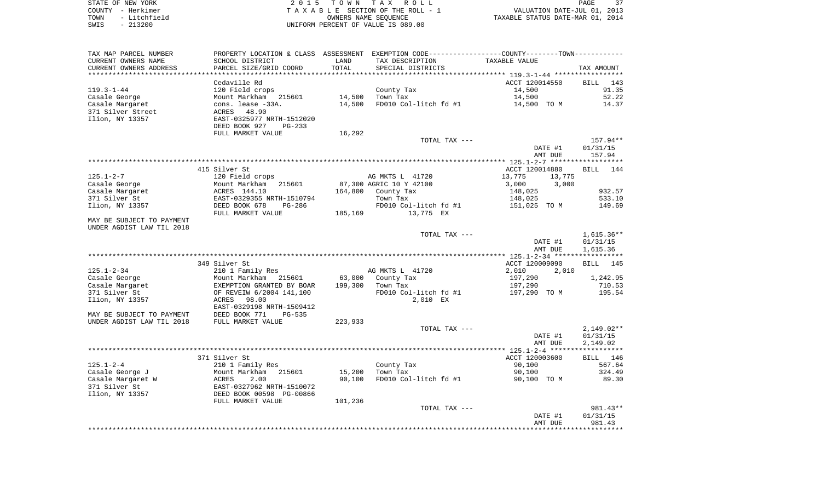STATE OF NEW YORK **EXECUTE:**  $2015$  TOWN TAX ROLL COUNTY - Herkimer<br>
T A X A B L E SECTION OF THE ROLL - 1<br>
TOWN - Litchfield<br>
SWIS - 213200 - UNIFORM PERCENT OF VALUE IS 089.00 TOWN - Litchfield OWNERS NAME SEQUENCE TAXABLE STATUS DATE-MAR 01, 2014 SWIS - 213200 UNIFORM PERCENT OF VALUE IS 089.00

| TAX MAP PARCEL NUMBER     |                           |         | PROPERTY LOCATION & CLASS ASSESSMENT EXEMPTION CODE----------------COUNTY-------TOWN---------- |                  |                    |
|---------------------------|---------------------------|---------|------------------------------------------------------------------------------------------------|------------------|--------------------|
| CURRENT OWNERS NAME       | SCHOOL DISTRICT           | LAND    | TAX DESCRIPTION                                                                                | TAXABLE VALUE    |                    |
| CURRENT OWNERS ADDRESS    | PARCEL SIZE/GRID COORD    | TOTAL   | SPECIAL DISTRICTS                                                                              |                  | TAX AMOUNT         |
|                           |                           |         |                                                                                                |                  |                    |
|                           | Cedaville Rd              |         |                                                                                                | ACCT 120014550   | <b>BILL</b><br>143 |
| $119.3 - 1 - 44$          | 120 Field crops           |         | County Tax                                                                                     | 14,500           | 91.35              |
| Casale George             | Mount Markham<br>215601   | 14,500  | Town Tax                                                                                       | 14,500           | 52.22              |
| Casale Margaret           | cons. lease -33A.         | 14,500  | FD010 Col-litch fd #1                                                                          | 14,500 TO M      | 14.37              |
| 371 Silver Street         | 48.90<br>ACRES            |         |                                                                                                |                  |                    |
| Ilion, NY 13357           | EAST-0325977 NRTH-1512020 |         |                                                                                                |                  |                    |
|                           | DEED BOOK 927<br>PG-233   |         |                                                                                                |                  |                    |
|                           | FULL MARKET VALUE         | 16,292  |                                                                                                |                  |                    |
|                           |                           |         | TOTAL TAX ---                                                                                  |                  | 157.94**           |
|                           |                           |         |                                                                                                | DATE #1          | 01/31/15           |
|                           |                           |         |                                                                                                | AMT DUE          | 157.94             |
|                           |                           |         |                                                                                                |                  |                    |
|                           | 415 Silver St             |         |                                                                                                | ACCT 120014880   | BILL<br>144        |
| $125.1 - 2 - 7$           | 120 Field crops           |         | AG MKTS L 41720                                                                                | 13,775<br>13,775 |                    |
| Casale George             | Mount Markham<br>215601   |         | 87,300 AGRIC 10 Y 42100                                                                        | 3,000<br>3,000   |                    |
| Casale Margaret           | ACRES 144.10              |         | 164,800 County Tax                                                                             | 148,025          | 932.57<br>533.10   |
| 371 Silver St             | EAST-0329355 NRTH-1510794 |         | Town Tax                                                                                       | 148,025          |                    |
| Ilion, NY 13357           | DEED BOOK 678<br>PG-286   |         | FD010 Col-litch fd #1                                                                          | 151,025 TO M     | 149.69             |
| MAY BE SUBJECT TO PAYMENT | FULL MARKET VALUE         | 185,169 | 13,775 EX                                                                                      |                  |                    |
| UNDER AGDIST LAW TIL 2018 |                           |         |                                                                                                |                  |                    |
|                           |                           |         | TOTAL TAX ---                                                                                  |                  | $1,615.36**$       |
|                           |                           |         |                                                                                                | DATE #1          | 01/31/15           |
|                           |                           |         |                                                                                                | AMT DUE          | 1,615.36           |
|                           |                           |         |                                                                                                |                  |                    |
|                           | 349 Silver St             |         |                                                                                                | ACCT 120009090   | <b>BILL</b><br>145 |
| $125.1 - 2 - 34$          | 210 1 Family Res          |         | AG MKTS L 41720                                                                                | 2,010<br>2,010   |                    |
| Casale George             | Mount Markham<br>215601   | 63,000  | County Tax                                                                                     | 197,290          | 1,242.95           |
| Casale Margaret           | EXEMPTION GRANTED BY BOAR | 199,300 | Town Tax                                                                                       | 197,290          | 710.53             |
| 371 Silver St             | OF REVEIW 6/2004 141,100  |         | FD010 Col-litch fd #1                                                                          | 197,290 TO M     | 195.54             |
| Ilion, NY 13357           | 98.00<br>ACRES            |         | 2,010 EX                                                                                       |                  |                    |
|                           | EAST-0329198 NRTH-1509412 |         |                                                                                                |                  |                    |
| MAY BE SUBJECT TO PAYMENT | DEED BOOK 771<br>PG-535   |         |                                                                                                |                  |                    |
| UNDER AGDIST LAW TIL 2018 | FULL MARKET VALUE         | 223,933 |                                                                                                |                  |                    |
|                           |                           |         | TOTAL TAX ---                                                                                  |                  | $2,149.02**$       |
|                           |                           |         |                                                                                                | DATE #1          | 01/31/15           |
|                           |                           |         |                                                                                                | AMT DUE          | 2,149.02           |
|                           |                           |         |                                                                                                |                  |                    |
|                           | 371 Silver St             |         |                                                                                                | ACCT 120003600   | BILL 146           |
| $125.1 - 2 - 4$           | 210 1 Family Res          |         | County Tax                                                                                     | 90,100           | 567.64             |
| Casale George J           | Mount Markham<br>215601   | 15,200  | Town Tax                                                                                       | 90,100           | 324.49             |
| Casale Margaret W         | ACRES<br>2.00             | 90,100  | FD010 Col-litch fd #1                                                                          | 90,100 TO M      | 89.30              |
| 371 Silver St             | EAST-0327962 NRTH-1510072 |         |                                                                                                |                  |                    |
| Ilion, NY 13357           | DEED BOOK 00598 PG-00866  |         |                                                                                                |                  |                    |
|                           | FULL MARKET VALUE         | 101,236 |                                                                                                |                  |                    |
|                           |                           |         | TOTAL TAX ---                                                                                  |                  | 981.43**           |
|                           |                           |         |                                                                                                | DATE #1          | 01/31/15           |
|                           |                           |         |                                                                                                | AMT DUE          | 981.43             |
|                           |                           |         |                                                                                                |                  |                    |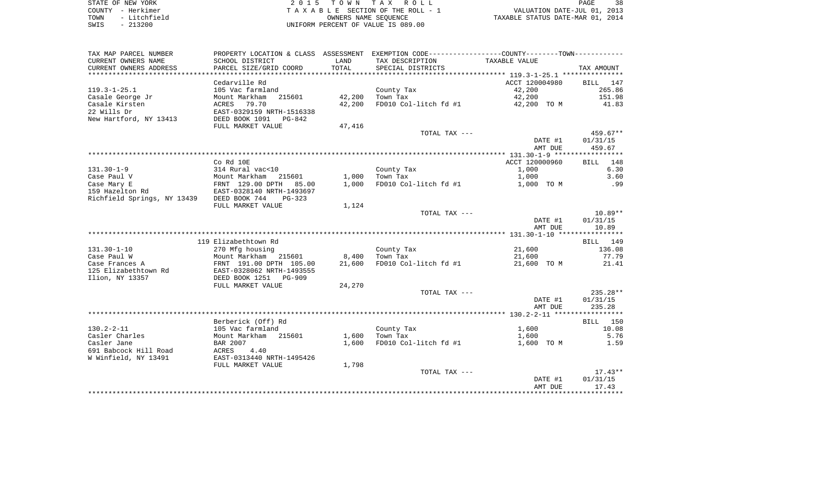| STATE OF NEW YORK |  |              |  |
|-------------------|--|--------------|--|
| COUNTY - Herkimer |  |              |  |
| TOWN              |  | - Litchfield |  |
| SWTS              |  | $-213200$    |  |

STATE OF NEW YORK 2 0 1 5 T O W N T A X R O L L PAGE 38 COUNTY - Herkimer T A X A B L E SECTION OF THE ROLL - 1 VALUATION DATE-JUL 01, 2013 TOWN - Litchfield OWNERS NAME SEQUENCE TAXABLE STATUS DATE-MAR 01, 2014 UNIFORM PERCENT OF VALUE IS 089.00

| TAX MAP PARCEL NUMBER                         | PROPERTY LOCATION & CLASS ASSESSMENT                   |               | EXEMPTION CODE----------------COUNTY-------TOWN----------- |                |             |
|-----------------------------------------------|--------------------------------------------------------|---------------|------------------------------------------------------------|----------------|-------------|
| CURRENT OWNERS NAME<br>CURRENT OWNERS ADDRESS | SCHOOL DISTRICT<br>PARCEL SIZE/GRID COORD              | LAND<br>TOTAL | TAX DESCRIPTION<br>SPECIAL DISTRICTS                       | TAXABLE VALUE  | TAX AMOUNT  |
| *************************                     |                                                        |               |                                                            |                |             |
|                                               | Cedarville Rd                                          |               |                                                            | ACCT 120004980 | BILL 147    |
| $119.3 - 1 - 25.1$                            | 105 Vac farmland                                       |               | County Tax                                                 | 42,200         | 265.86      |
| Casale George Jr                              | Mount Markham<br>215601                                | 42,200        | Town Tax                                                   | 42,200         | 151.98      |
| Casale Kirsten                                | ACRES<br>79.70                                         | 42,200        | FD010 Col-litch fd #1                                      | 42,200 TO M    | 41.83       |
| 22 Wills Dr                                   | EAST-0329159 NRTH-1516338                              |               |                                                            |                |             |
| New Hartford, NY 13413                        | DEED BOOK 1091<br>PG-842                               |               |                                                            |                |             |
|                                               | FULL MARKET VALUE                                      | 47,416        |                                                            |                |             |
|                                               |                                                        |               | TOTAL TAX ---                                              |                | 459.67**    |
|                                               |                                                        |               |                                                            | DATE #1        | 01/31/15    |
|                                               |                                                        |               |                                                            | AMT DUE        | 459.67      |
|                                               |                                                        |               |                                                            |                |             |
|                                               | Co Rd 10E                                              |               |                                                            | ACCT 120000960 | 148<br>BILL |
| $131.30 - 1 - 9$                              | 314 Rural vac<10                                       |               | County Tax                                                 | 1,000          | 6.30        |
| Case Paul V                                   | Mount Markham 215601                                   | 1,000         | Town Tax                                                   | 1,000          | 3.60        |
| Case Mary E                                   | FRNT 129.00 DPTH<br>85.00<br>EAST-0328140 NRTH-1493697 | 1,000         | FD010 Col-litch fd #1                                      | 1,000 TO M     | .99         |
| 159 Hazelton Rd                               |                                                        |               |                                                            |                |             |
| Richfield Springs, NY 13439                   | DEED BOOK 744<br>$PG-323$                              |               |                                                            |                |             |
|                                               | FULL MARKET VALUE                                      | 1,124         | TOTAL TAX ---                                              |                | $10.89**$   |
|                                               |                                                        |               |                                                            | DATE #1        | 01/31/15    |
|                                               |                                                        |               |                                                            | AMT DUE        | 10.89       |
|                                               |                                                        |               |                                                            |                |             |
|                                               | 119 Elizabethtown Rd                                   |               |                                                            |                | BILL 149    |
| $131.30 - 1 - 10$                             | 270 Mfg housing                                        |               | County Tax                                                 | 21,600         | 136.08      |
| Case Paul W                                   | Mount Markham 215601                                   | 8,400         | Town Tax                                                   | 21,600         | 77.79       |
| Case Frances A                                | FRNT 191.00 DPTH 105.00                                | 21,600        | FD010 Col-litch fd #1                                      | 21,600 TO M    | 21.41       |
| 125 Elizabethtown Rd                          | EAST-0328062 NRTH-1493555                              |               |                                                            |                |             |
| Ilion, NY 13357                               | DEED BOOK 1251<br>PG-909                               |               |                                                            |                |             |
|                                               | FULL MARKET VALUE                                      | 24,270        |                                                            |                |             |
|                                               |                                                        |               | TOTAL TAX ---                                              |                | 235.28**    |
|                                               |                                                        |               |                                                            | DATE #1        | 01/31/15    |
|                                               |                                                        |               |                                                            | AMT DUE        | 235.28      |
|                                               |                                                        |               |                                                            |                |             |
|                                               | Berberick (Off) Rd                                     |               |                                                            |                | BILL 150    |
| $130.2 - 2 - 11$                              | 105 Vac farmland                                       |               | County Tax                                                 | 1,600          | 10.08       |
| Casler Charles                                | Mount Markham 215601                                   | 1,600         | Town Tax                                                   | 1,600          | 5.76        |
| Casler Jane                                   | BAR 2007                                               | 1,600         | FD010 Col-litch fd #1                                      | 1,600 TO M     | 1.59        |
| 691 Babcock Hill Road                         | ACRES<br>4.40                                          |               |                                                            |                |             |
| W Winfield, NY 13491                          | EAST-0313440 NRTH-1495426                              |               |                                                            |                |             |
|                                               | FULL MARKET VALUE                                      | 1,798         |                                                            |                |             |
|                                               |                                                        |               | TOTAL TAX ---                                              |                | $17.43**$   |
|                                               |                                                        |               |                                                            | DATE #1        | 01/31/15    |
|                                               |                                                        |               |                                                            | AMT DUE        | 17.43       |
|                                               |                                                        |               |                                                            |                |             |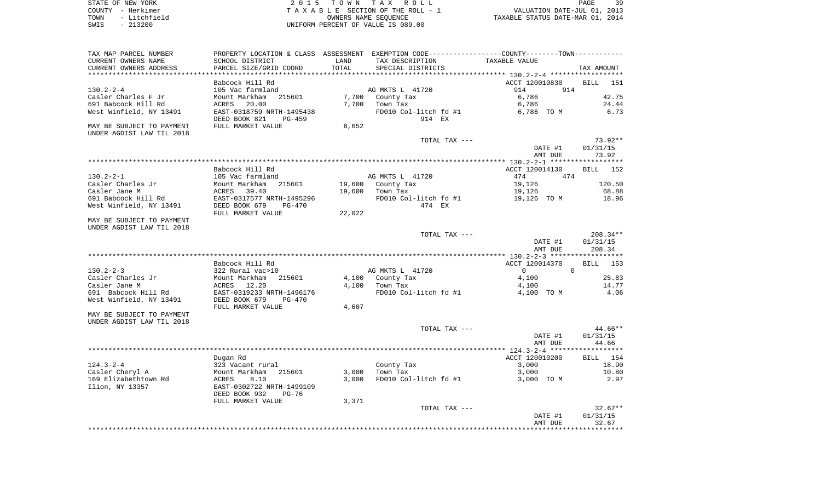| STATE OF NEW YORK    | 2015 TOWN TAX ROLL                 | 39<br>PAGE                       |
|----------------------|------------------------------------|----------------------------------|
| COUNTY - Herkimer    | TAXABLE SECTION OF THE ROLL - 1    | VALUATION DATE-JUL 01, 2013      |
| - Litchfield<br>TOWN | OWNERS NAME SEOUENCE               | TAXABLE STATUS DATE-MAR 01, 2014 |
| $-213200$<br>SWIS    | UNIFORM PERCENT OF VALUE IS 089.00 |                                  |

| TAX MAP PARCEL NUMBER<br>CURRENT OWNERS NAME           | SCHOOL DISTRICT                                      | LAND   | PROPERTY LOCATION & CLASS ASSESSMENT EXEMPTION CODE----------------COUNTY-------TOWN----------<br>TAX DESCRIPTION | TAXABLE VALUE                    |                       |
|--------------------------------------------------------|------------------------------------------------------|--------|-------------------------------------------------------------------------------------------------------------------|----------------------------------|-----------------------|
| CURRENT OWNERS ADDRESS                                 | PARCEL SIZE/GRID COORD                               | TOTAL  | SPECIAL DISTRICTS                                                                                                 |                                  | TAX AMOUNT            |
| *********************                                  | ***********************                              |        |                                                                                                                   |                                  |                       |
|                                                        | Babcock Hill Rd                                      |        |                                                                                                                   | ACCT 120010830                   | BILL<br>151           |
| $130.2 - 2 - 4$                                        | 105 Vac farmland                                     |        | AG MKTS L 41720                                                                                                   | 914<br>914                       |                       |
| Casler Charles F Jr                                    | Mount Markham<br>215601                              | 7,700  | County Tax                                                                                                        | 6,786                            | 42.75                 |
| 691 Babcock Hill Rd                                    | ACRES<br>20.00                                       | 7,700  | Town Tax                                                                                                          | 6,786                            | 24.44                 |
| West Winfield, NY 13491                                | EAST-0318759 NRTH-1495438<br>DEED BOOK 821<br>PG-459 |        | FD010 Col-litch fd #1<br>914 EX                                                                                   | 6,786 TO M                       | 6.73                  |
| MAY BE SUBJECT TO PAYMENT<br>UNDER AGDIST LAW TIL 2018 | FULL MARKET VALUE                                    | 8,652  |                                                                                                                   |                                  |                       |
|                                                        |                                                      |        | TOTAL TAX ---                                                                                                     |                                  | 73.92**               |
|                                                        |                                                      |        |                                                                                                                   | DATE #1                          | 01/31/15              |
|                                                        |                                                      |        |                                                                                                                   | AMT DUE                          | 73.92                 |
|                                                        |                                                      |        |                                                                                                                   |                                  |                       |
|                                                        | Babcock Hill Rd                                      |        |                                                                                                                   | ACCT 120014130                   | BILL 152              |
| $130.2 - 2 - 1$                                        | 105 Vac farmland                                     |        | AG MKTS L 41720                                                                                                   | 474<br>474                       |                       |
| Casler Charles Jr                                      | 215601<br>Mount Markham                              | 19,600 | County Tax                                                                                                        | 19,126                           | 120.50                |
| Casler Jane M                                          | 39.40<br>ACRES                                       | 19,600 | Town Tax                                                                                                          | 19,126                           | 68.88                 |
| 691 Babcock Hill Rd                                    | EAST-0317577 NRTH-1495296                            |        | FD010 Col-litch fd #1                                                                                             | 19,126 TO M                      | 18.96                 |
| West Winfield, NY 13491                                | DEED BOOK 679<br>$PG-470$<br>FULL MARKET VALUE       | 22,022 | 474 EX                                                                                                            |                                  |                       |
| MAY BE SUBJECT TO PAYMENT                              |                                                      |        |                                                                                                                   |                                  |                       |
| UNDER AGDIST LAW TIL 2018                              |                                                      |        |                                                                                                                   |                                  |                       |
|                                                        |                                                      |        | TOTAL TAX ---                                                                                                     |                                  | $208.34**$            |
|                                                        |                                                      |        |                                                                                                                   | DATE #1                          | 01/31/15              |
|                                                        |                                                      |        |                                                                                                                   | AMT DUE                          | 208.34                |
|                                                        |                                                      |        |                                                                                                                   |                                  |                       |
|                                                        | Babcock Hill Rd                                      |        |                                                                                                                   | ACCT 120014370                   | BILL<br>153           |
| $130.2 - 2 - 3$                                        | 322 Rural vac>10                                     |        | AG MKTS L 41720                                                                                                   | $\overline{0}$<br>$\overline{0}$ |                       |
| Casler Charles Jr                                      | 215601<br>Mount Markham                              | 4,100  | County Tax                                                                                                        | 4,100                            | 25.83                 |
| Casler Jane M                                          | ACRES<br>12.20                                       | 4,100  | Town Tax                                                                                                          | 4,100                            | 14.77                 |
| 691 Babcock Hill Rd                                    | EAST-0319233 NRTH-1496176                            |        | FD010 Col-litch fd #1                                                                                             | 4,100 TO M                       | 4.06                  |
| West Winfield, NY 13491                                | DEED BOOK 679<br>PG-470<br>FULL MARKET VALUE         | 4,607  |                                                                                                                   |                                  |                       |
| MAY BE SUBJECT TO PAYMENT                              |                                                      |        |                                                                                                                   |                                  |                       |
| UNDER AGDIST LAW TIL 2018                              |                                                      |        |                                                                                                                   |                                  |                       |
|                                                        |                                                      |        | TOTAL TAX ---                                                                                                     |                                  | 44.66**               |
|                                                        |                                                      |        |                                                                                                                   | DATE #1                          | 01/31/15              |
|                                                        |                                                      |        |                                                                                                                   | AMT DUE                          | 44.66                 |
|                                                        |                                                      |        |                                                                                                                   |                                  |                       |
|                                                        | Dugan Rd                                             |        |                                                                                                                   | ACCT 120010200                   | BILL 154              |
| $124.3 - 2 - 4$                                        | 323 Vacant rural                                     |        | County Tax                                                                                                        | 3,000                            | 18.90                 |
| Casler Cheryl A                                        | 215601<br>Mount Markham                              | 3,000  | Town Tax                                                                                                          | 3,000                            | 10.80                 |
| 169 Elizabethtown Rd                                   | ACRES<br>8.10                                        | 3,000  | FD010 Col-litch fd #1                                                                                             | 3,000 TO M                       | 2.97                  |
| Ilion, NY 13357                                        | EAST-0302722 NRTH-1499109                            |        |                                                                                                                   |                                  |                       |
|                                                        | DEED BOOK 932<br>$PG-76$                             |        |                                                                                                                   |                                  |                       |
|                                                        | FULL MARKET VALUE                                    | 3,371  |                                                                                                                   |                                  |                       |
|                                                        |                                                      |        | TOTAL TAX ---                                                                                                     |                                  | $32.67**$             |
|                                                        |                                                      |        |                                                                                                                   | DATE #1                          | 01/31/15              |
|                                                        |                                                      |        |                                                                                                                   | AMT DUE                          | 32.67<br>************ |
|                                                        |                                                      |        |                                                                                                                   |                                  |                       |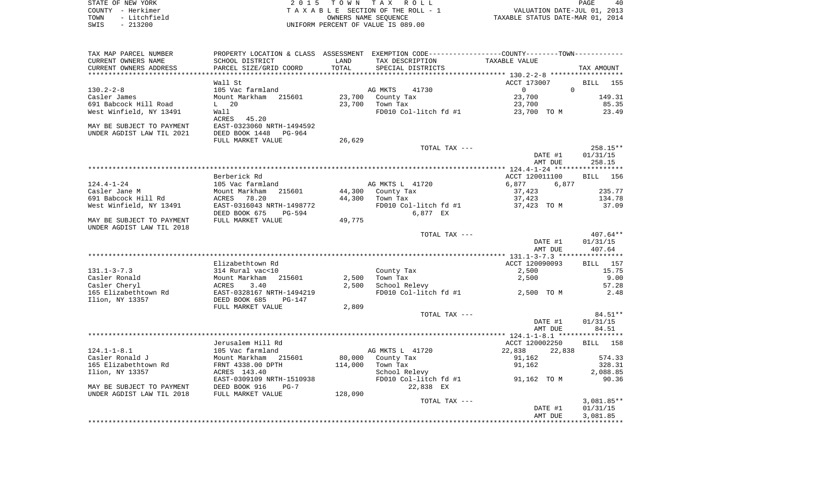|      | STATE OF NEW YORK | 2015 TOWN TAX ROLL                 |                                  | PAGE | 40 |
|------|-------------------|------------------------------------|----------------------------------|------|----|
|      | COUNTY - Herkimer | TAXABLE SECTION OF THE ROLL - 1    | VALUATION DATE-JUL 01, 2013      |      |    |
| TOWN | - Litchfield      | OWNERS NAME SEOUENCE               | TAXABLE STATUS DATE-MAR 01, 2014 |      |    |
| SWIS | - 213200          | UNIFORM PERCENT OF VALUE IS 089.00 |                                  |      |    |

| TAX MAP PARCEL NUMBER     | PROPERTY LOCATION & CLASS ASSESSMENT EXEMPTION CODE---------------COUNTY-------TOWN---------- |         |                                  |                      |                          |
|---------------------------|-----------------------------------------------------------------------------------------------|---------|----------------------------------|----------------------|--------------------------|
| CURRENT OWNERS NAME       | SCHOOL DISTRICT                                                                               | LAND    | TAX DESCRIPTION                  | TAXABLE VALUE        |                          |
| CURRENT OWNERS ADDRESS    | PARCEL SIZE/GRID COORD                                                                        | TOTAL   | SPECIAL DISTRICTS                |                      | TAX AMOUNT               |
|                           |                                                                                               |         |                                  |                      |                          |
|                           | Wall St                                                                                       |         |                                  | ACCT 173007          | <b>BILL</b> 155          |
| $130.2 - 2 - 8$           | 105 Vac farmland                                                                              |         | AG MKTS<br>41730                 | $\Omega$<br>$\Omega$ |                          |
| Casler James              | Mount Markham 215601                                                                          |         | 23,700 County Tax                | 23,700               | 149.31                   |
| 691 Babcock Hill Road     | $L$ 20                                                                                        |         | 23,700 Town Tax                  | 23,700               | 85.35                    |
| West Winfield, NY 13491   | Wall                                                                                          |         | FD010 Col-litch fd #1            | 23,700 TO M          | 23.49                    |
|                           | ACRES 45.20                                                                                   |         |                                  |                      |                          |
| MAY BE SUBJECT TO PAYMENT | EAST-0323060 NRTH-1494592                                                                     |         |                                  |                      |                          |
| UNDER AGDIST LAW TIL 2021 | DEED BOOK 1448 PG-964                                                                         |         |                                  |                      |                          |
|                           | FULL MARKET VALUE                                                                             | 26,629  |                                  |                      |                          |
|                           |                                                                                               |         | TOTAL TAX ---                    |                      | 258.15**                 |
|                           |                                                                                               |         |                                  | DATE #1              | 01/31/15                 |
|                           |                                                                                               |         |                                  | AMT DUE              | 258.15                   |
|                           |                                                                                               |         |                                  |                      |                          |
|                           | Berberick Rd                                                                                  |         |                                  | ACCT 120011100       | BILL 156                 |
| $124.4 - 1 - 24$          | 105 Vac farmland                                                                              |         | AG MKTS L 41720                  | 6,877<br>6,877       |                          |
| Casler Jane M             | Mount Markham 215601                                                                          |         | 44,300 County Tax                | 37,423               | 235.77                   |
| 691 Babcock Hill Rd       | ACRES<br>78.20                                                                                |         | 44,300 Town Tax                  | 37,423               | 134.78                   |
| West Winfield, NY 13491   | EAST-0316043 NRTH-1498772                                                                     |         | FD010 Col-litch fd #1            | 37,423 TO M          | 37.09                    |
|                           | DEED BOOK 675<br>PG-594                                                                       |         | 6,877 EX                         |                      |                          |
| MAY BE SUBJECT TO PAYMENT | FULL MARKET VALUE                                                                             | 49,775  |                                  |                      |                          |
| UNDER AGDIST LAW TIL 2018 |                                                                                               |         |                                  |                      |                          |
|                           |                                                                                               |         | TOTAL TAX ---                    |                      | $407.64**$               |
|                           |                                                                                               |         |                                  | DATE #1              | 01/31/15                 |
|                           |                                                                                               |         |                                  | AMT DUE              | 407.64                   |
|                           |                                                                                               |         |                                  |                      |                          |
|                           | Elizabethtown Rd                                                                              |         |                                  | ACCT 120090093       | BILL 157                 |
| $131.1 - 3 - 7.3$         | 314 Rural vac<10                                                                              |         | County Tax                       | 2,500                | 15.75                    |
| Casler Ronald             | Mount Markham 215601                                                                          |         | $2,500$ Town Tax                 | 2,500                | 9.00                     |
| Casler Cheryl             | ACRES<br>3.40                                                                                 | 2,500   | School Relevy                    |                      | 57.28                    |
| 165 Elizabethtown Rd      | EAST-0328167 NRTH-1494219                                                                     |         | FD010 Col-litch fd #1 2,500 TO M |                      | 2.48                     |
| Ilion, NY 13357           | DEED BOOK 685<br>PG-147                                                                       |         |                                  |                      |                          |
|                           | FULL MARKET VALUE                                                                             | 2,809   |                                  |                      |                          |
|                           |                                                                                               |         | TOTAL TAX ---                    |                      | $84.51***$               |
|                           |                                                                                               |         |                                  | DATE #1              | 01/31/15                 |
|                           |                                                                                               |         |                                  | AMT DUE              | 84.51                    |
|                           |                                                                                               |         |                                  |                      |                          |
|                           | Jerusalem Hill Rd                                                                             |         |                                  | ACCT 120002250       | BILL 158                 |
| $124.1 - 1 - 8.1$         | 105 Vac farmland                                                                              |         | AG MKTS L 41720                  | 22,838<br>22,838     |                          |
| Casler Ronald J           | Mount Markham 215601                                                                          |         | 80,000 County Tax                | 91,162               | 574.33                   |
| 165 Elizabethtown Rd      | FRNT 4338.00 DPTH                                                                             |         | 114,000 Town Tax                 | 91,162               | 328.31                   |
| Ilion, NY 13357           | ACRES 143.40                                                                                  |         | School Relevy                    |                      | 2,088.85                 |
|                           | EAST-0309109 NRTH-1510938                                                                     |         | FD010 Col-litch fd #1            | 91,162 TO M          | 90.36                    |
|                           | DEED BOOK 916<br>$PG-7$                                                                       |         |                                  |                      |                          |
| MAY BE SUBJECT TO PAYMENT |                                                                                               |         | 22,838 EX                        |                      |                          |
| UNDER AGDIST LAW TIL 2018 | FULL MARKET VALUE                                                                             | 128,090 |                                  |                      |                          |
|                           |                                                                                               |         | TOTAL TAX ---                    |                      | $3,081.85**$<br>01/31/15 |
|                           |                                                                                               |         |                                  | DATE #1<br>AMT DUE   | 3,081.85                 |
|                           |                                                                                               |         |                                  |                      |                          |
|                           |                                                                                               |         |                                  |                      |                          |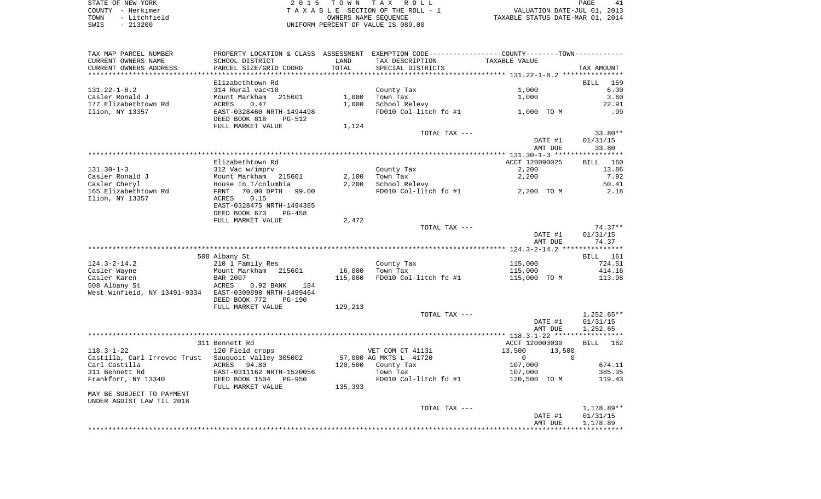STATE OF NEW YORK **EXECUTE:**  $2015$  TOWN TAX ROLL COUNTY - Herkimer<br>
T A X A B L E SECTION OF THE ROLL - 1<br>
TOWN - Litchfield<br>
SWIS - 213200 - UNIFORM PERCENT OF VALUE IS 089.00 TOWN - Litchfield OWNERS NAME SEQUENCE TAXABLE STATUS DATE-MAR 01, 2014 SWIS - 213200 UNIFORM PERCENT OF VALUE IS 089.00

| TAX MAP PARCEL NUMBER                                  |                           |         | PROPERTY LOCATION & CLASS ASSESSMENT EXEMPTION CODE---------------COUNTY-------TOWN---------- |                          |                    |
|--------------------------------------------------------|---------------------------|---------|-----------------------------------------------------------------------------------------------|--------------------------|--------------------|
| CURRENT OWNERS NAME                                    | SCHOOL DISTRICT           | LAND    | TAX DESCRIPTION                                                                               | TAXABLE VALUE            |                    |
| CURRENT OWNERS ADDRESS                                 | PARCEL SIZE/GRID COORD    | TOTAL   | SPECIAL DISTRICTS                                                                             |                          | TAX AMOUNT         |
| *******************                                    |                           |         |                                                                                               |                          |                    |
|                                                        | Elizabethtown Rd          |         |                                                                                               |                          | BILL 159           |
| $131.22 - 1 - 8.2$                                     | 314 Rural vac<10          |         | County Tax                                                                                    | 1,000                    | 6.30               |
| Casler Ronald J                                        | Mount Markham<br>215601   | 1,000   | Town Tax                                                                                      | 1,000                    | 3.60               |
| 177 Elizabethtown Rd                                   | ACRES<br>0.47             | 1,000   | School Relevy                                                                                 |                          | 22.91              |
| Ilion, NY 13357                                        | EAST-0328460 NRTH-1494498 |         | FD010 Col-litch fd #1                                                                         | 1,000 TO M               | .99                |
|                                                        | DEED BOOK 818<br>PG-512   |         |                                                                                               |                          |                    |
|                                                        | FULL MARKET VALUE         | 1,124   |                                                                                               |                          |                    |
|                                                        |                           |         | TOTAL TAX ---                                                                                 |                          | 33.80**            |
|                                                        |                           |         |                                                                                               | DATE #1                  | 01/31/15           |
|                                                        |                           |         |                                                                                               | AMT DUE                  | 33.80              |
|                                                        |                           |         |                                                                                               |                          |                    |
|                                                        | Elizabethtown Rd          |         |                                                                                               | ACCT 120090025           | <b>BILL</b><br>160 |
| $131.30 - 1 - 3$                                       | 312 Vac w/imprv           |         | County Tax                                                                                    | 2,200                    | 13.86              |
| Casler Ronald J                                        | Mount Markham 215601      | 2,100   | Town Tax                                                                                      | 2,200                    | 7.92               |
| Casler Cheryl                                          |                           | 2,200   | School Relevy                                                                                 |                          |                    |
|                                                        | House In T/columbia       |         | FD010 Col-litch fd #1                                                                         |                          | 50.41              |
| 165 Elizabethtown Rd                                   | 70.00 DPTH 99.00<br>FRNT  |         |                                                                                               | 2,200 TO M               | 2.18               |
| Ilion, NY 13357                                        | 0.15<br>ACRES             |         |                                                                                               |                          |                    |
|                                                        | EAST-0328475 NRTH-1494385 |         |                                                                                               |                          |                    |
|                                                        | DEED BOOK 673<br>PG-458   |         |                                                                                               |                          |                    |
|                                                        | FULL MARKET VALUE         | 2,472   |                                                                                               |                          |                    |
|                                                        |                           |         | TOTAL TAX ---                                                                                 |                          | $74.37**$          |
|                                                        |                           |         |                                                                                               | DATE #1                  | 01/31/15           |
|                                                        |                           |         |                                                                                               | AMT DUE                  | 74.37              |
|                                                        |                           |         |                                                                                               |                          |                    |
|                                                        | 508 Albany St             |         |                                                                                               |                          | <b>BILL</b> 161    |
| $124.3 - 2 - 14.2$                                     | 210 1 Family Res          |         | County Tax                                                                                    | 115,000                  | 724.51             |
| Casler Wayne                                           | Mount Markham 215601      | 16,000  | Town Tax                                                                                      | 115,000                  | 414.16             |
| Casler Karen                                           | <b>BAR 2007</b>           | 115,000 | FD010 Col-litch fd #1                                                                         | 115,000 TO M             | 113.98             |
| 508 Albany St                                          | 0.92 BANK<br>ACRES<br>184 |         |                                                                                               |                          |                    |
| West Winfield, NY 13491-9334 EAST-0309898 NRTH-1499464 |                           |         |                                                                                               |                          |                    |
|                                                        | DEED BOOK 772<br>$PG-190$ |         |                                                                                               |                          |                    |
|                                                        | FULL MARKET VALUE         | 129,213 |                                                                                               |                          |                    |
|                                                        |                           |         | TOTAL TAX ---                                                                                 |                          | $1,252.65**$       |
|                                                        |                           |         |                                                                                               | DATE #1                  | 01/31/15           |
|                                                        |                           |         |                                                                                               | AMT DUE                  | 1,252.65           |
|                                                        |                           |         |                                                                                               |                          |                    |
|                                                        | 311 Bennett Rd            |         |                                                                                               | ACCT 120003030           | <b>BILL</b><br>162 |
| $118.3 - 1 - 22$                                       | 120 Field crops           |         | VET COM CT 41131                                                                              | 13,500<br>13,500         |                    |
| Castilla, Carl Irrevoc Trust Sauquoit Valley 305002    |                           |         | 57,000 AG MKTS L 41720                                                                        | $\mathbf{0}$<br>$\Omega$ |                    |
| Carl Castilla                                          | ACRES 94.80               | 120,500 | County Tax                                                                                    | 107,000                  | 674.11             |
| 311 Bennett Rd                                         | EAST-0311162 NRTH-1520056 |         | Town Tax                                                                                      | 107,000                  | 385.35             |
| Frankfort, NY 13340                                    | DEED BOOK 1504<br>PG-950  |         | FD010 Col-litch fd #1                                                                         | 120,500 TO M             | 119.43             |
|                                                        | FULL MARKET VALUE         | 135,393 |                                                                                               |                          |                    |
| MAY BE SUBJECT TO PAYMENT                              |                           |         |                                                                                               |                          |                    |
| UNDER AGDIST LAW TIL 2018                              |                           |         |                                                                                               |                          |                    |
|                                                        |                           |         | TOTAL TAX ---                                                                                 |                          | 1,178.89**         |
|                                                        |                           |         |                                                                                               | DATE #1                  | 01/31/15           |
|                                                        |                           |         |                                                                                               | AMT DUE                  | 1,178.89           |
|                                                        |                           |         |                                                                                               |                          |                    |
|                                                        |                           |         |                                                                                               |                          |                    |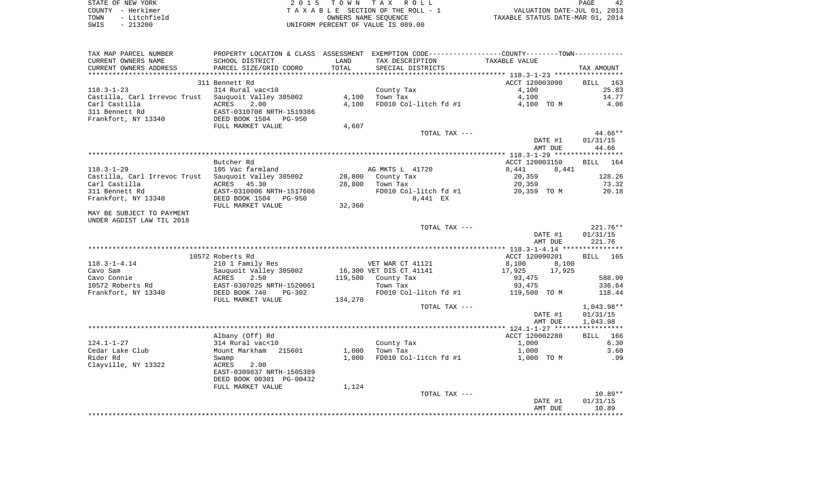| STATE OF NEW YORK    | 2015 TOWN TAX ROLL                  | 42<br>PAGE                       |
|----------------------|-------------------------------------|----------------------------------|
| COUNTY – Herkimer    | TAXABLE SECTION OF THE ROLL - 1     | VALUATION DATE-JUL 01, 2013      |
| - Litchfield<br>TOWN | OWNERS NAME SEOUENCE                | TAXABLE STATUS DATE-MAR 01, 2014 |
| CMTC – 213200        | INITEOPM DEPOEMT OF VALUE IS 089 00 |                                  |

SWIS - 213200 UNIFORM PERCENT OF VALUE IS 089.00

| TAX MAP PARCEL NUMBER                               |                           |         | PROPERTY LOCATION & CLASS ASSESSMENT EXEMPTION CODE---------------COUNTY-------TOWN---------- |                  |            |
|-----------------------------------------------------|---------------------------|---------|-----------------------------------------------------------------------------------------------|------------------|------------|
| CURRENT OWNERS NAME                                 | SCHOOL DISTRICT           | LAND    | TAX DESCRIPTION                                                                               | TAXABLE VALUE    |            |
| CURRENT OWNERS ADDRESS                              | PARCEL SIZE/GRID COORD    | TOTAL   | SPECIAL DISTRICTS                                                                             |                  | TAX AMOUNT |
|                                                     |                           |         |                                                                                               |                  |            |
|                                                     | 311 Bennett Rd            |         |                                                                                               | ACCT 120003090   | BILL 163   |
| $118.3 - 1 - 23$                                    | 314 Rural vac<10          |         | County Tax                                                                                    | 4,100            | 25.83      |
| Castilla, Carl Irrevoc Trust Sauquoit Valley 305002 |                           | 4,100   | Town Tax                                                                                      | 4,100            | 14.77      |
| Carl Castilla                                       | 2.00<br>ACRES             | 4,100   | FD010 Col-litch fd #1                                                                         |                  | 4.06       |
|                                                     |                           |         |                                                                                               | 4,100 TO M       |            |
| 311 Bennett Rd                                      | EAST-0310708 NRTH-1519386 |         |                                                                                               |                  |            |
| Frankfort, NY 13340                                 | DEED BOOK 1504 PG-950     |         |                                                                                               |                  |            |
|                                                     | FULL MARKET VALUE         | 4,607   |                                                                                               |                  |            |
|                                                     |                           |         | TOTAL TAX ---                                                                                 |                  | $44.66**$  |
|                                                     |                           |         |                                                                                               | DATE #1          | 01/31/15   |
|                                                     |                           |         |                                                                                               | AMT DUE          | 44.66      |
|                                                     |                           |         |                                                                                               |                  |            |
|                                                     | Butcher Rd                |         |                                                                                               | ACCT 120003150   | BILL 164   |
| $118.3 - 1 - 29$                                    | 105 Vac farmland          |         | AG MKTS L 41720                                                                               | 8,441<br>8,441   |            |
| Castilla, Carl Irrevoc Trust Sauquoit Valley 305002 |                           |         | 28,800 County Tax                                                                             | 20,359           | 128.26     |
| Carl Castilla                                       | ACRES 45.30               |         | 28,800 Town Tax                                                                               | 20,359           | 73.32      |
| 311 Bennett Rd                                      | EAST-0310006 NRTH-1517606 |         | FD010 Col-litch fd #1 20,359 TO M                                                             |                  | 20.18      |
| Frankfort, NY 13340                                 | DEED BOOK 1504 PG-950     |         | 8,441 EX                                                                                      |                  |            |
|                                                     | FULL MARKET VALUE         | 32,360  |                                                                                               |                  |            |
| MAY BE SUBJECT TO PAYMENT                           |                           |         |                                                                                               |                  |            |
| UNDER AGDIST LAW TIL 2018                           |                           |         |                                                                                               |                  |            |
|                                                     |                           |         | TOTAL TAX ---                                                                                 |                  | $221.76**$ |
|                                                     |                           |         |                                                                                               | DATE #1          | 01/31/15   |
|                                                     |                           |         |                                                                                               | AMT DUE          | 221.76     |
|                                                     |                           |         |                                                                                               |                  |            |
|                                                     | 10572 Roberts Rd          |         |                                                                                               | ACCT 120090201   | BILL 165   |
|                                                     |                           |         |                                                                                               |                  |            |
| $118.3 - 1 - 4.14$                                  | 210 1 Family Res          |         | VET WAR CT 41121                                                                              | 8,100<br>8,100   |            |
| Cavo Sam                                            | Sauguoit Valley 305002    |         | 16,300 VET DIS CT 41141                                                                       | 17,925<br>17,925 |            |
| Cavo Connie                                         | 2.50<br>ACRES             |         | 119,500 County Tax                                                                            | 93,475           | 588.90     |
| 10572 Roberts Rd                                    | EAST-0307025 NRTH-1520061 |         | Town Tax                                                                                      | 93,475           | 336.64     |
| Frankfort, NY 13340                                 | DEED BOOK 740<br>PG-302   |         | FD010 Col-litch fd #1                                                                         | 119,500 TO M     | 118.44     |
|                                                     | FULL MARKET VALUE         | 134,270 |                                                                                               |                  |            |
|                                                     |                           |         | TOTAL TAX ---                                                                                 |                  | 1,043.98** |
|                                                     |                           |         |                                                                                               | DATE #1          | 01/31/15   |
|                                                     |                           |         |                                                                                               | AMT DUE          | 1,043.98   |
|                                                     |                           |         |                                                                                               |                  |            |
|                                                     | Albany (Off) Rd           |         |                                                                                               | ACCT 120002280   | BILL 166   |
| $124.1 - 1 - 27$                                    | 314 Rural vac<10          |         | County Tax                                                                                    | 1,000            | 6.30       |
| Cedar Lake Club                                     | Mount Markham 215601      | 1,000   | Town Tax                                                                                      | 1,000            | 3.60       |
| Rider Rd                                            | Swamp                     | 1,000   | FD010 Col-litch fd #1                                                                         | 1,000 TO M       | .99        |
| Clayville, NY 13322                                 | 2.00<br>ACRES             |         |                                                                                               |                  |            |
|                                                     | EAST-0309837 NRTH-1505389 |         |                                                                                               |                  |            |
|                                                     | DEED BOOK 00301 PG-00432  |         |                                                                                               |                  |            |
|                                                     | FULL MARKET VALUE         | 1,124   |                                                                                               |                  |            |
|                                                     |                           |         | TOTAL TAX ---                                                                                 |                  | $10.89**$  |
|                                                     |                           |         |                                                                                               | DATE #1          | 01/31/15   |
|                                                     |                           |         |                                                                                               |                  |            |
|                                                     |                           |         |                                                                                               | AMT DUE          | 10.89      |
|                                                     |                           |         |                                                                                               |                  |            |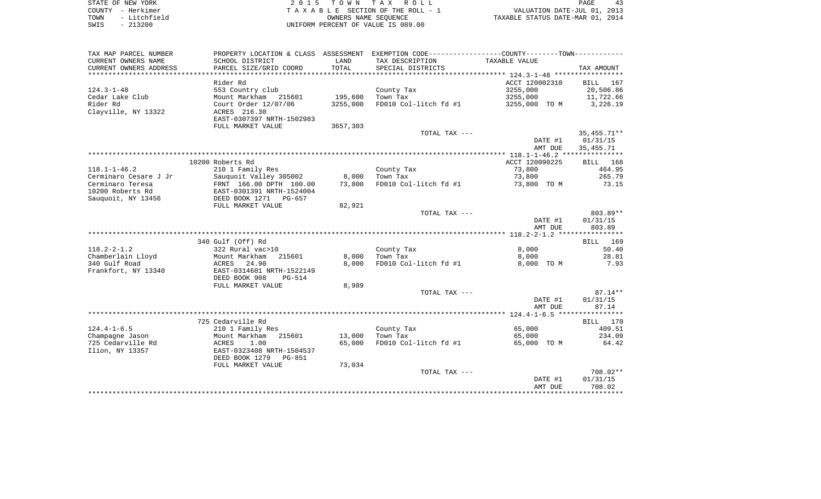| STATE OF NEW YORK |           |              |  |
|-------------------|-----------|--------------|--|
| COUNTY - Herkimer |           |              |  |
| TOWN              |           | - Litchfield |  |
| SWTS              | $-213200$ |              |  |

2015 TOWN TAX ROLL TA X A B L E SECTION OF THE ROLL - 1 TOWN - Litchfield OWNERS NAME SEQUENCE TAXABLE STATUS DATE-MAR 01, 2014 UNIFORM PERCENT OF VALUE IS 089.00

| TAX MAP PARCEL NUMBER<br>CURRENT OWNERS NAME<br>CURRENT OWNERS ADDRESS | PROPERTY LOCATION & CLASS ASSESSMENT<br>SCHOOL DISTRICT<br>PARCEL SIZE/GRID COORD | LAND<br>TOTAL | EXEMPTION CODE----------------COUNTY-------TOWN-----------<br>TAX DESCRIPTION<br>SPECIAL DISTRICTS | TAXABLE VALUE  | TAX AMOUNT         |
|------------------------------------------------------------------------|-----------------------------------------------------------------------------------|---------------|----------------------------------------------------------------------------------------------------|----------------|--------------------|
|                                                                        |                                                                                   |               |                                                                                                    |                |                    |
|                                                                        | Rider Rd                                                                          |               |                                                                                                    | ACCT 120002310 | BILL<br>167        |
| $124.3 - 1 - 48$                                                       | 553 Country club                                                                  |               | County Tax                                                                                         | 3255,000       | 20,506.86          |
| Cedar Lake Club                                                        | Mount Markham<br>215601                                                           | 195,600       | Town Tax                                                                                           | 3255,000       | 11,722.66          |
| Rider Rd                                                               | Court Order 12/07/06                                                              | 3255,000      | FD010 Col-litch fd #1                                                                              | 3255,000 TO M  | 3,226.19           |
| Clayville, NY 13322                                                    | ACRES 216.30                                                                      |               |                                                                                                    |                |                    |
|                                                                        | EAST-0307397 NRTH-1502983                                                         |               |                                                                                                    |                |                    |
|                                                                        | FULL MARKET VALUE                                                                 | 3657,303      |                                                                                                    |                |                    |
|                                                                        |                                                                                   |               | TOTAL TAX ---                                                                                      |                | $35,455.71**$      |
|                                                                        |                                                                                   |               |                                                                                                    | DATE #1        | 01/31/15           |
|                                                                        |                                                                                   |               |                                                                                                    | AMT DUE        | 35, 455. 71        |
|                                                                        |                                                                                   |               |                                                                                                    |                |                    |
|                                                                        |                                                                                   |               |                                                                                                    |                |                    |
|                                                                        | 10200 Roberts Rd                                                                  |               |                                                                                                    | ACCT 120090225 | <b>BILL</b><br>168 |
| $118.1 - 1 - 46.2$                                                     | 210 1 Family Res                                                                  |               | County Tax                                                                                         | 73,800         | 464.95             |
| Cerminaro Cesare J Jr                                                  | Sauquoit Valley 305002                                                            | 8,000         | Town Tax                                                                                           | 73,800         | 265.79             |
| Cerminaro Teresa                                                       | FRNT 166.00 DPTH 100.00                                                           | 73,800        | FD010 Col-litch fd #1                                                                              | 73,800 TO M    | 73.15              |
| 10200 Roberts Rd                                                       | EAST-0301391 NRTH-1524004                                                         |               |                                                                                                    |                |                    |
| Sauquoit, NY 13456                                                     | DEED BOOK 1271 PG-657                                                             |               |                                                                                                    |                |                    |
|                                                                        | FULL MARKET VALUE                                                                 | 82,921        |                                                                                                    |                |                    |
|                                                                        |                                                                                   |               | TOTAL TAX ---                                                                                      |                | 803.89**           |
|                                                                        |                                                                                   |               |                                                                                                    | DATE #1        | 01/31/15           |
|                                                                        |                                                                                   |               |                                                                                                    | AMT DUE        | 803.89             |
|                                                                        |                                                                                   |               |                                                                                                    |                |                    |
|                                                                        | 340 Gulf (Off) Rd                                                                 |               |                                                                                                    |                | BILL 169           |
| $118.2 - 2 - 1.2$                                                      | 322 Rural vac>10                                                                  |               | County Tax                                                                                         | 8,000          | 50.40              |
| Chamberlain Lloyd                                                      | Mount Markham<br>215601                                                           | 8,000         | Town Tax                                                                                           | 8,000          | 28.81              |
| 340 Gulf Road                                                          | ACRES<br>24.90                                                                    | 8,000         | FD010 Col-litch fd #1                                                                              | 8,000 TO M     | 7.93               |
| Frankfort, NY 13340                                                    | EAST-0314601 NRTH-1522149                                                         |               |                                                                                                    |                |                    |
|                                                                        | DEED BOOK 908<br>PG-514                                                           |               |                                                                                                    |                |                    |
|                                                                        | FULL MARKET VALUE                                                                 | 8,989         |                                                                                                    |                |                    |
|                                                                        |                                                                                   |               | TOTAL TAX ---                                                                                      |                | $87.14**$          |
|                                                                        |                                                                                   |               |                                                                                                    | DATE #1        | 01/31/15           |
|                                                                        |                                                                                   |               |                                                                                                    | AMT DUE        | 87.14              |
|                                                                        |                                                                                   |               |                                                                                                    |                |                    |
|                                                                        | 725 Cedarville Rd                                                                 |               |                                                                                                    |                | BILL 170           |
| $124.4 - 1 - 6.5$                                                      | 210 1 Family Res                                                                  |               | County Tax                                                                                         | 65,000         | 409.51             |
| Champagne Jason                                                        | Mount Markham<br>215601                                                           | 13,000        | Town Tax                                                                                           | 65,000         | 234.09             |
| 725 Cedarville Rd                                                      | ACRES<br>1.00                                                                     | 65,000        | FD010 Col-litch fd #1                                                                              | 65,000 TO M    | 64.42              |
| Ilion, NY 13357                                                        | EAST-0323408 NRTH-1504537                                                         |               |                                                                                                    |                |                    |
|                                                                        | DEED BOOK 1279<br>PG-851                                                          |               |                                                                                                    |                |                    |
|                                                                        | FULL MARKET VALUE                                                                 | 73,034        |                                                                                                    |                |                    |
|                                                                        |                                                                                   |               | TOTAL TAX ---                                                                                      |                | 708.02**           |
|                                                                        |                                                                                   |               |                                                                                                    | DATE #1        | 01/31/15           |
|                                                                        |                                                                                   |               |                                                                                                    | AMT DUE        | 708.02             |
|                                                                        |                                                                                   |               |                                                                                                    |                |                    |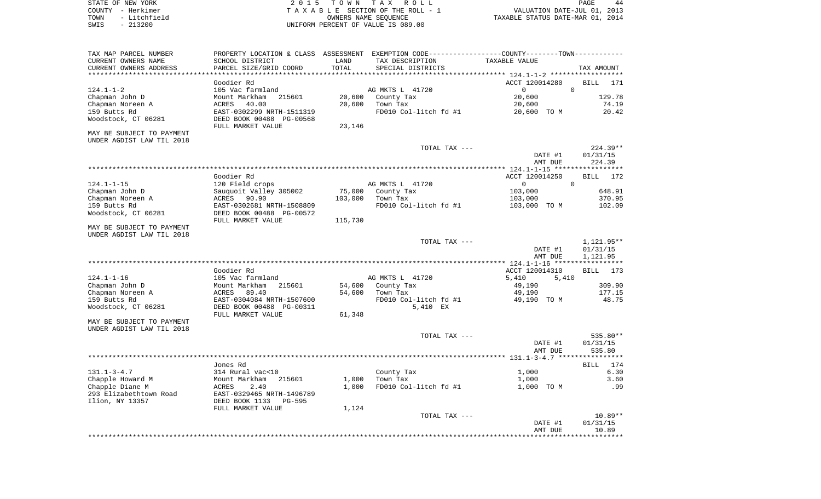STATE OF NEW YORK **EXECUTE:**  $2015$  TOWN TAX ROLL COUNTY - Herkimer<br>
T A X A B L E SECTION OF THE ROLL - 1<br>
TOWN - Litchfield<br>
SWIS - 213200 - UNIFORM PERCENT OF VALUE IS 089.00 TOWN - LITCHFIELD OF THE ROLL - 1<br>
TAXABLE STATUS DATE-JUL 01, 2013<br>
OWNERS NAME SEQUENCE TAXABLE STATUS DATE-MAR 01, 2014 SWIS - 213200 UNIFORM PERCENT OF VALUE IS 089.00

PAGE 44

| TAX MAP PARCEL NUMBER     |                           |         | PROPERTY LOCATION & CLASS ASSESSMENT EXEMPTION CODE----------------COUNTY-------TOWN---------- |                                           |                    |
|---------------------------|---------------------------|---------|------------------------------------------------------------------------------------------------|-------------------------------------------|--------------------|
| CURRENT OWNERS NAME       | SCHOOL DISTRICT           | LAND    | TAX DESCRIPTION                                                                                | TAXABLE VALUE                             |                    |
| CURRENT OWNERS ADDRESS    | PARCEL SIZE/GRID COORD    | TOTAL   | SPECIAL DISTRICTS                                                                              |                                           | TAX AMOUNT         |
| ****************          |                           |         |                                                                                                | ***************** 124.1-1-2 ************* |                    |
|                           | Goodier Rd                |         |                                                                                                | ACCT 120014280                            | <b>BILL</b><br>171 |
| $124.1 - 1 - 2$           | 105 Vac farmland          |         | AG MKTS L 41720                                                                                | $\mathbf 0$<br>$\overline{0}$             |                    |
| Chapman John D            | Mount Markham<br>215601   | 20,600  | County Tax                                                                                     | 20,600                                    | 129.78             |
| Chapman Noreen A          | 40.00<br>ACRES            | 20,600  | Town Tax                                                                                       | 20,600                                    | 74.19              |
| 159 Butts Rd              | EAST-0302299 NRTH-1511319 |         | FD010 Col-litch fd #1                                                                          | 20,600 TO M                               | 20.42              |
| Woodstock, CT 06281       | DEED BOOK 00488 PG-00568  |         |                                                                                                |                                           |                    |
|                           | FULL MARKET VALUE         | 23,146  |                                                                                                |                                           |                    |
| MAY BE SUBJECT TO PAYMENT |                           |         |                                                                                                |                                           |                    |
| UNDER AGDIST LAW TIL 2018 |                           |         |                                                                                                |                                           |                    |
|                           |                           |         | TOTAL TAX ---                                                                                  |                                           | $224.39**$         |
|                           |                           |         |                                                                                                | DATE #1                                   | 01/31/15           |
|                           |                           |         |                                                                                                | AMT DUE                                   | 224.39             |
|                           |                           |         |                                                                                                |                                           |                    |
|                           | Goodier Rd                |         |                                                                                                | ACCT 120014250                            | <b>BILL</b><br>172 |
| $124.1 - 1 - 15$          | 120 Field crops           |         | AG MKTS L 41720                                                                                | $\Omega$<br>$\mathbf{0}$                  |                    |
| Chapman John D            | Sauguoit Valley 305002    | 75,000  | County Tax                                                                                     | 103,000                                   | 648.91             |
|                           |                           |         |                                                                                                |                                           |                    |
| Chapman Noreen A          | ACRES 90.90               | 103,000 | Town Tax                                                                                       | 103,000                                   | 370.95             |
| 159 Butts Rd              | EAST-0302681 NRTH-1508809 |         | FD010 Col-litch fd #1                                                                          | 103,000 TO M                              | 102.09             |
| Woodstock, CT 06281       | DEED BOOK 00488 PG-00572  |         |                                                                                                |                                           |                    |
|                           | FULL MARKET VALUE         | 115,730 |                                                                                                |                                           |                    |
| MAY BE SUBJECT TO PAYMENT |                           |         |                                                                                                |                                           |                    |
| UNDER AGDIST LAW TIL 2018 |                           |         |                                                                                                |                                           |                    |
|                           |                           |         | TOTAL TAX ---                                                                                  |                                           | 1,121.95**         |
|                           |                           |         |                                                                                                | DATE #1                                   | 01/31/15           |
|                           |                           |         |                                                                                                | AMT DUE                                   | 1,121.95           |
|                           |                           |         |                                                                                                |                                           |                    |
|                           | Goodier Rd                |         |                                                                                                | ACCT 120014310                            | <b>BILL</b><br>173 |
| $124.1 - 1 - 16$          | 105 Vac farmland          |         | AG MKTS L 41720                                                                                | 5,410<br>5,410                            |                    |
| Chapman John D            | Mount Markham<br>215601   | 54,600  | County Tax                                                                                     | 49,190                                    | 309.90             |
| Chapman Noreen A          | ACRES<br>89.40            | 54,600  | Town Tax                                                                                       | 49,190                                    | 177.15             |
| 159 Butts Rd              | EAST-0304084 NRTH-1507600 |         | FD010 Col-litch fd #1                                                                          | 49,190 TO M                               | 48.75              |
| Woodstock, CT 06281       | DEED BOOK 00488 PG-00311  |         | 5,410 EX                                                                                       |                                           |                    |
|                           | FULL MARKET VALUE         | 61,348  |                                                                                                |                                           |                    |
| MAY BE SUBJECT TO PAYMENT |                           |         |                                                                                                |                                           |                    |
| UNDER AGDIST LAW TIL 2018 |                           |         |                                                                                                |                                           |                    |
|                           |                           |         | TOTAL TAX ---                                                                                  |                                           | 535.80**           |
|                           |                           |         |                                                                                                | DATE #1                                   | 01/31/15           |
|                           |                           |         |                                                                                                | AMT DUE                                   | 535.80             |
|                           |                           |         |                                                                                                |                                           |                    |
|                           | Jones Rd                  |         |                                                                                                |                                           | 174<br>BILL        |
| $131.1 - 3 - 4.7$         | 314 Rural vac<10          |         | County Tax                                                                                     | 1,000                                     | 6.30               |
| Chapple Howard M          | Mount Markham<br>215601   | 1,000   | Town Tax                                                                                       | 1,000                                     | 3.60               |
| Chapple Diane M           | ACRES<br>2.40             | 1,000   | FD010 Col-litch fd #1                                                                          | 1,000 TO M                                | .99                |
| 293 Elizabethtown Road    | EAST-0329465 NRTH-1496789 |         |                                                                                                |                                           |                    |
| Ilion, NY 13357           | DEED BOOK 1133<br>PG-595  |         |                                                                                                |                                           |                    |
|                           | FULL MARKET VALUE         | 1,124   |                                                                                                |                                           |                    |
|                           |                           |         | TOTAL TAX ---                                                                                  |                                           | $10.89**$          |
|                           |                           |         |                                                                                                | DATE #1                                   | 01/31/15           |
|                           |                           |         |                                                                                                | AMT DUE                                   | 10.89              |
|                           |                           |         |                                                                                                |                                           |                    |
|                           |                           |         |                                                                                                |                                           |                    |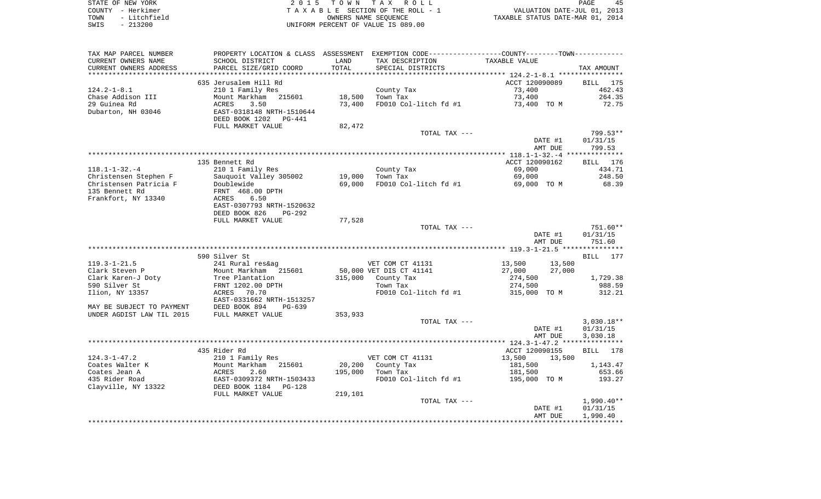|      | STATE OF NEW YORK | 2015 TOWN TAX ROLL                 | 45<br>PAGE                       |
|------|-------------------|------------------------------------|----------------------------------|
|      | COUNTY - Herkimer | TAXABLE SECTION OF THE ROLL - 1    | VALUATION DATE-JUL 01, 2013      |
| TOWN | - Litchfield      | OWNERS NAME SEOUENCE               | TAXABLE STATUS DATE-MAR 01, 2014 |
| SWIS | $-213200$         | UNIFORM PERCENT OF VALUE IS 089.00 |                                  |

| TAX MAP PARCEL NUMBER     |                           |         | PROPERTY LOCATION & CLASS ASSESSMENT EXEMPTION CODE-----------------COUNTY--------TOWN--------- |                  |              |
|---------------------------|---------------------------|---------|-------------------------------------------------------------------------------------------------|------------------|--------------|
| CURRENT OWNERS NAME       | SCHOOL DISTRICT           | LAND    | TAX DESCRIPTION                                                                                 | TAXABLE VALUE    |              |
| CURRENT OWNERS ADDRESS    | PARCEL SIZE/GRID COORD    | TOTAL   | SPECIAL DISTRICTS                                                                               |                  | TAX AMOUNT   |
|                           |                           |         |                                                                                                 |                  |              |
|                           | 635 Jerusalem Hill Rd     |         |                                                                                                 | ACCT 120090089   | BILL 175     |
| $124.2 - 1 - 8.1$         | 210 1 Family Res          |         | County Tax                                                                                      | 73,400           | 462.43       |
| Chase Addison III         | Mount Markham<br>215601   | 18,500  | Town Tax                                                                                        | 73,400           | 264.35       |
| 29 Guinea Rd              | 3.50<br>ACRES             | 73,400  | FD010 Col-litch fd #1                                                                           | 73,400 TO M      | 72.75        |
| Dubarton, NH 03046        | EAST-0318148 NRTH-1510644 |         |                                                                                                 |                  |              |
|                           | DEED BOOK 1202 PG-441     |         |                                                                                                 |                  |              |
|                           | FULL MARKET VALUE         | 82,472  |                                                                                                 |                  |              |
|                           |                           |         | TOTAL TAX ---                                                                                   |                  | 799.53**     |
|                           |                           |         |                                                                                                 | DATE #1          | 01/31/15     |
|                           |                           |         |                                                                                                 | AMT DUE          | 799.53       |
|                           |                           |         |                                                                                                 |                  |              |
|                           | 135 Bennett Rd            |         |                                                                                                 | ACCT 120090162   | BILL 176     |
| $118.1 - 1 - 32. - 4$     | 210 1 Family Res          |         | County Tax                                                                                      | 69,000           | 434.71       |
| Christensen Stephen F     | Sauguoit Valley 305002    | 19,000  | Town Tax                                                                                        | 69,000           | 248.50       |
| Christensen Patricia F    | Doublewide                | 69,000  | FD010 Col-litch fd #1                                                                           | 69,000 TO M      | 68.39        |
| 135 Bennett Rd            | FRNT 468.00 DPTH          |         |                                                                                                 |                  |              |
| Frankfort, NY 13340       | ACRES<br>6.50             |         |                                                                                                 |                  |              |
|                           | EAST-0307793 NRTH-1520632 |         |                                                                                                 |                  |              |
|                           | DEED BOOK 826<br>$PG-292$ |         |                                                                                                 |                  |              |
|                           | FULL MARKET VALUE         | 77,528  |                                                                                                 |                  |              |
|                           |                           |         | TOTAL TAX ---                                                                                   |                  | 751.60**     |
|                           |                           |         |                                                                                                 | DATE #1          | 01/31/15     |
|                           |                           |         |                                                                                                 | AMT DUE          | 751.60       |
|                           |                           |         |                                                                                                 |                  |              |
|                           | 590 Silver St             |         |                                                                                                 |                  | BILL 177     |
| $119.3 - 1 - 21.5$        | 241 Rural res&ag          |         | VET COM CT 41131                                                                                | 13,500<br>13,500 |              |
| Clark Steven P            | Mount Markham 215601      |         | 50,000 VET DIS CT 41141                                                                         | 27,000<br>27,000 |              |
| Clark Karen-J Doty        | Tree Plantation           |         | 315,000 County Tax                                                                              | 274,500          | 1,729.38     |
| 590 Silver St             | FRNT 1202.00 DPTH         |         | Town Tax                                                                                        | 274,500          | 988.59       |
| Ilion, NY 13357           | ACRES 70.70               |         | FD010 Col-litch fd #1                                                                           | 315,000 TO M     | 312.21       |
|                           | EAST-0331662 NRTH-1513257 |         |                                                                                                 |                  |              |
| MAY BE SUBJECT TO PAYMENT | DEED BOOK 894<br>PG-639   |         |                                                                                                 |                  |              |
| UNDER AGDIST LAW TIL 2015 | FULL MARKET VALUE         | 353,933 |                                                                                                 |                  |              |
|                           |                           |         | TOTAL TAX ---                                                                                   |                  | $3,030.18**$ |
|                           |                           |         |                                                                                                 | DATE #1          | 01/31/15     |
|                           |                           |         |                                                                                                 | AMT DUE          | 3,030.18     |
|                           |                           |         |                                                                                                 |                  |              |
|                           | 435 Rider Rd              |         |                                                                                                 | ACCT 120090155   | BILL 178     |
| $124.3 - 1 - 47.2$        | 210 1 Family Res          |         | VET COM CT 41131                                                                                | 13,500<br>13,500 |              |
| Coates Walter K           | Mount Markham 215601      |         | 20,200 County Tax                                                                               | 181,500          | 1,143.47     |
| Coates Jean A             | ACRES<br>2.60             | 195,000 | Town Tax                                                                                        | 181,500          | 653.66       |
| 435 Rider Road            | EAST-0309372 NRTH-1503433 |         | FD010 Col-litch fd #1                                                                           | 195,000 TO M     | 193.27       |
| Clayville, NY 13322       | DEED BOOK 1184<br>PG-128  |         |                                                                                                 |                  |              |
|                           | FULL MARKET VALUE         | 219,101 |                                                                                                 |                  |              |
|                           |                           |         | TOTAL TAX ---                                                                                   |                  | $1,990.40**$ |
|                           |                           |         |                                                                                                 | DATE #1          | 01/31/15     |
|                           |                           |         |                                                                                                 | AMT DUE          | 1,990.40     |
|                           |                           |         |                                                                                                 |                  |              |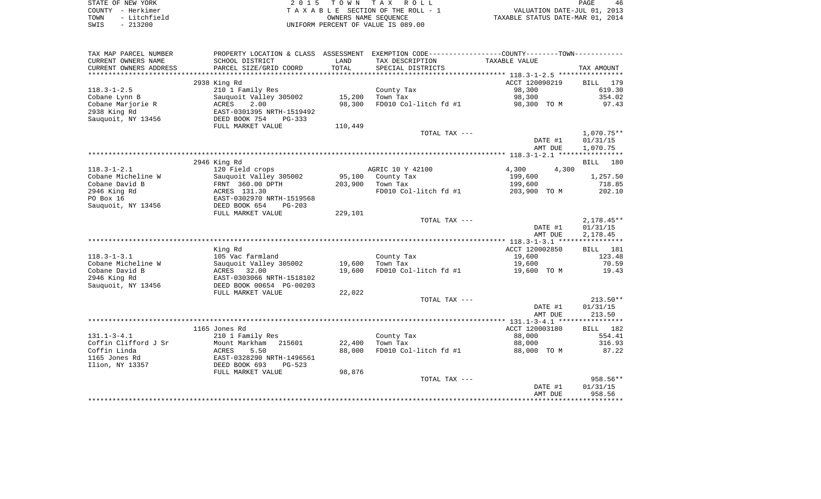| STATE OF NEW YORK    | 2015 TOWN TAX ROLL                 | 46<br>PAGE                       |
|----------------------|------------------------------------|----------------------------------|
| COUNTY - Herkimer    | TAXABLE SECTION OF THE ROLL - 1    | VALUATION DATE-JUL 01, 2013      |
| - Litchfield<br>TOWN | OWNERS NAME SEOUENCE               | TAXABLE STATUS DATE-MAR 01, 2014 |
| $-213200$<br>SWIS    | UNIFORM PERCENT OF VALUE IS 089.00 |                                  |

| TAX MAP PARCEL NUMBER                         | PROPERTY LOCATION & CLASS ASSESSMENT                |               | EXEMPTION CODE-----------------COUNTY-------TOWN----------- |                |                    |
|-----------------------------------------------|-----------------------------------------------------|---------------|-------------------------------------------------------------|----------------|--------------------|
| CURRENT OWNERS NAME<br>CURRENT OWNERS ADDRESS | SCHOOL DISTRICT<br>PARCEL SIZE/GRID COORD           | LAND<br>TOTAL | TAX DESCRIPTION<br>SPECIAL DISTRICTS                        | TAXABLE VALUE  | TAX AMOUNT         |
| *************************                     |                                                     |               |                                                             |                |                    |
|                                               | 2938 King Rd                                        |               |                                                             | ACCT 120090219 | 179<br>BILL        |
| $118.3 - 1 - 2.5$                             | 210 1 Family Res                                    |               | County Tax                                                  | 98,300         | 619.30             |
| Cobane Lynn B                                 | Sauquoit Valley 305002                              | 15,200        | Town Tax                                                    | 98,300         | 354.02             |
| Cobane Marjorie R                             | 2.00<br>ACRES                                       | 98,300        | FD010 Col-litch fd #1                                       | 98,300 TO M    | 97.43              |
| 2938 King Rd                                  | EAST-0301395 NRTH-1519492                           |               |                                                             |                |                    |
| Sauquoit, NY 13456                            | DEED BOOK 754<br><b>PG-333</b><br>FULL MARKET VALUE |               |                                                             |                |                    |
|                                               |                                                     | 110,449       | TOTAL TAX ---                                               |                | $1,070.75**$       |
|                                               |                                                     |               |                                                             | DATE #1        | 01/31/15           |
|                                               |                                                     |               |                                                             | AMT DUE        | 1,070.75           |
|                                               |                                                     |               |                                                             |                |                    |
|                                               | 2946 King Rd                                        |               |                                                             |                | <b>BILL</b><br>180 |
| $118.3 - 1 - 2.1$                             | 120 Field crops                                     |               | AGRIC 10 Y 42100                                            | 4,300<br>4,300 |                    |
| Cobane Micheline W                            | Sauquoit Valley 305002                              | 95,100        | County Tax                                                  | 199,600        | 1,257.50           |
| Cobane David B                                | FRNT 360.00 DPTH                                    | 203,900       | Town Tax                                                    | 199,600        | 718.85             |
| 2946 King Rd                                  | ACRES 131.30                                        |               | FD010 Col-litch fd #1                                       | 203,900 TO M   | 202.10             |
| PO Box 16                                     | EAST-0302970 NRTH-1519568                           |               |                                                             |                |                    |
| Sauquoit, NY 13456                            | DEED BOOK 654<br>$PG-203$                           |               |                                                             |                |                    |
|                                               | FULL MARKET VALUE                                   | 229,101       |                                                             |                |                    |
|                                               |                                                     |               | TOTAL TAX ---                                               |                | $2,178.45**$       |
|                                               |                                                     |               |                                                             | DATE #1        | 01/31/15           |
|                                               |                                                     |               |                                                             | AMT DUE        | 2,178.45           |
|                                               |                                                     |               |                                                             |                |                    |
|                                               | King Rd                                             |               |                                                             | ACCT 120002850 | BILL<br>181        |
| $118.3 - 1 - 3.1$                             | 105 Vac farmland                                    |               | County Tax                                                  | 19,600         | 123.48             |
| Cobane Micheline W<br>Cobane David B          | Sauquoit Valley 305002                              | 19,600        | Town Tax                                                    | 19,600         | 70.59              |
| 2946 King Rd                                  | ACRES<br>32.00<br>EAST-0303066 NRTH-1518102         | 19,600        | FD010 Col-litch fd #1                                       | 19,600 TO M    | 19.43              |
| Sauguoit, NY 13456                            | DEED BOOK 00654 PG-00203                            |               |                                                             |                |                    |
|                                               | FULL MARKET VALUE                                   | 22,022        |                                                             |                |                    |
|                                               |                                                     |               | TOTAL TAX ---                                               |                | $213.50**$         |
|                                               |                                                     |               |                                                             | DATE #1        | 01/31/15           |
|                                               |                                                     |               |                                                             | AMT DUE        | 213.50             |
|                                               |                                                     |               |                                                             |                |                    |
|                                               | 1165 Jones Rd                                       |               |                                                             | ACCT 120003180 | 182<br>BILL        |
| $131.1 - 3 - 4.1$                             | 210 1 Family Res                                    |               | County Tax                                                  | 88,000         | 554.41             |
| Coffin Clifford J Sr                          | Mount Markham<br>215601                             | 22,400        | Town Tax                                                    | 88,000         | 316.93             |
| Coffin Linda                                  | 5.50<br>ACRES                                       | 88,000        | FD010 Col-litch fd #1                                       | 88,000 TO M    | 87.22              |
| 1165 Jones Rd                                 | EAST-0328290 NRTH-1496561                           |               |                                                             |                |                    |
| Ilion, NY 13357                               | DEED BOOK 693<br>$PG-523$                           |               |                                                             |                |                    |
|                                               | FULL MARKET VALUE                                   | 98,876        |                                                             |                |                    |
|                                               |                                                     |               | TOTAL TAX ---                                               |                | 958.56**           |
|                                               |                                                     |               |                                                             | DATE #1        | 01/31/15           |
|                                               |                                                     |               |                                                             | AMT DUE        | 958.56             |
|                                               |                                                     |               |                                                             |                |                    |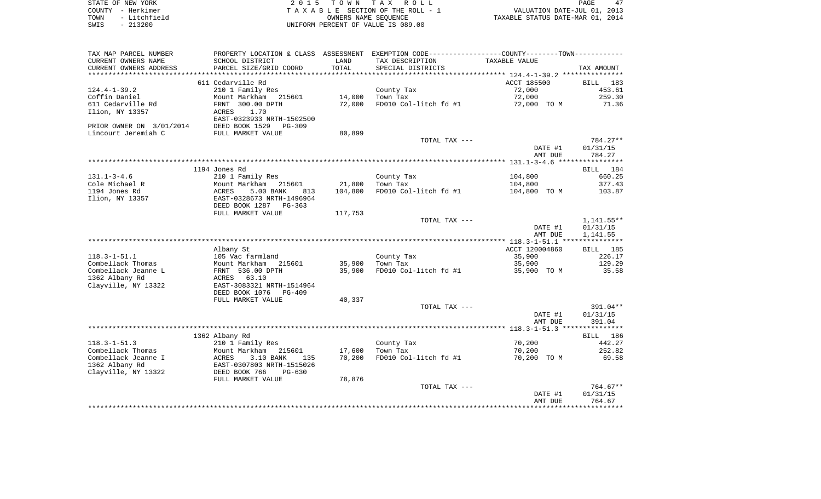|      | STATE OF NEW YORK | 2015 TOWN TAX ROLL                 | PAGE                             | 47 |
|------|-------------------|------------------------------------|----------------------------------|----|
|      | COUNTY - Herkimer | TAXABLE SECTION OF THE ROLL - 1    | VALUATION DATE-JUL 01, 2013      |    |
| TOWN | - Litchfield      | OWNERS NAME SEOUENCE               | TAXABLE STATUS DATE-MAR 01, 2014 |    |
| SWIS | $-213200$         | UNIFORM PERCENT OF VALUE IS 089.00 |                                  |    |

 $\begin{array}{c} 47 \\ 2013 \\ 2014 \end{array}$ 

| TAX MAP PARCEL NUMBER    |                               |         | PROPERTY LOCATION & CLASS ASSESSMENT EXEMPTION CODE---------------COUNTY-------TOWN---------- |                |                      |
|--------------------------|-------------------------------|---------|-----------------------------------------------------------------------------------------------|----------------|----------------------|
| CURRENT OWNERS NAME      | SCHOOL DISTRICT               | LAND    | TAX DESCRIPTION                                                                               | TAXABLE VALUE  |                      |
| CURRENT OWNERS ADDRESS   | PARCEL SIZE/GRID COORD        | TOTAL   | SPECIAL DISTRICTS                                                                             |                | TAX AMOUNT           |
| **********************   |                               |         |                                                                                               |                |                      |
|                          | 611 Cedarville Rd             |         |                                                                                               | ACCT 185500    | BILL 183             |
| $124.4 - 1 - 39.2$       | 210 1 Family Res              |         | County Tax                                                                                    | 72,000         | 453.61               |
| Coffin Daniel            | Mount Markham 215601          | 14,000  | Town Tax                                                                                      | 72,000         | 259.30               |
| 611 Cedarville Rd        | FRNT 300.00 DPTH              | 72,000  | FD010 Col-litch fd #1                                                                         | 72,000 TO M    | 71.36                |
| Ilion, NY 13357          | 1.70<br>ACRES                 |         |                                                                                               |                |                      |
|                          | EAST-0323933 NRTH-1502500     |         |                                                                                               |                |                      |
| PRIOR OWNER ON 3/01/2014 | DEED BOOK 1529<br>PG-309      |         |                                                                                               |                |                      |
| Lincourt Jeremiah C      | FULL MARKET VALUE             | 80,899  |                                                                                               |                |                      |
|                          |                               |         | TOTAL TAX ---                                                                                 |                | 784.27**             |
|                          |                               |         |                                                                                               | DATE #1        | 01/31/15             |
|                          |                               |         |                                                                                               | AMT DUE        | 784.27               |
|                          |                               |         |                                                                                               |                |                      |
|                          | 1194 Jones Rd                 |         |                                                                                               |                | BILL 184             |
| $131.1 - 3 - 4.6$        | 210 1 Family Res              |         | County Tax                                                                                    | 104,800        | 660.25               |
| Cole Michael R           | Mount Markham 215601          | 21,800  | Town Tax                                                                                      | 104,800        | 377.43               |
| 1194 Jones Rd            | 5.00 BANK<br>ACRES<br>813     | 104,800 | FD010 Col-litch fd #1                                                                         | 104,800 TO M   | 103.87               |
| Ilion, NY 13357          | EAST-0328673 NRTH-1496964     |         |                                                                                               |                |                      |
|                          | DEED BOOK 1287 PG-363         |         |                                                                                               |                |                      |
|                          | FULL MARKET VALUE             | 117,753 |                                                                                               |                |                      |
|                          |                               |         | TOTAL TAX ---                                                                                 |                | 1,141.55**           |
|                          |                               |         |                                                                                               | DATE #1        | 01/31/15<br>1,141.55 |
|                          |                               |         |                                                                                               | AMT DUE        |                      |
|                          |                               |         |                                                                                               | ACCT 120004860 |                      |
| $118.3 - 1 - 51.1$       | Albany St<br>105 Vac farmland |         | County Tax                                                                                    | 35,900         | BILL 185<br>226.17   |
| Combellack Thomas        | Mount Markham 215601          | 35,900  | Town Tax                                                                                      | 35,900         | 129.29               |
| Combellack Jeanne L      | FRNT 536.00 DPTH              |         |                                                                                               | 35,900 TO M    | 35.58                |
| 1362 Albany Rd           | ACRES 63.10                   | 35,900  | FD010 Col-litch fd #1                                                                         |                |                      |
| Clayville, NY 13322      | EAST-3083321 NRTH-1514964     |         |                                                                                               |                |                      |
|                          | DEED BOOK 1076<br>PG-409      |         |                                                                                               |                |                      |
|                          | FULL MARKET VALUE             | 40,337  |                                                                                               |                |                      |
|                          |                               |         | TOTAL TAX ---                                                                                 |                | $391.04**$           |
|                          |                               |         |                                                                                               | DATE #1        | 01/31/15             |
|                          |                               |         |                                                                                               | AMT DUE        | 391.04               |
|                          |                               |         |                                                                                               |                |                      |
|                          | 1362 Albany Rd                |         |                                                                                               |                | BILL 186             |
| $118.3 - 1 - 51.3$       | 210 1 Family Res              |         | County Tax                                                                                    | 70,200         | 442.27               |
| Combellack Thomas        | Mount Markham 215601          | 17,600  | Town Tax                                                                                      | 70,200         | 252.82               |
| Combellack Jeanne I      | 3.10 BANK<br>ACRES<br>135     | 70,200  | FD010 Col-litch fd #1                                                                         | 70,200 TO M    | 69.58                |
| 1362 Albany Rd           | EAST-0307803 NRTH-1515026     |         |                                                                                               |                |                      |
| Clayville, NY 13322      | DEED BOOK 766<br>$PG-630$     |         |                                                                                               |                |                      |
|                          | FULL MARKET VALUE             | 78,876  |                                                                                               |                |                      |
|                          |                               |         | TOTAL TAX ---                                                                                 |                | 764.67**             |
|                          |                               |         |                                                                                               | DATE #1        | 01/31/15             |
|                          |                               |         |                                                                                               | AMT DUE        | 764.67               |
|                          |                               |         |                                                                                               |                |                      |
|                          |                               |         |                                                                                               |                |                      |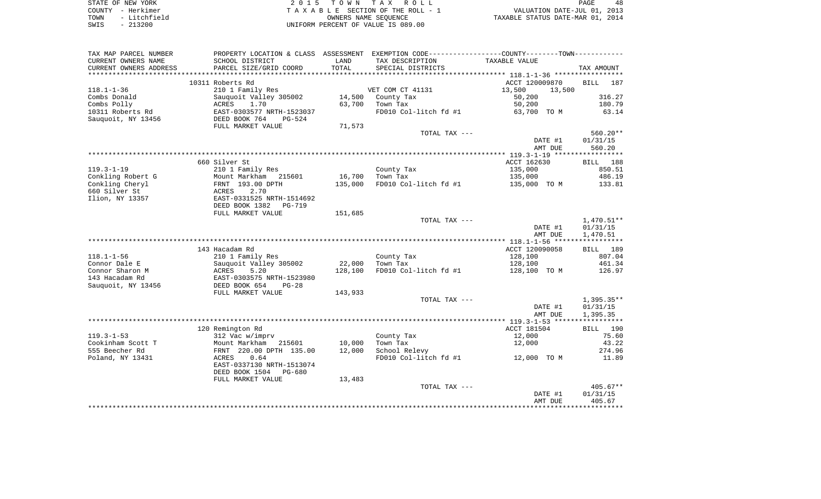| STATE OF NEW YORK    | 2015 TOWN TAX ROLL                 | 48<br>PAGE                       |
|----------------------|------------------------------------|----------------------------------|
| COUNTY - Herkimer    | TAXABLE SECTION OF THE ROLL - 1    | VALUATION DATE-JUL 01, 2013      |
| - Litchfield<br>TOWN | OWNERS NAME SEOUENCE               | TAXABLE STATUS DATE-MAR 01, 2014 |
| $-213200$<br>SWIS    | UNIFORM PERCENT OF VALUE IS 089.00 |                                  |

| TAX MAP PARCEL NUMBER  |                                 |         | PROPERTY LOCATION & CLASS ASSESSMENT EXEMPTION CODE----------------COUNTY--------TOWN----------- |                  |                    |
|------------------------|---------------------------------|---------|--------------------------------------------------------------------------------------------------|------------------|--------------------|
| CURRENT OWNERS NAME    | SCHOOL DISTRICT                 | LAND    | TAX DESCRIPTION                                                                                  | TAXABLE VALUE    |                    |
| CURRENT OWNERS ADDRESS | PARCEL SIZE/GRID COORD          | TOTAL   | SPECIAL DISTRICTS                                                                                |                  | TAX AMOUNT         |
|                        |                                 |         |                                                                                                  |                  |                    |
|                        | 10311 Roberts Rd                |         |                                                                                                  | ACCT 120009870   | <b>BILL</b><br>187 |
| $118.1 - 1 - 36$       | 210 1 Family Res                |         | VET COM CT 41131                                                                                 | 13,500<br>13,500 |                    |
| Combs Donald           | Sauquoit Valley 305002          | 14,500  | County Tax                                                                                       | 50,200           | 316.27             |
| Combs Polly            | ACRES<br>1.70                   | 63,700  | Town Tax                                                                                         | 50,200           | 180.79             |
| 10311 Roberts Rd       | EAST-0303577 NRTH-1523037       |         | FD010 Col-litch fd #1                                                                            | 63,700 TO M      | 63.14              |
| Sauquoit, NY 13456     | DEED BOOK 764<br>PG-524         |         |                                                                                                  |                  |                    |
|                        | FULL MARKET VALUE               | 71,573  |                                                                                                  |                  |                    |
|                        |                                 |         | TOTAL TAX ---                                                                                    |                  | 560.20**           |
|                        |                                 |         |                                                                                                  | DATE #1          | 01/31/15           |
|                        |                                 |         |                                                                                                  | AMT DUE          | 560.20             |
|                        |                                 |         |                                                                                                  |                  |                    |
|                        | 660 Silver St                   |         |                                                                                                  | ACCT 162630      | BILL 188           |
| $119.3 - 1 - 19$       | 210 1 Family Res                |         | County Tax                                                                                       | 135,000          | 850.51             |
| Conkling Robert G      | Mount Markham 215601            | 16,700  | Town Tax                                                                                         | 135,000          | 486.19             |
| Conkling Cheryl        | FRNT 193.00 DPTH                | 135,000 | FD010 Col-litch fd #1                                                                            | 135,000 TO M     | 133.81             |
| 660 Silver St          | 2.70<br>ACRES                   |         |                                                                                                  |                  |                    |
| Ilion, NY 13357        | EAST-0331525 NRTH-1514692       |         |                                                                                                  |                  |                    |
|                        | DEED BOOK 1382<br><b>PG-719</b> | 151,685 |                                                                                                  |                  |                    |
|                        | FULL MARKET VALUE               |         | TOTAL TAX ---                                                                                    |                  | 1,470.51**         |
|                        |                                 |         |                                                                                                  | DATE #1          | 01/31/15           |
|                        |                                 |         |                                                                                                  | AMT DUE          | 1,470.51           |
|                        |                                 |         |                                                                                                  |                  |                    |
|                        | 143 Hacadam Rd                  |         |                                                                                                  | ACCT 120090058   | BILL 189           |
| $118.1 - 1 - 56$       | 210 1 Family Res                |         | County Tax                                                                                       | 128,100          | 807.04             |
| Connor Dale E          | Sauquoit Valley 305002          | 22,000  | Town Tax                                                                                         | 128,100          | 461.34             |
| Connor Sharon M        | ACRES<br>5.20                   | 128,100 | FD010 Col-litch fd #1                                                                            | 128,100 TO M     | 126.97             |
| 143 Hacadam Rd         | EAST-0303575 NRTH-1523980       |         |                                                                                                  |                  |                    |
| Sauquoit, NY 13456     | DEED BOOK 654<br>$PG-28$        |         |                                                                                                  |                  |                    |
|                        | FULL MARKET VALUE               | 143,933 |                                                                                                  |                  |                    |
|                        |                                 |         | TOTAL TAX ---                                                                                    |                  | 1,395.35**         |
|                        |                                 |         |                                                                                                  | DATE #1          | 01/31/15           |
|                        |                                 |         |                                                                                                  | AMT DUE          | 1,395.35           |
|                        |                                 |         |                                                                                                  |                  |                    |
|                        | 120 Remington Rd                |         |                                                                                                  | ACCT 181504      | BILL 190           |
| $119.3 - 1 - 53$       | 312 Vac w/imprv                 |         | County Tax                                                                                       | 12,000           | 75.60              |
| Cookinham Scott T      | Mount Markham<br>215601         | 10,000  | Town Tax                                                                                         | 12,000           | 43.22              |
| 555 Beecher Rd         | FRNT 220.00 DPTH 135.00         | 12,000  | School Relevy                                                                                    |                  | 274.96             |
| Poland, NY 13431       | 0.64<br>ACRES                   |         | FD010 Col-litch fd #1                                                                            | 12,000 TO M      | 11.89              |
|                        | EAST-0337130 NRTH-1513074       |         |                                                                                                  |                  |                    |
|                        | DEED BOOK 1504<br>PG-680        |         |                                                                                                  |                  |                    |
|                        | FULL MARKET VALUE               | 13,483  |                                                                                                  |                  |                    |
|                        |                                 |         | TOTAL TAX ---                                                                                    |                  | $405.67**$         |
|                        |                                 |         |                                                                                                  | DATE #1          | 01/31/15           |
|                        |                                 |         |                                                                                                  | AMT DUE          | 405.67             |
|                        |                                 |         |                                                                                                  |                  |                    |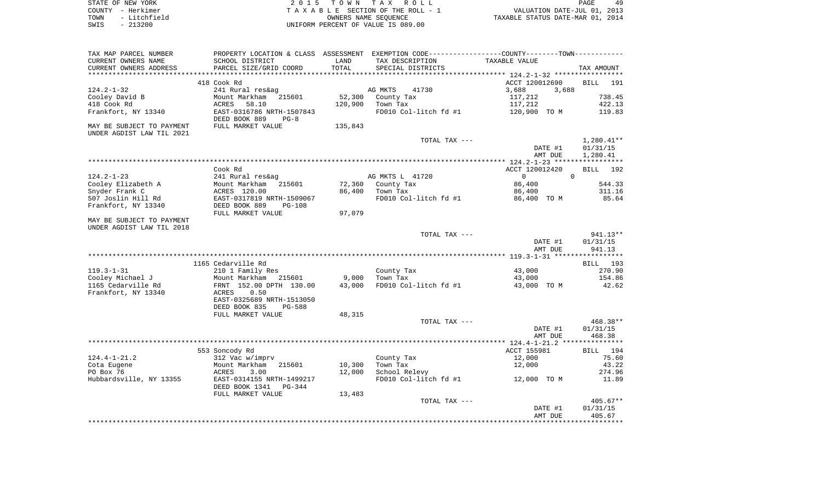| STATE OF NEW YORK    | 2015 TOWN TAX ROLL                 | 49<br>PAGE                       |
|----------------------|------------------------------------|----------------------------------|
| COUNTY - Herkimer    | TAXABLE SECTION OF THE ROLL - 1    | VALUATION DATE-JUL 01, 2013      |
| - Litchfield<br>TOWN | OWNERS NAME SEOUENCE               | TAXABLE STATUS DATE-MAR 01, 2014 |
| $-213200$<br>SWIS    | UNIFORM PERCENT OF VALUE IS 089.00 |                                  |

| TAX MAP PARCEL NUMBER     |                                                      |         | PROPERTY LOCATION & CLASS ASSESSMENT EXEMPTION CODE---------------COUNTY-------TOWN--------- |                          |                    |
|---------------------------|------------------------------------------------------|---------|----------------------------------------------------------------------------------------------|--------------------------|--------------------|
| CURRENT OWNERS NAME       | SCHOOL DISTRICT                                      | LAND    | TAX DESCRIPTION                                                                              | TAXABLE VALUE            |                    |
| CURRENT OWNERS ADDRESS    | PARCEL SIZE/GRID COORD                               | TOTAL   | SPECIAL DISTRICTS                                                                            |                          | TAX AMOUNT         |
|                           |                                                      |         |                                                                                              |                          |                    |
|                           | 418 Cook Rd                                          |         |                                                                                              | ACCT 120012690           | <b>BILL</b><br>191 |
| $124.2 - 1 - 32$          | 241 Rural res&ag                                     |         | AG MKTS<br>41730                                                                             | 3,688<br>3,688           |                    |
| Cooley David B            | Mount Markham<br>215601                              | 52,300  | County Tax                                                                                   | 117,212                  | 738.45             |
| 418 Cook Rd               | 58.10<br>ACRES                                       | 120,900 | Town Tax                                                                                     | 117,212                  | 422.13             |
| Frankfort, NY 13340       | EAST-0316786 NRTH-1507843<br>DEED BOOK 889<br>$PG-8$ |         | FD010 Col-litch fd #1                                                                        | 120,900 TO M             | 119.83             |
| MAY BE SUBJECT TO PAYMENT | FULL MARKET VALUE                                    | 135,843 |                                                                                              |                          |                    |
| UNDER AGDIST LAW TIL 2021 |                                                      |         |                                                                                              |                          |                    |
|                           |                                                      |         | TOTAL TAX ---                                                                                |                          | $1,280.41**$       |
|                           |                                                      |         |                                                                                              | DATE #1                  | 01/31/15           |
|                           |                                                      |         |                                                                                              | AMT DUE                  | 1,280.41           |
|                           |                                                      |         |                                                                                              |                          |                    |
|                           | Cook Rd                                              |         |                                                                                              | ACCT 120012420           | BILL<br>192        |
| $124.2 - 1 - 23$          | 241 Rural res&ag                                     |         | AG MKTS L 41720                                                                              | $\mathbf{0}$<br>$\Omega$ |                    |
| Cooley Elizabeth A        | Mount Markham<br>215601                              | 72,360  | County Tax                                                                                   | 86,400                   | 544.33             |
| Snyder Frank C            | ACRES 120.00                                         | 86,400  | Town Tax                                                                                     | 86,400                   | 311.16             |
| 507 Joslin Hill Rd        | EAST-0317819 NRTH-1509067                            |         | FD010 Col-litch fd #1                                                                        | 86,400 TO M              | 85.64              |
| Frankfort, NY 13340       | DEED BOOK 889<br><b>PG-108</b>                       |         |                                                                                              |                          |                    |
|                           | FULL MARKET VALUE                                    | 97,079  |                                                                                              |                          |                    |
| MAY BE SUBJECT TO PAYMENT |                                                      |         |                                                                                              |                          |                    |
| UNDER AGDIST LAW TIL 2018 |                                                      |         |                                                                                              |                          |                    |
|                           |                                                      |         | TOTAL TAX ---                                                                                |                          | $941.13**$         |
|                           |                                                      |         |                                                                                              | DATE #1                  | 01/31/15           |
|                           |                                                      |         |                                                                                              | AMT DUE                  | 941.13             |
|                           |                                                      |         |                                                                                              |                          |                    |
|                           | 1165 Cedarville Rd                                   |         |                                                                                              |                          | BILL 193           |
| $119.3 - 1 - 31$          | 210 1 Family Res                                     |         | County Tax                                                                                   | 43,000                   | 270.90             |
| Cooley Michael J          | Mount Markham<br>215601                              | 9,000   | Town Tax                                                                                     | 43,000                   | 154.86             |
| 1165 Cedarville Rd        | FRNT 152.00 DPTH 130.00                              | 43,000  | FD010 Col-litch fd #1                                                                        | 43,000 TO M              | 42.62              |
| Frankfort, NY 13340       | 0.50<br>ACRES                                        |         |                                                                                              |                          |                    |
|                           | EAST-0325689 NRTH-1513050                            |         |                                                                                              |                          |                    |
|                           | DEED BOOK 835<br>$PG-588$                            |         |                                                                                              |                          |                    |
|                           | FULL MARKET VALUE                                    | 48,315  |                                                                                              |                          |                    |
|                           |                                                      |         | TOTAL TAX ---                                                                                |                          | 468.38**           |
|                           |                                                      |         |                                                                                              | DATE #1                  | 01/31/15           |
|                           |                                                      |         |                                                                                              | AMT DUE                  | 468.38             |
|                           |                                                      |         |                                                                                              |                          |                    |
|                           | 553 Soncody Rd                                       |         |                                                                                              | ACCT 155981              | 194<br>BILL        |
| $124.4 - 1 - 21.2$        | 312 Vac w/imprv                                      |         | County Tax                                                                                   | 12,000                   | 75.60              |
| Cota Eugene               | Mount Markham<br>215601                              | 10,300  | Town Tax                                                                                     | 12,000                   | 43.22              |
| PO Box 76                 | 3.00<br>ACRES                                        | 12,000  | School Relevy                                                                                |                          | 274.96             |
| Hubbardsville, NY 13355   | EAST-0314155 NRTH-1499217                            |         | FD010 Col-litch fd #1                                                                        | 12,000 TO M              | 11.89              |
|                           | DEED BOOK 1341<br><b>PG-344</b>                      |         |                                                                                              |                          |                    |
|                           | FULL MARKET VALUE                                    | 13,483  |                                                                                              |                          |                    |
|                           |                                                      |         | TOTAL TAX ---                                                                                |                          | $405.67**$         |
|                           |                                                      |         |                                                                                              | DATE #1                  | 01/31/15           |
|                           |                                                      |         |                                                                                              | AMT DUE                  | 405.67             |
|                           |                                                      |         |                                                                                              |                          |                    |
|                           |                                                      |         |                                                                                              |                          |                    |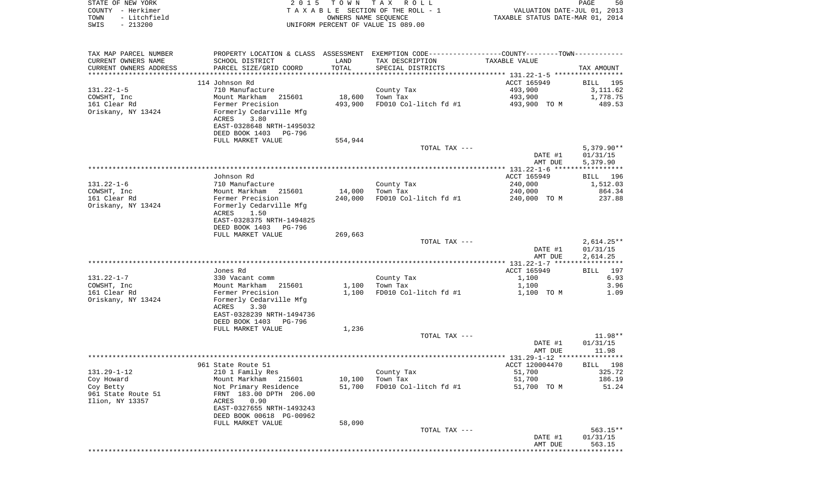| STATE OF NEW YORK<br>- Herkimer<br>COUNTY | 2 0 1 5                                             | T O W N | TAX ROLL<br>TAXABLE SECTION OF THE ROLL - 1                  | VALUATION DATE-JUL 01, 2013      | 50<br>PAGE |
|-------------------------------------------|-----------------------------------------------------|---------|--------------------------------------------------------------|----------------------------------|------------|
| - Litchfield<br>TOWN                      |                                                     |         | OWNERS NAME SEOUENCE                                         | TAXABLE STATUS DATE-MAR 01, 2014 |            |
| $-213200$<br>SWIS                         |                                                     |         | UNIFORM PERCENT OF VALUE IS 089.00                           |                                  |            |
|                                           |                                                     |         |                                                              |                                  |            |
| TAX MAP PARCEL NUMBER                     | PROPERTY LOCATION & CLASS ASSESSMENT                |         | EXEMPTION CODE-----------------COUNTY-------TOWN------------ |                                  |            |
| CURRENT OWNERS NAME                       | SCHOOL DISTRICT                                     | LAND    | TAX DESCRIPTION TAXABLE VALUE                                |                                  |            |
|                                           | CURRENT OWNERS ADDRESS FARCEL SIZE/GRID COORD TOTAL |         | SPECIAL DISTRICTS                                            |                                  | TAX AMOUNT |
|                                           |                                                     |         |                                                              |                                  |            |
|                                           | 114 Johnson Rd                                      |         |                                                              | ACCT 165949                      | BILL 195   |
| $131.22 - 1 - 5$                          | 710 Manufacture                                     |         | County Tax                                                   | 493,900                          | 3,111.62   |
| COWSHT, Inc                               | Mount Markham 215601                                | 18,600  | Town Tax                                                     | 493,900 1,778.75                 |            |
| 161 Clear Rd                              | Fermer Precision                                    | 493,900 | FD010 Col-litch fd #1                                        | 493,900 TO M                     | 489.53     |
| Oriskany, NY 13424                        | Formerly Cedarville Mfg                             |         |                                                              |                                  |            |
|                                           | 3.80<br>ACRES                                       |         |                                                              |                                  |            |
|                                           | EAST-0328648 NRTH-1495032                           |         |                                                              |                                  |            |
|                                           | DEED BOOK 1403 PG-796                               |         |                                                              |                                  |            |
|                                           | FULL MARKET VALUE                                   | 554,944 |                                                              |                                  |            |

|                    | FULL MARKET VALUE         | 554,944 |                       |                |                    |
|--------------------|---------------------------|---------|-----------------------|----------------|--------------------|
|                    |                           |         | TOTAL TAX ---         |                | $5,379.90**$       |
|                    |                           |         |                       | DATE #1        | 01/31/15           |
|                    |                           |         |                       | AMT DUE        | 5,379.90           |
|                    |                           |         |                       |                |                    |
|                    | Johnson Rd                |         |                       | ACCT 165949    | 196<br><b>BILL</b> |
| $131.22 - 1 - 6$   | 710 Manufacture           |         |                       | 240,000        | 1,512.03           |
|                    |                           |         | County Tax            |                |                    |
| COWSHT, Inc        | Mount Markham<br>215601   | 14,000  | Town Tax              | 240,000        | 864.34             |
| 161 Clear Rd       | Fermer Precision          | 240,000 | FD010 Col-litch fd #1 | 240,000 TO M   | 237.88             |
| Oriskany, NY 13424 | Formerly Cedarville Mfg   |         |                       |                |                    |
|                    | ACRES<br>1.50             |         |                       |                |                    |
|                    | EAST-0328375 NRTH-1494825 |         |                       |                |                    |
|                    | DEED BOOK 1403<br>PG-796  |         |                       |                |                    |
|                    | FULL MARKET VALUE         | 269,663 |                       |                |                    |
|                    |                           |         | TOTAL TAX ---         |                | $2,614.25**$       |
|                    |                           |         |                       | DATE #1        | 01/31/15           |
|                    |                           |         |                       | AMT DUE        | 2,614.25           |
|                    |                           |         |                       |                |                    |
|                    | Jones Rd                  |         |                       | ACCT 165949    | 197<br>BILL        |
| $131.22 - 1 - 7$   | 330 Vacant comm           |         | County Tax            | 1,100          | 6.93               |
| COWSHT, Inc        | Mount Markham<br>215601   | 1,100   | Town Tax              | 1,100          | 3.96               |
| 161 Clear Rd       | Fermer Precision          | 1,100   | FD010 Col-litch fd #1 | 1,100 TO M     | 1.09               |
| Oriskany, NY 13424 | Formerly Cedarville Mfg   |         |                       |                |                    |
|                    | ACRES<br>3.30             |         |                       |                |                    |
|                    | EAST-0328239 NRTH-1494736 |         |                       |                |                    |
|                    | DEED BOOK 1403<br>PG-796  |         |                       |                |                    |
|                    | FULL MARKET VALUE         | 1,236   |                       |                |                    |
|                    |                           |         |                       |                | $11.98**$          |
|                    |                           |         | TOTAL TAX ---         |                |                    |
|                    |                           |         |                       | DATE #1        | 01/31/15           |
|                    |                           |         |                       | AMT DUE        | 11.98              |
|                    |                           |         |                       |                |                    |
|                    | 961 State Route 51        |         |                       | ACCT 120004470 | BILL 198           |
| $131.29 - 1 - 12$  | 210 1 Family Res          |         | County Tax            | 51,700         | 325.72             |
| Coy Howard         | Mount Markham 215601      | 10,100  | Town Tax              | 51,700         | 186.19             |
| Coy Betty          | Not Primary Residence     | 51,700  | FD010 Col-litch fd #1 | 51,700 TO M    | 51.24              |
| 961 State Route 51 | FRNT 183.00 DPTH 206.00   |         |                       |                |                    |
| Ilion, NY 13357    | ACRES<br>0.90             |         |                       |                |                    |
|                    | EAST-0327655 NRTH-1493243 |         |                       |                |                    |
|                    | DEED BOOK 00618 PG-00962  |         |                       |                |                    |
|                    | FULL MARKET VALUE         | 58,090  |                       |                |                    |

| rona mannsi vanos | <b>UU, UU</b> |               |         |            |
|-------------------|---------------|---------------|---------|------------|
|                   |               | TOTAL TAX --- |         | $563.15**$ |
|                   |               |               | DATE #1 | 01/31/15   |
|                   |               |               | AMT DUE | 563.15     |
|                   |               |               |         |            |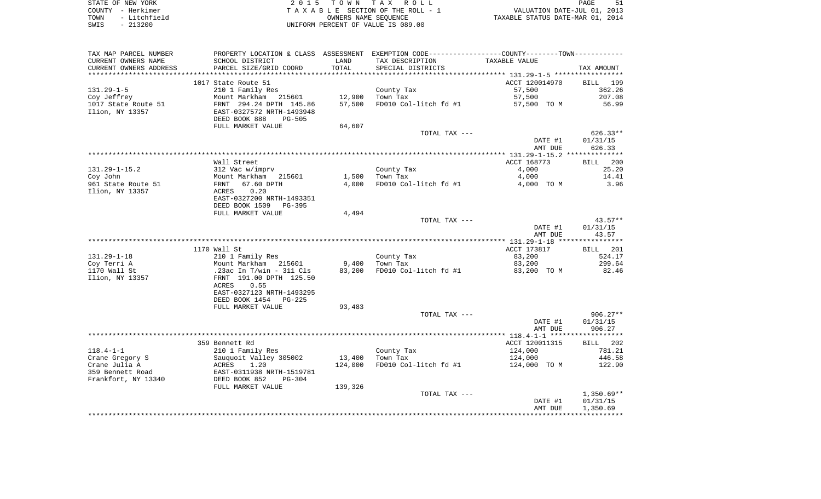| STATE OF NEW YORK    | 2015 TOWN TAX ROLL                 | PAGE<br>51                       |
|----------------------|------------------------------------|----------------------------------|
| COUNTY - Herkimer    | TAXABLE SECTION OF THE ROLL - 1    | VALUATION DATE-JUL 01, 2013      |
| - Litchfield<br>TOWN | OWNERS NAME SEOUENCE               | TAXABLE STATUS DATE-MAR 01, 2014 |
| $-213200$<br>SWIS    | UNIFORM PERCENT OF VALUE IS 089.00 |                                  |

| TAX MAP PARCEL NUMBER                   | PROPERTY LOCATION & CLASS ASSESSMENT EXEMPTION CODE---------------COUNTY-------TOWN---------- |         |                                   |                     |                |
|-----------------------------------------|-----------------------------------------------------------------------------------------------|---------|-----------------------------------|---------------------|----------------|
| CURRENT OWNERS NAME                     | SCHOOL DISTRICT                                                                               | LAND    | TAX DESCRIPTION                   | TAXABLE VALUE       |                |
| CURRENT OWNERS ADDRESS                  | PARCEL SIZE/GRID COORD                                                                        | TOTAL   | SPECIAL DISTRICTS                 |                     | TAX AMOUNT     |
| ***********************                 |                                                                                               |         |                                   |                     |                |
|                                         | 1017 State Route 51                                                                           |         |                                   | ACCT 120014970      | BILL 199       |
| $131.29 - 1 - 5$                        | 210 1 Family Res                                                                              |         | County Tax                        | 57,500              | 362.26         |
| Coy Jeffrey                             | Mount Markham 215601                                                                          | 12,900  | Town Tax                          | 57,500              | 207.08         |
| 1017 State Route 51                     | FRNT 294.24 DPTH 145.86                                                                       | 57,500  | FD010 Col-litch fd #1             | 57,500 TO M         | 56.99          |
| Ilion, NY 13357                         | EAST-0327572 NRTH-1493948                                                                     |         |                                   |                     |                |
|                                         | DEED BOOK 888<br><b>PG-505</b>                                                                |         |                                   |                     |                |
|                                         | FULL MARKET VALUE                                                                             | 64,607  |                                   |                     |                |
|                                         |                                                                                               |         | TOTAL TAX ---                     |                     | $626.33**$     |
|                                         |                                                                                               |         |                                   | DATE #1             | 01/31/15       |
|                                         |                                                                                               |         |                                   | AMT DUE             | 626.33         |
|                                         |                                                                                               |         |                                   |                     |                |
| $131.29 - 1 - 15.2$                     | Wall Street                                                                                   |         |                                   | ACCT 168773         | BILL 200       |
|                                         | 312 Vac w/imprv                                                                               | 1,500   | County Tax                        | 4,000               | 25.20<br>14.41 |
| Coy John<br>961 State Route 51          | Mount Markham 215601<br>67.60 DPTH<br>FRNT                                                    | 4,000   | Town Tax<br>FD010 Col-litch fd #1 | 4,000<br>4,000 TO M | 3.96           |
| Ilion, NY 13357                         | 0.20<br>ACRES                                                                                 |         |                                   |                     |                |
|                                         | EAST-0327200 NRTH-1493351                                                                     |         |                                   |                     |                |
|                                         | DEED BOOK 1509<br>PG-395                                                                      |         |                                   |                     |                |
|                                         | FULL MARKET VALUE                                                                             | 4,494   |                                   |                     |                |
|                                         |                                                                                               |         | TOTAL TAX ---                     |                     | $43.57**$      |
|                                         |                                                                                               |         |                                   | DATE #1             | 01/31/15       |
|                                         |                                                                                               |         |                                   | AMT DUE             | 43.57          |
|                                         |                                                                                               |         |                                   |                     |                |
|                                         | 1170 Wall St                                                                                  |         |                                   | ACCT 173817         | BILL 201       |
| $131.29 - 1 - 18$                       | 210 1 Family Res                                                                              |         | County Tax                        | 83,200              | 524.17         |
| Coy Terri A                             | Mount Markham 215601                                                                          | 9,400   | Town Tax                          | 83,200              | 299.64         |
| 1170 Wall St                            | .23ac In T/win - 311 Cls                                                                      | 83,200  | FD010 Col-litch fd #1             | 83,200 TO M         | 82.46          |
| Ilion, NY 13357                         | FRNT 191.00 DPTH 125.50                                                                       |         |                                   |                     |                |
|                                         | 0.55<br>ACRES                                                                                 |         |                                   |                     |                |
|                                         | EAST-0327123 NRTH-1493295                                                                     |         |                                   |                     |                |
|                                         | DEED BOOK 1454<br>PG-225                                                                      |         |                                   |                     |                |
|                                         | FULL MARKET VALUE                                                                             | 93,483  |                                   |                     |                |
|                                         |                                                                                               |         | TOTAL TAX ---                     |                     | $906.27**$     |
|                                         |                                                                                               |         |                                   | DATE #1             | 01/31/15       |
|                                         |                                                                                               |         |                                   | AMT DUE             | 906.27         |
|                                         |                                                                                               |         |                                   |                     |                |
|                                         | 359 Bennett Rd                                                                                |         |                                   | ACCT 120011315      | BILL 202       |
| $118.4 - 1 - 1$                         | 210 1 Family Res                                                                              |         | County Tax                        | 124,000             | 781.21         |
| Crane Gregory S                         | Sauquoit Valley 305002                                                                        | 13,400  | Town Tax                          | 124,000             | 446.58         |
| Crane Julia A                           | Sauquoit Valley 305002<br>ACRES     1.20<br>EAST-0311938 NRTH-1519781                         | 124,000 | FD010 Col-litch fd #1             | 124,000 TO M        | 122.90         |
| 359 Bennett Road<br>Frankfort, NY 13340 | DEED BOOK 852<br>$PG-304$                                                                     |         |                                   |                     |                |
|                                         |                                                                                               |         |                                   |                     |                |
|                                         | FULL MARKET VALUE                                                                             | 139,326 | TOTAL TAX ---                     |                     | $1,350.69**$   |
|                                         |                                                                                               |         |                                   | DATE #1             | 01/31/15       |
|                                         |                                                                                               |         |                                   | AMT DUE             | 1,350.69       |
|                                         |                                                                                               |         |                                   |                     |                |
|                                         |                                                                                               |         |                                   |                     |                |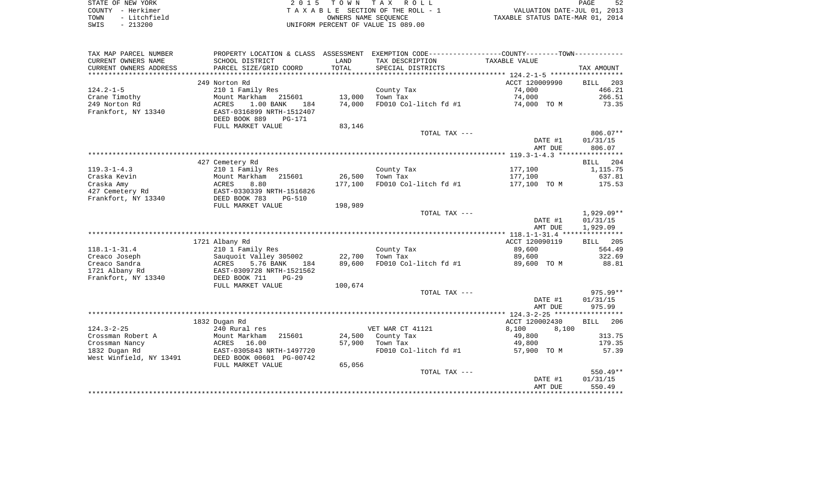| STATE OF NEW YORK    | 2015 TOWN TAX ROLL                 | 52<br>PAGE                       |
|----------------------|------------------------------------|----------------------------------|
| COUNTY - Herkimer    | TAXABLE SECTION OF THE ROLL - 1    | VALUATION DATE-JUL 01, 2013      |
| - Litchfield<br>TOWN | OWNERS NAME SEOUENCE               | TAXABLE STATUS DATE-MAR 01, 2014 |
| - 213200<br>SWIS     | UNIFORM PERCENT OF VALUE IS 089.00 |                                  |

|  | <b>PAGE</b>                    | 52 |  |
|--|--------------------------------|----|--|
|  | VALUATION DATE-JUL 01, 2013    |    |  |
|  | KABLE STATUS DATE-MAR 01, 2014 |    |  |

| TAX MAP PARCEL NUMBER                | PROPERTY LOCATION & CLASS ASSESSMENT                                              |         | EXEMPTION CODE----------------COUNTY-------TOWN----------- |                |                    |
|--------------------------------------|-----------------------------------------------------------------------------------|---------|------------------------------------------------------------|----------------|--------------------|
| CURRENT OWNERS NAME                  | SCHOOL DISTRICT                                                                   | LAND    | TAX DESCRIPTION                                            | TAXABLE VALUE  |                    |
| CURRENT OWNERS ADDRESS               | PARCEL SIZE/GRID COORD                                                            | TOTAL   | SPECIAL DISTRICTS                                          |                | TAX AMOUNT         |
|                                      |                                                                                   |         |                                                            |                |                    |
|                                      | 249 Norton Rd                                                                     |         |                                                            | ACCT 120009990 | 203<br>BILL        |
| $124.2 - 1 - 5$                      | 210 1 Family Res                                                                  |         | County Tax                                                 | 74,000         | 466.21             |
| Crane Timothy                        | Mount Markham<br>215601                                                           | 13,000  | Town Tax                                                   | 74,000         | 266.51             |
| 249 Norton Rd<br>Frankfort, NY 13340 | ACRES<br>1.00 BANK<br>184<br>EAST-0316899 NRTH-1512407<br>DEED BOOK 889<br>PG-171 | 74,000  | FD010 Col-litch fd #1                                      | 74,000 TO M    | 73.35              |
|                                      | FULL MARKET VALUE                                                                 | 83,146  |                                                            |                |                    |
|                                      |                                                                                   |         | TOTAL TAX ---                                              |                | $806.07**$         |
|                                      |                                                                                   |         |                                                            | DATE #1        | 01/31/15           |
|                                      |                                                                                   |         |                                                            | AMT DUE        | 806.07             |
|                                      |                                                                                   |         |                                                            |                |                    |
|                                      | 427 Cemetery Rd                                                                   |         |                                                            |                | <b>BILL</b><br>204 |
| $119.3 - 1 - 4.3$                    | 210 1 Family Res                                                                  |         | County Tax                                                 | 177,100        | 1,115.75           |
| Craska Kevin                         | Mount Markham<br>215601                                                           | 26,500  | Town Tax                                                   | 177,100        | 637.81             |
| Craska Amy                           | ACRES<br>8.80                                                                     | 177,100 | FD010 Col-litch fd #1                                      | 177,100 TO M   | 175.53             |
| 427 Cemetery Rd                      | EAST-0330339 NRTH-1516826                                                         |         |                                                            |                |                    |
| Frankfort, NY 13340                  | DEED BOOK 783<br>$PG-510$                                                         | 198,989 |                                                            |                |                    |
|                                      | FULL MARKET VALUE                                                                 |         | TOTAL TAX ---                                              |                | $1,929.09**$       |
|                                      |                                                                                   |         |                                                            | DATE #1        | 01/31/15           |
|                                      |                                                                                   |         |                                                            | AMT DUE        | 1,929.09           |
|                                      |                                                                                   |         |                                                            |                |                    |
|                                      | 1721 Albany Rd                                                                    |         |                                                            | ACCT 120090119 | BILL 205           |
| $118.1 - 1 - 31.4$                   | 210 1 Family Res                                                                  |         | County Tax                                                 | 89,600         | 564.49             |
| Creaco Joseph                        | Sauquoit Valley 305002                                                            | 22,700  | Town Tax                                                   | 89,600         | 322.69             |
| Creaco Sandra<br>1721 Albany Rd      | ACRES<br>5.76 BANK<br>184<br>EAST-0309728 NRTH-1521562                            | 89,600  | FD010 Col-litch fd #1                                      | 89,600 TO M    | 88.81              |
| Frankfort, NY 13340                  | DEED BOOK 711<br>$PG-29$                                                          |         |                                                            |                |                    |
|                                      | FULL MARKET VALUE                                                                 | 100,674 |                                                            |                |                    |
|                                      |                                                                                   |         | TOTAL TAX ---                                              |                | $975.99**$         |
|                                      |                                                                                   |         |                                                            | DATE #1        | 01/31/15           |
|                                      |                                                                                   |         |                                                            | AMT DUE        | 975.99             |
|                                      | 1832 Dugan Rd                                                                     |         |                                                            | ACCT 120002430 | 206<br>BILL        |
| $124.3 - 2 - 25$                     | 240 Rural res                                                                     |         | VET WAR CT 41121                                           | 8,100<br>8,100 |                    |
| Crossman Robert A                    | Mount Markham<br>215601                                                           | 24,500  | County Tax                                                 | 49,800         | 313.75             |
| Crossman Nancy                       | ACRES<br>16.00                                                                    | 57,900  | Town Tax                                                   | 49,800         | 179.35             |
| 1832 Dugan Rd                        | EAST-0305843 NRTH-1497720                                                         |         | FD010 Col-litch fd #1                                      | 57,900 TO M    | 57.39              |
| West Winfield, NY 13491              | DEED BOOK 00601 PG-00742                                                          |         |                                                            |                |                    |
|                                      | FULL MARKET VALUE                                                                 | 65,056  |                                                            |                |                    |
|                                      |                                                                                   |         | TOTAL TAX ---                                              |                | $550.49**$         |
|                                      |                                                                                   |         |                                                            | DATE #1        | 01/31/15           |
|                                      |                                                                                   |         |                                                            | AMT DUE        | 550.49             |
|                                      |                                                                                   |         |                                                            |                |                    |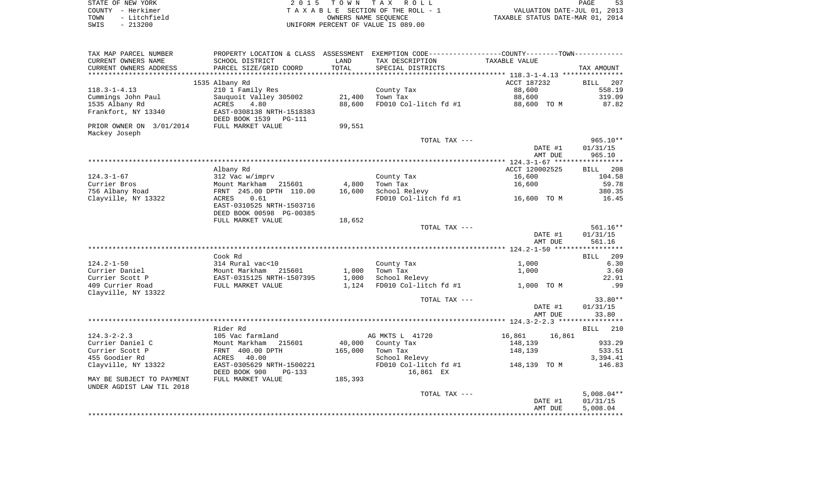| STATE OF NEW YORK    | 2015 TOWN TAX ROLL                 | PAGE                             |
|----------------------|------------------------------------|----------------------------------|
| COUNTY - Herkimer    | TAXABLE SECTION OF THE ROLL - 1    | VALUATION DATE-JUL 01, 2013      |
| - Litchfield<br>TOWN | OWNERS NAME SEOUENCE               | TAXABLE STATUS DATE-MAR 01, 2014 |
| $-213200$<br>SWIS    | UNIFORM PERCENT OF VALUE IS 089.00 |                                  |

| TAX MAP PARCEL NUMBER            | PROPERTY LOCATION & CLASS ASSESSMENT    |                 | EXEMPTION CODE-----------------COUNTY-------TOWN----------- |                  |                    |
|----------------------------------|-----------------------------------------|-----------------|-------------------------------------------------------------|------------------|--------------------|
| CURRENT OWNERS NAME              | SCHOOL DISTRICT                         | LAND            | TAX DESCRIPTION                                             | TAXABLE VALUE    |                    |
| CURRENT OWNERS ADDRESS           | PARCEL SIZE/GRID COORD                  | TOTAL           | SPECIAL DISTRICTS                                           |                  | TAX AMOUNT         |
|                                  |                                         | **************  |                                                             |                  |                    |
|                                  | 1535 Albany Rd                          |                 |                                                             | ACCT 187232      | <b>BILL</b><br>207 |
| $118.3 - 1 - 4.13$               | 210 1 Family Res                        |                 | County Tax                                                  | 88,600           | 558.19             |
| Cummings John Paul               | Sauquoit Valley 305002                  | 21,400          | Town Tax                                                    | 88,600           | 319.09             |
| 1535 Albany Rd                   | ACRES<br>4.80                           | 88,600          | FD010 Col-litch fd #1                                       | 88,600 TO M      | 87.82              |
| Frankfort, NY 13340              | EAST-0308138 NRTH-1518383               |                 |                                                             |                  |                    |
|                                  | DEED BOOK 1539 PG-111                   |                 |                                                             |                  |                    |
| PRIOR OWNER ON 3/01/2014         | FULL MARKET VALUE                       | 99,551          |                                                             |                  |                    |
| Mackey Joseph                    |                                         |                 |                                                             |                  |                    |
|                                  |                                         |                 | TOTAL TAX ---                                               |                  | $965.10**$         |
|                                  |                                         |                 |                                                             | DATE #1          | 01/31/15           |
|                                  |                                         |                 |                                                             | AMT DUE          | 965.10             |
|                                  |                                         |                 |                                                             | ACCT 120002525   |                    |
|                                  | Albany Rd                               |                 |                                                             |                  | <b>BILL</b><br>208 |
| $124.3 - 1 - 67$<br>Currier Bros | 312 Vac w/imprv<br>Mount Markham 215601 |                 | County Tax                                                  | 16,600           | 104.58<br>59.78    |
| 756 Albany Road                  | FRNT 245.00 DPTH 110.00                 | 4,800<br>16,600 | Town Tax<br>School Relevy                                   | 16,600           | 380.35             |
| Clayville, NY 13322              | ACRES<br>0.61                           |                 | FD010 Col-litch $fd$ #1 $16,600$ TO M                       |                  | 16.45              |
|                                  | EAST-0310525 NRTH-1503716               |                 |                                                             |                  |                    |
|                                  | DEED BOOK 00598 PG-00385                |                 |                                                             |                  |                    |
|                                  | FULL MARKET VALUE                       | 18,652          |                                                             |                  |                    |
|                                  |                                         |                 | TOTAL TAX ---                                               |                  | $561.16**$         |
|                                  |                                         |                 |                                                             | DATE #1          | 01/31/15           |
|                                  |                                         |                 |                                                             | AMT DUE          | 561.16             |
|                                  |                                         |                 |                                                             |                  |                    |
|                                  | Cook Rd                                 |                 |                                                             |                  | <b>BILL</b> 209    |
| $124.2 - 1 - 50$                 | 314 Rural vac<10                        |                 | County Tax                                                  | 1,000            | 6.30               |
| Currier Daniel                   | Mount Markham 215601                    | 1,000           | Town Tax                                                    | 1,000            | 3.60               |
| Currier Scott P                  | EAST-0315125 NRTH-1507395               | 1,000           | School Relevy                                               |                  | 22.91              |
| 409 Currier Road                 | FULL MARKET VALUE                       | 1,124           | FD010 Col-litch fd #1                                       | 1,000 TO M       | .99                |
| Clayville, NY 13322              |                                         |                 |                                                             |                  |                    |
|                                  |                                         |                 | TOTAL TAX ---                                               |                  | $33.80**$          |
|                                  |                                         |                 |                                                             | DATE #1          | 01/31/15           |
|                                  |                                         |                 |                                                             | AMT DUE          | 33.80              |
|                                  |                                         |                 |                                                             |                  |                    |
|                                  | Rider Rd                                |                 |                                                             |                  | <b>BILL</b><br>210 |
| $124.3 - 2 - 2.3$                | 105 Vac farmland                        |                 | AG MKTS L 41720                                             | 16,861<br>16,861 |                    |
| Currier Daniel C                 | Mount Markham<br>215601                 | 40,000          | County Tax                                                  | 148,139          | 933.29             |
| Currier Scott P                  | FRNT 400.00 DPTH                        | 165,000         | Town Tax                                                    | 148,139          | 533.51             |
| 455 Goodier Rd                   | ACRES<br>40.00                          |                 | School Relevy                                               |                  | 3,394.41           |
| Clayville, NY 13322              | EAST-0305629 NRTH-1500221               |                 | FD010 Col-litch fd #1                                       | 148,139 TO M     | 146.83             |
|                                  | DEED BOOK 900<br>PG-133                 |                 | 16,861 EX                                                   |                  |                    |
| MAY BE SUBJECT TO PAYMENT        | FULL MARKET VALUE                       | 185,393         |                                                             |                  |                    |
| UNDER AGDIST LAW TIL 2018        |                                         |                 |                                                             |                  |                    |
|                                  |                                         |                 | TOTAL TAX ---                                               |                  | $5,008.04**$       |
|                                  |                                         |                 |                                                             | DATE #1          | 01/31/15           |
|                                  |                                         |                 |                                                             | AMT DUE          | 5,008.04           |
|                                  |                                         |                 |                                                             |                  |                    |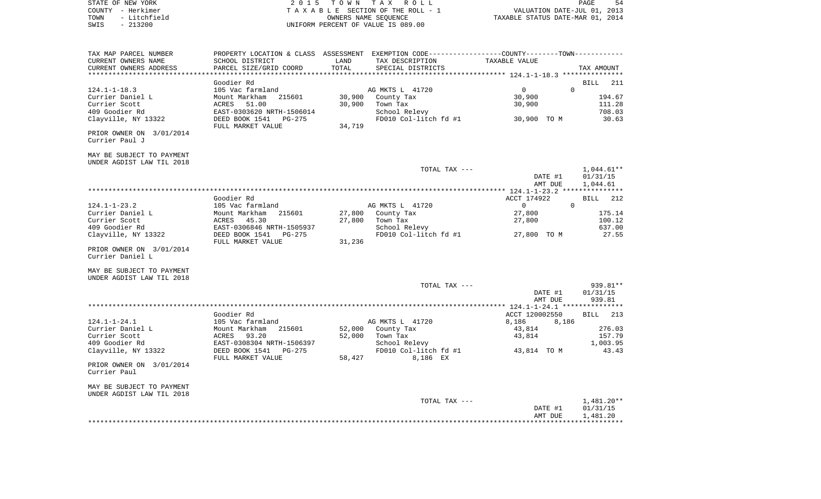|      | STATE OF NEW YORK | 2015 TOWN TAX ROLL                    | 54<br>PAGE                       |
|------|-------------------|---------------------------------------|----------------------------------|
|      | COUNTY - Herkimer | T A X A B L E SECTION OF THE ROLL - 1 | VALUATION DATE-JUL 01, 2013      |
| TOWN | - Litchfield      | OWNERS NAME SEOUENCE                  | TAXABLE STATUS DATE-MAR 01, 2014 |
| SWIS | $-213200$         | UNIFORM PERCENT OF VALUE IS 089.00    |                                  |

| TAX MAP PARCEL NUMBER                      |                           |        | PROPERTY LOCATION & CLASS ASSESSMENT EXEMPTION CODE----------------COUNTY--------TOWN---------- |                            |                    |
|--------------------------------------------|---------------------------|--------|-------------------------------------------------------------------------------------------------|----------------------------|--------------------|
| CURRENT OWNERS NAME                        | SCHOOL DISTRICT           | LAND   | TAX DESCRIPTION                                                                                 | TAXABLE VALUE              |                    |
| CURRENT OWNERS ADDRESS                     | PARCEL SIZE/GRID COORD    | TOTAL  | SPECIAL DISTRICTS                                                                               |                            | TAX AMOUNT         |
|                                            |                           |        |                                                                                                 |                            |                    |
|                                            | Goodier Rd                |        |                                                                                                 |                            | <b>BILL</b><br>211 |
| $124.1 - 1 - 18.3$                         | 105 Vac farmland          |        | AG MKTS L 41720                                                                                 | $\Omega$<br>$\overline{0}$ |                    |
| Currier Daniel L                           | 215601<br>Mount Markham   | 30,900 | County Tax                                                                                      | 30,900                     | 194.67             |
| Currier Scott                              | 51.00<br>ACRES            | 30,900 | Town Tax                                                                                        | 30,900                     | 111.28             |
| 409 Goodier Rd                             | EAST-0303620 NRTH-1506014 |        | School Relevy                                                                                   |                            | 708.03             |
| Clayville, NY 13322                        | DEED BOOK 1541<br>PG-275  |        | FD010 Col-litch fd #1                                                                           | 30,900 TO M                | 30.63              |
|                                            | FULL MARKET VALUE         | 34,719 |                                                                                                 |                            |                    |
| PRIOR OWNER ON 3/01/2014<br>Currier Paul J |                           |        |                                                                                                 |                            |                    |
| MAY BE SUBJECT TO PAYMENT                  |                           |        |                                                                                                 |                            |                    |
| UNDER AGDIST LAW TIL 2018                  |                           |        |                                                                                                 |                            |                    |
|                                            |                           |        | TOTAL TAX ---                                                                                   |                            | $1,044.61**$       |
|                                            |                           |        |                                                                                                 | DATE #1                    | 01/31/15           |
|                                            |                           |        |                                                                                                 | AMT DUE                    | 1,044.61           |
|                                            |                           |        |                                                                                                 |                            |                    |
|                                            | Goodier Rd                |        |                                                                                                 | ACCT 174922                | <b>BILL</b><br>212 |
| $124.1 - 1 - 23.2$                         | 105 Vac farmland          |        | AG MKTS L 41720                                                                                 | $\overline{0}$<br>$\Omega$ |                    |
| Currier Daniel L                           | 215601<br>Mount Markham   | 27,800 | County Tax                                                                                      | 27,800                     | 175.14             |
| Currier Scott                              | 45.30<br>ACRES            | 27,800 | Town Tax                                                                                        | 27,800                     | 100.12             |
| 409 Goodier Rd                             | EAST-0306846 NRTH-1505937 |        | School Relevy                                                                                   |                            | 637.00             |
| Clayville, NY 13322                        | DEED BOOK 1541<br>PG-275  |        | FD010 Col-litch fd #1                                                                           | 27,800 TO M                | 27.55              |
|                                            | FULL MARKET VALUE         | 31,236 |                                                                                                 |                            |                    |
| PRIOR OWNER ON 3/01/2014                   |                           |        |                                                                                                 |                            |                    |
| Currier Daniel L                           |                           |        |                                                                                                 |                            |                    |
|                                            |                           |        |                                                                                                 |                            |                    |
| MAY BE SUBJECT TO PAYMENT                  |                           |        |                                                                                                 |                            |                    |
| UNDER AGDIST LAW TIL 2018                  |                           |        |                                                                                                 |                            |                    |
|                                            |                           |        | TOTAL TAX ---                                                                                   |                            | 939.81**           |
|                                            |                           |        |                                                                                                 | DATE #1<br>AMT DUE         | 01/31/15<br>939.81 |
|                                            |                           |        |                                                                                                 |                            |                    |
|                                            | Goodier Rd                |        |                                                                                                 | ACCT 120002550             | BILL 213           |
| $124.1 - 1 - 24.1$                         | 105 Vac farmland          |        | AG MKTS L 41720                                                                                 | 8,186<br>8,186             |                    |
| Currier Daniel L                           | 215601<br>Mount Markham   |        | 52,000 County Tax                                                                               | 43,814                     | 276.03             |
| Currier Scott                              | ACRES<br>93.20            | 52,000 | Town Tax                                                                                        | 43,814                     | 157.79             |
| 409 Goodier Rd                             | EAST-0308304 NRTH-1506397 |        | School Relevy                                                                                   |                            | 1,003.95           |
| Clayville, NY 13322                        | DEED BOOK 1541<br>PG-275  |        | FD010 Col-litch fd #1                                                                           | 43,814 TO M                | 43.43              |
|                                            | FULL MARKET VALUE         | 58,427 | 8,186 EX                                                                                        |                            |                    |
| PRIOR OWNER ON 3/01/2014<br>Currier Paul   |                           |        |                                                                                                 |                            |                    |
| MAY BE SUBJECT TO PAYMENT                  |                           |        |                                                                                                 |                            |                    |
| UNDER AGDIST LAW TIL 2018                  |                           |        |                                                                                                 |                            |                    |
|                                            |                           |        | TOTAL TAX ---                                                                                   |                            | 1,481.20**         |
|                                            |                           |        |                                                                                                 | DATE #1                    | 01/31/15           |
|                                            |                           |        |                                                                                                 | AMT DUE                    | 1,481.20           |
|                                            |                           |        |                                                                                                 |                            |                    |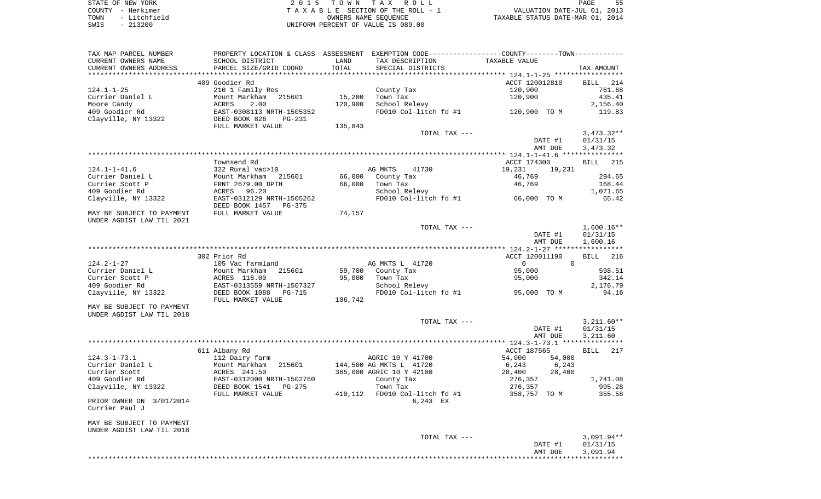STATE OF NEW YORK **EXECUTE:**  $2015$  TOWN TAX ROLL COUNTY - Herkimer<br>
T A X A B L E SECTION OF THE ROLL - 1<br>
TOWN - Litchfield<br>
SWIS - 213200 - UNIFORM PERCENT OF VALUE IS 089.00 TOWN - Litchfield OWNERS NAME SEQUENCE TAXABLE STATUS DATE-MAR 01, 2014 SWIS - 213200 UNIFORM PERCENT OF VALUE IS 089.00

| TAX MAP PARCEL NUMBER     |                           |         | PROPERTY LOCATION & CLASS ASSESSMENT EXEMPTION CODE---------------COUNTY-------TOWN---------- |                      |                    |
|---------------------------|---------------------------|---------|-----------------------------------------------------------------------------------------------|----------------------|--------------------|
| CURRENT OWNERS NAME       | SCHOOL DISTRICT           | LAND    | TAX DESCRIPTION                                                                               | TAXABLE VALUE        |                    |
| CURRENT OWNERS ADDRESS    | PARCEL SIZE/GRID COORD    | TOTAL   | SPECIAL DISTRICTS                                                                             |                      | TAX AMOUNT         |
| ***********************   |                           |         |                                                                                               |                      |                    |
|                           | 409 Goodier Rd            |         |                                                                                               | ACCT 120012810       | BILL<br>214        |
| $124.1 - 1 - 25$          | 210 1 Family Res          |         | County Tax                                                                                    | 120,900              | 761.68             |
| Currier Daniel L          | Mount Markham<br>215601   | 15,200  | Town Tax                                                                                      | 120,900              | 435.41             |
| Moore Candy               | ACRES<br>2.00             | 120,900 | School Relevy                                                                                 |                      | 2,156.40           |
| 409 Goodier Rd            | EAST-0308113 NRTH-1505352 |         | FD010 Col-litch fd #1                                                                         | 120,900 TO M         | 119.83             |
| Clayville, NY 13322       | DEED BOOK 826<br>PG-231   |         |                                                                                               |                      |                    |
|                           | FULL MARKET VALUE         | 135,843 |                                                                                               |                      |                    |
|                           |                           |         | TOTAL TAX ---                                                                                 |                      | $3,473.32**$       |
|                           |                           |         |                                                                                               | DATE #1              | 01/31/15           |
|                           |                           |         |                                                                                               | AMT DUE              | 3,473.32           |
|                           |                           |         |                                                                                               |                      |                    |
|                           | Townsend Rd               |         |                                                                                               | ACCT 174300          | BILL 215           |
| $124.1 - 1 - 41.6$        | 322 Rural vac>10          |         | AG MKTS<br>41730                                                                              | 19,231<br>19,231     |                    |
| Currier Daniel L          | Mount Markham 215601      | 66,000  | County Tax                                                                                    | 46,769               | 294.65             |
| Currier Scott P           | FRNT 2679.00 DPTH         | 66,000  | Town Tax                                                                                      | 46,769               | 168.44             |
| 409 Goodier Rd            | ACRES 96.20               |         | School Relevy                                                                                 |                      | 1,071.65           |
| Clayville, NY 13322       | EAST-0312129 NRTH-1505262 |         | FD010 Col-litch $fd$ #1 66,000 TO M                                                           |                      | 65.42              |
|                           | DEED BOOK 1457 PG-375     |         |                                                                                               |                      |                    |
| MAY BE SUBJECT TO PAYMENT | FULL MARKET VALUE         | 74,157  |                                                                                               |                      |                    |
| UNDER AGDIST LAW TIL 2021 |                           |         |                                                                                               |                      |                    |
|                           |                           |         | TOTAL TAX ---                                                                                 |                      | $1,600.16**$       |
|                           |                           |         |                                                                                               | DATE #1              | 01/31/15           |
|                           |                           |         |                                                                                               | AMT DUE              | 1,600.16           |
|                           |                           |         |                                                                                               |                      |                    |
|                           | 302 Prior Rd              |         |                                                                                               | ACCT 120011190       | 216<br><b>BILL</b> |
| $124.2 - 1 - 27$          | 105 Vac farmland          |         | AG MKTS L 41720                                                                               | $\Omega$<br>$\Omega$ |                    |
| Currier Daniel L          | Mount Markham 215601      | 59,700  | County Tax                                                                                    | 95,000               | 598.51             |
| Currier Scott P           | ACRES 116.00              | 95,000  | Town Tax                                                                                      |                      | 342.14             |
|                           |                           |         |                                                                                               | 95,000               |                    |
| 409 Goodier Rd            | EAST-0313559 NRTH-1507327 |         | School Relevy<br>FD010 Col-litch $f$ d #1 95,000 TO M                                         |                      | 2,176.79           |
| Clayville, NY 13322       | DEED BOOK 1088<br>PG-715  |         |                                                                                               |                      | 94.16              |
|                           | FULL MARKET VALUE         | 106,742 |                                                                                               |                      |                    |
| MAY BE SUBJECT TO PAYMENT |                           |         |                                                                                               |                      |                    |
| UNDER AGDIST LAW TIL 2018 |                           |         |                                                                                               |                      |                    |
|                           |                           |         | TOTAL TAX ---                                                                                 |                      | $3,211.60**$       |
|                           |                           |         |                                                                                               | DATE #1              | 01/31/15           |
|                           |                           |         |                                                                                               | AMT DUE              | 3,211.60           |
|                           |                           |         |                                                                                               |                      |                    |
| $124.3 - 1 - 73.1$        | 611 Albany Rd             |         |                                                                                               | ACCT 187565          | <b>BILL</b> 217    |
|                           | 112 Dairy farm            |         | AGRIC 10 Y 41700                                                                              | 54,000<br>54,000     |                    |
| Currier Daniel L          | Mount Markham 215601      |         | 144,500 AG MKTS L 41720                                                                       | 6,243<br>6,243       |                    |
| Currier Scott             | ACRES 241.50              |         | 365,000 AGRIC 10 Y 42100                                                                      | 28,400<br>28,400     |                    |
| 409 Goodier Rd            | EAST-0312000 NRTH-1502760 |         | County Tax                                                                                    | 276,357              | 1,741.08           |
| Clayville, NY 13322       | DEED BOOK 1541<br>PG-275  |         | Town Tax                                                                                      | 276,357              | 995.28             |
|                           | FULL MARKET VALUE         |         | 410,112 FD010 Col-litch fd #1                                                                 | 358,757 TO M         | 355.58             |
| PRIOR OWNER ON 3/01/2014  |                           |         | 6,243 EX                                                                                      |                      |                    |
| Currier Paul J            |                           |         |                                                                                               |                      |                    |
|                           |                           |         |                                                                                               |                      |                    |
| MAY BE SUBJECT TO PAYMENT |                           |         |                                                                                               |                      |                    |
| UNDER AGDIST LAW TIL 2018 |                           |         |                                                                                               |                      |                    |
|                           |                           |         | TOTAL TAX ---                                                                                 |                      | $3,091.94**$       |
|                           |                           |         |                                                                                               | DATE #1              | 01/31/15           |
|                           |                           |         |                                                                                               | AMT DUE              | 3,091.94           |
|                           |                           |         |                                                                                               |                      |                    |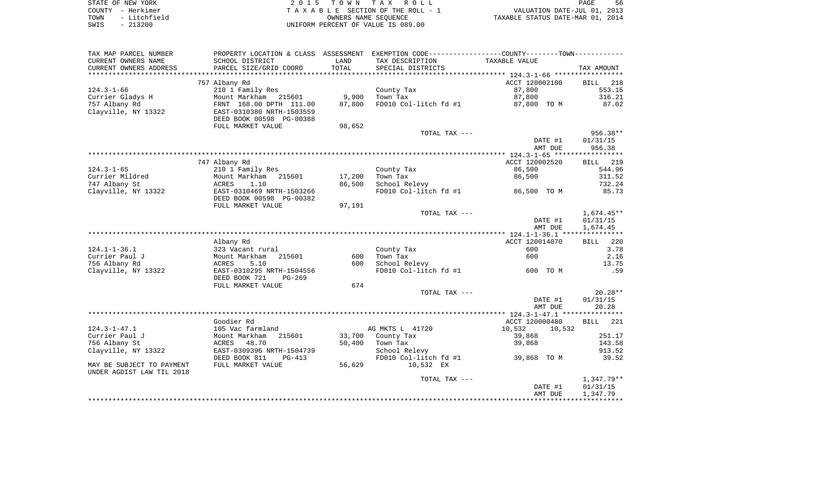| STATE OF NEW YORK    | 2015 TOWN TAX ROLL                   | PAGE                             |
|----------------------|--------------------------------------|----------------------------------|
| COUNTY - Herkimer    | TAXABLE SECTION OF THE ROLL - 1      | VALUATION DATE-JUL 01, 2013      |
| - Litchfield<br>TOWN | OWNERS NAME SEOUENCE                 | TAXABLE STATUS DATE-MAR 01, 2014 |
| CMTC _ 01.2000       | LINITEONA DEDCENT OF VALUE TO 000 00 |                                  |

SWIS - 213200 UNIFORM PERCENT OF VALUE IS 089.00

| CURRENT OWNERS NAME<br>SCHOOL DISTRICT<br>LAND<br>TAX DESCRIPTION<br>TAXABLE VALUE<br>TOTAL<br>CURRENT OWNERS ADDRESS<br>PARCEL SIZE/GRID COORD<br>SPECIAL DISTRICTS<br>TAX AMOUNT<br>****************************<br>*******************<br>ACCT 120002100<br>757 Albany Rd<br>218<br><b>BILL</b><br>$124.3 - 1 - 66$<br>553.15<br>210 1 Family Res<br>County Tax<br>87,800<br>9,900<br>87,800<br>Currier Gladys H<br>Mount Markham<br>215601<br>Town Tax<br>316.21<br>757 Albany Rd<br>FRNT 168.00 DPTH 111.00<br>87,800<br>FD010 Col-litch fd #1<br>87.02<br>87,800 TO M<br>Clayville, NY 13322<br>EAST-0310380 NRTH-1503559<br>DEED BOOK 00598 PG-00388<br>FULL MARKET VALUE<br>98,652<br>956.38**<br>TOTAL TAX ---<br>DATE #1<br>01/31/15<br>AMT DUE<br>956.38<br>747 Albany Rd<br>ACCT 120002520<br>BILL 219<br>86,500<br>544.96<br>$124.3 - 1 - 65$<br>210 1 Family Res<br>County Tax<br>Currier Mildred<br>Town Tax<br>86,500<br>Mount Markham<br>215601<br>17,200<br>311.52<br>747 Albany St<br>1.10<br>86,500<br>School Relevy<br>732.24<br>ACRES<br>Clayville, NY 13322<br>EAST-0310469 NRTH-1503266<br>FD010 Col-litch fd #1<br>86,500 TO M<br>85.73<br>DEED BOOK 00598 PG-00382<br>97,191<br>FULL MARKET VALUE<br>$1,674.45**$<br>TOTAL TAX ---<br>DATE #1<br>01/31/15<br>1,674.45<br>AMT DUE<br>Albany Rd<br>ACCT 120014070<br>220<br>BILL<br>$124.1 - 1 - 36.1$<br>3.78<br>323 Vacant rural<br>County Tax<br>600<br>600<br>2.16<br>Currier Paul J<br>Mount Markham<br>215601<br>600<br>Town Tax<br>13.75<br>756 Albany Rd<br>5.10<br>School Relevy<br>ACRES<br>600<br>Clayville, NY 13322<br>EAST-0310295 NRTH-1504556<br>FD010 Col-litch fd #1<br>600 TO M<br>.59<br>DEED BOOK 721<br>$PG-269$<br>FULL MARKET VALUE<br>674<br>$20.28**$<br>TOTAL TAX ---<br>01/31/15<br>DATE #1<br>20.28<br>AMT DUE<br>Goodier Rd<br>221<br>ACCT 120000480<br><b>BILL</b><br>10,532<br>$124.3 - 1 - 47.1$<br>AG MKTS L 41720<br>105 Vac farmland<br>10,532<br>Currier Paul J<br>215601<br>33,700<br>County Tax<br>251.17<br>Mount Markham<br>39,868<br>756 Albany St<br>ACRES<br>48.70<br>50,400<br>Town Tax<br>39,868<br>143.58<br>Clayville, NY 13322<br>EAST-0309396 NRTH-1504739<br>School Relevy<br>913.52<br>DEED BOOK 811<br>FD010 Col-litch fd #1<br>39.52<br>$PG-413$<br>39,868 TO M<br>FULL MARKET VALUE<br>56,629<br>10,532 EX<br>MAY BE SUBJECT TO PAYMENT<br>TOTAL TAX ---<br>DATE #1<br>01/31/15<br>1,347.79<br>AMT DUE | TAX MAP PARCEL NUMBER     | PROPERTY LOCATION & CLASS ASSESSMENT | EXEMPTION CODE-----------------COUNTY-------TOWN----------- |            |
|---------------------------------------------------------------------------------------------------------------------------------------------------------------------------------------------------------------------------------------------------------------------------------------------------------------------------------------------------------------------------------------------------------------------------------------------------------------------------------------------------------------------------------------------------------------------------------------------------------------------------------------------------------------------------------------------------------------------------------------------------------------------------------------------------------------------------------------------------------------------------------------------------------------------------------------------------------------------------------------------------------------------------------------------------------------------------------------------------------------------------------------------------------------------------------------------------------------------------------------------------------------------------------------------------------------------------------------------------------------------------------------------------------------------------------------------------------------------------------------------------------------------------------------------------------------------------------------------------------------------------------------------------------------------------------------------------------------------------------------------------------------------------------------------------------------------------------------------------------------------------------------------------------------------------------------------------------------------------------------------------------------------------------------------------------------------------------------------------------------------------------------------------------------------------------------------------------------------------------------------------------------------------------------------------------------------------------------------------------------------------------------------------------------------------------------|---------------------------|--------------------------------------|-------------------------------------------------------------|------------|
|                                                                                                                                                                                                                                                                                                                                                                                                                                                                                                                                                                                                                                                                                                                                                                                                                                                                                                                                                                                                                                                                                                                                                                                                                                                                                                                                                                                                                                                                                                                                                                                                                                                                                                                                                                                                                                                                                                                                                                                                                                                                                                                                                                                                                                                                                                                                                                                                                                       |                           |                                      |                                                             |            |
|                                                                                                                                                                                                                                                                                                                                                                                                                                                                                                                                                                                                                                                                                                                                                                                                                                                                                                                                                                                                                                                                                                                                                                                                                                                                                                                                                                                                                                                                                                                                                                                                                                                                                                                                                                                                                                                                                                                                                                                                                                                                                                                                                                                                                                                                                                                                                                                                                                       |                           |                                      |                                                             |            |
|                                                                                                                                                                                                                                                                                                                                                                                                                                                                                                                                                                                                                                                                                                                                                                                                                                                                                                                                                                                                                                                                                                                                                                                                                                                                                                                                                                                                                                                                                                                                                                                                                                                                                                                                                                                                                                                                                                                                                                                                                                                                                                                                                                                                                                                                                                                                                                                                                                       |                           |                                      |                                                             |            |
|                                                                                                                                                                                                                                                                                                                                                                                                                                                                                                                                                                                                                                                                                                                                                                                                                                                                                                                                                                                                                                                                                                                                                                                                                                                                                                                                                                                                                                                                                                                                                                                                                                                                                                                                                                                                                                                                                                                                                                                                                                                                                                                                                                                                                                                                                                                                                                                                                                       |                           |                                      |                                                             |            |
|                                                                                                                                                                                                                                                                                                                                                                                                                                                                                                                                                                                                                                                                                                                                                                                                                                                                                                                                                                                                                                                                                                                                                                                                                                                                                                                                                                                                                                                                                                                                                                                                                                                                                                                                                                                                                                                                                                                                                                                                                                                                                                                                                                                                                                                                                                                                                                                                                                       |                           |                                      |                                                             |            |
|                                                                                                                                                                                                                                                                                                                                                                                                                                                                                                                                                                                                                                                                                                                                                                                                                                                                                                                                                                                                                                                                                                                                                                                                                                                                                                                                                                                                                                                                                                                                                                                                                                                                                                                                                                                                                                                                                                                                                                                                                                                                                                                                                                                                                                                                                                                                                                                                                                       |                           |                                      |                                                             |            |
|                                                                                                                                                                                                                                                                                                                                                                                                                                                                                                                                                                                                                                                                                                                                                                                                                                                                                                                                                                                                                                                                                                                                                                                                                                                                                                                                                                                                                                                                                                                                                                                                                                                                                                                                                                                                                                                                                                                                                                                                                                                                                                                                                                                                                                                                                                                                                                                                                                       |                           |                                      |                                                             |            |
|                                                                                                                                                                                                                                                                                                                                                                                                                                                                                                                                                                                                                                                                                                                                                                                                                                                                                                                                                                                                                                                                                                                                                                                                                                                                                                                                                                                                                                                                                                                                                                                                                                                                                                                                                                                                                                                                                                                                                                                                                                                                                                                                                                                                                                                                                                                                                                                                                                       |                           |                                      |                                                             |            |
|                                                                                                                                                                                                                                                                                                                                                                                                                                                                                                                                                                                                                                                                                                                                                                                                                                                                                                                                                                                                                                                                                                                                                                                                                                                                                                                                                                                                                                                                                                                                                                                                                                                                                                                                                                                                                                                                                                                                                                                                                                                                                                                                                                                                                                                                                                                                                                                                                                       |                           |                                      |                                                             |            |
|                                                                                                                                                                                                                                                                                                                                                                                                                                                                                                                                                                                                                                                                                                                                                                                                                                                                                                                                                                                                                                                                                                                                                                                                                                                                                                                                                                                                                                                                                                                                                                                                                                                                                                                                                                                                                                                                                                                                                                                                                                                                                                                                                                                                                                                                                                                                                                                                                                       |                           |                                      |                                                             |            |
|                                                                                                                                                                                                                                                                                                                                                                                                                                                                                                                                                                                                                                                                                                                                                                                                                                                                                                                                                                                                                                                                                                                                                                                                                                                                                                                                                                                                                                                                                                                                                                                                                                                                                                                                                                                                                                                                                                                                                                                                                                                                                                                                                                                                                                                                                                                                                                                                                                       |                           |                                      |                                                             |            |
|                                                                                                                                                                                                                                                                                                                                                                                                                                                                                                                                                                                                                                                                                                                                                                                                                                                                                                                                                                                                                                                                                                                                                                                                                                                                                                                                                                                                                                                                                                                                                                                                                                                                                                                                                                                                                                                                                                                                                                                                                                                                                                                                                                                                                                                                                                                                                                                                                                       |                           |                                      |                                                             |            |
|                                                                                                                                                                                                                                                                                                                                                                                                                                                                                                                                                                                                                                                                                                                                                                                                                                                                                                                                                                                                                                                                                                                                                                                                                                                                                                                                                                                                                                                                                                                                                                                                                                                                                                                                                                                                                                                                                                                                                                                                                                                                                                                                                                                                                                                                                                                                                                                                                                       |                           |                                      |                                                             |            |
|                                                                                                                                                                                                                                                                                                                                                                                                                                                                                                                                                                                                                                                                                                                                                                                                                                                                                                                                                                                                                                                                                                                                                                                                                                                                                                                                                                                                                                                                                                                                                                                                                                                                                                                                                                                                                                                                                                                                                                                                                                                                                                                                                                                                                                                                                                                                                                                                                                       |                           |                                      |                                                             |            |
|                                                                                                                                                                                                                                                                                                                                                                                                                                                                                                                                                                                                                                                                                                                                                                                                                                                                                                                                                                                                                                                                                                                                                                                                                                                                                                                                                                                                                                                                                                                                                                                                                                                                                                                                                                                                                                                                                                                                                                                                                                                                                                                                                                                                                                                                                                                                                                                                                                       |                           |                                      |                                                             |            |
|                                                                                                                                                                                                                                                                                                                                                                                                                                                                                                                                                                                                                                                                                                                                                                                                                                                                                                                                                                                                                                                                                                                                                                                                                                                                                                                                                                                                                                                                                                                                                                                                                                                                                                                                                                                                                                                                                                                                                                                                                                                                                                                                                                                                                                                                                                                                                                                                                                       |                           |                                      |                                                             |            |
|                                                                                                                                                                                                                                                                                                                                                                                                                                                                                                                                                                                                                                                                                                                                                                                                                                                                                                                                                                                                                                                                                                                                                                                                                                                                                                                                                                                                                                                                                                                                                                                                                                                                                                                                                                                                                                                                                                                                                                                                                                                                                                                                                                                                                                                                                                                                                                                                                                       |                           |                                      |                                                             |            |
|                                                                                                                                                                                                                                                                                                                                                                                                                                                                                                                                                                                                                                                                                                                                                                                                                                                                                                                                                                                                                                                                                                                                                                                                                                                                                                                                                                                                                                                                                                                                                                                                                                                                                                                                                                                                                                                                                                                                                                                                                                                                                                                                                                                                                                                                                                                                                                                                                                       |                           |                                      |                                                             |            |
|                                                                                                                                                                                                                                                                                                                                                                                                                                                                                                                                                                                                                                                                                                                                                                                                                                                                                                                                                                                                                                                                                                                                                                                                                                                                                                                                                                                                                                                                                                                                                                                                                                                                                                                                                                                                                                                                                                                                                                                                                                                                                                                                                                                                                                                                                                                                                                                                                                       |                           |                                      |                                                             |            |
|                                                                                                                                                                                                                                                                                                                                                                                                                                                                                                                                                                                                                                                                                                                                                                                                                                                                                                                                                                                                                                                                                                                                                                                                                                                                                                                                                                                                                                                                                                                                                                                                                                                                                                                                                                                                                                                                                                                                                                                                                                                                                                                                                                                                                                                                                                                                                                                                                                       |                           |                                      |                                                             |            |
|                                                                                                                                                                                                                                                                                                                                                                                                                                                                                                                                                                                                                                                                                                                                                                                                                                                                                                                                                                                                                                                                                                                                                                                                                                                                                                                                                                                                                                                                                                                                                                                                                                                                                                                                                                                                                                                                                                                                                                                                                                                                                                                                                                                                                                                                                                                                                                                                                                       |                           |                                      |                                                             |            |
|                                                                                                                                                                                                                                                                                                                                                                                                                                                                                                                                                                                                                                                                                                                                                                                                                                                                                                                                                                                                                                                                                                                                                                                                                                                                                                                                                                                                                                                                                                                                                                                                                                                                                                                                                                                                                                                                                                                                                                                                                                                                                                                                                                                                                                                                                                                                                                                                                                       |                           |                                      |                                                             |            |
|                                                                                                                                                                                                                                                                                                                                                                                                                                                                                                                                                                                                                                                                                                                                                                                                                                                                                                                                                                                                                                                                                                                                                                                                                                                                                                                                                                                                                                                                                                                                                                                                                                                                                                                                                                                                                                                                                                                                                                                                                                                                                                                                                                                                                                                                                                                                                                                                                                       |                           |                                      |                                                             |            |
|                                                                                                                                                                                                                                                                                                                                                                                                                                                                                                                                                                                                                                                                                                                                                                                                                                                                                                                                                                                                                                                                                                                                                                                                                                                                                                                                                                                                                                                                                                                                                                                                                                                                                                                                                                                                                                                                                                                                                                                                                                                                                                                                                                                                                                                                                                                                                                                                                                       |                           |                                      |                                                             |            |
|                                                                                                                                                                                                                                                                                                                                                                                                                                                                                                                                                                                                                                                                                                                                                                                                                                                                                                                                                                                                                                                                                                                                                                                                                                                                                                                                                                                                                                                                                                                                                                                                                                                                                                                                                                                                                                                                                                                                                                                                                                                                                                                                                                                                                                                                                                                                                                                                                                       |                           |                                      |                                                             |            |
|                                                                                                                                                                                                                                                                                                                                                                                                                                                                                                                                                                                                                                                                                                                                                                                                                                                                                                                                                                                                                                                                                                                                                                                                                                                                                                                                                                                                                                                                                                                                                                                                                                                                                                                                                                                                                                                                                                                                                                                                                                                                                                                                                                                                                                                                                                                                                                                                                                       |                           |                                      |                                                             |            |
|                                                                                                                                                                                                                                                                                                                                                                                                                                                                                                                                                                                                                                                                                                                                                                                                                                                                                                                                                                                                                                                                                                                                                                                                                                                                                                                                                                                                                                                                                                                                                                                                                                                                                                                                                                                                                                                                                                                                                                                                                                                                                                                                                                                                                                                                                                                                                                                                                                       |                           |                                      |                                                             |            |
|                                                                                                                                                                                                                                                                                                                                                                                                                                                                                                                                                                                                                                                                                                                                                                                                                                                                                                                                                                                                                                                                                                                                                                                                                                                                                                                                                                                                                                                                                                                                                                                                                                                                                                                                                                                                                                                                                                                                                                                                                                                                                                                                                                                                                                                                                                                                                                                                                                       |                           |                                      |                                                             |            |
|                                                                                                                                                                                                                                                                                                                                                                                                                                                                                                                                                                                                                                                                                                                                                                                                                                                                                                                                                                                                                                                                                                                                                                                                                                                                                                                                                                                                                                                                                                                                                                                                                                                                                                                                                                                                                                                                                                                                                                                                                                                                                                                                                                                                                                                                                                                                                                                                                                       |                           |                                      |                                                             |            |
|                                                                                                                                                                                                                                                                                                                                                                                                                                                                                                                                                                                                                                                                                                                                                                                                                                                                                                                                                                                                                                                                                                                                                                                                                                                                                                                                                                                                                                                                                                                                                                                                                                                                                                                                                                                                                                                                                                                                                                                                                                                                                                                                                                                                                                                                                                                                                                                                                                       |                           |                                      |                                                             |            |
|                                                                                                                                                                                                                                                                                                                                                                                                                                                                                                                                                                                                                                                                                                                                                                                                                                                                                                                                                                                                                                                                                                                                                                                                                                                                                                                                                                                                                                                                                                                                                                                                                                                                                                                                                                                                                                                                                                                                                                                                                                                                                                                                                                                                                                                                                                                                                                                                                                       |                           |                                      |                                                             |            |
|                                                                                                                                                                                                                                                                                                                                                                                                                                                                                                                                                                                                                                                                                                                                                                                                                                                                                                                                                                                                                                                                                                                                                                                                                                                                                                                                                                                                                                                                                                                                                                                                                                                                                                                                                                                                                                                                                                                                                                                                                                                                                                                                                                                                                                                                                                                                                                                                                                       |                           |                                      |                                                             |            |
|                                                                                                                                                                                                                                                                                                                                                                                                                                                                                                                                                                                                                                                                                                                                                                                                                                                                                                                                                                                                                                                                                                                                                                                                                                                                                                                                                                                                                                                                                                                                                                                                                                                                                                                                                                                                                                                                                                                                                                                                                                                                                                                                                                                                                                                                                                                                                                                                                                       |                           |                                      |                                                             |            |
|                                                                                                                                                                                                                                                                                                                                                                                                                                                                                                                                                                                                                                                                                                                                                                                                                                                                                                                                                                                                                                                                                                                                                                                                                                                                                                                                                                                                                                                                                                                                                                                                                                                                                                                                                                                                                                                                                                                                                                                                                                                                                                                                                                                                                                                                                                                                                                                                                                       |                           |                                      |                                                             |            |
|                                                                                                                                                                                                                                                                                                                                                                                                                                                                                                                                                                                                                                                                                                                                                                                                                                                                                                                                                                                                                                                                                                                                                                                                                                                                                                                                                                                                                                                                                                                                                                                                                                                                                                                                                                                                                                                                                                                                                                                                                                                                                                                                                                                                                                                                                                                                                                                                                                       |                           |                                      |                                                             |            |
|                                                                                                                                                                                                                                                                                                                                                                                                                                                                                                                                                                                                                                                                                                                                                                                                                                                                                                                                                                                                                                                                                                                                                                                                                                                                                                                                                                                                                                                                                                                                                                                                                                                                                                                                                                                                                                                                                                                                                                                                                                                                                                                                                                                                                                                                                                                                                                                                                                       |                           |                                      |                                                             |            |
|                                                                                                                                                                                                                                                                                                                                                                                                                                                                                                                                                                                                                                                                                                                                                                                                                                                                                                                                                                                                                                                                                                                                                                                                                                                                                                                                                                                                                                                                                                                                                                                                                                                                                                                                                                                                                                                                                                                                                                                                                                                                                                                                                                                                                                                                                                                                                                                                                                       |                           |                                      |                                                             |            |
|                                                                                                                                                                                                                                                                                                                                                                                                                                                                                                                                                                                                                                                                                                                                                                                                                                                                                                                                                                                                                                                                                                                                                                                                                                                                                                                                                                                                                                                                                                                                                                                                                                                                                                                                                                                                                                                                                                                                                                                                                                                                                                                                                                                                                                                                                                                                                                                                                                       |                           |                                      |                                                             |            |
|                                                                                                                                                                                                                                                                                                                                                                                                                                                                                                                                                                                                                                                                                                                                                                                                                                                                                                                                                                                                                                                                                                                                                                                                                                                                                                                                                                                                                                                                                                                                                                                                                                                                                                                                                                                                                                                                                                                                                                                                                                                                                                                                                                                                                                                                                                                                                                                                                                       |                           |                                      |                                                             |            |
|                                                                                                                                                                                                                                                                                                                                                                                                                                                                                                                                                                                                                                                                                                                                                                                                                                                                                                                                                                                                                                                                                                                                                                                                                                                                                                                                                                                                                                                                                                                                                                                                                                                                                                                                                                                                                                                                                                                                                                                                                                                                                                                                                                                                                                                                                                                                                                                                                                       |                           |                                      |                                                             |            |
|                                                                                                                                                                                                                                                                                                                                                                                                                                                                                                                                                                                                                                                                                                                                                                                                                                                                                                                                                                                                                                                                                                                                                                                                                                                                                                                                                                                                                                                                                                                                                                                                                                                                                                                                                                                                                                                                                                                                                                                                                                                                                                                                                                                                                                                                                                                                                                                                                                       |                           |                                      |                                                             |            |
|                                                                                                                                                                                                                                                                                                                                                                                                                                                                                                                                                                                                                                                                                                                                                                                                                                                                                                                                                                                                                                                                                                                                                                                                                                                                                                                                                                                                                                                                                                                                                                                                                                                                                                                                                                                                                                                                                                                                                                                                                                                                                                                                                                                                                                                                                                                                                                                                                                       |                           |                                      |                                                             |            |
|                                                                                                                                                                                                                                                                                                                                                                                                                                                                                                                                                                                                                                                                                                                                                                                                                                                                                                                                                                                                                                                                                                                                                                                                                                                                                                                                                                                                                                                                                                                                                                                                                                                                                                                                                                                                                                                                                                                                                                                                                                                                                                                                                                                                                                                                                                                                                                                                                                       |                           |                                      |                                                             |            |
|                                                                                                                                                                                                                                                                                                                                                                                                                                                                                                                                                                                                                                                                                                                                                                                                                                                                                                                                                                                                                                                                                                                                                                                                                                                                                                                                                                                                                                                                                                                                                                                                                                                                                                                                                                                                                                                                                                                                                                                                                                                                                                                                                                                                                                                                                                                                                                                                                                       | UNDER AGDIST LAW TIL 2018 |                                      |                                                             |            |
|                                                                                                                                                                                                                                                                                                                                                                                                                                                                                                                                                                                                                                                                                                                                                                                                                                                                                                                                                                                                                                                                                                                                                                                                                                                                                                                                                                                                                                                                                                                                                                                                                                                                                                                                                                                                                                                                                                                                                                                                                                                                                                                                                                                                                                                                                                                                                                                                                                       |                           |                                      |                                                             | 1,347.79** |
|                                                                                                                                                                                                                                                                                                                                                                                                                                                                                                                                                                                                                                                                                                                                                                                                                                                                                                                                                                                                                                                                                                                                                                                                                                                                                                                                                                                                                                                                                                                                                                                                                                                                                                                                                                                                                                                                                                                                                                                                                                                                                                                                                                                                                                                                                                                                                                                                                                       |                           |                                      |                                                             |            |
|                                                                                                                                                                                                                                                                                                                                                                                                                                                                                                                                                                                                                                                                                                                                                                                                                                                                                                                                                                                                                                                                                                                                                                                                                                                                                                                                                                                                                                                                                                                                                                                                                                                                                                                                                                                                                                                                                                                                                                                                                                                                                                                                                                                                                                                                                                                                                                                                                                       |                           |                                      |                                                             |            |
|                                                                                                                                                                                                                                                                                                                                                                                                                                                                                                                                                                                                                                                                                                                                                                                                                                                                                                                                                                                                                                                                                                                                                                                                                                                                                                                                                                                                                                                                                                                                                                                                                                                                                                                                                                                                                                                                                                                                                                                                                                                                                                                                                                                                                                                                                                                                                                                                                                       |                           |                                      |                                                             |            |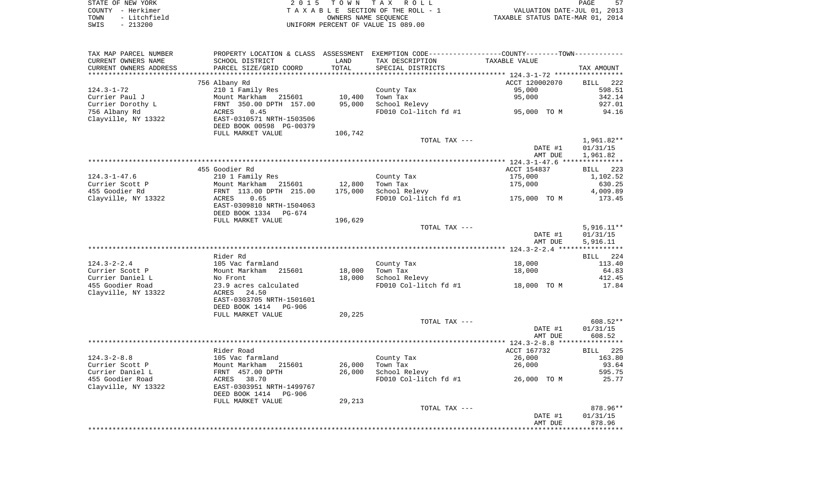| STATE OF NEW YORK    | 2015 TOWN TAX ROLL                 | PAGE                             |
|----------------------|------------------------------------|----------------------------------|
| COUNTY - Herkimer    | TAXABLE SECTION OF THE ROLL - 1    | VALUATION DATE-JUL 01, 2013      |
| - Litchfield<br>TOWN | OWNERS NAME SEOUENCE               | TAXABLE STATUS DATE-MAR 01, 2014 |
| $-213200$<br>SWIS    | UNIFORM PERCENT OF VALUE IS 089.00 |                                  |

| TAX MAP PARCEL NUMBER             |                                                       |                   | PROPERTY LOCATION & CLASS ASSESSMENT EXEMPTION CODE---------------COUNTY--------TOWN---------- |                |                          |
|-----------------------------------|-------------------------------------------------------|-------------------|------------------------------------------------------------------------------------------------|----------------|--------------------------|
| CURRENT OWNERS NAME               | SCHOOL DISTRICT                                       | LAND              | TAX DESCRIPTION                                                                                | TAXABLE VALUE  |                          |
| CURRENT OWNERS ADDRESS            | PARCEL SIZE/GRID COORD                                | TOTAL             | SPECIAL DISTRICTS                                                                              |                | TAX AMOUNT               |
|                                   |                                                       |                   |                                                                                                |                |                          |
|                                   | 756 Albany Rd                                         |                   |                                                                                                | ACCT 120002070 | BILL 222                 |
| 124.3-1-72                        | 210 1 Family Res                                      |                   | County Tax                                                                                     | 95,000         | 598.51                   |
| Currier Paul J                    | Mount Markham 215601                                  | 10,400            | Town Tax                                                                                       | 95,000         | 342.14                   |
| Currier Dorothy L                 |                                                       | 95,000            | School Relevy                                                                                  |                | 927.01                   |
| 756 Albany Rd                     | ACRES<br>0.45<br>EAST-0310571 NRTH-1503506            |                   | FD010 Col-litch fd #1 95,000 TO M                                                              |                | 94.16                    |
| Clayville, NY 13322               | DEED BOOK 00598 PG-00379                              |                   |                                                                                                |                |                          |
|                                   |                                                       |                   |                                                                                                |                |                          |
|                                   | FULL MARKET VALUE                                     | 106,742           |                                                                                                |                |                          |
|                                   |                                                       |                   | TOTAL TAX ---                                                                                  |                | 1,961.82**               |
|                                   |                                                       |                   |                                                                                                | DATE #1        | 01/31/15                 |
|                                   |                                                       |                   |                                                                                                | AMT DUE        | 1,961.82                 |
|                                   | 455 Goodier Rd                                        |                   |                                                                                                | ACCT 154837    |                          |
|                                   |                                                       |                   |                                                                                                | 175,000        | BILL 223<br>1,102.52     |
| $124.3 - 1 - 47.6$                | 210 1 Family Res                                      |                   | County Tax                                                                                     |                |                          |
| Currier Scott P<br>455 Goodier Rd | Mount Markham 215601<br>FRNT 113.00 DPTH 215.00       | 12,800<br>175,000 | Town Tax                                                                                       | 175,000        | 630.25                   |
|                                   | ACRES<br>0.65                                         |                   | School Relevy                                                                                  |                | 4,009.89<br>173.45       |
| Clayville, NY 13322               |                                                       |                   | FD010 Col-litch fd #1                                                                          | 175,000 TO M   |                          |
|                                   | EAST-0309810 NRTH-1504063<br>DEED BOOK 1334<br>PG-674 |                   |                                                                                                |                |                          |
|                                   |                                                       |                   |                                                                                                |                |                          |
|                                   | FULL MARKET VALUE                                     | 196,629           | TOTAL TAX ---                                                                                  |                |                          |
|                                   |                                                       |                   |                                                                                                | DATE #1        | $5,916.11**$<br>01/31/15 |
|                                   |                                                       |                   |                                                                                                | AMT DUE        | 5,916.11                 |
|                                   |                                                       |                   |                                                                                                |                |                          |
|                                   | Rider Rd                                              |                   |                                                                                                |                | BILL 224                 |
| $124.3 - 2 - 2.4$                 | 105 Vac farmland                                      |                   | County Tax                                                                                     | 18,000         | 113.40                   |
| Currier Scott P                   | Mount Markham 215601                                  | 18,000            | Town Tax                                                                                       | 18,000         | 64.83                    |
| Currier Daniel L                  | No Front                                              | 18,000            | School Relevy                                                                                  |                | 412.45                   |
| 455 Goodier Road                  | 23.9 acres calculated                                 |                   | FD010 Col-litch fd #1 18,000 TO M                                                              |                | 17.84                    |
| Clayville, NY 13322               | ACRES 24.50                                           |                   |                                                                                                |                |                          |
|                                   | EAST-0303705 NRTH-1501601                             |                   |                                                                                                |                |                          |
|                                   | DEED BOOK 1414 PG-906                                 |                   |                                                                                                |                |                          |
|                                   | FULL MARKET VALUE                                     | 20,225            |                                                                                                |                |                          |
|                                   |                                                       |                   | TOTAL TAX ---                                                                                  |                | 608.52**                 |
|                                   |                                                       |                   |                                                                                                | DATE #1        | 01/31/15                 |
|                                   |                                                       |                   |                                                                                                | AMT DUE        | 608.52                   |
|                                   |                                                       |                   |                                                                                                |                |                          |
|                                   | Rider Road                                            |                   |                                                                                                | ACCT 167732    | BILL 225                 |
| $124.3 - 2 - 8.8$                 | 105 Vac farmland                                      |                   | County Tax                                                                                     | 26,000         | 163.80                   |
| Currier Scott P                   |                                                       | 26,000            | Town Tax                                                                                       | 26,000         | 93.64                    |
| Currier Daniel L                  | Mount Markham 215601<br>FRNT 457.00 DPTH              | 26,000            | School Relevy                                                                                  |                | 595.75                   |
| 455 Goodier Road                  | ACRES 38.70                                           |                   | FD010 Col-litch fd #1                                                                          | 26,000 TO M    | 25.77                    |
| Clayville, NY 13322               | EAST-0303951 NRTH-1499767                             |                   |                                                                                                |                |                          |
|                                   | DEED BOOK 1414<br>PG-906                              |                   |                                                                                                |                |                          |
|                                   | FULL MARKET VALUE                                     | 29,213            |                                                                                                |                |                          |
|                                   |                                                       |                   | TOTAL TAX ---                                                                                  |                | 878.96**                 |
|                                   |                                                       |                   |                                                                                                | DATE #1        | 01/31/15                 |
|                                   |                                                       |                   |                                                                                                | AMT DUE        | 878.96                   |
|                                   |                                                       |                   |                                                                                                |                |                          |
|                                   |                                                       |                   |                                                                                                |                |                          |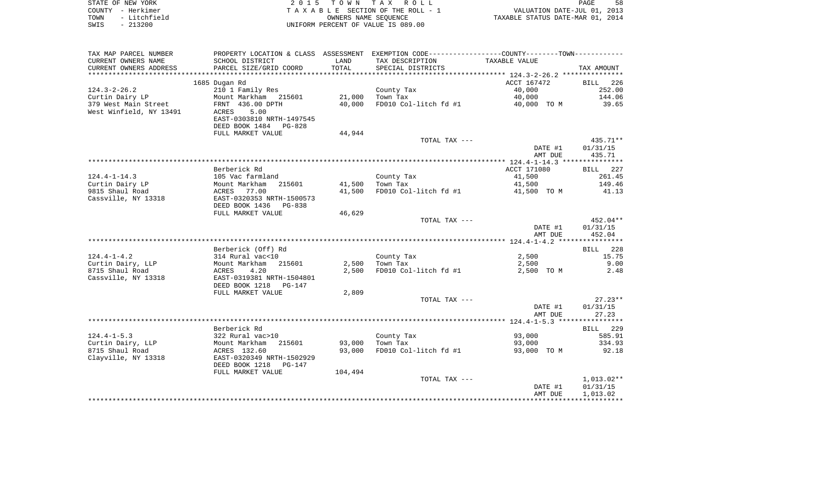| STATE OF NEW YORK    | 2015 TOWN TAX ROLL                 | 58<br>PAGE                       |
|----------------------|------------------------------------|----------------------------------|
| COUNTY - Herkimer    | TAXABLE SECTION OF THE ROLL - 1    | VALUATION DATE-JUL 01, 2013      |
| - Litchfield<br>TOWN | OWNERS NAME SEOUENCE               | TAXABLE STATUS DATE-MAR 01, 2014 |
| $-213200$<br>SWIS    | UNIFORM PERCENT OF VALUE IS 089.00 |                                  |

| TAX MAP PARCEL NUMBER   | PROPERTY LOCATION & CLASS ASSESSMENT EXEMPTION CODE---------------COUNTY-------TOWN---------- |         |                       |               |                    |
|-------------------------|-----------------------------------------------------------------------------------------------|---------|-----------------------|---------------|--------------------|
| CURRENT OWNERS NAME     | SCHOOL DISTRICT                                                                               | LAND    | TAX DESCRIPTION       | TAXABLE VALUE |                    |
| CURRENT OWNERS ADDRESS  | PARCEL SIZE/GRID COORD                                                                        | TOTAL   | SPECIAL DISTRICTS     |               | TAX AMOUNT         |
|                         |                                                                                               |         |                       |               |                    |
|                         | 1685 Dugan Rd                                                                                 |         |                       | ACCT 167472   | 226<br><b>BILL</b> |
| $124.3 - 2 - 26.2$      | 210 1 Family Res                                                                              |         | County Tax            | 40,000        | 252.00             |
| Curtin Dairy LP         | Mount Markham 215601                                                                          | 21,000  | Town Tax              | 40,000        | 144.06             |
| 379 West Main Street    | FRNT 436.00 DPTH                                                                              | 40,000  | FD010 Col-litch fd #1 | 40,000 TO M   | 39.65              |
| West Winfield, NY 13491 | 5.00<br>ACRES                                                                                 |         |                       |               |                    |
|                         | EAST-0303810 NRTH-1497545                                                                     |         |                       |               |                    |
|                         | DEED BOOK 1484 PG-828                                                                         |         |                       |               |                    |
|                         | FULL MARKET VALUE                                                                             | 44,944  |                       |               |                    |
|                         |                                                                                               |         | TOTAL TAX ---         |               | $435.71**$         |
|                         |                                                                                               |         |                       | DATE #1       | 01/31/15           |
|                         |                                                                                               |         |                       | AMT DUE       | 435.71             |
|                         |                                                                                               |         |                       |               |                    |
|                         | Berberick Rd                                                                                  |         |                       | ACCT 171080   | 227<br>BILL        |
| $124.4 - 1 - 14.3$      | 105 Vac farmland                                                                              |         | County Tax            | 41,500        | 261.45             |
| Curtin Dairy LP         | Mount Markham<br>215601                                                                       | 41,500  | Town Tax              | 41,500        | 149.46             |
| 9815 Shaul Road         | ACRES<br>77.00                                                                                | 41,500  | FD010 Col-litch fd #1 | 41,500 TO M   | 41.13              |
| Cassville, NY 13318     | EAST-0320353 NRTH-1500573                                                                     |         |                       |               |                    |
|                         | DEED BOOK 1436 PG-838                                                                         |         |                       |               |                    |
|                         | FULL MARKET VALUE                                                                             | 46,629  |                       |               |                    |
|                         |                                                                                               |         | TOTAL TAX ---         |               | 452.04**           |
|                         |                                                                                               |         |                       | DATE #1       | 01/31/15           |
|                         |                                                                                               |         |                       | AMT DUE       | 452.04             |
|                         |                                                                                               |         |                       |               |                    |
|                         | Berberick (Off) Rd                                                                            |         |                       |               | BILL 228           |
| $124.4 - 1 - 4.2$       | 314 Rural vac<10                                                                              |         | County Tax            | 2,500         | 15.75              |
| Curtin Dairy, LLP       | Mount Markham<br>215601                                                                       | 2,500   | Town Tax              | 2,500         | 9.00               |
| 8715 Shaul Road         | 4.20<br>ACRES                                                                                 | 2,500   | FD010 Col-litch fd #1 | 2,500 TO M    | 2.48               |
| Cassville, NY 13318     | EAST-0319381 NRTH-1504801                                                                     |         |                       |               |                    |
|                         | DEED BOOK 1218<br>PG-147                                                                      |         |                       |               |                    |
|                         | FULL MARKET VALUE                                                                             | 2,809   |                       |               |                    |
|                         |                                                                                               |         |                       |               | $27.23**$          |
|                         |                                                                                               |         | TOTAL TAX ---         |               |                    |
|                         |                                                                                               |         |                       | DATE #1       | 01/31/15           |
|                         |                                                                                               |         |                       | AMT DUE       | 27.23              |
|                         |                                                                                               |         |                       |               |                    |
|                         | Berberick Rd                                                                                  |         |                       |               | BILL 229           |
| $124.4 - 1 - 5.3$       | 322 Rural vac>10                                                                              |         | County Tax            | 93,000        | 585.91             |
| Curtin Dairy, LLP       | Mount Markham<br>215601                                                                       | 93,000  | Town Tax              | 93,000        | 334.93             |
| 8715 Shaul Road         | ACRES 132.60                                                                                  | 93,000  | FD010 Col-litch fd #1 | 93,000 TO M   | 92.18              |
| Clayville, NY 13318     | EAST-0320349 NRTH-1502929                                                                     |         |                       |               |                    |
|                         | DEED BOOK 1218<br><b>PG-147</b>                                                               |         |                       |               |                    |
|                         | FULL MARKET VALUE                                                                             | 104,494 |                       |               |                    |
|                         |                                                                                               |         | TOTAL TAX ---         |               | $1,013.02**$       |
|                         |                                                                                               |         |                       | DATE #1       | 01/31/15           |
|                         |                                                                                               |         |                       | AMT DUE       | 1,013.02           |
|                         |                                                                                               |         |                       |               |                    |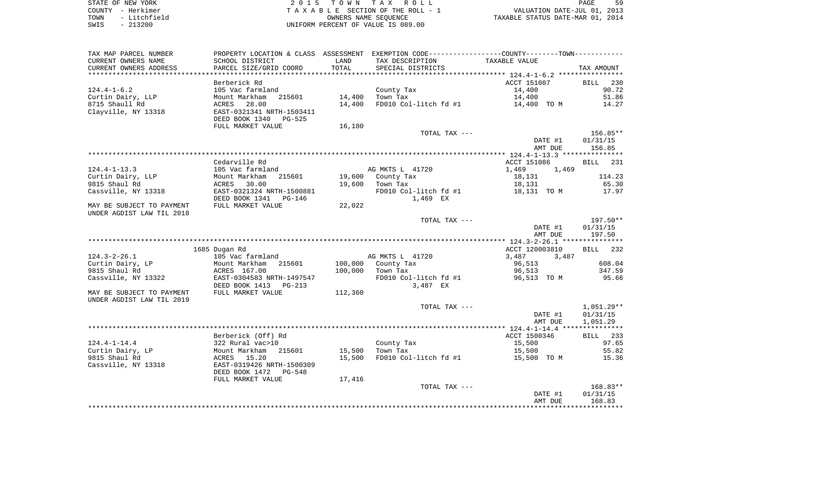|      | STATE OF NEW YORK | 2015 TOWN TAX ROLL                 | PAGE                             | -59 |
|------|-------------------|------------------------------------|----------------------------------|-----|
|      | COUNTY - Herkimer | TAXABLE SECTION OF THE ROLL - 1    | VALUATION DATE-JUL 01, 2013      |     |
| TOWN | - Litchfield      | OWNERS NAME SEOUENCE               | TAXABLE STATUS DATE-MAR 01, 2014 |     |
| SWIS | - 213200          | UNIFORM PERCENT OF VALUE IS 089.00 |                                  |     |

| TAX MAP PARCEL NUMBER     |                           |         | PROPERTY LOCATION & CLASS ASSESSMENT EXEMPTION CODE---------------COUNTY-------TOWN---------- |                |                    |
|---------------------------|---------------------------|---------|-----------------------------------------------------------------------------------------------|----------------|--------------------|
| CURRENT OWNERS NAME       | SCHOOL DISTRICT           | LAND    | TAX DESCRIPTION                                                                               | TAXABLE VALUE  |                    |
| CURRENT OWNERS ADDRESS    | PARCEL SIZE/GRID COORD    | TOTAL   | SPECIAL DISTRICTS                                                                             |                | TAX AMOUNT         |
|                           |                           |         |                                                                                               |                |                    |
|                           | Berberick Rd              |         |                                                                                               | ACCT 151087    | 230<br><b>BILL</b> |
| $124.4 - 1 - 6.2$         | 105 Vac farmland          |         | County Tax                                                                                    | 14,400         | 90.72              |
| Curtin Dairy, LLP         | Mount Markham<br>215601   | 14,400  | Town Tax                                                                                      | 14,400         | 51.86              |
| 8715 Shaull Rd            | ACRES 28.00               | 14,400  | FD010 Col-litch fd #1                                                                         | 14,400 TO M    | 14.27              |
| Clayville, NY 13318       | EAST-0321341 NRTH-1503411 |         |                                                                                               |                |                    |
|                           | DEED BOOK 1340 PG-525     |         |                                                                                               |                |                    |
|                           |                           |         |                                                                                               |                |                    |
|                           | FULL MARKET VALUE         | 16,180  |                                                                                               |                |                    |
|                           |                           |         | TOTAL TAX ---                                                                                 |                | 156.85**           |
|                           |                           |         |                                                                                               | DATE #1        | 01/31/15           |
|                           |                           |         |                                                                                               | AMT DUE        | 156.85             |
|                           |                           |         |                                                                                               |                |                    |
|                           | Cedarville Rd             |         |                                                                                               | ACCT 151086    | <b>BILL</b> 231    |
| $124.4 - 1 - 13.3$        | 105 Vac farmland          |         | AG MKTS L 41720                                                                               | 1,469<br>1,469 |                    |
| Curtin Dairy, LLP         | 215601<br>Mount Markham   |         | 19,600 County Tax                                                                             | 18,131         | 114.23             |
| 9815 Shaul Rd             | 30.00<br>ACRES            | 19,600  | Town Tax                                                                                      | 18,131         | 65.30              |
| Cassville, NY 13318       | EAST-0321324 NRTH-1500881 |         | FD010 Col-litch fd #1                                                                         | 18,131 TO M    | 17.97              |
|                           | DEED BOOK 1341<br>PG-146  |         | 1,469 EX                                                                                      |                |                    |
| MAY BE SUBJECT TO PAYMENT | FULL MARKET VALUE         | 22,022  |                                                                                               |                |                    |
| UNDER AGDIST LAW TIL 2018 |                           |         |                                                                                               |                |                    |
|                           |                           |         | TOTAL TAX ---                                                                                 |                | $197.50**$         |
|                           |                           |         |                                                                                               | DATE #1        | 01/31/15           |
|                           |                           |         |                                                                                               | AMT DUE        | 197.50             |
|                           |                           |         |                                                                                               |                |                    |
|                           | 1685 Dugan Rd             |         |                                                                                               | ACCT 120003810 | BILL 232           |
| $124.3 - 2 - 26.1$        | 105 Vac farmland          |         | AG MKTS L 41720                                                                               | 3,487<br>3,487 |                    |
| Curtin Dairy, LP          | Mount Markham<br>215601   |         | 100,000 County Tax                                                                            | 96,513         | 608.04             |
| 9815 Shaul Rd             | ACRES 167.00              | 100,000 | Town Tax                                                                                      | 96,513         | 347.59             |
| Cassville, NY 13322       | EAST-0304583 NRTH-1497547 |         | FD010 Col-litch fd #1                                                                         | 96,513 TO M    | 95.66              |
|                           | DEED BOOK 1413 PG-213     |         | 3,487 EX                                                                                      |                |                    |
| MAY BE SUBJECT TO PAYMENT | FULL MARKET VALUE         | 112,360 |                                                                                               |                |                    |
| UNDER AGDIST LAW TIL 2019 |                           |         |                                                                                               |                |                    |
|                           |                           |         | TOTAL TAX ---                                                                                 |                | $1,051.29**$       |
|                           |                           |         |                                                                                               | DATE #1        | 01/31/15           |
|                           |                           |         |                                                                                               | AMT DUE        | 1,051.29           |
|                           |                           |         |                                                                                               |                |                    |
|                           |                           |         |                                                                                               | ACCT 1500346   |                    |
|                           | Berberick (Off) Rd        |         |                                                                                               |                | BILL 233           |
| $124.4 - 1 - 14.4$        | 322 Rural vac>10          |         | County Tax                                                                                    | 15,500         | 97.65              |
| Curtin Dairy, LP          | 215601<br>Mount Markham   | 15,500  | Town Tax                                                                                      | 15,500         | 55.82              |
| 9815 Shaul Rd             | ACRES 15.20               | 15,500  | FD010 Col-litch fd #1                                                                         | 15,500 TO M    | 15.36              |
| Cassville, NY 13318       | EAST-0319426 NRTH-1500309 |         |                                                                                               |                |                    |
|                           | DEED BOOK 1472 PG-548     |         |                                                                                               |                |                    |
|                           | FULL MARKET VALUE         | 17,416  |                                                                                               |                |                    |
|                           |                           |         | TOTAL TAX ---                                                                                 |                | $168.83**$         |
|                           |                           |         |                                                                                               | DATE #1        | 01/31/15           |
|                           |                           |         |                                                                                               | AMT DUE        | 168.83             |
|                           |                           |         |                                                                                               |                |                    |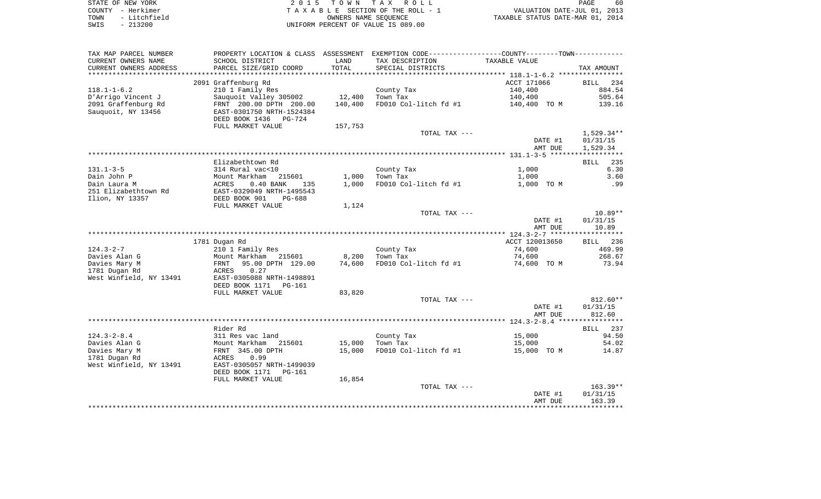| STATE OF NEW YORK    | 2015 TOWN TAX ROLL                 | 60<br>PAGE                       |
|----------------------|------------------------------------|----------------------------------|
| – Herkimer<br>COUNTY | TAXABLE SECTION OF THE ROLL - 1    | VALUATION DATE-JUL 01, 2013      |
| - Litchfield<br>TOWN | OWNERS NAME SEOUENCE               | TAXABLE STATUS DATE-MAR 01, 2014 |
| $-213200$<br>SWIS    | UNIFORM PERCENT OF VALUE IS 089.00 |                                  |

|                                                    |                                 |         |                                                                                                | AMT DUE        | 163.39             |
|----------------------------------------------------|---------------------------------|---------|------------------------------------------------------------------------------------------------|----------------|--------------------|
|                                                    |                                 |         |                                                                                                | DATE #1        | 01/31/15           |
|                                                    |                                 |         | TOTAL TAX ---                                                                                  |                | $163.39**$         |
|                                                    | FULL MARKET VALUE               | 16,854  |                                                                                                |                |                    |
|                                                    | DEED BOOK 1171<br>PG-161        |         |                                                                                                |                |                    |
| West Winfield, NY 13491                            | EAST-0305057 NRTH-1499039       |         |                                                                                                |                |                    |
| 1781 Dugan Rd                                      | 0.99<br>ACRES                   |         |                                                                                                |                |                    |
| Davies Mary M                                      | FRNT 345.00 DPTH                | 15,000  | FD010 Col-litch fd #1                                                                          | 15,000 TO M    | 14.87              |
| Davies Alan G                                      | Mount Markham<br>215601         | 15,000  | Town Tax                                                                                       | 15,000         | 54.02              |
| $124.3 - 2 - 8.4$                                  | 311 Res vac land                |         | County Tax                                                                                     | 15,000         | 94.50              |
|                                                    | Rider Rd                        |         |                                                                                                |                | BILL 237           |
|                                                    |                                 |         |                                                                                                |                |                    |
|                                                    |                                 |         |                                                                                                | AMT DUE        | 812.60             |
|                                                    |                                 |         |                                                                                                | DATE #1        | 01/31/15           |
|                                                    |                                 |         | TOTAL TAX ---                                                                                  |                | 812.60**           |
|                                                    | FULL MARKET VALUE               | 83,820  |                                                                                                |                |                    |
|                                                    | DEED BOOK 1171<br><b>PG-161</b> |         |                                                                                                |                |                    |
| West Winfield, NY 13491                            | EAST-0305088 NRTH-1498891       |         |                                                                                                |                |                    |
| 1781 Dugan Rd                                      | ACRES<br>0.27                   |         |                                                                                                |                |                    |
| Davies Mary M                                      | FRNT<br>95.00 DPTH 129.00       | 74,600  | FD010 Col-litch fd #1                                                                          | 74,600 TO M    | 73.94              |
| Davies Alan G                                      | Mount Markham 215601            | 8,200   | Town Tax                                                                                       | 74,600         | 268.67             |
| $124.3 - 2 - 7$                                    | 210 1 Family Res                |         | County Tax                                                                                     | 74,600         | 469.99             |
|                                                    | 1781 Dugan Rd                   |         |                                                                                                | ACCT 120013650 | BILL 236           |
|                                                    |                                 |         |                                                                                                |                |                    |
|                                                    |                                 |         |                                                                                                | AMT DUE        | 10.89              |
|                                                    |                                 |         |                                                                                                | DATE #1        | 01/31/15           |
|                                                    |                                 |         | TOTAL TAX ---                                                                                  |                | $10.89**$          |
|                                                    | FULL MARKET VALUE               | 1,124   |                                                                                                |                |                    |
| Ilion, NY 13357                                    | DEED BOOK 901<br>$PG-688$       |         |                                                                                                |                |                    |
| 251 Elizabethtown Rd                               | EAST-0329049 NRTH-1495543       |         |                                                                                                |                |                    |
| Dain Laura M                                       | ACRES<br>$0.40$ BANK<br>135     | 1,000   | FD010 Col-litch fd #1                                                                          | 1,000 TO M     | .99                |
| Dain John P                                        | Mount Markham<br>215601         | 1,000   | Town Tax                                                                                       | 1,000          | 3.60               |
| $131.1 - 3 - 5$                                    | 314 Rural vac<10                |         | County Tax                                                                                     | 1,000          | 6.30               |
|                                                    | Elizabethtown Rd                |         |                                                                                                |                | BILL<br>235        |
|                                                    |                                 |         |                                                                                                |                |                    |
|                                                    |                                 |         |                                                                                                | AMT DUE        | 1,529.34           |
|                                                    |                                 |         |                                                                                                | DATE #1        | 01/31/15           |
|                                                    |                                 |         | TOTAL TAX ---                                                                                  |                | 1,529.34**         |
|                                                    | FULL MARKET VALUE               | 157,753 |                                                                                                |                |                    |
|                                                    | DEED BOOK 1436<br>$PG-724$      |         |                                                                                                |                |                    |
| Sauquoit, NY 13456                                 | EAST-0301750 NRTH-1524384       |         |                                                                                                |                |                    |
| 2091 Graffenburg Rd                                | FRNT 200.00 DPTH 200.00         | 140,400 | FD010 Col-litch fd #1                                                                          | 140,400 TO M   | 139.16             |
| D'Arrigo Vincent J                                 | Sauquoit Valley 305002          | 12,400  | Town Tax                                                                                       | 140,400        | 505.64             |
| $118.1 - 1 - 6.2$                                  | 210 1 Family Res                |         | County Tax                                                                                     | 140,400        | 884.54             |
|                                                    | 2091 Graffenburg Rd             |         |                                                                                                | ACCT 171066    | <b>BILL</b><br>234 |
|                                                    |                                 |         |                                                                                                |                |                    |
| CURRENT OWNERS ADDRESS<br>************************ | PARCEL SIZE/GRID COORD          | TOTAL   | SPECIAL DISTRICTS                                                                              |                | TAX AMOUNT         |
| CURRENT OWNERS NAME                                | SCHOOL DISTRICT                 | LAND    | TAX DESCRIPTION                                                                                | TAXABLE VALUE  |                    |
| TAX MAP PARCEL NUMBER                              |                                 |         | PROPERTY LOCATION & CLASS ASSESSMENT EXEMPTION CODE---------------COUNTY--------TOWN---------- |                |                    |
|                                                    |                                 |         |                                                                                                |                |                    |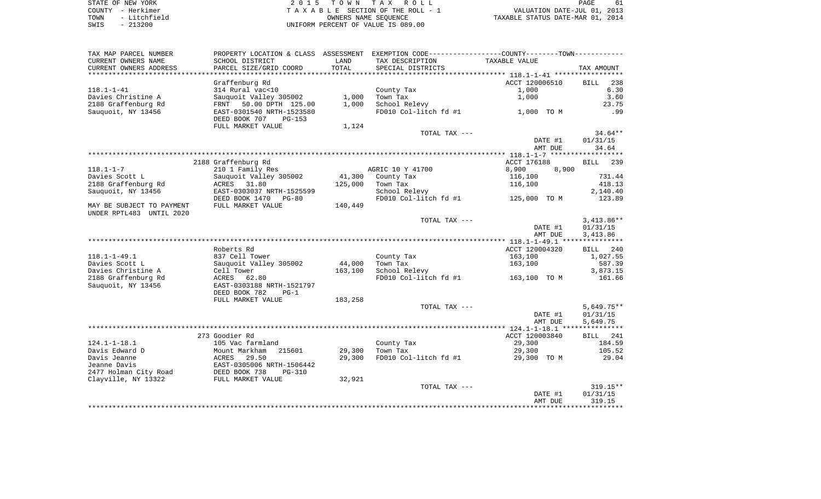| STATE OF NEW YORK |              |
|-------------------|--------------|
| COUNTY - Herkimer |              |
| TOWN              | - Litchfield |
| SWIS              | $-213200$    |

 $S$  2 0 1 5 T O W N T A X R O L L PAGE 61 A V PAGE TA X A B L E SECTION OF THE ROLL - 1 UNIFORM PERCENT OF VALUE IS 089.00

61 TO A CONSERVED OF THE ROLL - 1 WALUATION DATE-JUL 01, 2013<br>
OWNERS NAME SEQUENCE TAXABLE STATUS DATE-MAR 01, 2014

| TAX MAP PARCEL NUMBER     | PROPERTY LOCATION & CLASS ASSESSMENT EXEMPTION CODE-----------------COUNTY--------TOWN----------- |         |                       |                |                    |
|---------------------------|---------------------------------------------------------------------------------------------------|---------|-----------------------|----------------|--------------------|
| CURRENT OWNERS NAME       | SCHOOL DISTRICT                                                                                   | LAND    | TAX DESCRIPTION       | TAXABLE VALUE  |                    |
| CURRENT OWNERS ADDRESS    | PARCEL SIZE/GRID COORD                                                                            | TOTAL   | SPECIAL DISTRICTS     |                | TAX AMOUNT         |
| ****************          |                                                                                                   |         |                       |                |                    |
|                           | Graffenburg Rd                                                                                    |         |                       | ACCT 120006510 | BILL 238           |
| $118.1 - 1 - 41$          | 314 Rural vac<10                                                                                  |         | County Tax            | 1,000          | 6.30               |
| Davies Christine A        | Sauguoit Valley 305002                                                                            | 1,000   | Town Tax              | 1,000          | 3.60               |
| 2188 Graffenburg Rd       | FRNT 50.00 DPTH 125.00                                                                            | 1,000   | School Relevy         |                | 23.75              |
| Sauguoit, NY 13456        | EAST-0301540 NRTH-1523580                                                                         |         | FD010 Col-litch fd #1 | 1,000 TO M     | .99                |
|                           | DEED BOOK 707<br>PG-153                                                                           |         |                       |                |                    |
|                           |                                                                                                   |         |                       |                |                    |
|                           | FULL MARKET VALUE                                                                                 | 1,124   |                       |                |                    |
|                           |                                                                                                   |         | TOTAL TAX ---         |                | $34.64**$          |
|                           |                                                                                                   |         |                       | DATE #1        | 01/31/15           |
|                           |                                                                                                   |         |                       | AMT DUE        | 34.64              |
|                           |                                                                                                   |         |                       |                |                    |
|                           | 2188 Graffenburg Rd                                                                               |         |                       | ACCT 176188    | 239<br><b>BILL</b> |
| $118.1 - 1 - 7$           | 210 1 Family Res                                                                                  |         | AGRIC 10 Y 41700      | 8,900<br>8,900 |                    |
| Davies Scott L            | Sauquoit Valley 305002                                                                            |         | 41,300 County Tax     | 116,100        | 731.44             |
| 2188 Graffenburg Rd       | ACRES 31.80                                                                                       | 125,000 | Town Tax              | 116,100        | 418.13             |
| Sauquoit, NY 13456        | EAST-0303037 NRTH-1525599                                                                         |         | School Relevy         |                | 2,140.40           |
|                           | DEED BOOK 1470 PG-80                                                                              |         | FD010 Col-litch fd #1 | 125,000 TO M   | 123.89             |
| MAY BE SUBJECT TO PAYMENT | FULL MARKET VALUE                                                                                 | 140,449 |                       |                |                    |
| UNDER RPTL483 UNTIL 2020  |                                                                                                   |         |                       |                |                    |
|                           |                                                                                                   |         | TOTAL TAX ---         |                | $3,413.86**$       |
|                           |                                                                                                   |         |                       | DATE #1        | 01/31/15           |
|                           |                                                                                                   |         |                       | AMT DUE        | 3,413.86           |
|                           |                                                                                                   |         |                       |                |                    |
|                           | Roberts Rd                                                                                        |         |                       | ACCT 120004320 | BILL 240           |
| $118.1 - 1 - 49.1$        | 837 Cell Tower                                                                                    |         | County Tax            | 163,100        | 1,027.55           |
| Davies Scott L            | Sauquoit Valley 305002                                                                            | 44,000  | Town Tax              | 163,100        | 587.39             |
| Davies Christine A        | Cell Tower                                                                                        | 163,100 | School Relevy         |                | 3,873.15           |
| 2188 Graffenburg Rd       | ACRES 62.80                                                                                       |         | FD010 Col-litch fd #1 | 163,100 TO M   | 161.66             |
| Sauquoit, NY 13456        | EAST-0303188 NRTH-1521797                                                                         |         |                       |                |                    |
|                           | DEED BOOK 782<br>$PG-1$                                                                           |         |                       |                |                    |
|                           |                                                                                                   |         |                       |                |                    |
|                           | FULL MARKET VALUE                                                                                 | 183,258 |                       |                | $5,649.75**$       |
|                           |                                                                                                   |         | TOTAL TAX ---         |                |                    |
|                           |                                                                                                   |         |                       | DATE #1        | 01/31/15           |
|                           |                                                                                                   |         |                       | AMT DUE        | 5,649.75           |
|                           |                                                                                                   |         |                       |                |                    |
|                           | 273 Goodier Rd                                                                                    |         |                       | ACCT 120003840 | BILL 241           |
| $124.1 - 1 - 18.1$        | 105 Vac farmland                                                                                  |         | County Tax            | 29,300         | 184.59             |
| Davis Edward D            | 215601<br>Mount Markham                                                                           | 29,300  | Town Tax              | 29,300         | 105.52             |
| Davis Jeanne              | 29.50<br>ACRES                                                                                    | 29,300  | FD010 Col-litch fd #1 | 29,300 TO M    | 29.04              |
| Jeanne Davis              | EAST-0305006 NRTH-1506442                                                                         |         |                       |                |                    |
| 2477 Holman City Road     | DEED BOOK 738<br><b>PG-310</b>                                                                    |         |                       |                |                    |
| Clayville, NY 13322       | FULL MARKET VALUE                                                                                 | 32,921  |                       |                |                    |
|                           |                                                                                                   |         | TOTAL TAX ---         |                | 319.15**           |
|                           |                                                                                                   |         |                       | DATE #1        | 01/31/15           |
|                           |                                                                                                   |         |                       | AMT DUE        | 319.15             |
|                           |                                                                                                   |         |                       |                |                    |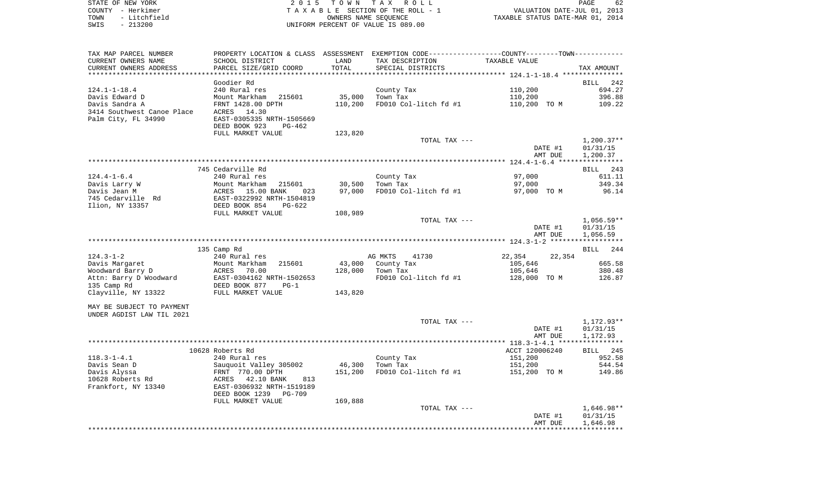| STATE OF NEW YORK    | 2015 TOWN TAX ROLL                 | 62<br>PAGE                       |
|----------------------|------------------------------------|----------------------------------|
| COUNTY - Herkimer    | TAXABLE SECTION OF THE ROLL - 1    | VALUATION DATE-JUL 01, 2013      |
| - Litchfield<br>TOWN | OWNERS NAME SEOUENCE               | TAXABLE STATUS DATE-MAR 01, 2014 |
| - 213200<br>SWIS     | UNIFORM PERCENT OF VALUE IS 089.00 |                                  |

| TAX MAP PARCEL NUMBER      | PROPERTY LOCATION & CLASS ASSESSMENT EXEMPTION CODE----------------COUNTY-------TOWN---------     |         |                       |                  |              |
|----------------------------|---------------------------------------------------------------------------------------------------|---------|-----------------------|------------------|--------------|
| CURRENT OWNERS NAME        | SCHOOL DISTRICT                                                                                   | LAND    | TAX DESCRIPTION       | TAXABLE VALUE    |              |
| CURRENT OWNERS ADDRESS     | PARCEL SIZE/GRID COORD                                                                            | TOTAL   | SPECIAL DISTRICTS     |                  | TAX AMOUNT   |
|                            |                                                                                                   |         |                       |                  |              |
|                            | Goodier Rd                                                                                        |         |                       |                  | BILL 242     |
| $124.1 - 1 - 18.4$         | 240 Rural res                                                                                     |         | County Tax            | 110,200          | 694.27       |
| Davis Edward D             | Mount Markham<br>215601                                                                           | 35,000  | Town Tax              | 110,200          | 396.88       |
| Davis Sandra A             | FRNT 1428.00 DPTH                                                                                 | 110,200 | FD010 Col-litch fd #1 | 110,200 TO M     | 109.22       |
| 3414 Southwest Canoe Place | ACRES 14.30                                                                                       |         |                       |                  |              |
| Palm City, FL 34990        | EAST-0305335 NRTH-1505669                                                                         |         |                       |                  |              |
|                            | DEED BOOK 923<br>$PG-462$                                                                         |         |                       |                  |              |
|                            | FULL MARKET VALUE                                                                                 | 123,820 |                       |                  |              |
|                            |                                                                                                   |         |                       |                  |              |
|                            |                                                                                                   |         | TOTAL TAX ---         |                  | $1,200.37**$ |
|                            |                                                                                                   |         |                       | DATE #1          | 01/31/15     |
|                            |                                                                                                   |         |                       | AMT DUE          | 1,200.37     |
|                            |                                                                                                   |         |                       |                  |              |
|                            | 745 Cedarville Rd                                                                                 |         |                       |                  | BILL 243     |
| $124.4 - 1 - 6.4$          | 240 Rural res                                                                                     |         | County Tax            | 97,000           | 611.11       |
| Davis Larry W              | Mount Markham 215601<br>ACRES 15.00 BANK 023<br>EAST-0322992 NRTH-1504819<br>DEED BOOK 854 PG-622 | 30,500  | Town Tax              | 97,000           | 349.34       |
| Davis Jean M               |                                                                                                   | 97,000  | FD010 Col-litch fd #1 | 97,000 TO M      | 96.14        |
| 745 Cedarville Rd          |                                                                                                   |         |                       |                  |              |
| Ilion, NY 13357            |                                                                                                   |         |                       |                  |              |
|                            | FULL MARKET VALUE                                                                                 | 108,989 |                       |                  |              |
|                            |                                                                                                   |         | TOTAL TAX ---         |                  | $1,056.59**$ |
|                            |                                                                                                   |         |                       | DATE #1          | 01/31/15     |
|                            |                                                                                                   |         |                       | AMT DUE          | 1,056.59     |
|                            |                                                                                                   |         |                       |                  |              |
|                            | 135 Camp Rd                                                                                       |         |                       |                  | BILL 244     |
| $124.3 - 1 - 2$            | 240 Rural res                                                                                     |         | AG MKTS<br>41730      | 22,354<br>22,354 |              |
| Davis Margaret             | Mount Markham<br>215601                                                                           | 43,000  | County Tax            | 105,646          | 665.58       |
| Woodward Barry D           | ACRES<br>70.00                                                                                    | 128,000 | Town Tax              | 105,646          | 380.48       |
| Attn: Barry D Woodward     | EAST-0304162 NRTH-1502653                                                                         |         | FD010 Col-litch fd #1 | 128,000 TO M     | 126.87       |
| 135 Camp Rd                | DEED BOOK 877<br>$PG-1$                                                                           |         |                       |                  |              |
| Clayville, NY 13322        | FULL MARKET VALUE                                                                                 | 143,820 |                       |                  |              |
|                            |                                                                                                   |         |                       |                  |              |
| MAY BE SUBJECT TO PAYMENT  |                                                                                                   |         |                       |                  |              |
| UNDER AGDIST LAW TIL 2021  |                                                                                                   |         |                       |                  |              |
|                            |                                                                                                   |         | TOTAL TAX ---         |                  | 1,172.93**   |
|                            |                                                                                                   |         |                       |                  |              |
|                            |                                                                                                   |         |                       | DATE #1          | 01/31/15     |
|                            |                                                                                                   |         |                       | AMT DUE          | 1,172.93     |
|                            |                                                                                                   |         |                       |                  |              |
|                            | 10628 Roberts Rd                                                                                  |         |                       | ACCT 120006240   | BILL 245     |
| $118.3 - 1 - 4.1$          | 240 Rural res                                                                                     |         | County Tax            | 151,200          | 952.58       |
| Davis Sean D               | Sauquoit Valley 305002                                                                            | 46,300  | Town Tax              | 151,200          | 544.54       |
| Davis Alyssa               | FRNT 770.00 DPTH                                                                                  | 151,200 | FD010 Col-litch fd #1 | 151,200 TO M     | 149.86       |
| 10628 Roberts Rd           | ACRES<br>42.10 BANK<br>813                                                                        |         |                       |                  |              |
| Frankfort, NY 13340        | EAST-0306932 NRTH-1519189                                                                         |         |                       |                  |              |
|                            | DEED BOOK 1239<br>PG-709                                                                          |         |                       |                  |              |
|                            | FULL MARKET VALUE                                                                                 | 169,888 |                       |                  |              |
|                            |                                                                                                   |         | TOTAL TAX ---         |                  | $1,646.98**$ |
|                            |                                                                                                   |         |                       | DATE #1          | 01/31/15     |
|                            |                                                                                                   |         |                       | AMT DUE          | 1,646.98     |
|                            |                                                                                                   |         |                       |                  |              |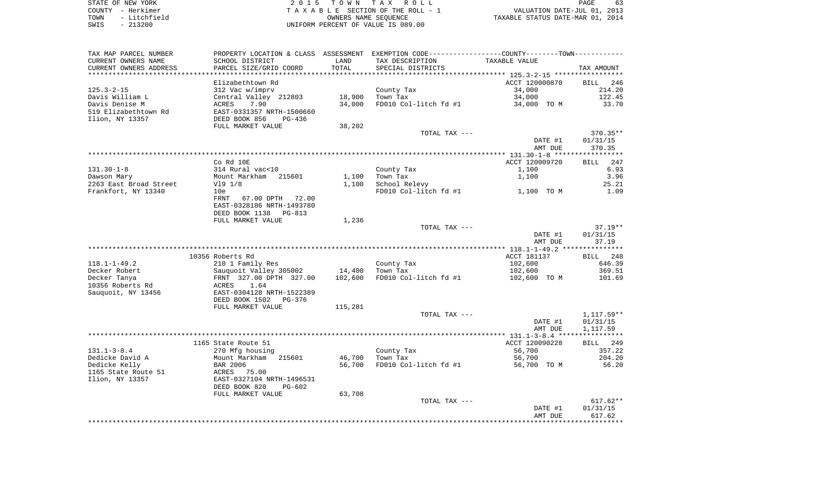| STATE OF NEW YORK |           |              |  |
|-------------------|-----------|--------------|--|
| COUNTY - Herkimer |           |              |  |
| TOWN              |           | - Litchfield |  |
| SMTS              | $-213200$ |              |  |

2015 TOWN TAX ROLL TA X A B L E SECTION OF THE ROLL - 1 TO CONSERVE THE ROLL - 1 VALUATION DATE-JUL 01, 2013<br>
OWNERS NAME SEQUENCE TAXABLE STATUS DATE-MAR 01, 2014 SWIS - 213200 UNIFORM PERCENT OF VALUE IS 089.00

PAGE 63

| TAX MAP PARCEL NUMBER  | PROPERTY LOCATION & CLASS ASSESSMENT EXEMPTION CODE----------------COUNTY--------TOWN-------- |         |                       |                |              |
|------------------------|-----------------------------------------------------------------------------------------------|---------|-----------------------|----------------|--------------|
| CURRENT OWNERS NAME    | SCHOOL DISTRICT                                                                               | LAND    | TAX DESCRIPTION       | TAXABLE VALUE  |              |
| CURRENT OWNERS ADDRESS | PARCEL SIZE/GRID COORD                                                                        | TOTAL   | SPECIAL DISTRICTS     |                | TAX AMOUNT   |
|                        |                                                                                               |         |                       |                |              |
|                        | Elizabethtown Rd                                                                              |         |                       | ACCT 120000870 | BILL 246     |
| $125.3 - 2 - 15$       | 312 Vac w/imprv                                                                               |         | County Tax            | 34,000         | 214.20       |
| Davis William L        | Central Valley 212803                                                                         | 18,900  | Town Tax              | 34,000         | 122.45       |
| Davis Denise M         | 7.90<br>ACRES                                                                                 | 34,000  | FD010 Col-litch fd #1 | 34,000 TO M    | 33.70        |
| 519 Elizabethtown Rd   | EAST-0331357 NRTH-1500660                                                                     |         |                       |                |              |
| Ilion, NY 13357        | DEED BOOK 856<br>PG-436                                                                       |         |                       |                |              |
|                        |                                                                                               |         |                       |                |              |
|                        | FULL MARKET VALUE                                                                             | 38,202  |                       |                |              |
|                        |                                                                                               |         | TOTAL TAX ---         |                | 370.35**     |
|                        |                                                                                               |         |                       | DATE #1        | 01/31/15     |
|                        |                                                                                               |         |                       | AMT DUE        | 370.35       |
|                        |                                                                                               |         |                       |                |              |
|                        | Co Rd 10E                                                                                     |         |                       | ACCT 120009720 | BILL 247     |
| $131.30 - 1 - 8$       | 314 Rural vac<10                                                                              |         | County Tax            | 1,100          | 6.93         |
| Dawson Mary            | Mount Markham<br>215601                                                                       | 1,100   | Town Tax              | 1,100          | 3.96         |
| 2263 East Broad Street | V19 1/8                                                                                       | 1,100   | School Relevy         |                | 25.21        |
| Frankfort, NY 13340    | 10e                                                                                           |         | FD010 Col-litch fd #1 | 1,100 TO M     | 1.09         |
|                        | <b>FRNT</b><br>67.00 DPTH 72.00                                                               |         |                       |                |              |
|                        |                                                                                               |         |                       |                |              |
|                        | EAST-0328186 NRTH-1493780                                                                     |         |                       |                |              |
|                        | DEED BOOK 1138 PG-813                                                                         |         |                       |                |              |
|                        | FULL MARKET VALUE                                                                             | 1,236   |                       |                |              |
|                        |                                                                                               |         | TOTAL TAX ---         |                | $37.19**$    |
|                        |                                                                                               |         |                       | DATE #1        | 01/31/15     |
|                        |                                                                                               |         |                       | AMT DUE        | 37.19        |
|                        |                                                                                               |         |                       |                |              |
|                        | 10356 Roberts Rd                                                                              |         |                       | ACCT 181137    | BILL 248     |
| $118.1 - 1 - 49.2$     | 210 1 Family Res                                                                              |         | County Tax            | 102,600        | 646.39       |
| Decker Robert          | Sauguoit Valley 305002                                                                        | 14,400  | Town Tax              | 102,600        | 369.51       |
| Decker Tanya           | FRNT 327.00 DPTH 327.00                                                                       | 102,600 | FD010 Col-litch fd #1 | 102,600 TO M   | 101.69       |
| 10356 Roberts Rd       | <b>ACRES</b><br>1.64                                                                          |         |                       |                |              |
|                        |                                                                                               |         |                       |                |              |
| Sauquoit, NY 13456     | EAST-0304128 NRTH-1522389                                                                     |         |                       |                |              |
|                        | DEED BOOK 1502<br>PG-376                                                                      |         |                       |                |              |
|                        | FULL MARKET VALUE                                                                             | 115,281 |                       |                |              |
|                        |                                                                                               |         | TOTAL TAX ---         |                | $1,117.59**$ |
|                        |                                                                                               |         |                       | DATE #1        | 01/31/15     |
|                        |                                                                                               |         |                       | AMT DUE        | 1,117.59     |
|                        |                                                                                               |         |                       |                |              |
|                        | 1165 State Route 51                                                                           |         |                       | ACCT 120090228 | BILL 249     |
| $131.1 - 3 - 8.4$      | 270 Mfg housing                                                                               |         | County Tax            | 56,700         | 357.22       |
| Dedicke David A        | Mount Markham<br>215601                                                                       | 46,700  | Town Tax              | 56,700         | 204.20       |
| Dedicke Kelly          | <b>BAR 2006</b>                                                                               | 56,700  | FD010 Col-litch fd #1 | 56,700 TO M    | 56.20        |
| 1165 State Route 51    | ACRES<br>75.00                                                                                |         |                       |                |              |
|                        |                                                                                               |         |                       |                |              |
| Ilion, NY 13357        | EAST-0327104 NRTH-1496531                                                                     |         |                       |                |              |
|                        | DEED BOOK 820<br>PG-602                                                                       |         |                       |                |              |
|                        | FULL MARKET VALUE                                                                             | 63,708  |                       |                |              |
|                        |                                                                                               |         | TOTAL TAX ---         |                | $617.62**$   |
|                        |                                                                                               |         |                       | DATE #1        | 01/31/15     |
|                        |                                                                                               |         |                       | AMT DUE        | 617.62       |
|                        |                                                                                               |         |                       |                | *********    |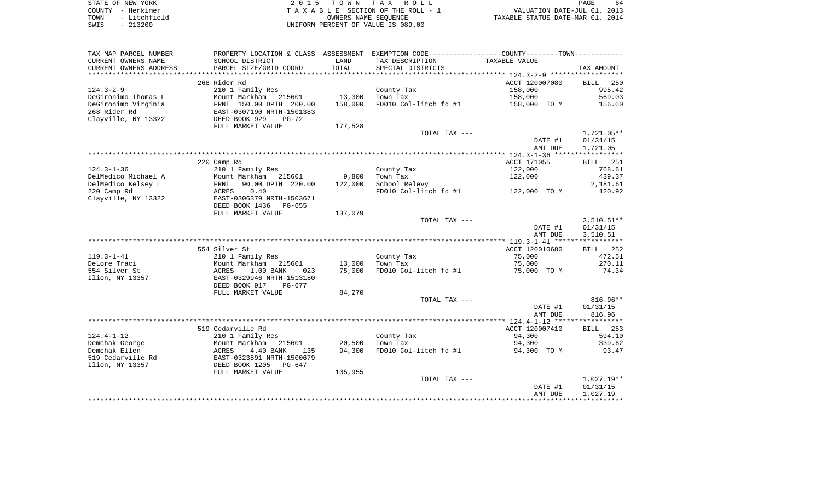| STATE OF NEW YORK |  |              |  |
|-------------------|--|--------------|--|
| COUNTY            |  | - Herkimer   |  |
| TOWN              |  | - Litchfield |  |
| SWIS              |  | $-213200$    |  |

2015 TOWN TAX ROLL TA X A B L E SECTION OF THE ROLL - 1 TOWN - Litchfield OWNERS NAME SEQUENCE TAXABLE STATUS DATE-MAR 01, 2014 SWIS - 213200 UNIFORM PERCENT OF VALUE IS 089.00

| CURRENT OWNERS NAME<br>SCHOOL DISTRICT<br>LAND<br>TAX DESCRIPTION<br>TAXABLE VALUE<br>TOTAL<br>CURRENT OWNERS ADDRESS<br>PARCEL SIZE/GRID COORD<br>SPECIAL DISTRICTS<br>268 Rider Rd<br>ACCT 120007080<br>$124.3 - 2 - 9$<br>210 1 Family Res<br>County Tax<br>158,000<br>DeGironimo Thomas L<br>Mount Markham<br>13,300<br>Town Tax<br>158,000<br>215601<br>FD010 Col-litch fd #1<br>DeGironimo Virginia<br>FRNT 150.00 DPTH 200.00<br>158,000<br>158,000 TO M<br>268 Rider Rd<br>EAST-0307190 NRTH-1501383<br>Clayville, NY 13322<br>DEED BOOK 929<br>PG-72<br>FULL MARKET VALUE<br>177,528<br>TOTAL TAX ---<br>DATE #1<br>AMT DUE<br>220 Camp Rd<br>ACCT 171055<br>$124.3 - 1 - 36$<br>122,000<br>210 1 Family Res<br>County Tax<br>DelMedico Michael A<br>9,800<br>Town Tax<br>122,000<br>Mount Markham<br>215601<br>DelMedico Kelsey L<br>90.00 DPTH 220.00<br>School Relevy<br>122,000<br>FRNT<br>220 Camp Rd<br>ACRES<br>0.40<br>FD010 Col-litch fd #1<br>122,000 TO M<br>Clayville, NY 13322<br>EAST-0306379 NRTH-1503671<br>DEED BOOK 1436 PG-655<br>137,079<br>FULL MARKET VALUE<br>TOTAL TAX ---<br>DATE #1<br>AMT DUE<br>554 Silver St<br>ACCT 120010680<br>$119.3 - 1 - 41$<br>County Tax<br>75,000<br>210 1 Family Res<br>DeLore Traci<br>Mount Markham<br>215601<br>13,000<br>Town Tax<br>75,000<br>554 Silver St<br>1.00 BANK<br>75,000<br>FD010 Col-litch fd #1<br>75,000 TO M<br>ACRES<br>023<br>Ilion, NY 13357<br>EAST-0329946 NRTH-1513180<br>DEED BOOK 917<br>PG-677<br>FULL MARKET VALUE<br>84,270<br>TOTAL TAX ---<br>DATE #1<br>AMT DUE<br>519 Cedarville Rd<br>ACCT 120007410<br>$124.4 - 1 - 12$<br>210 1 Family Res<br>County Tax<br>94,300 | TAX MAP PARCEL NUMBER | PROPERTY LOCATION & CLASS ASSESSMENT EXEMPTION CODE-----------------COUNTY--------TOWN----------- |  |                    |
|-------------------------------------------------------------------------------------------------------------------------------------------------------------------------------------------------------------------------------------------------------------------------------------------------------------------------------------------------------------------------------------------------------------------------------------------------------------------------------------------------------------------------------------------------------------------------------------------------------------------------------------------------------------------------------------------------------------------------------------------------------------------------------------------------------------------------------------------------------------------------------------------------------------------------------------------------------------------------------------------------------------------------------------------------------------------------------------------------------------------------------------------------------------------------------------------------------------------------------------------------------------------------------------------------------------------------------------------------------------------------------------------------------------------------------------------------------------------------------------------------------------------------------------------------------------------------------------------------------------------------------------------------------------------------|-----------------------|---------------------------------------------------------------------------------------------------|--|--------------------|
|                                                                                                                                                                                                                                                                                                                                                                                                                                                                                                                                                                                                                                                                                                                                                                                                                                                                                                                                                                                                                                                                                                                                                                                                                                                                                                                                                                                                                                                                                                                                                                                                                                                                         |                       |                                                                                                   |  |                    |
|                                                                                                                                                                                                                                                                                                                                                                                                                                                                                                                                                                                                                                                                                                                                                                                                                                                                                                                                                                                                                                                                                                                                                                                                                                                                                                                                                                                                                                                                                                                                                                                                                                                                         |                       |                                                                                                   |  | TAX AMOUNT         |
|                                                                                                                                                                                                                                                                                                                                                                                                                                                                                                                                                                                                                                                                                                                                                                                                                                                                                                                                                                                                                                                                                                                                                                                                                                                                                                                                                                                                                                                                                                                                                                                                                                                                         |                       |                                                                                                   |  |                    |
|                                                                                                                                                                                                                                                                                                                                                                                                                                                                                                                                                                                                                                                                                                                                                                                                                                                                                                                                                                                                                                                                                                                                                                                                                                                                                                                                                                                                                                                                                                                                                                                                                                                                         |                       |                                                                                                   |  | BILL 250           |
|                                                                                                                                                                                                                                                                                                                                                                                                                                                                                                                                                                                                                                                                                                                                                                                                                                                                                                                                                                                                                                                                                                                                                                                                                                                                                                                                                                                                                                                                                                                                                                                                                                                                         |                       |                                                                                                   |  | 995.42             |
|                                                                                                                                                                                                                                                                                                                                                                                                                                                                                                                                                                                                                                                                                                                                                                                                                                                                                                                                                                                                                                                                                                                                                                                                                                                                                                                                                                                                                                                                                                                                                                                                                                                                         |                       |                                                                                                   |  | 569.03             |
|                                                                                                                                                                                                                                                                                                                                                                                                                                                                                                                                                                                                                                                                                                                                                                                                                                                                                                                                                                                                                                                                                                                                                                                                                                                                                                                                                                                                                                                                                                                                                                                                                                                                         |                       |                                                                                                   |  |                    |
|                                                                                                                                                                                                                                                                                                                                                                                                                                                                                                                                                                                                                                                                                                                                                                                                                                                                                                                                                                                                                                                                                                                                                                                                                                                                                                                                                                                                                                                                                                                                                                                                                                                                         |                       |                                                                                                   |  | 156.60             |
|                                                                                                                                                                                                                                                                                                                                                                                                                                                                                                                                                                                                                                                                                                                                                                                                                                                                                                                                                                                                                                                                                                                                                                                                                                                                                                                                                                                                                                                                                                                                                                                                                                                                         |                       |                                                                                                   |  |                    |
|                                                                                                                                                                                                                                                                                                                                                                                                                                                                                                                                                                                                                                                                                                                                                                                                                                                                                                                                                                                                                                                                                                                                                                                                                                                                                                                                                                                                                                                                                                                                                                                                                                                                         |                       |                                                                                                   |  |                    |
|                                                                                                                                                                                                                                                                                                                                                                                                                                                                                                                                                                                                                                                                                                                                                                                                                                                                                                                                                                                                                                                                                                                                                                                                                                                                                                                                                                                                                                                                                                                                                                                                                                                                         |                       |                                                                                                   |  |                    |
|                                                                                                                                                                                                                                                                                                                                                                                                                                                                                                                                                                                                                                                                                                                                                                                                                                                                                                                                                                                                                                                                                                                                                                                                                                                                                                                                                                                                                                                                                                                                                                                                                                                                         |                       |                                                                                                   |  | 1,721.05**         |
|                                                                                                                                                                                                                                                                                                                                                                                                                                                                                                                                                                                                                                                                                                                                                                                                                                                                                                                                                                                                                                                                                                                                                                                                                                                                                                                                                                                                                                                                                                                                                                                                                                                                         |                       |                                                                                                   |  | 01/31/15           |
|                                                                                                                                                                                                                                                                                                                                                                                                                                                                                                                                                                                                                                                                                                                                                                                                                                                                                                                                                                                                                                                                                                                                                                                                                                                                                                                                                                                                                                                                                                                                                                                                                                                                         |                       |                                                                                                   |  | 1,721.05           |
|                                                                                                                                                                                                                                                                                                                                                                                                                                                                                                                                                                                                                                                                                                                                                                                                                                                                                                                                                                                                                                                                                                                                                                                                                                                                                                                                                                                                                                                                                                                                                                                                                                                                         |                       |                                                                                                   |  |                    |
|                                                                                                                                                                                                                                                                                                                                                                                                                                                                                                                                                                                                                                                                                                                                                                                                                                                                                                                                                                                                                                                                                                                                                                                                                                                                                                                                                                                                                                                                                                                                                                                                                                                                         |                       |                                                                                                   |  | BILL 251           |
|                                                                                                                                                                                                                                                                                                                                                                                                                                                                                                                                                                                                                                                                                                                                                                                                                                                                                                                                                                                                                                                                                                                                                                                                                                                                                                                                                                                                                                                                                                                                                                                                                                                                         |                       |                                                                                                   |  | 768.61             |
|                                                                                                                                                                                                                                                                                                                                                                                                                                                                                                                                                                                                                                                                                                                                                                                                                                                                                                                                                                                                                                                                                                                                                                                                                                                                                                                                                                                                                                                                                                                                                                                                                                                                         |                       |                                                                                                   |  | 439.37             |
|                                                                                                                                                                                                                                                                                                                                                                                                                                                                                                                                                                                                                                                                                                                                                                                                                                                                                                                                                                                                                                                                                                                                                                                                                                                                                                                                                                                                                                                                                                                                                                                                                                                                         |                       |                                                                                                   |  | 2,181.61           |
|                                                                                                                                                                                                                                                                                                                                                                                                                                                                                                                                                                                                                                                                                                                                                                                                                                                                                                                                                                                                                                                                                                                                                                                                                                                                                                                                                                                                                                                                                                                                                                                                                                                                         |                       |                                                                                                   |  | 120.92             |
|                                                                                                                                                                                                                                                                                                                                                                                                                                                                                                                                                                                                                                                                                                                                                                                                                                                                                                                                                                                                                                                                                                                                                                                                                                                                                                                                                                                                                                                                                                                                                                                                                                                                         |                       |                                                                                                   |  |                    |
|                                                                                                                                                                                                                                                                                                                                                                                                                                                                                                                                                                                                                                                                                                                                                                                                                                                                                                                                                                                                                                                                                                                                                                                                                                                                                                                                                                                                                                                                                                                                                                                                                                                                         |                       |                                                                                                   |  |                    |
|                                                                                                                                                                                                                                                                                                                                                                                                                                                                                                                                                                                                                                                                                                                                                                                                                                                                                                                                                                                                                                                                                                                                                                                                                                                                                                                                                                                                                                                                                                                                                                                                                                                                         |                       |                                                                                                   |  |                    |
|                                                                                                                                                                                                                                                                                                                                                                                                                                                                                                                                                                                                                                                                                                                                                                                                                                                                                                                                                                                                                                                                                                                                                                                                                                                                                                                                                                                                                                                                                                                                                                                                                                                                         |                       |                                                                                                   |  |                    |
|                                                                                                                                                                                                                                                                                                                                                                                                                                                                                                                                                                                                                                                                                                                                                                                                                                                                                                                                                                                                                                                                                                                                                                                                                                                                                                                                                                                                                                                                                                                                                                                                                                                                         |                       |                                                                                                   |  | $3,510.51**$       |
|                                                                                                                                                                                                                                                                                                                                                                                                                                                                                                                                                                                                                                                                                                                                                                                                                                                                                                                                                                                                                                                                                                                                                                                                                                                                                                                                                                                                                                                                                                                                                                                                                                                                         |                       |                                                                                                   |  | 01/31/15           |
|                                                                                                                                                                                                                                                                                                                                                                                                                                                                                                                                                                                                                                                                                                                                                                                                                                                                                                                                                                                                                                                                                                                                                                                                                                                                                                                                                                                                                                                                                                                                                                                                                                                                         |                       |                                                                                                   |  | 3,510.51           |
|                                                                                                                                                                                                                                                                                                                                                                                                                                                                                                                                                                                                                                                                                                                                                                                                                                                                                                                                                                                                                                                                                                                                                                                                                                                                                                                                                                                                                                                                                                                                                                                                                                                                         |                       |                                                                                                   |  |                    |
|                                                                                                                                                                                                                                                                                                                                                                                                                                                                                                                                                                                                                                                                                                                                                                                                                                                                                                                                                                                                                                                                                                                                                                                                                                                                                                                                                                                                                                                                                                                                                                                                                                                                         |                       |                                                                                                   |  | BILL 252           |
|                                                                                                                                                                                                                                                                                                                                                                                                                                                                                                                                                                                                                                                                                                                                                                                                                                                                                                                                                                                                                                                                                                                                                                                                                                                                                                                                                                                                                                                                                                                                                                                                                                                                         |                       |                                                                                                   |  | 472.51             |
|                                                                                                                                                                                                                                                                                                                                                                                                                                                                                                                                                                                                                                                                                                                                                                                                                                                                                                                                                                                                                                                                                                                                                                                                                                                                                                                                                                                                                                                                                                                                                                                                                                                                         |                       |                                                                                                   |  | 270.11             |
|                                                                                                                                                                                                                                                                                                                                                                                                                                                                                                                                                                                                                                                                                                                                                                                                                                                                                                                                                                                                                                                                                                                                                                                                                                                                                                                                                                                                                                                                                                                                                                                                                                                                         |                       |                                                                                                   |  | 74.34              |
|                                                                                                                                                                                                                                                                                                                                                                                                                                                                                                                                                                                                                                                                                                                                                                                                                                                                                                                                                                                                                                                                                                                                                                                                                                                                                                                                                                                                                                                                                                                                                                                                                                                                         |                       |                                                                                                   |  |                    |
|                                                                                                                                                                                                                                                                                                                                                                                                                                                                                                                                                                                                                                                                                                                                                                                                                                                                                                                                                                                                                                                                                                                                                                                                                                                                                                                                                                                                                                                                                                                                                                                                                                                                         |                       |                                                                                                   |  |                    |
|                                                                                                                                                                                                                                                                                                                                                                                                                                                                                                                                                                                                                                                                                                                                                                                                                                                                                                                                                                                                                                                                                                                                                                                                                                                                                                                                                                                                                                                                                                                                                                                                                                                                         |                       |                                                                                                   |  |                    |
|                                                                                                                                                                                                                                                                                                                                                                                                                                                                                                                                                                                                                                                                                                                                                                                                                                                                                                                                                                                                                                                                                                                                                                                                                                                                                                                                                                                                                                                                                                                                                                                                                                                                         |                       |                                                                                                   |  |                    |
|                                                                                                                                                                                                                                                                                                                                                                                                                                                                                                                                                                                                                                                                                                                                                                                                                                                                                                                                                                                                                                                                                                                                                                                                                                                                                                                                                                                                                                                                                                                                                                                                                                                                         |                       |                                                                                                   |  | 816.96**           |
|                                                                                                                                                                                                                                                                                                                                                                                                                                                                                                                                                                                                                                                                                                                                                                                                                                                                                                                                                                                                                                                                                                                                                                                                                                                                                                                                                                                                                                                                                                                                                                                                                                                                         |                       |                                                                                                   |  | 01/31/15           |
|                                                                                                                                                                                                                                                                                                                                                                                                                                                                                                                                                                                                                                                                                                                                                                                                                                                                                                                                                                                                                                                                                                                                                                                                                                                                                                                                                                                                                                                                                                                                                                                                                                                                         |                       |                                                                                                   |  | 816.96             |
|                                                                                                                                                                                                                                                                                                                                                                                                                                                                                                                                                                                                                                                                                                                                                                                                                                                                                                                                                                                                                                                                                                                                                                                                                                                                                                                                                                                                                                                                                                                                                                                                                                                                         |                       |                                                                                                   |  |                    |
|                                                                                                                                                                                                                                                                                                                                                                                                                                                                                                                                                                                                                                                                                                                                                                                                                                                                                                                                                                                                                                                                                                                                                                                                                                                                                                                                                                                                                                                                                                                                                                                                                                                                         |                       |                                                                                                   |  | 253<br><b>BILL</b> |
|                                                                                                                                                                                                                                                                                                                                                                                                                                                                                                                                                                                                                                                                                                                                                                                                                                                                                                                                                                                                                                                                                                                                                                                                                                                                                                                                                                                                                                                                                                                                                                                                                                                                         |                       |                                                                                                   |  | 594.10             |
| Demchak George<br>Mount Markham<br>215601<br>20,500<br>Town Tax<br>94,300                                                                                                                                                                                                                                                                                                                                                                                                                                                                                                                                                                                                                                                                                                                                                                                                                                                                                                                                                                                                                                                                                                                                                                                                                                                                                                                                                                                                                                                                                                                                                                                               |                       |                                                                                                   |  | 339.62             |
| 94,300<br>FD010 Col-litch fd #1<br>Demchak Ellen<br>4.40 BANK<br>94,300 TO M<br>ACRES<br>135                                                                                                                                                                                                                                                                                                                                                                                                                                                                                                                                                                                                                                                                                                                                                                                                                                                                                                                                                                                                                                                                                                                                                                                                                                                                                                                                                                                                                                                                                                                                                                            |                       |                                                                                                   |  | 93.47              |
| 519 Cedarville Rd<br>EAST-0323891 NRTH-1500679                                                                                                                                                                                                                                                                                                                                                                                                                                                                                                                                                                                                                                                                                                                                                                                                                                                                                                                                                                                                                                                                                                                                                                                                                                                                                                                                                                                                                                                                                                                                                                                                                          |                       |                                                                                                   |  |                    |
| Ilion, NY 13357<br>DEED BOOK 1205 PG-647                                                                                                                                                                                                                                                                                                                                                                                                                                                                                                                                                                                                                                                                                                                                                                                                                                                                                                                                                                                                                                                                                                                                                                                                                                                                                                                                                                                                                                                                                                                                                                                                                                |                       |                                                                                                   |  |                    |
| FULL MARKET VALUE<br>105,955                                                                                                                                                                                                                                                                                                                                                                                                                                                                                                                                                                                                                                                                                                                                                                                                                                                                                                                                                                                                                                                                                                                                                                                                                                                                                                                                                                                                                                                                                                                                                                                                                                            |                       |                                                                                                   |  |                    |
| TOTAL TAX ---                                                                                                                                                                                                                                                                                                                                                                                                                                                                                                                                                                                                                                                                                                                                                                                                                                                                                                                                                                                                                                                                                                                                                                                                                                                                                                                                                                                                                                                                                                                                                                                                                                                           |                       |                                                                                                   |  | $1,027.19**$       |
| DATE #1                                                                                                                                                                                                                                                                                                                                                                                                                                                                                                                                                                                                                                                                                                                                                                                                                                                                                                                                                                                                                                                                                                                                                                                                                                                                                                                                                                                                                                                                                                                                                                                                                                                                 |                       |                                                                                                   |  | 01/31/15           |
| AMT DUE                                                                                                                                                                                                                                                                                                                                                                                                                                                                                                                                                                                                                                                                                                                                                                                                                                                                                                                                                                                                                                                                                                                                                                                                                                                                                                                                                                                                                                                                                                                                                                                                                                                                 |                       |                                                                                                   |  | 1,027.19           |
|                                                                                                                                                                                                                                                                                                                                                                                                                                                                                                                                                                                                                                                                                                                                                                                                                                                                                                                                                                                                                                                                                                                                                                                                                                                                                                                                                                                                                                                                                                                                                                                                                                                                         |                       |                                                                                                   |  |                    |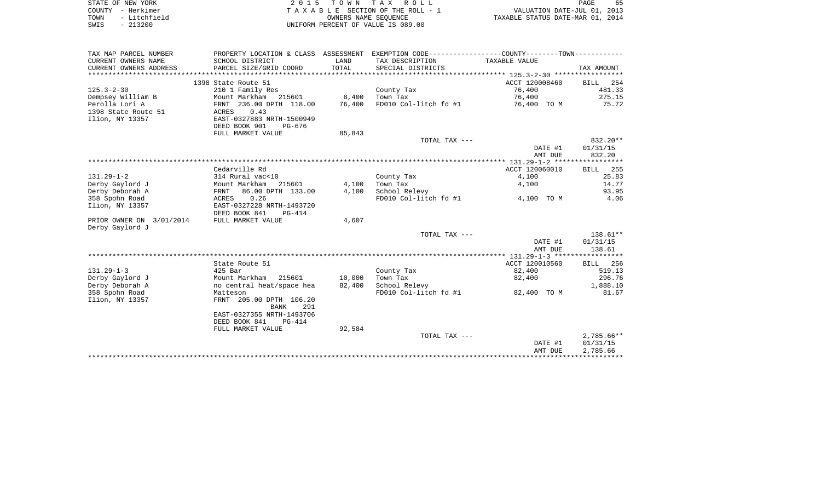| STATE OF NEW YORK    | 2015 TOWN TAX ROLL                 | 65<br>PAGE                       |
|----------------------|------------------------------------|----------------------------------|
| COUNTY - Herkimer    | TAXABLE SECTION OF THE ROLL - 1    | VALUATION DATE-JUL 01, 2013      |
| - Litchfield<br>TOWN | OWNERS NAME SEOUENCE               | TAXABLE STATUS DATE-MAR 01, 2014 |
| $-213200$<br>SWIS    | UNIFORM PERCENT OF VALUE IS 089.00 |                                  |

| TAX MAP PARCEL NUMBER    |                           |        | PROPERTY LOCATION & CLASS ASSESSMENT EXEMPTION CODE---------------COUNTY-------TOWN---------- |                |                 |
|--------------------------|---------------------------|--------|-----------------------------------------------------------------------------------------------|----------------|-----------------|
| CURRENT OWNERS NAME      | SCHOOL DISTRICT           | LAND   | TAX DESCRIPTION                                                                               | TAXABLE VALUE  |                 |
| CURRENT OWNERS ADDRESS   | PARCEL SIZE/GRID COORD    | TOTAL  | SPECIAL DISTRICTS                                                                             |                | TAX AMOUNT      |
|                          |                           |        |                                                                                               |                |                 |
|                          | 1398 State Route 51       |        |                                                                                               | ACCT 120008460 | BILL 254        |
| $125.3 - 2 - 30$         | 210 1 Family Res          |        | County Tax                                                                                    | 76,400         | 481.33          |
| Dempsey William B        | Mount Markham 215601      | 8,400  | Town Tax                                                                                      | 76,400         | 275.15          |
| Perolla Lori A           | FRNT 236.00 DPTH 118.00   | 76,400 | FD010 Col-litch fd #1                                                                         | 76,400 TO M    | 75.72           |
| 1398 State Route 51      | 0.43<br>ACRES             |        |                                                                                               |                |                 |
| Ilion, NY 13357          | EAST-0327883 NRTH-1500949 |        |                                                                                               |                |                 |
|                          | DEED BOOK 901<br>PG-676   |        |                                                                                               |                |                 |
|                          | FULL MARKET VALUE         | 85,843 |                                                                                               |                |                 |
|                          |                           |        | TOTAL TAX ---                                                                                 |                | $832.20**$      |
|                          |                           |        |                                                                                               | DATE #1        | 01/31/15        |
|                          |                           |        |                                                                                               | AMT DUE        | 832.20          |
|                          |                           |        |                                                                                               |                |                 |
|                          | Cedarville Rd             |        |                                                                                               | ACCT 120060010 | <b>BILL</b> 255 |
| $131.29 - 1 - 2$         | 314 Rural vac<10          |        | County Tax                                                                                    | 4,100          | 25.83           |
| Derby Gaylord J          | Mount Markham<br>215601   | 4,100  | Town Tax                                                                                      | 4,100          | 14.77           |
| Derby Deborah A          | 86.00 DPTH 133.00<br>FRNT | 4,100  | School Relevy                                                                                 |                | 93.95           |
| 358 Spohn Road           | 0.26<br>ACRES             |        | FD010 Col-litch fd #1                                                                         | 4,100 TO M     | 4.06            |
| Ilion, NY 13357          | EAST-0327228 NRTH-1493720 |        |                                                                                               |                |                 |
|                          | DEED BOOK 841<br>PG-414   |        |                                                                                               |                |                 |
| PRIOR OWNER ON 3/01/2014 | FULL MARKET VALUE         | 4,607  |                                                                                               |                |                 |
| Derby Gaylord J          |                           |        |                                                                                               |                |                 |
|                          |                           |        | TOTAL TAX ---                                                                                 |                | 138.61**        |
|                          |                           |        |                                                                                               | DATE #1        | 01/31/15        |
|                          |                           |        |                                                                                               | AMT DUE        | 138.61          |
|                          |                           |        |                                                                                               |                |                 |
|                          | State Route 51            |        |                                                                                               | ACCT 120010560 | BILL 256        |
| $131.29 - 1 - 3$         | 425 Bar                   |        | County Tax                                                                                    | 82,400         | 519.13          |
| Derby Gaylord J          | Mount Markham 215601      | 10,000 | Town Tax                                                                                      | 82,400         | 296.76          |
| Derby Deborah A          | no central heat/space hea | 82,400 | School Relevy                                                                                 |                | 1,888.10        |
| 358 Spohn Road           | Matteson                  |        | FD010 Col-litch fd #1                                                                         | 82,400 TO M    | 81.67           |
| Ilion, NY 13357          | FRNT 205.00 DPTH 106.20   |        |                                                                                               |                |                 |
|                          | 291<br>BANK               |        |                                                                                               |                |                 |
|                          | EAST-0327355 NRTH-1493706 |        |                                                                                               |                |                 |
|                          | DEED BOOK 841<br>$PG-414$ |        |                                                                                               |                |                 |
|                          | FULL MARKET VALUE         | 92,584 |                                                                                               |                |                 |
|                          |                           |        | TOTAL TAX ---                                                                                 |                | $2,785.66**$    |
|                          |                           |        |                                                                                               | DATE #1        | 01/31/15        |
|                          |                           |        |                                                                                               | AMT DUE        | 2,785.66        |
|                          |                           |        |                                                                                               |                |                 |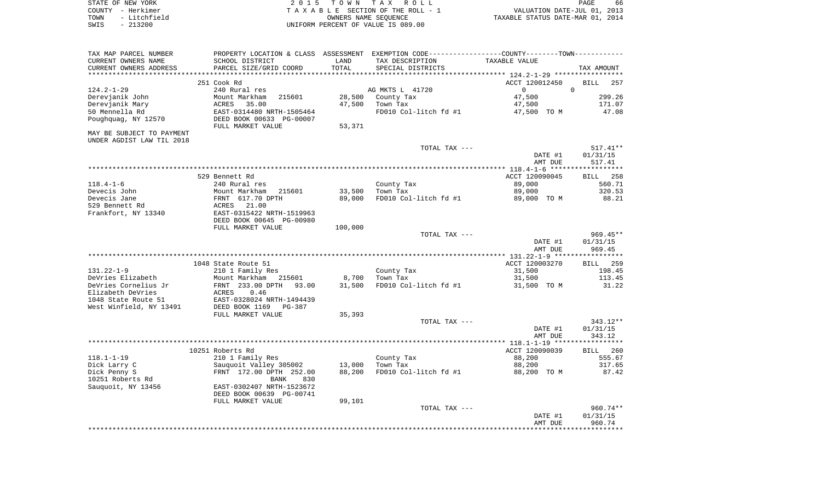| STATE OF NEW YORK    | 2015 TOWN TAX ROLL                 | 66<br>PAGE                       |
|----------------------|------------------------------------|----------------------------------|
| COUNTY - Herkimer    | TAXABLE SECTION OF THE ROLL - 1    | VALUATION DATE-JUL 01, 2013      |
| - Litchfield<br>TOWN | OWNERS NAME SEOUENCE               | TAXABLE STATUS DATE-MAR 01, 2014 |
| $-213200$<br>SWIS    | UNIFORM PERCENT OF VALUE IS 089.00 |                                  |

| TAX MAP PARCEL NUMBER        | PROPERTY LOCATION & CLASS ASSESSMENT EXEMPTION CODE----------------COUNTY--------TOWN---------- |                  |                                   |                |                        |
|------------------------------|-------------------------------------------------------------------------------------------------|------------------|-----------------------------------|----------------|------------------------|
| CURRENT OWNERS NAME          | SCHOOL DISTRICT                                                                                 | LAND             | TAX DESCRIPTION                   | TAXABLE VALUE  |                        |
| CURRENT OWNERS ADDRESS       | PARCEL SIZE/GRID COORD                                                                          | TOTAL            | SPECIAL DISTRICTS                 |                | TAX AMOUNT             |
|                              |                                                                                                 |                  |                                   |                |                        |
|                              | 251 Cook Rd                                                                                     |                  |                                   | ACCT 120012450 | <b>BILL</b><br>257     |
| $124.2 - 1 - 29$             | 240 Rural res                                                                                   |                  | AG MKTS L 41720                   | $\circ$        | $\Omega$               |
| Derevjanik John              | 215601<br>Mount Markham                                                                         | 28,500           | County Tax                        | 47,500         | 299.26                 |
| Derevjanik Mary              | ACRES<br>35.00                                                                                  | 47,500           | Town Tax                          | 47,500         | 171.07                 |
| 50 Mennella Rd               | EAST-0314480 NRTH-1505464                                                                       |                  | FD010 Col-litch fd #1             | 47,500 TO M    | 47.08                  |
| Poughquag, NY 12570          | DEED BOOK 00633 PG-00007                                                                        |                  |                                   |                |                        |
|                              | FULL MARKET VALUE                                                                               | 53,371           |                                   |                |                        |
| MAY BE SUBJECT TO PAYMENT    |                                                                                                 |                  |                                   |                |                        |
| UNDER AGDIST LAW TIL 2018    |                                                                                                 |                  |                                   |                |                        |
|                              |                                                                                                 |                  | TOTAL TAX ---                     |                | $517.41**$             |
|                              |                                                                                                 |                  |                                   | DATE #1        | 01/31/15               |
|                              |                                                                                                 |                  |                                   | AMT DUE        | 517.41                 |
|                              |                                                                                                 |                  |                                   |                |                        |
|                              | 529 Bennett Rd                                                                                  |                  |                                   | ACCT 120090045 | BILL 258               |
| $118.4 - 1 - 6$              | 240 Rural res                                                                                   |                  | County Tax                        | 89,000         | 560.71                 |
| Devecis John<br>Devecis Jane | Mount Markham<br>215601<br>FRNT 617.70 DPTH                                                     | 33,500<br>89,000 | Town Tax<br>FD010 Col-litch fd #1 | 89,000         | 320.53<br>88.21        |
| 529 Bennett Rd               | 21.00                                                                                           |                  |                                   | 89,000 TO M    |                        |
| Frankfort, NY 13340          | ACRES<br>EAST-0315422 NRTH-1519963                                                              |                  |                                   |                |                        |
|                              | DEED BOOK 00645 PG-00980                                                                        |                  |                                   |                |                        |
|                              | FULL MARKET VALUE                                                                               | 100,000          |                                   |                |                        |
|                              |                                                                                                 |                  | TOTAL TAX ---                     |                | $969.45**$             |
|                              |                                                                                                 |                  |                                   | DATE #1        | 01/31/15               |
|                              |                                                                                                 |                  |                                   | AMT DUE        | 969.45                 |
|                              |                                                                                                 |                  |                                   |                |                        |
|                              | 1048 State Route 51                                                                             |                  |                                   | ACCT 120003270 | <b>BILL</b> 259        |
| $131.22 - 1 - 9$             | 210 1 Family Res                                                                                |                  | County Tax                        | 31,500         | 198.45                 |
| DeVries Elizabeth            | Mount Markham 215601                                                                            | 8,700            | Town Tax                          | 31,500         | 113.45                 |
| DeVries Cornelius Jr         | FRNT 233.00 DPTH<br>93.00                                                                       | 31,500           | FD010 Col-litch fd #1             | 31,500 TO M    | 31.22                  |
| Elizabeth DeVries            | ACRES<br>0.46                                                                                   |                  |                                   |                |                        |
| 1048 State Route 51          | EAST-0328024 NRTH-1494439                                                                       |                  |                                   |                |                        |
| West Winfield, NY 13491      | DEED BOOK 1169<br>$PG-387$                                                                      |                  |                                   |                |                        |
|                              | FULL MARKET VALUE                                                                               | 35,393           |                                   |                |                        |
|                              |                                                                                                 |                  | TOTAL TAX ---                     |                | $343.12**$             |
|                              |                                                                                                 |                  |                                   | DATE #1        | 01/31/15               |
|                              |                                                                                                 |                  |                                   | AMT DUE        | 343.12                 |
|                              |                                                                                                 |                  |                                   |                |                        |
|                              | 10251 Roberts Rd                                                                                |                  |                                   | ACCT 120090039 | <b>BILL</b><br>260     |
| $118.1 - 1 - 19$             | 210 1 Family Res                                                                                |                  | County Tax                        | 88,200         | 555.67                 |
| Dick Larry C                 | Sauquoit Valley 305002                                                                          | 13,000           | Town Tax                          | 88,200         | 317.65                 |
| Dick Penny S                 | FRNT 172.00 DPTH 252.00                                                                         | 88,200           | FD010 Col-litch fd #1             | 88,200 TO M    | 87.42                  |
| 10251 Roberts Rd             | <b>BANK</b><br>830                                                                              |                  |                                   |                |                        |
| Sauquoit, NY 13456           | EAST-0302407 NRTH-1523672                                                                       |                  |                                   |                |                        |
|                              | DEED BOOK 00639 PG-00741                                                                        |                  |                                   |                |                        |
|                              | FULL MARKET VALUE                                                                               | 99,101           |                                   |                |                        |
|                              |                                                                                                 |                  | TOTAL TAX ---                     | DATE #1        | $960.74**$<br>01/31/15 |
|                              |                                                                                                 |                  |                                   | AMT DUE        | 960.74                 |
|                              |                                                                                                 |                  |                                   |                |                        |
|                              |                                                                                                 |                  |                                   |                |                        |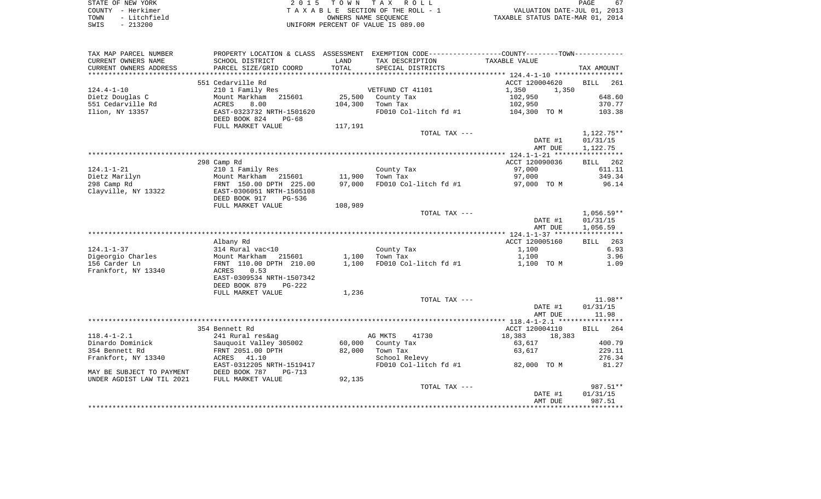| STATE OF NEW YORK     | 2015 TOWN TAX ROLL                 | 67<br>PAGE                       |
|-----------------------|------------------------------------|----------------------------------|
| COUNTY - Herkimer     | TAXABLE SECTION OF THE ROLL - 1    | VALUATION DATE-JUL 01, 2013      |
| - Litchfield<br>TOWN  | OWNERS NAME SEOUENCE               | TAXABLE STATUS DATE-MAR 01, 2014 |
| 213200<br>SWIS<br>- 1 | UNIFORM PERCENT OF VALUE IS 089.00 |                                  |

| CURRENT OWNERS NAME<br>SCHOOL DISTRICT<br>LAND<br>TAX DESCRIPTION<br>TAXABLE VALUE<br>TOTAL<br>CURRENT OWNERS ADDRESS<br>PARCEL SIZE/GRID COORD<br>SPECIAL DISTRICTS<br>TAX AMOUNT<br>**********<br>******************<br>***********************<br>551 Cedarville Rd<br>ACCT 120004620<br><b>BILL</b><br>261<br>$124.4 - 1 - 10$<br>210 1 Family Res<br>VETFUND CT 41101<br>1,350<br>1,350<br>25,500<br>Dietz Douglas C<br>Mount Markham<br>102,950<br>648.60<br>215601<br>County Tax<br>551 Cedarville Rd<br>ACRES<br>8.00<br>104,300<br>Town Tax<br>102,950<br>370.77<br>Ilion, NY 13357<br>EAST-0323732 NRTH-1501620<br>FD010 Col-litch fd #1<br>104,300 TO M<br>103.38<br>DEED BOOK 824<br>$PG-68$<br>FULL MARKET VALUE<br>117,191<br>TOTAL TAX ---<br>1,122.75**<br>DATE #1<br>01/31/15<br>AMT DUE<br>1,122.75<br>298 Camp Rd<br>ACCT 120090036<br>262<br>BILL<br>$124.1 - 1 - 21$<br>97,000<br>611.11<br>210 1 Family Res<br>County Tax<br>Dietz Marilyn<br>11,900<br>349.34<br>Mount Markham 215601<br>Town Tax<br>97,000<br>298 Camp Rd<br>97,000<br>FD010 Col-litch fd #1<br>FRNT 150.00 DPTH 225.00<br>97,000 TO M<br>96.14<br>Clayville, NY 13322<br>EAST-0306051 NRTH-1505108<br>DEED BOOK 917<br>PG-536<br>FULL MARKET VALUE<br>108,989<br>$1,056.59**$<br>TOTAL TAX ---<br>DATE #1<br>01/31/15<br>1,056.59<br>AMT DUE<br>Albany Rd<br>ACCT 120005160<br>263<br><b>BILL</b><br>$124.1 - 1 - 37$<br>6.93<br>314 Rural vac<10<br>County Tax<br>1,100<br>Digeorgio Charles<br>1,100<br>3.96<br>Mount Markham<br>215601<br>Town Tax<br>1,100<br>FD010 Col-litch fd #1<br>156 Carder Ln<br>FRNT 110.00 DPTH 210.00<br>1,100<br>1,100 TO M<br>1.09<br>Frankfort, NY 13340<br>0.53<br>ACRES<br>EAST-0309534 NRTH-1507342<br>DEED BOOK 879<br>$PG-222$<br>1,236<br>FULL MARKET VALUE<br>$11.98**$<br>TOTAL TAX ---<br>DATE #1<br>01/31/15<br>11.98<br>AMT DUE<br>354 Bennett Rd<br>ACCT 120004110<br><b>BILL</b><br>264<br>$118.4 - 1 - 2.1$<br>241 Rural res&ag<br>AG MKTS<br>41730<br>18,383<br>18,383<br>Dinardo Dominick<br>Sauquoit Valley 305002<br>60,000<br>63,617<br>400.79<br>County Tax<br>354 Bennett Rd<br>229.11<br>FRNT 2051.00 DPTH<br>82,000<br>Town Tax<br>63,617<br>41.10<br>276.34<br>Frankfort, NY 13340<br>ACRES<br>School Relevy<br>EAST-0312205 NRTH-1519417<br>FD010 Col-litch fd #1<br>81.27<br>82,000 TO M<br>DEED BOOK 787<br>MAY BE SUBJECT TO PAYMENT<br>PG-713<br>UNDER AGDIST LAW TIL 2021<br>92,135<br>FULL MARKET VALUE<br>987.51**<br>TOTAL TAX ---<br>DATE #1<br>01/31/15<br>987.51<br>AMT DUE<br>********** | TAX MAP PARCEL NUMBER | PROPERTY LOCATION & CLASS | ASSESSMENT | EXEMPTION CODE-----------------COUNTY-------TOWN----------- |  |
|---------------------------------------------------------------------------------------------------------------------------------------------------------------------------------------------------------------------------------------------------------------------------------------------------------------------------------------------------------------------------------------------------------------------------------------------------------------------------------------------------------------------------------------------------------------------------------------------------------------------------------------------------------------------------------------------------------------------------------------------------------------------------------------------------------------------------------------------------------------------------------------------------------------------------------------------------------------------------------------------------------------------------------------------------------------------------------------------------------------------------------------------------------------------------------------------------------------------------------------------------------------------------------------------------------------------------------------------------------------------------------------------------------------------------------------------------------------------------------------------------------------------------------------------------------------------------------------------------------------------------------------------------------------------------------------------------------------------------------------------------------------------------------------------------------------------------------------------------------------------------------------------------------------------------------------------------------------------------------------------------------------------------------------------------------------------------------------------------------------------------------------------------------------------------------------------------------------------------------------------------------------------------------------------------------------------------------------------------------------------------------------------------------------------------------------------------------------------------------------------------------------------------------------------------------|-----------------------|---------------------------|------------|-------------------------------------------------------------|--|
|                                                                                                                                                                                                                                                                                                                                                                                                                                                                                                                                                                                                                                                                                                                                                                                                                                                                                                                                                                                                                                                                                                                                                                                                                                                                                                                                                                                                                                                                                                                                                                                                                                                                                                                                                                                                                                                                                                                                                                                                                                                                                                                                                                                                                                                                                                                                                                                                                                                                                                                                                         |                       |                           |            |                                                             |  |
|                                                                                                                                                                                                                                                                                                                                                                                                                                                                                                                                                                                                                                                                                                                                                                                                                                                                                                                                                                                                                                                                                                                                                                                                                                                                                                                                                                                                                                                                                                                                                                                                                                                                                                                                                                                                                                                                                                                                                                                                                                                                                                                                                                                                                                                                                                                                                                                                                                                                                                                                                         |                       |                           |            |                                                             |  |
|                                                                                                                                                                                                                                                                                                                                                                                                                                                                                                                                                                                                                                                                                                                                                                                                                                                                                                                                                                                                                                                                                                                                                                                                                                                                                                                                                                                                                                                                                                                                                                                                                                                                                                                                                                                                                                                                                                                                                                                                                                                                                                                                                                                                                                                                                                                                                                                                                                                                                                                                                         |                       |                           |            |                                                             |  |
|                                                                                                                                                                                                                                                                                                                                                                                                                                                                                                                                                                                                                                                                                                                                                                                                                                                                                                                                                                                                                                                                                                                                                                                                                                                                                                                                                                                                                                                                                                                                                                                                                                                                                                                                                                                                                                                                                                                                                                                                                                                                                                                                                                                                                                                                                                                                                                                                                                                                                                                                                         |                       |                           |            |                                                             |  |
|                                                                                                                                                                                                                                                                                                                                                                                                                                                                                                                                                                                                                                                                                                                                                                                                                                                                                                                                                                                                                                                                                                                                                                                                                                                                                                                                                                                                                                                                                                                                                                                                                                                                                                                                                                                                                                                                                                                                                                                                                                                                                                                                                                                                                                                                                                                                                                                                                                                                                                                                                         |                       |                           |            |                                                             |  |
|                                                                                                                                                                                                                                                                                                                                                                                                                                                                                                                                                                                                                                                                                                                                                                                                                                                                                                                                                                                                                                                                                                                                                                                                                                                                                                                                                                                                                                                                                                                                                                                                                                                                                                                                                                                                                                                                                                                                                                                                                                                                                                                                                                                                                                                                                                                                                                                                                                                                                                                                                         |                       |                           |            |                                                             |  |
|                                                                                                                                                                                                                                                                                                                                                                                                                                                                                                                                                                                                                                                                                                                                                                                                                                                                                                                                                                                                                                                                                                                                                                                                                                                                                                                                                                                                                                                                                                                                                                                                                                                                                                                                                                                                                                                                                                                                                                                                                                                                                                                                                                                                                                                                                                                                                                                                                                                                                                                                                         |                       |                           |            |                                                             |  |
|                                                                                                                                                                                                                                                                                                                                                                                                                                                                                                                                                                                                                                                                                                                                                                                                                                                                                                                                                                                                                                                                                                                                                                                                                                                                                                                                                                                                                                                                                                                                                                                                                                                                                                                                                                                                                                                                                                                                                                                                                                                                                                                                                                                                                                                                                                                                                                                                                                                                                                                                                         |                       |                           |            |                                                             |  |
|                                                                                                                                                                                                                                                                                                                                                                                                                                                                                                                                                                                                                                                                                                                                                                                                                                                                                                                                                                                                                                                                                                                                                                                                                                                                                                                                                                                                                                                                                                                                                                                                                                                                                                                                                                                                                                                                                                                                                                                                                                                                                                                                                                                                                                                                                                                                                                                                                                                                                                                                                         |                       |                           |            |                                                             |  |
|                                                                                                                                                                                                                                                                                                                                                                                                                                                                                                                                                                                                                                                                                                                                                                                                                                                                                                                                                                                                                                                                                                                                                                                                                                                                                                                                                                                                                                                                                                                                                                                                                                                                                                                                                                                                                                                                                                                                                                                                                                                                                                                                                                                                                                                                                                                                                                                                                                                                                                                                                         |                       |                           |            |                                                             |  |
|                                                                                                                                                                                                                                                                                                                                                                                                                                                                                                                                                                                                                                                                                                                                                                                                                                                                                                                                                                                                                                                                                                                                                                                                                                                                                                                                                                                                                                                                                                                                                                                                                                                                                                                                                                                                                                                                                                                                                                                                                                                                                                                                                                                                                                                                                                                                                                                                                                                                                                                                                         |                       |                           |            |                                                             |  |
|                                                                                                                                                                                                                                                                                                                                                                                                                                                                                                                                                                                                                                                                                                                                                                                                                                                                                                                                                                                                                                                                                                                                                                                                                                                                                                                                                                                                                                                                                                                                                                                                                                                                                                                                                                                                                                                                                                                                                                                                                                                                                                                                                                                                                                                                                                                                                                                                                                                                                                                                                         |                       |                           |            |                                                             |  |
|                                                                                                                                                                                                                                                                                                                                                                                                                                                                                                                                                                                                                                                                                                                                                                                                                                                                                                                                                                                                                                                                                                                                                                                                                                                                                                                                                                                                                                                                                                                                                                                                                                                                                                                                                                                                                                                                                                                                                                                                                                                                                                                                                                                                                                                                                                                                                                                                                                                                                                                                                         |                       |                           |            |                                                             |  |
|                                                                                                                                                                                                                                                                                                                                                                                                                                                                                                                                                                                                                                                                                                                                                                                                                                                                                                                                                                                                                                                                                                                                                                                                                                                                                                                                                                                                                                                                                                                                                                                                                                                                                                                                                                                                                                                                                                                                                                                                                                                                                                                                                                                                                                                                                                                                                                                                                                                                                                                                                         |                       |                           |            |                                                             |  |
|                                                                                                                                                                                                                                                                                                                                                                                                                                                                                                                                                                                                                                                                                                                                                                                                                                                                                                                                                                                                                                                                                                                                                                                                                                                                                                                                                                                                                                                                                                                                                                                                                                                                                                                                                                                                                                                                                                                                                                                                                                                                                                                                                                                                                                                                                                                                                                                                                                                                                                                                                         |                       |                           |            |                                                             |  |
|                                                                                                                                                                                                                                                                                                                                                                                                                                                                                                                                                                                                                                                                                                                                                                                                                                                                                                                                                                                                                                                                                                                                                                                                                                                                                                                                                                                                                                                                                                                                                                                                                                                                                                                                                                                                                                                                                                                                                                                                                                                                                                                                                                                                                                                                                                                                                                                                                                                                                                                                                         |                       |                           |            |                                                             |  |
|                                                                                                                                                                                                                                                                                                                                                                                                                                                                                                                                                                                                                                                                                                                                                                                                                                                                                                                                                                                                                                                                                                                                                                                                                                                                                                                                                                                                                                                                                                                                                                                                                                                                                                                                                                                                                                                                                                                                                                                                                                                                                                                                                                                                                                                                                                                                                                                                                                                                                                                                                         |                       |                           |            |                                                             |  |
|                                                                                                                                                                                                                                                                                                                                                                                                                                                                                                                                                                                                                                                                                                                                                                                                                                                                                                                                                                                                                                                                                                                                                                                                                                                                                                                                                                                                                                                                                                                                                                                                                                                                                                                                                                                                                                                                                                                                                                                                                                                                                                                                                                                                                                                                                                                                                                                                                                                                                                                                                         |                       |                           |            |                                                             |  |
|                                                                                                                                                                                                                                                                                                                                                                                                                                                                                                                                                                                                                                                                                                                                                                                                                                                                                                                                                                                                                                                                                                                                                                                                                                                                                                                                                                                                                                                                                                                                                                                                                                                                                                                                                                                                                                                                                                                                                                                                                                                                                                                                                                                                                                                                                                                                                                                                                                                                                                                                                         |                       |                           |            |                                                             |  |
|                                                                                                                                                                                                                                                                                                                                                                                                                                                                                                                                                                                                                                                                                                                                                                                                                                                                                                                                                                                                                                                                                                                                                                                                                                                                                                                                                                                                                                                                                                                                                                                                                                                                                                                                                                                                                                                                                                                                                                                                                                                                                                                                                                                                                                                                                                                                                                                                                                                                                                                                                         |                       |                           |            |                                                             |  |
|                                                                                                                                                                                                                                                                                                                                                                                                                                                                                                                                                                                                                                                                                                                                                                                                                                                                                                                                                                                                                                                                                                                                                                                                                                                                                                                                                                                                                                                                                                                                                                                                                                                                                                                                                                                                                                                                                                                                                                                                                                                                                                                                                                                                                                                                                                                                                                                                                                                                                                                                                         |                       |                           |            |                                                             |  |
|                                                                                                                                                                                                                                                                                                                                                                                                                                                                                                                                                                                                                                                                                                                                                                                                                                                                                                                                                                                                                                                                                                                                                                                                                                                                                                                                                                                                                                                                                                                                                                                                                                                                                                                                                                                                                                                                                                                                                                                                                                                                                                                                                                                                                                                                                                                                                                                                                                                                                                                                                         |                       |                           |            |                                                             |  |
|                                                                                                                                                                                                                                                                                                                                                                                                                                                                                                                                                                                                                                                                                                                                                                                                                                                                                                                                                                                                                                                                                                                                                                                                                                                                                                                                                                                                                                                                                                                                                                                                                                                                                                                                                                                                                                                                                                                                                                                                                                                                                                                                                                                                                                                                                                                                                                                                                                                                                                                                                         |                       |                           |            |                                                             |  |
|                                                                                                                                                                                                                                                                                                                                                                                                                                                                                                                                                                                                                                                                                                                                                                                                                                                                                                                                                                                                                                                                                                                                                                                                                                                                                                                                                                                                                                                                                                                                                                                                                                                                                                                                                                                                                                                                                                                                                                                                                                                                                                                                                                                                                                                                                                                                                                                                                                                                                                                                                         |                       |                           |            |                                                             |  |
|                                                                                                                                                                                                                                                                                                                                                                                                                                                                                                                                                                                                                                                                                                                                                                                                                                                                                                                                                                                                                                                                                                                                                                                                                                                                                                                                                                                                                                                                                                                                                                                                                                                                                                                                                                                                                                                                                                                                                                                                                                                                                                                                                                                                                                                                                                                                                                                                                                                                                                                                                         |                       |                           |            |                                                             |  |
|                                                                                                                                                                                                                                                                                                                                                                                                                                                                                                                                                                                                                                                                                                                                                                                                                                                                                                                                                                                                                                                                                                                                                                                                                                                                                                                                                                                                                                                                                                                                                                                                                                                                                                                                                                                                                                                                                                                                                                                                                                                                                                                                                                                                                                                                                                                                                                                                                                                                                                                                                         |                       |                           |            |                                                             |  |
|                                                                                                                                                                                                                                                                                                                                                                                                                                                                                                                                                                                                                                                                                                                                                                                                                                                                                                                                                                                                                                                                                                                                                                                                                                                                                                                                                                                                                                                                                                                                                                                                                                                                                                                                                                                                                                                                                                                                                                                                                                                                                                                                                                                                                                                                                                                                                                                                                                                                                                                                                         |                       |                           |            |                                                             |  |
|                                                                                                                                                                                                                                                                                                                                                                                                                                                                                                                                                                                                                                                                                                                                                                                                                                                                                                                                                                                                                                                                                                                                                                                                                                                                                                                                                                                                                                                                                                                                                                                                                                                                                                                                                                                                                                                                                                                                                                                                                                                                                                                                                                                                                                                                                                                                                                                                                                                                                                                                                         |                       |                           |            |                                                             |  |
|                                                                                                                                                                                                                                                                                                                                                                                                                                                                                                                                                                                                                                                                                                                                                                                                                                                                                                                                                                                                                                                                                                                                                                                                                                                                                                                                                                                                                                                                                                                                                                                                                                                                                                                                                                                                                                                                                                                                                                                                                                                                                                                                                                                                                                                                                                                                                                                                                                                                                                                                                         |                       |                           |            |                                                             |  |
|                                                                                                                                                                                                                                                                                                                                                                                                                                                                                                                                                                                                                                                                                                                                                                                                                                                                                                                                                                                                                                                                                                                                                                                                                                                                                                                                                                                                                                                                                                                                                                                                                                                                                                                                                                                                                                                                                                                                                                                                                                                                                                                                                                                                                                                                                                                                                                                                                                                                                                                                                         |                       |                           |            |                                                             |  |
|                                                                                                                                                                                                                                                                                                                                                                                                                                                                                                                                                                                                                                                                                                                                                                                                                                                                                                                                                                                                                                                                                                                                                                                                                                                                                                                                                                                                                                                                                                                                                                                                                                                                                                                                                                                                                                                                                                                                                                                                                                                                                                                                                                                                                                                                                                                                                                                                                                                                                                                                                         |                       |                           |            |                                                             |  |
|                                                                                                                                                                                                                                                                                                                                                                                                                                                                                                                                                                                                                                                                                                                                                                                                                                                                                                                                                                                                                                                                                                                                                                                                                                                                                                                                                                                                                                                                                                                                                                                                                                                                                                                                                                                                                                                                                                                                                                                                                                                                                                                                                                                                                                                                                                                                                                                                                                                                                                                                                         |                       |                           |            |                                                             |  |
|                                                                                                                                                                                                                                                                                                                                                                                                                                                                                                                                                                                                                                                                                                                                                                                                                                                                                                                                                                                                                                                                                                                                                                                                                                                                                                                                                                                                                                                                                                                                                                                                                                                                                                                                                                                                                                                                                                                                                                                                                                                                                                                                                                                                                                                                                                                                                                                                                                                                                                                                                         |                       |                           |            |                                                             |  |
|                                                                                                                                                                                                                                                                                                                                                                                                                                                                                                                                                                                                                                                                                                                                                                                                                                                                                                                                                                                                                                                                                                                                                                                                                                                                                                                                                                                                                                                                                                                                                                                                                                                                                                                                                                                                                                                                                                                                                                                                                                                                                                                                                                                                                                                                                                                                                                                                                                                                                                                                                         |                       |                           |            |                                                             |  |
|                                                                                                                                                                                                                                                                                                                                                                                                                                                                                                                                                                                                                                                                                                                                                                                                                                                                                                                                                                                                                                                                                                                                                                                                                                                                                                                                                                                                                                                                                                                                                                                                                                                                                                                                                                                                                                                                                                                                                                                                                                                                                                                                                                                                                                                                                                                                                                                                                                                                                                                                                         |                       |                           |            |                                                             |  |
|                                                                                                                                                                                                                                                                                                                                                                                                                                                                                                                                                                                                                                                                                                                                                                                                                                                                                                                                                                                                                                                                                                                                                                                                                                                                                                                                                                                                                                                                                                                                                                                                                                                                                                                                                                                                                                                                                                                                                                                                                                                                                                                                                                                                                                                                                                                                                                                                                                                                                                                                                         |                       |                           |            |                                                             |  |
|                                                                                                                                                                                                                                                                                                                                                                                                                                                                                                                                                                                                                                                                                                                                                                                                                                                                                                                                                                                                                                                                                                                                                                                                                                                                                                                                                                                                                                                                                                                                                                                                                                                                                                                                                                                                                                                                                                                                                                                                                                                                                                                                                                                                                                                                                                                                                                                                                                                                                                                                                         |                       |                           |            |                                                             |  |
|                                                                                                                                                                                                                                                                                                                                                                                                                                                                                                                                                                                                                                                                                                                                                                                                                                                                                                                                                                                                                                                                                                                                                                                                                                                                                                                                                                                                                                                                                                                                                                                                                                                                                                                                                                                                                                                                                                                                                                                                                                                                                                                                                                                                                                                                                                                                                                                                                                                                                                                                                         |                       |                           |            |                                                             |  |
|                                                                                                                                                                                                                                                                                                                                                                                                                                                                                                                                                                                                                                                                                                                                                                                                                                                                                                                                                                                                                                                                                                                                                                                                                                                                                                                                                                                                                                                                                                                                                                                                                                                                                                                                                                                                                                                                                                                                                                                                                                                                                                                                                                                                                                                                                                                                                                                                                                                                                                                                                         |                       |                           |            |                                                             |  |
|                                                                                                                                                                                                                                                                                                                                                                                                                                                                                                                                                                                                                                                                                                                                                                                                                                                                                                                                                                                                                                                                                                                                                                                                                                                                                                                                                                                                                                                                                                                                                                                                                                                                                                                                                                                                                                                                                                                                                                                                                                                                                                                                                                                                                                                                                                                                                                                                                                                                                                                                                         |                       |                           |            |                                                             |  |
|                                                                                                                                                                                                                                                                                                                                                                                                                                                                                                                                                                                                                                                                                                                                                                                                                                                                                                                                                                                                                                                                                                                                                                                                                                                                                                                                                                                                                                                                                                                                                                                                                                                                                                                                                                                                                                                                                                                                                                                                                                                                                                                                                                                                                                                                                                                                                                                                                                                                                                                                                         |                       |                           |            |                                                             |  |
|                                                                                                                                                                                                                                                                                                                                                                                                                                                                                                                                                                                                                                                                                                                                                                                                                                                                                                                                                                                                                                                                                                                                                                                                                                                                                                                                                                                                                                                                                                                                                                                                                                                                                                                                                                                                                                                                                                                                                                                                                                                                                                                                                                                                                                                                                                                                                                                                                                                                                                                                                         |                       |                           |            |                                                             |  |
|                                                                                                                                                                                                                                                                                                                                                                                                                                                                                                                                                                                                                                                                                                                                                                                                                                                                                                                                                                                                                                                                                                                                                                                                                                                                                                                                                                                                                                                                                                                                                                                                                                                                                                                                                                                                                                                                                                                                                                                                                                                                                                                                                                                                                                                                                                                                                                                                                                                                                                                                                         |                       |                           |            |                                                             |  |
|                                                                                                                                                                                                                                                                                                                                                                                                                                                                                                                                                                                                                                                                                                                                                                                                                                                                                                                                                                                                                                                                                                                                                                                                                                                                                                                                                                                                                                                                                                                                                                                                                                                                                                                                                                                                                                                                                                                                                                                                                                                                                                                                                                                                                                                                                                                                                                                                                                                                                                                                                         |                       |                           |            |                                                             |  |
|                                                                                                                                                                                                                                                                                                                                                                                                                                                                                                                                                                                                                                                                                                                                                                                                                                                                                                                                                                                                                                                                                                                                                                                                                                                                                                                                                                                                                                                                                                                                                                                                                                                                                                                                                                                                                                                                                                                                                                                                                                                                                                                                                                                                                                                                                                                                                                                                                                                                                                                                                         |                       |                           |            |                                                             |  |
|                                                                                                                                                                                                                                                                                                                                                                                                                                                                                                                                                                                                                                                                                                                                                                                                                                                                                                                                                                                                                                                                                                                                                                                                                                                                                                                                                                                                                                                                                                                                                                                                                                                                                                                                                                                                                                                                                                                                                                                                                                                                                                                                                                                                                                                                                                                                                                                                                                                                                                                                                         |                       |                           |            |                                                             |  |
|                                                                                                                                                                                                                                                                                                                                                                                                                                                                                                                                                                                                                                                                                                                                                                                                                                                                                                                                                                                                                                                                                                                                                                                                                                                                                                                                                                                                                                                                                                                                                                                                                                                                                                                                                                                                                                                                                                                                                                                                                                                                                                                                                                                                                                                                                                                                                                                                                                                                                                                                                         |                       |                           |            |                                                             |  |
|                                                                                                                                                                                                                                                                                                                                                                                                                                                                                                                                                                                                                                                                                                                                                                                                                                                                                                                                                                                                                                                                                                                                                                                                                                                                                                                                                                                                                                                                                                                                                                                                                                                                                                                                                                                                                                                                                                                                                                                                                                                                                                                                                                                                                                                                                                                                                                                                                                                                                                                                                         |                       |                           |            |                                                             |  |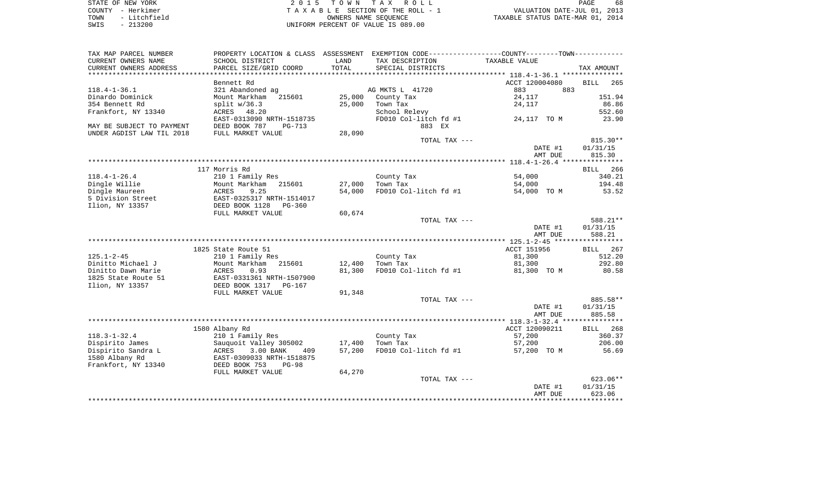| STATE OF NEW YORK    | 2015 TOWN TAX ROLL                 | 68<br>PAGE                       |
|----------------------|------------------------------------|----------------------------------|
| COUNTY - Herkimer    | TAXABLE SECTION OF THE ROLL - 1    | VALUATION DATE-JUL 01, 2013      |
| - Litchfield<br>TOWN | OWNERS NAME SEOUENCE               | TAXABLE STATUS DATE-MAR 01, 2014 |
| $-213200$<br>SWIS    | UNIFORM PERCENT OF VALUE IS 089.00 |                                  |

|  | PAGE.                           | 68 |
|--|---------------------------------|----|
|  | VALUATION DATE-JUL 01, 2013     |    |
|  | XABLE STATUS DATE-MAR 01, 2014. |    |

| TAX MAP PARCEL NUMBER                 | PROPERTY LOCATION & CLASS ASSESSMENT                |                  | EXEMPTION CODE-----------------COUNTY-------TOWN----------- |                       |                    |
|---------------------------------------|-----------------------------------------------------|------------------|-------------------------------------------------------------|-----------------------|--------------------|
| CURRENT OWNERS NAME                   | SCHOOL DISTRICT                                     | LAND             | TAX DESCRIPTION                                             | TAXABLE VALUE         |                    |
| CURRENT OWNERS ADDRESS                | PARCEL SIZE/GRID COORD                              | TOTAL            | SPECIAL DISTRICTS                                           |                       | TAX AMOUNT         |
| **********************                | ***********************                             |                  |                                                             |                       |                    |
|                                       | Bennett Rd                                          |                  |                                                             | ACCT 120004080        | <b>BILL</b><br>265 |
| $118.4 - 1 - 36.1$                    | 321 Abandoned ag                                    |                  | AG MKTS L 41720                                             | 883<br>883            |                    |
| Dinardo Dominick                      | Mount Markham 215601                                | 25,000           | County Tax                                                  | 24,117                | 151.94             |
| 354 Bennett Rd                        | split $w/36.3$                                      | 25,000           | Town Tax                                                    | 24,117                | 86.86              |
| Frankfort, NY 13340                   | ACRES 48.20                                         |                  | School Relevy                                               |                       | 552.60             |
|                                       | EAST-0313090 NRTH-1518735                           |                  | FD010 Col-litch fd #1                                       | 24,117 TO M           | 23.90              |
| MAY BE SUBJECT TO PAYMENT             | DEED BOOK 787<br>$PG-713$                           |                  | 883 EX                                                      |                       |                    |
| UNDER AGDIST LAW TIL 2018             | FULL MARKET VALUE                                   | 28,090           |                                                             |                       |                    |
|                                       |                                                     |                  | TOTAL TAX ---                                               |                       | 815.30**           |
|                                       |                                                     |                  |                                                             | DATE #1               | 01/31/15           |
|                                       |                                                     |                  |                                                             | AMT DUE               | 815.30             |
|                                       |                                                     |                  |                                                             |                       |                    |
|                                       | 117 Morris Rd                                       |                  |                                                             |                       | 266<br>BILL        |
| $118.4 - 1 - 26.4$                    | 210 1 Family Res                                    |                  | County Tax                                                  | 54,000                | 340.21             |
| Dingle Willie                         | Mount Markham<br>215601                             | 27,000           | Town Tax                                                    | 54,000                | 194.48             |
| Dingle Maureen                        | 9.25<br>ACRES                                       | 54,000           | FD010 Col-litch fd #1                                       | 54,000 TO M           | 53.52              |
| 5 Division Street                     | EAST-0325317 NRTH-1514017                           |                  |                                                             |                       |                    |
| Ilion, NY 13357                       | DEED BOOK 1128 PG-360                               |                  |                                                             |                       |                    |
|                                       | FULL MARKET VALUE                                   | 60,674           |                                                             |                       |                    |
|                                       |                                                     |                  | TOTAL TAX ---                                               |                       | 588.21**           |
|                                       |                                                     |                  |                                                             | DATE #1               | 01/31/15           |
|                                       |                                                     |                  |                                                             | AMT DUE               | 588.21             |
|                                       |                                                     |                  |                                                             |                       |                    |
|                                       | 1825 State Route 51                                 |                  |                                                             | ACCT 151956           | 267<br>BILL        |
| $125.1 - 2 - 45$                      | 210 1 Family Res                                    |                  | County Tax                                                  | 81,300                | 512.20             |
| Dinitto Michael J                     | Mount Markham<br>215601                             | 12,400           | Town Tax                                                    | 81,300                | 292.80             |
| Dinitto Dawn Marie                    | <b>ACRES</b><br>0.93                                | 81,300           | FD010 Col-litch fd #1                                       | 81,300 TO M           | 80.58              |
| 1825 State Route 51                   | EAST-0331361 NRTH-1507900                           |                  |                                                             |                       |                    |
| Ilion, NY 13357                       | DEED BOOK 1317 PG-167                               |                  |                                                             |                       |                    |
|                                       | FULL MARKET VALUE                                   | 91,348           |                                                             |                       |                    |
|                                       |                                                     |                  | TOTAL TAX ---                                               |                       | 885.58**           |
|                                       |                                                     |                  |                                                             | DATE #1               | 01/31/15           |
|                                       |                                                     |                  |                                                             | AMT DUE               | 885.58             |
|                                       |                                                     |                  |                                                             |                       |                    |
|                                       | 1580 Albany Rd                                      |                  |                                                             | ACCT 120090211        | <b>BILL</b><br>268 |
| $118.3 - 1 - 32.4$                    | 210 1 Family Res                                    |                  | County Tax                                                  | 57,200                | 360.37             |
|                                       |                                                     |                  | Town Tax                                                    |                       |                    |
| Dispirito James<br>Dispirito Sandra L | Sauquoit Valley 305002<br>ACRES<br>3.00 BANK<br>409 | 17,400<br>57,200 | FD010 Col-litch fd #1                                       | 57,200<br>57,200 TO M | 206.00<br>56.69    |
|                                       | EAST-0309033 NRTH-1518875                           |                  |                                                             |                       |                    |
| 1580 Albany Rd                        |                                                     |                  |                                                             |                       |                    |
| Frankfort, NY 13340                   | DEED BOOK 753<br>$PG-98$                            |                  |                                                             |                       |                    |
|                                       | FULL MARKET VALUE                                   | 64,270           |                                                             |                       |                    |
|                                       |                                                     |                  | TOTAL TAX ---                                               |                       | 623.06**           |
|                                       |                                                     |                  |                                                             | DATE #1               | 01/31/15           |
|                                       |                                                     |                  |                                                             | AMT DUE               | 623.06             |
|                                       |                                                     |                  |                                                             |                       |                    |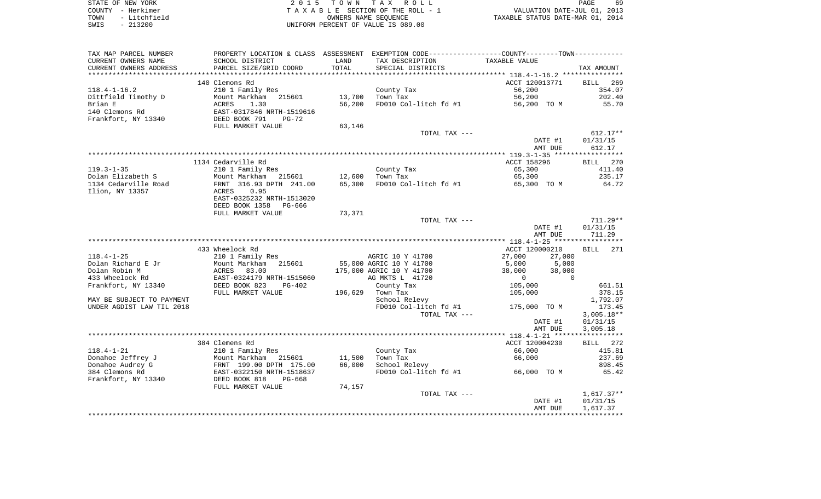| STATE OF NEW YORK    | 2015 TOWN TAX ROLL                 | 69<br>PAGE                       |
|----------------------|------------------------------------|----------------------------------|
| COUNTY - Herkimer    | TAXABLE SECTION OF THE ROLL - 1    | VALUATION DATE-JUL 01, 2013      |
| - Litchfield<br>TOWN | OWNERS NAME SEOUENCE               | TAXABLE STATUS DATE-MAR 01, 2014 |
| $-213200$<br>SWIS    | UNIFORM PERCENT OF VALUE IS 089.00 |                                  |

 $\begin{array}{c} 69 \\ 2013 \\ 2014 \end{array}$ 

| TAX MAP PARCEL NUMBER     |                           |         | PROPERTY LOCATION & CLASS ASSESSMENT EXEMPTION CODE---------------COUNTY-------TOWN--------- |                         |                    |
|---------------------------|---------------------------|---------|----------------------------------------------------------------------------------------------|-------------------------|--------------------|
| CURRENT OWNERS NAME       | SCHOOL DISTRICT           | LAND    | TAX DESCRIPTION                                                                              | TAXABLE VALUE           |                    |
| CURRENT OWNERS ADDRESS    | PARCEL SIZE/GRID COORD    | TOTAL   | SPECIAL DISTRICTS                                                                            |                         | TAX AMOUNT         |
|                           |                           |         |                                                                                              |                         |                    |
|                           | 140 Clemons Rd            |         |                                                                                              | ACCT 120013771          | 269<br><b>BILL</b> |
| $118.4 - 1 - 16.2$        | 210 1 Family Res          |         | County Tax                                                                                   | 56,200                  | 354.07             |
| Dittfield Timothy D       | Mount Markham<br>215601   | 13,700  | Town Tax                                                                                     | 56,200                  | 202.40             |
| Brian E                   | ACRES<br>1.30             | 56,200  | FD010 Col-litch fd #1                                                                        | 56,200 TO M             | 55.70              |
| 140 Clemons Rd            | EAST-0317846 NRTH-1519616 |         |                                                                                              |                         |                    |
| Frankfort, NY 13340       | DEED BOOK 791<br>$PG-72$  |         |                                                                                              |                         |                    |
|                           | FULL MARKET VALUE         | 63,146  |                                                                                              |                         |                    |
|                           |                           |         | TOTAL TAX ---                                                                                |                         | $612.17**$         |
|                           |                           |         |                                                                                              | DATE #1                 | 01/31/15           |
|                           |                           |         |                                                                                              | AMT DUE                 | 612.17             |
|                           |                           |         |                                                                                              |                         |                    |
|                           | 1134 Cedarville Rd        |         |                                                                                              | ACCT 158296             | <b>BILL</b><br>270 |
| $119.3 - 1 - 35$          | 210 1 Family Res          |         | County Tax                                                                                   | 65,300                  | 411.40             |
| Dolan Elizabeth S         | Mount Markham<br>215601   | 12,600  | Town Tax                                                                                     | 65,300                  | 235.17             |
| 1134 Cedarville Road      | FRNT 316.93 DPTH 241.00   | 65,300  | FD010 Col-litch fd #1                                                                        | 65,300 TO M             | 64.72              |
| Ilion, NY 13357           | 0.95<br>ACRES             |         |                                                                                              |                         |                    |
|                           | EAST-0325232 NRTH-1513020 |         |                                                                                              |                         |                    |
|                           | DEED BOOK 1358<br>PG-666  |         |                                                                                              |                         |                    |
|                           | FULL MARKET VALUE         | 73,371  |                                                                                              |                         |                    |
|                           |                           |         | TOTAL TAX ---                                                                                |                         | $711.29**$         |
|                           |                           |         |                                                                                              | DATE #1                 | 01/31/15           |
|                           |                           |         |                                                                                              | AMT DUE                 | 711.29             |
|                           |                           |         |                                                                                              |                         |                    |
|                           | 433 Wheelock Rd           |         |                                                                                              | ACCT 120000210          | 271<br><b>BILL</b> |
| $118.4 - 1 - 25$          | 210 1 Family Res          |         | AGRIC 10 Y 41700                                                                             | 27,000<br>27,000        |                    |
| Dolan Richard E Jr        | Mount Markham<br>215601   |         | 55,000 AGRIC 10 Y 41700                                                                      | 5,000<br>5,000          |                    |
| Dolan Robin M             | ACRES<br>83.00            |         | 175,000 AGRIC 10 Y 41700                                                                     | 38,000<br>38,000        |                    |
| 433 Wheelock Rd           | EAST-0324179 NRTH-1515060 |         | AG MKTS L 41720                                                                              | $\Omega$<br>$\mathbf 0$ |                    |
| Frankfort, NY 13340       | DEED BOOK 823<br>$PG-402$ |         | County Tax                                                                                   | 105,000                 | 661.51             |
|                           | FULL MARKET VALUE         | 196,629 | Town Tax                                                                                     | 105,000                 | 378.15             |
| MAY BE SUBJECT TO PAYMENT |                           |         | School Relevy                                                                                |                         | 1,792.07           |
| UNDER AGDIST LAW TIL 2018 |                           |         | FD010 Col-litch fd #1                                                                        | 175,000 TO M            | 173.45             |
|                           |                           |         | TOTAL TAX ---                                                                                |                         | $3,005.18**$       |
|                           |                           |         |                                                                                              | DATE #1                 | 01/31/15           |
|                           |                           |         |                                                                                              | AMT DUE                 | 3,005.18           |
|                           |                           |         |                                                                                              |                         |                    |
|                           | 384 Clemens Rd            |         |                                                                                              | ACCT 120004230          | BILL 272           |
| $118.4 - 1 - 21$          | 210 1 Family Res          |         | County Tax                                                                                   | 66,000                  | 415.81             |
| Donahoe Jeffrey J         | Mount Markham 215601      | 11,500  | Town Tax                                                                                     | 66,000                  | 237.69             |
| Donahoe Audrey G          | FRNT 199.00 DPTH 175.00   | 66,000  | School Relevy                                                                                |                         | 898.45             |
| 384 Clemons Rd            | EAST-0322150 NRTH-1518637 |         | FD010 Col-litch fd #1                                                                        | 66,000 TO M             | 65.42              |
| Frankfort, NY 13340       | DEED BOOK 818<br>$PG-668$ |         |                                                                                              |                         |                    |
|                           | FULL MARKET VALUE         | 74,157  |                                                                                              |                         |                    |
|                           |                           |         | TOTAL TAX ---                                                                                |                         | $1,617.37**$       |
|                           |                           |         |                                                                                              | DATE #1                 | 01/31/15           |
|                           |                           |         |                                                                                              | AMT DUE                 | 1,617.37           |
|                           |                           |         |                                                                                              |                         |                    |
|                           |                           |         |                                                                                              |                         |                    |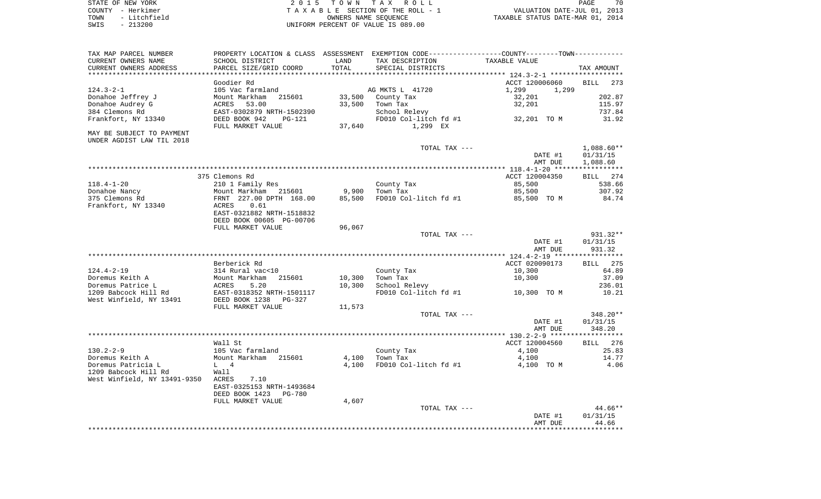| STATE OF NEW YORK    | 2015 TOWN TAX ROLL                 | 70<br>PAGE                       |
|----------------------|------------------------------------|----------------------------------|
| COUNTY - Herkimer    | TAXABLE SECTION OF THE ROLL - 1    | VALUATION DATE-JUL 01, 2013      |
| - Litchfield<br>TOWN | OWNERS NAME SEOUENCE               | TAXABLE STATUS DATE-MAR 01, 2014 |
| SWIS<br>- 213200     | UNIFORM PERCENT OF VALUE IS 089.00 |                                  |

| TAX MAP PARCEL NUMBER        | PROPERTY LOCATION & CLASS ASSESSMENT        |        | EXEMPTION CODE----------------COUNTY-------TOWN----------- |                |                         |
|------------------------------|---------------------------------------------|--------|------------------------------------------------------------|----------------|-------------------------|
| CURRENT OWNERS NAME          | SCHOOL DISTRICT                             | LAND   | TAX DESCRIPTION                                            | TAXABLE VALUE  |                         |
| CURRENT OWNERS ADDRESS       | PARCEL SIZE/GRID COORD                      | TOTAL  | SPECIAL DISTRICTS                                          |                | TAX AMOUNT              |
| **********************       | ***********************                     |        |                                                            |                |                         |
|                              | Goodier Rd                                  |        |                                                            | ACCT 120006060 | <b>BILL</b><br>273      |
| $124.3 - 2 - 1$              | 105 Vac farmland                            |        | AG MKTS L 41720                                            | 1,299<br>1,299 |                         |
| Donahoe Jeffrey J            | Mount Markham<br>215601                     | 33,500 | County Tax                                                 | 32,201         | 202.87                  |
| Donahoe Audrey G             | 53.00<br>ACRES                              | 33,500 | Town Tax                                                   | 32,201         | 115.97                  |
| 384 Clemons Rd               | EAST-0302879 NRTH-1502390                   |        | School Relevy                                              |                | 737.84                  |
| Frankfort, NY 13340          | DEED BOOK 942<br>$PG-121$                   |        | FD010 Col-litch fd #1                                      | 32,201 TO M    | 31.92                   |
|                              | FULL MARKET VALUE                           | 37,640 | 1,299 EX                                                   |                |                         |
| MAY BE SUBJECT TO PAYMENT    |                                             |        |                                                            |                |                         |
| UNDER AGDIST LAW TIL 2018    |                                             |        |                                                            |                |                         |
|                              |                                             |        | TOTAL TAX ---                                              |                | $1,088.60**$            |
|                              |                                             |        |                                                            | DATE #1        | 01/31/15                |
|                              |                                             |        |                                                            | AMT DUE        | 1,088.60<br>*********** |
|                              | 375 Clemons Rd                              |        |                                                            | ACCT 120004350 | 274<br><b>BILL</b>      |
| $118.4 - 1 - 20$             |                                             |        |                                                            | 85,500         | 538.66                  |
| Donahoe Nancy                | 210 1 Family Res<br>Mount Markham<br>215601 | 9,900  | County Tax<br>Town Tax                                     | 85,500         | 307.92                  |
| 375 Clemons Rd               | FRNT 227.00 DPTH 168.00                     | 85,500 | FD010 Col-litch fd #1                                      | 85,500 TO M    | 84.74                   |
| Frankfort, NY 13340          | ACRES<br>0.61                               |        |                                                            |                |                         |
|                              | EAST-0321882 NRTH-1518832                   |        |                                                            |                |                         |
|                              | DEED BOOK 00605 PG-00706                    |        |                                                            |                |                         |
|                              | FULL MARKET VALUE                           | 96,067 |                                                            |                |                         |
|                              |                                             |        | TOTAL TAX ---                                              |                | 931.32**                |
|                              |                                             |        |                                                            | DATE #1        | 01/31/15                |
|                              |                                             |        |                                                            | AMT DUE        | 931.32                  |
|                              |                                             |        |                                                            |                | ***********             |
|                              | Berberick Rd                                |        |                                                            | ACCT 020090173 | <b>BILL</b> 275         |
| $124.4 - 2 - 19$             | 314 Rural vac<10                            |        | County Tax                                                 | 10,300         | 64.89                   |
| Doremus Keith A              | Mount Markham<br>215601                     | 10,300 | Town Tax                                                   | 10,300         | 37.09                   |
| Doremus Patrice L            | ACRES<br>5.20                               | 10,300 | School Relevy                                              |                | 236.01                  |
| 1209 Babcock Hill Rd         | EAST-0318352 NRTH-1501117                   |        | FD010 Col-litch fd #1                                      | 10,300 TO M    | 10.21                   |
| West Winfield, NY 13491      | DEED BOOK 1238<br>$PG-327$                  |        |                                                            |                |                         |
|                              | FULL MARKET VALUE                           | 11,573 |                                                            |                |                         |
|                              |                                             |        | TOTAL TAX ---                                              |                | 348.20**                |
|                              |                                             |        |                                                            | DATE #1        | 01/31/15                |
|                              |                                             |        |                                                            | AMT DUE        | 348.20                  |
|                              |                                             |        |                                                            |                | ***********             |
|                              | Wall St                                     |        |                                                            | ACCT 120004560 | 276<br>BILL             |
| $130.2 - 2 - 9$              | 105 Vac farmland                            |        | County Tax                                                 | 4,100          | 25.83                   |
| Doremus Keith A              | Mount Markham 215601                        | 4,100  | Town Tax                                                   | 4,100          | 14.77                   |
| Doremus Patricia L           | $L \t 4$                                    | 4,100  | FD010 Col-litch fd #1                                      | 4,100 TO M     | 4.06                    |
| 1209 Babcock Hill Rd         | Wall                                        |        |                                                            |                |                         |
| West Winfield, NY 13491-9350 | ACRES<br>7.10                               |        |                                                            |                |                         |
|                              | EAST-0325153 NRTH-1493684                   |        |                                                            |                |                         |
|                              | DEED BOOK 1423<br><b>PG-780</b>             |        |                                                            |                |                         |
|                              | FULL MARKET VALUE                           | 4,607  |                                                            |                |                         |
|                              |                                             |        | TOTAL TAX ---                                              |                | 44.66**                 |
|                              |                                             |        |                                                            | DATE #1        | 01/31/15                |
|                              |                                             |        |                                                            | AMT DUE        | 44.66                   |
|                              |                                             |        |                                                            |                |                         |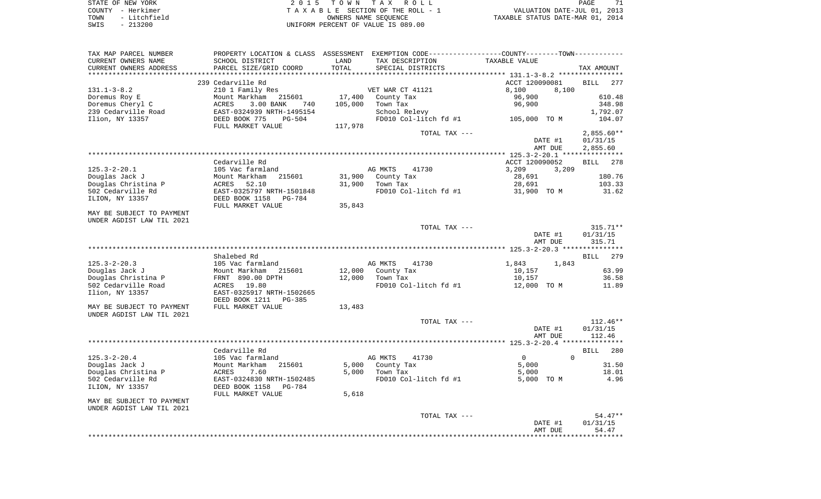STATE OF NEW YORK **EXECUTE:** TOWN TAX ROLL PAGE 71 COUNTY - Herkimer<br>
T A X A B L E SECTION OF THE ROLL - 1<br>
TOWN - Litchfield<br>
SWIS - 213200 - UNIFORM PERCENT OF VALUE IS 089.00 TOWN - LITTLE OF THE ROLL - 1<br>
TAXABLE STATUS DATE-JUL 01, 2013<br>
OWNERS NAME SEQUENCE TAXABLE STATUS DATE-MAR 01, 2014 SWIS - 213200 UNIFORM PERCENT OF VALUE IS 089.00

| TAX MAP PARCEL NUMBER     |                                  |         | PROPERTY LOCATION & CLASS ASSESSMENT EXEMPTION CODE---------------COUNTY-------TOWN---------- |                                     |                    |
|---------------------------|----------------------------------|---------|-----------------------------------------------------------------------------------------------|-------------------------------------|--------------------|
| CURRENT OWNERS NAME       | SCHOOL DISTRICT                  | LAND    | TAX DESCRIPTION                                                                               | TAXABLE VALUE                       |                    |
| CURRENT OWNERS ADDRESS    | PARCEL SIZE/GRID COORD           | TOTAL   | SPECIAL DISTRICTS                                                                             |                                     | TAX AMOUNT         |
|                           |                                  |         |                                                                                               | ************ 131.1-3-8.2 ********** |                    |
|                           | 239 Cedarville Rd                |         |                                                                                               | ACCT 120090081                      | <b>BILL</b><br>277 |
| $131.1 - 3 - 8.2$         | 210 1 Family Res                 |         | VET WAR CT 41121                                                                              | 8,100<br>8,100                      |                    |
| Doremus Roy E             | Mount Markham<br>215601          | 17,400  | County Tax                                                                                    | 96,900                              | 610.48             |
| Doremus Cheryl C          | <b>ACRES</b><br>3.00 BANK<br>740 | 105,000 | Town Tax                                                                                      | 96,900                              | 348.98             |
| 239 Cedarville Road       | EAST-0324939 NRTH-1495154        |         | School Relevy                                                                                 |                                     | 1,792.07           |
| Ilion, NY 13357           | DEED BOOK 775<br>$PG-504$        |         | FD010 Col-litch fd #1                                                                         | 105,000 TO M                        | 104.07             |
|                           | FULL MARKET VALUE                | 117,978 |                                                                                               |                                     |                    |
|                           |                                  |         | TOTAL TAX ---                                                                                 |                                     | $2,855.60**$       |
|                           |                                  |         |                                                                                               | DATE #1                             | 01/31/15           |
|                           |                                  |         |                                                                                               | AMT DUE                             | 2,855.60           |
|                           |                                  |         |                                                                                               |                                     |                    |
|                           | Cedarville Rd                    |         |                                                                                               |                                     |                    |
| $125.3 - 2 - 20.1$        | 105 Vac farmland                 |         | AG MKTS<br>41730                                                                              | ACCT 120090052<br>3,209             | <b>BILL</b><br>278 |
|                           |                                  |         |                                                                                               | 3,209                               |                    |
| Douglas Jack J            | Mount Markham<br>215601          | 31,900  | County Tax                                                                                    | 28,691                              | 180.76             |
| Douglas Christina P       | 52.10<br>ACRES                   | 31,900  | Town Tax                                                                                      | 28,691                              | 103.33             |
| 502 Cedarville Rd         | EAST-0325797 NRTH-1501848        |         | FD010 Col-litch fd #1                                                                         | 31,900 TO M                         | 31.62              |
| ILION, NY 13357           | DEED BOOK 1158<br>PG-784         |         |                                                                                               |                                     |                    |
|                           | FULL MARKET VALUE                | 35,843  |                                                                                               |                                     |                    |
| MAY BE SUBJECT TO PAYMENT |                                  |         |                                                                                               |                                     |                    |
| UNDER AGDIST LAW TIL 2021 |                                  |         |                                                                                               |                                     |                    |
|                           |                                  |         | TOTAL TAX ---                                                                                 |                                     | $315.71**$         |
|                           |                                  |         |                                                                                               | DATE #1                             | 01/31/15           |
|                           |                                  |         |                                                                                               | AMT DUE                             | 315.71             |
|                           |                                  |         |                                                                                               |                                     |                    |
|                           | Shalebed Rd                      |         |                                                                                               |                                     | 279<br>BILL        |
| $125.3 - 2 - 20.3$        | 105 Vac farmland                 |         | AG MKTS<br>41730                                                                              | 1,843<br>1,843                      |                    |
| Douglas Jack J            | Mount Markham<br>215601          | 12,000  | County Tax                                                                                    | 10,157                              | 63.99              |
| Douglas Christina P       | FRNT 890.00 DPTH                 | 12,000  | Town Tax                                                                                      | 10,157                              | 36.58              |
| 502 Cedarville Road       | ACRES 19.80                      |         | FD010 Col-litch fd #1                                                                         | 12,000 TO M                         | 11.89              |
| Ilion, NY 13357           | EAST-0325917 NRTH-1502665        |         |                                                                                               |                                     |                    |
|                           | DEED BOOK 1211<br>$PG-385$       |         |                                                                                               |                                     |                    |
| MAY BE SUBJECT TO PAYMENT | FULL MARKET VALUE                | 13,483  |                                                                                               |                                     |                    |
| UNDER AGDIST LAW TIL 2021 |                                  |         |                                                                                               |                                     |                    |
|                           |                                  |         | TOTAL TAX ---                                                                                 |                                     | $112.46**$         |
|                           |                                  |         |                                                                                               | DATE #1                             | 01/31/15           |
|                           |                                  |         |                                                                                               | AMT DUE                             | 112.46             |
|                           |                                  |         |                                                                                               |                                     |                    |
|                           | Cedarville Rd                    |         |                                                                                               |                                     | 280<br>BILL        |
| $125.3 - 2 - 20.4$        | 105 Vac farmland                 |         | AG MKTS<br>41730                                                                              | $\mathbf{0}$<br>$\Omega$            |                    |
| Douglas Jack J            | Mount Markham<br>215601          | 5,000   | County Tax                                                                                    | 5,000                               | 31.50              |
| Douglas Christina P       | <b>ACRES</b><br>7.60             | 5.000   | Town Tax                                                                                      | 5,000                               | 18.01              |
| 502 Cedarville Rd         | EAST-0324830 NRTH-1502485        |         | FD010 Col-litch fd #1                                                                         | 5,000 TO M                          | 4.96               |
| ILION, NY 13357           | DEED BOOK 1158<br>PG-784         |         |                                                                                               |                                     |                    |
|                           | FULL MARKET VALUE                | 5,618   |                                                                                               |                                     |                    |
| MAY BE SUBJECT TO PAYMENT |                                  |         |                                                                                               |                                     |                    |
| UNDER AGDIST LAW TIL 2021 |                                  |         |                                                                                               |                                     |                    |
|                           |                                  |         | TOTAL TAX ---                                                                                 |                                     | $54.47**$          |
|                           |                                  |         |                                                                                               | DATE #1                             | 01/31/15           |
|                           |                                  |         |                                                                                               | AMT DUE                             | 54.47              |
|                           |                                  |         |                                                                                               |                                     | ********           |
|                           |                                  |         |                                                                                               |                                     |                    |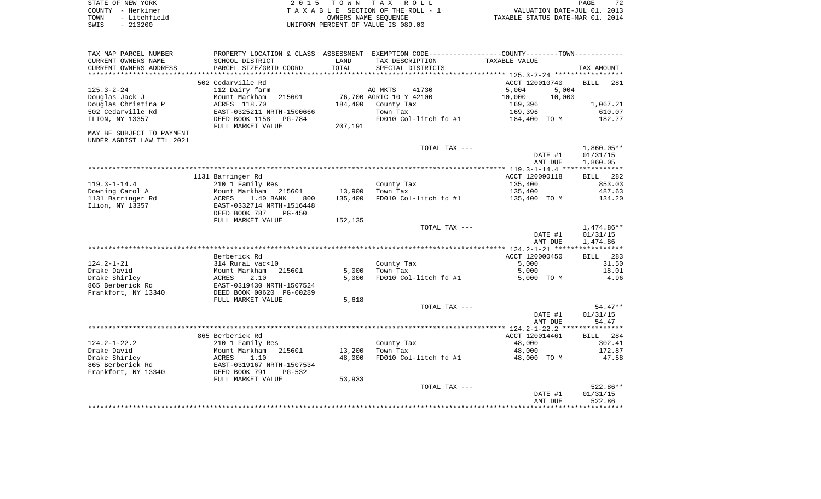| STATE OF NEW YORK    | 2015 TOWN TAX ROLL                 | 72<br>PAGE                       |
|----------------------|------------------------------------|----------------------------------|
| COUNTY - Herkimer    | TAXABLE SECTION OF THE ROLL - 1    | VALUATION DATE-JUL 01, 2013      |
| - Litchfield<br>TOWN | OWNERS NAME SEOUENCE               | TAXABLE STATUS DATE-MAR 01, 2014 |
| $-213200$<br>SWIS    | UNIFORM PERCENT OF VALUE IS 089.00 |                                  |

| TAX MAP PARCEL NUMBER                   | PROPERTY LOCATION & CLASS ASSESSMENT EXEMPTION CODE---------------COUNTY--------TOWN---------- |         |                         |                  |              |
|-----------------------------------------|------------------------------------------------------------------------------------------------|---------|-------------------------|------------------|--------------|
| CURRENT OWNERS NAME                     | SCHOOL DISTRICT                                                                                | LAND    | TAX DESCRIPTION         | TAXABLE VALUE    |              |
| CURRENT OWNERS ADDRESS                  | PARCEL SIZE/GRID COORD                                                                         | TOTAL   | SPECIAL DISTRICTS       |                  | TAX AMOUNT   |
| ********************                    | ***************************                                                                    |         |                         |                  |              |
|                                         | 502 Cedarville Rd                                                                              |         |                         | ACCT 120010740   | BILL<br>281  |
| $125.3 - 2 - 24$                        | 112 Dairy farm                                                                                 |         | AG MKTS<br>41730        | 5,004<br>5,004   |              |
| Douglas Jack J                          | Mount Markham<br>215601                                                                        |         | 76,700 AGRIC 10 Y 42100 | 10,000<br>10,000 |              |
| Douglas Christina P                     | ACRES 118.70                                                                                   | 184,400 | County Tax              | 169,396          | 1,067.21     |
| 502 Cedarville Rd                       | EAST-0325211 NRTH-1500666                                                                      |         | Town Tax                | 169,396          | 610.07       |
| ILION, NY 13357                         | DEED BOOK 1158<br><b>PG-784</b><br>FULL MARKET VALUE                                           | 207,191 | FD010 Col-litch fd #1   | 184,400 TO M     | 182.77       |
| MAY BE SUBJECT TO PAYMENT               |                                                                                                |         |                         |                  |              |
| UNDER AGDIST LAW TIL 2021               |                                                                                                |         |                         |                  |              |
|                                         |                                                                                                |         | TOTAL TAX ---           |                  | $1,860.05**$ |
|                                         |                                                                                                |         |                         | DATE #1          | 01/31/15     |
|                                         |                                                                                                |         |                         | AMT DUE          | 1,860.05     |
|                                         |                                                                                                |         |                         |                  |              |
|                                         | 1131 Barringer Rd                                                                              |         |                         | ACCT 120090118   | BILL 282     |
| $119.3 - 1 - 14.4$                      | 210 1 Family Res                                                                               |         | County Tax              | 135,400          | 853.03       |
| Downing Carol A                         | Mount Markham<br>215601                                                                        | 13,900  | Town Tax                | 135,400          | 487.63       |
| 1131 Barringer Rd                       | ACRES<br>1.40 BANK<br>800                                                                      | 135,400 | FD010 Col-litch fd #1   | 135,400 TO M     | 134.20       |
| Ilion, NY 13357                         | EAST-0332714 NRTH-1516448<br>DEED BOOK 787<br>$PG-450$                                         |         |                         |                  |              |
|                                         | FULL MARKET VALUE                                                                              | 152,135 |                         |                  |              |
|                                         |                                                                                                |         | TOTAL TAX ---           |                  | $1,474.86**$ |
|                                         |                                                                                                |         |                         | DATE #1          | 01/31/15     |
|                                         |                                                                                                |         |                         | AMT DUE          | 1,474.86     |
|                                         |                                                                                                |         |                         |                  |              |
|                                         | Berberick Rd                                                                                   |         |                         | ACCT 120000450   | BILL 283     |
| $124.2 - 1 - 21$                        | 314 Rural vac<10                                                                               |         | County Tax              | 5,000            | 31.50        |
| Drake David                             | Mount Markham<br>215601                                                                        | 5,000   | Town Tax                | 5,000            | 18.01        |
| Drake Shirley                           | 2.10<br>ACRES                                                                                  | 5,000   | FD010 Col-litch fd #1   | 5,000 TO M       | 4.96         |
| 865 Berberick Rd                        | EAST-0319430 NRTH-1507524                                                                      |         |                         |                  |              |
| Frankfort, NY 13340                     | DEED BOOK 00620 PG-00289                                                                       |         |                         |                  |              |
|                                         | FULL MARKET VALUE                                                                              | 5,618   |                         |                  |              |
|                                         |                                                                                                |         | TOTAL TAX ---           |                  | $54.47**$    |
|                                         |                                                                                                |         |                         | DATE #1          | 01/31/15     |
|                                         |                                                                                                |         |                         | AMT DUE          | 54.47        |
|                                         |                                                                                                |         |                         |                  |              |
|                                         | 865 Berberick Rd                                                                               |         |                         | ACCT 120014461   | BILL 284     |
| $124.2 - 1 - 22.2$                      | 210 1 Family Res                                                                               |         | County Tax              | 48,000           | 302.41       |
| Drake David                             | Mount Markham<br>215601                                                                        | 13,200  | Town Tax                | 48,000           | 172.87       |
| Drake Shirley                           | ACRES<br>1.10                                                                                  | 48,000  | FD010 Col-litch fd #1   | 48,000 TO M      | 47.58        |
| 865 Berberick Rd<br>Frankfort, NY 13340 | EAST-0319167 NRTH-1507534<br>DEED BOOK 791<br>PG-532                                           |         |                         |                  |              |
|                                         |                                                                                                | 53,933  |                         |                  |              |
|                                         | FULL MARKET VALUE                                                                              |         | TOTAL TAX ---           |                  | $522.86**$   |
|                                         |                                                                                                |         |                         | DATE #1          | 01/31/15     |
|                                         |                                                                                                |         |                         | AMT DUE          | 522.86       |
|                                         |                                                                                                |         |                         |                  |              |
|                                         |                                                                                                |         |                         |                  |              |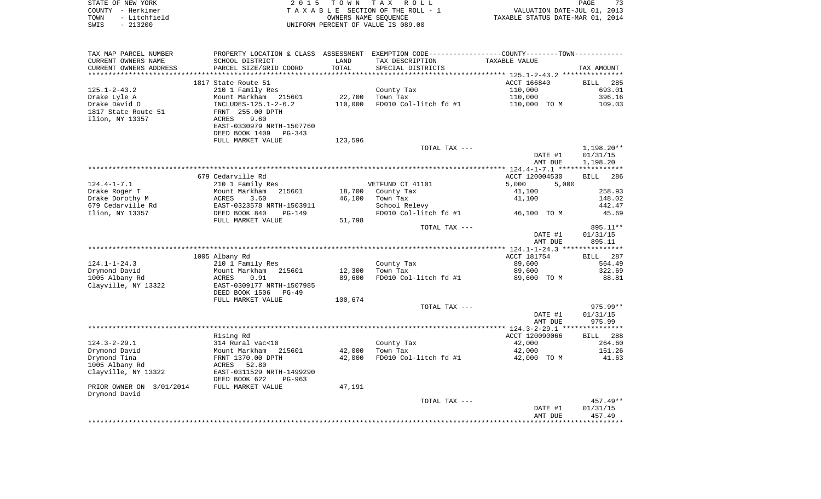| STATE OF NEW YORK    | 2015 TOWN TAX ROLL                 | 73<br>PAGE                       |
|----------------------|------------------------------------|----------------------------------|
| COUNTY - Herkimer    | TAXABLE SECTION OF THE ROLL - 1    | VALUATION DATE-JUL 01, 2013      |
| TOWN<br>- Litchfield | OWNERS NAME SEOUENCE               | TAXABLE STATUS DATE-MAR 01, 2014 |
| SWIS<br>- 213200     | UNIFORM PERCENT OF VALUE IS 089.00 |                                  |
|                      |                                    |                                  |

| TAX MAP PARCEL NUMBER    |                            |         | PROPERTY LOCATION & CLASS ASSESSMENT EXEMPTION CODE----------------COUNTY-------TOWN-------- |                |                    |
|--------------------------|----------------------------|---------|----------------------------------------------------------------------------------------------|----------------|--------------------|
| CURRENT OWNERS NAME      | SCHOOL DISTRICT            | LAND    | TAX DESCRIPTION                                                                              | TAXABLE VALUE  |                    |
| CURRENT OWNERS ADDRESS   | PARCEL SIZE/GRID COORD     | TOTAL   | SPECIAL DISTRICTS                                                                            |                | TAX AMOUNT         |
|                          |                            |         |                                                                                              |                |                    |
|                          | 1817 State Route 51        |         |                                                                                              | ACCT 166840    | BILL 285           |
| $125.1 - 2 - 43.2$       | 210 1 Family Res           |         | County Tax                                                                                   | 110,000        | 693.01             |
| Drake Lyle A             | Mount Markham<br>215601    | 22,700  | Town Tax                                                                                     | 110,000        | 396.16             |
| Drake David O            | INCLUDES-125.1-2-6.2       | 110,000 | FD010 Col-litch fd #1                                                                        | 110,000 TO M   | 109.03             |
| 1817 State Route 51      | FRNT 255.00 DPTH           |         |                                                                                              |                |                    |
| Ilion, NY 13357          | ACRES<br>9.60              |         |                                                                                              |                |                    |
|                          | EAST-0330979 NRTH-1507760  |         |                                                                                              |                |                    |
|                          | DEED BOOK 1409<br>$PG-343$ |         |                                                                                              |                |                    |
|                          |                            |         |                                                                                              |                |                    |
|                          | FULL MARKET VALUE          | 123,596 |                                                                                              |                |                    |
|                          |                            |         | TOTAL TAX ---                                                                                |                | $1,198.20**$       |
|                          |                            |         |                                                                                              | DATE #1        | 01/31/15           |
|                          |                            |         |                                                                                              | AMT DUE        | 1,198.20           |
|                          |                            |         |                                                                                              |                |                    |
|                          | 679 Cedarville Rd          |         |                                                                                              | ACCT 120004530 | <b>BILL</b><br>286 |
| $124.4 - 1 - 7.1$        | 210 1 Family Res           |         | VETFUND CT 41101                                                                             | 5,000<br>5,000 |                    |
| Drake Roger T            | Mount Markham<br>215601    | 18,700  | County Tax                                                                                   | 41,100         | 258.93             |
| Drake Dorothy M          | ACRES<br>3.60              | 46,100  | Town Tax                                                                                     | 41,100         | 148.02             |
| 679 Cedarville Rd        | EAST-0323578 NRTH-1503911  |         | School Relevy                                                                                |                | 442.47             |
| Ilion, NY 13357          | DEED BOOK 840<br>$PG-149$  |         | FD010 Col-litch fd #1                                                                        | 46,100 TO M    | 45.69              |
|                          | FULL MARKET VALUE          | 51,798  |                                                                                              |                |                    |
|                          |                            |         | TOTAL TAX ---                                                                                |                | 895.11**           |
|                          |                            |         |                                                                                              | DATE #1        | 01/31/15           |
|                          |                            |         |                                                                                              | AMT DUE        | 895.11             |
|                          |                            |         |                                                                                              |                |                    |
|                          | 1005 Albany Rd             |         |                                                                                              | ACCT 181754    | BILL 287           |
| $124.1 - 1 - 24.3$       | 210 1 Family Res           |         | County Tax                                                                                   | 89,600         | 564.49             |
| Drymond David            | Mount Markham 215601       | 12,300  | Town Tax                                                                                     | 89,600         | 322.69             |
| 1005 Albany Rd           | ACRES<br>0.91              | 89,600  | FD010 Col-litch fd #1                                                                        | 89,600 TO M    | 88.81              |
|                          |                            |         |                                                                                              |                |                    |
| Clayville, NY 13322      | EAST-0309177 NRTH-1507985  |         |                                                                                              |                |                    |
|                          | DEED BOOK 1506<br>PG-49    |         |                                                                                              |                |                    |
|                          | FULL MARKET VALUE          | 100,674 |                                                                                              |                |                    |
|                          |                            |         | TOTAL TAX ---                                                                                |                | 975.99**           |
|                          |                            |         |                                                                                              | DATE #1        | 01/31/15           |
|                          |                            |         |                                                                                              | AMT DUE        | 975.99             |
|                          |                            |         |                                                                                              |                |                    |
|                          | Rising Rd                  |         |                                                                                              | ACCT 120090066 | BILL 288           |
| $124.3 - 2 - 29.1$       | 314 Rural vac<10           |         | County Tax                                                                                   | 42,000         | 264.60             |
| Drymond David            | 215601<br>Mount Markham    | 42,000  | Town Tax                                                                                     | 42,000         | 151.26             |
| Drymond Tina             | FRNT 1370.00 DPTH          | 42,000  | FD010 Col-litch fd #1                                                                        | 42,000 TO M    | 41.63              |
| 1005 Albany Rd           | ACRES 52.80                |         |                                                                                              |                |                    |
| Clayville, NY 13322      | EAST-0311529 NRTH-1499290  |         |                                                                                              |                |                    |
|                          | DEED BOOK 622<br>PG-963    |         |                                                                                              |                |                    |
| PRIOR OWNER ON 3/01/2014 | FULL MARKET VALUE          | 47,191  |                                                                                              |                |                    |
| Drymond David            |                            |         |                                                                                              |                |                    |
|                          |                            |         | TOTAL TAX ---                                                                                |                | 457.49**           |
|                          |                            |         |                                                                                              | DATE #1        | 01/31/15           |
|                          |                            |         |                                                                                              | AMT DUE        | 457.49             |
|                          |                            |         |                                                                                              |                |                    |
|                          |                            |         |                                                                                              |                |                    |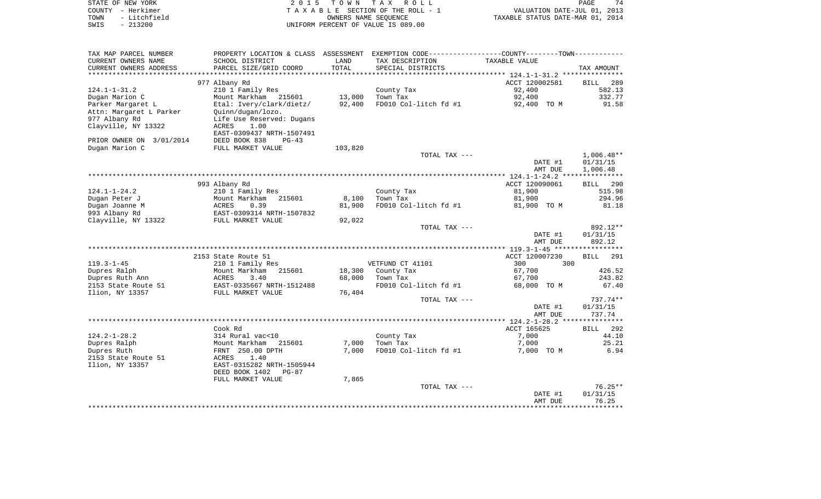| STATE OF NEW YORK<br>COUNTY - Herkimer<br>- Litchfield<br>TOWN<br>$-213200$<br>SWIS | 2 0 1 5                                                                                             | T O W N          | T A X<br>R O L L<br>TAXABLE SECTION OF THE ROLL - 1<br>OWNERS NAME SEOUENCE<br>UNIFORM PERCENT OF VALUE IS 089.00 | VALUATION DATE-JUL 01, 2013<br>TAXABLE STATUS DATE-MAR 01, 2014 | PAGE<br>74                           |
|-------------------------------------------------------------------------------------|-----------------------------------------------------------------------------------------------------|------------------|-------------------------------------------------------------------------------------------------------------------|-----------------------------------------------------------------|--------------------------------------|
| TAX MAP PARCEL NUMBER                                                               | PROPERTY LOCATION & CLASS ASSESSMENT                                                                |                  | EXEMPTION CODE-----------------COUNTY-------TOWN-----------                                                       |                                                                 |                                      |
| CURRENT OWNERS NAME<br>CURRENT OWNERS ADDRESS                                       | SCHOOL DISTRICT<br>PARCEL SIZE/GRID COORD                                                           | LAND<br>TOTAL    | TAX DESCRIPTION<br>SPECIAL DISTRICTS                                                                              | TAXABLE VALUE                                                   | TAX AMOUNT                           |
| ***********************                                                             |                                                                                                     |                  |                                                                                                                   |                                                                 |                                      |
| $124.1 - 1 - 31.2$                                                                  | 977 Albany Rd<br>210 1 Family Res                                                                   |                  | County Tax                                                                                                        | ACCT 120002581<br>92,400                                        | 289<br>BILL<br>582.13                |
| Dugan Marion C                                                                      | Mount Markham 215601                                                                                | 13,000           | Town Tax                                                                                                          | 92,400                                                          | 332.77                               |
| Parker Margaret L                                                                   | Etal: Ivery/clark/dietz/                                                                            | 92,400           | FD010 Col-litch fd #1                                                                                             | 92,400 TO M                                                     | 91.58                                |
| Attn: Margaret L Parker<br>977 Albany Rd<br>Clayville, NY 13322                     | Quinn/dugan/lozo.<br>Life Use Reserved: Dugans<br><b>ACRES</b><br>1.00<br>EAST-0309437 NRTH-1507491 |                  |                                                                                                                   |                                                                 |                                      |
| PRIOR OWNER ON 3/01/2014                                                            | DEED BOOK 838<br>$PG-43$                                                                            |                  |                                                                                                                   |                                                                 |                                      |
| Dugan Marion C                                                                      | FULL MARKET VALUE                                                                                   | 103,820          |                                                                                                                   |                                                                 |                                      |
|                                                                                     |                                                                                                     |                  | TOTAL TAX ---                                                                                                     | DATE #1<br>AMT DUE                                              | $1,006.48**$<br>01/31/15<br>1,006.48 |
|                                                                                     |                                                                                                     |                  |                                                                                                                   |                                                                 |                                      |
|                                                                                     | 993 Albany Rd                                                                                       |                  |                                                                                                                   | ACCT 120090061                                                  | BILL 290                             |
| $124.1 - 1 - 24.2$                                                                  | 210 1 Family Res                                                                                    |                  | County Tax                                                                                                        | 81,900                                                          | 515.98                               |
| Dugan Peter J                                                                       | Mount Markham<br>215601                                                                             | 8,100            | Town Tax                                                                                                          | 81,900                                                          | 294.96                               |
| Dugan Joanne M<br>993 Albany Rd<br>Clayville, NY 13322                              | ACRES<br>0.39<br>EAST-0309314 NRTH-1507832<br>FULL MARKET VALUE                                     | 81,900<br>92,022 | FD010 Col-litch fd #1                                                                                             | 81,900 TO M                                                     | 81.18                                |
|                                                                                     |                                                                                                     |                  | TOTAL TAX ---                                                                                                     |                                                                 | 892.12**                             |
|                                                                                     |                                                                                                     |                  |                                                                                                                   | DATE #1<br>AMT DUE                                              | 01/31/15<br>892.12                   |
|                                                                                     |                                                                                                     |                  |                                                                                                                   |                                                                 |                                      |
|                                                                                     | 2153 State Route 51                                                                                 |                  |                                                                                                                   | ACCT 120007230                                                  | <b>BILL</b><br>291                   |
| $119.3 - 1 - 45$                                                                    | 210 1 Family Res                                                                                    |                  | VETFUND CT 41101                                                                                                  | 300<br>300                                                      |                                      |
| Dupres Ralph                                                                        | Mount Markham<br>215601                                                                             | 18,300           | County Tax                                                                                                        | 67,700                                                          | 426.52                               |
| Dupres Ruth Ann<br>2153 State Route 51                                              | ACRES<br>3.40<br>EAST-0335667 NRTH-1512488                                                          | 68,000           | Town Tax<br>FD010 Col-litch fd #1                                                                                 | 67,700<br>68,000 TO M                                           | 243.82<br>67.40                      |
| Ilion, NY 13357                                                                     | FULL MARKET VALUE                                                                                   | 76,404           |                                                                                                                   |                                                                 |                                      |
|                                                                                     |                                                                                                     |                  | TOTAL TAX ---                                                                                                     |                                                                 | 737.74**                             |
|                                                                                     |                                                                                                     |                  |                                                                                                                   | DATE #1<br>AMT DUE                                              | 01/31/15<br>737.74                   |
|                                                                                     |                                                                                                     |                  |                                                                                                                   |                                                                 |                                      |
|                                                                                     | Cook Rd                                                                                             |                  |                                                                                                                   | ACCT 165625                                                     | 292<br>BILL                          |
| $124.2 - 1 - 28.2$                                                                  | 314 Rural vac<10                                                                                    |                  | County Tax                                                                                                        | 7,000                                                           | 44.10                                |
| Dupres Ralph<br>Dupres Ruth                                                         | Mount Markham<br>215601<br>FRNT 250.00 DPTH                                                         | 7,000<br>7,000   | Town Tax<br>FD010 Col-litch fd #1                                                                                 | 7,000<br>7,000 TO M                                             | 25.21<br>6.94                        |
| 2153 State Route 51                                                                 | 1.40<br>ACRES                                                                                       |                  |                                                                                                                   |                                                                 |                                      |
| Ilion, NY 13357                                                                     | EAST-0315282 NRTH-1505944<br>DEED BOOK 1402 PG-87                                                   |                  |                                                                                                                   |                                                                 |                                      |
|                                                                                     | FULL MARKET VALUE                                                                                   | 7,865            |                                                                                                                   |                                                                 |                                      |
|                                                                                     |                                                                                                     |                  | TOTAL TAX ---                                                                                                     |                                                                 | $76.25**$                            |
|                                                                                     |                                                                                                     |                  |                                                                                                                   | DATE #1                                                         | 01/31/15                             |
|                                                                                     |                                                                                                     |                  |                                                                                                                   | AMT DUE<br>.                                                    | 76.25<br>**********                  |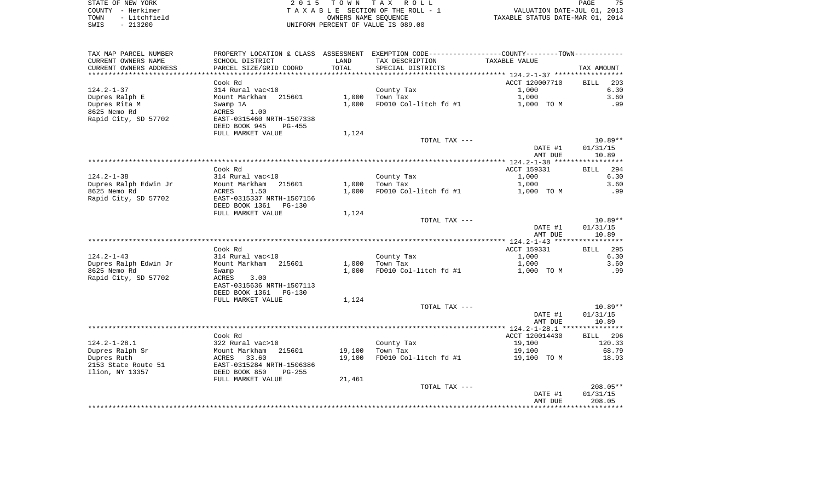| STATE OF NEW YORK    | 2015 TOWN TAX ROLL                 | PAGE                             | 75 |
|----------------------|------------------------------------|----------------------------------|----|
| COUNTY - Herkimer    | TAXABLE SECTION OF THE ROLL - 1    | VALUATION DATE-JUL 01, 2013      |    |
| TOWN<br>- Litchfield | OWNERS NAME SEOUENCE               | TAXABLE STATUS DATE-MAR 01, 2014 |    |
| SWIS<br>- 213200     | UNIFORM PERCENT OF VALUE IS 089.00 |                                  |    |

|  | PAGE                           | 75 |  |
|--|--------------------------------|----|--|
|  | VALUATION DATE-JUL 01, 2013    |    |  |
|  | KABLE STATUS DATE-MAR 01, 2014 |    |  |

| TAX MAP PARCEL NUMBER  | PROPERTY LOCATION & CLASS ASSESSMENT EXEMPTION CODE----------------COUNTY--------TOWN---------- |                   |                       |                      |                         |
|------------------------|-------------------------------------------------------------------------------------------------|-------------------|-----------------------|----------------------|-------------------------|
| CURRENT OWNERS NAME    | SCHOOL DISTRICT                                                                                 | LAND              | TAX DESCRIPTION       | TAXABLE VALUE        |                         |
| CURRENT OWNERS ADDRESS | PARCEL SIZE/GRID COORD                                                                          | TOTAL             | SPECIAL DISTRICTS     |                      | TAX AMOUNT              |
| ******************     | *******************                                                                             | * * * * * * * * * |                       |                      |                         |
|                        | Cook Rd                                                                                         |                   |                       | ACCT 120007710       | <b>BILL</b><br>293      |
| $124.2 - 1 - 37$       | 314 Rural vac<10                                                                                |                   | County Tax            | 1,000                | 6.30                    |
| Dupres Ralph E         | Mount Markham 215601                                                                            | 1,000             | Town Tax              | 1,000                | 3.60                    |
| Dupres Rita M          | Swamp 1A                                                                                        | 1,000             | FD010 Col-litch fd #1 | 1,000 TO M           | .99                     |
| 8625 Nemo Rd           | ACRES<br>1.00                                                                                   |                   |                       |                      |                         |
| Rapid City, SD 57702   | EAST-0315460 NRTH-1507338                                                                       |                   |                       |                      |                         |
|                        | DEED BOOK 945<br>PG-455                                                                         |                   |                       |                      |                         |
|                        | FULL MARKET VALUE                                                                               | 1,124             |                       |                      |                         |
|                        |                                                                                                 |                   | TOTAL TAX ---         |                      | $10.89**$               |
|                        |                                                                                                 |                   |                       | DATE #1              | 01/31/15                |
|                        |                                                                                                 |                   |                       | AMT DUE              | 10.89                   |
|                        |                                                                                                 |                   |                       |                      | * * * * * * * * * * *   |
|                        | Cook Rd                                                                                         |                   |                       | ACCT 159331          | 294<br><b>BILL</b>      |
| $124.2 - 1 - 38$       | 314 Rural vac<10                                                                                |                   | County Tax            | 1,000                | 6.30                    |
| Dupres Ralph Edwin Jr  | Mount Markham 215601                                                                            | 1,000             | Town Tax              | 1,000                | 3.60                    |
| 8625 Nemo Rd           | ACRES<br>1.50                                                                                   | 1,000             | FD010 Col-litch fd #1 | 1,000 TO M           | .99                     |
| Rapid City, SD 57702   | EAST-0315337 NRTH-1507156                                                                       |                   |                       |                      |                         |
|                        | DEED BOOK 1361<br>$PG-130$                                                                      |                   |                       |                      |                         |
|                        | FULL MARKET VALUE                                                                               | 1,124             |                       |                      |                         |
|                        |                                                                                                 |                   | TOTAL TAX ---         |                      | $10.89**$               |
|                        |                                                                                                 |                   |                       | DATE #1              | 01/31/15                |
|                        |                                                                                                 |                   |                       | AMT DUE              | 10.89                   |
|                        |                                                                                                 |                   |                       |                      |                         |
| $124.2 - 1 - 43$       | Cook Rd<br>314 Rural vac<10                                                                     |                   | County Tax            | ACCT 159331<br>1,000 | <b>BILL</b> 295<br>6.30 |
| Dupres Ralph Edwin Jr  | Mount Markham 215601                                                                            | 1,000             | Town Tax              | 1,000                | 3.60                    |
| 8625 Nemo Rd           |                                                                                                 | 1,000             | FD010 Col-litch fd #1 | 1,000 TO M           | .99                     |
| Rapid City, SD 57702   | Swamp<br>ACRES<br>3.00                                                                          |                   |                       |                      |                         |
|                        | EAST-0315636 NRTH-1507113                                                                       |                   |                       |                      |                         |
|                        | DEED BOOK 1361<br>PG-130                                                                        |                   |                       |                      |                         |
|                        | FULL MARKET VALUE                                                                               | 1,124             |                       |                      |                         |
|                        |                                                                                                 |                   | TOTAL TAX ---         |                      | $10.89**$               |
|                        |                                                                                                 |                   |                       | DATE #1              | 01/31/15                |
|                        |                                                                                                 |                   |                       | AMT DUE              | 10.89                   |
|                        |                                                                                                 |                   |                       |                      |                         |
|                        | Cook Rd                                                                                         |                   |                       | ACCT 120014430       | BILL 296                |
| $124.2 - 1 - 28.1$     | 322 Rural vac>10                                                                                |                   | County Tax            | 19,100               | 120.33                  |
| Dupres Ralph Sr        | 215601<br>Mount Markham                                                                         | 19,100            | Town Tax              | 19,100               | 68.79                   |
| Dupres Ruth            | ACRES<br>33.60                                                                                  | 19,100            | FD010 Col-litch fd #1 | 19,100 TO M          | 18.93                   |
| 2153 State Route 51    | EAST-0315284 NRTH-1506386                                                                       |                   |                       |                      |                         |
| Ilion, NY 13357        | DEED BOOK 850<br>$PG-255$                                                                       |                   |                       |                      |                         |
|                        | FULL MARKET VALUE                                                                               | 21,461            |                       |                      |                         |
|                        |                                                                                                 |                   | TOTAL TAX ---         |                      | $208.05**$              |
|                        |                                                                                                 |                   |                       | DATE #1              | 01/31/15                |
|                        |                                                                                                 |                   |                       | AMT DUE              | 208.05                  |
|                        |                                                                                                 |                   |                       |                      |                         |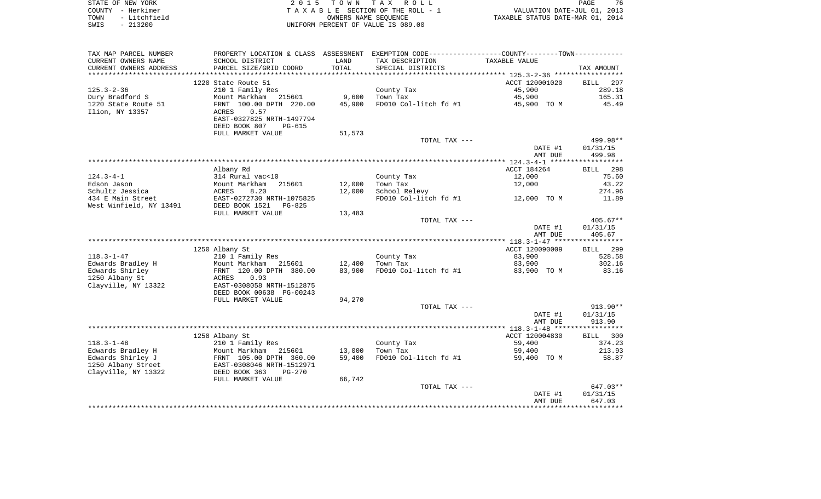| STATE OF NEW YORK    | 2015 TOWN TAX ROLL                 | 76<br>PAGE                       |
|----------------------|------------------------------------|----------------------------------|
| COUNTY - Herkimer    | TAXABLE SECTION OF THE ROLL - 1    | VALUATION DATE-JUL 01, 2013      |
| - Litchfield<br>TOWN | OWNERS NAME SEOUENCE               | TAXABLE STATUS DATE-MAR 01, 2014 |
| $-213200$<br>SWIS    | UNIFORM PERCENT OF VALUE IS 089.00 |                                  |

| TAX MAP PARCEL NUMBER                |                                                               |        | PROPERTY LOCATION & CLASS ASSESSMENT EXEMPTION CODE----------------COUNTY--------TOWN---------- |                |                    |
|--------------------------------------|---------------------------------------------------------------|--------|-------------------------------------------------------------------------------------------------|----------------|--------------------|
| CURRENT OWNERS NAME                  | SCHOOL DISTRICT                                               | LAND   | TAX DESCRIPTION                                                                                 | TAXABLE VALUE  |                    |
| CURRENT OWNERS ADDRESS               | PARCEL SIZE/GRID COORD                                        | TOTAL  | SPECIAL DISTRICTS                                                                               |                | TAX AMOUNT         |
| *********************                |                                                               |        |                                                                                                 |                |                    |
|                                      | 1220 State Route 51                                           |        |                                                                                                 | ACCT 120001020 | <b>BILL</b><br>297 |
| $125.3 - 2 - 36$                     | 210 1 Family Res                                              |        | County Tax                                                                                      | 45,900         | 289.18             |
| Dury Bradford S                      | Mount Markham 215601                                          | 9,600  | Town Tax                                                                                        | 45,900         | 165.31             |
| 1220 State Route 51                  | FRNT 100.00 DPTH 220.00                                       | 45,900 | FD010 Col-litch fd #1 45,900 TO M                                                               |                | 45.49              |
| Ilion, NY 13357                      | ACRES<br>0.57                                                 |        |                                                                                                 |                |                    |
|                                      | EAST-0327825 NRTH-1497794                                     |        |                                                                                                 |                |                    |
|                                      | DEED BOOK 807<br>PG-615                                       |        |                                                                                                 |                |                    |
|                                      | FULL MARKET VALUE                                             | 51,573 |                                                                                                 |                |                    |
|                                      |                                                               |        | TOTAL TAX ---                                                                                   |                | 499.98**           |
|                                      |                                                               |        |                                                                                                 | DATE #1        | 01/31/15           |
|                                      |                                                               |        |                                                                                                 | AMT DUE        | 499.98             |
|                                      |                                                               |        |                                                                                                 |                |                    |
|                                      | Albany Rd                                                     |        |                                                                                                 | ACCT 184264    | BILL 298           |
| $124.3 - 4 - 1$                      | 314 Rural vac<10                                              |        | County Tax                                                                                      | 12,000         | 75.60              |
| Edson Jason                          | Mount Markham<br>ACRES 8.20<br>EAST-0272730 NRTH-1075825      | 12,000 | Town Tax                                                                                        | 12,000         | 43.22<br>274.96    |
| Schultz Jessica<br>434 E Main Street |                                                               | 12,000 | School Relevy<br>FD010 Col-litch fd #1                                                          | 12,000 TO M    | 11.89              |
| West Winfield, NY 13491              | PG-825                                                        |        |                                                                                                 |                |                    |
|                                      | DEED BOOK 1521<br>FULL MARKET VALUE                           | 13,483 |                                                                                                 |                |                    |
|                                      |                                                               |        | TOTAL TAX ---                                                                                   |                | $405.67**$         |
|                                      |                                                               |        |                                                                                                 | DATE #1        | 01/31/15           |
|                                      |                                                               |        |                                                                                                 | AMT DUE        | 405.67             |
|                                      |                                                               |        |                                                                                                 |                |                    |
|                                      | 1250 Albany St                                                |        |                                                                                                 | ACCT 120090009 | BILL 299           |
| $118.3 - 1 - 47$                     | 210 1 Family Res                                              |        | County Tax                                                                                      | 83,900         | 528.58             |
| Edwards Bradley H                    |                                                               | 12,400 | Town Tax                                                                                        | 83,900         | 302.16             |
| Edwards Shirley                      | Mount Markham 215601<br>FRNT 120.00 DPTH 380.00<br>ACRES 0.93 | 83,900 | FD010 Col-litch fd #1                                                                           | 83,900 TO M    | 83.16              |
| 1250 Albany St                       |                                                               |        |                                                                                                 |                |                    |
| Clayville, NY 13322                  | EAST-0308058 NRTH-1512875                                     |        |                                                                                                 |                |                    |
|                                      | DEED BOOK 00638 PG-00243                                      |        |                                                                                                 |                |                    |
|                                      | FULL MARKET VALUE                                             | 94,270 |                                                                                                 |                |                    |
|                                      |                                                               |        | TOTAL TAX ---                                                                                   |                | $913.90**$         |
|                                      |                                                               |        |                                                                                                 | DATE #1        | 01/31/15           |
|                                      |                                                               |        |                                                                                                 | AMT DUE        | 913.90             |
|                                      |                                                               |        |                                                                                                 |                |                    |
|                                      | 1258 Albany St                                                |        |                                                                                                 | ACCT 120004830 | BILL 300           |
| $118.3 - 1 - 48$                     | 210 1 Family Res                                              |        | County Tax                                                                                      | 59,400         | 374.23             |
| Edwards Bradley H                    |                                                               | 13,000 | Town Tax                                                                                        | 59,400         | 213.93             |
| Edwards Shirley J                    |                                                               | 59,400 | FD010 Col-litch $f d$ #1 59,400 TO M                                                            |                | 58.87              |
| 1250 Albany Street                   |                                                               |        |                                                                                                 |                |                    |
| Clayville, NY 13322                  | DEED BOOK 363<br>PG-270                                       | 66,742 |                                                                                                 |                |                    |
|                                      | FULL MARKET VALUE                                             |        | TOTAL TAX ---                                                                                   |                | 647.03**           |
|                                      |                                                               |        |                                                                                                 | DATE #1        | 01/31/15           |
|                                      |                                                               |        |                                                                                                 | AMT DUE        | 647.03             |
|                                      |                                                               |        |                                                                                                 |                |                    |
|                                      |                                                               |        |                                                                                                 |                |                    |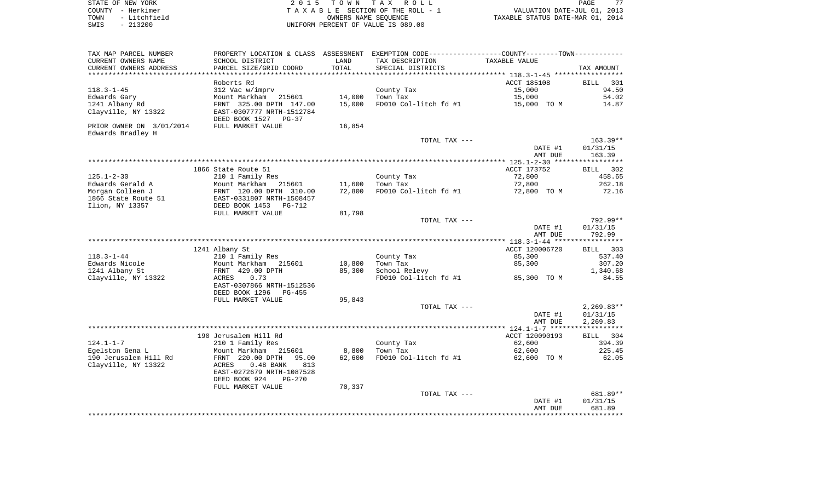| STATE OF NEW YORK |  |              |  |
|-------------------|--|--------------|--|
| COUNTY - Herkimer |  |              |  |
| TOWN              |  | - Litchfield |  |
| SWIS              |  | $-213200$    |  |

| TAX MAP PARCEL NUMBER<br>CURRENT OWNERS NAME<br>CURRENT OWNERS ADDRESS | PROPERTY LOCATION & CLASS ASSESSMENT<br>SCHOOL DISTRICT<br>PARCEL SIZE/GRID COORD                    | LAND<br>TOTAL    | EXEMPTION CODE-----------------COUNTY-------TOWN-----------<br>TAX DESCRIPTION<br>SPECIAL DISTRICTS | TAXABLE VALUE                        | TAX AMOUNT                        |
|------------------------------------------------------------------------|------------------------------------------------------------------------------------------------------|------------------|-----------------------------------------------------------------------------------------------------|--------------------------------------|-----------------------------------|
| *********************                                                  | *******************                                                                                  |                  |                                                                                                     |                                      |                                   |
| $118.3 - 1 - 45$                                                       | Roberts Rd<br>312 Vac w/imprv                                                                        |                  | County Tax                                                                                          | ACCT 185108<br>15,000                | <b>BILL</b><br>301<br>94.50       |
| Edwards Gary<br>1241 Albany Rd<br>Clayville, NY 13322                  | Mount Markham 215601<br>FRNT 325.00 DPTH 147.00<br>EAST-0307777 NRTH-1512784<br>DEED BOOK 1527 PG-37 | 14,000<br>15,000 | Town Tax<br>FD010 Col-litch fd #1                                                                   | 15,000<br>15,000 TO M                | 54.02<br>14.87                    |
| PRIOR OWNER ON 3/01/2014<br>Edwards Bradley H                          | FULL MARKET VALUE                                                                                    | 16,854           |                                                                                                     |                                      |                                   |
|                                                                        |                                                                                                      |                  | TOTAL TAX ---                                                                                       | DATE #1<br>AMT DUE                   | $163.39**$<br>01/31/15<br>163.39  |
|                                                                        |                                                                                                      |                  |                                                                                                     |                                      |                                   |
|                                                                        | 1866 State Route 51                                                                                  |                  |                                                                                                     | ACCT 173752                          | 302<br>BILL                       |
| $125.1 - 2 - 30$<br>Edwards Gerald A                                   | 210 1 Family Res<br>Mount Markham                                                                    |                  | County Tax                                                                                          | 72,800<br>72,800                     | 458.65<br>262.18                  |
| Morgan Colleen J                                                       | 215601<br>FRNT 120.00 DPTH 310.00                                                                    | 11,600<br>72,800 | Town Tax<br>FD010 Col-litch fd #1                                                                   | 72,800 TO M                          | 72.16                             |
| 1866 State Route 51                                                    | EAST-0331807 NRTH-1508457                                                                            |                  |                                                                                                     |                                      |                                   |
| Ilion, NY 13357                                                        | DEED BOOK 1453<br>PG-712                                                                             |                  |                                                                                                     |                                      |                                   |
|                                                                        | FULL MARKET VALUE                                                                                    | 81,798           |                                                                                                     |                                      |                                   |
|                                                                        |                                                                                                      |                  | TOTAL TAX ---                                                                                       |                                      | 792.99**                          |
|                                                                        |                                                                                                      |                  |                                                                                                     | DATE #1<br>AMT DUE                   | 01/31/15<br>792.99                |
|                                                                        |                                                                                                      |                  |                                                                                                     |                                      |                                   |
|                                                                        | 1241 Albany St                                                                                       |                  |                                                                                                     | ACCT 120006720                       | 303<br><b>BILL</b>                |
| $118.3 - 1 - 44$                                                       | 210 1 Family Res                                                                                     |                  | County Tax                                                                                          | 85,300                               | 537.40                            |
| Edwards Nicole<br>1241 Albany St                                       | Mount Markham<br>215601<br>FRNT 429.00 DPTH                                                          | 10,800<br>85,300 | Town Tax<br>School Relevy                                                                           | 85,300                               | 307.20<br>1,340.68                |
| Clayville, NY 13322                                                    | 0.73<br>ACRES                                                                                        |                  | FD010 Col-litch fd #1                                                                               | 85,300 TO M                          | 84.55                             |
|                                                                        | EAST-0307866 NRTH-1512536<br>DEED BOOK 1296<br>$PG-455$                                              |                  |                                                                                                     |                                      |                                   |
|                                                                        | FULL MARKET VALUE                                                                                    | 95,843           |                                                                                                     |                                      |                                   |
|                                                                        |                                                                                                      |                  | TOTAL TAX ---                                                                                       |                                      | $2,269.83**$                      |
|                                                                        |                                                                                                      |                  |                                                                                                     | DATE #1                              | 01/31/15                          |
|                                                                        |                                                                                                      |                  |                                                                                                     | AMT DUE<br>******* 124.1-1-7 ******* | 2,269.83<br>* * * * * * * * * * * |
|                                                                        | 190 Jerusalem Hill Rd                                                                                |                  |                                                                                                     | ACCT 120090193                       | 304<br>BILL                       |
| $124.1 - 1 - 7$                                                        | 210 1 Family Res                                                                                     |                  | County Tax                                                                                          | 62,600                               | 394.39                            |
| Egelston Gena L                                                        | Mount Markham<br>215601                                                                              | 8,800            | Town Tax                                                                                            | 62,600                               | 225.45                            |
| 190 Jerusalem Hill Rd                                                  | FRNT 220.00 DPTH<br>95.00                                                                            | 62,600           | FD010 Col-litch fd #1                                                                               | 62,600 TO M                          | 62.05                             |
| Clayville, NY 13322                                                    | $0.48$ BANK<br><b>ACRES</b><br>813<br>EAST-0272679 NRTH-1087528                                      |                  |                                                                                                     |                                      |                                   |
|                                                                        | DEED BOOK 924<br>$PG-270$                                                                            |                  |                                                                                                     |                                      |                                   |
|                                                                        | FULL MARKET VALUE                                                                                    | 70,337           | TOTAL TAX ---                                                                                       |                                      | 681.89**                          |
|                                                                        |                                                                                                      |                  |                                                                                                     | DATE #1                              | 01/31/15                          |
|                                                                        |                                                                                                      |                  |                                                                                                     | AMT DUE                              | 681.89                            |
|                                                                        |                                                                                                      |                  |                                                                                                     |                                      |                                   |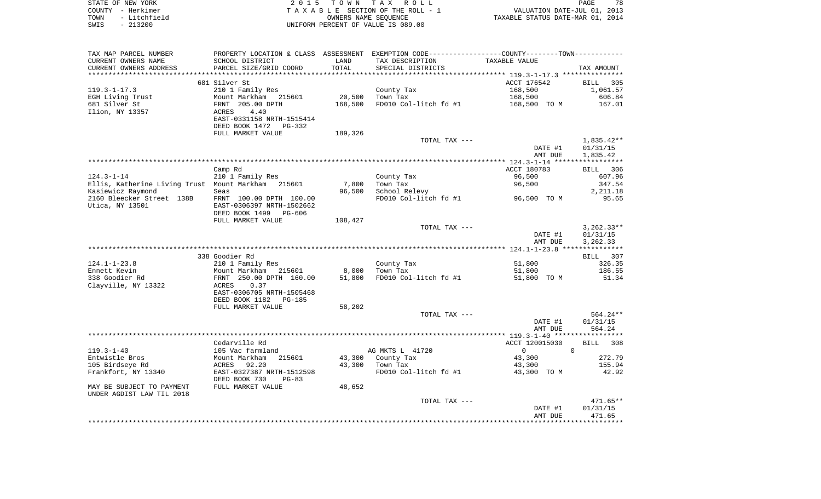|      | STATE OF NEW YORK | 2015 TOWN TAX ROLL                 | 78<br>PAGE                       |
|------|-------------------|------------------------------------|----------------------------------|
|      | COUNTY - Herkimer | TAXABLE SECTION OF THE ROLL - 1    | VALUATION DATE-JUL 01, 2013      |
| TOWN | - Litchfield      | OWNERS NAME SEOUENCE               | TAXABLE STATUS DATE-MAR 01, 2014 |
| SWIS | $-213200$         | UNIFORM PERCENT OF VALUE IS 089.00 |                                  |

| TAX MAP PARCEL NUMBER                                  |                                            |                 | PROPERTY LOCATION & CLASS ASSESSMENT EXEMPTION CODE----------------COUNTY--------TOWN---------- |                |                    |
|--------------------------------------------------------|--------------------------------------------|-----------------|-------------------------------------------------------------------------------------------------|----------------|--------------------|
| CURRENT OWNERS NAME                                    | SCHOOL DISTRICT                            | LAND            | TAX DESCRIPTION                                                                                 | TAXABLE VALUE  |                    |
| CURRENT OWNERS ADDRESS                                 | PARCEL SIZE/GRID COORD                     | TOTAL           | SPECIAL DISTRICTS                                                                               |                | TAX AMOUNT         |
| *******************                                    |                                            | *************** |                                                                                                 |                |                    |
|                                                        | 681 Silver St                              |                 |                                                                                                 | ACCT 176542    | <b>BILL</b><br>305 |
| $119.3 - 1 - 17.3$                                     | 210 1 Family Res                           |                 | County Tax                                                                                      | 168,500        | 1,061.57           |
| EGH Living Trust                                       | Mount Markham 215601                       | 20,500          | Town Tax                                                                                        | 168,500        | 606.84             |
| 681 Silver St                                          | FRNT 205.00 DPTH                           | 168,500         | FD010 Col-litch fd #1                                                                           | 168,500 TO M   | 167.01             |
| Ilion, NY 13357                                        | 4.40<br><b>ACRES</b>                       |                 |                                                                                                 |                |                    |
|                                                        | EAST-0331158 NRTH-1515414                  |                 |                                                                                                 |                |                    |
|                                                        | DEED BOOK 1472<br>PG-332                   |                 |                                                                                                 |                |                    |
|                                                        | FULL MARKET VALUE                          | 189,326         |                                                                                                 |                |                    |
|                                                        |                                            |                 | TOTAL TAX ---                                                                                   |                | 1,835.42**         |
|                                                        |                                            |                 |                                                                                                 | DATE #1        | 01/31/15           |
|                                                        |                                            |                 |                                                                                                 | AMT DUE        | 1,835.42           |
|                                                        | Camp Rd                                    |                 |                                                                                                 | ACCT 180783    | BILL 306           |
| $124.3 - 1 - 14$                                       | 210 1 Family Res                           |                 | County Tax                                                                                      | 96,500         | 607.96             |
| Ellis, Katherine Living Trust Mount Markham 215601     |                                            | 7,800           | Town Tax                                                                                        | 96,500         | 347.54             |
| Kasiewicz Raymond                                      | Seas                                       | 96,500          | School Relevy                                                                                   |                | 2,211.18           |
| 2160 Bleecker Street 138B                              | FRNT 100.00 DPTH 100.00                    |                 | FD010 Col-litch fd #1                                                                           | 96,500 TO M    | 95.65              |
| Utica, NY 13501                                        | EAST-0306397 NRTH-1502662                  |                 |                                                                                                 |                |                    |
|                                                        | DEED BOOK 1499<br>PG-606                   |                 |                                                                                                 |                |                    |
|                                                        | FULL MARKET VALUE                          | 108,427         |                                                                                                 |                |                    |
|                                                        |                                            |                 | TOTAL TAX ---                                                                                   |                | $3,262.33**$       |
|                                                        |                                            |                 |                                                                                                 | DATE #1        | 01/31/15           |
|                                                        |                                            |                 |                                                                                                 | AMT DUE        | 3,262.33           |
|                                                        |                                            |                 |                                                                                                 |                |                    |
|                                                        | 338 Goodier Rd                             |                 |                                                                                                 |                | 307<br>BILL        |
| $124.1 - 1 - 23.8$                                     | 210 1 Family Res                           |                 | County Tax                                                                                      | 51,800         | 326.35             |
| Ennett Kevin                                           | Mount Markham 215601                       | 8,000           | Town Tax                                                                                        | 51,800         | 186.55             |
| 338 Goodier Rd                                         | FRNT 250.00 DPTH 160.00                    | 51,800          | FD010 Col-litch fd #1                                                                           | 51,800 TO M    | 51.34              |
| Clayville, NY 13322                                    | 0.37<br>ACRES<br>EAST-0306705 NRTH-1505468 |                 |                                                                                                 |                |                    |
|                                                        | DEED BOOK 1182<br>PG-185                   |                 |                                                                                                 |                |                    |
|                                                        | FULL MARKET VALUE                          | 58,202          |                                                                                                 |                |                    |
|                                                        |                                            |                 | TOTAL TAX ---                                                                                   |                | 564.24**           |
|                                                        |                                            |                 |                                                                                                 | DATE #1        | 01/31/15           |
|                                                        |                                            |                 |                                                                                                 | AMT DUE        | 564.24             |
|                                                        |                                            |                 |                                                                                                 |                |                    |
|                                                        | Cedarville Rd                              |                 |                                                                                                 | ACCT 120015030 | BILL 308           |
| $119.3 - 1 - 40$                                       | 105 Vac farmland                           |                 | AG MKTS L 41720                                                                                 | $\overline{0}$ | $\Omega$           |
| Entwistle Bros                                         | Mount Markham<br>215601                    | 43,300          | County Tax                                                                                      | 43,300         | 272.79             |
| 105 Birdseye Rd                                        | 92.20<br>ACRES                             | 43,300          | Town Tax                                                                                        | 43,300         | 155.94             |
| Frankfort, NY 13340                                    | EAST-0327387 NRTH-1512598                  |                 | FD010 Col-litch fd #1                                                                           | 43,300 TO M    | 42.92              |
|                                                        | DEED BOOK 730<br>$PG-83$                   |                 |                                                                                                 |                |                    |
| MAY BE SUBJECT TO PAYMENT<br>UNDER AGDIST LAW TIL 2018 | FULL MARKET VALUE                          | 48,652          |                                                                                                 |                |                    |
|                                                        |                                            |                 | TOTAL TAX ---                                                                                   |                | $471.65**$         |
|                                                        |                                            |                 |                                                                                                 | DATE #1        | 01/31/15           |
|                                                        |                                            |                 |                                                                                                 | AMT DUE        | 471.65             |
|                                                        |                                            |                 |                                                                                                 |                |                    |
|                                                        |                                            |                 |                                                                                                 |                |                    |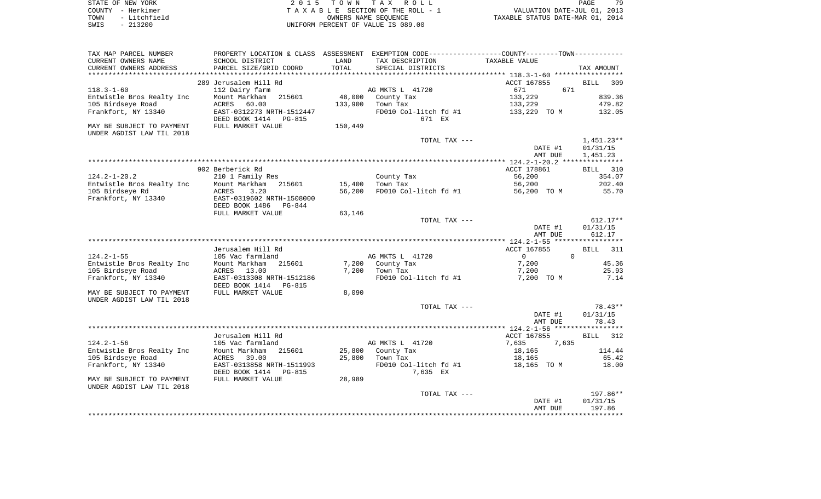| STATE OF NEW YORK    | 2015 TOWN TAX ROLL                 | 79<br>PAGE                       |
|----------------------|------------------------------------|----------------------------------|
| COUNTY - Herkimer    | TAXABLE SECTION OF THE ROLL - 1    | VALUATION DATE-JUL 01, 2013      |
| - Litchfield<br>TOWN | OWNERS NAME SEOUENCE               | TAXABLE STATUS DATE-MAR 01, 2014 |
| $-213200$<br>SWIS    | UNIFORM PERCENT OF VALUE IS 089.00 |                                  |

79

| TAX MAP PARCEL NUMBER<br>CURRENT OWNERS NAME<br>CURRENT OWNERS ADDRESS                                                  | SCHOOL DISTRICT<br>PARCEL SIZE/GRID COORD                                                                                                                                         | LAND<br>TOTAL    | PROPERTY LOCATION & CLASS ASSESSMENT EXEMPTION CODE----------------COUNTY--------TOWN----------<br>TAX DESCRIPTION<br>SPECIAL DISTRICTS | TAXABLE VALUE                                                   | TAX AMOUNT                             |
|-------------------------------------------------------------------------------------------------------------------------|-----------------------------------------------------------------------------------------------------------------------------------------------------------------------------------|------------------|-----------------------------------------------------------------------------------------------------------------------------------------|-----------------------------------------------------------------|----------------------------------------|
|                                                                                                                         |                                                                                                                                                                                   |                  |                                                                                                                                         |                                                                 |                                        |
| $118.3 - 1 - 60$<br>Entwistle Bros Realty Inc<br>105 Birdseye Road<br>Frankfort, NY 13340                               | 289 Jerusalem Hill Rd<br>112 Dairy farm<br>Mount Markham<br>215601<br>ACRES 60.00<br>EAST-0312273 NRTH-1512447                                                                    | 133,900          | AG MKTS L 41720<br>48,000 County Tax<br>Town Tax<br>FD010 Col-litch fd #1                                                               | ACCT 167855<br>671<br>671<br>133,229<br>133,229<br>133,229 TO M | BILL 309<br>839.36<br>479.82<br>132.05 |
| MAY BE SUBJECT TO PAYMENT<br>UNDER AGDIST LAW TIL 2018                                                                  | DEED BOOK 1414 PG-815<br>FULL MARKET VALUE                                                                                                                                        | 150,449          | 671 EX                                                                                                                                  |                                                                 |                                        |
|                                                                                                                         |                                                                                                                                                                                   |                  | TOTAL TAX ---                                                                                                                           | DATE #1<br>AMT DUE                                              | $1,451.23**$<br>01/31/15<br>1,451.23   |
|                                                                                                                         |                                                                                                                                                                                   |                  |                                                                                                                                         |                                                                 |                                        |
| $124.2 - 1 - 20.2$<br>Entwistle Bros Realty Inc<br>105 Birdseye Rd<br>Frankfort, NY 13340                               | 902 Berberick Rd<br>210 1 Family Res<br>Mount Markham 215601<br>ACRES<br>3.20<br>ACRES 3.20<br>EAST-0319602 NRTH-1508000                                                          | 15,400<br>56,200 | County Tax<br>Town Tax<br>FD010 Col-litch fd #1 56,200 TO M                                                                             | ACCT 178861<br>56,200<br>56,200                                 | BILL 310<br>354.07<br>202.40<br>55.70  |
|                                                                                                                         | DEED BOOK 1486 PG-844                                                                                                                                                             |                  |                                                                                                                                         |                                                                 |                                        |
|                                                                                                                         | FULL MARKET VALUE                                                                                                                                                                 | 63,146           | TOTAL TAX ---                                                                                                                           | DATE #1<br>AMT DUE                                              | 612.17**<br>01/31/15<br>612.17         |
|                                                                                                                         |                                                                                                                                                                                   |                  |                                                                                                                                         |                                                                 |                                        |
| $124.2 - 1 - 55$                                                                                                        | Jerusalem Hill Rd<br>105 Vac farmland                                                                                                                                             |                  | AG MKTS L 41720                                                                                                                         | ACCT 167855<br>$\overline{0}$<br>$\Omega$                       | BILL 311                               |
| Entwistle Bros Realty Inc Mount Markham 215601<br>105 Birdseye Road<br>Frankfort, NY 13340<br>MAY BE SUBJECT TO PAYMENT | ACRES 13.00<br>EAST-0313308 NRTH-1512186<br>DEED BOOK 1414 PG-815<br>FULL MARKET VALUE                                                                                            | 8,090            | 7,200 County Tax<br>7,200 Town Tax<br>FD010 Col-litch fd #1                                                                             | 7,200<br>7,200<br>7,200 TO M                                    | 45.36<br>25.93<br>7.14                 |
| UNDER AGDIST LAW TIL 2018                                                                                               |                                                                                                                                                                                   |                  | TOTAL TAX ---                                                                                                                           | DATE #1<br>AMT DUE                                              | $78.43**$<br>01/31/15<br>78.43         |
|                                                                                                                         |                                                                                                                                                                                   |                  |                                                                                                                                         |                                                                 |                                        |
| $124.2 - 1 - 56$<br>105 Birdseye Road<br>Frankfort, NY 13340<br>MAY BE SUBJECT TO PAYMENT<br>UNDER AGDIST LAW TIL 2018  | Jerusalem Hill Rd<br>105 Vac farmland<br>Entwistle Bros Realty Inc Mount Markham 215601<br>ACRES 39.00<br>EAST-0313858 NRTH-1511993<br>DEED BOOK 1414 PG-815<br>FULL MARKET VALUE | 25,800<br>28,989 | AG MKTS L 41720<br>County Tax<br>25,800 Town Tax<br>FD010 Col-litch $fd$ #1 $18,165$ TO M<br>7,635 EX                                   | ACCT 167855<br>7,635<br>7,635<br>18,165<br>18,165               | BILL 312<br>114.44<br>65.42<br>18.00   |
|                                                                                                                         |                                                                                                                                                                                   |                  | TOTAL TAX ---                                                                                                                           |                                                                 | 197.86**                               |
|                                                                                                                         |                                                                                                                                                                                   |                  |                                                                                                                                         | DATE #1<br>AMT DUE                                              | 01/31/15<br>197.86                     |

\*\*\*\*\*\*\*\*\*\*\*\*\*\*\*\*\*\*\*\*\*\*\*\*\*\*\*\*\*\*\*\*\*\*\*\*\*\*\*\*\*\*\*\*\*\*\*\*\*\*\*\*\*\*\*\*\*\*\*\*\*\*\*\*\*\*\*\*\*\*\*\*\*\*\*\*\*\*\*\*\*\*\*\*\*\*\*\*\*\*\*\*\*\*\*\*\*\*\*\*\*\*\*\*\*\*\*\*\*\*\*\*\*\*\*\*\*\*\*\*\*\*\*\*\*\*\*\*\*\*\*\*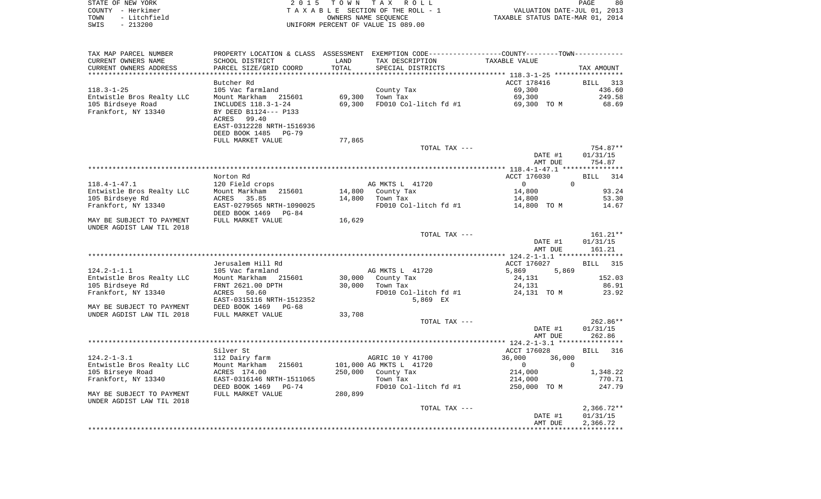| STATE OF NEW YORK |              |
|-------------------|--------------|
| COUNTY - Herkimer |              |
| TOWN              | - Litchfield |
| SWIS              | $-213200$    |

| TAX MAP PARCEL NUMBER     |                                                        |         | PROPERTY LOCATION & CLASS ASSESSMENT EXEMPTION CODE----------------COUNTY--------TOWN---------- |                                |                       |
|---------------------------|--------------------------------------------------------|---------|-------------------------------------------------------------------------------------------------|--------------------------------|-----------------------|
| CURRENT OWNERS NAME       | SCHOOL DISTRICT                                        | LAND    | TAX DESCRIPTION                                                                                 | TAXABLE VALUE                  |                       |
| CURRENT OWNERS ADDRESS    | PARCEL SIZE/GRID COORD                                 | TOTAL   | SPECIAL DISTRICTS                                                                               |                                | TAX AMOUNT            |
|                           |                                                        |         |                                                                                                 |                                |                       |
|                           | Butcher Rd                                             |         |                                                                                                 | ACCT 178416                    | <b>BILL</b><br>313    |
| $118.3 - 1 - 25$          | 105 Vac farmland                                       |         | County Tax                                                                                      | 69,300                         | 436.60                |
| Entwistle Bros Realty LLC | Mount Markham<br>215601                                | 69,300  | Town Tax                                                                                        | 69,300                         | 249.58                |
| 105 Birdseye Road         | INCLUDES 118.3-1-24                                    | 69,300  | FD010 Col-litch fd #1                                                                           | 69,300 TO M                    | 68.69                 |
| Frankfort, NY 13340       | BY DEED B1124--- P133                                  |         |                                                                                                 |                                |                       |
|                           | 99.40<br>ACRES                                         |         |                                                                                                 |                                |                       |
|                           | EAST-0312228 NRTH-1516936                              |         |                                                                                                 |                                |                       |
|                           | DEED BOOK 1485 PG-79                                   |         |                                                                                                 |                                |                       |
|                           | FULL MARKET VALUE                                      | 77,865  |                                                                                                 |                                | 754.87**              |
|                           |                                                        |         | TOTAL TAX ---                                                                                   | DATE #1                        | 01/31/15              |
|                           |                                                        |         |                                                                                                 | AMT DUE                        | 754.87                |
|                           |                                                        |         |                                                                                                 |                                |                       |
|                           | Norton Rd                                              |         |                                                                                                 | ACCT 176030                    | <b>BILL</b><br>314    |
| $118.4 - 1 - 47.1$        | 120 Field crops                                        |         | AG MKTS L 41720                                                                                 | $\mathbf{0}$<br>$\overline{0}$ |                       |
| Entwistle Bros Realty LLC | 215601<br>Mount Markham                                |         | 14,800 County Tax                                                                               | 14,800                         | 93.24                 |
| 105 Birdseye Rd           | ACRES<br>35.85                                         | 14,800  | Town Tax                                                                                        | 14,800                         | 53.30                 |
| Frankfort, NY 13340       | EAST-0279565 NRTH-1090025                              |         | FD010 Col-litch fd #1                                                                           | 14,800 TO M                    | 14.67                 |
|                           | DEED BOOK 1469<br>$PG-84$                              |         |                                                                                                 |                                |                       |
| MAY BE SUBJECT TO PAYMENT | FULL MARKET VALUE                                      | 16,629  |                                                                                                 |                                |                       |
| UNDER AGDIST LAW TIL 2018 |                                                        |         |                                                                                                 |                                |                       |
|                           |                                                        |         | TOTAL TAX ---                                                                                   |                                | 161.21**              |
|                           |                                                        |         |                                                                                                 | DATE #1                        | 01/31/15              |
|                           |                                                        |         |                                                                                                 | AMT DUE                        | 161.21                |
|                           |                                                        |         |                                                                                                 |                                |                       |
| $124.2 - 1 - 1.1$         | Jerusalem Hill Rd<br>105 Vac farmland                  |         | AG MKTS L 41720                                                                                 | ACCT 176027<br>5,869<br>5,869  | <b>BILL</b> 315       |
| Entwistle Bros Realty LLC | Mount Markham<br>215601                                | 30,000  | County Tax                                                                                      | 24,131                         | 152.03                |
| 105 Birdseye Rd           | FRNT 2621.00 DPTH                                      | 30,000  | Town Tax                                                                                        | 24,131                         | 86.91                 |
| Frankfort, NY 13340       | 50.60<br>ACRES                                         |         | FD010 Col-litch fd #1                                                                           | 24,131 TO M                    | 23.92                 |
|                           | EAST-0315116 NRTH-1512352                              |         | 5,869 EX                                                                                        |                                |                       |
| MAY BE SUBJECT TO PAYMENT | DEED BOOK 1469<br>PG-68                                |         |                                                                                                 |                                |                       |
| UNDER AGDIST LAW TIL 2018 | FULL MARKET VALUE                                      | 33,708  |                                                                                                 |                                |                       |
|                           |                                                        |         | TOTAL TAX ---                                                                                   |                                | $262.86**$            |
|                           |                                                        |         |                                                                                                 | DATE #1                        | 01/31/15              |
|                           |                                                        |         |                                                                                                 | AMT DUE                        | 262.86                |
|                           |                                                        |         |                                                                                                 |                                |                       |
|                           | Silver St                                              |         |                                                                                                 | ACCT 176028                    | BILL<br>316           |
| $124.2 - 1 - 3.1$         | 112 Dairy farm                                         |         | AGRIC 10 Y 41700                                                                                | 36,000<br>36,000               |                       |
| Entwistle Bros Realty LLC | Mount Markham<br>215601                                |         | 101,000 AG MKTS L 41720                                                                         | $\overline{0}$<br>$\Omega$     |                       |
| 105 Birseye Road          | ACRES 174.00                                           | 250,000 | County Tax                                                                                      | 214,000                        | 1,348.22              |
| Frankfort, NY 13340       | EAST-0316146 NRTH-1511065<br>DEED BOOK 1469<br>$PG-74$ |         | Town Tax<br>FD010 Col-litch fd #1                                                               | 214,000<br>250,000 TO M        | 770.71<br>247.79      |
| MAY BE SUBJECT TO PAYMENT | FULL MARKET VALUE                                      | 280,899 |                                                                                                 |                                |                       |
| UNDER AGDIST LAW TIL 2018 |                                                        |         |                                                                                                 |                                |                       |
|                           |                                                        |         | TOTAL TAX ---                                                                                   |                                | $2,366.72**$          |
|                           |                                                        |         |                                                                                                 | DATE #1                        | 01/31/15              |
|                           |                                                        |         |                                                                                                 | AMT DUE                        | 2,366.72              |
|                           |                                                        |         |                                                                                                 |                                | * * * * * * * * * * * |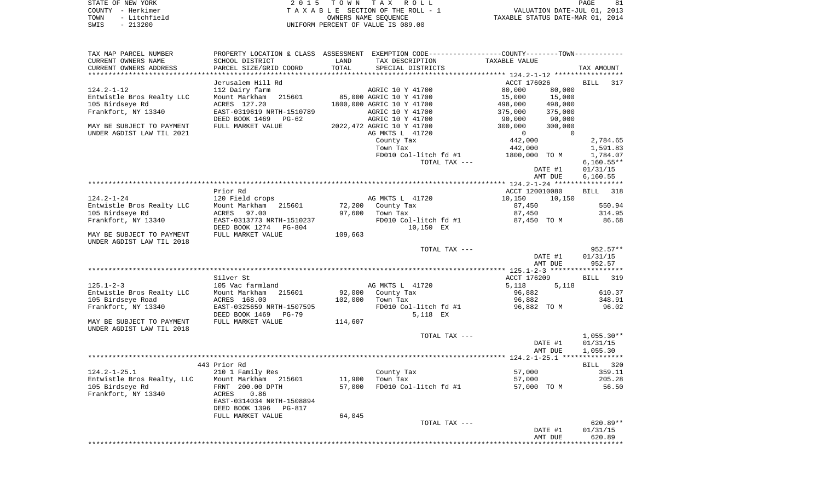| STATE OF NEW YORK    | TOWN TAX ROLL<br>2015              | 81<br>PAGE                       |
|----------------------|------------------------------------|----------------------------------|
| COUNTY - Herkimer    | TAXABLE SECTION OF THE ROLL - 1    | VALUATION DATE-JUL 01, 2013      |
| - Litchfield<br>TOWN | OWNERS NAME SEOUENCE               | TAXABLE STATUS DATE-MAR 01, 2014 |
| $-213200$<br>SWIS    | UNIFORM PERCENT OF VALUE IS 089.00 |                                  |

| TAX MAP PARCEL NUMBER                        |                                                              |                  | PROPERTY LOCATION & CLASS ASSESSMENT EXEMPTION CODE---------------COUNTY-------TOWN---------- |                                      |                    |
|----------------------------------------------|--------------------------------------------------------------|------------------|-----------------------------------------------------------------------------------------------|--------------------------------------|--------------------|
| CURRENT OWNERS NAME                          | SCHOOL DISTRICT                                              | LAND             | TAX DESCRIPTION                                                                               | TAXABLE VALUE                        |                    |
| CURRENT OWNERS ADDRESS                       | PARCEL SIZE/GRID COORD                                       | TOTAL            | SPECIAL DISTRICTS                                                                             |                                      | TAX AMOUNT         |
|                                              |                                                              |                  |                                                                                               |                                      |                    |
|                                              | Jerusalem Hill Rd                                            |                  |                                                                                               | ACCT 176026                          | <b>BILL</b><br>317 |
| $124.2 - 1 - 12$                             | 112 Dairy farm<br>Mount Markham<br>215601                    |                  | AGRIC 10 Y 41700<br>85,000 AGRIC 10 Y 41700                                                   | 80,000<br>80,000<br>15,000<br>15,000 |                    |
| Entwistle Bros Realty LLC<br>105 Birdseye Rd | ACRES 127.20                                                 |                  | 1800,000 AGRIC 10 Y 41700                                                                     | 498,000<br>498,000                   |                    |
| Frankfort, NY 13340                          | EAST-0319619 NRTH-1510789                                    |                  | AGRIC 10 Y 41700                                                                              | 375,000<br>375,000                   |                    |
|                                              | DEED BOOK 1469<br>$PG-62$                                    |                  | AGRIC 10 Y 41700                                                                              | 90,000<br>90,000                     |                    |
| MAY BE SUBJECT TO PAYMENT                    | FULL MARKET VALUE                                            |                  | 2022, 472 AGRIC 10 Y 41700                                                                    | 300,000<br>300,000                   |                    |
| UNDER AGDIST LAW TIL 2021                    |                                                              |                  | AG MKTS L 41720                                                                               | $\overline{0}$<br>$\Omega$           |                    |
|                                              |                                                              |                  | County Tax                                                                                    | 442,000                              | 2,784.65           |
|                                              |                                                              |                  | Town Tax                                                                                      | 442,000                              | 1,591.83           |
|                                              |                                                              |                  | FD010 Col-litch fd #1                                                                         | 1800,000 TO M                        | 1,784.07           |
|                                              |                                                              |                  | TOTAL TAX ---                                                                                 |                                      | $6,160.55**$       |
|                                              |                                                              |                  |                                                                                               | DATE #1                              | 01/31/15           |
|                                              |                                                              |                  |                                                                                               | AMT DUE                              | 6,160.55           |
|                                              |                                                              |                  |                                                                                               |                                      |                    |
|                                              | Prior Rd                                                     |                  |                                                                                               | ACCT 120010080                       | 318<br><b>BILL</b> |
| $124.2 - 1 - 24$                             | 120 Field crops                                              |                  | AG MKTS L 41720                                                                               | 10,150<br>10,150                     |                    |
| Entwistle Bros Realty LLC<br>105 Birdseye Rd | Mount Markham<br>215601<br>ACRES<br>97.00                    | 72,200<br>97,600 | County Tax<br>Town Tax                                                                        | 87,450<br>87,450                     | 550.94<br>314.95   |
| Frankfort, NY 13340                          | EAST-0313773 NRTH-1510237                                    |                  | FD010 Col-litch fd #1                                                                         | 87,450 TO M                          | 86.68              |
|                                              | DEED BOOK 1274 PG-804                                        |                  | 10,150 EX                                                                                     |                                      |                    |
| MAY BE SUBJECT TO PAYMENT                    | FULL MARKET VALUE                                            | 109,663          |                                                                                               |                                      |                    |
| UNDER AGDIST LAW TIL 2018                    |                                                              |                  |                                                                                               |                                      |                    |
|                                              |                                                              |                  | TOTAL TAX ---                                                                                 |                                      | 952.57**           |
|                                              |                                                              |                  |                                                                                               | DATE #1                              | 01/31/15           |
|                                              |                                                              |                  |                                                                                               | AMT DUE                              | 952.57             |
|                                              |                                                              |                  |                                                                                               |                                      |                    |
|                                              | Silver St                                                    |                  |                                                                                               | ACCT 176209                          | <b>BILL</b><br>319 |
| $125.1 - 2 - 3$                              | 105 Vac farmland                                             |                  | AG MKTS L 41720                                                                               | 5,118<br>5,118                       |                    |
| Entwistle Bros Realty LLC                    | Mount Markham<br>215601                                      | 92,000           | County Tax                                                                                    | 96,882                               | 610.37             |
| 105 Birdseye Road                            | ACRES 168.00<br>EAST-0325659 NRTH-1507595                    | 102,000          | Town Tax                                                                                      | 96,882<br>96,882 TO M                | 348.91<br>96.02    |
| Frankfort, NY 13340                          | DEED BOOK 1469<br>$PG-79$                                    |                  | FD010 Col-litch fd #1<br>5,118 EX                                                             |                                      |                    |
| MAY BE SUBJECT TO PAYMENT                    | FULL MARKET VALUE                                            | 114,607          |                                                                                               |                                      |                    |
| UNDER AGDIST LAW TIL 2018                    |                                                              |                  |                                                                                               |                                      |                    |
|                                              |                                                              |                  | TOTAL TAX ---                                                                                 |                                      | $1,055.30**$       |
|                                              |                                                              |                  |                                                                                               | DATE #1                              | 01/31/15           |
|                                              |                                                              |                  |                                                                                               | AMT DUE                              | 1,055.30           |
|                                              |                                                              |                  |                                                                                               |                                      |                    |
|                                              | 443 Prior Rd                                                 |                  |                                                                                               |                                      | BILL 320           |
| $124.2 - 1 - 25.1$                           | 210 1 Family Res                                             |                  | County Tax                                                                                    | 57,000                               | 359.11             |
| Entwistle Bros Realty, LLC                   | Mount Markham<br>215601                                      | 11,900           | Town Tax                                                                                      | 57,000                               | 205.28             |
| 105 Birdseye Rd                              | FRNT 200.00 DPTH                                             | 57,000           | FD010 Col-litch fd #1                                                                         | 57,000 TO M                          | 56.50              |
| Frankfort, NY 13340                          | ACRES<br>0.86                                                |                  |                                                                                               |                                      |                    |
|                                              | EAST-0314034 NRTH-1508894<br>DEED BOOK 1396<br><b>PG-817</b> |                  |                                                                                               |                                      |                    |
|                                              | FULL MARKET VALUE                                            | 64,045           |                                                                                               |                                      |                    |
|                                              |                                                              |                  | TOTAL TAX ---                                                                                 |                                      | 620.89**           |
|                                              |                                                              |                  |                                                                                               | DATE #1                              | 01/31/15           |
|                                              |                                                              |                  |                                                                                               | AMT DUE                              | 620.89             |
|                                              |                                                              |                  |                                                                                               |                                      |                    |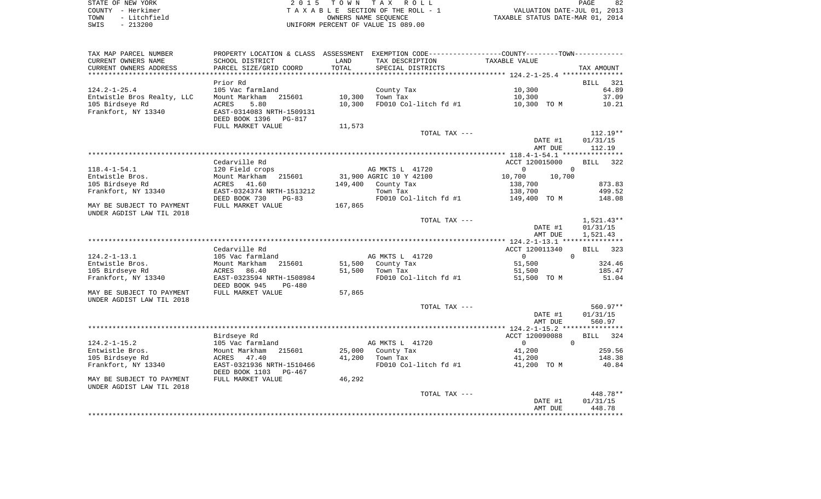| STATE OF NEW YORK |  |              |  |
|-------------------|--|--------------|--|
| COUNTY            |  | - Herkimer   |  |
| TOWN              |  | - Litchfield |  |
| SWIS              |  | $-213200$    |  |

| TAX MAP PARCEL NUMBER      | PROPERTY LOCATION & CLASS ASSESSMENT |         |                         |                  |                    |
|----------------------------|--------------------------------------|---------|-------------------------|------------------|--------------------|
| CURRENT OWNERS NAME        | SCHOOL DISTRICT                      | LAND    | TAX DESCRIPTION         | TAXABLE VALUE    |                    |
| CURRENT OWNERS ADDRESS     | PARCEL SIZE/GRID COORD               | TOTAL   | SPECIAL DISTRICTS       |                  | TAX AMOUNT         |
| ************               |                                      |         |                         |                  |                    |
|                            | Prior Rd                             |         |                         |                  | BILL 321           |
| $124.2 - 1 - 25.4$         | 105 Vac farmland                     |         | County Tax              | 10,300           | 64.89              |
| Entwistle Bros Realty, LLC | Mount Markham<br>215601              | 10,300  | Town Tax                | 10,300           | 37.09              |
| 105 Birdseye Rd            | 5.80<br><b>ACRES</b>                 | 10,300  | FD010 Col-litch fd #1   | 10,300 TO M      | 10.21              |
| Frankfort, NY 13340        | EAST-0314083 NRTH-1509131            |         |                         |                  |                    |
|                            |                                      |         |                         |                  |                    |
|                            | DEED BOOK 1396<br><b>PG-817</b>      |         |                         |                  |                    |
|                            | FULL MARKET VALUE                    | 11,573  |                         |                  |                    |
|                            |                                      |         | TOTAL TAX ---           |                  | $112.19**$         |
|                            |                                      |         |                         | DATE #1          | 01/31/15           |
|                            |                                      |         |                         | AMT DUE          | 112.19             |
|                            |                                      |         |                         |                  |                    |
|                            | Cedarville Rd                        |         |                         | ACCT 120015000   | <b>BILL</b><br>322 |
| $118.4 - 1 - 54.1$         | 120 Field crops                      |         | AG MKTS L 41720         | $\Omega$         | $\Omega$           |
| Entwistle Bros.            | Mount Markham<br>215601              |         | 31,900 AGRIC 10 Y 42100 | 10,700<br>10,700 |                    |
| 105 Birdseye Rd            | 41.60<br>ACRES                       | 149,400 | County Tax              | 138,700          | 873.83             |
| Frankfort, NY 13340        | EAST-0324374 NRTH-1513212            |         | Town Tax                | 138,700          | 499.52             |
|                            | DEED BOOK 730<br>$PG-83$             |         | FD010 Col-litch fd #1   | 149,400 TO M     | 148.08             |
| MAY BE SUBJECT TO PAYMENT  | FULL MARKET VALUE                    | 167,865 |                         |                  |                    |
| UNDER AGDIST LAW TIL 2018  |                                      |         |                         |                  |                    |
|                            |                                      |         | TOTAL TAX ---           |                  | $1,521.43**$       |
|                            |                                      |         |                         | DATE #1          | 01/31/15           |
|                            |                                      |         |                         | AMT DUE          | 1,521.43           |
|                            |                                      |         |                         |                  |                    |
|                            | Cedarville Rd                        |         |                         | ACCT 120011340   | 323<br>BILL        |
| $124.2 - 1 - 13.1$         | 105 Vac farmland                     |         | AG MKTS L 41720         | $\overline{0}$   | $\Omega$           |
| Entwistle Bros.            | Mount Markham<br>215601              | 51,500  | County Tax              | 51,500           | 324.46             |
|                            | 86.40                                | 51,500  |                         |                  | 185.47             |
| 105 Birdseye Rd            | ACRES                                |         | Town Tax                | 51,500           |                    |
| Frankfort, NY 13340        | EAST-0323594 NRTH-1508984            |         | FD010 Col-litch fd #1   | 51,500 TO M      | 51.04              |
|                            | DEED BOOK 945<br><b>PG-480</b>       |         |                         |                  |                    |
| MAY BE SUBJECT TO PAYMENT  | FULL MARKET VALUE                    | 57,865  |                         |                  |                    |
| UNDER AGDIST LAW TIL 2018  |                                      |         |                         |                  |                    |
|                            |                                      |         | TOTAL TAX ---           |                  | $560.97**$         |
|                            |                                      |         |                         | DATE #1          | 01/31/15           |
|                            |                                      |         |                         | AMT DUE          | 560.97             |
|                            |                                      |         |                         |                  |                    |
|                            | Birdseye Rd                          |         |                         | ACCT 120090088   | <b>BILL</b><br>324 |
| $124.2 - 1 - 15.2$         | 105 Vac farmland                     |         | AG MKTS L 41720         | $\mathbf{0}$     | $\Omega$           |
| Entwistle Bros.            | Mount Markham<br>215601              | 25,000  | County Tax              | 41,200           | 259.56             |
| 105 Birdseye Rd            | ACRES<br>47.40                       | 41,200  | Town Tax                | 41,200           | 148.38             |
| Frankfort, NY 13340        | EAST-0321936 NRTH-1510466            |         | FD010 Col-litch fd #1   | 41,200 TO M      | 40.84              |
|                            | DEED BOOK 1103<br>PG-467             |         |                         |                  |                    |
| MAY BE SUBJECT TO PAYMENT  | FULL MARKET VALUE                    | 46,292  |                         |                  |                    |
| UNDER AGDIST LAW TIL 2018  |                                      |         |                         |                  |                    |
|                            |                                      |         | TOTAL TAX ---           |                  | 448.78**           |
|                            |                                      |         |                         | DATE #1          | 01/31/15           |
|                            |                                      |         |                         | AMT DUE          | 448.78             |
|                            |                                      |         |                         |                  |                    |
|                            |                                      |         |                         |                  |                    |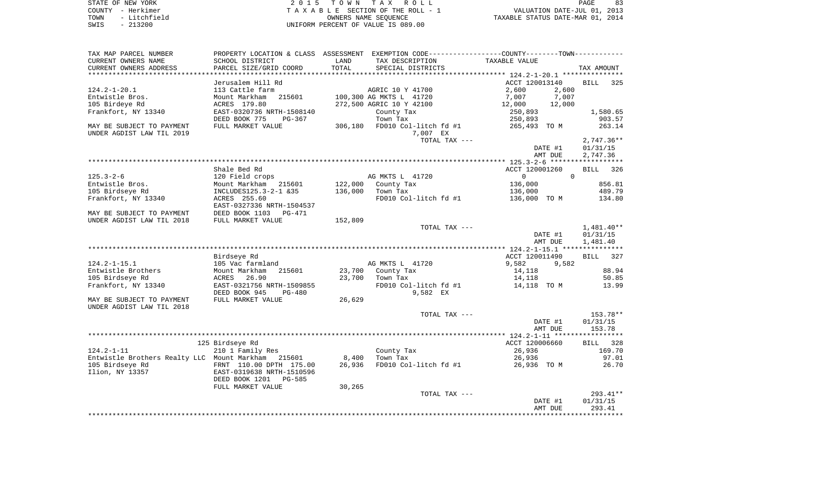| STATE OF NEW YORK    | 2015 TOWN TAX ROLL                 | PAGE                             |
|----------------------|------------------------------------|----------------------------------|
| COUNTY - Herkimer    | TAXABLE SECTION OF THE ROLL - 1    | VALUATION DATE-JUL 01, 2013      |
| - Litchfield<br>TOWN | OWNERS NAME SEOUENCE               | TAXABLE STATUS DATE-MAR 01, 2014 |
| $-213200$<br>SWIS    | UNIFORM PERCENT OF VALUE IS 089.00 |                                  |

| TAX MAP PARCEL NUMBER                              | PROPERTY LOCATION & CLASS ASSESSMENT EXEMPTION CODE---------------COUNTY--------TOWN---------- |                    |                               |                            |                    |
|----------------------------------------------------|------------------------------------------------------------------------------------------------|--------------------|-------------------------------|----------------------------|--------------------|
| CURRENT OWNERS NAME                                | SCHOOL DISTRICT                                                                                | LAND               | TAX DESCRIPTION               | TAXABLE VALUE              |                    |
| CURRENT OWNERS ADDRESS                             | PARCEL SIZE/GRID COORD                                                                         | TOTAL              | SPECIAL DISTRICTS             |                            | TAX AMOUNT         |
| **********************                             |                                                                                                |                    |                               |                            |                    |
|                                                    | Jerusalem Hill Rd                                                                              |                    |                               | ACCT 120013140             | <b>BILL</b><br>325 |
| $124.2 - 1 - 20.1$                                 | 113 Cattle farm                                                                                |                    | AGRIC 10 Y 41700              | 2,600<br>2,600             |                    |
| Entwistle Bros.                                    | 215601<br>Mount Markham                                                                        |                    | 100,300 AG MKTS L 41720       | 7,007<br>7,007             |                    |
| 105 Birdeye Rd                                     | ACRES 179.80                                                                                   |                    | 272,500 AGRIC 10 Y 42100      | 12,000<br>12,000           |                    |
| Frankfort, NY 13340                                | EAST-0320736 NRTH-1508140                                                                      |                    | County Tax                    | 250,893                    | 1,580.65           |
|                                                    | DEED BOOK 775<br>$PG-367$                                                                      |                    | Town Tax                      | 250,893                    | 903.57             |
| MAY BE SUBJECT TO PAYMENT                          | FULL MARKET VALUE                                                                              |                    | 306,180 FD010 Col-litch fd #1 | 265,493 TO M               | 263.14             |
| UNDER AGDIST LAW TIL 2019                          |                                                                                                |                    | 7,007 EX                      |                            |                    |
|                                                    |                                                                                                |                    | TOTAL TAX ---                 |                            | $2,747.36**$       |
|                                                    |                                                                                                |                    |                               | DATE #1                    | 01/31/15           |
|                                                    |                                                                                                |                    |                               | AMT DUE                    | 2,747.36           |
|                                                    |                                                                                                |                    |                               |                            |                    |
|                                                    | Shale Bed Rd                                                                                   |                    |                               | ACCT 120001260<br>$\Omega$ | BILL 326           |
| $125.3 - 2 - 6$                                    | 120 Field crops                                                                                |                    | AG MKTS L 41720               | $\overline{0}$             |                    |
| Entwistle Bros.                                    | Mount Markham 215601<br>INCLUDES125.3-2-1 &35                                                  | 122,000<br>136,000 | County Tax                    | 136,000                    | 856.81<br>489.79   |
| 105 Birdseye Rd                                    |                                                                                                |                    | Town Tax                      | 136,000                    | 134.80             |
| Frankfort, NY 13340                                | ACRES 255.60<br>EAST-0327336 NRTH-1504537                                                      |                    | FD010 Col-litch fd #1         | 136,000 TO M               |                    |
| MAY BE SUBJECT TO PAYMENT                          | DEED BOOK 1103 PG-471                                                                          |                    |                               |                            |                    |
| UNDER AGDIST LAW TIL 2018                          | FULL MARKET VALUE                                                                              | 152,809            |                               |                            |                    |
|                                                    |                                                                                                |                    | TOTAL TAX ---                 |                            | $1,481.40**$       |
|                                                    |                                                                                                |                    |                               | DATE #1                    | 01/31/15           |
|                                                    |                                                                                                |                    |                               | AMT DUE                    | 1,481.40           |
|                                                    |                                                                                                |                    |                               |                            |                    |
|                                                    | Birdseye Rd                                                                                    |                    |                               | ACCT 120011490             | BILL 327           |
| $124.2 - 1 - 15.1$                                 | 105 Vac farmland                                                                               |                    | AG MKTS L 41720               | 9,582<br>9,582             |                    |
| Entwistle Brothers                                 | 215601<br>Mount Markham                                                                        | 23,700             | County Tax                    | 14,118                     | 88.94              |
| 105 Birdseye Rd                                    | ACRES 26.90                                                                                    | 23,700             | Town Tax                      | 14,118                     | 50.85              |
| Frankfort, NY 13340                                | EAST-0321756 NRTH-1509855                                                                      |                    | FD010 Col-litch fd #1         | 14,118 TO M                | 13.99              |
|                                                    | DEED BOOK 945<br><b>PG-480</b>                                                                 |                    | 9,582 EX                      |                            |                    |
| MAY BE SUBJECT TO PAYMENT                          | FULL MARKET VALUE                                                                              | 26,629             |                               |                            |                    |
| UNDER AGDIST LAW TIL 2018                          |                                                                                                |                    |                               |                            |                    |
|                                                    |                                                                                                |                    | TOTAL TAX ---                 |                            | 153.78**           |
|                                                    |                                                                                                |                    |                               | DATE #1                    | 01/31/15           |
|                                                    |                                                                                                |                    |                               | AMT DUE                    | 153.78             |
|                                                    |                                                                                                |                    |                               |                            |                    |
|                                                    | 125 Birdseye Rd                                                                                |                    |                               | ACCT 120006660             | BILL 328           |
| $124.2 - 1 - 11$                                   | 210 1 Family Res                                                                               |                    | County Tax                    | 26,936                     | 169.70             |
| Entwistle Brothers Realty LLC Mount Markham 215601 |                                                                                                | 8,400              | Town Tax                      | 26,936                     | 97.01              |
| 105 Birdseye Rd                                    | FRNT 110.00 DPTH 175.00                                                                        | 26,936             | FD010 Col-litch fd #1         | 26,936 TO M                | 26.70              |
| Ilion, NY 13357                                    | EAST-0319638 NRTH-1510596                                                                      |                    |                               |                            |                    |
|                                                    | DEED BOOK 1201<br>PG-585                                                                       |                    |                               |                            |                    |
|                                                    | FULL MARKET VALUE                                                                              | 30,265             |                               |                            |                    |
|                                                    |                                                                                                |                    | TOTAL TAX ---                 |                            | $293.41**$         |
|                                                    |                                                                                                |                    |                               | DATE #1                    | 01/31/15           |
|                                                    |                                                                                                |                    |                               | AMT DUE                    | 293.41             |
|                                                    |                                                                                                |                    |                               |                            |                    |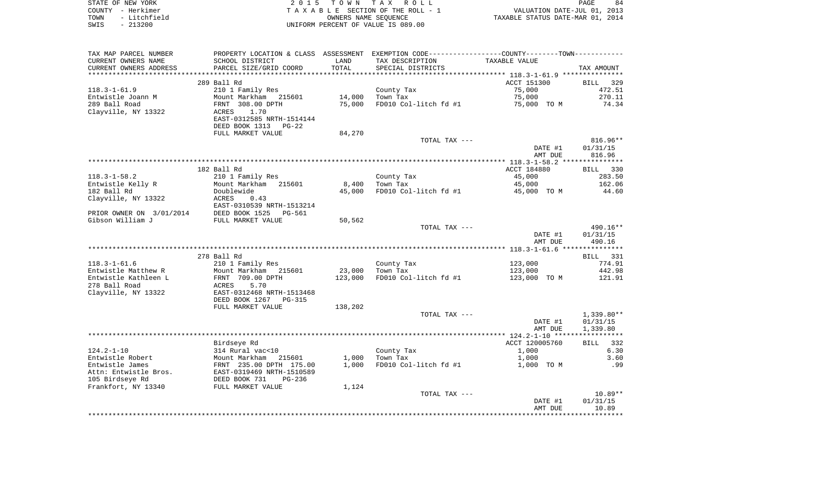|      | STATE OF NEW YORK | 2015 TOWN TAX ROLL                 | 84<br>PAGE                       |
|------|-------------------|------------------------------------|----------------------------------|
|      | COUNTY - Herkimer | TAXABLE SECTION OF THE ROLL - 1    | VALUATION DATE-JUL 01, 2013      |
| TOWN | - Litchfield      | OWNERS NAME SEOUENCE               | TAXABLE STATUS DATE-MAR 01, 2014 |
| SWIS | $-213200$         | UNIFORM PERCENT OF VALUE IS 089.00 |                                  |

| TAX MAP PARCEL NUMBER    | PROPERTY LOCATION & CLASS ASSESSMENT |         | EXEMPTION CODE-----------------COUNTY--------TOWN----------- |                |              |
|--------------------------|--------------------------------------|---------|--------------------------------------------------------------|----------------|--------------|
| CURRENT OWNERS NAME      | SCHOOL DISTRICT                      | LAND    | TAX DESCRIPTION                                              | TAXABLE VALUE  |              |
| CURRENT OWNERS ADDRESS   | PARCEL SIZE/GRID COORD               | TOTAL   | SPECIAL DISTRICTS                                            |                | TAX AMOUNT   |
| *******************      | ************************             |         |                                                              |                |              |
|                          | 289 Ball Rd                          |         |                                                              | ACCT 151300    | BILL<br>329  |
| $118.3 - 1 - 61.9$       | 210 1 Family Res                     |         | County Tax                                                   | 75,000         | 472.51       |
| Entwistle Joann M        | Mount Markham 215601                 | 14,000  | Town Tax                                                     | 75,000         | 270.11       |
| 289 Ball Road            | FRNT 308.00 DPTH                     | 75,000  | FD010 Col-litch fd #1                                        | 75,000 TO M    | 74.34        |
| Clayville, NY 13322      | 1.70<br>ACRES                        |         |                                                              |                |              |
|                          | EAST-0312585 NRTH-1514144            |         |                                                              |                |              |
|                          | DEED BOOK 1313<br>PG-22              |         |                                                              |                |              |
|                          | FULL MARKET VALUE                    | 84,270  |                                                              |                |              |
|                          |                                      |         | TOTAL TAX ---                                                |                | $816.96**$   |
|                          |                                      |         |                                                              | DATE #1        | 01/31/15     |
|                          |                                      |         |                                                              | AMT DUE        | 816.96       |
|                          |                                      |         |                                                              |                |              |
|                          | 182 Ball Rd                          |         |                                                              | ACCT 184880    | BILL 330     |
| $118.3 - 1 - 58.2$       | 210 1 Family Res                     |         | County Tax                                                   | 45,000         | 283.50       |
| Entwistle Kelly R        | Mount Markham<br>215601              | 8,400   | Town Tax                                                     | 45,000         | 162.06       |
| 182 Ball Rd              | Doublewide                           | 45,000  | FD010 Col-litch fd #1                                        | 45,000 TO M    | 44.60        |
| Clayville, NY 13322      | ACRES<br>0.43                        |         |                                                              |                |              |
|                          | EAST-0310539 NRTH-1513214            |         |                                                              |                |              |
| PRIOR OWNER ON 3/01/2014 | DEED BOOK 1525<br>PG-561             |         |                                                              |                |              |
| Gibson William J         | FULL MARKET VALUE                    | 50,562  |                                                              |                |              |
|                          |                                      |         | TOTAL TAX ---                                                |                | 490.16**     |
|                          |                                      |         |                                                              | DATE #1        | 01/31/15     |
|                          |                                      |         |                                                              | AMT DUE        | 490.16       |
|                          |                                      |         |                                                              |                |              |
|                          | 278 Ball Rd                          |         |                                                              |                | BILL 331     |
| $118.3 - 1 - 61.6$       | 210 1 Family Res                     |         | County Tax                                                   | 123,000        | 774.91       |
| Entwistle Matthew R      | Mount Markham 215601                 | 23,000  | Town Tax                                                     | 123,000        | 442.98       |
| Entwistle Kathleen L     | FRNT 709.00 DPTH                     | 123,000 | FD010 Col-litch fd #1                                        | 123,000 TO M   | 121.91       |
| 278 Ball Road            | 5.70<br>ACRES                        |         |                                                              |                |              |
| Clayville, NY 13322      | EAST-0312468 NRTH-1513468            |         |                                                              |                |              |
|                          | DEED BOOK 1267<br><b>PG-315</b>      |         |                                                              |                |              |
|                          | FULL MARKET VALUE                    | 138,202 |                                                              |                |              |
|                          |                                      |         | TOTAL TAX ---                                                |                | $1,339.80**$ |
|                          |                                      |         |                                                              | DATE #1        | 01/31/15     |
|                          |                                      |         |                                                              | AMT DUE        | 1,339.80     |
|                          |                                      |         |                                                              |                |              |
|                          | Birdseye Rd                          |         |                                                              | ACCT 120005760 | 332<br>BILL  |
| $124.2 - 1 - 10$         | 314 Rural vac<10                     |         | County Tax                                                   | 1,000          | 6.30         |
| Entwistle Robert         | Mount Markham<br>215601              | 1,000   | Town Tax                                                     | 1,000          | 3.60         |
| Entwistle James          | FRNT 235.00 DPTH 175.00              | 1,000   | FD010 Col-litch fd #1                                        | 1,000 TO M     | .99          |
| Attn: Entwistle Bros.    | EAST-0319469 NRTH-1510589            |         |                                                              |                |              |
| 105 Birdseye Rd          | DEED BOOK 731<br>$PG-236$            |         |                                                              |                |              |
| Frankfort, NY 13340      | FULL MARKET VALUE                    | 1,124   |                                                              |                |              |
|                          |                                      |         | TOTAL TAX ---                                                |                | $10.89**$    |
|                          |                                      |         |                                                              | DATE #1        | 01/31/15     |
|                          |                                      |         |                                                              | AMT DUE        | 10.89        |
|                          |                                      |         |                                                              |                |              |
|                          |                                      |         |                                                              |                |              |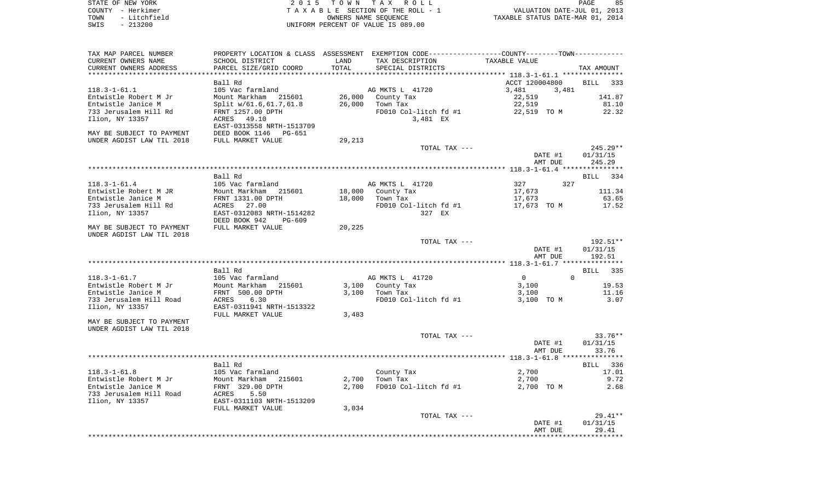| STATE OF NEW YORK                          | 2015 TOWN TAX ROLL                 | 85<br>PAGE                       |
|--------------------------------------------|------------------------------------|----------------------------------|
| COUNTY - Herkimer                          | TAXABLE SECTION OF THE ROLL - 1    | VALUATION DATE-JUL 01, 2013      |
| - Litchfield<br>TOWN                       | OWNERS NAME SEOUENCE               | TAXABLE STATUS DATE-MAR 01, 2014 |
| 213200<br>SWIS<br>$\overline{\phantom{0}}$ | UNIFORM PERCENT OF VALUE IS 089.00 |                                  |

| TAX MAP PARCEL NUMBER<br>CURRENT OWNERS NAME<br>CURRENT OWNERS ADDRESS | SCHOOL DISTRICT<br>PARCEL SIZE/GRID COORD | LAND<br>TOTAL | PROPERTY LOCATION & CLASS ASSESSMENT EXEMPTION CODE----------------COUNTY-------TOWN-----------<br>TAX DESCRIPTION<br>SPECIAL DISTRICTS | TAXABLE VALUE              | TAX AMOUNT         |
|------------------------------------------------------------------------|-------------------------------------------|---------------|-----------------------------------------------------------------------------------------------------------------------------------------|----------------------------|--------------------|
|                                                                        |                                           |               |                                                                                                                                         |                            |                    |
|                                                                        | Ball Rd                                   |               |                                                                                                                                         | ACCT 120004800             | <b>BILL</b><br>333 |
| $118.3 - 1 - 61.1$                                                     | 105 Vac farmland                          |               | AG MKTS L 41720                                                                                                                         | 3,481<br>3,481             |                    |
| Entwistle Robert M Jr                                                  | Mount Markham 215601                      | 26,000        | County Tax                                                                                                                              | 22,519                     | 141.87             |
| Entwistle Janice M                                                     | Split w/61.6,61.7,61.8                    | 26,000        | Town Tax                                                                                                                                | 22,519                     | 81.10              |
| 733 Jerusalem Hill Rd                                                  | FRNT 1257.00 DPTH                         |               | FD010 Col-litch fd #1                                                                                                                   | 22,519 TO M                | 22.32              |
| Ilion, NY 13357                                                        | ACRES 49.10                               |               | 3,481 EX                                                                                                                                |                            |                    |
|                                                                        | EAST-0313558 NRTH-1513709                 |               |                                                                                                                                         |                            |                    |
| MAY BE SUBJECT TO PAYMENT                                              | DEED BOOK 1146<br>PG-651                  |               |                                                                                                                                         |                            |                    |
| UNDER AGDIST LAW TIL 2018                                              | FULL MARKET VALUE                         | 29,213        |                                                                                                                                         |                            |                    |
|                                                                        |                                           |               | TOTAL TAX ---                                                                                                                           |                            | 245.29**           |
|                                                                        |                                           |               |                                                                                                                                         | DATE #1                    | 01/31/15           |
|                                                                        |                                           |               |                                                                                                                                         |                            |                    |
|                                                                        |                                           |               |                                                                                                                                         | AMT DUE                    | 245.29             |
|                                                                        |                                           |               |                                                                                                                                         |                            |                    |
|                                                                        | Ball Rd                                   |               |                                                                                                                                         |                            | BILL<br>334        |
| $118.3 - 1 - 61.4$                                                     | 105 Vac farmland                          |               | AG MKTS L 41720                                                                                                                         | 327<br>327                 |                    |
| Entwistle Robert M JR                                                  | Mount Markham 215601                      | 18,000        | County Tax                                                                                                                              | 17,673                     | 111.34             |
| Entwistle Janice M                                                     | FRNT 1331.00 DPTH                         | 18,000        | Town Tax                                                                                                                                | 17,673                     | 63.65              |
| 733 Jerusalem Hill Rd                                                  | ACRES 27.00                               |               | FD010 Col-litch fd #1                                                                                                                   | 17,673 TO M                | 17.52              |
| Ilion, NY 13357                                                        | EAST-0312083 NRTH-1514282                 |               | 327 EX                                                                                                                                  |                            |                    |
|                                                                        | DEED BOOK 942<br>PG-609                   |               |                                                                                                                                         |                            |                    |
| MAY BE SUBJECT TO PAYMENT                                              | FULL MARKET VALUE                         | 20,225        |                                                                                                                                         |                            |                    |
| UNDER AGDIST LAW TIL 2018                                              |                                           |               |                                                                                                                                         |                            |                    |
|                                                                        |                                           |               | TOTAL TAX ---                                                                                                                           |                            | 192.51**           |
|                                                                        |                                           |               |                                                                                                                                         | DATE #1                    | 01/31/15           |
|                                                                        |                                           |               |                                                                                                                                         | AMT DUE                    | 192.51             |
|                                                                        |                                           |               |                                                                                                                                         |                            |                    |
|                                                                        | Ball Rd                                   |               |                                                                                                                                         |                            | BILL 335           |
| $118.3 - 1 - 61.7$                                                     | 105 Vac farmland                          |               | AG MKTS L 41720                                                                                                                         | $\Omega$<br>$\overline{0}$ |                    |
| Entwistle Robert M Jr                                                  | Mount Markham 215601                      | 3,100         | County Tax                                                                                                                              | 3,100                      | 19.53              |
| Entwistle Janice M                                                     | FRNT 500.00 DPTH                          | 3,100         | Town Tax                                                                                                                                | 3,100                      | 11.16              |
| 733 Jerusalem Hill Road                                                | 6.30<br>ACRES                             |               | FD010 Col-litch fd #1                                                                                                                   | 3,100 TO M                 | 3.07               |
| Ilion, NY 13357                                                        | EAST-0311941 NRTH-1513322                 |               |                                                                                                                                         |                            |                    |
|                                                                        |                                           |               |                                                                                                                                         |                            |                    |
|                                                                        | FULL MARKET VALUE                         | 3,483         |                                                                                                                                         |                            |                    |
| MAY BE SUBJECT TO PAYMENT                                              |                                           |               |                                                                                                                                         |                            |                    |
| UNDER AGDIST LAW TIL 2018                                              |                                           |               |                                                                                                                                         |                            |                    |
|                                                                        |                                           |               | TOTAL TAX ---                                                                                                                           |                            | $33.76**$          |
|                                                                        |                                           |               |                                                                                                                                         | DATE #1                    | 01/31/15           |
|                                                                        |                                           |               |                                                                                                                                         | AMT DUE                    | 33.76              |
|                                                                        |                                           |               |                                                                                                                                         |                            |                    |
|                                                                        | Ball Rd                                   |               |                                                                                                                                         |                            | BILL 336           |
| $118.3 - 1 - 61.8$                                                     | 105 Vac farmland                          |               | County Tax                                                                                                                              | 2,700                      | 17.01              |
| Entwistle Robert M Jr                                                  | Mount Markham 215601                      | 2,700         | Town Tax                                                                                                                                | 2,700                      | 9.72               |
| Entwistle Janice M                                                     | FRNT 329.00 DPTH                          | 2,700         | FD010 Col-litch fd #1                                                                                                                   | 2,700 TO M                 | 2.68               |
| 733 Jerusalem Hill Road                                                | 5.50<br>ACRES                             |               |                                                                                                                                         |                            |                    |
| Ilion, NY 13357                                                        | EAST-0311103 NRTH-1513209                 |               |                                                                                                                                         |                            |                    |
|                                                                        | FULL MARKET VALUE                         | 3,034         |                                                                                                                                         |                            |                    |
|                                                                        |                                           |               | TOTAL TAX ---                                                                                                                           |                            | 29.41**            |
|                                                                        |                                           |               |                                                                                                                                         | DATE #1                    | 01/31/15           |
|                                                                        |                                           |               |                                                                                                                                         | AMT DUE                    | 29.41              |
|                                                                        |                                           |               |                                                                                                                                         |                            |                    |
|                                                                        |                                           |               |                                                                                                                                         |                            |                    |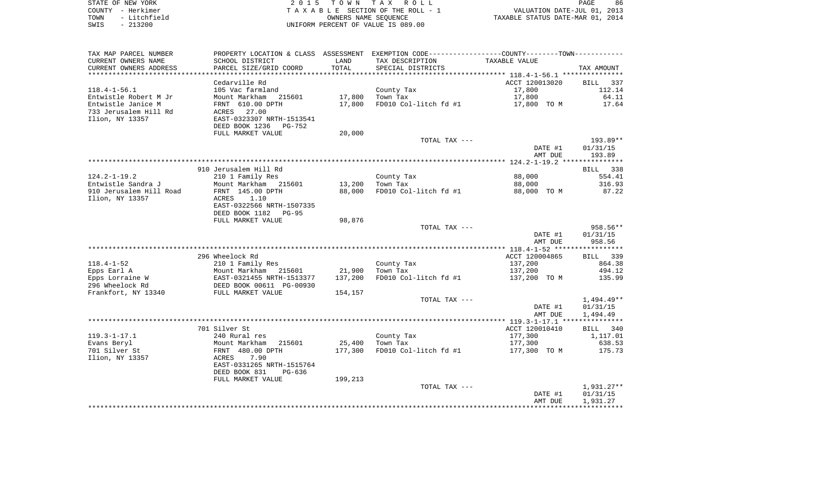|        | STATE OF NEW YORK                  | TOWN TAX ROLL                      | 86<br>PAGE                       |
|--------|------------------------------------|------------------------------------|----------------------------------|
| COUNTY | – Herkimer                         | TAXABLE SECTION OF THE ROLL - 1    | VALUATION DATE-JUL 01, 2013      |
| TOWN   | - Litchfield                       | OWNERS NAME SEOUENCE               | TAXABLE STATUS DATE-MAR 01, 2014 |
| SWIS   | 213200<br>$\overline{\phantom{0}}$ | UNIFORM PERCENT OF VALUE IS 089.00 |                                  |

| TAX MAP PARCEL NUMBER   |                           |                 | PROPERTY LOCATION & CLASS ASSESSMENT EXEMPTION CODE---------------COUNTY-------TOWN---------- |                |              |
|-------------------------|---------------------------|-----------------|-----------------------------------------------------------------------------------------------|----------------|--------------|
| CURRENT OWNERS NAME     | SCHOOL DISTRICT           | LAND            | TAX DESCRIPTION                                                                               | TAXABLE VALUE  |              |
| CURRENT OWNERS ADDRESS  | PARCEL SIZE/GRID COORD    | TOTAL           | SPECIAL DISTRICTS                                                                             |                | TAX AMOUNT   |
| *********************   |                           | *************** |                                                                                               |                |              |
|                         | Cedarville Rd             |                 |                                                                                               | ACCT 120013020 | BILL 337     |
| $118.4 - 1 - 56.1$      | 105 Vac farmland          |                 | County Tax                                                                                    | 17,800         | 112.14       |
| Entwistle Robert M Jr   | Mount Markham<br>215601   | 17,800          | Town Tax                                                                                      | 17,800         | 64.11        |
| Entwistle Janice M      | FRNT 610.00 DPTH          | 17,800          | FD010 Col-litch fd #1                                                                         | 17,800 TO M    | 17.64        |
| 733 Jerusalem Hill Rd   | 27.00<br>ACRES            |                 |                                                                                               |                |              |
| Ilion, NY 13357         | EAST-0323307 NRTH-1513541 |                 |                                                                                               |                |              |
|                         | DEED BOOK 1236<br>PG-752  |                 |                                                                                               |                |              |
|                         | FULL MARKET VALUE         | 20,000          |                                                                                               |                |              |
|                         |                           |                 | TOTAL TAX ---                                                                                 |                | 193.89**     |
|                         |                           |                 |                                                                                               | DATE #1        | 01/31/15     |
|                         |                           |                 |                                                                                               | AMT DUE        | 193.89       |
|                         |                           |                 |                                                                                               |                |              |
|                         | 910 Jerusalem Hill Rd     |                 |                                                                                               |                | BILL 338     |
| $124.2 - 1 - 19.2$      | 210 1 Family Res          |                 | County Tax                                                                                    | 88,000         | 554.41       |
| Entwistle Sandra J      | Mount Markham 215601      | 13,200          | Town Tax                                                                                      | 88,000         | 316.93       |
| 910 Jerusalem Hill Road | FRNT 145.00 DPTH          | 88,000          | FD010 Col-litch fd #1                                                                         | 88,000 TO M    | 87.22        |
| Ilion, NY 13357         | 1.10<br>ACRES             |                 |                                                                                               |                |              |
|                         | EAST-0322566 NRTH-1507335 |                 |                                                                                               |                |              |
|                         | DEED BOOK 1182<br>PG-95   |                 |                                                                                               |                |              |
|                         | FULL MARKET VALUE         | 98,876          | TOTAL TAX ---                                                                                 |                | 958.56**     |
|                         |                           |                 |                                                                                               | DATE #1        | 01/31/15     |
|                         |                           |                 |                                                                                               | AMT DUE        | 958.56       |
|                         |                           |                 |                                                                                               |                |              |
|                         | 296 Wheelock Rd           |                 |                                                                                               | ACCT 120004865 | BILL 339     |
| $118.4 - 1 - 52$        | 210 1 Family Res          |                 | County Tax                                                                                    | 137,200        | 864.38       |
| Epps Earl A             | Mount Markham 215601      | 21,900          | Town Tax                                                                                      | 137,200        | 494.12       |
| Epps Lorraine W         | EAST-0321455 NRTH-1513377 | 137,200         | FD010 Col-litch fd #1                                                                         | 137,200 TO M   | 135.99       |
| 296 Wheelock Rd         | DEED BOOK 00611 PG-00930  |                 |                                                                                               |                |              |
| Frankfort, NY 13340     | FULL MARKET VALUE         | 154,157         |                                                                                               |                |              |
|                         |                           |                 | TOTAL TAX ---                                                                                 |                | $1,494.49**$ |
|                         |                           |                 |                                                                                               | DATE #1        | 01/31/15     |
|                         |                           |                 |                                                                                               | AMT DUE        | 1,494.49     |
|                         |                           |                 |                                                                                               |                |              |
|                         | 701 Silver St             |                 |                                                                                               | ACCT 120010410 | BILL 340     |
| $119.3 - 1 - 17.1$      | 240 Rural res             |                 | County Tax                                                                                    | 177,300        | 1,117.01     |
| Evans Beryl             | Mount Markham<br>215601   | 25,400          | Town Tax                                                                                      | 177,300        | 638.53       |
| 701 Silver St           | FRNT 480.00 DPTH          | 177,300         | FD010 Col-litch fd #1                                                                         | 177,300 TO M   | 175.73       |
| Ilion, NY 13357         | 7.90<br>ACRES             |                 |                                                                                               |                |              |
|                         | EAST-0331265 NRTH-1515764 |                 |                                                                                               |                |              |
|                         | DEED BOOK 831<br>$PG-636$ |                 |                                                                                               |                |              |
|                         | FULL MARKET VALUE         | 199,213         |                                                                                               |                |              |
|                         |                           |                 | TOTAL TAX ---                                                                                 |                | 1,931.27**   |
|                         |                           |                 |                                                                                               | DATE #1        | 01/31/15     |
|                         |                           |                 |                                                                                               | AMT DUE        | 1,931.27     |
|                         |                           |                 |                                                                                               |                |              |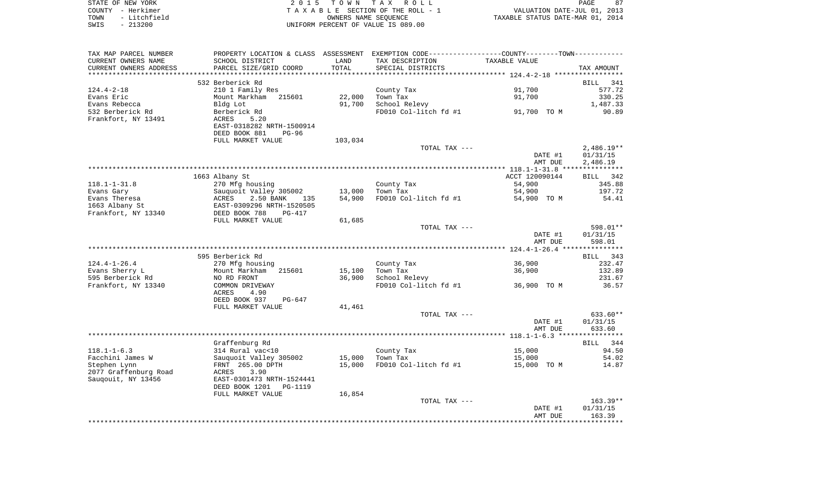|      | STATE OF NEW YORK | 2015 TOWN TAX ROLL                 | PAGE                             |
|------|-------------------|------------------------------------|----------------------------------|
|      | COUNTY - Herkimer | TAXABLE SECTION OF THE ROLL - 1    | VALUATION DATE-JUL 01, 2013      |
| TOWN | - Litchfield      | OWNERS NAME SEOUENCE               | TAXABLE STATUS DATE-MAR 01, 2014 |
| SWIS | - 213200          | UNIFORM PERCENT OF VALUE IS 089.00 |                                  |

| TAX MAP PARCEL NUMBER  | PROPERTY LOCATION & CLASS ASSESSMENT EXEMPTION CODE---------------COUNTY--------TOWN---------- |         |                       |                |                    |
|------------------------|------------------------------------------------------------------------------------------------|---------|-----------------------|----------------|--------------------|
| CURRENT OWNERS NAME    | SCHOOL DISTRICT                                                                                | LAND    | TAX DESCRIPTION       | TAXABLE VALUE  |                    |
| CURRENT OWNERS ADDRESS | PARCEL SIZE/GRID COORD                                                                         | TOTAL   | SPECIAL DISTRICTS     |                | TAX AMOUNT         |
|                        |                                                                                                |         |                       |                |                    |
|                        | 532 Berberick Rd                                                                               |         |                       |                | <b>BILL</b><br>341 |
| $124.4 - 2 - 18$       | 210 1 Family Res                                                                               |         | County Tax            | 91,700         | 577.72             |
| Evans Eric             | Mount Markham 215601                                                                           | 22,000  | Town Tax              | 91,700         | 330.25             |
| Evans Rebecca          | Bldg Lot                                                                                       | 91,700  | School Relevy         |                | 1,487.33           |
| 532 Berberick Rd       | Berberick Rd                                                                                   |         | FD010 Col-litch fd #1 | 91,700 TO M    | 90.89              |
| Frankfort, NY 13491    | ACRES<br>5.20                                                                                  |         |                       |                |                    |
|                        | EAST-0318282 NRTH-1500914                                                                      |         |                       |                |                    |
|                        | DEED BOOK 881<br>$PG-96$                                                                       |         |                       |                |                    |
|                        | FULL MARKET VALUE                                                                              | 103,034 |                       |                |                    |
|                        |                                                                                                |         | TOTAL TAX ---         |                | $2,486.19**$       |
|                        |                                                                                                |         |                       | DATE #1        | 01/31/15           |
|                        |                                                                                                |         |                       | AMT DUE        | 2,486.19           |
|                        |                                                                                                |         |                       |                |                    |
|                        | 1663 Albany St                                                                                 |         |                       | ACCT 120090144 | BILL 342           |
| $118.1 - 1 - 31.8$     | 270 Mfg housing                                                                                |         | County Tax            | 54,900         | 345.88             |
| Evans Gary             | Sauquoit Valley 305002                                                                         | 13,000  | Town Tax              | 54,900         | 197.72             |
| Evans Theresa          | sauque<br>ACRES<br>2.50 BANK<br>135                                                            | 54,900  | FD010 Col-litch fd #1 | 54,900 TO M    | 54.41              |
| 1663 Albany St         | EAST-0309296 NRTH-1520505                                                                      |         |                       |                |                    |
| Frankfort, NY 13340    | DEED BOOK 788<br>PG-417                                                                        |         |                       |                |                    |
|                        | FULL MARKET VALUE                                                                              | 61,685  |                       |                |                    |
|                        |                                                                                                |         | TOTAL TAX ---         |                | 598.01**           |
|                        |                                                                                                |         |                       | DATE #1        | 01/31/15           |
|                        |                                                                                                |         |                       | AMT DUE        | 598.01             |
|                        |                                                                                                |         |                       |                |                    |
|                        | 595 Berberick Rd                                                                               |         |                       |                | BILL 343           |
| $124.4 - 1 - 26.4$     | 270 Mfg housing                                                                                |         | County Tax            | 36,900         | 232.47             |
| Evans Sherry L         | Mount Markham 215601                                                                           | 15,100  | Town Tax              | 36,900         | 132.89             |
| 595 Berberick Rd       | NO RD FRONT                                                                                    | 36,900  | School Relevy         |                | 231.67             |
| Frankfort, NY 13340    | COMMON DRIVEWAY                                                                                |         | FD010 Col-litch fd #1 | 36,900 TO M    | 36.57              |
|                        | ACRES<br>4.90                                                                                  |         |                       |                |                    |
|                        | DEED BOOK 937<br>$PG-647$                                                                      |         |                       |                |                    |
|                        | FULL MARKET VALUE                                                                              | 41,461  |                       |                |                    |
|                        |                                                                                                |         | TOTAL TAX ---         |                | 633.60**           |
|                        |                                                                                                |         |                       | DATE #1        | 01/31/15           |
|                        |                                                                                                |         |                       | AMT DUE        | 633.60             |
|                        |                                                                                                |         |                       |                |                    |
|                        |                                                                                                |         |                       |                |                    |
| $118.1 - 1 - 6.3$      | Graffenburg Rd<br>314 Rural vac<10                                                             |         |                       |                | BILL 344<br>94.50  |
|                        |                                                                                                |         | County Tax            | 15,000         | 54.02              |
| Facchini James W       | Sauquoit Valley 305002                                                                         | 15,000  | Town Tax              | 15,000         |                    |
| Stephen Lynn           | FRNT 265.00 DPTH                                                                               | 15,000  | FD010 Col-litch fd #1 | 15,000 TO M    | 14.87              |
| 2077 Graffenburg Road  | ACRES<br>3.90                                                                                  |         |                       |                |                    |
| Saugouit, NY 13456     | EAST-0301473 NRTH-1524441                                                                      |         |                       |                |                    |
|                        | DEED BOOK 1201<br>PG-1119                                                                      |         |                       |                |                    |
|                        | FULL MARKET VALUE                                                                              | 16,854  |                       |                |                    |
|                        |                                                                                                |         | TOTAL TAX ---         |                | 163.39**           |
|                        |                                                                                                |         |                       | DATE #1        | 01/31/15           |
|                        |                                                                                                |         |                       | AMT DUE        | 163.39             |
|                        |                                                                                                |         |                       |                |                    |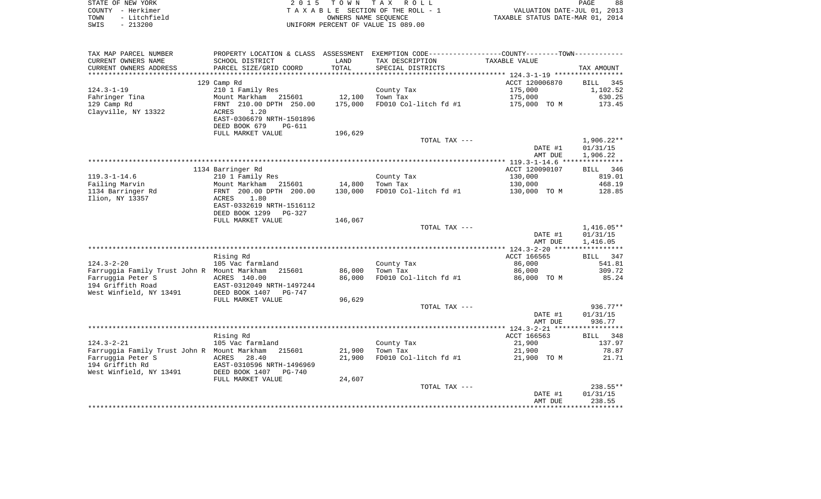|      | STATE OF NEW YORK | 2015 TOWN TAX ROLL                 | 88<br>PAGE                       |
|------|-------------------|------------------------------------|----------------------------------|
|      | COUNTY - Herkimer | TAXABLE SECTION OF THE ROLL - 1    | VALUATION DATE-JUL 01, 2013      |
| TOWN | - Litchfield      | OWNERS NAME SEOUENCE               | TAXABLE STATUS DATE-MAR 01, 2014 |
| SWIS | $-213200$         | UNIFORM PERCENT OF VALUE IS 089.00 |                                  |

|                                             |                                                       |         |                                                                                                | AMT DUE            | 238.55                   |
|---------------------------------------------|-------------------------------------------------------|---------|------------------------------------------------------------------------------------------------|--------------------|--------------------------|
|                                             |                                                       |         |                                                                                                | DATE #1            | 01/31/15                 |
|                                             | FULL MARKET VALUE                                     |         | TOTAL TAX ---                                                                                  |                    | $238.55**$               |
| West Winfield, NY 13491                     | EAST-0310596 NRTH-1496969<br>DEED BOOK 1407<br>PG-740 | 24,607  |                                                                                                |                    |                          |
| Farruggia Peter S<br>194 Griffith Rd        | ACRES<br>28.40                                        | 21,900  | FD010 Col-litch fd #1                                                                          | 21,900 TO M        | 21.71                    |
| Farruggia Family Trust John R Mount Markham | 215601                                                | 21,900  | Town Tax                                                                                       | 21,900             | 78.87                    |
| $124.3 - 2 - 21$                            | 105 Vac farmland                                      |         | County Tax                                                                                     | 21,900             | 137.97                   |
|                                             | Rising Rd                                             |         |                                                                                                | ACCT 166563        | BILL 348                 |
|                                             |                                                       |         |                                                                                                |                    |                          |
|                                             |                                                       |         |                                                                                                | AMT DUE            | 936.77                   |
|                                             |                                                       |         |                                                                                                | DATE #1            | 01/31/15                 |
|                                             |                                                       |         | TOTAL TAX ---                                                                                  |                    | 936.77**                 |
|                                             | FULL MARKET VALUE                                     | 96,629  |                                                                                                |                    |                          |
| West Winfield, NY 13491                     | DEED BOOK 1407<br>PG-747                              |         |                                                                                                |                    |                          |
| 194 Griffith Road                           | EAST-0312049 NRTH-1497244                             |         |                                                                                                |                    |                          |
| Farruggia Peter S                           | ACRES 140.00                                          | 86,000  | FD010 Col-litch fd #1                                                                          | 86,000 TO M        | 85.24                    |
| Farruggia Family Trust John R Mount Markham | 215601                                                | 86,000  | Town Tax                                                                                       | 86,000             | 309.72                   |
| $124.3 - 2 - 20$                            | 105 Vac farmland                                      |         | County Tax                                                                                     | 86,000             | 541.81                   |
|                                             | Rising Rd                                             |         |                                                                                                | ACCT 166565        | BILL 347                 |
|                                             |                                                       |         |                                                                                                |                    |                          |
|                                             |                                                       |         |                                                                                                | AMT DUE            | 1,416.05                 |
|                                             |                                                       |         | TOTAL TAX ---                                                                                  | DATE #1            | $1,416.05**$<br>01/31/15 |
|                                             | FULL MARKET VALUE                                     | 146,067 |                                                                                                |                    |                          |
|                                             | DEED BOOK 1299<br>PG-327                              |         |                                                                                                |                    |                          |
|                                             | EAST-0332619 NRTH-1516112                             |         |                                                                                                |                    |                          |
| Ilion, NY 13357                             | 1.80<br>ACRES                                         |         |                                                                                                |                    |                          |
| 1134 Barringer Rd                           | FRNT 200.00 DPTH 200.00                               | 130,000 | FD010 Col-litch fd #1                                                                          | 130,000 TO M       | 128.85                   |
| Failing Marvin                              | Mount Markham<br>215601                               | 14,800  | Town Tax                                                                                       | 130,000            | 468.19                   |
| $119.3 - 1 - 14.6$                          | 210 1 Family Res                                      |         | County Tax                                                                                     | 130,000            | 819.01                   |
|                                             | 1134 Barringer Rd                                     |         |                                                                                                | ACCT 120090107     | BILL 346                 |
|                                             |                                                       |         |                                                                                                |                    |                          |
|                                             |                                                       |         |                                                                                                | DATE #1<br>AMT DUE | 01/31/15<br>1,906.22     |
|                                             |                                                       |         | TOTAL TAX ---                                                                                  |                    | $1,906.22**$             |
|                                             | FULL MARKET VALUE                                     | 196,629 |                                                                                                |                    |                          |
|                                             | DEED BOOK 679<br><b>PG-611</b>                        |         |                                                                                                |                    |                          |
|                                             | EAST-0306679 NRTH-1501896                             |         |                                                                                                |                    |                          |
| Clayville, NY 13322                         | 1.20<br>ACRES                                         |         |                                                                                                |                    |                          |
| 129 Camp Rd                                 | FRNT 210.00 DPTH 250.00                               | 175,000 | FD010 Col-litch fd #1                                                                          | 175,000 TO M       | 173.45                   |
| Fahringer Tina                              | Mount Markham 215601                                  | 12,100  | Town Tax                                                                                       | 175,000            | 630.25                   |
| $124.3 - 1 - 19$                            | 210 1 Family Res                                      |         | County Tax                                                                                     | 175,000            | 1,102.52                 |
|                                             | 129 Camp Rd                                           |         |                                                                                                | ACCT 120006870     | BILL 345                 |
| **********************                      |                                                       |         |                                                                                                |                    |                          |
| CURRENT OWNERS ADDRESS                      | PARCEL SIZE/GRID COORD                                | TOTAL   | SPECIAL DISTRICTS                                                                              |                    | TAX AMOUNT               |
| CURRENT OWNERS NAME                         | SCHOOL DISTRICT                                       | LAND    | TAX DESCRIPTION                                                                                | TAXABLE VALUE      |                          |
| TAX MAP PARCEL NUMBER                       |                                                       |         | PROPERTY LOCATION & CLASS ASSESSMENT EXEMPTION CODE---------------COUNTY--------TOWN---------- |                    |                          |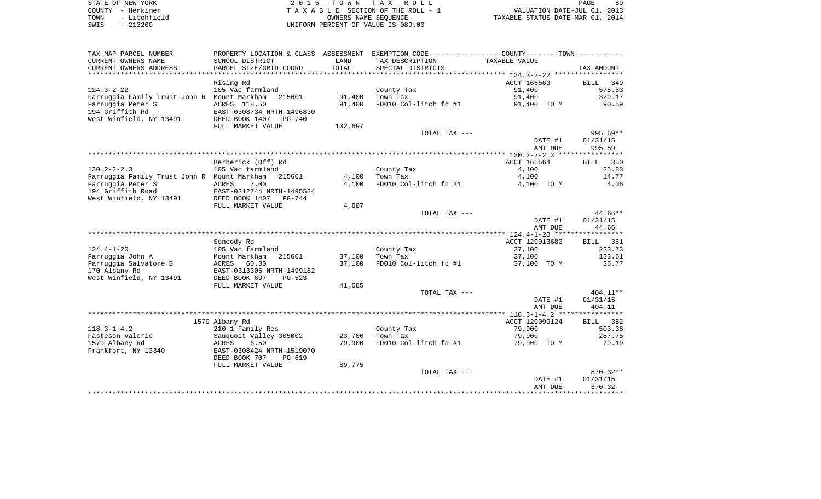| STATE OF NEW YORK |              |
|-------------------|--------------|
| COUNTY - Herkimer |              |
| TOWN              | - Litchfield |
| SWIS              | $-213200$    |

| TAX MAP PARCEL NUMBER<br>CURRENT OWNERS NAME<br>CURRENT OWNERS ADDRESS | PROPERTY LOCATION & CLASS ASSESSMENT<br>SCHOOL DISTRICT<br>PARCEL SIZE/GRID COORD | LAND<br>TOTAL | EXEMPTION CODE-----------------COUNTY-------TOWN-----------<br>TAX DESCRIPTION<br>SPECIAL DISTRICTS | TAXABLE VALUE      | TAX AMOUNT         |
|------------------------------------------------------------------------|-----------------------------------------------------------------------------------|---------------|-----------------------------------------------------------------------------------------------------|--------------------|--------------------|
|                                                                        |                                                                                   |               |                                                                                                     |                    |                    |
|                                                                        | Rising Rd                                                                         |               |                                                                                                     | ACCT 166563        | 349<br>BILL        |
| $124.3 - 2 - 22$                                                       | 105 Vac farmland                                                                  |               | County Tax                                                                                          | 91,400             | 575.83             |
| Farruggia Family Trust John R                                          | 215601<br>Mount Markham                                                           | 91,400        | Town Tax                                                                                            | 91,400             | 329.17             |
| Farruggia Peter S                                                      | ACRES 118.50                                                                      | 91,400        | FD010 Col-litch fd #1                                                                               | 91,400 TO M        | 90.59              |
| 194 Griffith Rd<br>West Winfield, NY 13491                             | EAST-0308734 NRTH-1496830<br>DEED BOOK 1407<br>PG-740                             |               |                                                                                                     |                    |                    |
|                                                                        | FULL MARKET VALUE                                                                 | 102,697       |                                                                                                     |                    |                    |
|                                                                        |                                                                                   |               | TOTAL TAX ---                                                                                       |                    | 995.59**           |
|                                                                        |                                                                                   |               |                                                                                                     | DATE #1<br>AMT DUE | 01/31/15<br>995.59 |
|                                                                        |                                                                                   |               |                                                                                                     |                    |                    |
|                                                                        | Berberick (Off) Rd                                                                |               |                                                                                                     | ACCT 166564        | 350<br><b>BILL</b> |
| $130.2 - 2 - 2.3$                                                      | 105 Vac farmland                                                                  |               | County Tax                                                                                          | 4,100              | 25.83              |
| Farruggia Family Trust John R Mount Markham                            | 215601                                                                            | 4,100         | Town Tax                                                                                            | 4,100              | 14.77              |
| Farruggia Peter S                                                      | 7.00<br><b>ACRES</b>                                                              | 4,100         | FD010 Col-litch fd #1                                                                               | 4,100 TO M         | 4.06               |
| 194 Griffith Road<br>West Winfield, NY 13491                           | EAST-0312744 NRTH-1495524<br>DEED BOOK 1407 PG-744                                |               |                                                                                                     |                    |                    |
|                                                                        | FULL MARKET VALUE                                                                 | 4,607         |                                                                                                     |                    |                    |
|                                                                        |                                                                                   |               | TOTAL TAX ---                                                                                       |                    | 44.66**            |
|                                                                        |                                                                                   |               |                                                                                                     | DATE #1            | 01/31/15           |
|                                                                        |                                                                                   |               |                                                                                                     | AMT DUE            | 44.66              |
|                                                                        |                                                                                   |               |                                                                                                     |                    |                    |
|                                                                        | Soncody Rd                                                                        |               |                                                                                                     | ACCT 120013680     | 351<br>BILL        |
| $124.4 - 1 - 20$                                                       | 105 Vac farmland                                                                  |               | County Tax                                                                                          | 37,100             | 233.73             |
| Farruggia John A                                                       | Mount Markham<br>215601                                                           | 37,100        | Town Tax                                                                                            | 37,100             | 133.61             |
| Farruggia Salvatore B                                                  | <b>ACRES</b><br>60.30                                                             | 37,100        | FD010 Col-litch fd #1                                                                               | 37,100 TO M        | 36.77              |
| 170 Albany Rd                                                          | EAST-0313305 NRTH-1499182                                                         |               |                                                                                                     |                    |                    |
| West Winfield, NY 13491                                                | DEED BOOK 697<br>$PG-523$                                                         |               |                                                                                                     |                    |                    |
|                                                                        | FULL MARKET VALUE                                                                 | 41,685        |                                                                                                     |                    |                    |
|                                                                        |                                                                                   |               | TOTAL TAX ---                                                                                       |                    | $404.11**$         |
|                                                                        |                                                                                   |               |                                                                                                     | DATE #1            | 01/31/15           |
|                                                                        |                                                                                   |               |                                                                                                     | AMT DUE            | 404.11             |
|                                                                        |                                                                                   |               |                                                                                                     |                    |                    |
|                                                                        | 1579 Albany Rd                                                                    |               |                                                                                                     | ACCT 120090124     | 352<br>BILL        |
| $118.3 - 1 - 4.2$                                                      | 210 1 Family Res                                                                  |               | County Tax                                                                                          | 79,900             | 503.38             |
| Fasteson Valerie                                                       | Sauquoit Valley 305002                                                            | 23,700        | Town Tax                                                                                            | 79,900             | 287.75             |
| 1579 Albany Rd                                                         | ACRES<br>6.50                                                                     | 79,900        | FD010 Col-litch fd #1                                                                               | 79,900 TO M        | 79.19              |
| Frankfort, NY 13340                                                    | EAST-0308424 NRTH-1519070                                                         |               |                                                                                                     |                    |                    |
|                                                                        | DEED BOOK 707<br>PG-619                                                           |               |                                                                                                     |                    |                    |
|                                                                        | FULL MARKET VALUE                                                                 | 89,775        | TOTAL TAX ---                                                                                       |                    | 870.32**           |
|                                                                        |                                                                                   |               |                                                                                                     |                    |                    |
|                                                                        |                                                                                   |               |                                                                                                     | DATE #1<br>AMT DUE | 01/31/15<br>870.32 |
|                                                                        |                                                                                   |               |                                                                                                     |                    |                    |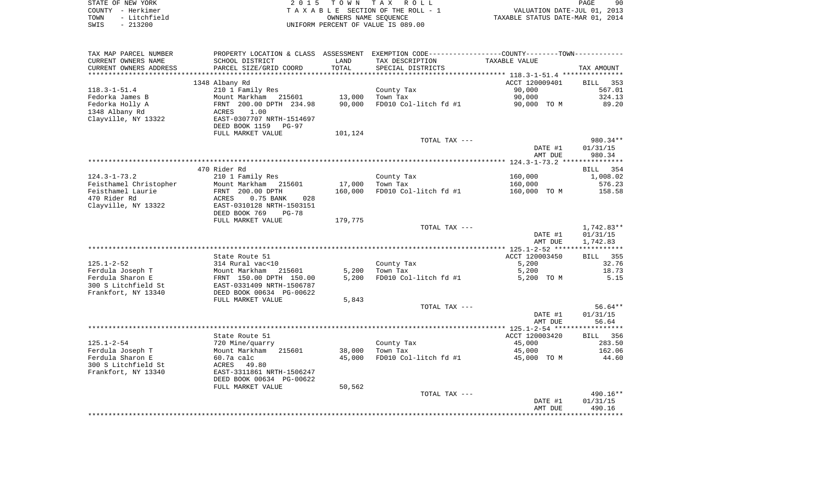| STATE OF NEW YORK    | 2015 TOWN TAX ROLL                 | -90<br>PAGE                      |
|----------------------|------------------------------------|----------------------------------|
| COUNTY - Herkimer    | TAXABLE SECTION OF THE ROLL - 1    | VALUATION DATE-JUL 01, 2013      |
| - Litchfield<br>TOWN | OWNERS NAME SEOUENCE               | TAXABLE STATUS DATE-MAR 01, 2014 |
| - 213200<br>SWIS     | UNIFORM PERCENT OF VALUE IS 089.00 |                                  |

 $90$ <br> $2013$ <br> $2014$ 

| TAX MAP PARCEL NUMBER                      |                                                       |         | PROPERTY LOCATION & CLASS ASSESSMENT EXEMPTION CODE----------------COUNTY--------TOWN----------- |                |                    |
|--------------------------------------------|-------------------------------------------------------|---------|--------------------------------------------------------------------------------------------------|----------------|--------------------|
| CURRENT OWNERS NAME                        | SCHOOL DISTRICT                                       | LAND    | TAX DESCRIPTION                                                                                  | TAXABLE VALUE  |                    |
| CURRENT OWNERS ADDRESS                     | PARCEL SIZE/GRID COORD                                | TOTAL   | SPECIAL DISTRICTS                                                                                |                | TAX AMOUNT         |
| **********************                     | ****************************                          |         |                                                                                                  |                |                    |
|                                            | 1348 Albany Rd                                        |         |                                                                                                  | ACCT 120009401 | BILL<br>353        |
| $118.3 - 1 - 51.4$                         | 210 1 Family Res                                      |         | County Tax                                                                                       | 90,000         | 567.01             |
| Fedorka James B                            | Mount Markham<br>215601                               | 13,000  | Town Tax                                                                                         | 90,000         | 324.13             |
| Fedorka Holly A                            | FRNT 200.00 DPTH 234.98                               | 90,000  | FD010 Col-litch fd #1                                                                            | 90,000 TO M    | 89.20              |
| 1348 Albany Rd                             | 1.00<br>ACRES                                         |         |                                                                                                  |                |                    |
| Clayville, NY 13322                        | EAST-0307707 NRTH-1514697                             |         |                                                                                                  |                |                    |
|                                            | DEED BOOK 1159<br><b>PG-97</b>                        |         |                                                                                                  |                |                    |
|                                            | FULL MARKET VALUE                                     | 101,124 |                                                                                                  |                |                    |
|                                            |                                                       |         | TOTAL TAX ---                                                                                    |                | 980.34**           |
|                                            |                                                       |         |                                                                                                  | DATE #1        | 01/31/15           |
|                                            |                                                       |         |                                                                                                  | AMT DUE        | 980.34             |
|                                            |                                                       |         |                                                                                                  |                |                    |
|                                            | 470 Rider Rd                                          |         |                                                                                                  |                | BILL 354           |
| $124.3 - 1 - 73.2$                         | 210 1 Family Res                                      |         | County Tax                                                                                       | 160,000        | 1,008.02           |
| Feisthamel Christopher                     | Mount Markham 215601                                  | 17,000  | Town Tax                                                                                         | 160,000        | 576.23             |
| Feisthamel Laurie                          | FRNT 200.00 DPTH                                      | 160,000 | FD010 Col-litch fd #1                                                                            | 160,000 TO M   | 158.58             |
| 470 Rider Rd                               | 0.75 BANK<br>028<br>ACRES                             |         |                                                                                                  |                |                    |
| Clayville, NY 13322                        | EAST-0310128 NRTH-1503151                             |         |                                                                                                  |                |                    |
|                                            | DEED BOOK 769<br>$PG-78$                              |         |                                                                                                  |                |                    |
|                                            | FULL MARKET VALUE                                     | 179,775 |                                                                                                  |                |                    |
|                                            |                                                       |         | TOTAL TAX ---                                                                                    |                | 1,742.83**         |
|                                            |                                                       |         |                                                                                                  | DATE #1        | 01/31/15           |
|                                            |                                                       |         |                                                                                                  | AMT DUE        | 1,742.83           |
|                                            |                                                       |         |                                                                                                  |                |                    |
|                                            | State Route 51                                        |         |                                                                                                  | ACCT 120003450 | <b>BILL</b><br>355 |
| $125.1 - 2 - 52$                           | 314 Rural vac<10                                      |         | County Tax                                                                                       | 5,200          | 32.76              |
| Ferdula Joseph T                           | Mount Markham<br>215601                               | 5,200   | Town Tax                                                                                         | 5,200          | 18.73              |
| Ferdula Sharon E                           | FRNT 150.00 DPTH 150.00                               | 5,200   | FD010 Col-litch fd #1                                                                            | 5,200 TO M     | 5.15               |
| 300 S Litchfield St<br>Frankfort, NY 13340 | EAST-0331409 NRTH-1506787<br>DEED BOOK 00634 PG-00622 |         |                                                                                                  |                |                    |
|                                            | FULL MARKET VALUE                                     |         |                                                                                                  |                |                    |
|                                            |                                                       | 5,843   | TOTAL TAX ---                                                                                    |                | $56.64**$          |
|                                            |                                                       |         |                                                                                                  | DATE #1        | 01/31/15           |
|                                            |                                                       |         |                                                                                                  | AMT DUE        | 56.64              |
|                                            |                                                       |         |                                                                                                  |                |                    |
|                                            | State Route 51                                        |         |                                                                                                  | ACCT 120003420 | BILL 356           |
| $125.1 - 2 - 54$                           | 720 Mine/quarry                                       |         | County Tax                                                                                       | 45,000         | 283.50             |
| Ferdula Joseph T                           | Mount Markham<br>215601                               | 38,000  | Town Tax                                                                                         | 45,000         | 162.06             |
| Ferdula Sharon E                           | 60.7a calc                                            | 45,000  | FD010 Col-litch fd #1                                                                            | 45,000 TO M    | 44.60              |
| 300 S Litchfield St                        | 49.80<br>ACRES                                        |         |                                                                                                  |                |                    |
| Frankfort, NY 13340                        | EAST-3311861 NRTH-1506247                             |         |                                                                                                  |                |                    |
|                                            | DEED BOOK 00634 PG-00622                              |         |                                                                                                  |                |                    |
|                                            | FULL MARKET VALUE                                     | 50,562  |                                                                                                  |                |                    |
|                                            |                                                       |         | TOTAL TAX ---                                                                                    |                | 490.16**           |
|                                            |                                                       |         |                                                                                                  | DATE #1        | 01/31/15           |
|                                            |                                                       |         |                                                                                                  | AMT DUE        | 490.16             |
|                                            |                                                       |         |                                                                                                  |                |                    |
|                                            |                                                       |         |                                                                                                  |                |                    |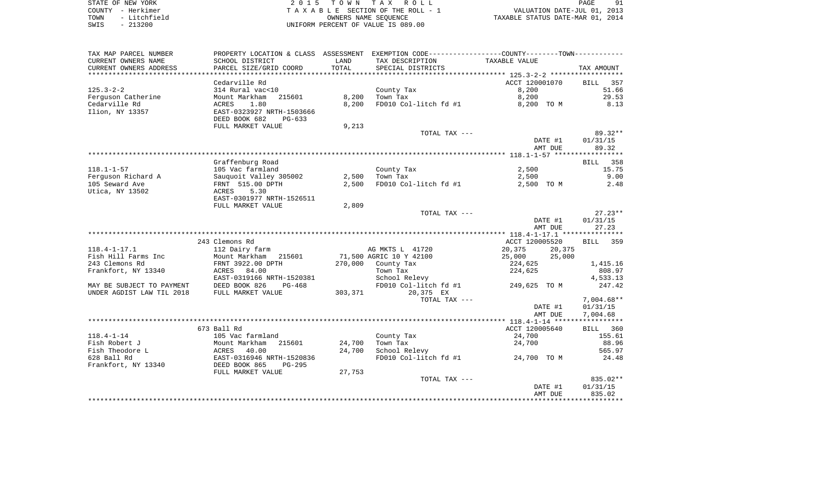|        | STATE OF NEW YORK |
|--------|-------------------|
| COUNTY | - Herkimer        |
| TOWN   | - Litchfield      |
| SWTS   | $-213200$         |

| TAX MAP PARCEL NUMBER         | PROPERTY LOCATION & CLASS ASSESSMENT |         |                         |                                       |                    |
|-------------------------------|--------------------------------------|---------|-------------------------|---------------------------------------|--------------------|
| CURRENT OWNERS NAME           | SCHOOL DISTRICT                      | LAND    | TAX DESCRIPTION         | TAXABLE VALUE                         |                    |
| CURRENT OWNERS ADDRESS        | PARCEL SIZE/GRID COORD               | TOTAL   | SPECIAL DISTRICTS       |                                       | TAX AMOUNT         |
| * * * * * * * * * * * * * * * | **************************           |         |                         |                                       |                    |
|                               | Cedarville Rd                        |         |                         | ACCT 120001070                        | 357<br>BILL        |
| $125.3 - 2 - 2$               | 314 Rural vac<10                     |         | County Tax              | 8,200                                 | 51.66              |
|                               |                                      |         |                         |                                       |                    |
| Ferguson Catherine            | Mount Markham<br>215601              | 8,200   | Town Tax                | 8,200                                 | 29.53              |
| Cedarville Rd                 | 1.80<br>ACRES                        | 8,200   | FD010 Col-litch fd #1   | 8,200 TO M                            | 8.13               |
| Ilion, NY 13357               | EAST-0323927 NRTH-1503666            |         |                         |                                       |                    |
|                               | DEED BOOK 682<br>$PG-633$            |         |                         |                                       |                    |
|                               | FULL MARKET VALUE                    | 9,213   |                         |                                       |                    |
|                               |                                      |         | TOTAL TAX ---           |                                       | $89.32**$          |
|                               |                                      |         |                         | DATE #1                               | 01/31/15           |
|                               |                                      |         |                         | AMT DUE                               | 89.32              |
|                               |                                      |         |                         |                                       |                    |
|                               | Graffenburg Road                     |         |                         |                                       | BILL 358           |
| $118.1 - 1 - 57$              | 105 Vac farmland                     |         | County Tax              | 2,500                                 | 15.75              |
| Ferguson Richard A            | Sauquoit Valley 305002               | 2,500   | Town Tax                | 2,500                                 | 9.00               |
| 105 Seward Ave                | FRNT 515.00 DPTH                     | 2,500   | FD010 Col-litch fd #1   | 2,500 TO M                            | 2.48               |
|                               | 5.30                                 |         |                         |                                       |                    |
| Utica, NY 13502               | ACRES                                |         |                         |                                       |                    |
|                               | EAST-0301977 NRTH-1526511            |         |                         |                                       |                    |
|                               | FULL MARKET VALUE                    | 2,809   |                         |                                       |                    |
|                               |                                      |         | TOTAL TAX ---           |                                       | $27.23**$          |
|                               |                                      |         |                         | DATE #1                               | 01/31/15           |
|                               |                                      |         |                         | AMT DUE                               | 27.23              |
|                               |                                      |         |                         |                                       |                    |
|                               | 243 Clemons Rd                       |         |                         | ACCT 120005520                        | <b>BILL</b><br>359 |
| $118.4 - 1 - 17.1$            | 112 Dairy farm                       |         | AG MKTS L 41720         | 20,375<br>20,375                      |                    |
| Fish Hill Farms Inc           | Mount Markham<br>215601              |         | 71,500 AGRIC 10 Y 42100 | 25,000<br>25,000                      |                    |
| 243 Clemons Rd                | FRNT 3922.00 DPTH                    | 270,000 | County Tax              | 224,625                               | 1,415.16           |
| Frankfort, NY 13340           | ACRES<br>84.00                       |         | Town Tax                | 224,625                               | 808.97             |
|                               | EAST-0319166 NRTH-1520381            |         | School Relevy           |                                       | 4,533.13           |
| MAY BE SUBJECT TO PAYMENT     | DEED BOOK 826<br>$PG-468$            |         | FD010 Col-litch fd #1   | 249,625 TO M                          | 247.42             |
| UNDER AGDIST LAW TIL 2018     | FULL MARKET VALUE                    | 303,371 | 20,375 EX               |                                       |                    |
|                               |                                      |         | TOTAL TAX ---           |                                       | $7,004.68**$       |
|                               |                                      |         |                         |                                       |                    |
|                               |                                      |         |                         | DATE #1                               | 01/31/15           |
|                               |                                      |         |                         | AMT DUE                               | 7,004.68           |
|                               |                                      |         |                         |                                       |                    |
|                               | 673 Ball Rd                          |         |                         | ACCT 120005640                        | BILL 360           |
| $118.4 - 1 - 14$              | 105 Vac farmland                     |         | County Tax              | 24,700                                | 155.61             |
| Fish Robert J                 | Mount Markham<br>215601              | 24,700  | Town Tax                | 24,700                                | 88.96              |
| Fish Theodore L               | ACRES<br>40.00                       | 24,700  | School Relevy           |                                       | 565.97             |
| 628 Ball Rd                   | EAST-0316946 NRTH-1520836            |         | FD010 Col-litch fd #1   | 24,700 TO M                           | 24.48              |
| Frankfort, NY 13340           | DEED BOOK 865<br>$PG-295$            |         |                         |                                       |                    |
|                               | FULL MARKET VALUE                    | 27,753  |                         |                                       |                    |
|                               |                                      |         | TOTAL TAX ---           |                                       | 835.02**           |
|                               |                                      |         |                         | DATE #1                               | 01/31/15           |
|                               |                                      |         |                         | AMT DUE                               | 835.02             |
|                               |                                      |         |                         | ************************************* |                    |
|                               |                                      |         |                         |                                       |                    |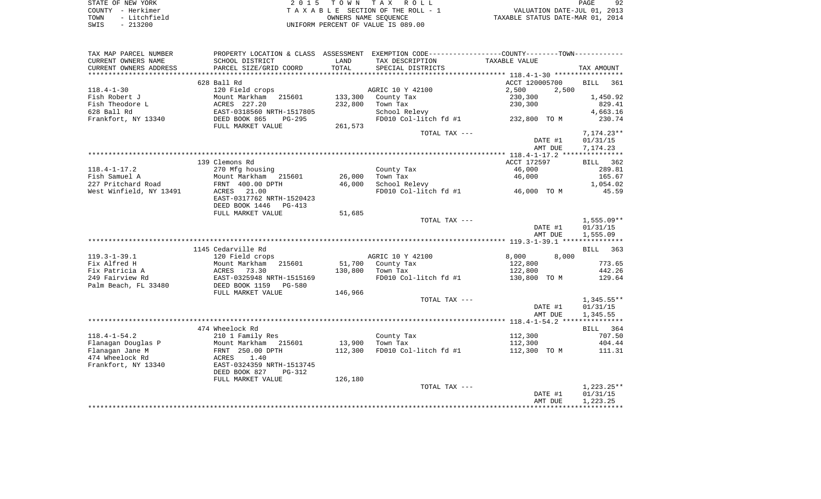| STATE OF NEW YORK    | 2015 TOWN TAX ROLL                 | PAGE                             |
|----------------------|------------------------------------|----------------------------------|
| COUNTY - Herkimer    | TAXABLE SECTION OF THE ROLL - 1    | VALUATION DATE-JUL 01, 2013      |
| - Litchfield<br>TOWN | OWNERS NAME SEOUENCE               | TAXABLE STATUS DATE-MAR 01, 2014 |
| $-213200$<br>SWIS    | UNIFORM PERCENT OF VALUE IS 089.00 |                                  |

| TAX MAP PARCEL NUMBER   | PROPERTY LOCATION & CLASS ASSESSMENT EXEMPTION CODE---------------COUNTY-------TOWN---------- |         |                       |                |                    |
|-------------------------|-----------------------------------------------------------------------------------------------|---------|-----------------------|----------------|--------------------|
| CURRENT OWNERS NAME     | SCHOOL DISTRICT                                                                               | LAND    | TAX DESCRIPTION       | TAXABLE VALUE  |                    |
| CURRENT OWNERS ADDRESS  | PARCEL SIZE/GRID COORD                                                                        | TOTAL   | SPECIAL DISTRICTS     |                | TAX AMOUNT         |
| **************          | ***************************                                                                   |         |                       |                |                    |
|                         | 628 Ball Rd                                                                                   |         |                       | ACCT 120005700 | <b>BILL</b><br>361 |
| $118.4 - 1 - 30$        | 120 Field crops                                                                               |         | AGRIC 10 Y 42100      | 2,500<br>2,500 |                    |
| Fish Robert J           | Mount Markham<br>215601                                                                       | 133,300 | County Tax            | 230,300        | 1,450.92           |
| Fish Theodore L         | ACRES 227.20                                                                                  | 232,800 | Town Tax              | 230,300        | 829.41             |
| 628 Ball Rd             | EAST-0318560 NRTH-1517805                                                                     |         | School Relevy         |                | 4,663.16           |
| Frankfort, NY 13340     | DEED BOOK 865<br>$PG-295$                                                                     |         | FD010 Col-litch fd #1 | 232,800 TO M   | 230.74             |
|                         |                                                                                               |         |                       |                |                    |
|                         | FULL MARKET VALUE                                                                             | 261,573 | TOTAL TAX ---         |                |                    |
|                         |                                                                                               |         |                       |                | $7,174.23**$       |
|                         |                                                                                               |         |                       | DATE #1        | 01/31/15           |
|                         |                                                                                               |         |                       | AMT DUE        | 7,174.23           |
|                         |                                                                                               |         |                       |                |                    |
|                         | 139 Clemons Rd                                                                                |         |                       | ACCT 172597    | BILL 362           |
| $118.4 - 1 - 17.2$      | 270 Mfg housing                                                                               |         | County Tax            | 46,000         | 289.81             |
| Fish Samuel A           | Mount Markham 215601                                                                          | 26,000  | Town Tax              | 46,000         | 165.67             |
| 227 Pritchard Road      | FRNT 400.00 DPTH                                                                              | 46,000  | School Relevy         |                | 1,054.02           |
| West Winfield, NY 13491 | ACRES<br>21.00                                                                                |         | FD010 Col-litch fd #1 | 46,000 TO M    | 45.59              |
|                         | EAST-0317762 NRTH-1520423                                                                     |         |                       |                |                    |
|                         | DEED BOOK 1446<br>PG-413                                                                      |         |                       |                |                    |
|                         | FULL MARKET VALUE                                                                             | 51,685  |                       |                |                    |
|                         |                                                                                               |         | TOTAL TAX ---         |                | $1,555.09**$       |
|                         |                                                                                               |         |                       | DATE #1        | 01/31/15           |
|                         |                                                                                               |         |                       | AMT DUE        | 1,555.09           |
|                         |                                                                                               |         |                       |                |                    |
|                         | 1145 Cedarville Rd                                                                            |         |                       |                | BILL<br>363        |
| $119.3 - 1 - 39.1$      | 120 Field crops                                                                               |         | AGRIC 10 Y 42100      | 8,000<br>8,000 |                    |
| Fix Alfred H            | Mount Markham<br>215601                                                                       | 51,700  |                       |                | 773.65             |
|                         |                                                                                               |         | County Tax            | 122,800        |                    |
| Fix Patricia A          | 73.30<br>ACRES                                                                                | 130,800 | Town Tax              | 122,800        | 442.26             |
| 249 Fairview Rd         | EAST-0325948 NRTH-1515169                                                                     |         | FD010 Col-litch fd #1 | 130,800 TO M   | 129.64             |
| Palm Beach, FL 33480    | DEED BOOK 1159<br><b>PG-580</b>                                                               |         |                       |                |                    |
|                         | FULL MARKET VALUE                                                                             | 146,966 |                       |                |                    |
|                         |                                                                                               |         | TOTAL TAX ---         |                | $1,345.55**$       |
|                         |                                                                                               |         |                       | DATE #1        | 01/31/15           |
|                         |                                                                                               |         |                       | AMT DUE        | 1,345.55           |
|                         |                                                                                               |         |                       |                |                    |
|                         | 474 Wheelock Rd                                                                               |         |                       |                | BILL 364           |
| $118.4 - 1 - 54.2$      | 210 1 Family Res                                                                              |         | County Tax            | 112,300        | 707.50             |
| Flanagan Douglas P      | Mount Markham<br>215601                                                                       | 13,900  | Town Tax              | 112,300        | 404.44             |
| Flanagan Jane M         | FRNT 250.00 DPTH                                                                              | 112,300 | FD010 Col-litch fd #1 | 112,300 TO M   | 111.31             |
| 474 Wheelock Rd         | 1.40<br>ACRES                                                                                 |         |                       |                |                    |
| Frankfort, NY 13340     | EAST-0324359 NRTH-1513745                                                                     |         |                       |                |                    |
|                         | DEED BOOK 827<br>$PG-312$                                                                     |         |                       |                |                    |
|                         | FULL MARKET VALUE                                                                             |         |                       |                |                    |
|                         |                                                                                               | 126,180 |                       |                |                    |
|                         |                                                                                               |         | TOTAL TAX ---         |                | $1,223.25**$       |
|                         |                                                                                               |         |                       | DATE #1        | 01/31/15           |
|                         |                                                                                               |         |                       | AMT DUE        | 1,223.25           |
|                         |                                                                                               |         |                       |                |                    |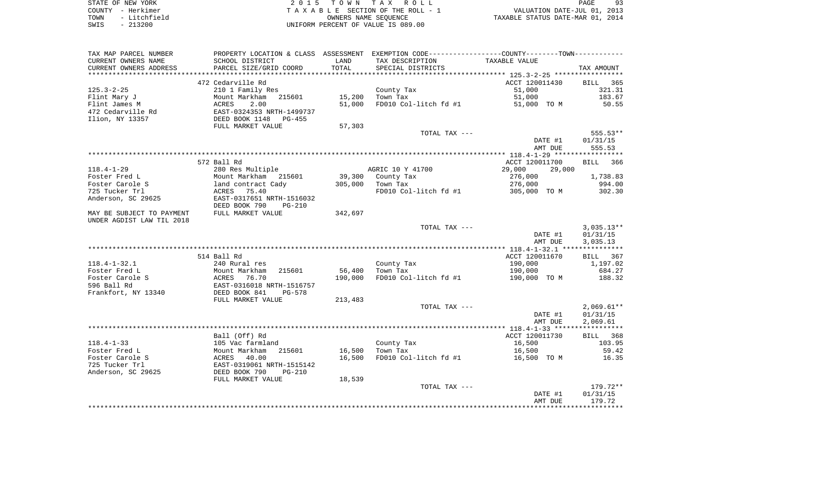| STATE OF NEW YORK                                                                                                                                                                                                                                                                                                                                                                                                                                                                                                                                                              | 2015 TOWN TAX ROLL                  | Q <sub>2</sub><br>PAGE           |
|--------------------------------------------------------------------------------------------------------------------------------------------------------------------------------------------------------------------------------------------------------------------------------------------------------------------------------------------------------------------------------------------------------------------------------------------------------------------------------------------------------------------------------------------------------------------------------|-------------------------------------|----------------------------------|
| COUNTY - Herkimer                                                                                                                                                                                                                                                                                                                                                                                                                                                                                                                                                              | TAXABLE SECTION OF THE ROLL - 1     | VALUATION DATE-JUL 01, 2013      |
| - Litchfield<br>TOWN                                                                                                                                                                                                                                                                                                                                                                                                                                                                                                                                                           | OWNERS NAME SEOUENCE                | TAXABLE STATUS DATE-MAR 01, 2014 |
| $\begin{array}{c} \n \uparrow \\ \n \uparrow \\ \n \uparrow \\ \n \uparrow \\ \n \uparrow \\ \n \uparrow \\ \n \uparrow \\ \n \uparrow \\ \n \uparrow \\ \n \uparrow \\ \n \uparrow \\ \n \uparrow \\ \n \uparrow \\ \n \uparrow \\ \n \uparrow \\ \n \uparrow \\ \n \uparrow \\ \n \uparrow \\ \n \uparrow \\ \n \uparrow \\ \n \uparrow \\ \n \uparrow \\ \n \uparrow \\ \n \uparrow \\ \n \uparrow \\ \n \uparrow \\ \n \uparrow \\ \n \uparrow \\ \n \uparrow \\ \n \uparrow \\ \n \uparrow \\ \n \uparrow \\ \n \uparrow \\ \n \uparrow \\ \n \uparrow \\ \n \$<br>$\cap$ | LUITROPH PROGRAM OR USILE IS 000 00 |                                  |

SWIS - 213200 UNIFORM PERCENT OF VALUE IS 089.00

| SCHOOL DISTRICT<br>LAND<br>TAX DESCRIPTION<br>TAXABLE VALUE<br>TOTAL<br>CURRENT OWNERS ADDRESS<br>PARCEL SIZE/GRID COORD<br>SPECIAL DISTRICTS<br>TAX AMOUNT<br>472 Cedarville Rd<br>ACCT 120011430<br>BILL<br>365<br>$125.3 - 2 - 25$<br>210 1 Family Res<br>County Tax<br>51,000<br>321.31<br>Mount Markham<br>215601<br>15,200<br>Town Tax<br>51,000<br>183.67<br>Flint Mary J<br>Flint James M<br>2.00<br>51,000<br>FD010 Col-litch fd #1<br>ACRES<br>51,000 TO M<br>50.55<br>472 Cedarville Rd<br>EAST-0324353 NRTH-1499737<br>Ilion, NY 13357<br>DEED BOOK 1148 PG-455<br>FULL MARKET VALUE<br>57,303<br>555.53**<br>TOTAL TAX ---<br>DATE #1<br>01/31/15<br>AMT DUE<br>555.53<br>572 Ball Rd<br>ACCT 120011700<br>BILL<br>366<br>$118.4 - 1 - 29$<br>280 Res Multiple<br>AGRIC 10 Y 41700<br>29,000<br>29,000<br>Foster Fred L<br>Mount Markham 215601<br>39,300<br>County Tax<br>276,000<br>1,738.83<br>Foster Carole S<br>276,000<br>994.00<br>land contract Cady<br>305,000<br>Town Tax<br>725 Tucker Trl<br>ACRES 75.40<br>FD010 Col-litch fd #1<br>302.30<br>305,000 TO M<br>Anderson, SC 29625<br>EAST-0317651 NRTH-1516032<br>DEED BOOK 790<br>$PG-210$<br>FULL MARKET VALUE<br>342,697<br>MAY BE SUBJECT TO PAYMENT<br>UNDER AGDIST LAW TIL 2018<br>$3,035.13**$<br>TOTAL TAX ---<br>01/31/15<br>DATE #1<br>3,035.13<br>AMT DUE<br>514 Ball Rd<br>ACCT 120011670<br>BILL 367<br>$118.4 - 1 - 32.1$<br>County Tax<br>190,000<br>1,197.02<br>240 Rural res<br>56,400<br>190,000<br>Mount Markham<br>215601<br>Town Tax<br>684.27<br>76.70<br>190,000<br>FD010 Col-litch fd #1<br>188.32<br>ACRES<br>190,000 TO M<br>EAST-0316018 NRTH-1516757<br>DEED BOOK 841<br>PG-578<br>FULL MARKET VALUE<br>213,483<br>TOTAL TAX ---<br>01/31/15<br>DATE #1<br>2,069.61<br>AMT DUE<br>Ball (Off) Rd<br>ACCT 120011730<br>BILL 368<br>16,500<br>103.95<br>105 Vac farmland<br>County Tax<br>215601<br>Mount Markham<br>16,500<br>Town Tax<br>59.42<br>16,500<br>40.00<br>16,500<br>FD010 Col-litch fd #1<br>16.35<br>ACRES<br>16,500 TO M<br>EAST-0319061 NRTH-1515142<br>Anderson, SC 29625<br>DEED BOOK 790<br>$PG-210$<br>FULL MARKET VALUE<br>18,539<br>TOTAL TAX ---<br>179.72**<br>DATE #1<br>01/31/15<br>179.72<br>AMT DUE | TAX MAP PARCEL NUMBER |  | PROPERTY LOCATION & CLASS ASSESSMENT EXEMPTION CODE--------------COUNTY-------TOWN--------- |              |
|-----------------------------------------------------------------------------------------------------------------------------------------------------------------------------------------------------------------------------------------------------------------------------------------------------------------------------------------------------------------------------------------------------------------------------------------------------------------------------------------------------------------------------------------------------------------------------------------------------------------------------------------------------------------------------------------------------------------------------------------------------------------------------------------------------------------------------------------------------------------------------------------------------------------------------------------------------------------------------------------------------------------------------------------------------------------------------------------------------------------------------------------------------------------------------------------------------------------------------------------------------------------------------------------------------------------------------------------------------------------------------------------------------------------------------------------------------------------------------------------------------------------------------------------------------------------------------------------------------------------------------------------------------------------------------------------------------------------------------------------------------------------------------------------------------------------------------------------------------------------------------------------------------------------------------------------------------------------------------------------------------------------------------------------------------------------------------------------------------------------------------------------------------------------------------------------------------------------------------------|-----------------------|--|---------------------------------------------------------------------------------------------|--------------|
|                                                                                                                                                                                                                                                                                                                                                                                                                                                                                                                                                                                                                                                                                                                                                                                                                                                                                                                                                                                                                                                                                                                                                                                                                                                                                                                                                                                                                                                                                                                                                                                                                                                                                                                                                                                                                                                                                                                                                                                                                                                                                                                                                                                                                                   | CURRENT OWNERS NAME   |  |                                                                                             |              |
|                                                                                                                                                                                                                                                                                                                                                                                                                                                                                                                                                                                                                                                                                                                                                                                                                                                                                                                                                                                                                                                                                                                                                                                                                                                                                                                                                                                                                                                                                                                                                                                                                                                                                                                                                                                                                                                                                                                                                                                                                                                                                                                                                                                                                                   |                       |  |                                                                                             |              |
|                                                                                                                                                                                                                                                                                                                                                                                                                                                                                                                                                                                                                                                                                                                                                                                                                                                                                                                                                                                                                                                                                                                                                                                                                                                                                                                                                                                                                                                                                                                                                                                                                                                                                                                                                                                                                                                                                                                                                                                                                                                                                                                                                                                                                                   |                       |  |                                                                                             |              |
|                                                                                                                                                                                                                                                                                                                                                                                                                                                                                                                                                                                                                                                                                                                                                                                                                                                                                                                                                                                                                                                                                                                                                                                                                                                                                                                                                                                                                                                                                                                                                                                                                                                                                                                                                                                                                                                                                                                                                                                                                                                                                                                                                                                                                                   |                       |  |                                                                                             |              |
|                                                                                                                                                                                                                                                                                                                                                                                                                                                                                                                                                                                                                                                                                                                                                                                                                                                                                                                                                                                                                                                                                                                                                                                                                                                                                                                                                                                                                                                                                                                                                                                                                                                                                                                                                                                                                                                                                                                                                                                                                                                                                                                                                                                                                                   |                       |  |                                                                                             |              |
|                                                                                                                                                                                                                                                                                                                                                                                                                                                                                                                                                                                                                                                                                                                                                                                                                                                                                                                                                                                                                                                                                                                                                                                                                                                                                                                                                                                                                                                                                                                                                                                                                                                                                                                                                                                                                                                                                                                                                                                                                                                                                                                                                                                                                                   |                       |  |                                                                                             |              |
|                                                                                                                                                                                                                                                                                                                                                                                                                                                                                                                                                                                                                                                                                                                                                                                                                                                                                                                                                                                                                                                                                                                                                                                                                                                                                                                                                                                                                                                                                                                                                                                                                                                                                                                                                                                                                                                                                                                                                                                                                                                                                                                                                                                                                                   |                       |  |                                                                                             |              |
|                                                                                                                                                                                                                                                                                                                                                                                                                                                                                                                                                                                                                                                                                                                                                                                                                                                                                                                                                                                                                                                                                                                                                                                                                                                                                                                                                                                                                                                                                                                                                                                                                                                                                                                                                                                                                                                                                                                                                                                                                                                                                                                                                                                                                                   |                       |  |                                                                                             |              |
|                                                                                                                                                                                                                                                                                                                                                                                                                                                                                                                                                                                                                                                                                                                                                                                                                                                                                                                                                                                                                                                                                                                                                                                                                                                                                                                                                                                                                                                                                                                                                                                                                                                                                                                                                                                                                                                                                                                                                                                                                                                                                                                                                                                                                                   |                       |  |                                                                                             |              |
|                                                                                                                                                                                                                                                                                                                                                                                                                                                                                                                                                                                                                                                                                                                                                                                                                                                                                                                                                                                                                                                                                                                                                                                                                                                                                                                                                                                                                                                                                                                                                                                                                                                                                                                                                                                                                                                                                                                                                                                                                                                                                                                                                                                                                                   |                       |  |                                                                                             |              |
|                                                                                                                                                                                                                                                                                                                                                                                                                                                                                                                                                                                                                                                                                                                                                                                                                                                                                                                                                                                                                                                                                                                                                                                                                                                                                                                                                                                                                                                                                                                                                                                                                                                                                                                                                                                                                                                                                                                                                                                                                                                                                                                                                                                                                                   |                       |  |                                                                                             |              |
|                                                                                                                                                                                                                                                                                                                                                                                                                                                                                                                                                                                                                                                                                                                                                                                                                                                                                                                                                                                                                                                                                                                                                                                                                                                                                                                                                                                                                                                                                                                                                                                                                                                                                                                                                                                                                                                                                                                                                                                                                                                                                                                                                                                                                                   |                       |  |                                                                                             |              |
|                                                                                                                                                                                                                                                                                                                                                                                                                                                                                                                                                                                                                                                                                                                                                                                                                                                                                                                                                                                                                                                                                                                                                                                                                                                                                                                                                                                                                                                                                                                                                                                                                                                                                                                                                                                                                                                                                                                                                                                                                                                                                                                                                                                                                                   |                       |  |                                                                                             |              |
|                                                                                                                                                                                                                                                                                                                                                                                                                                                                                                                                                                                                                                                                                                                                                                                                                                                                                                                                                                                                                                                                                                                                                                                                                                                                                                                                                                                                                                                                                                                                                                                                                                                                                                                                                                                                                                                                                                                                                                                                                                                                                                                                                                                                                                   |                       |  |                                                                                             |              |
|                                                                                                                                                                                                                                                                                                                                                                                                                                                                                                                                                                                                                                                                                                                                                                                                                                                                                                                                                                                                                                                                                                                                                                                                                                                                                                                                                                                                                                                                                                                                                                                                                                                                                                                                                                                                                                                                                                                                                                                                                                                                                                                                                                                                                                   |                       |  |                                                                                             |              |
|                                                                                                                                                                                                                                                                                                                                                                                                                                                                                                                                                                                                                                                                                                                                                                                                                                                                                                                                                                                                                                                                                                                                                                                                                                                                                                                                                                                                                                                                                                                                                                                                                                                                                                                                                                                                                                                                                                                                                                                                                                                                                                                                                                                                                                   |                       |  |                                                                                             |              |
|                                                                                                                                                                                                                                                                                                                                                                                                                                                                                                                                                                                                                                                                                                                                                                                                                                                                                                                                                                                                                                                                                                                                                                                                                                                                                                                                                                                                                                                                                                                                                                                                                                                                                                                                                                                                                                                                                                                                                                                                                                                                                                                                                                                                                                   |                       |  |                                                                                             |              |
|                                                                                                                                                                                                                                                                                                                                                                                                                                                                                                                                                                                                                                                                                                                                                                                                                                                                                                                                                                                                                                                                                                                                                                                                                                                                                                                                                                                                                                                                                                                                                                                                                                                                                                                                                                                                                                                                                                                                                                                                                                                                                                                                                                                                                                   |                       |  |                                                                                             |              |
|                                                                                                                                                                                                                                                                                                                                                                                                                                                                                                                                                                                                                                                                                                                                                                                                                                                                                                                                                                                                                                                                                                                                                                                                                                                                                                                                                                                                                                                                                                                                                                                                                                                                                                                                                                                                                                                                                                                                                                                                                                                                                                                                                                                                                                   |                       |  |                                                                                             |              |
|                                                                                                                                                                                                                                                                                                                                                                                                                                                                                                                                                                                                                                                                                                                                                                                                                                                                                                                                                                                                                                                                                                                                                                                                                                                                                                                                                                                                                                                                                                                                                                                                                                                                                                                                                                                                                                                                                                                                                                                                                                                                                                                                                                                                                                   |                       |  |                                                                                             |              |
|                                                                                                                                                                                                                                                                                                                                                                                                                                                                                                                                                                                                                                                                                                                                                                                                                                                                                                                                                                                                                                                                                                                                                                                                                                                                                                                                                                                                                                                                                                                                                                                                                                                                                                                                                                                                                                                                                                                                                                                                                                                                                                                                                                                                                                   |                       |  |                                                                                             |              |
|                                                                                                                                                                                                                                                                                                                                                                                                                                                                                                                                                                                                                                                                                                                                                                                                                                                                                                                                                                                                                                                                                                                                                                                                                                                                                                                                                                                                                                                                                                                                                                                                                                                                                                                                                                                                                                                                                                                                                                                                                                                                                                                                                                                                                                   |                       |  |                                                                                             |              |
|                                                                                                                                                                                                                                                                                                                                                                                                                                                                                                                                                                                                                                                                                                                                                                                                                                                                                                                                                                                                                                                                                                                                                                                                                                                                                                                                                                                                                                                                                                                                                                                                                                                                                                                                                                                                                                                                                                                                                                                                                                                                                                                                                                                                                                   |                       |  |                                                                                             |              |
|                                                                                                                                                                                                                                                                                                                                                                                                                                                                                                                                                                                                                                                                                                                                                                                                                                                                                                                                                                                                                                                                                                                                                                                                                                                                                                                                                                                                                                                                                                                                                                                                                                                                                                                                                                                                                                                                                                                                                                                                                                                                                                                                                                                                                                   |                       |  |                                                                                             |              |
|                                                                                                                                                                                                                                                                                                                                                                                                                                                                                                                                                                                                                                                                                                                                                                                                                                                                                                                                                                                                                                                                                                                                                                                                                                                                                                                                                                                                                                                                                                                                                                                                                                                                                                                                                                                                                                                                                                                                                                                                                                                                                                                                                                                                                                   |                       |  |                                                                                             |              |
|                                                                                                                                                                                                                                                                                                                                                                                                                                                                                                                                                                                                                                                                                                                                                                                                                                                                                                                                                                                                                                                                                                                                                                                                                                                                                                                                                                                                                                                                                                                                                                                                                                                                                                                                                                                                                                                                                                                                                                                                                                                                                                                                                                                                                                   |                       |  |                                                                                             |              |
|                                                                                                                                                                                                                                                                                                                                                                                                                                                                                                                                                                                                                                                                                                                                                                                                                                                                                                                                                                                                                                                                                                                                                                                                                                                                                                                                                                                                                                                                                                                                                                                                                                                                                                                                                                                                                                                                                                                                                                                                                                                                                                                                                                                                                                   |                       |  |                                                                                             |              |
|                                                                                                                                                                                                                                                                                                                                                                                                                                                                                                                                                                                                                                                                                                                                                                                                                                                                                                                                                                                                                                                                                                                                                                                                                                                                                                                                                                                                                                                                                                                                                                                                                                                                                                                                                                                                                                                                                                                                                                                                                                                                                                                                                                                                                                   |                       |  |                                                                                             |              |
|                                                                                                                                                                                                                                                                                                                                                                                                                                                                                                                                                                                                                                                                                                                                                                                                                                                                                                                                                                                                                                                                                                                                                                                                                                                                                                                                                                                                                                                                                                                                                                                                                                                                                                                                                                                                                                                                                                                                                                                                                                                                                                                                                                                                                                   |                       |  |                                                                                             |              |
|                                                                                                                                                                                                                                                                                                                                                                                                                                                                                                                                                                                                                                                                                                                                                                                                                                                                                                                                                                                                                                                                                                                                                                                                                                                                                                                                                                                                                                                                                                                                                                                                                                                                                                                                                                                                                                                                                                                                                                                                                                                                                                                                                                                                                                   |                       |  |                                                                                             |              |
|                                                                                                                                                                                                                                                                                                                                                                                                                                                                                                                                                                                                                                                                                                                                                                                                                                                                                                                                                                                                                                                                                                                                                                                                                                                                                                                                                                                                                                                                                                                                                                                                                                                                                                                                                                                                                                                                                                                                                                                                                                                                                                                                                                                                                                   | Foster Fred L         |  |                                                                                             |              |
|                                                                                                                                                                                                                                                                                                                                                                                                                                                                                                                                                                                                                                                                                                                                                                                                                                                                                                                                                                                                                                                                                                                                                                                                                                                                                                                                                                                                                                                                                                                                                                                                                                                                                                                                                                                                                                                                                                                                                                                                                                                                                                                                                                                                                                   | Foster Carole S       |  |                                                                                             |              |
|                                                                                                                                                                                                                                                                                                                                                                                                                                                                                                                                                                                                                                                                                                                                                                                                                                                                                                                                                                                                                                                                                                                                                                                                                                                                                                                                                                                                                                                                                                                                                                                                                                                                                                                                                                                                                                                                                                                                                                                                                                                                                                                                                                                                                                   | 596 Ball Rd           |  |                                                                                             |              |
|                                                                                                                                                                                                                                                                                                                                                                                                                                                                                                                                                                                                                                                                                                                                                                                                                                                                                                                                                                                                                                                                                                                                                                                                                                                                                                                                                                                                                                                                                                                                                                                                                                                                                                                                                                                                                                                                                                                                                                                                                                                                                                                                                                                                                                   | Frankfort, NY 13340   |  |                                                                                             |              |
|                                                                                                                                                                                                                                                                                                                                                                                                                                                                                                                                                                                                                                                                                                                                                                                                                                                                                                                                                                                                                                                                                                                                                                                                                                                                                                                                                                                                                                                                                                                                                                                                                                                                                                                                                                                                                                                                                                                                                                                                                                                                                                                                                                                                                                   |                       |  |                                                                                             |              |
|                                                                                                                                                                                                                                                                                                                                                                                                                                                                                                                                                                                                                                                                                                                                                                                                                                                                                                                                                                                                                                                                                                                                                                                                                                                                                                                                                                                                                                                                                                                                                                                                                                                                                                                                                                                                                                                                                                                                                                                                                                                                                                                                                                                                                                   |                       |  |                                                                                             | $2,069.61**$ |
|                                                                                                                                                                                                                                                                                                                                                                                                                                                                                                                                                                                                                                                                                                                                                                                                                                                                                                                                                                                                                                                                                                                                                                                                                                                                                                                                                                                                                                                                                                                                                                                                                                                                                                                                                                                                                                                                                                                                                                                                                                                                                                                                                                                                                                   |                       |  |                                                                                             |              |
|                                                                                                                                                                                                                                                                                                                                                                                                                                                                                                                                                                                                                                                                                                                                                                                                                                                                                                                                                                                                                                                                                                                                                                                                                                                                                                                                                                                                                                                                                                                                                                                                                                                                                                                                                                                                                                                                                                                                                                                                                                                                                                                                                                                                                                   |                       |  |                                                                                             |              |
|                                                                                                                                                                                                                                                                                                                                                                                                                                                                                                                                                                                                                                                                                                                                                                                                                                                                                                                                                                                                                                                                                                                                                                                                                                                                                                                                                                                                                                                                                                                                                                                                                                                                                                                                                                                                                                                                                                                                                                                                                                                                                                                                                                                                                                   |                       |  |                                                                                             |              |
|                                                                                                                                                                                                                                                                                                                                                                                                                                                                                                                                                                                                                                                                                                                                                                                                                                                                                                                                                                                                                                                                                                                                                                                                                                                                                                                                                                                                                                                                                                                                                                                                                                                                                                                                                                                                                                                                                                                                                                                                                                                                                                                                                                                                                                   |                       |  |                                                                                             |              |
|                                                                                                                                                                                                                                                                                                                                                                                                                                                                                                                                                                                                                                                                                                                                                                                                                                                                                                                                                                                                                                                                                                                                                                                                                                                                                                                                                                                                                                                                                                                                                                                                                                                                                                                                                                                                                                                                                                                                                                                                                                                                                                                                                                                                                                   | $118.4 - 1 - 33$      |  |                                                                                             |              |
|                                                                                                                                                                                                                                                                                                                                                                                                                                                                                                                                                                                                                                                                                                                                                                                                                                                                                                                                                                                                                                                                                                                                                                                                                                                                                                                                                                                                                                                                                                                                                                                                                                                                                                                                                                                                                                                                                                                                                                                                                                                                                                                                                                                                                                   | Foster Fred L         |  |                                                                                             |              |
|                                                                                                                                                                                                                                                                                                                                                                                                                                                                                                                                                                                                                                                                                                                                                                                                                                                                                                                                                                                                                                                                                                                                                                                                                                                                                                                                                                                                                                                                                                                                                                                                                                                                                                                                                                                                                                                                                                                                                                                                                                                                                                                                                                                                                                   | Foster Carole S       |  |                                                                                             |              |
|                                                                                                                                                                                                                                                                                                                                                                                                                                                                                                                                                                                                                                                                                                                                                                                                                                                                                                                                                                                                                                                                                                                                                                                                                                                                                                                                                                                                                                                                                                                                                                                                                                                                                                                                                                                                                                                                                                                                                                                                                                                                                                                                                                                                                                   | 725 Tucker Trl        |  |                                                                                             |              |
|                                                                                                                                                                                                                                                                                                                                                                                                                                                                                                                                                                                                                                                                                                                                                                                                                                                                                                                                                                                                                                                                                                                                                                                                                                                                                                                                                                                                                                                                                                                                                                                                                                                                                                                                                                                                                                                                                                                                                                                                                                                                                                                                                                                                                                   |                       |  |                                                                                             |              |
|                                                                                                                                                                                                                                                                                                                                                                                                                                                                                                                                                                                                                                                                                                                                                                                                                                                                                                                                                                                                                                                                                                                                                                                                                                                                                                                                                                                                                                                                                                                                                                                                                                                                                                                                                                                                                                                                                                                                                                                                                                                                                                                                                                                                                                   |                       |  |                                                                                             |              |
|                                                                                                                                                                                                                                                                                                                                                                                                                                                                                                                                                                                                                                                                                                                                                                                                                                                                                                                                                                                                                                                                                                                                                                                                                                                                                                                                                                                                                                                                                                                                                                                                                                                                                                                                                                                                                                                                                                                                                                                                                                                                                                                                                                                                                                   |                       |  |                                                                                             |              |
|                                                                                                                                                                                                                                                                                                                                                                                                                                                                                                                                                                                                                                                                                                                                                                                                                                                                                                                                                                                                                                                                                                                                                                                                                                                                                                                                                                                                                                                                                                                                                                                                                                                                                                                                                                                                                                                                                                                                                                                                                                                                                                                                                                                                                                   |                       |  |                                                                                             |              |
|                                                                                                                                                                                                                                                                                                                                                                                                                                                                                                                                                                                                                                                                                                                                                                                                                                                                                                                                                                                                                                                                                                                                                                                                                                                                                                                                                                                                                                                                                                                                                                                                                                                                                                                                                                                                                                                                                                                                                                                                                                                                                                                                                                                                                                   |                       |  |                                                                                             |              |
|                                                                                                                                                                                                                                                                                                                                                                                                                                                                                                                                                                                                                                                                                                                                                                                                                                                                                                                                                                                                                                                                                                                                                                                                                                                                                                                                                                                                                                                                                                                                                                                                                                                                                                                                                                                                                                                                                                                                                                                                                                                                                                                                                                                                                                   |                       |  |                                                                                             |              |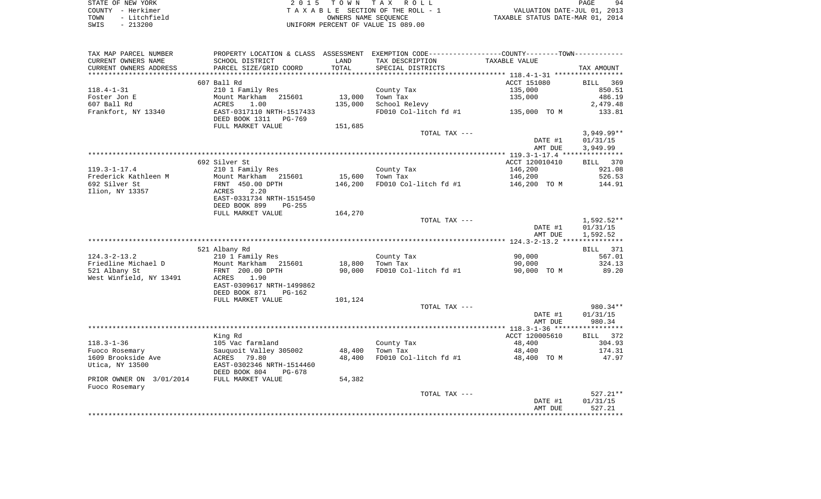| STATE OF NEW YORK     | 2015 TOWN TAX ROLL                 | 94<br>PAGE                       |
|-----------------------|------------------------------------|----------------------------------|
| COUNTY - Herkimer     | TAXABLE SECTION OF THE ROLL - 1    | VALUATION DATE-JUL 01, 2013      |
| - Litchfield<br>TOWN  | OWNERS NAME SEOUENCE               | TAXABLE STATUS DATE-MAR 01, 2014 |
| 213200<br>SWIS<br>$-$ | UNIFORM PERCENT OF VALUE IS 089.00 |                                  |

| TAX MAP PARCEL NUMBER<br>CURRENT OWNERS NAME | SCHOOL DISTRICT                                       | LAND    | PROPERTY LOCATION & CLASS ASSESSMENT EXEMPTION CODE----------------COUNTY--------TOWN-----------<br>TAX DESCRIPTION | TAXABLE VALUE  |              |
|----------------------------------------------|-------------------------------------------------------|---------|---------------------------------------------------------------------------------------------------------------------|----------------|--------------|
| CURRENT OWNERS ADDRESS                       | PARCEL SIZE/GRID COORD                                | TOTAL   | SPECIAL DISTRICTS                                                                                                   |                | TAX AMOUNT   |
| ************************                     |                                                       |         |                                                                                                                     |                |              |
|                                              | 607 Ball Rd                                           |         |                                                                                                                     | ACCT 151080    | BILL 369     |
| $118.4 - 1 - 31$                             | 210 1 Family Res                                      |         | County Tax                                                                                                          | 135,000        | 850.51       |
|                                              |                                                       |         | Town Tax                                                                                                            |                | 486.19       |
| Foster Jon E                                 | Mount Markham 215601                                  | 13,000  |                                                                                                                     | 135,000        |              |
| 607 Ball Rd                                  | ACRES<br>1.00                                         | 135,000 | School Relevy                                                                                                       |                | 2,479.48     |
| Frankfort, NY 13340                          | EAST-0317110 NRTH-1517433<br>DEED BOOK 1311<br>PG-769 |         | FD010 Col-litch fd #1                                                                                               | 135,000 TO M   | 133.81       |
|                                              | FULL MARKET VALUE                                     | 151,685 |                                                                                                                     |                |              |
|                                              |                                                       |         | TOTAL TAX ---                                                                                                       |                | $3,949.99**$ |
|                                              |                                                       |         |                                                                                                                     | DATE #1        | 01/31/15     |
|                                              |                                                       |         |                                                                                                                     | AMT DUE        | 3,949.99     |
|                                              |                                                       |         |                                                                                                                     |                |              |
|                                              | 692 Silver St                                         |         |                                                                                                                     | ACCT 120010410 | BILL 370     |
| $119.3 - 1 - 17.4$                           | 210 1 Family Res                                      |         | County Tax                                                                                                          | 146,200        | 921.08       |
| Frederick Kathleen M                         | Mount Markham 215601                                  | 15,600  | Town Tax                                                                                                            | 146,200        | 526.53       |
| 692 Silver St                                | FRNT 450.00 DPTH                                      | 146,200 | FD010 Col-litch fd #1                                                                                               | 146,200 TO M   | 144.91       |
| Ilion, NY 13357                              | 2.20<br>ACRES                                         |         |                                                                                                                     |                |              |
|                                              | EAST-0331734 NRTH-1515450                             |         |                                                                                                                     |                |              |
|                                              | DEED BOOK 899<br>$PG-255$                             |         |                                                                                                                     |                |              |
|                                              | FULL MARKET VALUE                                     | 164,270 |                                                                                                                     |                |              |
|                                              |                                                       |         | TOTAL TAX ---                                                                                                       |                | 1,592.52**   |
|                                              |                                                       |         |                                                                                                                     | DATE #1        | 01/31/15     |
|                                              |                                                       |         |                                                                                                                     | AMT DUE        | 1,592.52     |
|                                              |                                                       |         |                                                                                                                     |                |              |
|                                              | 521 Albany Rd                                         |         |                                                                                                                     |                | BILL 371     |
| $124.3 - 2 - 13.2$                           | 210 1 Family Res                                      |         | County Tax                                                                                                          | 90,000         | 567.01       |
| Friedline Michael D                          | Mount Markham 215601                                  | 18,800  | Town Tax                                                                                                            | 90,000         | 324.13       |
| 521 Albany St                                | FRNT 200.00 DPTH                                      | 90,000  | FD010 Col-litch fd #1                                                                                               | 90,000 TO M    | 89.20        |
| West Winfield, NY 13491                      | ACRES<br>1.90                                         |         |                                                                                                                     |                |              |
|                                              | EAST-0309617 NRTH-1499862                             |         |                                                                                                                     |                |              |
|                                              | DEED BOOK 871<br>PG-162                               |         |                                                                                                                     |                |              |
|                                              | FULL MARKET VALUE                                     | 101,124 |                                                                                                                     |                |              |
|                                              |                                                       |         | TOTAL TAX ---                                                                                                       |                | 980.34**     |
|                                              |                                                       |         |                                                                                                                     | DATE #1        | 01/31/15     |
|                                              |                                                       |         |                                                                                                                     | AMT DUE        | 980.34       |
|                                              |                                                       |         |                                                                                                                     |                |              |
|                                              | King Rd                                               |         |                                                                                                                     | ACCT 120005610 | BILL 372     |
| $118.3 - 1 - 36$                             | 105 Vac farmland                                      |         | County Tax                                                                                                          | 48,400         | 304.93       |
| Fuoco Rosemary                               | Sauquoit Valley 305002                                | 48,400  | Town Tax                                                                                                            | 48,400         | 174.31       |
| 1609 Brookside Ave                           | ACRES 79.80                                           | 48,400  | FD010 Col-litch fd #1                                                                                               | 48,400 TO M    | 47.97        |
| Utica, NY 13500                              | EAST-0302346 NRTH-1514460                             |         |                                                                                                                     |                |              |
|                                              | DEED BOOK 804<br>PG-678                               |         |                                                                                                                     |                |              |
| PRIOR OWNER ON 3/01/2014                     | FULL MARKET VALUE                                     | 54,382  |                                                                                                                     |                |              |
| Fuoco Rosemary                               |                                                       |         |                                                                                                                     |                |              |
|                                              |                                                       |         | TOTAL TAX ---                                                                                                       |                | $527.21**$   |
|                                              |                                                       |         |                                                                                                                     | DATE #1        | 01/31/15     |
|                                              |                                                       |         |                                                                                                                     | AMT DUE        | 527.21       |
|                                              |                                                       |         |                                                                                                                     |                |              |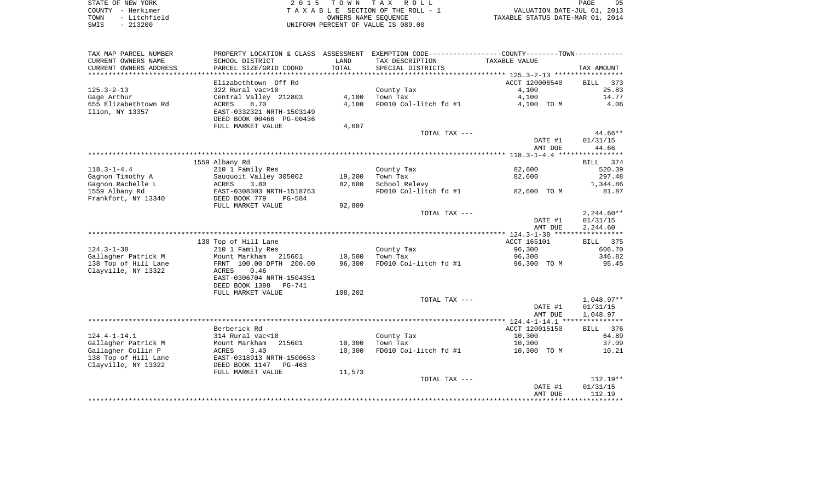|      | STATE OF NEW YORK | 2015 TOWN TAX ROLL                 | PAGE                             | -95 |
|------|-------------------|------------------------------------|----------------------------------|-----|
|      | COUNTY - Herkimer | TAXABLE SECTION OF THE ROLL - 1    | VALUATION DATE-JUL 01, 2013      |     |
| TOWN | - Litchfield      | OWNERS NAME SEOUENCE               | TAXABLE STATUS DATE-MAR 01, 2014 |     |
| SWIS | - 213200          | UNIFORM PERCENT OF VALUE IS 089.00 |                                  |     |

| TAX MAP PARCEL NUMBER  |                           |               | PROPERTY LOCATION & CLASS ASSESSMENT EXEMPTION CODE----------------COUNTY--------TOWN---------- |                |                    |
|------------------------|---------------------------|---------------|-------------------------------------------------------------------------------------------------|----------------|--------------------|
| CURRENT OWNERS NAME    | SCHOOL DISTRICT           | LAND          | TAX DESCRIPTION                                                                                 | TAXABLE VALUE  |                    |
| CURRENT OWNERS ADDRESS | PARCEL SIZE/GRID COORD    | TOTAL         | SPECIAL DISTRICTS                                                                               |                | TAX AMOUNT         |
| *******************    | **************            | ************* |                                                                                                 |                |                    |
|                        | Elizabethtown Off Rd      |               |                                                                                                 | ACCT 120006540 | 373<br><b>BILL</b> |
| $125.3 - 2 - 13$       | 322 Rural vac>10          |               | County Tax                                                                                      | 4,100          | 25.83              |
| Gage Arthur            | Central Valley 212803     | 4,100         | Town Tax                                                                                        | 4,100          | 14.77              |
| 655 Elizabethtown Rd   | 8.70<br>ACRES             | 4,100         | FD010 Col-litch fd #1                                                                           | 4,100 TO M     | 4.06               |
| Ilion, NY 13357        | EAST-0332321 NRTH-1503149 |               |                                                                                                 |                |                    |
|                        | DEED BOOK 00466 PG-00436  |               |                                                                                                 |                |                    |
|                        | FULL MARKET VALUE         | 4,607         |                                                                                                 |                |                    |
|                        |                           |               | TOTAL TAX ---                                                                                   |                | 44.66**            |
|                        |                           |               |                                                                                                 | DATE #1        | 01/31/15           |
|                        |                           |               |                                                                                                 | AMT DUE        | 44.66              |
|                        |                           |               |                                                                                                 |                |                    |
|                        | 1559 Albany Rd            |               |                                                                                                 |                | BILL 374           |
| $118.3 - 1 - 4.4$      | 210 1 Family Res          |               | County Tax                                                                                      | 82,600         | 520.39             |
| Gagnon Timothy A       | Sauquoit Valley 305002    | 19,200        | Town Tax                                                                                        | 82,600         | 297.48             |
| Gagnon Rachelle L      | ACRES<br>3.80             | 82,600        | School Relevy                                                                                   |                | 1,344.86           |
| 1559 Albany Rd         | EAST-0308303 NRTH-1518763 |               | FD010 Col-litch fd #1                                                                           | 82,600 TO M    | 81.87              |
| Frankfort, NY 13340    | DEED BOOK 779<br>PG-584   |               |                                                                                                 |                |                    |
|                        | FULL MARKET VALUE         | 92,809        |                                                                                                 |                |                    |
|                        |                           |               | TOTAL TAX ---                                                                                   |                | $2,244.60**$       |
|                        |                           |               |                                                                                                 | DATE #1        | 01/31/15           |
|                        |                           |               |                                                                                                 | AMT DUE        | 2,244.60           |
|                        |                           |               |                                                                                                 |                |                    |
|                        | 138 Top of Hill Lane      |               |                                                                                                 | ACCT 165101    | 375<br>BILL        |
| $124.3 - 1 - 38$       | 210 1 Family Res          |               | County Tax                                                                                      | 96,300         | 606.70             |
| Gallagher Patrick M    | Mount Markham 215601      | 10,500        | Town Tax                                                                                        | 96,300         | 346.82             |
| 138 Top of Hill Lane   | FRNT 100.00 DPTH 200.00   | 96,300        | FD010 Col-litch fd #1                                                                           | 96,300 TO M    | 95.45              |
| Clayville, NY 13322    | 0.46<br>ACRES             |               |                                                                                                 |                |                    |
|                        | EAST-0306704 NRTH-1504351 |               |                                                                                                 |                |                    |
|                        | DEED BOOK 1398<br>PG-741  |               |                                                                                                 |                |                    |
|                        | FULL MARKET VALUE         | 108,202       |                                                                                                 |                |                    |
|                        |                           |               | TOTAL TAX ---                                                                                   |                | $1,048.97**$       |
|                        |                           |               |                                                                                                 | DATE #1        | 01/31/15           |
|                        |                           |               |                                                                                                 | AMT DUE        | 1,048.97           |
|                        |                           |               |                                                                                                 |                |                    |
|                        | Berberick Rd              |               |                                                                                                 | ACCT 120015150 | BILL 376           |
| $124.4 - 1 - 14.1$     | 314 Rural vac<10          |               | County Tax                                                                                      | 10,300         | 64.89              |
| Gallagher Patrick M    | Mount Markham<br>215601   | 10,300        | Town Tax                                                                                        | 10,300         | 37.09              |
| Gallagher Collin P     | 3.40<br>ACRES             | 10,300        | FD010 Col-litch fd #1                                                                           | 10,300 TO M    | 10.21              |
| 138 Top of Hill Lane   | EAST-0318913 NRTH-1500653 |               |                                                                                                 |                |                    |
|                        | DEED BOOK 1147<br>PG-463  |               |                                                                                                 |                |                    |
| Clayville, NY 13322    |                           |               |                                                                                                 |                |                    |
|                        | FULL MARKET VALUE         | 11,573        |                                                                                                 |                |                    |
|                        |                           |               | TOTAL TAX ---                                                                                   |                | $112.19**$         |
|                        |                           |               |                                                                                                 | DATE #1        | 01/31/15           |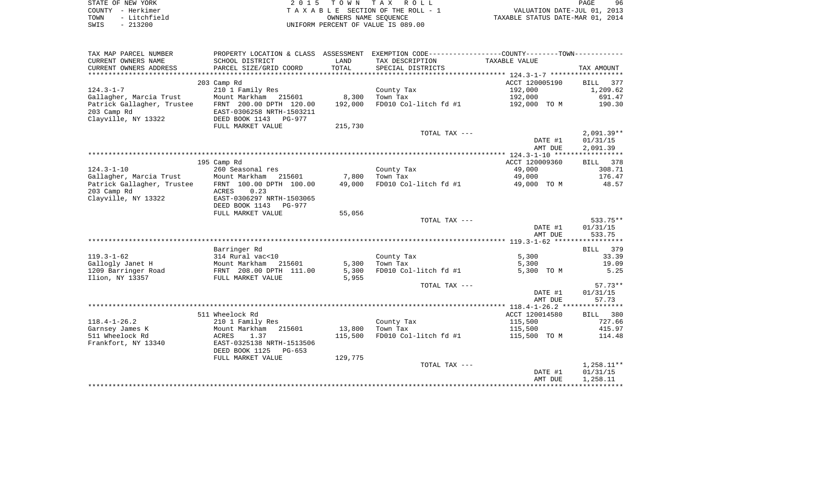| STATE OF NEW YORK |  |              |  |
|-------------------|--|--------------|--|
| COUNTY            |  | - Herkimer   |  |
| TOWN              |  | - Litchfield |  |
| SWIS              |  | $-213200$    |  |

| TAX MAP PARCEL NUMBER      | PROPERTY LOCATION & CLASS ASSESSMENT EXEMPTION CODE---------------COUNTY-------TOWN--------- |         |                       |                    |                      |
|----------------------------|----------------------------------------------------------------------------------------------|---------|-----------------------|--------------------|----------------------|
| CURRENT OWNERS NAME        | SCHOOL DISTRICT                                                                              | LAND    | TAX DESCRIPTION       | TAXABLE VALUE      |                      |
| CURRENT OWNERS ADDRESS     | PARCEL SIZE/GRID COORD                                                                       | TOTAL   | SPECIAL DISTRICTS     |                    | TAX AMOUNT           |
|                            |                                                                                              |         |                       |                    |                      |
|                            | 203 Camp Rd                                                                                  |         |                       | ACCT 120005190     | 377<br><b>BILL</b>   |
| $124.3 - 1 - 7$            | 210 1 Family Res                                                                             |         | County Tax            | 192,000            | 1,209.62             |
| Gallagher, Marcia Trust    | Mount Markham 215601                                                                         | 8,300   | Town Tax              | 192,000            | 691.47               |
| Patrick Gallagher, Trustee | FRNT 200.00 DPTH 120.00                                                                      | 192,000 | FD010 Col-litch fd #1 | 192,000 TO M       | 190.30               |
| 203 Camp Rd                | EAST-0306258 NRTH-1503211                                                                    |         |                       |                    |                      |
| Clayville, NY 13322        | DEED BOOK 1143<br>PG-977                                                                     |         |                       |                    |                      |
|                            | FULL MARKET VALUE                                                                            | 215,730 |                       |                    |                      |
|                            |                                                                                              |         | TOTAL TAX ---         |                    | $2,091.39**$         |
|                            |                                                                                              |         |                       | DATE #1            | 01/31/15             |
|                            |                                                                                              |         |                       | AMT DUE            | 2,091.39             |
|                            |                                                                                              |         |                       |                    |                      |
|                            | 195 Camp Rd                                                                                  |         |                       | ACCT 120009360     | 378<br>BILL          |
| $124.3 - 1 - 10$           | 260 Seasonal res                                                                             |         | County Tax            | 49,000             | 308.71               |
| Gallagher, Marcia Trust    | Mount Markham<br>215601                                                                      | 7,800   | Town Tax              | 49,000             | 176.47               |
| Patrick Gallagher, Trustee | FRNT 100.00 DPTH 100.00                                                                      | 49,000  | FD010 Col-litch fd #1 | 49,000 TO M        | 48.57                |
| 203 Camp Rd                | ACRES<br>0.23                                                                                |         |                       |                    |                      |
| Clayville, NY 13322        | EAST-0306297 NRTH-1503065                                                                    |         |                       |                    |                      |
|                            | DEED BOOK 1143<br><b>PG-977</b>                                                              |         |                       |                    |                      |
|                            | FULL MARKET VALUE                                                                            | 55,056  |                       |                    |                      |
|                            |                                                                                              |         | TOTAL TAX ---         |                    | 533.75**             |
|                            |                                                                                              |         |                       | DATE #1            | 01/31/15             |
|                            |                                                                                              |         |                       | AMT DUE            | 533.75               |
|                            |                                                                                              |         |                       |                    |                      |
|                            | Barringer Rd                                                                                 |         |                       |                    | BILL 379             |
| $119.3 - 1 - 62$           | 314 Rural vac<10                                                                             |         | County Tax            | 5,300              | 33.39                |
| Gallogly Janet H           | Mount Markham<br>215601                                                                      | 5,300   | Town Tax              | 5,300              | 19.09                |
| 1209 Barringer Road        | FRNT 208.00 DPTH 111.00                                                                      | 5,300   | FD010 Col-litch fd #1 | 5,300 TO M         | 5.25                 |
| Ilion, NY 13357            | FULL MARKET VALUE                                                                            | 5,955   |                       |                    |                      |
|                            |                                                                                              |         | TOTAL TAX ---         |                    | $57.73**$            |
|                            |                                                                                              |         |                       | DATE #1            | 01/31/15             |
|                            |                                                                                              |         |                       | AMT DUE            | 57.73                |
|                            |                                                                                              |         |                       |                    |                      |
|                            | 511 Wheelock Rd                                                                              |         |                       | ACCT 120014580     | BILL 380             |
| $118.4 - 1 - 26.2$         | 210 1 Family Res                                                                             |         | County Tax            | 115,500            | 727.66               |
| Garnsey James K            | Mount Markham<br>215601                                                                      | 13,800  | Town Tax              | 115,500            | 415.97               |
| 511 Wheelock Rd            | 1.37<br>ACRES                                                                                | 115,500 | FD010 Col-litch fd #1 | 115,500 TO M       | 114.48               |
| Frankfort, NY 13340        | EAST-0325138 NRTH-1513506                                                                    |         |                       |                    |                      |
|                            | DEED BOOK 1125<br>$PG-653$                                                                   |         |                       |                    |                      |
|                            |                                                                                              | 129,775 |                       |                    |                      |
|                            | FULL MARKET VALUE                                                                            |         |                       |                    |                      |
|                            |                                                                                              |         | TOTAL TAX ---         |                    | $1,258.11**$         |
|                            |                                                                                              |         |                       | DATE #1<br>AMT DUE | 01/31/15<br>1,258.11 |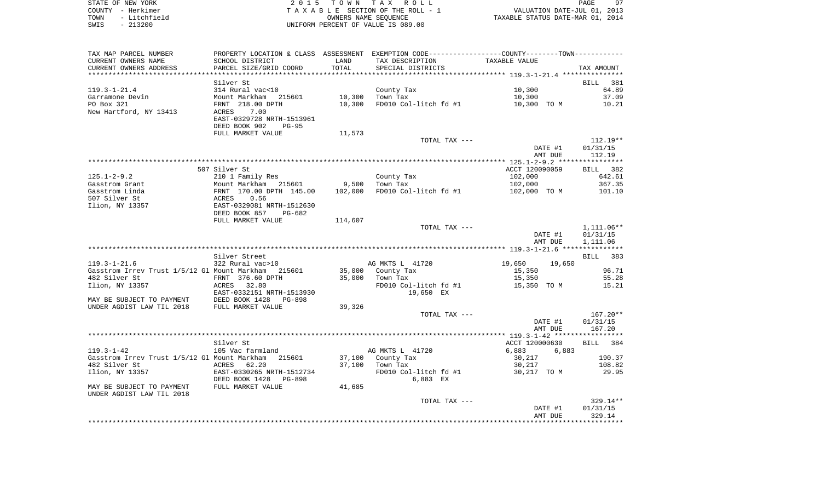| STATE OF NEW YORK    | 2015 TOWN TAX ROLL                 | 97<br>PAGE                       |
|----------------------|------------------------------------|----------------------------------|
| COUNTY - Herkimer    | TAXABLE SECTION OF THE ROLL - 1    | VALUATION DATE-JUL 01, 2013      |
| - Litchfield<br>TOWN | OWNERS NAME SEOUENCE               | TAXABLE STATUS DATE-MAR 01, 2014 |
| $-213200$<br>SWIS    | UNIFORM PERCENT OF VALUE IS 089.00 |                                  |

 $97$ <br> $2013$ <br> $2014$ 

| TAX MAP PARCEL NUMBER                               |                                             |         | PROPERTY LOCATION & CLASS ASSESSMENT EXEMPTION CODE---------------COUNTY-------TOWN--------- |                    |                    |
|-----------------------------------------------------|---------------------------------------------|---------|----------------------------------------------------------------------------------------------|--------------------|--------------------|
| CURRENT OWNERS NAME                                 | SCHOOL DISTRICT                             | LAND    | TAX DESCRIPTION                                                                              | TAXABLE VALUE      |                    |
| CURRENT OWNERS ADDRESS                              | PARCEL SIZE/GRID COORD                      | TOTAL   | SPECIAL DISTRICTS                                                                            |                    | TAX AMOUNT         |
|                                                     |                                             |         |                                                                                              |                    |                    |
|                                                     | Silver St                                   |         |                                                                                              |                    | BILL<br>381        |
| $119.3 - 1 - 21.4$                                  | 314 Rural vac<10                            |         | County Tax                                                                                   | 10,300             | 64.89              |
| Garramone Devin                                     | Mount Markham<br>215601                     | 10,300  | Town Tax                                                                                     | 10,300             | 37.09              |
| PO Box 321                                          | FRNT 218.00 DPTH                            | 10,300  | FD010 Col-litch fd #1                                                                        | 10,300 TO M        | 10.21              |
| New Hartford, NY 13413                              | 7.00<br>ACRES                               |         |                                                                                              |                    |                    |
|                                                     | EAST-0329728 NRTH-1513961                   |         |                                                                                              |                    |                    |
|                                                     | DEED BOOK 902<br>$PG-95$                    |         |                                                                                              |                    |                    |
|                                                     | FULL MARKET VALUE                           | 11,573  |                                                                                              |                    |                    |
|                                                     |                                             |         | TOTAL TAX ---                                                                                |                    | $112.19**$         |
|                                                     |                                             |         |                                                                                              | DATE #1            | 01/31/15           |
|                                                     |                                             |         |                                                                                              | AMT DUE            | 112.19             |
|                                                     |                                             |         |                                                                                              |                    |                    |
|                                                     | 507 Silver St                               |         |                                                                                              | ACCT 120090059     | BILL 382           |
| $125.1 - 2 - 9.2$                                   | 210 1 Family Res                            |         | County Tax                                                                                   | 102,000            | 642.61             |
| Gasstrom Grant                                      | Mount Markham 215601                        | 9,500   | Town Tax                                                                                     | 102,000            | 367.35             |
| Gasstrom Linda                                      | FRNT 170.00 DPTH 145.00                     | 102,000 | FD010 Col-litch fd #1                                                                        | 102,000 TO M       | 101.10             |
| 507 Silver St                                       | ACRES<br>EAST-(<br>0.56                     |         |                                                                                              |                    |                    |
| Ilion, NY 13357                                     | EAST-0329081 NRTH-1512630                   |         |                                                                                              |                    |                    |
|                                                     | DEED BOOK 857<br>PG-682                     |         |                                                                                              |                    |                    |
|                                                     | FULL MARKET VALUE                           | 114,607 |                                                                                              |                    |                    |
|                                                     |                                             |         | TOTAL TAX ---                                                                                |                    | $1,111.06**$       |
|                                                     |                                             |         |                                                                                              | DATE #1            | 01/31/15           |
|                                                     |                                             |         |                                                                                              | AMT DUE            | 1,111.06           |
|                                                     |                                             |         |                                                                                              |                    |                    |
|                                                     | Silver Street                               |         |                                                                                              |                    | 383<br>BILL        |
| $119.3 - 1 - 21.6$                                  | 322 Rural vac>10                            |         | AG MKTS L 41720                                                                              | 19,650<br>19,650   |                    |
| Gasstrom Irrev Trust 1/5/12 Gl Mount Markham 215601 |                                             |         | 35,000 County Tax                                                                            | 15,350             | 96.71              |
| 482 Silver St                                       | FRNT 376.60 DPTH                            | 35,000  | Town Tax                                                                                     | 15,350             | 55.28              |
| Ilion, NY 13357                                     | ACRES 32.80                                 |         | FD010 Col-litch fd #1                                                                        | 15,350 TO M        | 15.21              |
|                                                     | EAST-0332151 NRTH-1513930                   |         | 19,650 EX                                                                                    |                    |                    |
| MAY BE SUBJECT TO PAYMENT                           | DEED BOOK 1428<br>FULL MARKET VAI<br>PG-898 |         |                                                                                              |                    |                    |
| UNDER AGDIST LAW TIL 2018                           | FULL MARKET VALUE                           | 39,326  |                                                                                              |                    |                    |
|                                                     |                                             |         | TOTAL TAX ---                                                                                |                    | $167.20**$         |
|                                                     |                                             |         |                                                                                              | DATE #1            | 01/31/15           |
|                                                     |                                             |         |                                                                                              | AMT DUE            | 167.20             |
|                                                     |                                             |         |                                                                                              |                    |                    |
|                                                     | Silver St                                   |         |                                                                                              | ACCT 120000630     | BILL 384           |
| $119.3 - 1 - 42$                                    | 105 Vac farmland                            |         | AG MKTS L 41720                                                                              | 6,883<br>6,883     |                    |
| Gasstrom Irrev Trust 1/5/12 Gl Mount Markham        | 215601                                      | 37,100  | County Tax                                                                                   | 30,217             | 190.37             |
| 482 Silver St                                       | ACRES<br>62.20                              | 37,100  | Town Tax                                                                                     | 30,217             | 108.82             |
| Ilion, NY 13357                                     | EAST-0330265 NRTH-1512734                   |         | FD010 Col-litch fd #1                                                                        | 30,217 TO M        | 29.95              |
|                                                     | DEED BOOK 1428<br>PG-898                    |         | 6,883 EX                                                                                     |                    |                    |
| MAY BE SUBJECT TO PAYMENT                           | FULL MARKET VALUE                           | 41,685  |                                                                                              |                    |                    |
| UNDER AGDIST LAW TIL 2018                           |                                             |         |                                                                                              |                    | $329.14**$         |
|                                                     |                                             |         | TOTAL TAX ---                                                                                |                    |                    |
|                                                     |                                             |         |                                                                                              | DATE #1<br>AMT DUE | 01/31/15<br>329.14 |
|                                                     |                                             |         |                                                                                              |                    |                    |
|                                                     |                                             |         |                                                                                              |                    |                    |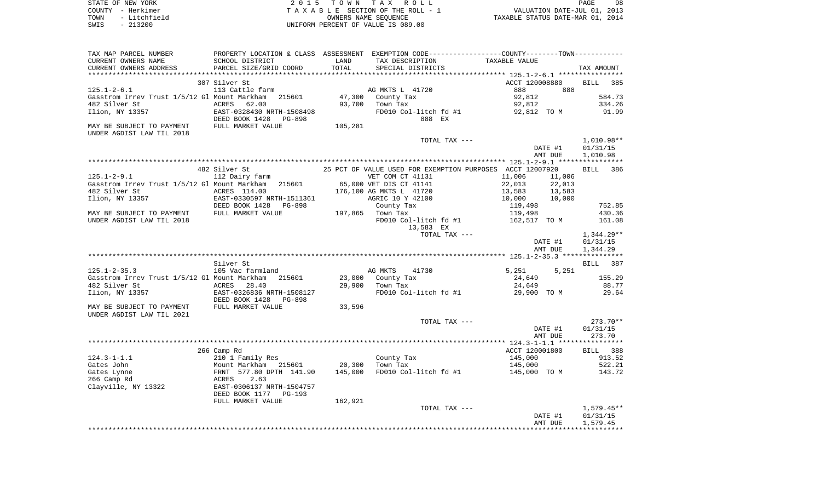| STATE OF NEW YORK    | 2015 TOWN TAX ROLL                 | 98<br>PAGE                       |
|----------------------|------------------------------------|----------------------------------|
| COUNTY - Herkimer    | TAXABLE SECTION OF THE ROLL - 1    | VALUATION DATE-JUL 01, 2013      |
| - Litchfield<br>TOWN | OWNERS NAME SEOUENCE               | TAXABLE STATUS DATE-MAR 01, 2014 |
| $-213200$<br>SWIS    | UNIFORM PERCENT OF VALUE IS 089.00 |                                  |
|                      |                                    |                                  |
|                      |                                    |                                  |

| TAXABLE VALUE<br>TOTAL<br>CURRENT OWNERS ADDRESS<br>PARCEL SIZE/GRID COORD<br>SPECIAL DISTRICTS<br>TAX AMOUNT<br>307 Silver St<br>ACCT 120008880<br><b>BILL</b><br>385<br>$125.1 - 2 - 6.1$<br>113 Cattle farm<br>AG MKTS L 41720<br>888<br>888<br>Gasstrom Irrev Trust 1/5/12 Gl Mount Markham<br>215601<br>47,300<br>92,812<br>584.73<br>County Tax<br>482 Silver St<br>ACRES<br>62.00<br>93,700<br>Town Tax<br>92,812<br>334.26<br>Ilion, NY 13357<br>EAST-0328430 NRTH-1508498<br>FD010 Col-litch fd #1<br>92,812 TO M<br>91.99<br>DEED BOOK 1428 PG-898<br>888 EX<br>MAY BE SUBJECT TO PAYMENT<br>FULL MARKET VALUE<br>105,281<br>UNDER AGDIST LAW TIL 2018<br>1,010.98**<br>TOTAL TAX ---<br>DATE #1<br>01/31/15<br>AMT DUE<br>1,010.98<br>482 Silver St<br>25 PCT OF VALUE USED FOR EXEMPTION PURPOSES ACCT 12007920<br>386<br><b>BILL</b><br>$125.1 - 2 - 9.1$<br>112 Dairy farm<br>VET COM CT 41131<br>11,006<br>11,006<br>Gasstrom Irrev Trust 1/5/12 Gl Mount Markham 215601<br>65,000 VET DIS CT 41141<br>22,013<br>22,013<br>482 Silver St<br>ACRES 114.00<br>176,100 AG MKTS L 41720<br>13,583<br>13,583<br>Ilion, NY 13357<br>EAST-0330597 NRTH-1511361<br>AGRIC 10 Y 42100<br>10,000<br>10,000<br>DEED BOOK 1428<br>PG-898<br>County Tax<br>752.85<br>119,498<br>MAY BE SUBJECT TO PAYMENT<br>FULL MARKET VALUE<br>197,865 Town Tax<br>119,498<br>430.36<br>161.08<br>UNDER AGDIST LAW TIL 2018<br>FD010 Col-litch fd #1<br>162,517 TO M<br>13,583 EX<br>TOTAL TAX ---<br>$1,344.29**$<br>01/31/15<br>DATE #1<br>1,344.29<br>AMT DUE<br>Silver St<br>387<br>BILL<br>$125.1 - 2 - 35.3$<br>105 Vac farmland<br>AG MKTS<br>41730<br>5,251<br>5,251<br>215601<br>23,000<br>155.29<br>Gasstrom Irrev Trust 1/5/12 Gl Mount Markham<br>County Tax<br>24,649<br>482 Silver St<br>ACRES<br>28.40<br>29,900<br>Town Tax<br>24,649<br>88.77<br>Ilion, NY 13357<br>EAST-0326836 NRTH-1508127<br>FD010 Col-litch fd #1<br>29,900 TO M<br>29.64<br>DEED BOOK 1428<br>PG-898<br>FULL MARKET VALUE<br>33,596<br>MAY BE SUBJECT TO PAYMENT<br>UNDER AGDIST LAW TIL 2021<br>$273.70**$<br>TOTAL TAX ---<br>DATE #1<br>01/31/15<br>AMT DUE<br>273.70<br>ACCT 120001800<br>266 Camp Rd<br>BILL 388<br>$124.3 - 1 - 1.1$<br>210 1 Family Res<br>County Tax<br>145,000<br>913.52<br>Gates John<br>Mount Markham 215601<br>20,300<br>Town Tax<br>145,000<br>522.21<br>FRNT 577.80 DPTH 141.90<br>145,000<br>143.72<br>Gates Lynne<br>FD010 Col-litch fd #1<br>145,000 TO M<br>2.63<br>266 Camp Rd<br>ACRES<br>Clayville, NY 13322<br>EAST-0306137 NRTH-1504757<br>DEED BOOK 1177 PG-193<br>FULL MARKET VALUE<br>162,921<br>TOTAL TAX ---<br>$1,579.45**$<br>DATE #1<br>01/31/15<br>1,579.45<br>AMT DUE | TAX MAP PARCEL NUMBER | PROPERTY LOCATION & CLASS ASSESSMENT EXEMPTION CODE---------------COUNTY-------TOWN---------- |      |                 |  |  |  |
|---------------------------------------------------------------------------------------------------------------------------------------------------------------------------------------------------------------------------------------------------------------------------------------------------------------------------------------------------------------------------------------------------------------------------------------------------------------------------------------------------------------------------------------------------------------------------------------------------------------------------------------------------------------------------------------------------------------------------------------------------------------------------------------------------------------------------------------------------------------------------------------------------------------------------------------------------------------------------------------------------------------------------------------------------------------------------------------------------------------------------------------------------------------------------------------------------------------------------------------------------------------------------------------------------------------------------------------------------------------------------------------------------------------------------------------------------------------------------------------------------------------------------------------------------------------------------------------------------------------------------------------------------------------------------------------------------------------------------------------------------------------------------------------------------------------------------------------------------------------------------------------------------------------------------------------------------------------------------------------------------------------------------------------------------------------------------------------------------------------------------------------------------------------------------------------------------------------------------------------------------------------------------------------------------------------------------------------------------------------------------------------------------------------------------------------------------------------------------------------------------------------------------------------------------------------------------------------------------------------------------------------------------------------------------------------------------|-----------------------|-----------------------------------------------------------------------------------------------|------|-----------------|--|--|--|
|                                                                                                                                                                                                                                                                                                                                                                                                                                                                                                                                                                                                                                                                                                                                                                                                                                                                                                                                                                                                                                                                                                                                                                                                                                                                                                                                                                                                                                                                                                                                                                                                                                                                                                                                                                                                                                                                                                                                                                                                                                                                                                                                                                                                                                                                                                                                                                                                                                                                                                                                                                                                                                                                                                   | CURRENT OWNERS NAME   | SCHOOL DISTRICT                                                                               | LAND | TAX DESCRIPTION |  |  |  |
|                                                                                                                                                                                                                                                                                                                                                                                                                                                                                                                                                                                                                                                                                                                                                                                                                                                                                                                                                                                                                                                                                                                                                                                                                                                                                                                                                                                                                                                                                                                                                                                                                                                                                                                                                                                                                                                                                                                                                                                                                                                                                                                                                                                                                                                                                                                                                                                                                                                                                                                                                                                                                                                                                                   |                       |                                                                                               |      |                 |  |  |  |
|                                                                                                                                                                                                                                                                                                                                                                                                                                                                                                                                                                                                                                                                                                                                                                                                                                                                                                                                                                                                                                                                                                                                                                                                                                                                                                                                                                                                                                                                                                                                                                                                                                                                                                                                                                                                                                                                                                                                                                                                                                                                                                                                                                                                                                                                                                                                                                                                                                                                                                                                                                                                                                                                                                   |                       |                                                                                               |      |                 |  |  |  |
|                                                                                                                                                                                                                                                                                                                                                                                                                                                                                                                                                                                                                                                                                                                                                                                                                                                                                                                                                                                                                                                                                                                                                                                                                                                                                                                                                                                                                                                                                                                                                                                                                                                                                                                                                                                                                                                                                                                                                                                                                                                                                                                                                                                                                                                                                                                                                                                                                                                                                                                                                                                                                                                                                                   |                       |                                                                                               |      |                 |  |  |  |
|                                                                                                                                                                                                                                                                                                                                                                                                                                                                                                                                                                                                                                                                                                                                                                                                                                                                                                                                                                                                                                                                                                                                                                                                                                                                                                                                                                                                                                                                                                                                                                                                                                                                                                                                                                                                                                                                                                                                                                                                                                                                                                                                                                                                                                                                                                                                                                                                                                                                                                                                                                                                                                                                                                   |                       |                                                                                               |      |                 |  |  |  |
|                                                                                                                                                                                                                                                                                                                                                                                                                                                                                                                                                                                                                                                                                                                                                                                                                                                                                                                                                                                                                                                                                                                                                                                                                                                                                                                                                                                                                                                                                                                                                                                                                                                                                                                                                                                                                                                                                                                                                                                                                                                                                                                                                                                                                                                                                                                                                                                                                                                                                                                                                                                                                                                                                                   |                       |                                                                                               |      |                 |  |  |  |
|                                                                                                                                                                                                                                                                                                                                                                                                                                                                                                                                                                                                                                                                                                                                                                                                                                                                                                                                                                                                                                                                                                                                                                                                                                                                                                                                                                                                                                                                                                                                                                                                                                                                                                                                                                                                                                                                                                                                                                                                                                                                                                                                                                                                                                                                                                                                                                                                                                                                                                                                                                                                                                                                                                   |                       |                                                                                               |      |                 |  |  |  |
|                                                                                                                                                                                                                                                                                                                                                                                                                                                                                                                                                                                                                                                                                                                                                                                                                                                                                                                                                                                                                                                                                                                                                                                                                                                                                                                                                                                                                                                                                                                                                                                                                                                                                                                                                                                                                                                                                                                                                                                                                                                                                                                                                                                                                                                                                                                                                                                                                                                                                                                                                                                                                                                                                                   |                       |                                                                                               |      |                 |  |  |  |
|                                                                                                                                                                                                                                                                                                                                                                                                                                                                                                                                                                                                                                                                                                                                                                                                                                                                                                                                                                                                                                                                                                                                                                                                                                                                                                                                                                                                                                                                                                                                                                                                                                                                                                                                                                                                                                                                                                                                                                                                                                                                                                                                                                                                                                                                                                                                                                                                                                                                                                                                                                                                                                                                                                   |                       |                                                                                               |      |                 |  |  |  |
|                                                                                                                                                                                                                                                                                                                                                                                                                                                                                                                                                                                                                                                                                                                                                                                                                                                                                                                                                                                                                                                                                                                                                                                                                                                                                                                                                                                                                                                                                                                                                                                                                                                                                                                                                                                                                                                                                                                                                                                                                                                                                                                                                                                                                                                                                                                                                                                                                                                                                                                                                                                                                                                                                                   |                       |                                                                                               |      |                 |  |  |  |
|                                                                                                                                                                                                                                                                                                                                                                                                                                                                                                                                                                                                                                                                                                                                                                                                                                                                                                                                                                                                                                                                                                                                                                                                                                                                                                                                                                                                                                                                                                                                                                                                                                                                                                                                                                                                                                                                                                                                                                                                                                                                                                                                                                                                                                                                                                                                                                                                                                                                                                                                                                                                                                                                                                   |                       |                                                                                               |      |                 |  |  |  |
|                                                                                                                                                                                                                                                                                                                                                                                                                                                                                                                                                                                                                                                                                                                                                                                                                                                                                                                                                                                                                                                                                                                                                                                                                                                                                                                                                                                                                                                                                                                                                                                                                                                                                                                                                                                                                                                                                                                                                                                                                                                                                                                                                                                                                                                                                                                                                                                                                                                                                                                                                                                                                                                                                                   |                       |                                                                                               |      |                 |  |  |  |
|                                                                                                                                                                                                                                                                                                                                                                                                                                                                                                                                                                                                                                                                                                                                                                                                                                                                                                                                                                                                                                                                                                                                                                                                                                                                                                                                                                                                                                                                                                                                                                                                                                                                                                                                                                                                                                                                                                                                                                                                                                                                                                                                                                                                                                                                                                                                                                                                                                                                                                                                                                                                                                                                                                   |                       |                                                                                               |      |                 |  |  |  |
|                                                                                                                                                                                                                                                                                                                                                                                                                                                                                                                                                                                                                                                                                                                                                                                                                                                                                                                                                                                                                                                                                                                                                                                                                                                                                                                                                                                                                                                                                                                                                                                                                                                                                                                                                                                                                                                                                                                                                                                                                                                                                                                                                                                                                                                                                                                                                                                                                                                                                                                                                                                                                                                                                                   |                       |                                                                                               |      |                 |  |  |  |
|                                                                                                                                                                                                                                                                                                                                                                                                                                                                                                                                                                                                                                                                                                                                                                                                                                                                                                                                                                                                                                                                                                                                                                                                                                                                                                                                                                                                                                                                                                                                                                                                                                                                                                                                                                                                                                                                                                                                                                                                                                                                                                                                                                                                                                                                                                                                                                                                                                                                                                                                                                                                                                                                                                   |                       |                                                                                               |      |                 |  |  |  |
|                                                                                                                                                                                                                                                                                                                                                                                                                                                                                                                                                                                                                                                                                                                                                                                                                                                                                                                                                                                                                                                                                                                                                                                                                                                                                                                                                                                                                                                                                                                                                                                                                                                                                                                                                                                                                                                                                                                                                                                                                                                                                                                                                                                                                                                                                                                                                                                                                                                                                                                                                                                                                                                                                                   |                       |                                                                                               |      |                 |  |  |  |
|                                                                                                                                                                                                                                                                                                                                                                                                                                                                                                                                                                                                                                                                                                                                                                                                                                                                                                                                                                                                                                                                                                                                                                                                                                                                                                                                                                                                                                                                                                                                                                                                                                                                                                                                                                                                                                                                                                                                                                                                                                                                                                                                                                                                                                                                                                                                                                                                                                                                                                                                                                                                                                                                                                   |                       |                                                                                               |      |                 |  |  |  |
|                                                                                                                                                                                                                                                                                                                                                                                                                                                                                                                                                                                                                                                                                                                                                                                                                                                                                                                                                                                                                                                                                                                                                                                                                                                                                                                                                                                                                                                                                                                                                                                                                                                                                                                                                                                                                                                                                                                                                                                                                                                                                                                                                                                                                                                                                                                                                                                                                                                                                                                                                                                                                                                                                                   |                       |                                                                                               |      |                 |  |  |  |
|                                                                                                                                                                                                                                                                                                                                                                                                                                                                                                                                                                                                                                                                                                                                                                                                                                                                                                                                                                                                                                                                                                                                                                                                                                                                                                                                                                                                                                                                                                                                                                                                                                                                                                                                                                                                                                                                                                                                                                                                                                                                                                                                                                                                                                                                                                                                                                                                                                                                                                                                                                                                                                                                                                   |                       |                                                                                               |      |                 |  |  |  |
|                                                                                                                                                                                                                                                                                                                                                                                                                                                                                                                                                                                                                                                                                                                                                                                                                                                                                                                                                                                                                                                                                                                                                                                                                                                                                                                                                                                                                                                                                                                                                                                                                                                                                                                                                                                                                                                                                                                                                                                                                                                                                                                                                                                                                                                                                                                                                                                                                                                                                                                                                                                                                                                                                                   |                       |                                                                                               |      |                 |  |  |  |
|                                                                                                                                                                                                                                                                                                                                                                                                                                                                                                                                                                                                                                                                                                                                                                                                                                                                                                                                                                                                                                                                                                                                                                                                                                                                                                                                                                                                                                                                                                                                                                                                                                                                                                                                                                                                                                                                                                                                                                                                                                                                                                                                                                                                                                                                                                                                                                                                                                                                                                                                                                                                                                                                                                   |                       |                                                                                               |      |                 |  |  |  |
|                                                                                                                                                                                                                                                                                                                                                                                                                                                                                                                                                                                                                                                                                                                                                                                                                                                                                                                                                                                                                                                                                                                                                                                                                                                                                                                                                                                                                                                                                                                                                                                                                                                                                                                                                                                                                                                                                                                                                                                                                                                                                                                                                                                                                                                                                                                                                                                                                                                                                                                                                                                                                                                                                                   |                       |                                                                                               |      |                 |  |  |  |
|                                                                                                                                                                                                                                                                                                                                                                                                                                                                                                                                                                                                                                                                                                                                                                                                                                                                                                                                                                                                                                                                                                                                                                                                                                                                                                                                                                                                                                                                                                                                                                                                                                                                                                                                                                                                                                                                                                                                                                                                                                                                                                                                                                                                                                                                                                                                                                                                                                                                                                                                                                                                                                                                                                   |                       |                                                                                               |      |                 |  |  |  |
|                                                                                                                                                                                                                                                                                                                                                                                                                                                                                                                                                                                                                                                                                                                                                                                                                                                                                                                                                                                                                                                                                                                                                                                                                                                                                                                                                                                                                                                                                                                                                                                                                                                                                                                                                                                                                                                                                                                                                                                                                                                                                                                                                                                                                                                                                                                                                                                                                                                                                                                                                                                                                                                                                                   |                       |                                                                                               |      |                 |  |  |  |
|                                                                                                                                                                                                                                                                                                                                                                                                                                                                                                                                                                                                                                                                                                                                                                                                                                                                                                                                                                                                                                                                                                                                                                                                                                                                                                                                                                                                                                                                                                                                                                                                                                                                                                                                                                                                                                                                                                                                                                                                                                                                                                                                                                                                                                                                                                                                                                                                                                                                                                                                                                                                                                                                                                   |                       |                                                                                               |      |                 |  |  |  |
|                                                                                                                                                                                                                                                                                                                                                                                                                                                                                                                                                                                                                                                                                                                                                                                                                                                                                                                                                                                                                                                                                                                                                                                                                                                                                                                                                                                                                                                                                                                                                                                                                                                                                                                                                                                                                                                                                                                                                                                                                                                                                                                                                                                                                                                                                                                                                                                                                                                                                                                                                                                                                                                                                                   |                       |                                                                                               |      |                 |  |  |  |
|                                                                                                                                                                                                                                                                                                                                                                                                                                                                                                                                                                                                                                                                                                                                                                                                                                                                                                                                                                                                                                                                                                                                                                                                                                                                                                                                                                                                                                                                                                                                                                                                                                                                                                                                                                                                                                                                                                                                                                                                                                                                                                                                                                                                                                                                                                                                                                                                                                                                                                                                                                                                                                                                                                   |                       |                                                                                               |      |                 |  |  |  |
|                                                                                                                                                                                                                                                                                                                                                                                                                                                                                                                                                                                                                                                                                                                                                                                                                                                                                                                                                                                                                                                                                                                                                                                                                                                                                                                                                                                                                                                                                                                                                                                                                                                                                                                                                                                                                                                                                                                                                                                                                                                                                                                                                                                                                                                                                                                                                                                                                                                                                                                                                                                                                                                                                                   |                       |                                                                                               |      |                 |  |  |  |
|                                                                                                                                                                                                                                                                                                                                                                                                                                                                                                                                                                                                                                                                                                                                                                                                                                                                                                                                                                                                                                                                                                                                                                                                                                                                                                                                                                                                                                                                                                                                                                                                                                                                                                                                                                                                                                                                                                                                                                                                                                                                                                                                                                                                                                                                                                                                                                                                                                                                                                                                                                                                                                                                                                   |                       |                                                                                               |      |                 |  |  |  |
|                                                                                                                                                                                                                                                                                                                                                                                                                                                                                                                                                                                                                                                                                                                                                                                                                                                                                                                                                                                                                                                                                                                                                                                                                                                                                                                                                                                                                                                                                                                                                                                                                                                                                                                                                                                                                                                                                                                                                                                                                                                                                                                                                                                                                                                                                                                                                                                                                                                                                                                                                                                                                                                                                                   |                       |                                                                                               |      |                 |  |  |  |
|                                                                                                                                                                                                                                                                                                                                                                                                                                                                                                                                                                                                                                                                                                                                                                                                                                                                                                                                                                                                                                                                                                                                                                                                                                                                                                                                                                                                                                                                                                                                                                                                                                                                                                                                                                                                                                                                                                                                                                                                                                                                                                                                                                                                                                                                                                                                                                                                                                                                                                                                                                                                                                                                                                   |                       |                                                                                               |      |                 |  |  |  |
|                                                                                                                                                                                                                                                                                                                                                                                                                                                                                                                                                                                                                                                                                                                                                                                                                                                                                                                                                                                                                                                                                                                                                                                                                                                                                                                                                                                                                                                                                                                                                                                                                                                                                                                                                                                                                                                                                                                                                                                                                                                                                                                                                                                                                                                                                                                                                                                                                                                                                                                                                                                                                                                                                                   |                       |                                                                                               |      |                 |  |  |  |
|                                                                                                                                                                                                                                                                                                                                                                                                                                                                                                                                                                                                                                                                                                                                                                                                                                                                                                                                                                                                                                                                                                                                                                                                                                                                                                                                                                                                                                                                                                                                                                                                                                                                                                                                                                                                                                                                                                                                                                                                                                                                                                                                                                                                                                                                                                                                                                                                                                                                                                                                                                                                                                                                                                   |                       |                                                                                               |      |                 |  |  |  |
|                                                                                                                                                                                                                                                                                                                                                                                                                                                                                                                                                                                                                                                                                                                                                                                                                                                                                                                                                                                                                                                                                                                                                                                                                                                                                                                                                                                                                                                                                                                                                                                                                                                                                                                                                                                                                                                                                                                                                                                                                                                                                                                                                                                                                                                                                                                                                                                                                                                                                                                                                                                                                                                                                                   |                       |                                                                                               |      |                 |  |  |  |
|                                                                                                                                                                                                                                                                                                                                                                                                                                                                                                                                                                                                                                                                                                                                                                                                                                                                                                                                                                                                                                                                                                                                                                                                                                                                                                                                                                                                                                                                                                                                                                                                                                                                                                                                                                                                                                                                                                                                                                                                                                                                                                                                                                                                                                                                                                                                                                                                                                                                                                                                                                                                                                                                                                   |                       |                                                                                               |      |                 |  |  |  |
|                                                                                                                                                                                                                                                                                                                                                                                                                                                                                                                                                                                                                                                                                                                                                                                                                                                                                                                                                                                                                                                                                                                                                                                                                                                                                                                                                                                                                                                                                                                                                                                                                                                                                                                                                                                                                                                                                                                                                                                                                                                                                                                                                                                                                                                                                                                                                                                                                                                                                                                                                                                                                                                                                                   |                       |                                                                                               |      |                 |  |  |  |
|                                                                                                                                                                                                                                                                                                                                                                                                                                                                                                                                                                                                                                                                                                                                                                                                                                                                                                                                                                                                                                                                                                                                                                                                                                                                                                                                                                                                                                                                                                                                                                                                                                                                                                                                                                                                                                                                                                                                                                                                                                                                                                                                                                                                                                                                                                                                                                                                                                                                                                                                                                                                                                                                                                   |                       |                                                                                               |      |                 |  |  |  |
|                                                                                                                                                                                                                                                                                                                                                                                                                                                                                                                                                                                                                                                                                                                                                                                                                                                                                                                                                                                                                                                                                                                                                                                                                                                                                                                                                                                                                                                                                                                                                                                                                                                                                                                                                                                                                                                                                                                                                                                                                                                                                                                                                                                                                                                                                                                                                                                                                                                                                                                                                                                                                                                                                                   |                       |                                                                                               |      |                 |  |  |  |
|                                                                                                                                                                                                                                                                                                                                                                                                                                                                                                                                                                                                                                                                                                                                                                                                                                                                                                                                                                                                                                                                                                                                                                                                                                                                                                                                                                                                                                                                                                                                                                                                                                                                                                                                                                                                                                                                                                                                                                                                                                                                                                                                                                                                                                                                                                                                                                                                                                                                                                                                                                                                                                                                                                   |                       |                                                                                               |      |                 |  |  |  |
|                                                                                                                                                                                                                                                                                                                                                                                                                                                                                                                                                                                                                                                                                                                                                                                                                                                                                                                                                                                                                                                                                                                                                                                                                                                                                                                                                                                                                                                                                                                                                                                                                                                                                                                                                                                                                                                                                                                                                                                                                                                                                                                                                                                                                                                                                                                                                                                                                                                                                                                                                                                                                                                                                                   |                       |                                                                                               |      |                 |  |  |  |
|                                                                                                                                                                                                                                                                                                                                                                                                                                                                                                                                                                                                                                                                                                                                                                                                                                                                                                                                                                                                                                                                                                                                                                                                                                                                                                                                                                                                                                                                                                                                                                                                                                                                                                                                                                                                                                                                                                                                                                                                                                                                                                                                                                                                                                                                                                                                                                                                                                                                                                                                                                                                                                                                                                   |                       |                                                                                               |      |                 |  |  |  |
|                                                                                                                                                                                                                                                                                                                                                                                                                                                                                                                                                                                                                                                                                                                                                                                                                                                                                                                                                                                                                                                                                                                                                                                                                                                                                                                                                                                                                                                                                                                                                                                                                                                                                                                                                                                                                                                                                                                                                                                                                                                                                                                                                                                                                                                                                                                                                                                                                                                                                                                                                                                                                                                                                                   |                       |                                                                                               |      |                 |  |  |  |
|                                                                                                                                                                                                                                                                                                                                                                                                                                                                                                                                                                                                                                                                                                                                                                                                                                                                                                                                                                                                                                                                                                                                                                                                                                                                                                                                                                                                                                                                                                                                                                                                                                                                                                                                                                                                                                                                                                                                                                                                                                                                                                                                                                                                                                                                                                                                                                                                                                                                                                                                                                                                                                                                                                   |                       |                                                                                               |      |                 |  |  |  |
|                                                                                                                                                                                                                                                                                                                                                                                                                                                                                                                                                                                                                                                                                                                                                                                                                                                                                                                                                                                                                                                                                                                                                                                                                                                                                                                                                                                                                                                                                                                                                                                                                                                                                                                                                                                                                                                                                                                                                                                                                                                                                                                                                                                                                                                                                                                                                                                                                                                                                                                                                                                                                                                                                                   |                       |                                                                                               |      |                 |  |  |  |
|                                                                                                                                                                                                                                                                                                                                                                                                                                                                                                                                                                                                                                                                                                                                                                                                                                                                                                                                                                                                                                                                                                                                                                                                                                                                                                                                                                                                                                                                                                                                                                                                                                                                                                                                                                                                                                                                                                                                                                                                                                                                                                                                                                                                                                                                                                                                                                                                                                                                                                                                                                                                                                                                                                   |                       |                                                                                               |      |                 |  |  |  |
|                                                                                                                                                                                                                                                                                                                                                                                                                                                                                                                                                                                                                                                                                                                                                                                                                                                                                                                                                                                                                                                                                                                                                                                                                                                                                                                                                                                                                                                                                                                                                                                                                                                                                                                                                                                                                                                                                                                                                                                                                                                                                                                                                                                                                                                                                                                                                                                                                                                                                                                                                                                                                                                                                                   |                       |                                                                                               |      |                 |  |  |  |
|                                                                                                                                                                                                                                                                                                                                                                                                                                                                                                                                                                                                                                                                                                                                                                                                                                                                                                                                                                                                                                                                                                                                                                                                                                                                                                                                                                                                                                                                                                                                                                                                                                                                                                                                                                                                                                                                                                                                                                                                                                                                                                                                                                                                                                                                                                                                                                                                                                                                                                                                                                                                                                                                                                   |                       |                                                                                               |      |                 |  |  |  |
|                                                                                                                                                                                                                                                                                                                                                                                                                                                                                                                                                                                                                                                                                                                                                                                                                                                                                                                                                                                                                                                                                                                                                                                                                                                                                                                                                                                                                                                                                                                                                                                                                                                                                                                                                                                                                                                                                                                                                                                                                                                                                                                                                                                                                                                                                                                                                                                                                                                                                                                                                                                                                                                                                                   |                       |                                                                                               |      |                 |  |  |  |
|                                                                                                                                                                                                                                                                                                                                                                                                                                                                                                                                                                                                                                                                                                                                                                                                                                                                                                                                                                                                                                                                                                                                                                                                                                                                                                                                                                                                                                                                                                                                                                                                                                                                                                                                                                                                                                                                                                                                                                                                                                                                                                                                                                                                                                                                                                                                                                                                                                                                                                                                                                                                                                                                                                   |                       |                                                                                               |      |                 |  |  |  |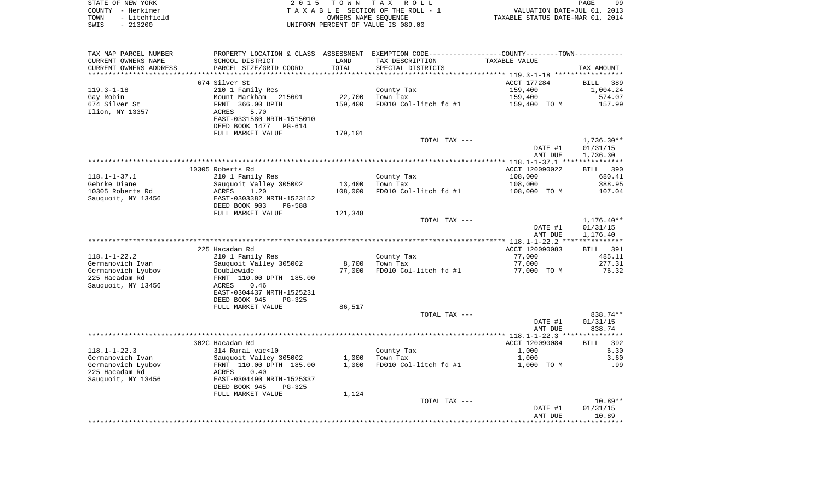|        | STATE OF NEW YORK | 2015 TOWN TAX ROLL                 | QQ<br>PAGE                       |
|--------|-------------------|------------------------------------|----------------------------------|
| COUNTY | - Herkimer        | TAXABLE SECTION OF THE ROLL - 1    | VALUATION DATE-JUL 01, 2013      |
| TOWN   | - Litchfield      | OWNERS NAME SEOUENCE               | TAXABLE STATUS DATE-MAR 01, 2014 |
| SWIS   | $-213200$         | UNIFORM PERCENT OF VALUE IS 089.00 |                                  |

| TAX MAP PARCEL NUMBER                  | PROPERTY LOCATION & CLASS ASSESSMENT EXEMPTION CODE----------------COUNTY-------TOWN---------- |         |                        |                  |                  |
|----------------------------------------|------------------------------------------------------------------------------------------------|---------|------------------------|------------------|------------------|
| CURRENT OWNERS NAME                    | SCHOOL DISTRICT                                                                                | LAND    | TAX DESCRIPTION        | TAXABLE VALUE    |                  |
| CURRENT OWNERS ADDRESS                 | PARCEL SIZE/GRID COORD                                                                         | TOTAL   | SPECIAL DISTRICTS      |                  | TAX AMOUNT       |
| *********************                  |                                                                                                |         |                        |                  |                  |
|                                        | 674 Silver St                                                                                  |         |                        | ACCT 177284      | BILL 389         |
| $119.3 - 1 - 18$                       | 210 1 Family Res                                                                               |         | County Tax             | 159,400          | 1,004.24         |
| Gay Robin                              | Mount Markham 215601                                                                           | 22,700  | Town Tax               | 159,400          | 574.07           |
| 674 Silver St                          | FRNT 366.00 DPTH                                                                               | 159,400 | FD010 Col-litch fd #1  | 159,400 TO M     | 157.99           |
| Ilion, NY 13357                        | 5.70<br>ACRES                                                                                  |         |                        |                  |                  |
|                                        | EAST-0331580 NRTH-1515010                                                                      |         |                        |                  |                  |
|                                        | DEED BOOK 1477<br>PG-614                                                                       |         |                        |                  |                  |
|                                        | FULL MARKET VALUE                                                                              | 179,101 | TOTAL TAX ---          |                  | $1,736.30**$     |
|                                        |                                                                                                |         |                        | DATE #1          | 01/31/15         |
|                                        |                                                                                                |         |                        | AMT DUE          | 1,736.30         |
|                                        |                                                                                                |         |                        |                  |                  |
|                                        | 10305 Roberts Rd                                                                               |         |                        | ACCT 120090022   | BILL 390         |
| $118.1 - 1 - 37.1$                     | 210 1 Family Res                                                                               |         | County Tax             | 108,000          | 680.41           |
| Gehrke Diane                           | Sauquoit Valley 305002                                                                         | 13,400  | Town Tax               | 108,000          | 388.95           |
| 10305 Roberts Rd                       | ACRES<br>1.20                                                                                  | 108,000 | FD010 Col-litch fd #1  | 108,000 TO M     | 107.04           |
| Sauguoit, NY 13456                     | EAST-0303382 NRTH-1523152                                                                      |         |                        |                  |                  |
|                                        | DEED BOOK 903<br>PG-588                                                                        |         |                        |                  |                  |
|                                        | FULL MARKET VALUE                                                                              | 121,348 |                        |                  |                  |
|                                        |                                                                                                |         | TOTAL TAX ---          |                  | $1,176.40**$     |
|                                        |                                                                                                |         |                        | DATE #1          | 01/31/15         |
|                                        |                                                                                                |         |                        | AMT DUE          | 1,176.40         |
|                                        |                                                                                                |         |                        |                  |                  |
|                                        | 225 Hacadam Rd                                                                                 |         |                        | ACCT 120090083   | BILL 391         |
| $118.1 - 1 - 22.2$                     | 210 1 Family Res                                                                               | 8,700   | County Tax<br>Town Tax | 77,000<br>77,000 | 485.11<br>277.31 |
| Germanovich Ivan<br>Germanovich Lyubov | Sauquoit Valley 305002<br>Doublewide                                                           | 77,000  | FD010 Col-litch fd #1  | 77,000 TO M      | 76.32            |
| 225 Hacadam Rd                         | FRNT 110.00 DPTH 185.00                                                                        |         |                        |                  |                  |
| Sauquoit, NY 13456                     | 0.46<br>ACRES                                                                                  |         |                        |                  |                  |
|                                        | EAST-0304437 NRTH-1525231                                                                      |         |                        |                  |                  |
|                                        | DEED BOOK 945<br>PG-325                                                                        |         |                        |                  |                  |
|                                        | FULL MARKET VALUE                                                                              | 86,517  |                        |                  |                  |
|                                        |                                                                                                |         | TOTAL TAX ---          |                  | 838.74**         |
|                                        |                                                                                                |         |                        | DATE #1          | 01/31/15         |
|                                        |                                                                                                |         |                        | AMT DUE          | 838.74           |
|                                        |                                                                                                |         |                        |                  |                  |
|                                        | 302C Hacadam Rd                                                                                |         |                        | ACCT 120090084   | 392<br>BILL      |
| $118.1 - 1 - 22.3$                     | 314 Rural vac<10                                                                               |         | County Tax             | 1,000            | 6.30             |
| Germanovich Ivan                       | Sauquoit Valley 305002                                                                         | 1,000   | Town Tax               | 1,000            | 3.60             |
| Germanovich Lyubov                     | FRNT 110.00 DPTH 185.00                                                                        | 1,000   | FD010 Col-litch fd #1  | 1,000 TO M       | .99              |
| 225 Hacadam Rd                         | ACRES<br>0.40                                                                                  |         |                        |                  |                  |
| Sauguoit, NY 13456                     | EAST-0304490 NRTH-1525337                                                                      |         |                        |                  |                  |
|                                        | DEED BOOK 945<br>PG-325                                                                        |         |                        |                  |                  |
|                                        | FULL MARKET VALUE                                                                              | 1,124   | TOTAL TAX ---          |                  | $10.89**$        |
|                                        |                                                                                                |         |                        | DATE #1          | 01/31/15         |
|                                        |                                                                                                |         |                        | AMT DUE          | 10.89            |
|                                        |                                                                                                |         |                        |                  |                  |
|                                        |                                                                                                |         |                        |                  |                  |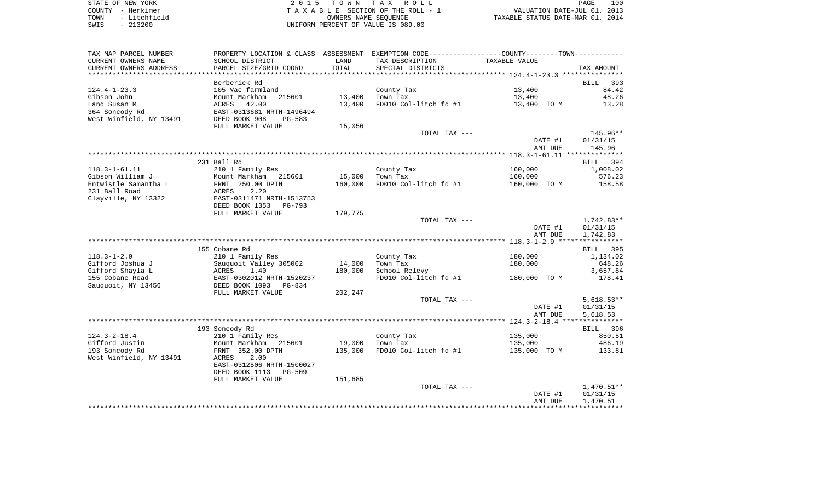| STATE OF NEW YORK    | 2015 TOWN TAX ROLL                 | 100<br>PAGE                      |
|----------------------|------------------------------------|----------------------------------|
| COUNTY - Herkimer    | TAXABLE SECTION OF THE ROLL - 1    | VALUATION DATE-JUL 01, 2013      |
| - Litchfield<br>TOWN | OWNERS NAME SEOUENCE               | TAXABLE STATUS DATE-MAR 01, 2014 |
| $-213200$<br>SWIS    | UNIFORM PERCENT OF VALUE IS 089.00 |                                  |

| TAX MAP PARCEL NUMBER   | PROPERTY LOCATION & CLASS ASSESSMENT EXEMPTION CODE----------------COUNTY-------TOWN---------- |         |                       |               |                  |
|-------------------------|------------------------------------------------------------------------------------------------|---------|-----------------------|---------------|------------------|
| CURRENT OWNERS NAME     | SCHOOL DISTRICT                                                                                | LAND    | TAX DESCRIPTION       | TAXABLE VALUE |                  |
| CURRENT OWNERS ADDRESS  | PARCEL SIZE/GRID COORD                                                                         | TOTAL   | SPECIAL DISTRICTS     |               | TAX AMOUNT       |
|                         |                                                                                                |         |                       |               |                  |
|                         | Berberick Rd                                                                                   |         |                       |               | 393<br>BILL      |
| $124.4 - 1 - 23.3$      | 105 Vac farmland                                                                               |         | County Tax            | 13,400        | 84.42            |
| Gibson John             | Mount Markham<br>215601                                                                        | 13,400  | Town Tax              | 13,400        | 48.26            |
| Land Susan M            | 42.00<br>ACRES                                                                                 | 13,400  | FD010 Col-litch fd #1 | 13,400 TO M   | 13.28            |
| 364 Soncody Rd          | EAST-0313681 NRTH-1496494                                                                      |         |                       |               |                  |
| West Winfield, NY 13491 | DEED BOOK 908<br>PG-583                                                                        |         |                       |               |                  |
|                         | FULL MARKET VALUE                                                                              | 15,056  |                       |               |                  |
|                         |                                                                                                |         | TOTAL TAX ---         |               | 145.96**         |
|                         |                                                                                                |         |                       | DATE #1       | 01/31/15         |
|                         |                                                                                                |         |                       | AMT DUE       | 145.96           |
|                         |                                                                                                |         |                       |               |                  |
|                         | 231 Ball Rd                                                                                    |         |                       |               | 394              |
| $118.3 - 1 - 61.11$     | 210 1 Family Res                                                                               |         |                       | 160,000       | BILL<br>1,008.02 |
|                         |                                                                                                |         | County Tax            |               |                  |
| Gibson William J        | Mount Markham 215601                                                                           | 15,000  | Town Tax              | 160,000       | 576.23           |
| Entwistle Samantha L    | FRNT 250.00 DPTH                                                                               | 160,000 | FD010 Col-litch fd #1 | 160,000 TO M  | 158.58           |
| 231 Ball Road           | ACRES<br>2.20                                                                                  |         |                       |               |                  |
| Clayville, NY 13322     | EAST-0311471 NRTH-1513753                                                                      |         |                       |               |                  |
|                         | DEED BOOK 1353<br>PG-793                                                                       |         |                       |               |                  |
|                         | FULL MARKET VALUE                                                                              | 179,775 |                       |               |                  |
|                         |                                                                                                |         | TOTAL TAX ---         |               | $1,742.83**$     |
|                         |                                                                                                |         |                       | DATE #1       | 01/31/15         |
|                         |                                                                                                |         |                       | AMT DUE       | 1,742.83         |
|                         |                                                                                                |         |                       |               |                  |
|                         | 155 Cobane Rd                                                                                  |         |                       |               | 395<br>BILL      |
| $118.3 - 1 - 2.9$       | 210 1 Family Res                                                                               |         | County Tax            | 180,000       | 1,134.02         |
| Gifford Joshua J        | Sauquoit Valley 305002                                                                         | 14,000  | Town Tax              | 180,000       | 648.26           |
| Gifford Shayla L        | ACRES<br>1.40                                                                                  | 180,000 | School Relevy         |               | 3,657.84         |
| 155 Cobane Road         | EAST-0302012 NRTH-1520237                                                                      |         | FD010 Col-litch fd #1 | 180,000 TO M  | 178.41           |
| Sauquoit, NY 13456      | DEED BOOK 1093 PG-834                                                                          |         |                       |               |                  |
|                         | FULL MARKET VALUE                                                                              | 202,247 |                       |               |                  |
|                         |                                                                                                |         | TOTAL TAX ---         |               | $5,618.53**$     |
|                         |                                                                                                |         |                       | DATE #1       | 01/31/15         |
|                         |                                                                                                |         |                       | AMT DUE       | 5,618.53         |
|                         |                                                                                                |         |                       |               |                  |
|                         | 193 Soncody Rd                                                                                 |         |                       |               | BILL 396         |
| $124.3 - 2 - 18.4$      | 210 1 Family Res                                                                               |         | County Tax            | 135,000       | 850.51           |
| Gifford Justin          | Mount Markham 215601                                                                           | 19,000  | Town Tax              | 135,000       | 486.19           |
| 193 Soncody Rd          | FRNT 352.00 DPTH                                                                               | 135,000 | FD010 Col-litch fd #1 | 135,000 TO M  | 133.81           |
| West Winfield, NY 13491 | ACRES<br>2.00                                                                                  |         |                       |               |                  |
|                         | EAST-0312506 NRTH-1500027                                                                      |         |                       |               |                  |
|                         | DEED BOOK 1113<br>PG-509                                                                       |         |                       |               |                  |
|                         | FULL MARKET VALUE                                                                              | 151,685 |                       |               |                  |
|                         |                                                                                                |         | TOTAL TAX ---         |               | $1,470.51**$     |
|                         |                                                                                                |         |                       | DATE #1       | 01/31/15         |
|                         |                                                                                                |         |                       | AMT DUE       | 1,470.51         |
|                         |                                                                                                |         |                       |               |                  |
|                         |                                                                                                |         |                       |               |                  |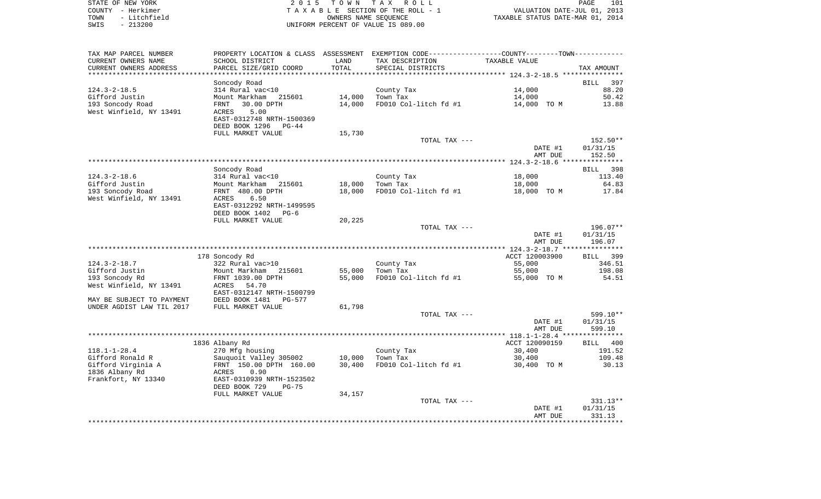| STATE OF NEW YORK    | 2015 TOWN TAX ROLL                 | 101<br>PAGE                      |
|----------------------|------------------------------------|----------------------------------|
| COUNTY - Herkimer    | TAXABLE SECTION OF THE ROLL - 1    | VALUATION DATE-JUL 01, 2013      |
| - Litchfield<br>TOWN | OWNERS NAME SEOUENCE               | TAXABLE STATUS DATE-MAR 01, 2014 |
| SWIS<br>- 213200     | UNIFORM PERCENT OF VALUE IS 089.00 |                                  |

| TAX MAP PARCEL NUMBER     |                               |        | PROPERTY LOCATION & CLASS ASSESSMENT EXEMPTION CODE---------------COUNTY-------TOWN---------- |                |             |
|---------------------------|-------------------------------|--------|-----------------------------------------------------------------------------------------------|----------------|-------------|
| CURRENT OWNERS NAME       | SCHOOL DISTRICT               | LAND   | TAX DESCRIPTION                                                                               | TAXABLE VALUE  |             |
| CURRENT OWNERS ADDRESS    | PARCEL SIZE/GRID COORD        | TOTAL  | SPECIAL DISTRICTS                                                                             |                | TAX AMOUNT  |
|                           |                               |        |                                                                                               |                |             |
|                           | Soncody Road                  |        |                                                                                               |                | BILL<br>397 |
| 124.3-2-18.5              | 314 Rural vac<10              |        | County Tax                                                                                    | 14,000         | 88.20       |
| Gifford Justin            | Mount Markham 215601          | 14,000 | Town Tax                                                                                      | 14,000         | 50.42       |
| 193 Soncody Road          | 30.00 DPTH<br>FRNT            | 14,000 | FD010 Col-litch fd #1                                                                         | 14,000 TO M    | 13.88       |
| West Winfield, NY 13491   | ACRES<br>5.00                 |        |                                                                                               |                |             |
|                           | EAST-0312748 NRTH-1500369     |        |                                                                                               |                |             |
|                           | DEED BOOK 1296<br>PG-44       |        |                                                                                               |                |             |
|                           | FULL MARKET VALUE             | 15,730 |                                                                                               |                |             |
|                           |                               |        | TOTAL TAX ---                                                                                 |                | 152.50**    |
|                           |                               |        |                                                                                               | DATE #1        | 01/31/15    |
|                           |                               |        |                                                                                               | AMT DUE        | 152.50      |
|                           |                               |        |                                                                                               |                |             |
|                           | Soncody Road                  |        |                                                                                               |                | BILL 398    |
| $124.3 - 2 - 18.6$        | 314 Rural vac<10              |        | County Tax                                                                                    | 18,000         | 113.40      |
| Gifford Justin            | Mount Markham 215601          | 18,000 | Town Tax                                                                                      | 18,000         | 64.83       |
| 193 Soncody Road          | FRNT 480.00 DPTH              | 18,000 | FD010 Col-litch fd #1                                                                         | 18,000 TO M    | 17.84       |
| West Winfield, NY 13491   | 6.50<br>ACRES                 |        |                                                                                               |                |             |
|                           | EAST-0312292 NRTH-1499595     |        |                                                                                               |                |             |
|                           | DEED BOOK 1402<br>$PG-6$      |        |                                                                                               |                |             |
|                           | FULL MARKET VALUE             | 20,225 |                                                                                               |                |             |
|                           |                               |        | TOTAL TAX ---                                                                                 |                | 196.07**    |
|                           |                               |        |                                                                                               | DATE #1        | 01/31/15    |
|                           |                               |        |                                                                                               | AMT DUE        | 196.07      |
|                           |                               |        |                                                                                               |                |             |
|                           | 178 Soncody Rd                |        |                                                                                               | ACCT 120003900 | BILL 399    |
| $124.3 - 2 - 18.7$        | 322 Rural vac>10              |        | County Tax                                                                                    | 55,000         | 346.51      |
| Gifford Justin            | Mount Markham 215601          | 55,000 | Town Tax                                                                                      | 55,000         | 198.08      |
| 193 Soncody Rd            | FRNT 1039.00 DPTH             | 55,000 | FD010 Col-litch fd #1                                                                         | 55,000 TO M    | 54.51       |
| West Winfield, NY 13491   | 54.70<br>ACRES                |        |                                                                                               |                |             |
|                           | EAST-0312147 NRTH-1500799     |        |                                                                                               |                |             |
| MAY BE SUBJECT TO PAYMENT | DEED BOOK 1481<br>PG-577      |        |                                                                                               |                |             |
| UNDER AGDIST LAW TIL 2017 | FULL MARKET VALUE             | 61,798 |                                                                                               |                |             |
|                           |                               |        | TOTAL TAX ---                                                                                 |                | 599.10**    |
|                           |                               |        |                                                                                               | DATE #1        | 01/31/15    |
|                           |                               |        |                                                                                               | AMT DUE        | 599.10      |
|                           |                               |        |                                                                                               |                |             |
|                           | 1836 Albany Rd                |        |                                                                                               | ACCT 120090159 | BILL 400    |
| $118.1 - 1 - 28.4$        | 270 Mfg housing               |        | County Tax                                                                                    | 30,400         | 191.52      |
| Gifford Ronald R          | Sauquoit Valley 305002        | 10,000 | Town Tax                                                                                      | 30,400         | 109.48      |
| Gifford Virginia A        | FRNT 150.00 DPTH 160.00       | 30,400 | FD010 Col-litch fd #1                                                                         | 30,400 TO M    | 30.13       |
| 1836 Albany Rd            | ACRES 0.90                    |        |                                                                                               |                |             |
| Frankfort, NY 13340       | EAST-0310939 NRTH-1523502     |        |                                                                                               |                |             |
|                           | DEED BOOK 729<br><b>PG-75</b> |        |                                                                                               |                |             |
|                           | FULL MARKET VALUE             | 34,157 |                                                                                               |                |             |
|                           |                               |        | TOTAL TAX ---                                                                                 |                | 331.13**    |
|                           |                               |        |                                                                                               | DATE #1        | 01/31/15    |
|                           |                               |        |                                                                                               | AMT DUE        | 331.13      |
|                           |                               |        |                                                                                               |                |             |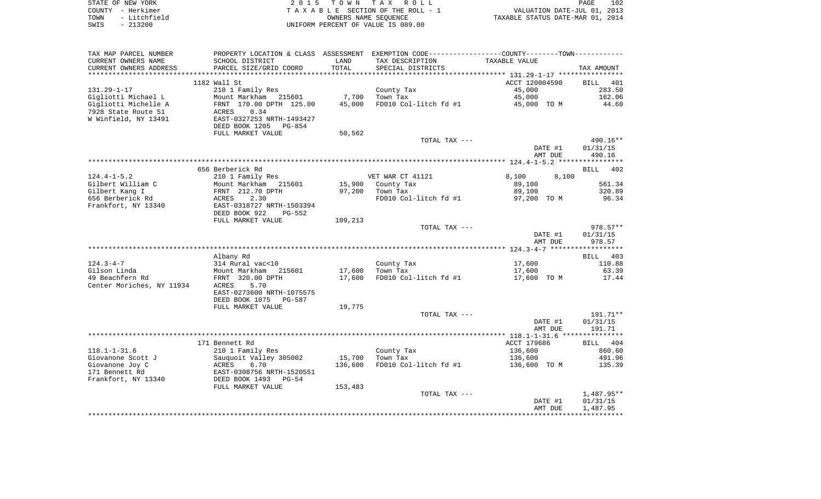| STATE OF NEW YORK    | 2015 TOWN TAX ROLL                 | 102<br>PAGE                      |
|----------------------|------------------------------------|----------------------------------|
| COUNTY - Herkimer    | TAXABLE SECTION OF THE ROLL - 1    | VALUATION DATE-JUL 01, 2013      |
| - Litchfield<br>TOWN | OWNERS NAME SEOUENCE               | TAXABLE STATUS DATE-MAR 01, 2014 |
| SWIS<br>- 213200     | UNIFORM PERCENT OF VALUE IS 089.00 |                                  |

| TAX MAP PARCEL NUMBER     | PROPERTY LOCATION & CLASS ASSESSMENT EXEMPTION CODE----------------COUNTY--------TOWN----------- |         |                       |                |            |
|---------------------------|--------------------------------------------------------------------------------------------------|---------|-----------------------|----------------|------------|
| CURRENT OWNERS NAME       | SCHOOL DISTRICT                                                                                  | LAND    | TAX DESCRIPTION       | TAXABLE VALUE  |            |
| CURRENT OWNERS ADDRESS    | PARCEL SIZE/GRID COORD                                                                           | TOTAL   | SPECIAL DISTRICTS     |                | TAX AMOUNT |
|                           |                                                                                                  |         |                       |                |            |
|                           | 1182 Wall St                                                                                     |         |                       | ACCT 120004590 | BILL 401   |
| $131.29 - 1 - 17$         | 210 1 Family Res                                                                                 |         | County Tax            | 45,000         | 283.50     |
| Gigliotti Michael L       | Mount Markham 215601                                                                             | 7,700   | Town Tax              | 45,000         | 162.06     |
| Gigliotti Michelle A      | FRNT 170.00 DPTH 125.00                                                                          | 45,000  | FD010 Col-litch fd #1 | 45,000 TO M    | 44.60      |
| 7928 State Route 51       | 0.34<br>ACRES                                                                                    |         |                       |                |            |
| W Winfield, NY 13491      | EAST-0327253 NRTH-1493427                                                                        |         |                       |                |            |
|                           | DEED BOOK 1205<br>PG-854                                                                         |         |                       |                |            |
|                           | FULL MARKET VALUE                                                                                | 50,562  |                       |                |            |
|                           |                                                                                                  |         | TOTAL TAX ---         |                | $490.16**$ |
|                           |                                                                                                  |         |                       | DATE #1        | 01/31/15   |
|                           |                                                                                                  |         |                       | AMT DUE        | 490.16     |
|                           |                                                                                                  |         |                       |                |            |
|                           | 656 Berberick Rd                                                                                 |         |                       |                | BILL 402   |
| $124.4 - 1 - 5.2$         | 210 1 Family Res                                                                                 |         | VET WAR CT 41121      | 8,100<br>8,100 |            |
| Gilbert William C         | Mount Markham 215601                                                                             |         | 15,900 County Tax     | 89,100         | 561.34     |
| Gilbert Kang I            | FRNT 212.70 DPTH                                                                                 | 97,200  | Town Tax              | 89,100         | 320.89     |
| 656 Berberick Rd          | ACRES<br>2.30                                                                                    |         | FD010 Col-litch fd #1 | 97,200 TO M    | 96.34      |
| Frankfort, NY 13340       | EAST-0318727 NRTH-1503394                                                                        |         |                       |                |            |
|                           | DEED BOOK 922<br>PG-552                                                                          |         |                       |                |            |
|                           | FULL MARKET VALUE                                                                                | 109,213 |                       |                |            |
|                           |                                                                                                  |         | TOTAL TAX ---         |                | $978.57**$ |
|                           |                                                                                                  |         |                       | DATE #1        | 01/31/15   |
|                           |                                                                                                  |         |                       | AMT DUE        | 978.57     |
|                           |                                                                                                  |         |                       |                |            |
|                           | Albany Rd                                                                                        |         |                       |                | BILL 403   |
| $124.3 - 4 - 7$           | 314 Rural vac<10                                                                                 |         | County Tax            | 17,600         | 110.88     |
| Gilson Linda              | Mount Markham<br>215601                                                                          | 17,600  | Town Tax              | 17,600         | 63.39      |
| 49 Beachfern Rd           | FRNT 320.00 DPTH                                                                                 | 17,600  | FD010 Col-litch fd #1 | 17,600 TO M    | 17.44      |
| Center Moriches, NY 11934 | 5.70<br>ACRES                                                                                    |         |                       |                |            |
|                           | EAST-0273600 NRTH-1075575                                                                        |         |                       |                |            |
|                           | DEED BOOK 1075<br>PG-587                                                                         |         |                       |                |            |
|                           | FULL MARKET VALUE                                                                                | 19,775  |                       |                |            |
|                           |                                                                                                  |         | TOTAL TAX ---         |                | 191.71**   |
|                           |                                                                                                  |         |                       | DATE #1        | 01/31/15   |
|                           |                                                                                                  |         |                       | AMT DUE        | 191.71     |
|                           |                                                                                                  |         |                       |                |            |
|                           | 171 Bennett Rd                                                                                   |         |                       | ACCT 179686    | BILL 404   |
| $118.1 - 1 - 31.6$        | 210 1 Family Res                                                                                 |         | County Tax            | 136,600        | 860.60     |
| Giovanone Scott J         | Sauguoit Valley 305002                                                                           | 15,700  | Town Tax              | 136,600        | 491.96     |
| Giovanone Joy C           | ACRES<br>6.70                                                                                    | 136,600 | FD010 Col-litch fd #1 | 136,600 TO M   | 135.39     |
| 171 Bennett Rd            | EAST-0308756 NRTH-1520551                                                                        |         |                       |                |            |
| Frankfort, NY 13340       | DEED BOOK 1493 PG-54                                                                             |         |                       |                |            |
|                           | FULL MARKET VALUE                                                                                | 153,483 |                       |                |            |
|                           |                                                                                                  |         | TOTAL TAX ---         |                | 1,487.95** |
|                           |                                                                                                  |         |                       | DATE #1        | 01/31/15   |
|                           |                                                                                                  |         |                       | AMT DUE        | 1,487.95   |
|                           |                                                                                                  |         |                       |                |            |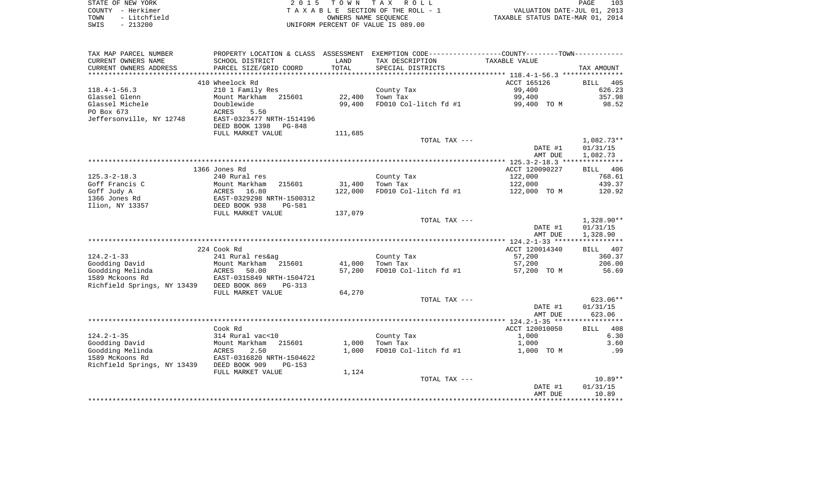| STATE OF NEW YORK |              | 2015 TOWN TAX ROLL                 | PAGE                             | 103 |
|-------------------|--------------|------------------------------------|----------------------------------|-----|
| COUNTY - Herkimer |              | TAXABLE SECTION OF THE ROLL - 1    | VALUATION DATE-JUL 01, 2013      |     |
| TOWN              | - Litchfield | OWNERS NAME SEOUENCE               | TAXABLE STATUS DATE-MAR 01, 2014 |     |
| SWIS              | $-213200$    | UNIFORM PERCENT OF VALUE IS 089.00 |                                  |     |

| TAX MAP PARCEL NUMBER       |                                                     |         | PROPERTY LOCATION & CLASS ASSESSMENT EXEMPTION CODE---------------COUNTY-------TOWN---------- |                |              |
|-----------------------------|-----------------------------------------------------|---------|-----------------------------------------------------------------------------------------------|----------------|--------------|
| CURRENT OWNERS NAME         | SCHOOL DISTRICT                                     | LAND    | TAX DESCRIPTION                                                                               | TAXABLE VALUE  |              |
| CURRENT OWNERS ADDRESS      | PARCEL SIZE/GRID COORD                              | TOTAL   | SPECIAL DISTRICTS                                                                             |                | TAX AMOUNT   |
|                             |                                                     |         |                                                                                               |                |              |
|                             | 410 Wheelock Rd                                     |         |                                                                                               | ACCT 165126    | 405<br>BILL  |
| $118.4 - 1 - 56.3$          | 210 1 Family Res                                    |         | County Tax                                                                                    | 99,400         | 626.23       |
| Glassel Glenn               | Mount Markham 215601                                | 22,400  | Town Tax                                                                                      | 99,400         | 357.98       |
| Glassel Michele             | Doublewide                                          | 99,400  | FD010 Col-litch fd #1                                                                         | 99,400 TO M    | 98.52        |
| PO Box 673                  | ACRES<br>5.50                                       |         |                                                                                               |                |              |
| Jeffersonville, NY 12748    | EAST-0323477 NRTH-1514196                           |         |                                                                                               |                |              |
|                             | DEED BOOK 1398<br>PG-848                            |         |                                                                                               |                |              |
|                             | FULL MARKET VALUE                                   | 111,685 |                                                                                               |                |              |
|                             |                                                     |         | TOTAL TAX ---                                                                                 |                | $1,082.73**$ |
|                             |                                                     |         |                                                                                               | DATE #1        | 01/31/15     |
|                             |                                                     |         |                                                                                               | AMT DUE        | 1,082.73     |
|                             |                                                     |         |                                                                                               |                |              |
|                             | 1366 Jones Rd                                       |         |                                                                                               | ACCT 120090227 | BILL 406     |
| $125.3 - 2 - 18.3$          | 240 Rural res                                       |         | County Tax                                                                                    | 122,000        | 768.61       |
| Goff Francis C              | Mount Markham<br>215601                             | 31,400  | Town Tax                                                                                      | 122,000        | 439.37       |
| Goff Judy A                 | ACRES<br>16.80                                      | 122,000 | FD010 Col-litch fd #1                                                                         | 122,000 TO M   | 120.92       |
| 1366 Jones Rd               | EAST-0329298 NRTH-1500312                           |         |                                                                                               |                |              |
| Ilion, NY 13357             | DEED BOOK 938<br><b>PG-581</b><br>FULL MARKET VALUE | 137,079 |                                                                                               |                |              |
|                             |                                                     |         | TOTAL TAX ---                                                                                 |                | $1,328.90**$ |
|                             |                                                     |         |                                                                                               | DATE #1        | 01/31/15     |
|                             |                                                     |         |                                                                                               | AMT DUE        | 1,328.90     |
|                             |                                                     |         |                                                                                               |                |              |
|                             | 224 Cook Rd                                         |         |                                                                                               | ACCT 120014340 | BILL 407     |
| $124.2 - 1 - 33$            | 241 Rural res&ag                                    |         | County Tax                                                                                    | 57,200         | 360.37       |
| Goodding David              | Mount Markham<br>215601                             | 41,000  | Town Tax                                                                                      | 57,200         | 206.00       |
| Goodding Melinda            | 50.00<br>ACRES                                      | 57,200  | FD010 Col-litch fd #1                                                                         | 57,200 TO M    | 56.69        |
| 1589 Mckoons Rd             | EAST-0315849 NRTH-1504721                           |         |                                                                                               |                |              |
| Richfield Springs, NY 13439 | DEED BOOK 869<br>$PG-313$                           |         |                                                                                               |                |              |
|                             | FULL MARKET VALUE                                   | 64,270  |                                                                                               |                |              |
|                             |                                                     |         | TOTAL TAX ---                                                                                 |                | $623.06**$   |
|                             |                                                     |         |                                                                                               | DATE #1        | 01/31/15     |
|                             |                                                     |         |                                                                                               | AMT DUE        | 623.06       |
|                             |                                                     |         |                                                                                               |                |              |
|                             | Cook Rd                                             |         |                                                                                               | ACCT 120010050 | 408<br>BILL  |
| $124.2 - 1 - 35$            | 314 Rural vac<10                                    |         | County Tax                                                                                    | 1,000          | 6.30         |
| Goodding David              | Mount Markham<br>215601                             | 1,000   | Town Tax                                                                                      | 1,000          | 3.60         |
| Goodding Melinda            | ACRES<br>2.50                                       | 1,000   | FD010 Col-litch fd #1                                                                         | 1,000 TO M     | .99          |
| 1589 McKoons Rd             | EAST-0316820 NRTH-1504622                           |         |                                                                                               |                |              |
| Richfield Springs, NY 13439 | DEED BOOK 909<br>$PG-153$                           |         |                                                                                               |                |              |
|                             | FULL MARKET VALUE                                   | 1,124   |                                                                                               |                |              |
|                             |                                                     |         | TOTAL TAX ---                                                                                 |                | $10.89**$    |
|                             |                                                     |         |                                                                                               | DATE #1        | 01/31/15     |
|                             |                                                     |         |                                                                                               | AMT DUE        | 10.89        |
|                             |                                                     |         |                                                                                               |                |              |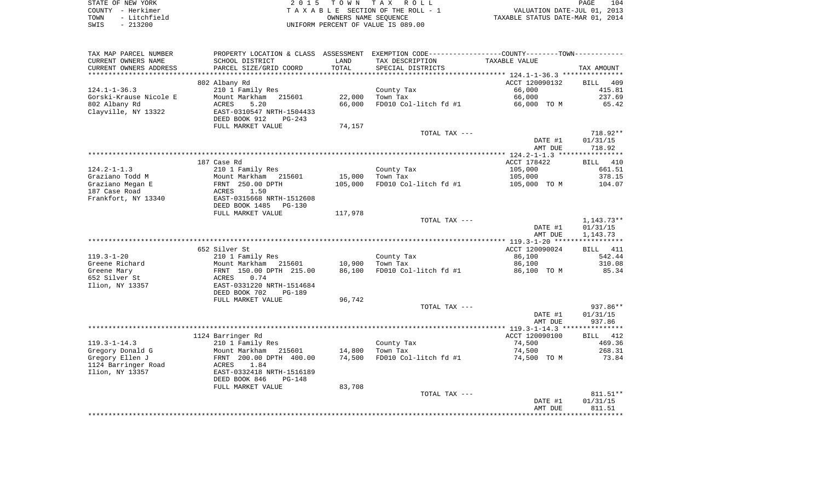|      | STATE OF NEW YORK | 2015 TOWN TAX ROLL                 | 104<br>PAGE                      |
|------|-------------------|------------------------------------|----------------------------------|
|      | COUNTY - Herkimer | TAXABLE SECTION OF THE ROLL - 1    | VALUATION DATE-JUL 01, 2013      |
| TOWN | - Litchfield      | OWNERS NAME SEOUENCE               | TAXABLE STATUS DATE-MAR 01, 2014 |
| SWIS | $-213200$         | UNIFORM PERCENT OF VALUE IS 089.00 |                                  |

| TAX MAP PARCEL NUMBER                  |                                                    |                  | PROPERTY LOCATION & CLASS ASSESSMENT EXEMPTION CODE----------------COUNTY--------TOWN----------- |                       |                      |
|----------------------------------------|----------------------------------------------------|------------------|--------------------------------------------------------------------------------------------------|-----------------------|----------------------|
| CURRENT OWNERS NAME                    | SCHOOL DISTRICT                                    | LAND             | TAX DESCRIPTION                                                                                  | TAXABLE VALUE         |                      |
| CURRENT OWNERS ADDRESS                 | PARCEL SIZE/GRID COORD                             | TOTAL            | SPECIAL DISTRICTS                                                                                |                       | TAX AMOUNT           |
|                                        |                                                    |                  |                                                                                                  |                       |                      |
|                                        | 802 Albany Rd                                      |                  |                                                                                                  | ACCT 120090132        | BILL<br>409          |
| $124.1 - 1 - 36.3$                     | 210 1 Family Res                                   |                  | County Tax                                                                                       | 66,000                | 415.81               |
| Gorski-Krause Nicole E                 | Mount Markham<br>215601                            | 22,000           | Town Tax                                                                                         | 66,000                | 237.69               |
| 802 Albany Rd                          | 5.20<br>ACRES                                      | 66,000           | FD010 Col-litch fd #1                                                                            | 66,000 TO M           | 65.42                |
| Clayville, NY 13322                    | EAST-0310547 NRTH-1504433                          |                  |                                                                                                  |                       |                      |
|                                        | DEED BOOK 912<br>$PG-243$                          |                  |                                                                                                  |                       |                      |
|                                        | FULL MARKET VALUE                                  | 74,157           |                                                                                                  |                       |                      |
|                                        |                                                    |                  | TOTAL TAX ---                                                                                    | DATE #1               | 718.92**<br>01/31/15 |
|                                        |                                                    |                  |                                                                                                  | AMT DUE               | 718.92               |
|                                        |                                                    |                  |                                                                                                  |                       |                      |
|                                        | 187 Case Rd                                        |                  |                                                                                                  | ACCT 178422           | BILL 410             |
| $124.2 - 1 - 1.3$                      | 210 1 Family Res                                   |                  | County Tax                                                                                       | 105,000               | 661.51               |
| Graziano Todd M                        | Mount Markham 215601                               | 15,000           | Town Tax                                                                                         | 105,000               | 378.15               |
| Graziano Megan E                       | FRNT 250.00 DPTH                                   | 105,000          | FD010 Col-litch fd #1                                                                            | 105,000 TO M          | 104.07               |
| 187 Case Road                          | 1.50<br>ACRES                                      |                  |                                                                                                  |                       |                      |
| Frankfort, NY 13340                    | EAST-0315668 NRTH-1512608                          |                  |                                                                                                  |                       |                      |
|                                        | DEED BOOK 1485<br>$PG-130$                         |                  |                                                                                                  |                       |                      |
|                                        | FULL MARKET VALUE                                  | 117,978          |                                                                                                  |                       |                      |
|                                        |                                                    |                  | TOTAL TAX ---                                                                                    |                       | $1,143.73**$         |
|                                        |                                                    |                  |                                                                                                  | DATE #1               | 01/31/15             |
|                                        |                                                    |                  |                                                                                                  | AMT DUE               | 1,143.73             |
|                                        |                                                    |                  |                                                                                                  |                       |                      |
|                                        | 652 Silver St                                      |                  |                                                                                                  | ACCT 120090024        | BILL 411             |
| $119.3 - 1 - 20$                       | 210 1 Family Res                                   |                  | County Tax                                                                                       | 86,100                | 542.44               |
| Greene Richard                         | Mount Markham 215601                               | 10,900           | Town Tax                                                                                         | 86,100                | 310.08               |
| Greene Mary                            | FRNT 150.00 DPTH 215.00                            | 86,100           | FD010 Col-litch fd #1                                                                            | 86,100 TO M           | 85.34                |
| 652 Silver St                          | 0.74<br>ACRES                                      |                  |                                                                                                  |                       |                      |
| Ilion, NY 13357                        | EAST-0331220 NRTH-1514684                          |                  |                                                                                                  |                       |                      |
|                                        | DEED BOOK 702<br><b>PG-189</b>                     |                  |                                                                                                  |                       |                      |
|                                        | FULL MARKET VALUE                                  | 96,742           |                                                                                                  |                       |                      |
|                                        |                                                    |                  | TOTAL TAX ---                                                                                    |                       | 937.86**             |
|                                        |                                                    |                  |                                                                                                  | DATE #1               | 01/31/15             |
|                                        |                                                    |                  |                                                                                                  | AMT DUE               | 937.86               |
|                                        |                                                    |                  |                                                                                                  |                       |                      |
|                                        | 1124 Barringer Rd                                  |                  |                                                                                                  | ACCT 120090100        | BILL 412             |
| $119.3 - 1 - 14.3$                     | 210 1 Family Res                                   |                  | County Tax<br>Town Tax                                                                           | 74,500                | 469.36<br>268.31     |
| Gregory Donald G                       | Mount Markham<br>215601<br>FRNT 200.00 DPTH 400.00 | 14,800<br>74,500 | FD010 Col-litch fd #1                                                                            | 74,500<br>74,500 TO M | 73.84                |
| Gregory Ellen J<br>1124 Barringer Road | 1.84<br>ACRES                                      |                  |                                                                                                  |                       |                      |
| Ilion, NY 13357                        | EAST-0332418 NRTH-1516189                          |                  |                                                                                                  |                       |                      |
|                                        | DEED BOOK 846<br>$PG-148$                          |                  |                                                                                                  |                       |                      |
|                                        | FULL MARKET VALUE                                  | 83,708           |                                                                                                  |                       |                      |
|                                        |                                                    |                  | TOTAL TAX ---                                                                                    |                       | 811.51**             |
|                                        |                                                    |                  |                                                                                                  | DATE #1               | 01/31/15             |
|                                        |                                                    |                  |                                                                                                  | AMT DUE               | 811.51               |
|                                        |                                                    |                  |                                                                                                  |                       |                      |
|                                        |                                                    |                  |                                                                                                  |                       |                      |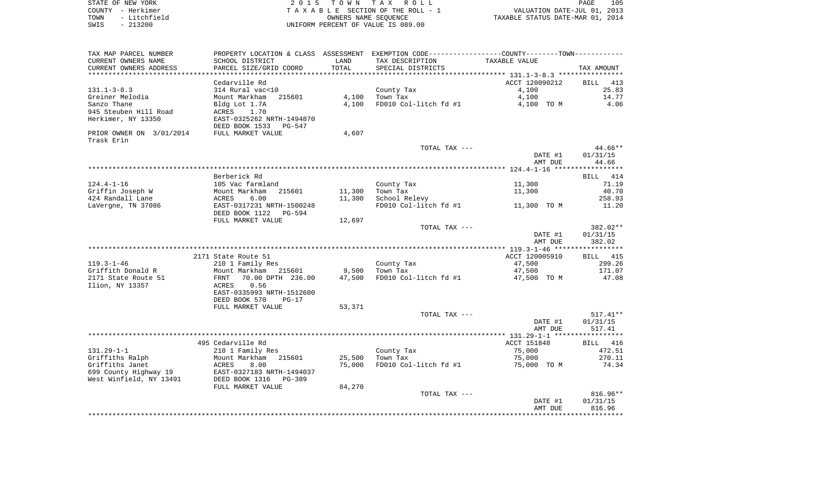| STATE OF NEW YORK     | 2015 TOWN TAX ROLL                 | 105<br>PAGE                      |
|-----------------------|------------------------------------|----------------------------------|
| COUNTY - Herkimer     | TAXABLE SECTION OF THE ROLL - 1    | VALUATION DATE-JUL 01, 2013      |
| - Litchfield<br>TOWN  | OWNERS NAME SEOUENCE               | TAXABLE STATUS DATE-MAR 01, 2014 |
| 213200<br>SWIS<br>$-$ | UNIFORM PERCENT OF VALUE IS 089.00 |                                  |

| TAX MAP PARCEL NUMBER                         | PROPERTY LOCATION & CLASS ASSESSMENT      |               | EXEMPTION CODE-----------------COUNTY-------TOWN----------- |                |                    |
|-----------------------------------------------|-------------------------------------------|---------------|-------------------------------------------------------------|----------------|--------------------|
| CURRENT OWNERS NAME<br>CURRENT OWNERS ADDRESS | SCHOOL DISTRICT<br>PARCEL SIZE/GRID COORD | LAND<br>TOTAL | TAX DESCRIPTION<br>SPECIAL DISTRICTS                        | TAXABLE VALUE  | TAX AMOUNT         |
| **********************                        |                                           |               |                                                             |                |                    |
|                                               | Cedarville Rd                             |               |                                                             | ACCT 120090212 | <b>BILL</b><br>413 |
| $131.1 - 3 - 8.3$                             | 314 Rural vac<10                          |               | County Tax                                                  | 4,100          | 25.83              |
| Greiner Melodia                               | Mount Markham<br>215601                   | 4,100         | Town Tax                                                    | 4,100          | 14.77              |
| Sanzo Thane                                   | Bldg Lot 1.7A                             | 4,100         | FD010 Col-litch fd #1                                       | 4,100 TO M     | 4.06               |
| 945 Steuben Hill Road                         | ACRES<br>1.70                             |               |                                                             |                |                    |
| Herkimer, NY 13350                            | EAST-0325262 NRTH-1494870                 |               |                                                             |                |                    |
|                                               | DEED BOOK 1533<br><b>PG-547</b>           |               |                                                             |                |                    |
| PRIOR OWNER ON 3/01/2014                      | FULL MARKET VALUE                         | 4,607         |                                                             |                |                    |
| Trask Erin                                    |                                           |               |                                                             |                |                    |
|                                               |                                           |               | TOTAL TAX ---                                               |                | 44.66**            |
|                                               |                                           |               |                                                             | DATE #1        | 01/31/15           |
|                                               |                                           |               |                                                             | AMT DUE        | 44.66              |
|                                               | Berberick Rd                              |               |                                                             |                | BILL 414           |
| $124.4 - 1 - 16$                              | 105 Vac farmland                          |               |                                                             | 11,300         | 71.19              |
| Griffin Joseph W                              | Mount Markham<br>215601                   | 11,300        | County Tax<br>Town Tax                                      | 11,300         | 40.70              |
| 424 Randall Lane                              | 6.00<br>ACRES                             | 11,300        | School Relevy                                               |                | 258.93             |
| LaVergne, TN 37086                            | EAST-0317231 NRTH-1500248                 |               | FD010 Col-litch fd #1                                       | 11,300 TO M    | 11.20              |
|                                               | DEED BOOK 1122<br><b>PG-594</b>           |               |                                                             |                |                    |
|                                               | FULL MARKET VALUE                         | 12,697        |                                                             |                |                    |
|                                               |                                           |               | TOTAL TAX ---                                               |                | 382.02**           |
|                                               |                                           |               |                                                             | DATE #1        | 01/31/15           |
|                                               |                                           |               |                                                             | AMT DUE        | 382.02             |
|                                               |                                           |               |                                                             |                |                    |
|                                               | 2171 State Route 51                       |               |                                                             | ACCT 120005910 | BILL 415           |
| $119.3 - 1 - 46$                              | 210 1 Family Res                          |               | County Tax                                                  | 47,500         | 299.26             |
| Griffith Donald R                             | Mount Markham<br>215601                   | 9,500         | Town Tax                                                    | 47,500         | 171.07             |
| 2171 State Route 51                           | 70.00 DPTH 236.00<br>FRNT                 | 47,500        | FD010 Col-litch fd #1                                       | 47,500 TO M    | 47.08              |
| Ilion, NY 13357                               | 0.56<br>ACRES                             |               |                                                             |                |                    |
|                                               | EAST-0335993 NRTH-1512600                 |               |                                                             |                |                    |
|                                               | DEED BOOK 570<br>$PG-17$                  |               |                                                             |                |                    |
|                                               | FULL MARKET VALUE                         | 53,371        |                                                             |                |                    |
|                                               |                                           |               | TOTAL TAX ---                                               |                | $517.41**$         |
|                                               |                                           |               |                                                             | DATE #1        | 01/31/15           |
|                                               |                                           |               |                                                             | AMT DUE        | 517.41             |
|                                               |                                           |               |                                                             |                |                    |
|                                               | 495 Cedarville Rd                         |               |                                                             | ACCT 151848    | BILL 416           |
| $131.29 - 1 - 1$                              | 210 1 Family Res                          |               | County Tax                                                  | 75,000         | 472.51             |
| Griffiths Ralph                               | Mount Markham<br>215601                   | 25,500        | Town Tax                                                    | 75,000         | 270.11             |
| Griffiths Janet                               | 8.00<br>ACRES                             | 75,000        | FD010 Col-litch fd #1                                       | 75,000 TO M    | 74.34              |
| 699 County Highway 19                         | EAST-0327183 NRTH-1494037                 |               |                                                             |                |                    |
| West Winfield, NY 13491                       | DEED BOOK 1316<br>PG-389                  |               |                                                             |                |                    |
|                                               | FULL MARKET VALUE                         | 84,270        |                                                             |                |                    |
|                                               |                                           |               | TOTAL TAX ---                                               |                | 816.96**           |
|                                               |                                           |               |                                                             | DATE #1        | 01/31/15           |
|                                               |                                           |               |                                                             | AMT DUE        | 816.96             |
|                                               |                                           |               |                                                             |                |                    |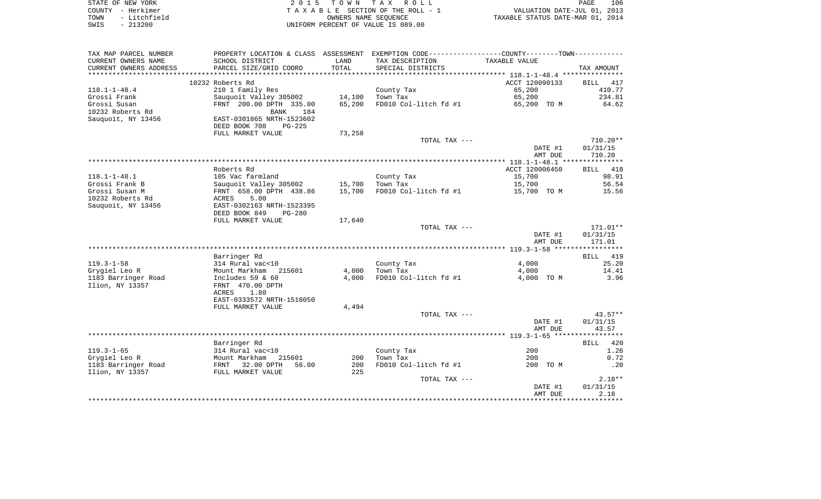| STATE OF NEW YORK |              | 2015 TOWN TAX ROLL                 | 106<br>PAGE                      |
|-------------------|--------------|------------------------------------|----------------------------------|
| COUNTY - Herkimer |              | TAXABLE SECTION OF THE ROLL - 1    | VALUATION DATE-JUL 01, 2013      |
| TOWN              | - Litchfield | OWNERS NAME SEOUENCE               | TAXABLE STATUS DATE-MAR 01, 2014 |
| SWIS              | - 213200     | UNIFORM PERCENT OF VALUE IS 089.00 |                                  |

| SCHOOL DISTRICT<br>TAX DESCRIPTION<br>TAXABLE VALUE<br>LAND<br>TOTAL<br>PARCEL SIZE/GRID COORD<br>SPECIAL DISTRICTS<br>TAX AMOUNT<br>10232 Roberts Rd<br>ACCT 120090133<br>BILL<br>417<br>210 1 Family Res<br>65,200<br>County Tax<br>410.77<br>234.81<br>Sauguoit Valley 305002<br>14,100<br>Town Tax<br>65,200<br>65,200<br>FD010 Col-litch fd #1<br>FRNT 200.00 DPTH 335.00<br>65,200 TO M<br>64.62<br><b>BANK</b><br>184<br>Sauquoit, NY 13456<br>EAST-0301865 NRTH-1523602<br>DEED BOOK 708<br>$PG-225$<br>FULL MARKET VALUE<br>73,258<br>710.20**<br>TOTAL TAX ---<br>DATE #1<br>01/31/15<br>710.20<br>AMT DUE<br>Roberts Rd<br>ACCT 120006450<br>BILL 418<br>$118.1 - 1 - 48.1$<br>105 Vac farmland<br>15,700<br>98.91<br>County Tax<br>15,700<br>15,700<br>56.54<br>Grossi Frank B<br>Sauquoit Valley 305002<br>Town Tax<br>Grossi Susan M<br>FRNT 658.00 DPTH 438.86<br>15,700<br>FD010 Col-litch fd #1<br>15,700 TO M<br>15.56<br>10232 Roberts Rd<br>5.00<br>ACRES<br>Sauguoit, NY 13456<br>EAST-0302163 NRTH-1523395<br>DEED BOOK 849<br>$PG-280$<br>FULL MARKET VALUE<br>17,640<br>171.01**<br>TOTAL TAX ---<br>DATE #1<br>01/31/15<br>AMT DUE<br>171.01<br>Barringer Rd<br>BILL 419<br>$119.3 - 1 - 58$<br>25.20<br>314 Rural vac<10<br>County Tax<br>4,000<br>Grygiel Leo R<br>4,000<br>14.41<br>Mount Markham<br>215601<br>Town Tax<br>4,000<br>4,000<br>FD010 Col-litch fd #1<br>3.96<br>1183 Barringer Road<br>Includes $59$ & $60$<br>4,000 TO M<br>Ilion, NY 13357<br>FRNT 470.00 DPTH<br>ACRES<br>1.80<br>EAST-0333572 NRTH-1516050<br>4,494<br>FULL MARKET VALUE<br>TOTAL TAX ---<br>$43.57**$<br>01/31/15<br>DATE #1<br>AMT DUE<br>43.57<br>Barringer Rd<br>BILL 420<br>$119.3 - 1 - 65$<br>200<br>1.26<br>314 Rural vac<10<br>County Tax<br>Grygiel Leo R<br>Mount Markham<br>Town Tax<br>200<br>0.72<br>215601<br>200<br>FRNT 32.00 DPTH<br>1183 Barringer Road<br>56.00<br>200<br>FD010 Col-litch fd #1<br>200 TO M<br>.20<br>Ilion, NY 13357<br>FULL MARKET VALUE<br>225<br>$2.18**$<br>TOTAL TAX ---<br>01/31/15<br>DATE #1<br>2.18<br>AMT DUE | TAX MAP PARCEL NUMBER  | PROPERTY LOCATION & CLASS ASSESSMENT EXEMPTION CODE----------------COUNTY--------TOWN---------- |  |  |
|----------------------------------------------------------------------------------------------------------------------------------------------------------------------------------------------------------------------------------------------------------------------------------------------------------------------------------------------------------------------------------------------------------------------------------------------------------------------------------------------------------------------------------------------------------------------------------------------------------------------------------------------------------------------------------------------------------------------------------------------------------------------------------------------------------------------------------------------------------------------------------------------------------------------------------------------------------------------------------------------------------------------------------------------------------------------------------------------------------------------------------------------------------------------------------------------------------------------------------------------------------------------------------------------------------------------------------------------------------------------------------------------------------------------------------------------------------------------------------------------------------------------------------------------------------------------------------------------------------------------------------------------------------------------------------------------------------------------------------------------------------------------------------------------------------------------------------------------------------------------------------------------------------------------------------------------------------------------------------------------------------------------------------------------------------------------------|------------------------|-------------------------------------------------------------------------------------------------|--|--|
|                                                                                                                                                                                                                                                                                                                                                                                                                                                                                                                                                                                                                                                                                                                                                                                                                                                                                                                                                                                                                                                                                                                                                                                                                                                                                                                                                                                                                                                                                                                                                                                                                                                                                                                                                                                                                                                                                                                                                                                                                                                                            | CURRENT OWNERS NAME    |                                                                                                 |  |  |
|                                                                                                                                                                                                                                                                                                                                                                                                                                                                                                                                                                                                                                                                                                                                                                                                                                                                                                                                                                                                                                                                                                                                                                                                                                                                                                                                                                                                                                                                                                                                                                                                                                                                                                                                                                                                                                                                                                                                                                                                                                                                            | CURRENT OWNERS ADDRESS |                                                                                                 |  |  |
|                                                                                                                                                                                                                                                                                                                                                                                                                                                                                                                                                                                                                                                                                                                                                                                                                                                                                                                                                                                                                                                                                                                                                                                                                                                                                                                                                                                                                                                                                                                                                                                                                                                                                                                                                                                                                                                                                                                                                                                                                                                                            |                        |                                                                                                 |  |  |
|                                                                                                                                                                                                                                                                                                                                                                                                                                                                                                                                                                                                                                                                                                                                                                                                                                                                                                                                                                                                                                                                                                                                                                                                                                                                                                                                                                                                                                                                                                                                                                                                                                                                                                                                                                                                                                                                                                                                                                                                                                                                            |                        |                                                                                                 |  |  |
|                                                                                                                                                                                                                                                                                                                                                                                                                                                                                                                                                                                                                                                                                                                                                                                                                                                                                                                                                                                                                                                                                                                                                                                                                                                                                                                                                                                                                                                                                                                                                                                                                                                                                                                                                                                                                                                                                                                                                                                                                                                                            | $118.1 - 1 - 48.4$     |                                                                                                 |  |  |
|                                                                                                                                                                                                                                                                                                                                                                                                                                                                                                                                                                                                                                                                                                                                                                                                                                                                                                                                                                                                                                                                                                                                                                                                                                                                                                                                                                                                                                                                                                                                                                                                                                                                                                                                                                                                                                                                                                                                                                                                                                                                            | Grossi Frank           |                                                                                                 |  |  |
|                                                                                                                                                                                                                                                                                                                                                                                                                                                                                                                                                                                                                                                                                                                                                                                                                                                                                                                                                                                                                                                                                                                                                                                                                                                                                                                                                                                                                                                                                                                                                                                                                                                                                                                                                                                                                                                                                                                                                                                                                                                                            | Grossi Susan           |                                                                                                 |  |  |
|                                                                                                                                                                                                                                                                                                                                                                                                                                                                                                                                                                                                                                                                                                                                                                                                                                                                                                                                                                                                                                                                                                                                                                                                                                                                                                                                                                                                                                                                                                                                                                                                                                                                                                                                                                                                                                                                                                                                                                                                                                                                            | 10232 Roberts Rd       |                                                                                                 |  |  |
|                                                                                                                                                                                                                                                                                                                                                                                                                                                                                                                                                                                                                                                                                                                                                                                                                                                                                                                                                                                                                                                                                                                                                                                                                                                                                                                                                                                                                                                                                                                                                                                                                                                                                                                                                                                                                                                                                                                                                                                                                                                                            |                        |                                                                                                 |  |  |
|                                                                                                                                                                                                                                                                                                                                                                                                                                                                                                                                                                                                                                                                                                                                                                                                                                                                                                                                                                                                                                                                                                                                                                                                                                                                                                                                                                                                                                                                                                                                                                                                                                                                                                                                                                                                                                                                                                                                                                                                                                                                            |                        |                                                                                                 |  |  |
|                                                                                                                                                                                                                                                                                                                                                                                                                                                                                                                                                                                                                                                                                                                                                                                                                                                                                                                                                                                                                                                                                                                                                                                                                                                                                                                                                                                                                                                                                                                                                                                                                                                                                                                                                                                                                                                                                                                                                                                                                                                                            |                        |                                                                                                 |  |  |
|                                                                                                                                                                                                                                                                                                                                                                                                                                                                                                                                                                                                                                                                                                                                                                                                                                                                                                                                                                                                                                                                                                                                                                                                                                                                                                                                                                                                                                                                                                                                                                                                                                                                                                                                                                                                                                                                                                                                                                                                                                                                            |                        |                                                                                                 |  |  |
|                                                                                                                                                                                                                                                                                                                                                                                                                                                                                                                                                                                                                                                                                                                                                                                                                                                                                                                                                                                                                                                                                                                                                                                                                                                                                                                                                                                                                                                                                                                                                                                                                                                                                                                                                                                                                                                                                                                                                                                                                                                                            |                        |                                                                                                 |  |  |
|                                                                                                                                                                                                                                                                                                                                                                                                                                                                                                                                                                                                                                                                                                                                                                                                                                                                                                                                                                                                                                                                                                                                                                                                                                                                                                                                                                                                                                                                                                                                                                                                                                                                                                                                                                                                                                                                                                                                                                                                                                                                            |                        |                                                                                                 |  |  |
|                                                                                                                                                                                                                                                                                                                                                                                                                                                                                                                                                                                                                                                                                                                                                                                                                                                                                                                                                                                                                                                                                                                                                                                                                                                                                                                                                                                                                                                                                                                                                                                                                                                                                                                                                                                                                                                                                                                                                                                                                                                                            |                        |                                                                                                 |  |  |
|                                                                                                                                                                                                                                                                                                                                                                                                                                                                                                                                                                                                                                                                                                                                                                                                                                                                                                                                                                                                                                                                                                                                                                                                                                                                                                                                                                                                                                                                                                                                                                                                                                                                                                                                                                                                                                                                                                                                                                                                                                                                            |                        |                                                                                                 |  |  |
|                                                                                                                                                                                                                                                                                                                                                                                                                                                                                                                                                                                                                                                                                                                                                                                                                                                                                                                                                                                                                                                                                                                                                                                                                                                                                                                                                                                                                                                                                                                                                                                                                                                                                                                                                                                                                                                                                                                                                                                                                                                                            |                        |                                                                                                 |  |  |
|                                                                                                                                                                                                                                                                                                                                                                                                                                                                                                                                                                                                                                                                                                                                                                                                                                                                                                                                                                                                                                                                                                                                                                                                                                                                                                                                                                                                                                                                                                                                                                                                                                                                                                                                                                                                                                                                                                                                                                                                                                                                            |                        |                                                                                                 |  |  |
|                                                                                                                                                                                                                                                                                                                                                                                                                                                                                                                                                                                                                                                                                                                                                                                                                                                                                                                                                                                                                                                                                                                                                                                                                                                                                                                                                                                                                                                                                                                                                                                                                                                                                                                                                                                                                                                                                                                                                                                                                                                                            |                        |                                                                                                 |  |  |
|                                                                                                                                                                                                                                                                                                                                                                                                                                                                                                                                                                                                                                                                                                                                                                                                                                                                                                                                                                                                                                                                                                                                                                                                                                                                                                                                                                                                                                                                                                                                                                                                                                                                                                                                                                                                                                                                                                                                                                                                                                                                            |                        |                                                                                                 |  |  |
|                                                                                                                                                                                                                                                                                                                                                                                                                                                                                                                                                                                                                                                                                                                                                                                                                                                                                                                                                                                                                                                                                                                                                                                                                                                                                                                                                                                                                                                                                                                                                                                                                                                                                                                                                                                                                                                                                                                                                                                                                                                                            |                        |                                                                                                 |  |  |
|                                                                                                                                                                                                                                                                                                                                                                                                                                                                                                                                                                                                                                                                                                                                                                                                                                                                                                                                                                                                                                                                                                                                                                                                                                                                                                                                                                                                                                                                                                                                                                                                                                                                                                                                                                                                                                                                                                                                                                                                                                                                            |                        |                                                                                                 |  |  |
|                                                                                                                                                                                                                                                                                                                                                                                                                                                                                                                                                                                                                                                                                                                                                                                                                                                                                                                                                                                                                                                                                                                                                                                                                                                                                                                                                                                                                                                                                                                                                                                                                                                                                                                                                                                                                                                                                                                                                                                                                                                                            |                        |                                                                                                 |  |  |
|                                                                                                                                                                                                                                                                                                                                                                                                                                                                                                                                                                                                                                                                                                                                                                                                                                                                                                                                                                                                                                                                                                                                                                                                                                                                                                                                                                                                                                                                                                                                                                                                                                                                                                                                                                                                                                                                                                                                                                                                                                                                            |                        |                                                                                                 |  |  |
|                                                                                                                                                                                                                                                                                                                                                                                                                                                                                                                                                                                                                                                                                                                                                                                                                                                                                                                                                                                                                                                                                                                                                                                                                                                                                                                                                                                                                                                                                                                                                                                                                                                                                                                                                                                                                                                                                                                                                                                                                                                                            |                        |                                                                                                 |  |  |
|                                                                                                                                                                                                                                                                                                                                                                                                                                                                                                                                                                                                                                                                                                                                                                                                                                                                                                                                                                                                                                                                                                                                                                                                                                                                                                                                                                                                                                                                                                                                                                                                                                                                                                                                                                                                                                                                                                                                                                                                                                                                            |                        |                                                                                                 |  |  |
|                                                                                                                                                                                                                                                                                                                                                                                                                                                                                                                                                                                                                                                                                                                                                                                                                                                                                                                                                                                                                                                                                                                                                                                                                                                                                                                                                                                                                                                                                                                                                                                                                                                                                                                                                                                                                                                                                                                                                                                                                                                                            |                        |                                                                                                 |  |  |
|                                                                                                                                                                                                                                                                                                                                                                                                                                                                                                                                                                                                                                                                                                                                                                                                                                                                                                                                                                                                                                                                                                                                                                                                                                                                                                                                                                                                                                                                                                                                                                                                                                                                                                                                                                                                                                                                                                                                                                                                                                                                            |                        |                                                                                                 |  |  |
|                                                                                                                                                                                                                                                                                                                                                                                                                                                                                                                                                                                                                                                                                                                                                                                                                                                                                                                                                                                                                                                                                                                                                                                                                                                                                                                                                                                                                                                                                                                                                                                                                                                                                                                                                                                                                                                                                                                                                                                                                                                                            |                        |                                                                                                 |  |  |
|                                                                                                                                                                                                                                                                                                                                                                                                                                                                                                                                                                                                                                                                                                                                                                                                                                                                                                                                                                                                                                                                                                                                                                                                                                                                                                                                                                                                                                                                                                                                                                                                                                                                                                                                                                                                                                                                                                                                                                                                                                                                            |                        |                                                                                                 |  |  |
|                                                                                                                                                                                                                                                                                                                                                                                                                                                                                                                                                                                                                                                                                                                                                                                                                                                                                                                                                                                                                                                                                                                                                                                                                                                                                                                                                                                                                                                                                                                                                                                                                                                                                                                                                                                                                                                                                                                                                                                                                                                                            |                        |                                                                                                 |  |  |
|                                                                                                                                                                                                                                                                                                                                                                                                                                                                                                                                                                                                                                                                                                                                                                                                                                                                                                                                                                                                                                                                                                                                                                                                                                                                                                                                                                                                                                                                                                                                                                                                                                                                                                                                                                                                                                                                                                                                                                                                                                                                            |                        |                                                                                                 |  |  |
|                                                                                                                                                                                                                                                                                                                                                                                                                                                                                                                                                                                                                                                                                                                                                                                                                                                                                                                                                                                                                                                                                                                                                                                                                                                                                                                                                                                                                                                                                                                                                                                                                                                                                                                                                                                                                                                                                                                                                                                                                                                                            |                        |                                                                                                 |  |  |
|                                                                                                                                                                                                                                                                                                                                                                                                                                                                                                                                                                                                                                                                                                                                                                                                                                                                                                                                                                                                                                                                                                                                                                                                                                                                                                                                                                                                                                                                                                                                                                                                                                                                                                                                                                                                                                                                                                                                                                                                                                                                            |                        |                                                                                                 |  |  |
|                                                                                                                                                                                                                                                                                                                                                                                                                                                                                                                                                                                                                                                                                                                                                                                                                                                                                                                                                                                                                                                                                                                                                                                                                                                                                                                                                                                                                                                                                                                                                                                                                                                                                                                                                                                                                                                                                                                                                                                                                                                                            |                        |                                                                                                 |  |  |
|                                                                                                                                                                                                                                                                                                                                                                                                                                                                                                                                                                                                                                                                                                                                                                                                                                                                                                                                                                                                                                                                                                                                                                                                                                                                                                                                                                                                                                                                                                                                                                                                                                                                                                                                                                                                                                                                                                                                                                                                                                                                            |                        |                                                                                                 |  |  |
|                                                                                                                                                                                                                                                                                                                                                                                                                                                                                                                                                                                                                                                                                                                                                                                                                                                                                                                                                                                                                                                                                                                                                                                                                                                                                                                                                                                                                                                                                                                                                                                                                                                                                                                                                                                                                                                                                                                                                                                                                                                                            |                        |                                                                                                 |  |  |
|                                                                                                                                                                                                                                                                                                                                                                                                                                                                                                                                                                                                                                                                                                                                                                                                                                                                                                                                                                                                                                                                                                                                                                                                                                                                                                                                                                                                                                                                                                                                                                                                                                                                                                                                                                                                                                                                                                                                                                                                                                                                            |                        |                                                                                                 |  |  |
|                                                                                                                                                                                                                                                                                                                                                                                                                                                                                                                                                                                                                                                                                                                                                                                                                                                                                                                                                                                                                                                                                                                                                                                                                                                                                                                                                                                                                                                                                                                                                                                                                                                                                                                                                                                                                                                                                                                                                                                                                                                                            |                        |                                                                                                 |  |  |
|                                                                                                                                                                                                                                                                                                                                                                                                                                                                                                                                                                                                                                                                                                                                                                                                                                                                                                                                                                                                                                                                                                                                                                                                                                                                                                                                                                                                                                                                                                                                                                                                                                                                                                                                                                                                                                                                                                                                                                                                                                                                            |                        |                                                                                                 |  |  |
|                                                                                                                                                                                                                                                                                                                                                                                                                                                                                                                                                                                                                                                                                                                                                                                                                                                                                                                                                                                                                                                                                                                                                                                                                                                                                                                                                                                                                                                                                                                                                                                                                                                                                                                                                                                                                                                                                                                                                                                                                                                                            |                        |                                                                                                 |  |  |
|                                                                                                                                                                                                                                                                                                                                                                                                                                                                                                                                                                                                                                                                                                                                                                                                                                                                                                                                                                                                                                                                                                                                                                                                                                                                                                                                                                                                                                                                                                                                                                                                                                                                                                                                                                                                                                                                                                                                                                                                                                                                            |                        |                                                                                                 |  |  |
|                                                                                                                                                                                                                                                                                                                                                                                                                                                                                                                                                                                                                                                                                                                                                                                                                                                                                                                                                                                                                                                                                                                                                                                                                                                                                                                                                                                                                                                                                                                                                                                                                                                                                                                                                                                                                                                                                                                                                                                                                                                                            |                        |                                                                                                 |  |  |
|                                                                                                                                                                                                                                                                                                                                                                                                                                                                                                                                                                                                                                                                                                                                                                                                                                                                                                                                                                                                                                                                                                                                                                                                                                                                                                                                                                                                                                                                                                                                                                                                                                                                                                                                                                                                                                                                                                                                                                                                                                                                            |                        |                                                                                                 |  |  |
|                                                                                                                                                                                                                                                                                                                                                                                                                                                                                                                                                                                                                                                                                                                                                                                                                                                                                                                                                                                                                                                                                                                                                                                                                                                                                                                                                                                                                                                                                                                                                                                                                                                                                                                                                                                                                                                                                                                                                                                                                                                                            |                        |                                                                                                 |  |  |
|                                                                                                                                                                                                                                                                                                                                                                                                                                                                                                                                                                                                                                                                                                                                                                                                                                                                                                                                                                                                                                                                                                                                                                                                                                                                                                                                                                                                                                                                                                                                                                                                                                                                                                                                                                                                                                                                                                                                                                                                                                                                            |                        |                                                                                                 |  |  |
|                                                                                                                                                                                                                                                                                                                                                                                                                                                                                                                                                                                                                                                                                                                                                                                                                                                                                                                                                                                                                                                                                                                                                                                                                                                                                                                                                                                                                                                                                                                                                                                                                                                                                                                                                                                                                                                                                                                                                                                                                                                                            |                        |                                                                                                 |  |  |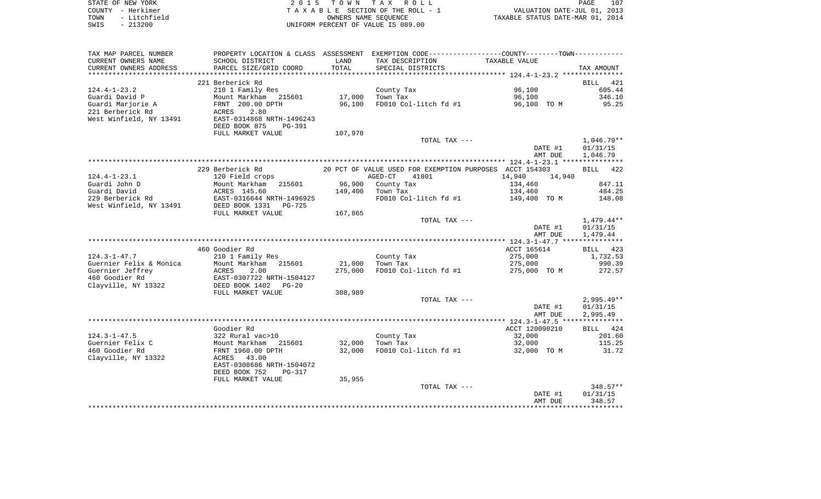| STATE OF NEW YORK    | 2015 TOWN TAX ROLL                 | 107<br>PAGE                      |
|----------------------|------------------------------------|----------------------------------|
| COUNTY - Herkimer    | TAXABLE SECTION OF THE ROLL - 1    | VALUATION DATE-JUL 01, 2013      |
| - Litchfield<br>TOWN | OWNERS NAME SEOUENCE               | TAXABLE STATUS DATE-MAR 01, 2014 |
| SWIS<br>- 213200     | UNIFORM PERCENT OF VALUE IS 089.00 |                                  |

 $\frac{107}{2013}$ <br>2014

| TAX MAP PARCEL NUMBER              | PROPERTY LOCATION & CLASS ASSESSMENT EXEMPTION CODE----------------COUNTY--------TOWN---------- |         |                                                         |                  |                        |
|------------------------------------|-------------------------------------------------------------------------------------------------|---------|---------------------------------------------------------|------------------|------------------------|
| CURRENT OWNERS NAME                | SCHOOL DISTRICT                                                                                 | LAND    | TAX DESCRIPTION                                         | TAXABLE VALUE    |                        |
| CURRENT OWNERS ADDRESS             | PARCEL SIZE/GRID COORD                                                                          | TOTAL   | SPECIAL DISTRICTS                                       |                  | TAX AMOUNT             |
| *********************              |                                                                                                 |         |                                                         |                  |                        |
|                                    | 221 Berberick Rd                                                                                |         |                                                         |                  | BILL 421               |
| $124.4 - 1 - 23.2$                 | 210 1 Family Res                                                                                |         | County Tax                                              | 96,100           | 605.44                 |
| Guardi David P                     | Mount Markham 215601                                                                            | 17,000  | Town Tax                                                | 96,100           | 346.10                 |
| Guardi Marjorie A                  | FRNT 200.00 DPTH                                                                                | 96,100  | FD010 Col-litch fd #1                                   | 96,100 TO M      | 95.25                  |
| 221 Berberick Rd                   | ACRES<br>2.80                                                                                   |         |                                                         |                  |                        |
| West Winfield, NY 13491            | EAST-0314868 NRTH-1496243                                                                       |         |                                                         |                  |                        |
|                                    | DEED BOOK 875<br>PG-391                                                                         |         |                                                         |                  |                        |
|                                    | FULL MARKET VALUE                                                                               | 107,978 |                                                         |                  |                        |
|                                    |                                                                                                 |         | TOTAL TAX ---                                           | DATE #1          | 1,046.79**<br>01/31/15 |
|                                    |                                                                                                 |         |                                                         | AMT DUE          | 1,046.79               |
|                                    |                                                                                                 |         |                                                         |                  |                        |
|                                    | 229 Berberick Rd                                                                                |         | 20 PCT OF VALUE USED FOR EXEMPTION PURPOSES ACCT 154303 |                  | BILL 422               |
| $124.4 - 1 - 23.1$                 | 120 Field crops                                                                                 |         | 41801<br>AGED-CT                                        | 14,940<br>14,940 |                        |
| Guardi John D                      | Mount Markham<br>215601                                                                         | 96,900  | County Tax                                              | 134,460          | 847.11                 |
| Guardi David                       | ACRES 145.60                                                                                    | 149,400 | Town Tax                                                | 134,460          | 484.25                 |
| 229 Berberick Rd                   | EAST-0316644 NRTH-1496925                                                                       |         | FD010 Col-litch fd #1                                   | 149,400 TO M     | 148.08                 |
| West Winfield, NY 13491            | DEED BOOK 1331<br>PG-725                                                                        |         |                                                         |                  |                        |
|                                    | FULL MARKET VALUE                                                                               | 167,865 |                                                         |                  |                        |
|                                    |                                                                                                 |         | TOTAL TAX ---                                           |                  | 1,479.44**             |
|                                    |                                                                                                 |         |                                                         | DATE #1          | 01/31/15               |
|                                    |                                                                                                 |         |                                                         | AMT DUE          | 1,479.44               |
|                                    |                                                                                                 |         |                                                         |                  |                        |
|                                    | 460 Goodier Rd                                                                                  |         |                                                         | ACCT 165614      | BILL 423               |
| $124.3 - 1 - 47.7$                 | 210 1 Family Res                                                                                |         | County Tax                                              | 275,000          | 1,732.53               |
| Guernier Felix & Monica            | Mount Markham 215601                                                                            | 21,000  | Town Tax                                                | 275,000          | 990.39                 |
| Guernier Jeffrey<br>460 Goodier Rd | ACRES<br>2.00<br>EAST-0307722 NRTH-1504127                                                      | 275,000 | FD010 Col-litch fd #1                                   | 275,000 TO M     | 272.57                 |
| Clayville, NY 13322                | DEED BOOK 1402<br>$PG-20$                                                                       |         |                                                         |                  |                        |
|                                    | FULL MARKET VALUE                                                                               | 308,989 |                                                         |                  |                        |
|                                    |                                                                                                 |         | TOTAL TAX ---                                           |                  | $2,995.49**$           |
|                                    |                                                                                                 |         |                                                         | DATE #1          | 01/31/15               |
|                                    |                                                                                                 |         |                                                         | AMT DUE          | 2,995.49               |
|                                    |                                                                                                 |         |                                                         |                  |                        |
|                                    | Goodier Rd                                                                                      |         |                                                         | ACCT 120090210   | BILL 424               |
| $124.3 - 1 - 47.5$                 | 322 Rural vac>10                                                                                |         | County Tax                                              | 32,000           | 201.60                 |
| Guernier Felix C                   | Mount Markham<br>215601                                                                         | 32,000  | Town Tax                                                | 32,000           | 115.25                 |
| 460 Goodier Rd                     | FRNT 1960.00 DPTH                                                                               | 32,000  | FD010 Col-litch fd #1                                   | 32,000 TO M      | 31.72                  |
| Clayville, NY 13322                | 43.00<br>ACRES                                                                                  |         |                                                         |                  |                        |
|                                    | EAST-0308686 NRTH-1504072                                                                       |         |                                                         |                  |                        |
|                                    | DEED BOOK 752<br><b>PG-317</b>                                                                  | 35,955  |                                                         |                  |                        |
|                                    | FULL MARKET VALUE                                                                               |         | TOTAL TAX ---                                           |                  | $348.57**$             |
|                                    |                                                                                                 |         |                                                         | DATE #1          | 01/31/15               |
|                                    |                                                                                                 |         |                                                         | AMT DUE          | 348.57                 |
|                                    |                                                                                                 |         |                                                         |                  |                        |
|                                    |                                                                                                 |         |                                                         |                  |                        |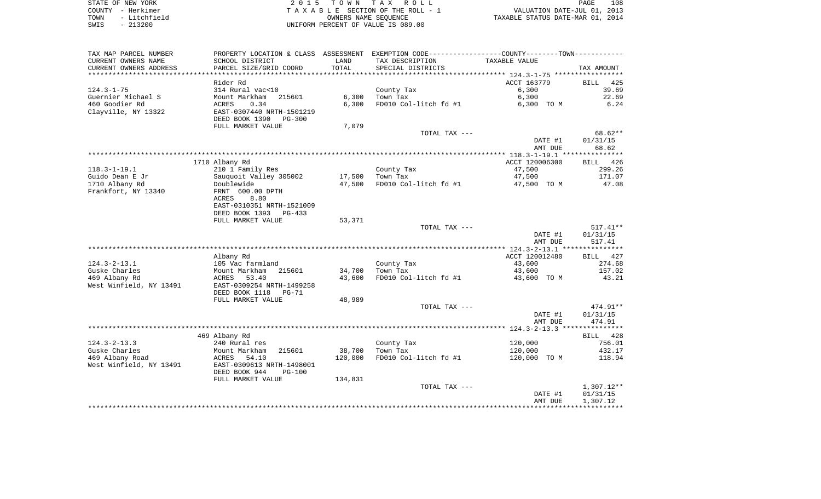| STATE OF NEW YORK    | 2015 TOWN TAX ROLL                 | 108<br>PAGE                      |
|----------------------|------------------------------------|----------------------------------|
| COUNTY - Herkimer    | TAXABLE SECTION OF THE ROLL - 1    | VALUATION DATE-JUL 01, 2013      |
| - Litchfield<br>TOWN | OWNERS NAME SEOUENCE               | TAXABLE STATUS DATE-MAR 01, 2014 |
| SWIS<br>- 213200     | UNIFORM PERCENT OF VALUE IS 089.00 |                                  |

| TAX MAP PARCEL NUMBER   |                                |         | PROPERTY LOCATION & CLASS ASSESSMENT EXEMPTION CODE---------------COUNTY-------TOWN--------- |                |                    |
|-------------------------|--------------------------------|---------|----------------------------------------------------------------------------------------------|----------------|--------------------|
| CURRENT OWNERS NAME     | SCHOOL DISTRICT                | LAND    | TAX DESCRIPTION                                                                              | TAXABLE VALUE  |                    |
| CURRENT OWNERS ADDRESS  | PARCEL SIZE/GRID COORD         | TOTAL   | SPECIAL DISTRICTS                                                                            |                | TAX AMOUNT         |
|                         |                                |         |                                                                                              |                |                    |
|                         | Rider Rd                       |         |                                                                                              | ACCT 163779    | 425<br><b>BILL</b> |
| $124.3 - 1 - 75$        | 314 Rural vac<10               |         | County Tax                                                                                   | 6,300          | 39.69              |
| Guernier Michael S      | Mount Markham<br>215601        | 6,300   | Town Tax                                                                                     | 6,300          | 22.69              |
| 460 Goodier Rd          | 0.34<br>ACRES                  | 6,300   | FD010 Col-litch fd #1                                                                        | 6,300 TO M     | 6.24               |
| Clayville, NY 13322     | EAST-0307440 NRTH-1501219      |         |                                                                                              |                |                    |
|                         | DEED BOOK 1390<br>PG-300       |         |                                                                                              |                |                    |
|                         | FULL MARKET VALUE              | 7,079   |                                                                                              |                |                    |
|                         |                                |         | TOTAL TAX ---                                                                                |                | 68.62**            |
|                         |                                |         |                                                                                              | DATE #1        | 01/31/15           |
|                         |                                |         |                                                                                              | AMT DUE        | 68.62              |
|                         |                                |         |                                                                                              |                |                    |
|                         | 1710 Albany Rd                 |         |                                                                                              | ACCT 120006300 | BILL 426           |
| $118.3 - 1 - 19.1$      | 210 1 Family Res               |         | County Tax                                                                                   | 47,500         | 299.26             |
| Guido Dean E Jr         | Sauquoit Valley 305002         | 17,500  | Town Tax                                                                                     | 47,500         | 171.07             |
| 1710 Albany Rd          | Doublewide                     | 47,500  | FD010 Col-litch fd #1                                                                        | 47,500 TO M    | 47.08              |
| Frankfort, NY 13340     | FRNT 600.00 DPTH               |         |                                                                                              |                |                    |
|                         | 8.80<br>ACRES                  |         |                                                                                              |                |                    |
|                         | EAST-0310351 NRTH-1521009      |         |                                                                                              |                |                    |
|                         | DEED BOOK 1393<br>PG-433       |         |                                                                                              |                |                    |
|                         | FULL MARKET VALUE              | 53,371  |                                                                                              |                |                    |
|                         |                                |         | TOTAL TAX ---                                                                                |                | $517.41**$         |
|                         |                                |         |                                                                                              | DATE #1        | 01/31/15           |
|                         |                                |         |                                                                                              | AMT DUE        | 517.41             |
|                         |                                |         |                                                                                              |                |                    |
|                         | Albany Rd                      |         |                                                                                              | ACCT 120012480 | 427<br><b>BILL</b> |
| $124.3 - 2 - 13.1$      | 105 Vac farmland               |         | County Tax                                                                                   | 43,600         | 274.68             |
| Guske Charles           | Mount Markham<br>215601        | 34,700  | Town Tax                                                                                     | 43,600         | 157.02             |
| 469 Albany Rd           | ACRES<br>53.40                 | 43,600  | FD010 Col-litch fd #1                                                                        | 43,600 TO M    | 43.21              |
| West Winfield, NY 13491 | EAST-0309254 NRTH-1499258      |         |                                                                                              |                |                    |
|                         | DEED BOOK 1118<br><b>PG-71</b> |         |                                                                                              |                |                    |
|                         | FULL MARKET VALUE              | 48,989  |                                                                                              |                |                    |
|                         |                                |         | TOTAL TAX ---                                                                                |                | $474.91**$         |
|                         |                                |         |                                                                                              | DATE #1        | 01/31/15           |
|                         |                                |         |                                                                                              | AMT DUE        | 474.91             |
|                         |                                |         |                                                                                              |                |                    |
|                         | 469 Albany Rd                  |         |                                                                                              |                | BILL 428           |
| $124.3 - 2 - 13.3$      | 240 Rural res                  |         | County Tax                                                                                   | 120,000        | 756.01             |
| Guske Charles           | 215601<br>Mount Markham        | 38,700  | Town Tax                                                                                     | 120,000        | 432.17             |
| 469 Albany Road         | 54.10<br>ACRES                 | 120,000 | FD010 Col-litch fd #1                                                                        | 120,000 TO M   | 118.94             |
| West Winfield, NY 13491 | EAST-0309613 NRTH-1498001      |         |                                                                                              |                |                    |
|                         | DEED BOOK 944<br>$PG-100$      |         |                                                                                              |                |                    |
|                         | FULL MARKET VALUE              | 134,831 |                                                                                              |                |                    |
|                         |                                |         | TOTAL TAX ---                                                                                |                | 1,307.12**         |
|                         |                                |         |                                                                                              | DATE #1        | 01/31/15           |
|                         |                                |         |                                                                                              | AMT DUE        | 1,307.12           |
|                         |                                |         |                                                                                              |                |                    |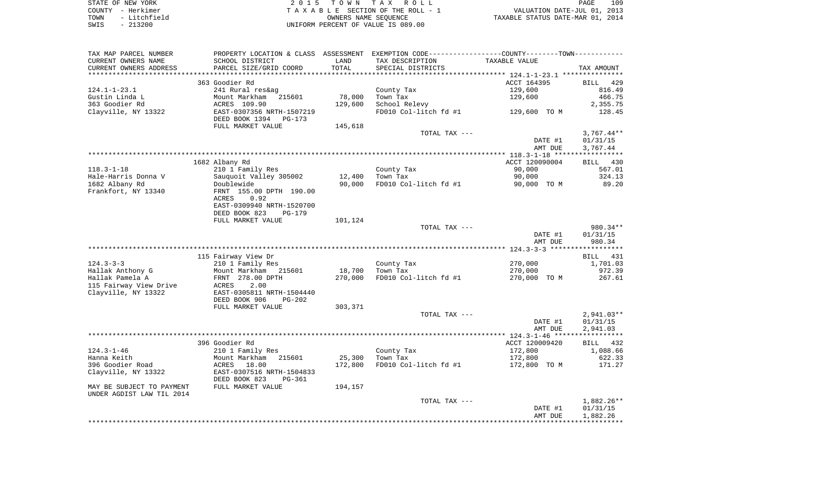| STATE OF NEW YORK    | 2015 TOWN TAX ROLL                 | 109<br>PAGE                      |
|----------------------|------------------------------------|----------------------------------|
| COUNTY - Herkimer    | TAXABLE SECTION OF THE ROLL - 1    | VALUATION DATE-JUL 01, 2013      |
| - Litchfield<br>TOWN | OWNERS NAME SEOUENCE               | TAXABLE STATUS DATE-MAR 01, 2014 |
| $-213200$<br>SWIS    | UNIFORM PERCENT OF VALUE IS 089.00 |                                  |

| TAX MAP PARCEL NUMBER                   |                                      |         |                        | PROPERTY LOCATION & CLASS ASSESSMENT EXEMPTION CODE---------------COUNTY-------TOWN---------- |              |
|-----------------------------------------|--------------------------------------|---------|------------------------|-----------------------------------------------------------------------------------------------|--------------|
| CURRENT OWNERS NAME                     | SCHOOL DISTRICT                      | LAND    | TAX DESCRIPTION        | TAXABLE VALUE                                                                                 |              |
| CURRENT OWNERS ADDRESS                  | PARCEL SIZE/GRID COORD               | TOTAL   | SPECIAL DISTRICTS      |                                                                                               | TAX AMOUNT   |
|                                         |                                      |         |                        |                                                                                               |              |
|                                         | 363 Goodier Rd                       |         |                        | ACCT 164395                                                                                   | BILL 429     |
| $124.1 - 1 - 23.1$                      | 241 Rural res&ag                     |         | County Tax             | 129,600                                                                                       | 816.49       |
| Gustin Linda L                          | Mount Markham 215601                 | 78,000  | Town Tax               | 129,600                                                                                       | 466.75       |
| 363 Goodier Rd                          | ACRES 109.90                         | 129,600 | School Relevy          |                                                                                               | 2,355.75     |
| Clayville, NY 13322                     | EAST-0307356 NRTH-1507219            |         | FD010 Col-litch fd #1  | 129,600 TO M                                                                                  | 128.45       |
|                                         | DEED BOOK 1394 PG-173                |         |                        |                                                                                               |              |
|                                         | FULL MARKET VALUE                    | 145,618 |                        |                                                                                               |              |
|                                         |                                      |         | TOTAL TAX ---          |                                                                                               | $3,767.44**$ |
|                                         |                                      |         |                        | DATE #1                                                                                       | 01/31/15     |
|                                         |                                      |         |                        | AMT DUE                                                                                       | 3,767.44     |
|                                         |                                      |         |                        |                                                                                               |              |
|                                         | 1682 Albany Rd                       |         |                        | ACCT 120090004                                                                                | BILL 430     |
| $118.3 - 1 - 18$                        | 210 1 Family Res                     |         | County Tax             | 90,000                                                                                        | 567.01       |
| Hale-Harris Donna V                     | Sauquoit Valley 305002<br>Doublewide | 12,400  | Town Tax               | 90,000                                                                                        | 324.13       |
| 1682 Albany Rd                          |                                      | 90,000  | FD010 Col-litch fd #1  | 90,000 TO M                                                                                   | 89.20        |
| Frankfort, NY 13340                     | FRNT 155.00 DPTH 190.00              |         |                        |                                                                                               |              |
|                                         | 0.92<br>ACRES                        |         |                        |                                                                                               |              |
|                                         | EAST-0309940 NRTH-1520700            |         |                        |                                                                                               |              |
|                                         | DEED BOOK 823<br>PG-179              |         |                        |                                                                                               |              |
|                                         | FULL MARKET VALUE                    | 101,124 |                        |                                                                                               |              |
|                                         |                                      |         | TOTAL TAX ---          |                                                                                               | 980.34**     |
|                                         |                                      |         |                        | DATE #1                                                                                       | 01/31/15     |
|                                         |                                      |         |                        | AMT DUE                                                                                       | 980.34       |
|                                         |                                      |         |                        |                                                                                               |              |
|                                         | 115 Fairway View Dr                  |         |                        |                                                                                               | BILL 431     |
| $124.3 - 3 - 3$                         | 210 1 Family Res                     |         | County Tax             | 270,000                                                                                       | 1,701.03     |
| Hallak Anthony G                        | Mount Markham 215601                 | 18,700  | Town Tax               | 270,000                                                                                       | 972.39       |
| Hallak Pamela A                         | FRNT 278.00 DPTH                     | 270,000 | FD010 Col-litch fd #1  | 270,000 TO M                                                                                  | 267.61       |
| 115 Fairway View Drive                  | 2.00<br>ACRES                        |         |                        |                                                                                               |              |
| Clayville, NY 13322                     | EAST-0305811 NRTH-1504440            |         |                        |                                                                                               |              |
|                                         | DEED BOOK 906<br>PG-202              |         |                        |                                                                                               |              |
|                                         | FULL MARKET VALUE                    | 303,371 |                        |                                                                                               |              |
|                                         |                                      |         | TOTAL TAX ---          |                                                                                               | $2,941.03**$ |
|                                         |                                      |         |                        | DATE #1                                                                                       | 01/31/15     |
|                                         |                                      |         |                        | AMT DUE                                                                                       | 2,941.03     |
|                                         | 396 Goodier Rd                       |         |                        | ACCT 120009420                                                                                |              |
| $124.3 - 1 - 46$                        |                                      |         |                        |                                                                                               | BILL 432     |
| Hanna Keith                             | 210 1 Family Res<br>215601           |         | County Tax<br>Town Tax | 172,800                                                                                       | 1,088.66     |
|                                         | Mount Markham                        | 25,300  |                        | 172,800                                                                                       | 622.33       |
| 396 Goodier Road<br>Clayville, NY 13322 | ACRES 18.00                          | 172,800 | FD010 Col-litch fd #1  | 172,800 TO M                                                                                  | 171.27       |
|                                         | EAST-0307516 NRTH-1504833<br>PG-361  |         |                        |                                                                                               |              |
| MAY BE SUBJECT TO PAYMENT               | DEED BOOK 823<br>FULL MARKET VALUE   | 194,157 |                        |                                                                                               |              |
| UNDER AGDIST LAW TIL 2014               |                                      |         |                        |                                                                                               |              |
|                                         |                                      |         | TOTAL TAX ---          |                                                                                               | 1,882.26**   |
|                                         |                                      |         |                        | DATE #1                                                                                       | 01/31/15     |
|                                         |                                      |         |                        | AMT DUE                                                                                       | 1,882.26     |
|                                         |                                      |         |                        |                                                                                               |              |
|                                         |                                      |         |                        |                                                                                               |              |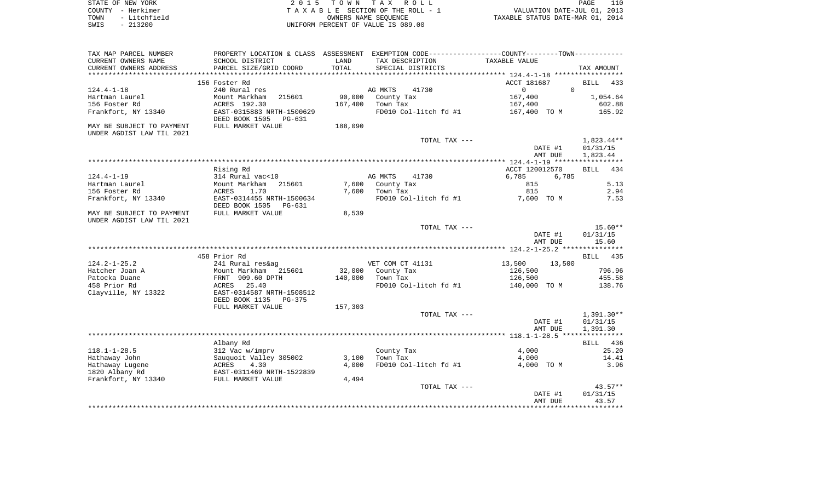| STATE OF NEW YORK    | 2015 TOWN TAX ROLL                 | PAGE                             |
|----------------------|------------------------------------|----------------------------------|
| COUNTY - Herkimer    | TAXABLE SECTION OF THE ROLL - 1    | VALUATION DATE-JUL 01, 2013      |
| - Litchfield<br>TOWN | OWNERS NAME SEOUENCE               | TAXABLE STATUS DATE-MAR 01, 2014 |
| $-213200$<br>SWIS    | UNIFORM PERCENT OF VALUE IS 089.00 |                                  |

| TAX MAP PARCEL NUMBER                                  |                                                       |         | PROPERTY LOCATION & CLASS ASSESSMENT EXEMPTION CODE---------------COUNTY-------TOWN---------- |                      |                                      |
|--------------------------------------------------------|-------------------------------------------------------|---------|-----------------------------------------------------------------------------------------------|----------------------|--------------------------------------|
| CURRENT OWNERS NAME                                    | SCHOOL DISTRICT                                       | LAND    | TAX DESCRIPTION                                                                               | TAXABLE VALUE        |                                      |
| CURRENT OWNERS ADDRESS                                 | PARCEL SIZE/GRID COORD                                | TOTAL   | SPECIAL DISTRICTS                                                                             |                      | TAX AMOUNT                           |
| **********************                                 |                                                       |         |                                                                                               |                      |                                      |
|                                                        | 156 Foster Rd                                         |         |                                                                                               | ACCT 181687          | 433<br>BILL                          |
| $124.4 - 1 - 18$                                       | 240 Rural res                                         |         | AG MKTS<br>41730                                                                              | $\Omega$<br>$\Omega$ |                                      |
| Hartman Laurel                                         | 215601<br>Mount Markham                               | 90,000  | County Tax                                                                                    | 167,400              | 1,054.64                             |
| 156 Foster Rd                                          | ACRES 192.30                                          | 167,400 | Town Tax                                                                                      | 167,400              | 602.88                               |
| Frankfort, NY 13340                                    | EAST-0315883 NRTH-1500629<br>DEED BOOK 1505<br>PG-631 |         | FD010 Col-litch fd #1                                                                         | 167,400 TO M         | 165.92                               |
| MAY BE SUBJECT TO PAYMENT                              | FULL MARKET VALUE                                     | 188,090 |                                                                                               |                      |                                      |
| UNDER AGDIST LAW TIL 2021                              |                                                       |         |                                                                                               |                      |                                      |
|                                                        |                                                       |         | TOTAL TAX ---                                                                                 | DATE #1<br>AMT DUE   | $1,823.44**$<br>01/31/15<br>1,823.44 |
|                                                        |                                                       |         |                                                                                               |                      |                                      |
|                                                        | Rising Rd                                             |         |                                                                                               | ACCT 120012570       | <b>BILL</b><br>434                   |
| $124.4 - 1 - 19$                                       | 314 Rural vac<10                                      |         | AG MKTS<br>41730                                                                              | 6,785<br>6,785       |                                      |
| Hartman Laurel                                         | Mount Markham<br>215601                               | 7,600   | County Tax                                                                                    | 815                  | 5.13                                 |
| 156 Foster Rd                                          | ACRES<br>1.70                                         | 7,600   | Town Tax                                                                                      | 815                  | 2.94                                 |
| Frankfort, NY 13340                                    | EAST-0314455 NRTH-1500634<br>DEED BOOK 1505<br>PG-631 |         | FD010 Col-litch fd #1                                                                         | 7,600 TO M           | 7.53                                 |
| MAY BE SUBJECT TO PAYMENT<br>UNDER AGDIST LAW TIL 2021 | FULL MARKET VALUE                                     | 8,539   |                                                                                               |                      |                                      |
|                                                        |                                                       |         | TOTAL TAX ---                                                                                 |                      | $15.60**$                            |
|                                                        |                                                       |         |                                                                                               | DATE #1<br>AMT DUE   | 01/31/15<br>15.60                    |
|                                                        |                                                       |         |                                                                                               |                      |                                      |
|                                                        | 458 Prior Rd                                          |         |                                                                                               |                      | <b>BILL</b><br>435                   |
| $124.2 - 1 - 25.2$                                     | 241 Rural res&ag                                      |         | VET COM CT 41131                                                                              | 13,500<br>13,500     |                                      |
| Hatcher Joan A                                         | Mount Markham 215601                                  | 32,000  | County Tax                                                                                    | 126,500              | 796.96                               |
| Patocka Duane                                          | FRNT 909.60 DPTH                                      | 140,000 | Town Tax                                                                                      | 126,500              | 455.58                               |
| 458 Prior Rd                                           | 25.40<br>ACRES                                        |         | FD010 Col-litch fd #1                                                                         | 140,000 TO M         | 138.76                               |
| Clayville, NY 13322                                    | EAST-0314587 NRTH-1508512                             |         |                                                                                               |                      |                                      |
|                                                        | DEED BOOK 1135<br>$PG-375$                            |         |                                                                                               |                      |                                      |
|                                                        | FULL MARKET VALUE                                     | 157,303 |                                                                                               |                      |                                      |
|                                                        |                                                       |         | TOTAL TAX ---                                                                                 |                      | $1,391.30**$                         |
|                                                        |                                                       |         |                                                                                               | DATE #1              | 01/31/15                             |
|                                                        |                                                       |         |                                                                                               | AMT DUE              | 1,391.30                             |
|                                                        |                                                       |         |                                                                                               |                      |                                      |
|                                                        | Albany Rd                                             |         |                                                                                               |                      | BILL 436                             |
| $118.1 - 1 - 28.5$                                     | 312 Vac w/imprv                                       |         | County Tax                                                                                    | 4,000                | 25.20                                |
| Hathaway John                                          | Sauguoit Valley 305002                                | 3,100   | Town Tax                                                                                      | 4,000                | 14.41                                |
| Hathaway Lugene                                        | ACRES<br>4.30                                         | 4,000   | FD010 Col-litch fd #1                                                                         | 4,000 TO M           | 3.96                                 |
| 1820 Albany Rd<br>Frankfort, NY 13340                  | EAST-0311469 NRTH-1522839                             |         |                                                                                               |                      |                                      |
|                                                        | FULL MARKET VALUE                                     | 4,494   | TOTAL TAX ---                                                                                 |                      | $43.57**$                            |
|                                                        |                                                       |         |                                                                                               | DATE #1              | 01/31/15                             |
|                                                        |                                                       |         |                                                                                               | AMT DUE              | 43.57                                |
|                                                        |                                                       |         |                                                                                               |                      |                                      |
|                                                        |                                                       |         |                                                                                               |                      |                                      |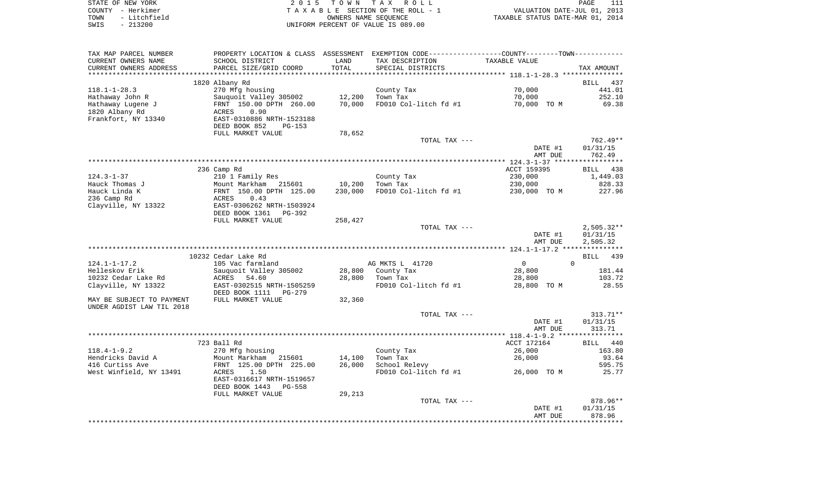| STATE OF NEW YORK    | 2015 TOWN TAX ROLL                 | PAGE                             |
|----------------------|------------------------------------|----------------------------------|
| COUNTY – Herkimer    | TAXABLE SECTION OF THE ROLL - 1    | VALUATION DATE-JUL 01, 2013      |
| - Litchfield<br>TOWN | OWNERS NAME SEOUENCE               | TAXABLE STATUS DATE-MAR 01, 2014 |
| SWIS<br>$-213200$    | UNIFORM PERCENT OF VALUE IS 089.00 |                                  |

| TAX MAP PARCEL NUMBER     | PROPERTY LOCATION & CLASS ASSESSMENT EXEMPTION CODE---------------COUNTY--------TOWN---------- |         |                       |                       |                    |
|---------------------------|------------------------------------------------------------------------------------------------|---------|-----------------------|-----------------------|--------------------|
| CURRENT OWNERS NAME       | SCHOOL DISTRICT                                                                                | LAND    | TAX DESCRIPTION       | TAXABLE VALUE         |                    |
| CURRENT OWNERS ADDRESS    | PARCEL SIZE/GRID COORD                                                                         | TOTAL   | SPECIAL DISTRICTS     |                       | TAX AMOUNT         |
|                           |                                                                                                |         |                       |                       |                    |
|                           | 1820 Albany Rd                                                                                 |         |                       |                       | BILL<br>437        |
| $118.1 - 1 - 28.3$        | 270 Mfg housing                                                                                |         | County Tax            | 70,000                | 441.01             |
| Hathaway John R           | Sauquoit Valley 305002                                                                         | 12,200  | Town Tax              | 70,000                | 252.10             |
| Hathaway Lugene J         | FRNT 150.00 DPTH 260.00                                                                        | 70,000  | FD010 Col-litch fd #1 | 70,000 TO M           | 69.38              |
| 1820 Albany Rd            | 0.90<br>ACRES                                                                                  |         |                       |                       |                    |
| Frankfort, NY 13340       | EAST-0310886 NRTH-1523188                                                                      |         |                       |                       |                    |
|                           | DEED BOOK 852<br>PG-153                                                                        |         |                       |                       |                    |
|                           | FULL MARKET VALUE                                                                              | 78,652  |                       |                       |                    |
|                           |                                                                                                |         | TOTAL TAX ---         |                       | 762.49**           |
|                           |                                                                                                |         |                       | DATE #1               | 01/31/15           |
|                           |                                                                                                |         |                       | AMT DUE               | 762.49             |
|                           | 236 Camp Rd                                                                                    |         |                       | ACCT 159395           | BILL               |
| $124.3 - 1 - 37$          | 210 1 Family Res                                                                               |         | County Tax            | 230,000               | 438<br>1,449.03    |
| Hauck Thomas J            | Mount Markham 215601                                                                           | 10,200  | Town Tax              | 230,000               | 828.33             |
| Hauck Linda K             | FRNT 150.00 DPTH 125.00                                                                        | 230,000 | FD010 Col-litch fd #1 | 230,000 TO M          | 227.96             |
| 236 Camp Rd               | 0.43<br>ACRES                                                                                  |         |                       |                       |                    |
| Clayville, NY 13322       | EAST-0306262 NRTH-1503924                                                                      |         |                       |                       |                    |
|                           | DEED BOOK 1361<br>PG-392                                                                       |         |                       |                       |                    |
|                           | FULL MARKET VALUE                                                                              | 258,427 |                       |                       |                    |
|                           |                                                                                                |         | TOTAL TAX ---         |                       | $2,505.32**$       |
|                           |                                                                                                |         |                       | DATE #1               | 01/31/15           |
|                           |                                                                                                |         |                       | AMT DUE               | 2,505.32           |
|                           |                                                                                                |         |                       |                       |                    |
|                           | 10232 Cedar Lake Rd                                                                            |         |                       |                       | 439<br>BILL        |
| $124.1 - 1 - 17.2$        | 105 Vac farmland                                                                               |         | AG MKTS L 41720       | $\overline{0}$        | $\Omega$           |
| Helleskov Erik            | Sauquoit Valley 305002                                                                         | 28,800  | County Tax            | 28,800                | 181.44             |
| 10232 Cedar Lake Rd       | ACRES<br>54.60                                                                                 | 28,800  | Town Tax              | 28,800                | 103.72             |
| Clayville, NY 13322       | EAST-0302515 NRTH-1505259                                                                      |         | FD010 Col-litch fd #1 | 28,800 TO M           | 28.55              |
|                           | DEED BOOK 1111<br>PG-279                                                                       |         |                       |                       |                    |
| MAY BE SUBJECT TO PAYMENT | FULL MARKET VALUE                                                                              | 32,360  |                       |                       |                    |
| UNDER AGDIST LAW TIL 2018 |                                                                                                |         |                       |                       |                    |
|                           |                                                                                                |         | TOTAL TAX ---         |                       | $313.71**$         |
|                           |                                                                                                |         |                       | DATE #1               | 01/31/15           |
|                           |                                                                                                |         |                       | AMT DUE               | 313.71             |
|                           |                                                                                                |         |                       |                       |                    |
| $118.4 - 1 - 9.2$         | 723 Ball Rd<br>270 Mfg housing                                                                 |         | County Tax            | ACCT 172164<br>26,000 | BILL 440<br>163.80 |
| Hendricks David A         | Mount Markham 215601                                                                           | 14,100  | Town Tax              | 26,000                | 93.64              |
| 416 Curtiss Ave           | FRNT 125.00 DPTH 225.00                                                                        | 26,000  | School Relevy         |                       | 595.75             |
| West Winfield, NY 13491   | 1.50<br>ACRES                                                                                  |         | FD010 Col-litch fd #1 | 26,000 TO M           | 25.77              |
|                           | EAST-0316617 NRTH-1519657                                                                      |         |                       |                       |                    |
|                           | DEED BOOK 1443<br>PG-558                                                                       |         |                       |                       |                    |
|                           | FULL MARKET VALUE                                                                              | 29,213  |                       |                       |                    |
|                           |                                                                                                |         | TOTAL TAX ---         |                       | 878.96**           |
|                           |                                                                                                |         |                       | DATE #1               | 01/31/15           |
|                           |                                                                                                |         |                       | AMT DUE               | 878.96             |
|                           |                                                                                                |         |                       |                       |                    |
|                           |                                                                                                |         |                       |                       |                    |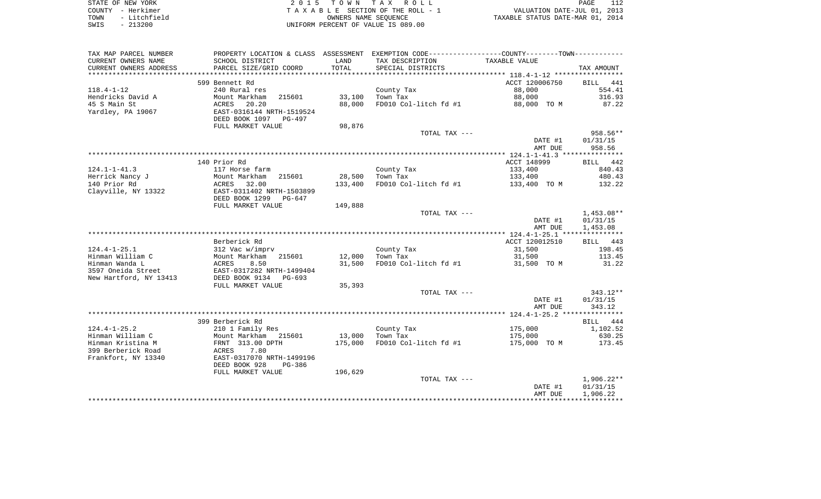| STATE OF NEW YORK |              | 2015 TOWN TAX ROLL                 |                      |  |                                  | PAGE |  |
|-------------------|--------------|------------------------------------|----------------------|--|----------------------------------|------|--|
| COUNTY - Herkimer |              | TAXABLE SECTION OF THE ROLL - 1    |                      |  | VALUATION DATE-JUL 01, 2013      |      |  |
| TOWN              | - Litchfield |                                    | OWNERS NAME SEOUENCE |  | TAXABLE STATUS DATE-MAR 01, 2014 |      |  |
| SWIS              | $-213200$    | UNIFORM PERCENT OF VALUE IS 089.00 |                      |  |                                  |      |  |

| TAX MAP PARCEL NUMBER                              | PROPERTY LOCATION & CLASS ASSESSMENT EXEMPTION CODE----------------COUNTY--------TOWN---------- |         |                       |                    |                      |
|----------------------------------------------------|-------------------------------------------------------------------------------------------------|---------|-----------------------|--------------------|----------------------|
| CURRENT OWNERS NAME                                | SCHOOL DISTRICT                                                                                 | LAND    | TAX DESCRIPTION       | TAXABLE VALUE      |                      |
| CURRENT OWNERS ADDRESS<br>************************ | PARCEL SIZE/GRID COORD                                                                          | TOTAL   | SPECIAL DISTRICTS     |                    | TAX AMOUNT           |
|                                                    | 599 Bennett Rd                                                                                  |         |                       | ACCT 120006750     | 441<br><b>BILL</b>   |
| $118.4 - 1 - 12$                                   | 240 Rural res                                                                                   |         | County Tax            | 88,000             | 554.41               |
| Hendricks David A                                  | 215601<br>Mount Markham                                                                         | 33,100  | Town Tax              | 88,000             | 316.93               |
| 45 S Main St                                       | 20.20<br>ACRES                                                                                  | 88,000  | FD010 Col-litch fd #1 | 88,000 TO M        | 87.22                |
| Yardley, PA 19067                                  | EAST-0316144 NRTH-1519524<br>DEED BOOK 1097<br>PG-497                                           |         |                       |                    |                      |
|                                                    | FULL MARKET VALUE                                                                               | 98,876  |                       |                    |                      |
|                                                    |                                                                                                 |         | TOTAL TAX ---         |                    | 958.56**             |
|                                                    |                                                                                                 |         |                       | DATE #1            | 01/31/15             |
|                                                    |                                                                                                 |         |                       | AMT DUE            | 958.56               |
|                                                    | 140 Prior Rd                                                                                    |         |                       | ACCT 148999        | BILL 442             |
| $124.1 - 1 - 41.3$                                 | 117 Horse farm                                                                                  |         | County Tax            | 133,400            | 840.43               |
| Herrick Nancy J                                    | Mount Markham<br>215601                                                                         | 28,500  | Town Tax              | 133,400            | 480.43               |
| 140 Prior Rd                                       | ACRES<br>32.00                                                                                  | 133,400 | FD010 Col-litch fd #1 | 133,400 TO M       | 132.22               |
| Clayville, NY 13322                                | EAST-0311402 NRTH-1503899                                                                       |         |                       |                    |                      |
|                                                    | DEED BOOK 1299<br>PG-647                                                                        |         |                       |                    |                      |
|                                                    | FULL MARKET VALUE                                                                               | 149,888 |                       |                    |                      |
|                                                    |                                                                                                 |         | TOTAL TAX ---         |                    | 1,453.08**           |
|                                                    |                                                                                                 |         |                       | DATE #1            | 01/31/15             |
|                                                    |                                                                                                 |         |                       | AMT DUE            | 1,453.08             |
|                                                    | Berberick Rd                                                                                    |         |                       | ACCT 120012510     | BILL 443             |
| $124.4 - 1 - 25.1$                                 | 312 Vac w/imprv                                                                                 |         | County Tax            | 31,500             | 198.45               |
| Hinman William C                                   | Mount Markham<br>215601                                                                         | 12,000  | Town Tax              | 31,500             | 113.45               |
| Hinman Wanda L                                     | ACRES<br>8.50                                                                                   | 31,500  | FD010 Col-litch fd #1 | 31,500 TO M        | 31.22                |
| 3597 Oneida Street                                 | EAST-0317282 NRTH-1499404                                                                       |         |                       |                    |                      |
| New Hartford, NY 13413                             | DEED BOOK 9134 PG-693                                                                           |         |                       |                    |                      |
|                                                    | FULL MARKET VALUE                                                                               | 35,393  |                       |                    |                      |
|                                                    |                                                                                                 |         | TOTAL TAX ---         |                    | 343.12**             |
|                                                    |                                                                                                 |         |                       | DATE #1            | 01/31/15             |
|                                                    |                                                                                                 |         |                       | AMT DUE            | 343.12               |
|                                                    | 399 Berberick Rd                                                                                |         |                       |                    | BILL 444             |
| $124.4 - 1 - 25.2$                                 | 210 1 Family Res                                                                                |         | County Tax            | 175,000            | 1,102.52             |
| Hinman William C                                   | Mount Markham<br>215601                                                                         | 13,000  | Town Tax              | 175,000            | 630.25               |
| Hinman Kristina M                                  | FRNT 313.00 DPTH                                                                                | 175,000 | FD010 Col-litch fd #1 | 175,000 TO M       | 173.45               |
| 399 Berberick Road                                 | 7.80<br>ACRES                                                                                   |         |                       |                    |                      |
| Frankfort, NY 13340                                | EAST-0317070 NRTH-1499196                                                                       |         |                       |                    |                      |
|                                                    | DEED BOOK 928<br>PG-386                                                                         |         |                       |                    |                      |
|                                                    | FULL MARKET VALUE                                                                               | 196,629 |                       |                    |                      |
|                                                    |                                                                                                 |         | TOTAL TAX ---         |                    | 1,906.22**           |
|                                                    |                                                                                                 |         |                       | DATE #1<br>AMT DUE | 01/31/15<br>1,906.22 |
|                                                    |                                                                                                 |         |                       |                    |                      |
|                                                    |                                                                                                 |         |                       |                    |                      |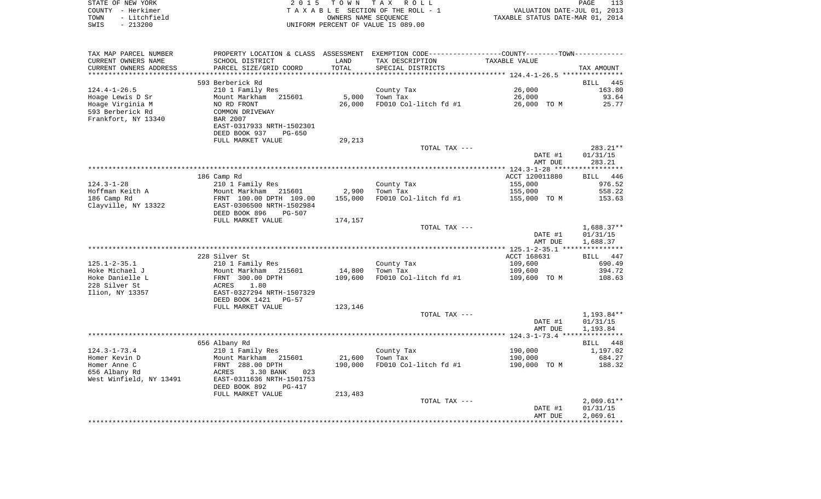| STATE OF NEW YORK    | 2015 TOWN TAX ROLL                 | 113<br>PAGE                      |
|----------------------|------------------------------------|----------------------------------|
| COUNTY – Herkimer    | TAXABLE SECTION OF THE ROLL - 1    | VALUATION DATE-JUL 01, 2013      |
| - Litchfield<br>TOWN | OWNERS NAME SEOUENCE               | TAXABLE STATUS DATE-MAR 01, 2014 |
| SWIS<br>- 213200     | UNIFORM PERCENT OF VALUE IS 089.00 |                                  |

| TAX MAP PARCEL NUMBER<br>CURRENT OWNERS NAME | PROPERTY LOCATION & CLASS ASSESSMENT EXEMPTION CODE---------------COUNTY-------TOWN----------<br>SCHOOL DISTRICT | LAND    | TAX DESCRIPTION       | TAXABLE VALUE  |                    |
|----------------------------------------------|------------------------------------------------------------------------------------------------------------------|---------|-----------------------|----------------|--------------------|
| CURRENT OWNERS ADDRESS                       | PARCEL SIZE/GRID COORD                                                                                           | TOTAL   | SPECIAL DISTRICTS     |                | TAX AMOUNT         |
|                                              |                                                                                                                  |         |                       |                |                    |
|                                              | 593 Berberick Rd                                                                                                 |         |                       |                | <b>BILL</b><br>445 |
| $124.4 - 1 - 26.5$                           | 210 1 Family Res                                                                                                 |         | County Tax            | 26,000         | 163.80             |
| Hoage Lewis D Sr                             | Mount Markham 215601                                                                                             | 5,000   | Town Tax              | 26,000         | 93.64              |
| Hoage Virginia M                             | NO RD FRONT                                                                                                      | 26,000  | FD010 Col-litch fd #1 | 26,000 TO M    | 25.77              |
| 593 Berberick Rd                             | COMMON DRIVEWAY                                                                                                  |         |                       |                |                    |
| Frankfort, NY 13340                          | BAR 2007                                                                                                         |         |                       |                |                    |
|                                              | EAST-0317933 NRTH-1502301                                                                                        |         |                       |                |                    |
|                                              | DEED BOOK 937<br>$PG-650$                                                                                        |         |                       |                |                    |
|                                              | FULL MARKET VALUE                                                                                                | 29,213  |                       |                |                    |
|                                              |                                                                                                                  |         | TOTAL TAX ---         |                | 283.21**           |
|                                              |                                                                                                                  |         |                       | DATE #1        | 01/31/15           |
|                                              |                                                                                                                  |         |                       | AMT DUE        | 283.21             |
|                                              |                                                                                                                  |         |                       |                |                    |
|                                              | 186 Camp Rd                                                                                                      |         |                       | ACCT 120011880 | BILL 446           |
| $124.3 - 1 - 28$                             | 210 1 Family Res                                                                                                 |         | County Tax            | 155,000        | 976.52             |
| Hoffman Keith A                              | Mount Markham 215601                                                                                             | 2,900   | Town Tax              | 155,000        | 558.22             |
| 186 Camp Rd                                  | FRNT 100.00 DPTH 109.00                                                                                          | 155,000 | FD010 Col-litch fd #1 | 155,000 TO M   | 153.63             |
| Clayville, NY 13322                          | EAST-0306500 NRTH-1502984                                                                                        |         |                       |                |                    |
|                                              | DEED BOOK 896<br>PG-507                                                                                          |         |                       |                |                    |
|                                              | FULL MARKET VALUE                                                                                                | 174,157 |                       |                |                    |
|                                              |                                                                                                                  |         | TOTAL TAX ---         |                | $1,688.37**$       |
|                                              |                                                                                                                  |         |                       | DATE #1        | 01/31/15           |
|                                              |                                                                                                                  |         |                       | AMT DUE        | 1,688.37           |
|                                              |                                                                                                                  |         |                       |                |                    |
|                                              | 228 Silver St                                                                                                    |         |                       | ACCT 168631    | BILL 447           |
| $125.1 - 2 - 35.1$                           | 210 1 Family Res                                                                                                 |         | County Tax            | 109,600        | 690.49             |
| Hoke Michael J                               | Mount Markham 215601                                                                                             | 14,800  | Town Tax              | 109,600        | 394.72             |
| Hoke Danielle L                              | FRNT 300.00 DPTH                                                                                                 | 109,600 | FD010 Col-litch fd #1 | 109,600 TO M   | 108.63             |
| 228 Silver St                                | 1.80<br>ACRES                                                                                                    |         |                       |                |                    |
| Ilion, NY 13357                              | EAST-0327294 NRTH-1507329<br>DEED BOOK 1421                                                                      |         |                       |                |                    |
|                                              | PG-57<br>FULL MARKET VALUE                                                                                       | 123,146 |                       |                |                    |
|                                              |                                                                                                                  |         | TOTAL TAX ---         |                | 1,193.84**         |
|                                              |                                                                                                                  |         |                       | DATE #1        | 01/31/15           |
|                                              |                                                                                                                  |         |                       | AMT DUE        | 1,193.84           |
|                                              |                                                                                                                  |         |                       |                |                    |
|                                              | 656 Albany Rd                                                                                                    |         |                       |                | BILL 448           |
| $124.3 - 1 - 73.4$                           | 210 1 Family Res                                                                                                 |         | County Tax            | 190,000        | 1,197.02           |
| Homer Kevin D                                | Mount Markham 215601                                                                                             | 21,600  | Town Tax              | 190,000        | 684.27             |
| Homer Anne C                                 | FRNT 288.00 DPTH                                                                                                 | 190,000 | FD010 Col-litch fd #1 | 190,000 TO M   | 188.32             |
| 656 Albany Rd                                | ACRES<br>3.30 BANK<br>023                                                                                        |         |                       |                |                    |
| West Winfield, NY 13491                      | EAST-0311636 NRTH-1501753                                                                                        |         |                       |                |                    |
|                                              | DEED BOOK 892<br><b>PG-417</b>                                                                                   |         |                       |                |                    |
|                                              | FULL MARKET VALUE                                                                                                | 213,483 |                       |                |                    |
|                                              |                                                                                                                  |         | TOTAL TAX ---         |                | $2,069.61**$       |
|                                              |                                                                                                                  |         |                       | DATE #1        | 01/31/15           |
|                                              |                                                                                                                  |         |                       | AMT DUE        | 2,069.61           |
|                                              |                                                                                                                  |         |                       |                |                    |
|                                              |                                                                                                                  |         |                       |                |                    |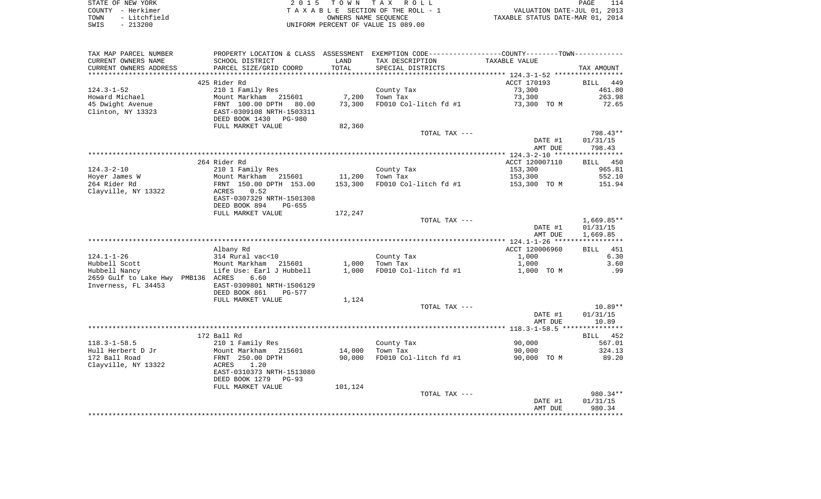| STATE OF NEW YORK    | 2015 TOWN TAX ROLL                 | PAGE                             |
|----------------------|------------------------------------|----------------------------------|
| COUNTY - Herkimer    | TAXABLE SECTION OF THE ROLL - 1    | VALUATION DATE-JUL 01, 2013      |
| - Litchfield<br>TOWN | OWNERS NAME SEOUENCE               | TAXABLE STATUS DATE-MAR 01, 2014 |
| $-213200$<br>SWIS    | UNIFORM PERCENT OF VALUE IS 089.00 |                                  |

 $\frac{114}{2013}$ <br>2014

| TAX MAP PARCEL NUMBER<br>CURRENT OWNERS NAME                               | SCHOOL DISTRICT                                                                                               | LAND           | PROPERTY LOCATION & CLASS ASSESSMENT EXEMPTION CODE---------------COUNTY-------TOWN----------<br>TAX DESCRIPTION | TAXABLE VALUE      |                                    |
|----------------------------------------------------------------------------|---------------------------------------------------------------------------------------------------------------|----------------|------------------------------------------------------------------------------------------------------------------|--------------------|------------------------------------|
| CURRENT OWNERS ADDRESS                                                     | PARCEL SIZE/GRID COORD                                                                                        | TOTAL          | SPECIAL DISTRICTS                                                                                                |                    | TAX AMOUNT                         |
|                                                                            |                                                                                                               |                |                                                                                                                  |                    |                                    |
|                                                                            | 425 Rider Rd                                                                                                  |                |                                                                                                                  | ACCT 170193        | BILL 449                           |
| 124.3-1-52                                                                 | 210 1 Family Res                                                                                              |                | County Tax                                                                                                       | 73,300             | 461.80                             |
| Howard Michael                                                             | Mount Markham 215601                                                                                          | 7,200          | Town Tax                                                                                                         | 73,300             | 263.98                             |
| 45 Dwight Avenue<br>Clinton, NY 13323                                      | FRNT 100.00 DPTH 80.00<br>EAST-0309108 NRTH-1503311<br>DEED BOOK 1430 PG-980                                  | 73,300         | FD010 Col-litch fd #1                                                                                            | 73,300 TO M        | 72.65                              |
|                                                                            | FULL MARKET VALUE                                                                                             | 82,360         |                                                                                                                  |                    |                                    |
|                                                                            |                                                                                                               |                | TOTAL TAX ---                                                                                                    | DATE #1<br>AMT DUE | 798.43**<br>01/31/15<br>798.43     |
|                                                                            |                                                                                                               |                |                                                                                                                  |                    |                                    |
|                                                                            | 264 Rider Rd                                                                                                  |                |                                                                                                                  | ACCT 120007110     | 450<br>BILL                        |
| 124.3-2-10                                                                 | 210 1 Family Res                                                                                              |                | County Tax                                                                                                       | 153,300            | 965.81                             |
| Hoyer James W                                                              | Mount Markham 215601                                                                                          |                | 11,200 Town Tax                                                                                                  | 153,300            | 552.10                             |
| 264 Rider Rd<br>Clayville, NY 13322                                        | FRNT 150.00 DPTH 153.00<br>0.52<br>ACRES<br>EAST-0307329 NRTH-1501308<br>DEED BOOK 894<br>$PG-655$            | 153,300        | FD010 Col-litch fd #1                                                                                            | 153,300 TO M       | 151.94                             |
|                                                                            | FULL MARKET VALUE                                                                                             | 172,247        |                                                                                                                  |                    |                                    |
|                                                                            |                                                                                                               |                | TOTAL TAX ---                                                                                                    | DATE #1<br>AMT DUE | 1,669.85**<br>01/31/15<br>1,669.85 |
|                                                                            |                                                                                                               |                |                                                                                                                  |                    |                                    |
|                                                                            | Albany Rd                                                                                                     |                |                                                                                                                  | ACCT 120006960     | BILL 451                           |
| 124.1-1-26                                                                 | 314 Rural vac<10                                                                                              |                | County Tax                                                                                                       | 1,000              | 6.30                               |
| Hubbell Scott                                                              | Mount Markham 215601                                                                                          | 1,000          | Town Tax                                                                                                         | 1,000              | 3.60                               |
| Hubbell Nancy<br>2659 Gulf to Lake Hwy PMB136 ACRES<br>Inverness, FL 34453 | Life Use: Earl J Hubbell<br>6.60<br>EAST-0309801 NRTH-1506129<br>DEED BOOK 861<br>PG-577<br>FULL MARKET VALUE | 1,000<br>1,124 | FD010 Col-litch fd #1                                                                                            | 1,000 TO M         | .99                                |
|                                                                            |                                                                                                               |                | TOTAL TAX ---                                                                                                    |                    | $10.89**$                          |
|                                                                            |                                                                                                               |                |                                                                                                                  | DATE #1            | 01/31/15                           |
|                                                                            |                                                                                                               |                |                                                                                                                  | AMT DUE            | 10.89                              |
|                                                                            |                                                                                                               |                |                                                                                                                  |                    |                                    |
|                                                                            | 172 Ball Rd                                                                                                   |                |                                                                                                                  |                    | BILL 452                           |
| $118.3 - 1 - 58.5$                                                         | 210 1 Family Res                                                                                              |                | County Tax                                                                                                       | 90,000             | 567.01                             |
| Hull Herbert D Jr                                                          | Mount Markham 215601                                                                                          | 14,000         | Town Tax                                                                                                         | 90,000             | 324.13                             |
| 172 Ball Road                                                              | FRNT 250.00 DPTH                                                                                              | 90,000         | FD010 Col-litch fd #1                                                                                            | 90,000 TO M        | 89.20                              |
| Clayville, NY 13322                                                        | ACRES<br>1.20<br>EAST-0310373 NRTH-1513080<br>DEED BOOK 1279 PG-93                                            |                |                                                                                                                  |                    |                                    |
|                                                                            | FULL MARKET VALUE                                                                                             | 101,124        |                                                                                                                  |                    |                                    |
|                                                                            |                                                                                                               |                | TOTAL TAX ---                                                                                                    |                    | 980.34**                           |
|                                                                            |                                                                                                               |                |                                                                                                                  | DATE #1<br>AMT DUE | 01/31/15<br>980.34                 |
|                                                                            |                                                                                                               |                |                                                                                                                  |                    |                                    |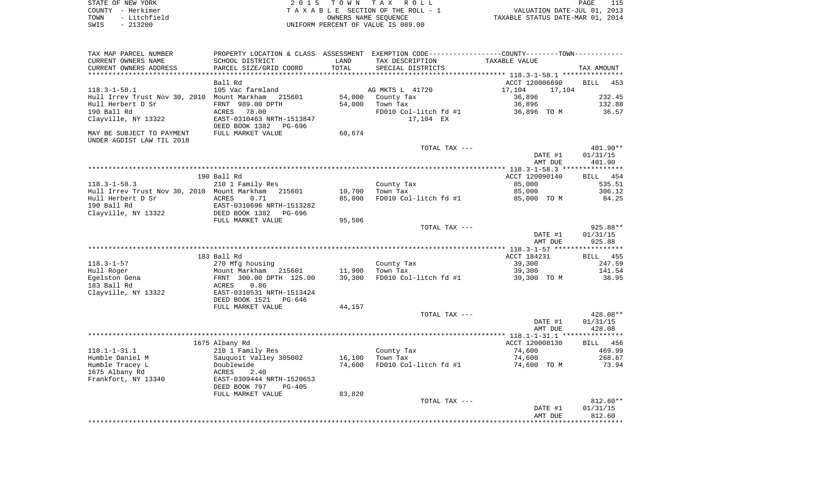| STATE OF NEW YORK |              | 2015 TOWN TAX ROLL                 |                      |                                  | PAGE |  |
|-------------------|--------------|------------------------------------|----------------------|----------------------------------|------|--|
| COUNTY            | – Herkimer   | TAXABLE SECTION OF THE ROLL - 1    |                      | VALUATION DATE-JUL 01, 2013      |      |  |
| TOWN              | - Litchfield |                                    | OWNERS NAME SEOUENCE | TAXABLE STATUS DATE-MAR 01, 2014 |      |  |
| $-213200$<br>SWIS |              | UNIFORM PERCENT OF VALUE IS 089.00 |                      |                                  |      |  |

| TAX MAP PARCEL NUMBER                       | PROPERTY LOCATION & CLASS ASSESSMENT EXEMPTION CODE----------------COUNTY--------TOWN----------- |        |                       |                  |                    |
|---------------------------------------------|--------------------------------------------------------------------------------------------------|--------|-----------------------|------------------|--------------------|
| CURRENT OWNERS NAME                         | SCHOOL DISTRICT                                                                                  | LAND   | TAX DESCRIPTION       | TAXABLE VALUE    |                    |
| CURRENT OWNERS ADDRESS                      | PARCEL SIZE/GRID COORD                                                                           | TOTAL  | SPECIAL DISTRICTS     |                  | TAX AMOUNT         |
|                                             |                                                                                                  |        |                       |                  |                    |
|                                             | Ball Rd                                                                                          |        |                       | ACCT 120006690   | <b>BILL</b><br>453 |
| $118.3 - 1 - 58.1$                          | 105 Vac farmland                                                                                 |        | AG MKTS L 41720       | 17,104<br>17,104 |                    |
| Hull Irrev Trust Nov 30, 2010 Mount Markham | 215601                                                                                           | 54,000 | County Tax            | 36,896           | 232.45             |
| Hull Herbert D Sr                           | FRNT 989.00 DPTH                                                                                 | 54,000 | Town Tax              | 36,896           | 132.88             |
| 190 Ball Rd                                 | ACRES<br>78.00                                                                                   |        | FD010 Col-litch fd #1 | 36,896 TO M      | 36.57              |
| Clayville, NY 13322                         | EAST-0310463 NRTH-1513847<br>DEED BOOK 1382<br>PG-696                                            |        | 17,104 EX             |                  |                    |
| MAY BE SUBJECT TO PAYMENT                   | FULL MARKET VALUE                                                                                | 60,674 |                       |                  |                    |
| UNDER AGDIST LAW TIL 2018                   |                                                                                                  |        |                       |                  |                    |
|                                             |                                                                                                  |        | TOTAL TAX ---         |                  | 401.90**           |
|                                             |                                                                                                  |        |                       | DATE #1          | 01/31/15           |
|                                             |                                                                                                  |        |                       | AMT DUE          | 401.90             |
|                                             |                                                                                                  |        |                       |                  |                    |
|                                             | 190 Ball Rd                                                                                      |        |                       | ACCT 120090140   | BILL 454           |
| $118.3 - 1 - 58.3$                          | 210 1 Family Res                                                                                 |        | County Tax            | 85,000           | 535.51             |
| Hull Irrev Trust Nov 30, 2010 Mount Markham | 215601                                                                                           | 10,700 | Town Tax              | 85,000           | 306.12             |
| Hull Herbert D Sr                           | ACRES<br>0.71                                                                                    | 85,000 | FD010 Col-litch fd #1 | 85,000 TO M      | 84.25              |
| 190 Ball Rd                                 | EAST-0310696 NRTH-1513282                                                                        |        |                       |                  |                    |
| Clayville, NY 13322                         | DEED BOOK 1382<br>PG-696                                                                         |        |                       |                  |                    |
|                                             | FULL MARKET VALUE                                                                                | 95,506 |                       |                  |                    |
|                                             |                                                                                                  |        | TOTAL TAX ---         |                  | 925.88**           |
|                                             |                                                                                                  |        |                       | DATE #1          | 01/31/15<br>925.88 |
|                                             |                                                                                                  |        |                       | AMT DUE          |                    |
|                                             | 183 Ball Rd                                                                                      |        |                       | ACCT 184231      | <b>BILL</b> 455    |
| $118.3 - 1 - 57$                            | 270 Mfg housing                                                                                  |        | County Tax            | 39,300           | 247.59             |
| Hull Roger                                  | Mount Markham 215601                                                                             | 11,900 | Town Tax              | 39,300           | 141.54             |
| Egelston Gena                               | FRNT 300.00 DPTH 125.00                                                                          | 39,300 | FD010 Col-litch fd #1 | 39,300 TO M      | 38.95              |
| 183 Ball Rd                                 | 0.86<br>ACRES                                                                                    |        |                       |                  |                    |
| Clayville, NY 13322                         | EAST-0310531 NRTH-1513424                                                                        |        |                       |                  |                    |
|                                             | DEED BOOK 1521<br>PG-646                                                                         |        |                       |                  |                    |
|                                             | FULL MARKET VALUE                                                                                | 44,157 |                       |                  |                    |
|                                             |                                                                                                  |        | TOTAL TAX ---         |                  | 428.08**           |
|                                             |                                                                                                  |        |                       | DATE #1          | 01/31/15           |
|                                             |                                                                                                  |        |                       | AMT DUE          | 428.08             |
|                                             |                                                                                                  |        |                       |                  |                    |
|                                             | 1675 Albany Rd                                                                                   |        |                       | ACCT 120008130   | 456<br>BILL        |
| $118.1 - 1 - 31.1$                          | 210 1 Family Res                                                                                 |        | County Tax            | 74,600           | 469.99             |
| Humble Daniel M                             | Sauquoit Valley 305002                                                                           | 16,100 | Town Tax              | 74,600           | 268.67             |
| Humble Tracey L                             | Doublewide                                                                                       | 74,600 | FD010 Col-litch fd #1 | 74,600 TO M      | 73.94              |
| 1675 Albany Rd                              | 2.40<br>ACRES                                                                                    |        |                       |                  |                    |
| Frankfort, NY 13340                         | EAST-0309444 NRTH-1520653                                                                        |        |                       |                  |                    |
|                                             | DEED BOOK 797<br>$PG-405$                                                                        |        |                       |                  |                    |
|                                             | FULL MARKET VALUE                                                                                | 83,820 |                       |                  |                    |
|                                             |                                                                                                  |        | TOTAL TAX ---         |                  | $812.60**$         |
|                                             |                                                                                                  |        |                       | DATE #1          | 01/31/15           |
|                                             |                                                                                                  |        |                       | AMT DUE          | 812.60             |
|                                             |                                                                                                  |        |                       |                  |                    |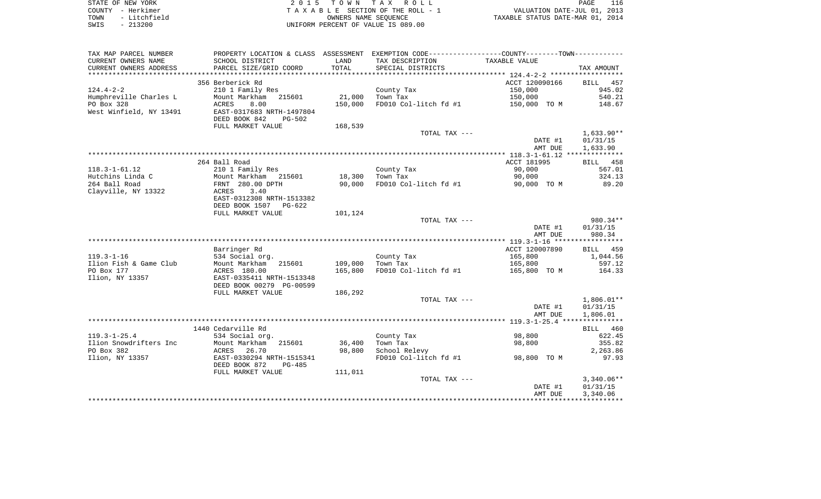| STATE OF NEW YORK    | 2015 TOWN TAX ROLL                 | PAGE                             |
|----------------------|------------------------------------|----------------------------------|
| COUNTY - Herkimer    | TAXABLE SECTION OF THE ROLL - 1    | VALUATION DATE-JUL 01, 2013      |
| - Litchfield<br>TOWN | OWNERS NAME SEOUENCE               | TAXABLE STATUS DATE-MAR 01, 2014 |
| $-213200$<br>SWIS    | UNIFORM PERCENT OF VALUE IS 089.00 |                                  |

 $\frac{116}{2013}$ <br> $\frac{2014}{2014}$ 

| TAX MAP PARCEL NUMBER   |                                          |         | PROPERTY LOCATION & CLASS ASSESSMENT EXEMPTION CODE----------------COUNTY--------TOWN---------- |                    |                      |
|-------------------------|------------------------------------------|---------|-------------------------------------------------------------------------------------------------|--------------------|----------------------|
| CURRENT OWNERS NAME     | SCHOOL DISTRICT                          | LAND    | TAX DESCRIPTION                                                                                 | TAXABLE VALUE      |                      |
| CURRENT OWNERS ADDRESS  | PARCEL SIZE/GRID COORD                   | TOTAL   | SPECIAL DISTRICTS                                                                               |                    | TAX AMOUNT           |
| *********************   | *************************                |         |                                                                                                 |                    |                      |
|                         | 356 Berberick Rd                         |         |                                                                                                 | ACCT 120090166     | BILL 457             |
| $124.4 - 2 - 2$         | 210 1 Family Res                         |         | County Tax                                                                                      | 150,000            | 945.02               |
| Humphreville Charles L  | Mount Markham 215601                     | 21,000  | Town Tax                                                                                        | 150,000            | 540.21               |
| PO Box 328              | 8.00<br>ACRES                            | 150,000 | FD010 Col-litch fd #1                                                                           | 150,000 TO M       | 148.67               |
| West Winfield, NY 13491 | EAST-0317683 NRTH-1497804                |         |                                                                                                 |                    |                      |
|                         | DEED BOOK 842<br>PG-502                  |         |                                                                                                 |                    |                      |
|                         | FULL MARKET VALUE                        | 168,539 |                                                                                                 |                    |                      |
|                         |                                          |         | TOTAL TAX ---                                                                                   |                    | $1,633.90**$         |
|                         |                                          |         |                                                                                                 | DATE #1            | 01/31/15             |
|                         |                                          |         |                                                                                                 | AMT DUE            | 1,633.90             |
|                         |                                          |         |                                                                                                 |                    |                      |
| $118.3 - 1 - 61.12$     | 264 Ball Road                            |         |                                                                                                 | ACCT 181995        | BILL 458             |
| Hutchins Linda C        | 210 1 Family Res<br>Mount Markham 215601 | 18,300  | County Tax<br>Town Tax                                                                          | 90,000<br>90,000   | 567.01<br>324.13     |
| 264 Ball Road           | FRNT 280.00 DPTH                         | 90,000  | FD010 Col-litch fd #1                                                                           | 90,000 TO M        | 89.20                |
| Clayville, NY 13322     | 3.40<br>ACRES                            |         |                                                                                                 |                    |                      |
|                         | EAST-0312308 NRTH-1513382                |         |                                                                                                 |                    |                      |
|                         | DEED BOOK 1507 PG-622                    |         |                                                                                                 |                    |                      |
|                         | FULL MARKET VALUE                        | 101,124 |                                                                                                 |                    |                      |
|                         |                                          |         | TOTAL TAX ---                                                                                   |                    | 980.34**             |
|                         |                                          |         |                                                                                                 | DATE #1            | 01/31/15             |
|                         |                                          |         |                                                                                                 | AMT DUE            | 980.34               |
|                         |                                          |         |                                                                                                 |                    |                      |
|                         | Barringer Rd                             |         |                                                                                                 | ACCT 120007890     | BILL 459             |
| $119.3 - 1 - 16$        | 534 Social org.                          |         | County Tax                                                                                      | 165,800            | 1,044.56             |
| Ilion Fish & Game Club  | Mount Markham 215601                     | 109,000 | Town Tax                                                                                        | 165,800            | 597.12               |
| PO Box 177              | ACRES 180.00                             | 165,800 | FD010 Col-litch fd #1                                                                           | 165,800 TO M       | 164.33               |
| Ilion, NY 13357         | EAST-0335411 NRTH-1513348                |         |                                                                                                 |                    |                      |
|                         | DEED BOOK 00279 PG-00599                 |         |                                                                                                 |                    |                      |
|                         | FULL MARKET VALUE                        | 186,292 |                                                                                                 |                    |                      |
|                         |                                          |         | TOTAL TAX ---                                                                                   |                    | $1,806.01**$         |
|                         |                                          |         |                                                                                                 | DATE #1            | 01/31/15             |
|                         |                                          |         |                                                                                                 | AMT DUE            | 1,806.01             |
|                         |                                          |         |                                                                                                 |                    |                      |
|                         | 1440 Cedarville Rd                       |         |                                                                                                 |                    | BILL 460             |
| $119.3 - 1 - 25.4$      | 534 Social org.                          |         | County Tax                                                                                      | 98,800             | 622.45               |
| Ilion Snowdrifters Inc  | Mount Markham 215601                     | 36,400  | Town Tax                                                                                        | 98,800             | 355.82               |
| PO Box 382              | 26.70<br>ACRES                           | 98,800  | School Relevy                                                                                   |                    | 2,263.86             |
| Ilion, NY 13357         | EAST-0330294 NRTH-1515341                |         | FD010 Col-litch fd #1                                                                           | 98,800 TO M        | 97.93                |
|                         | DEED BOOK 872<br>PG-485                  |         |                                                                                                 |                    |                      |
|                         | FULL MARKET VALUE                        | 111,011 |                                                                                                 |                    |                      |
|                         |                                          |         | TOTAL TAX ---                                                                                   |                    | $3,340.06**$         |
|                         |                                          |         |                                                                                                 | DATE #1<br>AMT DUE | 01/31/15<br>3,340.06 |
|                         |                                          |         |                                                                                                 |                    |                      |
|                         |                                          |         |                                                                                                 |                    |                      |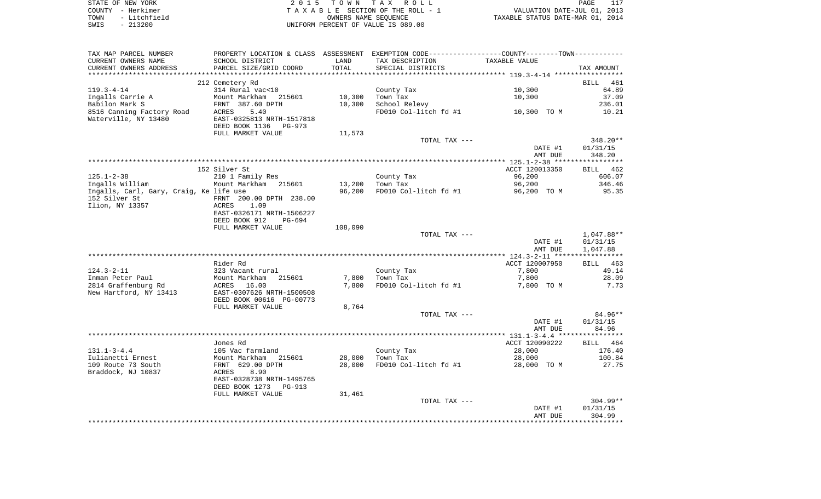| STATE OF NEW YORK    | 2015 TOWN TAX ROLL                 | PAGE                             |
|----------------------|------------------------------------|----------------------------------|
| COUNTY - Herkimer    | TAXABLE SECTION OF THE ROLL - 1    | VALUATION DATE-JUL 01, 2013      |
| - Litchfield<br>TOWN | OWNERS NAME SEOUENCE               | TAXABLE STATUS DATE-MAR 01, 2014 |
| - 213200<br>SWIS     | UNIFORM PERCENT OF VALUE IS 089.00 |                                  |

| TAX MAP PARCEL NUMBER                   | PROPERTY LOCATION & CLASS ASSESSMENT EXEMPTION CODE----------------COUNTY--------TOWN---------- |         |                                        |                |                 |
|-----------------------------------------|-------------------------------------------------------------------------------------------------|---------|----------------------------------------|----------------|-----------------|
| CURRENT OWNERS NAME                     | SCHOOL DISTRICT                                                                                 | LAND    | TAX DESCRIPTION                        | TAXABLE VALUE  |                 |
| CURRENT OWNERS ADDRESS                  | PARCEL SIZE/GRID COORD                                                                          | TOTAL   | SPECIAL DISTRICTS                      |                | TAX AMOUNT      |
|                                         |                                                                                                 |         |                                        |                |                 |
|                                         | 212 Cemetery Rd                                                                                 |         |                                        |                | BILL 461        |
| $119.3 - 4 - 14$                        | 314 Rural vac<10                                                                                |         | County Tax                             | 10,300         | 64.89           |
| Ingalls Carrie A<br>Babilon Mark S      | Mount Markham 215601                                                                            | 10,300  | Town Tax                               | 10,300         | 37.09           |
| 8516 Canning Factory Road               | FRNT 387.60 DPTH<br>ACRES<br>5.40                                                               | 10,300  | School Relevy<br>FD010 Col-litch fd #1 | 10,300 TO M    | 236.01<br>10.21 |
| Waterville, NY 13480                    | EAST-0325813 NRTH-1517818                                                                       |         |                                        |                |                 |
|                                         | DEED BOOK 1136<br>PG-973                                                                        |         |                                        |                |                 |
|                                         | FULL MARKET VALUE                                                                               | 11,573  |                                        |                |                 |
|                                         |                                                                                                 |         | TOTAL TAX ---                          |                | 348.20**        |
|                                         |                                                                                                 |         |                                        | DATE #1        | 01/31/15        |
|                                         |                                                                                                 |         |                                        | AMT DUE        | 348.20          |
|                                         |                                                                                                 |         |                                        |                |                 |
|                                         | 152 Silver St                                                                                   |         |                                        | ACCT 120013350 | BILL 462        |
| $125.1 - 2 - 38$                        | 210 1 Family Res                                                                                |         | County Tax                             | 96,200         | 606.07          |
| Ingalls William                         | Mount Markham 215601                                                                            | 13,200  | Town Tax                               | 96,200         | 346.46          |
| Ingalls, Carl, Gary, Craig, Ke life use |                                                                                                 | 96,200  | FD010 Col-litch fd #1                  | 96,200 TO M    | 95.35           |
| 152 Silver St<br>Ilion, NY 13357        | FRNT 200.00 DPTH 238.00<br>1.09<br>ACRES                                                        |         |                                        |                |                 |
|                                         | EAST-0326171 NRTH-1506227                                                                       |         |                                        |                |                 |
|                                         | DEED BOOK 912<br>PG-694                                                                         |         |                                        |                |                 |
|                                         | FULL MARKET VALUE                                                                               | 108,090 |                                        |                |                 |
|                                         |                                                                                                 |         | TOTAL TAX ---                          |                | 1,047.88**      |
|                                         |                                                                                                 |         |                                        | DATE #1        | 01/31/15        |
|                                         |                                                                                                 |         |                                        | AMT DUE        | 1,047.88        |
|                                         |                                                                                                 |         |                                        |                |                 |
|                                         | Rider Rd                                                                                        |         |                                        | ACCT 120007950 | BILL 463        |
| $124.3 - 2 - 11$                        | 323 Vacant rural                                                                                |         | County Tax                             | 7,800          | 49.14           |
| Inman Peter Paul                        | Mount Markham<br>ACRES 16.00<br>215601                                                          | 7,800   | Town Tax                               | 7,800          | 28.09           |
| 2814 Graffenburg Rd                     |                                                                                                 | 7,800   | FD010 Col-litch fd #1                  | 7,800 TO M     | 7.73            |
| New Hartford, NY 13413                  | EAST-0307626 NRTH-1500508<br>DEED BOOK 00616 PG-00773                                           |         |                                        |                |                 |
|                                         | FULL MARKET VALUE                                                                               | 8,764   |                                        |                |                 |
|                                         |                                                                                                 |         | TOTAL TAX ---                          |                | 84.96**         |
|                                         |                                                                                                 |         |                                        | DATE #1        | 01/31/15        |
|                                         |                                                                                                 |         |                                        | AMT DUE        | 84.96           |
|                                         |                                                                                                 |         |                                        |                |                 |
|                                         | Jones Rd                                                                                        |         |                                        | ACCT 120090222 | BILL 464        |
| $131.1 - 3 - 4.4$                       | 105 Vac farmland                                                                                |         | County Tax                             | 28,000         | 176.40          |
| Iulianetti Ernest                       | Mount Markham 215601                                                                            | 28,000  | Town Tax                               | 28,000         | 100.84          |
| 109 Route 73 South                      | FRNT 629.00 DPTH                                                                                | 28,000  | FD010 Col-litch fd #1                  | 28,000 TO M    | 27.75           |
| Braddock, NJ 10837                      | <b>ACRES</b><br>8.90                                                                            |         |                                        |                |                 |
|                                         | EAST-0328738 NRTH-1495765                                                                       |         |                                        |                |                 |
|                                         | DEED BOOK 1273 PG-913                                                                           |         |                                        |                |                 |
|                                         | FULL MARKET VALUE                                                                               | 31,461  | TOTAL TAX ---                          |                | $304.99**$      |
|                                         |                                                                                                 |         |                                        | DATE #1        | 01/31/15        |
|                                         |                                                                                                 |         |                                        | AMT DUE        | 304.99          |
|                                         |                                                                                                 |         |                                        |                |                 |
|                                         |                                                                                                 |         |                                        |                |                 |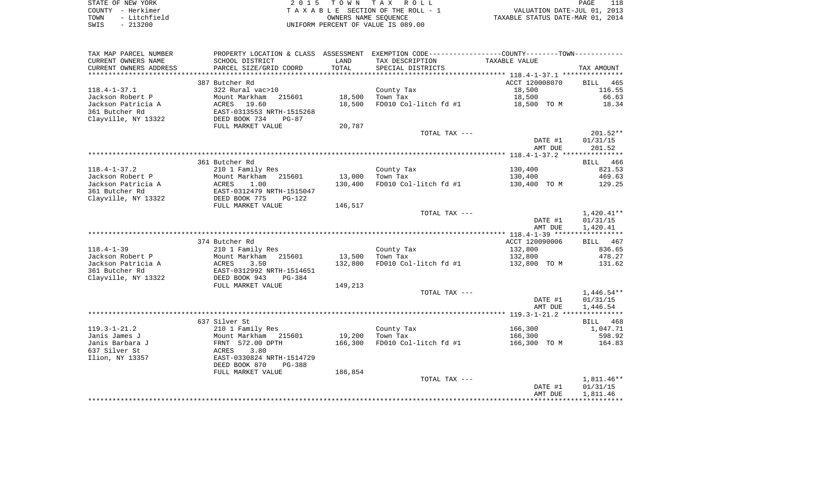| STATE OF NEW YORK    | 2015 TOWN TAX ROLL                 | PAGE                             |
|----------------------|------------------------------------|----------------------------------|
| COUNTY - Herkimer    | TAXABLE SECTION OF THE ROLL - 1    | VALUATION DATE-JUL 01, 2013      |
| - Litchfield<br>TOWN | OWNERS NAME SEOUENCE               | TAXABLE STATUS DATE-MAR 01, 2014 |
| $-213200$<br>SWIS    | UNIFORM PERCENT OF VALUE IS 089.00 |                                  |

| TAX MAP PARCEL NUMBER                |                                            |         | PROPERTY LOCATION & CLASS ASSESSMENT EXEMPTION CODE---------------COUNTY-------TOWN---------- |                |              |
|--------------------------------------|--------------------------------------------|---------|-----------------------------------------------------------------------------------------------|----------------|--------------|
| CURRENT OWNERS NAME                  | SCHOOL DISTRICT                            | LAND    | TAX DESCRIPTION                                                                               | TAXABLE VALUE  |              |
| CURRENT OWNERS ADDRESS               | PARCEL SIZE/GRID COORD                     | TOTAL   | SPECIAL DISTRICTS                                                                             |                | TAX AMOUNT   |
| **********************               |                                            |         |                                                                                               |                |              |
|                                      | 387 Butcher Rd                             |         |                                                                                               | ACCT 120008070 | BILL<br>465  |
| $118.4 - 1 - 37.1$                   | 322 Rural vac>10                           |         | County Tax                                                                                    | 18,500         | 116.55       |
| Jackson Robert P                     | Mount Markham<br>215601                    | 18,500  | Town Tax                                                                                      | 18,500         | 66.63        |
| Jackson Patricia A                   | 19.60<br>ACRES                             | 18,500  | FD010 Col-litch fd #1                                                                         | 18,500 TO M    | 18.34        |
| 361 Butcher Rd                       | EAST-0313553 NRTH-1515268                  |         |                                                                                               |                |              |
| Clayville, NY 13322                  | DEED BOOK 734<br>$PG-87$                   |         |                                                                                               |                |              |
|                                      | FULL MARKET VALUE                          | 20,787  |                                                                                               |                |              |
|                                      |                                            |         | TOTAL TAX ---                                                                                 |                | $201.52**$   |
|                                      |                                            |         |                                                                                               | DATE #1        | 01/31/15     |
|                                      |                                            |         |                                                                                               | AMT DUE        | 201.52       |
|                                      |                                            |         |                                                                                               |                |              |
|                                      | 361 Butcher Rd                             |         |                                                                                               |                | BILL 466     |
| $118.4 - 1 - 37.2$                   | 210 1 Family Res                           |         | County Tax                                                                                    | 130,400        | 821.53       |
| Jackson Robert P                     | Mount Markham<br>215601                    | 13,000  | Town Tax                                                                                      | 130,400        | 469.63       |
| Jackson Patricia A<br>361 Butcher Rd | ACRES<br>1.00<br>EAST-0312479 NRTH-1515047 | 130,400 | FD010 Col-litch fd #1                                                                         | 130,400 TO M   | 129.25       |
| Clayville, NY 13322                  | DEED BOOK 775<br>$PG-122$                  |         |                                                                                               |                |              |
|                                      | FULL MARKET VALUE                          | 146,517 |                                                                                               |                |              |
|                                      |                                            |         | TOTAL TAX ---                                                                                 |                | 1,420.41**   |
|                                      |                                            |         |                                                                                               | DATE #1        | 01/31/15     |
|                                      |                                            |         |                                                                                               | AMT DUE        | 1,420.41     |
|                                      |                                            |         |                                                                                               |                |              |
|                                      | 374 Butcher Rd                             |         |                                                                                               | ACCT 120090006 | BILL 467     |
| $118.4 - 1 - 39$                     | 210 1 Family Res                           |         | County Tax                                                                                    | 132,800        | 836.65       |
| Jackson Robert P                     | Mount Markham<br>215601                    | 13,500  | Town Tax                                                                                      | 132,800        | 478.27       |
| Jackson Patricia A                   | ACRES<br>3.50                              | 132,800 | FD010 Col-litch fd #1                                                                         | 132,800 TO M   | 131.62       |
| 361 Butcher Rd                       | EAST-0312992 NRTH-1514651                  |         |                                                                                               |                |              |
| Clayville, NY 13322                  | DEED BOOK 943<br>PG-384                    |         |                                                                                               |                |              |
|                                      | FULL MARKET VALUE                          | 149,213 |                                                                                               |                |              |
|                                      |                                            |         | TOTAL TAX ---                                                                                 |                | $1,446.54**$ |
|                                      |                                            |         |                                                                                               | DATE #1        | 01/31/15     |
|                                      |                                            |         |                                                                                               | AMT DUE        | 1,446.54     |
|                                      |                                            |         |                                                                                               |                |              |
|                                      | 637 Silver St                              |         |                                                                                               |                | BILL 468     |
| $119.3 - 1 - 21.2$                   | 210 1 Family Res                           |         | County Tax                                                                                    | 166,300        | 1,047.71     |
| Janis James J                        | Mount Markham 215601                       | 19,200  | Town Tax                                                                                      | 166,300        | 598.92       |
| Janis Barbara J<br>637 Silver St     | FRNT 572.00 DPTH<br>3.80<br>ACRES          | 166,300 | FD010 Col-litch fd #1                                                                         | 166,300 TO M   | 164.83       |
| Ilion, NY 13357                      | EAST-0330824 NRTH-1514729                  |         |                                                                                               |                |              |
|                                      | DEED BOOK 870<br>$PG-388$                  |         |                                                                                               |                |              |
|                                      | FULL MARKET VALUE                          | 186,854 |                                                                                               |                |              |
|                                      |                                            |         | TOTAL TAX ---                                                                                 |                | $1,811.46**$ |
|                                      |                                            |         |                                                                                               | DATE #1        | 01/31/15     |
|                                      |                                            |         |                                                                                               | AMT DUE        | 1,811.46     |
|                                      |                                            |         |                                                                                               |                |              |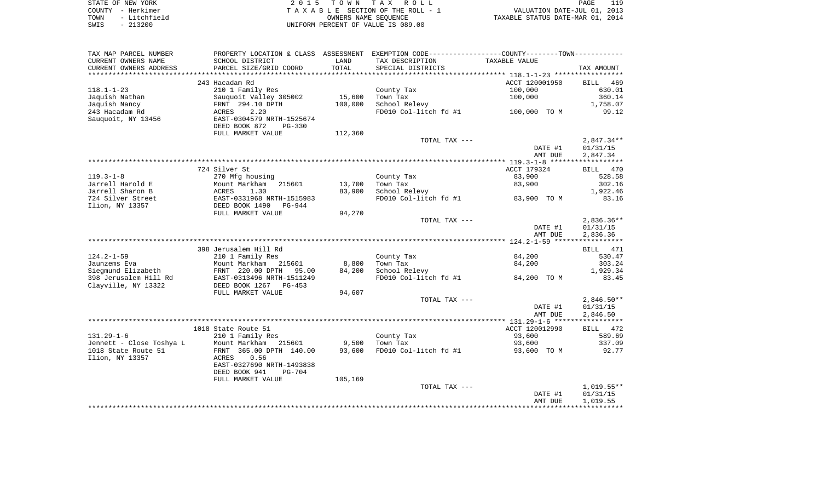| STATE OF NEW YORK |                   | 2015 TOWN TAX ROLL                 | 119<br>PAGE                      |
|-------------------|-------------------|------------------------------------|----------------------------------|
|                   | COUNTY - Herkimer | TAXABLE SECTION OF THE ROLL - 1    | VALUATION DATE-JUL 01, 2013      |
| TOWN              | - Litchfield      | OWNERS NAME SEOUENCE               | TAXABLE STATUS DATE-MAR 01, 2014 |
| SWIS              | $-213200$         | UNIFORM PERCENT OF VALUE IS 089.00 |                                  |

| TAX MAP PARCEL NUMBER    |                                |         | PROPERTY LOCATION & CLASS ASSESSMENT EXEMPTION CODE---------------COUNTY--------TOWN---------- |                |                    |
|--------------------------|--------------------------------|---------|------------------------------------------------------------------------------------------------|----------------|--------------------|
| CURRENT OWNERS NAME      | SCHOOL DISTRICT                | LAND    | TAX DESCRIPTION                                                                                | TAXABLE VALUE  |                    |
| CURRENT OWNERS ADDRESS   | PARCEL SIZE/GRID COORD         | TOTAL   | SPECIAL DISTRICTS                                                                              |                | TAX AMOUNT         |
| ********************     |                                |         |                                                                                                |                |                    |
|                          | 243 Hacadam Rd                 |         |                                                                                                | ACCT 120001950 | <b>BILL</b><br>469 |
| $118.1 - 1 - 23$         | 210 1 Family Res               |         | County Tax                                                                                     | 100,000        | 630.01             |
| Jaquish Nathan           | Sauquoit Valley 305002         | 15,600  | Town Tax                                                                                       | 100,000        | 360.14             |
| Jaquish Nancy            | FRNT 294.10 DPTH               | 100,000 | School Relevy                                                                                  |                | 1,758.07           |
| 243 Hacadam Rd           | 2.20<br>ACRES                  |         | FD010 Col-litch fd #1                                                                          | 100,000 TO M   | 99.12              |
| Sauquoit, NY 13456       | EAST-0304579 NRTH-1525674      |         |                                                                                                |                |                    |
|                          | DEED BOOK 872<br><b>PG-330</b> |         |                                                                                                |                |                    |
|                          | FULL MARKET VALUE              | 112,360 |                                                                                                |                |                    |
|                          |                                |         | TOTAL TAX ---                                                                                  |                | $2,847.34**$       |
|                          |                                |         |                                                                                                | DATE #1        | 01/31/15           |
|                          |                                |         |                                                                                                | AMT DUE        | 2,847.34           |
|                          |                                |         |                                                                                                |                |                    |
|                          | 724 Silver St                  |         |                                                                                                | ACCT 179324    | BILL 470           |
| $119.3 - 1 - 8$          | 270 Mfg housing                |         | County Tax                                                                                     | 83,900         | 528.58             |
| Jarrell Harold E         | Mount Markham<br>215601        | 13,700  | Town Tax                                                                                       | 83,900         | 302.16             |
| Jarrell Sharon B         | ACRES<br>1.30                  | 83,900  | School Relevy                                                                                  |                | 1,922.46           |
| 724 Silver Street        | EAST-0331968 NRTH-1515983      |         | FD010 Col-litch fd #1                                                                          | 83,900 TO M    | 83.16              |
| Ilion, NY 13357          | DEED BOOK 1490<br>PG-944       |         |                                                                                                |                |                    |
|                          | FULL MARKET VALUE              | 94,270  |                                                                                                |                |                    |
|                          |                                |         | TOTAL TAX ---                                                                                  |                | $2,836.36**$       |
|                          |                                |         |                                                                                                | DATE #1        | 01/31/15           |
|                          |                                |         |                                                                                                | AMT DUE        | 2,836.36           |
|                          |                                |         |                                                                                                |                |                    |
|                          | 398 Jerusalem Hill Rd          |         |                                                                                                |                | 471<br>BILL        |
| $124.2 - 1 - 59$         | 210 1 Family Res               |         | County Tax                                                                                     | 84,200         | 530.47             |
| Jaunzems Eva             | Mount Markham 215601           | 8,800   | Town Tax                                                                                       | 84,200         | 303.24             |
| Siegmund Elizabeth       | FRNT 220.00 DPTH<br>95.00      | 84,200  | School Relevy                                                                                  |                | 1,929.34           |
| 398 Jerusalem Hill Rd    | EAST-0313496 NRTH-1511249      |         | FD010 Col-litch fd #1                                                                          | 84,200 TO M    | 83.45              |
| Clayville, NY 13322      | DEED BOOK 1267<br>$PG-453$     |         |                                                                                                |                |                    |
|                          | FULL MARKET VALUE              | 94,607  |                                                                                                |                |                    |
|                          |                                |         | TOTAL TAX ---                                                                                  |                | $2,846.50**$       |
|                          |                                |         |                                                                                                | DATE #1        | 01/31/15           |
|                          |                                |         |                                                                                                | AMT DUE        | 2,846.50           |
|                          |                                |         |                                                                                                |                |                    |
|                          | 1018 State Route 51            |         |                                                                                                | ACCT 120012990 | BILL 472           |
| $131.29 - 1 - 6$         | 210 1 Family Res               |         | County Tax                                                                                     | 93,600         | 589.69             |
| Jennett - Close Toshya L | Mount Markham<br>215601        | 9,500   | Town Tax                                                                                       | 93,600         | 337.09             |
| 1018 State Route 51      | FRNT 365.00 DPTH 140.00        | 93,600  | FD010 Col-litch fd #1                                                                          | 93,600 TO M    | 92.77              |
| Ilion, NY 13357          | 0.56<br>ACRES                  |         |                                                                                                |                |                    |
|                          | EAST-0327690 NRTH-1493838      |         |                                                                                                |                |                    |
|                          | DEED BOOK 941<br>$PG-704$      |         |                                                                                                |                |                    |
|                          | FULL MARKET VALUE              | 105,169 |                                                                                                |                |                    |
|                          |                                |         | TOTAL TAX ---                                                                                  |                | $1,019.55**$       |
|                          |                                |         |                                                                                                | DATE #1        | 01/31/15           |
|                          |                                |         |                                                                                                | AMT DUE        | 1,019.55           |
|                          |                                |         |                                                                                                |                |                    |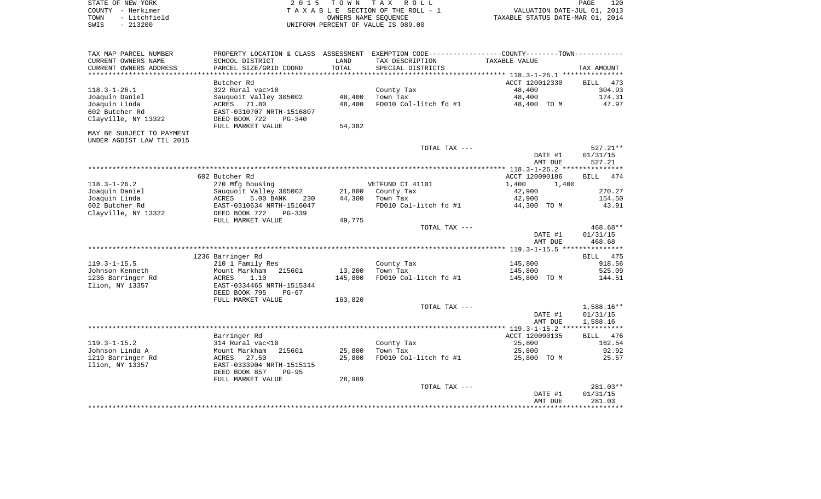|      | STATE OF NEW YORK | 2015 TOWN TAX ROLL                 | 120<br>PAGE                      |
|------|-------------------|------------------------------------|----------------------------------|
|      | COUNTY - Herkimer | TAXABLE SECTION OF THE ROLL - 1    | VALUATION DATE-JUL 01, 2013      |
| TOWN | - Litchfield      | OWNERS NAME SEOUENCE               | TAXABLE STATUS DATE-MAR 01, 2014 |
| SWIS | $-213200$         | UNIFORM PERCENT OF VALUE IS 089.00 |                                  |

| TAX MAP PARCEL NUMBER<br>CURRENT OWNERS NAME     | PROPERTY LOCATION & CLASS ASSESSMENT EXEMPTION CODE---------------COUNTY--------TOWN----------<br>SCHOOL DISTRICT | LAND    | TAX DESCRIPTION       | TAXABLE VALUE         |                    |
|--------------------------------------------------|-------------------------------------------------------------------------------------------------------------------|---------|-----------------------|-----------------------|--------------------|
| CURRENT OWNERS ADDRESS<br>********************** | PARCEL SIZE/GRID COORD                                                                                            | TOTAL   | SPECIAL DISTRICTS     |                       | TAX AMOUNT         |
|                                                  | Butcher Rd                                                                                                        |         |                       | ACCT 120012330        | 473<br>BILL        |
| $118.3 - 1 - 26.1$                               | 322 Rural vac>10                                                                                                  |         | County Tax            | 48,400                | 304.93             |
| Joaquin Daniel                                   | Sauquoit Valley 305002                                                                                            | 48,400  | Town Tax              | 48,400                | 174.31             |
| Joaquin Linda                                    | 71.80<br>ACRES                                                                                                    | 48,400  | FD010 Col-litch fd #1 | 48,400 TO M           | 47.97              |
| 602 Butcher Rd                                   | EAST-0310707 NRTH-1516807                                                                                         |         |                       |                       |                    |
| Clayville, NY 13322                              | DEED BOOK 722<br>$PG-340$<br>FULL MARKET VALUE                                                                    | 54,382  |                       |                       |                    |
| MAY BE SUBJECT TO PAYMENT                        |                                                                                                                   |         |                       |                       |                    |
| UNDER AGDIST LAW TIL 2015                        |                                                                                                                   |         |                       |                       |                    |
|                                                  |                                                                                                                   |         | TOTAL TAX ---         |                       | 527.21**           |
|                                                  |                                                                                                                   |         |                       | DATE #1               | 01/31/15           |
|                                                  |                                                                                                                   |         |                       | AMT DUE               | 527.21             |
|                                                  |                                                                                                                   |         |                       |                       |                    |
|                                                  | 602 Butcher Rd                                                                                                    |         |                       | ACCT 120090186        | BILL<br>474        |
| $118.3 - 1 - 26.2$                               | 270 Mfg housing                                                                                                   |         | VETFUND CT 41101      | 1,400<br>1,400        |                    |
| Joaquin Daniel                                   | Sauquoit Valley 305002                                                                                            | 21,800  | County Tax            | 42,900                | 270.27             |
| Joaquin Linda<br>602 Butcher Rd                  | ACRES<br>5.00 BANK<br>230                                                                                         | 44,300  | Town Tax              | 42,900<br>44,300 TO M | 154.50<br>43.91    |
| Clayville, NY 13322                              | EAST-0310634 NRTH-1516047<br>DEED BOOK 722<br>PG-339                                                              |         | FD010 Col-litch fd #1 |                       |                    |
|                                                  | FULL MARKET VALUE                                                                                                 | 49,775  |                       |                       |                    |
|                                                  |                                                                                                                   |         | TOTAL TAX ---         |                       | 468.68**           |
|                                                  |                                                                                                                   |         |                       | DATE #1               | 01/31/15           |
|                                                  |                                                                                                                   |         |                       | AMT DUE               | 468.68             |
|                                                  |                                                                                                                   |         |                       |                       |                    |
|                                                  | 1236 Barringer Rd                                                                                                 |         |                       |                       | <b>BILL</b><br>475 |
| $119.3 - 1 - 15.5$                               | 210 1 Family Res                                                                                                  |         | County Tax            | 145,800               | 918.56             |
| Johnson Kenneth                                  | Mount Markham<br>215601                                                                                           | 13,200  | Town Tax              | 145,800               | 525.09             |
| 1236 Barringer Rd<br>Ilion, NY 13357             | ACRES<br>1.10<br>EAST-0334465 NRTH-1515344                                                                        | 145,800 | FD010 Col-litch fd #1 | 145,800 TO M          | 144.51             |
|                                                  | DEED BOOK 795<br>$PG-67$                                                                                          |         |                       |                       |                    |
|                                                  | FULL MARKET VALUE                                                                                                 | 163,820 |                       |                       |                    |
|                                                  |                                                                                                                   |         | TOTAL TAX ---         |                       | $1,588.16**$       |
|                                                  |                                                                                                                   |         |                       | DATE #1               | 01/31/15           |
|                                                  |                                                                                                                   |         |                       | AMT DUE               | 1,588.16           |
|                                                  |                                                                                                                   |         |                       |                       |                    |
|                                                  | Barringer Rd                                                                                                      |         |                       | ACCT 120090135        | BILL<br>476        |
| $119.3 - 1 - 15.2$                               | 314 Rural vac<10                                                                                                  |         | County Tax            | 25,800                | 162.54             |
| Johnson Linda A                                  | 215601<br>Mount Markham                                                                                           | 25,800  | Town Tax              | 25,800                | 92.92              |
| 1219 Barringer Rd<br>Ilion, NY 13357             | ACRES<br>27.50<br>EAST-0333904 NRTH-1515115                                                                       | 25,800  | FD010 Col-litch fd #1 | 25,800 TO M           | 25.57              |
|                                                  | DEED BOOK 857<br>$PG-95$                                                                                          |         |                       |                       |                    |
|                                                  | FULL MARKET VALUE                                                                                                 | 28,989  |                       |                       |                    |
|                                                  |                                                                                                                   |         | TOTAL TAX ---         |                       | 281.03**           |
|                                                  |                                                                                                                   |         |                       | DATE #1               | 01/31/15           |
|                                                  |                                                                                                                   |         |                       | AMT DUE               | 281.03             |
|                                                  |                                                                                                                   |         |                       |                       |                    |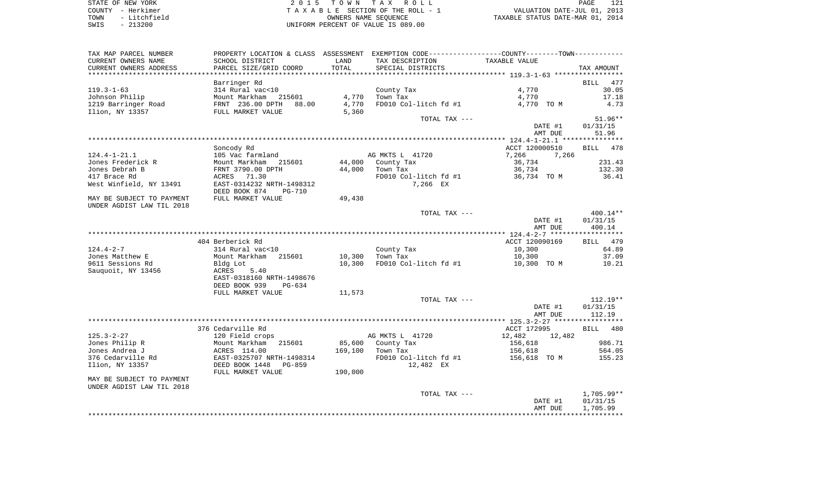STATE OF NEW YORK **EXECUTE:**  $2015$  TOWN TAX ROLL COUNTY - Herkimer<br>
T A X A B L E SECTION OF THE ROLL - 1<br>
TOWN - Litchfield<br>
SWIS - 213200 - UNIFORM PERCENT OF VALUE IS 089.00 TOWN - Litchfield OWNERS NAME SEQUENCE TAXABLE STATUS DATE-MAR 01, 2014 SWIS - 213200 UNIFORM PERCENT OF VALUE IS 089.00

| TAX MAP PARCEL NUMBER     |                                |         | PROPERTY LOCATION & CLASS ASSESSMENT EXEMPTION CODE----------------COUNTY-------TOWN----------- |                  |                    |
|---------------------------|--------------------------------|---------|-------------------------------------------------------------------------------------------------|------------------|--------------------|
| CURRENT OWNERS NAME       | SCHOOL DISTRICT                | LAND    | TAX DESCRIPTION                                                                                 | TAXABLE VALUE    |                    |
| CURRENT OWNERS ADDRESS    | PARCEL SIZE/GRID COORD         | TOTAL   | SPECIAL DISTRICTS                                                                               |                  | TAX AMOUNT         |
|                           |                                |         |                                                                                                 |                  |                    |
|                           | Barringer Rd                   |         |                                                                                                 |                  | <b>BILL</b><br>477 |
| $119.3 - 1 - 63$          | 314 Rural vac<10               |         | County Tax                                                                                      | 4,770            | 30.05              |
| Johnson Philip            | Mount Markham<br>215601        | 4,770   | Town Tax                                                                                        | 4,770            | 17.18              |
| 1219 Barringer Road       | FRNT 236.00 DPTH<br>88.00      | 4,770   | FD010 Col-litch fd #1                                                                           | 4,770 TO M       | 4.73               |
| Ilion, NY 13357           | FULL MARKET VALUE              | 5,360   |                                                                                                 |                  |                    |
|                           |                                |         | TOTAL TAX ---                                                                                   |                  | $51.96**$          |
|                           |                                |         |                                                                                                 | DATE #1          | 01/31/15           |
|                           |                                |         |                                                                                                 | AMT DUE          | 51.96              |
|                           |                                |         |                                                                                                 |                  |                    |
|                           | Soncody Rd                     |         |                                                                                                 | ACCT 120000510   | BILL 478           |
| $124.4 - 1 - 21.1$        | 105 Vac farmland               |         | AG MKTS L 41720                                                                                 | 7,266<br>7,266   |                    |
| Jones Frederick R         | Mount Markham<br>215601        |         | 44,000 County Tax                                                                               | 36,734           | 231.43             |
| Jones Debrah B            | FRNT 3790.00 DPTH              | 44,000  | Town Tax                                                                                        | 36,734           | 132.30             |
| 417 Brace Rd              | ACRES 71.30                    |         | FD010 Col-litch fd #1                                                                           | 36,734 TO M      | 36.41              |
| West Winfield, NY 13491   | EAST-0314232 NRTH-1498312      |         | 7,266 EX                                                                                        |                  |                    |
|                           | DEED BOOK 874<br><b>PG-710</b> |         |                                                                                                 |                  |                    |
| MAY BE SUBJECT TO PAYMENT | FULL MARKET VALUE              | 49,438  |                                                                                                 |                  |                    |
| UNDER AGDIST LAW TIL 2018 |                                |         |                                                                                                 |                  |                    |
|                           |                                |         | TOTAL TAX ---                                                                                   |                  | $400.14**$         |
|                           |                                |         |                                                                                                 | DATE #1          | 01/31/15           |
|                           |                                |         |                                                                                                 | AMT DUE          | 400.14             |
|                           |                                |         |                                                                                                 |                  |                    |
|                           | 404 Berberick Rd               |         |                                                                                                 | ACCT 120090169   | 479<br>BILL        |
| $124.4 - 2 - 7$           | 314 Rural vac<10               |         | County Tax                                                                                      | 10,300           | 64.89              |
| Jones Matthew E           | Mount Markham 215601           | 10,300  | Town Tax                                                                                        | 10,300           | 37.09              |
| 9611 Sessions Rd          | Bldg Lot                       | 10,300  | FD010 Col-litch fd #1                                                                           | 10,300 TO M      | 10.21              |
| Sauquoit, NY 13456        | ACRES<br>5.40                  |         |                                                                                                 |                  |                    |
|                           | EAST-0318160 NRTH-1498676      |         |                                                                                                 |                  |                    |
|                           | DEED BOOK 939<br>PG-634        |         |                                                                                                 |                  |                    |
|                           | FULL MARKET VALUE              | 11,573  |                                                                                                 |                  |                    |
|                           |                                |         | TOTAL TAX ---                                                                                   |                  | $112.19**$         |
|                           |                                |         |                                                                                                 | DATE #1          | 01/31/15           |
|                           |                                |         |                                                                                                 | AMT DUE          | 112.19             |
|                           |                                |         |                                                                                                 |                  |                    |
|                           | 376 Cedarville Rd              |         |                                                                                                 | ACCT 172995      | BILL 480           |
| $125.3 - 2 - 27$          | 120 Field crops                |         | AG MKTS L 41720                                                                                 | 12,482<br>12,482 |                    |
| Jones Philip R            | Mount Markham<br>215601        |         | 85,600 County Tax                                                                               | 156,618          | 986.71             |
| Jones Andrea J            | ACRES 114.00                   | 169,100 | Town Tax                                                                                        | 156,618          | 564.05             |
| 376 Cedarville Rd         | EAST-0325707 NRTH-1498314      |         | FD010 Col-litch fd #1                                                                           | 156,618 TO M     | 155.23             |
| Ilion, NY 13357           | DEED BOOK 1448<br>PG-859       |         | 12,482 EX                                                                                       |                  |                    |
|                           | FULL MARKET VALUE              | 190,000 |                                                                                                 |                  |                    |
| MAY BE SUBJECT TO PAYMENT |                                |         |                                                                                                 |                  |                    |
| UNDER AGDIST LAW TIL 2018 |                                |         |                                                                                                 |                  |                    |
|                           |                                |         | TOTAL TAX ---                                                                                   |                  | 1,705.99**         |
|                           |                                |         |                                                                                                 | DATE #1          | 01/31/15           |
|                           |                                |         |                                                                                                 | AMT DUE          | 1,705.99           |
|                           |                                |         |                                                                                                 |                  |                    |
|                           |                                |         |                                                                                                 |                  |                    |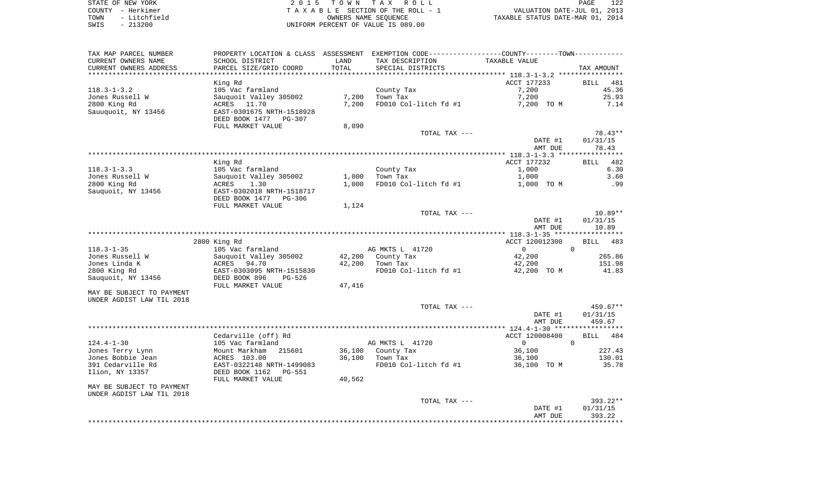| STATE OF NEW YORK    | 2015 TOWN TAX ROLL                 | 122<br>PAGE                      |
|----------------------|------------------------------------|----------------------------------|
| COUNTY - Herkimer    | TAXABLE SECTION OF THE ROLL - 1    | VALUATION DATE-JUL 01, 2013      |
| TOWN<br>- Litchfield | OWNERS NAME SEOUENCE               | TAXABLE STATUS DATE-MAR 01, 2014 |
| SWIS<br>- 213200     | UNIFORM PERCENT OF VALUE IS 089.00 |                                  |

| TAX MAP PARCEL NUMBER     |                           |        | PROPERTY LOCATION & CLASS ASSESSMENT EXEMPTION CODE----------------COUNTY--------TOWN---------- |                |            |
|---------------------------|---------------------------|--------|-------------------------------------------------------------------------------------------------|----------------|------------|
| CURRENT OWNERS NAME       | SCHOOL DISTRICT           | LAND   | TAX DESCRIPTION                                                                                 | TAXABLE VALUE  |            |
| CURRENT OWNERS ADDRESS    | PARCEL SIZE/GRID COORD    | TOTAL  | SPECIAL DISTRICTS                                                                               |                | TAX AMOUNT |
|                           |                           |        |                                                                                                 |                |            |
|                           | King Rd                   |        |                                                                                                 | ACCT 177233    | BILL 481   |
| $118.3 - 1 - 3.2$         | 105 Vac farmland          |        | County Tax                                                                                      | 7,200          | 45.36      |
| Jones Russell W           | Sauquoit Valley 305002    | 7,200  | Town Tax                                                                                        | 7,200          | 25.93      |
| 2800 King Rd              | ACRES 11.70               | 7,200  | FD010 Col-litch fd #1                                                                           | 7,200 TO M     | 7.14       |
| Sauuquoit, NY 13456       | EAST-0301675 NRTH-1518928 |        |                                                                                                 |                |            |
|                           | DEED BOOK 1477<br>PG-307  |        |                                                                                                 |                |            |
|                           | FULL MARKET VALUE         | 8,090  |                                                                                                 |                |            |
|                           |                           |        | TOTAL TAX ---                                                                                   |                | 78.43**    |
|                           |                           |        |                                                                                                 | DATE #1        | 01/31/15   |
|                           |                           |        |                                                                                                 | AMT DUE        | 78.43      |
|                           |                           |        |                                                                                                 |                |            |
|                           | King Rd                   |        |                                                                                                 | ACCT 177232    | BILL 482   |
| $118.3 - 1 - 3.3$         | 105 Vac farmland          |        | County Tax                                                                                      | 1,000          | 6.30       |
| Jones Russell W           | Sauquoit Valley 305002    | 1,000  | Town Tax                                                                                        | 1,000          | 3.60       |
| 2800 King Rd              | ACRES<br>1.30             | 1,000  | FD010 Col-litch fd #1                                                                           | 1,000 TO M     | .99        |
| Sauquoit, NY 13456        | EAST-0302018 NRTH-1518717 |        |                                                                                                 |                |            |
|                           | DEED BOOK 1477<br>PG-306  |        |                                                                                                 |                |            |
|                           | FULL MARKET VALUE         | 1,124  |                                                                                                 |                |            |
|                           |                           |        | TOTAL TAX ---                                                                                   |                | 10.89**    |
|                           |                           |        |                                                                                                 | DATE #1        | 01/31/15   |
|                           |                           |        |                                                                                                 | AMT DUE        | 10.89      |
|                           |                           |        |                                                                                                 |                |            |
|                           | 2800 King Rd              |        |                                                                                                 | ACCT 120012300 | BILL 483   |
| $118.3 - 1 - 35$          | 105 Vac farmland          |        | AG MKTS L 41720                                                                                 | $\circ$        | $\Omega$   |
| Jones Russell W           | Sauquoit Valley 305002    |        | 42,200 County Tax                                                                               | 42,200         | 265.86     |
| Jones Linda K             | 94.70<br>ACRES            | 42,200 | Town Tax                                                                                        | 42,200         | 151.98     |
| 2800 King Rd              | EAST-0303095 NRTH-1515830 |        | FD010 Col-litch fd #1                                                                           | 42,200 TO M    | 41.83      |
| Sauquoit, NY 13456        | DEED BOOK 896<br>PG-526   |        |                                                                                                 |                |            |
|                           | FULL MARKET VALUE         | 47,416 |                                                                                                 |                |            |
| MAY BE SUBJECT TO PAYMENT |                           |        |                                                                                                 |                |            |
| UNDER AGDIST LAW TIL 2018 |                           |        |                                                                                                 |                |            |
|                           |                           |        | TOTAL TAX ---                                                                                   |                | 459.67**   |
|                           |                           |        |                                                                                                 | DATE #1        | 01/31/15   |
|                           |                           |        |                                                                                                 | AMT DUE        | 459.67     |
|                           |                           |        |                                                                                                 |                |            |
|                           | Cedarville (off) Rd       |        |                                                                                                 | ACCT 120008400 | BILL 484   |
| $124.4 - 1 - 30$          | 105 Vac farmland          |        | AG MKTS L 41720                                                                                 | $\Omega$       | $\Omega$   |
| Jones Terry Lynn          | Mount Markham<br>215601   |        | 36,100 County Tax                                                                               | 36,100         | 227.43     |
| Jones Bobbie Jean         | ACRES 103.00              | 36,100 | Town Tax                                                                                        | 36,100         | 130.01     |
| 391 Cedarville Rd         | EAST-0322148 NRTH-1499083 |        | FD010 Col-litch fd #1                                                                           | 36,100 TO M    | 35.78      |
| Ilion, NY 13357           | DEED BOOK 1162<br>PG-551  |        |                                                                                                 |                |            |
|                           | FULL MARKET VALUE         | 40,562 |                                                                                                 |                |            |
| MAY BE SUBJECT TO PAYMENT |                           |        |                                                                                                 |                |            |
| UNDER AGDIST LAW TIL 2018 |                           |        |                                                                                                 |                |            |
|                           |                           |        | TOTAL TAX ---                                                                                   |                | 393.22**   |
|                           |                           |        |                                                                                                 | DATE #1        | 01/31/15   |
|                           |                           |        |                                                                                                 | AMT DUE        | 393.22     |
|                           |                           |        |                                                                                                 |                |            |
|                           |                           |        |                                                                                                 |                |            |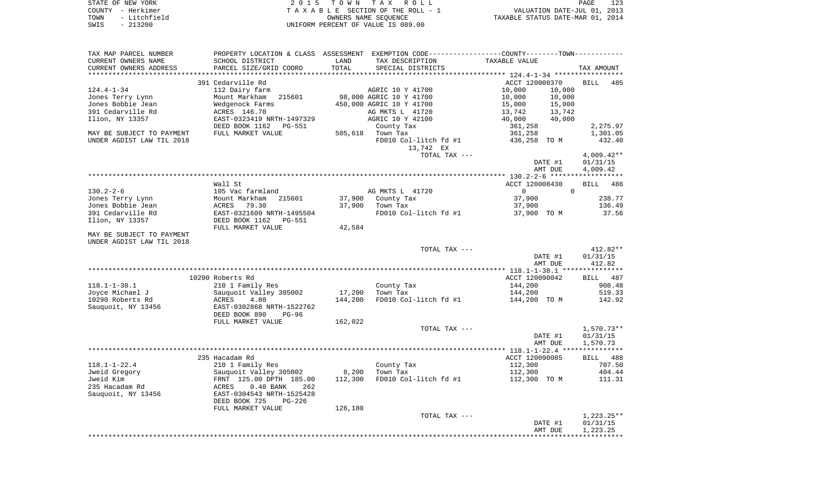|      | STATE OF NEW YORK | 2015 TOWN TAX ROLL                 | PAGE                             |
|------|-------------------|------------------------------------|----------------------------------|
|      | COUNTY - Herkimer | TAXABLE SECTION OF THE ROLL - 1    | VALUATION DATE-JUL 01, 2013      |
| TOWN | - Litchfield      | OWNERS NAME SEOUENCE               | TAXABLE STATUS DATE-MAR 01, 2014 |
| SWIS | $-213200$         | UNIFORM PERCENT OF VALUE IS 089.00 |                                  |

| TAX MAP PARCEL NUMBER                                  | PROPERTY LOCATION & CLASS ASSESSMENT |         | EXEMPTION CODE-----------------COUNTY-------TOWN----------- |                  |                    |
|--------------------------------------------------------|--------------------------------------|---------|-------------------------------------------------------------|------------------|--------------------|
| CURRENT OWNERS NAME                                    | SCHOOL DISTRICT                      | LAND    | TAX DESCRIPTION                                             | TAXABLE VALUE    |                    |
| CURRENT OWNERS ADDRESS                                 | PARCEL SIZE/GRID COORD               | TOTAL   | SPECIAL DISTRICTS                                           |                  | TAX AMOUNT         |
|                                                        |                                      |         |                                                             |                  |                    |
|                                                        | 391 Cedarville Rd                    |         |                                                             | ACCT 120008370   | 485<br>BILL        |
| $124.4 - 1 - 34$                                       | 112 Dairy farm                       |         | AGRIC 10 Y 41700                                            | 10,000<br>10,000 |                    |
| Jones Terry Lynn                                       | 215601<br>Mount Markham              |         | 98,000 AGRIC 10 Y 41700                                     | 10,000<br>10,000 |                    |
| Jones Bobbie Jean                                      | Wedgenock Farms                      |         | 450,000 AGRIC 10 Y 41700                                    | 15,000<br>15,000 |                    |
| 391 Cedarville Rd                                      | ACRES 146.70                         |         | AG MKTS L 41720                                             | 13,742<br>13,742 |                    |
| Ilion, NY 13357                                        | EAST-0323419 NRTH-1497329            |         | AGRIC 10 Y 42100                                            | 40,000<br>40,000 |                    |
|                                                        | DEED BOOK 1162<br>PG-551             |         | County Tax                                                  | 361,258          | 2,275.97           |
| MAY BE SUBJECT TO PAYMENT                              | FULL MARKET VALUE                    | 505,618 | Town Tax                                                    | 361,258          | 1,301.05           |
| UNDER AGDIST LAW TIL 2018                              |                                      |         | FD010 Col-litch fd #1                                       | 436,258 TO M     | 432.40             |
|                                                        |                                      |         | 13,742 EX                                                   |                  |                    |
|                                                        |                                      |         |                                                             |                  |                    |
|                                                        |                                      |         | TOTAL TAX ---                                               |                  | $4,009.42**$       |
|                                                        |                                      |         |                                                             | DATE #1          | 01/31/15           |
|                                                        |                                      |         |                                                             | AMT DUE          | 4,009.42           |
|                                                        |                                      |         |                                                             |                  |                    |
|                                                        | Wall St                              |         |                                                             | ACCT 120008430   | <b>BILL</b><br>486 |
| $130.2 - 2 - 6$                                        | 105 Vac farmland                     |         | AG MKTS L 41720                                             | $\overline{0}$   | $\Omega$           |
| Jones Terry Lynn                                       | Mount Markham 215601                 | 37,900  | County Tax                                                  | 37,900           | 238.77             |
| Jones Bobbie Jean                                      | 79.30<br>ACRES                       | 37,900  | Town Tax                                                    | 37,900           | 136.49             |
| 391 Cedarville Rd                                      | EAST-0321609 NRTH-1495504            |         | FD010 Col-litch fd #1                                       | 37,900 TO M      | 37.56              |
| Ilion, NY 13357                                        | DEED BOOK 1162<br>PG-551             |         |                                                             |                  |                    |
|                                                        | FULL MARKET VALUE                    | 42,584  |                                                             |                  |                    |
| MAY BE SUBJECT TO PAYMENT<br>UNDER AGDIST LAW TIL 2018 |                                      |         |                                                             |                  |                    |
|                                                        |                                      |         |                                                             |                  |                    |
|                                                        |                                      |         | TOTAL TAX ---                                               |                  | $412.82**$         |
|                                                        |                                      |         |                                                             | DATE #1          | 01/31/15           |
|                                                        |                                      |         |                                                             | AMT DUE          | 412.82             |
|                                                        |                                      |         |                                                             |                  |                    |
|                                                        |                                      |         |                                                             |                  | BILL 487           |
|                                                        | 10290 Roberts Rd                     |         |                                                             | ACCT 120090042   |                    |
| $118.1 - 1 - 38.1$                                     | 210 1 Family Res                     |         | County Tax                                                  | 144,200          | 908.48             |
| Joyce Michael J                                        | Sauquoit Valley 305002               | 17,200  | Town Tax                                                    | 144,200          | 519.33             |
| 10290 Roberts Rd                                       | 4.80<br>ACRES                        | 144,200 | FD010 Col-litch fd #1                                       | 144,200 TO M     | 142.92             |
| Sauquoit, NY 13456                                     | EAST-0302868 NRTH-1522762            |         |                                                             |                  |                    |
|                                                        | DEED BOOK 890<br>$PG-96$             |         |                                                             |                  |                    |
|                                                        | FULL MARKET VALUE                    | 162,022 |                                                             |                  |                    |
|                                                        |                                      |         | TOTAL TAX ---                                               |                  | $1,570.73**$       |
|                                                        |                                      |         |                                                             | DATE #1          | 01/31/15           |
|                                                        |                                      |         |                                                             | AMT DUE          | 1,570.73           |
|                                                        |                                      |         |                                                             |                  |                    |
|                                                        | 235 Hacadam Rd                       |         |                                                             | ACCT 120090085   | BILL 488           |
| $118.1 - 1 - 22.4$                                     | 210 1 Family Res                     |         | County Tax                                                  | 112,300          | 707.50             |
| Jweid Gregory                                          | Sauquoit Valley 305002               | 8,200   | Town Tax                                                    | 112,300          | 404.44             |
| Jweid Kim                                              | FRNT 125.00 DPTH 185.00              | 112,300 | FD010 Col-litch fd #1                                       | 112,300 TO M     | 111.31             |
| 235 Hacadam Rd                                         | ACRES<br>$0.40$ BANK<br>262          |         |                                                             |                  |                    |
| Sauquoit, NY 13456                                     | EAST-0304543 NRTH-1525428            |         |                                                             |                  |                    |
|                                                        | DEED BOOK 725<br>$PG-226$            |         |                                                             |                  |                    |
|                                                        | FULL MARKET VALUE                    | 126,180 |                                                             |                  |                    |
|                                                        |                                      |         | TOTAL TAX ---                                               |                  | $1,223.25**$       |
|                                                        |                                      |         |                                                             | DATE #1          | 01/31/15           |
|                                                        |                                      |         |                                                             | AMT DUE          | 1,223.25           |
|                                                        |                                      |         |                                                             |                  |                    |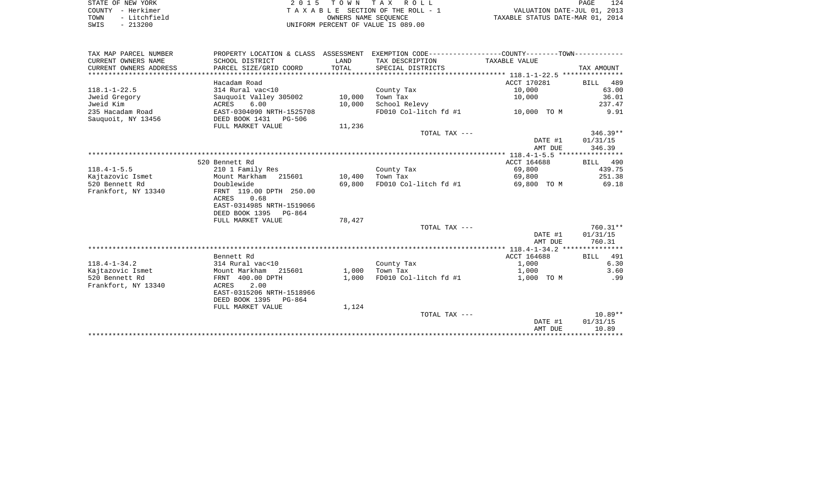| STATE OF NEW YORK |  |              |  |
|-------------------|--|--------------|--|
| COUNTY - Herkimer |  |              |  |
| TOWN              |  | - Litchfield |  |
| SWTS              |  | $-213200$    |  |

2015 TOWN TAX ROLL TA X A B L E SECTION OF THE ROLL - 1 TOWN - Litchfield OWNERS NAME SEQUENCE TAXABLE STATUS DATE-MAR 01, 2014 SWIS - 213200 UNIFORM PERCENT OF VALUE IS 089.00

| TAX MAP PARCEL NUMBER  | PROPERTY LOCATION & CLASS | ASSESSMENT |                       |                                  |             |
|------------------------|---------------------------|------------|-----------------------|----------------------------------|-------------|
| CURRENT OWNERS NAME    | SCHOOL DISTRICT           | LAND       | TAX DESCRIPTION       | TAXABLE VALUE                    |             |
| CURRENT OWNERS ADDRESS | PARCEL SIZE/GRID COORD    | TOTAL      | SPECIAL DISTRICTS     |                                  | TAX AMOUNT  |
|                        |                           |            |                       |                                  |             |
|                        | Hacadam Road              |            |                       | ACCT 170281                      | BILL 489    |
| $118.1 - 1 - 22.5$     | 314 Rural vac<10          |            | County Tax            | 10,000                           | 63.00       |
| Jweid Gregory          | Sauquoit Valley 305002    | 10,000     | Town Tax              | 10,000                           | 36.01       |
| Jweid Kim              | 6.00<br>ACRES             | 10,000     | School Relevy         |                                  | 237.47      |
| 235 Hacadam Road       | EAST-0304090 NRTH-1525708 |            | FD010 Col-litch fd #1 | 10,000 TO M                      | 9.91        |
| Sauquoit, NY 13456     | DEED BOOK 1431 PG-506     |            |                       |                                  |             |
|                        | FULL MARKET VALUE         | 11,236     |                       |                                  |             |
|                        |                           |            | TOTAL TAX ---         |                                  | $346.39**$  |
|                        |                           |            |                       | DATE #1                          | 01/31/15    |
|                        |                           |            |                       | AMT DUE                          | 346.39      |
|                        |                           |            |                       |                                  |             |
|                        | 520 Bennett Rd            |            |                       | ACCT 164688                      | BILL 490    |
| $118.4 - 1 - 5.5$      | 210 1 Family Res          |            | County Tax            | 69,800                           | 439.75      |
| Kajtazovic Ismet       | Mount Markham 215601      | 10,400     | Town Tax              | 69,800                           | 251.38      |
| 520 Bennett Rd         | Doublewide                | 69,800     | FD010 Col-litch fd #1 | 69,800 TO M                      | 69.18       |
| Frankfort, NY 13340    | FRNT 119.00 DPTH 250.00   |            |                       |                                  |             |
|                        | 0.68<br>ACRES             |            |                       |                                  |             |
|                        | EAST-0314985 NRTH-1519066 |            |                       |                                  |             |
|                        | DEED BOOK 1395 PG-864     |            |                       |                                  |             |
|                        | FULL MARKET VALUE         | 78,427     |                       |                                  |             |
|                        |                           |            | TOTAL TAX ---         |                                  | $760.31**$  |
|                        |                           |            |                       | DATE #1                          | 01/31/15    |
|                        |                           |            |                       | AMT DUE                          | 760.31      |
|                        |                           |            |                       |                                  |             |
|                        | Bennett Rd                |            |                       | ACCT 164688                      | 491<br>BILL |
| $118.4 - 1 - 34.2$     | 314 Rural vac<10          |            | County Tax            | 1,000                            | 6.30        |
| Kajtazovic Ismet       | Mount Markham<br>215601   | 1,000      | Town Tax              | 1,000                            | 3.60        |
| 520 Bennett Rd         | FRNT 400.00 DPTH          | 1,000      | FD010 Col-litch fd #1 | 1,000 TO M                       | .99         |
| Frankfort, NY 13340    | 2.00<br>ACRES             |            |                       |                                  |             |
|                        | EAST-0315206 NRTH-1518966 |            |                       |                                  |             |
|                        | DEED BOOK 1395<br>PG-864  |            |                       |                                  |             |
|                        | FULL MARKET VALUE         | 1,124      |                       |                                  |             |
|                        |                           |            | TOTAL TAX ---         |                                  | $10.89**$   |
|                        |                           |            |                       | DATE #1                          | 01/31/15    |
|                        |                           |            |                       | AMT DUE                          | 10.89       |
|                        |                           |            |                       | ******************************** |             |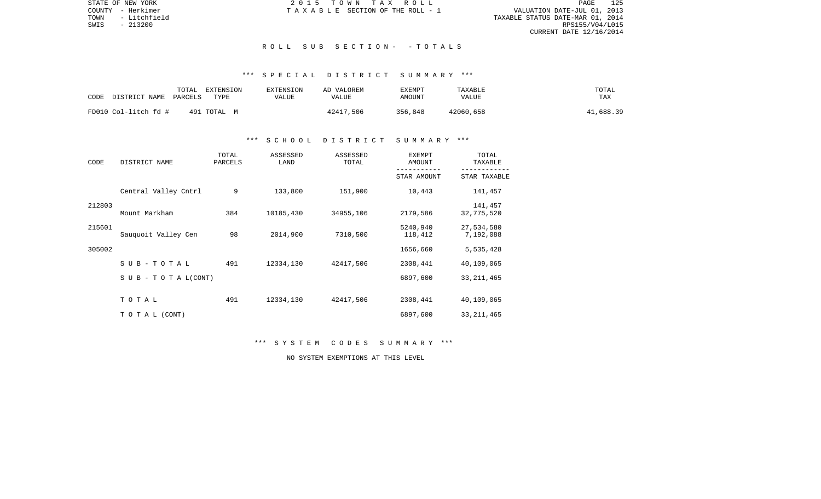STATE OF NEW YORK 2 0 1 5 T O W N T A X R O L L PAGE 125VALUATION DATE-JUL 01, 2013 TOWN - Litchfield TAXABLE STATUS DATE-MAR 01, 2014 RPS155/V04/L015 CURRENT DATE 12/16/2014

COUNTY - Herkimer  $T A X A B L E$  SECTION OF THE ROLL - 1

### R O L L S U B S E C T I O N - - T O T A L S

# \*\*\* S P E C I A L D I S T R I C T S U M M A R Y \*\*\*

| CODE<br>DISTRICT NAME PARCELS | TOTAL | EXTENSION<br>TYPE | <b>EXTENSION</b><br>VALUE | AD VALOREM<br>VALUE | EXEMPT<br>AMOUNT | TAXABLE<br>VALUE | TOTAL<br>TAX |
|-------------------------------|-------|-------------------|---------------------------|---------------------|------------------|------------------|--------------|
| FD010 Col-litch fd #          |       | 491 TOTAL M       |                           | 42417,506           | 356,848          | 42060,658        | 41,688.39    |

### \*\*\* S C H O O L D I S T R I C T S U M M A R Y \*\*\*

| CODE   | DISTRICT NAME                    | TOTAL<br>PARCELS | ASSESSED<br>LAND | ASSESSED<br>TOTAL | <b>EXEMPT</b><br>AMOUNT | TOTAL<br>TAXABLE        |
|--------|----------------------------------|------------------|------------------|-------------------|-------------------------|-------------------------|
|        |                                  |                  |                  |                   | STAR AMOUNT             | STAR TAXABLE            |
|        | Central Valley Cntrl             | 9                | 133,800          | 151,900           | 10,443                  | 141,457                 |
| 212803 | Mount Markham                    | 384              | 10185,430        | 34955,106         | 2179,586                | 141,457<br>32,775,520   |
| 215601 | Sauguoit Valley Cen              | 98               | 2014,900         | 7310,500          | 5240,940<br>118,412     | 27,534,580<br>7,192,088 |
| 305002 |                                  |                  |                  |                   | 1656,660                | 5,535,428               |
|        | SUB-TOTAL                        | 491              | 12334,130        | 42417,506         | 2308,441                | 40,109,065              |
|        | $S \cup B - T \cup T A L (CONT)$ |                  |                  |                   | 6897,600                | 33, 211, 465            |
|        | TOTAL                            | 491              | 12334,130        | 42417,506         | 2308,441                | 40,109,065              |
|        | TO TAL (CONT)                    |                  |                  |                   | 6897,600                | 33, 211, 465            |

\*\*\* S Y S T E M C O D E S S U M M A R Y \*\*\*

NO SYSTEM EXEMPTIONS AT THIS LEVEL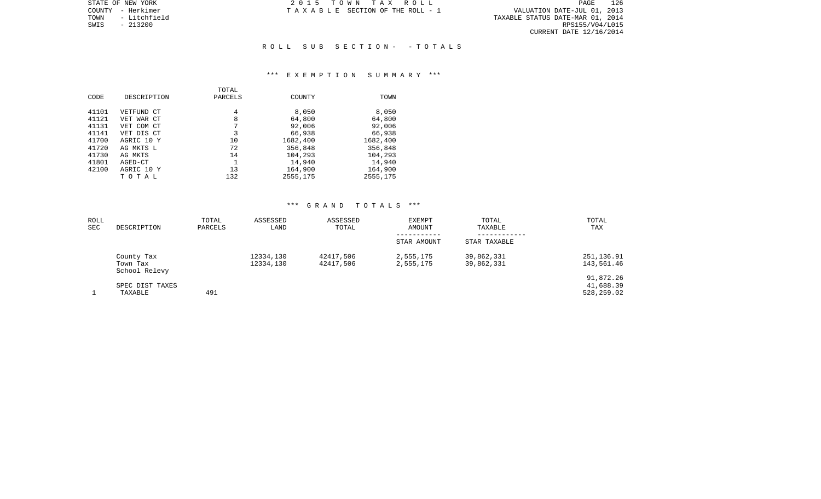PAGE 126 r VALUATION DATE-JUL 01, 2013<br>TAXABLE STATUS DATE-MAR 01, 2014<br>RPS155/V04/L015 CURRENT DATE 12/16/2014

STATE OF NEW YORK **2015 TOWN TAX ROLL** COUNTY - Herkimer T A X A B L E SECTION OF THE ROLL - 1

TOWN - Litchfield<br>SWIS - 213200

### R O L L S U B S E C T I O N - - T O T A L S

#### \*\*\* E X E M P T I O N S U M M A R Y \*\*\*

|       |             | TOTAL   |          |          |
|-------|-------------|---------|----------|----------|
| CODE  | DESCRIPTION | PARCELS | COUNTY   | TOWN     |
| 41101 | VETFUND CT  | 4       | 8,050    | 8,050    |
|       |             |         |          |          |
| 41121 | VET WAR CT  | 8       | 64,800   | 64,800   |
| 41131 | VET COM CT  | 7       | 92,006   | 92,006   |
| 41141 | VET DIS CT  | 3       | 66,938   | 66,938   |
| 41700 | AGRIC 10 Y  | 10      | 1682,400 | 1682,400 |
| 41720 | AG MKTS L   | 72      | 356,848  | 356,848  |
| 41730 | AG MKTS     | 14      | 104,293  | 104,293  |
| 41801 | AGED-CT     |         | 14,940   | 14,940   |
| 42100 | AGRIC 10 Y  | 13      | 164,900  | 164,900  |
|       | ТОТАЬ       | 132     | 2555,175 | 2555,175 |

# \*\*\* G R A N D T O T A L S \*\*\*

| ROLL |                           | TOTAL   | ASSESSED  | ASSESSED  | EXEMPT      | TOTAL        | TOTAL      |
|------|---------------------------|---------|-----------|-----------|-------------|--------------|------------|
| SEC  | DESCRIPTION               | PARCELS | LAND      | TOTAL     | AMOUNT      | TAXABLE      | TAX        |
|      |                           |         |           |           | STAR AMOUNT | STAR TAXABLE |            |
|      | County Tax                |         | 12334,130 | 42417,506 | 2,555,175   | 39,862,331   | 251,136.91 |
|      | Town Tax<br>School Relevy |         | 12334,130 | 42417,506 | 2,555,175   | 39,862,331   | 143,561.46 |
|      |                           |         |           |           |             |              | 91,872.26  |
|      | SPEC DIST TAXES           |         |           |           |             |              | 41,688.39  |
|      | TAXABLE                   | 491     |           |           |             |              | 528,259.02 |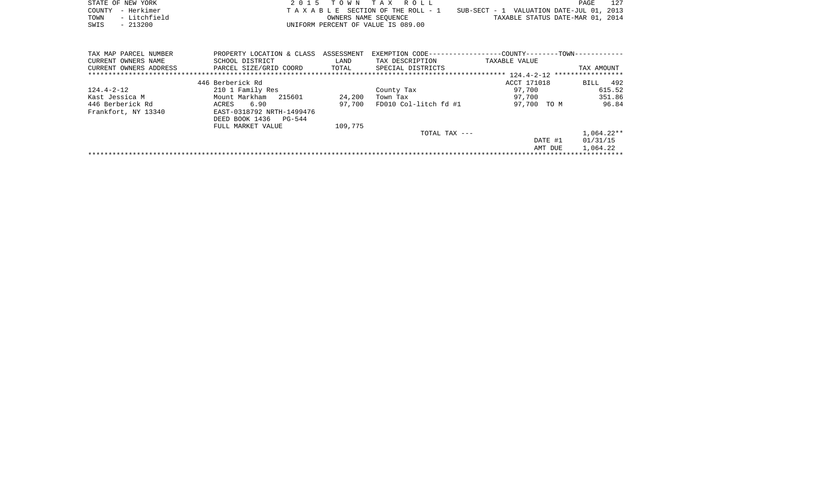|      | STATE OF NEW YORK | 2015 TOWN TAX ROLL                 |                                          | PAGE | 127 |
|------|-------------------|------------------------------------|------------------------------------------|------|-----|
|      | COUNTY - Herkimer | TAXABLE SECTION OF THE ROLL - 1    | SUB-SECT - 1 VALUATION DATE-JUL 01, 2013 |      |     |
| TOWN | - Litchfield      | OWNERS NAME SEOUENCE               | TAXABLE STATUS DATE-MAR 01, 2014         |      |     |
| SWIS | $-213200$         | UNIFORM PERCENT OF VALUE IS 089.00 |                                          |      |     |

| TAX MAP PARCEL NUMBER  | PROPERTY LOCATION & CLASS | ASSESSMENT | EXEMPTION CODE-       | -COUNTY------<br>$-TOWN--$         |             |
|------------------------|---------------------------|------------|-----------------------|------------------------------------|-------------|
| CURRENT OWNERS NAME    | SCHOOL DISTRICT           | LAND       | TAX DESCRIPTION       | TAXABLE VALUE                      |             |
| CURRENT OWNERS ADDRESS | PARCEL SIZE/GRID COORD    | TOTAL      | SPECIAL DISTRICTS     |                                    | TAX AMOUNT  |
|                        |                           |            |                       | $124.4 - 2 - 12$ ***************** |             |
|                        | 446 Berberick Rd          |            |                       | ACCT 171018                        | 492<br>BILL |
| 124.4-2-12             | 210 1 Family Res          |            | County Tax            | 97,700                             | 615.52      |
| Kast Jessica M         | Mount Markham 215601      | 24,200     | Town Tax              | 97.700                             | 351.86      |
| 446 Berberick Rd       | 6.90<br>ACRES             | 97,700     | FD010 Col-litch fd #1 | 97,700<br>TO M                     | 96.84       |
| Frankfort, NY 13340    | EAST-0318792 NRTH-1499476 |            |                       |                                    |             |
|                        | DEED BOOK 1436<br>PG-544  |            |                       |                                    |             |
|                        | FULL MARKET VALUE         | 109,775    |                       |                                    |             |
|                        |                           |            | TOTAL TAX $---$       |                                    | 1,064.22**  |
|                        |                           |            |                       | DATE #1                            | 01/31/15    |
|                        |                           |            |                       | AMT DUE                            | 1,064.22    |
|                        |                           |            |                       |                                    |             |
|                        |                           |            |                       |                                    |             |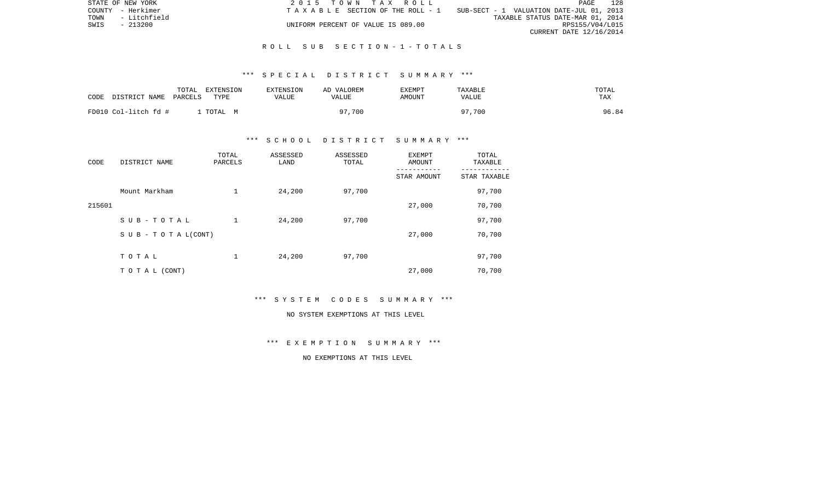| STATE OF NEW YORK |              | 2015 TOWN TAX ROLL                    |                                          | PAGE                    | 128 |
|-------------------|--------------|---------------------------------------|------------------------------------------|-------------------------|-----|
| COUNTY - Herkimer |              | T A X A B L E SECTION OF THE ROLL - 1 | SUB-SECT - 1 VALUATION DATE-JUL 01, 2013 |                         |     |
| TOWN              | - Litchfield |                                       | TAXABLE STATUS DATE-MAR 01, 2014         |                         |     |
| SWIS              | - 213200     | UNIFORM PERCENT OF VALUE IS 089.00    |                                          | RPS155/V04/L015         |     |
|                   |              |                                       |                                          | CURRENT DATE 12/16/2014 |     |

### R O L L S U B S E C T I O N - 1 - T O T A L S

## \*\*\* S P E C I A L D I S T R I C T S U M M A R Y \*\*\*

| CODE<br>DISTRICT NAME | TOTAL<br>EXTENSION<br>PARCELS<br>TYPE | EXTENSION<br>VALUE | AD VALOREM<br>VALUE | <b>EXEMPT</b><br><b>AMOUNT</b> | TAXABLE<br>VALUE | TOTAL<br>TAX |
|-----------------------|---------------------------------------|--------------------|---------------------|--------------------------------|------------------|--------------|
| FD010 Col-litch fd #  | TOTAL                                 | . м                | ,700<br>07          |                                | 97,700           | 96.84        |

# \*\*\* S C H O O L D I S T R I C T S U M M A R Y \*\*\*

| CODE   | DISTRICT NAME                    | TOTAL<br>PARCELS | ASSESSED<br>LAND | ASSESSED<br>TOTAL | EXEMPT<br>AMOUNT | TOTAL<br>TAXABLE |
|--------|----------------------------------|------------------|------------------|-------------------|------------------|------------------|
|        |                                  |                  |                  |                   | STAR AMOUNT      | STAR TAXABLE     |
|        | Mount Markham                    | 1                | 24,200           | 97,700            |                  | 97,700           |
| 215601 |                                  |                  |                  |                   | 27,000           | 70,700           |
|        | SUB-TOTAL                        |                  | 24,200           | 97,700            |                  | 97,700           |
|        | $S \cup B - T \cup T A L (CONT)$ |                  |                  |                   | 27,000           | 70,700           |
|        | TOTAL                            |                  |                  |                   |                  |                  |
|        |                                  | 1                | 24,200           | 97,700            |                  | 97,700           |
|        | T O T A L (CONT)                 |                  |                  |                   | 27,000           | 70,700           |

\*\*\* S Y S T E M C O D E S S U M M A R Y \*\*\*

#### NO SYSTEM EXEMPTIONS AT THIS LEVEL

\*\*\* E X E M P T I O N S U M M A R Y \*\*\*

NO EXEMPTIONS AT THIS LEVEL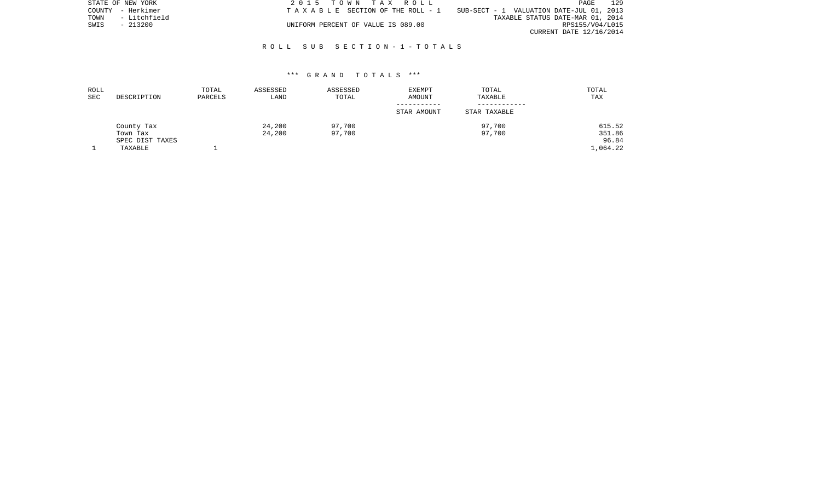|      | STATE OF NEW YORK | 2015 TOWN TAX ROLL                                                                | PAGE                    | 129 |
|------|-------------------|-----------------------------------------------------------------------------------|-------------------------|-----|
|      | COUNTY - Herkimer | SUB-SECT - 1 VALUATION DATE-JUL 01, 2013<br>T A X A B L E SECTION OF THE ROLL - 1 |                         |     |
| TOWN | - Litchfield      | TAXABLE STATUS DATE-MAR 01, 2014                                                  |                         |     |
| SWIS | $-213200$         | UNIFORM PERCENT OF VALUE IS 089.00                                                | RPS155/V04/L015         |     |
|      |                   |                                                                                   | CURRENT DATE 12/16/2014 |     |

## R O L L S U B S E C T I O N - 1 - T O T A L S

#### \*\*\* G R A N D T O T A L S \*\*\*

| ROLL<br>SEC | DESCRIPTION     | TOTAL<br>PARCELS | ASSESSED<br>LAND | ASSESSED<br>TOTAL | <b>EXEMPT</b><br>AMOUNT | TOTAL<br>TAXABLE | TOTAL<br><b>TAX</b> |
|-------------|-----------------|------------------|------------------|-------------------|-------------------------|------------------|---------------------|
|             |                 |                  |                  |                   |                         |                  |                     |
|             |                 |                  |                  |                   | STAR AMOUNT             | STAR TAXABLE     |                     |
|             | County Tax      |                  | 24,200           | 97,700            |                         | 97,700           | 615.52              |
|             | Town Tax        |                  | 24,200           | 97,700            |                         | 97,700           | 351.86              |
|             | SPEC DIST TAXES |                  |                  |                   |                         |                  | 96.84               |
|             | TAXABLE         |                  |                  |                   |                         |                  | 1,064.22            |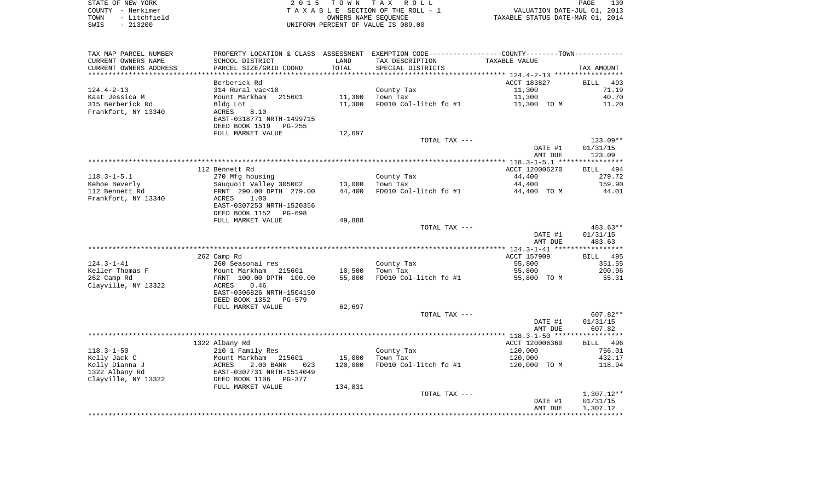| STATE OF NEW YORK    | 2015 TOWN TAX ROLL                 | 130<br>PAGE                      |
|----------------------|------------------------------------|----------------------------------|
| COUNTY - Herkimer    | TAXABLE SECTION OF THE ROLL - 1    | VALUATION DATE-JUL 01, 2013      |
| - Litchfield<br>TOWN | OWNERS NAME SEOUENCE               | TAXABLE STATUS DATE-MAR 01, 2014 |
| $-213200$<br>SWIS    | UNIFORM PERCENT OF VALUE IS 089.00 |                                  |

130<br>2013<br>2014

| TAX MAP PARCEL NUMBER              | PROPERTY LOCATION & CLASS ASSESSMENT EXEMPTION CODE----------------COUNTY--------TOWN----------- |         |                       |                |                    |
|------------------------------------|--------------------------------------------------------------------------------------------------|---------|-----------------------|----------------|--------------------|
| CURRENT OWNERS NAME                | SCHOOL DISTRICT                                                                                  | LAND    | TAX DESCRIPTION       | TAXABLE VALUE  |                    |
| CURRENT OWNERS ADDRESS             | PARCEL SIZE/GRID COORD                                                                           | TOTAL   | SPECIAL DISTRICTS     |                | TAX AMOUNT         |
| *********************              |                                                                                                  |         |                       |                |                    |
|                                    | Berberick Rd                                                                                     |         |                       | ACCT 183827    | <b>BILL</b><br>493 |
| $124.4 - 2 - 13$                   | 314 Rural vac<10                                                                                 |         | County Tax            | 11,300         | 71.19              |
| Kast Jessica M                     | Mount Markham<br>215601                                                                          | 11,300  | Town Tax              | 11,300         | 40.70              |
| 315 Berberick Rd                   | Bldg Lot                                                                                         | 11,300  | FD010 Col-litch fd #1 | 11,300 TO M    | 11.20              |
| Frankfort, NY 13340                | 8.10<br>ACRES                                                                                    |         |                       |                |                    |
|                                    | EAST-0318771 NRTH-1499715<br>DEED BOOK 1519<br>PG-255                                            |         |                       |                |                    |
|                                    | FULL MARKET VALUE                                                                                | 12,697  |                       |                |                    |
|                                    |                                                                                                  |         | TOTAL TAX ---         |                | $123.09**$         |
|                                    |                                                                                                  |         |                       | DATE #1        | 01/31/15           |
|                                    |                                                                                                  |         |                       | AMT DUE        | 123.09             |
|                                    |                                                                                                  |         |                       |                |                    |
|                                    | 112 Bennett Rd                                                                                   |         |                       | ACCT 120006270 | BILL 494           |
| $118.3 - 1 - 5.1$                  | 270 Mfg housing                                                                                  |         | County Tax            | 44,400         | 279.72             |
| Kehoe Beverly                      | Sauquoit Valley 305002                                                                           | 13,000  | Town Tax              | 44,400         | 159.90             |
| 112 Bennett Rd                     | FRNT 290.00 DPTH 279.00                                                                          | 44,400  | FD010 Col-litch fd #1 | 44,400 TO M    | 44.01              |
| Frankfort, NY 13340                | 1.00<br>ACRES                                                                                    |         |                       |                |                    |
|                                    | EAST-0307253 NRTH-1520356                                                                        |         |                       |                |                    |
|                                    | DEED BOOK 1152<br>PG-698                                                                         |         |                       |                |                    |
|                                    | FULL MARKET VALUE                                                                                | 49,888  |                       |                |                    |
|                                    |                                                                                                  |         | TOTAL TAX ---         |                | 483.63**           |
|                                    |                                                                                                  |         |                       | DATE #1        | 01/31/15           |
|                                    |                                                                                                  |         |                       | AMT DUE        | 483.63             |
|                                    |                                                                                                  |         |                       |                |                    |
|                                    | 262 Camp Rd                                                                                      |         |                       | ACCT 157909    | 495<br>BILL        |
| $124.3 - 1 - 41$                   | 260 Seasonal res                                                                                 |         | County Tax            | 55,800         | 351.55             |
| Keller Thomas F                    | Mount Markham<br>215601                                                                          | 10,500  | Town Tax              | 55,800         | 200.96<br>55.31    |
| 262 Camp Rd<br>Clayville, NY 13322 | FRNT 100.00 DPTH 100.00<br>ACRES<br>0.46                                                         | 55,800  | FD010 Col-litch fd #1 | 55,800 TO M    |                    |
|                                    | EAST-0306826 NRTH-1504150                                                                        |         |                       |                |                    |
|                                    | DEED BOOK 1352<br>PG-579                                                                         |         |                       |                |                    |
|                                    | FULL MARKET VALUE                                                                                | 62,697  |                       |                |                    |
|                                    |                                                                                                  |         | TOTAL TAX ---         |                | $607.82**$         |
|                                    |                                                                                                  |         |                       | DATE #1        | 01/31/15           |
|                                    |                                                                                                  |         |                       | AMT DUE        | 607.82             |
|                                    |                                                                                                  |         |                       |                |                    |
|                                    | 1322 Albany Rd                                                                                   |         |                       | ACCT 120006360 | BILL 496           |
| $118.3 - 1 - 50$                   | 210 1 Family Res                                                                                 |         | County Tax            | 120,000        | 756.01             |
| Kelly Jack C                       | Mount Markham 215601                                                                             | 15,000  | Town Tax              | 120,000        | 432.17             |
| Kelly Dianna J                     | ACRES<br>2.00 BANK<br>023                                                                        | 120,000 | FD010 Col-litch fd #1 | 120,000 TO M   | 118.94             |
| 1322 Albany Rd                     | EAST-0307731 NRTH-1514049                                                                        |         |                       |                |                    |
| Clayville, NY 13322                | DEED BOOK 1106<br>PG-377                                                                         |         |                       |                |                    |
|                                    | FULL MARKET VALUE                                                                                | 134,831 |                       |                |                    |
|                                    |                                                                                                  |         | TOTAL TAX ---         |                | 1,307.12**         |
|                                    |                                                                                                  |         |                       | DATE #1        | 01/31/15           |
|                                    |                                                                                                  |         |                       | AMT DUE        | 1,307.12           |
|                                    |                                                                                                  |         |                       |                |                    |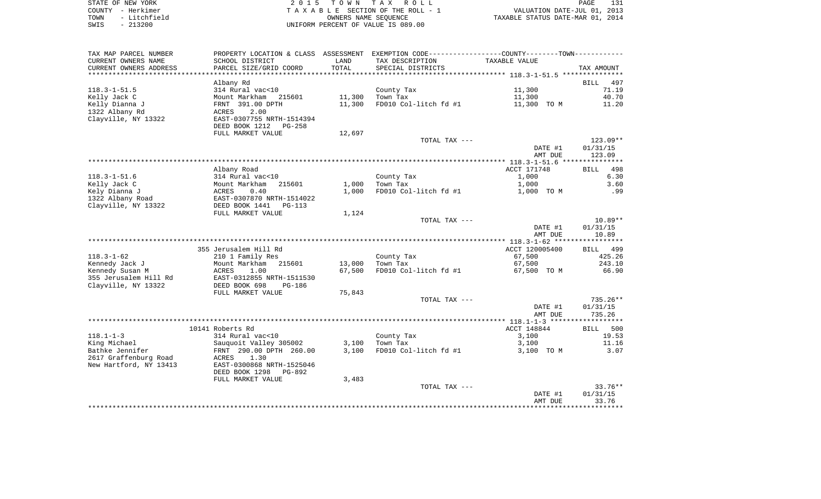| STATE OF NEW YORK    | 2015 TOWN TAX ROLL                 | 131<br>PAGE                      |
|----------------------|------------------------------------|----------------------------------|
| COUNTY - Herkimer    | TAXABLE SECTION OF THE ROLL - 1    | VALUATION DATE-JUL 01, 2013      |
| - Litchfield<br>TOWN | OWNERS NAME SEOUENCE               | TAXABLE STATUS DATE-MAR 01, 2014 |
| $-213200$<br>SWIS    | UNIFORM PERCENT OF VALUE IS 089.00 |                                  |

|                                    |                                          |                              |                                                                                               | DATE #1<br>AMT DUE    | 01/31/15<br>33.76  |
|------------------------------------|------------------------------------------|------------------------------|-----------------------------------------------------------------------------------------------|-----------------------|--------------------|
|                                    |                                          |                              | TOTAL TAX ---                                                                                 |                       | $33.76**$          |
|                                    | FULL MARKET VALUE                        | 3,483                        |                                                                                               |                       |                    |
|                                    | DEED BOOK 1298<br>PG-892                 |                              |                                                                                               |                       |                    |
| New Hartford, NY 13413             | EAST-0300868 NRTH-1525046                |                              |                                                                                               |                       |                    |
| 2617 Graffenburg Road              | ACRES<br>1.30                            |                              |                                                                                               |                       |                    |
| Bathke Jennifer                    | FRNT 290.00 DPTH 260.00                  | 3,100                        | FD010 Col-litch fd #1                                                                         | 3,100 TO M            | 3.07               |
| King Michael                       | Sauquoit Valley 305002                   | 3,100                        | Town Tax                                                                                      | 3,100                 | 11.16              |
| $118.1 - 1 - 3$                    | 314 Rural vac<10                         |                              | County Tax                                                                                    | 3,100                 | 19.53              |
|                                    | 10141 Roberts Rd                         |                              |                                                                                               | ACCT 148844           | <b>BILL</b><br>500 |
|                                    |                                          |                              |                                                                                               |                       |                    |
|                                    |                                          |                              |                                                                                               | AMT DUE               | 735.26             |
|                                    |                                          |                              |                                                                                               | DATE #1               | 01/31/15           |
|                                    |                                          |                              | TOTAL TAX ---                                                                                 |                       | $735.26**$         |
|                                    | FULL MARKET VALUE                        | 75,843                       |                                                                                               |                       |                    |
| Clayville, NY 13322                | DEED BOOK 698<br>PG-186                  |                              |                                                                                               |                       |                    |
| 355 Jerusalem Hill Rd              | EAST-0312855 NRTH-1511530                |                              |                                                                                               |                       |                    |
| Kennedy Susan M                    | Mount Markham<br>215601<br>ACRES<br>1.00 | 13,000<br>67,500             | FD010 Col-litch fd #1                                                                         | 67,500<br>67,500 TO M | 66.90              |
| $118.3 - 1 - 62$<br>Kennedy Jack J | 210 1 Family Res                         |                              | County Tax<br>Town Tax                                                                        | 67,500                | 425.26<br>243.10   |
|                                    | 355 Jerusalem Hill Rd                    |                              |                                                                                               | ACCT 120005400        | BILL<br>499        |
|                                    |                                          |                              |                                                                                               |                       |                    |
|                                    |                                          |                              |                                                                                               | AMT DUE               | 10.89              |
|                                    |                                          |                              |                                                                                               | DATE #1               | 01/31/15           |
|                                    |                                          |                              | TOTAL TAX ---                                                                                 |                       | $10.89**$          |
|                                    | FULL MARKET VALUE                        | 1,124                        |                                                                                               |                       |                    |
| Clayville, NY 13322                | DEED BOOK 1441<br>$PG-113$               |                              |                                                                                               |                       |                    |
| 1322 Albany Road                   | EAST-0307870 NRTH-1514022                |                              |                                                                                               |                       |                    |
| Kely Dianna J                      | ACRES<br>0.40                            | 1,000                        | FD010 Col-litch fd #1                                                                         | 1,000 TO M            | .99                |
| Kelly Jack C                       | Mount Markham<br>215601                  | 1,000                        | Town Tax                                                                                      | 1,000                 | 3.60               |
| $118.3 - 1 - 51.6$                 | 314 Rural vac<10                         |                              | County Tax                                                                                    | 1,000                 | 6.30               |
|                                    | Albany Road                              |                              |                                                                                               | ACCT 171748           | 498<br><b>BILL</b> |
|                                    |                                          |                              |                                                                                               |                       |                    |
|                                    |                                          |                              |                                                                                               | AMT DUE               | 123.09             |
|                                    |                                          |                              |                                                                                               | DATE #1               | 01/31/15           |
|                                    |                                          |                              | TOTAL TAX ---                                                                                 |                       | $123.09**$         |
|                                    | FULL MARKET VALUE                        | 12,697                       |                                                                                               |                       |                    |
|                                    | DEED BOOK 1212<br>PG-258                 |                              |                                                                                               |                       |                    |
| Clayville, NY 13322                | EAST-0307755 NRTH-1514394                |                              |                                                                                               |                       |                    |
| 1322 Albany Rd                     | 2.00<br>ACRES                            |                              |                                                                                               |                       |                    |
| Kelly Dianna J                     | FRNT 391.00 DPTH                         | 11,300                       | FD010 Col-litch fd #1                                                                         | 11,300 TO M           | 11.20              |
| Kelly Jack C                       | Mount Markham 215601                     | 11,300                       | Town Tax                                                                                      | 11,300                | 40.70              |
| $118.3 - 1 - 51.5$                 | Albany Rd<br>314 Rural vac<10            |                              | County Tax                                                                                    | 11,300                | 71.19              |
|                                    |                                          |                              |                                                                                               |                       | <b>BILL</b><br>497 |
| CURRENT OWNERS ADDRESS             | PARCEL SIZE/GRID COORD                   | TOTAL<br>* * * * * * * * * * | SPECIAL DISTRICTS                                                                             |                       | TAX AMOUNT         |
| CURRENT OWNERS NAME                | SCHOOL DISTRICT                          | LAND                         | TAX DESCRIPTION                                                                               | TAXABLE VALUE         |                    |
| TAX MAP PARCEL NUMBER              |                                          |                              | PROPERTY LOCATION & CLASS ASSESSMENT EXEMPTION CODE---------------COUNTY-------TOWN---------- |                       |                    |
|                                    |                                          |                              |                                                                                               |                       |                    |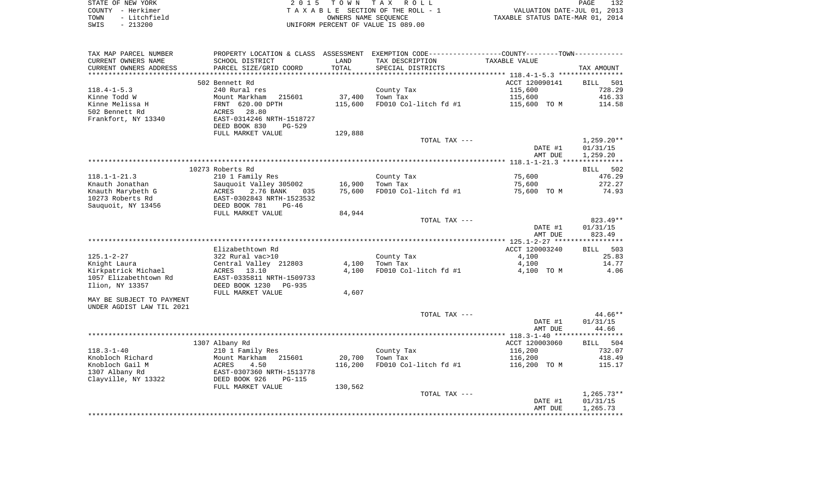| STATE OF NEW YORK |                   | 2015 TOWN TAX ROLL                 | 132<br>PAGE                      |
|-------------------|-------------------|------------------------------------|----------------------------------|
|                   | COUNTY - Herkimer | TAXABLE SECTION OF THE ROLL - 1    | VALUATION DATE-JUL 01, 2013      |
| TOWN              | - Litchfield      | OWNERS NAME SEOUENCE               | TAXABLE STATUS DATE-MAR 01, 2014 |
| SWIS              | - 213200          | UNIFORM PERCENT OF VALUE IS 089.00 |                                  |

| TAX MAP PARCEL NUMBER     |                                                     |         | PROPERTY LOCATION & CLASS ASSESSMENT EXEMPTION CODE---------------COUNTY-------TOWN---------- |                |              |
|---------------------------|-----------------------------------------------------|---------|-----------------------------------------------------------------------------------------------|----------------|--------------|
| CURRENT OWNERS NAME       | SCHOOL DISTRICT                                     | LAND    | TAX DESCRIPTION                                                                               | TAXABLE VALUE  |              |
| CURRENT OWNERS ADDRESS    | PARCEL SIZE/GRID COORD                              | TOTAL   | SPECIAL DISTRICTS                                                                             |                | TAX AMOUNT   |
|                           |                                                     |         |                                                                                               |                |              |
|                           | 502 Bennett Rd                                      |         |                                                                                               | ACCT 120090141 | BILL 501     |
| $118.4 - 1 - 5.3$         | 240 Rural res                                       |         | County Tax                                                                                    | 115,600        | 728.29       |
| Kinne Todd W              | Mount Markham<br>215601                             | 37,400  | Town Tax                                                                                      | 115,600        | 416.33       |
| Kinne Melissa H           | FRNT 620.00 DPTH                                    | 115,600 | FD010 Col-litch fd #1                                                                         | 115,600 TO M   | 114.58       |
| 502 Bennett Rd            | 28.80<br>ACRES                                      |         |                                                                                               |                |              |
| Frankfort, NY 13340       | EAST-0314246 NRTH-1518727                           |         |                                                                                               |                |              |
|                           | DEED BOOK 830<br>PG-529                             |         |                                                                                               |                |              |
|                           | FULL MARKET VALUE                                   | 129,888 |                                                                                               |                |              |
|                           |                                                     |         | TOTAL TAX ---                                                                                 |                | $1,259.20**$ |
|                           |                                                     |         |                                                                                               | DATE #1        | 01/31/15     |
|                           |                                                     |         |                                                                                               | AMT DUE        | 1,259.20     |
|                           |                                                     |         |                                                                                               |                |              |
|                           | 10273 Roberts Rd                                    |         |                                                                                               |                | BILL 502     |
| 118.1-1-21.3              | 210 1 Family Res                                    |         | County Tax                                                                                    | 75,600         | 476.29       |
| Knauth Jonathan           | Sauquoit Valley 305002                              | 16,900  | Town Tax                                                                                      | 75,600         | 272.27       |
| Knauth Marybeth G         | ACRES<br>2.76 BANK<br>035                           | 75,600  | FD010 Col-litch fd #1                                                                         | 75,600 TO M    | 74.93        |
| 10273 Roberts Rd          | EAST-0302843 NRTH-1523532<br>DEED BOOK 781<br>PG-46 |         |                                                                                               |                |              |
| Sauquoit, NY 13456        | FULL MARKET VALUE                                   | 84,944  |                                                                                               |                |              |
|                           |                                                     |         | TOTAL TAX ---                                                                                 |                | 823.49**     |
|                           |                                                     |         |                                                                                               | DATE #1        | 01/31/15     |
|                           |                                                     |         |                                                                                               | AMT DUE        | 823.49       |
|                           |                                                     |         |                                                                                               |                |              |
|                           | Elizabethtown Rd                                    |         |                                                                                               | ACCT 120003240 | BILL 503     |
| 125.1-2-27                | 322 Rural vac>10                                    |         | County Tax                                                                                    | 4,100          | 25.83        |
| Knight Laura              | Central Valley 212803                               | 4,100   | Town Tax                                                                                      | 4,100          | 14.77        |
| Kirkpatrick Michael       | ACRES<br>13.10                                      | 4,100   | FD010 Col-litch fd #1                                                                         | 4,100 TO M     | 4.06         |
| 1057 Elizabethtown Rd     | EAST-0335811 NRTH-1509733                           |         |                                                                                               |                |              |
| Ilion, NY 13357           | DEED BOOK 1230<br>PG-935                            |         |                                                                                               |                |              |
|                           | FULL MARKET VALUE                                   | 4,607   |                                                                                               |                |              |
| MAY BE SUBJECT TO PAYMENT |                                                     |         |                                                                                               |                |              |
| UNDER AGDIST LAW TIL 2021 |                                                     |         |                                                                                               |                |              |
|                           |                                                     |         | TOTAL TAX ---                                                                                 |                | $44.66**$    |
|                           |                                                     |         |                                                                                               | DATE #1        | 01/31/15     |
|                           |                                                     |         |                                                                                               | AMT DUE        | 44.66        |
|                           |                                                     |         |                                                                                               |                |              |
|                           | 1307 Albany Rd                                      |         |                                                                                               | ACCT 120003060 | BILL 504     |
| $118.3 - 1 - 40$          | 210 1 Family Res                                    |         | County Tax                                                                                    | 116,200        | 732.07       |
| Knobloch Richard          | Mount Markham<br>215601                             | 20,700  | Town Tax                                                                                      | 116,200        | 418.49       |
| Knobloch Gail M           | ACRES<br>4.50                                       | 116,200 | FD010 Col-litch fd #1                                                                         | 116,200 TO M   | 115.17       |
| 1307 Albany Rd            | EAST-0307360 NRTH-1513778                           |         |                                                                                               |                |              |
| Clayville, NY 13322       | DEED BOOK 926<br>PG-115                             |         |                                                                                               |                |              |
|                           | FULL MARKET VALUE                                   | 130,562 |                                                                                               |                |              |
|                           |                                                     |         | TOTAL TAX ---                                                                                 |                | $1,265.73**$ |
|                           |                                                     |         |                                                                                               | DATE #1        | 01/31/15     |
|                           |                                                     |         |                                                                                               | AMT DUE        | 1,265.73     |
|                           |                                                     |         |                                                                                               |                |              |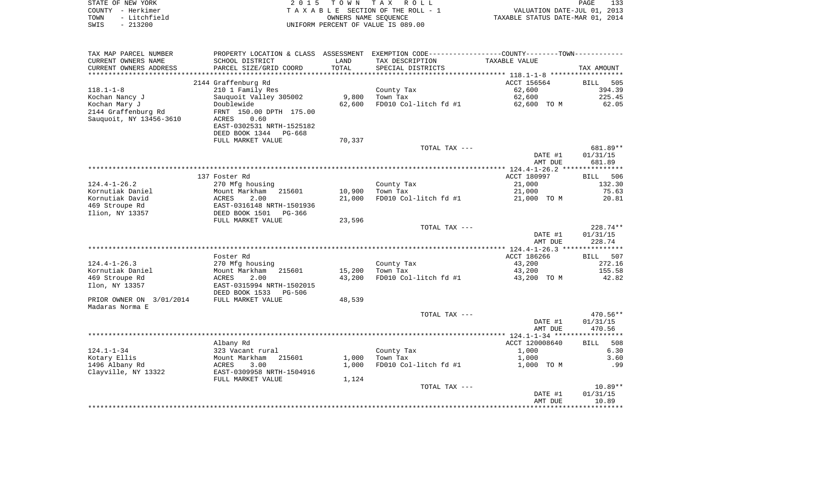| STATE OF NEW YORK    | 2015 TOWN TAX ROLL                    | 133<br>PAGE                      |
|----------------------|---------------------------------------|----------------------------------|
| COUNTY - Herkimer    | T A X A B L E SECTION OF THE ROLL - 1 | VALUATION DATE-JUL 01, 2013      |
| - Litchfield<br>TOWN | OWNERS NAME SEOUENCE                  | TAXABLE STATUS DATE-MAR 01, 2014 |
| - 213200<br>SWIS     | UNIFORM PERCENT OF VALUE IS 089.00    |                                  |

| TAX MAP PARCEL NUMBER    | PROPERTY LOCATION & CLASS ASSESSMENT EXEMPTION CODE---------------COUNTY--------TOWN---------- |        |                       |                |             |
|--------------------------|------------------------------------------------------------------------------------------------|--------|-----------------------|----------------|-------------|
| CURRENT OWNERS NAME      | SCHOOL DISTRICT                                                                                | LAND   | TAX DESCRIPTION       | TAXABLE VALUE  |             |
| CURRENT OWNERS ADDRESS   | PARCEL SIZE/GRID COORD                                                                         | TOTAL  | SPECIAL DISTRICTS     |                | TAX AMOUNT  |
| *******************      | ****************************                                                                   |        |                       |                |             |
|                          | 2144 Graffenburg Rd                                                                            |        |                       | ACCT 156564    | BILL<br>505 |
| $118.1 - 1 - 8$          | 210 1 Family Res                                                                               |        | County Tax            | 62,600         | 394.39      |
| Kochan Nancy J           | Sauquoit Valley 305002                                                                         | 9,800  | Town Tax              | 62,600         | 225.45      |
| Kochan Mary J            | Doublewide                                                                                     | 62,600 | FD010 Col-litch fd #1 | 62,600 TO M    | 62.05       |
| 2144 Graffenburg Rd      | FRNT 150.00 DPTH 175.00                                                                        |        |                       |                |             |
| Sauquoit, NY 13456-3610  | 0.60<br>ACRES                                                                                  |        |                       |                |             |
|                          | EAST-0302531 NRTH-1525182                                                                      |        |                       |                |             |
|                          | DEED BOOK 1344<br>PG-668                                                                       |        |                       |                |             |
|                          | FULL MARKET VALUE                                                                              | 70,337 |                       |                |             |
|                          |                                                                                                |        | TOTAL TAX ---         |                | 681.89**    |
|                          |                                                                                                |        |                       | DATE #1        | 01/31/15    |
|                          |                                                                                                |        |                       | AMT DUE        | 681.89      |
|                          |                                                                                                |        |                       |                |             |
|                          | 137 Foster Rd                                                                                  |        |                       | ACCT 180997    | 506<br>BILL |
| $124.4 - 1 - 26.2$       | 270 Mfg housing                                                                                |        | County Tax            | 21,000         | 132.30      |
| Kornutiak Daniel         | Mount Markham<br>215601                                                                        | 10,900 | Town Tax              | 21,000         | 75.63       |
| Kornutiak David          | 2.00<br>ACRES                                                                                  | 21,000 | FD010 Col-litch fd #1 | 21,000 TO M    | 20.81       |
| 469 Stroupe Rd           | EAST-0316148 NRTH-1501936                                                                      |        |                       |                |             |
| Ilion, NY 13357          | DEED BOOK 1501<br>PG-366                                                                       |        |                       |                |             |
|                          | FULL MARKET VALUE                                                                              | 23,596 |                       |                |             |
|                          |                                                                                                |        | TOTAL TAX ---         |                | 228.74**    |
|                          |                                                                                                |        |                       | DATE #1        | 01/31/15    |
|                          |                                                                                                |        |                       | AMT DUE        | 228.74      |
|                          |                                                                                                |        |                       |                |             |
|                          | Foster Rd                                                                                      |        |                       | ACCT 186266    | BILL 507    |
| $124.4 - 1 - 26.3$       | 270 Mfg housing                                                                                |        | County Tax            | 43,200         | 272.16      |
| Kornutiak Daniel         | Mount Markham<br>215601                                                                        | 15,200 | Town Tax              | 43,200         | 155.58      |
| 469 Stroupe Rd           | ACRES<br>2.00                                                                                  | 43,200 | FD010 Col-litch fd #1 | 43,200 TO M    | 42.82       |
| Ilon, NY 13357           | EAST-0315994 NRTH-1502015                                                                      |        |                       |                |             |
|                          | DEED BOOK 1533<br>PG-506                                                                       |        |                       |                |             |
| PRIOR OWNER ON 3/01/2014 | FULL MARKET VALUE                                                                              | 48,539 |                       |                |             |
| Madaras Norma E          |                                                                                                |        |                       |                |             |
|                          |                                                                                                |        | TOTAL TAX ---         |                | 470.56**    |
|                          |                                                                                                |        |                       | DATE #1        | 01/31/15    |
|                          |                                                                                                |        |                       | AMT DUE        | 470.56      |
|                          |                                                                                                |        |                       |                |             |
|                          | Albany Rd                                                                                      |        |                       | ACCT 120008640 | 508<br>BILL |
| $124.1 - 1 - 34$         | 323 Vacant rural                                                                               |        | County Tax            | 1,000          | 6.30        |
| Kotary Ellis             | Mount Markham<br>215601                                                                        | 1,000  | Town Tax              | 1,000          | 3.60        |
| 1496 Albany Rd           | 3.00<br>ACRES                                                                                  | 1,000  | FD010 Col-litch fd #1 | 1,000 TO M     | .99         |
| Clayville, NY 13322      | EAST-0309958 NRTH-1504916                                                                      |        |                       |                |             |
|                          | FULL MARKET VALUE                                                                              | 1,124  |                       |                |             |
|                          |                                                                                                |        | TOTAL TAX ---         |                | $10.89**$   |
|                          |                                                                                                |        |                       | DATE #1        | 01/31/15    |
|                          |                                                                                                |        |                       | AMT DUE        | 10.89       |
|                          |                                                                                                |        |                       |                |             |
|                          |                                                                                                |        |                       |                |             |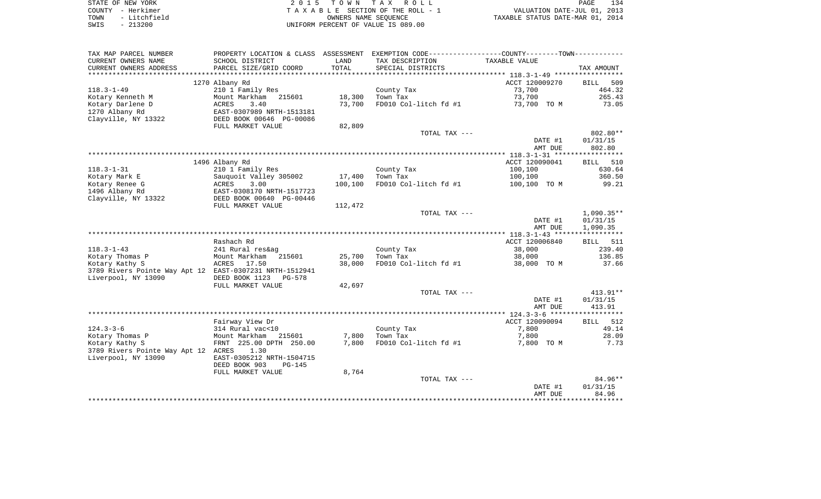| STATE OF NEW YORK    | 2015 TOWN TAX ROLL                 | 134<br>PAGE                      |
|----------------------|------------------------------------|----------------------------------|
| COUNTY - Herkimer    | TAXABLE SECTION OF THE ROLL - 1    | VALUATION DATE-JUL 01, 2013      |
| - Litchfield<br>TOWN | OWNERS NAME SEOUENCE               | TAXABLE STATUS DATE-MAR 01, 2014 |
| - 213200<br>SWIS     | UNIFORM PERCENT OF VALUE IS 089.00 |                                  |

| TAX MAP PARCEL NUMBER                                   |                                    |         | PROPERTY LOCATION & CLASS ASSESSMENT EXEMPTION CODE---------------COUNTY-------TOWN---------- |                           |                       |
|---------------------------------------------------------|------------------------------------|---------|-----------------------------------------------------------------------------------------------|---------------------------|-----------------------|
| CURRENT OWNERS NAME                                     | SCHOOL DISTRICT                    | LAND    | TAX DESCRIPTION                                                                               | TAXABLE VALUE             |                       |
| CURRENT OWNERS ADDRESS                                  | PARCEL SIZE/GRID COORD             | TOTAL   | SPECIAL DISTRICTS                                                                             |                           | TAX AMOUNT            |
|                                                         |                                    |         |                                                                                               |                           |                       |
|                                                         | 1270 Albany Rd                     |         |                                                                                               | ACCT 120009270            | <b>BILL</b><br>509    |
| $118.3 - 1 - 49$                                        | 210 1 Family Res                   |         | County Tax                                                                                    | 73,700                    | 464.32                |
| Kotary Kenneth M                                        | Mount Markham<br>215601            | 18,300  | Town Tax                                                                                      | 73,700                    | 265.43                |
| Kotary Darlene D                                        | 3.40<br>ACRES                      | 73,700  | FD010 Col-litch fd #1                                                                         | 73,700 TO M               | 73.05                 |
| 1270 Albany Rd                                          | EAST-0307989 NRTH-1513181          |         |                                                                                               |                           |                       |
| Clayville, NY 13322                                     | DEED BOOK 00646 PG-00086           |         |                                                                                               |                           |                       |
|                                                         | FULL MARKET VALUE                  | 82,809  |                                                                                               |                           |                       |
|                                                         |                                    |         | TOTAL TAX ---                                                                                 |                           | 802.80**              |
|                                                         |                                    |         |                                                                                               | DATE #1                   | 01/31/15              |
|                                                         |                                    |         |                                                                                               | AMT DUE                   | 802.80                |
|                                                         |                                    |         |                                                                                               |                           |                       |
| $118.3 - 1 - 31$                                        | 1496 Albany Rd<br>210 1 Family Res |         | County Tax                                                                                    | ACCT 120090041<br>100,100 | 510<br>BILL<br>630.64 |
| Kotary Mark E                                           | Sauquoit Valley 305002             | 17,400  | Town Tax                                                                                      | 100,100                   | 360.50                |
| Kotary Renee G                                          | 3.00<br>ACRES                      | 100,100 | FD010 Col-litch fd #1                                                                         | 100,100 TO M              | 99.21                 |
| 1496 Albany Rd                                          | EAST-0308170 NRTH-1517723          |         |                                                                                               |                           |                       |
| Clayville, NY 13322                                     | DEED BOOK 00640 PG-00446           |         |                                                                                               |                           |                       |
|                                                         | FULL MARKET VALUE                  | 112,472 |                                                                                               |                           |                       |
|                                                         |                                    |         | TOTAL TAX ---                                                                                 |                           | $1,090.35**$          |
|                                                         |                                    |         |                                                                                               | DATE #1                   | 01/31/15              |
|                                                         |                                    |         |                                                                                               | AMT DUE                   | 1,090.35              |
|                                                         |                                    |         |                                                                                               |                           |                       |
|                                                         | Rashach Rd                         |         |                                                                                               | ACCT 120006840            | 511<br>BILL           |
| $118.3 - 1 - 43$                                        | 241 Rural res&ag                   |         | County Tax                                                                                    | 38,000                    | 239.40                |
| Kotary Thomas P                                         | Mount Markham<br>215601            | 25,700  | Town Tax                                                                                      | 38,000                    | 136.85                |
| Kotary Kathy S                                          | ACRES<br>17.50                     | 38,000  | FD010 Col-litch fd #1                                                                         | 38,000 TO M               | 37.66                 |
| 3789 Rivers Pointe Way Apt 12 EAST-0307231 NRTH-1512941 |                                    |         |                                                                                               |                           |                       |
| Liverpool, NY 13090                                     | DEED BOOK 1123<br><b>PG-578</b>    |         |                                                                                               |                           |                       |
|                                                         | FULL MARKET VALUE                  | 42,697  |                                                                                               |                           |                       |
|                                                         |                                    |         | TOTAL TAX ---                                                                                 |                           | $413.91**$            |
|                                                         |                                    |         |                                                                                               | DATE #1                   | 01/31/15<br>413.91    |
|                                                         |                                    |         |                                                                                               | AMT DUE                   |                       |
|                                                         | Fairway View Dr                    |         |                                                                                               | ACCT 120090094            | BILL 512              |
| $124.3 - 3 - 6$                                         | 314 Rural vac<10                   |         | County Tax                                                                                    | 7,800                     | 49.14                 |
| Kotary Thomas P                                         | Mount Markham<br>215601            | 7,800   | Town Tax                                                                                      | 7,800                     | 28.09                 |
| Kotary Kathy S                                          | FRNT 225.00 DPTH 250.00            | 7,800   | FD010 Col-litch fd #1                                                                         | 7,800 TO M                | 7.73                  |
| 3789 Rivers Pointe Way Apt 12 ACRES                     | 1.30                               |         |                                                                                               |                           |                       |
| Liverpool, NY 13090                                     | EAST-0305212 NRTH-1504715          |         |                                                                                               |                           |                       |
|                                                         | DEED BOOK 903<br>$PG-145$          |         |                                                                                               |                           |                       |
|                                                         | FULL MARKET VALUE                  | 8,764   |                                                                                               |                           |                       |
|                                                         |                                    |         | TOTAL TAX ---                                                                                 |                           | 84.96**               |
|                                                         |                                    |         |                                                                                               | DATE #1                   | 01/31/15              |
|                                                         |                                    |         |                                                                                               | AMT DUE                   | 84.96                 |
|                                                         |                                    |         |                                                                                               |                           |                       |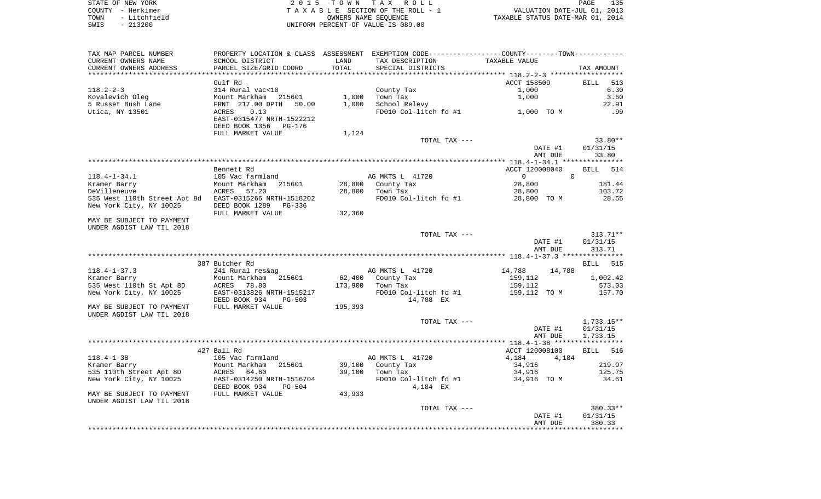STATE OF NEW YORK 2 0 1 5 T O W N T A X R O L L PAGE 135COUNTY - Herkimer **T A X A B L E** SECTION OF THE ROLL - 1 VALUATION DATE-JUL 01, 2013 TOWN - Litchfield COWNERS NAME SEQUENCE TAXABLE STATUS DATE-MAR 01, 2014 SWIS - 213200 UNIFORM PERCENT OF VALUE IS 089.00

TAX MAP PARCEL NUMBER PROPERTY LOCATION & CLASS ASSESSMENT EXEMPTION CODE------------------COUNTY--------TOWN------------ CURRENT OWNERS NAME SCHOOL DISTRICT LAND TAX DESCRIPTION TAXABLE VALUECURRENT OWNERS ADDRESS PARCEL SIZE/GRID COORD TOTAL SPECIAL DISTRICTS TAX AMOUNT \*\*\*\*\*\*\*\*\*\*\*\*\*\*\*\*\*\*\*\*\*\*\*\*\*\*\*\*\*\*\*\*\*\*\*\*\*\*\*\*\*\*\*\*\*\*\*\*\*\*\*\*\*\*\*\*\*\*\*\*\*\*\*\*\*\*\*\*\*\*\*\*\*\*\*\*\*\*\*\*\*\*\*\*\*\*\*\*\*\*\*\*\*\*\*\*\*\*\*\*\*\*\* 118.2-2-3 \*\*\*\*\*\*\*\*\*\*\*\*\*\*\*\*\*\* Gulf Rd ACCT 158509 BILL 513118.2-2-3 314 Rural vac<10 County Tax 1,000 6.30 Kovalevich Oleg Mount Markham 215601 1,000 Town Tax 1,000 3.60 5 Russet Bush Lane FRNT 217.00 DPTH 50.00 1,000 School Relevy 22.91 Utica, NY 13501 ACRES 0.13 FD010 Col-litch fd #1 1,000 TO M .99 EAST-0315477 NRTH-1522212 DEED BOOK 1356 PG-176FULL MARKET VALUE 1,124 TOTAL TAX --- 33.80\*\* DATE #1 01/31/15 AMT DUE 33.80 \*\*\*\*\*\*\*\*\*\*\*\*\*\*\*\*\*\*\*\*\*\*\*\*\*\*\*\*\*\*\*\*\*\*\*\*\*\*\*\*\*\*\*\*\*\*\*\*\*\*\*\*\*\*\*\*\*\*\*\*\*\*\*\*\*\*\*\*\*\*\*\*\*\*\*\*\*\*\*\*\*\*\*\*\*\*\*\*\*\*\*\*\*\*\*\*\*\*\*\*\*\*\* 118.4-1-34.1 \*\*\*\*\*\*\*\*\*\*\*\*\*\*\* Bennett Rd ACCT 120008040 BILL 514118.4-1-34.1 105 Vac farmland AG MKTS L 41720 0 0 0 0 Kramer Barry Mount Markham 215601 28,800 County Tax 28,800 181.44 DeVilleneuve ACRES 57.20 28,800 Town Tax 28,800 103.72 535 West 110th Street Apt 8d EAST-0315266 NRTH-1518202 FD010 Col-litch fd #1 28,800 TO M 28.55<br>New York City, NY 10025 DEED BOOK 1289 PG-336 New York City, NY 10025 FULL MARKET VALUE 32,360 MAY BE SUBJECT TO PAYMENT UNDER AGDIST LAW TIL 2018 TOTAL TAX --- 313.71\*\* DATE #1 01/31/15 AMT DUE 313.71 \*\*\*\*\*\*\*\*\*\*\*\*\*\*\*\*\*\*\*\*\*\*\*\*\*\*\*\*\*\*\*\*\*\*\*\*\*\*\*\*\*\*\*\*\*\*\*\*\*\*\*\*\*\*\*\*\*\*\*\*\*\*\*\*\*\*\*\*\*\*\*\*\*\*\*\*\*\*\*\*\*\*\*\*\*\*\*\*\*\*\*\*\*\*\*\*\*\*\*\*\*\*\* 118.4-1-37.3 \*\*\*\*\*\*\*\*\*\*\*\*\*\*\*387 Butcher Rd **BILL** 515 118.4-1-37.3 241 Rural res&ag AG MKTS L 41720 14,788 14,788 Kramer Barry 1,002.42 1,000 Mount Markham 215601 62,400 County Tax 159,112 1,002.42 535 West 110th St Apt 8D ACRES 78.80 173,900 Town Tax 159,112 573.03 New York City, NY 10025 EAST-0313826 NRTH-1515217 FD010 Col-litch fd #1 159,112 TO M 157.70 DEED BOOK 934 PG-503 14,788 EX MAY BE SUBJECT TO PAYMENT FULL MARKET VALUE 195,393 UNDER AGDIST LAW TIL 2018TOTAL TAX  $---$  1,733.15\*\* DATE #1 01/31/15 AMT DUE 1,733.15 \*\*\*\*\*\*\*\*\*\*\*\*\*\*\*\*\*\*\*\*\*\*\*\*\*\*\*\*\*\*\*\*\*\*\*\*\*\*\*\*\*\*\*\*\*\*\*\*\*\*\*\*\*\*\*\*\*\*\*\*\*\*\*\*\*\*\*\*\*\*\*\*\*\*\*\*\*\*\*\*\*\*\*\*\*\*\*\*\*\*\*\*\*\*\*\*\*\*\*\*\*\*\* 118.4-1-38 \*\*\*\*\*\*\*\*\*\*\*\*\*\*\*\*\*ACCT 120008100 BILL 516 BILL 516 118.4-1-38 105 Vac farmland AG MKTS L 41720 4,184 4,184 4,184 Kramer Barry Mount Markham 215601 39,100 County Tax 34,916 219.97 535 110th Street Apt 8D ACRES 64.60 39,100 Town Tax 34,916 125.75 New York City, NY 10025 EAST-0314250 NRTH-1516704 FD010 Col-litch fd #1 34,916 TO M 34.61 DEED BOOK 934 PG-504 4,184 EX MAY BE SUBJECT TO PAYMENT FULL MARKET VALUE  $43.933$ UNDER AGDIST LAW TIL 2018

 TOTAL TAX --- 380.33\*\* DATE #1 01/31/15 AMT DUE 380.33\*\*\*\*\*\*\*\*\*\*\*\*\*\*\*\*\*\*\*\*\*\*\*\*\*\*\*\*\*\*\*\*\*\*\*\*\*\*\*\*\*\*\*\*\*\*\*\*\*\*\*\*\*\*\*\*\*\*\*\*\*\*\*\*\*\*\*\*\*\*\*\*\*\*\*\*\*\*\*\*\*\*\*\*\*\*\*\*\*\*\*\*\*\*\*\*\*\*\*\*\*\*\*\*\*\*\*\*\*\*\*\*\*\*\*\*\*\*\*\*\*\*\*\*\*\*\*\*\*\*\*\*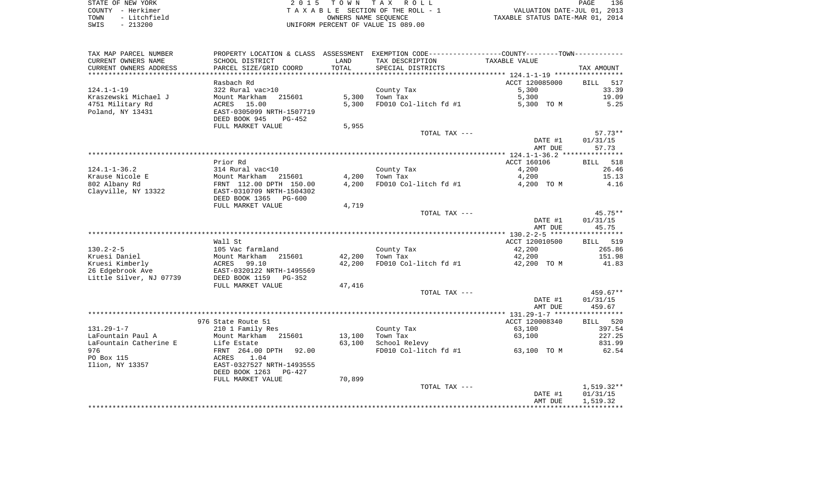| STATE OF NEW YORK    | 2015 TOWN TAX ROLL                 | 136<br>PAGE                      |
|----------------------|------------------------------------|----------------------------------|
| COUNTY - Herkimer    | TAXABLE SECTION OF THE ROLL - 1    | VALUATION DATE-JUL 01, 2013      |
| - Litchfield<br>TOWN | OWNERS NAME SEOUENCE               | TAXABLE STATUS DATE-MAR 01, 2014 |
| SWIS<br>$-213200$    | UNIFORM PERCENT OF VALUE IS 089.00 |                                  |

| TAX MAP PARCEL NUMBER   | PROPERTY LOCATION & CLASS ASSESSMENT |        | EXEMPTION CODE-----------------COUNTY--------TOWN----------- |                                                          |                    |
|-------------------------|--------------------------------------|--------|--------------------------------------------------------------|----------------------------------------------------------|--------------------|
| CURRENT OWNERS NAME     | SCHOOL DISTRICT                      | LAND   | TAX DESCRIPTION                                              | TAXABLE VALUE                                            |                    |
| CURRENT OWNERS ADDRESS  | PARCEL SIZE/GRID COORD               | TOTAL  | SPECIAL DISTRICTS                                            |                                                          | TAX AMOUNT         |
|                         |                                      |        |                                                              | *************************** 124.1-1-19 ***************** |                    |
|                         | Rasbach Rd                           |        |                                                              | ACCT 120085000                                           | <b>BILL</b><br>517 |
| $124.1 - 1 - 19$        | 322 Rural vac>10                     |        | County Tax                                                   | 5,300                                                    | 33.39              |
| Kraszewski Michael J    | Mount Markham<br>215601              | 5,300  | Town Tax                                                     | 5,300                                                    | 19.09              |
| 4751 Military Rd        | 15.00<br>ACRES                       | 5,300  | FD010 Col-litch fd #1                                        | 5,300 TO M                                               | 5.25               |
| Poland, NY 13431        | EAST-0305099 NRTH-1507719            |        |                                                              |                                                          |                    |
|                         | DEED BOOK 945<br>PG-452              |        |                                                              |                                                          |                    |
|                         | FULL MARKET VALUE                    | 5,955  |                                                              |                                                          |                    |
|                         |                                      |        | TOTAL TAX ---                                                |                                                          | $57.73**$          |
|                         |                                      |        |                                                              | DATE #1                                                  | 01/31/15           |
|                         |                                      |        |                                                              | AMT DUE                                                  | 57.73              |
|                         |                                      |        |                                                              |                                                          |                    |
|                         | Prior Rd                             |        |                                                              | ACCT 160106                                              | BILL 518           |
| $124.1 - 1 - 36.2$      | 314 Rural vac<10                     |        | County Tax                                                   | 4,200                                                    | 26.46              |
| Krause Nicole E         | Mount Markham<br>215601              | 4,200  | Town Tax                                                     | 4,200                                                    | 15.13              |
| 802 Albany Rd           | FRNT 112.00 DPTH 150.00              | 4,200  | FD010 Col-litch fd #1                                        | 4,200 TO M                                               | 4.16               |
| Clayville, NY 13322     | EAST-0310709 NRTH-1504302            |        |                                                              |                                                          |                    |
|                         | DEED BOOK 1365<br>$PG-600$           |        |                                                              |                                                          |                    |
|                         | FULL MARKET VALUE                    | 4,719  |                                                              |                                                          |                    |
|                         |                                      |        | TOTAL TAX ---                                                |                                                          | 45.75**            |
|                         |                                      |        |                                                              | DATE #1                                                  | 01/31/15           |
|                         |                                      |        |                                                              | AMT DUE                                                  | 45.75              |
|                         |                                      |        |                                                              |                                                          |                    |
|                         | Wall St                              |        |                                                              | ACCT 120010500                                           | 519<br>BILL        |
| $130.2 - 2 - 5$         | 105 Vac farmland                     |        | County Tax                                                   | 42,200                                                   | 265.86             |
| Kruesi Daniel           | 215601<br>Mount Markham              | 42,200 | Town Tax                                                     | 42,200                                                   | 151.98             |
| Kruesi Kimberly         | ACRES<br>99.10                       | 42,200 | FD010 Col-litch fd #1                                        | 42,200 TO M                                              | 41.83              |
| 26 Edgebrook Ave        | EAST-0320122 NRTH-1495569            |        |                                                              |                                                          |                    |
| Little Silver, NJ 07739 | DEED BOOK 1159<br>$PG-352$           |        |                                                              |                                                          |                    |
|                         | FULL MARKET VALUE                    | 47,416 |                                                              |                                                          |                    |
|                         |                                      |        | TOTAL TAX ---                                                |                                                          | 459.67**           |
|                         |                                      |        |                                                              | DATE #1                                                  | 01/31/15           |
|                         |                                      |        |                                                              | AMT DUE                                                  | 459.67             |
|                         |                                      |        |                                                              |                                                          |                    |
|                         | 976 State Route 51                   |        |                                                              | ACCT 120008340                                           | <b>BILL</b><br>520 |
| $131.29 - 1 - 7$        | 210 1 Family Res                     |        | County Tax                                                   | 63,100                                                   | 397.54             |
| LaFountain Paul A       | Mount Markham<br>215601              | 13,100 | Town Tax                                                     | 63,100                                                   | 227.25             |
| LaFountain Catherine E  | Life Estate                          | 63,100 | School Relevy                                                |                                                          | 831.99             |
| 976                     | FRNT 264.00 DPTH<br>92.00            |        | FD010 Col-litch fd #1                                        | 63,100 TO M                                              | 62.54              |
| PO Box 115              | 1.04<br>ACRES                        |        |                                                              |                                                          |                    |
| Ilion, NY 13357         | EAST-0327527 NRTH-1493555            |        |                                                              |                                                          |                    |
|                         | DEED BOOK 1263<br>PG-427             |        |                                                              |                                                          |                    |
|                         | FULL MARKET VALUE                    | 70,899 |                                                              |                                                          |                    |
|                         |                                      |        | TOTAL TAX ---                                                |                                                          | $1,519.32**$       |
|                         |                                      |        |                                                              | DATE #1                                                  | 01/31/15           |
|                         |                                      |        |                                                              | AMT DUE                                                  | 1,519.32           |
|                         |                                      |        |                                                              |                                                          |                    |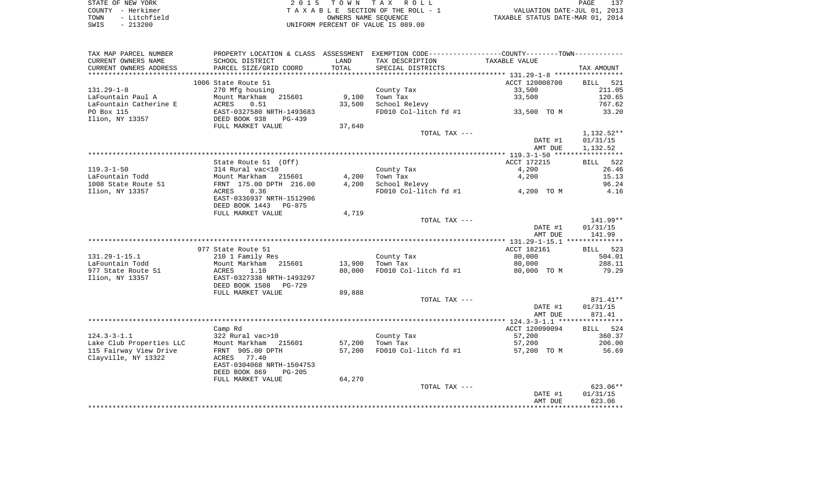| STATE OF NEW YORK    | 2015 TOWN TAX ROLL                 | 137<br>PAGE                      |
|----------------------|------------------------------------|----------------------------------|
| COUNTY - Herkimer    | TAXABLE SECTION OF THE ROLL - 1    | VALUATION DATE-JUL 01, 2013      |
| - Litchfield<br>TOWN | OWNERS NAME SEOUENCE               | TAXABLE STATUS DATE-MAR 01, 2014 |
| $-213200$<br>SWIS    | UNIFORM PERCENT OF VALUE IS 089.00 |                                  |

| TAX MAP PARCEL NUMBER    | PROPERTY LOCATION & CLASS ASSESSMENT |        | EXEMPTION CODE----------------COUNTY-------TOWN----------- |                |                    |
|--------------------------|--------------------------------------|--------|------------------------------------------------------------|----------------|--------------------|
| CURRENT OWNERS NAME      | SCHOOL DISTRICT                      | LAND   | TAX DESCRIPTION                                            | TAXABLE VALUE  |                    |
| CURRENT OWNERS ADDRESS   | PARCEL SIZE/GRID COORD               | TOTAL  | SPECIAL DISTRICTS                                          |                | TAX AMOUNT         |
| ***********************  | ******************************       |        |                                                            |                |                    |
|                          | 1006 State Route 51                  |        |                                                            | ACCT 120008700 | <b>BILL</b><br>521 |
| $131.29 - 1 - 8$         | 270 Mfg housing                      |        | County Tax                                                 | 33,500         | 211.05             |
| LaFountain Paul A        | Mount Markham<br>215601              | 9,100  | Town Tax                                                   | 33,500         | 120.65             |
| LaFountain Catherine E   | ACRES<br>0.51                        | 33,500 | School Relevy                                              |                | 767.62             |
| PO Box 115               | EAST-0327580 NRTH-1493683            |        | FD010 Col-litch fd #1                                      | 33,500 TO M    | 33.20              |
| Ilion, NY 13357          | DEED BOOK 938<br>$PG-439$            |        |                                                            |                |                    |
|                          | FULL MARKET VALUE                    | 37,640 |                                                            |                |                    |
|                          |                                      |        | TOTAL TAX ---                                              |                | 1,132.52**         |
|                          |                                      |        |                                                            | DATE #1        | 01/31/15           |
|                          |                                      |        |                                                            |                |                    |
|                          |                                      |        |                                                            | AMT DUE        | 1,132.52           |
|                          |                                      |        |                                                            |                |                    |
|                          | State Route 51 (Off)                 |        |                                                            | ACCT 172215    | 522<br>BILL        |
| $119.3 - 1 - 50$         | 314 Rural vac<10                     |        | County Tax                                                 | 4,200          | 26.46              |
| LaFountain Todd          | Mount Markham<br>215601              | 4,200  | Town Tax                                                   | 4,200          | 15.13              |
| 1008 State Route 51      | FRNT 175.00 DPTH 216.00              | 4,200  | School Relevy                                              |                | 96.24              |
| Ilion, NY 13357          | ACRES<br>0.36                        |        | FD010 Col-litch fd #1                                      | 4,200 TO M     | 4.16               |
|                          | EAST-0336937 NRTH-1512906            |        |                                                            |                |                    |
|                          | DEED BOOK 1443<br>PG-875             |        |                                                            |                |                    |
|                          | FULL MARKET VALUE                    | 4,719  |                                                            |                |                    |
|                          |                                      |        | TOTAL TAX ---                                              |                | 141.99**           |
|                          |                                      |        |                                                            | DATE #1        | 01/31/15           |
|                          |                                      |        |                                                            | AMT DUE        | 141.99             |
|                          |                                      |        |                                                            |                |                    |
|                          | 977 State Route 51                   |        |                                                            | ACCT 182161    | <b>BILL</b><br>523 |
| $131.29 - 1 - 15.1$      | 210 1 Family Res                     |        | County Tax                                                 | 80,000         | 504.01             |
| LaFountain Todd          | Mount Markham 215601                 | 13,900 | Town Tax                                                   | 80,000         | 288.11             |
| 977 State Route 51       | 1.10<br>ACRES                        | 80,000 | FD010 Col-litch fd #1                                      | 80,000 TO M    | 79.29              |
| Ilion, NY 13357          | EAST-0327338 NRTH-1493297            |        |                                                            |                |                    |
|                          | DEED BOOK 1508<br>PG-729             |        |                                                            |                |                    |
|                          | FULL MARKET VALUE                    | 89,888 |                                                            |                |                    |
|                          |                                      |        | TOTAL TAX ---                                              |                | 871.41**           |
|                          |                                      |        |                                                            | DATE #1        | 01/31/15           |
|                          |                                      |        |                                                            | AMT DUE        | 871.41             |
|                          |                                      |        |                                                            |                |                    |
|                          | Camp Rd                              |        |                                                            | ACCT 120090094 | BILL 524           |
| $124.3 - 3 - 1.1$        | 322 Rural vac>10                     |        | County Tax                                                 | 57,200         | 360.37             |
| Lake Club Properties LLC | Mount Markham<br>215601              | 57,200 | Town Tax                                                   | 57,200         | 206.00             |
| 115 Fairway View Drive   | FRNT 905.00 DPTH                     | 57,200 | FD010 Col-litch fd #1                                      | 57,200 TO M    | 56.69              |
| Clayville, NY 13322      | 77.40                                |        |                                                            |                |                    |
|                          | ACRES<br>EAST-0304068 NRTH-1504753   |        |                                                            |                |                    |
|                          |                                      |        |                                                            |                |                    |
|                          | DEED BOOK 869<br>$PG-205$            |        |                                                            |                |                    |
|                          | FULL MARKET VALUE                    | 64,270 |                                                            |                |                    |
|                          |                                      |        | TOTAL TAX ---                                              |                | $623.06**$         |
|                          |                                      |        |                                                            | DATE #1        | 01/31/15           |
|                          |                                      |        |                                                            | AMT DUE        | 623.06             |
|                          |                                      |        |                                                            |                |                    |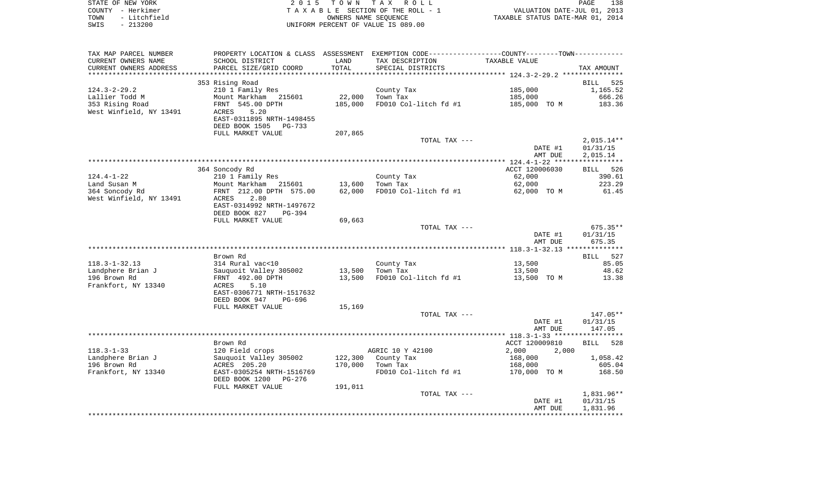|      | STATE OF NEW YORK | 2015 TOWN TAX ROLL                 | 138<br>PAGE                      |
|------|-------------------|------------------------------------|----------------------------------|
|      | COUNTY - Herkimer | TAXABLE SECTION OF THE ROLL - 1    | VALUATION DATE-JUL 01, 2013      |
| TOWN | - Litchfield      | OWNERS NAME SEOUENCE               | TAXABLE STATUS DATE-MAR 01, 2014 |
| SWIS | $-213200$         | UNIFORM PERCENT OF VALUE IS 089.00 |                                  |

| TAX MAP PARCEL NUMBER   | PROPERTY LOCATION & CLASS ASSESSMENT |         | EXEMPTION CODE-----------------COUNTY--------TOWN----------- |                |              |
|-------------------------|--------------------------------------|---------|--------------------------------------------------------------|----------------|--------------|
| CURRENT OWNERS NAME     | SCHOOL DISTRICT                      | LAND    | TAX DESCRIPTION                                              | TAXABLE VALUE  |              |
| CURRENT OWNERS ADDRESS  | PARCEL SIZE/GRID COORD               | TOTAL   | SPECIAL DISTRICTS                                            |                | TAX AMOUNT   |
|                         |                                      |         |                                                              |                |              |
|                         | 353 Rising Road                      |         |                                                              |                | 525<br>BILL  |
| $124.3 - 2 - 29.2$      | 210 1 Family Res                     |         | County Tax                                                   | 185,000        | 1,165.52     |
| Lallier Todd M          | Mount Markham<br>215601              | 22,000  | Town Tax                                                     | 185,000        | 666.26       |
| 353 Rising Road         | FRNT 545.00 DPTH                     | 185,000 | FD010 Col-litch fd #1                                        | 185,000 TO M   | 183.36       |
| West Winfield, NY 13491 | ACRES<br>5.20                        |         |                                                              |                |              |
|                         | EAST-0311895 NRTH-1498455            |         |                                                              |                |              |
|                         | DEED BOOK 1505<br>PG-733             |         |                                                              |                |              |
|                         | FULL MARKET VALUE                    | 207,865 |                                                              |                |              |
|                         |                                      |         | TOTAL TAX ---                                                |                | $2,015.14**$ |
|                         |                                      |         |                                                              | DATE #1        | 01/31/15     |
|                         |                                      |         |                                                              | AMT DUE        | 2,015.14     |
|                         |                                      |         |                                                              |                |              |
|                         | 364 Soncody Rd                       |         |                                                              | ACCT 120006030 | BILL 526     |
| $124.4 - 1 - 22$        | 210 1 Family Res                     |         | County Tax                                                   | 62,000         | 390.61       |
| Land Susan M            | Mount Markham<br>215601              | 13,600  | Town Tax                                                     | 62,000         | 223.29       |
| 364 Soncody Rd          | FRNT 212.00 DPTH 575.00              | 62,000  | FD010 Col-litch fd #1                                        | 62,000 TO M    | 61.45        |
| West Winfield, NY 13491 | 2.80<br>ACRES                        |         |                                                              |                |              |
|                         | EAST-0314992 NRTH-1497672            |         |                                                              |                |              |
|                         | DEED BOOK 827<br>PG-394              |         |                                                              |                |              |
|                         | FULL MARKET VALUE                    | 69,663  |                                                              |                |              |
|                         |                                      |         | TOTAL TAX ---                                                |                | $675.35**$   |
|                         |                                      |         |                                                              | DATE #1        | 01/31/15     |
|                         |                                      |         |                                                              | AMT DUE        | 675.35       |
|                         |                                      |         |                                                              |                |              |
|                         | Brown Rd                             |         |                                                              |                | BILL 527     |
| $118.3 - 1 - 32.13$     | 314 Rural vac<10                     |         | County Tax                                                   | 13,500         | 85.05        |
| Landphere Brian J       | Sauquoit Valley 305002               | 13,500  | Town Tax                                                     | 13,500         | 48.62        |
| 196 Brown Rd            | FRNT 492.00 DPTH                     | 13,500  | FD010 Col-litch fd #1                                        | 13,500 TO M    | 13.38        |
| Frankfort, NY 13340     | 5.10<br>ACRES                        |         |                                                              |                |              |
|                         | EAST-0306771 NRTH-1517632            |         |                                                              |                |              |
|                         | DEED BOOK 947<br>PG-696              |         |                                                              |                |              |
|                         | FULL MARKET VALUE                    | 15,169  |                                                              |                |              |
|                         |                                      |         | TOTAL TAX ---                                                |                | 147.05**     |
|                         |                                      |         |                                                              | DATE #1        | 01/31/15     |
|                         |                                      |         |                                                              | AMT DUE        | 147.05       |
|                         |                                      |         |                                                              |                |              |
|                         | Brown Rd                             |         |                                                              | ACCT 120009810 | 528<br>BILL  |
| $118.3 - 1 - 33$        | 120 Field crops                      |         | AGRIC 10 Y 42100                                             | 2,000<br>2,000 |              |
| Landphere Brian J       | Sauquoit Valley 305002               | 122,300 | County Tax                                                   | 168,000        | 1,058.42     |
| 196 Brown Rd            | ACRES 205.20                         | 170,000 | Town Tax                                                     | 168,000        | 605.04       |
| Frankfort, NY 13340     | EAST-0305254 NRTH-1516769            |         | FD010 Col-litch fd #1                                        | 170,000 TO M   | 168.50       |
|                         | DEED BOOK 1200<br>PG-276             |         |                                                              |                |              |
|                         | FULL MARKET VALUE                    | 191,011 |                                                              |                |              |
|                         |                                      |         | TOTAL TAX ---                                                |                | 1,831.96**   |
|                         |                                      |         |                                                              | DATE #1        | 01/31/15     |
|                         |                                      |         |                                                              | AMT DUE        | 1,831.96     |
|                         |                                      |         |                                                              |                |              |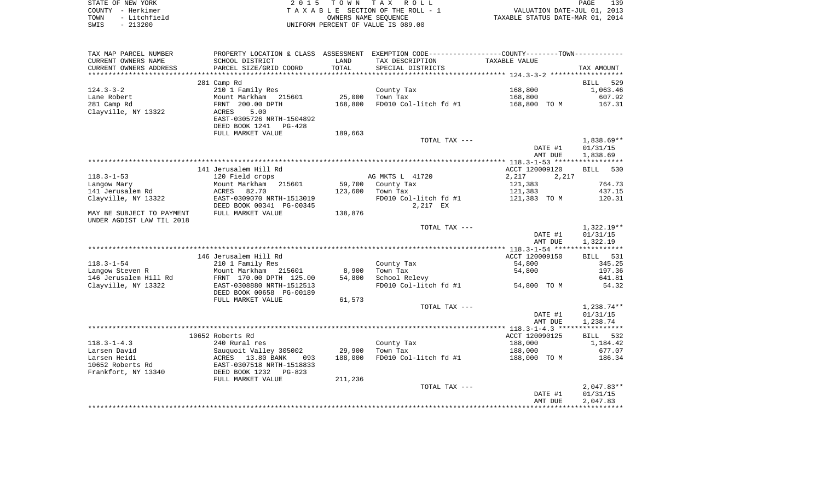| STATE OF NEW YORK |                   | 2015 TOWN TAX ROLL                 | 139<br>PAGE                      |
|-------------------|-------------------|------------------------------------|----------------------------------|
|                   | COUNTY - Herkimer | TAXABLE SECTION OF THE ROLL - 1    | VALUATION DATE-JUL 01, 2013      |
| TOWN              | - Litchfield      | OWNERS NAME SEOUENCE               | TAXABLE STATUS DATE-MAR 01, 2014 |
| SWIS              | - 213200          | UNIFORM PERCENT OF VALUE IS 089.00 |                                  |

| TAX MAP PARCEL NUMBER            |                                                     |         | PROPERTY LOCATION & CLASS ASSESSMENT EXEMPTION CODE---------------COUNTY-------TOWN---------- |                |                    |
|----------------------------------|-----------------------------------------------------|---------|-----------------------------------------------------------------------------------------------|----------------|--------------------|
| CURRENT OWNERS NAME              | SCHOOL DISTRICT                                     | LAND    | TAX DESCRIPTION                                                                               | TAXABLE VALUE  |                    |
| CURRENT OWNERS ADDRESS           | PARCEL SIZE/GRID COORD                              | TOTAL   | SPECIAL DISTRICTS                                                                             |                | TAX AMOUNT         |
| *****************                |                                                     |         |                                                                                               |                |                    |
|                                  | 281 Camp Rd                                         |         |                                                                                               |                | <b>BILL</b><br>529 |
| $124.3 - 3 - 2$                  | 210 1 Family Res                                    |         | County Tax                                                                                    | 168,800        | 1,063.46           |
| Lane Robert                      | Mount Markham 215601                                | 25,000  | Town Tax                                                                                      | 168,800        | 607.92             |
| 281 Camp Rd                      | FRNT 200.00 DPTH                                    | 168,800 | FD010 Col-litch fd #1                                                                         | 168,800 TO M   | 167.31             |
| Clayville, NY 13322              | 5.00<br>ACRES                                       |         |                                                                                               |                |                    |
|                                  | EAST-0305726 NRTH-1504892                           |         |                                                                                               |                |                    |
|                                  | DEED BOOK 1241<br>PG-428                            |         |                                                                                               |                |                    |
|                                  | FULL MARKET VALUE                                   | 189,663 | TOTAL TAX ---                                                                                 |                | 1,838.69**         |
|                                  |                                                     |         |                                                                                               | DATE #1        | 01/31/15           |
|                                  |                                                     |         |                                                                                               | AMT DUE        | 1,838.69           |
|                                  |                                                     |         |                                                                                               |                |                    |
|                                  | 141 Jerusalem Hill Rd                               |         |                                                                                               | ACCT 120009120 | <b>BILL</b><br>530 |
| $118.3 - 1 - 53$                 | 120 Field crops                                     |         | AG MKTS L 41720                                                                               | 2,217<br>2,217 |                    |
| Langow Mary                      | Mount Markham 215601                                | 59,700  | County Tax                                                                                    | 121,383        | 764.73             |
| 141 Jerusalem Rd                 | ACRES<br>82.70                                      | 123,600 | Town Tax                                                                                      | 121,383        | 437.15             |
| Clayville, NY 13322              | EAST-0309070 NRTH-1513019                           |         | FD010 Col-litch fd #1                                                                         | 121,383 TO M   | 120.31             |
|                                  | DEED BOOK 00341 PG-00345                            |         | 2,217 EX                                                                                      |                |                    |
| MAY BE SUBJECT TO PAYMENT        | FULL MARKET VALUE                                   | 138,876 |                                                                                               |                |                    |
| UNDER AGDIST LAW TIL 2018        |                                                     |         |                                                                                               |                |                    |
|                                  |                                                     |         | TOTAL TAX ---                                                                                 |                | 1,322.19**         |
|                                  |                                                     |         |                                                                                               | DATE #1        | 01/31/15           |
|                                  |                                                     |         |                                                                                               | AMT DUE        | 1,322.19           |
|                                  | 146 Jerusalem Hill Rd                               |         |                                                                                               | ACCT 120009150 | BILL 531           |
| $118.3 - 1 - 54$                 | 210 1 Family Res                                    |         | County Tax                                                                                    | 54,800         | 345.25             |
| Langow Steven R                  | Mount Markham 215601                                | 8,900   | Town Tax                                                                                      | 54,800         | 197.36             |
| 146 Jerusalem Hill Rd            | FRNT 170.00 DPTH 125.00                             | 54,800  | School Relevy                                                                                 |                | 641.81             |
| Clayville, NY 13322              | EAST-0308880 NRTH-1512513                           |         | FD010 Col-litch fd #1                                                                         | 54,800 TO M    | 54.32              |
|                                  | DEED BOOK 00658 PG-00189                            |         |                                                                                               |                |                    |
|                                  | FULL MARKET VALUE                                   | 61,573  |                                                                                               |                |                    |
|                                  |                                                     |         | TOTAL TAX ---                                                                                 |                | 1,238.74**         |
|                                  |                                                     |         |                                                                                               | DATE #1        | 01/31/15           |
|                                  |                                                     |         |                                                                                               | AMT DUE        | 1,238.74           |
|                                  |                                                     |         |                                                                                               |                |                    |
|                                  | 10652 Roberts Rd                                    |         |                                                                                               | ACCT 120090125 | BILL 532           |
| $118.3 - 1 - 4.3$                | 240 Rural res                                       |         | County Tax                                                                                    | 188,000        | 1,184.42           |
| Larsen David                     | Sauquoit Valley 305002<br>ACRES   13.80 BANK    093 | 29,900  | Town Tax                                                                                      | 188,000        | 677.07             |
| Larsen Heidi<br>10652 Roberts Rd |                                                     | 188,000 | FD010 Col-litch fd #1                                                                         | 188,000 TO M   | 186.34             |
| Frankfort, NY 13340              | EAST-0307518 NRTH-1518833<br>DEED BOOK 1232 PG-823  |         |                                                                                               |                |                    |
|                                  | FULL MARKET VALUE                                   | 211,236 |                                                                                               |                |                    |
|                                  |                                                     |         | TOTAL TAX ---                                                                                 |                | $2,047.83**$       |
|                                  |                                                     |         |                                                                                               | DATE #1        | 01/31/15           |
|                                  |                                                     |         |                                                                                               | AMT DUE        | 2,047.83           |
|                                  |                                                     |         |                                                                                               |                |                    |
|                                  |                                                     |         |                                                                                               |                |                    |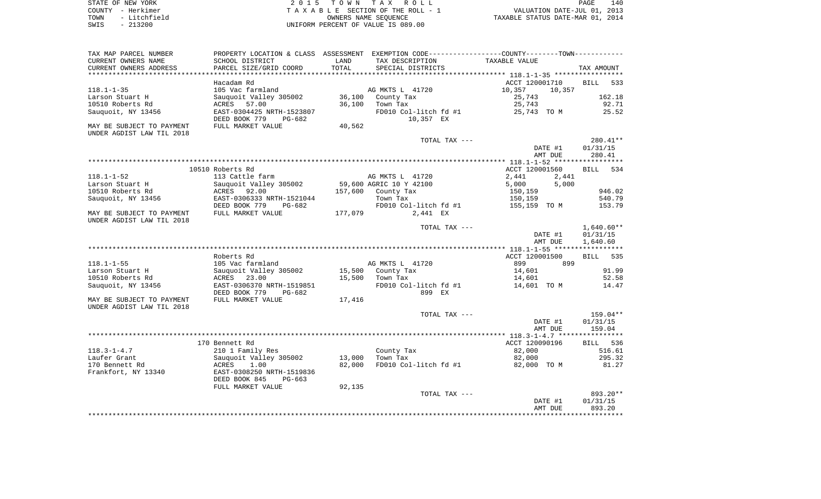| STATE OF NEW YORK    | 2015 TOWN TAX ROLL                   | 140<br>PAGE                      |
|----------------------|--------------------------------------|----------------------------------|
| COUNTY - Herkimer    | TAXABLE SECTION OF THE ROLL - 1      | VALUATION DATE-JUL 01, 2013      |
| - Litchfield<br>TOWN | OWNERS NAME SEOUENCE                 | TAXABLE STATUS DATE-MAR 01, 2014 |
| CMTC _ 01.2000       | LINITEONA DEDCENT OF VALUE TO 000 00 |                                  |

SWIS - 213200 UNIFORM PERCENT OF VALUE IS 089.00

| TAX MAP PARCEL NUMBER     |                           |         | PROPERTY LOCATION & CLASS ASSESSMENT EXEMPTION CODE---------------COUNTY--------TOWN---------- |                  |                    |
|---------------------------|---------------------------|---------|------------------------------------------------------------------------------------------------|------------------|--------------------|
| CURRENT OWNERS NAME       | SCHOOL DISTRICT           | LAND    | TAX DESCRIPTION                                                                                | TAXABLE VALUE    |                    |
| CURRENT OWNERS ADDRESS    | PARCEL SIZE/GRID COORD    | TOTAL   | SPECIAL DISTRICTS                                                                              |                  | TAX AMOUNT         |
|                           |                           |         |                                                                                                |                  |                    |
|                           | Hacadam Rd                |         |                                                                                                | ACCT 120001710   | <b>BILL</b><br>533 |
| $118.1 - 1 - 35$          | 105 Vac farmland          |         | AG MKTS L 41720                                                                                | 10,357<br>10,357 |                    |
| Larson Stuart H           | Sauguoit Valley 305002    |         | 36,100 County Tax                                                                              | 25,743           | 162.18             |
| 10510 Roberts Rd          | ACRES 57.00               | 36,100  | Town Tax                                                                                       | 25,743           | 92.71              |
| Sauquoit, NY 13456        | EAST-0304425 NRTH-1523807 |         | FD010 Col-litch fd #1                                                                          | 25,743 TO M      | 25.52              |
|                           | DEED BOOK 779<br>PG-682   |         | 10,357 EX                                                                                      |                  |                    |
| MAY BE SUBJECT TO PAYMENT | FULL MARKET VALUE         | 40,562  |                                                                                                |                  |                    |
| UNDER AGDIST LAW TIL 2018 |                           |         |                                                                                                |                  |                    |
|                           |                           |         | TOTAL TAX ---                                                                                  |                  | $280.41**$         |
|                           |                           |         |                                                                                                | DATE #1          | 01/31/15           |
|                           |                           |         |                                                                                                | AMT DUE          | 280.41             |
|                           |                           |         |                                                                                                |                  |                    |
|                           | 10510 Roberts Rd          |         |                                                                                                | ACCT 120001560   | BILL 534           |
| $118.1 - 1 - 52$          | 113 Cattle farm           |         | AG MKTS L 41720                                                                                | 2,441<br>2,441   |                    |
| Larson Stuart H           | Sauquoit Valley 305002    |         | 59,600 AGRIC 10 Y 42100                                                                        | 5,000<br>5,000   |                    |
| 10510 Roberts Rd          | ACRES<br>92.00            |         | 157,600 County Tax                                                                             | 150,159          | 946.02             |
| Sauquoit, NY 13456        | EAST-0306333 NRTH-1521044 |         | Town Tax                                                                                       | 150,159          | 540.79             |
|                           | DEED BOOK 779<br>PG-682   |         | FD010 Col-litch fd #1                                                                          | 155,159  TO M    | 153.79             |
| MAY BE SUBJECT TO PAYMENT | FULL MARKET VALUE         | 177,079 | 2,441 EX                                                                                       |                  |                    |
| UNDER AGDIST LAW TIL 2018 |                           |         |                                                                                                |                  |                    |
|                           |                           |         | TOTAL TAX ---                                                                                  |                  | $1,640.60**$       |
|                           |                           |         |                                                                                                | DATE #1          | 01/31/15           |
|                           |                           |         |                                                                                                | AMT DUE          | 1,640.60           |
|                           |                           |         |                                                                                                |                  |                    |
|                           | Roberts Rd                |         |                                                                                                | ACCT 120001500   | BILL 535           |
| $118.1 - 1 - 55$          | 105 Vac farmland          |         | AG MKTS L 41720                                                                                | 899<br>899       |                    |
| Larson Stuart H           | Sauguoit Valley 305002    |         | 15,500 County Tax                                                                              | 14,601           | 91.99              |
| 10510 Roberts Rd          | ACRES 23.00               | 15,500  | Town Tax                                                                                       | 14,601           | 52.58              |
| Sauquoit, NY 13456        | EAST-0306370 NRTH-1519851 |         | FD010 Col-litch fd #1                                                                          | 14,601 TO M      | 14.47              |
|                           | DEED BOOK 779<br>PG-682   |         | 899 EX                                                                                         |                  |                    |
| MAY BE SUBJECT TO PAYMENT | FULL MARKET VALUE         | 17,416  |                                                                                                |                  |                    |
| UNDER AGDIST LAW TIL 2018 |                           |         |                                                                                                |                  |                    |
|                           |                           |         | TOTAL TAX ---                                                                                  |                  | 159.04**           |
|                           |                           |         |                                                                                                | DATE #1          | 01/31/15           |
|                           |                           |         |                                                                                                | AMT DUE          | 159.04             |
|                           |                           |         |                                                                                                |                  |                    |
|                           | 170 Bennett Rd            |         |                                                                                                | ACCT 120090196   | BILL 536           |
| $118.3 - 1 - 4.7$         | 210 1 Family Res          |         | County Tax                                                                                     | 82,000           | 516.61             |
| Laufer Grant              | Sauguoit Valley 305002    | 13,000  | Town Tax                                                                                       | 82,000           | 295.32             |
| 170 Bennett Rd            | ACRES<br>1.00             | 82,000  | FD010 Col-litch fd #1                                                                          | 82,000 TO M      | 81.27              |
| Frankfort, NY 13340       | EAST-0308250 NRTH-1519836 |         |                                                                                                |                  |                    |
|                           | DEED BOOK 845<br>$PG-663$ |         |                                                                                                |                  |                    |
|                           | FULL MARKET VALUE         | 92,135  |                                                                                                |                  |                    |
|                           |                           |         | TOTAL TAX ---                                                                                  |                  | 893.20**           |
|                           |                           |         |                                                                                                | DATE #1          | 01/31/15           |
|                           |                           |         |                                                                                                | AMT DUE          | 893.20             |
|                           |                           |         |                                                                                                |                  |                    |
|                           |                           |         |                                                                                                |                  |                    |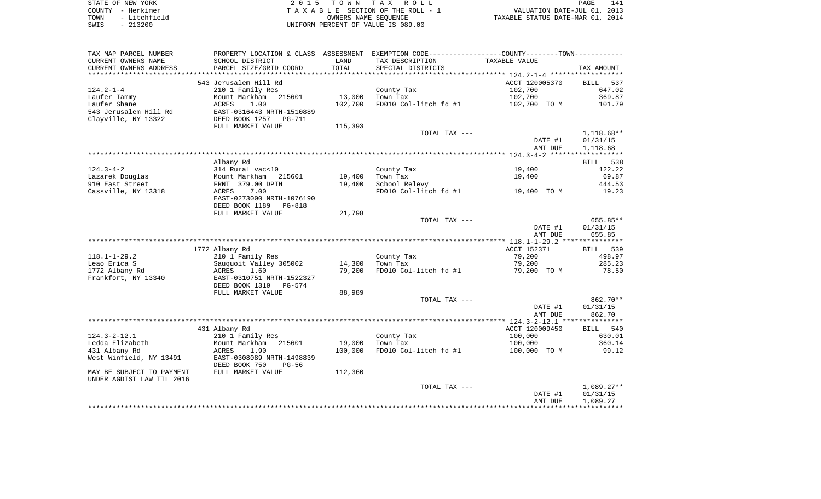| STATE OF NEW YORK    | 2015 TOWN TAX ROLL                 | 141<br>PAGE                      |
|----------------------|------------------------------------|----------------------------------|
| COUNTY - Herkimer    | TAXABLE SECTION OF THE ROLL - 1    | VALUATION DATE-JUL 01, 2013      |
| - Litchfield<br>TOWN | OWNERS NAME SEOUENCE               | TAXABLE STATUS DATE-MAR 01, 2014 |
| $-213200$<br>SWIS    | UNIFORM PERCENT OF VALUE IS 089.00 |                                  |

| SCHOOL DISTRICT<br>TAX DESCRIPTION<br>TAXABLE VALUE<br>LAND<br>TOTAL<br>PARCEL SIZE/GRID COORD<br>SPECIAL DISTRICTS<br>TAX AMOUNT<br>********************<br>543 Jerusalem Hill Rd<br>ACCT 120005370<br><b>BILL</b><br>537<br>210 1 Family Res<br>County Tax<br>102,700<br>647.02<br>13,000<br>Mount Markham<br>215601<br>Town Tax<br>102,700<br>369.87<br>FD010 Col-litch fd #1<br>ACRES<br>1.00<br>102,700<br>102,700 TO M<br>101.79<br>EAST-0316443 NRTH-1510889<br>Clayville, NY 13322<br>DEED BOOK 1257<br>PG-711<br>FULL MARKET VALUE<br>115,393<br>TOTAL TAX ---<br>$1,118.68**$<br>DATE #1<br>01/31/15<br>AMT DUE<br>1,118.68<br>Albany Rd<br>538<br>BILL<br>$124.3 - 4 - 2$<br>314 Rural vac<10<br>122.22<br>County Tax<br>19,400<br>Lazarek Douglas<br>19,400<br>Town Tax<br>69.87<br>Mount Markham<br>215601<br>19,400<br>910 East Street<br>19,400<br>School Relevy<br>444.53<br>FRNT 379.00 DPTH<br>Cassville, NY 13318<br>7.00<br>FD010 Col-litch fd #1<br>19.23<br>ACRES<br>19,400 TO M<br>EAST-0273000 NRTH-1076190<br>DEED BOOK 1189<br><b>PG-818</b><br>21,798<br>FULL MARKET VALUE<br>TOTAL TAX ---<br>655.85**<br>DATE #1<br>01/31/15<br>AMT DUE<br>655.85<br>1772 Albany Rd<br>ACCT 152371<br>BILL 539<br>79,200<br>498.97<br>$118.1 - 1 - 29.2$<br>210 1 Family Res<br>County Tax<br>Leao Erica S<br>Sauguoit Valley 305002<br>79,200<br>285.23<br>14,300<br>Town Tax<br>1772 Albany Rd<br>79,200<br>ACRES<br>1.60<br>FD010 Col-litch fd #1<br>79,200 TO M<br>78.50<br>Frankfort, NY 13340<br>EAST-0310751 NRTH-1522327<br>DEED BOOK 1319<br>PG-574<br>88,989<br>FULL MARKET VALUE<br>862.70**<br>TOTAL TAX ---<br>DATE #1<br>01/31/15<br>AMT DUE<br>862.70<br>431 Albany Rd<br>ACCT 120009450<br>BILL 540<br>$124.3 - 2 - 12.1$<br>210 1 Family Res<br>County Tax<br>100,000<br>630.01<br>Ledda Elizabeth<br>Mount Markham<br>19,000<br>Town Tax<br>100,000<br>360.14<br>215601<br>431 Albany Rd<br>100,000<br>FD010 Col-litch fd #1<br>99.12<br>ACRES<br>100,000 TO M<br>1.90<br>West Winfield, NY 13491<br>EAST-0308089 NRTH-1498839<br>DEED BOOK 750<br>$PG-56$<br>MAY BE SUBJECT TO PAYMENT<br>112,360<br>FULL MARKET VALUE<br>UNDER AGDIST LAW TIL 2016<br>$1,089.27**$<br>TOTAL TAX ---<br>DATE #1<br>01/31/15<br>AMT DUE<br>1,089.27 | TAX MAP PARCEL NUMBER  | PROPERTY LOCATION & CLASS ASSESSMENT EXEMPTION CODE----------------COUNTY--------TOWN---------- |  |  |
|--------------------------------------------------------------------------------------------------------------------------------------------------------------------------------------------------------------------------------------------------------------------------------------------------------------------------------------------------------------------------------------------------------------------------------------------------------------------------------------------------------------------------------------------------------------------------------------------------------------------------------------------------------------------------------------------------------------------------------------------------------------------------------------------------------------------------------------------------------------------------------------------------------------------------------------------------------------------------------------------------------------------------------------------------------------------------------------------------------------------------------------------------------------------------------------------------------------------------------------------------------------------------------------------------------------------------------------------------------------------------------------------------------------------------------------------------------------------------------------------------------------------------------------------------------------------------------------------------------------------------------------------------------------------------------------------------------------------------------------------------------------------------------------------------------------------------------------------------------------------------------------------------------------------------------------------------------------------------------------------------------------------------------------------------------------------------------------------------------------------------------------------------------------------------------------------------------------------------------------------------------------------|------------------------|-------------------------------------------------------------------------------------------------|--|--|
|                                                                                                                                                                                                                                                                                                                                                                                                                                                                                                                                                                                                                                                                                                                                                                                                                                                                                                                                                                                                                                                                                                                                                                                                                                                                                                                                                                                                                                                                                                                                                                                                                                                                                                                                                                                                                                                                                                                                                                                                                                                                                                                                                                                                                                                                    | CURRENT OWNERS NAME    |                                                                                                 |  |  |
|                                                                                                                                                                                                                                                                                                                                                                                                                                                                                                                                                                                                                                                                                                                                                                                                                                                                                                                                                                                                                                                                                                                                                                                                                                                                                                                                                                                                                                                                                                                                                                                                                                                                                                                                                                                                                                                                                                                                                                                                                                                                                                                                                                                                                                                                    | CURRENT OWNERS ADDRESS |                                                                                                 |  |  |
|                                                                                                                                                                                                                                                                                                                                                                                                                                                                                                                                                                                                                                                                                                                                                                                                                                                                                                                                                                                                                                                                                                                                                                                                                                                                                                                                                                                                                                                                                                                                                                                                                                                                                                                                                                                                                                                                                                                                                                                                                                                                                                                                                                                                                                                                    |                        |                                                                                                 |  |  |
|                                                                                                                                                                                                                                                                                                                                                                                                                                                                                                                                                                                                                                                                                                                                                                                                                                                                                                                                                                                                                                                                                                                                                                                                                                                                                                                                                                                                                                                                                                                                                                                                                                                                                                                                                                                                                                                                                                                                                                                                                                                                                                                                                                                                                                                                    |                        |                                                                                                 |  |  |
|                                                                                                                                                                                                                                                                                                                                                                                                                                                                                                                                                                                                                                                                                                                                                                                                                                                                                                                                                                                                                                                                                                                                                                                                                                                                                                                                                                                                                                                                                                                                                                                                                                                                                                                                                                                                                                                                                                                                                                                                                                                                                                                                                                                                                                                                    | $124.2 - 1 - 4$        |                                                                                                 |  |  |
|                                                                                                                                                                                                                                                                                                                                                                                                                                                                                                                                                                                                                                                                                                                                                                                                                                                                                                                                                                                                                                                                                                                                                                                                                                                                                                                                                                                                                                                                                                                                                                                                                                                                                                                                                                                                                                                                                                                                                                                                                                                                                                                                                                                                                                                                    | Laufer Tammy           |                                                                                                 |  |  |
|                                                                                                                                                                                                                                                                                                                                                                                                                                                                                                                                                                                                                                                                                                                                                                                                                                                                                                                                                                                                                                                                                                                                                                                                                                                                                                                                                                                                                                                                                                                                                                                                                                                                                                                                                                                                                                                                                                                                                                                                                                                                                                                                                                                                                                                                    | Laufer Shane           |                                                                                                 |  |  |
|                                                                                                                                                                                                                                                                                                                                                                                                                                                                                                                                                                                                                                                                                                                                                                                                                                                                                                                                                                                                                                                                                                                                                                                                                                                                                                                                                                                                                                                                                                                                                                                                                                                                                                                                                                                                                                                                                                                                                                                                                                                                                                                                                                                                                                                                    | 543 Jerusalem Hill Rd  |                                                                                                 |  |  |
|                                                                                                                                                                                                                                                                                                                                                                                                                                                                                                                                                                                                                                                                                                                                                                                                                                                                                                                                                                                                                                                                                                                                                                                                                                                                                                                                                                                                                                                                                                                                                                                                                                                                                                                                                                                                                                                                                                                                                                                                                                                                                                                                                                                                                                                                    |                        |                                                                                                 |  |  |
|                                                                                                                                                                                                                                                                                                                                                                                                                                                                                                                                                                                                                                                                                                                                                                                                                                                                                                                                                                                                                                                                                                                                                                                                                                                                                                                                                                                                                                                                                                                                                                                                                                                                                                                                                                                                                                                                                                                                                                                                                                                                                                                                                                                                                                                                    |                        |                                                                                                 |  |  |
|                                                                                                                                                                                                                                                                                                                                                                                                                                                                                                                                                                                                                                                                                                                                                                                                                                                                                                                                                                                                                                                                                                                                                                                                                                                                                                                                                                                                                                                                                                                                                                                                                                                                                                                                                                                                                                                                                                                                                                                                                                                                                                                                                                                                                                                                    |                        |                                                                                                 |  |  |
|                                                                                                                                                                                                                                                                                                                                                                                                                                                                                                                                                                                                                                                                                                                                                                                                                                                                                                                                                                                                                                                                                                                                                                                                                                                                                                                                                                                                                                                                                                                                                                                                                                                                                                                                                                                                                                                                                                                                                                                                                                                                                                                                                                                                                                                                    |                        |                                                                                                 |  |  |
|                                                                                                                                                                                                                                                                                                                                                                                                                                                                                                                                                                                                                                                                                                                                                                                                                                                                                                                                                                                                                                                                                                                                                                                                                                                                                                                                                                                                                                                                                                                                                                                                                                                                                                                                                                                                                                                                                                                                                                                                                                                                                                                                                                                                                                                                    |                        |                                                                                                 |  |  |
|                                                                                                                                                                                                                                                                                                                                                                                                                                                                                                                                                                                                                                                                                                                                                                                                                                                                                                                                                                                                                                                                                                                                                                                                                                                                                                                                                                                                                                                                                                                                                                                                                                                                                                                                                                                                                                                                                                                                                                                                                                                                                                                                                                                                                                                                    |                        |                                                                                                 |  |  |
|                                                                                                                                                                                                                                                                                                                                                                                                                                                                                                                                                                                                                                                                                                                                                                                                                                                                                                                                                                                                                                                                                                                                                                                                                                                                                                                                                                                                                                                                                                                                                                                                                                                                                                                                                                                                                                                                                                                                                                                                                                                                                                                                                                                                                                                                    |                        |                                                                                                 |  |  |
|                                                                                                                                                                                                                                                                                                                                                                                                                                                                                                                                                                                                                                                                                                                                                                                                                                                                                                                                                                                                                                                                                                                                                                                                                                                                                                                                                                                                                                                                                                                                                                                                                                                                                                                                                                                                                                                                                                                                                                                                                                                                                                                                                                                                                                                                    |                        |                                                                                                 |  |  |
|                                                                                                                                                                                                                                                                                                                                                                                                                                                                                                                                                                                                                                                                                                                                                                                                                                                                                                                                                                                                                                                                                                                                                                                                                                                                                                                                                                                                                                                                                                                                                                                                                                                                                                                                                                                                                                                                                                                                                                                                                                                                                                                                                                                                                                                                    |                        |                                                                                                 |  |  |
|                                                                                                                                                                                                                                                                                                                                                                                                                                                                                                                                                                                                                                                                                                                                                                                                                                                                                                                                                                                                                                                                                                                                                                                                                                                                                                                                                                                                                                                                                                                                                                                                                                                                                                                                                                                                                                                                                                                                                                                                                                                                                                                                                                                                                                                                    |                        |                                                                                                 |  |  |
|                                                                                                                                                                                                                                                                                                                                                                                                                                                                                                                                                                                                                                                                                                                                                                                                                                                                                                                                                                                                                                                                                                                                                                                                                                                                                                                                                                                                                                                                                                                                                                                                                                                                                                                                                                                                                                                                                                                                                                                                                                                                                                                                                                                                                                                                    |                        |                                                                                                 |  |  |
|                                                                                                                                                                                                                                                                                                                                                                                                                                                                                                                                                                                                                                                                                                                                                                                                                                                                                                                                                                                                                                                                                                                                                                                                                                                                                                                                                                                                                                                                                                                                                                                                                                                                                                                                                                                                                                                                                                                                                                                                                                                                                                                                                                                                                                                                    |                        |                                                                                                 |  |  |
|                                                                                                                                                                                                                                                                                                                                                                                                                                                                                                                                                                                                                                                                                                                                                                                                                                                                                                                                                                                                                                                                                                                                                                                                                                                                                                                                                                                                                                                                                                                                                                                                                                                                                                                                                                                                                                                                                                                                                                                                                                                                                                                                                                                                                                                                    |                        |                                                                                                 |  |  |
|                                                                                                                                                                                                                                                                                                                                                                                                                                                                                                                                                                                                                                                                                                                                                                                                                                                                                                                                                                                                                                                                                                                                                                                                                                                                                                                                                                                                                                                                                                                                                                                                                                                                                                                                                                                                                                                                                                                                                                                                                                                                                                                                                                                                                                                                    |                        |                                                                                                 |  |  |
|                                                                                                                                                                                                                                                                                                                                                                                                                                                                                                                                                                                                                                                                                                                                                                                                                                                                                                                                                                                                                                                                                                                                                                                                                                                                                                                                                                                                                                                                                                                                                                                                                                                                                                                                                                                                                                                                                                                                                                                                                                                                                                                                                                                                                                                                    |                        |                                                                                                 |  |  |
|                                                                                                                                                                                                                                                                                                                                                                                                                                                                                                                                                                                                                                                                                                                                                                                                                                                                                                                                                                                                                                                                                                                                                                                                                                                                                                                                                                                                                                                                                                                                                                                                                                                                                                                                                                                                                                                                                                                                                                                                                                                                                                                                                                                                                                                                    |                        |                                                                                                 |  |  |
|                                                                                                                                                                                                                                                                                                                                                                                                                                                                                                                                                                                                                                                                                                                                                                                                                                                                                                                                                                                                                                                                                                                                                                                                                                                                                                                                                                                                                                                                                                                                                                                                                                                                                                                                                                                                                                                                                                                                                                                                                                                                                                                                                                                                                                                                    |                        |                                                                                                 |  |  |
|                                                                                                                                                                                                                                                                                                                                                                                                                                                                                                                                                                                                                                                                                                                                                                                                                                                                                                                                                                                                                                                                                                                                                                                                                                                                                                                                                                                                                                                                                                                                                                                                                                                                                                                                                                                                                                                                                                                                                                                                                                                                                                                                                                                                                                                                    |                        |                                                                                                 |  |  |
|                                                                                                                                                                                                                                                                                                                                                                                                                                                                                                                                                                                                                                                                                                                                                                                                                                                                                                                                                                                                                                                                                                                                                                                                                                                                                                                                                                                                                                                                                                                                                                                                                                                                                                                                                                                                                                                                                                                                                                                                                                                                                                                                                                                                                                                                    |                        |                                                                                                 |  |  |
|                                                                                                                                                                                                                                                                                                                                                                                                                                                                                                                                                                                                                                                                                                                                                                                                                                                                                                                                                                                                                                                                                                                                                                                                                                                                                                                                                                                                                                                                                                                                                                                                                                                                                                                                                                                                                                                                                                                                                                                                                                                                                                                                                                                                                                                                    |                        |                                                                                                 |  |  |
|                                                                                                                                                                                                                                                                                                                                                                                                                                                                                                                                                                                                                                                                                                                                                                                                                                                                                                                                                                                                                                                                                                                                                                                                                                                                                                                                                                                                                                                                                                                                                                                                                                                                                                                                                                                                                                                                                                                                                                                                                                                                                                                                                                                                                                                                    |                        |                                                                                                 |  |  |
|                                                                                                                                                                                                                                                                                                                                                                                                                                                                                                                                                                                                                                                                                                                                                                                                                                                                                                                                                                                                                                                                                                                                                                                                                                                                                                                                                                                                                                                                                                                                                                                                                                                                                                                                                                                                                                                                                                                                                                                                                                                                                                                                                                                                                                                                    |                        |                                                                                                 |  |  |
|                                                                                                                                                                                                                                                                                                                                                                                                                                                                                                                                                                                                                                                                                                                                                                                                                                                                                                                                                                                                                                                                                                                                                                                                                                                                                                                                                                                                                                                                                                                                                                                                                                                                                                                                                                                                                                                                                                                                                                                                                                                                                                                                                                                                                                                                    |                        |                                                                                                 |  |  |
|                                                                                                                                                                                                                                                                                                                                                                                                                                                                                                                                                                                                                                                                                                                                                                                                                                                                                                                                                                                                                                                                                                                                                                                                                                                                                                                                                                                                                                                                                                                                                                                                                                                                                                                                                                                                                                                                                                                                                                                                                                                                                                                                                                                                                                                                    |                        |                                                                                                 |  |  |
|                                                                                                                                                                                                                                                                                                                                                                                                                                                                                                                                                                                                                                                                                                                                                                                                                                                                                                                                                                                                                                                                                                                                                                                                                                                                                                                                                                                                                                                                                                                                                                                                                                                                                                                                                                                                                                                                                                                                                                                                                                                                                                                                                                                                                                                                    |                        |                                                                                                 |  |  |
|                                                                                                                                                                                                                                                                                                                                                                                                                                                                                                                                                                                                                                                                                                                                                                                                                                                                                                                                                                                                                                                                                                                                                                                                                                                                                                                                                                                                                                                                                                                                                                                                                                                                                                                                                                                                                                                                                                                                                                                                                                                                                                                                                                                                                                                                    |                        |                                                                                                 |  |  |
|                                                                                                                                                                                                                                                                                                                                                                                                                                                                                                                                                                                                                                                                                                                                                                                                                                                                                                                                                                                                                                                                                                                                                                                                                                                                                                                                                                                                                                                                                                                                                                                                                                                                                                                                                                                                                                                                                                                                                                                                                                                                                                                                                                                                                                                                    |                        |                                                                                                 |  |  |
|                                                                                                                                                                                                                                                                                                                                                                                                                                                                                                                                                                                                                                                                                                                                                                                                                                                                                                                                                                                                                                                                                                                                                                                                                                                                                                                                                                                                                                                                                                                                                                                                                                                                                                                                                                                                                                                                                                                                                                                                                                                                                                                                                                                                                                                                    |                        |                                                                                                 |  |  |
|                                                                                                                                                                                                                                                                                                                                                                                                                                                                                                                                                                                                                                                                                                                                                                                                                                                                                                                                                                                                                                                                                                                                                                                                                                                                                                                                                                                                                                                                                                                                                                                                                                                                                                                                                                                                                                                                                                                                                                                                                                                                                                                                                                                                                                                                    |                        |                                                                                                 |  |  |
|                                                                                                                                                                                                                                                                                                                                                                                                                                                                                                                                                                                                                                                                                                                                                                                                                                                                                                                                                                                                                                                                                                                                                                                                                                                                                                                                                                                                                                                                                                                                                                                                                                                                                                                                                                                                                                                                                                                                                                                                                                                                                                                                                                                                                                                                    |                        |                                                                                                 |  |  |
|                                                                                                                                                                                                                                                                                                                                                                                                                                                                                                                                                                                                                                                                                                                                                                                                                                                                                                                                                                                                                                                                                                                                                                                                                                                                                                                                                                                                                                                                                                                                                                                                                                                                                                                                                                                                                                                                                                                                                                                                                                                                                                                                                                                                                                                                    |                        |                                                                                                 |  |  |
|                                                                                                                                                                                                                                                                                                                                                                                                                                                                                                                                                                                                                                                                                                                                                                                                                                                                                                                                                                                                                                                                                                                                                                                                                                                                                                                                                                                                                                                                                                                                                                                                                                                                                                                                                                                                                                                                                                                                                                                                                                                                                                                                                                                                                                                                    |                        |                                                                                                 |  |  |
|                                                                                                                                                                                                                                                                                                                                                                                                                                                                                                                                                                                                                                                                                                                                                                                                                                                                                                                                                                                                                                                                                                                                                                                                                                                                                                                                                                                                                                                                                                                                                                                                                                                                                                                                                                                                                                                                                                                                                                                                                                                                                                                                                                                                                                                                    |                        |                                                                                                 |  |  |
|                                                                                                                                                                                                                                                                                                                                                                                                                                                                                                                                                                                                                                                                                                                                                                                                                                                                                                                                                                                                                                                                                                                                                                                                                                                                                                                                                                                                                                                                                                                                                                                                                                                                                                                                                                                                                                                                                                                                                                                                                                                                                                                                                                                                                                                                    |                        |                                                                                                 |  |  |
|                                                                                                                                                                                                                                                                                                                                                                                                                                                                                                                                                                                                                                                                                                                                                                                                                                                                                                                                                                                                                                                                                                                                                                                                                                                                                                                                                                                                                                                                                                                                                                                                                                                                                                                                                                                                                                                                                                                                                                                                                                                                                                                                                                                                                                                                    |                        |                                                                                                 |  |  |
|                                                                                                                                                                                                                                                                                                                                                                                                                                                                                                                                                                                                                                                                                                                                                                                                                                                                                                                                                                                                                                                                                                                                                                                                                                                                                                                                                                                                                                                                                                                                                                                                                                                                                                                                                                                                                                                                                                                                                                                                                                                                                                                                                                                                                                                                    |                        |                                                                                                 |  |  |
|                                                                                                                                                                                                                                                                                                                                                                                                                                                                                                                                                                                                                                                                                                                                                                                                                                                                                                                                                                                                                                                                                                                                                                                                                                                                                                                                                                                                                                                                                                                                                                                                                                                                                                                                                                                                                                                                                                                                                                                                                                                                                                                                                                                                                                                                    |                        |                                                                                                 |  |  |
|                                                                                                                                                                                                                                                                                                                                                                                                                                                                                                                                                                                                                                                                                                                                                                                                                                                                                                                                                                                                                                                                                                                                                                                                                                                                                                                                                                                                                                                                                                                                                                                                                                                                                                                                                                                                                                                                                                                                                                                                                                                                                                                                                                                                                                                                    |                        |                                                                                                 |  |  |
|                                                                                                                                                                                                                                                                                                                                                                                                                                                                                                                                                                                                                                                                                                                                                                                                                                                                                                                                                                                                                                                                                                                                                                                                                                                                                                                                                                                                                                                                                                                                                                                                                                                                                                                                                                                                                                                                                                                                                                                                                                                                                                                                                                                                                                                                    |                        |                                                                                                 |  |  |
|                                                                                                                                                                                                                                                                                                                                                                                                                                                                                                                                                                                                                                                                                                                                                                                                                                                                                                                                                                                                                                                                                                                                                                                                                                                                                                                                                                                                                                                                                                                                                                                                                                                                                                                                                                                                                                                                                                                                                                                                                                                                                                                                                                                                                                                                    |                        |                                                                                                 |  |  |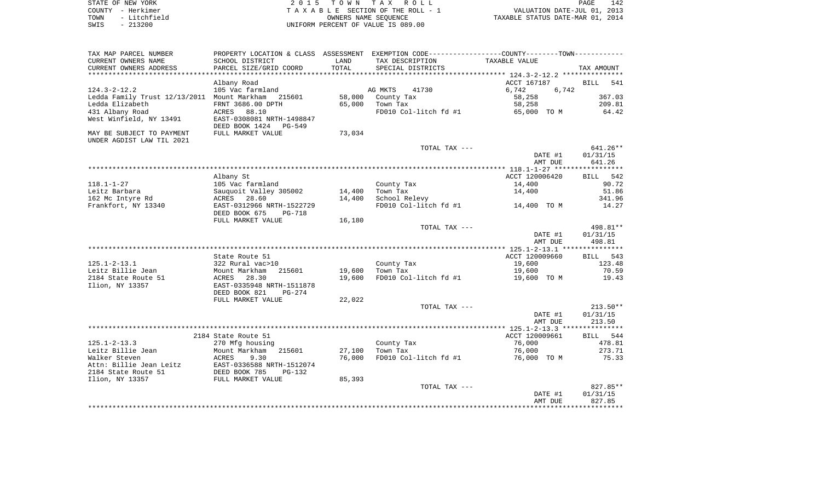| STATE OF NEW YORK    | 2015 TOWN TAX ROLL                 | 142<br>PAGE                      |
|----------------------|------------------------------------|----------------------------------|
| COUNTY - Herkimer    | TAXABLE SECTION OF THE ROLL - 1    | VALUATION DATE-JUL 01, 2013      |
| - Litchfield<br>TOWN | OWNERS NAME SEOUENCE               | TAXABLE STATUS DATE-MAR 01, 2014 |
| $-213200$<br>SWIS    | UNIFORM PERCENT OF VALUE IS 089.00 |                                  |
|                      |                                    |                                  |

| TAX MAP PARCEL NUMBER                       | PROPERTY LOCATION & CLASS ASSESSMENT EXEMPTION CODE---------------COUNTY-------TOWN---------- |        |                                   |                |             |
|---------------------------------------------|-----------------------------------------------------------------------------------------------|--------|-----------------------------------|----------------|-------------|
| CURRENT OWNERS NAME                         | SCHOOL DISTRICT                                                                               | LAND   | TAX DESCRIPTION                   | TAXABLE VALUE  |             |
| CURRENT OWNERS ADDRESS                      | PARCEL SIZE/GRID COORD                                                                        | TOTAL  | SPECIAL DISTRICTS                 |                | TAX AMOUNT  |
|                                             |                                                                                               |        |                                   |                |             |
|                                             | Albany Road                                                                                   |        |                                   | ACCT 167187    | BILL<br>541 |
| $124.3 - 2 - 12.2$                          | 105 Vac farmland                                                                              |        | AG MKTS<br>41730                  | 6,742<br>6,742 |             |
| Ledda Family Trust 12/13/2011 Mount Markham | 215601                                                                                        | 58,000 | County Tax                        | 58,258         | 367.03      |
| Ledda Elizabeth                             | FRNT 3686.00 DPTH                                                                             | 65,000 | Town Tax                          | 58,258         | 209.81      |
| 431 Albany Road                             | 88.10<br>ACRES                                                                                |        | FD010 Col-litch fd #1 65,000 TO M |                | 64.42       |
| West Winfield, NY 13491                     | EAST-0308081 NRTH-1498847                                                                     |        |                                   |                |             |
|                                             | DEED BOOK 1424 PG-549                                                                         |        |                                   |                |             |
| MAY BE SUBJECT TO PAYMENT                   | FULL MARKET VALUE                                                                             | 73,034 |                                   |                |             |
| UNDER AGDIST LAW TIL 2021                   |                                                                                               |        |                                   |                |             |
|                                             |                                                                                               |        | TOTAL TAX ---                     |                | $641.26**$  |
|                                             |                                                                                               |        |                                   | DATE #1        | 01/31/15    |
|                                             |                                                                                               |        |                                   | AMT DUE        | 641.26      |
|                                             |                                                                                               |        |                                   |                |             |
|                                             | Albany St                                                                                     |        |                                   | ACCT 120006420 | BILL 542    |
| $118.1 - 1 - 27$                            | 105 Vac farmland                                                                              |        | County Tax                        | 14,400         | 90.72       |
| Leitz Barbara                               | Sauquoit Valley 305002                                                                        | 14,400 | Town Tax                          | 14,400         | 51.86       |
| 162 Mc Intyre Rd                            | ACRES 28.60                                                                                   | 14,400 | School Relevy                     |                | 341.96      |
| Frankfort, NY 13340                         | EAST-0312966 NRTH-1522729                                                                     |        | FD010 Col-litch fd #1             | 14,400 TO M    | 14.27       |
|                                             | DEED BOOK 675<br>PG-718                                                                       |        |                                   |                |             |
|                                             | FULL MARKET VALUE                                                                             | 16,180 |                                   |                |             |
|                                             |                                                                                               |        | TOTAL TAX ---                     |                | 498.81**    |
|                                             |                                                                                               |        |                                   | DATE #1        | 01/31/15    |
|                                             |                                                                                               |        |                                   | AMT DUE        | 498.81      |
|                                             |                                                                                               |        |                                   |                |             |
|                                             | State Route 51                                                                                |        |                                   | ACCT 120009660 | BILL 543    |
| $125.1 - 2 - 13.1$                          | 322 Rural vac>10                                                                              |        | County Tax                        | 19,600         | 123.48      |
| Leitz Billie Jean                           | 215601<br>Mount Markham                                                                       | 19,600 | Town Tax                          | 19,600         | 70.59       |
| 2184 State Route 51                         | 28.30<br>ACRES                                                                                | 19,600 | FD010 Col-litch fd #1             | 19,600 TO M    | 19.43       |
| Ilion, NY 13357                             | EAST-0335948 NRTH-1511878                                                                     |        |                                   |                |             |
|                                             | DEED BOOK 821<br>PG-274                                                                       |        |                                   |                |             |
|                                             | FULL MARKET VALUE                                                                             | 22,022 |                                   |                |             |
|                                             |                                                                                               |        | TOTAL TAX ---                     |                | $213.50**$  |
|                                             |                                                                                               |        |                                   | DATE #1        | 01/31/15    |
|                                             |                                                                                               |        |                                   | AMT DUE        | 213.50      |
|                                             |                                                                                               |        |                                   | ACCT 120009661 | BILL 544    |
| $125.1 - 2 - 13.3$                          | 2184 State Route 51<br>270 Mfg housing                                                        |        | County Tax                        | 76,000         | 478.81      |
| Leitz Billie Jean                           | Mount Markham<br>215601                                                                       | 27,100 | Town Tax                          | 76,000         | 273.71      |
| Walker Steven                               | ACRES<br>9.30                                                                                 | 76,000 | FD010 Col-litch fd #1             | 76,000 TO M    | 75.33       |
| Attn: Billie Jean Leitz                     | EAST-0336588 NRTH-1512074                                                                     |        |                                   |                |             |
| 2184 State Route 51                         | DEED BOOK 785<br>PG-132                                                                       |        |                                   |                |             |
| Ilion, NY 13357                             | FULL MARKET VALUE                                                                             | 85,393 |                                   |                |             |
|                                             |                                                                                               |        | TOTAL TAX ---                     |                | $827.85**$  |
|                                             |                                                                                               |        |                                   | DATE #1        | 01/31/15    |
|                                             |                                                                                               |        |                                   | AMT DUE        | 827.85      |
|                                             |                                                                                               |        |                                   |                |             |
|                                             |                                                                                               |        |                                   |                |             |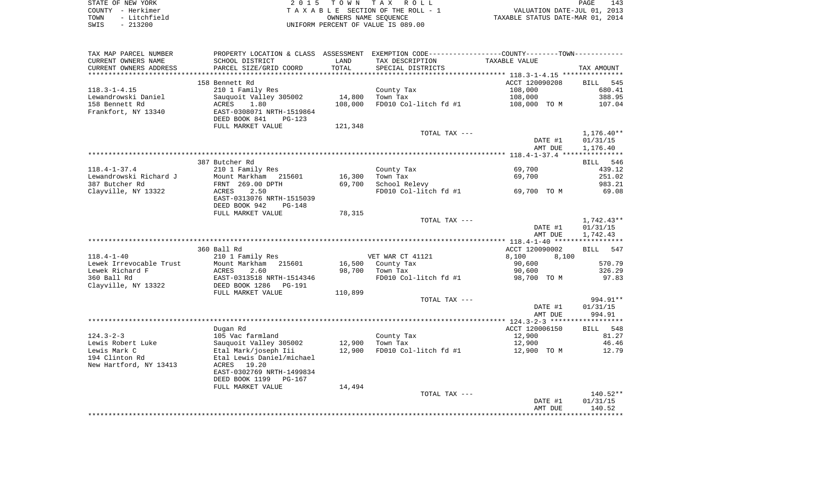|      | STATE OF NEW YORK | 2015 TOWN TAX ROLL                 | PAGE                             | 143 |
|------|-------------------|------------------------------------|----------------------------------|-----|
|      | COUNTY - Herkimer | TAXABLE SECTION OF THE ROLL - 1    | VALUATION DATE-JUL 01, 2013      |     |
| TOWN | - Litchfield      | OWNERS NAME SEOUENCE               | TAXABLE STATUS DATE-MAR 01, 2014 |     |
| SWIS | $-213200$         | UNIFORM PERCENT OF VALUE IS 089.00 |                                  |     |

| CURRENT OWNERS NAME<br>SCHOOL DISTRICT<br>LAND<br>TAX DESCRIPTION<br>TAXABLE VALUE<br>TOTAL<br>CURRENT OWNERS ADDRESS<br>PARCEL SIZE/GRID COORD<br>SPECIAL DISTRICTS<br>TAX AMOUNT<br>ACCT 120090208<br>545<br>158 Bennett Rd<br>BILL<br>$118.3 - 1 - 4.15$<br>108,000<br>210 1 Family Res<br>County Tax<br>680.41<br>Lewandrowski Daniel<br>Sauquoit Valley 305002<br>14,800<br>Town Tax<br>108,000<br>388.95<br>158 Bennett Rd<br>ACRES<br>1.80<br>108,000<br>FD010 Col-litch fd #1<br>108,000 TO M<br>107.04<br>Frankfort, NY 13340<br>EAST-0308071 NRTH-1519864<br>DEED BOOK 841<br>PG-123<br>FULL MARKET VALUE<br>121,348<br>$1,176.40**$<br>TOTAL TAX ---<br>01/31/15<br>DATE #1<br>AMT DUE<br>1,176.40<br>387 Butcher Rd<br>BILL 546<br>$118.4 - 1 - 37.4$<br>210 1 Family Res<br>County Tax<br>69,700<br>439.12<br>Town Tax<br>Lewandrowski Richard J<br>Mount Markham<br>16,300<br>69,700<br>251.02<br>215601<br>387 Butcher Rd<br>FRNT 269.00 DPTH<br>69,700<br>School Relevy<br>983.21<br>FD010 Col-litch fd #1<br>Clayville, NY 13322<br>ACRES<br>2.50<br>69,700 TO M<br>69.08<br>EAST-0313076 NRTH-1515039<br>DEED BOOK 942<br><b>PG-148</b><br>FULL MARKET VALUE<br>78,315<br>$1,742.43**$<br>TOTAL TAX ---<br>01/31/15<br>DATE #1<br>AMT DUE<br>1,742.43<br>360 Ball Rd<br>ACCT 120090002<br>BILL 547<br>$118.4 - 1 - 40$<br>210 1 Family Res<br>VET WAR CT 41121<br>8,100<br>8,100<br>Lewek Irrevocable Trust<br>Mount Markham<br>215601<br>16,500<br>County Tax<br>90,600<br>570.79<br>98,700<br>Lewek Richard F<br>2.60<br>Town Tax<br>326.29<br>ACRES<br>90,600<br>360 Ball Rd<br>EAST-0313518 NRTH-1514346<br>FD010 Col-litch fd #1<br>98,700 TO M<br>97.83<br>Clayville, NY 13322<br>DEED BOOK 1286<br>$PG-191$<br>FULL MARKET VALUE<br>110,899<br>TOTAL TAX ---<br>994.91**<br>DATE #1<br>01/31/15<br>994.91<br>AMT DUE<br>ACCT 120006150<br>BILL 548<br>Dugan Rd<br>$124.3 - 2 - 3$<br>105 Vac farmland<br>County Tax<br>12,900<br>81.27<br>Lewis Robert Luke<br>46.46<br>Sauguoit Valley 305002<br>12,900<br>Town Tax<br>12,900<br>12,900<br>Lewis Mark C<br>Etal Mark/joseph Iii<br>FD010 Col-litch fd #1<br>12,900 TO M<br>12.79<br>194 Clinton Rd<br>Etal Lewis Daniel/michael<br>ACRES 19.20<br>New Hartford, NY 13413<br>EAST-0302769 NRTH-1499834<br>DEED BOOK 1199 PG-167<br>FULL MARKET VALUE<br>14,494<br>$140.52**$<br>TOTAL TAX ---<br>01/31/15<br>DATE #1<br>140.52<br>AMT DUE | TAX MAP PARCEL NUMBER | PROPERTY LOCATION & CLASS ASSESSMENT | EXEMPTION CODE-----------------COUNTY--------TOWN----------- |  |
|--------------------------------------------------------------------------------------------------------------------------------------------------------------------------------------------------------------------------------------------------------------------------------------------------------------------------------------------------------------------------------------------------------------------------------------------------------------------------------------------------------------------------------------------------------------------------------------------------------------------------------------------------------------------------------------------------------------------------------------------------------------------------------------------------------------------------------------------------------------------------------------------------------------------------------------------------------------------------------------------------------------------------------------------------------------------------------------------------------------------------------------------------------------------------------------------------------------------------------------------------------------------------------------------------------------------------------------------------------------------------------------------------------------------------------------------------------------------------------------------------------------------------------------------------------------------------------------------------------------------------------------------------------------------------------------------------------------------------------------------------------------------------------------------------------------------------------------------------------------------------------------------------------------------------------------------------------------------------------------------------------------------------------------------------------------------------------------------------------------------------------------------------------------------------------------------------------------------------------------------------------------------------------------------------------------------------------------------------------------------------------------------------------------------|-----------------------|--------------------------------------|--------------------------------------------------------------|--|
|                                                                                                                                                                                                                                                                                                                                                                                                                                                                                                                                                                                                                                                                                                                                                                                                                                                                                                                                                                                                                                                                                                                                                                                                                                                                                                                                                                                                                                                                                                                                                                                                                                                                                                                                                                                                                                                                                                                                                                                                                                                                                                                                                                                                                                                                                                                                                                                                                    |                       |                                      |                                                              |  |
|                                                                                                                                                                                                                                                                                                                                                                                                                                                                                                                                                                                                                                                                                                                                                                                                                                                                                                                                                                                                                                                                                                                                                                                                                                                                                                                                                                                                                                                                                                                                                                                                                                                                                                                                                                                                                                                                                                                                                                                                                                                                                                                                                                                                                                                                                                                                                                                                                    |                       |                                      |                                                              |  |
|                                                                                                                                                                                                                                                                                                                                                                                                                                                                                                                                                                                                                                                                                                                                                                                                                                                                                                                                                                                                                                                                                                                                                                                                                                                                                                                                                                                                                                                                                                                                                                                                                                                                                                                                                                                                                                                                                                                                                                                                                                                                                                                                                                                                                                                                                                                                                                                                                    |                       |                                      |                                                              |  |
|                                                                                                                                                                                                                                                                                                                                                                                                                                                                                                                                                                                                                                                                                                                                                                                                                                                                                                                                                                                                                                                                                                                                                                                                                                                                                                                                                                                                                                                                                                                                                                                                                                                                                                                                                                                                                                                                                                                                                                                                                                                                                                                                                                                                                                                                                                                                                                                                                    |                       |                                      |                                                              |  |
|                                                                                                                                                                                                                                                                                                                                                                                                                                                                                                                                                                                                                                                                                                                                                                                                                                                                                                                                                                                                                                                                                                                                                                                                                                                                                                                                                                                                                                                                                                                                                                                                                                                                                                                                                                                                                                                                                                                                                                                                                                                                                                                                                                                                                                                                                                                                                                                                                    |                       |                                      |                                                              |  |
|                                                                                                                                                                                                                                                                                                                                                                                                                                                                                                                                                                                                                                                                                                                                                                                                                                                                                                                                                                                                                                                                                                                                                                                                                                                                                                                                                                                                                                                                                                                                                                                                                                                                                                                                                                                                                                                                                                                                                                                                                                                                                                                                                                                                                                                                                                                                                                                                                    |                       |                                      |                                                              |  |
|                                                                                                                                                                                                                                                                                                                                                                                                                                                                                                                                                                                                                                                                                                                                                                                                                                                                                                                                                                                                                                                                                                                                                                                                                                                                                                                                                                                                                                                                                                                                                                                                                                                                                                                                                                                                                                                                                                                                                                                                                                                                                                                                                                                                                                                                                                                                                                                                                    |                       |                                      |                                                              |  |
|                                                                                                                                                                                                                                                                                                                                                                                                                                                                                                                                                                                                                                                                                                                                                                                                                                                                                                                                                                                                                                                                                                                                                                                                                                                                                                                                                                                                                                                                                                                                                                                                                                                                                                                                                                                                                                                                                                                                                                                                                                                                                                                                                                                                                                                                                                                                                                                                                    |                       |                                      |                                                              |  |
|                                                                                                                                                                                                                                                                                                                                                                                                                                                                                                                                                                                                                                                                                                                                                                                                                                                                                                                                                                                                                                                                                                                                                                                                                                                                                                                                                                                                                                                                                                                                                                                                                                                                                                                                                                                                                                                                                                                                                                                                                                                                                                                                                                                                                                                                                                                                                                                                                    |                       |                                      |                                                              |  |
|                                                                                                                                                                                                                                                                                                                                                                                                                                                                                                                                                                                                                                                                                                                                                                                                                                                                                                                                                                                                                                                                                                                                                                                                                                                                                                                                                                                                                                                                                                                                                                                                                                                                                                                                                                                                                                                                                                                                                                                                                                                                                                                                                                                                                                                                                                                                                                                                                    |                       |                                      |                                                              |  |
|                                                                                                                                                                                                                                                                                                                                                                                                                                                                                                                                                                                                                                                                                                                                                                                                                                                                                                                                                                                                                                                                                                                                                                                                                                                                                                                                                                                                                                                                                                                                                                                                                                                                                                                                                                                                                                                                                                                                                                                                                                                                                                                                                                                                                                                                                                                                                                                                                    |                       |                                      |                                                              |  |
|                                                                                                                                                                                                                                                                                                                                                                                                                                                                                                                                                                                                                                                                                                                                                                                                                                                                                                                                                                                                                                                                                                                                                                                                                                                                                                                                                                                                                                                                                                                                                                                                                                                                                                                                                                                                                                                                                                                                                                                                                                                                                                                                                                                                                                                                                                                                                                                                                    |                       |                                      |                                                              |  |
|                                                                                                                                                                                                                                                                                                                                                                                                                                                                                                                                                                                                                                                                                                                                                                                                                                                                                                                                                                                                                                                                                                                                                                                                                                                                                                                                                                                                                                                                                                                                                                                                                                                                                                                                                                                                                                                                                                                                                                                                                                                                                                                                                                                                                                                                                                                                                                                                                    |                       |                                      |                                                              |  |
|                                                                                                                                                                                                                                                                                                                                                                                                                                                                                                                                                                                                                                                                                                                                                                                                                                                                                                                                                                                                                                                                                                                                                                                                                                                                                                                                                                                                                                                                                                                                                                                                                                                                                                                                                                                                                                                                                                                                                                                                                                                                                                                                                                                                                                                                                                                                                                                                                    |                       |                                      |                                                              |  |
|                                                                                                                                                                                                                                                                                                                                                                                                                                                                                                                                                                                                                                                                                                                                                                                                                                                                                                                                                                                                                                                                                                                                                                                                                                                                                                                                                                                                                                                                                                                                                                                                                                                                                                                                                                                                                                                                                                                                                                                                                                                                                                                                                                                                                                                                                                                                                                                                                    |                       |                                      |                                                              |  |
|                                                                                                                                                                                                                                                                                                                                                                                                                                                                                                                                                                                                                                                                                                                                                                                                                                                                                                                                                                                                                                                                                                                                                                                                                                                                                                                                                                                                                                                                                                                                                                                                                                                                                                                                                                                                                                                                                                                                                                                                                                                                                                                                                                                                                                                                                                                                                                                                                    |                       |                                      |                                                              |  |
|                                                                                                                                                                                                                                                                                                                                                                                                                                                                                                                                                                                                                                                                                                                                                                                                                                                                                                                                                                                                                                                                                                                                                                                                                                                                                                                                                                                                                                                                                                                                                                                                                                                                                                                                                                                                                                                                                                                                                                                                                                                                                                                                                                                                                                                                                                                                                                                                                    |                       |                                      |                                                              |  |
|                                                                                                                                                                                                                                                                                                                                                                                                                                                                                                                                                                                                                                                                                                                                                                                                                                                                                                                                                                                                                                                                                                                                                                                                                                                                                                                                                                                                                                                                                                                                                                                                                                                                                                                                                                                                                                                                                                                                                                                                                                                                                                                                                                                                                                                                                                                                                                                                                    |                       |                                      |                                                              |  |
|                                                                                                                                                                                                                                                                                                                                                                                                                                                                                                                                                                                                                                                                                                                                                                                                                                                                                                                                                                                                                                                                                                                                                                                                                                                                                                                                                                                                                                                                                                                                                                                                                                                                                                                                                                                                                                                                                                                                                                                                                                                                                                                                                                                                                                                                                                                                                                                                                    |                       |                                      |                                                              |  |
|                                                                                                                                                                                                                                                                                                                                                                                                                                                                                                                                                                                                                                                                                                                                                                                                                                                                                                                                                                                                                                                                                                                                                                                                                                                                                                                                                                                                                                                                                                                                                                                                                                                                                                                                                                                                                                                                                                                                                                                                                                                                                                                                                                                                                                                                                                                                                                                                                    |                       |                                      |                                                              |  |
|                                                                                                                                                                                                                                                                                                                                                                                                                                                                                                                                                                                                                                                                                                                                                                                                                                                                                                                                                                                                                                                                                                                                                                                                                                                                                                                                                                                                                                                                                                                                                                                                                                                                                                                                                                                                                                                                                                                                                                                                                                                                                                                                                                                                                                                                                                                                                                                                                    |                       |                                      |                                                              |  |
|                                                                                                                                                                                                                                                                                                                                                                                                                                                                                                                                                                                                                                                                                                                                                                                                                                                                                                                                                                                                                                                                                                                                                                                                                                                                                                                                                                                                                                                                                                                                                                                                                                                                                                                                                                                                                                                                                                                                                                                                                                                                                                                                                                                                                                                                                                                                                                                                                    |                       |                                      |                                                              |  |
|                                                                                                                                                                                                                                                                                                                                                                                                                                                                                                                                                                                                                                                                                                                                                                                                                                                                                                                                                                                                                                                                                                                                                                                                                                                                                                                                                                                                                                                                                                                                                                                                                                                                                                                                                                                                                                                                                                                                                                                                                                                                                                                                                                                                                                                                                                                                                                                                                    |                       |                                      |                                                              |  |
|                                                                                                                                                                                                                                                                                                                                                                                                                                                                                                                                                                                                                                                                                                                                                                                                                                                                                                                                                                                                                                                                                                                                                                                                                                                                                                                                                                                                                                                                                                                                                                                                                                                                                                                                                                                                                                                                                                                                                                                                                                                                                                                                                                                                                                                                                                                                                                                                                    |                       |                                      |                                                              |  |
|                                                                                                                                                                                                                                                                                                                                                                                                                                                                                                                                                                                                                                                                                                                                                                                                                                                                                                                                                                                                                                                                                                                                                                                                                                                                                                                                                                                                                                                                                                                                                                                                                                                                                                                                                                                                                                                                                                                                                                                                                                                                                                                                                                                                                                                                                                                                                                                                                    |                       |                                      |                                                              |  |
|                                                                                                                                                                                                                                                                                                                                                                                                                                                                                                                                                                                                                                                                                                                                                                                                                                                                                                                                                                                                                                                                                                                                                                                                                                                                                                                                                                                                                                                                                                                                                                                                                                                                                                                                                                                                                                                                                                                                                                                                                                                                                                                                                                                                                                                                                                                                                                                                                    |                       |                                      |                                                              |  |
|                                                                                                                                                                                                                                                                                                                                                                                                                                                                                                                                                                                                                                                                                                                                                                                                                                                                                                                                                                                                                                                                                                                                                                                                                                                                                                                                                                                                                                                                                                                                                                                                                                                                                                                                                                                                                                                                                                                                                                                                                                                                                                                                                                                                                                                                                                                                                                                                                    |                       |                                      |                                                              |  |
|                                                                                                                                                                                                                                                                                                                                                                                                                                                                                                                                                                                                                                                                                                                                                                                                                                                                                                                                                                                                                                                                                                                                                                                                                                                                                                                                                                                                                                                                                                                                                                                                                                                                                                                                                                                                                                                                                                                                                                                                                                                                                                                                                                                                                                                                                                                                                                                                                    |                       |                                      |                                                              |  |
|                                                                                                                                                                                                                                                                                                                                                                                                                                                                                                                                                                                                                                                                                                                                                                                                                                                                                                                                                                                                                                                                                                                                                                                                                                                                                                                                                                                                                                                                                                                                                                                                                                                                                                                                                                                                                                                                                                                                                                                                                                                                                                                                                                                                                                                                                                                                                                                                                    |                       |                                      |                                                              |  |
|                                                                                                                                                                                                                                                                                                                                                                                                                                                                                                                                                                                                                                                                                                                                                                                                                                                                                                                                                                                                                                                                                                                                                                                                                                                                                                                                                                                                                                                                                                                                                                                                                                                                                                                                                                                                                                                                                                                                                                                                                                                                                                                                                                                                                                                                                                                                                                                                                    |                       |                                      |                                                              |  |
|                                                                                                                                                                                                                                                                                                                                                                                                                                                                                                                                                                                                                                                                                                                                                                                                                                                                                                                                                                                                                                                                                                                                                                                                                                                                                                                                                                                                                                                                                                                                                                                                                                                                                                                                                                                                                                                                                                                                                                                                                                                                                                                                                                                                                                                                                                                                                                                                                    |                       |                                      |                                                              |  |
|                                                                                                                                                                                                                                                                                                                                                                                                                                                                                                                                                                                                                                                                                                                                                                                                                                                                                                                                                                                                                                                                                                                                                                                                                                                                                                                                                                                                                                                                                                                                                                                                                                                                                                                                                                                                                                                                                                                                                                                                                                                                                                                                                                                                                                                                                                                                                                                                                    |                       |                                      |                                                              |  |
|                                                                                                                                                                                                                                                                                                                                                                                                                                                                                                                                                                                                                                                                                                                                                                                                                                                                                                                                                                                                                                                                                                                                                                                                                                                                                                                                                                                                                                                                                                                                                                                                                                                                                                                                                                                                                                                                                                                                                                                                                                                                                                                                                                                                                                                                                                                                                                                                                    |                       |                                      |                                                              |  |
|                                                                                                                                                                                                                                                                                                                                                                                                                                                                                                                                                                                                                                                                                                                                                                                                                                                                                                                                                                                                                                                                                                                                                                                                                                                                                                                                                                                                                                                                                                                                                                                                                                                                                                                                                                                                                                                                                                                                                                                                                                                                                                                                                                                                                                                                                                                                                                                                                    |                       |                                      |                                                              |  |
|                                                                                                                                                                                                                                                                                                                                                                                                                                                                                                                                                                                                                                                                                                                                                                                                                                                                                                                                                                                                                                                                                                                                                                                                                                                                                                                                                                                                                                                                                                                                                                                                                                                                                                                                                                                                                                                                                                                                                                                                                                                                                                                                                                                                                                                                                                                                                                                                                    |                       |                                      |                                                              |  |
|                                                                                                                                                                                                                                                                                                                                                                                                                                                                                                                                                                                                                                                                                                                                                                                                                                                                                                                                                                                                                                                                                                                                                                                                                                                                                                                                                                                                                                                                                                                                                                                                                                                                                                                                                                                                                                                                                                                                                                                                                                                                                                                                                                                                                                                                                                                                                                                                                    |                       |                                      |                                                              |  |
|                                                                                                                                                                                                                                                                                                                                                                                                                                                                                                                                                                                                                                                                                                                                                                                                                                                                                                                                                                                                                                                                                                                                                                                                                                                                                                                                                                                                                                                                                                                                                                                                                                                                                                                                                                                                                                                                                                                                                                                                                                                                                                                                                                                                                                                                                                                                                                                                                    |                       |                                      |                                                              |  |
|                                                                                                                                                                                                                                                                                                                                                                                                                                                                                                                                                                                                                                                                                                                                                                                                                                                                                                                                                                                                                                                                                                                                                                                                                                                                                                                                                                                                                                                                                                                                                                                                                                                                                                                                                                                                                                                                                                                                                                                                                                                                                                                                                                                                                                                                                                                                                                                                                    |                       |                                      |                                                              |  |
|                                                                                                                                                                                                                                                                                                                                                                                                                                                                                                                                                                                                                                                                                                                                                                                                                                                                                                                                                                                                                                                                                                                                                                                                                                                                                                                                                                                                                                                                                                                                                                                                                                                                                                                                                                                                                                                                                                                                                                                                                                                                                                                                                                                                                                                                                                                                                                                                                    |                       |                                      |                                                              |  |
|                                                                                                                                                                                                                                                                                                                                                                                                                                                                                                                                                                                                                                                                                                                                                                                                                                                                                                                                                                                                                                                                                                                                                                                                                                                                                                                                                                                                                                                                                                                                                                                                                                                                                                                                                                                                                                                                                                                                                                                                                                                                                                                                                                                                                                                                                                                                                                                                                    |                       |                                      |                                                              |  |
|                                                                                                                                                                                                                                                                                                                                                                                                                                                                                                                                                                                                                                                                                                                                                                                                                                                                                                                                                                                                                                                                                                                                                                                                                                                                                                                                                                                                                                                                                                                                                                                                                                                                                                                                                                                                                                                                                                                                                                                                                                                                                                                                                                                                                                                                                                                                                                                                                    |                       |                                      |                                                              |  |
|                                                                                                                                                                                                                                                                                                                                                                                                                                                                                                                                                                                                                                                                                                                                                                                                                                                                                                                                                                                                                                                                                                                                                                                                                                                                                                                                                                                                                                                                                                                                                                                                                                                                                                                                                                                                                                                                                                                                                                                                                                                                                                                                                                                                                                                                                                                                                                                                                    |                       |                                      |                                                              |  |
|                                                                                                                                                                                                                                                                                                                                                                                                                                                                                                                                                                                                                                                                                                                                                                                                                                                                                                                                                                                                                                                                                                                                                                                                                                                                                                                                                                                                                                                                                                                                                                                                                                                                                                                                                                                                                                                                                                                                                                                                                                                                                                                                                                                                                                                                                                                                                                                                                    |                       |                                      |                                                              |  |
|                                                                                                                                                                                                                                                                                                                                                                                                                                                                                                                                                                                                                                                                                                                                                                                                                                                                                                                                                                                                                                                                                                                                                                                                                                                                                                                                                                                                                                                                                                                                                                                                                                                                                                                                                                                                                                                                                                                                                                                                                                                                                                                                                                                                                                                                                                                                                                                                                    |                       |                                      |                                                              |  |
|                                                                                                                                                                                                                                                                                                                                                                                                                                                                                                                                                                                                                                                                                                                                                                                                                                                                                                                                                                                                                                                                                                                                                                                                                                                                                                                                                                                                                                                                                                                                                                                                                                                                                                                                                                                                                                                                                                                                                                                                                                                                                                                                                                                                                                                                                                                                                                                                                    |                       |                                      |                                                              |  |
|                                                                                                                                                                                                                                                                                                                                                                                                                                                                                                                                                                                                                                                                                                                                                                                                                                                                                                                                                                                                                                                                                                                                                                                                                                                                                                                                                                                                                                                                                                                                                                                                                                                                                                                                                                                                                                                                                                                                                                                                                                                                                                                                                                                                                                                                                                                                                                                                                    |                       |                                      |                                                              |  |
|                                                                                                                                                                                                                                                                                                                                                                                                                                                                                                                                                                                                                                                                                                                                                                                                                                                                                                                                                                                                                                                                                                                                                                                                                                                                                                                                                                                                                                                                                                                                                                                                                                                                                                                                                                                                                                                                                                                                                                                                                                                                                                                                                                                                                                                                                                                                                                                                                    |                       |                                      |                                                              |  |
|                                                                                                                                                                                                                                                                                                                                                                                                                                                                                                                                                                                                                                                                                                                                                                                                                                                                                                                                                                                                                                                                                                                                                                                                                                                                                                                                                                                                                                                                                                                                                                                                                                                                                                                                                                                                                                                                                                                                                                                                                                                                                                                                                                                                                                                                                                                                                                                                                    |                       |                                      |                                                              |  |
|                                                                                                                                                                                                                                                                                                                                                                                                                                                                                                                                                                                                                                                                                                                                                                                                                                                                                                                                                                                                                                                                                                                                                                                                                                                                                                                                                                                                                                                                                                                                                                                                                                                                                                                                                                                                                                                                                                                                                                                                                                                                                                                                                                                                                                                                                                                                                                                                                    |                       |                                      |                                                              |  |
|                                                                                                                                                                                                                                                                                                                                                                                                                                                                                                                                                                                                                                                                                                                                                                                                                                                                                                                                                                                                                                                                                                                                                                                                                                                                                                                                                                                                                                                                                                                                                                                                                                                                                                                                                                                                                                                                                                                                                                                                                                                                                                                                                                                                                                                                                                                                                                                                                    |                       |                                      |                                                              |  |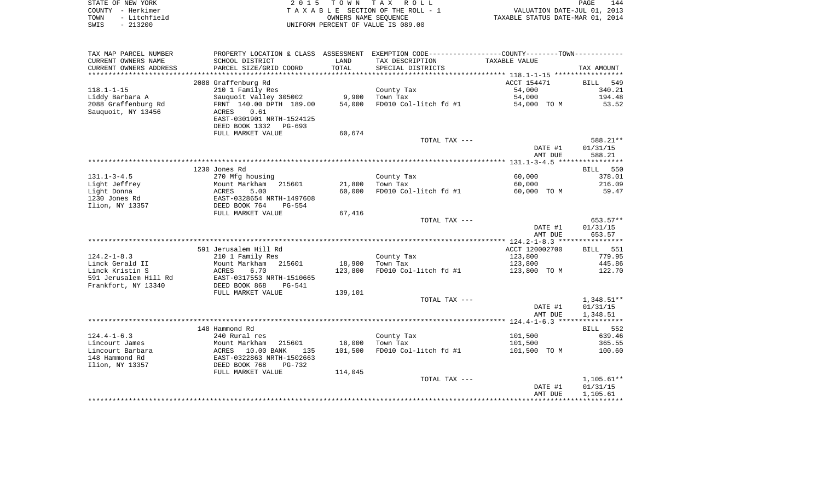| STATE OF NEW YORK    | 2015 TOWN TAX ROLL                 | 144<br>PAGE                      |
|----------------------|------------------------------------|----------------------------------|
| COUNTY - Herkimer    | TAXABLE SECTION OF THE ROLL - 1    | VALUATION DATE-JUL 01, 2013      |
| - Litchfield<br>TOWN | OWNERS NAME SEOUENCE               | TAXABLE STATUS DATE-MAR 01, 2014 |
| - 213200<br>SWIS     | UNIFORM PERCENT OF VALUE IS 089.00 |                                  |

| TAX MAP PARCEL NUMBER  |                                                   |         | PROPERTY LOCATION & CLASS ASSESSMENT EXEMPTION CODE---------------COUNTY-------TOWN---------- |                |             |
|------------------------|---------------------------------------------------|---------|-----------------------------------------------------------------------------------------------|----------------|-------------|
| CURRENT OWNERS NAME    | SCHOOL DISTRICT                                   | LAND    | TAX DESCRIPTION                                                                               | TAXABLE VALUE  |             |
| CURRENT OWNERS ADDRESS | PARCEL SIZE/GRID COORD                            | TOTAL   | SPECIAL DISTRICTS                                                                             |                | TAX AMOUNT  |
|                        |                                                   |         |                                                                                               |                |             |
|                        | 2088 Graffenburg Rd                               |         |                                                                                               | ACCT 154471    | 549<br>BILL |
| $118.1 - 1 - 15$       | 210 1 Family Res                                  |         | County Tax                                                                                    | 54,000         | 340.21      |
| Liddy Barbara A        | Sauquoit Valley 305002                            | 9,900   | Town Tax                                                                                      | 54,000         | 194.48      |
| 2088 Graffenburg Rd    | FRNT 140.00 DPTH 189.00                           | 54,000  | FD010 Col-litch fd #1                                                                         | 54,000 TO M    | 53.52       |
| Sauquoit, NY 13456     | ACRES<br>0.61                                     |         |                                                                                               |                |             |
|                        | EAST-0301901 NRTH-1524125                         |         |                                                                                               |                |             |
|                        | DEED BOOK 1332<br>PG-693                          |         |                                                                                               |                |             |
|                        | FULL MARKET VALUE                                 | 60,674  |                                                                                               |                |             |
|                        |                                                   |         | TOTAL TAX ---                                                                                 |                | 588.21**    |
|                        |                                                   |         |                                                                                               | DATE #1        | 01/31/15    |
|                        |                                                   |         |                                                                                               | AMT DUE        | 588.21      |
|                        |                                                   |         |                                                                                               |                |             |
|                        | 1230 Jones Rd                                     |         |                                                                                               |                | BILL 550    |
| $131.1 - 3 - 4.5$      | 270 Mfg housing                                   |         | County Tax                                                                                    | 60,000         | 378.01      |
| Light Jeffrey          | Mount Markham<br>215601                           | 21,800  | Town Tax                                                                                      | 60,000         | 216.09      |
| Light Donna            | 5.00<br>ACRES                                     | 60,000  | FD010 Col-litch fd #1                                                                         | 60,000 TO M    | 59.47       |
| 1230 Jones Rd          | EAST-0328654 NRTH-1497608                         |         |                                                                                               |                |             |
| Ilion, NY 13357        | DEED BOOK 764<br>PG-554<br>FULL MARKET VALUE      | 67,416  |                                                                                               |                |             |
|                        |                                                   |         | TOTAL TAX ---                                                                                 |                | 653.57**    |
|                        |                                                   |         |                                                                                               | DATE #1        | 01/31/15    |
|                        |                                                   |         |                                                                                               | AMT DUE        | 653.57      |
|                        |                                                   |         |                                                                                               |                |             |
|                        | 591 Jerusalem Hill Rd                             |         |                                                                                               | ACCT 120002700 | BILL 551    |
| $124.2 - 1 - 8.3$      | 210 1 Family Res                                  |         | County Tax                                                                                    | 123,800        | 779.95      |
| Linck Gerald II        | Mount Markham 215601                              | 18,900  | Town Tax                                                                                      | 123,800        | 445.86      |
| Linck Kristin S        | 6.70<br>ACRES                                     | 123,800 | FD010 Col-litch fd #1                                                                         | 123,800 TO M   | 122.70      |
| 591 Jerusalem Hill Rd  | EAST-0317553 NRTH-1510665                         |         |                                                                                               |                |             |
| Frankfort, NY 13340    | DEED BOOK 868<br>PG-541                           |         |                                                                                               |                |             |
|                        | FULL MARKET VALUE                                 | 139,101 |                                                                                               |                |             |
|                        |                                                   |         | TOTAL TAX ---                                                                                 |                | 1,348.51**  |
|                        |                                                   |         |                                                                                               | DATE #1        | 01/31/15    |
|                        |                                                   |         |                                                                                               | AMT DUE        | 1,348.51    |
|                        |                                                   |         |                                                                                               |                |             |
|                        | 148 Hammond Rd                                    |         |                                                                                               |                | BILL 552    |
| $124.4 - 1 - 6.3$      | 240 Rural res                                     |         | County Tax                                                                                    | 101,500        | 639.46      |
| Lincourt James         | 215601<br>Mount Markham                           | 18,000  | Town Tax                                                                                      | 101,500        | 365.55      |
| Lincourt Barbara       | ACRES 10.00 BANK 135<br>EAST-0322863 NRTH-1502663 | 101,500 | FD010 Col-litch fd #1                                                                         | 101,500 TO M   | 100.60      |
| 148 Hammond Rd         |                                                   |         |                                                                                               |                |             |
| Ilion, NY 13357        | DEED BOOK 768<br>PG-732                           |         |                                                                                               |                |             |
|                        | FULL MARKET VALUE                                 | 114,045 |                                                                                               |                |             |
|                        |                                                   |         | TOTAL TAX ---                                                                                 |                | 1,105.61**  |
|                        |                                                   |         |                                                                                               | DATE #1        | 01/31/15    |
|                        |                                                   |         |                                                                                               | AMT DUE        | 1,105.61    |
|                        |                                                   |         |                                                                                               |                |             |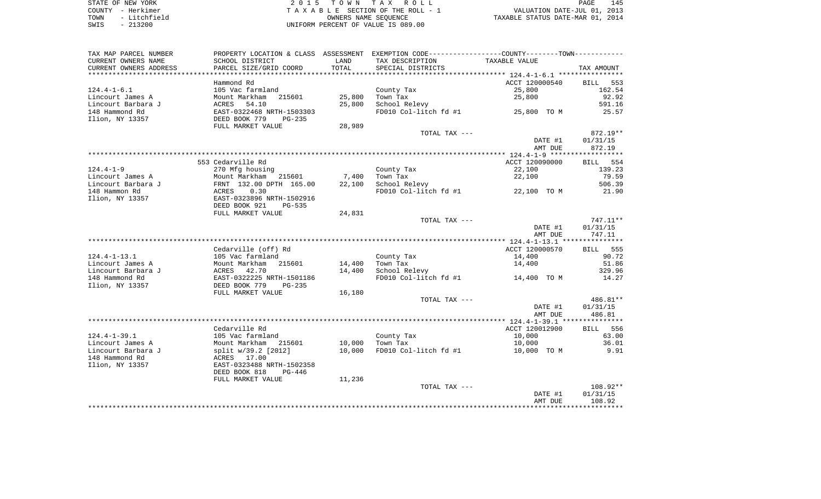| STATE OF NEW YORK        |              | 2015 TOWN TAX ROLL                  | PAGE                             | 145 |
|--------------------------|--------------|-------------------------------------|----------------------------------|-----|
| COUNTY - Herkimer        |              | TAXABLE SECTION OF THE ROLL - 1     | VALUATION DATE-JUL 01, 2013      |     |
| TOWN                     | - Litchfield | OWNERS NAME SEOUENCE                | TAXABLE STATUS DATE-MAR 01, 2014 |     |
| сыте <sub>–</sub> ว12000 |              | INITEOPM DEPOEME OF VAIIE IS 000 00 |                                  |     |

2015 TOWN TAX ROLL TA X A B L E SECTION OF THE ROLL - 1 SWIS - 213200 UNIFORM PERCENT OF VALUE IS 089.00

| TAX MAP PARCEL NUMBER                           | PROPERTY LOCATION & CLASS ASSESSMENT                 |        | EXEMPTION CODE----------------COUNTY-------TOWN----------- |                |                      |
|-------------------------------------------------|------------------------------------------------------|--------|------------------------------------------------------------|----------------|----------------------|
| CURRENT OWNERS NAME                             | SCHOOL DISTRICT                                      | LAND   | TAX DESCRIPTION                                            | TAXABLE VALUE  |                      |
| CURRENT OWNERS ADDRESS<br>********************* | PARCEL SIZE/GRID COORD                               | TOTAL  | SPECIAL DISTRICTS                                          |                | TAX AMOUNT           |
|                                                 | Hammond Rd                                           |        |                                                            | ACCT 120000540 | 553<br>BILL          |
| $124.4 - 1 - 6.1$                               | 105 Vac farmland                                     |        | County Tax                                                 | 25,800         | 162.54               |
| Lincourt James A                                | Mount Markham<br>215601                              | 25,800 | Town Tax                                                   | 25,800         | 92.92                |
| Lincourt Barbara J                              | 54.10<br>ACRES                                       | 25,800 | School Relevy                                              |                | 591.16               |
| 148 Hammond Rd                                  | EAST-0322468 NRTH-1503303                            |        | FD010 Col-litch fd #1                                      | 25,800 TO M    | 25.57                |
| Ilion, NY 13357                                 | DEED BOOK 779<br>$PG-235$                            |        |                                                            |                |                      |
|                                                 | FULL MARKET VALUE                                    | 28,989 |                                                            |                |                      |
|                                                 |                                                      |        | TOTAL TAX ---                                              |                | 872.19**             |
|                                                 |                                                      |        |                                                            | DATE #1        | 01/31/15             |
|                                                 |                                                      |        |                                                            | AMT DUE        | 872.19               |
|                                                 |                                                      |        |                                                            |                |                      |
|                                                 | 553 Cedarville Rd                                    |        |                                                            | ACCT 120090000 | 554<br>BILL          |
| $124.4 - 1 - 9$                                 | 270 Mfg housing                                      |        | County Tax                                                 | 22,100         | 139.23               |
| Lincourt James A                                | Mount Markham<br>215601                              | 7,400  | Town Tax                                                   | 22,100         | 79.59                |
| Lincourt Barbara J                              | FRNT 132.00 DPTH 165.00                              | 22,100 | School Relevy                                              |                | 506.39               |
| 148 Hammon Rd                                   | 0.30<br>ACRES                                        |        | FD010 Col-litch fd #1                                      | 22,100 TO M    | 21.90                |
| Ilion, NY 13357                                 | EAST-0323896 NRTH-1502916                            |        |                                                            |                |                      |
|                                                 | DEED BOOK 921<br>PG-535                              |        |                                                            |                |                      |
|                                                 | FULL MARKET VALUE                                    | 24,831 |                                                            |                |                      |
|                                                 |                                                      |        | TOTAL TAX ---                                              | DATE #1        | 747.11**<br>01/31/15 |
|                                                 |                                                      |        |                                                            | AMT DUE        | 747.11               |
|                                                 |                                                      |        |                                                            |                |                      |
|                                                 | Cedarville (off) Rd                                  |        |                                                            | ACCT 120000570 | <b>BILL</b> 555      |
| $124.4 - 1 - 13.1$                              | 105 Vac farmland                                     |        | County Tax                                                 | 14,400         | 90.72                |
| Lincourt James A                                | 215601<br>Mount Markham                              | 14,400 | Town Tax                                                   | 14,400         | 51.86                |
| Lincourt Barbara J                              | ACRES<br>42.70                                       | 14,400 | School Relevy                                              |                | 329.96               |
| 148 Hammond Rd                                  | EAST-0322225 NRTH-1501186                            |        | FD010 Col-litch fd #1                                      | 14,400 TO M    | 14.27                |
| Ilion, NY 13357                                 | DEED BOOK 779<br>$PG-235$                            |        |                                                            |                |                      |
|                                                 | FULL MARKET VALUE                                    | 16,180 |                                                            |                |                      |
|                                                 |                                                      |        | TOTAL TAX ---                                              |                | 486.81**             |
|                                                 |                                                      |        |                                                            | DATE #1        | 01/31/15             |
|                                                 |                                                      |        |                                                            | AMT DUE        | 486.81               |
|                                                 |                                                      |        |                                                            |                |                      |
|                                                 | Cedarville Rd                                        |        |                                                            | ACCT 120012900 | BILL 556             |
| $124.4 - 1 - 39.1$                              | 105 Vac farmland                                     |        | County Tax                                                 | 10,000         | 63.00                |
| Lincourt James A                                | Mount Markham<br>215601                              | 10,000 | Town Tax                                                   | 10,000         | 36.01                |
| Lincourt Barbara J                              | split w/39.2 [2012]                                  | 10,000 | FD010 Col-litch fd #1                                      | 10,000 TO M    | 9.91                 |
| 148 Hammond Rd                                  | ACRES 17.00                                          |        |                                                            |                |                      |
| Ilion, NY 13357                                 | EAST-0323488 NRTH-1502358<br>DEED BOOK 818<br>PG-446 |        |                                                            |                |                      |
|                                                 | FULL MARKET VALUE                                    | 11,236 |                                                            |                |                      |
|                                                 |                                                      |        | TOTAL TAX ---                                              |                | $108.92**$           |
|                                                 |                                                      |        |                                                            | DATE #1        | 01/31/15             |
|                                                 |                                                      |        |                                                            | AMT DUE        | 108.92               |
|                                                 |                                                      |        |                                                            |                |                      |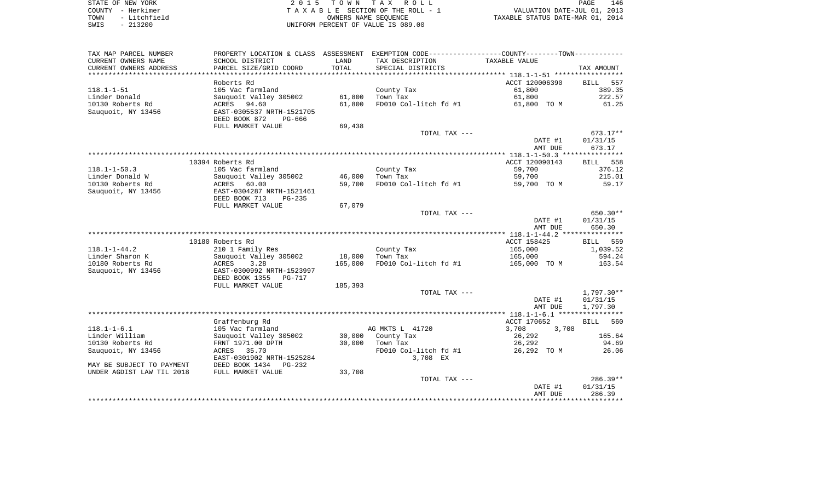| STATE OF NEW YORK |  |              |  |
|-------------------|--|--------------|--|
| COUNTY - Herkimer |  |              |  |
| TOWN              |  | - Litchfield |  |
| SWTS              |  | $-213200$    |  |

2015 TOWN TAX ROLL TA X A B L E SECTION OF THE ROLL - 1 TOWN - Litchfield OWNERS NAME SEQUENCE TAXABLE STATUS DATE-MAR 01, 2014 SWIS - 213200 CONTRORM PERCENT OF VALUE IS 089.00

| TAX MAP PARCEL NUMBER                 | PROPERTY LOCATION & CLASS ASSESSMENT |                  | EXEMPTION CODE-----------------COUNTY-------TOWN----------- |                                 |                    |
|---------------------------------------|--------------------------------------|------------------|-------------------------------------------------------------|---------------------------------|--------------------|
| CURRENT OWNERS NAME                   | SCHOOL DISTRICT                      | LAND             | TAX DESCRIPTION                                             | TAXABLE VALUE                   |                    |
| CURRENT OWNERS ADDRESS                | PARCEL SIZE/GRID COORD               | TOTAL            | SPECIAL DISTRICTS                                           |                                 | TAX AMOUNT         |
|                                       | Roberts Rd                           |                  |                                                             | ACCT 120006390                  | 557<br>BILL        |
| $118.1 - 1 - 51$                      | 105 Vac farmland                     |                  | County Tax                                                  | 61,800                          | 389.35             |
| Linder Donald                         | Sauquoit Valley 305002               | 61,800           | Town Tax                                                    | 61,800                          | 222.57             |
| 10130 Roberts Rd                      | 94.60<br>ACRES                       | 61,800           | FD010 Col-litch fd #1                                       | 61,800 TO M                     | 61.25              |
| Sauguoit, NY 13456                    | EAST-0305537 NRTH-1521705            |                  |                                                             |                                 |                    |
|                                       | DEED BOOK 872<br>PG-666              |                  |                                                             |                                 |                    |
|                                       | FULL MARKET VALUE                    | 69,438           |                                                             |                                 |                    |
|                                       |                                      |                  | TOTAL TAX ---                                               |                                 | 673.17**           |
|                                       |                                      |                  |                                                             | DATE #1                         | 01/31/15           |
|                                       |                                      |                  |                                                             | AMT DUE                         | 673.17             |
|                                       |                                      |                  |                                                             |                                 |                    |
|                                       | 10394 Roberts Rd                     |                  |                                                             | ACCT 120090143                  | <b>BILL</b><br>558 |
| $118.1 - 1 - 50.3$<br>Linder Donald W | 105 Vac farmland                     |                  | County Tax                                                  | 59,700                          | 376.12<br>215.01   |
| 10130 Roberts Rd                      | Sauguoit Valley 305002<br>60.00      | 46,000<br>59,700 | Town Tax<br>FD010 Col-litch fd #1                           | 59,700                          | 59.17              |
| Sauquoit, NY 13456                    | ACRES<br>EAST-0304287 NRTH-1521461   |                  |                                                             | 59,700 TO M                     |                    |
|                                       | DEED BOOK 713<br>$PG-235$            |                  |                                                             |                                 |                    |
|                                       | FULL MARKET VALUE                    | 67,079           |                                                             |                                 |                    |
|                                       |                                      |                  | TOTAL TAX ---                                               |                                 | 650.30**           |
|                                       |                                      |                  |                                                             | DATE #1                         | 01/31/15           |
|                                       |                                      |                  |                                                             | AMT DUE                         | 650.30             |
|                                       |                                      |                  |                                                             |                                 |                    |
|                                       | 10180 Roberts Rd                     |                  |                                                             | ACCT 158425                     | 559<br><b>BILL</b> |
| $118.1 - 1 - 44.2$                    | 210 1 Family Res                     |                  | County Tax                                                  | 165,000                         | 1,039.52           |
| Linder Sharon K                       | Sauquoit Valley 305002               | 18,000           | Town Tax                                                    | 165,000                         | 594.24             |
| 10180 Roberts Rd                      | <b>ACRES</b><br>3.28                 | 165,000          | FD010 Col-litch fd #1                                       | 165,000 TO M                    | 163.54             |
| Sauguoit, NY 13456                    | EAST-0300992 NRTH-1523997            |                  |                                                             |                                 |                    |
|                                       | DEED BOOK 1355<br><b>PG-717</b>      |                  |                                                             |                                 |                    |
|                                       | FULL MARKET VALUE                    | 185,393          | TOTAL TAX ---                                               |                                 | 1,797.30**         |
|                                       |                                      |                  |                                                             | DATE #1                         | 01/31/15           |
|                                       |                                      |                  |                                                             | AMT DUE                         | 1,797.30           |
|                                       |                                      |                  |                                                             |                                 |                    |
|                                       | Graffenburg Rd                       |                  |                                                             | ACCT 170652                     | <b>BILL</b><br>560 |
| $118.1 - 1 - 6.1$                     | 105 Vac farmland                     |                  | AG MKTS L 41720                                             | 3,708<br>3,708                  |                    |
| Linder William                        | Sauguoit Valley 305002               | 30,000           | County Tax                                                  | 26,292                          | 165.64             |
| 10130 Roberts Rd                      | FRNT 1971.00 DPTH                    | 30,000           | Town Tax                                                    | 26,292                          | 94.69              |
| Sauquoit, NY 13456                    | ACRES 35.70                          |                  | FD010 Col-litch fd #1                                       | 26,292 TO M                     | 26.06              |
|                                       | EAST-0301902 NRTH-1525284            |                  | 3,708 EX                                                    |                                 |                    |
| MAY BE SUBJECT TO PAYMENT             | DEED BOOK 1434<br>$PG-232$           |                  |                                                             |                                 |                    |
| UNDER AGDIST LAW TIL 2018             | FULL MARKET VALUE                    | 33,708           |                                                             |                                 |                    |
|                                       |                                      |                  | TOTAL TAX ---                                               |                                 | $286.39**$         |
|                                       |                                      |                  |                                                             | DATE #1<br>AMT DUE              | 01/31/15<br>286.39 |
|                                       |                                      |                  |                                                             | ******************************* |                    |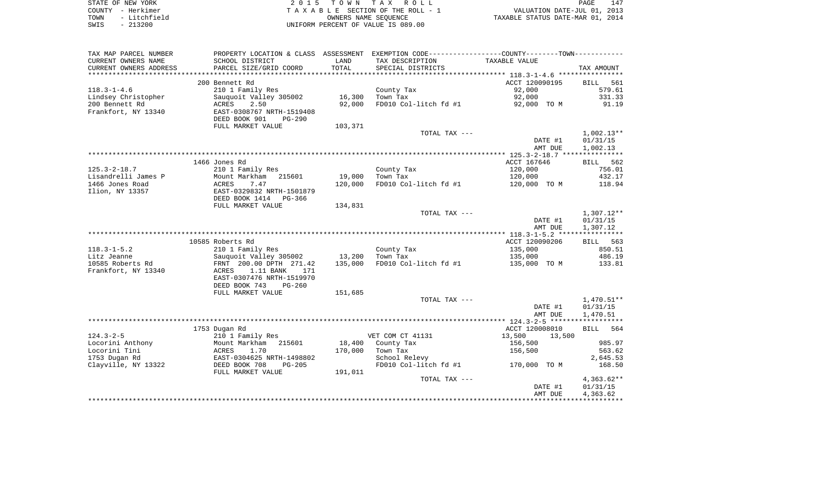| STATE OF NEW YORK |              | 2015 TOWN TAX ROLL                 |                      |  |                                  | PAGE | 147 |
|-------------------|--------------|------------------------------------|----------------------|--|----------------------------------|------|-----|
| COUNTY - Herkimer |              | TAXABLE SECTION OF THE ROLL - 1    |                      |  | VALUATION DATE-JUL 01, 2013      |      |     |
| TOWN              | - Litchfield |                                    | OWNERS NAME SEOUENCE |  | TAXABLE STATUS DATE-MAR 01, 2014 |      |     |
| $-213200$<br>SWIS |              | UNIFORM PERCENT OF VALUE IS 089.00 |                      |  |                                  |      |     |

| TAX MAP PARCEL NUMBER                |                                                        |         | PROPERTY LOCATION & CLASS ASSESSMENT EXEMPTION CODE---------------COUNTY-------TOWN---------- |                        |                    |
|--------------------------------------|--------------------------------------------------------|---------|-----------------------------------------------------------------------------------------------|------------------------|--------------------|
| CURRENT OWNERS NAME                  | SCHOOL DISTRICT                                        | LAND    | TAX DESCRIPTION                                                                               | TAXABLE VALUE          |                    |
| CURRENT OWNERS ADDRESS               | PARCEL SIZE/GRID COORD                                 | TOTAL   | SPECIAL DISTRICTS                                                                             |                        | TAX AMOUNT         |
|                                      |                                                        |         |                                                                                               |                        |                    |
|                                      | 200 Bennett Rd                                         |         |                                                                                               | ACCT 120090195         | 561<br>BILL        |
| $118.3 - 1 - 4.6$                    | 210 1 Family Res                                       |         | County Tax                                                                                    | 92,000                 | 579.61             |
| Lindsey Christopher                  | Sauquoit Valley 305002                                 | 16,300  | Town Tax                                                                                      | 92,000                 | 331.33             |
| 200 Bennett Rd                       | 2.50<br>ACRES                                          | 92,000  | FD010 Col-litch fd #1                                                                         | 92,000 TO M            | 91.19              |
| Frankfort, NY 13340                  | EAST-0308767 NRTH-1519408                              |         |                                                                                               |                        |                    |
|                                      | DEED BOOK 901<br>$PG-290$                              |         |                                                                                               |                        |                    |
|                                      | FULL MARKET VALUE                                      | 103,371 |                                                                                               |                        |                    |
|                                      |                                                        |         | TOTAL TAX ---                                                                                 |                        | $1,002.13**$       |
|                                      |                                                        |         |                                                                                               | DATE #1                | 01/31/15           |
|                                      |                                                        |         |                                                                                               | AMT DUE                | 1,002.13           |
|                                      |                                                        |         |                                                                                               |                        |                    |
| $125.3 - 2 - 18.7$                   | 1466 Jones Rd<br>210 1 Family Res                      |         | County Tax                                                                                    | ACCT 167646<br>120,000 | BILL 562<br>756.01 |
| Lisandrelli James P                  | Mount Markham<br>215601                                | 19,000  | Town Tax                                                                                      | 120,000                | 432.17             |
| 1466 Jones Road                      | ACRES<br>7.47                                          | 120,000 | FD010 Col-litch fd #1                                                                         | 120,000 TO M           | 118.94             |
| Ilion, NY 13357                      | EAST-0329832 NRTH-1501879                              |         |                                                                                               |                        |                    |
|                                      | DEED BOOK 1414<br>PG-366                               |         |                                                                                               |                        |                    |
|                                      | FULL MARKET VALUE                                      | 134,831 |                                                                                               |                        |                    |
|                                      |                                                        |         | TOTAL TAX ---                                                                                 |                        | 1,307.12**         |
|                                      |                                                        |         |                                                                                               | DATE #1                | 01/31/15           |
|                                      |                                                        |         |                                                                                               | AMT DUE                | 1,307.12           |
|                                      |                                                        |         |                                                                                               |                        |                    |
|                                      | 10585 Roberts Rd                                       |         |                                                                                               | ACCT 120090206         | BILL 563           |
| $118.3 - 1 - 5.2$                    | 210 1 Family Res                                       |         | County Tax                                                                                    | 135,000                | 850.51             |
| Litz Jeanne                          | Sauquoit Valley 305002                                 | 13,200  | Town Tax                                                                                      | 135,000                | 486.19             |
| 10585 Roberts Rd                     | FRNT 200.00 DPTH 271.42                                | 135,000 | FD010 Col-litch fd #1                                                                         | 135,000 TO M           | 133.81             |
| Frankfort, NY 13340                  | 1.11 BANK<br>ACRES<br>171                              |         |                                                                                               |                        |                    |
|                                      | EAST-0307476 NRTH-1519970                              |         |                                                                                               |                        |                    |
|                                      | DEED BOOK 743<br>$PG-260$                              |         |                                                                                               |                        |                    |
|                                      | FULL MARKET VALUE                                      | 151,685 |                                                                                               |                        |                    |
|                                      |                                                        |         | TOTAL TAX ---                                                                                 |                        | $1,470.51**$       |
|                                      |                                                        |         |                                                                                               | DATE #1                | 01/31/15           |
|                                      |                                                        |         |                                                                                               | AMT DUE                | 1,470.51           |
|                                      |                                                        |         |                                                                                               |                        |                    |
|                                      | 1753 Dugan Rd                                          |         |                                                                                               | ACCT 120008010         | BILL<br>564        |
| $124.3 - 2 - 5$                      | 210 1 Family Res                                       |         | VET COM CT 41131                                                                              | 13,500<br>13,500       |                    |
| Locorini Anthony                     | Mount Markham<br>215601                                | 18,400  | County Tax                                                                                    | 156,500                | 985.97             |
| Locorini Tini                        | ACRES<br>1.70                                          | 170,000 | Town Tax                                                                                      | 156,500                | 563.62             |
| 1753 Dugan Rd<br>Clayville, NY 13322 | EAST-0304625 NRTH-1498802<br>DEED BOOK 708<br>$PG-205$ |         | School Relevy<br>FD010 Col-litch fd #1                                                        |                        | 2,645.53<br>168.50 |
|                                      |                                                        | 191,011 |                                                                                               | 170,000 TO M           |                    |
|                                      | FULL MARKET VALUE                                      |         | TOTAL TAX ---                                                                                 |                        | $4,363.62**$       |
|                                      |                                                        |         |                                                                                               | DATE #1                | 01/31/15           |
|                                      |                                                        |         |                                                                                               | AMT DUE                | 4,363.62           |
|                                      |                                                        |         |                                                                                               |                        |                    |
|                                      |                                                        |         |                                                                                               |                        |                    |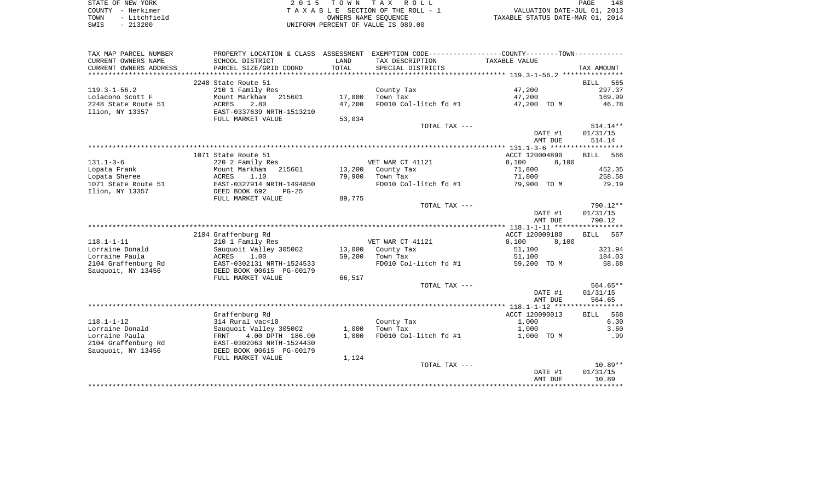|      | STATE OF NEW YORK | 2015 TOWN TAX ROLL                 | 148<br>PAGE                      |
|------|-------------------|------------------------------------|----------------------------------|
|      | COUNTY - Herkimer | TAXABLE SECTION OF THE ROLL - 1    | VALUATION DATE-JUL 01, 2013      |
| TOWN | - Litchfield      | OWNERS NAME SEOUENCE               | TAXABLE STATUS DATE-MAR 01, 2014 |
| SWIS | $-213200$         | UNIFORM PERCENT OF VALUE IS 089.00 |                                  |

| TAX MAP PARCEL NUMBER  | PROPERTY LOCATION & CLASS ASSESSMENT |        |                       | EXEMPTION CODE----------------COUNTY-------TOWN----------- |                    |
|------------------------|--------------------------------------|--------|-----------------------|------------------------------------------------------------|--------------------|
| CURRENT OWNERS NAME    | SCHOOL DISTRICT                      | LAND   | TAX DESCRIPTION       | TAXABLE VALUE                                              |                    |
| CURRENT OWNERS ADDRESS | PARCEL SIZE/GRID COORD               | TOTAL  | SPECIAL DISTRICTS     |                                                            | TAX AMOUNT         |
|                        |                                      |        |                       |                                                            |                    |
|                        | 2248 State Route 51                  |        |                       |                                                            | 565<br>BILL        |
| $119.3 - 1 - 56.2$     | 210 1 Family Res                     |        | County Tax            | 47,200                                                     | 297.37             |
| Loiacono Scott F       | 215601<br>Mount Markham              | 17,000 | Town Tax              | 47,200                                                     | 169.99             |
| 2248 State Route 51    | 2.80<br>ACRES                        | 47,200 | FD010 Col-litch fd #1 | 47,200 TO M                                                | 46.78              |
| Ilion, NY 13357        | EAST-0337639 NRTH-1513210            |        |                       |                                                            |                    |
|                        | FULL MARKET VALUE                    | 53,034 |                       |                                                            |                    |
|                        |                                      |        | TOTAL TAX ---         |                                                            | $514.14**$         |
|                        |                                      |        |                       | DATE #1                                                    | 01/31/15           |
|                        |                                      |        |                       | AMT DUE                                                    | 514.14             |
|                        |                                      |        |                       |                                                            |                    |
|                        | 1071 State Route 51                  |        |                       | ACCT 120004890                                             | <b>BILL</b><br>566 |
| $131.1 - 3 - 6$        | 220 2 Family Res                     |        | VET WAR CT 41121      | 8,100<br>8,100                                             |                    |
| Lopata Frank           | Mount Markham<br>215601              |        | 13,200 County Tax     | 71,800                                                     | 452.35             |
| Lopata Sheree          | ACRES<br>1.10                        | 79,900 | Town Tax              | 71,800                                                     | 258.58             |
| 1071 State Route 51    | EAST-0327914 NRTH-1494850            |        | FD010 Col-litch fd #1 | 79,900 TO M                                                | 79.19              |
| Ilion, NY 13357        | DEED BOOK 692<br>$PG-25$             |        |                       |                                                            |                    |
|                        | FULL MARKET VALUE                    | 89,775 |                       |                                                            |                    |
|                        |                                      |        | TOTAL TAX ---         |                                                            | 790.12**           |
|                        |                                      |        |                       | DATE #1                                                    | 01/31/15           |
|                        |                                      |        |                       | AMT DUE                                                    | 790.12             |
|                        |                                      |        |                       |                                                            |                    |
|                        | 2104 Graffenburg Rd                  |        |                       | ACCT 120009180                                             | 567<br><b>BILL</b> |
| $118.1 - 1 - 11$       | 210 1 Family Res                     |        | VET WAR CT 41121      | 8,100<br>8,100                                             |                    |
| Lorraine Donald        | Sauguoit Valley 305002               |        | 13,000 County Tax     | 51,100                                                     | 321.94             |
| Lorraine Paula         | ACRES<br>1.00                        | 59,200 | Town Tax              | 51,100                                                     | 184.03             |
| 2104 Graffenburg Rd    | EAST-0302131 NRTH-1524533            |        | FD010 Col-litch fd #1 | 59,200 TO M                                                | 58.68              |
| Sauquoit, NY 13456     | DEED BOOK 00615 PG-00179             |        |                       |                                                            |                    |
|                        | FULL MARKET VALUE                    | 66,517 |                       |                                                            |                    |
|                        |                                      |        | TOTAL TAX ---         |                                                            | 564.65**           |
|                        |                                      |        |                       | DATE #1                                                    | 01/31/15           |
|                        |                                      |        |                       | AMT DUE                                                    | 564.65             |
|                        |                                      |        |                       |                                                            |                    |
|                        | Graffenburg Rd                       |        |                       | ACCT 120090013                                             | <b>BILL</b> 568    |
| $118.1 - 1 - 12$       | 314 Rural vac<10                     |        | County Tax            | 1,000                                                      | 6.30               |
| Lorraine Donald        | Sauquoit Valley 305002               | 1,000  | Town Tax              | 1,000                                                      | 3.60               |
| Lorraine Paula         | FRNT 4.00 DPTH 186.00                | 1,000  | FD010 Col-litch fd #1 | 1,000 TO M                                                 | .99                |
| 2104 Graffenburg Rd    | EAST-0302063 NRTH-1524430            |        |                       |                                                            |                    |
|                        |                                      |        |                       |                                                            |                    |
| Sauquoit, NY 13456     | DEED BOOK 00615 PG-00179             |        |                       |                                                            |                    |
|                        | FULL MARKET VALUE                    | 1,124  |                       |                                                            |                    |
|                        |                                      |        | TOTAL TAX ---         |                                                            | $10.89**$          |
|                        |                                      |        |                       | DATE #1                                                    | 01/31/15           |
|                        |                                      |        |                       | AMT DUE                                                    | 10.89              |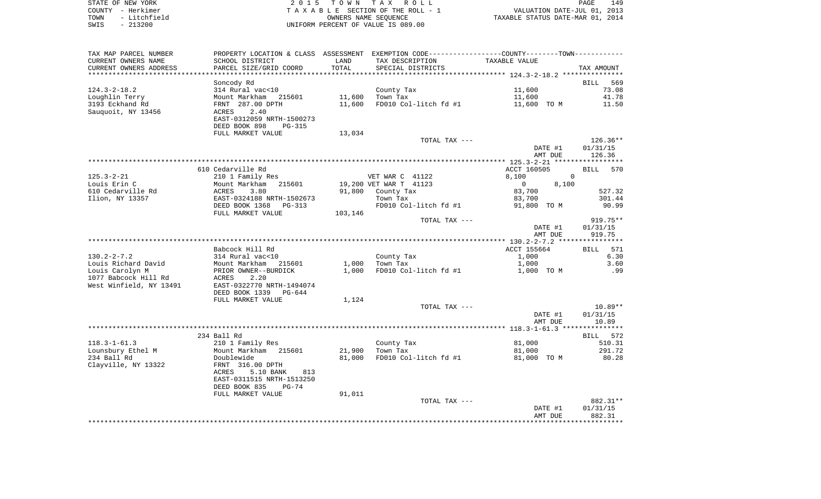|      | STATE OF NEW YORK | 2015 TOWN TAX ROLL                 | PAGE                             | 149 |
|------|-------------------|------------------------------------|----------------------------------|-----|
|      | COUNTY - Herkimer | TAXABLE SECTION OF THE ROLL - 1    | VALUATION DATE-JUL 01, 2013      |     |
| TOWN | - Litchfield      | OWNERS NAME SEOUENCE               | TAXABLE STATUS DATE-MAR 01, 2014 |     |
| SWIS | - 213200          | UNIFORM PERCENT OF VALUE IS 089.00 |                                  |     |

149<br>2013<br>2014

| TAX MAP PARCEL NUMBER   |                           |         |                        | PROPERTY LOCATION & CLASS ASSESSMENT EXEMPTION CODE----------------COUNTY--------TOWN----------- |                    |
|-------------------------|---------------------------|---------|------------------------|--------------------------------------------------------------------------------------------------|--------------------|
| CURRENT OWNERS NAME     | SCHOOL DISTRICT           | LAND    | TAX DESCRIPTION        | TAXABLE VALUE                                                                                    |                    |
| CURRENT OWNERS ADDRESS  | PARCEL SIZE/GRID COORD    | TOTAL   | SPECIAL DISTRICTS      |                                                                                                  | TAX AMOUNT         |
|                         |                           |         |                        |                                                                                                  |                    |
|                         | Soncody Rd                |         |                        |                                                                                                  | BILL<br>569        |
| $124.3 - 2 - 18.2$      | 314 Rural vac<10          |         | County Tax             | 11,600                                                                                           | 73.08              |
| Loughlin Terry          | Mount Markham<br>215601   | 11,600  | Town Tax               | 11,600                                                                                           | 41.78              |
| 3193 Eckhand Rd         | FRNT 287.00 DPTH          | 11,600  | FD010 Col-litch fd #1  | 11,600 TO M                                                                                      | 11.50              |
| Sauguoit, NY 13456      | ACRES<br>2.40             |         |                        |                                                                                                  |                    |
|                         | EAST-0312059 NRTH-1500273 |         |                        |                                                                                                  |                    |
|                         | DEED BOOK 898<br>PG-315   |         |                        |                                                                                                  |                    |
|                         | FULL MARKET VALUE         | 13,034  |                        |                                                                                                  |                    |
|                         |                           |         | TOTAL TAX ---          |                                                                                                  | 126.36**           |
|                         |                           |         |                        | DATE #1                                                                                          | 01/31/15           |
|                         |                           |         |                        | AMT DUE                                                                                          | 126.36             |
|                         |                           |         |                        |                                                                                                  |                    |
|                         | 610 Cedarville Rd         |         |                        | ACCT 160505                                                                                      | 570<br>BILL        |
| $125.3 - 2 - 21$        | 210 1 Family Res          |         | VET WAR C 41122        | 8,100<br>$\mathbf 0$                                                                             |                    |
| Louis Erin C            | Mount Markham<br>215601   |         | 19,200 VET WAR T 41123 | $\overline{0}$<br>8,100                                                                          |                    |
| 610 Cedarville Rd       | ACRES<br>3.80             |         | 91,800 County Tax      | 83,700                                                                                           | 527.32             |
| Ilion, NY 13357         | EAST-0324188 NRTH-1502673 |         | Town Tax               | 83,700                                                                                           | 301.44             |
|                         | DEED BOOK 1368<br>PG-313  |         | FD010 Col-litch fd #1  | 91,800 TO M                                                                                      | 90.99              |
|                         | FULL MARKET VALUE         | 103,146 |                        |                                                                                                  |                    |
|                         |                           |         | TOTAL TAX ---          |                                                                                                  | $919.75**$         |
|                         |                           |         |                        | DATE #1                                                                                          | 01/31/15           |
|                         |                           |         |                        | AMT DUE                                                                                          | 919.75             |
|                         |                           |         |                        |                                                                                                  |                    |
|                         | Babcock Hill Rd           |         |                        | ACCT 155664                                                                                      | 571<br>BILL        |
| $130.2 - 2 - 7.2$       | 314 Rural vac<10          |         | County Tax             | 1,000                                                                                            | 6.30               |
| Louis Richard David     | Mount Markham<br>215601   | 1,000   | Town Tax               | 1,000                                                                                            | 3.60               |
| Louis Carolyn M         | PRIOR OWNER--BURDICK      | 1,000   | FD010 Col-litch fd #1  | 1,000 TO M                                                                                       | .99                |
| 1077 Babcock Hill Rd    | 2.20<br>ACRES             |         |                        |                                                                                                  |                    |
| West Winfield, NY 13491 | EAST-0322770 NRTH-1494074 |         |                        |                                                                                                  |                    |
|                         | DEED BOOK 1339<br>PG-644  |         |                        |                                                                                                  |                    |
|                         | FULL MARKET VALUE         | 1,124   |                        |                                                                                                  |                    |
|                         |                           |         | TOTAL TAX ---          |                                                                                                  | $10.89**$          |
|                         |                           |         |                        | DATE #1                                                                                          | 01/31/15           |
|                         |                           |         |                        | AMT DUE                                                                                          | 10.89              |
|                         |                           |         |                        |                                                                                                  |                    |
|                         | 234 Ball Rd               |         |                        |                                                                                                  | BILL 572           |
| $118.3 - 1 - 61.3$      | 210 1 Family Res          |         | County Tax             | 81,000                                                                                           | 510.31             |
| Lounsbury Ethel M       | Mount Markham 215601      | 21,900  | Town Tax               | 81,000                                                                                           | 291.72             |
| 234 Ball Rd             | Doublewide                | 81,000  | FD010 Col-litch fd #1  | 81,000 TO M                                                                                      | 80.28              |
| Clayville, NY 13322     | FRNT 316.00 DPTH          |         |                        |                                                                                                  |                    |
|                         | ACRES<br>5.10 BANK<br>813 |         |                        |                                                                                                  |                    |
|                         | EAST-0311515 NRTH-1513250 |         |                        |                                                                                                  |                    |
|                         | DEED BOOK 835<br>$PG-74$  |         |                        |                                                                                                  |                    |
|                         | FULL MARKET VALUE         | 91,011  |                        |                                                                                                  |                    |
|                         |                           |         | TOTAL TAX ---          |                                                                                                  | 882.31**           |
|                         |                           |         |                        | DATE #1<br>AMT DUE                                                                               | 01/31/15<br>882.31 |
|                         |                           |         |                        |                                                                                                  |                    |
|                         |                           |         |                        |                                                                                                  |                    |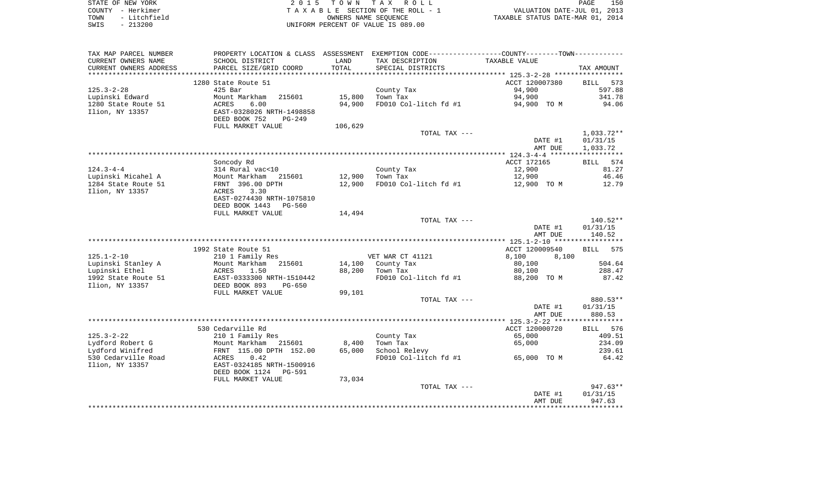| STATE OF NEW YORK    | 2015 TOWN TAX ROLL                 | 150<br>PAGE                      |
|----------------------|------------------------------------|----------------------------------|
| COUNTY - Herkimer    | TAXABLE SECTION OF THE ROLL - 1    | VALUATION DATE-JUL 01, 2013      |
| - Litchfield<br>TOWN | OWNERS NAME SEOUENCE               | TAXABLE STATUS DATE-MAR 01, 2014 |
| $-213200$<br>SWIS    | UNIFORM PERCENT OF VALUE IS 089.00 |                                  |

| TAX MAP PARCEL NUMBER     | PROPERTY LOCATION & CLASS ASSESSMENT EXEMPTION CODE---------------COUNTY-------TOWN---------- |         |                       |                |                    |
|---------------------------|-----------------------------------------------------------------------------------------------|---------|-----------------------|----------------|--------------------|
| CURRENT OWNERS NAME       | SCHOOL DISTRICT                                                                               | LAND    | TAX DESCRIPTION       | TAXABLE VALUE  |                    |
| CURRENT OWNERS ADDRESS    | PARCEL SIZE/GRID COORD                                                                        | TOTAL   | SPECIAL DISTRICTS     |                | TAX AMOUNT         |
| ************************* |                                                                                               |         |                       |                |                    |
|                           | 1280 State Route 51                                                                           |         |                       | ACCT 120007380 | BILL<br>573        |
| $125.3 - 2 - 28$          | 425 Bar                                                                                       |         | County Tax            | 94,900         | 597.88             |
| Lupinski Edward           | Mount Markham<br>215601                                                                       | 15,800  | Town Tax              | 94,900         | 341.78             |
| 1280 State Route 51       | 6.00<br>ACRES                                                                                 | 94,900  | FD010 Col-litch fd #1 | 94,900 TO M    | 94.06              |
| Ilion, NY 13357           | EAST-0328026 NRTH-1498858                                                                     |         |                       |                |                    |
|                           | DEED BOOK 752<br>PG-249                                                                       |         |                       |                |                    |
|                           | FULL MARKET VALUE                                                                             | 106,629 |                       |                |                    |
|                           |                                                                                               |         | TOTAL TAX ---         |                | 1,033.72**         |
|                           |                                                                                               |         |                       | DATE #1        | 01/31/15           |
|                           |                                                                                               |         |                       | AMT DUE        | 1,033.72           |
|                           |                                                                                               |         |                       |                |                    |
|                           | Soncody Rd                                                                                    |         |                       | ACCT 172165    | BILL 574           |
| $124.3 - 4 - 4$           | 314 Rural vac<10                                                                              |         | County Tax            | 12,900         | 81.27              |
| Lupinski Micahel A        | Mount Markham 215601                                                                          | 12,900  | Town Tax              | 12,900         | 46.46              |
| 1284 State Route 51       | FRNT 396.00 DPTH                                                                              | 12,900  | FD010 Col-litch fd #1 | 12,900 TO M    | 12.79              |
| Ilion, NY 13357           | ACRES<br>3.30                                                                                 |         |                       |                |                    |
|                           | EAST-0274430 NRTH-1075810                                                                     |         |                       |                |                    |
|                           | DEED BOOK 1443<br>PG-560                                                                      |         |                       |                |                    |
|                           | FULL MARKET VALUE                                                                             | 14,494  | TOTAL TAX ---         |                | $140.52**$         |
|                           |                                                                                               |         |                       | DATE #1        | 01/31/15           |
|                           |                                                                                               |         |                       | AMT DUE        | 140.52             |
|                           |                                                                                               |         |                       |                |                    |
|                           | 1992 State Route 51                                                                           |         |                       | ACCT 120009540 | 575<br><b>BILL</b> |
| $125.1 - 2 - 10$          | 210 1 Family Res                                                                              |         | VET WAR CT 41121      | 8,100<br>8,100 |                    |
| Lupinski Stanley A        | Mount Markham<br>215601                                                                       |         | 14,100 County Tax     | 80,100         | 504.64             |
| Lupinski Ethel            | ACRES<br>1.50                                                                                 | 88,200  | Town Tax              | 80,100         | 288.47             |
| 1992 State Route 51       |                                                                                               |         | FD010 Col-litch fd #1 | 88,200 TO M    | 87.42              |
| Ilion, NY 13357           | EAST-0333300 NRTH-1510442<br>DEED BOOK 893    PG-650                                          |         |                       |                |                    |
|                           | FULL MARKET VALUE                                                                             | 99,101  |                       |                |                    |
|                           |                                                                                               |         | TOTAL TAX ---         |                | 880.53**           |
|                           |                                                                                               |         |                       | DATE #1        | 01/31/15           |
|                           |                                                                                               |         |                       | AMT DUE        | 880.53             |
|                           |                                                                                               |         |                       |                |                    |
|                           | 530 Cedarville Rd                                                                             |         |                       | ACCT 120000720 | BILL 576           |
| $125.3 - 2 - 22$          | 210 1 Family Res                                                                              |         | County Tax            | 65,000         | 409.51             |
| Lydford Robert G          | Mount Markham 215601                                                                          | 8,400   | Town Tax              | 65,000         | 234.09             |
| Lydford Winifred          | FRNT 115.00 DPTH 152.00                                                                       | 65,000  | School Relevy         |                | 239.61             |
| 530 Cedarville Road       | 0.42<br>ACRES                                                                                 |         | FD010 Col-litch fd #1 | 65,000 TO M    | 64.42              |
| Ilion, NY 13357           | EAST-0324185 NRTH-1500916                                                                     |         |                       |                |                    |
|                           | DEED BOOK 1124 PG-591                                                                         |         |                       |                |                    |
|                           | FULL MARKET VALUE                                                                             | 73,034  |                       |                |                    |
|                           |                                                                                               |         | TOTAL TAX ---         |                | $947.63**$         |
|                           |                                                                                               |         |                       | DATE #1        | 01/31/15           |
|                           |                                                                                               |         |                       | AMT DUE        | 947.63             |
|                           |                                                                                               |         |                       |                |                    |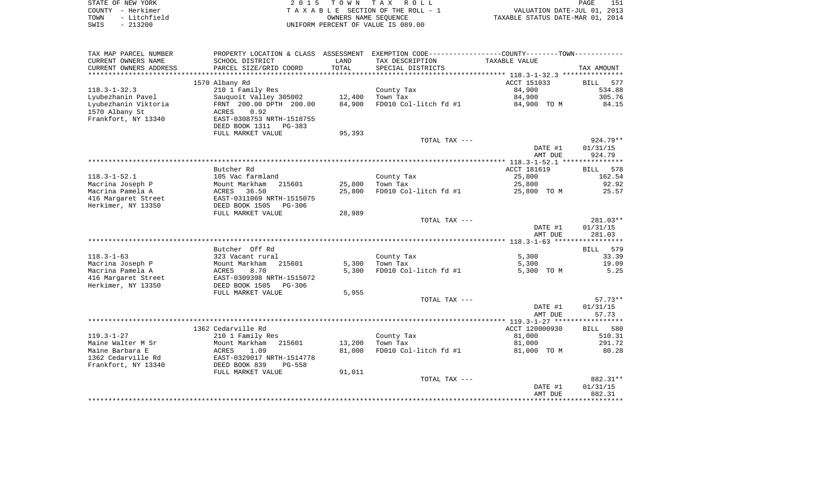| STATE OF NEW YORK    | 2015 TOWN TAX ROLL                 | 151<br>PAGE                      |
|----------------------|------------------------------------|----------------------------------|
| COUNTY - Herkimer    | TAXABLE SECTION OF THE ROLL - 1    | VALUATION DATE-JUL 01, 2013      |
| - Litchfield<br>TOWN | OWNERS NAME SEOUENCE               | TAXABLE STATUS DATE-MAR 01, 2014 |
| SWIS<br>- 213200     | UNIFORM PERCENT OF VALUE IS 089.00 |                                  |

| TAX MAP PARCEL NUMBER  |                            |        | PROPERTY LOCATION & CLASS ASSESSMENT EXEMPTION CODE---------------COUNTY-------TOWN---------- |                |             |
|------------------------|----------------------------|--------|-----------------------------------------------------------------------------------------------|----------------|-------------|
| CURRENT OWNERS NAME    | SCHOOL DISTRICT            | LAND   | TAX DESCRIPTION                                                                               | TAXABLE VALUE  |             |
| CURRENT OWNERS ADDRESS | PARCEL SIZE/GRID COORD     | TOTAL  | SPECIAL DISTRICTS                                                                             |                | TAX AMOUNT  |
| *********************  | *************************  |        |                                                                                               |                |             |
|                        | 1570 Albany Rd             |        |                                                                                               | ACCT 151033    | BILL<br>577 |
| $118.3 - 1 - 32.3$     | 210 1 Family Res           |        | County Tax                                                                                    | 84,900         | 534.88      |
| Lyubezhanin Pavel      | Sauquoit Valley 305002     | 12,400 | Town Tax                                                                                      | 84,900         | 305.76      |
| Lyubezhanin Viktoria   | FRNT 200.00 DPTH 200.00    | 84,900 | FD010 Col-litch fd #1                                                                         | 84,900 TO M    | 84.15       |
| 1570 Albany St         | 0.92<br>ACRES              |        |                                                                                               |                |             |
| Frankfort, NY 13340    | EAST-0308753 NRTH-1518755  |        |                                                                                               |                |             |
|                        | DEED BOOK 1311<br>PG-383   |        |                                                                                               |                |             |
|                        | FULL MARKET VALUE          | 95,393 |                                                                                               |                |             |
|                        |                            |        | TOTAL TAX ---                                                                                 |                | $924.79**$  |
|                        |                            |        |                                                                                               | DATE #1        | 01/31/15    |
|                        |                            |        |                                                                                               | AMT DUE        | 924.79      |
|                        |                            |        |                                                                                               |                |             |
|                        | Butcher Rd                 |        |                                                                                               | ACCT 181619    | 578<br>BILL |
| $118.3 - 1 - 52.1$     | 105 Vac farmland           |        | County Tax                                                                                    | 25,800         | 162.54      |
| Macrina Joseph P       | Mount Markham<br>215601    | 25,800 | Town Tax                                                                                      | 25,800         | 92.92       |
| Macrina Pamela A       | 36.50<br>ACRES             | 25,800 | FD010 Col-litch fd #1                                                                         | 25,800 TO M    | 25.57       |
| 416 Margaret Street    | EAST-0311069 NRTH-1515075  |        |                                                                                               |                |             |
| Herkimer, NY 13350     | DEED BOOK 1505<br>$PG-306$ |        |                                                                                               |                |             |
|                        | FULL MARKET VALUE          | 28,989 |                                                                                               |                |             |
|                        |                            |        | TOTAL TAX ---                                                                                 |                | 281.03**    |
|                        |                            |        |                                                                                               | DATE #1        | 01/31/15    |
|                        |                            |        |                                                                                               | AMT DUE        | 281.03      |
|                        |                            |        |                                                                                               |                |             |
|                        | Butcher Off Rd             |        |                                                                                               |                | BILL 579    |
| $118.3 - 1 - 63$       | 323 Vacant rural           |        | County Tax                                                                                    | 5,300          | 33.39       |
| Macrina Joseph P       | Mount Markham<br>215601    | 5,300  | Town Tax                                                                                      | 5,300          | 19.09       |
| Macrina Pamela A       | ACRES<br>8.70              | 5,300  | FD010 Col-litch fd #1                                                                         | 5,300 TO M     | 5.25        |
| 416 Margaret Street    | EAST-0309398 NRTH-1515072  |        |                                                                                               |                |             |
| Herkimer, NY 13350     | DEED BOOK 1505<br>$PG-306$ |        |                                                                                               |                |             |
|                        | FULL MARKET VALUE          | 5,955  |                                                                                               |                |             |
|                        |                            |        | TOTAL TAX ---                                                                                 |                | $57.73**$   |
|                        |                            |        |                                                                                               | DATE #1        | 01/31/15    |
|                        |                            |        |                                                                                               | AMT DUE        | 57.73       |
|                        |                            |        |                                                                                               |                |             |
|                        | 1362 Cedarville Rd         |        |                                                                                               | ACCT 120000930 | BILL 580    |
| $119.3 - 1 - 27$       | 210 1 Family Res           |        | County Tax                                                                                    | 81,000         | 510.31      |
| Maine Walter M Sr      | Mount Markham<br>215601    | 13,200 | Town Tax                                                                                      | 81,000         | 291.72      |
| Maine Barbara E        | ACRES<br>1.09              | 81,000 | FD010 Col-litch fd #1                                                                         | 81,000 TO M    | 80.28       |
| 1362 Cedarville Rd     | EAST-0329017 NRTH-1514778  |        |                                                                                               |                |             |
| Frankfort, NY 13340    | DEED BOOK 839<br>$PG-558$  |        |                                                                                               |                |             |
|                        | FULL MARKET VALUE          | 91,011 |                                                                                               |                |             |
|                        |                            |        | TOTAL TAX ---                                                                                 |                | 882.31**    |
|                        |                            |        |                                                                                               | DATE #1        | 01/31/15    |
|                        |                            |        |                                                                                               | AMT DUE        | 882.31      |
|                        |                            |        |                                                                                               |                |             |
|                        |                            |        |                                                                                               |                |             |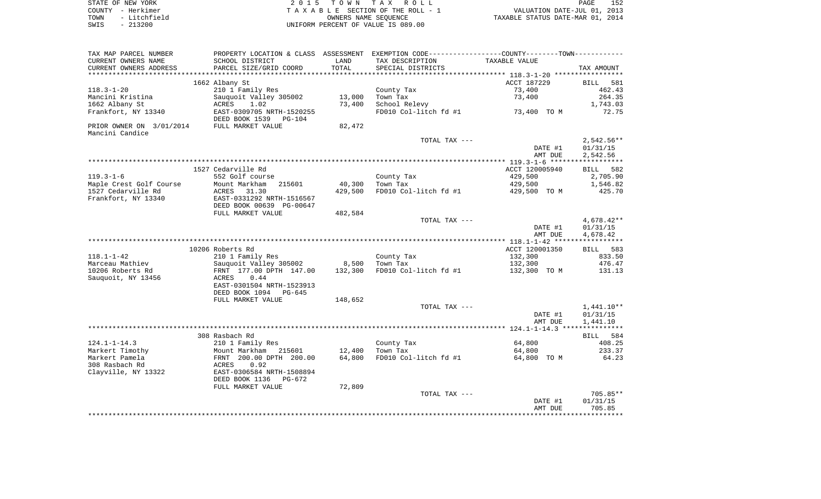| STATE OF NEW YORK |              | 2015 TOWN TAX ROLL                 |  |                                  | PAGE | 152 |
|-------------------|--------------|------------------------------------|--|----------------------------------|------|-----|
| COUNTY - Herkimer |              | TAXABLE SECTION OF THE ROLL - 1    |  | VALUATION DATE-JUL 01, 2013      |      |     |
| TOWN              | - Litchfield | OWNERS NAME SEOUENCE               |  | TAXABLE STATUS DATE-MAR 01, 2014 |      |     |
| $-213200$<br>SWIS |              | UNIFORM PERCENT OF VALUE IS 089.00 |  |                                  |      |     |

| TAX MAP PARCEL NUMBER                       | PROPERTY LOCATION & CLASS ASSESSMENT EXEMPTION CODE----------------COUNTY--------TOWN---------- |         |                       |                    |                                    |
|---------------------------------------------|-------------------------------------------------------------------------------------------------|---------|-----------------------|--------------------|------------------------------------|
| CURRENT OWNERS NAME                         | SCHOOL DISTRICT                                                                                 | LAND    | TAX DESCRIPTION       | TAXABLE VALUE      |                                    |
| CURRENT OWNERS ADDRESS                      | PARCEL SIZE/GRID COORD                                                                          | TOTAL   | SPECIAL DISTRICTS     |                    | TAX AMOUNT                         |
|                                             |                                                                                                 |         |                       |                    |                                    |
|                                             | 1662 Albany St                                                                                  |         |                       | ACCT 187229        | <b>BILL</b><br>581                 |
| $118.3 - 1 - 20$                            | 210 1 Family Res                                                                                |         | County Tax            | 73,400             | 462.43                             |
| Mancini Kristina                            | Sauquoit Valley 305002                                                                          | 13,000  | Town Tax              | 73,400             | 264.35                             |
| 1662 Albany St                              | ACRES 1.02                                                                                      | 73,400  | School Relevy         |                    | 1,743.03                           |
| Frankfort, NY 13340                         | EAST-0309705 NRTH-1520255<br>DEED BOOK 1539 PG-104                                              |         | FD010 Col-litch fd #1 | 73,400 TO M        | 72.75                              |
| PRIOR OWNER ON 3/01/2014<br>Mancini Candice | FULL MARKET VALUE                                                                               | 82,472  |                       |                    |                                    |
|                                             |                                                                                                 |         | TOTAL TAX ---         |                    | $2,542.56**$                       |
|                                             |                                                                                                 |         |                       | DATE #1            | 01/31/15                           |
|                                             |                                                                                                 |         |                       | AMT DUE            | 2,542.56                           |
|                                             |                                                                                                 |         |                       |                    |                                    |
|                                             | 1527 Cedarville Rd                                                                              |         |                       | ACCT 120005940     | BILL 582                           |
| $119.3 - 1 - 6$                             | 552 Golf course                                                                                 |         | County Tax            | 429,500            | 2,705.90                           |
| Maple Crest Golf Course                     | Mount Markham<br>215601                                                                         | 40,300  | Town Tax              | 429,500            | 1,546.82                           |
| 1527 Cedarville Rd                          | ACRES<br>31.30                                                                                  | 429,500 | FD010 Col-litch fd #1 | 429,500 TO M       | 425.70                             |
| Frankfort, NY 13340                         | EAST-0331292 NRTH-1516567                                                                       |         |                       |                    |                                    |
|                                             | DEED BOOK 00639 PG-00647                                                                        |         |                       |                    |                                    |
|                                             | FULL MARKET VALUE                                                                               | 482,584 |                       |                    |                                    |
|                                             |                                                                                                 |         | TOTAL TAX ---         |                    | $4,678.42**$                       |
|                                             |                                                                                                 |         |                       | DATE #1            | 01/31/15                           |
|                                             |                                                                                                 |         |                       | AMT DUE            | 4,678.42                           |
|                                             | 10206 Roberts Rd                                                                                |         |                       | ACCT 120001350     | BILL 583                           |
| $118.1 - 1 - 42$                            | 210 1 Family Res                                                                                |         | County Tax            | 132,300            | 833.50                             |
| Marceau Mathiev                             | Sauquoit Valley 305002                                                                          | 8,500   | Town Tax              | 132,300            | 476.47                             |
| 10206 Roberts Rd                            | FRNT 177.00 DPTH 147.00                                                                         | 132,300 | FD010 Col-litch fd #1 | 132,300 TO M       | 131.13                             |
| Sauquoit, NY 13456                          | 0.44<br>ACRES                                                                                   |         |                       |                    |                                    |
|                                             | EAST-0301504 NRTH-1523913                                                                       |         |                       |                    |                                    |
|                                             | DEED BOOK 1094 PG-645                                                                           |         |                       |                    |                                    |
|                                             | FULL MARKET VALUE                                                                               | 148,652 |                       |                    |                                    |
|                                             |                                                                                                 |         | TOTAL TAX ---         | DATE #1<br>AMT DUE | 1,441.10**<br>01/31/15<br>1,441.10 |
|                                             |                                                                                                 |         |                       |                    |                                    |
|                                             | 308 Rasbach Rd                                                                                  |         |                       |                    | BILL 584                           |
| $124.1 - 1 - 14.3$                          | 210 1 Family Res                                                                                |         | County Tax            | 64,800             | 408.25                             |
| Markert Timothy                             | Mount Markham 215601                                                                            | 12,400  | Town Tax              | 64,800             | 233.37                             |
| Markert Pamela                              | FRNT 200.00 DPTH 200.00                                                                         | 64,800  | FD010 Col-litch fd #1 | 64,800 TO M        | 64.23                              |
| 308 Rasbach Rd                              | ACRES<br>0.92                                                                                   |         |                       |                    |                                    |
| Clayville, NY 13322                         | EAST-0306584 NRTH-1508894                                                                       |         |                       |                    |                                    |
|                                             | DEED BOOK 1136<br>PG-672                                                                        |         |                       |                    |                                    |
|                                             | FULL MARKET VALUE                                                                               | 72,809  |                       |                    |                                    |
|                                             |                                                                                                 |         | TOTAL TAX ---         |                    | 705.85**                           |
|                                             |                                                                                                 |         |                       | DATE #1            | 01/31/15                           |
|                                             |                                                                                                 |         |                       | AMT DUE            | 705.85                             |
|                                             |                                                                                                 |         |                       |                    | **************                     |
|                                             |                                                                                                 |         |                       |                    |                                    |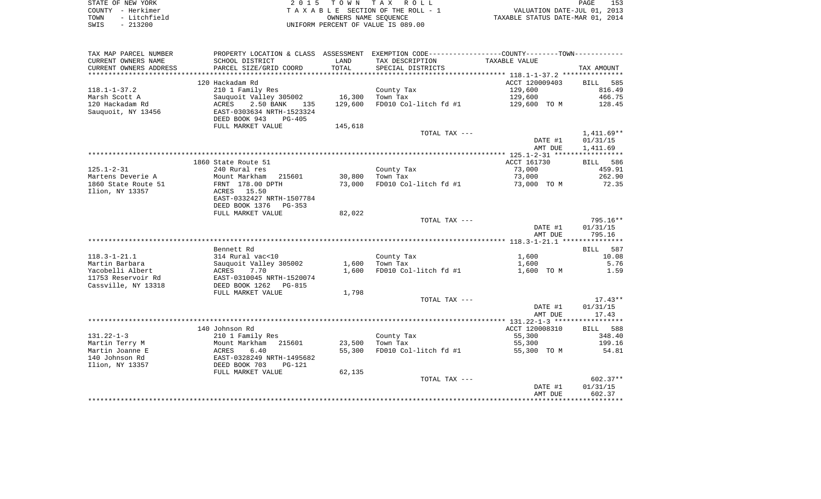| STATE OF NEW YORK    | 2015 TOWN TAX ROLL                 | 153<br>PAGE                      |
|----------------------|------------------------------------|----------------------------------|
| COUNTY - Herkimer    | TAXABLE SECTION OF THE ROLL - 1    | VALUATION DATE-JUL 01, 2013      |
| - Litchfield<br>TOWN | OWNERS NAME SEOUENCE               | TAXABLE STATUS DATE-MAR 01, 2014 |
| $-213200$<br>SWIS    | UNIFORM PERCENT OF VALUE IS 089.00 |                                  |

| TAX MAP PARCEL NUMBER     |                                                        |         | PROPERTY LOCATION & CLASS ASSESSMENT EXEMPTION CODE---------------COUNTY-------TOWN---------- |                    |                    |
|---------------------------|--------------------------------------------------------|---------|-----------------------------------------------------------------------------------------------|--------------------|--------------------|
| CURRENT OWNERS NAME       | SCHOOL DISTRICT                                        | LAND    | TAX DESCRIPTION                                                                               | TAXABLE VALUE      |                    |
| CURRENT OWNERS ADDRESS    | PARCEL SIZE/GRID COORD                                 | TOTAL   | SPECIAL DISTRICTS                                                                             |                    | TAX AMOUNT         |
| ************************* |                                                        |         |                                                                                               |                    |                    |
|                           | 120 Hackadam Rd                                        |         |                                                                                               | ACCT 120009403     | BILL<br>585        |
| $118.1 - 1 - 37.2$        | 210 1 Family Res                                       |         | County Tax                                                                                    | 129,600            | 816.49             |
| Marsh Scott A             | Sauquoit Valley 305002                                 | 16,300  | Town Tax                                                                                      | 129,600            | 466.75             |
| 120 Hackadam Rd           | 2.50 BANK<br>ACRES<br>135                              | 129,600 | FD010 Col-litch fd #1                                                                         | 129,600 TO M       | 128.45             |
| Sauquoit, NY 13456        | EAST-0303634 NRTH-1523324<br>DEED BOOK 943<br>$PG-405$ |         |                                                                                               |                    |                    |
|                           | FULL MARKET VALUE                                      | 145,618 |                                                                                               |                    |                    |
|                           |                                                        |         | TOTAL TAX ---                                                                                 |                    | $1,411.69**$       |
|                           |                                                        |         |                                                                                               | DATE #1            | 01/31/15           |
|                           |                                                        |         |                                                                                               | AMT DUE            | 1,411.69           |
|                           |                                                        |         |                                                                                               |                    |                    |
|                           | 1860 State Route 51                                    |         |                                                                                               | ACCT 161730        | BILL 586           |
| $125.1 - 2 - 31$          | 240 Rural res                                          |         | County Tax                                                                                    | 73,000             | 459.91             |
| Martens Deverie A         | Mount Markham<br>215601                                | 30,800  | Town Tax                                                                                      | 73,000             | 262.90             |
| 1860 State Route 51       | FRNT 178.00 DPTH                                       | 73,000  | FD010 Col-litch fd #1                                                                         | 73,000 TO M        | 72.35              |
| Ilion, NY 13357           | ACRES 15.50                                            |         |                                                                                               |                    |                    |
|                           | EAST-0332427 NRTH-1507784                              |         |                                                                                               |                    |                    |
|                           | DEED BOOK 1376<br>$PG-353$                             |         |                                                                                               |                    |                    |
|                           | FULL MARKET VALUE                                      | 82,022  |                                                                                               |                    |                    |
|                           |                                                        |         | TOTAL TAX ---                                                                                 |                    | 795.16**           |
|                           |                                                        |         |                                                                                               | DATE #1<br>AMT DUE | 01/31/15<br>795.16 |
|                           |                                                        |         |                                                                                               |                    |                    |
|                           | Bennett Rd                                             |         |                                                                                               |                    | BILL 587           |
| $118.3 - 1 - 21.1$        | 314 Rural vac<10                                       |         | County Tax                                                                                    | 1,600              | 10.08              |
| Martin Barbara            | Sauquoit Valley 305002                                 | 1,600   | Town Tax                                                                                      | 1,600              | 5.76               |
| Yacobelli Albert          | ACRES<br>7.70                                          | 1,600   | FD010 Col-litch fd #1                                                                         | 1,600 TO M         | 1.59               |
| 11753 Reservoir Rd        | EAST-0310045 NRTH-1520074                              |         |                                                                                               |                    |                    |
| Cassville, NY 13318       | DEED BOOK 1262<br>PG-815                               |         |                                                                                               |                    |                    |
|                           | FULL MARKET VALUE                                      | 1,798   |                                                                                               |                    |                    |
|                           |                                                        |         | TOTAL TAX ---                                                                                 |                    | $17.43**$          |
|                           |                                                        |         |                                                                                               | DATE #1            | 01/31/15           |
|                           |                                                        |         |                                                                                               | AMT DUE            | 17.43              |
|                           |                                                        |         |                                                                                               |                    |                    |
|                           | 140 Johnson Rd                                         |         |                                                                                               | ACCT 120008310     | BILL 588           |
| $131.22 - 1 - 3$          | 210 1 Family Res                                       |         | County Tax                                                                                    | 55,300             | 348.40             |
| Martin Terry M            | Mount Markham<br>215601                                | 23,500  | Town Tax                                                                                      | 55,300             | 199.16             |
| Martin Joanne E           | 6.40<br>ACRES                                          | 55,300  | FD010 Col-litch fd #1                                                                         | 55,300 TO M        | 54.81              |
| 140 Johnson Rd            | EAST-0328249 NRTH-1495682                              |         |                                                                                               |                    |                    |
| Ilion, NY 13357           | DEED BOOK 703<br>$PG-121$                              |         |                                                                                               |                    |                    |
|                           | FULL MARKET VALUE                                      | 62,135  |                                                                                               |                    |                    |
|                           |                                                        |         | TOTAL TAX ---                                                                                 |                    | $602.37**$         |
|                           |                                                        |         |                                                                                               | DATE #1            | 01/31/15           |
|                           |                                                        |         |                                                                                               | AMT DUE            | 602.37             |
|                           |                                                        |         |                                                                                               |                    |                    |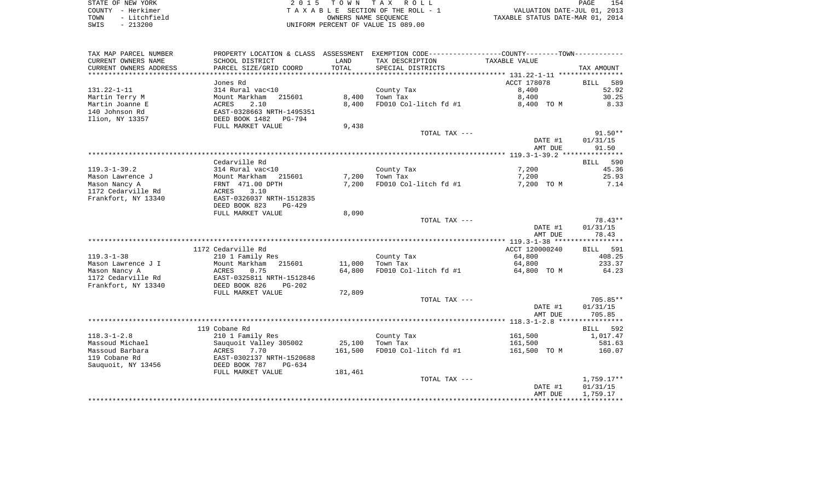STATE OF NEW YORK 2 0 1 5 T O W N T A X R O L L PAGE 154COUNTY - Herkimer **T A X A B L E** SECTION OF THE ROLL - 1 VALUATION DATE-JUL 01, 2013 TOWN - Litchfield COWNERS NAME SEQUENCE TAXABLE STATUS DATE-MAR 01, 2014 SWIS - 213200 UNIFORM PERCENT OF VALUE IS 089.00

TAX MAP PARCEL NUMBER PROPERTY LOCATION & CLASS ASSESSMENT EXEMPTION CODE------------------COUNTY--------TOWN------------ CURRENT OWNERS NAME SCHOOL DISTRICT LAND TAX DESCRIPTION TAXABLE VALUECURRENT OWNERS ADDRESS PARCEL SIZE/GRID COORD TOTAL SPECIAL DISTRICTS TAX AMOUNT \*\*\*\*\*\*\*\*\*\*\*\*\*\*\*\*\*\*\*\*\*\*\*\*\*\*\*\*\*\*\*\*\*\*\*\*\*\*\*\*\*\*\*\*\*\*\*\*\*\*\*\*\*\*\*\*\*\*\*\*\*\*\*\*\*\*\*\*\*\*\*\*\*\*\*\*\*\*\*\*\*\*\*\*\*\*\*\*\*\*\*\*\*\*\*\*\*\*\*\*\*\*\* 131.22-1-11 \*\*\*\*\*\*\*\*\*\*\*\*\*\*\*\* Jones Rd ACCT 178078 BILL 58952.92 131.22-1-11 314 Rural vac<10 County Tax 8,400 52.92 Martin Terry M Mount Markham 215601 8,400 Town Tax 8,400 30.25 Martin Joanne E ACRES 2.10 8,400 FD010 Col-litch fd #1 8,400 TO M 8.33 140 Johnson Rd EAST-0328663 NRTH-1495351Ilion, NY 13357 DEED BOOK 1482 PG-794 FULL MARKET VALUE 9,438 TOTAL TAX --- 91.50\*\* DATE #1 01/31/15 AMT DUE 91.50 \*\*\*\*\*\*\*\*\*\*\*\*\*\*\*\*\*\*\*\*\*\*\*\*\*\*\*\*\*\*\*\*\*\*\*\*\*\*\*\*\*\*\*\*\*\*\*\*\*\*\*\*\*\*\*\*\*\*\*\*\*\*\*\*\*\*\*\*\*\*\*\*\*\*\*\*\*\*\*\*\*\*\*\*\*\*\*\*\*\*\*\*\*\*\*\*\*\*\*\*\*\*\* 119.3-1-39.2 \*\*\*\*\*\*\*\*\*\*\*\*\*\*\* Cedarville Rd BILL 590119.3-1-39.2 314 Rural vac<10 County Tax 7,200 45.36 Mason Lawrence J Mount Markham 215601 7,200 Town Tax 7,200 25.93 Mason Nancy A **FRNT 471.00 DPTH** 7,200 FD010 Col-litch fd #1 7,200 TO M 7.14 1172 Cedarville Rd ACRES 3.10Frankfort, NY 13340 EAST-0326037 NRTH-1512835 DEED BOOK 823 PG-429FULL MARKET VALUE 8,090 TOTAL TAX  $---$  78.43\*\* DATE #1 01/31/15 AMT DUE 78.43 \*\*\*\*\*\*\*\*\*\*\*\*\*\*\*\*\*\*\*\*\*\*\*\*\*\*\*\*\*\*\*\*\*\*\*\*\*\*\*\*\*\*\*\*\*\*\*\*\*\*\*\*\*\*\*\*\*\*\*\*\*\*\*\*\*\*\*\*\*\*\*\*\*\*\*\*\*\*\*\*\*\*\*\*\*\*\*\*\*\*\*\*\*\*\*\*\*\*\*\*\*\*\* 119.3-1-38 \*\*\*\*\*\*\*\*\*\*\*\*\*\*\*\*\***BILL 591** 1172 Cedarville Rd **ACCT** 120000240 408.25 119.3-1-38 210 1 Family Res County Tax 64,800 408.25 Mason Lawrence J I 1 233.37 Mount Markham 215601 11,000 Town Tax 64,800 64,800 233.37 Mason Nancy A **ACRES** 0.75 64,800 FD010 Col-litch fd #1 64,800 TO M 64.23 1172 Cedarville Rd EAST-0325811 NRTH-1512846Frankfort, NY 13340 DEED BOOK 826 PG-202 FULL MARKET VALUE 72,809 TOTAL TAX --- 705.85\*\* DATE #1 01/31/15 AMT DUE 705.85 \*\*\*\*\*\*\*\*\*\*\*\*\*\*\*\*\*\*\*\*\*\*\*\*\*\*\*\*\*\*\*\*\*\*\*\*\*\*\*\*\*\*\*\*\*\*\*\*\*\*\*\*\*\*\*\*\*\*\*\*\*\*\*\*\*\*\*\*\*\*\*\*\*\*\*\*\*\*\*\*\*\*\*\*\*\*\*\*\*\*\*\*\*\*\*\*\*\*\*\*\*\*\* 118.3-1-2.8 \*\*\*\*\*\*\*\*\*\*\*\*\*\*\*\* 119 Cobane Rd BILL 592118.3-1-2.8 210 1 Family Res County Tax 161,500 1,017.47 Massoud Michael 2012 Sauquoit Valley 305002 25,100 Town Tax 161,500 581.63 Massoud Barbara ACRES 7.70 161,500 FD010 Col-litch fd #1 161,500 TO M 160.07 119 Cobane Rd EAST-0302137 NRTH-1520688Sauquoit, NY 13456 DEED BOOK 787 PG-634 FULL MARKET VALUE 181,461 TOTAL TAX --- 1,759.17\*\* DATE #1 01/31/15 AMT DUE 1,759.17 \*\*\*\*\*\*\*\*\*\*\*\*\*\*\*\*\*\*\*\*\*\*\*\*\*\*\*\*\*\*\*\*\*\*\*\*\*\*\*\*\*\*\*\*\*\*\*\*\*\*\*\*\*\*\*\*\*\*\*\*\*\*\*\*\*\*\*\*\*\*\*\*\*\*\*\*\*\*\*\*\*\*\*\*\*\*\*\*\*\*\*\*\*\*\*\*\*\*\*\*\*\*\*\*\*\*\*\*\*\*\*\*\*\*\*\*\*\*\*\*\*\*\*\*\*\*\*\*\*\*\*\*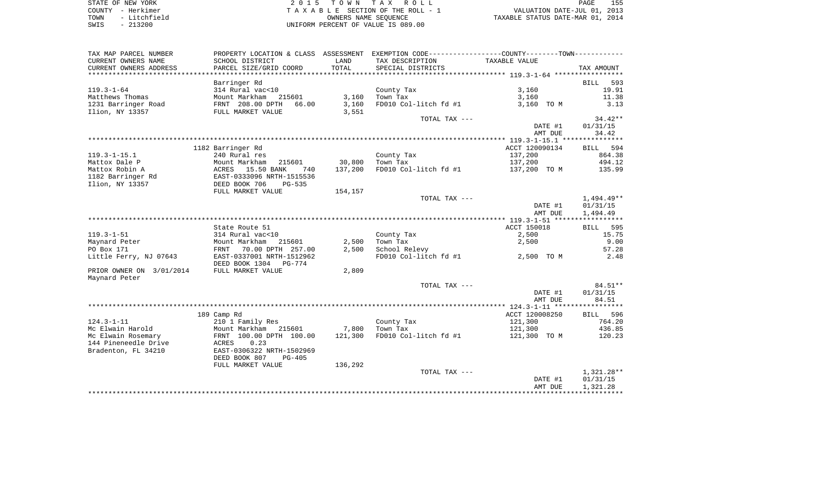STATE OF NEW YORK **EXECUTE:**  $2015$  TOWN TAX ROLL COUNTY - Herkimer<br>
T A X A B L E SECTION OF THE ROLL - 1<br>
TOWN - Litchfield<br>
SWIS - 213200 UNIFORM PERCENT OF VALUE IS 089.00 TOWN - Litchfield OWNERS NAME SEQUENCE TAXABLE STATUS DATE-MAR 01, 2014 SWIS - 213200 UNIFORM PERCENT OF VALUE IS 089.00

| TAX MAP PARCEL NUMBER    | PROPERTY LOCATION & CLASS ASSESSMENT EXEMPTION CODE----------------COUNTY-------TOWN----------- |         |                       |                |                    |
|--------------------------|-------------------------------------------------------------------------------------------------|---------|-----------------------|----------------|--------------------|
| CURRENT OWNERS NAME      | SCHOOL DISTRICT                                                                                 | LAND    | TAX DESCRIPTION       | TAXABLE VALUE  |                    |
| CURRENT OWNERS ADDRESS   | PARCEL SIZE/GRID COORD                                                                          | TOTAL   | SPECIAL DISTRICTS     |                | TAX AMOUNT         |
|                          |                                                                                                 |         |                       |                |                    |
|                          | Barringer Rd                                                                                    |         |                       |                | 593<br><b>BILL</b> |
| $119.3 - 1 - 64$         | 314 Rural vac<10                                                                                |         | County Tax            | 3,160          | 19.91              |
| Matthews Thomas          | Mount Markham 215601                                                                            | 3,160   | Town Tax              | 3,160          | 11.38              |
| 1231 Barringer Road      | FRNT 208.00 DPTH<br>66.00                                                                       | 3,160   | FD010 Col-litch fd #1 | 3,160 TO M     | 3.13               |
| Ilion, NY 13357          | FULL MARKET VALUE                                                                               | 3,551   |                       |                |                    |
|                          |                                                                                                 |         | TOTAL TAX ---         |                | $34.42**$          |
|                          |                                                                                                 |         |                       |                |                    |
|                          |                                                                                                 |         |                       | DATE #1        | 01/31/15           |
|                          |                                                                                                 |         |                       | AMT DUE        | 34.42              |
|                          |                                                                                                 |         |                       |                |                    |
|                          | 1182 Barringer Rd                                                                               |         |                       | ACCT 120090134 | 594<br><b>BILL</b> |
| $119.3 - 1 - 15.1$       | 240 Rural res                                                                                   |         | County Tax            | 137,200        | 864.38             |
| Mattox Dale P            | Mount Markham<br>215601                                                                         | 30,800  | Town Tax              | 137,200        | 494.12             |
| Mattox Robin A           | 15.50 BANK<br>740<br>ACRES                                                                      | 137,200 | FD010 Col-litch fd #1 | 137,200 TO M   | 135.99             |
| 1182 Barringer Rd        | EAST-0333096 NRTH-1515536                                                                       |         |                       |                |                    |
| Ilion, NY 13357          | DEED BOOK 706<br>$PG-535$                                                                       |         |                       |                |                    |
|                          | FULL MARKET VALUE                                                                               | 154,157 |                       |                |                    |
|                          |                                                                                                 |         | TOTAL TAX ---         |                | 1,494.49**         |
|                          |                                                                                                 |         |                       | DATE #1        | 01/31/15           |
|                          |                                                                                                 |         |                       | AMT DUE        | 1,494.49           |
|                          |                                                                                                 |         |                       |                |                    |
|                          | State Route 51                                                                                  |         |                       | ACCT 150018    | <b>BILL</b><br>595 |
| $119.3 - 1 - 51$         | 314 Rural vac<10                                                                                |         | County Tax            | 2,500          | 15.75              |
| Maynard Peter            | Mount Markham<br>215601                                                                         | 2,500   | Town Tax              | 2,500          | 9.00               |
| PO Box 171               | 70.00 DPTH 257.00<br>FRNT                                                                       | 2,500   | School Relevy         |                | 57.28              |
| Little Ferry, NJ 07643   | EAST-0337001 NRTH-1512962                                                                       |         | FD010 Col-litch fd #1 | 2,500 TO M     | 2.48               |
|                          | DEED BOOK 1304 PG-774                                                                           |         |                       |                |                    |
| PRIOR OWNER ON 3/01/2014 | FULL MARKET VALUE                                                                               | 2,809   |                       |                |                    |
| Maynard Peter            |                                                                                                 |         |                       |                |                    |
|                          |                                                                                                 |         | TOTAL TAX ---         |                | 84.51**            |
|                          |                                                                                                 |         |                       | DATE #1        | 01/31/15           |
|                          |                                                                                                 |         |                       | AMT DUE        | 84.51              |
|                          |                                                                                                 |         |                       |                |                    |
|                          | 189 Camp Rd                                                                                     |         |                       | ACCT 120008250 | BILL 596           |
| $124.3 - 1 - 11$         | 210 1 Family Res                                                                                |         | County Tax            | 121,300        | 764.20             |
| Mc Elwain Harold         | Mount Markham<br>215601                                                                         | 7,800   | Town Tax              | 121,300        | 436.85             |
| Mc Elwain Rosemary       | FRNT 100.00 DPTH 100.00                                                                         | 121,300 | FD010 Col-litch fd #1 | 121,300 TO M   | 120.23             |
| 144 Pineneedle Drive     | 0.23                                                                                            |         |                       |                |                    |
| Bradenton, FL 34210      | ACRES                                                                                           |         |                       |                |                    |
|                          | EAST-0306322 NRTH-1502969                                                                       |         |                       |                |                    |
|                          | DEED BOOK 807<br>$PG-405$                                                                       |         |                       |                |                    |
|                          | FULL MARKET VALUE                                                                               | 136,292 |                       |                |                    |
|                          |                                                                                                 |         | TOTAL TAX ---         |                | $1,321.28**$       |
|                          |                                                                                                 |         |                       | DATE #1        | 01/31/15           |
|                          |                                                                                                 |         |                       | AMT DUE        | 1,321.28           |
|                          |                                                                                                 |         |                       |                |                    |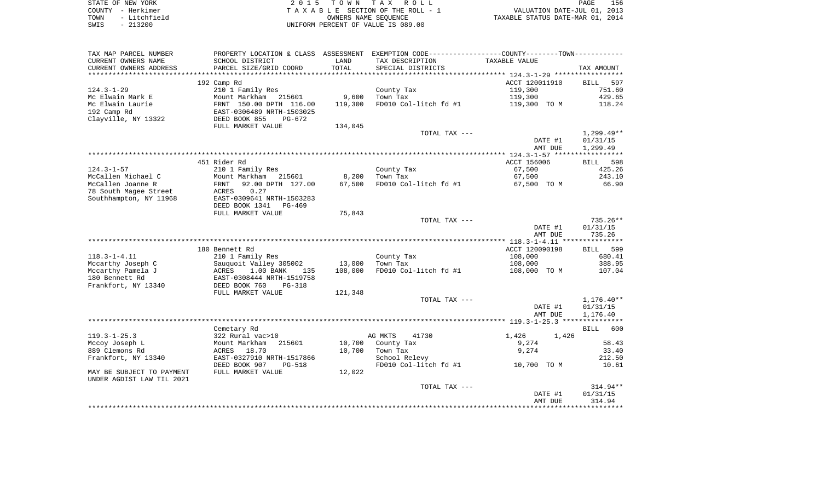| STATE OF NEW YORK    | 2015 TOWN TAX ROLL                 | 156<br>PAGE                      |
|----------------------|------------------------------------|----------------------------------|
| COUNTY - Herkimer    | TAXABLE SECTION OF THE ROLL - 1    | VALUATION DATE-JUL 01, 2013      |
| - Litchfield<br>TOWN | OWNERS NAME SEOUENCE               | TAXABLE STATUS DATE-MAR 01, 2014 |
| $-213200$<br>SWIS    | UNIFORM PERCENT OF VALUE IS 089.00 |                                  |

| TAX MAP PARCEL NUMBER<br>CURRENT OWNERS NAME      | PROPERTY LOCATION & CLASS ASSESSMENT<br>SCHOOL DISTRICT | LAND    | EXEMPTION CODE----------------COUNTY-------TOWN-----------<br>TAX DESCRIPTION | TAXABLE VALUE  |                    |
|---------------------------------------------------|---------------------------------------------------------|---------|-------------------------------------------------------------------------------|----------------|--------------------|
| CURRENT OWNERS ADDRESS<br>*********************** | PARCEL SIZE/GRID COORD<br>*************************     | TOTAL   | SPECIAL DISTRICTS                                                             |                | TAX AMOUNT         |
|                                                   | 192 Camp Rd                                             |         |                                                                               | ACCT 120011910 | 597<br><b>BILL</b> |
| $124.3 - 1 - 29$                                  | 210 1 Family Res                                        |         | County Tax                                                                    | 119,300        | 751.60             |
| Mc Elwain Mark E                                  | Mount Markham 215601                                    | 9,600   | Town Tax                                                                      | 119,300        | 429.65             |
| Mc Elwain Laurie                                  | FRNT 150.00 DPTH 116.00                                 | 119,300 | FD010 Col-litch fd #1                                                         | 119,300 TO M   | 118.24             |
| 192 Camp Rd                                       | EAST-0306489 NRTH-1503025                               |         |                                                                               |                |                    |
| Clayville, NY 13322                               | DEED BOOK 855<br>$PG-672$                               |         |                                                                               |                |                    |
|                                                   | FULL MARKET VALUE                                       | 134,045 |                                                                               |                |                    |
|                                                   |                                                         |         | TOTAL TAX ---                                                                 |                | $1,299.49**$       |
|                                                   |                                                         |         |                                                                               | DATE #1        | 01/31/15           |
|                                                   |                                                         |         |                                                                               | AMT DUE        | 1,299.49           |
|                                                   |                                                         |         |                                                                               |                | ***********        |
|                                                   | 451 Rider Rd                                            |         |                                                                               | ACCT 156006    | 598<br>BILL        |
| $124.3 - 1 - 57$                                  | 210 1 Family Res                                        |         | County Tax                                                                    | 67,500         | 425.26             |
| McCallen Michael C                                | Mount Markham<br>215601                                 | 8,200   | Town Tax                                                                      | 67,500         | 243.10             |
| McCallen Joanne R                                 | 92.00 DPTH 127.00<br>FRNT                               | 67,500  | FD010 Col-litch fd #1                                                         | 67,500 TO M    | 66.90              |
| 78 South Magee Street                             | ACRES<br>0.27                                           |         |                                                                               |                |                    |
| Southhampton, NY 11968                            | EAST-0309641 NRTH-1503283                               |         |                                                                               |                |                    |
|                                                   | DEED BOOK 1341<br><b>PG-469</b>                         |         |                                                                               |                |                    |
|                                                   | FULL MARKET VALUE                                       | 75,843  |                                                                               |                |                    |
|                                                   |                                                         |         | TOTAL TAX ---                                                                 |                | $735.26**$         |
|                                                   |                                                         |         |                                                                               | DATE #1        | 01/31/15           |
|                                                   |                                                         |         |                                                                               | AMT DUE        | 735.26             |
|                                                   |                                                         |         |                                                                               |                |                    |
|                                                   | 180 Bennett Rd                                          |         |                                                                               | ACCT 120090198 | 599<br>BILL        |
| $118.3 - 1 - 4.11$                                | 210 1 Family Res                                        |         | County Tax                                                                    | 108,000        | 680.41             |
| Mccarthy Joseph C                                 | Sauguoit Valley 305002                                  | 13,000  | Town Tax                                                                      | 108,000        | 388.95             |
| Mccarthy Pamela J                                 | 1.00 BANK<br>ACRES<br>135                               | 108,000 | FD010 Col-litch fd #1                                                         | 108,000 TO M   | 107.04             |
| 180 Bennett Rd                                    | EAST-0308444 NRTH-1519758                               |         |                                                                               |                |                    |
| Frankfort, NY 13340                               | DEED BOOK 760<br>$PG-318$                               |         |                                                                               |                |                    |
|                                                   | FULL MARKET VALUE                                       | 121,348 |                                                                               |                |                    |
|                                                   |                                                         |         | TOTAL TAX ---                                                                 |                | $1,176.40**$       |
|                                                   |                                                         |         |                                                                               | DATE #1        | 01/31/15           |
|                                                   |                                                         |         |                                                                               | AMT DUE        | 1,176.40           |
|                                                   |                                                         |         |                                                                               |                | 600                |
| $119.3 - 1 - 25.3$                                | Cemetary Rd<br>322 Rural vac>10                         |         | AG MKTS<br>41730                                                              | 1,426<br>1,426 | <b>BILL</b>        |
| Mccoy Joseph L                                    | Mount Markham<br>215601                                 | 10,700  | County Tax                                                                    | 9,274          | 58.43              |
| 889 Clemons Rd                                    | 18.70<br>ACRES                                          | 10,700  | Town Tax                                                                      | 9,274          | 33.40              |
| Frankfort, NY 13340                               | EAST-0327910 NRTH-1517866                               |         | School Relevy                                                                 |                | 212.50             |
|                                                   | DEED BOOK 907<br><b>PG-518</b>                          |         | FD010 Col-litch fd #1                                                         | 10,700 TO M    | 10.61              |
| MAY BE SUBJECT TO PAYMENT                         | FULL MARKET VALUE                                       | 12,022  |                                                                               |                |                    |
| UNDER AGDIST LAW TIL 2021                         |                                                         |         |                                                                               |                |                    |
|                                                   |                                                         |         | TOTAL TAX ---                                                                 |                | 314.94**           |
|                                                   |                                                         |         |                                                                               | DATE #1        | 01/31/15           |
|                                                   |                                                         |         |                                                                               | AMT DUE        | 314.94             |
|                                                   |                                                         |         |                                                                               |                |                    |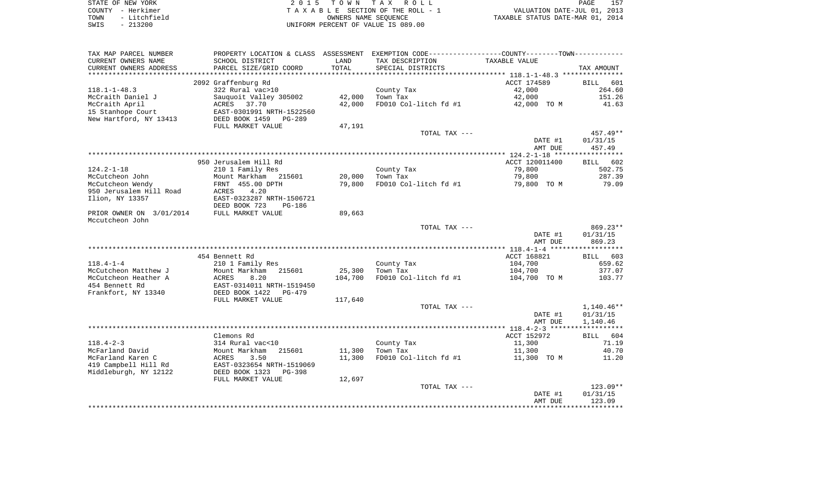| STATE OF NEW YORK    | 2015 TOWN TAX ROLL                 | 157<br>PAGE                      |
|----------------------|------------------------------------|----------------------------------|
| COUNTY - Herkimer    | TAXABLE SECTION OF THE ROLL - 1    | VALUATION DATE-JUL 01, 2013      |
| - Litchfield<br>TOWN | OWNERS NAME SEOUENCE               | TAXABLE STATUS DATE-MAR 01, 2014 |
| $-213200$<br>SWIS    | UNIFORM PERCENT OF VALUE IS 089.00 |                                  |

| TAX MAP PARCEL NUMBER    | PROPERTY LOCATION & CLASS ASSESSMENT EXEMPTION CODE----------------COUNTY--------TOWN---------- |         |                       |                    |                    |
|--------------------------|-------------------------------------------------------------------------------------------------|---------|-----------------------|--------------------|--------------------|
| CURRENT OWNERS NAME      | SCHOOL DISTRICT                                                                                 | LAND    | TAX DESCRIPTION       | TAXABLE VALUE      |                    |
| CURRENT OWNERS ADDRESS   | PARCEL SIZE/GRID COORD                                                                          | TOTAL   | SPECIAL DISTRICTS     |                    | TAX AMOUNT         |
| **********************   |                                                                                                 |         |                       |                    |                    |
|                          | 2092 Graffenburg Rd                                                                             |         |                       | ACCT 174589        | <b>BILL</b><br>601 |
| $118.1 - 1 - 48.3$       | 322 Rural vac>10                                                                                |         | County Tax            | 42,000             | 264.60             |
| McCraith Daniel J        | Sauquoit Valley 305002                                                                          | 42,000  | Town Tax              | 42,000             | 151.26             |
| McCraith April           | ACRES 37.70                                                                                     | 42,000  | FD010 Col-litch fd #1 | 42,000 TO M        | 41.63              |
| 15 Stanhope Court        | EAST-0301991 NRTH-1522560                                                                       |         |                       |                    |                    |
| New Hartford, NY 13413   | DEED BOOK 1459<br>PG-289                                                                        |         |                       |                    |                    |
|                          | FULL MARKET VALUE                                                                               | 47,191  |                       |                    |                    |
|                          |                                                                                                 |         | TOTAL TAX ---         |                    | 457.49**           |
|                          |                                                                                                 |         |                       | DATE #1            | 01/31/15           |
|                          |                                                                                                 |         |                       | AMT DUE            | 457.49             |
|                          |                                                                                                 |         |                       |                    |                    |
|                          | 950 Jerusalem Hill Rd                                                                           |         |                       | ACCT 120011400     | BILL 602           |
| $124.2 - 1 - 18$         | 210 1 Family Res                                                                                |         | County Tax            | 79,800             | 502.75             |
| McCutcheon John          | Mount Markham 215601                                                                            | 20,000  | Town Tax              | 79,800             | 287.39             |
| McCutcheon Wendy         | FRNT 455.00 DPTH                                                                                | 79,800  | FD010 Col-litch fd #1 | 79,800 TO M        | 79.09              |
| 950 Jerusalem Hill Road  | 4.20<br>ACRES                                                                                   |         |                       |                    |                    |
| Ilion, NY 13357          | EAST-0323287 NRTH-1506721                                                                       |         |                       |                    |                    |
|                          | DEED BOOK 723<br>PG-186                                                                         |         |                       |                    |                    |
| PRIOR OWNER ON 3/01/2014 | FULL MARKET VALUE                                                                               | 89,663  |                       |                    |                    |
| Mccutcheon John          |                                                                                                 |         |                       |                    |                    |
|                          |                                                                                                 |         | TOTAL TAX ---         |                    | $869.23**$         |
|                          |                                                                                                 |         |                       | DATE #1            | 01/31/15           |
|                          |                                                                                                 |         |                       | AMT DUE            | 869.23             |
|                          |                                                                                                 |         |                       |                    |                    |
|                          | 454 Bennett Rd                                                                                  |         |                       | ACCT 168821        | BILL 603           |
| $118.4 - 1 - 4$          | 210 1 Family Res                                                                                |         | County Tax            | 104,700            | 659.62             |
| McCutcheon Matthew J     | Mount Markham<br>215601                                                                         | 25,300  | Town Tax              | 104,700            | 377.07             |
| McCutcheon Heather A     | ACRES<br>8.20                                                                                   | 104,700 | FD010 Col-litch fd #1 | 104,700 TO M       | 103.77             |
| 454 Bennett Rd           | EAST-0314011 NRTH-1519450                                                                       |         |                       |                    |                    |
| Frankfort, NY 13340      | DEED BOOK 1422<br>PG-479                                                                        |         |                       |                    |                    |
|                          | FULL MARKET VALUE                                                                               | 117,640 |                       |                    |                    |
|                          |                                                                                                 |         | TOTAL TAX ---         |                    | 1,140.46**         |
|                          |                                                                                                 |         |                       | DATE #1            | 01/31/15           |
|                          |                                                                                                 |         |                       | AMT DUE            | 1,140.46           |
|                          |                                                                                                 |         |                       |                    |                    |
|                          | Clemons Rd                                                                                      |         |                       | ACCT 152972        | BILL 604           |
| $118.4 - 2 - 3$          | 314 Rural vac<10                                                                                |         | County Tax            | 11,300             | 71.19              |
| McFarland David          | 215601<br>Mount Markham                                                                         | 11,300  | Town Tax              | 11,300             | 40.70              |
| McFarland Karen C        | ACRES<br>3.50                                                                                   | 11,300  | FD010 Col-litch fd #1 | 11,300 TO M        | 11.20              |
| 419 Campbell Hill Rd     | EAST-0323654 NRTH-1519069                                                                       |         |                       |                    |                    |
| Middleburgh, NY 12122    | DEED BOOK 1323<br>PG-398                                                                        |         |                       |                    |                    |
|                          | FULL MARKET VALUE                                                                               | 12,697  |                       |                    |                    |
|                          |                                                                                                 |         | TOTAL TAX ---         |                    | 123.09**           |
|                          |                                                                                                 |         |                       | DATE #1<br>AMT DUE | 01/31/15<br>123.09 |
|                          |                                                                                                 |         |                       |                    |                    |
|                          |                                                                                                 |         |                       |                    |                    |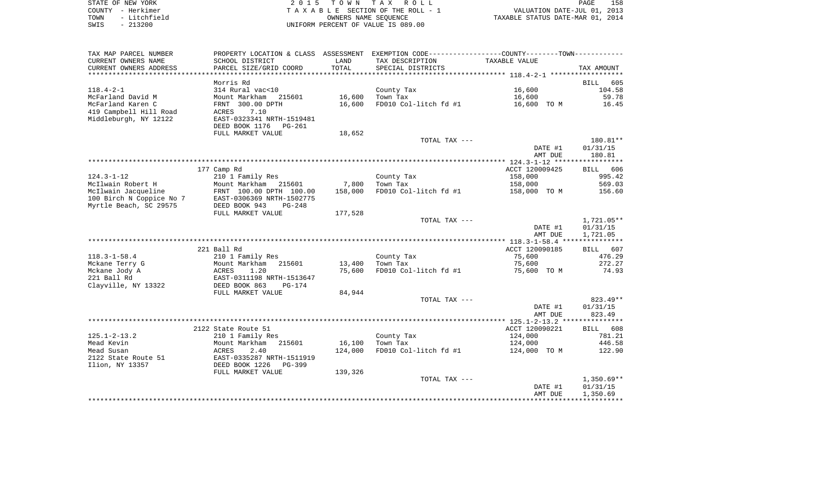| STATE OF NEW YORK    | 2015 TOWN TAX ROLL                 | 158<br>PAGE                      |
|----------------------|------------------------------------|----------------------------------|
| COUNTY - Herkimer    | TAXABLE SECTION OF THE ROLL - 1    | VALUATION DATE-JUL 01, 2013      |
| - Litchfield<br>TOWN | OWNERS NAME SEOUENCE               | TAXABLE STATUS DATE-MAR 01, 2014 |
| $-213200$<br>SWIS    | UNIFORM PERCENT OF VALUE IS 089.00 |                                  |

| TAX MAP PARCEL NUMBER    | PROPERTY LOCATION & CLASS ASSESSMENT EXEMPTION CODE----------------COUNTY--------TOWN----------- |         |                       |                      |                    |
|--------------------------|--------------------------------------------------------------------------------------------------|---------|-----------------------|----------------------|--------------------|
| CURRENT OWNERS NAME      | SCHOOL DISTRICT                                                                                  | LAND    | TAX DESCRIPTION       | <b>TAXABLE VALUE</b> |                    |
| CURRENT OWNERS ADDRESS   | PARCEL SIZE/GRID COORD                                                                           | TOTAL   | SPECIAL DISTRICTS     |                      | TAX AMOUNT         |
|                          |                                                                                                  |         |                       |                      |                    |
|                          | Morris Rd                                                                                        |         |                       |                      | 605<br>BILL        |
| $118.4 - 2 - 1$          | 314 Rural vac<10                                                                                 |         | County Tax            | 16,600               | 104.58             |
| McFarland David M        | Mount Markham 215601                                                                             | 16,600  | Town Tax              | 16,600               | 59.78              |
| McFarland Karen C        | FRNT 300.00 DPTH                                                                                 | 16,600  | FD010 Col-litch fd #1 | 16,600 TO M          | 16.45              |
| 419 Campbell Hill Road   | 7.10<br>ACRES                                                                                    |         |                       |                      |                    |
| Middleburgh, NY 12122    | EAST-0323341 NRTH-1519481                                                                        |         |                       |                      |                    |
|                          | DEED BOOK 1176<br>PG-261                                                                         |         |                       |                      |                    |
|                          | FULL MARKET VALUE                                                                                | 18,652  |                       |                      |                    |
|                          |                                                                                                  |         | TOTAL TAX ---         |                      | 180.81**           |
|                          |                                                                                                  |         |                       | DATE #1<br>AMT DUE   | 01/31/15<br>180.81 |
|                          |                                                                                                  |         |                       |                      |                    |
|                          | 177 Camp Rd                                                                                      |         |                       | ACCT 120009425       | BILL 606           |
| $124.3 - 1 - 12$         | 210 1 Family Res                                                                                 |         | County Tax            | 158,000              | 995.42             |
| McIlwain Robert H        | Mount Markham<br>215601                                                                          | 7,800   | Town Tax              | 158,000              | 569.03             |
| McIlwain Jacqueline      | FRNT 100.00 DPTH 100.00                                                                          | 158,000 | FD010 Col-litch fd #1 | 158,000 TO M         | 156.60             |
| 100 Birch N Coppice No 7 | EAST-0306369 NRTH-1502775                                                                        |         |                       |                      |                    |
| Myrtle Beach, SC 29575   | DEED BOOK 943<br>$PG-248$                                                                        |         |                       |                      |                    |
|                          | FULL MARKET VALUE                                                                                | 177,528 |                       |                      |                    |
|                          |                                                                                                  |         | TOTAL TAX ---         |                      | $1,721.05**$       |
|                          |                                                                                                  |         |                       | DATE #1              | 01/31/15           |
|                          |                                                                                                  |         |                       | AMT DUE              | 1,721.05           |
|                          |                                                                                                  |         |                       |                      |                    |
|                          | 221 Ball Rd                                                                                      |         |                       | ACCT 120090185       | BILL 607           |
| $118.3 - 1 - 58.4$       | 210 1 Family Res                                                                                 |         | County Tax            | 75,600               | 476.29             |
| Mckane Terry G           | Mount Markham<br>215601                                                                          | 13,400  | Town Tax              | 75,600               | 272.27             |
| Mckane Jody A            | ACRES<br>1.20                                                                                    | 75,600  | FD010 Col-litch fd #1 | 75,600 TO M          | 74.93              |
| 221 Ball Rd              | EAST-0311198 NRTH-1513647                                                                        |         |                       |                      |                    |
| Clayville, NY 13322      | DEED BOOK 863<br><b>PG-174</b>                                                                   | 84,944  |                       |                      |                    |
|                          | FULL MARKET VALUE                                                                                |         | TOTAL TAX ---         |                      | 823.49**           |
|                          |                                                                                                  |         |                       | DATE #1              | 01/31/15           |
|                          |                                                                                                  |         |                       | AMT DUE              | 823.49             |
|                          |                                                                                                  |         |                       |                      |                    |
|                          | 2122 State Route 51                                                                              |         |                       | ACCT 120090221       | BILL 608           |
| $125.1 - 2 - 13.2$       | 210 1 Family Res                                                                                 |         | County Tax            | 124,000              | 781.21             |
| Mead Kevin               | Mount Markham<br>215601                                                                          | 16,100  | Town Tax              | 124,000              | 446.58             |
| Mead Susan               | ACRES<br>2.40                                                                                    | 124,000 | FD010 Col-litch fd #1 | 124,000 TO M         | 122.90             |
| 2122 State Route 51      | EAST-0335287 NRTH-1511919                                                                        |         |                       |                      |                    |
| Ilion, NY 13357          | DEED BOOK 1226<br>PG-399                                                                         |         |                       |                      |                    |
|                          | FULL MARKET VALUE                                                                                | 139,326 |                       |                      |                    |
|                          |                                                                                                  |         | TOTAL TAX ---         |                      | 1,350.69**         |
|                          |                                                                                                  |         |                       | DATE #1              | 01/31/15           |
|                          |                                                                                                  |         |                       | AMT DUE              | 1,350.69           |
|                          |                                                                                                  |         |                       |                      |                    |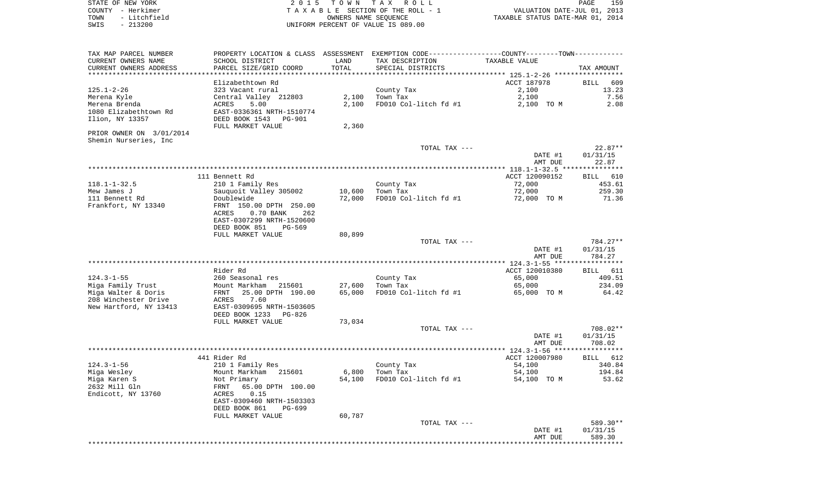STATE OF NEW YORK 2 0 1 5 T O W N T A X R O L L PAGE 159COUNTY - Herkimer **T A X A B L E** SECTION OF THE ROLL - 1 VALUATION DATE-JUL 01, 2013 TOWN - Litchfield COWNERS NAME SEQUENCE TAXABLE STATUS DATE-MAR 01, 2014 SWIS - 213200 UNIFORM PERCENT OF VALUE IS 089.00

TAX MAP PARCEL NUMBER PROPERTY LOCATION & CLASS ASSESSMENT EXEMPTION CODE------------------COUNTY--------TOWN------------ CURRENT OWNERS NAME SCHOOL DISTRICT LAND TAX DESCRIPTION TAXABLE VALUECURRENT OWNERS ADDRESS PARCEL SIZE/GRID COORD TOTAL SPECIAL DISTRICTS TAX AMOUNT \*\*\*\*\*\*\*\*\*\*\*\*\*\*\*\*\*\*\*\*\*\*\*\*\*\*\*\*\*\*\*\*\*\*\*\*\*\*\*\*\*\*\*\*\*\*\*\*\*\*\*\*\*\*\*\*\*\*\*\*\*\*\*\*\*\*\*\*\*\*\*\*\*\*\*\*\*\*\*\*\*\*\*\*\*\*\*\*\*\*\*\*\*\*\*\*\*\*\*\*\*\*\* 125.1-2-26 \*\*\*\*\*\*\*\*\*\*\*\*\*\*\*\*\* Elizabethtown Rd ACCT 187978 BILL 609 $13.23$ 125.1-2-26 323 Vacant rural County Tax 3.100 Merena Kyle Central Valley 212803 2,100 Town Tax 2,100 7.56 Merena Brenda ACRES 5.00 2,100 FD010 Col-litch fd #1 2,100 TO M 2.08 1080 Elizabethtown Rd EAST-0336361 NRTH-1510774Ilion, NY 13357 DEED BOOK 1543 PG-901 FULL MARKET VALUE 2,360 PRIOR OWNER ON 3/01/2014 Shemin Nurseries, Inc TOTAL TAX --- 22.87\*\* DATE #1 01/31/15 AMT DUE 22.87 \*\*\*\*\*\*\*\*\*\*\*\*\*\*\*\*\*\*\*\*\*\*\*\*\*\*\*\*\*\*\*\*\*\*\*\*\*\*\*\*\*\*\*\*\*\*\*\*\*\*\*\*\*\*\*\*\*\*\*\*\*\*\*\*\*\*\*\*\*\*\*\*\*\*\*\*\*\*\*\*\*\*\*\*\*\*\*\*\*\*\*\*\*\*\*\*\*\*\*\*\*\*\* 118.1-1-32.5 \*\*\*\*\*\*\*\*\*\*\*\*\*\*\*BILL 610 111 Bennett Rd **ACCT** 120090152 118.1-1-32.5 210 1 Family Res County Tax 72,000 453.61 Mew James J Sauquoit Valley 305002 10,600 Town Tax 72,000 259.30 111 Bennett Rd Doublewide 72,000 FD010 Col-litch fd #1 72,000 TO M 71.36 Frankfort, NY 13340 FRNT 150.00 DPTH 250.00 ACRES 0.70 BANK 262 EAST-0307299 NRTH-1520600 DEED BOOK 851 PG-569FULL MARKET VALUE 80,899 TOTAL TAX --- 784.27\*\* DATE #1 01/31/15 AMT DUE 784.27 \*\*\*\*\*\*\*\*\*\*\*\*\*\*\*\*\*\*\*\*\*\*\*\*\*\*\*\*\*\*\*\*\*\*\*\*\*\*\*\*\*\*\*\*\*\*\*\*\*\*\*\*\*\*\*\*\*\*\*\*\*\*\*\*\*\*\*\*\*\*\*\*\*\*\*\*\*\*\*\*\*\*\*\*\*\*\*\*\*\*\*\*\*\*\*\*\*\*\*\*\*\*\* 124.3-1-55 \*\*\*\*\*\*\*\*\*\*\*\*\*\*\*\*\* Rider Rd ACCT 120010380 BILL 611124.3-1-55 260 Seasonal res County Tax 65,000 409.51 Miga Family Trust Mount Markham 215601 27,600 Town Tax 65,000 234.09 Miga Walter & Doris FRNT 25.00 DPTH 190.00 65,000 FD010 Col-litch fd #1 65,000 TO M 64.42 208 Winchester Drive ACRES 7.60New Hartford, NY 13413 EAST-0309695 NRTH-1503605 DEED BOOK 1233 PG-826FULL MARKET VALUE 73,034 TOTAL TAX --- 708.02\*\* DATE #1 01/31/15 AMT DUE 708.02 \*\*\*\*\*\*\*\*\*\*\*\*\*\*\*\*\*\*\*\*\*\*\*\*\*\*\*\*\*\*\*\*\*\*\*\*\*\*\*\*\*\*\*\*\*\*\*\*\*\*\*\*\*\*\*\*\*\*\*\*\*\*\*\*\*\*\*\*\*\*\*\*\*\*\*\*\*\*\*\*\*\*\*\*\*\*\*\*\*\*\*\*\*\*\*\*\*\*\*\*\*\*\* 124.3-1-56 \*\*\*\*\*\*\*\*\*\*\*\*\*\*\*\*\*BTLL 612 at the set of the set of the set of the set of the set of the set of the set of the set of the set of the set of the set of the set of the set of the set of the set of the set of the set of the set of the set of the set of 124.3-1-56 210 1 Family Res County Tax 54,100 340.84 Miga Wesley Mount Markham 215601 6,800 Town Tax 54,100 194.84 Miga Karen S Not Primary 54,100 FD010 Col-litch fd #1 54,100 TO M 53.62 2632 Mill Gln FRNT 65.00 DPTH 100.00Endicott, NY 13760 ACRES 0.15 EAST-0309460 NRTH-1503303 DEED BOOK 861 PG-699FULL MARKET VALUE 60,787 TOTAL TAX --- 589.30\*\* DATE #1 01/31/15 AMT DUE 589.30\*\*\*\*\*\*\*\*\*\*\*\*\*\*\*\*\*\*\*\*\*\*\*\*\*\*\*\*\*\*\*\*\*\*\*\*\*\*\*\*\*\*\*\*\*\*\*\*\*\*\*\*\*\*\*\*\*\*\*\*\*\*\*\*\*\*\*\*\*\*\*\*\*\*\*\*\*\*\*\*\*\*\*\*\*\*\*\*\*\*\*\*\*\*\*\*\*\*\*\*\*\*\*\*\*\*\*\*\*\*\*\*\*\*\*\*\*\*\*\*\*\*\*\*\*\*\*\*\*\*\*\*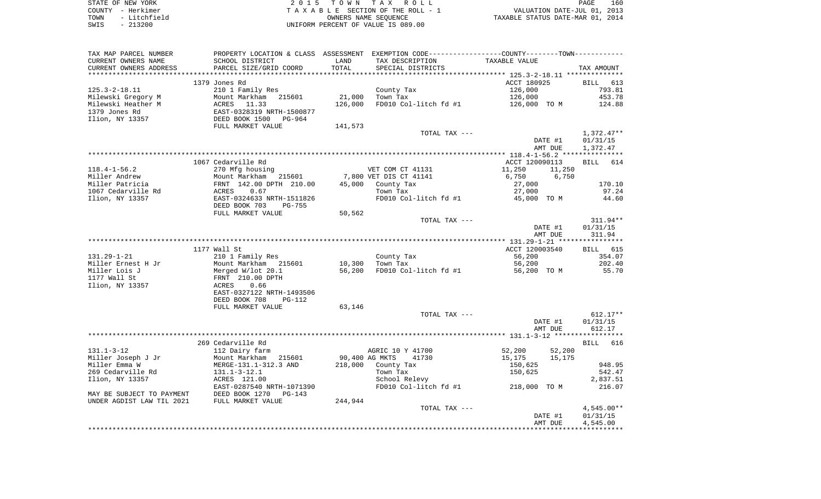| STATE OF NEW YORK    | 2015 TOWN TAX ROLL                 | 160<br>PAGE                      |
|----------------------|------------------------------------|----------------------------------|
| COUNTY - Herkimer    | TAXABLE SECTION OF THE ROLL - 1    | VALUATION DATE-JUL 01, 2013      |
| - Litchfield<br>TOWN | OWNERS NAME SEOUENCE               | TAXABLE STATUS DATE-MAR 01, 2014 |
| $-213200$<br>SWIS    | UNIFORM PERCENT OF VALUE IS 089.00 |                                  |

| TAX MAP PARCEL NUMBER                 | PROPERTY LOCATION & CLASS ASSESSMENT EXEMPTION CODE---------------COUNTY-------TOWN---------- |                |                        |                    |                    |
|---------------------------------------|-----------------------------------------------------------------------------------------------|----------------|------------------------|--------------------|--------------------|
| CURRENT OWNERS NAME                   | SCHOOL DISTRICT                                                                               | LAND           | TAX DESCRIPTION        | TAXABLE VALUE      |                    |
| CURRENT OWNERS ADDRESS                | PARCEL SIZE/GRID COORD                                                                        | TOTAL          | SPECIAL DISTRICTS      |                    | TAX AMOUNT         |
| ***********************               | ***************************                                                                   |                |                        |                    |                    |
|                                       | 1379 Jones Rd                                                                                 |                |                        | ACCT 180925        | BILL 613           |
| $125.3 - 2 - 18.11$                   | 210 1 Family Res                                                                              |                | County Tax             | 126,000            | 793.81             |
| Milewski Gregory M                    | Mount Markham<br>215601                                                                       | 21,000         | Town Tax               | 126,000            | 453.78             |
| Milewski Heather M                    | ACRES<br>11.33                                                                                | 126,000        | FD010 Col-litch fd #1  | 126,000 TO M       | 124.88             |
| 1379 Jones Rd                         | EAST-0328319 NRTH-1500877                                                                     |                |                        |                    |                    |
| Ilion, NY 13357                       | DEED BOOK 1500<br>PG-964                                                                      |                |                        |                    |                    |
|                                       | FULL MARKET VALUE                                                                             | 141,573        |                        |                    |                    |
|                                       |                                                                                               |                | TOTAL TAX ---          |                    | $1,372.47**$       |
|                                       |                                                                                               |                |                        | DATE #1            | 01/31/15           |
|                                       |                                                                                               |                |                        | AMT DUE            | 1,372.47           |
|                                       |                                                                                               |                |                        |                    |                    |
|                                       | 1067 Cedarville Rd                                                                            |                |                        | ACCT 120090113     | BILL<br>614        |
| $118.4 - 1 - 56.2$                    | 270 Mfg housing                                                                               |                | VET COM CT 41131       | 11,250<br>11,250   |                    |
| Miller Andrew                         | Mount Markham<br>215601                                                                       |                | 7,800 VET DIS CT 41141 | 6,750<br>6,750     |                    |
| Miller Patricia<br>1067 Cedarville Rd | FRNT 142.00 DPTH 210.00                                                                       | 45,000         | County Tax<br>Town Tax | 27,000             | 170.10             |
| Ilion, NY 13357                       | ACRES<br>0.67<br>EAST-0324633 NRTH-1511826                                                    |                | FD010 Col-litch fd #1  | 27,000             | 97.24<br>44.60     |
|                                       | DEED BOOK 703<br><b>PG-755</b>                                                                |                |                        | 45,000 TO M        |                    |
|                                       | FULL MARKET VALUE                                                                             | 50,562         |                        |                    |                    |
|                                       |                                                                                               |                | TOTAL TAX ---          |                    | 311.94**           |
|                                       |                                                                                               |                |                        | DATE #1            | 01/31/15           |
|                                       |                                                                                               |                |                        | AMT DUE            | 311.94             |
|                                       | *************                                                                                 |                |                        |                    |                    |
|                                       | 1177 Wall St                                                                                  |                |                        | ACCT 120003540     | BILL 615           |
| $131.29 - 1 - 21$                     | 210 1 Family Res                                                                              |                | County Tax             | 56,200             | 354.07             |
| Miller Ernest H Jr                    | Mount Markham 215601                                                                          | 10,300         | Town Tax               | 56,200             | 202.40             |
| Miller Lois J                         | Merged W/lot 20.1                                                                             | 56,200         | FD010 Col-litch fd #1  | 56,200 TO M        | 55.70              |
| 1177 Wall St                          | FRNT 210.00 DPTH                                                                              |                |                        |                    |                    |
| Ilion, NY 13357                       | 0.66<br>ACRES                                                                                 |                |                        |                    |                    |
|                                       | EAST-0327122 NRTH-1493506                                                                     |                |                        |                    |                    |
|                                       | DEED BOOK 708<br><b>PG-112</b>                                                                |                |                        |                    |                    |
|                                       | FULL MARKET VALUE                                                                             | 63,146         |                        |                    |                    |
|                                       |                                                                                               |                | TOTAL TAX ---          |                    | $612.17**$         |
|                                       |                                                                                               |                |                        | DATE #1<br>AMT DUE | 01/31/15<br>612.17 |
|                                       |                                                                                               |                |                        |                    |                    |
|                                       | 269 Cedarville Rd                                                                             |                |                        |                    | <b>BILL</b><br>616 |
| $131.1 - 3 - 12$                      | 112 Dairy farm                                                                                |                | AGRIC 10 Y 41700       | 52,200<br>52,200   |                    |
| Miller Joseph J Jr                    | Mount Markham<br>215601                                                                       | 90,400 AG MKTS | 41730                  | 15,175<br>15,175   |                    |
| Miller Emma W                         | MERGE-131.1-312.3 AND                                                                         | 218,000        | County Tax             | 150,625            | 948.95             |
| 269 Cedarville Rd                     | $131.1 - 3 - 12.1$                                                                            |                | Town Tax               | 150,625            | 542.47             |
| Ilion, NY 13357                       | ACRES 121.00                                                                                  |                | School Relevy          |                    | 2,837.51           |
|                                       | EAST-0287540 NRTH-1071390                                                                     |                | FD010 Col-litch fd #1  | 218,000 TO M       | 216.07             |
| MAY BE SUBJECT TO PAYMENT             | DEED BOOK 1270<br>PG-143                                                                      |                |                        |                    |                    |
| UNDER AGDIST LAW TIL 2021             | FULL MARKET VALUE                                                                             | 244,944        |                        |                    |                    |
|                                       |                                                                                               |                | TOTAL TAX ---          |                    | $4,545.00**$       |
|                                       |                                                                                               |                |                        | DATE #1            | 01/31/15           |
|                                       |                                                                                               |                |                        | AMT DUE            | 4,545.00           |
|                                       |                                                                                               |                |                        |                    |                    |
|                                       |                                                                                               |                |                        |                    |                    |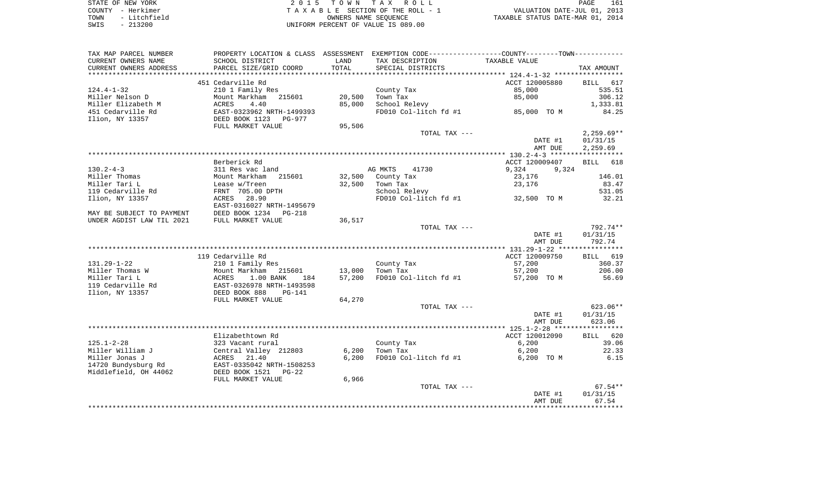| STATE OF NEW YORK    | 2015 TOWN TAX ROLL                 | 161<br>PAGE                      |
|----------------------|------------------------------------|----------------------------------|
| COUNTY - Herkimer    | TAXABLE SECTION OF THE ROLL - 1    | VALUATION DATE-JUL 01, 2013      |
| - Litchfield<br>TOWN | OWNERS NAME SEOUENCE               | TAXABLE STATUS DATE-MAR 01, 2014 |
| $-213200$<br>SWIS    | UNIFORM PERCENT OF VALUE IS 089.00 |                                  |

| TAX MAP PARCEL NUMBER     | PROPERTY LOCATION & CLASS ASSESSMENT EXEMPTION CODE---------------COUNTY-------TOWN--------- |        |                       |                |                    |
|---------------------------|----------------------------------------------------------------------------------------------|--------|-----------------------|----------------|--------------------|
| CURRENT OWNERS NAME       | SCHOOL DISTRICT                                                                              | LAND   | TAX DESCRIPTION       | TAXABLE VALUE  |                    |
| CURRENT OWNERS ADDRESS    | PARCEL SIZE/GRID COORD                                                                       | TOTAL  | SPECIAL DISTRICTS     |                | TAX AMOUNT         |
| *******************       | ***************************                                                                  |        |                       |                |                    |
|                           | 451 Cedarville Rd                                                                            |        |                       | ACCT 120005880 | BILL 617           |
| $124.4 - 1 - 32$          | 210 1 Family Res                                                                             |        | County Tax            | 85,000         | 535.51             |
| Miller Nelson D           | Mount Markham<br>215601                                                                      | 20,500 | Town Tax              | 85,000         | 306.12             |
| Miller Elizabeth M        | ACRES<br>4.40                                                                                | 85,000 | School Relevy         |                | 1,333.81           |
| 451 Cedarville Rd         | EAST-0323962 NRTH-1499393                                                                    |        | FD010 Col-litch fd #1 | 85,000 TO M    | 84.25              |
| Ilion, NY 13357           | DEED BOOK 1123<br>PG-977                                                                     |        |                       |                |                    |
|                           | FULL MARKET VALUE                                                                            | 95,506 |                       |                |                    |
|                           |                                                                                              |        | TOTAL TAX ---         |                | $2,259.69**$       |
|                           |                                                                                              |        |                       | DATE #1        | 01/31/15           |
|                           |                                                                                              |        |                       | AMT DUE        | 2,259.69           |
|                           |                                                                                              |        |                       |                |                    |
|                           | Berberick Rd                                                                                 |        |                       | ACCT 120009407 | 618<br><b>BILL</b> |
| $130.2 - 4 - 3$           | 311 Res vac land                                                                             |        | AG MKTS<br>41730      | 9,324<br>9,324 |                    |
| Miller Thomas             | Mount Markham 215601                                                                         |        | 32,500 County Tax     | 23,176         | 146.01             |
| Miller Tari L             | Lease w/Treen                                                                                | 32,500 | Town Tax              | 23,176         | 83.47              |
| 119 Cedarville Rd         | FRNT 705.00 DPTH                                                                             |        | School Relevy         |                | 531.05             |
| Ilion, NY 13357           | ACRES 28.90                                                                                  |        | FD010 Col-litch fd #1 | 32,500 TO M    | 32.21              |
|                           | EAST-0316027 NRTH-1495679                                                                    |        |                       |                |                    |
| MAY BE SUBJECT TO PAYMENT | DEED BOOK 1234 PG-218                                                                        |        |                       |                |                    |
| UNDER AGDIST LAW TIL 2021 | FULL MARKET VALUE                                                                            | 36,517 |                       |                |                    |
|                           |                                                                                              |        | TOTAL TAX ---         |                | 792.74**           |
|                           |                                                                                              |        |                       | DATE #1        | 01/31/15           |
|                           |                                                                                              |        |                       | AMT DUE        | 792.74             |
|                           |                                                                                              |        |                       |                |                    |
|                           | 119 Cedarville Rd                                                                            |        |                       | ACCT 120009750 | BILL 619           |
| $131.29 - 1 - 22$         | 210 1 Family Res                                                                             |        | County Tax            | 57,200         | 360.37             |
| Miller Thomas W           | Mount Markham<br>215601                                                                      | 13,000 | Town Tax              | 57,200         | 206.00             |
| Miller Tari L             | <b>ACRES</b><br>1.00 BANK<br>184                                                             | 57,200 | FD010 Col-litch fd #1 | 57,200 TO M    | 56.69              |
| 119 Cedarville Rd         | EAST-0326978 NRTH-1493598                                                                    |        |                       |                |                    |
| Ilion, NY 13357           | DEED BOOK 888<br>$PG-141$                                                                    |        |                       |                |                    |
|                           | FULL MARKET VALUE                                                                            | 64,270 |                       |                |                    |
|                           |                                                                                              |        | TOTAL TAX ---         |                | 623.06**           |
|                           |                                                                                              |        |                       | DATE #1        | 01/31/15           |
|                           |                                                                                              |        |                       | AMT DUE        | 623.06             |
|                           |                                                                                              |        |                       |                |                    |
|                           | Elizabethtown Rd                                                                             |        |                       | ACCT 120012090 | BILL 620           |
| $125.1 - 2 - 28$          | 323 Vacant rural                                                                             |        | County Tax            | 6,200          | 39.06              |
| Miller William J          | Central Valley 212803                                                                        | 6,200  | Town Tax              | 6,200          | 22.33              |
| Miller Jonas J            | ACRES<br>21.40                                                                               | 6,200  | FD010 Col-litch fd #1 | 6,200 TO M     | 6.15               |
| 14720 Bundysburg Rd       | EAST-0335042 NRTH-1508253                                                                    |        |                       |                |                    |
| Middlefield, OH 44062     | DEED BOOK 1521 PG-22                                                                         |        |                       |                |                    |
|                           | FULL MARKET VALUE                                                                            | 6,966  |                       |                |                    |
|                           |                                                                                              |        | TOTAL TAX ---         |                | $67.54**$          |
|                           |                                                                                              |        |                       | DATE #1        | 01/31/15           |
|                           |                                                                                              |        |                       | AMT DUE        | 67.54              |
|                           |                                                                                              |        |                       |                |                    |
|                           |                                                                                              |        |                       |                |                    |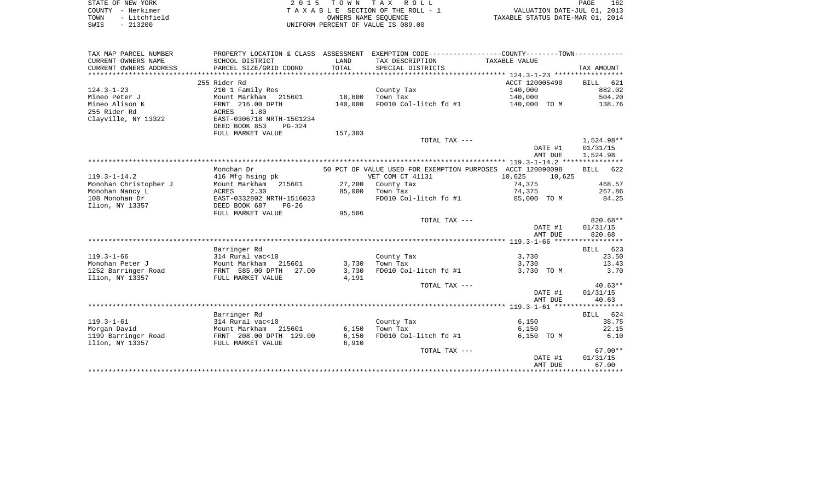|      | STATE OF NEW YORK | 2015 TOWN TAX ROLL                 | <b>PAGE</b>                      | 162 |
|------|-------------------|------------------------------------|----------------------------------|-----|
|      | COUNTY - Herkimer | TAXABLE SECTION OF THE ROLL - 1    | VALUATION DATE-JUL 01, 2013      |     |
| TOWN | - Litchfield      | OWNERS NAME SEOUENCE               | TAXABLE STATUS DATE-MAR 01, 2014 |     |
| SWIS | - 213200          | UNIFORM PERCENT OF VALUE IS 089.00 |                                  |     |

| TAX MAP PARCEL NUMBER  |                           |         |                       | PROPERTY LOCATION & CLASS ASSESSMENT EXEMPTION CODE---------------COUNTY-------TOWN---------- |             |
|------------------------|---------------------------|---------|-----------------------|-----------------------------------------------------------------------------------------------|-------------|
| CURRENT OWNERS NAME    | SCHOOL DISTRICT           | LAND    | TAX DESCRIPTION       | TAXABLE VALUE                                                                                 |             |
| CURRENT OWNERS ADDRESS | PARCEL SIZE/GRID COORD    | TOTAL   | SPECIAL DISTRICTS     |                                                                                               | TAX AMOUNT  |
|                        |                           |         |                       |                                                                                               |             |
|                        | 255 Rider Rd              |         |                       | ACCT 120005490                                                                                | 621<br>BILL |
| $124.3 - 1 - 23$       | 210 1 Family Res          |         | County Tax            | 140,000                                                                                       | 882.02      |
| Mineo Peter J          | Mount Markham<br>215601   | 18,600  | Town Tax              | 140,000                                                                                       | 504.20      |
| Mineo Alison K         | FRNT 216.00 DPTH          | 140,000 |                       | FD010 Col-litch fd #1 140,000 TO M                                                            | 138.76      |
| 255 Rider Rd           | 1.80<br>ACRES             |         |                       |                                                                                               |             |
| Clayville, NY 13322    | EAST-0306718 NRTH-1501234 |         |                       |                                                                                               |             |
|                        | DEED BOOK 853<br>PG-324   |         |                       |                                                                                               |             |
|                        | FULL MARKET VALUE         | 157,303 |                       |                                                                                               |             |
|                        |                           |         | TOTAL TAX ---         |                                                                                               | 1,524.98**  |
|                        |                           |         |                       | DATE #1                                                                                       | 01/31/15    |
|                        |                           |         |                       | AMT DUE                                                                                       | 1,524.98    |
|                        |                           |         |                       |                                                                                               |             |
|                        | Monohan Dr                |         |                       | 50 PCT OF VALUE USED FOR EXEMPTION PURPOSES ACCT 120090098                                    | BILL 622    |
| $119.3 - 1 - 14.2$     | 416 Mfg hsing pk          |         | VET COM CT 41131      | 10,625<br>10,625                                                                              |             |
| Monohan Christopher J  | Mount Markham 215601      |         | 27,200 County Tax     | 74,375                                                                                        | 468.57      |
| Monohan Nancy L        | ACRES<br>2.30             | 85,000  | Town Tax              | 74,375                                                                                        | 267.86      |
| 108 Monohan Dr         | EAST-0332802 NRTH-1516023 |         | FD010 Col-litch fd #1 | 85,000 TO M                                                                                   | 84.25       |
| Ilion, NY 13357        | DEED BOOK 687<br>$PG-26$  |         |                       |                                                                                               |             |
|                        | FULL MARKET VALUE         | 95,506  |                       |                                                                                               |             |
|                        |                           |         | TOTAL TAX ---         |                                                                                               | $820.68**$  |
|                        |                           |         |                       | DATE #1                                                                                       | 01/31/15    |
|                        |                           |         |                       | AMT DUE                                                                                       | 820.68      |
|                        |                           |         |                       |                                                                                               |             |
|                        | Barringer Rd              |         |                       |                                                                                               | BILL 623    |
| $119.3 - 1 - 66$       | 314 Rural vac<10          |         | County Tax            | 3,730                                                                                         | 23.50       |
| Monohan Peter J        | Mount Markham<br>215601   | 3,730   | Town Tax              | 3,730                                                                                         | 13.43       |
| 1252 Barringer Road    | FRNT 585.00 DPTH 27.00    | 3,730   | FD010 Col-litch fd #1 | 3,730 TO M                                                                                    | 3.70        |
| Ilion, NY 13357        | FULL MARKET VALUE         | 4,191   |                       |                                                                                               |             |
|                        |                           |         | TOTAL TAX ---         |                                                                                               | $40.63**$   |
|                        |                           |         |                       | DATE #1                                                                                       | 01/31/15    |
|                        |                           |         |                       | AMT DUE                                                                                       | 40.63       |
|                        |                           |         |                       |                                                                                               |             |
|                        | Barringer Rd              |         |                       |                                                                                               | BILL 624    |
| $119.3 - 1 - 61$       | 314 Rural vac<10          |         | County Tax            | 6,150                                                                                         | 38.75       |
| Morgan David           | Mount Markham<br>215601   | 6,150   | Town Tax              | 6,150                                                                                         | 22.15       |
| 1199 Barringer Road    | FRNT 208.00 DPTH 129.00   | 6,150   | FD010 Col-litch fd #1 | 6,150 TO M                                                                                    | 6.10        |
| Ilion, NY 13357        | FULL MARKET VALUE         | 6,910   |                       |                                                                                               |             |
|                        |                           |         | TOTAL TAX ---         |                                                                                               | $67.00**$   |
|                        |                           |         |                       | DATE #1                                                                                       | 01/31/15    |
|                        |                           |         |                       | AMT DUE                                                                                       | 67.00       |
|                        |                           |         |                       |                                                                                               |             |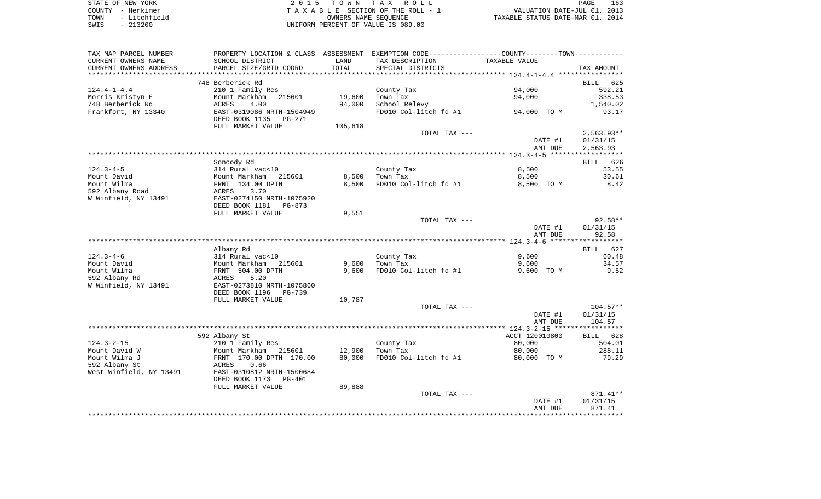| STATE OF NEW YORK |              | 2015 TOWN TAX ROLL                 |                                  | PAGE | 163 |
|-------------------|--------------|------------------------------------|----------------------------------|------|-----|
| COUNTY - Herkimer |              | TAXABLE SECTION OF THE ROLL - 1    | VALUATION DATE-JUL 01, 2013      |      |     |
| TOWN              | - Litchfield | OWNERS NAME SEOUENCE               | TAXABLE STATUS DATE-MAR 01, 2014 |      |     |
| SWIS              | $-213200$    | UNIFORM PERCENT OF VALUE IS 089.00 |                                  |      |     |

| SCHOOL DISTRICT                                                                  | LAND                                                                                                                                                                                                                                                     | TAX DESCRIPTION                                         | TAXABLE VALUE                                                                                     |                                                                                                                                                                                                                                 |
|----------------------------------------------------------------------------------|----------------------------------------------------------------------------------------------------------------------------------------------------------------------------------------------------------------------------------------------------------|---------------------------------------------------------|---------------------------------------------------------------------------------------------------|---------------------------------------------------------------------------------------------------------------------------------------------------------------------------------------------------------------------------------|
|                                                                                  |                                                                                                                                                                                                                                                          |                                                         |                                                                                                   | TAX AMOUNT                                                                                                                                                                                                                      |
| 748 Berberick Rd<br>210 1 Family Res<br>Mount Markham<br>215601<br>ACRES<br>4.00 | 19,600                                                                                                                                                                                                                                                   | County Tax<br>Town Tax                                  | 94,000<br>94,000                                                                                  | <b>BILL</b><br>625<br>592.21<br>338.53<br>1,540.02                                                                                                                                                                              |
| EAST-0319086 NRTH-1504949<br>DEED BOOK 1135<br>PG-271                            |                                                                                                                                                                                                                                                          | FD010 Col-litch fd #1                                   | 94,000 TO M                                                                                       | 93.17                                                                                                                                                                                                                           |
|                                                                                  |                                                                                                                                                                                                                                                          |                                                         | DATE #1<br>AMT DUE                                                                                | $2,563.93**$<br>01/31/15<br>2,563.93                                                                                                                                                                                            |
|                                                                                  |                                                                                                                                                                                                                                                          |                                                         |                                                                                                   |                                                                                                                                                                                                                                 |
| 314 Rural vac<10                                                                 |                                                                                                                                                                                                                                                          | County Tax                                              | 8,500                                                                                             | <b>BILL</b><br>626<br>53.55                                                                                                                                                                                                     |
| Mount Markham 215601                                                             | 8,500                                                                                                                                                                                                                                                    | Town Tax                                                | 8,500                                                                                             | 30.61                                                                                                                                                                                                                           |
| ACRES<br>3.70<br>EAST-0274150 NRTH-1075920                                       | 8,500                                                                                                                                                                                                                                                    |                                                         | 8,500 TO M                                                                                        | 8.42                                                                                                                                                                                                                            |
| FULL MARKET VALUE                                                                | 9,551                                                                                                                                                                                                                                                    |                                                         |                                                                                                   |                                                                                                                                                                                                                                 |
|                                                                                  |                                                                                                                                                                                                                                                          |                                                         | DATE #1                                                                                           | $92.58**$<br>01/31/15<br>92.58                                                                                                                                                                                                  |
|                                                                                  |                                                                                                                                                                                                                                                          |                                                         |                                                                                                   |                                                                                                                                                                                                                                 |
| Albany Rd                                                                        |                                                                                                                                                                                                                                                          |                                                         |                                                                                                   | <b>BILL</b><br>627                                                                                                                                                                                                              |
|                                                                                  |                                                                                                                                                                                                                                                          |                                                         |                                                                                                   | 60.48                                                                                                                                                                                                                           |
| FRNT 504.00 DPTH                                                                 | 9,600                                                                                                                                                                                                                                                    | FD010 Col-litch fd #1                                   | 9,600 TO M                                                                                        | 34.57<br>9.52                                                                                                                                                                                                                   |
| EAST-0273810 NRTH-1075860<br>DEED BOOK 1196<br>PG-739                            |                                                                                                                                                                                                                                                          |                                                         |                                                                                                   |                                                                                                                                                                                                                                 |
|                                                                                  |                                                                                                                                                                                                                                                          |                                                         |                                                                                                   | $104.57**$                                                                                                                                                                                                                      |
|                                                                                  |                                                                                                                                                                                                                                                          |                                                         | DATE #1                                                                                           | 01/31/15<br>104.57                                                                                                                                                                                                              |
|                                                                                  |                                                                                                                                                                                                                                                          |                                                         |                                                                                                   |                                                                                                                                                                                                                                 |
| 592 Albany St                                                                    |                                                                                                                                                                                                                                                          |                                                         | ACCT 120010800                                                                                    | BILL 628                                                                                                                                                                                                                        |
|                                                                                  |                                                                                                                                                                                                                                                          | County Tax                                              | 80,000                                                                                            | 504.01                                                                                                                                                                                                                          |
| FRNT 170.00 DPTH 170.00                                                          | 80,000                                                                                                                                                                                                                                                   | FD010 Col-litch fd #1                                   | 80,000 TO M                                                                                       | 288.11<br>79.29                                                                                                                                                                                                                 |
| EAST-0310812 NRTH-1500684<br>DEED BOOK 1173<br>PG-401                            |                                                                                                                                                                                                                                                          |                                                         |                                                                                                   |                                                                                                                                                                                                                                 |
| FULL MARKET VALUE                                                                | 89,888                                                                                                                                                                                                                                                   |                                                         |                                                                                                   |                                                                                                                                                                                                                                 |
|                                                                                  |                                                                                                                                                                                                                                                          |                                                         |                                                                                                   | 871.41**                                                                                                                                                                                                                        |
|                                                                                  |                                                                                                                                                                                                                                                          |                                                         | AMT DUE                                                                                           | 01/31/15<br>871.41                                                                                                                                                                                                              |
|                                                                                  | PARCEL SIZE/GRID COORD<br>FULL MARKET VALUE<br>Soncody Rd<br>FRNT 134.00 DPTH<br>DEED BOOK 1181<br>PG-873<br>314 Rural vac<10<br>Mount Markham 215601<br>ACRES<br>5.20<br>FULL MARKET VALUE<br>210 1 Family Res<br>Mount Markham 215601<br>0.66<br>ACRES | TOTAL<br>94,000<br>105,618<br>9,600<br>10,787<br>12,900 | SPECIAL DISTRICTS<br>School Relevy<br>FD010 Col-litch fd #1<br>County Tax<br>Town Tax<br>Town Tax | PROPERTY LOCATION & CLASS ASSESSMENT EXEMPTION CODE----------------COUNTY-------TOWN----------<br>TOTAL TAX ---<br>TOTAL TAX ---<br>AMT DUE<br>9,600<br>9,600<br>TOTAL TAX ---<br>AMT DUE<br>80,000<br>TOTAL TAX ---<br>DATE #1 |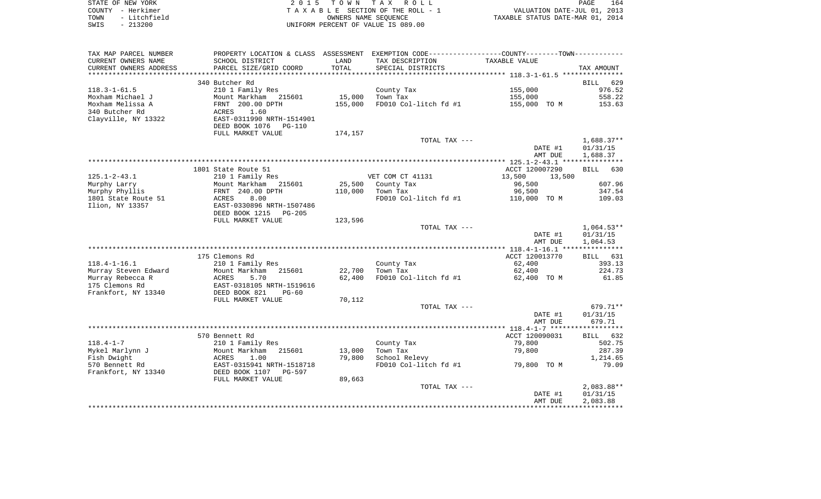| STATE OF NEW YORK    | 2015 TOWN TAX ROLL                 | 164<br><b>PAGE</b>               |
|----------------------|------------------------------------|----------------------------------|
| COUNTY - Herkimer    | TAXABLE SECTION OF THE ROLL - 1    | VALUATION DATE-JUL 01, 2013      |
| - Litchfield<br>TOWN | OWNERS NAME SEOUENCE               | TAXABLE STATUS DATE-MAR 01, 2014 |
| - 213200<br>SWIS     | UNIFORM PERCENT OF VALUE IS 089.00 |                                  |

| TAX MAP PARCEL NUMBER  |                           |         | PROPERTY LOCATION & CLASS ASSESSMENT EXEMPTION CODE---------------COUNTY-------TOWN---------- |                  |                    |
|------------------------|---------------------------|---------|-----------------------------------------------------------------------------------------------|------------------|--------------------|
| CURRENT OWNERS NAME    | SCHOOL DISTRICT           | LAND    | TAX DESCRIPTION                                                                               | TAXABLE VALUE    |                    |
| CURRENT OWNERS ADDRESS | PARCEL SIZE/GRID COORD    | TOTAL   | SPECIAL DISTRICTS                                                                             |                  | TAX AMOUNT         |
| *********************  |                           |         |                                                                                               |                  |                    |
|                        | 340 Butcher Rd            |         |                                                                                               |                  | 629<br><b>BILL</b> |
| $118.3 - 1 - 61.5$     | 210 1 Family Res          |         | County Tax                                                                                    | 155,000          | 976.52             |
| Moxham Michael J       | Mount Markham 215601      | 15,000  | Town Tax                                                                                      | 155,000          | 558.22             |
| Moxham Melissa A       | FRNT 200.00 DPTH          | 155,000 | FD010 Col-litch fd #1                                                                         | 155,000 TO M     | 153.63             |
| 340 Butcher Rd         | 1.60<br>ACRES             |         |                                                                                               |                  |                    |
| Clayville, NY 13322    | EAST-0311990 NRTH-1514901 |         |                                                                                               |                  |                    |
|                        | DEED BOOK 1076<br>PG-110  |         |                                                                                               |                  |                    |
|                        | FULL MARKET VALUE         | 174,157 |                                                                                               |                  |                    |
|                        |                           |         | TOTAL TAX ---                                                                                 |                  | $1,688.37**$       |
|                        |                           |         |                                                                                               | DATE #1          | 01/31/15           |
|                        |                           |         |                                                                                               | AMT DUE          | 1,688.37           |
|                        |                           |         |                                                                                               |                  |                    |
|                        | 1801 State Route 51       |         |                                                                                               | ACCT 120007290   | BILL<br>630        |
| $125.1 - 2 - 43.1$     | 210 1 Family Res          |         | VET COM CT 41131                                                                              | 13,500<br>13,500 |                    |
| Murphy Larry           | Mount Markham<br>215601   | 25,500  | County Tax                                                                                    | 96,500           | 607.96             |
| Murphy Phyllis         | FRNT 240.00 DPTH          | 110,000 | Town Tax                                                                                      | 96,500           | 347.54             |
| 1801 State Route 51    | ACRES<br>8.00             |         | FD010 Col-litch fd #1                                                                         | 110,000 TO M     | 109.03             |
| Ilion, NY 13357        | EAST-0330896 NRTH-1507486 |         |                                                                                               |                  |                    |
|                        | DEED BOOK 1215<br>PG-205  |         |                                                                                               |                  |                    |
|                        | FULL MARKET VALUE         | 123,596 |                                                                                               |                  |                    |
|                        |                           |         | TOTAL TAX ---                                                                                 |                  | $1,064.53**$       |
|                        |                           |         |                                                                                               | DATE #1          | 01/31/15           |
|                        |                           |         |                                                                                               | AMT DUE          | 1,064.53           |
|                        |                           |         |                                                                                               |                  |                    |
|                        | 175 Clemons Rd            |         |                                                                                               | ACCT 120013770   | BILL 631           |
| $118.4 - 1 - 16.1$     | 210 1 Family Res          |         | County Tax                                                                                    | 62,400           | 393.13             |
| Murray Steven Edward   | Mount Markham<br>215601   | 22,700  | Town Tax                                                                                      | 62,400           | 224.73             |
| Murray Rebecca R       | ACRES<br>5.70             | 62,400  | FD010 Col-litch fd #1                                                                         | 62,400 TO M      | 61.85              |
| 175 Clemons Rd         | EAST-0318105 NRTH-1519616 |         |                                                                                               |                  |                    |
| Frankfort, NY 13340    | DEED BOOK 821<br>$PG-60$  |         |                                                                                               |                  |                    |
|                        | FULL MARKET VALUE         | 70,112  |                                                                                               |                  |                    |
|                        |                           |         | TOTAL TAX ---                                                                                 |                  | 679.71**           |
|                        |                           |         |                                                                                               | DATE #1          | 01/31/15           |
|                        |                           |         |                                                                                               | AMT DUE          | 679.71             |
|                        | 570 Bennett Rd            |         |                                                                                               | ACCT 120090031   | BILL 632           |
| $118.4 - 1 - 7$        | 210 1 Family Res          |         | County Tax                                                                                    | 79,800           | 502.75             |
| Mykel Marlynn J        | Mount Markham<br>215601   | 13,000  | Town Tax                                                                                      | 79,800           | 287.39             |
| Fish Dwight            | ACRES<br>1.00             | 79,800  | School Relevy                                                                                 |                  | 1,214.65           |
| 570 Bennett Rd         | EAST-0315941 NRTH-1518718 |         | FD010 Col-litch fd #1                                                                         | 79,800 TO M      | 79.09              |
| Frankfort, NY 13340    | DEED BOOK 1107<br>PG-597  |         |                                                                                               |                  |                    |
|                        | FULL MARKET VALUE         | 89,663  |                                                                                               |                  |                    |
|                        |                           |         | TOTAL TAX ---                                                                                 |                  | $2,083.88**$       |
|                        |                           |         |                                                                                               | DATE #1          | 01/31/15           |
|                        |                           |         |                                                                                               | AMT DUE          | 2,083.88           |
|                        |                           |         |                                                                                               |                  |                    |
|                        |                           |         |                                                                                               |                  |                    |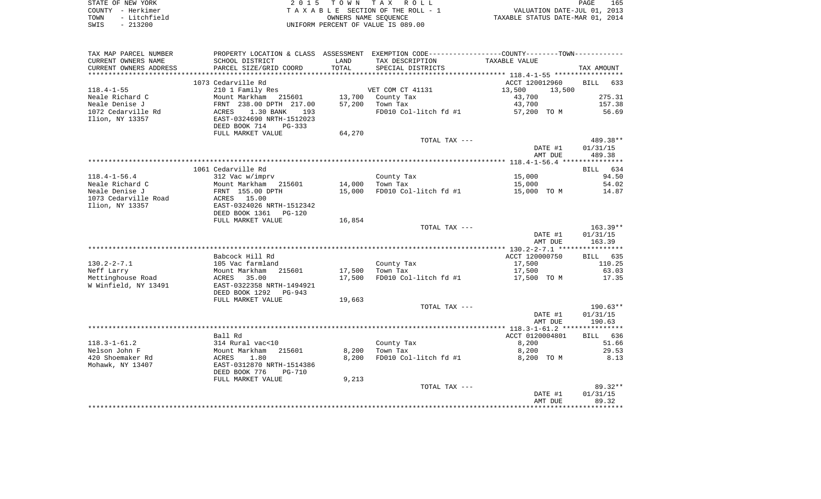|      | STATE OF NEW YORK | 2015 TOWN TAX ROLL                 | 165<br>PAGE                      |
|------|-------------------|------------------------------------|----------------------------------|
|      | COUNTY - Herkimer | TAXABLE SECTION OF THE ROLL - 1    | VALUATION DATE-JUL 01, 2013      |
| TOWN | - Litchfield      | OWNERS NAME SEOUENCE               | TAXABLE STATUS DATE-MAR 01, 2014 |
| SWIS | $-213200$         | UNIFORM PERCENT OF VALUE IS 089.00 |                                  |

| TAX MAP PARCEL NUMBER  | PROPERTY LOCATION & CLASS ASSESSMENT EXEMPTION CODE---------------COUNTY-------TOWN---------- |        |                       |                    |                    |
|------------------------|-----------------------------------------------------------------------------------------------|--------|-----------------------|--------------------|--------------------|
| CURRENT OWNERS NAME    | SCHOOL DISTRICT                                                                               | LAND   | TAX DESCRIPTION       | TAXABLE VALUE      |                    |
| CURRENT OWNERS ADDRESS | PARCEL SIZE/GRID COORD                                                                        | TOTAL  | SPECIAL DISTRICTS     |                    | TAX AMOUNT         |
|                        |                                                                                               |        |                       |                    |                    |
|                        | 1073 Cedarville Rd                                                                            |        |                       | ACCT 120012960     | BILL 633           |
| $118.4 - 1 - 55$       | 210 1 Family Res                                                                              |        | VET COM CT 41131      | 13,500<br>13,500   |                    |
| Neale Richard C        | Mount Markham 215601                                                                          | 13,700 | County Tax            | 43,700             | 275.31             |
| Neale Denise J         | FRNT 238.00 DPTH 217.00                                                                       | 57,200 | Town Tax              | 43,700             | 157.38             |
| 1072 Cedarville Rd     | - - -<br>ACRES<br>1.30 BANK<br>193                                                            |        | FD010 Col-litch fd #1 | 57,200 TO M        | 56.69              |
| Ilion, NY 13357        | EAST-0324690 NRTH-1512023                                                                     |        |                       |                    |                    |
|                        | DEED BOOK 714<br>PG-333                                                                       |        |                       |                    |                    |
|                        | FULL MARKET VALUE                                                                             | 64,270 |                       |                    |                    |
|                        |                                                                                               |        | TOTAL TAX ---         |                    | 489.38**           |
|                        |                                                                                               |        |                       | DATE #1            | 01/31/15           |
|                        |                                                                                               |        |                       | AMT DUE            | 489.38             |
|                        |                                                                                               |        |                       |                    |                    |
|                        | 1061 Cedarville Rd                                                                            |        |                       |                    | BILL 634           |
| $118.4 - 1 - 56.4$     | 312 Vac w/imprv                                                                               |        | County Tax            | 15,000             | 94.50              |
| Neale Richard C        | Mount Markham 215601                                                                          | 14,000 | Town Tax              | 15,000             | 54.02              |
| Neale Denise J         | FRNT 155.00 DPTH                                                                              | 15,000 | FD010 Col-litch fd #1 | 15,000 TO M        | 14.87              |
| 1073 Cedarville Road   | <b>ACRES</b> 15.00                                                                            |        |                       |                    |                    |
| Ilion, NY 13357        | EAST-0324026 NRTH-1512342                                                                     |        |                       |                    |                    |
|                        | DEED BOOK 1361<br>PG-120                                                                      |        |                       |                    |                    |
|                        | FULL MARKET VALUE                                                                             | 16,854 |                       |                    |                    |
|                        |                                                                                               |        | TOTAL TAX ---         |                    | 163.39**           |
|                        |                                                                                               |        |                       | DATE #1<br>AMT DUE | 01/31/15<br>163.39 |
|                        |                                                                                               |        |                       |                    |                    |
|                        | Babcock Hill Rd                                                                               |        |                       | ACCT 120000750     | BILL 635           |
| $130.2 - 2 - 7.1$      | 105 Vac farmland                                                                              |        | County Tax            | 17,500             | 110.25             |
| Neff Larry             | Mount Markham<br>215601                                                                       | 17,500 | Town Tax              | 17,500             | 63.03              |
| Mettinghouse Road      | 35.00<br>ACRES                                                                                | 17,500 | FD010 Col-litch fd #1 | 17,500 TO M        | 17.35              |
| W Winfield, NY 13491   | EAST-0322358 NRTH-1494921                                                                     |        |                       |                    |                    |
|                        | DEED BOOK 1292<br>PG-943                                                                      |        |                       |                    |                    |
|                        | FULL MARKET VALUE                                                                             | 19,663 |                       |                    |                    |
|                        |                                                                                               |        | TOTAL TAX ---         |                    | 190.63**           |
|                        |                                                                                               |        |                       | DATE #1            | 01/31/15           |
|                        |                                                                                               |        |                       | AMT DUE            | 190.63             |
|                        |                                                                                               |        |                       |                    |                    |
|                        | Ball Rd                                                                                       |        |                       | ACCT 0120004801    | BILL 636           |
| $118.3 - 1 - 61.2$     | 314 Rural vac<10                                                                              |        | County Tax            | 8,200              | 51.66              |
| Nelson John F          | 215601<br>Mount Markham                                                                       | 8,200  | Town Tax              | 8,200              | 29.53              |
| 420 Shoemaker Rd       | ACRES<br>1.80                                                                                 | 8.200  | FD010 Col-litch fd #1 | 8,200 TO M         | 8.13               |
| Mohawk, NY 13407       | ---<br>EAST-0312870 NRTH-1514386                                                              |        |                       |                    |                    |
|                        | DEED BOOK 776<br><b>PG-710</b>                                                                |        |                       |                    |                    |
|                        | FULL MARKET VALUE                                                                             | 9,213  |                       |                    |                    |
|                        |                                                                                               |        | TOTAL TAX ---         |                    | $89.32**$          |
|                        |                                                                                               |        |                       | DATE #1            | 01/31/15           |
|                        |                                                                                               |        |                       | AMT DUE            | 89.32              |
|                        |                                                                                               |        |                       |                    |                    |
|                        |                                                                                               |        |                       |                    |                    |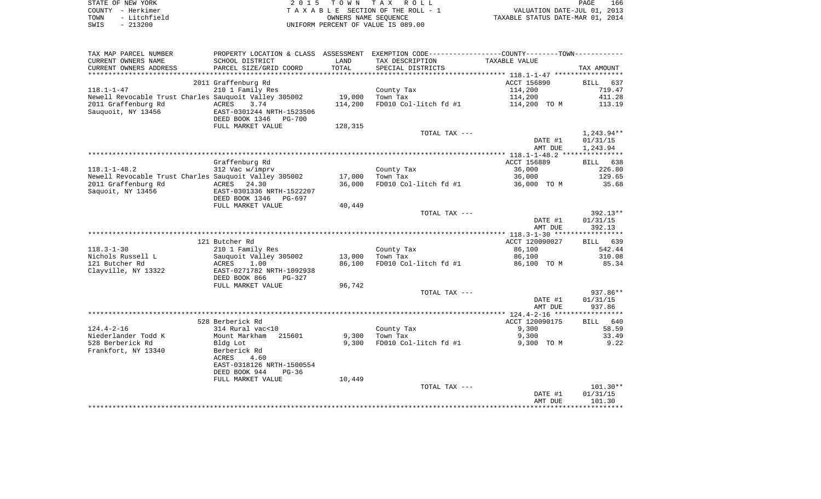| STATE OF NEW YORK    | 2015 TOWN TAX ROLL                 | 166<br>PAGE                      |
|----------------------|------------------------------------|----------------------------------|
| COUNTY - Herkimer    | TAXABLE SECTION OF THE ROLL - 1    | VALUATION DATE-JUL 01, 2013      |
| - Litchfield<br>TOWN | OWNERS NAME SEOUENCE               | TAXABLE STATUS DATE-MAR 01, 2014 |
| $-213200$<br>SWIS    | UNIFORM PERCENT OF VALUE IS 089.00 |                                  |

| TAX MAP PARCEL NUMBER  | PROPERTY LOCATION & CLASS ASSESSMENT EXEMPTION CODE---------------COUNTY-------TOWN---------- |            |                       |                |                    |
|------------------------|-----------------------------------------------------------------------------------------------|------------|-----------------------|----------------|--------------------|
| CURRENT OWNERS NAME    | SCHOOL DISTRICT                                                                               | LAND       | TAX DESCRIPTION       | TAXABLE VALUE  |                    |
| CURRENT OWNERS ADDRESS | PARCEL SIZE/GRID COORD                                                                        | TOTAL      | SPECIAL DISTRICTS     |                | TAX AMOUNT         |
|                        | ************************                                                                      | ********** |                       |                |                    |
|                        | 2011 Graffenburg Rd                                                                           |            |                       | ACCT 156890    | <b>BILL</b><br>637 |
| $118.1 - 1 - 47$       | 210 1 Family Res                                                                              |            | County Tax            | 114,200        | 719.47             |
|                        | Newell Revocable Trust Charles Sauquoit Valley 305002                                         | 19,000     | Town Tax              | 114,200        | 411.28             |
| 2011 Graffenburg Rd    | ACRES<br>3.74                                                                                 | 114,200    | FD010 Col-litch fd #1 | 114,200 TO M   | 113.19             |
| Sauguoit, NY 13456     | EAST-0301244 NRTH-1523506                                                                     |            |                       |                |                    |
|                        | DEED BOOK 1346<br>PG-700                                                                      |            |                       |                |                    |
|                        | FULL MARKET VALUE                                                                             | 128,315    |                       |                |                    |
|                        |                                                                                               |            | TOTAL TAX ---         |                | $1,243.94**$       |
|                        |                                                                                               |            |                       | DATE #1        | 01/31/15           |
|                        |                                                                                               |            |                       | AMT DUE        | 1,243.94           |
|                        |                                                                                               |            |                       |                |                    |
|                        | Graffenburg Rd                                                                                |            |                       | ACCT 156889    | BILL 638           |
| $118.1 - 1 - 48.2$     | 312 Vac w/imprv                                                                               |            | County Tax            | 36,000         | 226.80             |
|                        | Newell Revocable Trust Charles Sauquoit Valley 305002                                         | 17,000     | Town Tax              | 36,000         | 129.65             |
| 2011 Graffenburg Rd    | 24.30<br>ACRES                                                                                | 36,000     | FD010 Col-litch fd #1 | 36,000 TO M    | 35.68              |
| Saquoit, NY 13456      | EAST-0301336 NRTH-1522207                                                                     |            |                       |                |                    |
|                        | DEED BOOK 1346<br>PG-697                                                                      |            |                       |                |                    |
|                        | FULL MARKET VALUE                                                                             | 40,449     |                       |                |                    |
|                        |                                                                                               |            | TOTAL TAX ---         |                | $392.13**$         |
|                        |                                                                                               |            |                       | DATE #1        | 01/31/15           |
|                        |                                                                                               |            |                       | AMT DUE        | 392.13             |
|                        | 121 Butcher Rd                                                                                |            |                       | ACCT 120090027 | 639<br>BILL        |
| $118.3 - 1 - 30$       | 210 1 Family Res                                                                              |            | County Tax            | 86,100         | 542.44             |
| Nichols Russell L      | Sauguoit Valley 305002                                                                        | 13,000     | Town Tax              | 86,100         | 310.08             |
| 121 Butcher Rd         | ACRES<br>1.00                                                                                 | 86,100     | FD010 Col-litch fd #1 | 86,100 TO M    | 85.34              |
| Clayville, NY 13322    | EAST-0271782 NRTH-1092938                                                                     |            |                       |                |                    |
|                        | DEED BOOK 866<br>PG-327                                                                       |            |                       |                |                    |
|                        | FULL MARKET VALUE                                                                             | 96,742     |                       |                |                    |
|                        |                                                                                               |            | TOTAL TAX ---         |                | $937.86**$         |
|                        |                                                                                               |            |                       | DATE #1        | 01/31/15           |
|                        |                                                                                               |            |                       | AMT DUE        | 937.86             |
|                        |                                                                                               |            |                       |                |                    |
|                        | 528 Berberick Rd                                                                              |            |                       | ACCT 120090175 | <b>BILL</b><br>640 |
| $124.4 - 2 - 16$       | 314 Rural vac<10                                                                              |            | County Tax            | 9,300          | 58.59              |
| Niederlander Todd K    | Mount Markham<br>215601                                                                       | 9,300      | Town Tax              | 9,300          | 33.49              |
| 528 Berberick Rd       | Bldg Lot                                                                                      | 9,300      | FD010 Col-litch fd #1 | 9,300 TO M     | 9.22               |
| Frankfort, NY 13340    | Berberick Rd                                                                                  |            |                       |                |                    |
|                        | ACRES<br>4.60                                                                                 |            |                       |                |                    |
|                        | EAST-0318126 NRTH-1500554                                                                     |            |                       |                |                    |
|                        | DEED BOOK 944<br>$PG-36$                                                                      |            |                       |                |                    |
|                        | FULL MARKET VALUE                                                                             | 10,449     |                       |                |                    |
|                        |                                                                                               |            | TOTAL TAX ---         |                | $101.30**$         |
|                        |                                                                                               |            |                       | DATE #1        | 01/31/15           |
|                        |                                                                                               |            |                       | AMT DUE        | 101.30             |
|                        |                                                                                               |            |                       |                |                    |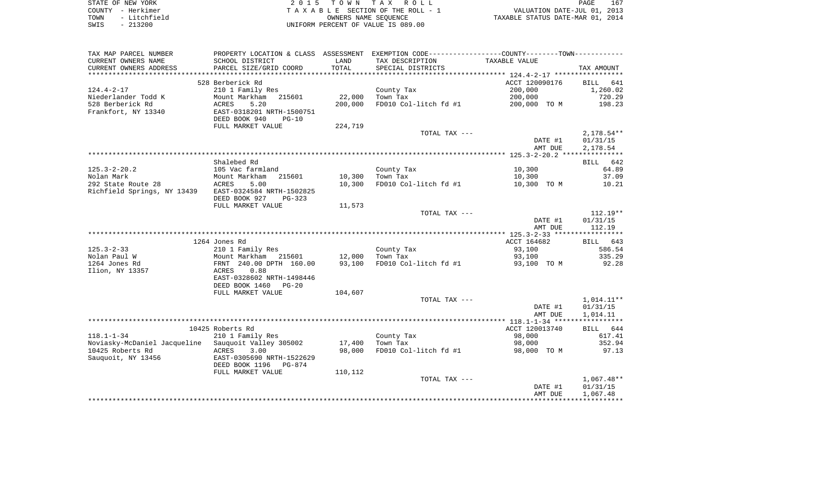| STATE OF NEW YORK    | 2015 TOWN TAX ROLL                 | 167<br>PAGE                      |
|----------------------|------------------------------------|----------------------------------|
| COUNTY - Herkimer    | TAXABLE SECTION OF THE ROLL - 1    | VALUATION DATE-JUL 01, 2013      |
| - Litchfield<br>TOWN | OWNERS NAME SEOUENCE               | TAXABLE STATUS DATE-MAR 01, 2014 |
| $-213200$<br>SWIS    | UNIFORM PERCENT OF VALUE IS 089.00 |                                  |

| CURRENT OWNERS NAME<br>SCHOOL DISTRICT<br>TAX DESCRIPTION<br>TAXABLE VALUE<br>LAND<br>CURRENT OWNERS ADDRESS<br>PARCEL SIZE/GRID COORD<br>TOTAL<br>SPECIAL DISTRICTS<br>TAX AMOUNT<br>**************<br>******************<br>*************************<br>528 Berberick Rd<br>ACCT 120090176<br><b>BILL</b><br>641<br>200,000<br>1,260.02<br>210 1 Family Res<br>County Tax<br>22,000<br>720.29<br>Mount Markham 215601<br>Town Tax<br>200,000<br>528 Berberick Rd<br>5.20<br>200,000<br>FD010 Col-litch fd #1<br>200,000 TO M<br>198.23<br>ACRES<br>EAST-0318201 NRTH-1500751<br>DEED BOOK 940<br>$PG-10$<br>FULL MARKET VALUE<br>224,719<br>TOTAL TAX ---<br>2,178.54**<br>DATE #1<br>01/31/15<br>2,178.54<br>AMT DUE<br>Shalebed Rd<br>BILL 642<br>10,300<br>64.89<br>105 Vac farmland<br>County Tax<br>Town Tax<br>10,300<br>37.09<br>Mount Markham<br>215601<br>10,300<br>FD010 Col-litch fd #1<br>10,300<br>10,300 TO M<br>ACRES<br>5.00<br>10.21<br>EAST-0324584 NRTH-1502825<br>DEED BOOK 927<br>PG-323<br>FULL MARKET VALUE<br>11,573<br>$112.19**$<br>TOTAL TAX ---<br>DATE #1<br>01/31/15<br>AMT DUE<br>112.19<br>ACCT 164682<br>1264 Jones Rd<br>BILL 643<br>210 1 Family Res<br>County Tax<br>93,100<br>586.54<br>Mount Markham 215601<br>12,000<br>Town Tax<br>93,100<br>335.29<br>93,100<br>FD010 Col-litch fd #1<br>92.28<br>FRNT 240.00 DPTH 160.00<br>93,100 TO M<br>0.88<br>ACRES<br>EAST-0328602 NRTH-1498446<br>DEED BOOK 1460<br>$PG-20$<br>FULL MARKET VALUE<br>104,607<br>1,014.11**<br>TOTAL TAX ---<br>DATE #1<br>01/31/15<br>AMT DUE<br>1,014.11<br>10425 Roberts Rd<br>ACCT 120013740<br>BILL 644<br>210 1 Family Res<br>County Tax<br>98,000<br>617.41<br>Noviasky-McDaniel Jacqueline Sauquoit Valley 305002<br>17,400<br>352.94<br>Town Tax<br>98,000<br>ACRES<br>98,000<br>FD010 Col-litch fd #1<br>98,000 TO M<br>97.13<br>3.00<br>Sauquoit, NY 13456<br>EAST-0305690 NRTH-1522629<br>DEED BOOK 1196<br>PG-874<br>110,112<br>FULL MARKET VALUE<br>$1,067.48**$<br>TOTAL TAX ---<br>DATE #1<br>01/31/15<br>1,067.48<br>AMT DUE | TAX MAP PARCEL NUMBER       |  | PROPERTY LOCATION & CLASS ASSESSMENT EXEMPTION CODE----------------COUNTY--------TOWN---------- |  |
|-----------------------------------------------------------------------------------------------------------------------------------------------------------------------------------------------------------------------------------------------------------------------------------------------------------------------------------------------------------------------------------------------------------------------------------------------------------------------------------------------------------------------------------------------------------------------------------------------------------------------------------------------------------------------------------------------------------------------------------------------------------------------------------------------------------------------------------------------------------------------------------------------------------------------------------------------------------------------------------------------------------------------------------------------------------------------------------------------------------------------------------------------------------------------------------------------------------------------------------------------------------------------------------------------------------------------------------------------------------------------------------------------------------------------------------------------------------------------------------------------------------------------------------------------------------------------------------------------------------------------------------------------------------------------------------------------------------------------------------------------------------------------------------------------------------------------------------------------------------------------------------------------------------------------------------------------------------------------------------------------------------------------------------------------------------------|-----------------------------|--|-------------------------------------------------------------------------------------------------|--|
|                                                                                                                                                                                                                                                                                                                                                                                                                                                                                                                                                                                                                                                                                                                                                                                                                                                                                                                                                                                                                                                                                                                                                                                                                                                                                                                                                                                                                                                                                                                                                                                                                                                                                                                                                                                                                                                                                                                                                                                                                                                                 |                             |  |                                                                                                 |  |
|                                                                                                                                                                                                                                                                                                                                                                                                                                                                                                                                                                                                                                                                                                                                                                                                                                                                                                                                                                                                                                                                                                                                                                                                                                                                                                                                                                                                                                                                                                                                                                                                                                                                                                                                                                                                                                                                                                                                                                                                                                                                 |                             |  |                                                                                                 |  |
|                                                                                                                                                                                                                                                                                                                                                                                                                                                                                                                                                                                                                                                                                                                                                                                                                                                                                                                                                                                                                                                                                                                                                                                                                                                                                                                                                                                                                                                                                                                                                                                                                                                                                                                                                                                                                                                                                                                                                                                                                                                                 |                             |  |                                                                                                 |  |
|                                                                                                                                                                                                                                                                                                                                                                                                                                                                                                                                                                                                                                                                                                                                                                                                                                                                                                                                                                                                                                                                                                                                                                                                                                                                                                                                                                                                                                                                                                                                                                                                                                                                                                                                                                                                                                                                                                                                                                                                                                                                 |                             |  |                                                                                                 |  |
|                                                                                                                                                                                                                                                                                                                                                                                                                                                                                                                                                                                                                                                                                                                                                                                                                                                                                                                                                                                                                                                                                                                                                                                                                                                                                                                                                                                                                                                                                                                                                                                                                                                                                                                                                                                                                                                                                                                                                                                                                                                                 | $124.4 - 2 - 17$            |  |                                                                                                 |  |
|                                                                                                                                                                                                                                                                                                                                                                                                                                                                                                                                                                                                                                                                                                                                                                                                                                                                                                                                                                                                                                                                                                                                                                                                                                                                                                                                                                                                                                                                                                                                                                                                                                                                                                                                                                                                                                                                                                                                                                                                                                                                 | Niederlander Todd K         |  |                                                                                                 |  |
|                                                                                                                                                                                                                                                                                                                                                                                                                                                                                                                                                                                                                                                                                                                                                                                                                                                                                                                                                                                                                                                                                                                                                                                                                                                                                                                                                                                                                                                                                                                                                                                                                                                                                                                                                                                                                                                                                                                                                                                                                                                                 |                             |  |                                                                                                 |  |
|                                                                                                                                                                                                                                                                                                                                                                                                                                                                                                                                                                                                                                                                                                                                                                                                                                                                                                                                                                                                                                                                                                                                                                                                                                                                                                                                                                                                                                                                                                                                                                                                                                                                                                                                                                                                                                                                                                                                                                                                                                                                 | Frankfort, NY 13340         |  |                                                                                                 |  |
|                                                                                                                                                                                                                                                                                                                                                                                                                                                                                                                                                                                                                                                                                                                                                                                                                                                                                                                                                                                                                                                                                                                                                                                                                                                                                                                                                                                                                                                                                                                                                                                                                                                                                                                                                                                                                                                                                                                                                                                                                                                                 |                             |  |                                                                                                 |  |
|                                                                                                                                                                                                                                                                                                                                                                                                                                                                                                                                                                                                                                                                                                                                                                                                                                                                                                                                                                                                                                                                                                                                                                                                                                                                                                                                                                                                                                                                                                                                                                                                                                                                                                                                                                                                                                                                                                                                                                                                                                                                 |                             |  |                                                                                                 |  |
|                                                                                                                                                                                                                                                                                                                                                                                                                                                                                                                                                                                                                                                                                                                                                                                                                                                                                                                                                                                                                                                                                                                                                                                                                                                                                                                                                                                                                                                                                                                                                                                                                                                                                                                                                                                                                                                                                                                                                                                                                                                                 |                             |  |                                                                                                 |  |
|                                                                                                                                                                                                                                                                                                                                                                                                                                                                                                                                                                                                                                                                                                                                                                                                                                                                                                                                                                                                                                                                                                                                                                                                                                                                                                                                                                                                                                                                                                                                                                                                                                                                                                                                                                                                                                                                                                                                                                                                                                                                 |                             |  |                                                                                                 |  |
|                                                                                                                                                                                                                                                                                                                                                                                                                                                                                                                                                                                                                                                                                                                                                                                                                                                                                                                                                                                                                                                                                                                                                                                                                                                                                                                                                                                                                                                                                                                                                                                                                                                                                                                                                                                                                                                                                                                                                                                                                                                                 |                             |  |                                                                                                 |  |
|                                                                                                                                                                                                                                                                                                                                                                                                                                                                                                                                                                                                                                                                                                                                                                                                                                                                                                                                                                                                                                                                                                                                                                                                                                                                                                                                                                                                                                                                                                                                                                                                                                                                                                                                                                                                                                                                                                                                                                                                                                                                 |                             |  |                                                                                                 |  |
|                                                                                                                                                                                                                                                                                                                                                                                                                                                                                                                                                                                                                                                                                                                                                                                                                                                                                                                                                                                                                                                                                                                                                                                                                                                                                                                                                                                                                                                                                                                                                                                                                                                                                                                                                                                                                                                                                                                                                                                                                                                                 |                             |  |                                                                                                 |  |
|                                                                                                                                                                                                                                                                                                                                                                                                                                                                                                                                                                                                                                                                                                                                                                                                                                                                                                                                                                                                                                                                                                                                                                                                                                                                                                                                                                                                                                                                                                                                                                                                                                                                                                                                                                                                                                                                                                                                                                                                                                                                 | $125.3 - 2 - 20.2$          |  |                                                                                                 |  |
|                                                                                                                                                                                                                                                                                                                                                                                                                                                                                                                                                                                                                                                                                                                                                                                                                                                                                                                                                                                                                                                                                                                                                                                                                                                                                                                                                                                                                                                                                                                                                                                                                                                                                                                                                                                                                                                                                                                                                                                                                                                                 | Nolan Mark                  |  |                                                                                                 |  |
|                                                                                                                                                                                                                                                                                                                                                                                                                                                                                                                                                                                                                                                                                                                                                                                                                                                                                                                                                                                                                                                                                                                                                                                                                                                                                                                                                                                                                                                                                                                                                                                                                                                                                                                                                                                                                                                                                                                                                                                                                                                                 | 292 State Route 28          |  |                                                                                                 |  |
|                                                                                                                                                                                                                                                                                                                                                                                                                                                                                                                                                                                                                                                                                                                                                                                                                                                                                                                                                                                                                                                                                                                                                                                                                                                                                                                                                                                                                                                                                                                                                                                                                                                                                                                                                                                                                                                                                                                                                                                                                                                                 | Richfield Springs, NY 13439 |  |                                                                                                 |  |
|                                                                                                                                                                                                                                                                                                                                                                                                                                                                                                                                                                                                                                                                                                                                                                                                                                                                                                                                                                                                                                                                                                                                                                                                                                                                                                                                                                                                                                                                                                                                                                                                                                                                                                                                                                                                                                                                                                                                                                                                                                                                 |                             |  |                                                                                                 |  |
|                                                                                                                                                                                                                                                                                                                                                                                                                                                                                                                                                                                                                                                                                                                                                                                                                                                                                                                                                                                                                                                                                                                                                                                                                                                                                                                                                                                                                                                                                                                                                                                                                                                                                                                                                                                                                                                                                                                                                                                                                                                                 |                             |  |                                                                                                 |  |
|                                                                                                                                                                                                                                                                                                                                                                                                                                                                                                                                                                                                                                                                                                                                                                                                                                                                                                                                                                                                                                                                                                                                                                                                                                                                                                                                                                                                                                                                                                                                                                                                                                                                                                                                                                                                                                                                                                                                                                                                                                                                 |                             |  |                                                                                                 |  |
|                                                                                                                                                                                                                                                                                                                                                                                                                                                                                                                                                                                                                                                                                                                                                                                                                                                                                                                                                                                                                                                                                                                                                                                                                                                                                                                                                                                                                                                                                                                                                                                                                                                                                                                                                                                                                                                                                                                                                                                                                                                                 |                             |  |                                                                                                 |  |
|                                                                                                                                                                                                                                                                                                                                                                                                                                                                                                                                                                                                                                                                                                                                                                                                                                                                                                                                                                                                                                                                                                                                                                                                                                                                                                                                                                                                                                                                                                                                                                                                                                                                                                                                                                                                                                                                                                                                                                                                                                                                 |                             |  |                                                                                                 |  |
|                                                                                                                                                                                                                                                                                                                                                                                                                                                                                                                                                                                                                                                                                                                                                                                                                                                                                                                                                                                                                                                                                                                                                                                                                                                                                                                                                                                                                                                                                                                                                                                                                                                                                                                                                                                                                                                                                                                                                                                                                                                                 |                             |  |                                                                                                 |  |
|                                                                                                                                                                                                                                                                                                                                                                                                                                                                                                                                                                                                                                                                                                                                                                                                                                                                                                                                                                                                                                                                                                                                                                                                                                                                                                                                                                                                                                                                                                                                                                                                                                                                                                                                                                                                                                                                                                                                                                                                                                                                 |                             |  |                                                                                                 |  |
|                                                                                                                                                                                                                                                                                                                                                                                                                                                                                                                                                                                                                                                                                                                                                                                                                                                                                                                                                                                                                                                                                                                                                                                                                                                                                                                                                                                                                                                                                                                                                                                                                                                                                                                                                                                                                                                                                                                                                                                                                                                                 | $125.3 - 2 - 33$            |  |                                                                                                 |  |
|                                                                                                                                                                                                                                                                                                                                                                                                                                                                                                                                                                                                                                                                                                                                                                                                                                                                                                                                                                                                                                                                                                                                                                                                                                                                                                                                                                                                                                                                                                                                                                                                                                                                                                                                                                                                                                                                                                                                                                                                                                                                 | Nolan Paul W                |  |                                                                                                 |  |
|                                                                                                                                                                                                                                                                                                                                                                                                                                                                                                                                                                                                                                                                                                                                                                                                                                                                                                                                                                                                                                                                                                                                                                                                                                                                                                                                                                                                                                                                                                                                                                                                                                                                                                                                                                                                                                                                                                                                                                                                                                                                 | 1264 Jones Rd               |  |                                                                                                 |  |
|                                                                                                                                                                                                                                                                                                                                                                                                                                                                                                                                                                                                                                                                                                                                                                                                                                                                                                                                                                                                                                                                                                                                                                                                                                                                                                                                                                                                                                                                                                                                                                                                                                                                                                                                                                                                                                                                                                                                                                                                                                                                 | Ilion, NY 13357             |  |                                                                                                 |  |
|                                                                                                                                                                                                                                                                                                                                                                                                                                                                                                                                                                                                                                                                                                                                                                                                                                                                                                                                                                                                                                                                                                                                                                                                                                                                                                                                                                                                                                                                                                                                                                                                                                                                                                                                                                                                                                                                                                                                                                                                                                                                 |                             |  |                                                                                                 |  |
|                                                                                                                                                                                                                                                                                                                                                                                                                                                                                                                                                                                                                                                                                                                                                                                                                                                                                                                                                                                                                                                                                                                                                                                                                                                                                                                                                                                                                                                                                                                                                                                                                                                                                                                                                                                                                                                                                                                                                                                                                                                                 |                             |  |                                                                                                 |  |
|                                                                                                                                                                                                                                                                                                                                                                                                                                                                                                                                                                                                                                                                                                                                                                                                                                                                                                                                                                                                                                                                                                                                                                                                                                                                                                                                                                                                                                                                                                                                                                                                                                                                                                                                                                                                                                                                                                                                                                                                                                                                 |                             |  |                                                                                                 |  |
|                                                                                                                                                                                                                                                                                                                                                                                                                                                                                                                                                                                                                                                                                                                                                                                                                                                                                                                                                                                                                                                                                                                                                                                                                                                                                                                                                                                                                                                                                                                                                                                                                                                                                                                                                                                                                                                                                                                                                                                                                                                                 |                             |  |                                                                                                 |  |
|                                                                                                                                                                                                                                                                                                                                                                                                                                                                                                                                                                                                                                                                                                                                                                                                                                                                                                                                                                                                                                                                                                                                                                                                                                                                                                                                                                                                                                                                                                                                                                                                                                                                                                                                                                                                                                                                                                                                                                                                                                                                 |                             |  |                                                                                                 |  |
|                                                                                                                                                                                                                                                                                                                                                                                                                                                                                                                                                                                                                                                                                                                                                                                                                                                                                                                                                                                                                                                                                                                                                                                                                                                                                                                                                                                                                                                                                                                                                                                                                                                                                                                                                                                                                                                                                                                                                                                                                                                                 |                             |  |                                                                                                 |  |
|                                                                                                                                                                                                                                                                                                                                                                                                                                                                                                                                                                                                                                                                                                                                                                                                                                                                                                                                                                                                                                                                                                                                                                                                                                                                                                                                                                                                                                                                                                                                                                                                                                                                                                                                                                                                                                                                                                                                                                                                                                                                 |                             |  |                                                                                                 |  |
|                                                                                                                                                                                                                                                                                                                                                                                                                                                                                                                                                                                                                                                                                                                                                                                                                                                                                                                                                                                                                                                                                                                                                                                                                                                                                                                                                                                                                                                                                                                                                                                                                                                                                                                                                                                                                                                                                                                                                                                                                                                                 |                             |  |                                                                                                 |  |
|                                                                                                                                                                                                                                                                                                                                                                                                                                                                                                                                                                                                                                                                                                                                                                                                                                                                                                                                                                                                                                                                                                                                                                                                                                                                                                                                                                                                                                                                                                                                                                                                                                                                                                                                                                                                                                                                                                                                                                                                                                                                 | $118.1 - 1 - 34$            |  |                                                                                                 |  |
|                                                                                                                                                                                                                                                                                                                                                                                                                                                                                                                                                                                                                                                                                                                                                                                                                                                                                                                                                                                                                                                                                                                                                                                                                                                                                                                                                                                                                                                                                                                                                                                                                                                                                                                                                                                                                                                                                                                                                                                                                                                                 |                             |  |                                                                                                 |  |
|                                                                                                                                                                                                                                                                                                                                                                                                                                                                                                                                                                                                                                                                                                                                                                                                                                                                                                                                                                                                                                                                                                                                                                                                                                                                                                                                                                                                                                                                                                                                                                                                                                                                                                                                                                                                                                                                                                                                                                                                                                                                 | 10425 Roberts Rd            |  |                                                                                                 |  |
|                                                                                                                                                                                                                                                                                                                                                                                                                                                                                                                                                                                                                                                                                                                                                                                                                                                                                                                                                                                                                                                                                                                                                                                                                                                                                                                                                                                                                                                                                                                                                                                                                                                                                                                                                                                                                                                                                                                                                                                                                                                                 |                             |  |                                                                                                 |  |
|                                                                                                                                                                                                                                                                                                                                                                                                                                                                                                                                                                                                                                                                                                                                                                                                                                                                                                                                                                                                                                                                                                                                                                                                                                                                                                                                                                                                                                                                                                                                                                                                                                                                                                                                                                                                                                                                                                                                                                                                                                                                 |                             |  |                                                                                                 |  |
|                                                                                                                                                                                                                                                                                                                                                                                                                                                                                                                                                                                                                                                                                                                                                                                                                                                                                                                                                                                                                                                                                                                                                                                                                                                                                                                                                                                                                                                                                                                                                                                                                                                                                                                                                                                                                                                                                                                                                                                                                                                                 |                             |  |                                                                                                 |  |
|                                                                                                                                                                                                                                                                                                                                                                                                                                                                                                                                                                                                                                                                                                                                                                                                                                                                                                                                                                                                                                                                                                                                                                                                                                                                                                                                                                                                                                                                                                                                                                                                                                                                                                                                                                                                                                                                                                                                                                                                                                                                 |                             |  |                                                                                                 |  |
|                                                                                                                                                                                                                                                                                                                                                                                                                                                                                                                                                                                                                                                                                                                                                                                                                                                                                                                                                                                                                                                                                                                                                                                                                                                                                                                                                                                                                                                                                                                                                                                                                                                                                                                                                                                                                                                                                                                                                                                                                                                                 |                             |  |                                                                                                 |  |
|                                                                                                                                                                                                                                                                                                                                                                                                                                                                                                                                                                                                                                                                                                                                                                                                                                                                                                                                                                                                                                                                                                                                                                                                                                                                                                                                                                                                                                                                                                                                                                                                                                                                                                                                                                                                                                                                                                                                                                                                                                                                 |                             |  |                                                                                                 |  |
|                                                                                                                                                                                                                                                                                                                                                                                                                                                                                                                                                                                                                                                                                                                                                                                                                                                                                                                                                                                                                                                                                                                                                                                                                                                                                                                                                                                                                                                                                                                                                                                                                                                                                                                                                                                                                                                                                                                                                                                                                                                                 |                             |  |                                                                                                 |  |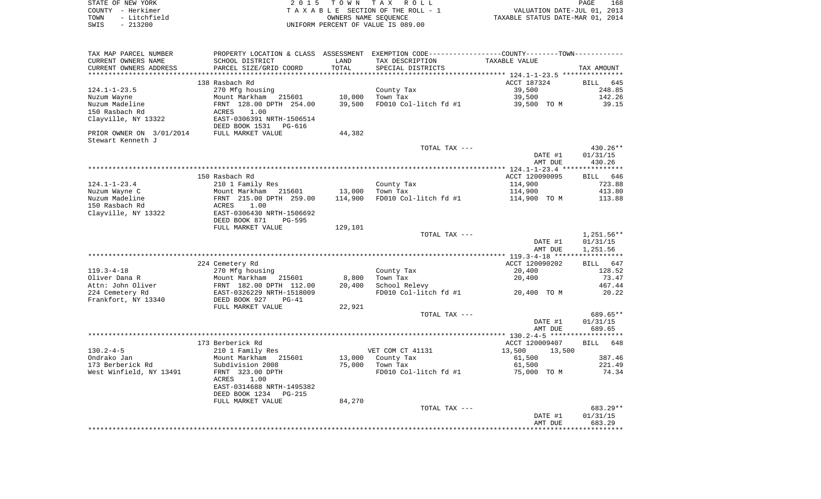| STATE OF NEW YORK    | 2015 TOWN TAX ROLL                 | 168<br>PAGE                      |
|----------------------|------------------------------------|----------------------------------|
| COUNTY - Herkimer    | TAXABLE SECTION OF THE ROLL - 1    | VALUATION DATE-JUL 01, 2013      |
| - Litchfield<br>TOWN | OWNERS NAME SEOUENCE               | TAXABLE STATUS DATE-MAR 01, 2014 |
| $-213200$<br>SWIS    | UNIFORM PERCENT OF VALUE IS 089.00 |                                  |

| TAX MAP PARCEL NUMBER<br>CURRENT OWNERS NAME   | PROPERTY LOCATION & CLASS ASSESSMENT<br>SCHOOL DISTRICT | LAND    | TAX DESCRIPTION       | EXEMPTION CODE-----------------COUNTY-------TOWN-----------<br>TAXABLE VALUE |                    |
|------------------------------------------------|---------------------------------------------------------|---------|-----------------------|------------------------------------------------------------------------------|--------------------|
| CURRENT OWNERS ADDRESS<br>******************** | PARCEL SIZE/GRID COORD                                  | TOTAL   | SPECIAL DISTRICTS     |                                                                              | TAX AMOUNT         |
|                                                | 138 Rasbach Rd                                          |         |                       | ACCT 187324                                                                  | BILL<br>645        |
| $124.1 - 1 - 23.5$                             | 270 Mfg housing                                         |         | County Tax            | 39,500                                                                       | 248.85             |
| Nuzum Wayne                                    | Mount Markham<br>215601                                 | 10,000  | Town Tax              | 39,500                                                                       | 142.26             |
| Nuzum Madeline                                 | FRNT 128.00 DPTH 254.00                                 | 39,500  | FD010 Col-litch fd #1 | 39,500 TO M                                                                  | 39.15              |
| 150 Rasbach Rd                                 | 1.00<br>ACRES                                           |         |                       |                                                                              |                    |
| Clayville, NY 13322                            | EAST-0306391 NRTH-1506514<br>DEED BOOK 1531<br>PG-616   |         |                       |                                                                              |                    |
| PRIOR OWNER ON 3/01/2014                       | FULL MARKET VALUE                                       | 44,382  |                       |                                                                              |                    |
| Stewart Kenneth J                              |                                                         |         |                       |                                                                              |                    |
|                                                |                                                         |         | TOTAL TAX ---         |                                                                              | 430.26**           |
|                                                |                                                         |         |                       | DATE #1<br>AMT DUE                                                           | 01/31/15<br>430.26 |
|                                                |                                                         |         |                       |                                                                              |                    |
|                                                | 150 Rasbach Rd                                          |         |                       | ACCT 120090095                                                               | <b>BILL</b><br>646 |
| $124.1 - 1 - 23.4$                             | 210 1 Family Res                                        |         | County Tax            | 114,900                                                                      | 723.88             |
| Nuzum Wayne C                                  | Mount Markham 215601                                    | 13,000  | Town Tax              | 114,900                                                                      | 413.80             |
| Nuzum Madeline                                 | FRNT 215.00 DPTH 259.00                                 | 114,900 | FD010 Col-litch fd #1 | 114,900 TO M                                                                 | 113.88             |
| 150 Rasbach Rd                                 | 1.00<br>ACRES                                           |         |                       |                                                                              |                    |
| Clayville, NY 13322                            | EAST-0306430 NRTH-1506692                               |         |                       |                                                                              |                    |
|                                                | DEED BOOK 871<br><b>PG-595</b>                          |         |                       |                                                                              |                    |
|                                                | FULL MARKET VALUE                                       | 129,101 |                       |                                                                              |                    |
|                                                |                                                         |         | TOTAL TAX ---         |                                                                              | $1,251.56**$       |
|                                                |                                                         |         |                       | DATE #1                                                                      | 01/31/15           |
|                                                |                                                         |         |                       | AMT DUE                                                                      | 1,251.56           |
|                                                | 224 Cemetery Rd                                         |         |                       | ACCT 120090202                                                               | BILL 647           |
| $119.3 - 4 - 18$                               | 270 Mfg housing                                         |         | County Tax            | 20,400                                                                       | 128.52             |
| Oliver Dana R                                  | Mount Markham<br>215601                                 | 8,800   | Town Tax              | 20,400                                                                       | 73.47              |
| Attn: John Oliver                              | FRNT 182.00 DPTH 112.00                                 | 20,400  | School Relevy         |                                                                              | 467.44             |
| 224 Cemetery Rd                                | EAST-0326229 NRTH-1518009                               |         | FD010 Col-litch fd #1 | 20,400 TO M                                                                  | 20.22              |
| Frankfort, NY 13340                            | DEED BOOK 927<br>$PG-41$                                |         |                       |                                                                              |                    |
|                                                | FULL MARKET VALUE                                       | 22,921  |                       |                                                                              |                    |
|                                                |                                                         |         | TOTAL TAX ---         |                                                                              | 689.65**           |
|                                                |                                                         |         |                       | DATE #1                                                                      | 01/31/15           |
|                                                |                                                         |         |                       | AMT DUE                                                                      | 689.65             |
|                                                |                                                         |         |                       |                                                                              |                    |
| $130.2 - 4 - 5$                                | 173 Berberick Rd<br>210 1 Family Res                    |         | VET COM CT 41131      | ACCT 120009407<br>13,500                                                     | BILL<br>648        |
| Ondrako Jan                                    | Mount Markham<br>215601                                 | 13,000  | County Tax            | 13,500<br>61,500                                                             | 387.46             |
| 173 Berberick Rd                               | Subdivision 2008                                        | 75,000  | Town Tax              | 61,500                                                                       | 221.49             |
| West Winfield, NY 13491                        | FRNT 323.00 DPTH                                        |         | FD010 Col-litch fd #1 | 75,000 TO M                                                                  | 74.34              |
|                                                | ACRES<br>1.00                                           |         |                       |                                                                              |                    |
|                                                | EAST-0314688 NRTH-1495382                               |         |                       |                                                                              |                    |
|                                                | DEED BOOK 1234<br>PG-215                                |         |                       |                                                                              |                    |
|                                                | FULL MARKET VALUE                                       | 84,270  |                       |                                                                              |                    |
|                                                |                                                         |         | TOTAL TAX ---         |                                                                              | 683.29**           |
|                                                |                                                         |         |                       | DATE #1                                                                      | 01/31/15           |
|                                                |                                                         |         |                       | AMT DUE                                                                      | 683.29             |
|                                                |                                                         |         |                       |                                                                              |                    |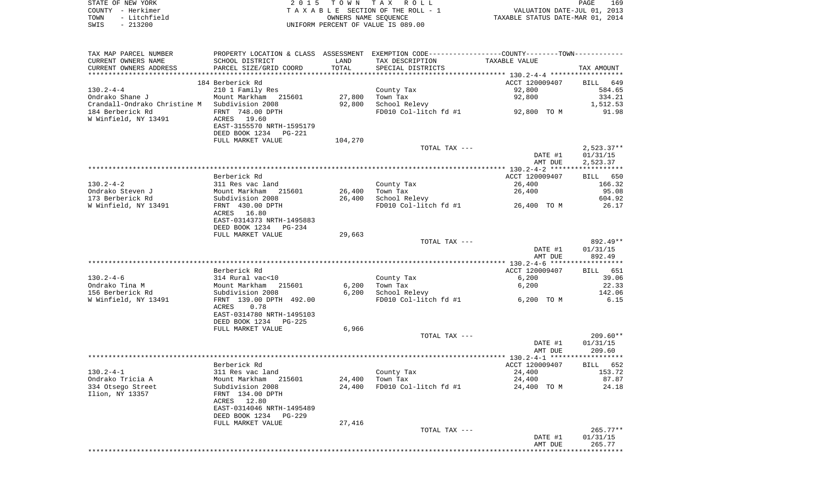|      | STATE OF NEW YORK | 2015 TOWN TAX ROLL                 | PAGE                             | 169 |
|------|-------------------|------------------------------------|----------------------------------|-----|
|      | COUNTY - Herkimer | TAXABLE SECTION OF THE ROLL - 1    | VALUATION DATE-JUL 01, 2013      |     |
| TOWN | - Litchfield      | OWNERS NAME SEOUENCE               | TAXABLE STATUS DATE-MAR 01, 2014 |     |
| SWIS | $-213200$         | UNIFORM PERCENT OF VALUE IS 089.00 |                                  |     |

| TAX MAP PARCEL NUMBER<br>CURRENT OWNERS NAME  | PROPERTY LOCATION & CLASS ASSESSMENT EXEMPTION CODE---------------COUNTY-------TOWN----------<br>SCHOOL DISTRICT | LAND    | TAX DESCRIPTION        | TAXABLE VALUE           |                      |
|-----------------------------------------------|------------------------------------------------------------------------------------------------------------------|---------|------------------------|-------------------------|----------------------|
| CURRENT OWNERS ADDRESS                        | PARCEL SIZE/GRID COORD                                                                                           | TOTAL   | SPECIAL DISTRICTS      |                         | TAX AMOUNT           |
|                                               |                                                                                                                  |         |                        |                         |                      |
|                                               | 184 Berberick Rd                                                                                                 |         |                        | ACCT 120009407          | BILL 649             |
| 130.2-4-4                                     | 210 1 Family Res                                                                                                 |         | County Tax             | 92,800                  | 584.65               |
| Ondrako Shane J                               | Mount Markham 215601                                                                                             | 27,800  | Town Tax               | 92,800                  | 334.21               |
| Crandall-Ondrako Christine M Subdivision 2008 |                                                                                                                  | 92,800  | School Relevy          |                         | 1,512.53             |
| 184 Berberick Rd                              | FRNT 748.00 DPTH                                                                                                 |         | FD010 Col-litch fd #1  | 92,800 TO M             | 91.98                |
| W Winfield, NY 13491                          | ACRES 19.60                                                                                                      |         |                        |                         |                      |
|                                               | EAST-3155570 NRTH-1595179                                                                                        |         |                        |                         |                      |
|                                               | DEED BOOK 1234 PG-221                                                                                            |         |                        |                         |                      |
|                                               | FULL MARKET VALUE                                                                                                | 104,270 |                        |                         |                      |
|                                               |                                                                                                                  |         | TOTAL TAX ---          |                         | $2,523.37**$         |
|                                               |                                                                                                                  |         |                        | DATE #1<br>AMT DUE      | 01/31/15<br>2,523.37 |
|                                               |                                                                                                                  |         |                        |                         |                      |
|                                               | Berberick Rd                                                                                                     |         |                        | ACCT 120009407          | BILL 650             |
| $130.2 - 4 - 2$                               | 311 Res vac land                                                                                                 |         | County Tax             | 26,400                  | 166.32               |
| Ondrako Steven J                              |                                                                                                                  | 26,400  | Town Tax               | 26,400                  | 95.08                |
| 173 Berberick Rd                              | 311 Res vac land<br>Mount Markham 215601<br>Subdivision 2008                                                     | 26,400  | School Relevy          |                         | 604.92               |
| W Winfield, NY 13491                          | FRNT 430.00 DPTH                                                                                                 |         | FD010 Col-litch fd #1  | 26,400 TO M             | 26.17                |
|                                               | ACRES 16.80                                                                                                      |         |                        |                         |                      |
|                                               | EAST-0314373 NRTH-1495883                                                                                        |         |                        |                         |                      |
|                                               | DEED BOOK 1234 PG-234                                                                                            |         |                        |                         |                      |
|                                               | FULL MARKET VALUE                                                                                                | 29,663  |                        |                         |                      |
|                                               |                                                                                                                  |         | TOTAL TAX ---          |                         | 892.49**             |
|                                               |                                                                                                                  |         |                        | DATE #1                 | 01/31/15             |
|                                               |                                                                                                                  |         |                        | AMT DUE                 | 892.49               |
|                                               |                                                                                                                  |         |                        |                         |                      |
| 130.2-4-6                                     | Berberick Rd                                                                                                     |         | County Tax             | ACCT 120009407<br>6,200 | BILL 651<br>39.06    |
| Ondrako Tina M                                | 314 Rural vac<10                                                                                                 | 6,200   | Town Tax               | 6,200                   | 22.33                |
| 156 Berberick Rd                              | 314 Rural vac<10<br>Mount Markham 215601<br>Subdivision 2008                                                     | 6,200   | School Relevy          |                         | 142.06               |
| W Winfield, NY 13491                          | FRNT 139.00 DPTH 492.00                                                                                          |         | FD010 Col-litch fd #1  | 6,200 TO M              | 6.15                 |
|                                               | 0.78<br>ACRES                                                                                                    |         |                        |                         |                      |
|                                               | EAST-0314780 NRTH-1495103                                                                                        |         |                        |                         |                      |
|                                               | DEED BOOK 1234 PG-225                                                                                            |         |                        |                         |                      |
|                                               | FULL MARKET VALUE                                                                                                | 6,966   |                        |                         |                      |
|                                               |                                                                                                                  |         | TOTAL TAX ---          |                         | $209.60**$           |
|                                               |                                                                                                                  |         |                        | DATE #1                 | 01/31/15             |
|                                               |                                                                                                                  |         |                        | AMT DUE                 | 209.60               |
|                                               |                                                                                                                  |         |                        |                         |                      |
|                                               | Berberick Rd                                                                                                     |         |                        | ACCT 120009407          | BILL 652             |
| 130.2-4-1                                     | 311 Res vac land                                                                                                 |         | County Tax<br>Town Tax | 24,400                  | 153.72               |
| Ondrako Tricia A                              | Mount Markham 215601<br>Subdivision 2008                                                                         | 24,400  |                        | 24,400                  | 87.87                |
| 334 Otsego Street                             |                                                                                                                  | 24,400  | FD010 Col-litch fd #1  | 24,400 TO M             | 24.18                |
| Ilion, NY 13357                               | FRNT 134.00 DPTH                                                                                                 |         |                        |                         |                      |
|                                               | ACRES 12.80                                                                                                      |         |                        |                         |                      |
|                                               | EAST-0314046 NRTH-1495489<br>DEED BOOK 1234 PG-229                                                               |         |                        |                         |                      |
|                                               | FULL MARKET VALUE                                                                                                | 27,416  |                        |                         |                      |
|                                               |                                                                                                                  |         | TOTAL TAX $---$        |                         | $265.77**$           |
|                                               |                                                                                                                  |         |                        | DATE #1                 | 01/31/15             |
|                                               |                                                                                                                  |         |                        | AMT DUE                 | 265.77               |
|                                               |                                                                                                                  |         |                        |                         |                      |
|                                               |                                                                                                                  |         |                        |                         |                      |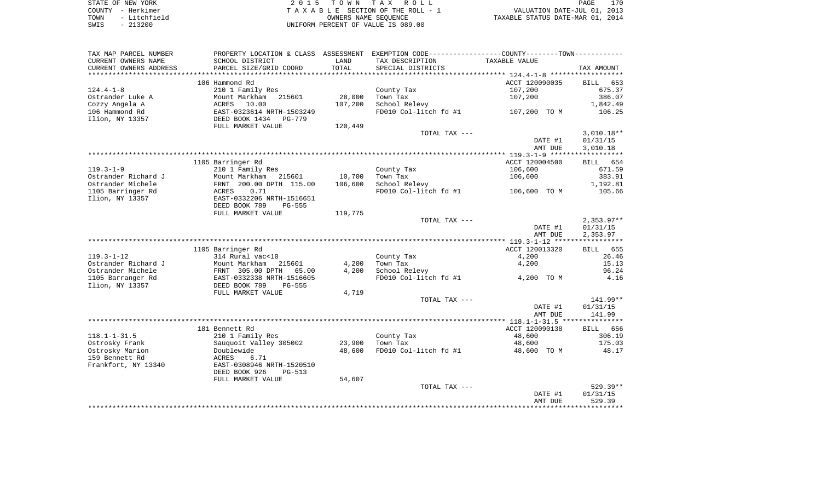| STATE OF NEW YORK                          | 2015 TOWN TAX ROLL                 | 170<br>PAGE                      |
|--------------------------------------------|------------------------------------|----------------------------------|
| – Herkimer<br>COUNTY                       | TAXABLE SECTION OF THE ROLL - 1    | VALUATION DATE-JUL 01, 2013      |
| - Litchfield<br>TOWN                       | OWNERS NAME SEOUENCE               | TAXABLE STATUS DATE-MAR 01, 2014 |
| 213200<br>SWIS<br>$\overline{\phantom{0}}$ | UNIFORM PERCENT OF VALUE IS 089.00 |                                  |

|                                                                      | 529.39<br>AMT DUE                                           |
|----------------------------------------------------------------------|-------------------------------------------------------------|
|                                                                      |                                                             |
|                                                                      | DATE #1<br>01/31/15                                         |
|                                                                      | 529.39**<br>TOTAL TAX ---                                   |
| FULL MARKET VALUE<br>54,607                                          |                                                             |
| DEED BOOK 926<br><b>PG-513</b>                                       |                                                             |
| Frankfort, NY 13340<br>EAST-0308946 NRTH-1520510                     |                                                             |
| 159 Bennett Rd<br>ACRES<br>6.71                                      |                                                             |
| Ostrosky Marion<br>Doublewide<br>48,600                              | FD010 Col-litch fd #1<br>48,600 TO M<br>48.17               |
| Ostrosky Frank<br>Sauquoit Valley 305002<br>23,900<br>Town Tax       | 48,600<br>175.03                                            |
| $118.1 - 1 - 31.5$<br>210 1 Family Res<br>County Tax                 | 48,600<br>306.19                                            |
| 181 Bennett Rd                                                       | ACCT 120090138<br>BILL 656                                  |
|                                                                      |                                                             |
|                                                                      | AMT DUE<br>141.99                                           |
|                                                                      | DATE #1<br>01/31/15                                         |
|                                                                      | 141.99**<br>TOTAL TAX ---                                   |
| FULL MARKET VALUE<br>4,719                                           |                                                             |
| Ilion, NY 13357<br>DEED BOOK 789<br>$PG-555$                         |                                                             |
|                                                                      | 4,200 TO M                                                  |
| 1105 Barranger Rd<br>EAST-0332338 NRTH-1516605                       | FD010 Col-litch fd #1<br>4.16                               |
| Ostrander Michele<br>FRNT 305.00 DPTH<br>65.00<br>4,200              | School Relevy<br>96.24                                      |
| Ostrander Richard J<br>Town Tax<br>Mount Markham<br>215601<br>4,200  | 4,200<br>15.13                                              |
| $119.3 - 1 - 12$<br>314 Rural vac<10<br>County Tax                   | 4,200<br>26.46                                              |
| 1105 Barringer Rd                                                    | ACCT 120013320<br>655<br><b>BILL</b>                        |
|                                                                      |                                                             |
|                                                                      | AMT DUE<br>2,353.97                                         |
|                                                                      | DATE #1<br>01/31/15                                         |
|                                                                      | $2,353.97**$<br>TOTAL TAX ---                               |
| 119,775<br>FULL MARKET VALUE                                         |                                                             |
| DEED BOOK 789<br>$PG-555$                                            |                                                             |
| Ilion, NY 13357<br>EAST-0332206 NRTH-1516651                         |                                                             |
| 1105 Barringer Rd<br>ACRES<br>0.71                                   | FD010 Col-litch fd #1<br>105.66<br>106,600 TO M             |
| Ostrander Michele<br>FRNT 200.00 DPTH 115.00<br>106,600              | School Relevy<br>1,192.81                                   |
| Ostrander Richard J<br>Mount Markham<br>10,700<br>215601<br>Town Tax | 383.91<br>106,600                                           |
|                                                                      |                                                             |
| $119.3 - 1 - 9$<br>210 1 Family Res<br>County Tax                    | 106,600<br>671.59                                           |
| 1105 Barringer Rd                                                    | ACCT 120004500<br>654<br>BILL                               |
|                                                                      |                                                             |
|                                                                      | 3,010.18<br>AMT DUE                                         |
|                                                                      | DATE #1<br>01/31/15                                         |
|                                                                      | $3,010.18**$<br>TOTAL TAX ---                               |
| FULL MARKET VALUE<br>120,449                                         |                                                             |
| Ilion, NY 13357<br>DEED BOOK 1434<br>PG-779                          |                                                             |
| 106 Hammond Rd<br>EAST-0323614 NRTH-1503249                          | FD010 Col-litch fd #1<br>106.25<br>107,200 TO M             |
| Cozzy Angela A<br>ACRES<br>10.00<br>107,200                          | School Relevy<br>1,842.49                                   |
| 28,000<br>Ostrander Luke A<br>Mount Markham<br>215601<br>Town Tax    | 107,200<br>386.07                                           |
| $124.4 - 1 - 8$<br>210 1 Family Res<br>County Tax                    | 107,200<br>675.37                                           |
| 106 Hammond Rd                                                       | ACCT 120090035<br><b>BILL</b><br>653                        |
| **************************<br>*******************<br>*************** |                                                             |
| CURRENT OWNERS ADDRESS<br>PARCEL SIZE/GRID COORD<br>TOTAL            | SPECIAL DISTRICTS<br>TAX AMOUNT                             |
| CURRENT OWNERS NAME<br>SCHOOL DISTRICT<br>LAND                       | TAX DESCRIPTION<br>TAXABLE VALUE                            |
| PROPERTY LOCATION & CLASS<br>ASSESSMENT<br>TAX MAP PARCEL NUMBER     | EXEMPTION CODE-----------------COUNTY-------TOWN----------- |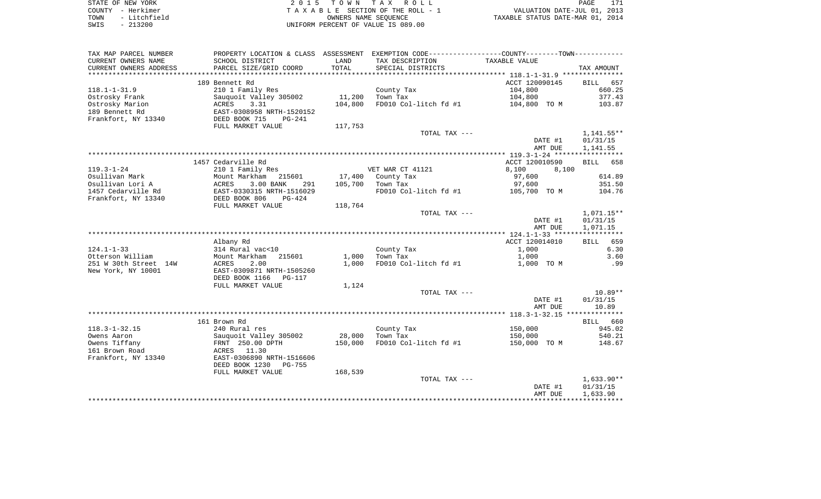|      | STATE OF NEW YORK | 2015 TOWN TAX ROLL                 | 171<br>PAGE                      |
|------|-------------------|------------------------------------|----------------------------------|
|      | COUNTY - Herkimer | TAXABLE SECTION OF THE ROLL - 1    | VALUATION DATE-JUL 01, 2013      |
| TOWN | - Litchfield      | OWNERS NAME SEOUENCE               | TAXABLE STATUS DATE-MAR 01, 2014 |
| SWIS | $-213200$         | UNIFORM PERCENT OF VALUE IS 089.00 |                                  |

| TAX MAP PARCEL NUMBER  | PROPERTY LOCATION & CLASS ASSESSMENT  |              | EXEMPTION CODE-----------------COUNTY-------TOWN----------- |                |              |
|------------------------|---------------------------------------|--------------|-------------------------------------------------------------|----------------|--------------|
| CURRENT OWNERS NAME    | SCHOOL DISTRICT                       | LAND         | TAX DESCRIPTION                                             | TAXABLE VALUE  |              |
| CURRENT OWNERS ADDRESS | PARCEL SIZE/GRID COORD                | <b>TOTAL</b> | SPECIAL DISTRICTS                                           |                | TAX AMOUNT   |
|                        |                                       |              |                                                             |                |              |
|                        | 189 Bennett Rd                        |              |                                                             | ACCT 120090145 | BILL<br>657  |
| $118.1 - 1 - 31.9$     | 210 1 Family Res                      |              | County Tax                                                  | 104,800        | 660.25       |
| Ostrosky Frank         | Sauquoit Valley 305002                | 11,200       | Town Tax                                                    | 104,800        | 377.43       |
| Ostrosky Marion        | 3.31<br>ACRES                         | 104,800      | FD010 Col-litch fd #1                                       | 104,800 TO M   | 103.87       |
| 189 Bennett Rd         | EAST-0308958 NRTH-1520152             |              |                                                             |                |              |
| Frankfort, NY 13340    | DEED BOOK 715<br>$PG-241$             |              |                                                             |                |              |
|                        | FULL MARKET VALUE                     | 117,753      |                                                             |                |              |
|                        |                                       |              | TOTAL TAX ---                                               |                | $1,141.55**$ |
|                        |                                       |              |                                                             | DATE #1        | 01/31/15     |
|                        |                                       |              |                                                             | AMT DUE        | 1,141.55     |
|                        |                                       |              |                                                             |                |              |
|                        | 1457 Cedarville Rd                    |              |                                                             | ACCT 120010590 | BILL 658     |
| $119.3 - 1 - 24$       | 210 1 Family Res                      |              | VET WAR CT 41121                                            | 8,100<br>8,100 |              |
| Osullivan Mark         | Mount Markham<br>215601               | 17,400       | County Tax                                                  | 97,600         | 614.89       |
| Osullivan Lori A       | <b>ACRES</b><br>3.00 BANK<br>291      | 105,700      | Town Tax                                                    | 97,600         | 351.50       |
| 1457 Cedarville Rd     | EAST-0330315 NRTH-1516029<br>$PG-424$ |              | FD010 Col-litch fd #1                                       | 105,700 TO M   | 104.76       |
| Frankfort, NY 13340    | DEED BOOK 806<br>FULL MARKET VALUE    | 118,764      |                                                             |                |              |
|                        |                                       |              | TOTAL TAX ---                                               |                | $1,071.15**$ |
|                        |                                       |              |                                                             | DATE #1        | 01/31/15     |
|                        |                                       |              |                                                             | AMT DUE        | 1,071.15     |
|                        |                                       |              |                                                             |                |              |
|                        | Albany Rd                             |              |                                                             | ACCT 120014010 | 659<br>BILL  |
| $124.1 - 1 - 33$       | 314 Rural vac<10                      |              | County Tax                                                  | 1,000          | 6.30         |
| Otterson William       | Mount Markham<br>215601               | 1,000        | Town Tax                                                    | 1,000          | 3.60         |
| 251 W 30th Street 14W  | 2.00<br>ACRES                         | 1,000        | FD010 Col-litch fd #1                                       | 1,000 TO M     | .99          |
| New York, NY 10001     | EAST-0309871 NRTH-1505260             |              |                                                             |                |              |
|                        | DEED BOOK 1166<br>PG-117              |              |                                                             |                |              |
|                        | FULL MARKET VALUE                     | 1,124        |                                                             |                |              |
|                        |                                       |              | TOTAL TAX ---                                               |                | $10.89**$    |
|                        |                                       |              |                                                             | DATE #1        | 01/31/15     |
|                        |                                       |              |                                                             | AMT DUE        | 10.89        |
|                        |                                       |              |                                                             |                |              |
|                        | 161 Brown Rd                          |              |                                                             |                | BILL 660     |
| $118.3 - 1 - 32.15$    | 240 Rural res                         |              | County Tax                                                  | 150,000        | 945.02       |
| Owens Aaron            | Sauquoit Valley 305002                | 28,000       | Town Tax                                                    | 150,000        | 540.21       |
| Owens Tiffany          | FRNT 250.00 DPTH                      | 150,000      | FD010 Col-litch fd #1                                       | 150,000 TO M   | 148.67       |
| 161 Brown Road         | ACRES 11.30                           |              |                                                             |                |              |
| Frankfort, NY 13340    | EAST-0306890 NRTH-1516606             |              |                                                             |                |              |
|                        | DEED BOOK 1230<br>PG-755              |              |                                                             |                |              |
|                        | FULL MARKET VALUE                     | 168,539      |                                                             |                |              |
|                        |                                       |              | TOTAL TAX ---                                               |                | $1,633.90**$ |
|                        |                                       |              |                                                             | DATE #1        | 01/31/15     |
|                        |                                       |              |                                                             | AMT DUE        | 1,633.90     |
|                        |                                       |              |                                                             |                |              |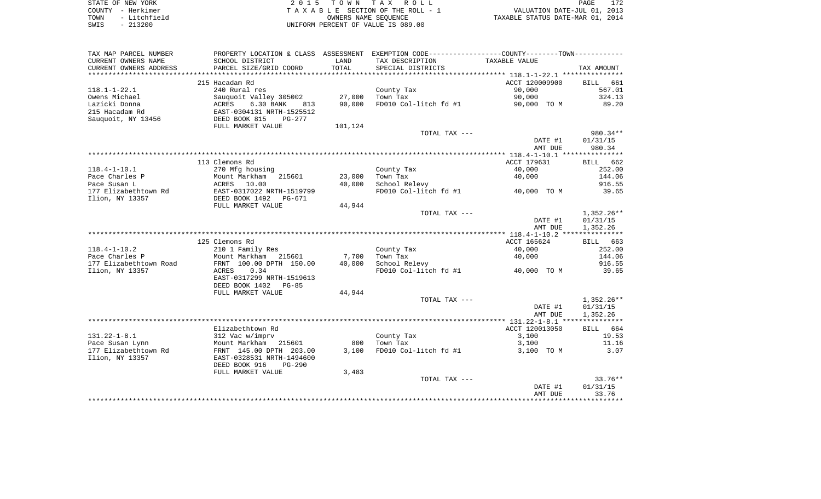| STATE OF NEW YORK    | 2015 TOWN TAX ROLL                 | 172<br>PAGE                      |
|----------------------|------------------------------------|----------------------------------|
| COUNTY - Herkimer    | TAXABLE SECTION OF THE ROLL - 1    | VALUATION DATE-JUL 01, 2013      |
| - Litchfield<br>TOWN | OWNERS NAME SEOUENCE               | TAXABLE STATUS DATE-MAR 01, 2014 |
| $-213200$<br>SWIS    | UNIFORM PERCENT OF VALUE IS 089.00 |                                  |

| TAX MAP PARCEL NUMBER                             | PROPERTY LOCATION & CLASS ASSESSMENT               |              | EXEMPTION CODE-----------------COUNTY-------TOWN----------- |                     |                    |
|---------------------------------------------------|----------------------------------------------------|--------------|-------------------------------------------------------------|---------------------|--------------------|
| CURRENT OWNERS NAME                               | SCHOOL DISTRICT                                    | LAND         | TAX DESCRIPTION                                             | TAXABLE VALUE       |                    |
| CURRENT OWNERS ADDRESS<br>*********************** | PARCEL SIZE/GRID COORD                             | TOTAL        | SPECIAL DISTRICTS                                           |                     | TAX AMOUNT         |
|                                                   | 215 Hacadam Rd                                     |              |                                                             | ACCT 120009900      | <b>BILL</b><br>661 |
| $118.1 - 1 - 22.1$                                | 240 Rural res                                      |              | County Tax                                                  | 90,000              | 567.01             |
| Owens Michael                                     | Sauquoit Valley 305002                             | 27,000       | Town Tax                                                    | 90,000              | 324.13             |
| Lazicki Donna                                     | ACRES<br>6.30 BANK<br>813                          | 90,000       | FD010 Col-litch fd #1                                       | 90,000 TO M         | 89.20              |
| 215 Hacadam Rd                                    | EAST-0304131 NRTH-1525512                          |              |                                                             |                     |                    |
| Sauquoit, NY 13456                                | DEED BOOK 815<br>$PG-277$                          |              |                                                             |                     |                    |
|                                                   | FULL MARKET VALUE                                  | 101,124      |                                                             |                     |                    |
|                                                   |                                                    |              | TOTAL TAX ---                                               |                     | 980.34**           |
|                                                   |                                                    |              |                                                             | DATE #1             | 01/31/15           |
|                                                   |                                                    |              |                                                             | AMT DUE             | 980.34             |
|                                                   | 113 Clemons Rd                                     |              |                                                             | ACCT 179631         | BILL 662           |
| $118.4 - 1 - 10.1$                                | 270 Mfg housing                                    |              | County Tax                                                  | 40,000              | 252.00             |
| Pace Charles P                                    | Mount Markham<br>215601                            | 23,000       | Town Tax                                                    | 40,000              | 144.06             |
| Pace Susan L                                      | ACRES<br>10.00                                     | 40,000       | School Relevy                                               |                     | 916.55             |
| 177 Elizabethtown Rd                              | EAST-0317022 NRTH-1519799                          |              | FD010 Col-litch fd #1                                       | 40,000 TO M         | 39.65              |
| Ilion, NY 13357                                   | DEED BOOK 1492<br>PG-671                           |              |                                                             |                     |                    |
|                                                   | FULL MARKET VALUE                                  | 44,944       |                                                             |                     |                    |
|                                                   |                                                    |              | TOTAL TAX ---                                               |                     | $1,352.26**$       |
|                                                   |                                                    |              |                                                             | DATE #1             | 01/31/15           |
|                                                   |                                                    |              |                                                             | AMT DUE             | 1,352.26           |
|                                                   |                                                    |              |                                                             |                     |                    |
|                                                   | 125 Clemons Rd                                     |              |                                                             | ACCT 165624         | BILL 663           |
| $118.4 - 1 - 10.2$<br>Pace Charles P              | 210 1 Family Res<br>Mount Markham<br>215601        | 7,700        | County Tax<br>Town Tax                                      | 40,000<br>40,000    | 252.00<br>144.06   |
| 177 Elizabethtown Road                            | FRNT 100.00 DPTH 150.00                            | 40,000       | School Relevy                                               |                     | 916.55             |
| Ilion, NY 13357                                   | 0.34<br>ACRES                                      |              | FD010 Col-litch fd #1                                       | 40,000 TO M         | 39.65              |
|                                                   | EAST-0317299 NRTH-1519613                          |              |                                                             |                     |                    |
|                                                   | DEED BOOK 1402<br>$PG-85$                          |              |                                                             |                     |                    |
|                                                   | FULL MARKET VALUE                                  | 44,944       |                                                             |                     |                    |
|                                                   |                                                    |              | TOTAL TAX ---                                               |                     | $1,352.26**$       |
|                                                   |                                                    |              |                                                             | DATE #1             | 01/31/15           |
|                                                   |                                                    |              |                                                             | AMT DUE             | 1,352.26           |
|                                                   |                                                    |              |                                                             |                     |                    |
|                                                   | Elizabethtown Rd                                   |              |                                                             | ACCT 120013050      | BILL 664           |
| $131.22 - 1 - 8.1$                                | 312 Vac w/imprv                                    |              | County Tax                                                  | 3,100               | 19.53              |
| Pace Susan Lynn<br>177 Elizabethtown Rd           | Mount Markham<br>215601<br>FRNT 145.00 DPTH 203.00 | 800<br>3,100 | Town Tax<br>FD010 Col-litch fd #1                           | 3,100<br>3,100 TO M | 11.16<br>3.07      |
| Ilion, NY 13357                                   | EAST-0328531 NRTH-1494600                          |              |                                                             |                     |                    |
|                                                   | DEED BOOK 916<br><b>PG-290</b>                     |              |                                                             |                     |                    |
|                                                   | FULL MARKET VALUE                                  | 3,483        |                                                             |                     |                    |
|                                                   |                                                    |              | TOTAL TAX ---                                               |                     | $33.76**$          |
|                                                   |                                                    |              |                                                             | DATE #1             | 01/31/15           |
|                                                   |                                                    |              |                                                             | AMT DUE             | 33.76              |
|                                                   |                                                    |              |                                                             |                     |                    |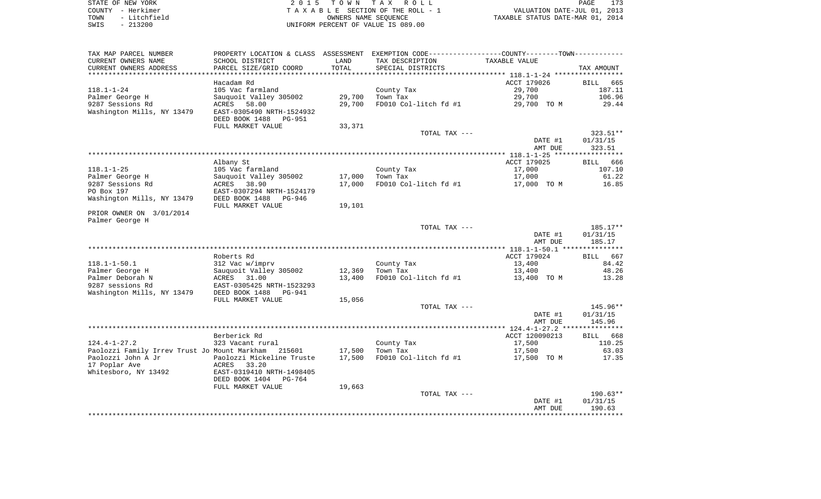| STATE OF NEW YORK    | 2015 TOWN TAX ROLL                 | 173<br>PAGE                      |
|----------------------|------------------------------------|----------------------------------|
| COUNTY - Herkimer    | TAXABLE SECTION OF THE ROLL - 1    | VALUATION DATE-JUL 01, 2013      |
| - Litchfield<br>TOWN | OWNERS NAME SEOUENCE               | TAXABLE STATUS DATE-MAR 01, 2014 |
| $-213200$<br>SWIS    | UNIFORM PERCENT OF VALUE IS 089.00 |                                  |

| PROPERTY LOCATION & CLASS ASSESSMENT EXEMPTION CODE----------------COUNTY--------TOWN-----------<br>TAX MAP PARCEL NUMBER<br>CURRENT OWNERS NAME<br>SCHOOL DISTRICT<br>LAND<br>TAX DESCRIPTION | TAXABLE VALUE  |                    |
|------------------------------------------------------------------------------------------------------------------------------------------------------------------------------------------------|----------------|--------------------|
| CURRENT OWNERS ADDRESS<br>PARCEL SIZE/GRID COORD<br>TOTAL<br>SPECIAL DISTRICTS                                                                                                                 |                | TAX AMOUNT         |
| ********                                                                                                                                                                                       |                |                    |
| Hacadam Rd                                                                                                                                                                                     | ACCT 179026    | <b>BILL</b><br>665 |
| $118.1 - 1 - 24$<br>105 Vac farmland<br>County Tax                                                                                                                                             | 29,700         | 187.11             |
| 29,700<br>Palmer George H<br>Sauquoit Valley 305002<br>Town Tax                                                                                                                                | 29,700         | 106.96             |
| 9287 Sessions Rd<br>ACRES<br>29,700<br>FD010 Col-litch fd #1<br>58.00                                                                                                                          | 29,700 TO M    | 29.44              |
| Washington Mills, NY 13479<br>EAST-0305490 NRTH-1524932                                                                                                                                        |                |                    |
| DEED BOOK 1488<br>PG-951                                                                                                                                                                       |                |                    |
| FULL MARKET VALUE<br>33,371                                                                                                                                                                    |                |                    |
| TOTAL TAX ---                                                                                                                                                                                  |                | 323.51**           |
|                                                                                                                                                                                                | DATE #1        | 01/31/15           |
|                                                                                                                                                                                                | AMT DUE        | 323.51             |
|                                                                                                                                                                                                |                |                    |
| Albany St                                                                                                                                                                                      | ACCT 179025    | BILL<br>666        |
| $118.1 - 1 - 25$<br>105 Vac farmland<br>County Tax                                                                                                                                             | 17,000         | 107.10             |
| Palmer George H<br>Sauquoit Valley 305002<br>17,000<br>Town Tax                                                                                                                                | 17,000         | 61.22              |
| 9287 Sessions Rd<br>ACRES 38.90<br>17,000<br>FD010 Col-litch fd #1                                                                                                                             | 17,000 TO M    | 16.85              |
| PO Box 197<br>EAST-0307294 NRTH-1524179                                                                                                                                                        |                |                    |
| Washington Mills, NY 13479<br>DEED BOOK 1488<br>PG-946                                                                                                                                         |                |                    |
| FULL MARKET VALUE<br>19,101<br>PRIOR OWNER ON 3/01/2014                                                                                                                                        |                |                    |
| Palmer George H                                                                                                                                                                                |                |                    |
| TOTAL TAX ---                                                                                                                                                                                  |                | $185.17**$         |
|                                                                                                                                                                                                | DATE #1        | 01/31/15           |
|                                                                                                                                                                                                | AMT DUE        | 185.17             |
|                                                                                                                                                                                                |                |                    |
| Roberts Rd                                                                                                                                                                                     | ACCT 179024    | BILL 667           |
| $118.1 - 1 - 50.1$<br>312 Vac w/imprv<br>County Tax                                                                                                                                            | 13,400         | 84.42              |
| Palmer George H<br>Sauquoit Valley 305002<br>12,369<br>Town Tax                                                                                                                                | 13,400         | 48.26              |
| Palmer Deborah N<br>13,400<br>FD010 Col-litch fd #1<br>ACRES 31.00                                                                                                                             | 13,400 TO M    | 13.28              |
| 9287 sessions Rd<br>EAST-0305425 NRTH-1523293                                                                                                                                                  |                |                    |
| Washington Mills, NY 13479<br>DEED BOOK 1488<br>PG-941                                                                                                                                         |                |                    |
| FULL MARKET VALUE<br>15,056                                                                                                                                                                    |                |                    |
| TOTAL TAX ---                                                                                                                                                                                  |                | 145.96**           |
|                                                                                                                                                                                                | DATE #1        | 01/31/15           |
|                                                                                                                                                                                                | AMT DUE        | 145.96             |
|                                                                                                                                                                                                |                |                    |
| Berberick Rd                                                                                                                                                                                   | ACCT 120090213 | BILL 668           |
| $124.4 - 1 - 27.2$<br>323 Vacant rural<br>County Tax                                                                                                                                           | 17,500         | 110.25             |
| Paolozzi Family Irrev Trust Jo Mount Markham<br>17,500<br>Town Tax<br>215601<br>Paolozzi John A Jr<br>Paolozzi Mickeline Truste<br>17,500<br>FD010 Col-litch fd #1                             | 17,500         | 63.03<br>17.35     |
| 17 Poplar Ave<br>ACRES<br>33.20                                                                                                                                                                | 17,500 TO M    |                    |
| Whitesboro, NY 13492<br>EAST-0319410 NRTH-1498405                                                                                                                                              |                |                    |
| DEED BOOK 1404<br>PG-764                                                                                                                                                                       |                |                    |
| 19,663<br>FULL MARKET VALUE                                                                                                                                                                    |                |                    |
| TOTAL TAX ---                                                                                                                                                                                  |                | $190.63**$         |
|                                                                                                                                                                                                | DATE #1        | 01/31/15           |
|                                                                                                                                                                                                | AMT DUE        | 190.63             |
|                                                                                                                                                                                                |                |                    |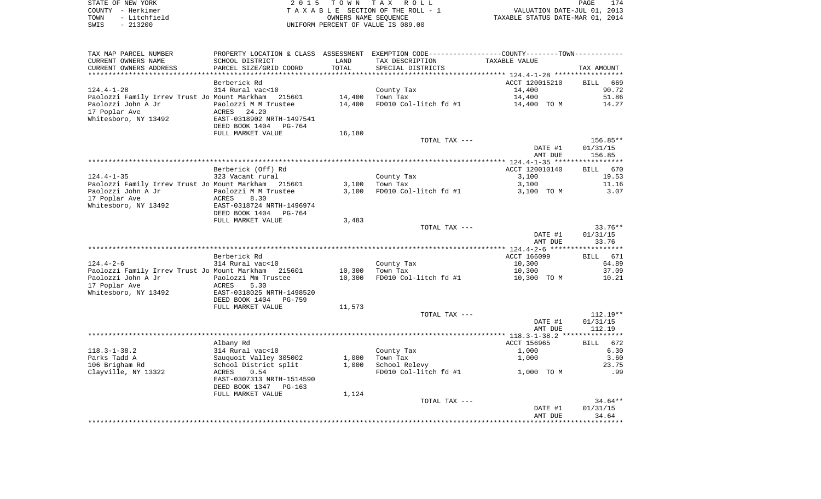|      | STATE OF NEW YORK | 2015 TOWN TAX ROLL                 | 174<br>PAGE                      |
|------|-------------------|------------------------------------|----------------------------------|
|      | COUNTY - Herkimer | TAXABLE SECTION OF THE ROLL - 1    | VALUATION DATE-JUL 01, 2013      |
| TOWN | - Litchfield      | OWNERS NAME SEOUENCE               | TAXABLE STATUS DATE-MAR 01, 2014 |
| SWIS | $-213200$         | UNIFORM PERCENT OF VALUE IS 089.00 |                                  |

| TAX MAP PARCEL NUMBER                               | PROPERTY LOCATION & CLASS ASSESSMENT EXEMPTION CODE---------------COUNTY--------TOWN---------- |        |                        |                         |                   |
|-----------------------------------------------------|------------------------------------------------------------------------------------------------|--------|------------------------|-------------------------|-------------------|
| CURRENT OWNERS NAME                                 | SCHOOL DISTRICT                                                                                | LAND   | TAX DESCRIPTION        | TAXABLE VALUE           |                   |
| CURRENT OWNERS ADDRESS                              | PARCEL SIZE/GRID COORD                                                                         | TOTAL  | SPECIAL DISTRICTS      |                         | TAX AMOUNT        |
|                                                     |                                                                                                |        |                        |                         |                   |
|                                                     | Berberick Rd                                                                                   |        |                        | ACCT 120015210          | 669<br>BILL       |
| $124.4 - 1 - 28$                                    | 314 Rural vac<10                                                                               |        | County Tax             | 14,400                  | 90.72             |
| Paolozzi Family Irrev Trust Jo Mount Markham 215601 |                                                                                                | 14,400 | Town Tax               | 14,400                  | 51.86             |
| Paolozzi John A Jr                                  | Paolozzi M M Trustee                                                                           | 14,400 | FD010 Col-litch fd #1  | 14,400 TO M             | 14.27             |
| 17 Poplar Ave                                       | ACRES 24.20                                                                                    |        |                        |                         |                   |
| Whitesboro, NY 13492                                | EAST-0318902 NRTH-1497541                                                                      |        |                        |                         |                   |
|                                                     | DEED BOOK 1404 PG-764                                                                          |        |                        |                         |                   |
|                                                     | FULL MARKET VALUE                                                                              | 16,180 |                        |                         |                   |
|                                                     |                                                                                                |        | TOTAL TAX ---          |                         | $156.85**$        |
|                                                     |                                                                                                |        |                        | DATE #1                 | 01/31/15          |
|                                                     |                                                                                                |        |                        | AMT DUE                 | 156.85            |
|                                                     |                                                                                                |        |                        |                         |                   |
| $124.4 - 1 - 35$                                    | Berberick (Off) Rd<br>323 Vacant rural                                                         |        |                        | ACCT 120010140<br>3,100 | BILL 670<br>19.53 |
| Paolozzi Family Irrev Trust Jo Mount Markham 215601 |                                                                                                | 3,100  | County Tax<br>Town Tax | 3,100                   | 11.16             |
| Paolozzi John A Jr                                  | Paolozzi M M Trustee                                                                           | 3,100  | FD010 Col-litch fd #1  | 3,100 TO M              | 3.07              |
| 17 Poplar Ave                                       | ACRES<br>8.30                                                                                  |        |                        |                         |                   |
| Whitesboro, NY 13492                                | EAST-0318724 NRTH-1496974                                                                      |        |                        |                         |                   |
|                                                     | DEED BOOK 1404<br>PG-764                                                                       |        |                        |                         |                   |
|                                                     | FULL MARKET VALUE                                                                              | 3,483  |                        |                         |                   |
|                                                     |                                                                                                |        | TOTAL TAX ---          |                         | $33.76***$        |
|                                                     |                                                                                                |        |                        | DATE #1                 | 01/31/15          |
|                                                     |                                                                                                |        |                        | AMT DUE                 | 33.76             |
|                                                     |                                                                                                |        |                        |                         |                   |
|                                                     | Berberick Rd                                                                                   |        |                        | ACCT 166099             | BILL 671          |
| 124.4-2-6                                           | 314 Rural vac<10                                                                               |        | County Tax             | 10,300                  | 64.89             |
| Paolozzi Family Irrev Trust Jo Mount Markham 215601 |                                                                                                | 10,300 | Town Tax               | 10,300                  | 37.09             |
| Paolozzi John A Jr                                  | Paolozzi Mm Trustee                                                                            | 10,300 | FD010 Col-litch fd #1  | 10,300 TO M             | 10.21             |
| 17 Poplar Ave                                       | ACRES<br>5.30                                                                                  |        |                        |                         |                   |
| Whitesboro, NY 13492                                | EAST-0318025 NRTH-1498520                                                                      |        |                        |                         |                   |
|                                                     | DEED BOOK 1404<br>PG-759                                                                       |        |                        |                         |                   |
|                                                     | FULL MARKET VALUE                                                                              | 11,573 |                        |                         |                   |
|                                                     |                                                                                                |        | TOTAL TAX ---          |                         | $112.19**$        |
|                                                     |                                                                                                |        |                        | DATE #1                 | 01/31/15          |
|                                                     |                                                                                                |        |                        | AMT DUE                 | 112.19            |
|                                                     |                                                                                                |        |                        |                         |                   |
|                                                     | Albany Rd                                                                                      |        |                        | ACCT 156965             | BILL 672          |
| $118.3 - 1 - 38.2$                                  | 314 Rural vac<10<br>Sit Kurai vackio<br>Sauquoit Valley 305002                                 |        | County Tax             | 1,000                   | 6.30              |
| Parks Tadd A                                        |                                                                                                | 1,000  | Town Tax               | 1,000                   | 3.60              |
| 106 Brigham Rd                                      | School District split<br>0.54                                                                  | 1,000  | School Relevy          |                         | 23.75             |
| Clayville, NY 13322                                 | ACRES<br>EAST-0307313 NRTH-1514590                                                             |        | FD010 Col-litch fd #1  | 1,000 TO M              | .99               |
|                                                     | DEED BOOK 1347 PG-163                                                                          |        |                        |                         |                   |
|                                                     | FULL MARKET VALUE                                                                              | 1,124  |                        |                         |                   |
|                                                     |                                                                                                |        | TOTAL TAX ---          |                         | $34.64**$         |
|                                                     |                                                                                                |        |                        | DATE #1                 | 01/31/15          |
|                                                     |                                                                                                |        |                        | AMT DUE                 | 34.64             |
|                                                     |                                                                                                |        |                        |                         |                   |
|                                                     |                                                                                                |        |                        |                         |                   |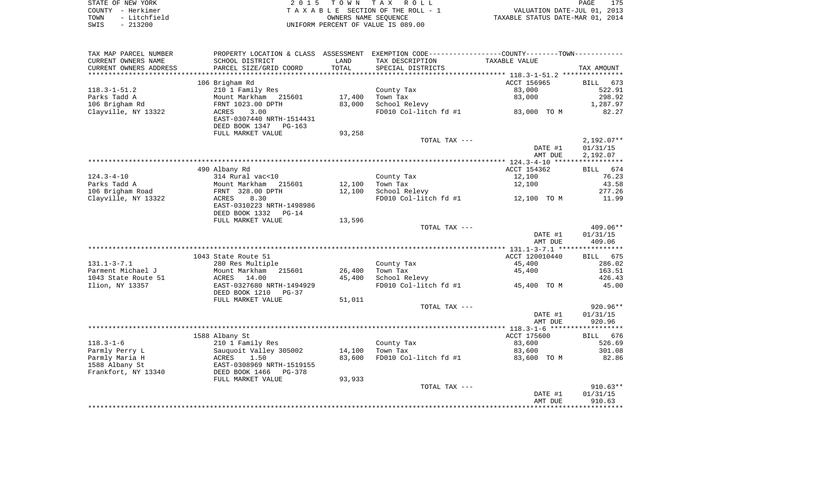|      | STATE OF NEW YORK | 2015 TOWN TAX ROLL                 | 175<br>PAGE                      |
|------|-------------------|------------------------------------|----------------------------------|
|      | COUNTY - Herkimer | TAXABLE SECTION OF THE ROLL - 1    | VALUATION DATE-JUL 01, 2013      |
| TOWN | - Litchfield      | OWNERS NAME SEOUENCE               | TAXABLE STATUS DATE-MAR 01, 2014 |
| SWIS | - 213200          | UNIFORM PERCENT OF VALUE IS 089.00 |                                  |

| SCHOOL DISTRICT<br>TAX DESCRIPTION<br>TAXABLE VALUE<br>LAND<br>PARCEL SIZE/GRID COORD<br>TOTAL<br>SPECIAL DISTRICTS<br>TAX AMOUNT<br>106 Brigham Rd<br>ACCT 156965<br>BILL 673<br>210 1 Family Res<br>83,000<br>522.91<br>County Tax<br>17,400<br>83,000<br>298.92<br>Mount Markham 215601<br>Town Tax<br>83,000<br>School Relevy<br>FRNT 1023.00 DPTH<br>1,287.97<br>FD010 Col-litch $f d$ #1 83,000 TO M<br>Clayville, NY 13322<br>ACRES<br>3.00<br>82.27<br>EAST-0307440 NRTH-1514431<br>DEED BOOK 1347 PG-163<br>FULL MARKET VALUE<br>93,258<br>TOTAL TAX ---<br>$2,192.07**$<br>DATE #1<br>01/31/15<br>AMT DUE<br>2,192.07<br>490 Albany Rd<br>ACCT 154362<br>BILL 674<br>$124.3 - 4 - 10$<br>12,100<br>76.23<br>314 Rural vac<10<br>County Tax<br>12,100<br>43.58<br>Parks Tadd A<br>12,100<br>Town Tax<br>Mount Markham 215601<br>FRNT 328.00 DPTH<br>106 Brigham Road<br>12,100<br>School Relevy<br>277.26<br>FD010 Col-litch $fd$ #1 $12,100$ TO M<br>Clayville, NY 13322<br>8.30<br>11.99<br>ACRES<br>EAST-0310223 NRTH-1498986<br>DEED BOOK 1332<br>$PG-14$<br>FULL MARKET VALUE<br>13,596<br>409.06**<br>TOTAL TAX ---<br>DATE #1<br>01/31/15<br>409.06<br>AMT DUE<br>ACCT 120010440<br>1043 State Route 51<br>BILL 675<br>County Tax<br>45,400<br>$131.1 - 3 - 7.1$<br>280 Res Multiple<br>286.02<br>Mount Markham 215601<br>26,400<br>45,400<br>Parment Michael J<br>Town Tax<br>163.51<br>45,400<br>426.43<br>1043 State Route 51<br>ACRES<br>14.00<br>School Relevy<br>FD010 Col-litch fd #1<br>45,400 TO M<br>45.00<br>Ilion, NY 13357<br>EAST-0327680 NRTH-1494929<br>DEED BOOK 1210 PG-37<br>FULL MARKET VALUE<br>51,011<br>920.96**<br>TOTAL TAX ---<br>01/31/15<br>DATE #1<br>920.96<br>AMT DUE<br>1588 Albany St<br>ACCT 175600<br>BILL 676<br>$118.3 - 1 - 6$<br>83,600<br>526.69<br>210 1 Family Res<br>County Tax<br>Parmly Perry L<br>Sauquoit Valley 305002<br>ACRES 1.50<br>14,100<br>Town Tax<br>83,600<br>301.08<br>FD010 Col-litch fd #1 83,600 TO M<br>Parmly Maria H<br>83,600<br>82.86<br>EAST-0308969 NRTH-1519155<br>1588 Albany St<br>DEED BOOK 1466<br>Frankfort, NY 13340<br>PG-378<br>93,933<br>FULL MARKET VALUE<br>$910.63**$<br>TOTAL TAX ---<br>DATE #1<br>01/31/15<br>910.63<br>AMT DUE | TAX MAP PARCEL NUMBER  |  | PROPERTY LOCATION & CLASS ASSESSMENT EXEMPTION CODE---------------COUNTY--------TOWN---------- |  |
|--------------------------------------------------------------------------------------------------------------------------------------------------------------------------------------------------------------------------------------------------------------------------------------------------------------------------------------------------------------------------------------------------------------------------------------------------------------------------------------------------------------------------------------------------------------------------------------------------------------------------------------------------------------------------------------------------------------------------------------------------------------------------------------------------------------------------------------------------------------------------------------------------------------------------------------------------------------------------------------------------------------------------------------------------------------------------------------------------------------------------------------------------------------------------------------------------------------------------------------------------------------------------------------------------------------------------------------------------------------------------------------------------------------------------------------------------------------------------------------------------------------------------------------------------------------------------------------------------------------------------------------------------------------------------------------------------------------------------------------------------------------------------------------------------------------------------------------------------------------------------------------------------------------------------------------------------------------------------------------------------------------------------------------------------------------------------------------------------------------------------------------------------------------------------------------------------------------------------------------|------------------------|--|------------------------------------------------------------------------------------------------|--|
|                                                                                                                                                                                                                                                                                                                                                                                                                                                                                                                                                                                                                                                                                                                                                                                                                                                                                                                                                                                                                                                                                                                                                                                                                                                                                                                                                                                                                                                                                                                                                                                                                                                                                                                                                                                                                                                                                                                                                                                                                                                                                                                                                                                                                                      | CURRENT OWNERS NAME    |  |                                                                                                |  |
|                                                                                                                                                                                                                                                                                                                                                                                                                                                                                                                                                                                                                                                                                                                                                                                                                                                                                                                                                                                                                                                                                                                                                                                                                                                                                                                                                                                                                                                                                                                                                                                                                                                                                                                                                                                                                                                                                                                                                                                                                                                                                                                                                                                                                                      | CURRENT OWNERS ADDRESS |  |                                                                                                |  |
|                                                                                                                                                                                                                                                                                                                                                                                                                                                                                                                                                                                                                                                                                                                                                                                                                                                                                                                                                                                                                                                                                                                                                                                                                                                                                                                                                                                                                                                                                                                                                                                                                                                                                                                                                                                                                                                                                                                                                                                                                                                                                                                                                                                                                                      | ********************** |  |                                                                                                |  |
|                                                                                                                                                                                                                                                                                                                                                                                                                                                                                                                                                                                                                                                                                                                                                                                                                                                                                                                                                                                                                                                                                                                                                                                                                                                                                                                                                                                                                                                                                                                                                                                                                                                                                                                                                                                                                                                                                                                                                                                                                                                                                                                                                                                                                                      |                        |  |                                                                                                |  |
|                                                                                                                                                                                                                                                                                                                                                                                                                                                                                                                                                                                                                                                                                                                                                                                                                                                                                                                                                                                                                                                                                                                                                                                                                                                                                                                                                                                                                                                                                                                                                                                                                                                                                                                                                                                                                                                                                                                                                                                                                                                                                                                                                                                                                                      | $118.3 - 1 - 51.2$     |  |                                                                                                |  |
|                                                                                                                                                                                                                                                                                                                                                                                                                                                                                                                                                                                                                                                                                                                                                                                                                                                                                                                                                                                                                                                                                                                                                                                                                                                                                                                                                                                                                                                                                                                                                                                                                                                                                                                                                                                                                                                                                                                                                                                                                                                                                                                                                                                                                                      | Parks Tadd A           |  |                                                                                                |  |
|                                                                                                                                                                                                                                                                                                                                                                                                                                                                                                                                                                                                                                                                                                                                                                                                                                                                                                                                                                                                                                                                                                                                                                                                                                                                                                                                                                                                                                                                                                                                                                                                                                                                                                                                                                                                                                                                                                                                                                                                                                                                                                                                                                                                                                      | 106 Brigham Rd         |  |                                                                                                |  |
|                                                                                                                                                                                                                                                                                                                                                                                                                                                                                                                                                                                                                                                                                                                                                                                                                                                                                                                                                                                                                                                                                                                                                                                                                                                                                                                                                                                                                                                                                                                                                                                                                                                                                                                                                                                                                                                                                                                                                                                                                                                                                                                                                                                                                                      |                        |  |                                                                                                |  |
|                                                                                                                                                                                                                                                                                                                                                                                                                                                                                                                                                                                                                                                                                                                                                                                                                                                                                                                                                                                                                                                                                                                                                                                                                                                                                                                                                                                                                                                                                                                                                                                                                                                                                                                                                                                                                                                                                                                                                                                                                                                                                                                                                                                                                                      |                        |  |                                                                                                |  |
|                                                                                                                                                                                                                                                                                                                                                                                                                                                                                                                                                                                                                                                                                                                                                                                                                                                                                                                                                                                                                                                                                                                                                                                                                                                                                                                                                                                                                                                                                                                                                                                                                                                                                                                                                                                                                                                                                                                                                                                                                                                                                                                                                                                                                                      |                        |  |                                                                                                |  |
|                                                                                                                                                                                                                                                                                                                                                                                                                                                                                                                                                                                                                                                                                                                                                                                                                                                                                                                                                                                                                                                                                                                                                                                                                                                                                                                                                                                                                                                                                                                                                                                                                                                                                                                                                                                                                                                                                                                                                                                                                                                                                                                                                                                                                                      |                        |  |                                                                                                |  |
|                                                                                                                                                                                                                                                                                                                                                                                                                                                                                                                                                                                                                                                                                                                                                                                                                                                                                                                                                                                                                                                                                                                                                                                                                                                                                                                                                                                                                                                                                                                                                                                                                                                                                                                                                                                                                                                                                                                                                                                                                                                                                                                                                                                                                                      |                        |  |                                                                                                |  |
|                                                                                                                                                                                                                                                                                                                                                                                                                                                                                                                                                                                                                                                                                                                                                                                                                                                                                                                                                                                                                                                                                                                                                                                                                                                                                                                                                                                                                                                                                                                                                                                                                                                                                                                                                                                                                                                                                                                                                                                                                                                                                                                                                                                                                                      |                        |  |                                                                                                |  |
|                                                                                                                                                                                                                                                                                                                                                                                                                                                                                                                                                                                                                                                                                                                                                                                                                                                                                                                                                                                                                                                                                                                                                                                                                                                                                                                                                                                                                                                                                                                                                                                                                                                                                                                                                                                                                                                                                                                                                                                                                                                                                                                                                                                                                                      |                        |  |                                                                                                |  |
|                                                                                                                                                                                                                                                                                                                                                                                                                                                                                                                                                                                                                                                                                                                                                                                                                                                                                                                                                                                                                                                                                                                                                                                                                                                                                                                                                                                                                                                                                                                                                                                                                                                                                                                                                                                                                                                                                                                                                                                                                                                                                                                                                                                                                                      |                        |  |                                                                                                |  |
|                                                                                                                                                                                                                                                                                                                                                                                                                                                                                                                                                                                                                                                                                                                                                                                                                                                                                                                                                                                                                                                                                                                                                                                                                                                                                                                                                                                                                                                                                                                                                                                                                                                                                                                                                                                                                                                                                                                                                                                                                                                                                                                                                                                                                                      |                        |  |                                                                                                |  |
|                                                                                                                                                                                                                                                                                                                                                                                                                                                                                                                                                                                                                                                                                                                                                                                                                                                                                                                                                                                                                                                                                                                                                                                                                                                                                                                                                                                                                                                                                                                                                                                                                                                                                                                                                                                                                                                                                                                                                                                                                                                                                                                                                                                                                                      |                        |  |                                                                                                |  |
|                                                                                                                                                                                                                                                                                                                                                                                                                                                                                                                                                                                                                                                                                                                                                                                                                                                                                                                                                                                                                                                                                                                                                                                                                                                                                                                                                                                                                                                                                                                                                                                                                                                                                                                                                                                                                                                                                                                                                                                                                                                                                                                                                                                                                                      |                        |  |                                                                                                |  |
|                                                                                                                                                                                                                                                                                                                                                                                                                                                                                                                                                                                                                                                                                                                                                                                                                                                                                                                                                                                                                                                                                                                                                                                                                                                                                                                                                                                                                                                                                                                                                                                                                                                                                                                                                                                                                                                                                                                                                                                                                                                                                                                                                                                                                                      |                        |  |                                                                                                |  |
|                                                                                                                                                                                                                                                                                                                                                                                                                                                                                                                                                                                                                                                                                                                                                                                                                                                                                                                                                                                                                                                                                                                                                                                                                                                                                                                                                                                                                                                                                                                                                                                                                                                                                                                                                                                                                                                                                                                                                                                                                                                                                                                                                                                                                                      |                        |  |                                                                                                |  |
|                                                                                                                                                                                                                                                                                                                                                                                                                                                                                                                                                                                                                                                                                                                                                                                                                                                                                                                                                                                                                                                                                                                                                                                                                                                                                                                                                                                                                                                                                                                                                                                                                                                                                                                                                                                                                                                                                                                                                                                                                                                                                                                                                                                                                                      |                        |  |                                                                                                |  |
|                                                                                                                                                                                                                                                                                                                                                                                                                                                                                                                                                                                                                                                                                                                                                                                                                                                                                                                                                                                                                                                                                                                                                                                                                                                                                                                                                                                                                                                                                                                                                                                                                                                                                                                                                                                                                                                                                                                                                                                                                                                                                                                                                                                                                                      |                        |  |                                                                                                |  |
|                                                                                                                                                                                                                                                                                                                                                                                                                                                                                                                                                                                                                                                                                                                                                                                                                                                                                                                                                                                                                                                                                                                                                                                                                                                                                                                                                                                                                                                                                                                                                                                                                                                                                                                                                                                                                                                                                                                                                                                                                                                                                                                                                                                                                                      |                        |  |                                                                                                |  |
|                                                                                                                                                                                                                                                                                                                                                                                                                                                                                                                                                                                                                                                                                                                                                                                                                                                                                                                                                                                                                                                                                                                                                                                                                                                                                                                                                                                                                                                                                                                                                                                                                                                                                                                                                                                                                                                                                                                                                                                                                                                                                                                                                                                                                                      |                        |  |                                                                                                |  |
|                                                                                                                                                                                                                                                                                                                                                                                                                                                                                                                                                                                                                                                                                                                                                                                                                                                                                                                                                                                                                                                                                                                                                                                                                                                                                                                                                                                                                                                                                                                                                                                                                                                                                                                                                                                                                                                                                                                                                                                                                                                                                                                                                                                                                                      |                        |  |                                                                                                |  |
|                                                                                                                                                                                                                                                                                                                                                                                                                                                                                                                                                                                                                                                                                                                                                                                                                                                                                                                                                                                                                                                                                                                                                                                                                                                                                                                                                                                                                                                                                                                                                                                                                                                                                                                                                                                                                                                                                                                                                                                                                                                                                                                                                                                                                                      |                        |  |                                                                                                |  |
|                                                                                                                                                                                                                                                                                                                                                                                                                                                                                                                                                                                                                                                                                                                                                                                                                                                                                                                                                                                                                                                                                                                                                                                                                                                                                                                                                                                                                                                                                                                                                                                                                                                                                                                                                                                                                                                                                                                                                                                                                                                                                                                                                                                                                                      |                        |  |                                                                                                |  |
|                                                                                                                                                                                                                                                                                                                                                                                                                                                                                                                                                                                                                                                                                                                                                                                                                                                                                                                                                                                                                                                                                                                                                                                                                                                                                                                                                                                                                                                                                                                                                                                                                                                                                                                                                                                                                                                                                                                                                                                                                                                                                                                                                                                                                                      |                        |  |                                                                                                |  |
|                                                                                                                                                                                                                                                                                                                                                                                                                                                                                                                                                                                                                                                                                                                                                                                                                                                                                                                                                                                                                                                                                                                                                                                                                                                                                                                                                                                                                                                                                                                                                                                                                                                                                                                                                                                                                                                                                                                                                                                                                                                                                                                                                                                                                                      |                        |  |                                                                                                |  |
|                                                                                                                                                                                                                                                                                                                                                                                                                                                                                                                                                                                                                                                                                                                                                                                                                                                                                                                                                                                                                                                                                                                                                                                                                                                                                                                                                                                                                                                                                                                                                                                                                                                                                                                                                                                                                                                                                                                                                                                                                                                                                                                                                                                                                                      |                        |  |                                                                                                |  |
|                                                                                                                                                                                                                                                                                                                                                                                                                                                                                                                                                                                                                                                                                                                                                                                                                                                                                                                                                                                                                                                                                                                                                                                                                                                                                                                                                                                                                                                                                                                                                                                                                                                                                                                                                                                                                                                                                                                                                                                                                                                                                                                                                                                                                                      |                        |  |                                                                                                |  |
|                                                                                                                                                                                                                                                                                                                                                                                                                                                                                                                                                                                                                                                                                                                                                                                                                                                                                                                                                                                                                                                                                                                                                                                                                                                                                                                                                                                                                                                                                                                                                                                                                                                                                                                                                                                                                                                                                                                                                                                                                                                                                                                                                                                                                                      |                        |  |                                                                                                |  |
|                                                                                                                                                                                                                                                                                                                                                                                                                                                                                                                                                                                                                                                                                                                                                                                                                                                                                                                                                                                                                                                                                                                                                                                                                                                                                                                                                                                                                                                                                                                                                                                                                                                                                                                                                                                                                                                                                                                                                                                                                                                                                                                                                                                                                                      |                        |  |                                                                                                |  |
|                                                                                                                                                                                                                                                                                                                                                                                                                                                                                                                                                                                                                                                                                                                                                                                                                                                                                                                                                                                                                                                                                                                                                                                                                                                                                                                                                                                                                                                                                                                                                                                                                                                                                                                                                                                                                                                                                                                                                                                                                                                                                                                                                                                                                                      |                        |  |                                                                                                |  |
|                                                                                                                                                                                                                                                                                                                                                                                                                                                                                                                                                                                                                                                                                                                                                                                                                                                                                                                                                                                                                                                                                                                                                                                                                                                                                                                                                                                                                                                                                                                                                                                                                                                                                                                                                                                                                                                                                                                                                                                                                                                                                                                                                                                                                                      |                        |  |                                                                                                |  |
|                                                                                                                                                                                                                                                                                                                                                                                                                                                                                                                                                                                                                                                                                                                                                                                                                                                                                                                                                                                                                                                                                                                                                                                                                                                                                                                                                                                                                                                                                                                                                                                                                                                                                                                                                                                                                                                                                                                                                                                                                                                                                                                                                                                                                                      |                        |  |                                                                                                |  |
|                                                                                                                                                                                                                                                                                                                                                                                                                                                                                                                                                                                                                                                                                                                                                                                                                                                                                                                                                                                                                                                                                                                                                                                                                                                                                                                                                                                                                                                                                                                                                                                                                                                                                                                                                                                                                                                                                                                                                                                                                                                                                                                                                                                                                                      |                        |  |                                                                                                |  |
|                                                                                                                                                                                                                                                                                                                                                                                                                                                                                                                                                                                                                                                                                                                                                                                                                                                                                                                                                                                                                                                                                                                                                                                                                                                                                                                                                                                                                                                                                                                                                                                                                                                                                                                                                                                                                                                                                                                                                                                                                                                                                                                                                                                                                                      |                        |  |                                                                                                |  |
|                                                                                                                                                                                                                                                                                                                                                                                                                                                                                                                                                                                                                                                                                                                                                                                                                                                                                                                                                                                                                                                                                                                                                                                                                                                                                                                                                                                                                                                                                                                                                                                                                                                                                                                                                                                                                                                                                                                                                                                                                                                                                                                                                                                                                                      |                        |  |                                                                                                |  |
|                                                                                                                                                                                                                                                                                                                                                                                                                                                                                                                                                                                                                                                                                                                                                                                                                                                                                                                                                                                                                                                                                                                                                                                                                                                                                                                                                                                                                                                                                                                                                                                                                                                                                                                                                                                                                                                                                                                                                                                                                                                                                                                                                                                                                                      |                        |  |                                                                                                |  |
|                                                                                                                                                                                                                                                                                                                                                                                                                                                                                                                                                                                                                                                                                                                                                                                                                                                                                                                                                                                                                                                                                                                                                                                                                                                                                                                                                                                                                                                                                                                                                                                                                                                                                                                                                                                                                                                                                                                                                                                                                                                                                                                                                                                                                                      |                        |  |                                                                                                |  |
|                                                                                                                                                                                                                                                                                                                                                                                                                                                                                                                                                                                                                                                                                                                                                                                                                                                                                                                                                                                                                                                                                                                                                                                                                                                                                                                                                                                                                                                                                                                                                                                                                                                                                                                                                                                                                                                                                                                                                                                                                                                                                                                                                                                                                                      |                        |  |                                                                                                |  |
|                                                                                                                                                                                                                                                                                                                                                                                                                                                                                                                                                                                                                                                                                                                                                                                                                                                                                                                                                                                                                                                                                                                                                                                                                                                                                                                                                                                                                                                                                                                                                                                                                                                                                                                                                                                                                                                                                                                                                                                                                                                                                                                                                                                                                                      |                        |  |                                                                                                |  |
|                                                                                                                                                                                                                                                                                                                                                                                                                                                                                                                                                                                                                                                                                                                                                                                                                                                                                                                                                                                                                                                                                                                                                                                                                                                                                                                                                                                                                                                                                                                                                                                                                                                                                                                                                                                                                                                                                                                                                                                                                                                                                                                                                                                                                                      |                        |  |                                                                                                |  |
|                                                                                                                                                                                                                                                                                                                                                                                                                                                                                                                                                                                                                                                                                                                                                                                                                                                                                                                                                                                                                                                                                                                                                                                                                                                                                                                                                                                                                                                                                                                                                                                                                                                                                                                                                                                                                                                                                                                                                                                                                                                                                                                                                                                                                                      |                        |  |                                                                                                |  |
|                                                                                                                                                                                                                                                                                                                                                                                                                                                                                                                                                                                                                                                                                                                                                                                                                                                                                                                                                                                                                                                                                                                                                                                                                                                                                                                                                                                                                                                                                                                                                                                                                                                                                                                                                                                                                                                                                                                                                                                                                                                                                                                                                                                                                                      |                        |  |                                                                                                |  |
|                                                                                                                                                                                                                                                                                                                                                                                                                                                                                                                                                                                                                                                                                                                                                                                                                                                                                                                                                                                                                                                                                                                                                                                                                                                                                                                                                                                                                                                                                                                                                                                                                                                                                                                                                                                                                                                                                                                                                                                                                                                                                                                                                                                                                                      |                        |  |                                                                                                |  |
|                                                                                                                                                                                                                                                                                                                                                                                                                                                                                                                                                                                                                                                                                                                                                                                                                                                                                                                                                                                                                                                                                                                                                                                                                                                                                                                                                                                                                                                                                                                                                                                                                                                                                                                                                                                                                                                                                                                                                                                                                                                                                                                                                                                                                                      |                        |  |                                                                                                |  |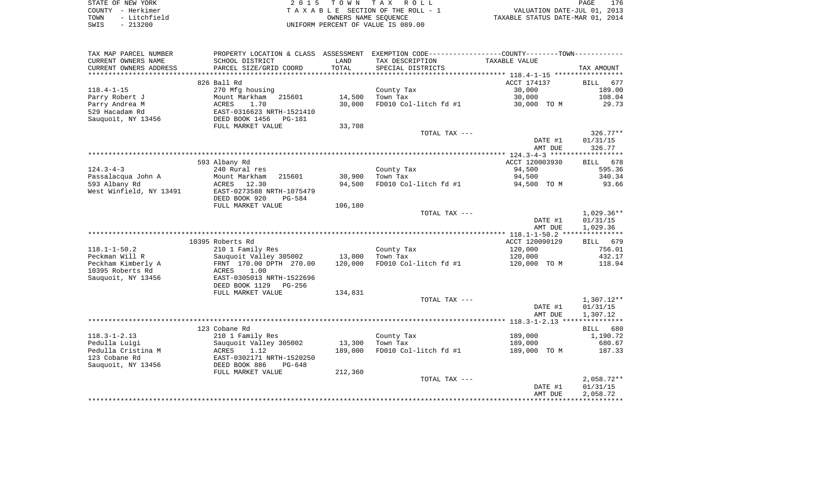| STATE OF NEW YORK    | 2015 TOWN TAX ROLL                 | 176<br>PAGE                      |
|----------------------|------------------------------------|----------------------------------|
| COUNTY - Herkimer    | TAXABLE SECTION OF THE ROLL - 1    | VALUATION DATE-JUL 01, 2013      |
| - Litchfield<br>TOWN | OWNERS NAME SEOUENCE               | TAXABLE STATUS DATE-MAR 01, 2014 |
| $-213200$<br>SWIS    | UNIFORM PERCENT OF VALUE IS 089.00 |                                  |

| TAX MAP PARCEL NUMBER     |                                                         |         | PROPERTY LOCATION & CLASS ASSESSMENT EXEMPTION CODE---------------COUNTY-------TOWN---------- |                |                    |
|---------------------------|---------------------------------------------------------|---------|-----------------------------------------------------------------------------------------------|----------------|--------------------|
| CURRENT OWNERS NAME       | SCHOOL DISTRICT                                         | LAND    | TAX DESCRIPTION                                                                               | TAXABLE VALUE  |                    |
| CURRENT OWNERS ADDRESS    | PARCEL SIZE/GRID COORD                                  | TOTAL   | SPECIAL DISTRICTS                                                                             |                | TAX AMOUNT         |
| ************************* |                                                         |         |                                                                                               |                |                    |
|                           | 826 Ball Rd                                             |         |                                                                                               | ACCT 174137    | <b>BILL</b><br>677 |
| $118.4 - 1 - 15$          | 270 Mfg housing                                         |         | County Tax                                                                                    | 30,000         | 189.00             |
| Parry Robert J            | Mount Markham<br>215601                                 | 14,500  | Town Tax                                                                                      | 30,000         | 108.04             |
| Parry Andrea M            | ACRES<br>1.70                                           | 30,000  | FD010 Col-litch fd #1                                                                         | 30,000 TO M    | 29.73              |
| 529 Hacadam Rd            | EAST-0316623 NRTH-1521410                               |         |                                                                                               |                |                    |
| Sauquoit, NY 13456        | DEED BOOK 1456<br>$PG-181$                              |         |                                                                                               |                |                    |
|                           | FULL MARKET VALUE                                       | 33,708  |                                                                                               |                |                    |
|                           |                                                         |         | TOTAL TAX ---                                                                                 |                | 326.77**           |
|                           |                                                         |         |                                                                                               | DATE #1        | 01/31/15           |
|                           |                                                         |         |                                                                                               | AMT DUE        | 326.77             |
|                           | 593 Albany Rd                                           |         |                                                                                               | ACCT 120003930 | BILL 678           |
| $124.3 - 4 - 3$           | 240 Rural res                                           |         | County Tax                                                                                    | 94,500         | 595.36             |
| Passalacqua John A        | Mount Markham<br>215601                                 | 30,900  | Town Tax                                                                                      | 94,500         | 340.34             |
| 593 Albany Rd             | ACRES<br>12.30                                          | 94,500  | FD010 Col-litch fd #1                                                                         | 94,500 TO M    | 93.66              |
| West Winfield, NY 13491   | EAST-0273588 NRTH-1075479                               |         |                                                                                               |                |                    |
|                           | DEED BOOK 920<br>PG-584                                 |         |                                                                                               |                |                    |
|                           | FULL MARKET VALUE                                       | 106,180 |                                                                                               |                |                    |
|                           |                                                         |         | TOTAL TAX ---                                                                                 |                | 1,029.36**         |
|                           |                                                         |         |                                                                                               | DATE #1        | 01/31/15           |
|                           |                                                         |         |                                                                                               | AMT DUE        | 1,029.36           |
|                           |                                                         |         |                                                                                               |                |                    |
|                           | 10395 Roberts Rd                                        |         |                                                                                               | ACCT 120090129 | BILL 679           |
| $118.1 - 1 - 50.2$        | 210 1 Family Res                                        |         | County Tax                                                                                    | 120,000        | 756.01             |
| Peckman Will R            | Sauquoit Valley 305002                                  | 13,000  | Town Tax                                                                                      | 120,000        | 432.17             |
| Peckham Kimberly A        | FRNT 170.00 DPTH 270.00                                 | 120,000 | FD010 Col-litch fd #1                                                                         | 120,000 TO M   | 118.94             |
| 10395 Roberts Rd          | 1.00<br>ACRES                                           |         |                                                                                               |                |                    |
| Sauquoit, NY 13456        | EAST-0305013 NRTH-1522696<br>DEED BOOK 1129<br>$PG-256$ |         |                                                                                               |                |                    |
|                           | FULL MARKET VALUE                                       | 134,831 |                                                                                               |                |                    |
|                           |                                                         |         | TOTAL TAX ---                                                                                 |                | 1,307.12**         |
|                           |                                                         |         |                                                                                               | DATE #1        | 01/31/15           |
|                           |                                                         |         |                                                                                               | AMT DUE        | 1,307.12           |
|                           |                                                         |         |                                                                                               |                |                    |
|                           | 123 Cobane Rd                                           |         |                                                                                               |                | 680<br><b>BILL</b> |
| $118.3 - 1 - 2.13$        | 210 1 Family Res                                        |         | County Tax                                                                                    | 189,000        | 1,190.72           |
| Pedulla Luigi             | Sauquoit Valley 305002                                  | 13,300  | Town Tax                                                                                      | 189,000        | 680.67             |
| Pedulla Cristina M        | ACRES<br>1.12                                           | 189,000 | FD010 Col-litch fd #1                                                                         | 189,000 TO M   | 187.33             |
| 123 Cobane Rd             | EAST-0302171 NRTH-1520250                               |         |                                                                                               |                |                    |
| Sauguoit, NY 13456        | DEED BOOK 886<br>$PG-648$                               |         |                                                                                               |                |                    |
|                           | FULL MARKET VALUE                                       | 212,360 |                                                                                               |                |                    |
|                           |                                                         |         | TOTAL TAX ---                                                                                 |                | $2,058.72**$       |
|                           |                                                         |         |                                                                                               | DATE #1        | 01/31/15           |
|                           |                                                         |         |                                                                                               | AMT DUE        | 2,058.72           |
|                           |                                                         |         |                                                                                               |                |                    |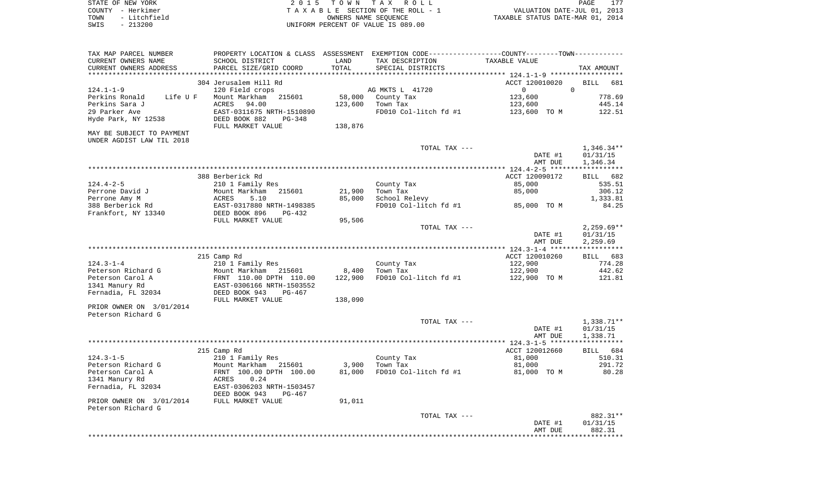| STATE OF NEW YORK    | 2015 TOWN TAX ROLL                 | PAGE                             |
|----------------------|------------------------------------|----------------------------------|
| COUNTY – Herkimer    | TAXABLE SECTION OF THE ROLL - 1    | VALUATION DATE-JUL 01, 2013      |
| - Litchfield<br>TOWN | OWNERS NAME SEOUENCE               | TAXABLE STATUS DATE-MAR 01, 2014 |
| $-213200$<br>SWIS    | UNIFORM PERCENT OF VALUE IS 089.00 |                                  |

| 304 Jerusalem Hill Rd<br>ACCT 120010020<br>$\Omega$<br>124.1-1-9<br>120 Field crops<br>AG MKTS L 41720<br>$\overline{0}$<br>Perkins Ronald<br>Mount Markham 215601<br>58,000 County Tax<br>123,600<br>Life U F<br>Perkins Sara J<br>ACRES<br>94.00<br>123,600<br>Town Tax<br>123,600<br>29 Parker Ave<br>FD010 Col-litch fd #1<br>EAST-0311675 NRTH-1510890<br>123,600 TO M<br>Hyde Park, NY 12538<br>DEED BOOK 882<br>PG-348<br>FULL MARKET VALUE<br>138,876<br>MAY BE SUBJECT TO PAYMENT<br>UNDER AGDIST LAW TIL 2018<br>TOTAL TAX ---<br>1,346.34**<br>01/31/15<br>DATE #1<br>1,346.34<br>AMT DUE<br>388 Berberick Rd<br>ACCT 120090172<br>BILL 682<br>124.4-2-5<br>County Tax<br>85,000<br>210 1 Family Res<br>85,000<br>Perrone David J<br>Mount Markham 215601<br>21,900<br>Town Tax<br>School Relevy<br>Perrone Amy M<br>ACRES 5.10<br>EAST-0317880 NRTH-1498385<br>DEED BOOK 896 PG-432<br>85,000<br>FD010 Col-litch fd #1 85,000 TO M<br>388 Berberick Rd<br>Frankfort, NY 13340<br>95,506<br>FULL MARKET VALUE<br>TOTAL TAX ---<br>DATE #1<br>01/31/15<br>AMT DUE<br>2,259.69<br>BILL 683<br>ACCT 120010260<br>215 Camp Rd<br>124.3-1-4<br>210 1 Family Res<br>County Tax<br>122,900<br>8,400<br>Peterson Richard G<br>Mount Markham 215601<br>Town Tax<br>122,900<br>122,900<br>FD010 Col-litch fd #1<br>Peterson Carol A<br>FRNT 110.00 DPTH 110.00<br>EAST-0306166 NRTH-1503552<br>122,900 TO M<br>1341 Manury Rd<br>Fernadia, FL 32034<br>DEED BOOK 943<br>PG-467<br>FULL MARKET VALUE<br>138,090<br>PRIOR OWNER ON 3/01/2014<br>Peterson Richard G<br>TOTAL TAX ---<br>1,338.71**<br>01/31/15<br>DATE #1<br>AMT DUE<br>1,338.71 | TAX MAP PARCEL NUMBER<br>CURRENT OWNERS NAME | SCHOOL DISTRICT        | LAND   | PROPERTY LOCATION & CLASS ASSESSMENT EXEMPTION CODE---------------COUNTY--------TOWN----------<br>TAX DESCRIPTION | TAXABLE VALUE |              |
|------------------------------------------------------------------------------------------------------------------------------------------------------------------------------------------------------------------------------------------------------------------------------------------------------------------------------------------------------------------------------------------------------------------------------------------------------------------------------------------------------------------------------------------------------------------------------------------------------------------------------------------------------------------------------------------------------------------------------------------------------------------------------------------------------------------------------------------------------------------------------------------------------------------------------------------------------------------------------------------------------------------------------------------------------------------------------------------------------------------------------------------------------------------------------------------------------------------------------------------------------------------------------------------------------------------------------------------------------------------------------------------------------------------------------------------------------------------------------------------------------------------------------------------------------------------------------------------------------------------------------------------------|----------------------------------------------|------------------------|--------|-------------------------------------------------------------------------------------------------------------------|---------------|--------------|
|                                                                                                                                                                                                                                                                                                                                                                                                                                                                                                                                                                                                                                                                                                                                                                                                                                                                                                                                                                                                                                                                                                                                                                                                                                                                                                                                                                                                                                                                                                                                                                                                                                                | CURRENT OWNERS ADDRESS                       | PARCEL SIZE/GRID COORD | TOTAL  | SPECIAL DISTRICTS                                                                                                 |               | TAX AMOUNT   |
|                                                                                                                                                                                                                                                                                                                                                                                                                                                                                                                                                                                                                                                                                                                                                                                                                                                                                                                                                                                                                                                                                                                                                                                                                                                                                                                                                                                                                                                                                                                                                                                                                                                |                                              |                        |        |                                                                                                                   |               | BILL 681     |
|                                                                                                                                                                                                                                                                                                                                                                                                                                                                                                                                                                                                                                                                                                                                                                                                                                                                                                                                                                                                                                                                                                                                                                                                                                                                                                                                                                                                                                                                                                                                                                                                                                                |                                              |                        |        |                                                                                                                   |               |              |
|                                                                                                                                                                                                                                                                                                                                                                                                                                                                                                                                                                                                                                                                                                                                                                                                                                                                                                                                                                                                                                                                                                                                                                                                                                                                                                                                                                                                                                                                                                                                                                                                                                                |                                              |                        |        |                                                                                                                   |               | 778.69       |
|                                                                                                                                                                                                                                                                                                                                                                                                                                                                                                                                                                                                                                                                                                                                                                                                                                                                                                                                                                                                                                                                                                                                                                                                                                                                                                                                                                                                                                                                                                                                                                                                                                                |                                              |                        |        |                                                                                                                   |               | 445.14       |
|                                                                                                                                                                                                                                                                                                                                                                                                                                                                                                                                                                                                                                                                                                                                                                                                                                                                                                                                                                                                                                                                                                                                                                                                                                                                                                                                                                                                                                                                                                                                                                                                                                                |                                              |                        |        |                                                                                                                   |               | 122.51       |
|                                                                                                                                                                                                                                                                                                                                                                                                                                                                                                                                                                                                                                                                                                                                                                                                                                                                                                                                                                                                                                                                                                                                                                                                                                                                                                                                                                                                                                                                                                                                                                                                                                                |                                              |                        |        |                                                                                                                   |               |              |
|                                                                                                                                                                                                                                                                                                                                                                                                                                                                                                                                                                                                                                                                                                                                                                                                                                                                                                                                                                                                                                                                                                                                                                                                                                                                                                                                                                                                                                                                                                                                                                                                                                                |                                              |                        |        |                                                                                                                   |               |              |
|                                                                                                                                                                                                                                                                                                                                                                                                                                                                                                                                                                                                                                                                                                                                                                                                                                                                                                                                                                                                                                                                                                                                                                                                                                                                                                                                                                                                                                                                                                                                                                                                                                                |                                              |                        |        |                                                                                                                   |               |              |
|                                                                                                                                                                                                                                                                                                                                                                                                                                                                                                                                                                                                                                                                                                                                                                                                                                                                                                                                                                                                                                                                                                                                                                                                                                                                                                                                                                                                                                                                                                                                                                                                                                                |                                              |                        |        |                                                                                                                   |               |              |
|                                                                                                                                                                                                                                                                                                                                                                                                                                                                                                                                                                                                                                                                                                                                                                                                                                                                                                                                                                                                                                                                                                                                                                                                                                                                                                                                                                                                                                                                                                                                                                                                                                                |                                              |                        |        |                                                                                                                   |               |              |
|                                                                                                                                                                                                                                                                                                                                                                                                                                                                                                                                                                                                                                                                                                                                                                                                                                                                                                                                                                                                                                                                                                                                                                                                                                                                                                                                                                                                                                                                                                                                                                                                                                                |                                              |                        |        |                                                                                                                   |               |              |
|                                                                                                                                                                                                                                                                                                                                                                                                                                                                                                                                                                                                                                                                                                                                                                                                                                                                                                                                                                                                                                                                                                                                                                                                                                                                                                                                                                                                                                                                                                                                                                                                                                                |                                              |                        |        |                                                                                                                   |               |              |
|                                                                                                                                                                                                                                                                                                                                                                                                                                                                                                                                                                                                                                                                                                                                                                                                                                                                                                                                                                                                                                                                                                                                                                                                                                                                                                                                                                                                                                                                                                                                                                                                                                                |                                              |                        |        |                                                                                                                   |               | 535.51       |
|                                                                                                                                                                                                                                                                                                                                                                                                                                                                                                                                                                                                                                                                                                                                                                                                                                                                                                                                                                                                                                                                                                                                                                                                                                                                                                                                                                                                                                                                                                                                                                                                                                                |                                              |                        |        |                                                                                                                   |               | 306.12       |
|                                                                                                                                                                                                                                                                                                                                                                                                                                                                                                                                                                                                                                                                                                                                                                                                                                                                                                                                                                                                                                                                                                                                                                                                                                                                                                                                                                                                                                                                                                                                                                                                                                                |                                              |                        |        |                                                                                                                   |               | 1,333.81     |
|                                                                                                                                                                                                                                                                                                                                                                                                                                                                                                                                                                                                                                                                                                                                                                                                                                                                                                                                                                                                                                                                                                                                                                                                                                                                                                                                                                                                                                                                                                                                                                                                                                                |                                              |                        |        |                                                                                                                   |               | 84.25        |
|                                                                                                                                                                                                                                                                                                                                                                                                                                                                                                                                                                                                                                                                                                                                                                                                                                                                                                                                                                                                                                                                                                                                                                                                                                                                                                                                                                                                                                                                                                                                                                                                                                                |                                              |                        |        |                                                                                                                   |               |              |
|                                                                                                                                                                                                                                                                                                                                                                                                                                                                                                                                                                                                                                                                                                                                                                                                                                                                                                                                                                                                                                                                                                                                                                                                                                                                                                                                                                                                                                                                                                                                                                                                                                                |                                              |                        |        |                                                                                                                   |               |              |
|                                                                                                                                                                                                                                                                                                                                                                                                                                                                                                                                                                                                                                                                                                                                                                                                                                                                                                                                                                                                                                                                                                                                                                                                                                                                                                                                                                                                                                                                                                                                                                                                                                                |                                              |                        |        |                                                                                                                   |               | $2,259.69**$ |
|                                                                                                                                                                                                                                                                                                                                                                                                                                                                                                                                                                                                                                                                                                                                                                                                                                                                                                                                                                                                                                                                                                                                                                                                                                                                                                                                                                                                                                                                                                                                                                                                                                                |                                              |                        |        |                                                                                                                   |               |              |
|                                                                                                                                                                                                                                                                                                                                                                                                                                                                                                                                                                                                                                                                                                                                                                                                                                                                                                                                                                                                                                                                                                                                                                                                                                                                                                                                                                                                                                                                                                                                                                                                                                                |                                              |                        |        |                                                                                                                   |               |              |
|                                                                                                                                                                                                                                                                                                                                                                                                                                                                                                                                                                                                                                                                                                                                                                                                                                                                                                                                                                                                                                                                                                                                                                                                                                                                                                                                                                                                                                                                                                                                                                                                                                                |                                              |                        |        |                                                                                                                   |               |              |
|                                                                                                                                                                                                                                                                                                                                                                                                                                                                                                                                                                                                                                                                                                                                                                                                                                                                                                                                                                                                                                                                                                                                                                                                                                                                                                                                                                                                                                                                                                                                                                                                                                                |                                              |                        |        |                                                                                                                   |               | 774.28       |
|                                                                                                                                                                                                                                                                                                                                                                                                                                                                                                                                                                                                                                                                                                                                                                                                                                                                                                                                                                                                                                                                                                                                                                                                                                                                                                                                                                                                                                                                                                                                                                                                                                                |                                              |                        |        |                                                                                                                   |               | 442.62       |
|                                                                                                                                                                                                                                                                                                                                                                                                                                                                                                                                                                                                                                                                                                                                                                                                                                                                                                                                                                                                                                                                                                                                                                                                                                                                                                                                                                                                                                                                                                                                                                                                                                                |                                              |                        |        |                                                                                                                   |               | 121.81       |
|                                                                                                                                                                                                                                                                                                                                                                                                                                                                                                                                                                                                                                                                                                                                                                                                                                                                                                                                                                                                                                                                                                                                                                                                                                                                                                                                                                                                                                                                                                                                                                                                                                                |                                              |                        |        |                                                                                                                   |               |              |
|                                                                                                                                                                                                                                                                                                                                                                                                                                                                                                                                                                                                                                                                                                                                                                                                                                                                                                                                                                                                                                                                                                                                                                                                                                                                                                                                                                                                                                                                                                                                                                                                                                                |                                              |                        |        |                                                                                                                   |               |              |
|                                                                                                                                                                                                                                                                                                                                                                                                                                                                                                                                                                                                                                                                                                                                                                                                                                                                                                                                                                                                                                                                                                                                                                                                                                                                                                                                                                                                                                                                                                                                                                                                                                                |                                              |                        |        |                                                                                                                   |               |              |
|                                                                                                                                                                                                                                                                                                                                                                                                                                                                                                                                                                                                                                                                                                                                                                                                                                                                                                                                                                                                                                                                                                                                                                                                                                                                                                                                                                                                                                                                                                                                                                                                                                                |                                              |                        |        |                                                                                                                   |               |              |
|                                                                                                                                                                                                                                                                                                                                                                                                                                                                                                                                                                                                                                                                                                                                                                                                                                                                                                                                                                                                                                                                                                                                                                                                                                                                                                                                                                                                                                                                                                                                                                                                                                                |                                              |                        |        |                                                                                                                   |               |              |
|                                                                                                                                                                                                                                                                                                                                                                                                                                                                                                                                                                                                                                                                                                                                                                                                                                                                                                                                                                                                                                                                                                                                                                                                                                                                                                                                                                                                                                                                                                                                                                                                                                                |                                              |                        |        |                                                                                                                   |               |              |
|                                                                                                                                                                                                                                                                                                                                                                                                                                                                                                                                                                                                                                                                                                                                                                                                                                                                                                                                                                                                                                                                                                                                                                                                                                                                                                                                                                                                                                                                                                                                                                                                                                                |                                              |                        |        |                                                                                                                   |               |              |
|                                                                                                                                                                                                                                                                                                                                                                                                                                                                                                                                                                                                                                                                                                                                                                                                                                                                                                                                                                                                                                                                                                                                                                                                                                                                                                                                                                                                                                                                                                                                                                                                                                                |                                              |                        |        |                                                                                                                   |               |              |
| ACCT 120012660<br>215 Camp Rd                                                                                                                                                                                                                                                                                                                                                                                                                                                                                                                                                                                                                                                                                                                                                                                                                                                                                                                                                                                                                                                                                                                                                                                                                                                                                                                                                                                                                                                                                                                                                                                                                  |                                              |                        |        |                                                                                                                   |               | BILL 684     |
| 81,000<br>124.3-1-5<br>210 1 Family Res<br>County Tax                                                                                                                                                                                                                                                                                                                                                                                                                                                                                                                                                                                                                                                                                                                                                                                                                                                                                                                                                                                                                                                                                                                                                                                                                                                                                                                                                                                                                                                                                                                                                                                          |                                              |                        |        |                                                                                                                   |               | 510.31       |
| 3,900<br>Peterson Richard G<br>Mount Markham 215601<br>Town Tax<br>81,000                                                                                                                                                                                                                                                                                                                                                                                                                                                                                                                                                                                                                                                                                                                                                                                                                                                                                                                                                                                                                                                                                                                                                                                                                                                                                                                                                                                                                                                                                                                                                                      |                                              |                        |        |                                                                                                                   |               | 291.72       |
| FRNT 100.00 DPTH 100.00<br>81,000<br>FD010 Col-litch fd #1<br>81,000 TO M<br>Peterson Carol A                                                                                                                                                                                                                                                                                                                                                                                                                                                                                                                                                                                                                                                                                                                                                                                                                                                                                                                                                                                                                                                                                                                                                                                                                                                                                                                                                                                                                                                                                                                                                  |                                              |                        |        |                                                                                                                   |               | 80.28        |
| 1341 Manury Rd<br>0.24<br>ACRES                                                                                                                                                                                                                                                                                                                                                                                                                                                                                                                                                                                                                                                                                                                                                                                                                                                                                                                                                                                                                                                                                                                                                                                                                                                                                                                                                                                                                                                                                                                                                                                                                |                                              |                        |        |                                                                                                                   |               |              |
| Fernadia, FL 32034<br>EAST-0306203 NRTH-1503457<br>DEED BOOK 943<br>PG-467                                                                                                                                                                                                                                                                                                                                                                                                                                                                                                                                                                                                                                                                                                                                                                                                                                                                                                                                                                                                                                                                                                                                                                                                                                                                                                                                                                                                                                                                                                                                                                     |                                              |                        |        |                                                                                                                   |               |              |
|                                                                                                                                                                                                                                                                                                                                                                                                                                                                                                                                                                                                                                                                                                                                                                                                                                                                                                                                                                                                                                                                                                                                                                                                                                                                                                                                                                                                                                                                                                                                                                                                                                                | PRIOR OWNER ON 3/01/2014                     | FULL MARKET VALUE      | 91,011 |                                                                                                                   |               |              |
|                                                                                                                                                                                                                                                                                                                                                                                                                                                                                                                                                                                                                                                                                                                                                                                                                                                                                                                                                                                                                                                                                                                                                                                                                                                                                                                                                                                                                                                                                                                                                                                                                                                |                                              |                        |        | TOTAL TAX ---                                                                                                     |               | 882.31**     |
|                                                                                                                                                                                                                                                                                                                                                                                                                                                                                                                                                                                                                                                                                                                                                                                                                                                                                                                                                                                                                                                                                                                                                                                                                                                                                                                                                                                                                                                                                                                                                                                                                                                |                                              |                        |        |                                                                                                                   | DATE #1       | 01/31/15     |
|                                                                                                                                                                                                                                                                                                                                                                                                                                                                                                                                                                                                                                                                                                                                                                                                                                                                                                                                                                                                                                                                                                                                                                                                                                                                                                                                                                                                                                                                                                                                                                                                                                                |                                              |                        |        |                                                                                                                   |               |              |
| Peterson Richard G<br>AMT DUE                                                                                                                                                                                                                                                                                                                                                                                                                                                                                                                                                                                                                                                                                                                                                                                                                                                                                                                                                                                                                                                                                                                                                                                                                                                                                                                                                                                                                                                                                                                                                                                                                  |                                              |                        |        |                                                                                                                   |               | 882.31       |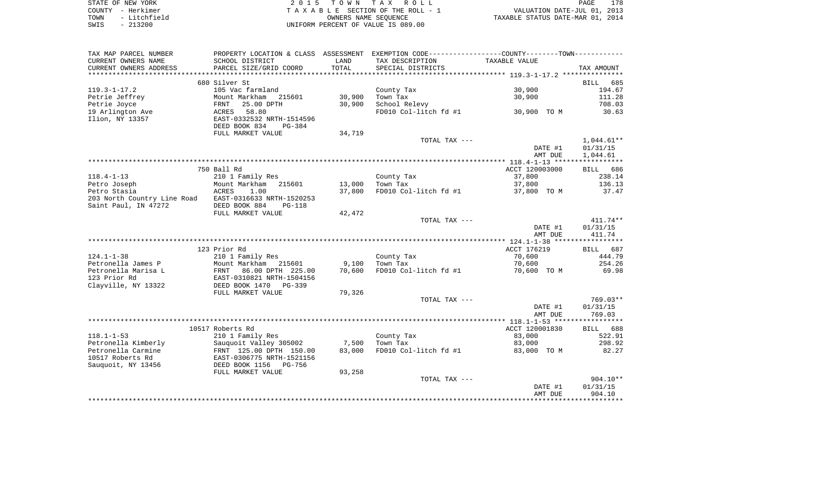| STATE OF NEW YORK |              | 2015 TOWN TAX ROLL                 | 178<br>PAGE                      |
|-------------------|--------------|------------------------------------|----------------------------------|
| COUNTY - Herkimer |              | TAXABLE SECTION OF THE ROLL - 1    | VALUATION DATE-JUL 01, 2013      |
| TOWN              | - Litchfield | OWNERS NAME SEOUENCE               | TAXABLE STATUS DATE-MAR 01, 2014 |
| SWIS              | $-213200$    | UNIFORM PERCENT OF VALUE IS 089.00 |                                  |

| TAX MAP PARCEL NUMBER               |                                                        |        | PROPERTY LOCATION & CLASS ASSESSMENT EXEMPTION CODE----------------COUNTY--------TOWN---------- |                |                    |
|-------------------------------------|--------------------------------------------------------|--------|-------------------------------------------------------------------------------------------------|----------------|--------------------|
| CURRENT OWNERS NAME                 | SCHOOL DISTRICT                                        | LAND   | TAX DESCRIPTION                                                                                 | TAXABLE VALUE  |                    |
| CURRENT OWNERS ADDRESS              | PARCEL SIZE/GRID COORD                                 | TOTAL  | SPECIAL DISTRICTS                                                                               |                | TAX AMOUNT         |
| *******************                 |                                                        |        |                                                                                                 |                |                    |
|                                     | 680 Silver St                                          |        |                                                                                                 |                | 685<br>BILL        |
| $119.3 - 1 - 17.2$                  | 105 Vac farmland                                       |        | County Tax                                                                                      | 30,900         | 194.67             |
| Petrie Jeffrey                      | Mount Markham 215601                                   | 30,900 | Town Tax                                                                                        | 30,900         | 111.28             |
| Petrie Joyce                        | 25.00 DPTH<br>FRNT                                     | 30,900 | School Relevy                                                                                   |                | 708.03             |
| 19 Arlington Ave                    | 58.80<br>ACRES                                         |        | FD010 Col-litch fd #1                                                                           | 30,900 TO M    | 30.63              |
| Ilion, NY 13357                     | EAST-0332532 NRTH-1514596                              |        |                                                                                                 |                |                    |
|                                     | DEED BOOK 834<br>PG-384                                |        |                                                                                                 |                |                    |
|                                     | FULL MARKET VALUE                                      | 34,719 |                                                                                                 |                |                    |
|                                     |                                                        |        | TOTAL TAX ---                                                                                   |                | $1,044.61**$       |
|                                     |                                                        |        |                                                                                                 | DATE #1        | 01/31/15           |
|                                     |                                                        |        |                                                                                                 | AMT DUE        | 1,044.61           |
|                                     |                                                        |        |                                                                                                 |                |                    |
|                                     | 750 Ball Rd                                            |        |                                                                                                 | ACCT 120003000 | BILL 686           |
| $118.4 - 1 - 13$                    | 210 1 Family Res                                       |        | County Tax                                                                                      | 37,800         | 238.14             |
| Petro Joseph                        | Mount Markham 215601                                   | 13,000 | Town Tax                                                                                        | 37,800         | 136.13             |
| Petro Stasia                        | ACRES<br>1.00                                          | 37,800 | FD010 Col-litch fd #1                                                                           | 37,800 TO M    | 37.47              |
| 203 North Country Line Road         | EAST-0316633 NRTH-1520253                              |        |                                                                                                 |                |                    |
| Saint Paul, IN 47272                | DEED BOOK 884<br>$PG-118$                              |        |                                                                                                 |                |                    |
|                                     | FULL MARKET VALUE                                      | 42,472 |                                                                                                 |                |                    |
|                                     |                                                        |        | TOTAL TAX ---                                                                                   |                | $411.74**$         |
|                                     |                                                        |        |                                                                                                 | DATE #1        | 01/31/15           |
|                                     |                                                        |        |                                                                                                 | AMT DUE        | 411.74             |
|                                     |                                                        |        |                                                                                                 | ACCT 176219    |                    |
| $124.1 - 1 - 38$                    | 123 Prior Rd<br>210 1 Family Res                       |        |                                                                                                 | 70,600         | BILL 687<br>444.79 |
| Petronella James P                  | Mount Markham 215601                                   |        | County Tax<br>Town Tax                                                                          |                | 254.26             |
|                                     |                                                        | 9,100  | FD010 Col-litch fd #1                                                                           | 70,600         |                    |
| Petronella Marisa L<br>123 Prior Rd | 86.00 DPTH 225.00<br>FRNT<br>EAST-0310821 NRTH-1504156 | 70,600 |                                                                                                 | 70,600 TO M    | 69.98              |
| Clayville, NY 13322                 | DEED BOOK 1470<br>PG-339                               |        |                                                                                                 |                |                    |
|                                     | FULL MARKET VALUE                                      | 79,326 |                                                                                                 |                |                    |
|                                     |                                                        |        | TOTAL TAX ---                                                                                   |                | 769.03**           |
|                                     |                                                        |        |                                                                                                 | DATE #1        | 01/31/15           |
|                                     |                                                        |        |                                                                                                 | AMT DUE        | 769.03             |
|                                     |                                                        |        |                                                                                                 |                |                    |
|                                     | 10517 Roberts Rd                                       |        |                                                                                                 | ACCT 120001830 | BILL 688           |
| $118.1 - 1 - 53$                    | 210 1 Family Res                                       |        | County Tax                                                                                      | 83,000         | 522.91             |
| Petronella Kimberly                 | Sauquoit Valley 305002                                 | 7,500  | Town Tax                                                                                        | 83,000         | 298.92             |
| Petronella Carmine                  | FRNT 125.00 DPTH 150.00                                | 83,000 | FD010 Col-litch fd #1                                                                           | 83,000 TO M    | 82.27              |
| 10517 Roberts Rd                    | EAST-0306775 NRTH-1521156                              |        |                                                                                                 |                |                    |
| Sauquoit, NY 13456                  | DEED BOOK 1156<br>PG-756                               |        |                                                                                                 |                |                    |
|                                     | FULL MARKET VALUE                                      | 93,258 |                                                                                                 |                |                    |
|                                     |                                                        |        | TOTAL TAX ---                                                                                   |                | $904.10**$         |
|                                     |                                                        |        |                                                                                                 | DATE #1        | 01/31/15           |
|                                     |                                                        |        |                                                                                                 | AMT DUE        | 904.10             |
|                                     |                                                        |        |                                                                                                 |                |                    |
|                                     |                                                        |        |                                                                                                 |                |                    |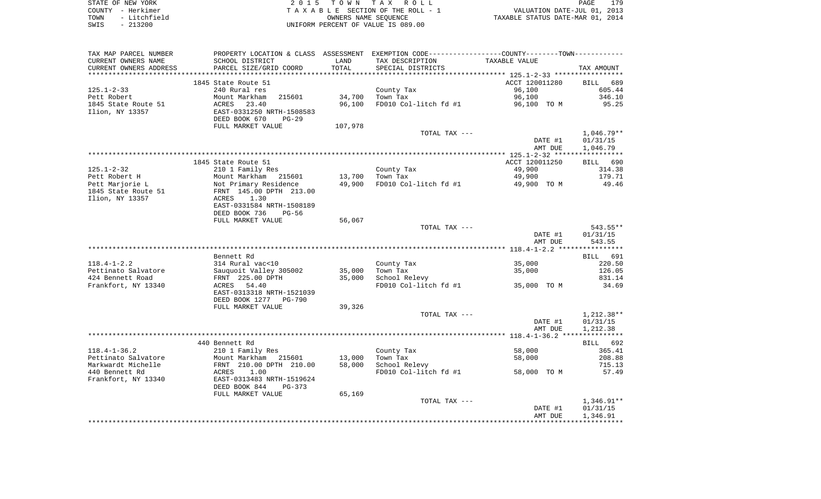| STATE OF NEW YORK    | 2015 TOWN TAX ROLL<br>PAGE                                     | 179 |
|----------------------|----------------------------------------------------------------|-----|
| COUNTY - Herkimer    | VALUATION DATE-JUL 01, 2013<br>TAXABLE SECTION OF THE ROLL - 1 |     |
| - Litchfield<br>TOWN | TAXABLE STATUS DATE-MAR 01, 2014<br>OWNERS NAME SEOUENCE       |     |
| $-213200$<br>SWIS    | UNIFORM PERCENT OF VALUE IS 089.00                             |     |

| TAX MAP PARCEL NUMBER  | PROPERTY LOCATION & CLASS ASSESSMENT EXEMPTION CODE----------------COUNTY--------TOWN---------- |         |                       |                |              |
|------------------------|-------------------------------------------------------------------------------------------------|---------|-----------------------|----------------|--------------|
| CURRENT OWNERS NAME    | SCHOOL DISTRICT                                                                                 | LAND    | TAX DESCRIPTION       | TAXABLE VALUE  |              |
| CURRENT OWNERS ADDRESS | PARCEL SIZE/GRID COORD                                                                          | TOTAL   | SPECIAL DISTRICTS     |                | TAX AMOUNT   |
|                        |                                                                                                 |         |                       |                |              |
|                        | 1845 State Route 51                                                                             |         |                       | ACCT 120011280 | BILL 689     |
| 125.1-2-33             | 240 Rural res                                                                                   |         | County Tax            | 96,100         | 605.44       |
| Pett Robert            | 215601<br>Mount Markham                                                                         | 34,700  | Town Tax              | 96,100         | 346.10       |
| 1845 State Route 51    | ACRES<br>23.40                                                                                  | 96,100  | FD010 Col-litch fd #1 | 96,100 TO M    | 95.25        |
| Ilion, NY 13357        | EAST-0331250 NRTH-1508583                                                                       |         |                       |                |              |
|                        | DEED BOOK 670<br>$PG-29$                                                                        |         |                       |                |              |
|                        | FULL MARKET VALUE                                                                               | 107,978 |                       |                |              |
|                        |                                                                                                 |         | TOTAL TAX ---         |                | $1,046.79**$ |
|                        |                                                                                                 |         |                       | DATE #1        | 01/31/15     |
|                        |                                                                                                 |         |                       | AMT DUE        | 1,046.79     |
|                        |                                                                                                 |         |                       |                |              |
|                        | 1845 State Route 51                                                                             |         |                       | ACCT 120011250 | BILL 690     |
| $125.1 - 2 - 32$       | 210 1 Family Res                                                                                |         | County Tax            | 49,900         | 314.38       |
| Pett Robert H          | Mount Markham 215601<br>Not Primary Residence<br>FRNT 145.00 DPTH 213.00                        |         | 13,700 Town Tax       | 49,900         | 179.71       |
| Pett Marjorie L        |                                                                                                 | 49,900  | FD010 Col-litch fd #1 | 49,900 TO M    | 49.46        |
| 1845 State Route 51    |                                                                                                 |         |                       |                |              |
| Ilion, NY 13357        | 1.30<br>ACRES                                                                                   |         |                       |                |              |
|                        | EAST-0331584 NRTH-1508189                                                                       |         |                       |                |              |
|                        | DEED BOOK 736<br>$PG-56$                                                                        |         |                       |                |              |
|                        | FULL MARKET VALUE                                                                               | 56,067  |                       |                |              |
|                        |                                                                                                 |         | TOTAL TAX ---         |                | 543.55**     |
|                        |                                                                                                 |         |                       | DATE #1        | 01/31/15     |
|                        |                                                                                                 |         |                       | AMT DUE        | 543.55       |
|                        |                                                                                                 |         |                       |                |              |
|                        | Bennett Rd                                                                                      |         |                       |                | BILL 691     |
| 118.4-1-2.2            |                                                                                                 |         | County Tax            | 35,000         | 220.50       |
| Pettinato Salvatore    |                                                                                                 | 35,000  | Town Tax              | 35,000         | 126.05       |
| 424 Bennett Road       | 314 Rural vac<10<br>Sauquoit Valley 305002<br>FRNT 225.00 DPTH                                  | 35,000  | School Relevy         |                | 831.14       |
| Frankfort, NY 13340    | ACRES 54.40                                                                                     |         | FD010 Col-litch fd #1 | 35,000 TO M    | 34.69        |
|                        | EAST-0313318 NRTH-1521039                                                                       |         |                       |                |              |
|                        | DEED BOOK 1277 PG-790                                                                           |         |                       |                |              |
|                        | FULL MARKET VALUE                                                                               | 39,326  |                       |                |              |
|                        |                                                                                                 |         | TOTAL TAX ---         |                | 1,212.38**   |
|                        |                                                                                                 |         |                       | DATE #1        | 01/31/15     |
|                        |                                                                                                 |         |                       | AMT DUE        | 1,212.38     |
|                        |                                                                                                 |         |                       |                |              |
|                        | 440 Bennett Rd                                                                                  |         |                       |                | BILL 692     |
| $118.4 - 1 - 36.2$     | 210 1 Family Res                                                                                |         | County Tax            | 58,000         | 365.41       |
| Pettinato Salvatore    | Mount Markham 215601<br>FRNT 210.00 DPTH 210.00<br>ACRES 1.00<br>EAST-0313483 NRTH-1519624      | 13,000  | Town Tax              | 58,000         | 208.88       |
| Markwardt Michelle     |                                                                                                 | 58,000  | School Relevy         |                | 715.13       |
| 440 Bennett Rd         |                                                                                                 |         | FD010 Col-litch fd #1 | 58,000 TO M    | 57.49        |
| Frankfort, NY 13340    |                                                                                                 |         |                       |                |              |
|                        | DEED BOOK 844<br>PG-373                                                                         |         |                       |                |              |
|                        | FULL MARKET VALUE                                                                               | 65,169  |                       |                |              |
|                        |                                                                                                 |         | TOTAL TAX ---         |                | 1,346.91**   |
|                        |                                                                                                 |         |                       | DATE #1        | 01/31/15     |
|                        |                                                                                                 |         |                       | AMT DUE        | 1,346.91     |
|                        |                                                                                                 |         |                       |                |              |
|                        |                                                                                                 |         |                       |                |              |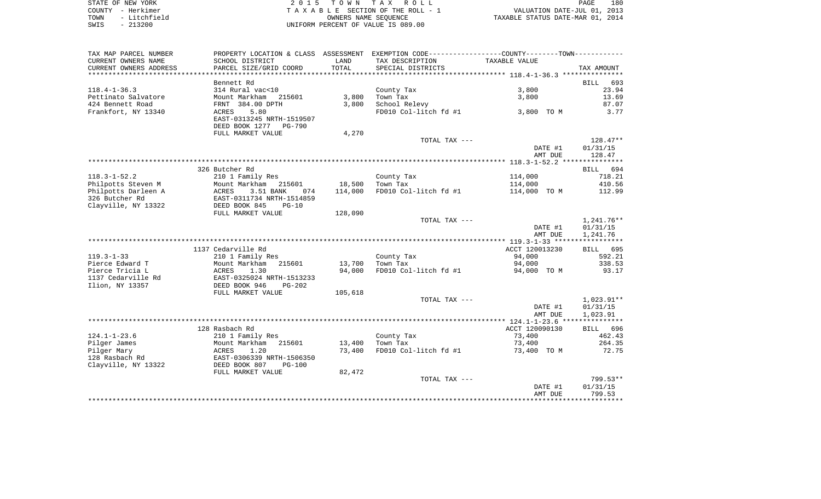| STATE OF NEW YORK    | 2015 TOWN TAX ROLL                 | 180<br>PAGE                      |
|----------------------|------------------------------------|----------------------------------|
| COUNTY - Herkimer    | TAXABLE SECTION OF THE ROLL - 1    | VALUATION DATE-JUL 01, 2013      |
| - Litchfield<br>TOWN | OWNERS NAME SEOUENCE               | TAXABLE STATUS DATE-MAR 01, 2014 |
| $-213200$<br>SWIS    | UNIFORM PERCENT OF VALUE IS 089.00 |                                  |

| TAX MAP PARCEL NUMBER                     |                                                                     |                   | PROPERTY LOCATION & CLASS ASSESSMENT EXEMPTION CODE---------------COUNTY-------TOWN---------- |                         |                    |
|-------------------------------------------|---------------------------------------------------------------------|-------------------|-----------------------------------------------------------------------------------------------|-------------------------|--------------------|
| CURRENT OWNERS NAME                       | SCHOOL DISTRICT                                                     | LAND              | TAX DESCRIPTION                                                                               | TAXABLE VALUE           |                    |
| CURRENT OWNERS ADDRESS                    | PARCEL SIZE/GRID COORD                                              | TOTAL             | SPECIAL DISTRICTS                                                                             |                         | TAX AMOUNT         |
|                                           |                                                                     |                   |                                                                                               |                         |                    |
|                                           | Bennett Rd                                                          |                   |                                                                                               |                         | 693<br><b>BILL</b> |
| $118.4 - 1 - 36.3$                        | 314 Rural vac<10                                                    |                   | County Tax                                                                                    | 3,800                   | 23.94              |
| Pettinato Salvatore                       | Mount Markham 215601                                                | 3,800             | Town Tax                                                                                      | 3,800                   | 13.69              |
| 424 Bennett Road                          | FRNT 384.00 DPTH                                                    | 3,800             | School Relevy                                                                                 |                         | 87.07              |
| Frankfort, NY 13340                       | 5.80<br>ACRES<br>EAST-0313245 NRTH-1519507<br>DEED BOOK 1277 PG-790 |                   | FD010 Col-litch fd #1                                                                         | 3,800 TO M              | 3.77               |
|                                           | FULL MARKET VALUE                                                   | 4,270             |                                                                                               |                         |                    |
|                                           |                                                                     |                   | TOTAL TAX ---                                                                                 |                         | $128.47**$         |
|                                           |                                                                     |                   |                                                                                               | DATE #1                 | 01/31/15           |
|                                           |                                                                     |                   |                                                                                               | AMT DUE                 | 128.47             |
|                                           | 326 Butcher Rd                                                      |                   |                                                                                               |                         | 694                |
| $118.3 - 1 - 52.2$                        |                                                                     |                   |                                                                                               | 114,000                 | BILL<br>718.21     |
|                                           | 210 1 Family Res<br>Mount Markham<br>215601                         |                   | County Tax<br>Town Tax                                                                        |                         | 410.56             |
| Philpotts Steven M<br>Philpotts Darleen A | 3.51 BANK<br>074<br>ACRES                                           | 18,500<br>114,000 | FD010 Col-litch fd #1                                                                         | 114,000<br>114,000 TO M | 112.99             |
| 326 Butcher Rd                            | EAST-0311734 NRTH-1514859                                           |                   |                                                                                               |                         |                    |
| Clayville, NY 13322                       | DEED BOOK 845<br>$PG-10$                                            |                   |                                                                                               |                         |                    |
|                                           | FULL MARKET VALUE                                                   | 128,090           |                                                                                               |                         |                    |
|                                           |                                                                     |                   | TOTAL TAX ---                                                                                 |                         | 1,241.76**         |
|                                           |                                                                     |                   |                                                                                               | DATE #1<br>AMT DUE      | 01/31/15           |
|                                           |                                                                     |                   |                                                                                               |                         | 1,241.76           |
|                                           | 1137 Cedarville Rd                                                  |                   |                                                                                               | ACCT 120013230          | BILL 695           |
| $119.3 - 1 - 33$                          | 210 1 Family Res                                                    |                   | County Tax                                                                                    | 94,000                  | 592.21             |
| Pierce Edward T                           | Mount Markham<br>215601                                             | 13,700            | Town Tax                                                                                      | 94,000                  | 338.53             |
| Pierce Tricia L                           | 1.30<br>ACRES                                                       | 94,000            | FD010 Col-litch fd #1                                                                         | 94,000 TO M             | 93.17              |
| 1137 Cedarville Rd                        | EAST-0325024 NRTH-1513233                                           |                   |                                                                                               |                         |                    |
| Ilion, NY 13357                           | DEED BOOK 946<br><b>PG-202</b>                                      |                   |                                                                                               |                         |                    |
|                                           | FULL MARKET VALUE                                                   | 105,618           |                                                                                               |                         |                    |
|                                           |                                                                     |                   | TOTAL TAX ---                                                                                 |                         | 1,023.91**         |
|                                           |                                                                     |                   |                                                                                               | DATE #1                 | 01/31/15           |
|                                           |                                                                     |                   |                                                                                               | AMT DUE                 | 1,023.91           |
|                                           | 128 Rasbach Rd                                                      |                   |                                                                                               | ACCT 120090130          | BILL 696           |
| $124.1 - 1 - 23.6$                        | 210 1 Family Res                                                    |                   | County Tax                                                                                    | 73,400                  | 462.43             |
| Pilger James                              | Mount Markham<br>215601                                             | 13,400            | Town Tax                                                                                      | 73,400                  | 264.35             |
| Pilger Mary                               | ACRES<br>1.20                                                       | 73,400            | FD010 Col-litch fd #1                                                                         | 73,400 TO M             | 72.75              |
| 128 Rasbach Rd                            | EAST-0306339 NRTH-1506350                                           |                   |                                                                                               |                         |                    |
| Clayville, NY 13322                       | DEED BOOK 807<br><b>PG-100</b>                                      |                   |                                                                                               |                         |                    |
|                                           | FULL MARKET VALUE                                                   | 82,472            |                                                                                               |                         |                    |
|                                           |                                                                     |                   | TOTAL TAX ---                                                                                 |                         | 799.53**           |
|                                           |                                                                     |                   |                                                                                               | DATE #1                 | 01/31/15           |
|                                           |                                                                     |                   |                                                                                               | AMT DUE                 | 799.53             |
|                                           |                                                                     |                   |                                                                                               |                         |                    |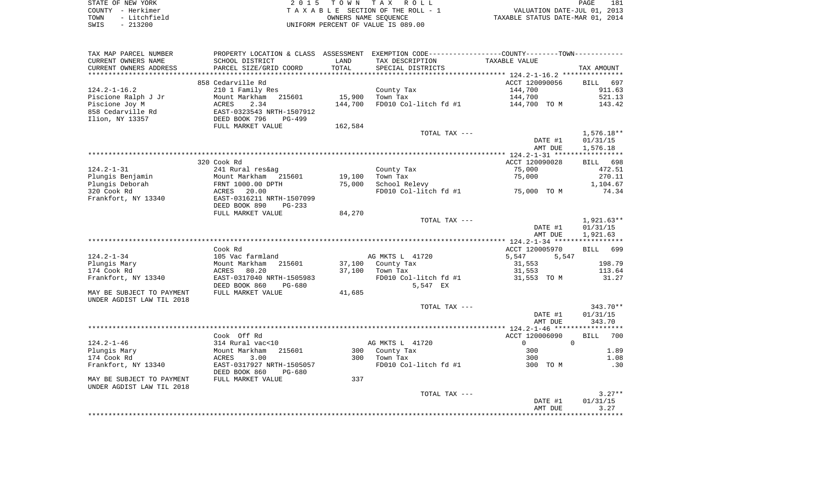| STATE OF NEW YORK    | 2015 TOWN TAX ROLL                 | 181<br>PAGE                      |
|----------------------|------------------------------------|----------------------------------|
| COUNTY - Herkimer    | TAXABLE SECTION OF THE ROLL - 1    | VALUATION DATE-JUL 01, 2013      |
| - Litchfield<br>TOWN | OWNERS NAME SEOUENCE               | TAXABLE STATUS DATE-MAR 01, 2014 |
| $-213200$<br>SWIS    | UNIFORM PERCENT OF VALUE IS 089.00 |                                  |

| TAX MAP PARCEL NUMBER<br>CURRENT OWNERS NAME      | SCHOOL DISTRICT           | LAND    | PROPERTY LOCATION & CLASS ASSESSMENT EXEMPTION CODE----------------COUNTY-------TOWN----------<br>TAX DESCRIPTION | TAXABLE VALUE              |                    |
|---------------------------------------------------|---------------------------|---------|-------------------------------------------------------------------------------------------------------------------|----------------------------|--------------------|
| CURRENT OWNERS ADDRESS<br>*********************** | PARCEL SIZE/GRID COORD    | TOTAL   | SPECIAL DISTRICTS                                                                                                 |                            | TAX AMOUNT         |
|                                                   | 858 Cedarville Rd         |         |                                                                                                                   | ACCT 120090056             | 697<br><b>BILL</b> |
| $124.2 - 1 - 16.2$                                | 210 1 Family Res          |         | County Tax                                                                                                        | 144,700                    | 911.63             |
| Piscione Ralph J Jr                               | Mount Markham<br>215601   | 15,900  | Town Tax                                                                                                          | 144,700                    | 521.13             |
| Piscione Joy M                                    | 2.34<br>ACRES             | 144,700 | FD010 Col-litch fd #1                                                                                             | 144,700 TO M               | 143.42             |
| 858 Cedarville Rd                                 | EAST-0323543 NRTH-1507912 |         |                                                                                                                   |                            |                    |
| Ilion, NY 13357                                   | DEED BOOK 796<br>$PG-499$ |         |                                                                                                                   |                            |                    |
|                                                   | FULL MARKET VALUE         | 162,584 |                                                                                                                   |                            |                    |
|                                                   |                           |         | TOTAL TAX ---                                                                                                     |                            | $1,576.18**$       |
|                                                   |                           |         |                                                                                                                   | DATE #1                    | 01/31/15           |
|                                                   |                           |         |                                                                                                                   | AMT DUE                    | 1,576.18           |
|                                                   | 320 Cook Rd               |         |                                                                                                                   | ACCT 120090028             | 698<br>BILL        |
| $124.2 - 1 - 31$                                  | 241 Rural res&ag          |         | County Tax                                                                                                        | 75,000                     | 472.51             |
| Plungis Benjamin                                  | Mount Markham 215601      | 19,100  | Town Tax                                                                                                          | 75,000                     | 270.11             |
| Plungis Deborah                                   | FRNT 1000.00 DPTH         | 75,000  | School Relevy                                                                                                     |                            | 1,104.67           |
| 320 Cook Rd                                       | ACRES<br>20.00            |         | FD010 Col-litch fd #1                                                                                             | 75,000 TO M                | 74.34              |
| Frankfort, NY 13340                               | EAST-0316211 NRTH-1507099 |         |                                                                                                                   |                            |                    |
|                                                   | DEED BOOK 890<br>$PG-233$ |         |                                                                                                                   |                            |                    |
|                                                   | FULL MARKET VALUE         | 84,270  |                                                                                                                   |                            |                    |
|                                                   |                           |         | TOTAL TAX ---                                                                                                     |                            | 1,921.63**         |
|                                                   |                           |         |                                                                                                                   | DATE #1                    | 01/31/15           |
|                                                   |                           |         |                                                                                                                   | AMT DUE                    | 1,921.63           |
|                                                   | Cook Rd                   |         |                                                                                                                   | ACCT 120005970             | <b>BILL</b><br>699 |
| $124.2 - 1 - 34$                                  | 105 Vac farmland          |         | AG MKTS L 41720                                                                                                   | 5,547<br>5,547             |                    |
| Plungis Mary                                      | Mount Markham<br>215601   | 37,100  | County Tax                                                                                                        | 31,553                     | 198.79             |
| 174 Cook Rd                                       | 80.20<br>ACRES            | 37,100  | Town Tax                                                                                                          | 31,553                     | 113.64             |
| Frankfort, NY 13340                               | EAST-0317040 NRTH-1505983 |         | FD010 Col-litch fd #1                                                                                             | 31,553 TO M                | 31.27              |
|                                                   | DEED BOOK 860<br>PG-680   |         | 5,547 EX                                                                                                          |                            |                    |
| MAY BE SUBJECT TO PAYMENT                         | FULL MARKET VALUE         | 41,685  |                                                                                                                   |                            |                    |
| UNDER AGDIST LAW TIL 2018                         |                           |         |                                                                                                                   |                            |                    |
|                                                   |                           |         | TOTAL TAX ---                                                                                                     |                            | 343.70**           |
|                                                   |                           |         |                                                                                                                   | DATE #1                    | 01/31/15           |
|                                                   |                           |         |                                                                                                                   | AMT DUE                    | 343.70             |
|                                                   | Cook Off Rd               |         |                                                                                                                   | ACCT 120006090             | 700<br><b>BILL</b> |
| $124.2 - 1 - 46$                                  | 314 Rural vac<10          |         | AG MKTS L 41720                                                                                                   | $\overline{0}$<br>$\Omega$ |                    |
| Plungis Mary                                      | Mount Markham<br>215601   | 300     | County Tax                                                                                                        | 300                        | 1.89               |
| 174 Cook Rd                                       | ACRES<br>3.00             | 300     | Town Tax                                                                                                          | 300                        | 1.08               |
| Frankfort, NY 13340                               | EAST-0317927 NRTH-1505057 |         | FD010 Col-litch fd #1                                                                                             | 300 TO M                   | .30                |
|                                                   | DEED BOOK 860<br>PG-680   |         |                                                                                                                   |                            |                    |
| MAY BE SUBJECT TO PAYMENT                         | FULL MARKET VALUE         | 337     |                                                                                                                   |                            |                    |
| UNDER AGDIST LAW TIL 2018                         |                           |         |                                                                                                                   |                            |                    |
|                                                   |                           |         | TOTAL TAX ---                                                                                                     |                            | $3.27**$           |
|                                                   |                           |         |                                                                                                                   | DATE #1                    | 01/31/15           |
|                                                   |                           |         |                                                                                                                   | AMT DUE                    | 3.27               |
|                                                   |                           |         |                                                                                                                   |                            |                    |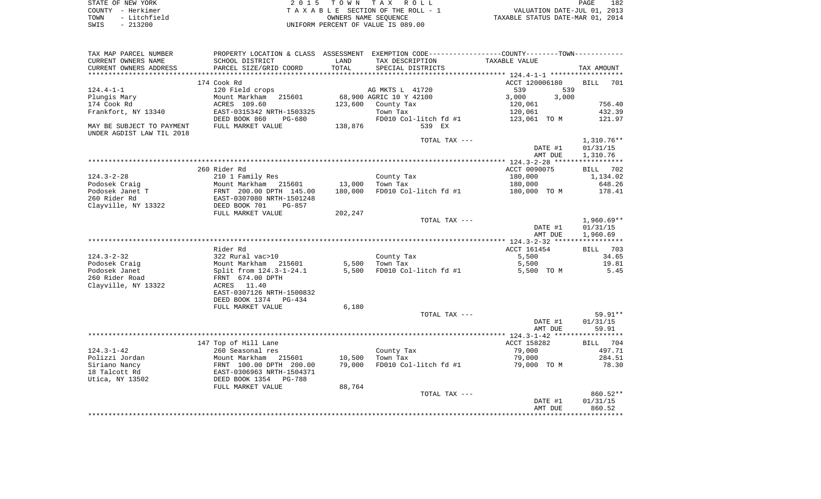| STATE OF NEW YORK    | 2015 TOWN TAX ROLL                 | 182<br>PAGE                      |
|----------------------|------------------------------------|----------------------------------|
| COUNTY - Herkimer    | TAXABLE SECTION OF THE ROLL - 1    | VALUATION DATE-JUL 01, 2013      |
| - Litchfield<br>TOWN | OWNERS NAME SEOUENCE               | TAXABLE STATUS DATE-MAR 01, 2014 |
| $-213200$<br>SWIS    | UNIFORM PERCENT OF VALUE IS 089.00 |                                  |

| TAX MAP PARCEL NUMBER<br>CURRENT OWNERS NAME | PROPERTY LOCATION & CLASS ASSESSMENT EXEMPTION CODE----------------COUNTY--------TOWN-----------<br>SCHOOL DISTRICT                                                            | LAND    | TAX DESCRIPTION                   | TAXABLE VALUE  |            |
|----------------------------------------------|--------------------------------------------------------------------------------------------------------------------------------------------------------------------------------|---------|-----------------------------------|----------------|------------|
| CURRENT OWNERS ADDRESS                       | PARCEL SIZE/GRID COORD                                                                                                                                                         | TOTAL   | SPECIAL DISTRICTS                 |                | TAX AMOUNT |
|                                              |                                                                                                                                                                                |         |                                   |                |            |
|                                              | 174 Cook Rd                                                                                                                                                                    |         |                                   | ACCT 120006180 | BILL 701   |
| 124.4-1-1                                    | 120 Field crops                                                                                                                                                                |         | AG MKTS L 41720                   | 539<br>539     |            |
| Plungis Mary                                 | Mount Markham 215601 68,900 AGRIC 10 Y 42100                                                                                                                                   |         |                                   | 3,000<br>3,000 |            |
| 174 Cook Rd                                  | ACRES 109.60                                                                                                                                                                   |         | 123,600 County Tax                | 120,061        | 756.40     |
| Frankfort, NY 13340                          | EAST-0315342 NRTH-1503325                                                                                                                                                      |         | Town Tax                          | 120,061        | 432.39     |
|                                              | DEED BOOK 860<br>PG-680                                                                                                                                                        |         | FD010 Col-litch fd #1             | 123,061 TO M   | 121.97     |
| MAY BE SUBJECT TO PAYMENT                    | FULL MARKET VALUE                                                                                                                                                              | 138,876 | 539 EX                            |                |            |
| UNDER AGDIST LAW TIL 2018                    |                                                                                                                                                                                |         |                                   |                |            |
|                                              |                                                                                                                                                                                |         | TOTAL TAX ---                     |                | 1,310.76** |
|                                              |                                                                                                                                                                                |         |                                   | DATE #1        | 01/31/15   |
|                                              |                                                                                                                                                                                |         |                                   | AMT DUE        | 1,310.76   |
|                                              |                                                                                                                                                                                |         |                                   |                |            |
|                                              | 260 Rider Rd                                                                                                                                                                   |         |                                   | ACCT 0090075   | BILL 702   |
| 124.3-2-28                                   | 210 1 Family Res                                                                                                                                                               |         | County Tax                        | 180,000        | 1,134.02   |
|                                              |                                                                                                                                                                                | 13,000  | Town Tax                          | 180,000        | 648.26     |
|                                              | Podosek Craig<br>Podosek Janet T<br>260 Rider Rd<br>260 Rider Rd<br>260 Rider Rd<br>260 Rider Rd<br>260 Rider Rd<br>260 Rider Rd<br>260 RTM 2000 701 PG-857<br>2000 701 PG-857 | 180,000 | FD010 Col-litch fd #1             | 180,000 TO M   | 178.41     |
|                                              |                                                                                                                                                                                |         |                                   |                |            |
|                                              |                                                                                                                                                                                |         |                                   |                |            |
|                                              |                                                                                                                                                                                |         |                                   |                |            |
|                                              | FULL MARKET VALUE                                                                                                                                                              | 202,247 | TOTAL TAX ---                     |                | 1,960.69** |
|                                              |                                                                                                                                                                                |         |                                   |                |            |
|                                              |                                                                                                                                                                                |         |                                   | DATE #1        | 01/31/15   |
|                                              |                                                                                                                                                                                |         |                                   | AMT DUE        | 1,960.69   |
|                                              | Rider Rd                                                                                                                                                                       |         |                                   | ACCT 161454    | BILL 703   |
| 124.3-2-32                                   | 322 Rural vac>10                                                                                                                                                               |         |                                   | 5,500          |            |
|                                              |                                                                                                                                                                                |         | County Tax<br>Town Tax            |                | 34.65      |
| Podosek Craig                                | Mount Markham 215601 5,500<br>Split from 124.3-1-24.1 5,500                                                                                                                    |         | 5,500 Town Tax                    | 5,500          | 19.81      |
| Podosek Janet                                |                                                                                                                                                                                |         | FD010 Col-litch fd #1             | 5,500 TO M     | 5.45       |
| 260 Rider Road                               | FRNT 674.00 DPTH                                                                                                                                                               |         |                                   |                |            |
| Clayville, NY 13322                          | ACRES 11.40                                                                                                                                                                    |         |                                   |                |            |
|                                              | EAST-0307126 NRTH-1500832                                                                                                                                                      |         |                                   |                |            |
|                                              | DEED BOOK 1374 PG-434                                                                                                                                                          |         |                                   |                |            |
|                                              | FULL MARKET VALUE                                                                                                                                                              | 6,180   |                                   |                |            |
|                                              |                                                                                                                                                                                |         | TOTAL TAX ---                     |                | 59.91**    |
|                                              |                                                                                                                                                                                |         |                                   | DATE #1        | 01/31/15   |
|                                              |                                                                                                                                                                                |         |                                   | AMT DUE        | 59.91      |
|                                              |                                                                                                                                                                                |         |                                   |                |            |
|                                              | 147 Top of Hill Lane                                                                                                                                                           |         |                                   | ACCT 158282    | BILL 704   |
| 124.3-1-42                                   | 260 Seasonal res                                                                                                                                                               |         | County Tax                        | 79,000         | 497.71     |
| Polizzi Jordan                               | Mount Markham 215601                                                                                                                                                           | 10,500  | Town Tax                          | 79,000         | 284.51     |
| Siriano Nancy                                | FRNT 100.00 DPTH 200.00<br>EAST-0306963 NRTH-1504371                                                                                                                           | 79,000  | FD010 Col-litch fd #1 79,000 TO M |                | 78.30      |
| 18 Talcott Rd                                |                                                                                                                                                                                |         |                                   |                |            |
| Utica, NY 13502                              | DEED BOOK 1354 PG-788                                                                                                                                                          |         |                                   |                |            |
|                                              | FULL MARKET VALUE                                                                                                                                                              | 88,764  |                                   |                |            |
|                                              |                                                                                                                                                                                |         | TOTAL TAX ---                     |                | 860.52**   |
|                                              |                                                                                                                                                                                |         |                                   | DATE #1        | 01/31/15   |
|                                              |                                                                                                                                                                                |         |                                   | AMT DUE        | 860.52     |
|                                              |                                                                                                                                                                                |         |                                   |                |            |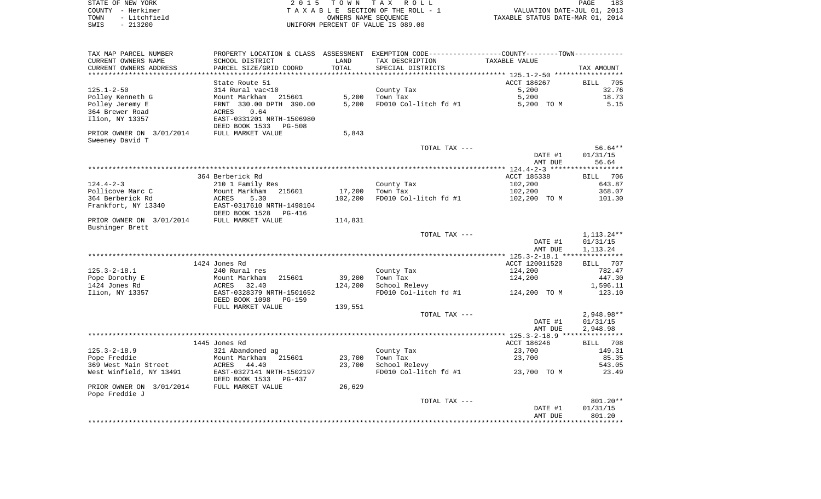| STATE OF NEW YORK     | 2015 TOWN TAX ROLL                 | PAGE                             | 183 |
|-----------------------|------------------------------------|----------------------------------|-----|
| COUNTY - Herkimer     | TAXABLE SECTION OF THE ROLL - 1    | VALUATION DATE-JUL 01, 2013      |     |
| - Litchfield<br>TOWN  | OWNERS NAME SEOUENCE               | TAXABLE STATUS DATE-MAR 01, 2014 |     |
| 213200<br>SWIS<br>$-$ | UNIFORM PERCENT OF VALUE IS 089.00 |                                  |     |

| TAX MAP PARCEL NUMBER                           | PROPERTY LOCATION & CLASS ASSESSMENT EXEMPTION CODE----------------COUNTY-------TOWN---------- |                  |                                        |                       |                       |
|-------------------------------------------------|------------------------------------------------------------------------------------------------|------------------|----------------------------------------|-----------------------|-----------------------|
| CURRENT OWNERS NAME                             | SCHOOL DISTRICT                                                                                | LAND             | TAX DESCRIPTION                        | TAXABLE VALUE         |                       |
| CURRENT OWNERS ADDRESS                          | PARCEL SIZE/GRID COORD                                                                         | TOTAL            | SPECIAL DISTRICTS                      |                       | TAX AMOUNT            |
| *********************                           | ***********************                                                                        | **************** |                                        |                       |                       |
|                                                 | State Route 51                                                                                 |                  |                                        | ACCT 186267           | <b>BILL</b><br>705    |
| $125.1 - 2 - 50$                                | 314 Rural vac<10                                                                               |                  | County Tax                             | 5,200                 | 32.76                 |
| Polley Kenneth G                                | Mount Markham<br>215601                                                                        | 5,200            | Town Tax                               | 5,200                 | 18.73                 |
| Polley Jeremy E                                 | FRNT 330.00 DPTH 390.00                                                                        | 5,200            | FD010 Col-litch fd #1                  | 5,200 TO M            | 5.15                  |
| 364 Brewer Road                                 | ACRES<br>0.64                                                                                  |                  |                                        |                       |                       |
| Ilion, NY 13357                                 | EAST-0331201 NRTH-1506980<br>DEED BOOK 1533<br><b>PG-508</b>                                   |                  |                                        |                       |                       |
| PRIOR OWNER ON 3/01/2014<br>Sweeney David T     | FULL MARKET VALUE                                                                              | 5,843            |                                        |                       |                       |
|                                                 |                                                                                                |                  | TOTAL TAX ---                          |                       | $56.64**$             |
|                                                 |                                                                                                |                  |                                        | DATE #1               | 01/31/15              |
|                                                 |                                                                                                |                  |                                        | AMT DUE               | 56.64                 |
|                                                 |                                                                                                |                  |                                        |                       |                       |
|                                                 | 364 Berberick Rd                                                                               |                  |                                        | ACCT 185338           | 706<br>BILL           |
| $124.4 - 2 - 3$                                 | 210 1 Family Res                                                                               |                  | County Tax                             | 102,200               | 643.87                |
| Pollicove Marc C                                | Mount Markham<br>215601                                                                        | 17,200           | Town Tax                               | 102,200               | 368.07                |
| 364 Berberick Rd                                | ACRES<br>5.30                                                                                  | 102,200          | FD010 Col-litch fd #1                  | 102,200 TO M          | 101.30                |
| Frankfort, NY 13340                             | EAST-0317610 NRTH-1498104                                                                      |                  |                                        |                       |                       |
|                                                 | DEED BOOK 1528<br>PG-416                                                                       |                  |                                        |                       |                       |
| PRIOR OWNER ON 3/01/2014<br>Bushinger Brett     | FULL MARKET VALUE                                                                              | 114,831          |                                        |                       |                       |
|                                                 |                                                                                                |                  | TOTAL TAX ---                          |                       | $1,113.24**$          |
|                                                 |                                                                                                |                  |                                        | DATE #1               | 01/31/15              |
|                                                 |                                                                                                |                  |                                        | AMT DUE               | 1,113.24              |
|                                                 |                                                                                                |                  |                                        |                       |                       |
|                                                 | 1424 Jones Rd                                                                                  |                  |                                        | ACCT 120011520        | BILL 707              |
| $125.3 - 2 - 18.1$                              | 240 Rural res                                                                                  |                  | County Tax                             | 124,200               | 782.47                |
| Pope Dorothy E                                  | Mount Markham<br>215601                                                                        | 39,200           | Town Tax                               | 124,200               | 447.30                |
| 1424 Jones Rd                                   | 32.40<br>ACRES                                                                                 | 124,200          | School Relevy                          |                       | 1,596.11              |
| Ilion, NY 13357                                 | EAST-0328379 NRTH-1501652                                                                      |                  | FD010 Col-litch fd #1                  | 124,200 TO M          | 123.10                |
|                                                 | DEED BOOK 1098<br>$PG-159$                                                                     |                  |                                        |                       |                       |
|                                                 | FULL MARKET VALUE                                                                              | 139,551          |                                        |                       |                       |
|                                                 |                                                                                                |                  | TOTAL TAX ---                          |                       | 2,948.98**            |
|                                                 |                                                                                                |                  |                                        | DATE #1               | 01/31/15              |
|                                                 |                                                                                                |                  |                                        | AMT DUE               | 2,948.98              |
|                                                 |                                                                                                |                  |                                        |                       |                       |
| $125.3 - 2 - 18.9$                              | 1445 Jones Rd                                                                                  |                  | County Tax                             | ACCT 186246<br>23,700 | 708<br>BILL<br>149.31 |
|                                                 | 321 Abandoned ag                                                                               |                  |                                        |                       |                       |
| Pope Freddie                                    | Mount Markham<br>215601                                                                        | 23,700           | Town Tax                               | 23,700                | 85.35<br>543.05       |
| 369 West Main Street<br>West Winfield, NY 13491 | ACRES<br>44.40<br>EAST-0327141 NRTH-1502197                                                    | 23,700           | School Relevy<br>FD010 Col-litch fd #1 | 23,700 TO M           | 23.49                 |
|                                                 | DEED BOOK 1533<br><b>PG-437</b>                                                                |                  |                                        |                       |                       |
| PRIOR OWNER ON 3/01/2014<br>Pope Freddie J      | FULL MARKET VALUE                                                                              | 26,629           |                                        |                       |                       |
|                                                 |                                                                                                |                  | TOTAL TAX ---                          |                       | 801.20**              |
|                                                 |                                                                                                |                  |                                        | DATE #1               | 01/31/15              |
|                                                 |                                                                                                |                  |                                        | AMT DUE               | 801.20                |
|                                                 |                                                                                                |                  |                                        |                       |                       |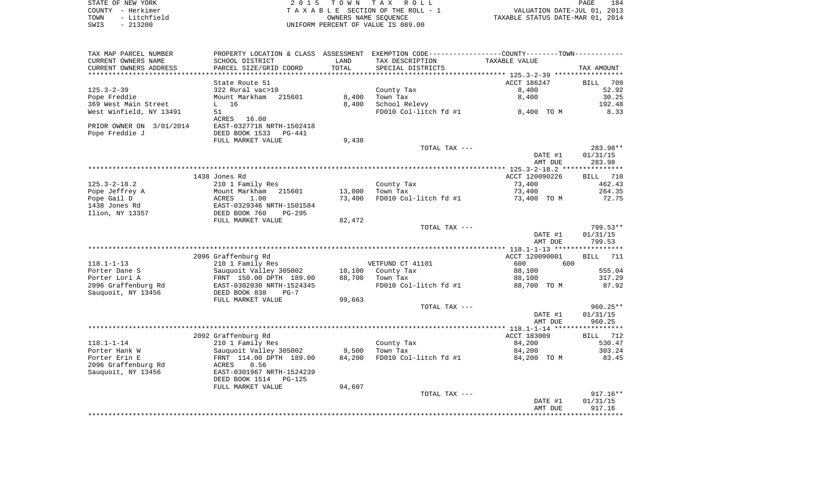| STATE OF NEW YORK        | 2 0 1 5                              |        | PAGE<br>184                                                 |                                  |             |
|--------------------------|--------------------------------------|--------|-------------------------------------------------------------|----------------------------------|-------------|
| COUNTY - Herkimer        |                                      |        | TOWN TAX ROLL<br>TAXABLE SECTION OF THE ROLL - 1            | VALUATION DATE-JUL 01, 2013      |             |
| - Litchfield<br>TOWN     |                                      |        | OWNERS NAME SEOUENCE                                        | TAXABLE STATUS DATE-MAR 01, 2014 |             |
| $-213200$<br>SWIS        |                                      |        | UNIFORM PERCENT OF VALUE IS 089.00                          |                                  |             |
|                          |                                      |        |                                                             |                                  |             |
| TAX MAP PARCEL NUMBER    | PROPERTY LOCATION & CLASS ASSESSMENT |        | EXEMPTION CODE-----------------COUNTY-------TOWN----------- |                                  |             |
| CURRENT OWNERS NAME      | SCHOOL DISTRICT                      | LAND   | TAX DESCRIPTION                                             | TAXABLE VALUE                    |             |
| CURRENT OWNERS ADDRESS   | PARCEL SIZE/GRID COORD               | TOTAL  | SPECIAL DISTRICTS                                           |                                  | TAX AMOUNT  |
|                          |                                      |        |                                                             |                                  |             |
|                          | State Route 51                       |        |                                                             | ACCT 186247                      | BILL 709    |
| $125.3 - 2 - 39$         | 322 Rural vac>10                     |        | County Tax                                                  | 8,400                            | 52.92       |
| Pope Freddie             | Mount Markham<br>215601              | 8,400  | Town Tax                                                    | 8,400                            | 30.25       |
| 369 West Main Street     | $L$ 16                               | 8,400  | School Relevy                                               |                                  | 192.48      |
| West Winfield, NY 13491  | 51                                   |        | FD010 Col-litch fd #1                                       | 8,400 TO M                       | 8.33        |
|                          | ACRES 16.00                          |        |                                                             |                                  |             |
| PRIOR OWNER ON 3/01/2014 | EAST-0327718 NRTH-1502418            |        |                                                             |                                  |             |
| Pope Freddie J           | DEED BOOK 1533 PG-441                |        |                                                             |                                  |             |
|                          | FULL MARKET VALUE                    | 9,438  |                                                             |                                  |             |
|                          |                                      |        | TOTAL TAX ---                                               |                                  | 283.98**    |
|                          |                                      |        |                                                             | DATE #1                          | 01/31/15    |
|                          |                                      |        |                                                             | AMT DUE                          | 283.98      |
|                          |                                      |        |                                                             |                                  |             |
|                          | 1438 Jones Rd                        |        |                                                             | ACCT 120090226                   | 710<br>BILL |
| $125.3 - 2 - 18.2$       | 210 1 Family Res                     |        | County Tax                                                  | 73,400                           | 462.43      |
| Pope Jeffrey A           | Mount Markham<br>215601              | 13,000 | Town Tax                                                    | 73,400                           | 264.35      |
| Pope Gail D              | ACRES<br>1.00                        | 73,400 | FD010 Col-litch fd #1                                       | 73,400 TO M                      | 72.75       |
| 1438 Jones Rd            | EAST-0329346 NRTH-1501584            |        |                                                             |                                  |             |
| Ilion, NY 13357          | DEED BOOK 760<br>$PG-295$            |        |                                                             |                                  |             |
|                          | FULL MARKET VALUE                    | 82,472 |                                                             |                                  |             |
|                          |                                      |        | TOTAL TAX ---                                               |                                  | 799.53**    |
|                          |                                      |        |                                                             | DATE #1                          | 01/31/15    |
|                          |                                      |        |                                                             | AMT DUE                          | 799.53      |
|                          |                                      |        |                                                             |                                  |             |

|                     | 2096 Graffenburg Rd       |        |                       | ACCT 120090001 | 711<br>BILL |
|---------------------|---------------------------|--------|-----------------------|----------------|-------------|
| $118.1 - 1 - 13$    | 210 1 Family Res          |        | VETFUND CT 41101      | 600<br>600     |             |
| Porter Dane S       | Sauquoit Valley 305002    | 10,100 | County Tax            | 88,100         | 555.04      |
| Porter Lori A       | FRNT 150.00 DPTH 189.00   | 88,700 | Town Tax              | 88,100         | 317.29      |
| 2096 Graffenburg Rd | EAST-0302030 NRTH-1524345 |        | FD010 Col-litch fd #1 | 88,700 TO M    | 87.92       |
| Sauquoit, NY 13456  | DEED BOOK 838<br>$PG-7$   |        |                       |                |             |
|                     | FULL MARKET VALUE         | 99,663 |                       |                |             |
|                     |                           |        | TOTAL TAX ---         |                | $960.25**$  |
|                     |                           |        |                       | DATE #1        | 01/31/15    |
|                     |                           |        |                       | AMT DUE        | 960.25      |
|                     |                           |        |                       |                |             |
|                     | 2092 Graffenburg Rd       |        |                       | ACCT 183009    | BILL 712    |
| $118.1 - 1 - 14$    | 210 1 Family Res          |        | County Tax            | 84,200         | 530.47      |
| Porter Hank W       | Sauguoit Valley 305002    | 9,500  | Town Tax              | 84,200         | 303.24      |
| Porter Erin E       | FRNT 114.00 DPTH 189.00   | 84,200 | FD010 Col-litch fd #1 | 84,200 TO M    | 83.45       |
| 2096 Graffenburg Rd | 0.56<br>ACRES             |        |                       |                |             |
| Sauguoit, NY 13456  | EAST-0301967 NRTH-1524239 |        |                       |                |             |
|                     | DEED BOOK 1514<br>PG-125  |        |                       |                |             |
|                     | FULL MARKET VALUE         | 94,607 |                       |                |             |
|                     |                           |        | TOTAL TAX ---         |                | $917.16**$  |
|                     |                           |        |                       | DATE #1        | 01/31/15    |
|                     |                           |        |                       | AMT DUE        | 917.16      |

\*\*\*\*\*\*\*\*\*\*\*\*\*\*\*\*\*\*\*\*\*\*\*\*\*\*\*\*\*\*\*\*\*\*\*\*\*\*\*\*\*\*\*\*\*\*\*\*\*\*\*\*\*\*\*\*\*\*\*\*\*\*\*\*\*\*\*\*\*\*\*\*\*\*\*\*\*\*\*\*\*\*\*\*\*\*\*\*\*\*\*\*\*\*\*\*\*\*\*\*\*\*\*\*\*\*\*\*\*\*\*\*\*\*\*\*\*\*\*\*\*\*\*\*\*\*\*\*\*\*\*\*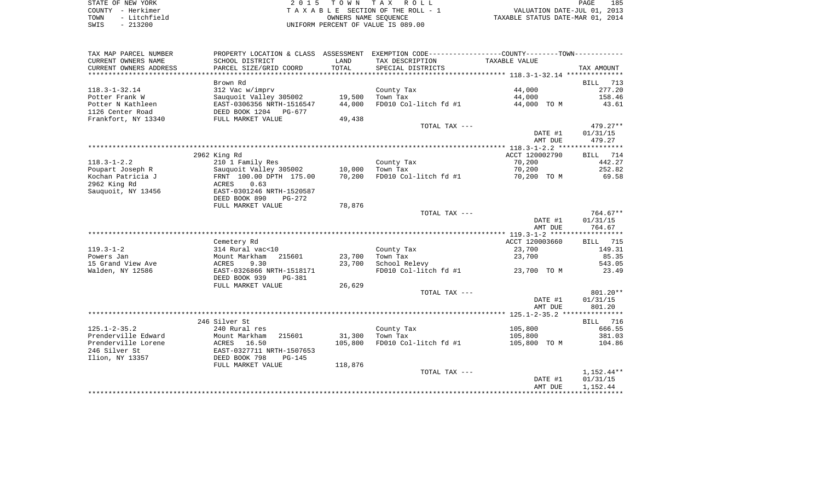| STATE OF NEW YORK |           |              |
|-------------------|-----------|--------------|
| COUNTY - Herkimer |           |              |
| TOWN              |           | - Litchfield |
| SWTS              | $-213200$ |              |

2015 TOWN TAX ROLL TA X A B L E SECTION OF THE ROLL - 1 TOWN - Litchfield OWNERS NAME SEQUENCE TAXABLE STATUS DATE-MAR 01, 2014 SWIS - 213200 UNIFORM PERCENT OF VALUE IS 089.00

| TAX MAP PARCEL NUMBER  | PROPERTY LOCATION & CLASS ASSESSMENT |         | EXEMPTION CODE-----------------COUNTY-------TOWN----------- |                |                    |
|------------------------|--------------------------------------|---------|-------------------------------------------------------------|----------------|--------------------|
| CURRENT OWNERS NAME    | SCHOOL DISTRICT                      | LAND    | TAX DESCRIPTION                                             | TAXABLE VALUE  |                    |
| CURRENT OWNERS ADDRESS | PARCEL SIZE/GRID COORD               | TOTAL   | SPECIAL DISTRICTS                                           |                | TAX AMOUNT         |
| ********************   |                                      |         |                                                             |                |                    |
|                        | Brown Rd                             |         |                                                             |                | <b>BILL</b><br>713 |
| $118.3 - 1 - 32.14$    | 312 Vac w/imprv                      |         | County Tax                                                  | 44,000         | 277.20             |
| Potter Frank W         | Sauquoit Valley 305002               | 19,500  | Town Tax                                                    | 44,000         | 158.46             |
| Potter N Kathleen      | EAST-0306356 NRTH-1516547            | 44,000  | FD010 Col-litch fd #1                                       | 44,000 TO M    | 43.61              |
| 1126 Center Road       | DEED BOOK 1204 PG-677                |         |                                                             |                |                    |
| Frankfort, NY 13340    | FULL MARKET VALUE                    | 49,438  |                                                             |                |                    |
|                        |                                      |         | TOTAL TAX ---                                               |                | $479.27**$         |
|                        |                                      |         |                                                             | DATE #1        | 01/31/15           |
|                        |                                      |         |                                                             | AMT DUE        | 479.27             |
|                        |                                      |         |                                                             |                |                    |
|                        | 2962 King Rd                         |         |                                                             | ACCT 120002790 | 714<br>BILL        |
| $118.3 - 1 - 2.2$      | 210 1 Family Res                     |         | County Tax                                                  | 70,200         | 442.27             |
| Poupart Joseph R       | Sauquoit Valley 305002               | 10,000  | Town Tax                                                    | 70,200         | 252.82             |
| Kochan Patricia J      | FRNT 100.00 DPTH 175.00              | 70,200  | FD010 Col-litch fd #1                                       | 70,200 TO M    | 69.58              |
| 2962 King Rd           | ACRES<br>0.63                        |         |                                                             |                |                    |
| Sauquoit, NY 13456     | EAST-0301246 NRTH-1520587            |         |                                                             |                |                    |
|                        | DEED BOOK 890<br>$PG-272$            |         |                                                             |                |                    |
|                        | FULL MARKET VALUE                    | 78,876  |                                                             |                |                    |
|                        |                                      |         | TOTAL TAX ---                                               |                | $764.67**$         |
|                        |                                      |         |                                                             | DATE #1        | 01/31/15           |
|                        |                                      |         |                                                             | AMT DUE        | 764.67             |
|                        |                                      |         |                                                             |                |                    |
|                        | Cemetery Rd                          |         |                                                             | ACCT 120003660 | <b>BILL</b> 715    |
| $119.3 - 1 - 2$        | 314 Rural vac<10                     |         | County Tax                                                  | 23,700         | 149.31             |
| Powers Jan             | 215601<br>Mount Markham              | 23,700  | Town Tax                                                    | 23,700         | 85.35              |
| 15 Grand View Ave      | ACRES<br>9.30                        | 23,700  | School Relevy                                               |                | 543.05             |
| Walden, NY 12586       | EAST-0326866 NRTH-1518171            |         | FD010 Col-litch fd #1                                       | 23,700 TO M    | 23.49              |
|                        | DEED BOOK 939<br>PG-381              |         |                                                             |                |                    |
|                        | FULL MARKET VALUE                    | 26,629  |                                                             |                |                    |
|                        |                                      |         | TOTAL TAX ---                                               |                | 801.20**           |
|                        |                                      |         |                                                             | DATE #1        | 01/31/15           |
|                        |                                      |         |                                                             | AMT DUE        | 801.20             |
|                        |                                      |         |                                                             |                |                    |
|                        | 246 Silver St                        |         |                                                             |                | BILL<br>716        |
| $125.1 - 2 - 35.2$     | 240 Rural res                        |         | County Tax                                                  | 105,800        | 666.55             |
| Prenderville Edward    | Mount Markham<br>215601              | 31,300  | Town Tax                                                    | 105,800        | 381.03             |
| Prenderville Lorene    | ACRES 16.50                          | 105,800 | FD010 Col-litch fd #1                                       | 105,800 TO M   | 104.86             |
| 246 Silver St          | EAST-0327711 NRTH-1507653            |         |                                                             |                |                    |
| Ilion, NY 13357        | DEED BOOK 798<br>$PG-145$            |         |                                                             |                |                    |
|                        | FULL MARKET VALUE                    | 118,876 |                                                             |                |                    |
|                        |                                      |         | TOTAL TAX ---                                               |                | $1,152.44**$       |
|                        |                                      |         |                                                             | DATE #1        | 01/31/15           |
|                        |                                      |         |                                                             | AMT DUE        | 1,152.44           |
|                        |                                      |         |                                                             |                |                    |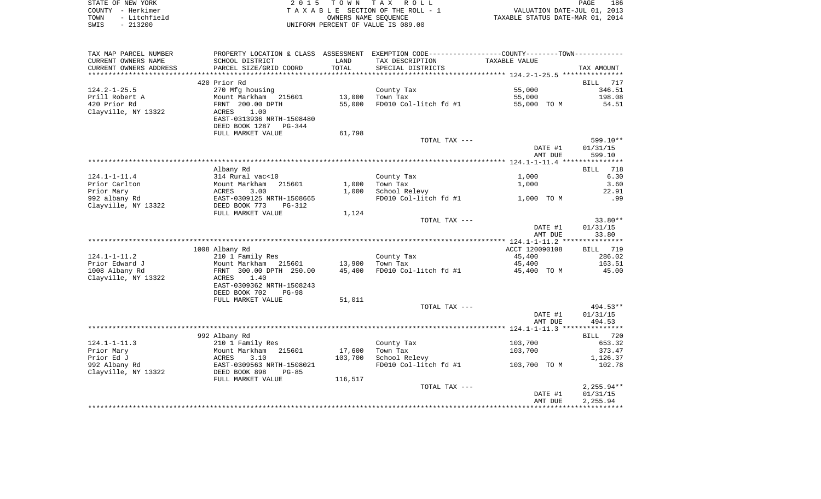| STATE OF NEW YORK    | 2015 TOWN TAX ROLL                 | 186<br>PAGE                      |
|----------------------|------------------------------------|----------------------------------|
| COUNTY – Herkimer    | TAXABLE SECTION OF THE ROLL - 1    | VALUATION DATE-JUL 01, 2013      |
| - Litchfield<br>TOWN | OWNERS NAME SEOUENCE               | TAXABLE STATUS DATE-MAR 01, 2014 |
| - 213200<br>SWIS     | UNIFORM PERCENT OF VALUE IS 089.00 |                                  |

| TAX MAP PARCEL NUMBER       |                                          |                | PROPERTY LOCATION & CLASS ASSESSMENT EXEMPTION CODE---------------COUNTY-------TOWN--------- |                |                    |
|-----------------------------|------------------------------------------|----------------|----------------------------------------------------------------------------------------------|----------------|--------------------|
| CURRENT OWNERS NAME         | SCHOOL DISTRICT                          | LAND           | TAX DESCRIPTION                                                                              | TAXABLE VALUE  |                    |
| CURRENT OWNERS ADDRESS      | PARCEL SIZE/GRID COORD                   | TOTAL          | SPECIAL DISTRICTS                                                                            |                | TAX AMOUNT         |
| **********************      |                                          |                |                                                                                              |                |                    |
|                             | 420 Prior Rd                             |                |                                                                                              |                | 717<br>BILL        |
| $124.2 - 1 - 25.5$          | 270 Mfg housing                          |                | County Tax                                                                                   | 55,000         | 346.51             |
| Prill Robert A              | Mount Markham 215601                     | 13,000         | Town Tax                                                                                     | 55,000         | 198.08             |
| 420 Prior Rd                | FRNT 200.00 DPTH                         | 55,000         | FD010 Col-litch fd #1                                                                        | 55,000 TO M    | 54.51              |
| Clayville, NY 13322         | 1.00<br>ACRES                            |                |                                                                                              |                |                    |
|                             | EAST-0313936 NRTH-1508480                |                |                                                                                              |                |                    |
|                             | DEED BOOK 1287<br>$PG-344$               |                |                                                                                              |                |                    |
|                             | FULL MARKET VALUE                        | 61,798         |                                                                                              |                |                    |
|                             |                                          |                | TOTAL TAX ---                                                                                |                | 599.10**           |
|                             |                                          |                |                                                                                              | DATE #1        | 01/31/15           |
|                             |                                          |                |                                                                                              | AMT DUE        | 599.10             |
|                             |                                          |                |                                                                                              |                |                    |
|                             | Albany Rd                                |                |                                                                                              |                | <b>BILL</b><br>718 |
| $124.1 - 1 - 11.4$          | 314 Rural vac<10                         |                | County Tax                                                                                   | 1,000          | 6.30               |
| Prior Carlton<br>Prior Mary | Mount Markham<br>215601<br>ACRES<br>3.00 | 1,000<br>1,000 | Town Tax<br>School Relevy                                                                    | 1,000          | 3.60<br>22.91      |
| 992 albany Rd               | EAST-0309125 NRTH-1508665                |                | FD010 Col-litch fd #1                                                                        | 1,000 TO M     | .99                |
| Clayville, NY 13322         | DEED BOOK 773<br>$PG-312$                |                |                                                                                              |                |                    |
|                             | FULL MARKET VALUE                        | 1,124          |                                                                                              |                |                    |
|                             |                                          |                | TOTAL TAX ---                                                                                |                | $33.80**$          |
|                             |                                          |                |                                                                                              | DATE #1        | 01/31/15           |
|                             |                                          |                |                                                                                              | AMT DUE        | 33.80              |
|                             |                                          |                |                                                                                              |                |                    |
|                             | 1008 Albany Rd                           |                |                                                                                              | ACCT 120090108 | 719<br>BILL        |
| $124.1 - 1 - 11.2$          | 210 1 Family Res                         |                | County Tax                                                                                   | 45,400         | 286.02             |
| Prior Edward J              | Mount Markham 215601                     | 13,900         | Town Tax                                                                                     | 45,400         | 163.51             |
| 1008 Albany Rd              | FRNT 300.00 DPTH 250.00                  | 45,400         | FD010 Col-litch fd #1                                                                        | 45,400 TO M    | 45.00              |
| Clayville, NY 13322         | 1.40<br>ACRES                            |                |                                                                                              |                |                    |
|                             | EAST-0309362 NRTH-1508243                |                |                                                                                              |                |                    |
|                             | DEED BOOK 702<br>$PG-98$                 |                |                                                                                              |                |                    |
|                             | FULL MARKET VALUE                        | 51,011         |                                                                                              |                |                    |
|                             |                                          |                | TOTAL TAX ---                                                                                |                | 494.53**           |
|                             |                                          |                |                                                                                              | DATE #1        | 01/31/15           |
|                             |                                          |                |                                                                                              | AMT DUE        | 494.53             |
|                             |                                          |                |                                                                                              |                |                    |
|                             | 992 Albany Rd                            |                |                                                                                              |                | BILL 720           |
| $124.1 - 1 - 11.3$          | 210 1 Family Res                         |                | County Tax                                                                                   | 103,700        | 653.32             |
| Prior Mary                  | Mount Markham 215601                     | 17,600         | Town Tax                                                                                     | 103,700        | 373.47             |
| Prior Ed J                  | ACRES<br>3.10                            | 103,700        | School Relevy                                                                                |                | 1,126.37           |
| 992 Albany Rd               | EAST-0309563 NRTH-1508021                |                | FD010 Col-litch fd #1                                                                        | 103,700 TO M   | 102.78             |
| Clayville, NY 13322         | DEED BOOK 898<br>$PG-85$                 |                |                                                                                              |                |                    |
|                             | FULL MARKET VALUE                        | 116,517        | TOTAL TAX ---                                                                                |                | $2,255.94**$       |
|                             |                                          |                |                                                                                              | DATE #1        | 01/31/15           |
|                             |                                          |                |                                                                                              | AMT DUE        | 2,255.94           |
|                             |                                          |                |                                                                                              |                |                    |
|                             |                                          |                |                                                                                              |                |                    |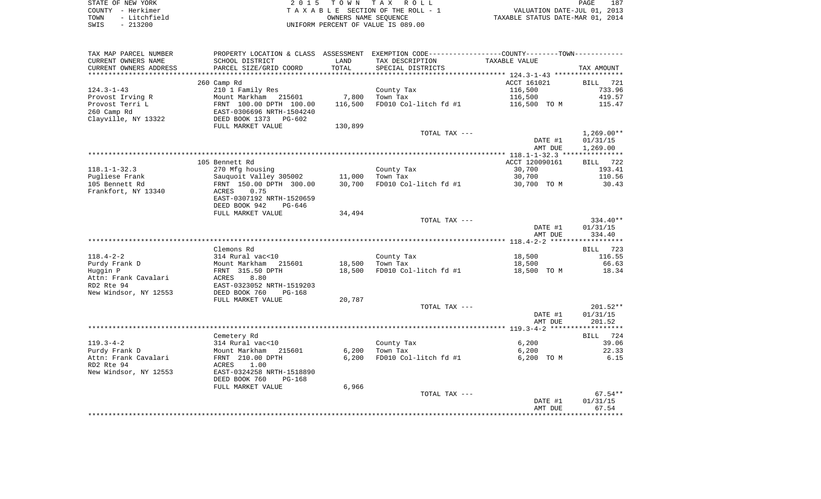| STATE OF NEW YORK    | 2015 TOWN TAX ROLL                 | 187<br>PAGE                      |
|----------------------|------------------------------------|----------------------------------|
| COUNTY - Herkimer    | TAXABLE SECTION OF THE ROLL - 1    | VALUATION DATE-JUL 01, 2013      |
| - Litchfield<br>TOWN | OWNERS NAME SEOUENCE               | TAXABLE STATUS DATE-MAR 01, 2014 |
| $-213200$<br>SWIS    | UNIFORM PERCENT OF VALUE IS 089.00 |                                  |

| TAX MAP PARCEL NUMBER   | PROPERTY LOCATION & CLASS ASSESSMENT EXEMPTION CODE---------------COUNTY-------TOWN----------    |         |                                           |                |              |
|-------------------------|--------------------------------------------------------------------------------------------------|---------|-------------------------------------------|----------------|--------------|
| CURRENT OWNERS NAME     | SCHOOL DISTRICT                                                                                  | LAND    | TAX DESCRIPTION                           | TAXABLE VALUE  |              |
| CURRENT OWNERS ADDRESS  | PARCEL SIZE/GRID COORD                                                                           | TOTAL   | SPECIAL DISTRICTS                         |                | TAX AMOUNT   |
| *********************** |                                                                                                  |         |                                           |                |              |
|                         | 260 Camp Rd                                                                                      |         |                                           | ACCT 161021    | BILL 721     |
| $124.3 - 1 - 43$        | 210 1 Family Res                                                                                 |         | County Tax                                | 116,500        | 733.96       |
| Provost Irving R        |                                                                                                  | 7,800   | Town Tax                                  | 116,500        | 419.57       |
| Provost Terri L         |                                                                                                  | 116,500 | FD010 Col-litch fd #1 116,500 TO M 115.47 |                |              |
| 260 Camp Rd             | 210 1 Pamily Res<br>Mount Markham 215601<br>FRNT 100.00 DPTH 100.00<br>EAST-0306696 NRTH-1504240 |         |                                           |                |              |
| Clayville, NY 13322     | DEED BOOK 1373 PG-602                                                                            |         |                                           |                |              |
|                         | FULL MARKET VALUE                                                                                | 130,899 |                                           |                |              |
|                         |                                                                                                  |         | TOTAL TAX ---                             |                | $1,269.00**$ |
|                         |                                                                                                  |         |                                           | DATE #1        | 01/31/15     |
|                         |                                                                                                  |         |                                           | AMT DUE        | 1,269.00     |
|                         |                                                                                                  |         |                                           |                |              |
|                         | 105 Bennett Rd                                                                                   |         |                                           | ACCT 120090161 | BILL 722     |
| $118.1 - 1 - 32.3$      | 270 Mfg housing                                                                                  |         | County Tax                                | 30,700         | 193.41       |
| Pugliese Frank          | Sauquoit Valley 305002 11,000 Town Tax                                                           |         |                                           | 30,700         | 110.56       |
| 105 Bennett Rd          | Sauquoit Valley 30330.00<br>FRNT 150.00 DPTH 300.00<br>ACRES 0.75<br>2007192 NRTH-1520659        | 30,700  | FD010 Col-litch $fd$ #1 30,700 TO M       |                | 30.43        |
| Frankfort, NY 13340     |                                                                                                  |         |                                           |                |              |
|                         |                                                                                                  |         |                                           |                |              |
|                         | DEED BOOK 942<br>PG-646                                                                          |         |                                           |                |              |
|                         | FULL MARKET VALUE                                                                                | 34,494  |                                           |                |              |
|                         |                                                                                                  |         | TOTAL TAX ---                             |                | 334.40**     |
|                         |                                                                                                  |         |                                           | DATE #1        | 01/31/15     |
|                         |                                                                                                  |         |                                           | AMT DUE        | 334.40       |
|                         |                                                                                                  |         |                                           |                |              |
|                         | Clemons Rd                                                                                       |         |                                           |                | BILL 723     |
| 118.4-2-2               | 314 Rural vac<10                                                                                 |         | County Tax                                | 18,500         | 116.55       |
| Purdy Frank D           |                                                                                                  | 18,500  | Town Tax                                  | 18,500         | 66.63        |
| Huggin P                | Mount Markham 215601<br>FRNT 315.50 DPTH                                                         | 18,500  | FD010 Col-litch fd #1                     | 18,500 TO M    | 18.34        |
| Attn: Frank Cavalari    |                                                                                                  |         |                                           |                |              |
| RD2 Rte 94              | ACRES 8.80<br>EAST-0323052 NRTH-1519203                                                          |         |                                           |                |              |
| New Windsor, NY 12553   | DEED BOOK 760<br>PG-168                                                                          |         |                                           |                |              |
|                         | FULL MARKET VALUE                                                                                | 20,787  |                                           |                |              |
|                         |                                                                                                  |         | TOTAL TAX ---                             |                | $201.52**$   |
|                         |                                                                                                  |         |                                           | DATE #1        | 01/31/15     |
|                         |                                                                                                  |         |                                           | AMT DUE        | 201.52       |
|                         |                                                                                                  |         |                                           |                |              |
|                         | Cemetery Rd                                                                                      |         |                                           |                | BILL 724     |
| $119.3 - 4 - 2$         |                                                                                                  |         | County Tax                                | 6,200          | 39.06        |
| Purdy Frank D           | 314 Rural vac<10<br>Mount Markham 215601                                                         |         | $6,200$ Town Tax                          | 6,200          | 22.33        |
| Attn: Frank Cavalari    | FRNT 210.00 DPTH                                                                                 | 6,200   | FD010 Col-litch fd #1                     | 6,200 TO M     | 6.15         |
| RD2 Rte 94              | ACRES 1.00                                                                                       |         |                                           |                |              |
| New Windsor, NY 12553   | EAST-0324258 NRTH-1518890                                                                        |         |                                           |                |              |
|                         | DEED BOOK 760<br>$PG-168$                                                                        |         |                                           |                |              |
|                         | FULL MARKET VALUE                                                                                | 6,966   |                                           |                |              |
|                         |                                                                                                  |         | TOTAL TAX ---                             |                | $67.54**$    |
|                         |                                                                                                  |         |                                           | DATE #1        | 01/31/15     |
|                         |                                                                                                  |         |                                           | AMT DUE        | 67.54        |
|                         |                                                                                                  |         |                                           |                |              |
|                         |                                                                                                  |         |                                           |                |              |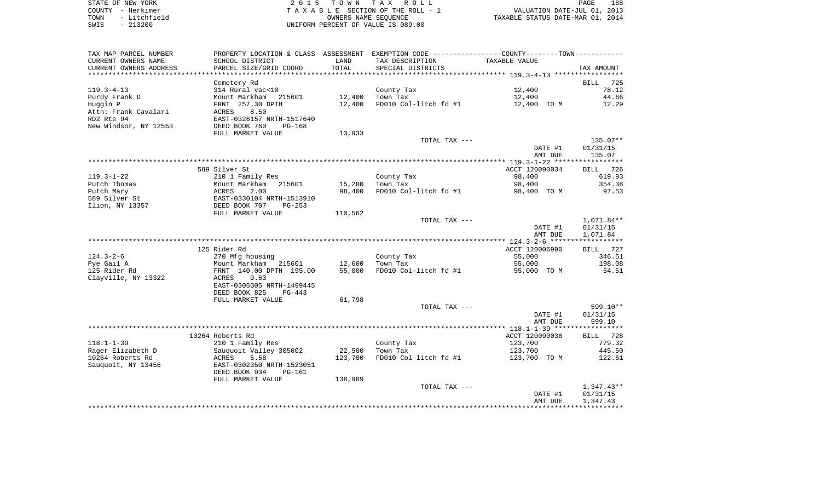| STATE OF NEW YORK    | 2015 TOWN TAX ROLL                 | 188<br>PAGE                      |
|----------------------|------------------------------------|----------------------------------|
| COUNTY - Herkimer    | TAXABLE SECTION OF THE ROLL - 1    | VALUATION DATE-JUL 01, 2013      |
| - Litchfield<br>TOWN | OWNERS NAME SEOUENCE               | TAXABLE STATUS DATE-MAR 01, 2014 |
| $-213200$<br>SWIS    | UNIFORM PERCENT OF VALUE IS 089.00 |                                  |

188<br>2013

| TAX MAP PARCEL NUMBER      |                                                 |                  | PROPERTY LOCATION & CLASS ASSESSMENT EXEMPTION CODE---------------COUNTY-------TOWN---------- |                          |                    |
|----------------------------|-------------------------------------------------|------------------|-----------------------------------------------------------------------------------------------|--------------------------|--------------------|
| CURRENT OWNERS NAME        | SCHOOL DISTRICT                                 | LAND             | TAX DESCRIPTION                                                                               | TAXABLE VALUE            |                    |
| CURRENT OWNERS ADDRESS     | PARCEL SIZE/GRID COORD                          | TOTAL            | SPECIAL DISTRICTS                                                                             |                          | TAX AMOUNT         |
| **********************     |                                                 |                  |                                                                                               |                          |                    |
|                            | Cemetery Rd                                     |                  |                                                                                               |                          | 725<br><b>BILL</b> |
| $119.3 - 4 - 13$           | 314 Rural vac<10                                |                  | County Tax                                                                                    | 12,400                   | 78.12              |
| Purdy Frank D              | Mount Markham 215601                            | 12,400           | Town Tax                                                                                      | 12,400                   | 44.66              |
| Huggin P                   | FRNT 257.30 DPTH                                | 12,400           | FD010 Col-litch fd #1                                                                         | 12,400 TO M              | 12.29              |
| Attn: Frank Cavalari       | 8.50<br>ACRES                                   |                  |                                                                                               |                          |                    |
| RD2 Rte 94                 | EAST-0326157 NRTH-1517640                       |                  |                                                                                               |                          |                    |
| New Windsor, NY 12553      | DEED BOOK 760<br>$PG-168$                       |                  |                                                                                               |                          |                    |
|                            | FULL MARKET VALUE                               | 13,933           |                                                                                               |                          |                    |
|                            |                                                 |                  | TOTAL TAX ---                                                                                 |                          | 135.07**           |
|                            |                                                 |                  |                                                                                               | DATE #1                  | 01/31/15           |
|                            |                                                 |                  |                                                                                               | AMT DUE                  | 135.07             |
|                            |                                                 |                  |                                                                                               |                          |                    |
|                            | 589 Silver St                                   |                  |                                                                                               | ACCT 120090034           | BILL 726           |
| $119.3 - 1 - 22$           | 210 1 Family Res                                |                  | County Tax                                                                                    | 98,400                   | 619.93             |
| Putch Thomas               | Mount Markham<br>215601                         | 15,200           | Town Tax                                                                                      | 98,400                   | 354.38             |
| Putch Mary                 | ACRES<br>2.00                                   | 98,400           | FD010 Col-litch fd #1                                                                         | 98,400 TO M              | 97.53              |
| 589 Silver St              | EAST-0330104 NRTH-1513910                       |                  |                                                                                               |                          |                    |
| Ilion, NY 13357            | DEED BOOK 707<br>$PG-253$                       |                  |                                                                                               |                          |                    |
|                            | FULL MARKET VALUE                               | 110,562          |                                                                                               |                          |                    |
|                            |                                                 |                  | TOTAL TAX ---                                                                                 |                          | 1,071.84**         |
|                            |                                                 |                  |                                                                                               | DATE #1                  | 01/31/15           |
|                            |                                                 |                  |                                                                                               | AMT DUE                  | 1,071.84           |
|                            |                                                 |                  |                                                                                               |                          |                    |
| $124.3 - 2 - 6$            | 125 Rider Rd                                    |                  |                                                                                               | ACCT 120006990<br>55,000 | BILL 727<br>346.51 |
|                            | 270 Mfg housing                                 |                  | County Tax<br>Town Tax                                                                        |                          | 198.08             |
| Pye Gail A<br>125 Rider Rd | Mount Markham 215601<br>FRNT 140.00 DPTH 195.00 | 12,600<br>55,000 | FD010 Col-litch fd #1                                                                         | 55,000<br>55,000 TO M    | 54.51              |
| Clayville, NY 13322        | ACRES<br>0.63                                   |                  |                                                                                               |                          |                    |
|                            | EAST-0305005 NRTH-1499445                       |                  |                                                                                               |                          |                    |
|                            | DEED BOOK 825<br>$PG-443$                       |                  |                                                                                               |                          |                    |
|                            | FULL MARKET VALUE                               | 61,798           |                                                                                               |                          |                    |
|                            |                                                 |                  | TOTAL TAX ---                                                                                 |                          | 599.10**           |
|                            |                                                 |                  |                                                                                               | DATE #1                  | 01/31/15           |
|                            |                                                 |                  |                                                                                               | AMT DUE                  | 599.10             |
|                            |                                                 |                  |                                                                                               |                          |                    |
|                            | 10264 Roberts Rd                                |                  |                                                                                               | ACCT 120090038           | BILL 728           |
| $118.1 - 1 - 39$           | 210 1 Family Res                                |                  | County Tax                                                                                    | 123,700                  | 779.32             |
| Rager Elizabeth D          | Sauquoit Valley 305002                          | 22,500           | Town Tax                                                                                      | 123,700                  | 445.50             |
| 10264 Roberts Rd           | ACRES<br>5.58                                   | 123,700          | FD010 Col-litch fd #1                                                                         | 123,700 TO M             | 122.61             |
| Sauquoit, NY 13456         | EAST-0302350 NRTH-1523051                       |                  |                                                                                               |                          |                    |
|                            | DEED BOOK 934<br><b>PG-161</b>                  |                  |                                                                                               |                          |                    |
|                            | FULL MARKET VALUE                               | 138,989          |                                                                                               |                          |                    |
|                            |                                                 |                  | TOTAL TAX ---                                                                                 |                          | $1,347.43**$       |
|                            |                                                 |                  |                                                                                               | DATE #1                  | 01/31/15           |
|                            |                                                 |                  |                                                                                               | AMT DUE                  | 1,347.43           |
|                            |                                                 |                  |                                                                                               |                          |                    |
|                            |                                                 |                  |                                                                                               |                          |                    |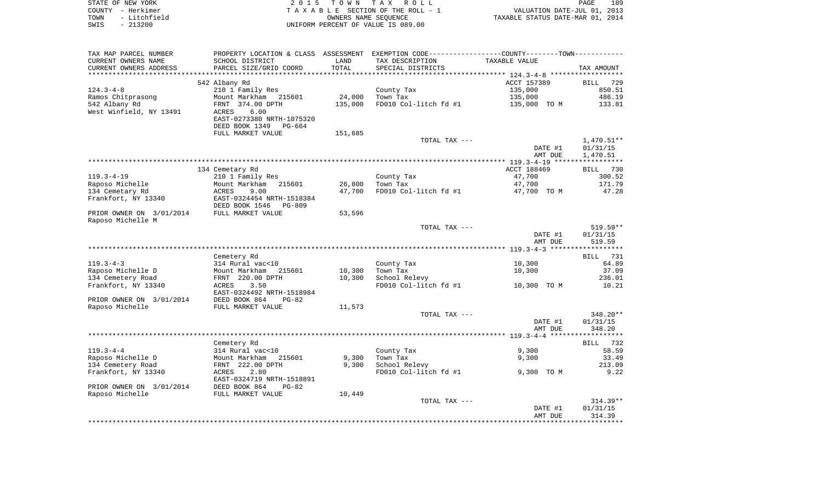| STATE OF NEW YORK<br>– Herkimer<br>COUNTY<br>- Litchfield<br>TOWN<br>$-213200$<br>SWIS | 2 0 1 5                                                                                    | T O W N       | T A X<br>R O L L<br>TAXABLE SECTION OF THE ROLL - 1<br>OWNERS NAME SEOUENCE<br>UNIFORM PERCENT OF VALUE IS 089.00 | TAXABLE STATUS DATE-MAR 01, 2014 | 189<br>PAGE<br>VALUATION DATE-JUL 01, 2013 |
|----------------------------------------------------------------------------------------|--------------------------------------------------------------------------------------------|---------------|-------------------------------------------------------------------------------------------------------------------|----------------------------------|--------------------------------------------|
|                                                                                        |                                                                                            |               |                                                                                                                   |                                  |                                            |
| TAX MAP PARCEL NUMBER<br>CURRENT OWNERS NAME<br>CURRENT OWNERS ADDRESS                 | PROPERTY LOCATION & CLASS ASSESSMENT<br>SCHOOL DISTRICT<br>PARCEL SIZE/GRID COORD          | LAND<br>TOTAL | EXEMPTION CODE-----------------COUNTY-------TOWN------------<br>TAX DESCRIPTION<br>SPECIAL DISTRICTS              | TAXABLE VALUE                    | TAX AMOUNT                                 |
|                                                                                        |                                                                                            |               |                                                                                                                   |                                  |                                            |
|                                                                                        | 542 Albany Rd                                                                              |               |                                                                                                                   | ACCT 157389                      | BILL 729                                   |
| $124.3 - 4 - 8$                                                                        | 210 1 Family Res                                                                           |               | County Tax                                                                                                        | 135,000                          | 850.51                                     |
| Ramos Chitprasong                                                                      | Mount Markham 215601                                                                       | 24,000        | Town Tax                                                                                                          | 135,000                          | 486.19                                     |
| 542 Albany Rd<br>West Winfield, NY 13491                                               | FRNT 374.00 DPTH<br>ACRES<br>6.00<br>EAST-0273380 NRTH-1075320<br>DEED BOOK 1349<br>PG-664 | 135,000       | FD010 Col-litch fd #1                                                                                             | 135,000<br>TO M                  | 133.81                                     |

|                          | FULL MARKET VALUE         | 151,685 |                       |             |             |
|--------------------------|---------------------------|---------|-----------------------|-------------|-------------|
|                          |                           |         | TOTAL TAX ---         |             | 1,470.51**  |
|                          |                           |         |                       | DATE #1     | 01/31/15    |
|                          |                           |         |                       | AMT DUE     | 1,470.51    |
|                          |                           |         |                       |             |             |
|                          | 134 Cemetary Rd           |         |                       | ACCT 188469 | 730<br>BILL |
| $119.3 - 4 - 19$         | 210 1 Family Res          |         | County Tax            | 47,700      | 300.52      |
| Raposo Michelle          | Mount Markham<br>215601   | 26,800  | Town Tax              | 47.700      | 171.79      |
| 134 Cemetary Rd          | 9.00<br>ACRES             | 47.700  | FD010 Col-litch fd #1 | 47,700 TO M | 47.28       |
| Frankfort, NY 13340      | EAST-0324454 NRTH-1518384 |         |                       |             |             |
|                          | DEED BOOK 1546 PG-809     |         |                       |             |             |
| PRIOR OWNER ON 3/01/2014 | FULL MARKET VALUE         | 53,596  |                       |             |             |
| Raposo Michelle M        |                           |         |                       |             |             |
|                          |                           |         | TOTAL TAX ---         |             | $519.59**$  |
|                          |                           |         |                       | DATE #1     | 01/31/15    |
|                          |                           |         |                       | AMT DUE     | 519.59      |
|                          |                           |         |                       |             |             |
|                          | Cemetery Rd               |         |                       |             | 731<br>BILL |
| $119.3 - 4 - 3$          | 314 Rural vac<10          |         | County Tax            | 10,300      | 64.89       |
| Raposo Michelle D        | Mount Markham 215601      | 10,300  | Town Tax              | 10,300      | 37.09       |

| Raposo Michelle D        | 215601<br>Mount Markham   | 10,300 | Town Tax              | 10,300      | 37.09      |
|--------------------------|---------------------------|--------|-----------------------|-------------|------------|
| 134 Cemetery Road        | FRNT 220.00 DPTH          | 10,300 | School Relevy         |             | 236.01     |
| Frankfort, NY 13340      | 3.50<br>ACRES             |        | FD010 Col-litch fd #1 | 10,300 TO M | 10.21      |
|                          | EAST-0324492 NRTH-1518984 |        |                       |             |            |
| PRIOR OWNER ON 3/01/2014 | DEED BOOK 864<br>PG-82    |        |                       |             |            |
| Raposo Michelle          | FULL MARKET VALUE         | 11,573 |                       |             |            |
|                          |                           |        | TOTAL TAX ---         |             | 348.20**   |
|                          |                           |        |                       | DATE #1     | 01/31/15   |
|                          |                           |        |                       |             | 348.20     |
|                          |                           |        |                       | AMT DUE     |            |
|                          |                           |        |                       |             |            |
|                          | Cemetery Rd               |        |                       |             | BILL 732   |
| 119.3-4-4                | 314 Rural vac<10          |        | County Tax            | 9,300       | 58.59      |
| Raposo Michelle D        | Mount Markham<br>215601   | 9,300  | Town Tax              | 9,300       | 33.49      |
| 134 Cemetery Road        | FRNT 222.00 DPTH          | 9,300  | School Relevy         |             | 213.09     |
| Frankfort, NY 13340      | 2.80<br>ACRES             |        | FD010 Col-litch fd #1 | 9,300 TO M  | 9.22       |
|                          | EAST-0324719 NRTH-1518891 |        |                       |             |            |
| PRIOR OWNER ON 3/01/2014 | DEED BOOK 864<br>$PG-82$  |        |                       |             |            |
|                          |                           |        |                       |             |            |
| Raposo Michelle          | FULL MARKET VALUE         | 10,449 |                       |             |            |
|                          |                           |        | TOTAL TAX ---         |             | $314.39**$ |
|                          |                           |        |                       | DATE #1     | 01/31/15   |
|                          |                           |        |                       | AMT DUE     | 314.39     |
|                          |                           |        |                       |             |            |
|                          |                           |        |                       |             |            |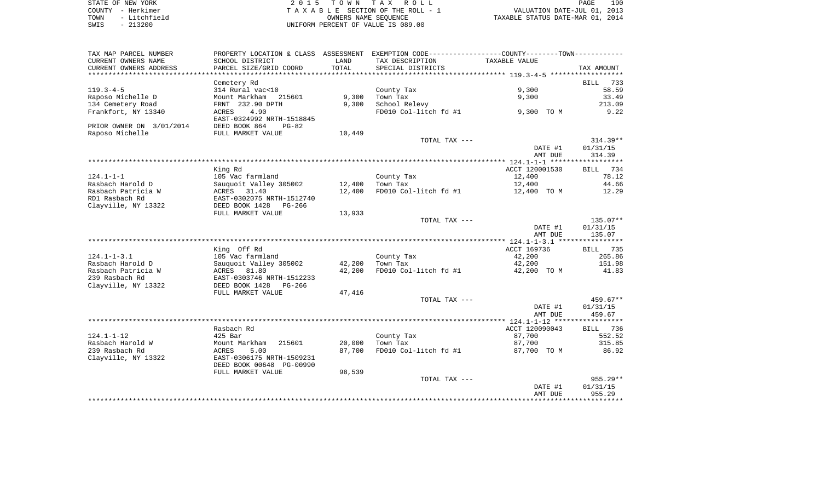| STATE OF NEW YORK |  |              |  |
|-------------------|--|--------------|--|
| COUNTY - Herkimer |  |              |  |
| TOWN              |  | - Litchfield |  |
| SWIS              |  | $-213200$    |  |

STATE OF NEW YORK 2 0 1 5 T O W N T A X R O L L PAGE 190TA X A B L E SECTION OF THE ROLL - 1 TOWN - Litchfield OWNERS NAME SEQUENCE TAXABLE STATUS DATE-MAR 01, 2014 SWIS - 213200 UNIFORM PERCENT OF VALUE IS 089.00

| TAX MAP PARCEL NUMBER           |                           |        | PROPERTY LOCATION & CLASS ASSESSMENT EXEMPTION CODE---------------COUNTY-------TOWN---------- |                                 |                    |
|---------------------------------|---------------------------|--------|-----------------------------------------------------------------------------------------------|---------------------------------|--------------------|
| CURRENT OWNERS NAME             | SCHOOL DISTRICT           | LAND   | TAX DESCRIPTION                                                                               | TAXABLE VALUE                   |                    |
| CURRENT OWNERS ADDRESS          | PARCEL SIZE/GRID COORD    | TOTAL  | SPECIAL DISTRICTS                                                                             |                                 | TAX AMOUNT         |
| ******************************* |                           |        |                                                                                               |                                 |                    |
|                                 | Cemetery Rd               |        |                                                                                               |                                 | 733<br><b>BILL</b> |
| $119.3 - 4 - 5$                 |                           |        |                                                                                               | 9,300                           |                    |
|                                 | 314 Rural vac<10          |        | County Tax                                                                                    |                                 | 58.59              |
| Raposo Michelle D               | Mount Markham<br>215601   | 9,300  | Town Tax                                                                                      | 9,300                           | 33.49              |
| 134 Cemetery Road               | FRNT 232.90 DPTH          | 9,300  | School Relevy                                                                                 |                                 | 213.09             |
| Frankfort, NY 13340             | 4.90<br>ACRES             |        | FD010 Col-litch fd #1                                                                         | 9,300 TO M                      | 9.22               |
|                                 | EAST-0324992 NRTH-1518845 |        |                                                                                               |                                 |                    |
| PRIOR OWNER ON 3/01/2014        | DEED BOOK 864<br>$PG-82$  |        |                                                                                               |                                 |                    |
| Raposo Michelle                 | FULL MARKET VALUE         | 10,449 |                                                                                               |                                 |                    |
|                                 |                           |        | TOTAL TAX ---                                                                                 |                                 | $314.39**$         |
|                                 |                           |        |                                                                                               | DATE #1                         | 01/31/15           |
|                                 |                           |        |                                                                                               |                                 |                    |
|                                 |                           |        |                                                                                               | AMT DUE                         | 314.39             |
|                                 |                           |        |                                                                                               |                                 |                    |
|                                 | King Rd                   |        |                                                                                               | ACCT 120001530                  | 734<br>BILL        |
| $124.1 - 1 - 1$                 | 105 Vac farmland          |        | County Tax                                                                                    | 12,400                          | 78.12              |
| Rasbach Harold D                | Sauguoit Valley 305002    | 12,400 | Town Tax                                                                                      | 12,400                          | 44.66              |
| Rasbach Patricia W              | 31.40<br>ACRES            | 12,400 | FD010 Col-litch fd #1                                                                         | 12,400 TO M                     | 12.29              |
| RD1 Rasbach Rd                  | EAST-0302075 NRTH-1512740 |        |                                                                                               |                                 |                    |
| Clayville, NY 13322             | DEED BOOK 1428 PG-266     |        |                                                                                               |                                 |                    |
|                                 | FULL MARKET VALUE         | 13,933 |                                                                                               |                                 |                    |
|                                 |                           |        | TOTAL TAX ---                                                                                 |                                 | $135.07**$         |
|                                 |                           |        |                                                                                               | DATE #1                         | 01/31/15           |
|                                 |                           |        |                                                                                               |                                 | 135.07             |
|                                 |                           |        |                                                                                               | AMT DUE                         |                    |
|                                 |                           |        |                                                                                               |                                 |                    |
|                                 | King Off Rd               |        |                                                                                               | ACCT 169736                     | BILL 735           |
| $124.1 - 1 - 3.1$               | 105 Vac farmland          |        | County Tax                                                                                    | 42,200                          | 265.86             |
| Rasbach Harold D                | Sauquoit Valley 305002    | 42,200 | Town Tax                                                                                      | 42,200                          | 151.98             |
| Rasbach Patricia W              | ACRES 81.80               | 42,200 | FD010 Col-litch fd #1                                                                         | 42,200 TO M                     | 41.83              |
| 239 Rasbach Rd                  | EAST-0303746 NRTH-1512233 |        |                                                                                               |                                 |                    |
| Clayville, NY 13322             | DEED BOOK 1428<br>PG-266  |        |                                                                                               |                                 |                    |
|                                 | FULL MARKET VALUE         | 47,416 |                                                                                               |                                 |                    |
|                                 |                           |        | TOTAL TAX ---                                                                                 |                                 | $459.67**$         |
|                                 |                           |        |                                                                                               |                                 |                    |
|                                 |                           |        |                                                                                               | DATE #1                         | 01/31/15           |
|                                 |                           |        |                                                                                               | AMT DUE                         | 459.67             |
|                                 |                           |        |                                                                                               |                                 |                    |
|                                 | Rasbach Rd                |        |                                                                                               | ACCT 120090043                  | 736<br><b>BILL</b> |
| $124.1 - 1 - 12$                | $425$ Bar                 |        | County Tax                                                                                    | 87,700                          | 552.52             |
| Rasbach Harold W                | Mount Markham<br>215601   | 20,000 | Town Tax                                                                                      | 87,700                          | 315.85             |
| 239 Rasbach Rd                  | ACRES<br>5.00             | 87,700 | FD010 Col-litch fd #1                                                                         | 87,700 TO M                     | 86.92              |
| Clayville, NY 13322             | EAST-0306175 NRTH-1509231 |        |                                                                                               |                                 |                    |
|                                 | DEED BOOK 00648 PG-00990  |        |                                                                                               |                                 |                    |
|                                 | FULL MARKET VALUE         | 98,539 |                                                                                               |                                 |                    |
|                                 |                           |        | TOTAL TAX ---                                                                                 |                                 | $955.29**$         |
|                                 |                           |        |                                                                                               |                                 |                    |
|                                 |                           |        |                                                                                               | DATE #1                         | 01/31/15           |
|                                 |                           |        |                                                                                               | AMT DUE                         | 955.29             |
|                                 |                           |        |                                                                                               | ******************************* |                    |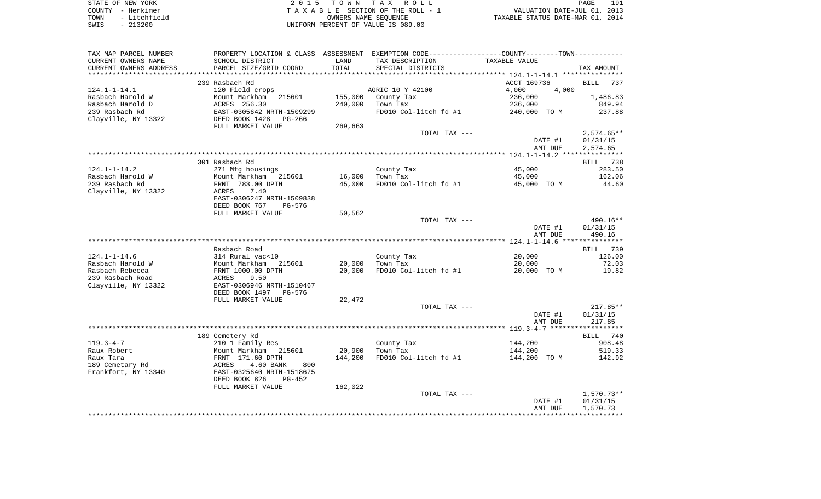| STATE OF NEW YORK    | 2015 TOWN TAX ROLL                 | 191<br>PAGE                      |
|----------------------|------------------------------------|----------------------------------|
| COUNTY - Herkimer    | TAXABLE SECTION OF THE ROLL - 1    | VALUATION DATE-JUL 01, 2013      |
| - Litchfield<br>TOWN | OWNERS NAME SEOUENCE               | TAXABLE STATUS DATE-MAR 01, 2014 |
| $-213200$<br>SWIS    | UNIFORM PERCENT OF VALUE IS 089.00 |                                  |

| TAX MAP PARCEL NUMBER  |                            |         | PROPERTY LOCATION & CLASS ASSESSMENT EXEMPTION CODE----------------COUNTY-------TOWN----------- |                |                    |
|------------------------|----------------------------|---------|-------------------------------------------------------------------------------------------------|----------------|--------------------|
| CURRENT OWNERS NAME    | SCHOOL DISTRICT            | LAND    | TAX DESCRIPTION                                                                                 | TAXABLE VALUE  |                    |
| CURRENT OWNERS ADDRESS | PARCEL SIZE/GRID COORD     | TOTAL   | SPECIAL DISTRICTS                                                                               |                | TAX AMOUNT         |
| ********************** | ************************** |         |                                                                                                 |                |                    |
|                        | 239 Rasbach Rd             |         |                                                                                                 | ACCT 169736    | <b>BILL</b><br>737 |
| $124.1 - 1 - 14.1$     | 120 Field crops            |         | AGRIC 10 Y 42100                                                                                | 4,000<br>4,000 |                    |
| Rasbach Harold W       | Mount Markham<br>215601    | 155,000 | County Tax                                                                                      | 236,000        | 1,486.83           |
| Rasbach Harold D       | ACRES 256.30               | 240,000 | Town Tax                                                                                        | 236,000        | 849.94             |
| 239 Rasbach Rd         | EAST-0305642 NRTH-1509299  |         | FD010 Col-litch fd #1                                                                           | 240,000 TO M   | 237.88             |
| Clayville, NY 13322    | DEED BOOK 1428<br>PG-266   |         |                                                                                                 |                |                    |
|                        | FULL MARKET VALUE          | 269,663 |                                                                                                 |                |                    |
|                        |                            |         | TOTAL TAX ---                                                                                   |                | $2,574.65**$       |
|                        |                            |         |                                                                                                 | DATE #1        | 01/31/15           |
|                        |                            |         |                                                                                                 | AMT DUE        | 2,574.65           |
|                        |                            |         |                                                                                                 |                |                    |
|                        | 301 Rasbach Rd             |         |                                                                                                 |                | BILL 738           |
| $124.1 - 1 - 14.2$     | 271 Mfg housings           |         | County Tax                                                                                      | 45,000         | 283.50             |
| Rasbach Harold W       | Mount Markham 215601       | 16,000  | Town Tax                                                                                        | 45,000         | 162.06             |
| 239 Rasbach Rd         | FRNT 783.00 DPTH           | 45,000  | FD010 Col-litch fd #1                                                                           | 45,000 TO M    | 44.60              |
| Clayville, NY 13322    | ACRES<br>7.40              |         |                                                                                                 |                |                    |
|                        | EAST-0306247 NRTH-1509838  |         |                                                                                                 |                |                    |
|                        | DEED BOOK 767<br>PG-576    |         |                                                                                                 |                |                    |
|                        | FULL MARKET VALUE          | 50,562  |                                                                                                 |                |                    |
|                        |                            |         | TOTAL TAX ---                                                                                   |                | 490.16**           |
|                        |                            |         |                                                                                                 | DATE #1        | 01/31/15           |
|                        |                            |         |                                                                                                 | AMT DUE        | 490.16             |
|                        |                            |         |                                                                                                 |                |                    |
|                        | Rasbach Road               |         |                                                                                                 |                | BILL 739           |
| $124.1 - 1 - 14.6$     | 314 Rural vac<10           |         | County Tax                                                                                      | 20,000         | 126.00             |
| Rasbach Harold W       | Mount Markham<br>215601    | 20,000  | Town Tax                                                                                        | 20,000         | 72.03              |
| Rasbach Rebecca        | FRNT 1000.00 DPTH          | 20,000  | FD010 Col-litch fd #1                                                                           | 20,000 TO M    | 19.82              |
| 239 Rasbach Road       | ACRES<br>9.50              |         |                                                                                                 |                |                    |
| Clayville, NY 13322    | EAST-0306946 NRTH-1510467  |         |                                                                                                 |                |                    |
|                        | DEED BOOK 1497<br>PG-576   |         |                                                                                                 |                |                    |
|                        | FULL MARKET VALUE          | 22,472  |                                                                                                 |                |                    |
|                        |                            |         | TOTAL TAX ---                                                                                   |                | $217.85**$         |
|                        |                            |         |                                                                                                 | DATE #1        | 01/31/15           |
|                        |                            |         |                                                                                                 | AMT DUE        | 217.85             |
|                        |                            |         |                                                                                                 |                |                    |
|                        | 189 Cemetery Rd            |         |                                                                                                 |                | BILL 740           |
| $119.3 - 4 - 7$        | 210 1 Family Res           |         | County Tax                                                                                      | 144,200        | 908.48             |
| Raux Robert            | Mount Markham 215601       | 20,900  | Town Tax                                                                                        | 144,200        | 519.33             |
| Raux Tara              | FRNT 171.60 DPTH           | 144,200 | FD010 Col-litch fd #1                                                                           | 144,200 TO M   | 142.92             |
| 189 Cemetary Rd        | 4.60 BANK<br>800<br>ACRES  |         |                                                                                                 |                |                    |
| Frankfort, NY 13340    | EAST-0325640 NRTH-1518675  |         |                                                                                                 |                |                    |
|                        | DEED BOOK 826<br>$PG-452$  |         |                                                                                                 |                |                    |
|                        | FULL MARKET VALUE          | 162,022 |                                                                                                 |                |                    |
|                        |                            |         | TOTAL TAX ---                                                                                   |                | 1,570.73**         |
|                        |                            |         |                                                                                                 | DATE #1        | 01/31/15           |
|                        |                            |         |                                                                                                 | AMT DUE        | 1,570.73           |
|                        |                            |         |                                                                                                 |                |                    |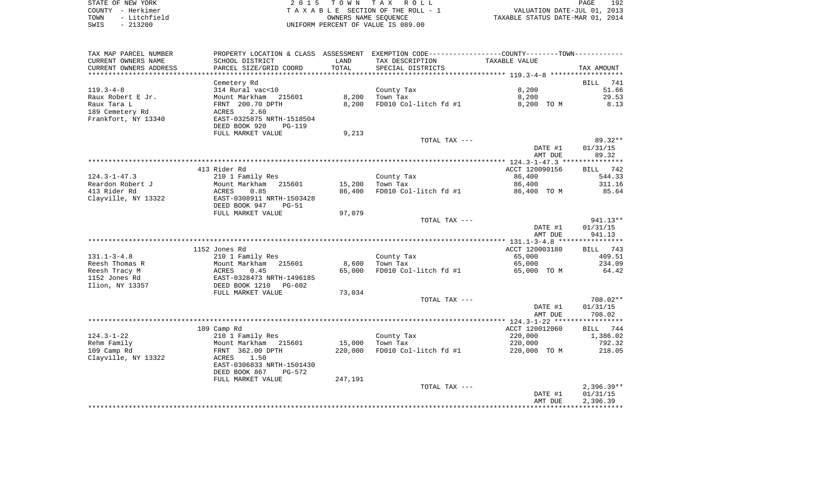| STATE OF NEW YORK    | 2015 TOWN TAX ROLL                 | 192<br>PAGE                      |
|----------------------|------------------------------------|----------------------------------|
| COUNTY - Herkimer    | TAXABLE SECTION OF THE ROLL - 1    | VALUATION DATE-JUL 01, 2013      |
| - Litchfield<br>TOWN | OWNERS NAME SEOUENCE               | TAXABLE STATUS DATE-MAR 01, 2014 |
| SWIS<br>$-213200$    | UNIFORM PERCENT OF VALUE IS 089.00 |                                  |

| TAX MAP PARCEL NUMBER              |                                   |         | PROPERTY LOCATION & CLASS ASSESSMENT EXEMPTION CODE---------------COUNTY--------TOWN---------- |                |                    |
|------------------------------------|-----------------------------------|---------|------------------------------------------------------------------------------------------------|----------------|--------------------|
| CURRENT OWNERS NAME                | SCHOOL DISTRICT                   | LAND    | TAX DESCRIPTION                                                                                | TAXABLE VALUE  |                    |
| CURRENT OWNERS ADDRESS             | PARCEL SIZE/GRID COORD            | TOTAL   | SPECIAL DISTRICTS                                                                              |                | TAX AMOUNT         |
| **********************             |                                   |         |                                                                                                |                |                    |
|                                    | Cemetery Rd                       |         |                                                                                                |                | 741<br><b>BILL</b> |
| $119.3 - 4 - 8$                    | 314 Rural vac<10                  |         | County Tax                                                                                     | 8,200          | 51.66              |
| Raux Robert E Jr.                  | Mount Markham 215601              | 8,200   | Town Tax                                                                                       | 8,200          | 29.53              |
| Raux Tara L                        | FRNT 200.70 DPTH                  | 8,200   | FD010 Col-litch fd #1                                                                          | 8,200 TO M     | 8.13               |
| 189 Cemetery Rd                    | 2.60<br>ACRES                     |         |                                                                                                |                |                    |
| Frankfort, NY 13340                | EAST-0325875 NRTH-1518504         |         |                                                                                                |                |                    |
|                                    | DEED BOOK 920<br><b>PG-119</b>    |         |                                                                                                |                |                    |
|                                    | FULL MARKET VALUE                 | 9,213   |                                                                                                |                |                    |
|                                    |                                   |         | TOTAL TAX ---                                                                                  |                | 89.32**            |
|                                    |                                   |         |                                                                                                | DATE #1        | 01/31/15           |
|                                    |                                   |         |                                                                                                | AMT DUE        | 89.32              |
|                                    | 413 Rider Rd                      |         |                                                                                                | ACCT 120090156 | BILL 742           |
| $124.3 - 1 - 47.3$                 | 210 1 Family Res                  |         | County Tax                                                                                     | 86,400         | 544.33             |
| Reardon Robert J                   | Mount Markham 215601              | 15,200  | Town Tax                                                                                       | 86,400         | 311.16             |
| 413 Rider Rd                       | ACRES<br>0.85                     | 86,400  | FD010 Col-litch fd #1                                                                          | 86,400 TO M    | 85.64              |
| Clayville, NY 13322                | EAST-0308911 NRTH-1503428         |         |                                                                                                |                |                    |
|                                    | DEED BOOK 947<br>$PG-51$          |         |                                                                                                |                |                    |
|                                    | FULL MARKET VALUE                 | 97,079  |                                                                                                |                |                    |
|                                    |                                   |         | TOTAL TAX ---                                                                                  |                | 941.13**           |
|                                    |                                   |         |                                                                                                | DATE #1        | 01/31/15           |
|                                    |                                   |         |                                                                                                | AMT DUE        | 941.13             |
|                                    |                                   |         |                                                                                                |                |                    |
|                                    | 1152 Jones Rd                     |         |                                                                                                | ACCT 120003180 | BILL 743           |
| $131.1 - 3 - 4.8$                  | 210 1 Family Res                  |         | County Tax                                                                                     | 65,000         | 409.51             |
| Reesh Thomas R                     | Mount Markham 215601              | 8,600   | Town Tax                                                                                       | 65,000         | 234.09             |
| Reesh Tracy M                      | 0.45<br>ACRES                     | 65,000  | FD010 Col-litch fd #1                                                                          | 65,000 TO M    | 64.42              |
| 1152 Jones Rd                      | EAST-0328473 NRTH-1496185         |         |                                                                                                |                |                    |
| Ilion, NY 13357                    | DEED BOOK 1210<br>PG-602          |         |                                                                                                |                |                    |
|                                    | FULL MARKET VALUE                 | 73,034  |                                                                                                |                |                    |
|                                    |                                   |         | TOTAL TAX ---                                                                                  |                | 708.02**           |
|                                    |                                   |         |                                                                                                | DATE #1        | 01/31/15           |
|                                    |                                   |         |                                                                                                | AMT DUE        | 708.02             |
|                                    |                                   |         |                                                                                                |                |                    |
|                                    | 109 Camp Rd                       |         |                                                                                                | ACCT 120012060 | <b>BILL</b><br>744 |
| $124.3 - 1 - 22$                   | 210 1 Family Res                  |         | County Tax                                                                                     | 220,000        | 1,386.02           |
| Rehm Family                        | Mount Markham 215601              | 15,000  | Town Tax                                                                                       | 220,000        | 792.32             |
| 109 Camp Rd<br>Clayville, NY 13322 | FRNT 362.00 DPTH<br>ACRES<br>1.50 | 220,000 | FD010 Col-litch fd #1                                                                          | 220,000 TO M   | 218.05             |
|                                    | EAST-0306833 NRTH-1501430         |         |                                                                                                |                |                    |
|                                    | DEED BOOK 867<br>PG-572           |         |                                                                                                |                |                    |
|                                    | FULL MARKET VALUE                 | 247,191 |                                                                                                |                |                    |
|                                    |                                   |         | TOTAL TAX ---                                                                                  |                | $2,396.39**$       |
|                                    |                                   |         |                                                                                                | DATE #1        | 01/31/15           |
|                                    |                                   |         |                                                                                                | AMT DUE        | 2,396.39           |
|                                    |                                   |         |                                                                                                |                |                    |
|                                    |                                   |         |                                                                                                |                |                    |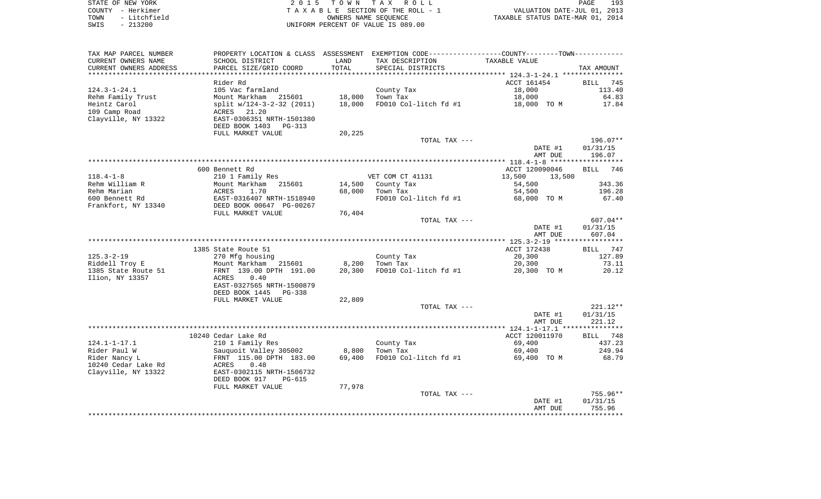| STATE OF NEW YORK    | 2015 TOWN TAX ROLL                 | 193<br>PAGE                      |
|----------------------|------------------------------------|----------------------------------|
| COUNTY - Herkimer    | TAXABLE SECTION OF THE ROLL - 1    | VALUATION DATE-JUL 01, 2013      |
| - Litchfield<br>TOWN | OWNERS NAME SEOUENCE               | TAXABLE STATUS DATE-MAR 01, 2014 |
| $-213200$<br>SWIS    | UNIFORM PERCENT OF VALUE IS 089.00 |                                  |

| TAX MAP PARCEL NUMBER     | PROPERTY LOCATION & CLASS ASSESSMENT EXEMPTION CODE----------------COUNTY-------TOWN---------- |        |                       |                  |                    |
|---------------------------|------------------------------------------------------------------------------------------------|--------|-----------------------|------------------|--------------------|
| CURRENT OWNERS NAME       | SCHOOL DISTRICT                                                                                | LAND   | TAX DESCRIPTION       | TAXABLE VALUE    |                    |
| CURRENT OWNERS ADDRESS    | PARCEL SIZE/GRID COORD                                                                         | TOTAL  | SPECIAL DISTRICTS     |                  | TAX AMOUNT         |
| ************************* |                                                                                                |        |                       |                  |                    |
|                           | Rider Rd                                                                                       |        |                       | ACCT 161454      | 745<br>BILL        |
| $124.3 - 1 - 24.1$        | 105 Vac farmland                                                                               |        | County Tax            | 18,000           | 113.40             |
| Rehm Family Trust         | Mount Markham 215601                                                                           | 18,000 | Town Tax              | 18,000           | 64.83              |
| Heintz Carol              | split w/124-3-2-32 (2011)                                                                      | 18,000 | FD010 Col-litch fd #1 | 18,000 TO M      | 17.84              |
| 109 Camp Road             | 21.20<br>ACRES                                                                                 |        |                       |                  |                    |
| Clayville, NY 13322       | EAST-0306351 NRTH-1501380                                                                      |        |                       |                  |                    |
|                           | DEED BOOK 1403<br>PG-313<br>FULL MARKET VALUE                                                  | 20,225 |                       |                  |                    |
|                           |                                                                                                |        | TOTAL TAX ---         |                  | 196.07**           |
|                           |                                                                                                |        |                       | DATE #1          | 01/31/15           |
|                           |                                                                                                |        |                       | AMT DUE          | 196.07             |
|                           |                                                                                                |        |                       |                  |                    |
|                           | 600 Bennett Rd                                                                                 |        |                       | ACCT 120090046   | <b>BILL</b><br>746 |
| $118.4 - 1 - 8$           | 210 1 Family Res                                                                               |        | VET COM CT 41131      | 13,500<br>13,500 |                    |
| Rehm William R            | Mount Markham<br>215601                                                                        | 14,500 | County Tax            | 54,500           | 343.36             |
| Rehm Marian               | ACRES<br>1.70                                                                                  | 68,000 | Town Tax              | 54,500           | 196.28             |
| 600 Bennett Rd            | EAST-0316407 NRTH-1518940                                                                      |        | FD010 Col-litch fd #1 | 68,000 TO M      | 67.40              |
| Frankfort, NY 13340       | DEED BOOK 00647 PG-00267                                                                       |        |                       |                  |                    |
|                           | FULL MARKET VALUE                                                                              | 76,404 |                       |                  |                    |
|                           |                                                                                                |        | TOTAL TAX ---         |                  | 607.04**           |
|                           |                                                                                                |        |                       | DATE #1          | 01/31/15           |
|                           |                                                                                                |        |                       | AMT DUE          | 607.04             |
|                           |                                                                                                |        |                       |                  |                    |
|                           | 1385 State Route 51                                                                            |        |                       | ACCT 172438      | BILL<br>747        |
| $125.3 - 2 - 19$          | 270 Mfg housing                                                                                |        | County Tax            | 20,300           | 127.89             |
| Riddell Troy E            | Mount Markham 215601                                                                           | 8,200  | Town Tax              | 20,300           | 73.11              |
| 1385 State Route 51       | FRNT 139.00 DPTH 191.00                                                                        | 20,300 | FD010 Col-litch fd #1 | 20,300 TO M      | 20.12              |
| Ilion, NY 13357           | ACRES<br>0.40<br>EAST-0327565 NRTH-1500879                                                     |        |                       |                  |                    |
|                           | DEED BOOK 1445<br>PG-338                                                                       |        |                       |                  |                    |
|                           | FULL MARKET VALUE                                                                              | 22,809 |                       |                  |                    |
|                           |                                                                                                |        | TOTAL TAX ---         |                  | 221.12**           |
|                           |                                                                                                |        |                       | DATE #1          | 01/31/15           |
|                           |                                                                                                |        |                       | AMT DUE          | 221.12             |
|                           |                                                                                                |        |                       |                  |                    |
|                           | 10240 Cedar Lake Rd                                                                            |        |                       | ACCT 120011970   | 748<br>BILL        |
| $124.1 - 1 - 17.1$        | 210 1 Family Res                                                                               |        | County Tax            | 69,400           | 437.23             |
| Rider Paul W              | Sauquoit Valley 305002                                                                         | 8,800  | Town Tax              | 69,400           | 249.94             |
| Rider Nancy L             | FRNT 115.00 DPTH 183.00                                                                        | 69,400 | FD010 Col-litch fd #1 | 69,400 TO M      | 68.79              |
| 10240 Cedar Lake Rd       | ACRES<br>0.48                                                                                  |        |                       |                  |                    |
| Clayville, NY 13322       | EAST-0302115 NRTH-1506732                                                                      |        |                       |                  |                    |
|                           | DEED BOOK 917<br><b>PG-615</b>                                                                 |        |                       |                  |                    |
|                           | FULL MARKET VALUE                                                                              | 77,978 |                       |                  |                    |
|                           |                                                                                                |        | TOTAL TAX ---         |                  | 755.96**           |
|                           |                                                                                                |        |                       | DATE #1          | 01/31/15           |
|                           |                                                                                                |        |                       | AMT DUE          | 755.96             |
|                           |                                                                                                |        |                       |                  |                    |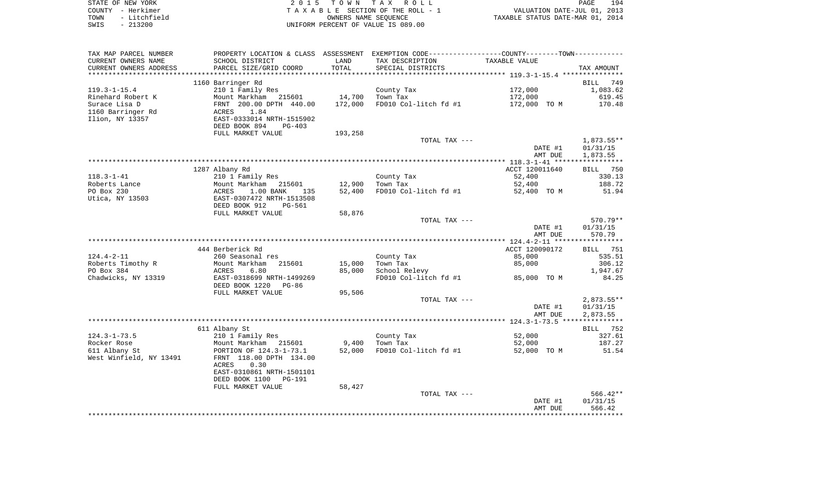|      | STATE OF NEW YORK | 2015 TOWN TAX ROLL                 | 194<br>PAGE                      |
|------|-------------------|------------------------------------|----------------------------------|
|      | COUNTY - Herkimer | TAXABLE SECTION OF THE ROLL - 1    | VALUATION DATE-JUL 01, 2013      |
| TOWN | - Litchfield      | OWNERS NAME SEOUENCE               | TAXABLE STATUS DATE-MAR 01, 2014 |
| SWIS | $-213200$         | UNIFORM PERCENT OF VALUE IS 089.00 |                                  |

| TAX MAP PARCEL NUMBER   |                           |         | PROPERTY LOCATION & CLASS ASSESSMENT EXEMPTION CODE---------------COUNTY-------TOWN---------- |                |                    |
|-------------------------|---------------------------|---------|-----------------------------------------------------------------------------------------------|----------------|--------------------|
| CURRENT OWNERS NAME     | SCHOOL DISTRICT           | LAND    | TAX DESCRIPTION                                                                               | TAXABLE VALUE  |                    |
| CURRENT OWNERS ADDRESS  | PARCEL SIZE/GRID COORD    | TOTAL   | SPECIAL DISTRICTS                                                                             |                | TAX AMOUNT         |
| *********************   |                           |         |                                                                                               |                |                    |
|                         | 1160 Barringer Rd         |         |                                                                                               |                | <b>BILL</b><br>749 |
| $119.3 - 1 - 15.4$      | 210 1 Family Res          |         | County Tax                                                                                    | 172,000        | 1,083.62           |
| Rinehard Robert K       | Mount Markham<br>215601   | 14,700  | Town Tax                                                                                      | 172,000        | 619.45             |
| Surace Lisa D           | FRNT 200.00 DPTH 440.00   | 172,000 | FD010 Col-litch fd #1                                                                         | 172,000 TO M   | 170.48             |
| 1160 Barringer Rd       | 1.84<br>ACRES             |         |                                                                                               |                |                    |
| Ilion, NY 13357         | EAST-0333014 NRTH-1515902 |         |                                                                                               |                |                    |
|                         | DEED BOOK 894<br>$PG-403$ |         |                                                                                               |                |                    |
|                         | FULL MARKET VALUE         | 193,258 |                                                                                               |                |                    |
|                         |                           |         | TOTAL TAX ---                                                                                 |                | 1,873.55**         |
|                         |                           |         |                                                                                               | DATE #1        | 01/31/15           |
|                         |                           |         |                                                                                               | AMT DUE        | 1,873.55           |
|                         |                           |         |                                                                                               |                |                    |
|                         | 1287 Albany Rd            |         |                                                                                               | ACCT 120011640 | BILL 750           |
| $118.3 - 1 - 41$        | 210 1 Family Res          |         | County Tax                                                                                    | 52,400         | 330.13             |
| Roberts Lance           | Mount Markham<br>215601   | 12,900  | Town Tax                                                                                      | 52,400         | 188.72             |
| PO Box 230              | ACRES<br>1.00 BANK<br>135 | 52,400  | FD010 Col-litch fd #1                                                                         | 52,400 TO M    | 51.94              |
| Utica, NY 13503         | EAST-0307472 NRTH-1513508 |         |                                                                                               |                |                    |
|                         | DEED BOOK 912<br>PG-561   | 58,876  |                                                                                               |                |                    |
|                         | FULL MARKET VALUE         |         | TOTAL TAX ---                                                                                 |                | 570.79**           |
|                         |                           |         |                                                                                               | DATE #1        | 01/31/15           |
|                         |                           |         |                                                                                               | AMT DUE        | 570.79             |
|                         |                           |         |                                                                                               |                |                    |
|                         | 444 Berberick Rd          |         |                                                                                               | ACCT 120090172 | BILL 751           |
| $124.4 - 2 - 11$        | 260 Seasonal res          |         | County Tax                                                                                    | 85,000         | 535.51             |
| Roberts Timothy R       | Mount Markham<br>215601   | 15,000  | Town Tax                                                                                      | 85,000         | 306.12             |
| PO Box 384              | 6.80<br>ACRES             | 85,000  | School Relevy                                                                                 |                | 1,947.67           |
| Chadwicks, NY 13319     | EAST-0318699 NRTH-1499269 |         | FD010 Col-litch fd #1                                                                         | 85,000 TO M    | 84.25              |
|                         | DEED BOOK 1220<br>PG-86   |         |                                                                                               |                |                    |
|                         | FULL MARKET VALUE         | 95,506  |                                                                                               |                |                    |
|                         |                           |         | TOTAL TAX ---                                                                                 |                | 2,873.55**         |
|                         |                           |         |                                                                                               | DATE #1        | 01/31/15           |
|                         |                           |         |                                                                                               | AMT DUE        | 2,873.55           |
|                         |                           |         |                                                                                               |                |                    |
|                         | 611 Albany St             |         |                                                                                               |                | BILL 752           |
| $124.3 - 1 - 73.5$      | 210 1 Family Res          |         | County Tax                                                                                    | 52,000         | 327.61             |
| Rocker Rose             | Mount Markham 215601      | 9,400   | Town Tax                                                                                      | 52,000         | 187.27             |
| 611 Albany St           | PORTION OF 124.3-1-73.1   | 52,000  | FD010 Col-litch fd #1                                                                         | 52,000 TO M    | 51.54              |
| West Winfield, NY 13491 | FRNT 118.00 DPTH 134.00   |         |                                                                                               |                |                    |
|                         | 0.30<br>ACRES             |         |                                                                                               |                |                    |
|                         | EAST-0310861 NRTH-1501101 |         |                                                                                               |                |                    |
|                         | DEED BOOK 1100<br>PG-191  |         |                                                                                               |                |                    |
|                         | FULL MARKET VALUE         | 58,427  |                                                                                               |                |                    |
|                         |                           |         | TOTAL TAX ---                                                                                 |                | $566.42**$         |
|                         |                           |         |                                                                                               | DATE #1        | 01/31/15           |
|                         |                           |         |                                                                                               | AMT DUE        | 566.42             |
|                         |                           |         |                                                                                               |                |                    |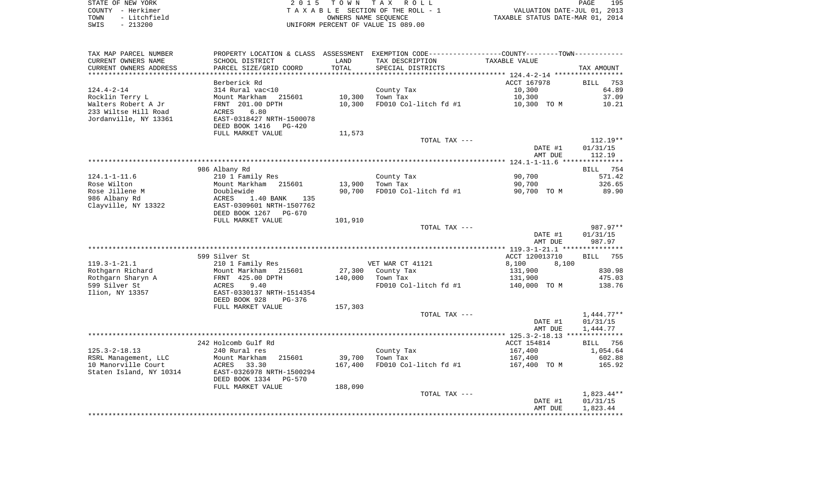|      | STATE OF NEW YORK | 2015 TOWN TAX ROLL                 | 195<br>PAGE                      |
|------|-------------------|------------------------------------|----------------------------------|
|      | COUNTY - Herkimer | TAXABLE SECTION OF THE ROLL - 1    | VALUATION DATE-JUL 01, 2013      |
| TOWN | - Litchfield      | OWNERS NAME SEOUENCE               | TAXABLE STATUS DATE-MAR 01, 2014 |
| SWIS | $-213200$         | UNIFORM PERCENT OF VALUE IS 089.00 |                                  |

|                                             |                                       |         | PROPERTY LOCATION & CLASS ASSESSMENT EXEMPTION CODE---------------COUNTY-------TOWN---------- |                    |                                                                                                                      |
|---------------------------------------------|---------------------------------------|---------|-----------------------------------------------------------------------------------------------|--------------------|----------------------------------------------------------------------------------------------------------------------|
| CURRENT OWNERS NAME                         | SCHOOL DISTRICT                       | LAND    | TAX DESCRIPTION                                                                               | TAXABLE VALUE      |                                                                                                                      |
| CURRENT OWNERS ADDRESS                      | PARCEL SIZE/GRID COORD                | TOTAL   | SPECIAL DISTRICTS                                                                             |                    | TAX AMOUNT                                                                                                           |
| *********************                       |                                       |         |                                                                                               |                    |                                                                                                                      |
|                                             | Berberick Rd                          |         |                                                                                               | ACCT 167978        | 753<br><b>BILL</b>                                                                                                   |
| $124.4 - 2 - 14$                            | 314 Rural vac<10                      |         | County Tax                                                                                    | 10,300             | 64.89                                                                                                                |
| Rocklin Terry L                             | Mount Markham<br>215601               |         | 10,300 Town Tax                                                                               | 10,300             | 37.09                                                                                                                |
| Walters Robert A Jr                         | FRNT 201.00 DPTH                      | 10,300  | FD010 Col-litch fd #1                                                                         | 10,300 TO M        | 10.21                                                                                                                |
| 233 Wiltse Hill Road                        | 6.80<br>ACRES                         |         |                                                                                               |                    |                                                                                                                      |
| Jordanville, NY 13361                       | EAST-0318427 NRTH-1500078             |         |                                                                                               |                    |                                                                                                                      |
|                                             | DEED BOOK 1416<br>PG-420              |         |                                                                                               |                    |                                                                                                                      |
|                                             | FULL MARKET VALUE                     | 11,573  | TOTAL TAX ---                                                                                 |                    | $112.19**$                                                                                                           |
|                                             |                                       |         |                                                                                               | DATE #1            | 01/31/15                                                                                                             |
|                                             |                                       |         |                                                                                               | AMT DUE            | 112.19                                                                                                               |
|                                             |                                       |         |                                                                                               |                    |                                                                                                                      |
|                                             | 986 Albany Rd                         |         |                                                                                               |                    | BILL 754                                                                                                             |
| $124.1 - 1 - 11.6$                          | 210 1 Family Res                      |         | County Tax                                                                                    | 90,700             | 571.42                                                                                                               |
| Rose Wilton                                 | Mount Markham 215601                  |         | 13,900 Town Tax                                                                               | 90,700             | 326.65                                                                                                               |
| Rose Jillene M                              | Doublewide                            | 90,700  | FD010 Col-litch fd #1                                                                         | 90,700 TO M        | 89.90                                                                                                                |
| 986 Albany Rd                               | ACRES<br>1.40 BANK<br>135             |         |                                                                                               |                    |                                                                                                                      |
| Clayville, NY 13322                         | EAST-0309601 NRTH-1507762             |         |                                                                                               |                    |                                                                                                                      |
|                                             | DEED BOOK 1267 PG-670                 |         |                                                                                               |                    |                                                                                                                      |
|                                             | FULL MARKET VALUE                     | 101,910 |                                                                                               |                    |                                                                                                                      |
|                                             |                                       |         |                                                                                               |                    |                                                                                                                      |
|                                             |                                       |         | TOTAL TAX ---                                                                                 |                    |                                                                                                                      |
|                                             |                                       |         |                                                                                               | DATE #1            | 01/31/15                                                                                                             |
|                                             |                                       |         |                                                                                               | AMT DUE            | 987.97                                                                                                               |
|                                             |                                       |         |                                                                                               |                    |                                                                                                                      |
|                                             | 599 Silver St                         |         |                                                                                               | ACCT 120013710     | <b>BILL</b>                                                                                                          |
| $119.3 - 1 - 21.1$                          | 210 1 Family Res                      |         | VET WAR CT 41121                                                                              | 8,100<br>8,100     |                                                                                                                      |
| Rothgarn Richard                            | Mount Markham 215601                  |         | 27,300 County Tax                                                                             | 131,900            |                                                                                                                      |
| Rothgarn Sharyn A                           | FRNT 425.00 DPTH                      |         | 140,000 Town Tax                                                                              | 131,900            |                                                                                                                      |
| 599 Silver St                               | ACRES<br>9.40                         |         | FD010 Col-litch fd #1                                                                         | 140,000 TO M       |                                                                                                                      |
| Ilion, NY 13357                             | EAST-0330137 NRTH-1514354             |         |                                                                                               |                    |                                                                                                                      |
|                                             | DEED BOOK 928<br>PG-376               |         |                                                                                               |                    |                                                                                                                      |
|                                             | FULL MARKET VALUE                     | 157,303 |                                                                                               |                    |                                                                                                                      |
|                                             |                                       |         | TOTAL TAX ---                                                                                 |                    |                                                                                                                      |
|                                             |                                       |         |                                                                                               | DATE #1            | 01/31/15                                                                                                             |
|                                             |                                       |         |                                                                                               | AMT DUE            | 1,444.77                                                                                                             |
|                                             |                                       |         |                                                                                               |                    |                                                                                                                      |
|                                             | 242 Holcomb Gulf Rd                   |         |                                                                                               | ACCT 154814        | <b>BILL</b>                                                                                                          |
| $125.3 - 2 - 18.13$                         | 240 Rural res<br>Mount Markham 215601 | 39,700  | County Tax<br>Town Tax                                                                        | 167,400<br>167,400 |                                                                                                                      |
| RSRL Management, LLC<br>10 Manorville Court | ACRES 33.30                           | 167,400 | FD010 Col-litch fd #1                                                                         | 167,400 TO M       |                                                                                                                      |
| Staten Island, NY 10314                     | EAST-0326978 NRTH-1500294             |         |                                                                                               |                    |                                                                                                                      |
|                                             | DEED BOOK 1334 PG-570                 |         |                                                                                               |                    |                                                                                                                      |
|                                             | FULL MARKET VALUE                     | 188,090 |                                                                                               |                    |                                                                                                                      |
|                                             |                                       |         | TOTAL TAX ---                                                                                 |                    | 987.97**<br>755<br>830.98<br>475.03<br>138.76<br>$1,444.77**$<br>756<br>1,054.64<br>602.88<br>165.92<br>$1,823.44**$ |
|                                             |                                       |         |                                                                                               | DATE #1            | 01/31/15<br>1,823.44                                                                                                 |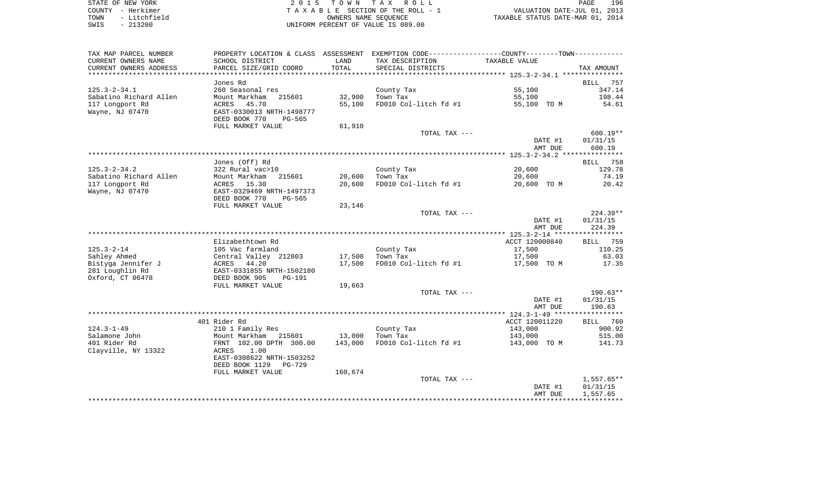| STATE OF NEW YORK    | 2015 TOWN TAX ROLL                 | 196<br>PAGE                      |
|----------------------|------------------------------------|----------------------------------|
| COUNTY - Herkimer    | TAXABLE SECTION OF THE ROLL - 1    | VALUATION DATE-JUL 01, 2013      |
| - Litchfield<br>TOWN | OWNERS NAME SEOUENCE               | TAXABLE STATUS DATE-MAR 01, 2014 |
| - 213200<br>SWIS     | UNIFORM PERCENT OF VALUE IS 089.00 |                                  |

| TAX MAP PARCEL NUMBER  | PROPERTY LOCATION & CLASS      | ASSESSMENT | EXEMPTION CODE-----------------COUNTY--------TOWN----------- |                |                 |
|------------------------|--------------------------------|------------|--------------------------------------------------------------|----------------|-----------------|
| CURRENT OWNERS NAME    | SCHOOL DISTRICT                | LAND       | TAX DESCRIPTION                                              | TAXABLE VALUE  |                 |
| CURRENT OWNERS ADDRESS | PARCEL SIZE/GRID COORD         | TOTAL      | SPECIAL DISTRICTS                                            |                | TAX AMOUNT      |
|                        |                                |            |                                                              |                |                 |
|                        | Jones Rd                       |            |                                                              |                | BILL<br>757     |
| $125.3 - 2 - 34.1$     | 260 Seasonal res               |            | County Tax                                                   | 55,100         | 347.14          |
| Sabatino Richard Allen | Mount Markham<br>215601        | 32,900     | Town Tax                                                     | 55,100         | 198.44          |
| 117 Longport Rd        | 45.70<br>ACRES                 | 55,100     | FD010 Col-litch fd #1                                        | 55,100 TO M    | 54.61           |
| Wayne, NJ 07470        | EAST-0330013 NRTH-1498777      |            |                                                              |                |                 |
|                        | DEED BOOK 770<br>PG-565        |            |                                                              |                |                 |
|                        | FULL MARKET VALUE              | 61,910     |                                                              |                |                 |
|                        |                                |            | TOTAL TAX ---                                                |                | $600.19**$      |
|                        |                                |            |                                                              | DATE #1        | 01/31/15        |
|                        |                                |            |                                                              | AMT DUE        | 600.19          |
|                        |                                |            |                                                              |                |                 |
|                        | Jones (Off) Rd                 |            |                                                              |                | 758<br>BILL     |
| $125.3 - 2 - 34.2$     | 322 Rural vac>10               |            | County Tax                                                   | 20,600         | 129.78          |
| Sabatino Richard Allen | Mount Markham<br>215601        | 20,600     | Town Tax                                                     | 20,600         | 74.19           |
| 117 Longport Rd        | ACRES<br>15.30                 | 20,600     | FD010 Col-litch fd #1                                        | 20,600 TO M    | 20.42           |
| Wayne, NJ 07470        | EAST-0329469 NRTH-1497373      |            |                                                              |                |                 |
|                        | DEED BOOK 770<br>PG-565        |            |                                                              |                |                 |
|                        | FULL MARKET VALUE              | 23,146     |                                                              |                |                 |
|                        |                                |            | TOTAL TAX ---                                                |                | $224.39**$      |
|                        |                                |            |                                                              | DATE #1        | 01/31/15        |
|                        |                                |            |                                                              | AMT DUE        | 224.39          |
|                        | Elizabethtown Rd               |            |                                                              | ACCT 120000840 | <b>BILL</b> 759 |
|                        |                                |            |                                                              |                |                 |
| $125.3 - 2 - 14$       | 105 Vac farmland               |            | County Tax                                                   | 17,500         | 110.25          |
| Sahley Ahmed           | Central Valley 212803          | 17,500     | Town Tax                                                     | 17,500         | 63.03           |
| Bistyga Jennifer J     | ACRES 44.20                    | 17,500     | FD010 Col-litch fd #1                                        | 17,500 TO M    | 17.35           |
| 281 Loughlin Rd        | EAST-0331855 NRTH-1502180      |            |                                                              |                |                 |
| Oxford, CT 06478       | DEED BOOK 905<br><b>PG-191</b> |            |                                                              |                |                 |
|                        | FULL MARKET VALUE              | 19,663     | TOTAL TAX ---                                                |                | $190.63**$      |
|                        |                                |            |                                                              | DATE #1        | 01/31/15        |
|                        |                                |            |                                                              | AMT DUE        | 190.63          |
|                        |                                |            |                                                              |                |                 |
|                        | 401 Rider Rd                   |            |                                                              | ACCT 120011220 | <b>BILL</b> 760 |
| $124.3 - 1 - 49$       | 210 1 Family Res               |            | County Tax                                                   | 143,000        | 900.92          |
| Salamone John          | Mount Markham 215601           | 13,000     | Town Tax                                                     | 143,000        | 515.00          |
| 401 Rider Rd           | FRNT 102.00 DPTH 300.00        | 143,000    | FD010 Col-litch fd #1                                        | 143,000 TO M   | 141.73          |
| Clayville, NY 13322    | 1.00<br>ACRES                  |            |                                                              |                |                 |
|                        | EAST-0308622 NRTH-1503252      |            |                                                              |                |                 |
|                        | DEED BOOK 1129<br>$PG-729$     |            |                                                              |                |                 |
|                        | FULL MARKET VALUE              | 160,674    |                                                              |                |                 |
|                        |                                |            | TOTAL TAX ---                                                |                | $1,557.65**$    |
|                        |                                |            |                                                              | DATE #1        | 01/31/15        |
|                        |                                |            |                                                              | AMT DUE        | 1,557.65        |
|                        |                                |            |                                                              |                |                 |
|                        |                                |            |                                                              |                |                 |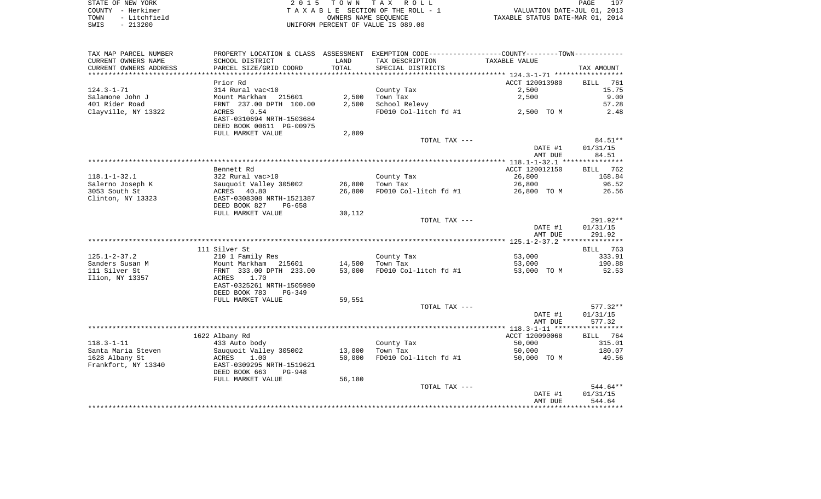| STATE OF NEW YORK    | 2015 TOWN TAX ROLL                 | 197<br>PAGE                      |
|----------------------|------------------------------------|----------------------------------|
| COUNTY - Herkimer    | TAXABLE SECTION OF THE ROLL - 1    | VALUATION DATE-JUL 01, 2013      |
| - Litchfield<br>TOWN | OWNERS NAME SEOUENCE               | TAXABLE STATUS DATE-MAR 01, 2014 |
| SWIS<br>$-213200$    | UNIFORM PERCENT OF VALUE IS 089.00 |                                  |

| TAX MAP PARCEL NUMBER  |                           |        | PROPERTY LOCATION & CLASS ASSESSMENT EXEMPTION CODE----------------COUNTY--------TOWN----------- |                |             |
|------------------------|---------------------------|--------|--------------------------------------------------------------------------------------------------|----------------|-------------|
| CURRENT OWNERS NAME    | SCHOOL DISTRICT           | LAND   | TAX DESCRIPTION                                                                                  | TAXABLE VALUE  |             |
| CURRENT OWNERS ADDRESS | PARCEL SIZE/GRID COORD    | TOTAL  | SPECIAL DISTRICTS                                                                                |                | TAX AMOUNT  |
| ********************   |                           |        |                                                                                                  |                |             |
|                        | Prior Rd                  |        |                                                                                                  | ACCT 120013980 | BILL<br>761 |
| $124.3 - 1 - 71$       | 314 Rural vac<10          |        | County Tax                                                                                       | 2,500          | 15.75       |
| Salamone John J        | Mount Markham 215601      | 2,500  | Town Tax                                                                                         | 2,500          | 9.00        |
| 401 Rider Road         | FRNT 237.00 DPTH 100.00   | 2,500  | School Relevy                                                                                    |                | 57.28       |
| Clayville, NY 13322    | ACRES<br>0.54             |        | FD010 Col-litch fd #1                                                                            | 2,500 TO M     | 2.48        |
|                        | EAST-0310694 NRTH-1503684 |        |                                                                                                  |                |             |
|                        | DEED BOOK 00611 PG-00975  |        |                                                                                                  |                |             |
|                        | FULL MARKET VALUE         | 2,809  |                                                                                                  |                |             |
|                        |                           |        | TOTAL TAX ---                                                                                    |                | 84.51**     |
|                        |                           |        |                                                                                                  | DATE #1        | 01/31/15    |
|                        |                           |        |                                                                                                  | AMT DUE        | 84.51       |
|                        | Bennett Rd                |        |                                                                                                  | ACCT 120012150 | BILL 762    |
| $118.1 - 1 - 32.1$     | 322 Rural vac>10          |        | County Tax                                                                                       | 26,800         | 168.84      |
| Salerno Joseph K       | Sauquoit Valley 305002    | 26,800 | Town Tax                                                                                         | 26,800         | 96.52       |
| 3053 South St          | ACRES 40.80               | 26,800 | FD010 Col-litch fd #1                                                                            | 26,800 TO M    | 26.56       |
| Clinton, NY 13323      | EAST-0308308 NRTH-1521387 |        |                                                                                                  |                |             |
|                        | DEED BOOK 827<br>$PG-658$ |        |                                                                                                  |                |             |
|                        | FULL MARKET VALUE         | 30,112 |                                                                                                  |                |             |
|                        |                           |        | TOTAL TAX ---                                                                                    |                | $291.92**$  |
|                        |                           |        |                                                                                                  | DATE #1        | 01/31/15    |
|                        |                           |        |                                                                                                  | AMT DUE        | 291.92      |
|                        |                           |        |                                                                                                  |                |             |
|                        | 111 Silver St             |        |                                                                                                  |                | BILL 763    |
| $125.1 - 2 - 37.2$     | 210 1 Family Res          |        | County Tax                                                                                       | 53,000         | 333.91      |
| Sanders Susan M        | Mount Markham 215601      | 14,500 | Town Tax                                                                                         | 53,000         | 190.88      |
| 111 Silver St          | FRNT 333.00 DPTH 233.00   | 53,000 | FD010 Col-litch fd #1                                                                            | 53,000 TO M    | 52.53       |
| Ilion, NY 13357        | 1.70<br>ACRES             |        |                                                                                                  |                |             |
|                        | EAST-0325261 NRTH-1505980 |        |                                                                                                  |                |             |
|                        | DEED BOOK 783<br>$PG-349$ |        |                                                                                                  |                |             |
|                        | FULL MARKET VALUE         | 59,551 | TOTAL TAX ---                                                                                    |                | 577.32**    |
|                        |                           |        |                                                                                                  | DATE #1        | 01/31/15    |
|                        |                           |        |                                                                                                  | AMT DUE        | 577.32      |
|                        |                           |        |                                                                                                  |                |             |
|                        | 1622 Albany Rd            |        |                                                                                                  | ACCT 120090068 | BILL 764    |
| $118.3 - 1 - 11$       | 433 Auto body             |        | County Tax                                                                                       | 50,000         | 315.01      |
| Santa Maria Steven     | Sauquoit Valley 305002    | 13,000 | Town Tax                                                                                         | 50,000         | 180.07      |
| 1628 Albany St         | ACRES<br>1.00             | 50,000 | FD010 Col-litch fd #1                                                                            | 50,000 TO M    | 49.56       |
| Frankfort, NY 13340    | EAST-0309295 NRTH-1519621 |        |                                                                                                  |                |             |
|                        | DEED BOOK 663<br>PG-948   |        |                                                                                                  |                |             |
|                        | FULL MARKET VALUE         | 56,180 |                                                                                                  |                |             |
|                        |                           |        | TOTAL TAX ---                                                                                    |                | 544.64**    |
|                        |                           |        |                                                                                                  | DATE #1        | 01/31/15    |
|                        |                           |        |                                                                                                  | AMT DUE        | 544.64      |
|                        |                           |        |                                                                                                  |                |             |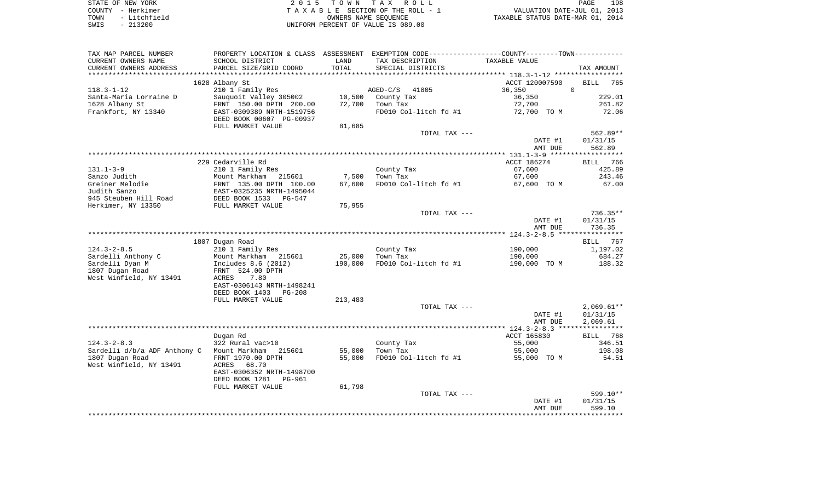| STATE OF NEW YORK    | 2015 TOWN TAX ROLL                 | 198<br>PAGE                      |
|----------------------|------------------------------------|----------------------------------|
| COUNTY - Herkimer    | TAXABLE SECTION OF THE ROLL - 1    | VALUATION DATE-JUL 01, 2013      |
| - Litchfield<br>TOWN | OWNERS NAME SEOUENCE               | TAXABLE STATUS DATE-MAR 01, 2014 |
| $-213200$<br>SWIS    | UNIFORM PERCENT OF VALUE IS 089.00 |                                  |

| TAX MAP PARCEL NUMBER<br>CURRENT OWNERS NAME<br>CURRENT OWNERS ADDRESS                                        | SCHOOL DISTRICT<br>PARCEL SIZE/GRID COORD                                                                                                                            | LAND<br>TOTAL              | PROPERTY LOCATION & CLASS ASSESSMENT EXEMPTION CODE---------------COUNTY-------TOWN---------<br>TAX DESCRIPTION<br>SPECIAL DISTRICTS | TAXABLE VALUE                                               | TAX AMOUNT                                                     |
|---------------------------------------------------------------------------------------------------------------|----------------------------------------------------------------------------------------------------------------------------------------------------------------------|----------------------------|--------------------------------------------------------------------------------------------------------------------------------------|-------------------------------------------------------------|----------------------------------------------------------------|
| ************************                                                                                      |                                                                                                                                                                      |                            |                                                                                                                                      |                                                             |                                                                |
| $118.3 - 1 - 12$<br>Santa-Maria Lorraine D<br>1628 Albany St<br>Frankfort, NY 13340                           | 1628 Albany St<br>210 1 Family Res<br>Sauquoit Valley 305002<br>FRNT 150.00 DPTH 200.00<br>EAST-0309389 NRTH-1519756<br>DEED BOOK 00607 PG-00937                     | 10,500<br>72,700           | $AGED-C/S$<br>41805<br>County Tax<br>Town Tax<br>FD010 Col-litch fd #1                                                               | ACCT 120007590<br>36,350<br>36,350<br>72,700<br>72,700 TO M | <b>BILL</b><br>765<br>$\mathbf 0$<br>229.01<br>261.82<br>72.06 |
|                                                                                                               | FULL MARKET VALUE                                                                                                                                                    | 81,685                     | TOTAL TAX ---                                                                                                                        | DATE #1<br>AMT DUE                                          | 562.89**<br>01/31/15<br>562.89                                 |
|                                                                                                               | 229 Cedarville Rd                                                                                                                                                    |                            |                                                                                                                                      | ACCT 186274                                                 | 766<br><b>BILL</b>                                             |
| $131.1 - 3 - 9$<br>Sanzo Judith<br>Greiner Melodie                                                            | 210 1 Family Res<br>Mount Markham 215601<br>FRNT 135.00 DPTH 100.00                                                                                                  | 7,500<br>67,600            | County Tax<br>Town Tax<br>FD010 Col-litch fd #1                                                                                      | 67,600<br>67,600<br>67,600 TO M                             | 425.89<br>243.46<br>67.00                                      |
| Judith Sanzo<br>945 Steuben Hill Road<br>Herkimer, NY 13350                                                   | EAST-0325235 NRTH-1495044<br>DEED BOOK 1533<br>PG-547<br>FULL MARKET VALUE                                                                                           | 75,955                     |                                                                                                                                      |                                                             |                                                                |
|                                                                                                               |                                                                                                                                                                      |                            | TOTAL TAX ---                                                                                                                        | DATE #1<br>AMT DUE                                          | $736.35**$<br>01/31/15<br>736.35                               |
|                                                                                                               | 1807 Dugan Road                                                                                                                                                      |                            |                                                                                                                                      |                                                             | ***********<br>767<br>BILL                                     |
| $124.3 - 2 - 8.5$<br>Sardelli Anthony C<br>Sardelli Dyan M<br>1807 Dugan Road<br>West Winfield, NY 13491      | 210 1 Family Res<br>Mount Markham 215601<br>Includes 8.6 (2012)<br>FRNT 524.00 DPTH<br>ACRES<br>7.80<br>EAST-0306143 NRTH-1498241<br>DEED BOOK 1403<br><b>PG-208</b> | 25,000<br>190,000          | County Tax<br>Town Tax<br>FD010 Col-litch fd #1                                                                                      | 190,000<br>190,000<br>190,000 TO M                          | 1,197.02<br>684.27<br>188.32                                   |
|                                                                                                               | FULL MARKET VALUE                                                                                                                                                    | 213,483                    | TOTAL TAX ---                                                                                                                        | DATE #1                                                     | $2,069.61**$<br>01/31/15                                       |
|                                                                                                               |                                                                                                                                                                      |                            |                                                                                                                                      | AMT DUE                                                     | 2,069.61                                                       |
| $124.3 - 2 - 8.3$<br>Sardelli d/b/a ADF Anthony C Mount Markham<br>1807 Dugan Road<br>West Winfield, NY 13491 | Dugan Rd<br>322 Rural vac>10<br>215601<br>FRNT 1970.00 DPTH<br>68.70<br>ACRES<br>EAST-0306352 NRTH-1498700<br>DEED BOOK 1281<br>PG-961<br>FULL MARKET VALUE          | 55,000<br>55,000<br>61,798 | County Tax<br>Town Tax<br>FD010 Col-litch fd #1                                                                                      | ACCT 165830<br>55,000<br>55,000<br>55,000 TO M              | 768<br>BILL<br>346.51<br>198.08<br>54.51                       |
|                                                                                                               |                                                                                                                                                                      |                            | TOTAL TAX ---                                                                                                                        | DATE #1<br>AMT DUE                                          | 599.10**<br>01/31/15<br>599.10                                 |
|                                                                                                               |                                                                                                                                                                      |                            |                                                                                                                                      |                                                             |                                                                |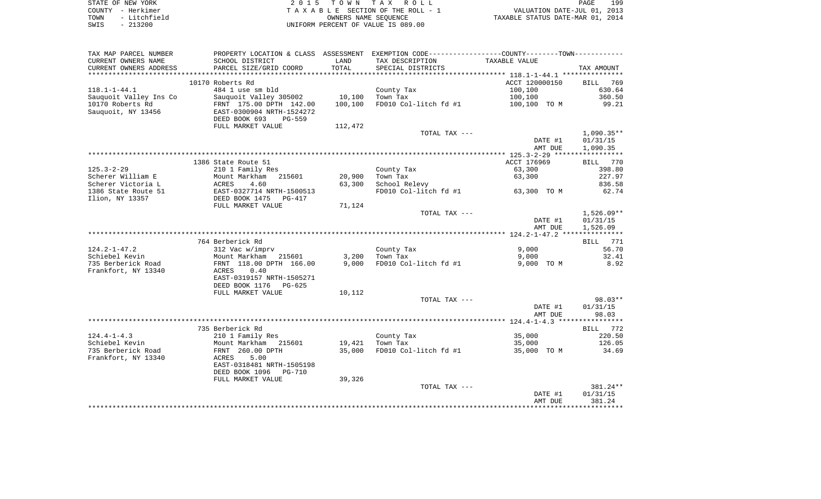| STATE OF NEW YORK    | 2015 TOWN TAX ROLL                 | 199<br>PAGE                      |
|----------------------|------------------------------------|----------------------------------|
| COUNTY - Herkimer    | TAXABLE SECTION OF THE ROLL - 1    | VALUATION DATE-JUL 01, 2013      |
| - Litchfield<br>TOWN | OWNERS NAME SEOUENCE               | TAXABLE STATUS DATE-MAR 01, 2014 |
| $-213200$<br>SWIS    | UNIFORM PERCENT OF VALUE IS 089.00 |                                  |

| TAX MAP PARCEL NUMBER  | PROPERTY LOCATION & CLASS ASSESSMENT EXEMPTION CODE----------------COUNTY-------TOWN---------- |         |                       |                |                    |
|------------------------|------------------------------------------------------------------------------------------------|---------|-----------------------|----------------|--------------------|
| CURRENT OWNERS NAME    | SCHOOL DISTRICT                                                                                | LAND    | TAX DESCRIPTION       | TAXABLE VALUE  |                    |
| CURRENT OWNERS ADDRESS | PARCEL SIZE/GRID COORD                                                                         | TOTAL   | SPECIAL DISTRICTS     |                | TAX AMOUNT         |
|                        |                                                                                                |         |                       |                |                    |
|                        | 10170 Roberts Rd                                                                               |         |                       | ACCT 120000150 | 769<br><b>BILL</b> |
| $118.1 - 1 - 44.1$     | 484 1 use sm bld                                                                               |         | County Tax            | 100,100        | 630.64             |
| Sauquoit Valley Ins Co | Sauquoit Valley 305002                                                                         | 10,100  | Town Tax              | 100,100        | 360.50             |
| 10170 Roberts Rd       | FRNT 175.00 DPTH 142.00                                                                        | 100,100 | FD010 Col-litch fd #1 | 100,100 TO M   | 99.21              |
| Sauquoit, NY 13456     | EAST-0300904 NRTH-1524272                                                                      |         |                       |                |                    |
|                        | DEED BOOK 693<br>$PG-559$                                                                      |         |                       |                |                    |
|                        | FULL MARKET VALUE                                                                              | 112,472 |                       |                |                    |
|                        |                                                                                                |         | TOTAL TAX ---         |                | $1,090.35**$       |
|                        |                                                                                                |         |                       | DATE #1        | 01/31/15           |
|                        |                                                                                                |         |                       | AMT DUE        | 1,090.35           |
|                        |                                                                                                |         |                       |                |                    |
|                        | 1386 State Route 51                                                                            |         |                       | ACCT 176969    | 770<br>BILL        |
| $125.3 - 2 - 29$       | 210 1 Family Res                                                                               |         | County Tax            | 63,300         | 398.80             |
| Scherer William E      | Mount Markham<br>215601                                                                        | 20,900  | Town Tax              | 63,300         | 227.97             |
| Scherer Victoria L     | ACRES<br>4.60                                                                                  | 63,300  | School Relevy         |                | 836.58             |
| 1386 State Route 51    | EAST-0327714 NRTH-1500513                                                                      |         | FD010 Col-litch fd #1 | 63,300 TO M    | 62.74              |
| Ilion, NY 13357        | DEED BOOK 1475<br>PG-417                                                                       |         |                       |                |                    |
|                        | FULL MARKET VALUE                                                                              | 71,124  | TOTAL TAX ---         |                | $1,526.09**$       |
|                        |                                                                                                |         |                       | DATE #1        | 01/31/15           |
|                        |                                                                                                |         |                       | AMT DUE        | 1,526.09           |
|                        |                                                                                                |         |                       |                |                    |
|                        | 764 Berberick Rd                                                                               |         |                       |                | BILL<br>771        |
| $124.2 - 1 - 47.2$     | 312 Vac w/imprv                                                                                |         | County Tax            | 9,000          | 56.70              |
| Schiebel Kevin         | Mount Markham<br>215601                                                                        | 3,200   | Town Tax              | 9,000          | 32.41              |
| 735 Berberick Road     | FRNT 118.00 DPTH 166.00                                                                        | 9,000   | FD010 Col-litch fd #1 | 9,000 TO M     | 8.92               |
| Frankfort, NY 13340    | 0.40<br>ACRES                                                                                  |         |                       |                |                    |
|                        | EAST-0319157 NRTH-1505271                                                                      |         |                       |                |                    |
|                        | DEED BOOK 1176<br>$PG-625$                                                                     |         |                       |                |                    |
|                        | FULL MARKET VALUE                                                                              | 10,112  |                       |                |                    |
|                        |                                                                                                |         | TOTAL TAX ---         |                | $98.03**$          |
|                        |                                                                                                |         |                       | DATE #1        | 01/31/15           |
|                        |                                                                                                |         |                       | AMT DUE        | 98.03              |
|                        |                                                                                                |         |                       |                |                    |
|                        | 735 Berberick Rd                                                                               |         |                       |                | BILL 772           |
| $124.4 - 1 - 4.3$      | 210 1 Family Res                                                                               |         | County Tax            | 35,000         | 220.50             |
| Schiebel Kevin         | Mount Markham<br>215601                                                                        | 19,421  | Town Tax              | 35,000         | 126.05             |
| 735 Berberick Road     | FRNT 260.00 DPTH                                                                               | 35,000  | FD010 Col-litch fd #1 | 35,000 TO M    | 34.69              |
| Frankfort, NY 13340    | 5.00<br>ACRES                                                                                  |         |                       |                |                    |
|                        | EAST-0318481 NRTH-1505198                                                                      |         |                       |                |                    |
|                        | DEED BOOK 1096<br><b>PG-710</b>                                                                |         |                       |                |                    |
|                        | FULL MARKET VALUE                                                                              | 39,326  |                       |                |                    |
|                        |                                                                                                |         | TOTAL TAX ---         |                | 381.24**           |
|                        |                                                                                                |         |                       | DATE #1        | 01/31/15           |
|                        |                                                                                                |         |                       | AMT DUE        | 381.24             |
|                        |                                                                                                |         |                       |                |                    |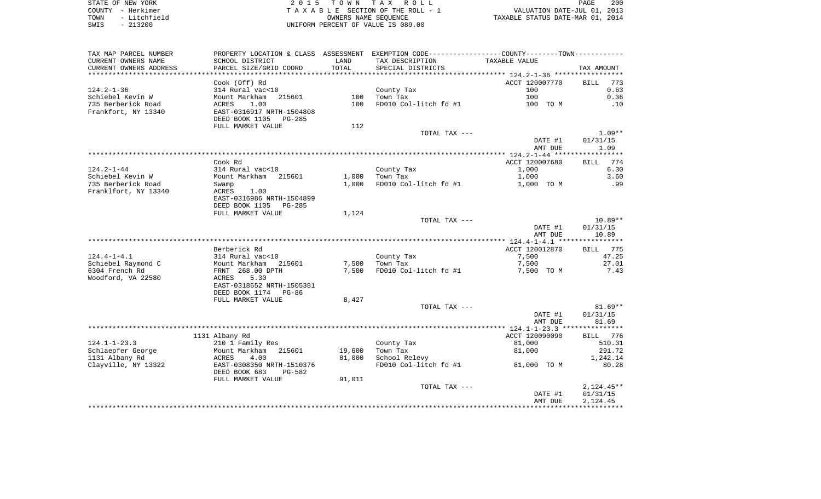| STATE OF NEW YORK    | 2015 TOWN TAX ROLL                 | 200<br>PAGE                      |
|----------------------|------------------------------------|----------------------------------|
| COUNTY - Herkimer    | TAXABLE SECTION OF THE ROLL - 1    | VALUATION DATE-JUL 01, 2013      |
| - Litchfield<br>TOWN | OWNERS NAME SEOUENCE               | TAXABLE STATUS DATE-MAR 01, 2014 |
| $-213200$<br>SWIS    | UNIFORM PERCENT OF VALUE IS 089.00 |                                  |

| TAX MAP PARCEL NUMBER  |                                                       |        | PROPERTY LOCATION & CLASS ASSESSMENT EXEMPTION CODE---------------COUNTY-------TOWN--------- |                |                    |
|------------------------|-------------------------------------------------------|--------|----------------------------------------------------------------------------------------------|----------------|--------------------|
| CURRENT OWNERS NAME    | SCHOOL DISTRICT                                       | LAND   | TAX DESCRIPTION                                                                              | TAXABLE VALUE  |                    |
| CURRENT OWNERS ADDRESS | PARCEL SIZE/GRID COORD                                | TOTAL  | SPECIAL DISTRICTS                                                                            |                | TAX AMOUNT         |
| *********************  | **************************                            |        |                                                                                              |                |                    |
|                        | Cook (Off) Rd                                         |        |                                                                                              | ACCT 120007770 | 773<br><b>BILL</b> |
| $124.2 - 1 - 36$       | 314 Rural vac<10                                      |        | County Tax                                                                                   | 100            | 0.63               |
| Schiebel Kevin W       | Mount Markham<br>215601                               | 100    | Town Tax                                                                                     | 100            | 0.36               |
| 735 Berberick Road     | ACRES<br>1.00                                         | 100    | FD010 Col-litch fd #1                                                                        | 100 TO M       | .10                |
| Frankfort, NY 13340    | EAST-0316917 NRTH-1504808                             |        |                                                                                              |                |                    |
|                        | DEED BOOK 1105<br>PG-285                              |        |                                                                                              |                |                    |
|                        | FULL MARKET VALUE                                     | 112    |                                                                                              |                |                    |
|                        |                                                       |        | TOTAL TAX ---                                                                                |                | $1.09**$           |
|                        |                                                       |        |                                                                                              | DATE #1        | 01/31/15           |
|                        |                                                       |        |                                                                                              | AMT DUE        | 1.09               |
|                        |                                                       |        |                                                                                              |                |                    |
|                        | Cook Rd                                               |        |                                                                                              | ACCT 120007680 | 774<br>BILL        |
| $124.2 - 1 - 44$       | 314 Rural vac<10                                      |        | County Tax                                                                                   | 1,000          | 6.30               |
| Schiebel Kevin W       | Mount Markham 215601                                  | 1,000  | Town Tax                                                                                     | 1,000          | 3.60               |
| 735 Berberick Road     | Swamp                                                 | 1,000  | FD010 Col-litch fd #1                                                                        | 1,000 TO M     | .99                |
| Franklfort, NY 13340   | ACRES<br>1.00                                         |        |                                                                                              |                |                    |
|                        | EAST-0316986 NRTH-1504899<br>DEED BOOK 1105<br>PG-285 |        |                                                                                              |                |                    |
|                        | FULL MARKET VALUE                                     | 1,124  |                                                                                              |                |                    |
|                        |                                                       |        | TOTAL TAX ---                                                                                |                | $10.89**$          |
|                        |                                                       |        |                                                                                              | DATE #1        | 01/31/15           |
|                        |                                                       |        |                                                                                              | AMT DUE        | 10.89              |
|                        |                                                       |        |                                                                                              |                |                    |
|                        | Berberick Rd                                          |        |                                                                                              | ACCT 120012870 | 775<br>BILL        |
| $124.4 - 1 - 4.1$      | 314 Rural vac<10                                      |        | County Tax                                                                                   | 7,500          | 47.25              |
| Schiebel Raymond C     | Mount Markham 215601                                  | 7,500  | Town Tax                                                                                     | 7,500          | 27.01              |
| 6304 French Rd         | FRNT 268.00 DPTH                                      | 7,500  | FD010 Col-litch fd #1                                                                        | 7,500 TO M     | 7.43               |
| Woodford, VA 22580     | 5.30<br>ACRES                                         |        |                                                                                              |                |                    |
|                        | EAST-0318652 NRTH-1505381                             |        |                                                                                              |                |                    |
|                        | DEED BOOK 1174 PG-86                                  |        |                                                                                              |                |                    |
|                        | FULL MARKET VALUE                                     | 8,427  |                                                                                              |                |                    |
|                        |                                                       |        | TOTAL TAX ---                                                                                |                | $81.69**$          |
|                        |                                                       |        |                                                                                              | DATE #1        | 01/31/15           |
|                        |                                                       |        |                                                                                              | AMT DUE        | 81.69              |
|                        |                                                       |        |                                                                                              |                |                    |
|                        | 1131 Albany Rd                                        |        |                                                                                              | ACCT 120090090 | BILL 776           |
| $124.1 - 1 - 23.3$     | 210 1 Family Res                                      |        | County Tax                                                                                   | 81,000         | 510.31             |
| Schlaepfer George      | Mount Markham 215601                                  | 19,600 | Town Tax                                                                                     | 81,000         | 291.72             |
| 1131 Albany Rd         | ACRES<br>4.00                                         | 81,000 | School Relevy                                                                                |                | 1,242.14           |
| Clayville, NY 13322    | EAST-0308350 NRTH-1510376                             |        | FD010 Col-litch fd #1                                                                        | 81,000 TO M    | 80.28              |
|                        | DEED BOOK 683<br>PG-582                               |        |                                                                                              |                |                    |
|                        | FULL MARKET VALUE                                     | 91,011 |                                                                                              |                |                    |
|                        |                                                       |        | TOTAL TAX ---                                                                                |                | $2,124.45**$       |
|                        |                                                       |        |                                                                                              | DATE #1        | 01/31/15           |
|                        |                                                       |        |                                                                                              | AMT DUE        | 2,124.45           |
|                        |                                                       |        |                                                                                              |                |                    |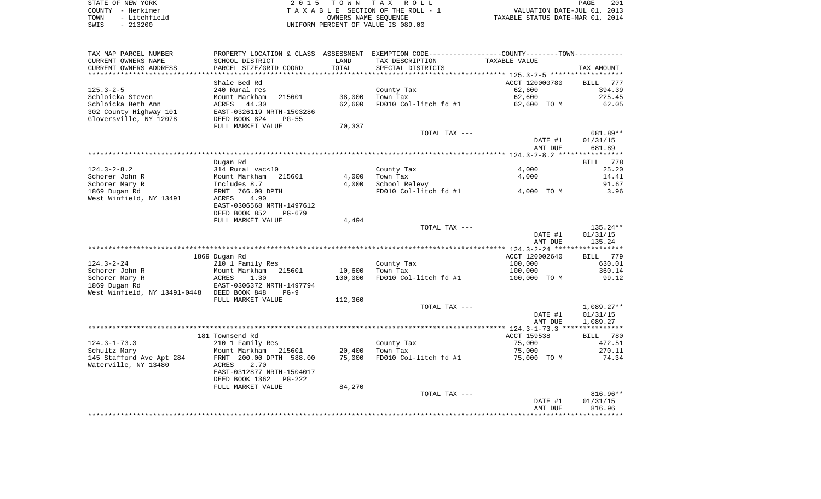| STATE OF NEW YORK    | 2015 TOWN TAX ROLL                 | 201<br>PAGE                      |
|----------------------|------------------------------------|----------------------------------|
| COUNTY - Herkimer    | TAXABLE SECTION OF THE ROLL - 1    | VALUATION DATE-JUL 01, 2013      |
| - Litchfield<br>TOWN | OWNERS NAME SEOUENCE               | TAXABLE STATUS DATE-MAR 01, 2014 |
| $-213200$<br>SWIS    | UNIFORM PERCENT OF VALUE IS 089.00 |                                  |

| TAX MAP PARCEL NUMBER                      |                                            |         | PROPERTY LOCATION & CLASS ASSESSMENT EXEMPTION CODE----------------COUNTY--------TOWN----------- |                |              |
|--------------------------------------------|--------------------------------------------|---------|--------------------------------------------------------------------------------------------------|----------------|--------------|
| CURRENT OWNERS NAME                        | SCHOOL DISTRICT                            | LAND    | TAX DESCRIPTION                                                                                  | TAXABLE VALUE  |              |
| CURRENT OWNERS ADDRESS                     | PARCEL SIZE/GRID COORD                     | TOTAL   | SPECIAL DISTRICTS                                                                                |                | TAX AMOUNT   |
| **********************                     |                                            |         |                                                                                                  |                |              |
|                                            | Shale Bed Rd                               |         |                                                                                                  | ACCT 120000780 | BILL 777     |
| $125.3 - 2 - 5$                            | 240 Rural res                              |         | County Tax                                                                                       | 62,600         | 394.39       |
| Schloicka Steven                           | Mount Markham<br>215601                    | 38,000  | Town Tax                                                                                         | 62,600         | 225.45       |
| Schloicka Beth Ann                         | 44.30<br>ACRES                             | 62,600  | FD010 Col-litch fd #1                                                                            | 62,600 TO M    | 62.05        |
| 302 County Highway 101                     | EAST-0326119 NRTH-1503286                  |         |                                                                                                  |                |              |
| Gloversville, NY 12078                     | DEED BOOK 824<br>$PG-55$                   |         |                                                                                                  |                |              |
|                                            | FULL MARKET VALUE                          | 70,337  |                                                                                                  |                |              |
|                                            |                                            |         | TOTAL TAX ---                                                                                    |                | 681.89**     |
|                                            |                                            |         |                                                                                                  | DATE #1        | 01/31/15     |
|                                            |                                            |         |                                                                                                  | AMT DUE        | 681.89       |
|                                            |                                            |         |                                                                                                  |                |              |
|                                            | Dugan Rd                                   |         |                                                                                                  |                | BILL<br>778  |
| $124.3 - 2 - 8.2$                          | 314 Rural vac<10                           |         | County Tax                                                                                       | 4,000          | 25.20        |
| Schorer John R                             | Mount Markham 215601                       | 4,000   | Town Tax                                                                                         | 4,000          | 14.41        |
| Schorer Mary R                             | Includes 8.7                               | 4,000   | School Relevy                                                                                    |                | 91.67        |
| 1869 Dugan Rd                              | FRNT 766.00 DPTH                           |         | FD010 Col-litch fd #1                                                                            | 4,000 TO M     | 3.96         |
| West Winfield, NY 13491                    | 4.90<br>ACRES                              |         |                                                                                                  |                |              |
|                                            | EAST-0306568 NRTH-1497612                  |         |                                                                                                  |                |              |
|                                            | DEED BOOK 852<br>$PG-679$                  |         |                                                                                                  |                |              |
|                                            | FULL MARKET VALUE                          | 4,494   |                                                                                                  |                |              |
|                                            |                                            |         | TOTAL TAX ---                                                                                    |                | 135.24**     |
|                                            |                                            |         |                                                                                                  | DATE #1        | 01/31/15     |
|                                            |                                            |         |                                                                                                  | AMT DUE        | 135.24       |
|                                            |                                            |         |                                                                                                  |                |              |
|                                            | 1869 Dugan Rd                              |         |                                                                                                  | ACCT 120002640 | 779<br>BILL  |
| $124.3 - 2 - 24$                           | 210 1 Family Res                           |         | County Tax                                                                                       | 100,000        | 630.01       |
| Schorer John R                             | Mount Markham<br>215601                    | 10,600  | Town Tax                                                                                         | 100,000        | 360.14       |
| Schorer Mary R                             | 1.30<br>ACRES                              | 100,000 | FD010 Col-litch fd #1                                                                            | 100,000 TO M   | 99.12        |
| 1869 Dugan Rd                              | EAST-0306372 NRTH-1497794                  |         |                                                                                                  |                |              |
| West Winfield, NY 13491-0448 DEED BOOK 848 | $PG-9$                                     |         |                                                                                                  |                |              |
|                                            | FULL MARKET VALUE                          | 112,360 |                                                                                                  |                |              |
|                                            |                                            |         | TOTAL TAX ---                                                                                    |                | $1,089.27**$ |
|                                            |                                            |         |                                                                                                  | DATE #1        | 01/31/15     |
|                                            |                                            |         |                                                                                                  | AMT DUE        | 1,089.27     |
|                                            |                                            |         |                                                                                                  | ACCT 159538    |              |
|                                            | 181 Townsend Rd                            |         |                                                                                                  |                | BILL 780     |
| $124.3 - 1 - 73.3$                         | 210 1 Family Res                           |         | County Tax                                                                                       | 75,000         | 472.51       |
| Schultz Mary                               | Mount Markham<br>215601                    | 20,400  | Town Tax                                                                                         | 75,000         | 270.11       |
| 145 Stafford Ave Apt 284                   | FRNT 200.00 DPTH 588.00                    | 75,000  | FD010 Col-litch fd #1                                                                            | 75,000 TO M    | 74.34        |
| Waterville, NY 13480                       | 2.70<br>ACRES<br>EAST-0312877 NRTH-1504017 |         |                                                                                                  |                |              |
|                                            | DEED BOOK 1362                             |         |                                                                                                  |                |              |
|                                            | PG-222                                     |         |                                                                                                  |                |              |
|                                            | FULL MARKET VALUE                          | 84,270  | TOTAL TAX ---                                                                                    |                | $816.96**$   |
|                                            |                                            |         |                                                                                                  |                | 01/31/15     |
|                                            |                                            |         |                                                                                                  | DATE #1        |              |
|                                            |                                            |         |                                                                                                  | AMT DUE        | 816.96       |
|                                            |                                            |         |                                                                                                  |                |              |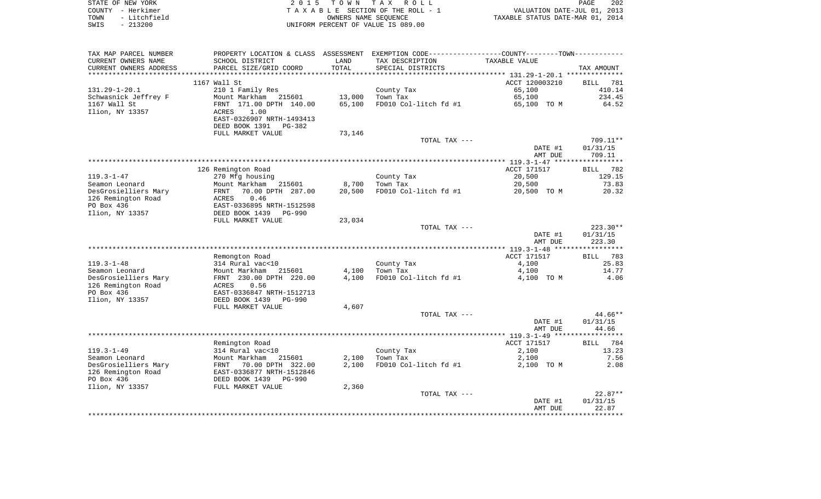| STATE OF NEW YORK    | 2015 TOWN TAX ROLL                 | 202<br>PAGE                      |
|----------------------|------------------------------------|----------------------------------|
| COUNTY - Herkimer    | TAXABLE SECTION OF THE ROLL - 1    | VALUATION DATE-JUL 01, 2013      |
| - Litchfield<br>TOWN | OWNERS NAME SEOUENCE               | TAXABLE STATUS DATE-MAR 01, 2014 |
| $-213200$<br>SWIS    | UNIFORM PERCENT OF VALUE IS 089.00 |                                  |

| TAX MAP PARCEL NUMBER  |                                 |            | PROPERTY LOCATION & CLASS ASSESSMENT EXEMPTION CODE---------------COUNTY-------TOWN---------- |                |                      |
|------------------------|---------------------------------|------------|-----------------------------------------------------------------------------------------------|----------------|----------------------|
| CURRENT OWNERS NAME    | SCHOOL DISTRICT                 | LAND       | TAX DESCRIPTION                                                                               | TAXABLE VALUE  |                      |
| CURRENT OWNERS ADDRESS | PARCEL SIZE/GRID COORD          | TOTAL      | SPECIAL DISTRICTS                                                                             |                | TAX AMOUNT           |
| *******************    | *************************       | ********** |                                                                                               |                |                      |
|                        | 1167 Wall St                    |            |                                                                                               | ACCT 120003210 | <b>BILL</b><br>781   |
| 131.29-1-20.1          | 210 1 Family Res                |            | County Tax                                                                                    | 65,100         | 410.14               |
| Schwasnick Jeffrey F   | Mount Markham 215601            | 13,000     | Town Tax                                                                                      | 65,100         | 234.45               |
| 1167 Wall St           | FRNT 171.00 DPTH 140.00         | 65,100     | FD010 Col-litch fd #1                                                                         | 65,100 TO M    | 64.52                |
| Ilion, NY 13357        | 1.00<br>ACRES                   |            |                                                                                               |                |                      |
|                        | EAST-0326907 NRTH-1493413       |            |                                                                                               |                |                      |
|                        | DEED BOOK 1391<br>PG-382        |            |                                                                                               |                |                      |
|                        | FULL MARKET VALUE               | 73,146     |                                                                                               |                |                      |
|                        |                                 |            | TOTAL TAX ---                                                                                 | DATE #1        | 709.11**<br>01/31/15 |
|                        |                                 |            |                                                                                               | AMT DUE        | 709.11               |
|                        |                                 |            |                                                                                               |                |                      |
|                        | 126 Remington Road              |            |                                                                                               | ACCT 171517    | BILL 782             |
| $119.3 - 1 - 47$       | 270 Mfg housing                 |            | County Tax                                                                                    | 20,500         | 129.15               |
| Seamon Leonard         | Mount Markham<br>215601         | 8,700      | Town Tax                                                                                      | 20,500         | 73.83                |
| DesGrosielliers Mary   | 70.00 DPTH 287.00<br>FRNT       | 20,500     | FD010 Col-litch fd #1                                                                         | 20,500 TO M    | 20.32                |
| 126 Remington Road     | 0.46<br>ACRES                   |            |                                                                                               |                |                      |
| PO Box 436             | EAST-0336895 NRTH-1512598       |            |                                                                                               |                |                      |
| Ilion, NY 13357        | DEED BOOK 1439<br><b>PG-990</b> |            |                                                                                               |                |                      |
|                        | FULL MARKET VALUE               | 23,034     |                                                                                               |                |                      |
|                        |                                 |            | TOTAL TAX ---                                                                                 |                | $223.30**$           |
|                        |                                 |            |                                                                                               | DATE #1        | 01/31/15             |
|                        |                                 |            |                                                                                               | AMT DUE        | 223.30               |
|                        |                                 |            |                                                                                               |                |                      |
|                        | Remongton Road                  |            |                                                                                               | ACCT 171517    | BILL 783             |
| $119.3 - 1 - 48$       | 314 Rural vac<10                |            | County Tax                                                                                    | 4,100          | 25.83                |
| Seamon Leonard         | Mount Markham<br>215601         | 4,100      | Town Tax                                                                                      | 4,100          | 14.77                |
| DesGrosielliers Mary   | FRNT 230.00 DPTH 220.00         | 4,100      | FD010 Col-litch fd #1                                                                         | 4,100 TO M     | 4.06                 |
| 126 Remington Road     | 0.56<br>ACRES                   |            |                                                                                               |                |                      |
| PO Box 436             | EAST-0336847 NRTH-1512713       |            |                                                                                               |                |                      |
| Ilion, NY 13357        | DEED BOOK 1439<br><b>PG-990</b> |            |                                                                                               |                |                      |
|                        | FULL MARKET VALUE               | 4,607      | TOTAL TAX ---                                                                                 |                | 44.66**              |
|                        |                                 |            |                                                                                               | DATE #1        | 01/31/15             |
|                        |                                 |            |                                                                                               | AMT DUE        | 44.66                |
|                        |                                 |            |                                                                                               |                | ***********          |
|                        | Remington Road                  |            |                                                                                               | ACCT 171517    | 784<br>BILL          |
| $119.3 - 1 - 49$       | 314 Rural vac<10                |            | County Tax                                                                                    | 2,100          | 13.23                |
| Seamon Leonard         | Mount Markham<br>215601         | 2,100      | Town Tax                                                                                      | 2,100          | 7.56                 |
| DesGrosielliers Mary   | FRNT 70.00 DPTH 322.00          | 2,100      | FD010 Col-litch fd #1                                                                         | 2,100 TO M     | 2.08                 |
| 126 Remington Road     | EAST-0336877 NRTH-1512846       |            |                                                                                               |                |                      |
| PO Box 436             | DEED BOOK 1439<br><b>PG-990</b> |            |                                                                                               |                |                      |
| Ilion, NY 13357        | FULL MARKET VALUE               | 2,360      |                                                                                               |                |                      |
|                        |                                 |            | TOTAL TAX ---                                                                                 |                | $22.87**$            |
|                        |                                 |            |                                                                                               | DATE #1        | 01/31/15             |
|                        |                                 |            |                                                                                               | AMT DUE        | 22.87                |
|                        |                                 |            |                                                                                               |                |                      |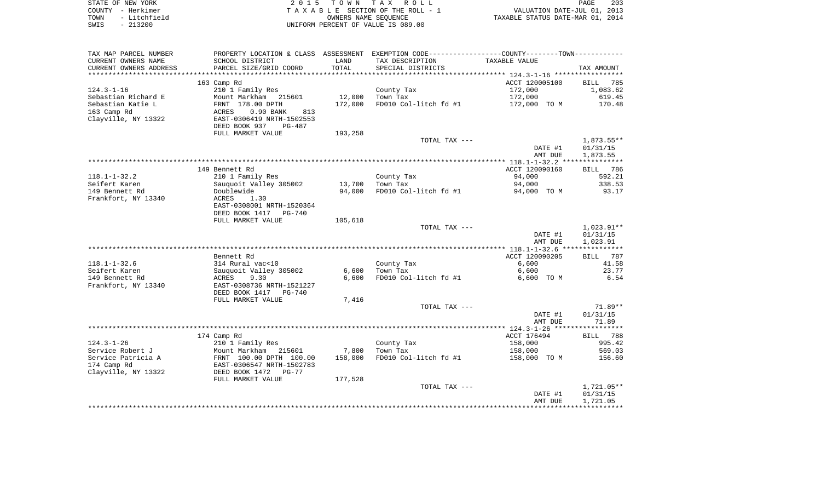|      | STATE OF NEW YORK | 2015 TOWN TAX ROLL                 | 203<br>PAGE                      |
|------|-------------------|------------------------------------|----------------------------------|
|      | COUNTY - Herkimer | TAXABLE SECTION OF THE ROLL - 1    | VALUATION DATE-JUL 01, 2013      |
| TOWN | - Litchfield      | OWNERS NAME SEOUENCE               | TAXABLE STATUS DATE-MAR 01, 2014 |
| SWIS | - 213200          | UNIFORM PERCENT OF VALUE IS 089.00 |                                  |

| TAX MAP PARCEL NUMBER           |                                                                                    |                  | PROPERTY LOCATION & CLASS ASSESSMENT EXEMPTION CODE---------------COUNTY--------TOWN---------- |                       |                        |
|---------------------------------|------------------------------------------------------------------------------------|------------------|------------------------------------------------------------------------------------------------|-----------------------|------------------------|
| CURRENT OWNERS NAME             | SCHOOL DISTRICT                                                                    | LAND             | TAX DESCRIPTION                                                                                | TAXABLE VALUE         |                        |
| CURRENT OWNERS ADDRESS          | PARCEL SIZE/GRID COORD                                                             | TOTAL            | SPECIAL DISTRICTS                                                                              |                       | TAX AMOUNT             |
|                                 |                                                                                    |                  |                                                                                                |                       |                        |
|                                 | 163 Camp Rd                                                                        |                  |                                                                                                | ACCT 120005100        | BILL 785               |
| $124.3 - 1 - 16$                | 210 1 Family Res                                                                   |                  | County Tax                                                                                     | 172,000               | 1,083.62               |
| Sebastian Richard E             | Mount Markham 215601                                                               | 12,000           | Town Tax                                                                                       | 172,000               | 619.45                 |
| Sebastian Katie L               | FRNT 178.00 DPTH<br>ACRES 0.90 BANK                                                | 172,000          | FD010 Col-litch fd #1                                                                          | 172,000 TO M          | 170.48                 |
| 163 Camp Rd                     | $0.90$ BANK<br>813                                                                 |                  |                                                                                                |                       |                        |
| Clayville, NY 13322             | EAST-0306419 NRTH-1502553                                                          |                  |                                                                                                |                       |                        |
|                                 | DEED BOOK 937<br>PG-487                                                            |                  |                                                                                                |                       |                        |
|                                 | FULL MARKET VALUE                                                                  | 193,258          |                                                                                                |                       |                        |
|                                 |                                                                                    |                  | TOTAL TAX ---                                                                                  |                       | 1,873.55**             |
|                                 |                                                                                    |                  |                                                                                                | DATE #1               | 01/31/15               |
|                                 |                                                                                    |                  |                                                                                                | AMT DUE               | 1,873.55               |
|                                 |                                                                                    |                  |                                                                                                |                       |                        |
|                                 | 149 Bennett Rd                                                                     |                  |                                                                                                | ACCT 120090160        | BILL 786               |
| 118.1-1-32.2                    | 210 1 Family Res                                                                   |                  | County Tax                                                                                     | 94,000                | 592.21                 |
| Seifert Karen<br>149 Bennett Rd | Sauguoit Valley 305002<br>Doublewide                                               | 13,700<br>94,000 | Town Tax<br>FD010 Col-litch fd #1                                                              | 94,000<br>94,000 TO M | 338.53<br>93.17        |
| Frankfort, NY 13340             | ACRES<br>1.30                                                                      |                  |                                                                                                |                       |                        |
|                                 | EAST-0308001 NRTH-1520364                                                          |                  |                                                                                                |                       |                        |
|                                 | DEED BOOK 1417 PG-740                                                              |                  |                                                                                                |                       |                        |
|                                 | FULL MARKET VALUE                                                                  | 105,618          |                                                                                                |                       |                        |
|                                 |                                                                                    |                  | TOTAL TAX ---                                                                                  |                       | 1,023.91**             |
|                                 |                                                                                    |                  |                                                                                                | DATE #1               | 01/31/15               |
|                                 |                                                                                    |                  |                                                                                                | AMT DUE               | 1,023.91               |
|                                 |                                                                                    |                  |                                                                                                |                       |                        |
|                                 | Bennett Rd                                                                         |                  |                                                                                                | ACCT 120090205        | BILL 787               |
| 118.1-1-32.6                    |                                                                                    |                  | County Tax                                                                                     | 6,600                 | 41.58                  |
| Seifert Karen                   |                                                                                    | 6,600            | Town Tax                                                                                       | 6,600                 | 23.77                  |
| 149 Bennett Rd                  | 314 Rural vacsio<br>Sauquoit Valley 305002<br>ACRES 9.30<br>- 2209726 NRTH-1521227 | 6,600            | FD010 Col-litch fd #1                                                                          | 6,600 TO M            | 6.54                   |
| Frankfort, NY 13340             |                                                                                    |                  |                                                                                                |                       |                        |
|                                 | DEED BOOK 1417 PG-740                                                              |                  |                                                                                                |                       |                        |
|                                 | FULL MARKET VALUE                                                                  | 7,416            |                                                                                                |                       |                        |
|                                 |                                                                                    |                  | TOTAL TAX ---                                                                                  |                       | 71.89**                |
|                                 |                                                                                    |                  |                                                                                                | DATE #1               | 01/31/15               |
|                                 |                                                                                    |                  |                                                                                                | AMT DUE               | 71.89                  |
|                                 |                                                                                    |                  |                                                                                                |                       |                        |
|                                 | 174 Camp Rd                                                                        |                  |                                                                                                | ACCT 176494           | BILL 788               |
| 124.3-1-26                      | 210 1 Family Res                                                                   |                  | County Tax                                                                                     | 158,000               | 995.42                 |
| Service Robert J                | Mount Markham 215601                                                               | 7,800            | Town Tax                                                                                       | 158,000               | 569.03                 |
| Service Patricia A              | FRNT 100.00 DPTH 100.00<br>EAST-0306547 NRTH-1502783                               | 158,000          | FD010 Col-litch fd #1                                                                          | 158,000 TO M          | 156.60                 |
| 174 Camp Rd                     |                                                                                    |                  |                                                                                                |                       |                        |
| Clayville, NY 13322             | DEED BOOK 1472<br><b>PG-77</b>                                                     |                  |                                                                                                |                       |                        |
|                                 | FULL MARKET VALUE                                                                  | 177,528          |                                                                                                |                       |                        |
|                                 |                                                                                    |                  | TOTAL TAX ---                                                                                  | DATE #1               | 1,721.05**<br>01/31/15 |
|                                 |                                                                                    |                  |                                                                                                | AMT DUE               | 1,721.05               |
|                                 |                                                                                    |                  |                                                                                                |                       |                        |
|                                 |                                                                                    |                  |                                                                                                |                       |                        |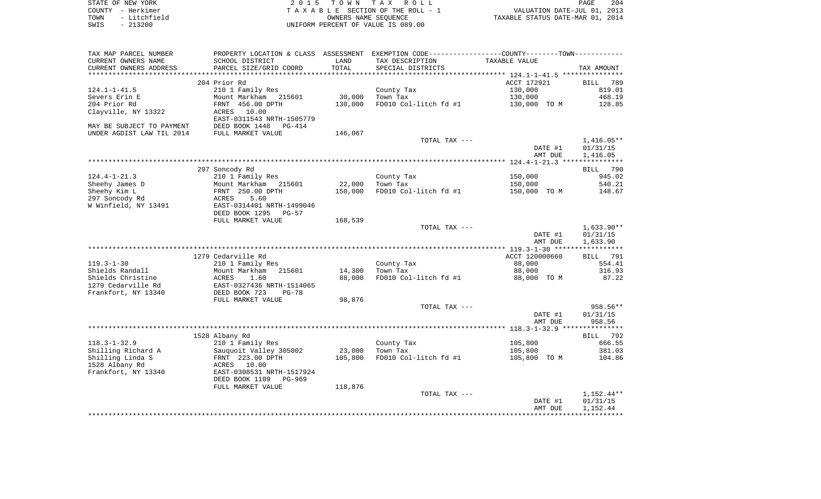|      | STATE OF NEW YORK | 2015 TOWN TAX ROLL                 | 204<br>PAGE                      |
|------|-------------------|------------------------------------|----------------------------------|
|      | COUNTY – Herkimer | TAXABLE SECTION OF THE ROLL - 1    | VALUATION DATE-JUL 01, 2013      |
| TOWN | - Litchfield      | OWNERS NAME SEOUENCE               | TAXABLE STATUS DATE-MAR 01, 2014 |
| SWIS | $-213200$         | UNIFORM PERCENT OF VALUE IS 089.00 |                                  |

 $\begin{array}{c} 204 \\ 2013 \\ 2014 \end{array}$ 

| TAX MAP PARCEL NUMBER     | PROPERTY LOCATION & CLASS ASSESSMENT EXEMPTION CODE----------------COUNTY-------TOWN--------- |         |                       |                |              |
|---------------------------|-----------------------------------------------------------------------------------------------|---------|-----------------------|----------------|--------------|
| CURRENT OWNERS NAME       | SCHOOL DISTRICT                                                                               | LAND    | TAX DESCRIPTION       | TAXABLE VALUE  |              |
| CURRENT OWNERS ADDRESS    | PARCEL SIZE/GRID COORD                                                                        | TOTAL   | SPECIAL DISTRICTS     |                | TAX AMOUNT   |
|                           |                                                                                               |         |                       |                |              |
|                           | 204 Prior Rd                                                                                  |         |                       | ACCT 172921    | BILL 789     |
| $124.1 - 1 - 41.5$        | 210 1 Family Res                                                                              |         | County Tax            | 130,000        | 819.01       |
| Severs Erin E             | Mount Markham<br>215601                                                                       | 30,000  | Town Tax              | 130,000        | 468.19       |
| 204 Prior Rd              | FRNT 456.00 DPTH                                                                              | 130,000 | FD010 Col-litch fd #1 | 130,000 TO M   | 128.85       |
| Clayville, NY 13322       | ACRES 10.00                                                                                   |         |                       |                |              |
|                           | EAST-0311543 NRTH-1505779                                                                     |         |                       |                |              |
|                           |                                                                                               |         |                       |                |              |
| MAY BE SUBJECT TO PAYMENT | DEED BOOK 1448 PG-414                                                                         |         |                       |                |              |
| UNDER AGDIST LAW TIL 2014 | FULL MARKET VALUE                                                                             | 146,067 |                       |                |              |
|                           |                                                                                               |         | TOTAL TAX ---         |                | $1,416.05**$ |
|                           |                                                                                               |         |                       | DATE #1        | 01/31/15     |
|                           |                                                                                               |         |                       | AMT DUE        | 1,416.05     |
|                           |                                                                                               |         |                       |                |              |
|                           | 297 Soncody Rd                                                                                |         |                       |                | BILL 790     |
| $124.4 - 1 - 21.3$        | 210 1 Family Res                                                                              |         | County Tax            | 150,000        | 945.02       |
| Sheehy James D            | Mount Markham<br>215601                                                                       | 22,000  | Town Tax              | 150,000        | 540.21       |
| Sheehy Kim L              | FRNT 250.00 DPTH                                                                              | 150,000 | FD010 Col-litch fd #1 | 150,000 TO M   | 148.67       |
| 297 Soncody Rd            | 5.60<br>ACRES                                                                                 |         |                       |                |              |
| W Winfield, NY 13491      | EAST-0314401 NRTH-1499046                                                                     |         |                       |                |              |
|                           | DEED BOOK 1295<br>$PG-57$                                                                     |         |                       |                |              |
|                           | FULL MARKET VALUE                                                                             | 168,539 |                       |                |              |
|                           |                                                                                               |         | TOTAL TAX ---         |                | 1,633.90**   |
|                           |                                                                                               |         |                       | DATE #1        | 01/31/15     |
|                           |                                                                                               |         |                       |                |              |
|                           |                                                                                               |         |                       | AMT DUE        | 1,633.90     |
|                           |                                                                                               |         |                       |                |              |
|                           | 1279 Cedarville Rd                                                                            |         |                       | ACCT 120000660 | BILL<br>791  |
| $119.3 - 1 - 30$          | 210 1 Family Res                                                                              |         | County Tax            | 88,000         | 554.41       |
| Shields Randall           | Mount Markham<br>215601                                                                       | 14,300  | Town Tax              | 88,000         | 316.93       |
| Shields Christine         | 1.60<br>ACRES                                                                                 | 88,000  | FD010 Col-litch fd #1 | 88,000 TO M    | 87.22        |
| 1279 Cedarville Rd        | EAST-0327436 NRTH-1514065                                                                     |         |                       |                |              |
| Frankfort, NY 13340       | DEED BOOK 723<br>$PG-78$                                                                      |         |                       |                |              |
|                           | FULL MARKET VALUE                                                                             | 98,876  |                       |                |              |
|                           |                                                                                               |         | TOTAL TAX ---         |                | 958.56**     |
|                           |                                                                                               |         |                       | DATE #1        | 01/31/15     |
|                           |                                                                                               |         |                       | AMT DUE        | 958.56       |
|                           |                                                                                               |         |                       |                |              |
|                           | 1528 Albany Rd                                                                                |         |                       |                | BILL 792     |
| $118.3 - 1 - 32.9$        | 210 1 Family Res                                                                              |         | County Tax            | 105,800        | 666.55       |
| Shilling Richard A        | Sauquoit Valley 305002                                                                        | 23,000  | Town Tax              | 105,800        | 381.03       |
| Shilling Linda S          | FRNT 223.00 DPTH                                                                              | 105,800 | FD010 Col-litch fd #1 | 105,800 TO M   | 104.86       |
| 1528 Albany Rd            | ACRES<br>10.00                                                                                |         |                       |                |              |
| Frankfort, NY 13340       | EAST-0308531 NRTH-1517924                                                                     |         |                       |                |              |
|                           |                                                                                               |         |                       |                |              |
|                           | DEED BOOK 1109 PG-969                                                                         |         |                       |                |              |
|                           | FULL MARKET VALUE                                                                             | 118,876 |                       |                |              |
|                           |                                                                                               |         | TOTAL TAX ---         |                | 1,152.44**   |
|                           |                                                                                               |         |                       | DATE #1        | 01/31/15     |
|                           |                                                                                               |         |                       | AMT DUE        | 1,152.44     |
|                           |                                                                                               |         |                       |                |              |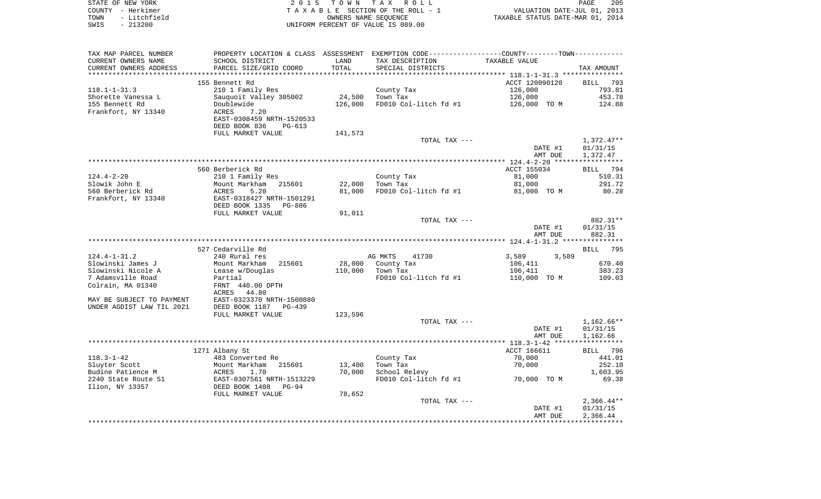| STATE OF NEW YORK<br>COUNTY - Herkimer<br>TOWN<br>- Litchfield |                                                                                                            |                  | 2015 TOWN TAX ROLL<br>TAXABLE SECTION OF THE ROLL - 1<br>OWNERS NAME SEQUENCE | VALUATION DATE-JUL 01, 2013<br>TAXABLE STATUS DATE-MAR 01, 2014 | PAGE<br>205              |
|----------------------------------------------------------------|------------------------------------------------------------------------------------------------------------|------------------|-------------------------------------------------------------------------------|-----------------------------------------------------------------|--------------------------|
| SWIS<br>$-213200$                                              |                                                                                                            |                  | UNIFORM PERCENT OF VALUE IS 089.00                                            |                                                                 |                          |
| TAX MAP PARCEL NUMBER                                          | PROPERTY LOCATION & CLASS ASSESSMENT EXEMPTION CODE----------------COUNTY--------TOWN----------            |                  |                                                                               |                                                                 |                          |
| CURRENT OWNERS NAME                                            | SCHOOL DISTRICT                                                                                            | LAND             | TAX DESCRIPTION                                                               | TAXABLE VALUE                                                   |                          |
| CURRENT OWNERS ADDRESS                                         | PARCEL SIZE/GRID COORD                                                                                     | TOTAL            | SPECIAL DISTRICTS                                                             |                                                                 | TAX AMOUNT               |
|                                                                | 155 Bennett Rd                                                                                             |                  |                                                                               | ACCT 120090120                                                  | BILL 793                 |
| 118.1-1-31.3                                                   | 210 1 Family Res                                                                                           |                  | County Tax                                                                    | 126,000                                                         | 793.81                   |
| Shorette Vanessa L                                             | Sauguoit Valley 305002                                                                                     | 24,500           | Town Tax                                                                      | 126,000                                                         | 453.78                   |
| 155 Bennett Rd                                                 | Doublewide                                                                                                 | 126,000          |                                                                               | FD010 Col-litch fd #1 $126,000$ TO M                            | 124.88                   |
| Frankfort, NY 13340                                            | ACRES<br>7.20<br>EAST-0308459 NRTH-1520533<br>DEED BOOK 836<br>PG-613                                      |                  |                                                                               |                                                                 |                          |
|                                                                | FULL MARKET VALUE                                                                                          | 141,573          |                                                                               |                                                                 |                          |
|                                                                |                                                                                                            |                  | TOTAL TAX ---                                                                 | DATE #1                                                         | $1,372.47**$<br>01/31/15 |
|                                                                |                                                                                                            |                  |                                                                               | AMT DUE                                                         | 1,372.47                 |
|                                                                | 560 Berberick Rd                                                                                           |                  |                                                                               | ACCT 155034                                                     | BILL 794                 |
| $124.4 - 2 - 20$                                               | 210 1 Family Res                                                                                           |                  | County Tax                                                                    | 81,000                                                          | 510.31                   |
| Slowik John E                                                  | Mount Markham 215601<br>ACRES 5.20                                                                         | 22,000           | Town Tax                                                                      | 81,000                                                          | 291.72                   |
| 560 Berberick Rd                                               |                                                                                                            | 81,000           | FD010 Col-litch fd #1                                                         | 81,000 TO M                                                     | 80.28                    |
| Frankfort, NY 13340                                            | EAST-0318427 NRTH-1501291<br>DEED BOOK 1335 PG-886<br>FULL MARKET VALUE                                    | 91,011           |                                                                               |                                                                 |                          |
|                                                                |                                                                                                            |                  | TOTAL TAX ---                                                                 |                                                                 | 882.31**                 |
|                                                                |                                                                                                            |                  |                                                                               | DATE #1<br>AMT DUE                                              | 01/31/15<br>882.31       |
|                                                                |                                                                                                            |                  |                                                                               |                                                                 |                          |
| $124.4 - 1 - 31.2$                                             | 527 Cedarville Rd<br>240 Rural res                                                                         |                  | AG MKTS<br>41730                                                              | 3,589<br>3,589                                                  | BILL 795                 |
| Slowinski James J                                              | Mount Markham 215601                                                                                       |                  | 28,000 County Tax                                                             | 106,411                                                         | 670.40                   |
| Slowinski Nicole A                                             | Lease w/Douglas                                                                                            |                  | 110,000 Town Tax                                                              | 106,411                                                         | 383.23                   |
| 7 Adamsville Road<br>Colrain, MA 01340                         | Partial<br>FRNT 440.00 DPTH                                                                                |                  | FD010 Col-litch fd #1                                                         | 110,000 TO M                                                    | 109.03                   |
| MAY BE SUBJECT TO PAYMENT                                      | ACRES 44.80<br>EAST-0323370 NRTH-1500880                                                                   |                  |                                                                               |                                                                 |                          |
| UNDER AGDIST LAW TIL 2021                                      | DEED BOOK 1187 PG-439                                                                                      |                  |                                                                               |                                                                 |                          |
|                                                                | FULL MARKET VALUE                                                                                          | 123,596          |                                                                               |                                                                 |                          |
|                                                                |                                                                                                            |                  | TOTAL TAX ---                                                                 | DATE #1                                                         | 1,162.66**<br>01/31/15   |
|                                                                |                                                                                                            |                  |                                                                               | AMT DUE                                                         | 1,162.66                 |
|                                                                |                                                                                                            |                  |                                                                               |                                                                 |                          |
|                                                                | 1271 Albany St                                                                                             |                  |                                                                               | ACCT 166611                                                     | BILL 796                 |
| 118.3-1-42                                                     | 483 Converted Re                                                                                           |                  | County Tax                                                                    | 70,000                                                          | 441.01                   |
| Sluyter Scott<br>Budine Patience M                             |                                                                                                            | 13,400<br>70,000 | Town Tax<br>School Relevy                                                     | 70,000                                                          | 252.10<br>1,603.95       |
| 2240 State Route 51                                            | Mount Markham<br>Mount Markham<br>ACRES 1.70<br>EAST-0307561 NRTH-1513229<br>DEED BOOK 1408 PG-94<br>PG-94 |                  | FD010 Col-litch fd #1                                                         | 70,000 TO M                                                     | 69.38                    |
| Ilion, NY 13357                                                |                                                                                                            |                  |                                                                               |                                                                 |                          |
|                                                                | FULL MARKET VALUE                                                                                          | 78,652           |                                                                               |                                                                 |                          |
|                                                                |                                                                                                            |                  | TOTAL TAX ---                                                                 | DATE #1                                                         | $2,366.44**$<br>01/31/15 |
|                                                                |                                                                                                            |                  |                                                                               |                                                                 |                          |

AMT DUE 2,366.44 \*\*\*\*\*\*\*\*\*\*\*\*\*\*\*\*\*\*\*\*\*\*\*\*\*\*\*\*\*\*\*\*\*\*\*\*\*\*\*\*\*\*\*\*\*\*\*\*\*\*\*\*\*\*\*\*\*\*\*\*\*\*\*\*\*\*\*\*\*\*\*\*\*\*\*\*\*\*\*\*\*\*\*\*\*\*\*\*\*\*\*\*\*\*\*\*\*\*\*\*\*\*\*\*\*\*\*\*\*\*\*\*\*\*\*\*\*\*\*\*\*\*\*\*\*\*\*\*\*\*\*\*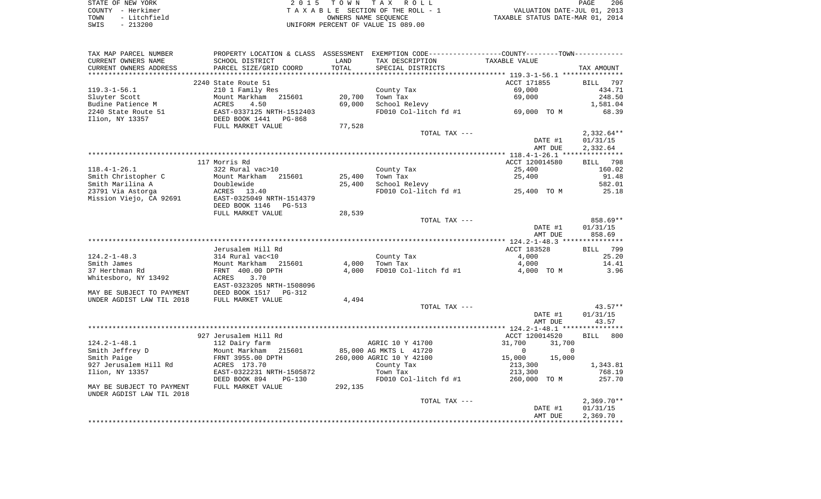| STATE OF NEW YORK    | 2015 TOWN TAX ROLL                 | 206<br>PAGE                      |
|----------------------|------------------------------------|----------------------------------|
| COUNTY - Herkimer    | TAXABLE SECTION OF THE ROLL - 1    | VALUATION DATE-JUL 01, 2013      |
| - Litchfield<br>TOWN | OWNERS NAME SEOUENCE               | TAXABLE STATUS DATE-MAR 01, 2014 |
| $-213200$<br>SWIS    | UNIFORM PERCENT OF VALUE IS 089.00 |                                  |

| TAX MAP PARCEL NUMBER                  | PROPERTY LOCATION & CLASS ASSESSMENT EXEMPTION CODE----------------COUNTY--------TOWN---------- |         |                          |                                     |                      |
|----------------------------------------|-------------------------------------------------------------------------------------------------|---------|--------------------------|-------------------------------------|----------------------|
| CURRENT OWNERS NAME                    | SCHOOL DISTRICT                                                                                 | LAND    | TAX DESCRIPTION          | TAXABLE VALUE                       |                      |
| CURRENT OWNERS ADDRESS                 | PARCEL SIZE/GRID COORD                                                                          | TOTAL   | SPECIAL DISTRICTS        |                                     | TAX AMOUNT           |
| ********************                   | *****************************                                                                   |         |                          |                                     |                      |
|                                        | 2240 State Route 51                                                                             |         |                          | ACCT 171855                         | BILL 797             |
| $119.3 - 1 - 56.1$                     | 210 1 Family Res                                                                                |         | County Tax               | 69,000                              | 434.71               |
| Sluyter Scott                          | Mount Markham<br>215601                                                                         | 20,700  | Town Tax                 | 69,000                              | 248.50               |
| Budine Patience M                      | ACRES<br>4.50<br>EAST-0337125 NRTH-1512403                                                      | 69,000  | School Relevy            |                                     | 1,581.04             |
| 2240 State Route 51<br>Ilion, NY 13357 | DEED BOOK 1441<br>PG-868                                                                        |         | FD010 Col-litch fd #1    | $69,000$ TOM                        | 68.39                |
|                                        | FULL MARKET VALUE                                                                               | 77,528  |                          |                                     |                      |
|                                        |                                                                                                 |         | TOTAL TAX ---            |                                     | $2,332.64**$         |
|                                        |                                                                                                 |         |                          | DATE #1                             | 01/31/15             |
|                                        |                                                                                                 |         |                          | AMT DUE                             | 2,332.64             |
|                                        |                                                                                                 |         |                          |                                     |                      |
|                                        | 117 Morris Rd                                                                                   |         |                          | ACCT 120014580                      | BILL 798             |
| $118.4 - 1 - 26.1$                     | 322 Rural vac>10                                                                                |         | County Tax               | 25,400                              | 160.02               |
| Smith Christopher C                    | Mount Markham<br>215601                                                                         | 25,400  | Town Tax                 | 25,400                              | 91.48                |
| Smith Marilina A                       | Doublewide                                                                                      | 25,400  | School Relevy            |                                     | 582.01               |
| 23791 Via Astorga                      | ACRES 13.40                                                                                     |         |                          | FD010 Col-litch $fd$ #1 25,400 TO M | 25.18                |
| Mission Viejo, CA 92691                | EAST-0325049 NRTH-1514379                                                                       |         |                          |                                     |                      |
|                                        | DEED BOOK 1146<br>PG-513                                                                        |         |                          |                                     |                      |
|                                        | FULL MARKET VALUE                                                                               | 28,539  |                          |                                     |                      |
|                                        |                                                                                                 |         | TOTAL TAX ---            |                                     | 858.69**<br>01/31/15 |
|                                        |                                                                                                 |         |                          | DATE #1<br>AMT DUE                  | 858.69               |
|                                        |                                                                                                 |         |                          |                                     |                      |
|                                        | Jerusalem Hill Rd                                                                               |         |                          | ACCT 183528                         | BILL 799             |
| $124.2 - 1 - 48.3$                     | 314 Rural vac<10                                                                                |         | County Tax               | 4,000                               | 25.20                |
| Smith James                            | Mount Markham 215601                                                                            | 4,000   | Town Tax                 | 4,000                               | 14.41                |
| 37 Herthman Rd                         | FRNT 400.00 DPTH                                                                                | 4,000   | FD010 Col-litch fd #1    | 4,000 TO M                          | 3.96                 |
| Whitesboro, NY 13492                   | 3.70<br>ACRES                                                                                   |         |                          |                                     |                      |
|                                        | EAST-0323205 NRTH-1508096                                                                       |         |                          |                                     |                      |
| MAY BE SUBJECT TO PAYMENT              | DEED BOOK 1517<br>PG-312                                                                        |         |                          |                                     |                      |
| UNDER AGDIST LAW TIL 2018              | FULL MARKET VALUE                                                                               | 4,494   |                          |                                     |                      |
|                                        |                                                                                                 |         | TOTAL TAX ---            |                                     | $43.57**$            |
|                                        |                                                                                                 |         |                          | DATE #1                             | 01/31/15             |
|                                        |                                                                                                 |         |                          | AMT DUE                             | 43.57                |
|                                        | 927 Jerusalem Hill Rd                                                                           |         |                          | ACCT 120014520                      | BILL 800             |
| $124.2 - 1 - 48.1$                     | 112 Dairy farm                                                                                  |         | AGRIC 10 Y 41700         | 31,700<br>31,700                    |                      |
| Smith Jeffrey D                        | 215601<br>Mount Markham                                                                         |         | 85,000 AG MKTS L 41720   | $\Omega$<br>$\mathbf 0$             |                      |
| Smith Paige                            | FRNT 3955.00 DPTH                                                                               |         | 260,000 AGRIC 10 Y 42100 | 15,000<br>15,000                    |                      |
| 927 Jerusalem Hill Rd                  | ACRES 173.70                                                                                    |         | County Tax               | 213,300                             | 1,343.81             |
| Ilion, NY 13357                        | EAST-0322231 NRTH-1505872                                                                       |         | Town Tax                 | 213,300                             | 768.19               |
|                                        | DEED BOOK 894<br><b>PG-130</b>                                                                  |         | FD010 Col-litch fd #1    | 260,000 TO M                        | 257.70               |
| MAY BE SUBJECT TO PAYMENT              | FULL MARKET VALUE                                                                               | 292,135 |                          |                                     |                      |
| UNDER AGDIST LAW TIL 2018              |                                                                                                 |         |                          |                                     |                      |
|                                        |                                                                                                 |         | TOTAL TAX ---            |                                     | $2,369.70**$         |
|                                        |                                                                                                 |         |                          | DATE #1                             | 01/31/15             |
|                                        |                                                                                                 |         |                          | AMT DUE                             | 2,369.70             |
|                                        |                                                                                                 |         |                          |                                     |                      |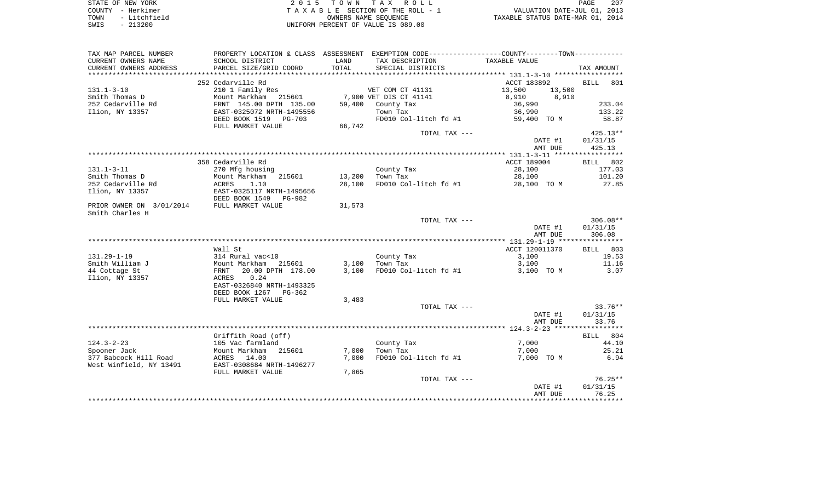| STATE OF NEW YORK    | 2015 TOWN TAX ROLL                 | 207<br>PAGE                      |
|----------------------|------------------------------------|----------------------------------|
| COUNTY - Herkimer    | TAXABLE SECTION OF THE ROLL - 1    | VALUATION DATE-JUL 01, 2013      |
| - Litchfield<br>TOWN | OWNERS NAME SEOUENCE               | TAXABLE STATUS DATE-MAR 01, 2014 |
| $-213200$<br>SWIS    | UNIFORM PERCENT OF VALUE IS 089.00 |                                  |

| TAX MAP PARCEL NUMBER    | PROPERTY LOCATION & CLASS ASSESSMENT EXEMPTION CODE--------------COUNTY-------TOWN--------- |        |                        |                  |             |
|--------------------------|---------------------------------------------------------------------------------------------|--------|------------------------|------------------|-------------|
| CURRENT OWNERS NAME      | SCHOOL DISTRICT                                                                             | LAND   | TAX DESCRIPTION        | TAXABLE VALUE    |             |
| CURRENT OWNERS ADDRESS   | PARCEL SIZE/GRID COORD                                                                      | TOTAL  | SPECIAL DISTRICTS      |                  | TAX AMOUNT  |
|                          |                                                                                             |        |                        |                  |             |
|                          | 252 Cedarville Rd                                                                           |        |                        | ACCT 183892      | BILL<br>801 |
| $131.1 - 3 - 10$         | 210 1 Family Res                                                                            |        | VET COM CT 41131       | 13,500<br>13,500 |             |
| Smith Thomas D           | Mount Markham<br>215601                                                                     |        | 7,900 VET DIS CT 41141 | 8,910<br>8,910   |             |
| 252 Cedarville Rd        | FRNT 145.00 DPTH 135.00                                                                     | 59,400 | County Tax             | 36,990           | 233.04      |
| Ilion, NY 13357          | EAST-0325072 NRTH-1495556                                                                   |        | Town Tax               | 36,990           | 133.22      |
|                          | DEED BOOK 1519<br>PG-703                                                                    |        | FD010 Col-litch fd #1  | 59,400 TO M      | 58.87       |
|                          | FULL MARKET VALUE                                                                           | 66,742 |                        |                  |             |
|                          |                                                                                             |        | TOTAL TAX ---          |                  | $425.13**$  |
|                          |                                                                                             |        |                        | DATE #1          | 01/31/15    |
|                          |                                                                                             |        |                        | AMT DUE          | 425.13      |
|                          |                                                                                             |        |                        |                  |             |
|                          | 358 Cedarville Rd                                                                           |        |                        | ACCT 189004      | BILL 802    |
| $131.1 - 3 - 11$         | 270 Mfg housing                                                                             |        | County Tax             | 28,100           | 177.03      |
| Smith Thomas D           | Mount Markham<br>215601                                                                     | 13,200 | Town Tax               | 28,100           | 101.20      |
| 252 Cedarville Rd        | ACRES<br>1.10                                                                               | 28,100 | FD010 Col-litch fd #1  | 28,100 TO M      | 27.85       |
| Ilion, NY 13357          | EAST-0325117 NRTH-1495656                                                                   |        |                        |                  |             |
|                          | DEED BOOK 1549<br>PG-982                                                                    |        |                        |                  |             |
| PRIOR OWNER ON 3/01/2014 | FULL MARKET VALUE                                                                           | 31,573 |                        |                  |             |
| Smith Charles H          |                                                                                             |        |                        |                  |             |
|                          |                                                                                             |        | TOTAL TAX ---          |                  | $306.08**$  |
|                          |                                                                                             |        |                        | DATE #1          | 01/31/15    |
|                          |                                                                                             |        |                        | AMT DUE          | 306.08      |
|                          |                                                                                             |        |                        |                  |             |
|                          | Wall St                                                                                     |        |                        | ACCT 120011370   | BILL 803    |
| $131.29 - 1 - 19$        | 314 Rural vac<10                                                                            |        | County Tax             | 3,100            | 19.53       |
| Smith William J          | Mount Markham<br>215601                                                                     | 3,100  | Town Tax               | 3,100            | 11.16       |
| 44 Cottage St            | 20.00 DPTH 178.00                                                                           | 3,100  | FD010 Col-litch fd #1  |                  |             |
| Ilion, NY 13357          | FRNT<br>0.24                                                                                |        |                        | 3,100 TO M       | 3.07        |
|                          | ACRES                                                                                       |        |                        |                  |             |
|                          | EAST-0326840 NRTH-1493325                                                                   |        |                        |                  |             |
|                          | DEED BOOK 1267<br>PG-362                                                                    |        |                        |                  |             |
|                          | FULL MARKET VALUE                                                                           | 3,483  |                        |                  | $33.76**$   |
|                          |                                                                                             |        | TOTAL TAX ---          |                  |             |
|                          |                                                                                             |        |                        | DATE #1          | 01/31/15    |
|                          |                                                                                             |        |                        | AMT DUE          | 33.76       |
|                          |                                                                                             |        |                        |                  |             |
|                          | Griffith Road (off)                                                                         |        |                        |                  | BILL 804    |
| $124.3 - 2 - 23$         | 105 Vac farmland                                                                            |        | County Tax             | 7,000            | 44.10       |
| Spooner Jack             | Mount Markham<br>215601                                                                     | 7,000  | Town Tax               | 7,000            | 25.21       |
| 377 Babcock Hill Road    | ACRES 14.00                                                                                 | 7,000  | FD010 Col-litch fd #1  | 7,000 TO M       | 6.94        |
| West Winfield, NY 13491  | EAST-0308684 NRTH-1496277                                                                   |        |                        |                  |             |
|                          | FULL MARKET VALUE                                                                           | 7,865  |                        |                  |             |
|                          |                                                                                             |        | TOTAL TAX ---          |                  | $76.25**$   |
|                          |                                                                                             |        |                        | DATE #1          | 01/31/15    |
|                          |                                                                                             |        |                        | AMT DUE          | 76.25       |
|                          |                                                                                             |        |                        |                  |             |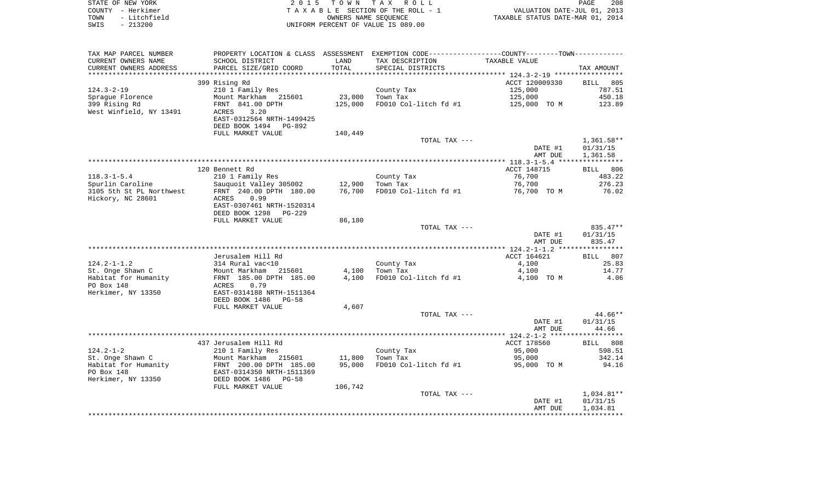| STATE OF NEW YORK    | 2015 TOWN TAX ROLL                 | 208<br>PAGE                      |
|----------------------|------------------------------------|----------------------------------|
| COUNTY - Herkimer    | TAXABLE SECTION OF THE ROLL - 1    | VALUATION DATE-JUL 01, 2013      |
| TOWN<br>- Litchfield | OWNERS NAME SEOUENCE               | TAXABLE STATUS DATE-MAR 01, 2014 |
| - 213200<br>SWIS     | UNIFORM PERCENT OF VALUE IS 089.00 |                                  |

 $\begin{array}{c} 208 \\ 2013 \\ 2014 \end{array}$ 

| TAX MAP PARCEL NUMBER    |                                |         | PROPERTY LOCATION & CLASS ASSESSMENT EXEMPTION CODE----------------COUNTY-------TOWN---------- |                |              |
|--------------------------|--------------------------------|---------|------------------------------------------------------------------------------------------------|----------------|--------------|
| CURRENT OWNERS NAME      | SCHOOL DISTRICT                | LAND    | TAX DESCRIPTION                                                                                | TAXABLE VALUE  |              |
| CURRENT OWNERS ADDRESS   | PARCEL SIZE/GRID COORD         | TOTAL   | SPECIAL DISTRICTS                                                                              |                | TAX AMOUNT   |
|                          |                                |         |                                                                                                |                |              |
|                          | 399 Rising Rd                  |         |                                                                                                | ACCT 120009330 | BILL 805     |
| $124.3 - 2 - 19$         | 210 1 Family Res               |         | County Tax                                                                                     | 125,000        | 787.51       |
| Spraque Florence         | Mount Markham 215601           | 23,000  | Town Tax                                                                                       | 125,000        | 450.18       |
| 399 Rising Rd            | FRNT 841.00 DPTH               | 125,000 | FD010 Col-litch fd #1                                                                          | 125,000 TO M   | 123.89       |
| West Winfield, NY 13491  | 3.20<br>ACRES                  |         |                                                                                                |                |              |
|                          | EAST-0312564 NRTH-1499425      |         |                                                                                                |                |              |
|                          | DEED BOOK 1494 PG-892          |         |                                                                                                |                |              |
|                          | FULL MARKET VALUE              | 140,449 |                                                                                                |                |              |
|                          |                                |         | TOTAL TAX ---                                                                                  |                | $1,361.58**$ |
|                          |                                |         |                                                                                                | DATE #1        | 01/31/15     |
|                          |                                |         |                                                                                                | AMT DUE        | 1,361.58     |
|                          |                                |         |                                                                                                |                |              |
|                          | 120 Bennett Rd                 |         |                                                                                                | ACCT 148715    | BILL 806     |
| $118.3 - 1 - 5.4$        | 210 1 Family Res               |         | County Tax                                                                                     | 76,700         | 483.22       |
| Spurlin Caroline         | Sauquoit Valley 305002         | 12,900  | Town Tax                                                                                       | 76,700         | 276.23       |
| 3105 5th St PL Northwest | FRNT 240.00 DPTH 180.00        | 76,700  | FD010 Col-litch fd #1                                                                          | 76,700 TO M    | 76.02        |
| Hickory, NC 28601        | 0.99<br>ACRES                  |         |                                                                                                |                |              |
|                          | EAST-0307461 NRTH-1520314      |         |                                                                                                |                |              |
|                          | DEED BOOK 1298<br>$PG-229$     |         |                                                                                                |                |              |
|                          | FULL MARKET VALUE              | 86,180  |                                                                                                |                |              |
|                          |                                |         | TOTAL TAX ---                                                                                  |                | 835.47**     |
|                          |                                |         |                                                                                                | DATE #1        | 01/31/15     |
|                          |                                |         |                                                                                                | AMT DUE        | 835.47       |
|                          |                                |         |                                                                                                |                |              |
|                          | Jerusalem Hill Rd              |         |                                                                                                | ACCT 164621    | BILL 807     |
| $124.2 - 1 - 1.2$        | 314 Rural vac<10               |         | County Tax                                                                                     | 4,100          | 25.83        |
| St. Onge Shawn C         | Mount Markham<br>215601        | 4,100   | Town Tax                                                                                       | 4,100          | 14.77        |
| Habitat for Humanity     | FRNT 185.00 DPTH 185.00        | 4,100   | FD010 Col-litch fd #1                                                                          | 4,100 TO M     | 4.06         |
| PO Box 148               | ACRES<br>0.79                  |         |                                                                                                |                |              |
| Herkimer, NY 13350       | EAST-0314188 NRTH-1511364      |         |                                                                                                |                |              |
|                          | DEED BOOK 1486<br>$PG-58$      |         |                                                                                                |                |              |
|                          | FULL MARKET VALUE              | 4,607   |                                                                                                |                |              |
|                          |                                |         | TOTAL TAX ---                                                                                  |                | $44.66**$    |
|                          |                                |         |                                                                                                | DATE #1        | 01/31/15     |
|                          |                                |         |                                                                                                | AMT DUE        | 44.66        |
|                          |                                |         |                                                                                                |                |              |
|                          | 437 Jerusalem Hill Rd          |         |                                                                                                | ACCT 178560    | BILL 808     |
| $124.2 - 1 - 2$          | 210 1 Family Res               |         | County Tax                                                                                     | 95,000         | 598.51       |
| St. Onge Shawn C         | Mount Markham 215601           | 11,800  | Town Tax                                                                                       | 95,000         | 342.14       |
| Habitat for Humanity     | FRNT 200.00 DPTH 185.00        | 95,000  | FD010 Col-litch fd #1                                                                          | 95,000 TO M    | 94.16        |
| PO Box 148               | EAST-0314350 NRTH-1511369      |         |                                                                                                |                |              |
| Herkimer, NY 13350       | DEED BOOK 1486<br><b>PG-58</b> |         |                                                                                                |                |              |
|                          | FULL MARKET VALUE              | 106,742 |                                                                                                |                |              |
|                          |                                |         | TOTAL TAX ---                                                                                  |                | 1,034.81**   |
|                          |                                |         |                                                                                                | DATE #1        | 01/31/15     |
|                          |                                |         |                                                                                                | AMT DUE        | 1,034.81     |
|                          |                                |         |                                                                                                |                |              |
|                          |                                |         |                                                                                                |                |              |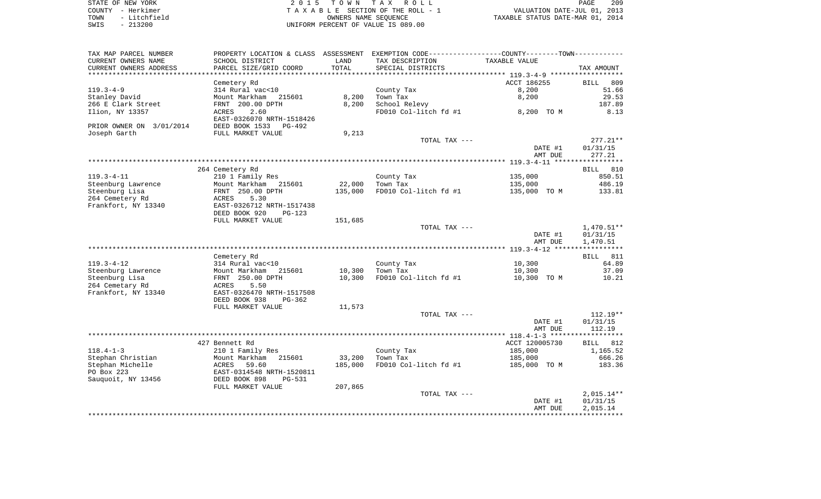| STATE OF NEW YORK    | 2015 TOWN TAX ROLL                 | 209<br>PAGE                      |
|----------------------|------------------------------------|----------------------------------|
| COUNTY - Herkimer    | TAXABLE SECTION OF THE ROLL - 1    | VALUATION DATE-JUL 01, 2013      |
| - Litchfield<br>TOWN | OWNERS NAME SEOUENCE               | TAXABLE STATUS DATE-MAR 01, 2014 |
| $-213200$<br>SWIS    | UNIFORM PERCENT OF VALUE IS 089.00 |                                  |

| TAX MAP PARCEL NUMBER    |                           |         | PROPERTY LOCATION & CLASS ASSESSMENT EXEMPTION CODE---------------COUNTY-------TOWN---------- |                |                          |
|--------------------------|---------------------------|---------|-----------------------------------------------------------------------------------------------|----------------|--------------------------|
| CURRENT OWNERS NAME      | SCHOOL DISTRICT           | LAND    | TAX DESCRIPTION                                                                               | TAXABLE VALUE  |                          |
| CURRENT OWNERS ADDRESS   | PARCEL SIZE/GRID COORD    | TOTAL   | SPECIAL DISTRICTS                                                                             |                | TAX AMOUNT               |
| *********************    | **********************    |         |                                                                                               |                |                          |
|                          | Cemetery Rd               |         |                                                                                               | ACCT 186255    | <b>BILL</b><br>809       |
| $119.3 - 4 - 9$          | 314 Rural vac<10          |         | County Tax                                                                                    | 8,200          | 51.66                    |
| Stanley David            | Mount Markham<br>215601   | 8,200   | Town Tax                                                                                      | 8,200          | 29.53                    |
| 266 E Clark Street       | FRNT 200.00 DPTH          | 8,200   | School Relevy                                                                                 |                | 187.89                   |
| Ilion, NY 13357          | 2.60<br>ACRES             |         | FD010 Col-litch fd #1                                                                         | 8,200 TO M     | 8.13                     |
|                          | EAST-0326070 NRTH-1518426 |         |                                                                                               |                |                          |
| PRIOR OWNER ON 3/01/2014 | DEED BOOK 1533<br>PG-492  |         |                                                                                               |                |                          |
| Joseph Garth             | FULL MARKET VALUE         | 9,213   |                                                                                               |                |                          |
|                          |                           |         | TOTAL TAX ---                                                                                 |                | $277.21**$               |
|                          |                           |         |                                                                                               | DATE #1        | 01/31/15                 |
|                          |                           |         |                                                                                               | AMT DUE        | 277.21                   |
|                          |                           |         |                                                                                               |                |                          |
|                          | 264 Cemetery Rd           |         |                                                                                               |                | BILL 810                 |
| $119.3 - 4 - 11$         | 210 1 Family Res          |         | County Tax                                                                                    | 135,000        | 850.51                   |
| Steenburg Lawrence       | Mount Markham<br>215601   | 22,000  | Town Tax                                                                                      | 135,000        | 486.19                   |
| Steenburg Lisa           | FRNT 250.00 DPTH          | 135,000 | FD010 Col-litch fd #1                                                                         | 135,000 TO M   | 133.81                   |
| 264 Cemetery Rd          | 5.30<br>ACRES             |         |                                                                                               |                |                          |
| Frankfort, NY 13340      | EAST-0326712 NRTH-1517438 |         |                                                                                               |                |                          |
|                          | DEED BOOK 920<br>PG-123   |         |                                                                                               |                |                          |
|                          | FULL MARKET VALUE         | 151,685 |                                                                                               |                |                          |
|                          |                           |         | TOTAL TAX ---                                                                                 | DATE #1        | $1,470.51**$<br>01/31/15 |
|                          |                           |         |                                                                                               | AMT DUE        | 1,470.51                 |
|                          |                           |         |                                                                                               |                |                          |
|                          | Cemetery Rd               |         |                                                                                               |                | BILL 811                 |
| $119.3 - 4 - 12$         | 314 Rural vac<10          |         | County Tax                                                                                    | 10,300         | 64.89                    |
| Steenburg Lawrence       | 215601<br>Mount Markham   | 10,300  | Town Tax                                                                                      | 10,300         | 37.09                    |
| Steenburg Lisa           | FRNT 250.00 DPTH          | 10,300  | FD010 Col-litch fd #1                                                                         | 10,300 TO M    | 10.21                    |
| 264 Cemetary Rd          | 5.50<br>ACRES             |         |                                                                                               |                |                          |
| Frankfort, NY 13340      | EAST-0326470 NRTH-1517508 |         |                                                                                               |                |                          |
|                          | DEED BOOK 938<br>$PG-362$ |         |                                                                                               |                |                          |
|                          | FULL MARKET VALUE         | 11,573  |                                                                                               |                |                          |
|                          |                           |         | TOTAL TAX ---                                                                                 |                | $112.19**$               |
|                          |                           |         |                                                                                               | DATE #1        | 01/31/15                 |
|                          |                           |         |                                                                                               | AMT DUE        | 112.19                   |
|                          |                           |         |                                                                                               |                |                          |
|                          | 427 Bennett Rd            |         |                                                                                               | ACCT 120005730 | BILL 812                 |
| $118.4 - 1 - 3$          | 210 1 Family Res          |         | County Tax                                                                                    | 185,000        | 1,165.52                 |
| Stephan Christian        | Mount Markham<br>215601   | 33,200  | Town Tax                                                                                      | 185,000        | 666.26                   |
| Stephan Michelle         | ACRES<br>59.60            | 185,000 | FD010 Col-litch fd #1                                                                         | 185,000 TO M   | 183.36                   |
| PO Box 223               | EAST-0314548 NRTH-1520811 |         |                                                                                               |                |                          |
| Sauguoit, NY 13456       | DEED BOOK 898<br>$PG-531$ |         |                                                                                               |                |                          |
|                          | FULL MARKET VALUE         | 207,865 |                                                                                               |                |                          |
|                          |                           |         | TOTAL TAX ---                                                                                 |                | $2,015.14**$             |
|                          |                           |         |                                                                                               | DATE #1        | 01/31/15                 |
|                          |                           |         |                                                                                               | AMT DUE        | 2,015.14                 |
|                          |                           |         |                                                                                               |                |                          |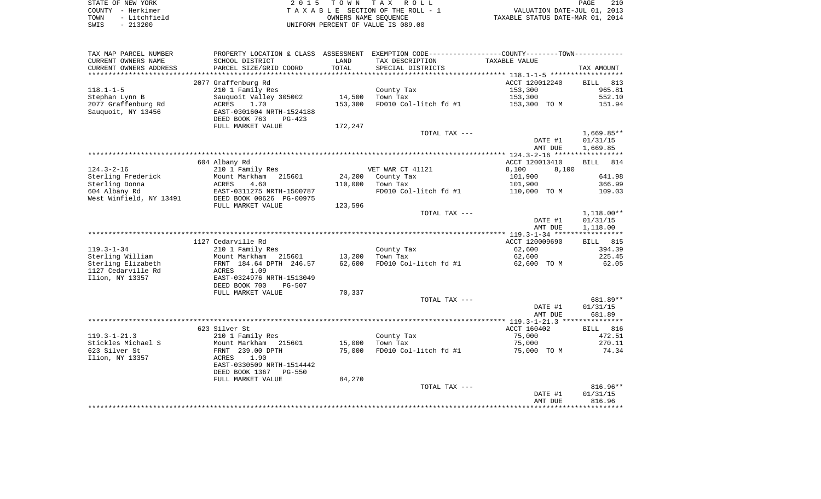|      | STATE OF NEW YORK | 2015 TOWN TAX ROLL                 | PAGE                             | 210 |
|------|-------------------|------------------------------------|----------------------------------|-----|
|      | COUNTY - Herkimer | TAXABLE SECTION OF THE ROLL - 1    | VALUATION DATE-JUL 01, 2013      |     |
| TOWN | - Litchfield      | OWNERS NAME SEOUENCE               | TAXABLE STATUS DATE-MAR 01, 2014 |     |
| SWIS | $-213200$         | UNIFORM PERCENT OF VALUE IS 089.00 |                                  |     |

| TAX MAP PARCEL NUMBER   | PROPERTY LOCATION & CLASS ASSESSMENT EXEMPTION CODE----------------COUNTY--------TOWN----------- |                 |                       |                |              |
|-------------------------|--------------------------------------------------------------------------------------------------|-----------------|-----------------------|----------------|--------------|
| CURRENT OWNERS NAME     | SCHOOL DISTRICT                                                                                  | LAND            | TAX DESCRIPTION       | TAXABLE VALUE  |              |
| CURRENT OWNERS ADDRESS  | PARCEL SIZE/GRID COORD                                                                           | TOTAL           | SPECIAL DISTRICTS     |                | TAX AMOUNT   |
|                         |                                                                                                  | *************** |                       |                |              |
|                         | 2077 Graffenburg Rd                                                                              |                 |                       | ACCT 120012240 | BILL 813     |
| $118.1 - 1 - 5$         | 210 1 Family Res                                                                                 |                 | County Tax            | 153,300        | 965.81       |
| Stephan Lynn B          | Sauquoit Valley 305002                                                                           | 14,500          | Town Tax              | 153,300        | 552.10       |
| 2077 Graffenburg Rd     | ACRES<br>1.70                                                                                    | 153,300         | FD010 Col-litch fd #1 | 153,300 TO M   | 151.94       |
| Sauquoit, NY 13456      | EAST-0301604 NRTH-1524188                                                                        |                 |                       |                |              |
|                         | DEED BOOK 763<br>PG-423                                                                          |                 |                       |                |              |
|                         | FULL MARKET VALUE                                                                                | 172,247         |                       |                |              |
|                         |                                                                                                  |                 | TOTAL TAX ---         |                | $1,669.85**$ |
|                         |                                                                                                  |                 |                       | DATE #1        | 01/31/15     |
|                         |                                                                                                  |                 |                       | AMT DUE        | 1,669.85     |
|                         |                                                                                                  |                 |                       |                |              |
|                         | 604 Albany Rd                                                                                    |                 |                       | ACCT 120013410 | 814<br>BILL  |
| $124.3 - 2 - 16$        | 210 1 Family Res                                                                                 |                 | VET WAR CT 41121      | 8,100<br>8,100 |              |
| Sterling Frederick      | Mount Markham<br>215601                                                                          | 24,200          | County Tax            | 101,900        | 641.98       |
| Sterling Donna          | ACRES<br>4.60                                                                                    | 110,000         | Town Tax              | 101,900        | 366.99       |
| 604 Albany Rd           | EAST-0311275 NRTH-1500787                                                                        |                 | FD010 Col-litch fd #1 | 110,000 TO M   | 109.03       |
| West Winfield, NY 13491 | DEED BOOK 00626 PG-00975                                                                         |                 |                       |                |              |
|                         | FULL MARKET VALUE                                                                                | 123,596         |                       |                |              |
|                         |                                                                                                  |                 | TOTAL TAX ---         |                | $1,118.00**$ |
|                         |                                                                                                  |                 |                       | DATE #1        | 01/31/15     |
|                         |                                                                                                  |                 |                       | AMT DUE        | 1,118.00     |
|                         |                                                                                                  |                 |                       |                |              |
|                         | 1127 Cedarville Rd                                                                               |                 |                       | ACCT 120009690 | BILL 815     |
| $119.3 - 1 - 34$        | 210 1 Family Res                                                                                 |                 | County Tax            | 62,600         | 394.39       |
| Sterling William        | Mount Markham<br>215601                                                                          | 13,200          | Town Tax              | 62,600         | 225.45       |
| Sterling Elizabeth      | FRNT 184.64 DPTH 246.57                                                                          | 62,600          | FD010 Col-litch fd #1 | 62,600 TO M    | 62.05        |
| 1127 Cedarville Rd      | 1.09<br>ACRES                                                                                    |                 |                       |                |              |
| Ilion, NY 13357         | EAST-0324976 NRTH-1513049                                                                        |                 |                       |                |              |
|                         | DEED BOOK 700<br><b>PG-507</b>                                                                   |                 |                       |                |              |
|                         | FULL MARKET VALUE                                                                                | 70,337          |                       |                |              |
|                         |                                                                                                  |                 | TOTAL TAX ---         |                | 681.89**     |
|                         |                                                                                                  |                 |                       | DATE #1        | 01/31/15     |
|                         |                                                                                                  |                 |                       | AMT DUE        | 681.89       |
|                         |                                                                                                  |                 |                       |                |              |
|                         | 623 Silver St                                                                                    |                 |                       | ACCT 160402    | BILL 816     |
| $119.3 - 1 - 21.3$      | 210 1 Family Res                                                                                 |                 | County Tax            | 75,000         | 472.51       |
| Stickles Michael S      | Mount Markham<br>215601                                                                          | 15,000          | Town Tax              | 75,000         | 270.11       |
| 623 Silver St           | FRNT 239.00 DPTH                                                                                 | 75,000          | FD010 Col-litch fd #1 | 75,000 TO M    | 74.34        |
| Ilion, NY 13357         | 1.90<br>ACRES                                                                                    |                 |                       |                |              |
|                         | EAST-0330509 NRTH-1514442<br>DEED BOOK 1367<br><b>PG-550</b>                                     |                 |                       |                |              |
|                         |                                                                                                  |                 |                       |                |              |
|                         | FULL MARKET VALUE                                                                                | 84,270          |                       |                | $816.96**$   |
|                         |                                                                                                  |                 | TOTAL TAX ---         | DATE #1        | 01/31/15     |
|                         |                                                                                                  |                 |                       | AMT DUE        | 816.96       |
|                         |                                                                                                  |                 |                       |                |              |
|                         |                                                                                                  |                 |                       |                |              |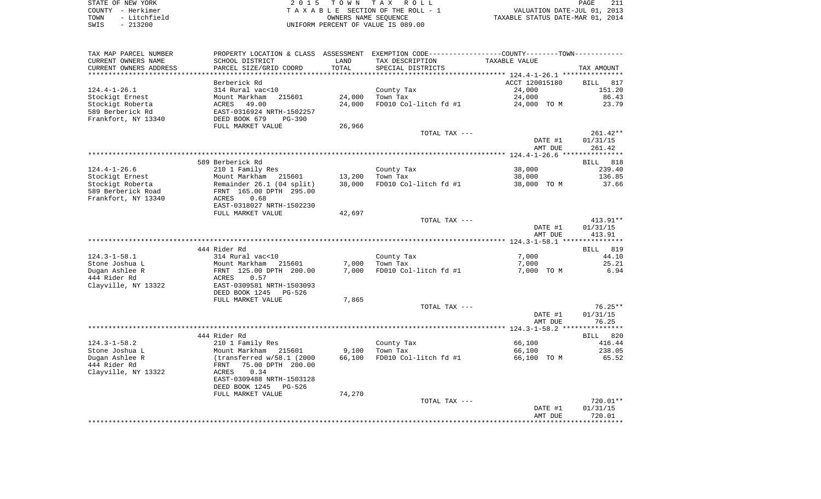| STATE OF NEW YORK    | 2015 TOWN TAX ROLL                 | PAGE                             |
|----------------------|------------------------------------|----------------------------------|
| COUNTY - Herkimer    | TAXABLE SECTION OF THE ROLL - 1    | VALUATION DATE-JUL 01, 2013      |
| - Litchfield<br>TOWN | OWNERS NAME SEOUENCE               | TAXABLE STATUS DATE-MAR 01, 2014 |
| $-213200$<br>SWIS    | UNIFORM PERCENT OF VALUE IS 089.00 |                                  |

| TAX MAP PARCEL NUMBER          | PROPERTY LOCATION & CLASS ASSESSMENT EXEMPTION CODE----------------COUNTY--------TOWN----------- |        |                             |                    |                    |
|--------------------------------|--------------------------------------------------------------------------------------------------|--------|-----------------------------|--------------------|--------------------|
| CURRENT OWNERS NAME            | SCHOOL DISTRICT                                                                                  | LAND   | TAX DESCRIPTION             | TAXABLE VALUE      |                    |
| CURRENT OWNERS ADDRESS         | PARCEL SIZE/GRID COORD                                                                           | TOTAL  | SPECIAL DISTRICTS           |                    | TAX AMOUNT         |
| **********************         | ****************************                                                                     |        |                             |                    |                    |
|                                | Berberick Rd                                                                                     |        |                             | ACCT 120015180     | BILL 817           |
| $124.4 - 1 - 26.1$             | 314 Rural vac<10                                                                                 |        | County Tax                  | 24,000             | 151.20             |
| Stockigt Ernest                | Mount Markham<br>215601                                                                          | 24,000 | Town Tax                    | 24,000             | 86.43              |
| Stockigt Roberta               | 49.00<br>ACRES                                                                                   | 24,000 | FD010 Col-litch fd #1       | 24,000 TO M        | 23.79              |
| 589 Berberick Rd               | EAST-0316924 NRTH-1502257                                                                        |        |                             |                    |                    |
| Frankfort, NY 13340            | DEED BOOK 679<br>PG-390                                                                          |        |                             |                    |                    |
|                                | FULL MARKET VALUE                                                                                | 26,966 |                             |                    | $261.42**$         |
|                                |                                                                                                  |        | TOTAL TAX ---               | DATE #1            | 01/31/15           |
|                                |                                                                                                  |        |                             | AMT DUE            | 261.42             |
|                                |                                                                                                  |        |                             |                    |                    |
|                                | 589 Berberick Rd                                                                                 |        |                             |                    | BILL 818           |
| $124.4 - 1 - 26.6$             | 210 1 Family Res                                                                                 |        | County Tax                  | 38,000             | 239.40             |
| Stockigt Ernest                | Mount Markham 215601                                                                             | 13,200 | Town Tax                    | 38,000             | 136.85             |
| Stockigt Roberta               | Mount Markham 215601<br>Remainder 26.1 (04 split)                                                | 38,000 | FD010 Col-litch fd #1       | 38,000 TO M        | 37.66              |
| 589 Berberick Road             | FRNT 165.00 DPTH 295.00                                                                          |        |                             |                    |                    |
| Frankfort, NY 13340            | 0.68<br>ACRES                                                                                    |        |                             |                    |                    |
|                                | EAST-0318027 NRTH-1502230                                                                        |        |                             |                    |                    |
|                                | FULL MARKET VALUE                                                                                | 42,697 |                             |                    |                    |
|                                |                                                                                                  |        | TOTAL TAX ---               |                    | $413.91**$         |
|                                |                                                                                                  |        |                             | DATE #1            | 01/31/15           |
|                                |                                                                                                  |        |                             | AMT DUE            | 413.91             |
|                                |                                                                                                  |        |                             |                    |                    |
|                                | 444 Rider Rd                                                                                     |        |                             |                    | BILL 819           |
| $124.3 - 1 - 58.1$             | 314 Rural vac<10                                                                                 |        | County Tax                  | 7,000              | 44.10              |
| Stone Joshua L                 | Mount Markham<br>215601                                                                          | 7,000  | Town Tax                    | 7,000              | 25.21              |
| Dugan Ashlee R<br>444 Rider Rd | FRNT 125.00 DPTH 200.00<br>ACRES<br>0.57                                                         |        | 7,000 FD010 Col-litch fd #1 | 7,000 TO M         | 6.94               |
| Clayville, NY 13322            | EAST-0309581 NRTH-1503093                                                                        |        |                             |                    |                    |
|                                | DEED BOOK 1245<br>PG-526                                                                         |        |                             |                    |                    |
|                                | FULL MARKET VALUE                                                                                | 7,865  |                             |                    |                    |
|                                |                                                                                                  |        | TOTAL TAX ---               |                    | 76.25**            |
|                                |                                                                                                  |        |                             | DATE #1            | 01/31/15           |
|                                |                                                                                                  |        |                             | AMT DUE            | 76.25              |
|                                |                                                                                                  |        |                             |                    |                    |
|                                | 444 Rider Rd                                                                                     |        |                             |                    | BILL 820           |
| $124.3 - 1 - 58.2$             | 210 1 Family Res                                                                                 |        | County Tax                  | 66,100             | 416.44             |
| Stone Joshua L                 | Mount Markham 215601                                                                             | 9,100  | Town Tax                    | 66,100             | 238.05             |
| Dugan Ashlee R                 | (transferred w/58.1 (2000                                                                        | 66,100 | FD010 Col-litch fd #1       | 66,100 TO M        | 65.52              |
| 444 Rider Rd                   | 75.00 DPTH 200.00<br>FRNT                                                                        |        |                             |                    |                    |
| Clayville, NY 13322            | ACRES 0.34                                                                                       |        |                             |                    |                    |
|                                | EAST-0309488 NRTH-1503128                                                                        |        |                             |                    |                    |
|                                | DEED BOOK 1245<br>PG-526                                                                         |        |                             |                    |                    |
|                                | FULL MARKET VALUE                                                                                | 74,270 |                             |                    |                    |
|                                |                                                                                                  |        | TOTAL TAX ---               |                    | 720.01**           |
|                                |                                                                                                  |        |                             | DATE #1<br>AMT DUE | 01/31/15<br>720.01 |
|                                |                                                                                                  |        |                             |                    |                    |
|                                |                                                                                                  |        |                             |                    |                    |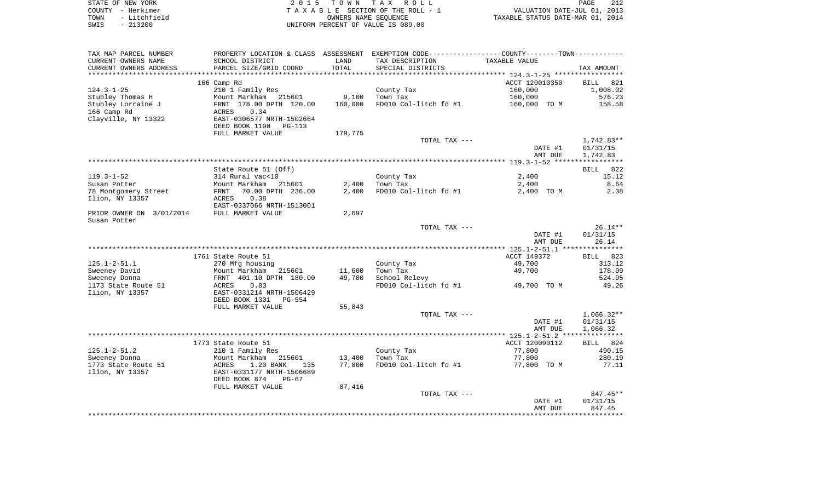|      | STATE OF NEW YORK | 2015 TOWN TAX ROLL                    | PAGE                             | 212 |
|------|-------------------|---------------------------------------|----------------------------------|-----|
|      | COUNTY - Herkimer | T A X A B L E SECTION OF THE ROLL - 1 | VALUATION DATE-JUL 01, 2013      |     |
| TOWN | - Litchfield      | OWNERS NAME SEOUENCE                  | TAXABLE STATUS DATE-MAR 01, 2014 |     |
| SWIS | - 213200          | UNIFORM PERCENT OF VALUE IS 089.00    |                                  |     |

| TAX MAP PARCEL NUMBER    |                                                         |         | PROPERTY LOCATION & CLASS ASSESSMENT EXEMPTION CODE----------------COUNTY--------TOWN----------- |                       |                 |
|--------------------------|---------------------------------------------------------|---------|--------------------------------------------------------------------------------------------------|-----------------------|-----------------|
| CURRENT OWNERS NAME      | SCHOOL DISTRICT                                         | LAND    | TAX DESCRIPTION                                                                                  | TAXABLE VALUE         |                 |
| CURRENT OWNERS ADDRESS   | PARCEL SIZE/GRID COORD                                  | TOTAL   | SPECIAL DISTRICTS                                                                                |                       | TAX AMOUNT      |
|                          |                                                         |         |                                                                                                  |                       |                 |
|                          | 166 Camp Rd                                             |         |                                                                                                  | ACCT 120010350        | BILL 821        |
| $124.3 - 1 - 25$         | 210 1 Family Res                                        |         | County Tax                                                                                       | 160,000               | 1,008.02        |
| Stubley Thomas H         | Mount Markham 215601                                    | 9,100   | Town Tax                                                                                         | 160,000               | 576.23          |
| Stubley Lorraine J       | FRNT 178.00 DPTH 120.00                                 | 160,000 | FD010 Col-litch fd #1                                                                            | 160,000 TO M          | 158.58          |
| 166 Camp Rd              | ACRES<br>0.34                                           |         |                                                                                                  |                       |                 |
| Clayville, NY 13322      | EAST-0306577 NRTH-1502664                               |         |                                                                                                  |                       |                 |
|                          | DEED BOOK 1190<br><b>PG-113</b>                         |         |                                                                                                  |                       |                 |
|                          | FULL MARKET VALUE                                       | 179,775 |                                                                                                  |                       |                 |
|                          |                                                         |         | TOTAL TAX ---                                                                                    |                       | $1,742.83**$    |
|                          |                                                         |         |                                                                                                  | DATE #1               | 01/31/15        |
|                          |                                                         |         |                                                                                                  | AMT DUE               | 1,742.83        |
|                          |                                                         |         |                                                                                                  |                       |                 |
|                          | State Route 51 (Off)                                    |         |                                                                                                  |                       | BILL 822        |
| $119.3 - 1 - 52$         | 314 Rural vac<10                                        |         | County Tax                                                                                       | 2,400                 | 15.12           |
| Susan Potter             | Mount Markham 215601                                    | 2,400   | Town Tax                                                                                         | 2,400                 | 8.64            |
| 78 Montgomery Street     | 70.00 DPTH 236.00<br>FRNT                               | 2,400   | FD010 Col-litch fd #1                                                                            | 2,400 TO M            | 2.38            |
| Ilion, NY 13357          | 0.38<br>ACRES                                           |         |                                                                                                  |                       |                 |
|                          | EAST-0337066 NRTH-1513001                               |         |                                                                                                  |                       |                 |
| PRIOR OWNER ON 3/01/2014 | FULL MARKET VALUE                                       | 2,697   |                                                                                                  |                       |                 |
| Susan Potter             |                                                         |         |                                                                                                  |                       |                 |
|                          |                                                         |         | TOTAL TAX ---                                                                                    |                       | $26.14**$       |
|                          |                                                         |         |                                                                                                  | DATE #1               | 01/31/15        |
|                          |                                                         |         |                                                                                                  | AMT DUE               | 26.14           |
|                          |                                                         |         |                                                                                                  |                       |                 |
|                          | 1761 State Route 51                                     |         |                                                                                                  | ACCT 149372<br>49,700 | BILL 823        |
| $125.1 - 2 - 51.1$       | 270 Mfg housing                                         |         | County Tax                                                                                       |                       | 313.12          |
| Sweeney David            | Mount Markham 215601                                    | 11,600  | Town Tax                                                                                         | 49,700                | 178.99          |
| Sweeney Donna            | FRNT 401.10 DPTH 180.00                                 | 49,700  | School Relevy                                                                                    |                       | 524.95<br>49.26 |
| 1173 State Route 51      | 0.83<br>ACRES                                           |         | FD010 Col-litch fd #1                                                                            | 49,700 TO M           |                 |
| Ilion, NY 13357          | EAST-0331214 NRTH-1506429<br>DEED BOOK 1301<br>$PG-554$ |         |                                                                                                  |                       |                 |
|                          | FULL MARKET VALUE                                       | 55,843  |                                                                                                  |                       |                 |
|                          |                                                         |         | TOTAL TAX ---                                                                                    |                       | $1,066.32**$    |
|                          |                                                         |         |                                                                                                  | DATE #1               | 01/31/15        |
|                          |                                                         |         |                                                                                                  | AMT DUE               | 1,066.32        |
|                          |                                                         |         |                                                                                                  |                       |                 |
|                          | 1773 State Route 51                                     |         |                                                                                                  | ACCT 120090112        | BILL 824        |
| $125.1 - 2 - 51.2$       | 210 1 Family Res                                        |         | County Tax                                                                                       | 77,800                | 490.15          |
| Sweeney Donna            | Mount Markham 215601                                    | 13,400  | Town Tax                                                                                         | 77,800                | 280.19          |
| 1773 State Route 51      | ACRES<br>1.20 BANK<br>135                               | 77,800  | FD010 Col-litch fd #1                                                                            | 77,800 TO M           | 77.11           |
| Ilion, NY 13357          | EAST-0331177 NRTH-1506689                               |         |                                                                                                  |                       |                 |
|                          | DEED BOOK 874<br>$PG-67$                                |         |                                                                                                  |                       |                 |
|                          | FULL MARKET VALUE                                       | 87,416  |                                                                                                  |                       |                 |
|                          |                                                         |         | TOTAL TAX ---                                                                                    |                       | $847.45**$      |
|                          |                                                         |         |                                                                                                  | DATE #1               | 01/31/15        |
|                          |                                                         |         |                                                                                                  | AMT DUE               | 847.45          |
|                          |                                                         |         |                                                                                                  |                       |                 |
|                          |                                                         |         |                                                                                                  |                       |                 |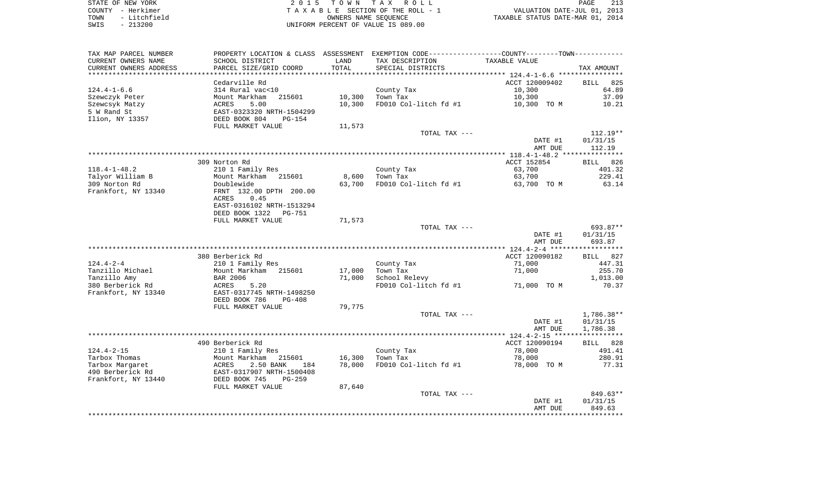STATE OF NEW YORK **EXECUTE:**  $2015$  TOWN TAX ROLL COUNTY - Herkimer<br>
T A X A B L E SECTION OF THE ROLL - 1<br>
TOWN - Litchfield<br>
SWIS - 213200 - UNIFORM PERCENT OF VALUE IS 089.00 TOWN - Litchfield OWNERS NAME SEQUENCE TAXABLE STATUS DATE-MAR 01, 2014 SWIS - 213200 UNIFORM PERCENT OF VALUE IS 089.00

| TAX MAP PARCEL NUMBER  |                           |        | PROPERTY LOCATION & CLASS ASSESSMENT EXEMPTION CODE----------------COUNTY-------TOWN---------- |                       |                    |
|------------------------|---------------------------|--------|------------------------------------------------------------------------------------------------|-----------------------|--------------------|
| CURRENT OWNERS NAME    | SCHOOL DISTRICT           | LAND   | TAX DESCRIPTION                                                                                | TAXABLE VALUE         |                    |
| CURRENT OWNERS ADDRESS | PARCEL SIZE/GRID COORD    | TOTAL  | SPECIAL DISTRICTS                                                                              |                       | TAX AMOUNT         |
|                        |                           |        |                                                                                                |                       |                    |
|                        | Cedarville Rd             |        |                                                                                                | ACCT 120009402        | 825<br><b>BILL</b> |
| $124.4 - 1 - 6.6$      | 314 Rural vac<10          |        | County Tax                                                                                     | 10,300                | 64.89              |
| Szewczyk Peter         | 215601<br>Mount Markham   | 10,300 | Town Tax                                                                                       | 10,300                | 37.09              |
| Szewcsyk Matzy         | 5.00<br>ACRES             | 10,300 | FD010 Col-litch fd #1                                                                          | 10,300 TO M           | 10.21              |
| 5 W Rand St            | EAST-0323320 NRTH-1504299 |        |                                                                                                |                       |                    |
| Ilion, NY 13357        | DEED BOOK 804<br>PG-154   |        |                                                                                                |                       |                    |
|                        | FULL MARKET VALUE         | 11,573 |                                                                                                |                       |                    |
|                        |                           |        | TOTAL TAX ---                                                                                  |                       | $112.19**$         |
|                        |                           |        |                                                                                                | DATE #1               | 01/31/15           |
|                        |                           |        |                                                                                                | AMT DUE               | 112.19             |
|                        | 309 Norton Rd             |        |                                                                                                |                       | BILL 826           |
| $118.4 - 1 - 48.2$     | 210 1 Family Res          |        | County Tax                                                                                     | ACCT 152854<br>63,700 | 401.32             |
| Talyor William B       | Mount Markham 215601      | 8,600  | Town Tax                                                                                       | 63,700                | 229.41             |
| 309 Norton Rd          | Doublewide                | 63,700 | FD010 Col-litch fd #1                                                                          | 63,700 TO M           | 63.14              |
| Frankfort, NY 13340    | FRNT 132.00 DPTH 200.00   |        |                                                                                                |                       |                    |
|                        | 0.45<br>ACRES             |        |                                                                                                |                       |                    |
|                        | EAST-0316102 NRTH-1513294 |        |                                                                                                |                       |                    |
|                        | DEED BOOK 1322<br>PG-751  |        |                                                                                                |                       |                    |
|                        | FULL MARKET VALUE         | 71,573 |                                                                                                |                       |                    |
|                        |                           |        | TOTAL TAX ---                                                                                  |                       | 693.87**           |
|                        |                           |        |                                                                                                | DATE #1               | 01/31/15           |
|                        |                           |        |                                                                                                | AMT DUE               | 693.87             |
|                        |                           |        |                                                                                                |                       |                    |
|                        | 380 Berberick Rd          |        |                                                                                                | ACCT 120090182        | BILL 827           |
| $124.4 - 2 - 4$        | 210 1 Family Res          |        | County Tax                                                                                     | 71,000                | 447.31             |
| Tanzillo Michael       | Mount Markham 215601      | 17,000 | Town Tax                                                                                       | 71,000                | 255.70             |
| Tanzillo Amy           | BAR 2006                  | 71,000 | School Relevy                                                                                  |                       | 1,013.00           |
| 380 Berberick Rd       | ACRES<br>5.20             |        | FD010 Col-litch fd #1                                                                          | 71,000 TO M           | 70.37              |
| Frankfort, NY 13340    | EAST-0317745 NRTH-1498250 |        |                                                                                                |                       |                    |
|                        | DEED BOOK 786<br>$PG-408$ |        |                                                                                                |                       |                    |
|                        | FULL MARKET VALUE         | 79,775 |                                                                                                |                       |                    |
|                        |                           |        | TOTAL TAX ---                                                                                  |                       | 1,786.38**         |
|                        |                           |        |                                                                                                | DATE #1               | 01/31/15           |
|                        |                           |        |                                                                                                | AMT DUE               | 1,786.38           |
|                        |                           |        |                                                                                                |                       |                    |
|                        | 490 Berberick Rd          |        |                                                                                                | ACCT 120090194        | BILL 828           |
| $124.4 - 2 - 15$       | 210 1 Family Res          |        | County Tax                                                                                     | 78,000                | 491.41             |
| Tarbox Thomas          | Mount Markham 215601      | 16,300 | Town Tax                                                                                       | 78,000                | 280.91             |
| Tarbox Margaret        | 2.50 BANK<br>ACRES<br>184 | 78,000 | FD010 Col-litch fd #1                                                                          | 78,000 TO M           | 77.31              |
| 490 Berberick Rd       | EAST-0317907 NRTH-1500408 |        |                                                                                                |                       |                    |
| Frankfort, NY 13440    | DEED BOOK 745<br>$PG-259$ |        |                                                                                                |                       |                    |
|                        | FULL MARKET VALUE         | 87,640 | TOTAL TAX ---                                                                                  |                       | $849.63**$         |
|                        |                           |        |                                                                                                | DATE #1               | 01/31/15           |
|                        |                           |        |                                                                                                | AMT DUE               | 849.63             |
|                        |                           |        |                                                                                                |                       |                    |
|                        |                           |        |                                                                                                |                       |                    |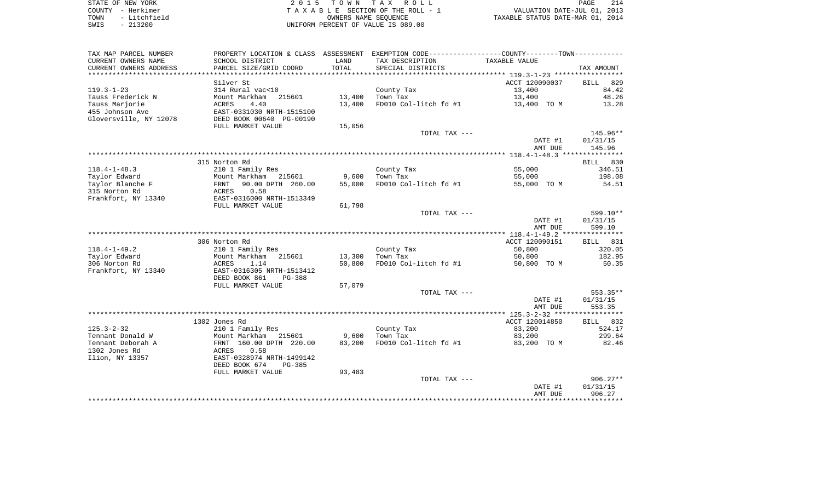| STATE OF NEW YORK |  |              |
|-------------------|--|--------------|
| COUNTY - Herkimer |  |              |
| TOWN              |  | - Litchfield |
| SWIS              |  | $-213200$    |

2015 TOWN TAX ROLL TA X A B L E SECTION OF THE ROLL - 1 TOWN - Litchfield OWNERS NAME SEQUENCE TAXABLE STATUS DATE-MAR 01, 2014 SWIS - 213200 UNIFORM PERCENT OF VALUE IS 089.00

|                        |                                      |        |                       | DATE #1<br>AMT DUE | 01/31/15<br>906.27 |
|------------------------|--------------------------------------|--------|-----------------------|--------------------|--------------------|
|                        |                                      |        | TOTAL TAX ---         |                    | $906.27**$         |
|                        | FULL MARKET VALUE                    | 93,483 |                       |                    |                    |
|                        | DEED BOOK 674<br>PG-385              |        |                       |                    |                    |
| Ilion, NY 13357        | EAST-0328974 NRTH-1499142            |        |                       |                    |                    |
| 1302 Jones Rd          | 0.58<br>ACRES                        |        |                       |                    |                    |
| Tennant Deborah A      | FRNT 160.00 DPTH 220.00              | 83,200 | FD010 Col-litch fd #1 | 83,200 TO M        | 82.46              |
|                        |                                      |        |                       |                    |                    |
| Tennant Donald W       | Mount Markham<br>215601              | 9,600  | Town Tax              | 83,200             | 299.64             |
| $125.3 - 2 - 32$       | 210 1 Family Res                     |        | County Tax            | 83,200             | 524.17             |
|                        | 1302 Jones Rd                        |        |                       | ACCT 120014850     | BILL 832           |
|                        |                                      |        |                       |                    |                    |
|                        |                                      |        |                       | AMT DUE            | 553.35             |
|                        |                                      |        |                       | DATE #1            | 01/31/15           |
|                        |                                      |        | TOTAL TAX ---         |                    | 553.35**           |
|                        | FULL MARKET VALUE                    | 57,079 |                       |                    |                    |
|                        | DEED BOOK 861<br>PG-388              |        |                       |                    |                    |
| Frankfort, NY 13340    | EAST-0316305 NRTH-1513412            |        |                       |                    |                    |
| 306 Norton Rd          | 1.14<br>ACRES                        | 50,800 | FD010 Col-litch fd #1 | 50,800 TO M        | 50.35              |
| Taylor Edward          | Mount Markham<br>215601              | 13,300 | Town Tax              | 50,800             | 182.95             |
| $118.4 - 1 - 49.2$     | 210 1 Family Res                     |        | County Tax            | 50,800             | 320.05             |
|                        | 306 Norton Rd                        |        |                       | ACCT 120090151     | BILL 831           |
|                        |                                      |        |                       |                    |                    |
|                        |                                      |        |                       | AMT DUE            | 599.10             |
|                        |                                      |        |                       | DATE #1            | 01/31/15           |
|                        |                                      |        | TOTAL TAX ---         |                    | 599.10**           |
|                        | FULL MARKET VALUE                    | 61,798 |                       |                    |                    |
| Frankfort, NY 13340    | EAST-0316000 NRTH-1513349            |        |                       |                    |                    |
| 315 Norton Rd          | ACRES                                |        |                       |                    |                    |
|                        | 0.58                                 |        |                       |                    |                    |
| Taylor Blanche F       | 90.00 DPTH 260.00<br>FRNT            | 55,000 | FD010 Col-litch fd #1 | 55,000 TO M        | 54.51              |
| Taylor Edward          | Mount Markham<br>215601              | 9,600  | Town Tax              | 55,000             | 198.08             |
| $118.4 - 1 - 48.3$     | 210 1 Family Res                     |        | County Tax            | 55,000             | 346.51             |
|                        | 315 Norton Rd                        |        |                       |                    | 830<br>BILL        |
|                        |                                      |        |                       |                    |                    |
|                        |                                      |        |                       | AMT DUE            | 145.96             |
|                        |                                      |        |                       | DATE #1            | 01/31/15           |
|                        |                                      |        | TOTAL TAX ---         |                    | 145.96**           |
|                        | FULL MARKET VALUE                    | 15,056 |                       |                    |                    |
| Gloversville, NY 12078 | DEED BOOK 00640 PG-00190             |        |                       |                    |                    |
| 455 Johnson Ave        | EAST-0331030 NRTH-1515100            |        |                       |                    |                    |
| Tauss Marjorie         | 4.40<br>ACRES                        | 13,400 | FD010 Col-litch fd #1 | 13,400 TO M        | 13.28              |
| Tauss Frederick N      | Mount Markham<br>215601              | 13,400 | Town Tax              | 13,400             | 48.26              |
| $119.3 - 1 - 23$       | 314 Rural vac<10                     |        | County Tax            | 13,400             | 84.42              |
|                        | Silver St                            |        |                       | ACCT 120090037     | <b>BILL</b><br>829 |
|                        | *******************                  |        |                       |                    |                    |
| CURRENT OWNERS ADDRESS | PARCEL SIZE/GRID COORD               | TOTAL  | SPECIAL DISTRICTS     |                    | TAX AMOUNT         |
| CURRENT OWNERS NAME    | SCHOOL DISTRICT                      | LAND   | TAX DESCRIPTION       | TAXABLE VALUE      |                    |
| TAX MAP PARCEL NUMBER  | PROPERTY LOCATION & CLASS ASSESSMENT |        |                       |                    |                    |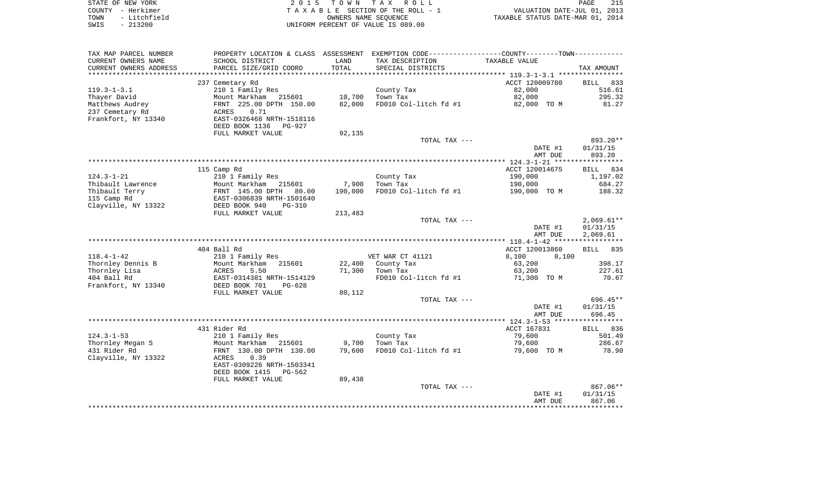|      | STATE OF NEW YORK | 2015 TOWN TAX ROLL                 | PAGE                             | 215 |
|------|-------------------|------------------------------------|----------------------------------|-----|
|      | COUNTY - Herkimer | TAXABLE SECTION OF THE ROLL - 1    | VALUATION DATE-JUL 01, 2013      |     |
| TOWN | - Litchfield      | OWNERS NAME SEOUENCE               | TAXABLE STATUS DATE-MAR 01, 2014 |     |
| SWIS | $-213200$         | UNIFORM PERCENT OF VALUE IS 089.00 |                                  |     |

| CURRENT OWNERS NAME<br>SCHOOL DISTRICT<br>LAND<br>TAX DESCRIPTION<br>TAXABLE VALUE<br>TOTAL<br>CURRENT OWNERS ADDRESS<br>PARCEL SIZE/GRID COORD<br>SPECIAL DISTRICTS<br>TAX AMOUNT<br>************************<br>ACCT 120009780<br>833<br>237 Cemetary Rd<br><b>BILL</b><br>210 1 Family Res<br>County Tax<br>82,000<br>516.61<br>10,700<br>82,000<br>Mount Markham 215601<br>Town Tax<br>295.32<br>Matthews Audrey<br>82,000<br>FD010 Col-litch fd #1<br>81.27<br>FRNT 225.00 DPTH 150.00<br>82,000 TO M<br>0.71<br>ACRES<br>EAST-0326468 NRTH-1518116<br>DEED BOOK 1136<br>PG-927<br>FULL MARKET VALUE<br>92,135<br>893.20**<br>TOTAL TAX ---<br>01/31/15<br>DATE #1<br>893.20<br>AMT DUE<br>115 Camp Rd<br>ACCT 120014675<br>BILL 834<br>$124.3 - 1 - 21$<br>210 1 Family Res<br>County Tax<br>190,000<br>1,197.02<br>190,000<br>Thibault Lawrence<br>Mount Markham 215601<br>7,900<br>Town Tax<br>684.27<br>Thibault Terry<br>FRNT 145.00 DPTH<br>190,000<br>FD010 Col-litch fd #1<br>80.00<br>190,000 TO M<br>188.32<br>EAST-0306839 NRTH-1501640<br>115 Camp Rd<br>Clayville, NY 13322<br>DEED BOOK 940<br>$PG-310$<br>FULL MARKET VALUE<br>213,483<br>$2,069.61**$<br>TOTAL TAX ---<br>01/31/15<br>DATE #1<br>AMT DUE<br>2,069.61<br>404 Ball Rd<br>ACCT 120013860<br>BILL 835<br>$118.4 - 1 - 42$<br>210 1 Family Res<br>VET WAR CT 41121<br>8,100<br>8,100<br>398.17<br>Thornley Dennis B<br>Mount Markham 215601<br>22,400 County Tax<br>63,200<br>Thornley Lisa<br>5.50<br>71,300<br>Town Tax<br>63,200<br>227.61<br>ACRES<br>404 Ball Rd<br>EAST-0314381 NRTH-1514129<br>FD010 Col-litch fd #1<br>70.67<br>71,300 TO M<br>Frankfort, NY 13340<br>DEED BOOK 701<br>$PG-628$<br>FULL MARKET VALUE<br>80,112<br>696.45**<br>TOTAL TAX ---<br>DATE #1<br>01/31/15<br>696.45<br>AMT DUE<br>ACCT 167831<br>431 Rider Rd<br>BILL 836<br>$124.3 - 1 - 53$<br>210 1 Family Res<br>79,600<br>501.49<br>County Tax<br>Thornley Megan S<br>Mount Markham 215601<br>9,700<br>Town Tax<br>79,600<br>286.67<br>431 Rider Rd<br>FRNT 130.00 DPTH 130.00<br>79,600<br>FD010 Col-litch fd #1<br>79,600 TO M<br>78.90<br>Clayville, NY 13322<br>ACRES<br>0.39<br>EAST-0309226 NRTH-1503341<br>DEED BOOK 1415<br>PG-562<br>89,438<br>FULL MARKET VALUE<br>$867.06**$<br>TOTAL TAX ---<br>DATE #1<br>01/31/15<br>867.06<br>AMT DUE | TAX MAP PARCEL NUMBER |  | PROPERTY LOCATION & CLASS ASSESSMENT EXEMPTION CODE---------------COUNTY-------TOWN---------- |  |
|----------------------------------------------------------------------------------------------------------------------------------------------------------------------------------------------------------------------------------------------------------------------------------------------------------------------------------------------------------------------------------------------------------------------------------------------------------------------------------------------------------------------------------------------------------------------------------------------------------------------------------------------------------------------------------------------------------------------------------------------------------------------------------------------------------------------------------------------------------------------------------------------------------------------------------------------------------------------------------------------------------------------------------------------------------------------------------------------------------------------------------------------------------------------------------------------------------------------------------------------------------------------------------------------------------------------------------------------------------------------------------------------------------------------------------------------------------------------------------------------------------------------------------------------------------------------------------------------------------------------------------------------------------------------------------------------------------------------------------------------------------------------------------------------------------------------------------------------------------------------------------------------------------------------------------------------------------------------------------------------------------------------------------------------------------------------------------------------------------------------------------------------------------------------------------------------------------------------------------------------------------------------------------------------------------------------------|-----------------------|--|-----------------------------------------------------------------------------------------------|--|
|                                                                                                                                                                                                                                                                                                                                                                                                                                                                                                                                                                                                                                                                                                                                                                                                                                                                                                                                                                                                                                                                                                                                                                                                                                                                                                                                                                                                                                                                                                                                                                                                                                                                                                                                                                                                                                                                                                                                                                                                                                                                                                                                                                                                                                                                                                                            |                       |  |                                                                                               |  |
|                                                                                                                                                                                                                                                                                                                                                                                                                                                                                                                                                                                                                                                                                                                                                                                                                                                                                                                                                                                                                                                                                                                                                                                                                                                                                                                                                                                                                                                                                                                                                                                                                                                                                                                                                                                                                                                                                                                                                                                                                                                                                                                                                                                                                                                                                                                            |                       |  |                                                                                               |  |
|                                                                                                                                                                                                                                                                                                                                                                                                                                                                                                                                                                                                                                                                                                                                                                                                                                                                                                                                                                                                                                                                                                                                                                                                                                                                                                                                                                                                                                                                                                                                                                                                                                                                                                                                                                                                                                                                                                                                                                                                                                                                                                                                                                                                                                                                                                                            |                       |  |                                                                                               |  |
|                                                                                                                                                                                                                                                                                                                                                                                                                                                                                                                                                                                                                                                                                                                                                                                                                                                                                                                                                                                                                                                                                                                                                                                                                                                                                                                                                                                                                                                                                                                                                                                                                                                                                                                                                                                                                                                                                                                                                                                                                                                                                                                                                                                                                                                                                                                            |                       |  |                                                                                               |  |
|                                                                                                                                                                                                                                                                                                                                                                                                                                                                                                                                                                                                                                                                                                                                                                                                                                                                                                                                                                                                                                                                                                                                                                                                                                                                                                                                                                                                                                                                                                                                                                                                                                                                                                                                                                                                                                                                                                                                                                                                                                                                                                                                                                                                                                                                                                                            | $119.3 - 1 - 3.1$     |  |                                                                                               |  |
|                                                                                                                                                                                                                                                                                                                                                                                                                                                                                                                                                                                                                                                                                                                                                                                                                                                                                                                                                                                                                                                                                                                                                                                                                                                                                                                                                                                                                                                                                                                                                                                                                                                                                                                                                                                                                                                                                                                                                                                                                                                                                                                                                                                                                                                                                                                            | Thayer David          |  |                                                                                               |  |
|                                                                                                                                                                                                                                                                                                                                                                                                                                                                                                                                                                                                                                                                                                                                                                                                                                                                                                                                                                                                                                                                                                                                                                                                                                                                                                                                                                                                                                                                                                                                                                                                                                                                                                                                                                                                                                                                                                                                                                                                                                                                                                                                                                                                                                                                                                                            |                       |  |                                                                                               |  |
|                                                                                                                                                                                                                                                                                                                                                                                                                                                                                                                                                                                                                                                                                                                                                                                                                                                                                                                                                                                                                                                                                                                                                                                                                                                                                                                                                                                                                                                                                                                                                                                                                                                                                                                                                                                                                                                                                                                                                                                                                                                                                                                                                                                                                                                                                                                            | 237 Cemetary Rd       |  |                                                                                               |  |
|                                                                                                                                                                                                                                                                                                                                                                                                                                                                                                                                                                                                                                                                                                                                                                                                                                                                                                                                                                                                                                                                                                                                                                                                                                                                                                                                                                                                                                                                                                                                                                                                                                                                                                                                                                                                                                                                                                                                                                                                                                                                                                                                                                                                                                                                                                                            | Frankfort, NY 13340   |  |                                                                                               |  |
|                                                                                                                                                                                                                                                                                                                                                                                                                                                                                                                                                                                                                                                                                                                                                                                                                                                                                                                                                                                                                                                                                                                                                                                                                                                                                                                                                                                                                                                                                                                                                                                                                                                                                                                                                                                                                                                                                                                                                                                                                                                                                                                                                                                                                                                                                                                            |                       |  |                                                                                               |  |
|                                                                                                                                                                                                                                                                                                                                                                                                                                                                                                                                                                                                                                                                                                                                                                                                                                                                                                                                                                                                                                                                                                                                                                                                                                                                                                                                                                                                                                                                                                                                                                                                                                                                                                                                                                                                                                                                                                                                                                                                                                                                                                                                                                                                                                                                                                                            |                       |  |                                                                                               |  |
|                                                                                                                                                                                                                                                                                                                                                                                                                                                                                                                                                                                                                                                                                                                                                                                                                                                                                                                                                                                                                                                                                                                                                                                                                                                                                                                                                                                                                                                                                                                                                                                                                                                                                                                                                                                                                                                                                                                                                                                                                                                                                                                                                                                                                                                                                                                            |                       |  |                                                                                               |  |
|                                                                                                                                                                                                                                                                                                                                                                                                                                                                                                                                                                                                                                                                                                                                                                                                                                                                                                                                                                                                                                                                                                                                                                                                                                                                                                                                                                                                                                                                                                                                                                                                                                                                                                                                                                                                                                                                                                                                                                                                                                                                                                                                                                                                                                                                                                                            |                       |  |                                                                                               |  |
|                                                                                                                                                                                                                                                                                                                                                                                                                                                                                                                                                                                                                                                                                                                                                                                                                                                                                                                                                                                                                                                                                                                                                                                                                                                                                                                                                                                                                                                                                                                                                                                                                                                                                                                                                                                                                                                                                                                                                                                                                                                                                                                                                                                                                                                                                                                            |                       |  |                                                                                               |  |
|                                                                                                                                                                                                                                                                                                                                                                                                                                                                                                                                                                                                                                                                                                                                                                                                                                                                                                                                                                                                                                                                                                                                                                                                                                                                                                                                                                                                                                                                                                                                                                                                                                                                                                                                                                                                                                                                                                                                                                                                                                                                                                                                                                                                                                                                                                                            |                       |  |                                                                                               |  |
|                                                                                                                                                                                                                                                                                                                                                                                                                                                                                                                                                                                                                                                                                                                                                                                                                                                                                                                                                                                                                                                                                                                                                                                                                                                                                                                                                                                                                                                                                                                                                                                                                                                                                                                                                                                                                                                                                                                                                                                                                                                                                                                                                                                                                                                                                                                            |                       |  |                                                                                               |  |
|                                                                                                                                                                                                                                                                                                                                                                                                                                                                                                                                                                                                                                                                                                                                                                                                                                                                                                                                                                                                                                                                                                                                                                                                                                                                                                                                                                                                                                                                                                                                                                                                                                                                                                                                                                                                                                                                                                                                                                                                                                                                                                                                                                                                                                                                                                                            |                       |  |                                                                                               |  |
|                                                                                                                                                                                                                                                                                                                                                                                                                                                                                                                                                                                                                                                                                                                                                                                                                                                                                                                                                                                                                                                                                                                                                                                                                                                                                                                                                                                                                                                                                                                                                                                                                                                                                                                                                                                                                                                                                                                                                                                                                                                                                                                                                                                                                                                                                                                            |                       |  |                                                                                               |  |
|                                                                                                                                                                                                                                                                                                                                                                                                                                                                                                                                                                                                                                                                                                                                                                                                                                                                                                                                                                                                                                                                                                                                                                                                                                                                                                                                                                                                                                                                                                                                                                                                                                                                                                                                                                                                                                                                                                                                                                                                                                                                                                                                                                                                                                                                                                                            |                       |  |                                                                                               |  |
|                                                                                                                                                                                                                                                                                                                                                                                                                                                                                                                                                                                                                                                                                                                                                                                                                                                                                                                                                                                                                                                                                                                                                                                                                                                                                                                                                                                                                                                                                                                                                                                                                                                                                                                                                                                                                                                                                                                                                                                                                                                                                                                                                                                                                                                                                                                            |                       |  |                                                                                               |  |
|                                                                                                                                                                                                                                                                                                                                                                                                                                                                                                                                                                                                                                                                                                                                                                                                                                                                                                                                                                                                                                                                                                                                                                                                                                                                                                                                                                                                                                                                                                                                                                                                                                                                                                                                                                                                                                                                                                                                                                                                                                                                                                                                                                                                                                                                                                                            |                       |  |                                                                                               |  |
|                                                                                                                                                                                                                                                                                                                                                                                                                                                                                                                                                                                                                                                                                                                                                                                                                                                                                                                                                                                                                                                                                                                                                                                                                                                                                                                                                                                                                                                                                                                                                                                                                                                                                                                                                                                                                                                                                                                                                                                                                                                                                                                                                                                                                                                                                                                            |                       |  |                                                                                               |  |
|                                                                                                                                                                                                                                                                                                                                                                                                                                                                                                                                                                                                                                                                                                                                                                                                                                                                                                                                                                                                                                                                                                                                                                                                                                                                                                                                                                                                                                                                                                                                                                                                                                                                                                                                                                                                                                                                                                                                                                                                                                                                                                                                                                                                                                                                                                                            |                       |  |                                                                                               |  |
|                                                                                                                                                                                                                                                                                                                                                                                                                                                                                                                                                                                                                                                                                                                                                                                                                                                                                                                                                                                                                                                                                                                                                                                                                                                                                                                                                                                                                                                                                                                                                                                                                                                                                                                                                                                                                                                                                                                                                                                                                                                                                                                                                                                                                                                                                                                            |                       |  |                                                                                               |  |
|                                                                                                                                                                                                                                                                                                                                                                                                                                                                                                                                                                                                                                                                                                                                                                                                                                                                                                                                                                                                                                                                                                                                                                                                                                                                                                                                                                                                                                                                                                                                                                                                                                                                                                                                                                                                                                                                                                                                                                                                                                                                                                                                                                                                                                                                                                                            |                       |  |                                                                                               |  |
|                                                                                                                                                                                                                                                                                                                                                                                                                                                                                                                                                                                                                                                                                                                                                                                                                                                                                                                                                                                                                                                                                                                                                                                                                                                                                                                                                                                                                                                                                                                                                                                                                                                                                                                                                                                                                                                                                                                                                                                                                                                                                                                                                                                                                                                                                                                            |                       |  |                                                                                               |  |
|                                                                                                                                                                                                                                                                                                                                                                                                                                                                                                                                                                                                                                                                                                                                                                                                                                                                                                                                                                                                                                                                                                                                                                                                                                                                                                                                                                                                                                                                                                                                                                                                                                                                                                                                                                                                                                                                                                                                                                                                                                                                                                                                                                                                                                                                                                                            |                       |  |                                                                                               |  |
|                                                                                                                                                                                                                                                                                                                                                                                                                                                                                                                                                                                                                                                                                                                                                                                                                                                                                                                                                                                                                                                                                                                                                                                                                                                                                                                                                                                                                                                                                                                                                                                                                                                                                                                                                                                                                                                                                                                                                                                                                                                                                                                                                                                                                                                                                                                            |                       |  |                                                                                               |  |
|                                                                                                                                                                                                                                                                                                                                                                                                                                                                                                                                                                                                                                                                                                                                                                                                                                                                                                                                                                                                                                                                                                                                                                                                                                                                                                                                                                                                                                                                                                                                                                                                                                                                                                                                                                                                                                                                                                                                                                                                                                                                                                                                                                                                                                                                                                                            |                       |  |                                                                                               |  |
|                                                                                                                                                                                                                                                                                                                                                                                                                                                                                                                                                                                                                                                                                                                                                                                                                                                                                                                                                                                                                                                                                                                                                                                                                                                                                                                                                                                                                                                                                                                                                                                                                                                                                                                                                                                                                                                                                                                                                                                                                                                                                                                                                                                                                                                                                                                            |                       |  |                                                                                               |  |
|                                                                                                                                                                                                                                                                                                                                                                                                                                                                                                                                                                                                                                                                                                                                                                                                                                                                                                                                                                                                                                                                                                                                                                                                                                                                                                                                                                                                                                                                                                                                                                                                                                                                                                                                                                                                                                                                                                                                                                                                                                                                                                                                                                                                                                                                                                                            |                       |  |                                                                                               |  |
|                                                                                                                                                                                                                                                                                                                                                                                                                                                                                                                                                                                                                                                                                                                                                                                                                                                                                                                                                                                                                                                                                                                                                                                                                                                                                                                                                                                                                                                                                                                                                                                                                                                                                                                                                                                                                                                                                                                                                                                                                                                                                                                                                                                                                                                                                                                            |                       |  |                                                                                               |  |
|                                                                                                                                                                                                                                                                                                                                                                                                                                                                                                                                                                                                                                                                                                                                                                                                                                                                                                                                                                                                                                                                                                                                                                                                                                                                                                                                                                                                                                                                                                                                                                                                                                                                                                                                                                                                                                                                                                                                                                                                                                                                                                                                                                                                                                                                                                                            |                       |  |                                                                                               |  |
|                                                                                                                                                                                                                                                                                                                                                                                                                                                                                                                                                                                                                                                                                                                                                                                                                                                                                                                                                                                                                                                                                                                                                                                                                                                                                                                                                                                                                                                                                                                                                                                                                                                                                                                                                                                                                                                                                                                                                                                                                                                                                                                                                                                                                                                                                                                            |                       |  |                                                                                               |  |
|                                                                                                                                                                                                                                                                                                                                                                                                                                                                                                                                                                                                                                                                                                                                                                                                                                                                                                                                                                                                                                                                                                                                                                                                                                                                                                                                                                                                                                                                                                                                                                                                                                                                                                                                                                                                                                                                                                                                                                                                                                                                                                                                                                                                                                                                                                                            |                       |  |                                                                                               |  |
|                                                                                                                                                                                                                                                                                                                                                                                                                                                                                                                                                                                                                                                                                                                                                                                                                                                                                                                                                                                                                                                                                                                                                                                                                                                                                                                                                                                                                                                                                                                                                                                                                                                                                                                                                                                                                                                                                                                                                                                                                                                                                                                                                                                                                                                                                                                            |                       |  |                                                                                               |  |
|                                                                                                                                                                                                                                                                                                                                                                                                                                                                                                                                                                                                                                                                                                                                                                                                                                                                                                                                                                                                                                                                                                                                                                                                                                                                                                                                                                                                                                                                                                                                                                                                                                                                                                                                                                                                                                                                                                                                                                                                                                                                                                                                                                                                                                                                                                                            |                       |  |                                                                                               |  |
|                                                                                                                                                                                                                                                                                                                                                                                                                                                                                                                                                                                                                                                                                                                                                                                                                                                                                                                                                                                                                                                                                                                                                                                                                                                                                                                                                                                                                                                                                                                                                                                                                                                                                                                                                                                                                                                                                                                                                                                                                                                                                                                                                                                                                                                                                                                            |                       |  |                                                                                               |  |
|                                                                                                                                                                                                                                                                                                                                                                                                                                                                                                                                                                                                                                                                                                                                                                                                                                                                                                                                                                                                                                                                                                                                                                                                                                                                                                                                                                                                                                                                                                                                                                                                                                                                                                                                                                                                                                                                                                                                                                                                                                                                                                                                                                                                                                                                                                                            |                       |  |                                                                                               |  |
|                                                                                                                                                                                                                                                                                                                                                                                                                                                                                                                                                                                                                                                                                                                                                                                                                                                                                                                                                                                                                                                                                                                                                                                                                                                                                                                                                                                                                                                                                                                                                                                                                                                                                                                                                                                                                                                                                                                                                                                                                                                                                                                                                                                                                                                                                                                            |                       |  |                                                                                               |  |
|                                                                                                                                                                                                                                                                                                                                                                                                                                                                                                                                                                                                                                                                                                                                                                                                                                                                                                                                                                                                                                                                                                                                                                                                                                                                                                                                                                                                                                                                                                                                                                                                                                                                                                                                                                                                                                                                                                                                                                                                                                                                                                                                                                                                                                                                                                                            |                       |  |                                                                                               |  |
|                                                                                                                                                                                                                                                                                                                                                                                                                                                                                                                                                                                                                                                                                                                                                                                                                                                                                                                                                                                                                                                                                                                                                                                                                                                                                                                                                                                                                                                                                                                                                                                                                                                                                                                                                                                                                                                                                                                                                                                                                                                                                                                                                                                                                                                                                                                            |                       |  |                                                                                               |  |
|                                                                                                                                                                                                                                                                                                                                                                                                                                                                                                                                                                                                                                                                                                                                                                                                                                                                                                                                                                                                                                                                                                                                                                                                                                                                                                                                                                                                                                                                                                                                                                                                                                                                                                                                                                                                                                                                                                                                                                                                                                                                                                                                                                                                                                                                                                                            |                       |  |                                                                                               |  |
|                                                                                                                                                                                                                                                                                                                                                                                                                                                                                                                                                                                                                                                                                                                                                                                                                                                                                                                                                                                                                                                                                                                                                                                                                                                                                                                                                                                                                                                                                                                                                                                                                                                                                                                                                                                                                                                                                                                                                                                                                                                                                                                                                                                                                                                                                                                            |                       |  |                                                                                               |  |
|                                                                                                                                                                                                                                                                                                                                                                                                                                                                                                                                                                                                                                                                                                                                                                                                                                                                                                                                                                                                                                                                                                                                                                                                                                                                                                                                                                                                                                                                                                                                                                                                                                                                                                                                                                                                                                                                                                                                                                                                                                                                                                                                                                                                                                                                                                                            |                       |  |                                                                                               |  |
|                                                                                                                                                                                                                                                                                                                                                                                                                                                                                                                                                                                                                                                                                                                                                                                                                                                                                                                                                                                                                                                                                                                                                                                                                                                                                                                                                                                                                                                                                                                                                                                                                                                                                                                                                                                                                                                                                                                                                                                                                                                                                                                                                                                                                                                                                                                            |                       |  |                                                                                               |  |
|                                                                                                                                                                                                                                                                                                                                                                                                                                                                                                                                                                                                                                                                                                                                                                                                                                                                                                                                                                                                                                                                                                                                                                                                                                                                                                                                                                                                                                                                                                                                                                                                                                                                                                                                                                                                                                                                                                                                                                                                                                                                                                                                                                                                                                                                                                                            |                       |  |                                                                                               |  |
|                                                                                                                                                                                                                                                                                                                                                                                                                                                                                                                                                                                                                                                                                                                                                                                                                                                                                                                                                                                                                                                                                                                                                                                                                                                                                                                                                                                                                                                                                                                                                                                                                                                                                                                                                                                                                                                                                                                                                                                                                                                                                                                                                                                                                                                                                                                            |                       |  |                                                                                               |  |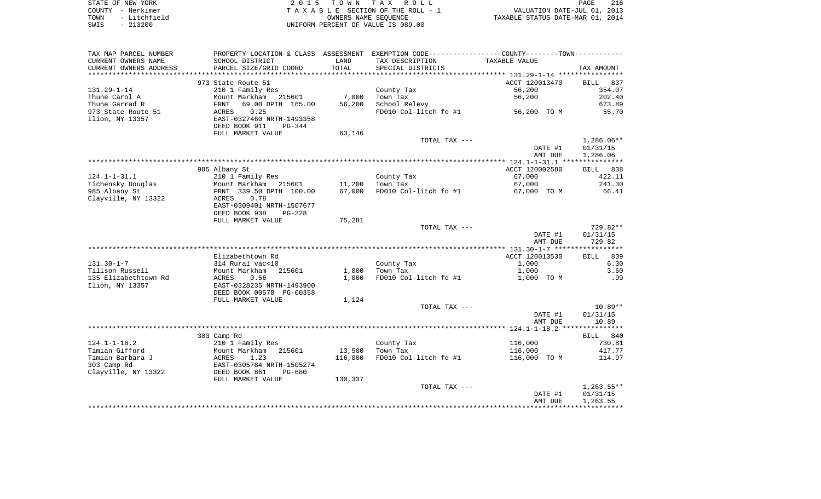|      | STATE OF NEW YORK | 2015 TOWN TAX ROLL                 | 216<br>PAGE                      |
|------|-------------------|------------------------------------|----------------------------------|
|      | COUNTY - Herkimer | TAXABLE SECTION OF THE ROLL - 1    | VALUATION DATE-JUL 01, 2013      |
| TOWN | - Litchfield      | OWNERS NAME SEOUENCE               | TAXABLE STATUS DATE-MAR 01, 2014 |
| SWIS | $-213200$         | UNIFORM PERCENT OF VALUE IS 089.00 |                                  |

| TAX MAP PARCEL NUMBER             | PROPERTY LOCATION & CLASS ASSESSMENT EXEMPTION CODE---------------COUNTY--------TOWN---------- |         |                                   |                |            |
|-----------------------------------|------------------------------------------------------------------------------------------------|---------|-----------------------------------|----------------|------------|
| CURRENT OWNERS NAME               | SCHOOL DISTRICT                                                                                | LAND    | TAX DESCRIPTION                   | TAXABLE VALUE  |            |
| CURRENT OWNERS ADDRESS            | PARCEL SIZE/GRID COORD                                                                         | TOTAL   | SPECIAL DISTRICTS                 |                | TAX AMOUNT |
|                                   |                                                                                                |         |                                   |                |            |
|                                   | 973 State Route 51                                                                             |         |                                   | ACCT 120013470 | BILL 837   |
| 131.29-1-14                       | 210 1 Family Res                                                                               |         | County Tax                        | 56,200         | 354.07     |
| Thune Carol A                     | Mount Markham 215601                                                                           | 7,000   | Town Tax                          | 56,200         | 202.40     |
| Thune Garrad R                    | 69.00 DPTH 165.00                                                                              | 56,200  | School Relevy                     |                | 673.89     |
| 973 State Route 51                | FRNT<br>ACRES<br>0.25                                                                          |         | FD010 Col-litch fd #1 56,200 TO M |                | 55.70      |
| Ilion, NY 13357                   | EAST-0327460 NRTH-1493358                                                                      |         |                                   |                |            |
|                                   | DEED BOOK 911<br>PG-344                                                                        |         |                                   |                |            |
|                                   | FULL MARKET VALUE                                                                              | 63,146  |                                   |                |            |
|                                   |                                                                                                |         | TOTAL TAX ---                     |                | 1,286.06** |
|                                   |                                                                                                |         |                                   | DATE #1        | 01/31/15   |
|                                   |                                                                                                |         |                                   | AMT DUE        | 1,286.06   |
|                                   |                                                                                                |         |                                   |                |            |
|                                   | 985 Albany St                                                                                  |         |                                   | ACCT 120002580 | BILL 838   |
| 124.1-1-31.1                      | 210 1 Family Res                                                                               |         | County Tax                        | 67,000         | 422.11     |
| Tichensky Douglas                 | Mount Markham 215601 11,200<br>FRNT 339.50 DPTH 100.00 67,000<br>ACRES 0.78                    |         | Town Tax                          | 67,000         | 241.30     |
| 985 Albany St                     |                                                                                                |         | FD010 Col-litch fd #1             | 67,000 TO M    | 66.41      |
| Clayville, NY 13322               |                                                                                                |         |                                   |                |            |
|                                   | EAST-0309401 NRTH-1507677                                                                      |         |                                   |                |            |
|                                   | DEED BOOK 938<br>PG-228                                                                        |         |                                   |                |            |
|                                   | FULL MARKET VALUE                                                                              | 75,281  |                                   |                |            |
|                                   |                                                                                                |         | TOTAL TAX ---                     |                | 729.82**   |
|                                   |                                                                                                |         |                                   | DATE #1        | 01/31/15   |
|                                   |                                                                                                |         |                                   | AMT DUE        | 729.82     |
|                                   |                                                                                                |         |                                   |                |            |
|                                   | Elizabethtown Rd                                                                               |         |                                   | ACCT 120013530 | BILL 839   |
| $131.30 - 1 - 7$                  | 314 Rural vac<10                                                                               |         | County Tax                        | 1,000          | 6.30       |
| Tillson Russell                   | Mount Markham 215601                                                                           | 1,000   | Town Tax                          | 1,000          | 3.60       |
| 135 Elizabethtown Rd              | ACRES<br>0.56                                                                                  | 1,000   | FD010 Col-litch fd #1             | 1,000 TO M     | .99        |
| Ilion, NY 13357                   | EAST-0328235 NRTH-1493900                                                                      |         |                                   |                |            |
|                                   | DEED BOOK 00578 PG-00358                                                                       |         |                                   |                |            |
|                                   | FULL MARKET VALUE                                                                              | 1,124   |                                   |                |            |
|                                   |                                                                                                |         | TOTAL TAX ---                     |                | 10.89**    |
|                                   |                                                                                                |         |                                   | DATE #1        | 01/31/15   |
|                                   |                                                                                                |         |                                   | AMT DUE        | 10.89      |
|                                   |                                                                                                |         |                                   |                |            |
|                                   | 303 Camp Rd                                                                                    |         |                                   |                | BILL 840   |
| $124.1 - 1 - 18.2$                | 210 1 Family Res                                                                               |         | County Tax                        | 116,000        | 730.81     |
| Timian Gifford                    | Mount Markham 215601                                                                           | 13,500  | Town Tax                          | 116,000        | 417.77     |
| Timian Barbara J                  | ACRES 1.23<br>EAST-0305784 NRTH-1505274                                                        | 116,000 | FD010 Col-litch fd #1             | 116,000 TO M   | 114.97     |
| 303 Camp Rd                       |                                                                                                |         |                                   |                |            |
| Clayville, NY 13322 DEED BOOK 861 | PG-680                                                                                         |         |                                   |                |            |
|                                   | FULL MARKET VALUE                                                                              | 130,337 |                                   |                |            |
|                                   |                                                                                                |         | TOTAL TAX ---                     |                | 1,263.55** |
|                                   |                                                                                                |         |                                   | DATE #1        | 01/31/15   |
|                                   |                                                                                                |         |                                   | AMT DUE        | 1,263.55   |
|                                   |                                                                                                |         |                                   |                |            |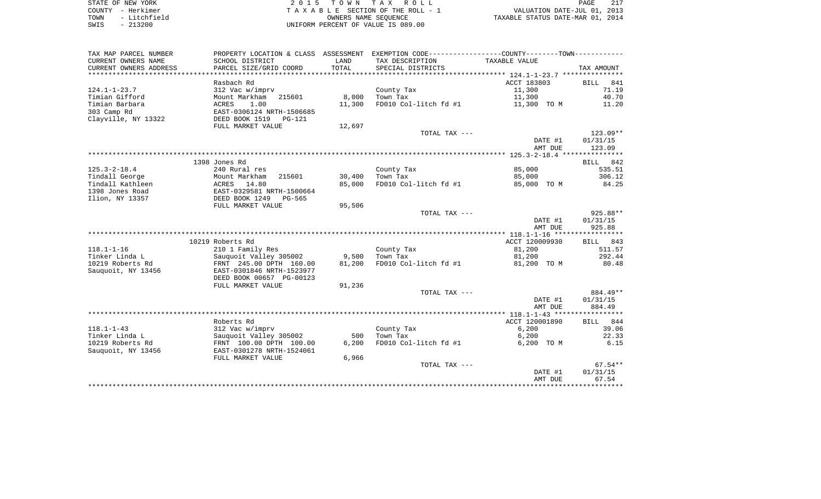| STATE OF NEW YORK    | 2015 TOWN TAX ROLL                 | 217<br>PAGE                      |
|----------------------|------------------------------------|----------------------------------|
| COUNTY - Herkimer    | TAXABLE SECTION OF THE ROLL - 1    | VALUATION DATE-JUL 01, 2013      |
| - Litchfield<br>TOWN | OWNERS NAME SEOUENCE               | TAXABLE STATUS DATE-MAR 01, 2014 |
| $-213200$<br>SWIS    | UNIFORM PERCENT OF VALUE IS 089.00 |                                  |

| TAX MAP PARCEL NUMBER  | PROPERTY LOCATION & CLASS ASSESSMENT |        | EXEMPTION CODE----------------COUNTY-------TOWN----------- |                |             |
|------------------------|--------------------------------------|--------|------------------------------------------------------------|----------------|-------------|
| CURRENT OWNERS NAME    | SCHOOL DISTRICT                      | LAND   | TAX DESCRIPTION                                            | TAXABLE VALUE  |             |
| CURRENT OWNERS ADDRESS | PARCEL SIZE/GRID COORD               | TOTAL  | SPECIAL DISTRICTS                                          |                | TAX AMOUNT  |
|                        |                                      |        |                                                            |                |             |
|                        | Rasbach Rd                           |        |                                                            | ACCT 183803    | BILL<br>841 |
| $124.1 - 1 - 23.7$     | 312 Vac w/imprv                      |        | County Tax                                                 | 11,300         | 71.19       |
| Timian Gifford         | Mount Markham<br>215601              | 8,000  | Town Tax                                                   | 11,300         | 40.70       |
| Timian Barbara         | 1.00<br>ACRES                        | 11,300 | FD010 Col-litch fd #1                                      | 11,300 TO M    | 11.20       |
| 303 Camp Rd            | EAST-0306124 NRTH-1506685            |        |                                                            |                |             |
| Clayville, NY 13322    | DEED BOOK 1519<br>PG-121             |        |                                                            |                |             |
|                        | FULL MARKET VALUE                    | 12,697 |                                                            |                |             |
|                        |                                      |        | TOTAL TAX ---                                              |                | $123.09**$  |
|                        |                                      |        |                                                            | DATE #1        | 01/31/15    |
|                        |                                      |        |                                                            | AMT DUE        | 123.09      |
|                        |                                      |        |                                                            |                |             |
|                        | 1398 Jones Rd                        |        |                                                            |                | BILL 842    |
| $125.3 - 2 - 18.4$     | 240 Rural res                        |        | County Tax                                                 | 85,000         | 535.51      |
| Tindall George         | Mount Markham<br>215601              | 30,400 | Town Tax                                                   | 85,000         | 306.12      |
| Tindall Kathleen       | ACRES 14.80                          | 85,000 | FD010 Col-litch fd #1                                      | 85,000 TO M    | 84.25       |
| 1398 Jones Road        | EAST-0329581 NRTH-1500664            |        |                                                            |                |             |
| Ilion, NY 13357        | DEED BOOK 1249<br>PG-565             |        |                                                            |                |             |
|                        | FULL MARKET VALUE                    | 95,506 |                                                            |                |             |
|                        |                                      |        | TOTAL TAX ---                                              |                | $925.88**$  |
|                        |                                      |        |                                                            | DATE #1        | 01/31/15    |
|                        |                                      |        |                                                            | AMT DUE        | 925.88      |
|                        |                                      |        |                                                            |                |             |
|                        | 10219 Roberts Rd                     |        |                                                            | ACCT 120009930 | BILL 843    |
| $118.1 - 1 - 16$       | 210 1 Family Res                     |        | County Tax                                                 | 81,200         | 511.57      |
| Tinker Linda L         | Sauquoit Valley 305002               | 9,500  | Town Tax                                                   | 81,200         | 292.44      |
| 10219 Roberts Rd       | FRNT 245.00 DPTH 160.00              | 81,200 | FD010 Col-litch fd #1                                      | 81,200 TO M    | 80.48       |
| Sauguoit, NY 13456     | EAST-0301846 NRTH-1523977            |        |                                                            |                |             |
|                        | DEED BOOK 00657 PG-00123             |        |                                                            |                |             |
|                        | FULL MARKET VALUE                    | 91,236 |                                                            |                |             |
|                        |                                      |        | TOTAL TAX ---                                              |                | 884.49**    |
|                        |                                      |        |                                                            | DATE #1        | 01/31/15    |
|                        |                                      |        |                                                            | AMT DUE        | 884.49      |
|                        |                                      |        |                                                            |                |             |
|                        | Roberts Rd                           |        |                                                            | ACCT 120001890 | BILL 844    |
| $118.1 - 1 - 43$       | 312 Vac w/imprv                      |        | County Tax                                                 | 6,200          | 39.06       |
| Tinker Linda L         | Sauquoit Valley 305002               | 500    | Town Tax                                                   | 6,200          | 22.33       |
| 10219 Roberts Rd       | FRNT 100.00 DPTH 100.00              | 6,200  | FD010 Col-litch fd #1                                      | 6,200 TO M     | 6.15        |
| Sauquoit, NY 13456     | EAST-0301278 NRTH-1524061            |        |                                                            |                |             |
|                        | FULL MARKET VALUE                    | 6,966  |                                                            |                |             |
|                        |                                      |        | TOTAL TAX ---                                              |                | $67.54**$   |
|                        |                                      |        |                                                            | DATE #1        | 01/31/15    |
|                        |                                      |        |                                                            | AMT DUE        | 67.54       |
|                        |                                      |        |                                                            |                |             |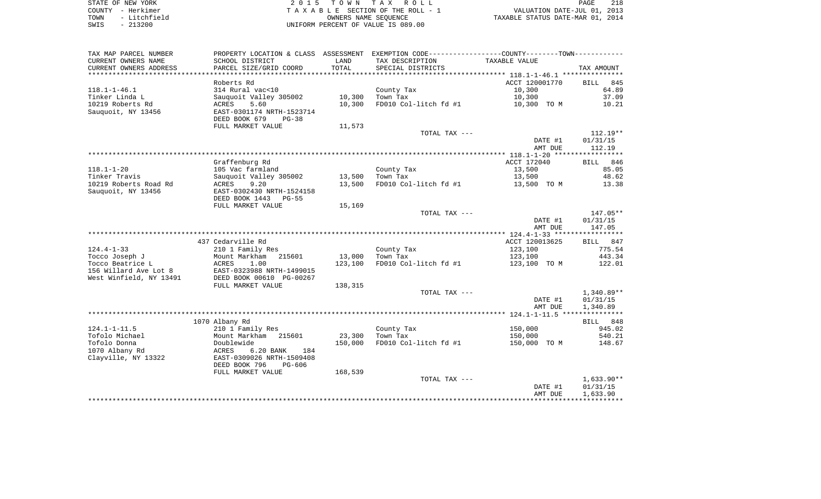| STATE OF NEW YORK    | 2015 TOWN TAX ROLL                    | 218<br>PAGE                      |
|----------------------|---------------------------------------|----------------------------------|
| COUNTY - Herkimer    | T A X A B L E SECTION OF THE ROLL - 1 | VALUATION DATE-JUL 01, 2013      |
| - Litchfield<br>TOWN | OWNERS NAME SEOUENCE                  | TAXABLE STATUS DATE-MAR 01, 2014 |
| חחרכור הדוגדה        | LINIEODM DEDOEME OF ULLIE TO 000 00   |                                  |

SWIS - 213200 UNIFORM PERCENT OF VALUE IS 089.00

| TAX MAP PARCEL NUMBER   |                           |         | PROPERTY LOCATION & CLASS ASSESSMENT EXEMPTION CODE----------------COUNTY-------TOWN---------- |                |                    |
|-------------------------|---------------------------|---------|------------------------------------------------------------------------------------------------|----------------|--------------------|
| CURRENT OWNERS NAME     | SCHOOL DISTRICT           | LAND    | TAX DESCRIPTION                                                                                | TAXABLE VALUE  |                    |
| CURRENT OWNERS ADDRESS  | PARCEL SIZE/GRID COORD    | TOTAL   | SPECIAL DISTRICTS                                                                              |                | TAX AMOUNT         |
|                         |                           |         |                                                                                                |                |                    |
|                         | Roberts Rd                |         |                                                                                                | ACCT 120001770 | <b>BILL</b><br>845 |
| $118.1 - 1 - 46.1$      | 314 Rural vac<10          |         | County Tax                                                                                     | 10,300         | 64.89              |
| Tinker Linda L          | Sauquoit Valley 305002    | 10,300  | Town Tax                                                                                       | 10,300         | 37.09              |
|                         |                           |         |                                                                                                |                |                    |
| 10219 Roberts Rd        | 5.60<br>ACRES             | 10,300  | FD010 Col-litch fd #1                                                                          | 10,300 TO M    | 10.21              |
| Sauquoit, NY 13456      | EAST-0301174 NRTH-1523714 |         |                                                                                                |                |                    |
|                         | DEED BOOK 679<br>$PG-38$  |         |                                                                                                |                |                    |
|                         | FULL MARKET VALUE         | 11,573  |                                                                                                |                |                    |
|                         |                           |         | TOTAL TAX ---                                                                                  |                | $112.19**$         |
|                         |                           |         |                                                                                                | DATE #1        | 01/31/15           |
|                         |                           |         |                                                                                                | AMT DUE        | 112.19             |
|                         |                           |         |                                                                                                |                |                    |
|                         | Graffenburg Rd            |         |                                                                                                | ACCT 172040    | BILL 846           |
|                         |                           |         |                                                                                                |                |                    |
| $118.1 - 1 - 20$        | 105 Vac farmland          |         | County Tax                                                                                     | 13,500         | 85.05              |
| Tinker Travis           | Sauguoit Valley 305002    | 13,500  | Town Tax                                                                                       | 13,500         | 48.62              |
| 10219 Roberts Road Rd   | ACRES<br>9.20             | 13,500  | FD010 Col-litch fd #1                                                                          | 13,500 TO M    | 13.38              |
| Sauquoit, NY 13456      | EAST-0302430 NRTH-1524158 |         |                                                                                                |                |                    |
|                         | DEED BOOK 1443<br>PG-55   |         |                                                                                                |                |                    |
|                         | FULL MARKET VALUE         | 15,169  |                                                                                                |                |                    |
|                         |                           |         | TOTAL TAX ---                                                                                  |                | 147.05**           |
|                         |                           |         |                                                                                                | DATE #1        | 01/31/15           |
|                         |                           |         |                                                                                                | AMT DUE        | 147.05             |
|                         |                           |         |                                                                                                |                |                    |
|                         |                           |         |                                                                                                |                |                    |
|                         | 437 Cedarville Rd         |         |                                                                                                | ACCT 120013625 | BILL 847           |
| $124.4 - 1 - 33$        | 210 1 Family Res          |         | County Tax                                                                                     | 123,100        | 775.54             |
| Tocco Joseph J          | Mount Markham<br>215601   | 13,000  | Town Tax                                                                                       | 123,100        | 443.34             |
| Tocco Beatrice L        | ACRES<br>1.00             | 123,100 | FD010 Col-litch fd #1                                                                          | 123,100 TO M   | 122.01             |
| 156 Willard Ave Lot 8   | EAST-0323988 NRTH-1499015 |         |                                                                                                |                |                    |
| West Winfield, NY 13491 | DEED BOOK 00610 PG-00267  |         |                                                                                                |                |                    |
|                         | FULL MARKET VALUE         | 138,315 |                                                                                                |                |                    |
|                         |                           |         | TOTAL TAX ---                                                                                  |                | $1,340.89**$       |
|                         |                           |         |                                                                                                |                |                    |
|                         |                           |         |                                                                                                | DATE #1        | 01/31/15           |
|                         |                           |         |                                                                                                | AMT DUE        | 1,340.89           |
|                         |                           |         |                                                                                                |                |                    |
|                         | 1070 Albany Rd            |         |                                                                                                |                | BILL 848           |
| $124.1 - 1 - 11.5$      | 210 1 Family Res          |         | County Tax                                                                                     | 150,000        | 945.02             |
| Tofolo Michael          | Mount Markham<br>215601   | 23,300  | Town Tax                                                                                       | 150,000        | 540.21             |
| Tofolo Donna            | Doublewide                | 150,000 | FD010 Col-litch fd #1                                                                          | 150,000 TO M   | 148.67             |
| 1070 Albany Rd          | ACRES<br>6.20 BANK<br>184 |         |                                                                                                |                |                    |
| Clayville, NY 13322     | EAST-0309026 NRTH-1509408 |         |                                                                                                |                |                    |
|                         |                           |         |                                                                                                |                |                    |
|                         | DEED BOOK 796<br>$PG-606$ |         |                                                                                                |                |                    |
|                         | FULL MARKET VALUE         | 168,539 |                                                                                                |                |                    |
|                         |                           |         | TOTAL TAX ---                                                                                  |                | $1,633.90**$       |
|                         |                           |         |                                                                                                | DATE #1        | 01/31/15           |
|                         |                           |         |                                                                                                | AMT DUE        | 1,633.90           |
|                         |                           |         |                                                                                                |                |                    |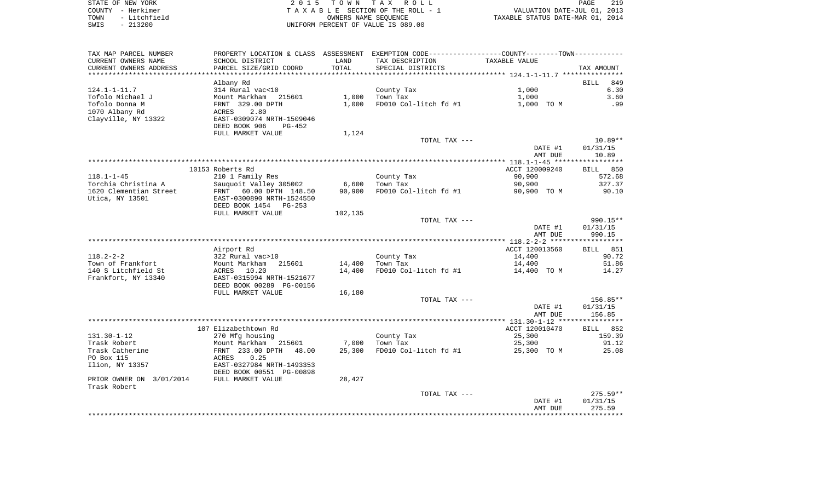| STATE OF NEW YORK    | 2015 TOWN TAX ROLL                 | 219<br>PAGE                      |
|----------------------|------------------------------------|----------------------------------|
| COUNTY - Herkimer    | TAXABLE SECTION OF THE ROLL - 1    | VALUATION DATE-JUL 01, 2013      |
| - Litchfield<br>TOWN | OWNERS NAME SEOUENCE               | TAXABLE STATUS DATE-MAR 01, 2014 |
| $-213200$<br>SWIS    | UNIFORM PERCENT OF VALUE IS 089.00 |                                  |

| TAX MAP PARCEL NUMBER                    | PROPERTY LOCATION & CLASS ASSESSMENT EXEMPTION CODE---------------COUNTY-------TOWN---------- |                       |                        |                          |                    |
|------------------------------------------|-----------------------------------------------------------------------------------------------|-----------------------|------------------------|--------------------------|--------------------|
| CURRENT OWNERS NAME                      | SCHOOL DISTRICT                                                                               | LAND                  | TAX DESCRIPTION        | TAXABLE VALUE            |                    |
| CURRENT OWNERS ADDRESS                   | PARCEL SIZE/GRID COORD                                                                        | TOTAL<br>************ | SPECIAL DISTRICTS      |                          | TAX AMOUNT         |
|                                          | Albany Rd                                                                                     |                       |                        |                          | 849<br><b>BILL</b> |
| $124.1 - 1 - 11.7$                       | 314 Rural vac<10                                                                              |                       | County Tax             | 1,000                    | 6.30               |
| Tofolo Michael J                         | Mount Markham<br>215601                                                                       | 1,000                 | Town Tax               | 1,000                    | 3.60               |
| Tofolo Donna M                           | FRNT 329.00 DPTH                                                                              | 1,000                 | FD010 Col-litch fd #1  | 1,000 TO M               | .99                |
| 1070 Albany Rd                           | 2.80<br>ACRES                                                                                 |                       |                        |                          |                    |
| Clayville, NY 13322                      | EAST-0309074 NRTH-1509046                                                                     |                       |                        |                          |                    |
|                                          | DEED BOOK 906<br>$PG-452$                                                                     |                       |                        |                          |                    |
|                                          | FULL MARKET VALUE                                                                             | 1,124                 |                        |                          |                    |
|                                          |                                                                                               |                       | TOTAL TAX ---          |                          | $10.89**$          |
|                                          |                                                                                               |                       |                        | DATE #1                  | 01/31/15           |
|                                          |                                                                                               |                       |                        | AMT DUE                  | 10.89              |
|                                          |                                                                                               |                       |                        |                          | *****************  |
| $118.1 - 1 - 45$                         | 10153 Roberts Rd<br>210 1 Family Res                                                          |                       |                        | ACCT 120009240<br>90,900 | BILL 850<br>572.68 |
| Torchia Christina A                      | Sauquoit Valley 305002                                                                        | 6,600                 | County Tax<br>Town Tax | 90,900                   | 327.37             |
| 1620 Clementian Street                   | FRNT 60.00 DPTH 148.50                                                                        | 90,900                | FD010 Col-litch fd #1  | 90,900 TO M              | 90.10              |
| Utica, NY 13501                          | EAST-0300890 NRTH-1524550                                                                     |                       |                        |                          |                    |
|                                          | DEED BOOK 1454<br>PG-253                                                                      |                       |                        |                          |                    |
|                                          | FULL MARKET VALUE                                                                             | 102,135               |                        |                          |                    |
|                                          |                                                                                               |                       | TOTAL TAX ---          |                          | 990.15**           |
|                                          |                                                                                               |                       |                        | DATE #1                  | 01/31/15           |
|                                          |                                                                                               |                       |                        | AMT DUE                  | 990.15             |
|                                          |                                                                                               |                       |                        |                          |                    |
|                                          | Airport Rd                                                                                    |                       |                        | ACCT 120013560           | BILL 851           |
| $118.2 - 2 - 2$                          | 322 Rural vac>10                                                                              |                       | County Tax             | 14,400                   | 90.72              |
| Town of Frankfort<br>140 S Litchfield St | Mount Markham<br>215601<br>10.20                                                              | 14,400<br>14,400      | Town Tax               | 14,400                   | 51.86              |
| Frankfort, NY 13340                      | ACRES<br>EAST-0315994 NRTH-1521677                                                            |                       | FD010 Col-litch fd #1  | 14,400 TO M              | 14.27              |
|                                          | DEED BOOK 00289 PG-00156                                                                      |                       |                        |                          |                    |
|                                          | FULL MARKET VALUE                                                                             | 16,180                |                        |                          |                    |
|                                          |                                                                                               |                       | TOTAL TAX ---          |                          | $156.85**$         |
|                                          |                                                                                               |                       |                        | DATE #1                  | 01/31/15           |
|                                          |                                                                                               |                       |                        | AMT DUE                  | 156.85             |
|                                          |                                                                                               |                       |                        |                          |                    |
|                                          | 107 Elizabethtown Rd                                                                          |                       |                        | ACCT 120010470           | BILL 852           |
| $131.30 - 1 - 12$                        | 270 Mfg housing                                                                               |                       | County Tax             | 25,300                   | 159.39             |
| Trask Robert                             | Mount Markham<br>215601                                                                       | 7,000                 | Town Tax               | 25,300                   | 91.12              |
| Trask Catherine                          | FRNT 233.00 DPTH<br>48.00                                                                     | 25,300                | FD010 Col-litch fd #1  | 25,300 TO M              | 25.08              |
| PO Box 115<br>Ilion, NY 13357            | 0.25<br>ACRES<br>EAST-0327984 NRTH-1493353                                                    |                       |                        |                          |                    |
|                                          | DEED BOOK 00551 PG-00898                                                                      |                       |                        |                          |                    |
| PRIOR OWNER ON 3/01/2014                 | FULL MARKET VALUE                                                                             | 28,427                |                        |                          |                    |
| Trask Robert                             |                                                                                               |                       |                        |                          |                    |
|                                          |                                                                                               |                       | TOTAL TAX ---          |                          | $275.59**$         |
|                                          |                                                                                               |                       |                        | DATE #1                  | 01/31/15           |
|                                          |                                                                                               |                       |                        | AMT DUE                  | 275.59             |
|                                          |                                                                                               |                       |                        |                          |                    |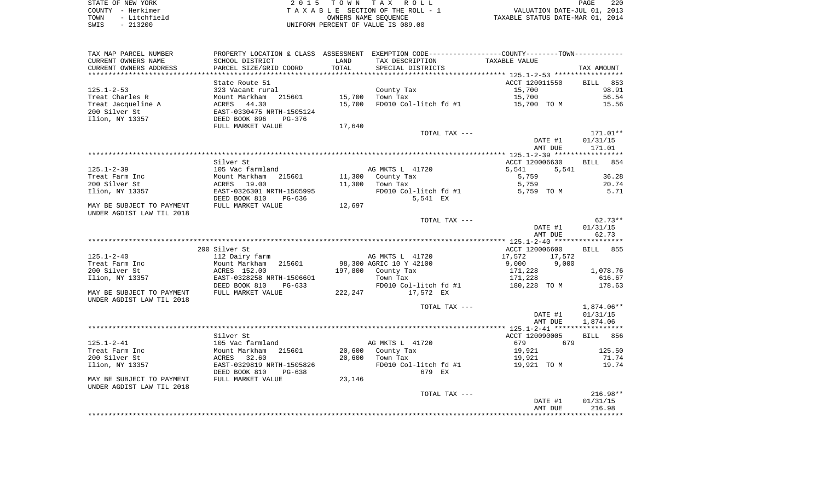STATE OF NEW YORK **EXECUTE:**  $2015$  TOWN TAX ROLL COUNTY - Herkimer<br>
T A X A B L E SECTION OF THE ROLL - 1<br>
TOWN - Litchfield<br>
SWIS - 213200 - UNIFORM PERCENT OF VALUE IS 089.00 TOWN - Litchfield OWNERS NAME SEQUENCE TAXABLE STATUS DATE-MAR 01, 2014 SWIS - 213200 UNIFORM PERCENT OF VALUE IS 089.00

| TAX MAP PARCEL NUMBER     | PROPERTY LOCATION & CLASS ASSESSMENT |         |                         | EXEMPTION CODE-----------------COUNTY-------TOWN----------- |             |
|---------------------------|--------------------------------------|---------|-------------------------|-------------------------------------------------------------|-------------|
| CURRENT OWNERS NAME       | SCHOOL DISTRICT                      | LAND    | TAX DESCRIPTION         | TAXABLE VALUE                                               |             |
| CURRENT OWNERS ADDRESS    | PARCEL SIZE/GRID COORD               | TOTAL   | SPECIAL DISTRICTS       |                                                             | TAX AMOUNT  |
|                           |                                      |         |                         |                                                             |             |
|                           | State Route 51                       |         |                         | ACCT 120011550                                              | BILL<br>853 |
| $125.1 - 2 - 53$          | 323 Vacant rural                     |         | County Tax              | 15,700                                                      | 98.91       |
| Treat Charles R           | 215601<br>Mount Markham              | 15,700  | Town Tax                | 15,700                                                      | 56.54       |
| Treat Jacqueline A        | ACRES 44.30                          | 15,700  | FD010 Col-litch fd #1   | 15,700 TO M                                                 | 15.56       |
| 200 Silver St             | EAST-0330475 NRTH-1505124            |         |                         |                                                             |             |
| Ilion, NY 13357           | DEED BOOK 896<br>$PG-376$            |         |                         |                                                             |             |
|                           | FULL MARKET VALUE                    | 17,640  |                         |                                                             |             |
|                           |                                      |         | TOTAL TAX ---           |                                                             | 171.01**    |
|                           |                                      |         |                         | DATE #1                                                     | 01/31/15    |
|                           |                                      |         |                         | AMT DUE                                                     | 171.01      |
|                           |                                      |         |                         |                                                             |             |
|                           | Silver St                            |         |                         | ACCT 120006630                                              | 854<br>BILL |
| $125.1 - 2 - 39$          | 105 Vac farmland                     |         | AG MKTS L 41720         | 5,541<br>5,541                                              |             |
| Treat Farm Inc            | Mount Markham<br>215601              | 11,300  | County Tax              | 5,759                                                       | 36.28       |
| 200 Silver St             | ACRES 19.00                          | 11,300  | Town Tax                | 5,759                                                       | 20.74       |
| Ilion, NY 13357           | EAST-0326301 NRTH-1505995            |         | FD010 Col-litch fd #1   | 5,759 TO M                                                  | 5.71        |
|                           | DEED BOOK 810<br>PG-636              |         | 5,541 EX                |                                                             |             |
| MAY BE SUBJECT TO PAYMENT | FULL MARKET VALUE                    | 12,697  |                         |                                                             |             |
| UNDER AGDIST LAW TIL 2018 |                                      |         |                         |                                                             |             |
|                           |                                      |         | TOTAL TAX ---           |                                                             | $62.73**$   |
|                           |                                      |         |                         | DATE #1                                                     | 01/31/15    |
|                           |                                      |         |                         | AMT DUE                                                     | 62.73       |
|                           |                                      |         |                         |                                                             |             |
|                           | 200 Silver St                        |         |                         | ACCT 120006600                                              | BILL 855    |
| $125.1 - 2 - 40$          | 112 Dairy farm                       |         | AG MKTS L 41720         | 17,572<br>17,572                                            |             |
| Treat Farm Inc            | Mount Markham<br>215601              |         | 98,300 AGRIC 10 Y 42100 | 9,000<br>9,000                                              |             |
| 200 Silver St             | ACRES 152.00                         | 197,800 | County Tax              | 171,228                                                     | 1,078.76    |
| Ilion, NY 13357           | EAST-0328258 NRTH-1506601            |         | Town Tax                | 171,228                                                     | 616.67      |
|                           | DEED BOOK 810<br>$PG-633$            |         | FD010 Col-litch fd #1   | 180,228 TO M                                                | 178.63      |
| MAY BE SUBJECT TO PAYMENT | FULL MARKET VALUE                    | 222,247 | 17,572 EX               |                                                             |             |
| UNDER AGDIST LAW TIL 2018 |                                      |         |                         |                                                             |             |
|                           |                                      |         | TOTAL TAX ---           |                                                             | 1,874.06**  |
|                           |                                      |         |                         | DATE #1                                                     | 01/31/15    |
|                           |                                      |         |                         | AMT DUE                                                     | 1,874.06    |
|                           |                                      |         |                         |                                                             |             |
|                           | Silver St                            |         |                         | ACCT 120090005                                              | BILL 856    |
| $125.1 - 2 - 41$          | 105 Vac farmland                     |         | AG MKTS L 41720         | 679<br>679                                                  |             |
| Treat Farm Inc            | 215601<br>Mount Markham              | 20,600  | County Tax              | 19,921                                                      | 125.50      |
| 200 Silver St             | ACRES 32.60                          | 20,600  | Town Tax                | 19,921                                                      | 71.74       |
| Ilion, NY 13357           | EAST-0329819 NRTH-1505826            |         | FD010 Col-litch fd #1   | 19,921 TO M                                                 | 19.74       |
|                           | DEED BOOK 810<br>PG-638              |         | 679 EX                  |                                                             |             |
| MAY BE SUBJECT TO PAYMENT | FULL MARKET VALUE                    | 23,146  |                         |                                                             |             |
| UNDER AGDIST LAW TIL 2018 |                                      |         |                         |                                                             |             |
|                           |                                      |         | TOTAL TAX ---           |                                                             | $216.98**$  |
|                           |                                      |         |                         | DATE #1                                                     | 01/31/15    |
|                           |                                      |         |                         | AMT DUE                                                     | 216.98      |
|                           |                                      |         |                         |                                                             |             |
|                           |                                      |         |                         |                                                             |             |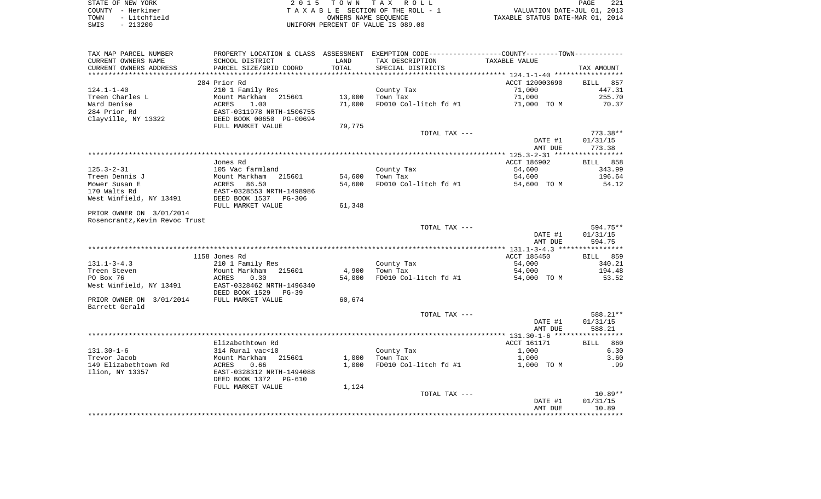| STATE OF NEW YORK    | 2015 TOWN TAX ROLL                 | 221<br>PAGE                      |
|----------------------|------------------------------------|----------------------------------|
| COUNTY - Herkimer    | TAXABLE SECTION OF THE ROLL - 1    | VALUATION DATE-JUL 01, 2013      |
| - Litchfield<br>TOWN | OWNERS NAME SEOUENCE               | TAXABLE STATUS DATE-MAR 01, 2014 |
| $-213200$<br>SWIS    | UNIFORM PERCENT OF VALUE IS 089.00 |                                  |

| TAX MAP PARCEL NUMBER<br>CURRENT OWNERS NAME | SCHOOL DISTRICT                                                                                       | LAND   | PROPERTY LOCATION & CLASS ASSESSMENT EXEMPTION CODE----------------COUNTY--------TOWN----------<br>TAX DESCRIPTION | TAXABLE VALUE      |                    |
|----------------------------------------------|-------------------------------------------------------------------------------------------------------|--------|--------------------------------------------------------------------------------------------------------------------|--------------------|--------------------|
| CURRENT OWNERS ADDRESS                       | PARCEL SIZE/GRID COORD                                                                                | TOTAL  | SPECIAL DISTRICTS                                                                                                  |                    | TAX AMOUNT         |
|                                              |                                                                                                       |        |                                                                                                                    |                    |                    |
|                                              | 284 Prior Rd                                                                                          |        |                                                                                                                    | ACCT 120003690     | BILL 857           |
| 124.1-1-40                                   | 210 1 Family Res                                                                                      |        | County Tax                                                                                                         | 71,000             | 447.31             |
| Treen Charles L                              |                                                                                                       | 13,000 | Town Tax                                                                                                           | 71,000             | 255.70             |
| Ward Denise                                  |                                                                                                       | 71,000 | FD010 Col-litch fd #1 71,000 TO M                                                                                  |                    | 70.37              |
| 284 Prior Rd                                 |                                                                                                       |        |                                                                                                                    |                    |                    |
| Clayville, NY 13322                          | Mount Markham 215601<br>ACRES 1.00<br>EAST-0311978 NRTH-1506755<br>DEED BOOK 00650<br>FILI MARKET 111 |        |                                                                                                                    |                    |                    |
|                                              | FULL MARKET VALUE                                                                                     | 79,775 |                                                                                                                    |                    | $773.38**$         |
|                                              |                                                                                                       |        | TOTAL TAX ---                                                                                                      | DATE #1            | 01/31/15           |
|                                              |                                                                                                       |        |                                                                                                                    | AMT DUE            | 773.38             |
|                                              |                                                                                                       |        |                                                                                                                    |                    |                    |
|                                              | Jones Rd                                                                                              |        |                                                                                                                    | ACCT 186902        | BILL 858           |
| 125.3-2-31                                   | 105 Vac farmland                                                                                      |        | County Tax                                                                                                         | 54,600             | 343.99             |
| Treen Dennis J                               |                                                                                                       | 54,600 | Town Tax                                                                                                           | 54,600             | 196.64             |
| Mower Susan E                                | 105 vac Iarmiana<br>Mount Markham 215601<br>ACRES 86.50<br>EAST-0328553 NRTH-1498986                  | 54,600 | FD010 Col-litch fd #1                                                                                              | 54,600 TO M        | 54.12              |
| 170 Walts Rd                                 |                                                                                                       |        |                                                                                                                    |                    |                    |
| West Winfield, NY 13491                      | DEED BOOK 1537 PG-306                                                                                 |        |                                                                                                                    |                    |                    |
|                                              | FULL MARKET VALUE                                                                                     | 61,348 |                                                                                                                    |                    |                    |
| PRIOR OWNER ON 3/01/2014                     |                                                                                                       |        |                                                                                                                    |                    |                    |
| Rosencrantz,Kevin Revoc Trust                |                                                                                                       |        |                                                                                                                    |                    |                    |
|                                              |                                                                                                       |        | TOTAL TAX ---                                                                                                      |                    | 594.75**           |
|                                              |                                                                                                       |        |                                                                                                                    | DATE #1            | 01/31/15           |
|                                              |                                                                                                       |        |                                                                                                                    | AMT DUE            | 594.75             |
|                                              |                                                                                                       |        |                                                                                                                    |                    |                    |
|                                              | 1158 Jones Rd                                                                                         |        |                                                                                                                    | ACCT 185450        | BILL 859           |
| 131.1-3-4.3                                  | 210 1 Family Res                                                                                      |        | County Tax<br>$\mathbf{z}$                                                                                         | 54,000             | 340.21             |
| Treen Steven                                 | Mount Markham 215601                                                                                  | 4,900  | Town Tax                                                                                                           | 54,000             | 194.48             |
| PO Box 76                                    | ACRES<br>0.30                                                                                         | 54,000 | FD010 Col-litch fd #1                                                                                              | 54,000 TO M        | 53.52              |
| West Winfield, NY 13491                      | EAST-0328462 NRTH-1496340                                                                             |        |                                                                                                                    |                    |                    |
|                                              | DEED BOOK 1529 PG-39                                                                                  |        |                                                                                                                    |                    |                    |
| PRIOR OWNER ON 3/01/2014 FULL MARKET VALUE   |                                                                                                       | 60,674 |                                                                                                                    |                    |                    |
| Barrett Gerald                               |                                                                                                       |        |                                                                                                                    |                    | 588.21**           |
|                                              |                                                                                                       |        | TOTAL TAX ---                                                                                                      |                    |                    |
|                                              |                                                                                                       |        |                                                                                                                    | DATE #1<br>AMT DUE | 01/31/15<br>588.21 |
|                                              |                                                                                                       |        |                                                                                                                    |                    |                    |
|                                              | Elizabethtown Rd                                                                                      |        |                                                                                                                    | ACCT 161171        | BILL 860           |
| 131.30-1-6                                   | 314 Rural vac<10                                                                                      |        | County Tax                                                                                                         | 1,000              | 6.30               |
| Trevor Jacob                                 | Mount Markham 215601                                                                                  | 1,000  | Town Tax                                                                                                           | 1,000              | 3.60               |
| 149 Elizabethtown Rd                         |                                                                                                       | 1,000  | FD010 Col-litch fd #1                                                                                              | 1,000 TO M         | .99                |
| Ilion, NY 13357                              | ACRES 0.66<br>EAST-0328312 NRTH-1494088                                                               |        |                                                                                                                    |                    |                    |
|                                              | DEED BOOK 1372 PG-610                                                                                 |        |                                                                                                                    |                    |                    |
|                                              | FULL MARKET VALUE                                                                                     | 1,124  |                                                                                                                    |                    |                    |
|                                              |                                                                                                       |        | TOTAL TAX ---                                                                                                      |                    | $10.89**$          |
|                                              |                                                                                                       |        |                                                                                                                    | DATE #1            | 01/31/15           |
|                                              |                                                                                                       |        |                                                                                                                    | AMT DUE            | 10.89              |
|                                              |                                                                                                       |        |                                                                                                                    |                    | **********         |
|                                              |                                                                                                       |        |                                                                                                                    |                    |                    |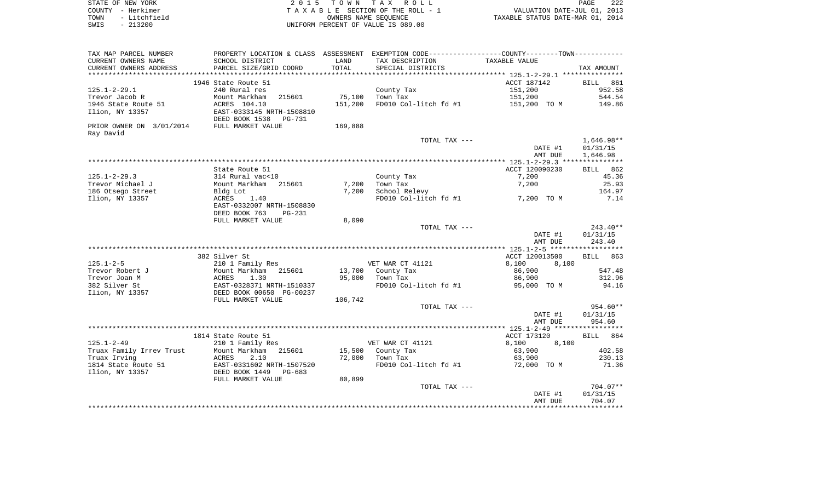| STATE OF NEW YORK    | 2015 TOWN TAX ROLL                 | 222<br>PAGE                      |
|----------------------|------------------------------------|----------------------------------|
| COUNTY - Herkimer    | TAXABLE SECTION OF THE ROLL - 1    | VALUATION DATE-JUL 01, 2013      |
| - Litchfield<br>TOWN | OWNERS NAME SEOUENCE               | TAXABLE STATUS DATE-MAR 01, 2014 |
| $-213200$<br>SWIS    | UNIFORM PERCENT OF VALUE IS 089.00 |                                  |

 $\begin{array}{c} 222 \\ 2013 \\ 2014 \end{array}$ 

| TAX MAP PARCEL NUMBER                      | PROPERTY LOCATION & CLASS ASSESSMENT EXEMPTION CODE---------------COUNTY-------TOWN---------- |         |                                  |                                           |            |
|--------------------------------------------|-----------------------------------------------------------------------------------------------|---------|----------------------------------|-------------------------------------------|------------|
| CURRENT OWNERS NAME                        | SCHOOL DISTRICT                                                                               | LAND    | TAX DESCRIPTION                  | TAXABLE VALUE                             |            |
| CURRENT OWNERS ADDRESS                     | PARCEL SIZE/GRID COORD                                                                        | TOTAL   | SPECIAL DISTRICTS                |                                           | TAX AMOUNT |
|                                            |                                                                                               |         |                                  |                                           |            |
|                                            | 1946 State Route 51                                                                           |         |                                  | ACCT 187142                               | BILL 861   |
| 125.1-2-29.1                               | 240 Rural res                                                                                 |         | County Tax                       | 151,200                                   | 952.58     |
| Trevor Jacob R                             | Mount Markham<br>215601                                                                       | 75,100  | Town Tax                         | 151,200                                   | 544.54     |
| 1946 State Route 51                        | ACRES 104.10                                                                                  | 151,200 |                                  | FD010 Col-litch fd #1 151,200 TO M 149.86 |            |
| Ilion, NY 13357                            | EAST-0333145 NRTH-1508810                                                                     |         |                                  |                                           |            |
|                                            | DEED BOOK 1538 PG-731                                                                         |         |                                  |                                           |            |
| PRIOR OWNER ON 3/01/2014 FULL MARKET VALUE |                                                                                               | 169,888 |                                  |                                           |            |
| Ray David                                  |                                                                                               |         |                                  |                                           |            |
|                                            |                                                                                               |         | TOTAL TAX ---                    |                                           | 1,646.98** |
|                                            |                                                                                               |         |                                  | DATE #1                                   | 01/31/15   |
|                                            |                                                                                               |         |                                  | AMT DUE                                   | 1,646.98   |
|                                            |                                                                                               |         |                                  |                                           |            |
|                                            | State Route 51                                                                                |         |                                  | ACCT 120090230                            | BILL 862   |
| 125.1-2-29.3                               | 314 Rural vac<10                                                                              |         | County Tax                       | 7,200                                     | 45.36      |
| Trevor Michael J                           | Mount Markham 215601                                                                          | 7,200   | Town Tax                         | 7,200                                     | 25.93      |
| 186 Otsego Street                          | Bldg Lot                                                                                      | 7,200   | School Relevy                    |                                           | 164.97     |
| Ilion, NY 13357                            | ACRES<br>1.40                                                                                 |         | FD010 Col-litch fd #1 7,200 TO M |                                           | 7.14       |
|                                            | EAST-0332007 NRTH-1508830                                                                     |         |                                  |                                           |            |
|                                            | DEED BOOK 763<br>PG-231                                                                       |         |                                  |                                           |            |
|                                            | FULL MARKET VALUE                                                                             | 8,090   |                                  |                                           |            |
|                                            |                                                                                               |         | TOTAL TAX ---                    |                                           | 243.40**   |
|                                            |                                                                                               |         |                                  | DATE #1                                   | 01/31/15   |
|                                            |                                                                                               |         |                                  | AMT DUE                                   | 243.40     |
|                                            | 382 Silver St                                                                                 |         |                                  | ACCT 120013500                            | BILL 863   |
| 125.1-2-5                                  | 210 1 Family Res                                                                              |         | VET WAR CT 41121                 | 8,100<br>8,100                            |            |
| Trevor Robert J                            | Mount Markham 215601                                                                          |         | 13,700 County Tax                | 86,900                                    | 547.48     |
| Trevor Joan M                              | <b>ACRES</b><br>1.30                                                                          |         | 95,000 Town Tax                  | 86,900                                    | 312.96     |
| 382 Silver St                              |                                                                                               |         |                                  | FD010 Col-litch fd $#1$ 95,000 TO M       | 94.16      |
| Ilion, NY 13357                            | EAST-0328371 NRTH-1510337<br>DEED BOOK 00650 PG-00237                                         |         |                                  |                                           |            |
|                                            | FULL MARKET VALUE                                                                             | 106,742 |                                  |                                           |            |
|                                            |                                                                                               |         | TOTAL TAX ---                    |                                           | 954.60**   |
|                                            |                                                                                               |         |                                  | DATE #1                                   | 01/31/15   |
|                                            |                                                                                               |         |                                  | AMT DUE                                   | 954.60     |
|                                            |                                                                                               |         |                                  |                                           |            |
|                                            | 1814 State Route 51                                                                           |         |                                  | ACCT 173120                               | BILL 864   |
| 125.1-2-49                                 | 210 1 Family Res                                                                              |         | VET WAR CT 41121                 | 8,100<br>8,100                            |            |
|                                            | Truax Family Irrev Trust     Mount Markham   215601                                           |         | 15,500 County Tax                | 63,900                                    | 402.58     |
| Truax Irving                               | ACRES<br>2.10                                                                                 |         | 72,000 Town Tax                  | 63,900                                    | 230.13     |
| 1814 State Route 51                        | EAST-0331602 NRTH-1507520<br>DEED BOOK 1449 PG-683                                            |         | FD010 Col-litch fd #1            | 72,000 TO M                               | 71.36      |
| Ilion, NY 13357                            |                                                                                               |         |                                  |                                           |            |
|                                            | FULL MARKET VALUE                                                                             | 80,899  |                                  |                                           |            |
|                                            |                                                                                               |         | TOTAL TAX ---                    |                                           | 704.07**   |
|                                            |                                                                                               |         |                                  | DATE #1                                   | 01/31/15   |
|                                            |                                                                                               |         |                                  | AMT DUE                                   | 704.07     |
|                                            |                                                                                               |         |                                  |                                           |            |
|                                            |                                                                                               |         |                                  |                                           |            |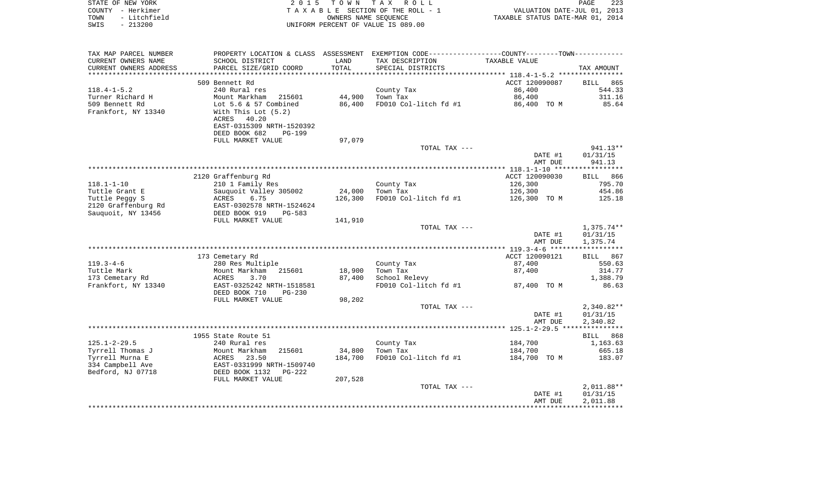| STATE OF NEW YORK    | 2015 TOWN TAX ROLL                 | 223<br><b>PAGE</b>               |
|----------------------|------------------------------------|----------------------------------|
| COUNTY – Herkimer    | TAXABLE SECTION OF THE ROLL - 1    | VALUATION DATE-JUL 01, 2013      |
| - Litchfield<br>TOWN | OWNERS NAME SEOUENCE               | TAXABLE STATUS DATE-MAR 01, 2014 |
| $-213200$<br>SWIS    | UNIFORM PERCENT OF VALUE IS 089.00 |                                  |

| TAX MAP PARCEL NUMBER  | PROPERTY LOCATION & CLASS ASSESSMENT |            | EXEMPTION CODE-----------------COUNTY-------TOWN----------- |                |                          |
|------------------------|--------------------------------------|------------|-------------------------------------------------------------|----------------|--------------------------|
| CURRENT OWNERS NAME    | SCHOOL DISTRICT                      | LAND       | TAX DESCRIPTION                                             | TAXABLE VALUE  |                          |
| CURRENT OWNERS ADDRESS | PARCEL SIZE/GRID COORD               | TOTAL      | SPECIAL DISTRICTS                                           |                | TAX AMOUNT               |
| *****************      |                                      | ********** |                                                             |                |                          |
|                        | 509 Bennett Rd                       |            |                                                             | ACCT 120090087 | 865<br><b>BILL</b>       |
| $118.4 - 1 - 5.2$      | 240 Rural res                        |            | County Tax                                                  | 86,400         | 544.33                   |
| Turner Richard H       | Mount Markham<br>215601              | 44,900     | Town Tax                                                    | 86,400         | 311.16                   |
| 509 Bennett Rd         | Lot $5.6 \& 57$ Combined             | 86,400     | FD010 Col-litch fd #1                                       | 86,400 TO M    | 85.64                    |
| Frankfort, NY 13340    | With This Lot $(5.2)$                |            |                                                             |                |                          |
|                        | ACRES<br>40.20                       |            |                                                             |                |                          |
|                        | EAST-0315309 NRTH-1520392            |            |                                                             |                |                          |
|                        | DEED BOOK 682<br><b>PG-199</b>       |            |                                                             |                |                          |
|                        | FULL MARKET VALUE                    | 97,079     |                                                             |                |                          |
|                        |                                      |            | TOTAL TAX ---                                               |                | 941.13**                 |
|                        |                                      |            |                                                             | DATE #1        | 01/31/15                 |
|                        |                                      |            |                                                             | AMT DUE        | 941.13                   |
|                        |                                      |            |                                                             |                |                          |
|                        | 2120 Graffenburg Rd                  |            |                                                             | ACCT 120090030 | BILL 866                 |
| $118.1 - 1 - 10$       | 210 1 Family Res                     |            | County Tax                                                  | 126,300        | 795.70                   |
| Tuttle Grant E         | Sauquoit Valley 305002               | 24,000     | Town Tax                                                    | 126,300        | 454.86                   |
| Tuttle Peggy S         | ACRES<br>6.75                        | 126,300    | FD010 Col-litch fd #1                                       | 126,300 TO M   | 125.18                   |
| 2120 Graffenburg Rd    | EAST-0302578 NRTH-1524624            |            |                                                             |                |                          |
| Sauquoit, NY 13456     | DEED BOOK 919<br>$PG-583$            |            |                                                             |                |                          |
|                        | FULL MARKET VALUE                    | 141,910    |                                                             |                |                          |
|                        |                                      |            | TOTAL TAX ---                                               | DATE #1        | $1,375.74**$<br>01/31/15 |
|                        |                                      |            |                                                             | AMT DUE        | 1,375.74                 |
|                        |                                      |            |                                                             |                |                          |
|                        | 173 Cemetary Rd                      |            |                                                             | ACCT 120090121 | BILL 867                 |
| $119.3 - 4 - 6$        | 280 Res Multiple                     |            | County Tax                                                  | 87,400         | 550.63                   |
| Tuttle Mark            | Mount Markham<br>215601              | 18,900     | Town Tax                                                    | 87,400         | 314.77                   |
| 173 Cemetary Rd        | ACRES<br>3.70                        | 87,400     | School Relevy                                               |                | 1,388.79                 |
| Frankfort, NY 13340    | EAST-0325242 NRTH-1518581            |            | FD010 Col-litch fd #1                                       | 87,400 TO M    | 86.63                    |
|                        | DEED BOOK 710<br>$PG-230$            |            |                                                             |                |                          |
|                        | FULL MARKET VALUE                    | 98,202     |                                                             |                |                          |
|                        |                                      |            | TOTAL TAX ---                                               |                | $2,340.82**$             |
|                        |                                      |            |                                                             | DATE #1        | 01/31/15                 |
|                        |                                      |            |                                                             | AMT DUE        | 2,340.82                 |
|                        |                                      |            |                                                             |                |                          |
|                        | 1955 State Route 51                  |            |                                                             |                | BILL 868                 |
| $125.1 - 2 - 29.5$     | 240 Rural res                        |            | County Tax                                                  | 184,700        | 1,163.63                 |
| Tyrrell Thomas J       | 215601<br>Mount Markham              | 34,800     | Town Tax                                                    | 184,700        | 665.18                   |
| Tyrrell Murna E        | 23.50<br>ACRES                       | 184,700    | FD010 Col-litch fd #1                                       | 184,700 TO M   | 183.07                   |
| 334 Campbell Ave       | EAST-0331999 NRTH-1509740            |            |                                                             |                |                          |
| Bedford, NJ 07718      | DEED BOOK 1132<br>$PG-222$           |            |                                                             |                |                          |
|                        | FULL MARKET VALUE                    | 207,528    |                                                             |                |                          |
|                        |                                      |            | TOTAL TAX ---                                               |                | $2,011.88**$             |
|                        |                                      |            |                                                             | DATE #1        | 01/31/15                 |
|                        |                                      |            |                                                             | AMT DUE        | 2,011.88                 |
|                        |                                      |            |                                                             |                |                          |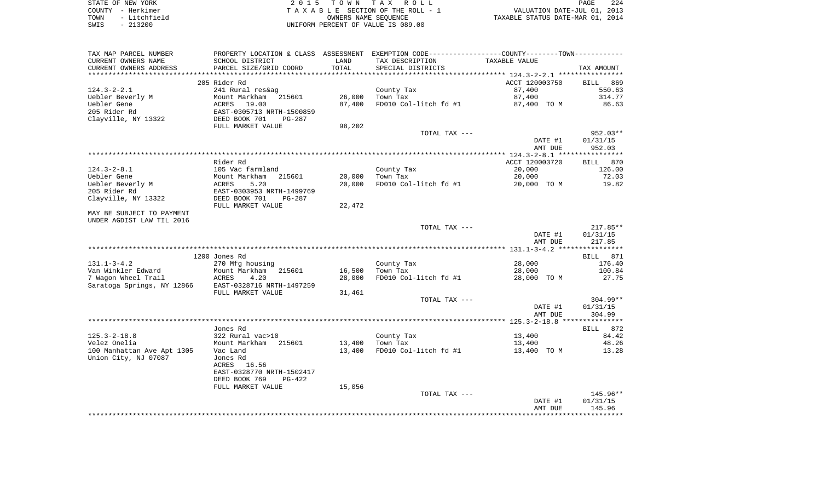| STATE OF NEW YORK    | 2015 TOWN TAX ROLL                 | 224<br>PAGE                      |
|----------------------|------------------------------------|----------------------------------|
| COUNTY - Herkimer    | TAXABLE SECTION OF THE ROLL - 1    | VALUATION DATE-JUL 01, 2013      |
| - Litchfield<br>TOWN | OWNERS NAME SEOUENCE               | TAXABLE STATUS DATE-MAR 01, 2014 |
| $-213200$<br>SWIS    | UNIFORM PERCENT OF VALUE IS 089.00 |                                  |

| TAX MAP PARCEL NUMBER                                | PROPERTY LOCATION & CLASS ASSESSMENT EXEMPTION CODE---------------COUNTY-------TOWN---------- |        |                        |                       |                  |
|------------------------------------------------------|-----------------------------------------------------------------------------------------------|--------|------------------------|-----------------------|------------------|
| CURRENT OWNERS NAME                                  | SCHOOL DISTRICT                                                                               | LAND   | TAX DESCRIPTION        | TAXABLE VALUE         |                  |
| CURRENT OWNERS ADDRESS                               | PARCEL SIZE/GRID COORD                                                                        | TOTAL  | SPECIAL DISTRICTS      |                       | TAX AMOUNT       |
|                                                      |                                                                                               |        |                        |                       |                  |
|                                                      | 205 Rider Rd                                                                                  |        |                        | ACCT 120003750        | BILL 869         |
| $124.3 - 2 - 2.1$                                    | 241 Rural res&ag                                                                              |        | County Tax             | 87,400                | 550.63           |
| Uebler Beverly M                                     | Mount Markham 215601                                                                          | 26,000 | Town Tax               | 87,400                | 314.77           |
| Uebler Gene                                          | ACRES<br>19.00                                                                                | 87,400 | FD010 Col-litch fd #1  | 87,400 TO M           | 86.63            |
| 205 Rider Rd                                         | EAST-0305713 NRTH-1500859                                                                     |        |                        |                       |                  |
| Clayville, NY 13322                                  | DEED BOOK 701<br>PG-287                                                                       |        |                        |                       |                  |
|                                                      | FULL MARKET VALUE                                                                             | 98,202 |                        |                       |                  |
|                                                      |                                                                                               |        | TOTAL TAX ---          |                       | 952.03**         |
|                                                      |                                                                                               |        |                        | DATE #1               | 01/31/15         |
|                                                      |                                                                                               |        |                        | AMT DUE               | 952.03           |
|                                                      |                                                                                               |        |                        |                       |                  |
|                                                      | Rider Rd                                                                                      |        |                        | ACCT 120003720        | BILL 870         |
| $124.3 - 2 - 8.1$                                    | 105 Vac farmland                                                                              |        | County Tax             | 20,000                | 126.00           |
| Uebler Gene                                          | Mount Markham<br>215601                                                                       | 20,000 | Town Tax               | 20,000                | 72.03            |
| Uebler Beverly M                                     | 5.20<br>ACRES                                                                                 | 20,000 | FD010 Col-litch fd #1  | 20,000 TO M           | 19.82            |
| 205 Rider Rd                                         | EAST-0303953 NRTH-1499769                                                                     |        |                        |                       |                  |
| Clayville, NY 13322                                  | DEED BOOK 701<br>PG-287                                                                       |        |                        |                       |                  |
|                                                      | FULL MARKET VALUE                                                                             | 22,472 |                        |                       |                  |
| MAY BE SUBJECT TO PAYMENT                            |                                                                                               |        |                        |                       |                  |
| UNDER AGDIST LAW TIL 2016                            |                                                                                               |        |                        |                       |                  |
|                                                      |                                                                                               |        | TOTAL TAX ---          |                       | $217.85**$       |
|                                                      |                                                                                               |        |                        | DATE #1               | 01/31/15         |
|                                                      |                                                                                               |        |                        | AMT DUE               | 217.85           |
|                                                      | 1200 Jones Rd                                                                                 |        |                        |                       |                  |
|                                                      |                                                                                               |        |                        |                       | BILL 871         |
| $131.1 - 3 - 4.2$<br>Van Winkler Edward              | 270 Mfg housing<br>215601                                                                     | 16,500 | County Tax<br>Town Tax | 28,000                | 176.40<br>100.84 |
| 7 Wagon Wheel Trail                                  | Mount Markham<br>ACRES<br>4.20                                                                | 28,000 | FD010 Col-litch fd #1  | 28,000<br>28,000 TO M | 27.75            |
| Saratoga Springs, NY 12866 EAST-0328716 NRTH-1497259 |                                                                                               |        |                        |                       |                  |
|                                                      | FULL MARKET VALUE                                                                             | 31,461 |                        |                       |                  |
|                                                      |                                                                                               |        | TOTAL TAX ---          |                       | $304.99**$       |
|                                                      |                                                                                               |        |                        | DATE #1               | 01/31/15         |
|                                                      |                                                                                               |        |                        | AMT DUE               | 304.99           |
|                                                      |                                                                                               |        |                        |                       |                  |
|                                                      | Jones Rd                                                                                      |        |                        |                       | BILL 872         |
| $125.3 - 2 - 18.8$                                   | 322 Rural vac>10                                                                              |        | County Tax             | 13,400                | 84.42            |
| Velez Onelia                                         | Mount Markham<br>215601                                                                       | 13,400 | Town Tax               | 13,400                | 48.26            |
| 100 Manhattan Ave Apt 1305                           | Vac Land                                                                                      | 13,400 | FD010 Col-litch fd #1  | 13,400 TO M           | 13.28            |
| Union City, NJ 07087                                 | Jones Rd                                                                                      |        |                        |                       |                  |
|                                                      | 16.56<br>ACRES                                                                                |        |                        |                       |                  |
|                                                      | EAST-0328770 NRTH-1502417                                                                     |        |                        |                       |                  |
|                                                      | DEED BOOK 769<br>PG-422                                                                       |        |                        |                       |                  |
|                                                      | FULL MARKET VALUE                                                                             | 15,056 |                        |                       |                  |
|                                                      |                                                                                               |        | TOTAL TAX ---          |                       | 145.96**         |
|                                                      |                                                                                               |        |                        | DATE #1               | 01/31/15         |
|                                                      |                                                                                               |        |                        | AMT DUE               | 145.96           |
|                                                      |                                                                                               |        |                        |                       |                  |
|                                                      |                                                                                               |        |                        |                       |                  |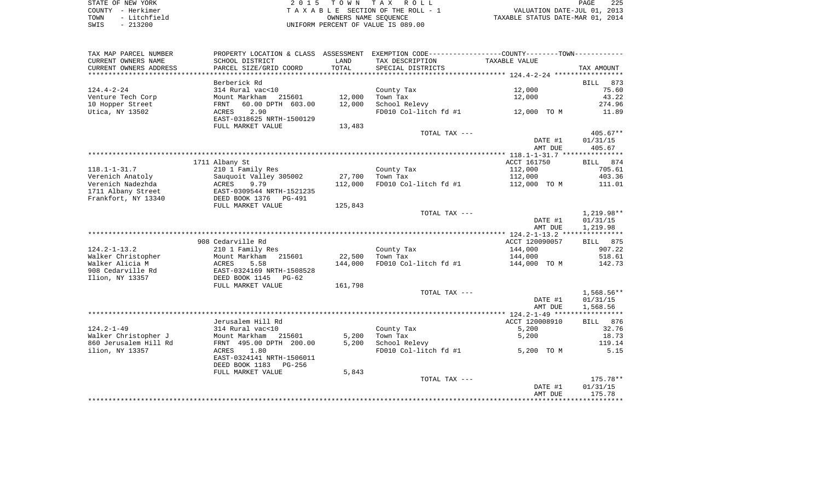| STATE OF NEW YORK                             | 2015 TOWN TAX ROLL                 | 225<br>PAGE                      |
|-----------------------------------------------|------------------------------------|----------------------------------|
| COUNTY - Herkimer                             | TAXABLE SECTION OF THE ROLL - 1    | VALUATION DATE-JUL 01, 2013      |
| - Litchfield<br>TOWN                          | OWNERS NAME SEOUENCE               | TAXABLE STATUS DATE-MAR 01, 2014 |
| $-213200$<br>SWIS<br>$\overline{\phantom{0}}$ | UNIFORM PERCENT OF VALUE IS 089.00 |                                  |

225<br>2013

| TAX MAP PARCEL NUMBER  | PROPERTY LOCATION & CLASS ASSESSMENT EXEMPTION CODE---------------COUNTY-------TOWN---------- |         |                       |                |             |
|------------------------|-----------------------------------------------------------------------------------------------|---------|-----------------------|----------------|-------------|
| CURRENT OWNERS NAME    | SCHOOL DISTRICT                                                                               | LAND    | TAX DESCRIPTION       | TAXABLE VALUE  |             |
| CURRENT OWNERS ADDRESS | PARCEL SIZE/GRID COORD                                                                        | TOTAL   | SPECIAL DISTRICTS     |                | TAX AMOUNT  |
| ********************** | *****************************                                                                 |         |                       |                |             |
|                        | Berberick Rd                                                                                  |         |                       |                | BILL<br>873 |
| $124.4 - 2 - 24$       | 314 Rural vac<10                                                                              |         | County Tax            | 12,000         | 75.60       |
| Venture Tech Corp      | Mount Markham 215601                                                                          | 12,000  | Town Tax              | 12,000         | 43.22       |
| 10 Hopper Street       | 60.00 DPTH 603.00<br>FRNT                                                                     | 12,000  | School Relevy         |                | 274.96      |
| Utica, NY 13502        | 2.90<br>ACRES                                                                                 |         | FD010 Col-litch fd #1 | 12,000 TO M    | 11.89       |
|                        | EAST-0318625 NRTH-1500129                                                                     |         |                       |                |             |
|                        | FULL MARKET VALUE                                                                             | 13,483  |                       |                |             |
|                        |                                                                                               |         | TOTAL TAX ---         |                | $405.67**$  |
|                        |                                                                                               |         |                       | DATE #1        | 01/31/15    |
|                        |                                                                                               |         |                       | AMT DUE        | 405.67      |
|                        |                                                                                               |         |                       |                |             |
|                        | 1711 Albany St                                                                                |         |                       | ACCT 161750    | BILL 874    |
| $118.1 - 1 - 31.7$     | 210 1 Family Res                                                                              |         | County Tax            | 112,000        | 705.61      |
| Verenich Anatoly       | Sauquoit Valley 305002                                                                        | 27,700  | Town Tax              | 112,000        | 403.36      |
| Verenich Nadezhda      | ACRES<br>9.79                                                                                 | 112,000 | FD010 Col-litch fd #1 | 112,000 TO M   | 111.01      |
| 1711 Albany Street     | EAST-0309544 NRTH-1521235                                                                     |         |                       |                |             |
| Frankfort, NY 13340    | DEED BOOK 1376<br>PG-491                                                                      |         |                       |                |             |
|                        | FULL MARKET VALUE                                                                             | 125,843 |                       |                |             |
|                        |                                                                                               |         | TOTAL TAX ---         |                | 1,219.98**  |
|                        |                                                                                               |         |                       | DATE #1        | 01/31/15    |
|                        |                                                                                               |         |                       | AMT DUE        | 1,219.98    |
|                        |                                                                                               |         |                       |                |             |
|                        | 908 Cedarville Rd                                                                             |         |                       | ACCT 120090057 | BILL 875    |
| 124.2-1-13.2           | 210 1 Family Res                                                                              |         | County Tax            | 144,000        | 907.22      |
| Walker Christopher     | Mount Markham<br>215601                                                                       | 22,500  | Town Tax              | 144,000        | 518.61      |
| Walker Alicia M        | 5.58<br>ACRES                                                                                 | 144,000 | FD010 Col-litch fd #1 | 144,000 TO M   | 142.73      |
| 908 Cedarville Rd      | EAST-0324169 NRTH-1508528                                                                     |         |                       |                |             |
| Ilion, NY 13357        | DEED BOOK 1145 PG-62                                                                          |         |                       |                |             |
|                        | FULL MARKET VALUE                                                                             | 161,798 |                       |                |             |
|                        |                                                                                               |         | TOTAL TAX ---         |                | 1,568.56**  |
|                        |                                                                                               |         |                       | DATE #1        | 01/31/15    |
|                        |                                                                                               |         |                       | AMT DUE        | 1,568.56    |
|                        |                                                                                               |         |                       |                |             |
|                        | Jerusalem Hill Rd                                                                             |         |                       | ACCT 120008910 | BILL 876    |
| $124.2 - 1 - 49$       | 314 Rural vac<10                                                                              |         | County Tax            | 5,200          | 32.76       |
| Walker Christopher J   | Mount Markham 215601                                                                          | 5,200   | Town Tax              | 5,200          | 18.73       |
| 860 Jerusalem Hill Rd  | FRNT 495.00 DPTH 200.00                                                                       | 5,200   | School Relevy         |                | 119.14      |
| ilion, NY 13357        | ACRES<br>1.80                                                                                 |         | FD010 Col-litch fd #1 | 5,200 TO M     | 5.15        |
|                        | EAST-0324141 NRTH-1506011                                                                     |         |                       |                |             |
|                        | DEED BOOK 1183 PG-256                                                                         |         |                       |                |             |
|                        | FULL MARKET VALUE                                                                             | 5,843   |                       |                |             |
|                        |                                                                                               |         | TOTAL TAX ---         |                | 175.78**    |
|                        |                                                                                               |         |                       | DATE #1        | 01/31/15    |
|                        |                                                                                               |         |                       | AMT DUE        | 175.78      |
|                        |                                                                                               |         |                       |                |             |
|                        |                                                                                               |         |                       |                |             |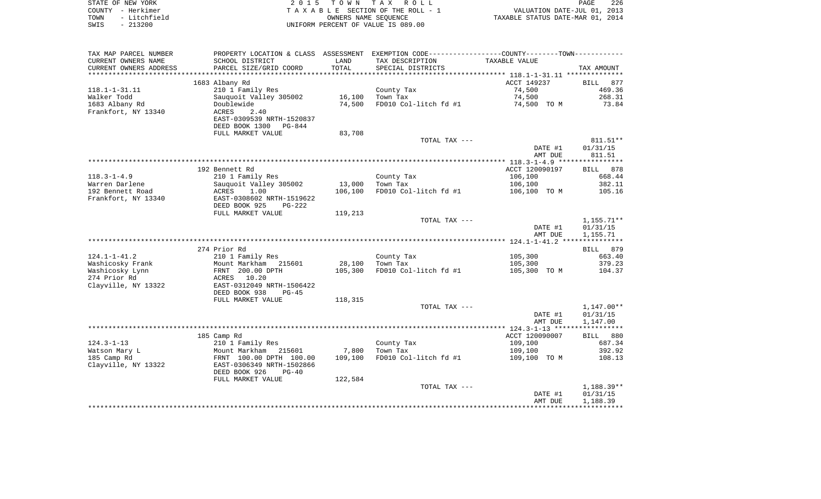| STATE OF NEW YORK    | 2015 TOWN TAX ROLL                 | 226<br>PAGE                      |
|----------------------|------------------------------------|----------------------------------|
| COUNTY - Herkimer    | TAXABLE SECTION OF THE ROLL - 1    | VALUATION DATE-JUL 01, 2013      |
| TOWN<br>- Litchfield | OWNERS NAME SEOUENCE               | TAXABLE STATUS DATE-MAR 01, 2014 |
| SWIS<br>- 213200     | UNIFORM PERCENT OF VALUE IS 089.00 |                                  |
|                      |                                    |                                  |

| TAX MAP PARCEL NUMBER  | PROPERTY LOCATION & CLASS ASSESSMENT                  |         | EXEMPTION CODE----------------COUNTY-------TOWN----------- |                    |                      |
|------------------------|-------------------------------------------------------|---------|------------------------------------------------------------|--------------------|----------------------|
| CURRENT OWNERS NAME    | SCHOOL DISTRICT                                       | LAND    | TAX DESCRIPTION                                            | TAXABLE VALUE      |                      |
| CURRENT OWNERS ADDRESS | PARCEL SIZE/GRID COORD                                | TOTAL   | SPECIAL DISTRICTS                                          |                    | TAX AMOUNT           |
| *********************  | ***********************                               |         |                                                            |                    |                      |
|                        | 1683 Albany Rd                                        |         |                                                            | ACCT 149237        | <b>BILL</b><br>877   |
| $118.1 - 1 - 31.11$    | 210 1 Family Res                                      |         | County Tax                                                 | 74,500             | 469.36               |
| Walker Todd            | Sauquoit Valley 305002                                | 16,100  | Town Tax                                                   | 74,500             | 268.31               |
| 1683 Albany Rd         | Doublewide                                            | 74,500  | FD010 Col-litch fd #1                                      | 74,500 TO M        | 73.84                |
| Frankfort, NY 13340    | ACRES<br>2.40<br>EAST-0309539 NRTH-1520837            |         |                                                            |                    |                      |
|                        | DEED BOOK 1300 PG-844                                 |         |                                                            |                    |                      |
|                        | FULL MARKET VALUE                                     | 83,708  |                                                            |                    |                      |
|                        |                                                       |         | TOTAL TAX ---                                              |                    | 811.51**             |
|                        |                                                       |         |                                                            | DATE #1            | 01/31/15             |
|                        |                                                       |         |                                                            | AMT DUE            | 811.51               |
|                        |                                                       |         |                                                            |                    |                      |
|                        | 192 Bennett Rd                                        |         |                                                            | ACCT 120090197     | BILL 878             |
| $118.3 - 1 - 4.9$      | 210 1 Family Res                                      |         | County Tax                                                 | 106,100            | 668.44               |
| Warren Darlene         | Sauquoit Valley 305002                                | 13,000  | Town Tax                                                   | 106,100            | 382.11               |
| 192 Bennett Road       | ACRES<br>1.00                                         | 106,100 | FD010 Col-litch fd #1                                      | 106,100 TO M       | 105.16               |
| Frankfort, NY 13340    | EAST-0308602 NRTH-1519622                             |         |                                                            |                    |                      |
|                        | DEED BOOK 925<br>PG-222                               |         |                                                            |                    |                      |
|                        | FULL MARKET VALUE                                     | 119,213 |                                                            |                    |                      |
|                        |                                                       |         | TOTAL TAX ---                                              |                    | $1,155.71**$         |
|                        |                                                       |         |                                                            | DATE #1<br>AMT DUE | 01/31/15<br>1,155.71 |
|                        |                                                       |         |                                                            |                    |                      |
|                        | 274 Prior Rd                                          |         |                                                            |                    | BILL 879             |
| $124.1 - 1 - 41.2$     | 210 1 Family Res                                      |         | County Tax                                                 | 105,300            | 663.40               |
| Washicosky Frank       | Mount Markham 215601                                  | 28,100  | Town Tax                                                   | 105,300            | 379.23               |
| Washicosky Lynn        | FRNT 200.00 DPTH                                      | 105,300 | FD010 Col-litch fd #1                                      | 105,300 TO M       | 104.37               |
| 274 Prior Rd           | ACRES 10.20                                           |         |                                                            |                    |                      |
| Clayville, NY 13322    | EAST-0312049 NRTH-1506422                             |         |                                                            |                    |                      |
|                        | DEED BOOK 938<br>$PG-45$                              |         |                                                            |                    |                      |
|                        | FULL MARKET VALUE                                     | 118,315 |                                                            |                    |                      |
|                        |                                                       |         | TOTAL TAX ---                                              |                    | $1,147.00**$         |
|                        |                                                       |         |                                                            | DATE #1            | 01/31/15             |
|                        |                                                       |         |                                                            |                    | 1,147.00             |
|                        |                                                       |         |                                                            | AMT DUE            |                      |
|                        |                                                       |         |                                                            |                    |                      |
|                        | 185 Camp Rd                                           |         |                                                            | ACCT 120090007     | BILL 880             |
| $124.3 - 1 - 13$       | 210 1 Family Res                                      |         | County Tax                                                 | 109,100            | 687.34               |
| Watson Mary L          | Mount Markham 215601                                  | 7,800   | Town Tax                                                   | 109,100            | 392.92               |
| 185 Camp Rd            | FRNT 100.00 DPTH 100.00                               | 109,100 | FD010 Col-litch fd #1                                      | 109,100 TO M       | 108.13               |
| Clayville, NY 13322    | EAST-0306349 NRTH-1502866<br>DEED BOOK 926<br>$PG-40$ |         |                                                            |                    |                      |
|                        | FULL MARKET VALUE                                     | 122,584 |                                                            |                    |                      |
|                        |                                                       |         | TOTAL TAX ---                                              |                    | $1,188.39**$         |
|                        |                                                       |         |                                                            | DATE #1            | 01/31/15             |
|                        |                                                       |         |                                                            | AMT DUE            | 1,188.39             |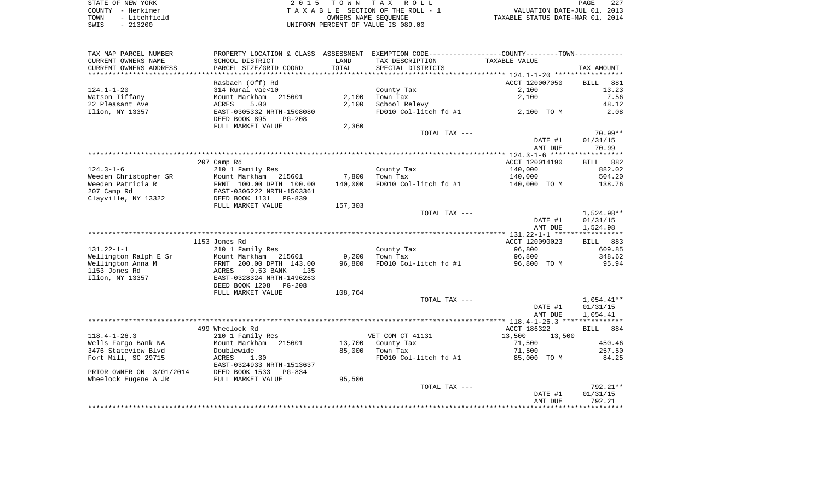STATE OF NEW YORK 2 0 1 5 T O W N T A X R O L L PAGE 227COUNTY - Herkimer **T A X A B L E** SECTION OF THE ROLL - 1 VALUATION DATE-JUL 01, 2013 TOWN - Litchfield COWNERS NAME SEQUENCE TAXABLE STATUS DATE-MAR 01, 2014 SWIS - 213200 UNIFORM PERCENT OF VALUE IS 089.00

TAX MAP PARCEL NUMBER PROPERTY LOCATION & CLASS ASSESSMENT EXEMPTION CODE------------------COUNTY--------TOWN------------ CURRENT OWNERS NAME SCHOOL DISTRICT LAND TAX DESCRIPTION TAXABLE VALUECURRENT OWNERS ADDRESS PARCEL SIZE/GRID COORD TOTAL SPECIAL DISTRICTS TAX AMOUNT \*\*\*\*\*\*\*\*\*\*\*\*\*\*\*\*\*\*\*\*\*\*\*\*\*\*\*\*\*\*\*\*\*\*\*\*\*\*\*\*\*\*\*\*\*\*\*\*\*\*\*\*\*\*\*\*\*\*\*\*\*\*\*\*\*\*\*\*\*\*\*\*\*\*\*\*\*\*\*\*\*\*\*\*\*\*\*\*\*\*\*\*\*\*\*\*\*\*\*\*\*\*\* 124.1-1-20 \*\*\*\*\*\*\*\*\*\*\*\*\*\*\*\*\* Rasbach (Off) Rd ACCT 120007050 BILL 881 124.1-1-20 314 Rural vac<10 County Tax 2,100 13.23 Watson Tiffany 1.56 Mount Markham 215601 2,100 Town Tax 2,100 2,100 2,100 7.56 22 Pleasant Ave ACRES 5.00 2,100 School Relevy 48.12 Ilion, NY 13357 EAST-0305332 NRTH-1508080 FD010 Col-litch fd #1 2,100 TO M 2.08 DEED BOOK 895 PG-208FULL MARKET VALUE 2,360 TOTAL TAX  $---$  70.99\*\* DATE #1 01/31/15 AMT DUE 70.99 \*\*\*\*\*\*\*\*\*\*\*\*\*\*\*\*\*\*\*\*\*\*\*\*\*\*\*\*\*\*\*\*\*\*\*\*\*\*\*\*\*\*\*\*\*\*\*\*\*\*\*\*\*\*\*\*\*\*\*\*\*\*\*\*\*\*\*\*\*\*\*\*\*\*\*\*\*\*\*\*\*\*\*\*\*\*\*\*\*\*\*\*\*\*\*\*\*\*\*\*\*\*\* 124.3-1-6 \*\*\*\*\*\*\*\*\*\*\*\*\*\*\*\*\*\* 207 Camp Rd ACCT 120014190 BILL 882 124.3-1-6 210 1 Family Res County Tax 140,000 882.02 Weeden Christopher SR Mount Markham 215601 7,800 Town Tax 140,000 504.20 Weeden Patricia R **FRNT 100.00 DPTH 100.00** 140,000 FD010 Col-litch fd #1 140,000 TO M 138.76 207 Camp Rd EAST-0306222 NRTH-1503361 Clayville, NY 13322 DEED BOOK 1131 PG-839 FULL MARKET VALUE 157,303 TOTAL TAX --- 1,524.98\*\* DATE #1 01/31/15 AMT DUE 1,524.98 \*\*\*\*\*\*\*\*\*\*\*\*\*\*\*\*\*\*\*\*\*\*\*\*\*\*\*\*\*\*\*\*\*\*\*\*\*\*\*\*\*\*\*\*\*\*\*\*\*\*\*\*\*\*\*\*\*\*\*\*\*\*\*\*\*\*\*\*\*\*\*\*\*\*\*\*\*\*\*\*\*\*\*\*\*\*\*\*\*\*\*\*\*\*\*\*\*\*\*\*\*\*\* 131.22-1-1 \*\*\*\*\*\*\*\*\*\*\*\*\*\*\*\*\* 1153 Jones Rd ACCT 120090023 BILL 883131.22-1-1 210 1 Family Res County Tax 96,800 609.85 Wellington Ralph E Sr Wellington Anna M FRNT 200.00 DPTH 143.00 96,800 FD010 Col-litch fd #1 96,800 TO M 95.94 1153 Jones Rd ACRES 0.53 BANK 135 Ilion, NY 13357 EAST-0328324 NRTH-1496263 DEED BOOK 1208 PG-208FULL MARKET VALUE 108,764 TOTAL TAX --- 1,054.41\*\* DATE #1 01/31/15 AMT DUE 1,054.41 \*\*\*\*\*\*\*\*\*\*\*\*\*\*\*\*\*\*\*\*\*\*\*\*\*\*\*\*\*\*\*\*\*\*\*\*\*\*\*\*\*\*\*\*\*\*\*\*\*\*\*\*\*\*\*\*\*\*\*\*\*\*\*\*\*\*\*\*\*\*\*\*\*\*\*\*\*\*\*\*\*\*\*\*\*\*\*\*\*\*\*\*\*\*\*\*\*\*\*\*\*\*\* 118.4-1-26.3 \*\*\*\*\*\*\*\*\*\*\*\*\*\*\* are the set of the set of the set of the set of the set of the set of the set of the set of the set of the set o<br>ACCT 186322 BILL 884 118.4-1-26.3 210 1 Family Res VET COM CT 41131 13,500 13,500 13,700 County Tax 71,500 450.46 3476 Stateview Blvd Doublewide 85,000 Town Tax 71,500 257.50 Fort Mill, SC 29715 ACRES 1.30 **FD010** Col-litch fd #1 85,000 TO M 84.25 EAST-0324933 NRTH-1513637PRIOR OWNER ON 3/01/2014 DEED BOOK 1533 PG-834 Wheelock Eugene A JR FULL MARKET VALUE 95,506 TOTAL TAX --- 792.21\*\* DATE #1 01/31/15 AMT DUE 792.21\*\*\*\*\*\*\*\*\*\*\*\*\*\*\*\*\*\*\*\*\*\*\*\*\*\*\*\*\*\*\*\*\*\*\*\*\*\*\*\*\*\*\*\*\*\*\*\*\*\*\*\*\*\*\*\*\*\*\*\*\*\*\*\*\*\*\*\*\*\*\*\*\*\*\*\*\*\*\*\*\*\*\*\*\*\*\*\*\*\*\*\*\*\*\*\*\*\*\*\*\*\*\*\*\*\*\*\*\*\*\*\*\*\*\*\*\*\*\*\*\*\*\*\*\*\*\*\*\*\*\*\*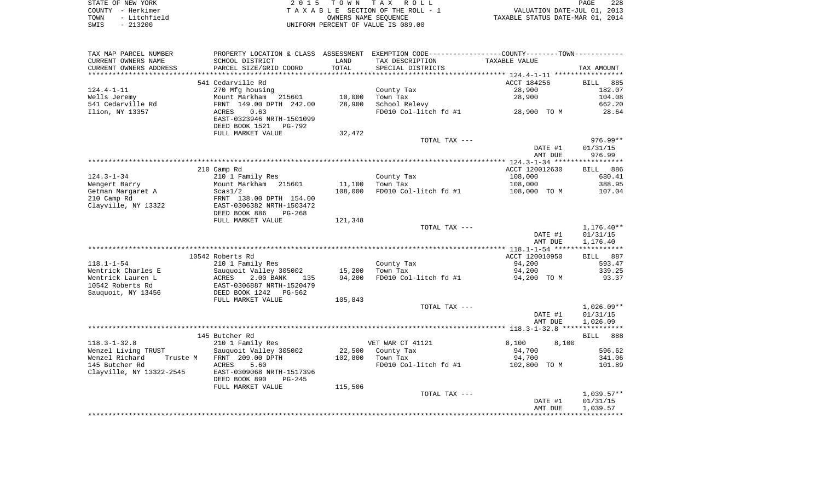|      | STATE OF NEW YORK | 2015 TOWN TAX ROLL                 | 228<br>PAGE                      |
|------|-------------------|------------------------------------|----------------------------------|
|      | COUNTY - Herkimer | TAXABLE SECTION OF THE ROLL - 1    | VALUATION DATE-JUL 01, 2013      |
| TOWN | - Litchfield      | OWNERS NAME SEOUENCE               | TAXABLE STATUS DATE-MAR 01, 2014 |
| SWIS | $-213200$         | UNIFORM PERCENT OF VALUE IS 089.00 |                                  |

| TAX MAP PARCEL NUMBER                   |                                                       |                  | PROPERTY LOCATION & CLASS ASSESSMENT EXEMPTION CODE---------------COUNTY-------TOWN---------- |                       |                    |
|-----------------------------------------|-------------------------------------------------------|------------------|-----------------------------------------------------------------------------------------------|-----------------------|--------------------|
| CURRENT OWNERS NAME                     | SCHOOL DISTRICT                                       | LAND             | TAX DESCRIPTION                                                                               | TAXABLE VALUE         |                    |
| CURRENT OWNERS ADDRESS                  | PARCEL SIZE/GRID COORD                                | TOTAL            | SPECIAL DISTRICTS                                                                             |                       | TAX AMOUNT         |
| *********************                   |                                                       |                  |                                                                                               |                       |                    |
|                                         | 541 Cedarville Rd                                     |                  |                                                                                               | ACCT 184256           | <b>BILL</b><br>885 |
| $124.4 - 1 - 11$                        | 270 Mfg housing                                       |                  | County Tax                                                                                    | 28,900                | 182.07             |
| Wells Jeremy                            | Mount Markham<br>215601                               | 10,000           | Town Tax                                                                                      | 28,900                | 104.08             |
| 541 Cedarville Rd                       | FRNT 149.00 DPTH 242.00                               | 28,900           | School Relevy                                                                                 |                       | 662.20             |
| Ilion, NY 13357                         | 0.63<br>ACRES                                         |                  | FD010 Col-litch fd #1                                                                         | 28,900 TO M           | 28.64              |
|                                         | EAST-0323946 NRTH-1501099<br>DEED BOOK 1521<br>PG-792 |                  |                                                                                               |                       |                    |
|                                         | FULL MARKET VALUE                                     | 32,472           |                                                                                               |                       |                    |
|                                         |                                                       |                  | TOTAL TAX ---                                                                                 |                       | $976.99**$         |
|                                         |                                                       |                  |                                                                                               | DATE #1               | 01/31/15           |
|                                         |                                                       |                  |                                                                                               | AMT DUE               | 976.99             |
|                                         |                                                       |                  |                                                                                               |                       |                    |
|                                         | 210 Camp Rd                                           |                  |                                                                                               | ACCT 120012630        | BILL 886           |
| $124.3 - 1 - 34$                        | 210 1 Family Res                                      |                  | County Tax                                                                                    | 108,000               | 680.41             |
| Wengert Barry                           | Mount Markham 215601                                  | 11,100           | Town Tax                                                                                      | 108,000               | 388.95             |
| Getman Margaret A                       | Scas1/2                                               | 108,000          | FD010 Col-litch fd #1                                                                         | 108,000 TO M          | 107.04             |
| 210 Camp Rd                             | FRNT 138.00 DPTH 154.00                               |                  |                                                                                               |                       |                    |
| Clayville, NY 13322                     | EAST-0306382 NRTH-1503472                             |                  |                                                                                               |                       |                    |
|                                         | DEED BOOK 886<br>$PG-268$                             |                  |                                                                                               |                       |                    |
|                                         | FULL MARKET VALUE                                     | 121,348          |                                                                                               |                       |                    |
|                                         |                                                       |                  | TOTAL TAX ---                                                                                 |                       | $1,176.40**$       |
|                                         |                                                       |                  |                                                                                               | DATE #1               | 01/31/15           |
|                                         |                                                       |                  |                                                                                               | AMT DUE               | 1,176.40           |
|                                         |                                                       |                  |                                                                                               |                       |                    |
|                                         | 10542 Roberts Rd                                      |                  |                                                                                               | ACCT 120010950        | BILL 887           |
| $118.1 - 1 - 54$                        | 210 1 Family Res                                      |                  | County Tax                                                                                    | 94,200                | 593.47             |
| Wentrick Charles E<br>Wentrick Lauren L | Sauquoit Valley 305002<br>2.00 BANK<br>ACRES<br>135   | 15,200<br>94,200 | Town Tax<br>FD010 Col-litch fd #1                                                             | 94,200<br>94,200 TO M | 339.25<br>93.37    |
| 10542 Roberts Rd                        | EAST-0306887 NRTH-1520479                             |                  |                                                                                               |                       |                    |
| Sauquoit, NY 13456                      | DEED BOOK 1242<br>PG-562                              |                  |                                                                                               |                       |                    |
|                                         | FULL MARKET VALUE                                     | 105,843          |                                                                                               |                       |                    |
|                                         |                                                       |                  | TOTAL TAX ---                                                                                 |                       | $1,026.09**$       |
|                                         |                                                       |                  |                                                                                               | DATE #1               | 01/31/15           |
|                                         |                                                       |                  |                                                                                               | AMT DUE               | 1,026.09           |
|                                         |                                                       |                  |                                                                                               |                       |                    |
|                                         | 145 Butcher Rd                                        |                  |                                                                                               |                       | BILL 888           |
| $118.3 - 1 - 32.8$                      | 210 1 Family Res                                      |                  | VET WAR CT 41121                                                                              | 8,100<br>8,100        |                    |
| Wenzel Living TRUST                     | Sauquoit Valley 305002                                | 22,500           | County Tax                                                                                    | 94,700                | 596.62             |
| Wenzel Richard<br>Truste M              | FRNT 209.00 DPTH                                      | 102,800          | Town Tax                                                                                      | 94,700                | 341.06             |
| 145 Butcher Rd                          | 5.60<br>ACRES                                         |                  | FD010 Col-litch fd #1                                                                         | 102,800 TO M          | 101.89             |
| Clayville, NY 13322-2545                | EAST-0309068 NRTH-1517396                             |                  |                                                                                               |                       |                    |
|                                         | DEED BOOK 890<br>$PG-245$                             |                  |                                                                                               |                       |                    |
|                                         | FULL MARKET VALUE                                     | 115,506          |                                                                                               |                       |                    |
|                                         |                                                       |                  | TOTAL TAX ---                                                                                 |                       | $1,039.57**$       |
|                                         |                                                       |                  |                                                                                               | DATE #1               | 01/31/15           |
|                                         |                                                       |                  |                                                                                               | AMT DUE               | 1,039.57           |
|                                         |                                                       |                  |                                                                                               |                       |                    |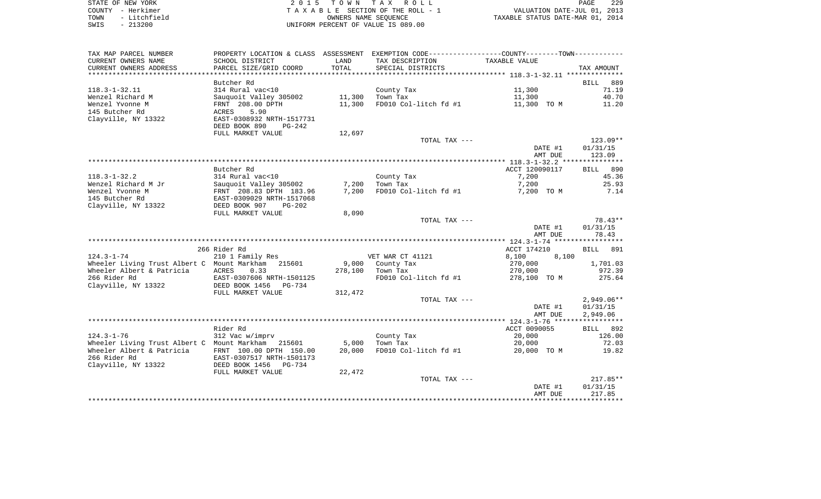| STATE OF NEW YORK    | 2015 TOWN TAX ROLL                 | 229<br>PAGE                      |
|----------------------|------------------------------------|----------------------------------|
| COUNTY - Herkimer    | TAXABLE SECTION OF THE ROLL - 1    | VALUATION DATE-JUL 01, 2013      |
| - Litchfield<br>TOWN | OWNERS NAME SEOUENCE               | TAXABLE STATUS DATE-MAR 01, 2014 |
| $-213200$<br>SWIS    | UNIFORM PERCENT OF VALUE IS 089.00 |                                  |

229<br>2013

| TAX MAP PARCEL NUMBER                                                    |                            |                  | PROPERTY LOCATION & CLASS ASSESSMENT EXEMPTION CODE----------------COUNTY--------TOWN----------- |                      |                      |
|--------------------------------------------------------------------------|----------------------------|------------------|--------------------------------------------------------------------------------------------------|----------------------|----------------------|
| CURRENT OWNERS NAME                                                      | SCHOOL DISTRICT            | LAND             | TAX DESCRIPTION                                                                                  | <b>TAXABLE VALUE</b> |                      |
| CURRENT OWNERS ADDRESS                                                   | PARCEL SIZE/GRID COORD     | TOTAL            | SPECIAL DISTRICTS                                                                                |                      | TAX AMOUNT           |
|                                                                          |                            |                  |                                                                                                  |                      |                      |
|                                                                          | Butcher Rd                 |                  |                                                                                                  |                      | 889<br>BILL          |
| $118.3 - 1 - 32.11$                                                      | 314 Rural vac<10           |                  | County Tax                                                                                       | 11,300               | 71.19                |
| Wenzel Richard M                                                         | Sauquoit Valley 305002     | 11,300           | Town Tax                                                                                         | 11,300               | 40.70                |
| Wenzel Yvonne M                                                          | FRNT 208.00 DPTH           | 11,300           | FD010 Col-litch fd #1                                                                            | 11,300 TO M          | 11.20                |
| 145 Butcher Rd                                                           | ACRES<br>5.90              |                  |                                                                                                  |                      |                      |
| Clayville, NY 13322                                                      | EAST-0308932 NRTH-1517731  |                  |                                                                                                  |                      |                      |
|                                                                          | DEED BOOK 890<br>$PG-242$  |                  |                                                                                                  |                      |                      |
|                                                                          | FULL MARKET VALUE          | 12,697           |                                                                                                  |                      |                      |
|                                                                          |                            |                  | TOTAL TAX ---                                                                                    | DATE #1              | 123.09**<br>01/31/15 |
|                                                                          |                            |                  |                                                                                                  | AMT DUE              | 123.09               |
|                                                                          |                            |                  |                                                                                                  |                      |                      |
|                                                                          | Butcher Rd                 |                  |                                                                                                  | ACCT 120090117       | BILL 890             |
| $118.3 - 1 - 32.2$                                                       | 314 Rural vac<10           |                  | County Tax                                                                                       | 7,200                | 45.36                |
| Wenzel Richard M Jr                                                      | Sauquoit Valley 305002     | 7,200            | Town Tax                                                                                         | 7,200                | 25.93                |
| Wenzel Yvonne M                                                          | FRNT 208.83 DPTH 183.96    | 7,200            | FD010 Col-litch fd #1                                                                            | 7,200 TO M           | 7.14                 |
| 145 Butcher Rd                                                           | EAST-0309029 NRTH-1517068  |                  |                                                                                                  |                      |                      |
| Clayville, NY 13322                                                      | DEED BOOK 907<br>$PG-202$  |                  |                                                                                                  |                      |                      |
|                                                                          | FULL MARKET VALUE          | 8,090            |                                                                                                  |                      |                      |
|                                                                          |                            |                  | TOTAL TAX ---                                                                                    |                      | $78.43**$            |
|                                                                          |                            |                  |                                                                                                  | DATE #1              | 01/31/15             |
|                                                                          |                            |                  |                                                                                                  | AMT DUE              | 78.43                |
|                                                                          |                            |                  |                                                                                                  |                      |                      |
|                                                                          | 266 Rider Rd               |                  |                                                                                                  | ACCT 174210          | BILL 891             |
| $124.3 - 1 - 74$                                                         | 210 1 Family Res           |                  | VET WAR CT 41121                                                                                 | 8,100<br>8,100       |                      |
| Wheeler Living Trust Albert C Mount Markham<br>Wheeler Albert & Patricia | 215601<br>0.33<br>ACRES    | 9,000<br>278,100 | County Tax<br>Town Tax                                                                           | 270,000<br>270,000   | 1,701.03<br>972.39   |
| 266 Rider Rd                                                             | EAST-0307606 NRTH-1501125  |                  | FD010 Col-litch fd #1                                                                            | 278,100 TO M         | 275.64               |
| Clayville, NY 13322                                                      | DEED BOOK 1456<br>PG-734   |                  |                                                                                                  |                      |                      |
|                                                                          | FULL MARKET VALUE          | 312,472          |                                                                                                  |                      |                      |
|                                                                          |                            |                  | TOTAL TAX ---                                                                                    |                      | $2,949.06**$         |
|                                                                          |                            |                  |                                                                                                  | DATE #1              | 01/31/15             |
|                                                                          |                            |                  |                                                                                                  | AMT DUE              | 2,949.06             |
|                                                                          |                            |                  |                                                                                                  |                      |                      |
|                                                                          | Rider Rd                   |                  |                                                                                                  | ACCT 0090055         | BILL 892             |
| $124.3 - 1 - 76$                                                         | 312 Vac w/imprv            |                  | County Tax                                                                                       | 20,000               | 126.00               |
| Wheeler Living Trust Albert C Mount Markham 215601                       |                            | 5,000            | Town Tax                                                                                         | 20,000               | 72.03                |
| Wheeler Albert & Patricia                                                | FRNT 100.00 DPTH 150.00    | 20,000           | FD010 Col-litch fd #1                                                                            | 20,000 TO M          | 19.82                |
| 266 Rider Rd                                                             | EAST-0307517 NRTH-1501173  |                  |                                                                                                  |                      |                      |
| Clayville, NY 13322                                                      | DEED BOOK 1456<br>$PG-734$ |                  |                                                                                                  |                      |                      |
|                                                                          | FULL MARKET VALUE          | 22,472           |                                                                                                  |                      |                      |
|                                                                          |                            |                  | TOTAL TAX ---                                                                                    |                      | $217.85**$           |
|                                                                          |                            |                  |                                                                                                  | DATE #1<br>AMT DUE   | 01/31/15<br>217.85   |
|                                                                          |                            |                  |                                                                                                  |                      |                      |
|                                                                          |                            |                  |                                                                                                  |                      |                      |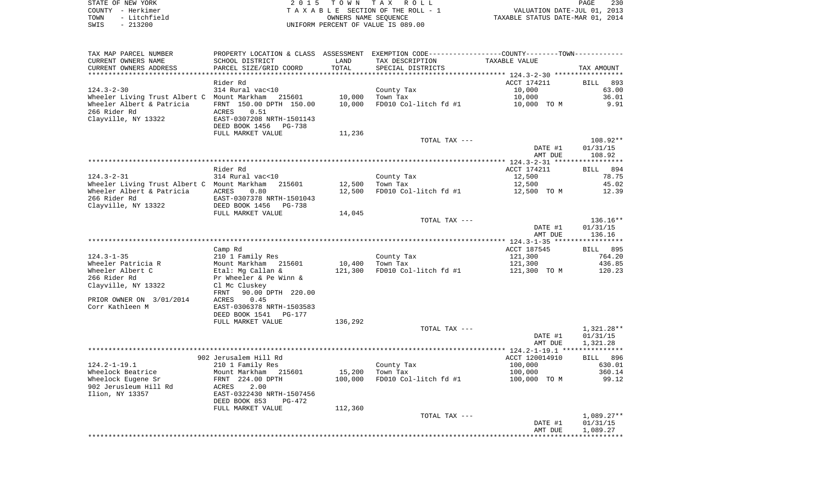| STATE OF NEW YORK    | 2015 TOWN TAX ROLL                 | 230<br>PAGE                      |
|----------------------|------------------------------------|----------------------------------|
| COUNTY - Herkimer    | TAXABLE SECTION OF THE ROLL - 1    | VALUATION DATE-JUL 01, 2013      |
| - Litchfield<br>TOWN | OWNERS NAME SEOUENCE               | TAXABLE STATUS DATE-MAR 01, 2014 |
| $-213200$<br>SWIS    | UNIFORM PERCENT OF VALUE IS 089.00 |                                  |

| TAX MAP PARCEL NUMBER<br>CURRENT OWNERS NAME<br>CURRENT OWNERS ADDRESS | SCHOOL DISTRICT<br>PARCEL SIZE/GRID COORD          | LAND<br>TOTAL | PROPERTY LOCATION & CLASS ASSESSMENT EXEMPTION CODE---------------COUNTY-------TOWN----------<br>TAX DESCRIPTION<br>SPECIAL DISTRICTS | TAXABLE VALUE      | TAX AMOUNT         |
|------------------------------------------------------------------------|----------------------------------------------------|---------------|---------------------------------------------------------------------------------------------------------------------------------------|--------------------|--------------------|
| ************************                                               |                                                    |               |                                                                                                                                       |                    |                    |
|                                                                        | Rider Rd                                           |               |                                                                                                                                       | ACCT 174211        | BILL 893           |
| $124.3 - 2 - 30$                                                       | 314 Rural vac<10                                   |               | County Tax                                                                                                                            | 10,000             | 63.00              |
| Wheeler Living Trust Albert C  Mount Markham                           | 215601                                             | 10,000        | Town Tax                                                                                                                              | 10,000             | 36.01              |
| Wheeler Albert & Patricia                                              | FRNT 150.00 DPTH 150.00                            | 10,000        | FD010 Col-litch fd #1                                                                                                                 | 10,000 TO M        | 9.91               |
| 266 Rider Rd                                                           | 0.51<br>ACRES                                      |               |                                                                                                                                       |                    |                    |
| Clayville, NY 13322                                                    | EAST-0307208 NRTH-1501143<br>DEED BOOK 1456 PG-738 |               |                                                                                                                                       |                    |                    |
|                                                                        | FULL MARKET VALUE                                  | 11,236        |                                                                                                                                       |                    |                    |
|                                                                        |                                                    |               | TOTAL TAX ---                                                                                                                         |                    | 108.92**           |
|                                                                        |                                                    |               |                                                                                                                                       | DATE #1            | 01/31/15           |
|                                                                        |                                                    |               |                                                                                                                                       | AMT DUE            | 108.92             |
|                                                                        |                                                    |               |                                                                                                                                       |                    |                    |
|                                                                        | Rider Rd                                           |               |                                                                                                                                       | ACCT 174211        | BILL 894           |
| 124.3-2-31                                                             | 314 Rural vac<10                                   |               | County Tax                                                                                                                            | 12,500             | 78.75              |
| Wheeler Living Trust Albert C Mount Markham                            | 215601                                             | 12,500        | Town Tax                                                                                                                              | 12,500             | 45.02              |
| Wheeler Albert & Patricia                                              | <b>ACRES</b><br>0.80                               | 12,500        | FD010 Col-litch fd #1                                                                                                                 | 12,500 TO M        | 12.39              |
| 266 Rider Rd                                                           | EAST-0307378 NRTH-1501043                          |               |                                                                                                                                       |                    |                    |
| Clayville, NY 13322                                                    | DEED BOOK 1456<br>PG-738                           |               |                                                                                                                                       |                    |                    |
|                                                                        | FULL MARKET VALUE                                  | 14,045        |                                                                                                                                       |                    |                    |
|                                                                        |                                                    |               | TOTAL TAX ---                                                                                                                         |                    | 136.16**           |
|                                                                        |                                                    |               |                                                                                                                                       | DATE #1<br>AMT DUE | 01/31/15<br>136.16 |
|                                                                        |                                                    |               |                                                                                                                                       |                    |                    |
|                                                                        | Camp Rd                                            |               |                                                                                                                                       | ACCT 187545        | BILL 895           |
| $124.3 - 1 - 35$                                                       | 210 1 Family Res                                   |               | County Tax                                                                                                                            | 121,300            | 764.20             |
| Wheeler Patricia R                                                     | Mount Markham 215601                               | 10,400        | Town Tax                                                                                                                              | 121,300            | 436.85             |
| Wheeler Albert C                                                       | Etal: Mg Callan &                                  | 121,300       | FD010 Col-litch fd #1                                                                                                                 | 121,300 TO M       | 120.23             |
| 266 Rider Rd                                                           | Pr Wheeler & Pe Winn &                             |               |                                                                                                                                       |                    |                    |
| Clayville, NY 13322                                                    | Cl Mc Cluskey                                      |               |                                                                                                                                       |                    |                    |
|                                                                        | 90.00 DPTH 220.00<br>FRNT                          |               |                                                                                                                                       |                    |                    |
| PRIOR OWNER ON 3/01/2014<br>Corr Kathleen M                            | ACRES<br>0.45<br>EAST-0306378 NRTH-1503583         |               |                                                                                                                                       |                    |                    |
|                                                                        | DEED BOOK 1541<br>PG-177                           |               |                                                                                                                                       |                    |                    |
|                                                                        | FULL MARKET VALUE                                  | 136,292       |                                                                                                                                       |                    |                    |
|                                                                        |                                                    |               | TOTAL TAX ---                                                                                                                         |                    | 1,321.28**         |
|                                                                        |                                                    |               |                                                                                                                                       | DATE #1            | 01/31/15           |
|                                                                        |                                                    |               |                                                                                                                                       | AMT DUE            | 1,321.28           |
|                                                                        |                                                    |               |                                                                                                                                       |                    |                    |
|                                                                        | 902 Jerusalem Hill Rd                              |               |                                                                                                                                       | ACCT 120014910     | BILL 896           |
| $124.2 - 1 - 19.1$                                                     | 210 1 Family Res                                   |               | County Tax                                                                                                                            | 100,000            | 630.01             |
| Wheelock Beatrice                                                      | Mount Markham 215601                               | 15,200        | Town Tax                                                                                                                              | 100,000            | 360.14             |
| Wheelock Eugene Sr                                                     | FRNT 224.00 DPTH                                   | 100,000       | FD010 Col-litch fd #1                                                                                                                 | 100,000 TO M       | 99.12              |
| 902 Jerusleum Hill Rd                                                  | 2.00<br>ACRES                                      |               |                                                                                                                                       |                    |                    |
| Ilion, NY 13357                                                        | EAST-0322430 NRTH-1507456                          |               |                                                                                                                                       |                    |                    |
|                                                                        | DEED BOOK 853<br>PG-472                            |               |                                                                                                                                       |                    |                    |
|                                                                        | FULL MARKET VALUE                                  | 112,360       |                                                                                                                                       |                    |                    |
|                                                                        |                                                    |               | TOTAL TAX ---                                                                                                                         |                    | $1,089.27**$       |
|                                                                        |                                                    |               |                                                                                                                                       | DATE #1            | 01/31/15           |
|                                                                        |                                                    |               |                                                                                                                                       | AMT DUE            | 1,089.27           |
|                                                                        |                                                    |               |                                                                                                                                       |                    |                    |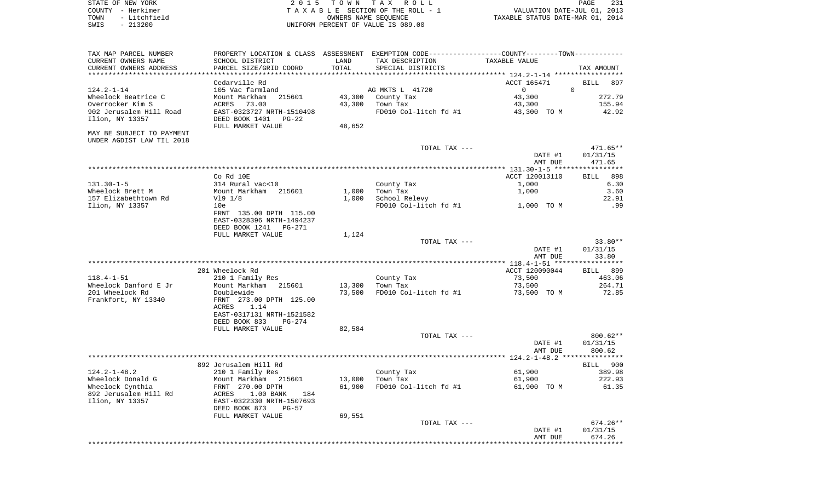|      | STATE OF NEW YORK | 2015 TOWN TAX ROLL                 |                                  | PAGE                        | 231 |
|------|-------------------|------------------------------------|----------------------------------|-----------------------------|-----|
|      | COUNTY - Herkimer | TAXABLE SECTION OF THE ROLL - 1    |                                  | VALUATION DATE-JUL 01, 2013 |     |
| TOWN | - Litchfield      | OWNERS NAME SEOUENCE               | TAXABLE STATUS DATE-MAR 01, 2014 |                             |     |
| SWIS | $-213200$         | UNIFORM PERCENT OF VALUE IS 089.00 |                                  |                             |     |
|      |                   |                                    |                                  |                             |     |

| TAX MAP PARCEL NUMBER     |                           |        | PROPERTY LOCATION & CLASS ASSESSMENT EXEMPTION CODE----------------COUNTY-------TOWN--------- |                |                    |
|---------------------------|---------------------------|--------|-----------------------------------------------------------------------------------------------|----------------|--------------------|
| CURRENT OWNERS NAME       | SCHOOL DISTRICT           | LAND   | TAX DESCRIPTION                                                                               | TAXABLE VALUE  |                    |
| CURRENT OWNERS ADDRESS    | PARCEL SIZE/GRID COORD    | TOTAL  | SPECIAL DISTRICTS                                                                             |                | TAX AMOUNT         |
| **********************    |                           |        |                                                                                               |                |                    |
|                           | Cedarville Rd             |        |                                                                                               | ACCT 165471    | <b>BILL</b><br>897 |
| $124.2 - 1 - 14$          | 105 Vac farmland          |        | AG MKTS L 41720                                                                               | $\Omega$       | $\Omega$           |
| Wheelock Beatrice C       | Mount Markham<br>215601   | 43,300 | County Tax                                                                                    | 43,300         | 272.79             |
| Overrocker Kim S          | ACRES<br>73.00            | 43,300 | Town Tax                                                                                      | 43,300         | 155.94             |
| 902 Jerusalem Hill Road   | EAST-0323727 NRTH-1510498 |        | FD010 Col-litch fd #1                                                                         | 43,300 TO M    | 42.92              |
| Ilion, NY 13357           | DEED BOOK 1401<br>$PG-22$ |        |                                                                                               |                |                    |
|                           | FULL MARKET VALUE         | 48,652 |                                                                                               |                |                    |
| MAY BE SUBJECT TO PAYMENT |                           |        |                                                                                               |                |                    |
| UNDER AGDIST LAW TIL 2018 |                           |        |                                                                                               |                |                    |
|                           |                           |        | TOTAL TAX ---                                                                                 |                | 471.65**           |
|                           |                           |        |                                                                                               | DATE #1        | 01/31/15           |
|                           |                           |        |                                                                                               | AMT DUE        | 471.65             |
|                           |                           |        |                                                                                               |                |                    |
|                           | Co Rd 10E                 |        |                                                                                               | ACCT 120013110 | 898<br>BILL        |
| $131.30 - 1 - 5$          | 314 Rural vac<10          |        | County Tax                                                                                    | 1,000          | 6.30               |
| Wheelock Brett M          | Mount Markham 215601      | 1,000  | Town Tax                                                                                      | 1,000          | 3.60               |
| 157 Elizabethtown Rd      | V19 1/8                   | 1,000  | School Relevy                                                                                 |                | 22.91              |
| Ilion, NY 13357           | 10e                       |        | FD010 Col-litch fd #1                                                                         | 1,000 TO M     | .99                |
|                           | FRNT 135.00 DPTH 115.00   |        |                                                                                               |                |                    |
|                           | EAST-0328396 NRTH-1494237 |        |                                                                                               |                |                    |
|                           | DEED BOOK 1241<br>PG-271  |        |                                                                                               |                |                    |
|                           | FULL MARKET VALUE         | 1,124  |                                                                                               |                |                    |
|                           |                           |        | TOTAL TAX ---                                                                                 |                | $33.80**$          |
|                           |                           |        |                                                                                               | DATE #1        | 01/31/15           |
|                           |                           |        |                                                                                               | AMT DUE        | 33.80              |
|                           |                           |        |                                                                                               |                |                    |
|                           | 201 Wheelock Rd           |        |                                                                                               | ACCT 120090044 | BILL 899           |
| $118.4 - 1 - 51$          | 210 1 Family Res          |        | County Tax                                                                                    | 73,500         | 463.06             |
| Wheelock Danford E Jr     | Mount Markham 215601      | 13,300 | Town Tax                                                                                      | 73,500         | 264.71             |
| 201 Wheelock Rd           | Doublewide                | 73,500 | FD010 Col-litch fd #1                                                                         | 73,500 TO M    | 72.85              |
| Frankfort, NY 13340       | FRNT 273.00 DPTH 125.00   |        |                                                                                               |                |                    |
|                           | 1.14<br>ACRES             |        |                                                                                               |                |                    |
|                           | EAST-0317131 NRTH-1521582 |        |                                                                                               |                |                    |
|                           | DEED BOOK 833<br>$PG-274$ |        |                                                                                               |                |                    |
|                           | FULL MARKET VALUE         | 82,584 |                                                                                               |                |                    |
|                           |                           |        | TOTAL TAX ---                                                                                 |                | $800.62**$         |
|                           |                           |        |                                                                                               | DATE #1        | 01/31/15           |
|                           |                           |        |                                                                                               | AMT DUE        | 800.62             |
|                           |                           |        |                                                                                               |                |                    |
|                           | 892 Jerusalem Hill Rd     |        |                                                                                               |                | BILL 900           |
| $124.2 - 1 - 48.2$        | 210 1 Family Res          |        | County Tax                                                                                    | 61,900         | 389.98             |
| Wheelock Donald G         | Mount Markham<br>215601   | 13,000 | Town Tax                                                                                      | 61,900         | 222.93             |
| Wheelock Cynthia          | FRNT 270.00 DPTH          | 61,900 | FD010 Col-litch fd #1                                                                         | 61,900 TO M    | 61.35              |
| 892 Jerusalem Hill Rd     | 1.00 BANK<br>ACRES<br>184 |        |                                                                                               |                |                    |
| Ilion, NY 13357           | EAST-0322330 NRTH-1507693 |        |                                                                                               |                |                    |
|                           | DEED BOOK 873<br>$PG-57$  |        |                                                                                               |                |                    |
|                           | FULL MARKET VALUE         | 69,551 |                                                                                               |                |                    |
|                           |                           |        | TOTAL TAX ---                                                                                 |                | $674.26**$         |
|                           |                           |        |                                                                                               | DATE #1        | 01/31/15           |
|                           |                           |        |                                                                                               | AMT DUE        | 674.26             |
|                           |                           |        |                                                                                               |                |                    |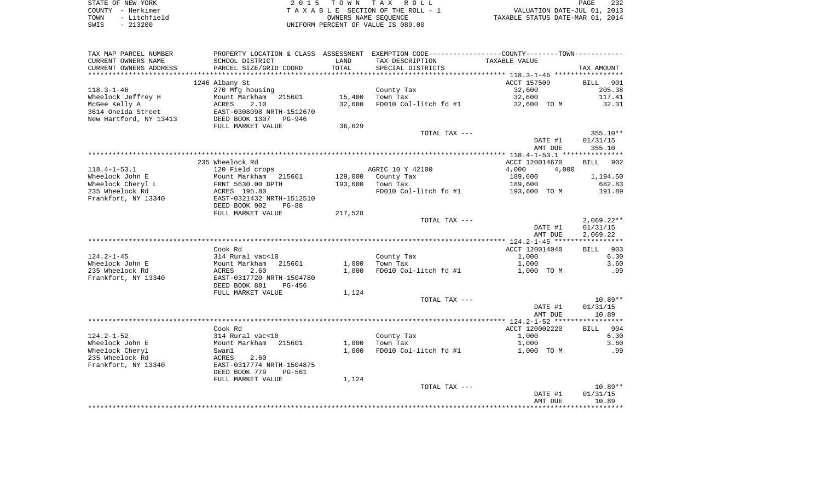| STATE OF NEW YORK    | 2015 TOWN TAX ROLL                 | 232<br>PAGE                      |
|----------------------|------------------------------------|----------------------------------|
| COUNTY - Herkimer    | TAXABLE SECTION OF THE ROLL - 1    | VALUATION DATE-JUL 01, 2013      |
| - Litchfield<br>TOWN | OWNERS NAME SEOUENCE               | TAXABLE STATUS DATE-MAR 01, 2014 |
| $-213200$<br>SWIS    | UNIFORM PERCENT OF VALUE IS 089.00 |                                  |

| TAX MAP PARCEL NUMBER  |                                |         | PROPERTY LOCATION & CLASS ASSESSMENT EXEMPTION CODE---------------COUNTY-------TOWN---------- |                     |                    |
|------------------------|--------------------------------|---------|-----------------------------------------------------------------------------------------------|---------------------|--------------------|
| CURRENT OWNERS NAME    | SCHOOL DISTRICT                | LAND    | TAX DESCRIPTION                                                                               | TAXABLE VALUE       |                    |
| CURRENT OWNERS ADDRESS | PARCEL SIZE/GRID COORD         | TOTAL   | SPECIAL DISTRICTS                                                                             |                     | TAX AMOUNT         |
|                        |                                |         |                                                                                               |                     |                    |
|                        | 1246 Albany St                 |         |                                                                                               | ACCT 157509         | BILL 901           |
| $118.3 - 1 - 46$       | 270 Mfg housing                |         | County Tax                                                                                    | 32,600              | 205.38             |
| Wheelock Jeffrey H     | Mount Markham 215601           | 15,400  | Town Tax                                                                                      | 32,600              | 117.41             |
| McGee Kelly A          | ACRES<br>2.10                  | 32,600  | FD010 Col-litch fd #1                                                                         | 32,600 TO M         | 32.31              |
| 3614 Oneida Street     | EAST-0308098 NRTH-1512670      |         |                                                                                               |                     |                    |
| New Hartford, NY 13413 | DEED BOOK 1307 PG-946          |         |                                                                                               |                     |                    |
|                        | FULL MARKET VALUE              | 36,629  |                                                                                               |                     |                    |
|                        |                                |         | TOTAL TAX ---                                                                                 |                     | $355.10**$         |
|                        |                                |         |                                                                                               | DATE #1             | 01/31/15           |
|                        |                                |         |                                                                                               | AMT DUE             | 355.10             |
|                        |                                |         |                                                                                               |                     |                    |
|                        | 235 Wheelock Rd                |         |                                                                                               | ACCT 120014670      | <b>BILL</b><br>902 |
| $118.4 - 1 - 53.1$     | 120 Field crops                |         | AGRIC 10 Y 42100                                                                              | 4,000<br>4,000      |                    |
| Wheelock John E        | Mount Markham 215601           | 129,000 | County Tax                                                                                    | 189,600             | 1,194.50           |
| Wheelock Cheryl L      | FRNT 5630.00 DPTH              | 193,600 | Town Tax                                                                                      | 189,600             | 682.83             |
| 235 Wheelock Rd        | ACRES 195.80                   |         | FD010 Col-litch fd #1                                                                         | 193,600 TO M        | 191.89             |
| Frankfort, NY 13340    | EAST-0321432 NRTH-1512510      |         |                                                                                               |                     |                    |
|                        | DEED BOOK 902<br>$PG-88$       |         |                                                                                               |                     |                    |
|                        | FULL MARKET VALUE              | 217,528 |                                                                                               |                     |                    |
|                        |                                |         | TOTAL TAX ---                                                                                 |                     | $2,069.22**$       |
|                        |                                |         |                                                                                               | DATE #1             | 01/31/15           |
|                        |                                |         |                                                                                               | AMT DUE             | 2,069.22           |
|                        |                                |         |                                                                                               |                     |                    |
|                        | Cook Rd                        |         |                                                                                               | ACCT 120014040      | 903<br>BILL        |
| $124.2 - 1 - 45$       | 314 Rural vac<10               |         | County Tax                                                                                    | 1,000               | 6.30               |
| Wheelock John E        | Mount Markham 215601           | 1,000   | Town Tax                                                                                      | 1,000               | 3.60               |
| 235 Wheelock Rd        | 2.60<br>ACRES                  | 1,000   | FD010 Col-litch fd #1                                                                         | 1,000 TO M          | .99                |
| Frankfort, NY 13340    | EAST-0317720 NRTH-1504780      |         |                                                                                               |                     |                    |
|                        | DEED BOOK 881<br>PG-456        |         |                                                                                               |                     |                    |
|                        | FULL MARKET VALUE              | 1,124   |                                                                                               |                     |                    |
|                        |                                |         | TOTAL TAX ---                                                                                 |                     | $10.89**$          |
|                        |                                |         |                                                                                               | DATE #1             | 01/31/15           |
|                        |                                |         |                                                                                               | AMT DUE             | 10.89              |
|                        | Cook Rd                        |         |                                                                                               | ACCT 120002220      | BILL 904           |
| $124.2 - 1 - 52$       | 314 Rural vac<10               |         |                                                                                               | 1,000               | 6.30               |
| Wheelock John E        | Mount Markham 215601           | 1,000   | County Tax<br>Town Tax                                                                        |                     | 3.60               |
| Wheelock Cheryl        | Swam1                          | 1,000   | FD010 Col-litch fd #1                                                                         | 1,000<br>1,000 TO M | .99                |
| 235 Wheelock Rd        | ACRES<br>2.60                  |         |                                                                                               |                     |                    |
| Frankfort, NY 13340    | EAST-0317774 NRTH-1504875      |         |                                                                                               |                     |                    |
|                        | DEED BOOK 779<br><b>PG-561</b> |         |                                                                                               |                     |                    |
|                        | FULL MARKET VALUE              | 1,124   |                                                                                               |                     |                    |
|                        |                                |         | TOTAL TAX ---                                                                                 |                     | $10.89**$          |
|                        |                                |         |                                                                                               | DATE #1             | 01/31/15           |
|                        |                                |         |                                                                                               | AMT DUE             | 10.89              |
|                        |                                |         |                                                                                               |                     |                    |
|                        |                                |         |                                                                                               |                     |                    |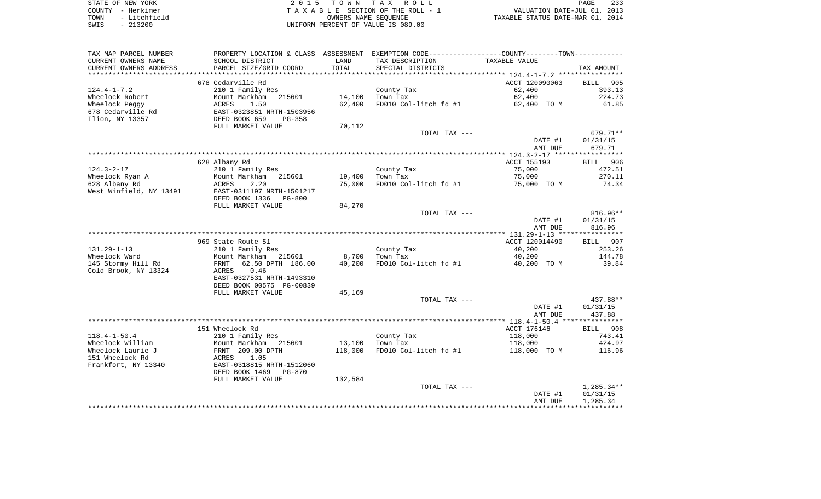| STATE OF NEW YORK    | 2015 TOWN TAX ROLL                 | 233<br>PAGE                      |
|----------------------|------------------------------------|----------------------------------|
| COUNTY - Herkimer    | TAXABLE SECTION OF THE ROLL - 1    | VALUATION DATE-JUL 01, 2013      |
| - Litchfield<br>TOWN | OWNERS NAME SEOUENCE               | TAXABLE STATUS DATE-MAR 01, 2014 |
| $-213200$<br>SWIS    | UNIFORM PERCENT OF VALUE IS 089.00 |                                  |

| TAX MAP PARCEL NUMBER   | PROPERTY LOCATION & CLASS ASSESSMENT EXEMPTION CODE---------------COUNTY--------TOWN---------- |         |                       |                |              |
|-------------------------|------------------------------------------------------------------------------------------------|---------|-----------------------|----------------|--------------|
| CURRENT OWNERS NAME     | SCHOOL DISTRICT                                                                                | LAND    | TAX DESCRIPTION       | TAXABLE VALUE  |              |
| CURRENT OWNERS ADDRESS  | PARCEL SIZE/GRID COORD                                                                         | TOTAL   | SPECIAL DISTRICTS     |                | TAX AMOUNT   |
| *******************     | ************************                                                                       |         |                       |                |              |
|                         | 678 Cedarville Rd                                                                              |         |                       | ACCT 120090063 | BILL 905     |
| $124.4 - 1 - 7.2$       | 210 1 Family Res                                                                               |         | County Tax            | 62,400         | 393.13       |
| Wheelock Robert         | Mount Markham<br>215601                                                                        | 14,100  | Town Tax              | 62,400         | 224.73       |
| Wheelock Peggy          | ACRES<br>1.50                                                                                  | 62,400  | FD010 Col-litch fd #1 | 62,400 TO M    | 61.85        |
| 678 Cedarville Rd       | EAST-0323851 NRTH-1503956                                                                      |         |                       |                |              |
| Ilion, NY 13357         | DEED BOOK 659<br>$PG-358$                                                                      |         |                       |                |              |
|                         | FULL MARKET VALUE                                                                              | 70,112  |                       |                |              |
|                         |                                                                                                |         | TOTAL TAX ---         |                | 679.71**     |
|                         |                                                                                                |         |                       | DATE #1        | 01/31/15     |
|                         |                                                                                                |         |                       | AMT DUE        | 679.71       |
|                         |                                                                                                |         |                       |                |              |
|                         | 628 Albany Rd                                                                                  |         |                       | ACCT 155193    | BILL 906     |
| $124.3 - 2 - 17$        | 210 1 Family Res                                                                               |         | County Tax            | 75,000         | 472.51       |
| Wheelock Ryan A         | Mount Markham<br>215601                                                                        | 19,400  | Town Tax              | 75,000         | 270.11       |
| 628 Albany Rd           | 2.20<br>ACRES                                                                                  | 75,000  | FD010 Col-litch fd #1 | 75,000 TO M    | 74.34        |
| West Winfield, NY 13491 | EAST-0311197 NRTH-1501217                                                                      |         |                       |                |              |
|                         | DEED BOOK 1336<br><b>PG-800</b>                                                                |         |                       |                |              |
|                         | FULL MARKET VALUE                                                                              | 84,270  |                       |                |              |
|                         |                                                                                                |         | TOTAL TAX ---         |                | $816.96**$   |
|                         |                                                                                                |         |                       | DATE #1        | 01/31/15     |
|                         |                                                                                                |         |                       | AMT DUE        | 816.96       |
|                         |                                                                                                |         |                       |                |              |
|                         | 969 State Route 51                                                                             |         |                       | ACCT 120014490 | BILL 907     |
| $131.29 - 1 - 13$       | 210 1 Family Res                                                                               |         | County Tax            | 40,200         | 253.26       |
| Wheelock Ward           | Mount Markham 215601                                                                           | 8,700   | Town Tax              | 40,200         | 144.78       |
| 145 Stormy Hill Rd      | 62.50 DPTH 186.00<br>FRNT                                                                      | 40,200  | FD010 Col-litch fd #1 | 40,200 TO M    | 39.84        |
| Cold Brook, NY 13324    | 0.46<br>ACRES                                                                                  |         |                       |                |              |
|                         | EAST-0327531 NRTH-1493310                                                                      |         |                       |                |              |
|                         | DEED BOOK 00575 PG-00839                                                                       |         |                       |                |              |
|                         | FULL MARKET VALUE                                                                              | 45,169  | TOTAL TAX ---         |                | 437.88**     |
|                         |                                                                                                |         |                       | DATE #1        | 01/31/15     |
|                         |                                                                                                |         |                       | AMT DUE        | 437.88       |
|                         |                                                                                                |         |                       |                |              |
|                         | 151 Wheelock Rd                                                                                |         |                       | ACCT 176146    | BILL 908     |
| $118.4 - 1 - 50.4$      | 210 1 Family Res                                                                               |         | County Tax            | 118,000        | 743.41       |
| Wheelock William        | Mount Markham<br>215601                                                                        | 13,100  | Town Tax              | 118,000        | 424.97       |
| Wheelock Laurie J       | FRNT 209.00 DPTH                                                                               | 118,000 | FD010 Col-litch fd #1 | 118,000 TO M   | 116.96       |
| 151 Wheelock Rd         | 1.05<br>ACRES                                                                                  |         |                       |                |              |
| Frankfort, NY 13340     | EAST-0318815 NRTH-1512060                                                                      |         |                       |                |              |
|                         | DEED BOOK 1469<br><b>PG-870</b>                                                                |         |                       |                |              |
|                         | FULL MARKET VALUE                                                                              | 132,584 |                       |                |              |
|                         |                                                                                                |         | TOTAL TAX ---         |                | $1,285.34**$ |
|                         |                                                                                                |         |                       | DATE #1        | 01/31/15     |
|                         |                                                                                                |         |                       | AMT DUE        | 1,285.34     |
|                         |                                                                                                |         |                       |                |              |
|                         |                                                                                                |         |                       |                |              |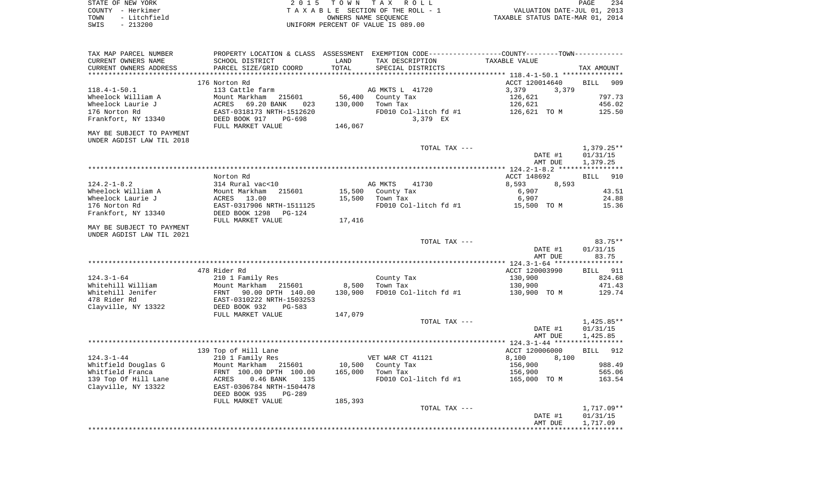| STATE OF NEW YORK    | 2015 TOWN TAX ROLL                 | 234<br>PAGE                      |
|----------------------|------------------------------------|----------------------------------|
| COUNTY – Herkimer    | TAXABLE SECTION OF THE ROLL - 1    | VALUATION DATE-JUL 01, 2013      |
| - Litchfield<br>TOWN | OWNERS NAME SEOUENCE               | TAXABLE STATUS DATE-MAR 01, 2014 |
| $-213200$<br>SWIS    | UNIFORM PERCENT OF VALUE IS 089.00 |                                  |

| TAX MAP PARCEL NUMBER<br>CURRENT OWNERS NAME<br>CURRENT OWNERS ADDRESS | PROPERTY LOCATION & CLASS ASSESSMENT EXEMPTION CODE---------------COUNTY--------TOWN----------<br>SCHOOL DISTRICT<br>PARCEL SIZE/GRID COORD | LAND<br>TOTAL | TAX DESCRIPTION<br>SPECIAL DISTRICTS | TAXABLE VALUE                         | TAX AMOUNT         |
|------------------------------------------------------------------------|---------------------------------------------------------------------------------------------------------------------------------------------|---------------|--------------------------------------|---------------------------------------|--------------------|
|                                                                        |                                                                                                                                             |               |                                      |                                       |                    |
|                                                                        | 176 Norton Rd                                                                                                                               |               |                                      | ACCT 120014640                        | <b>BILL</b><br>909 |
| $118.4 - 1 - 50.1$                                                     | 113 Cattle farm                                                                                                                             |               | AG MKTS L 41720                      | 3,379<br>3,379                        |                    |
| Wheelock William A                                                     | Mount Markham<br>215601                                                                                                                     | 56,400        | County Tax                           | 126,621                               | 797.73             |
| Wheelock Laurie J                                                      | 69.20 BANK<br>ACRES<br>023                                                                                                                  | 130,000       | Town Tax                             | 126,621                               | 456.02             |
| 176 Norton Rd                                                          | EAST-0318173 NRTH-1512620                                                                                                                   |               | FD010 Col-litch fd #1                | 126,621 TO M                          | 125.50             |
| Frankfort, NY 13340                                                    | DEED BOOK 917<br>PG-698                                                                                                                     |               | 3,379 EX                             |                                       |                    |
|                                                                        | FULL MARKET VALUE                                                                                                                           | 146,067       |                                      |                                       |                    |
| MAY BE SUBJECT TO PAYMENT                                              |                                                                                                                                             |               |                                      |                                       |                    |
| UNDER AGDIST LAW TIL 2018                                              |                                                                                                                                             |               |                                      |                                       |                    |
|                                                                        |                                                                                                                                             |               | TOTAL TAX ---                        |                                       | 1,379.25**         |
|                                                                        |                                                                                                                                             |               |                                      | DATE #1                               | 01/31/15           |
|                                                                        |                                                                                                                                             |               |                                      | AMT DUE                               | 1,379.25           |
|                                                                        |                                                                                                                                             |               |                                      |                                       |                    |
|                                                                        | Norton Rd                                                                                                                                   |               |                                      | ACCT 148692                           | <b>BILL</b><br>910 |
| $124.2 - 1 - 8.2$                                                      | 314 Rural vac<10                                                                                                                            |               | AG MKTS<br>41730                     | 8,593<br>8,593                        |                    |
| Wheelock William A                                                     | Mount Markham<br>ACRES 13.00<br>215601                                                                                                      | 15,500        | County Tax                           | 6,907                                 | 43.51              |
| Wheelock Laurie J                                                      |                                                                                                                                             | 15,500        | Town Tax                             | 6,907                                 | 24.88              |
| 176 Norton Rd                                                          | EAST-0317906 NRTH-1511125                                                                                                                   |               |                                      | FD010 Col-litch $fd$ #1 $15,500$ TO M | 15.36              |
| Frankfort, NY 13340                                                    | DEED BOOK 1298<br>PG-124                                                                                                                    |               |                                      |                                       |                    |
|                                                                        | FULL MARKET VALUE                                                                                                                           | 17,416        |                                      |                                       |                    |
| MAY BE SUBJECT TO PAYMENT                                              |                                                                                                                                             |               |                                      |                                       |                    |
| UNDER AGDIST LAW TIL 2021                                              |                                                                                                                                             |               |                                      |                                       |                    |
|                                                                        |                                                                                                                                             |               | TOTAL TAX ---                        |                                       | 83.75**            |
|                                                                        |                                                                                                                                             |               |                                      | DATE #1                               | 01/31/15           |
|                                                                        |                                                                                                                                             |               |                                      | AMT DUE                               | 83.75              |
|                                                                        |                                                                                                                                             |               |                                      |                                       |                    |
|                                                                        | 478 Rider Rd                                                                                                                                |               |                                      | ACCT 120003990                        | <b>BILL</b> 911    |
| $124.3 - 1 - 64$                                                       | 210 1 Family Res                                                                                                                            |               | County Tax                           | 130,900                               | 824.68             |
| Whitehill William                                                      | Mount Markham 215601                                                                                                                        | 8,500         | Town Tax                             | 130,900                               | 471.43             |
| Whitehill Jenifer                                                      | FRNT 90.00 DPTH 140.00<br>EAST-0310222 NRTH-1503253<br>DEED BOOK 932 PG-583                                                                 | 130,900       | FD010 Col-litch fd #1                | 130,900 TO M                          | 129.74             |
| 478 Rider Rd                                                           |                                                                                                                                             |               |                                      |                                       |                    |
| Clayville, NY 13322                                                    |                                                                                                                                             |               |                                      |                                       |                    |
|                                                                        | FULL MARKET VALUE                                                                                                                           | 147,079       |                                      |                                       |                    |
|                                                                        |                                                                                                                                             |               | TOTAL TAX ---                        |                                       | 1,425.85**         |
|                                                                        |                                                                                                                                             |               |                                      | DATE #1                               | 01/31/15           |
|                                                                        |                                                                                                                                             |               |                                      | AMT DUE                               | 1,425.85           |
|                                                                        |                                                                                                                                             |               |                                      |                                       |                    |
|                                                                        | 139 Top of Hill Lane                                                                                                                        |               |                                      | ACCT 120006000                        | BILL 912           |
| $124.3 - 1 - 44$                                                       | 210 1 Family Res                                                                                                                            |               | VET WAR CT 41121                     | 8,100<br>8,100                        |                    |
| Whitfield Douglas G                                                    | Mount Markham 215601                                                                                                                        | 10,500        | County Tax                           | 156,900                               | 988.49             |
| Whitfield Franca                                                       | FRNT 100.00 DPTH 100.00                                                                                                                     | 165,000       | Town Tax                             | 156,900                               | 565.06             |
| 139 Top Of Hill Lane                                                   | ACRES<br>$0.46$ BANK<br>135                                                                                                                 |               | FD010 Col-litch fd #1                | 165,000 TO M                          | 163.54             |
| Clayville, NY 13322                                                    | EAST-0306784 NRTH-1504478                                                                                                                   |               |                                      |                                       |                    |
|                                                                        | DEED BOOK 935<br>PG-289                                                                                                                     |               |                                      |                                       |                    |
|                                                                        | FULL MARKET VALUE                                                                                                                           | 185,393       |                                      |                                       |                    |
|                                                                        |                                                                                                                                             |               | TOTAL TAX ---                        |                                       | 1,717.09**         |
|                                                                        |                                                                                                                                             |               |                                      | DATE #1                               | 01/31/15           |
|                                                                        |                                                                                                                                             |               |                                      | AMT DUE                               | 1,717.09           |
|                                                                        |                                                                                                                                             |               |                                      |                                       |                    |
|                                                                        |                                                                                                                                             |               |                                      |                                       |                    |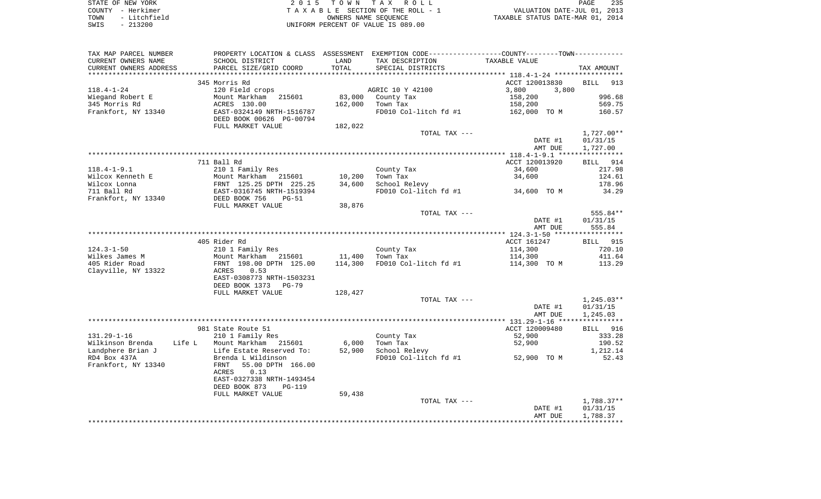| STATE OF NEW YORK    | 2015 TOWN TAX ROLL                 | 235<br>PAGE                      |
|----------------------|------------------------------------|----------------------------------|
| COUNTY - Herkimer    | TAXABLE SECTION OF THE ROLL - 1    | VALUATION DATE-JUL 01, 2013      |
| - Litchfield<br>TOWN | OWNERS NAME SEOUENCE               | TAXABLE STATUS DATE-MAR 01, 2014 |
| $-213200$<br>SWIS    | UNIFORM PERCENT OF VALUE IS 089.00 |                                  |

| TAX MAP PARCEL NUMBER  | PROPERTY LOCATION & CLASS ASSESSMENT EXEMPTION CODE---------------COUNTY-------TOWN---------- |         |                           |                |                    |
|------------------------|-----------------------------------------------------------------------------------------------|---------|---------------------------|----------------|--------------------|
| CURRENT OWNERS NAME    | SCHOOL DISTRICT                                                                               | LAND    | TAX DESCRIPTION           | TAXABLE VALUE  |                    |
| CURRENT OWNERS ADDRESS | PARCEL SIZE/GRID COORD                                                                        | TOTAL   | SPECIAL DISTRICTS         |                | TAX AMOUNT         |
|                        |                                                                                               |         |                           |                |                    |
|                        | 345 Morris Rd                                                                                 |         |                           | ACCT 120013830 | <b>BILL</b><br>913 |
| $118.4 - 1 - 24$       | 120 Field crops                                                                               |         | AGRIC 10 Y 42100          | 3,800<br>3,800 |                    |
| Wiegand Robert E       | Mount Markham<br>215601                                                                       | 83,000  | County Tax                | 158,200        | 996.68             |
| 345 Morris Rd          | ACRES 130.00                                                                                  | 162,000 | Town Tax                  | 158,200        | 569.75             |
| Frankfort, NY 13340    | EAST-0324149 NRTH-1516787<br>DEED BOOK 00626 PG-00794                                         |         | FD010 Col-litch fd #1     | 162,000 TO M   | 160.57             |
|                        | FULL MARKET VALUE                                                                             | 182,022 |                           |                |                    |
|                        |                                                                                               |         | TOTAL TAX ---             |                | $1,727.00**$       |
|                        |                                                                                               |         |                           | DATE #1        | 01/31/15           |
|                        |                                                                                               |         |                           | AMT DUE        | 1,727.00           |
|                        |                                                                                               |         |                           |                |                    |
|                        | 711 Ball Rd                                                                                   |         |                           | ACCT 120013920 | BILL 914           |
| $118.4 - 1 - 9.1$      | 210 1 Family Res                                                                              |         | County Tax                | 34,600         | 217.98             |
| Wilcox Kenneth E       | Mount Markham 215601                                                                          | 10,200  | Town Tax                  | 34,600         | 124.61             |
| Wilcox Lonna           | FRNT 125.25 DPTH 225.25                                                                       | 34,600  | School Relevy             |                | 178.96             |
| 711 Ball Rd            | EAST-0316745 NRTH-1519394                                                                     |         | FD010 Col-litch fd #1     | 34,600 TO M    | 34.29              |
| Frankfort, NY 13340    | DEED BOOK 756<br>$PG-51$                                                                      |         |                           |                |                    |
|                        | FULL MARKET VALUE                                                                             | 38,876  |                           |                |                    |
|                        |                                                                                               |         | TOTAL TAX ---             |                | 555.84**           |
|                        |                                                                                               |         |                           | DATE #1        | 01/31/15           |
|                        |                                                                                               |         |                           | AMT DUE        | 555.84             |
|                        |                                                                                               |         |                           |                |                    |
|                        | 405 Rider Rd                                                                                  |         |                           | ACCT 161247    | BILL 915           |
| $124.3 - 1 - 50$       | 210 1 Family Res                                                                              |         | County Tax                | 114,300        | 720.10             |
| Wilkes James M         | Mount Markham 215601                                                                          | 11,400  | Town Tax                  | 114,300        | 411.64             |
| 405 Rider Road         | FRNT 198.00 DPTH 125.00                                                                       | 114,300 | FD010 Col-litch fd #1     | 114,300 TO M   | 113.29             |
| Clayville, NY 13322    | ACRES<br>0.53                                                                                 |         |                           |                |                    |
|                        | EAST-0308773 NRTH-1503231                                                                     |         |                           |                |                    |
|                        | DEED BOOK 1373<br><b>PG-79</b>                                                                |         |                           |                |                    |
|                        | FULL MARKET VALUE                                                                             | 128,427 |                           |                |                    |
|                        |                                                                                               |         | TOTAL TAX ---             |                | 1,245.03**         |
|                        |                                                                                               |         |                           | DATE #1        | 01/31/15           |
|                        |                                                                                               |         |                           | AMT DUE        | 1,245.03           |
|                        | 981 State Route 51                                                                            |         |                           | ACCT 120009480 | BILL 916           |
| $131.29 - 1 - 16$      | 210 1 Family Res                                                                              |         |                           | 52,900         | 333.28             |
| Wilkinson Brenda       | Life L<br>Mount Markham 215601                                                                | 6,000   | County Tax                |                | 190.52             |
| Landphere Brian J      | Life Estate Reserved To:                                                                      | 52,900  | Town Tax<br>School Relevy | 52,900         | 1,212.14           |
| RD4 Box 437A           | Brenda L Wildinson                                                                            |         | FD010 Col-litch fd #1     | 52,900 TO M    | 52.43              |
| Frankfort, NY 13340    | 55.00 DPTH 166.00<br>FRNT                                                                     |         |                           |                |                    |
|                        | ACRES<br>0.13                                                                                 |         |                           |                |                    |
|                        | EAST-0327338 NRTH-1493454                                                                     |         |                           |                |                    |
|                        | DEED BOOK 873<br>$PG-119$                                                                     |         |                           |                |                    |
|                        | FULL MARKET VALUE                                                                             | 59,438  |                           |                |                    |
|                        |                                                                                               |         | TOTAL TAX ---             |                | 1,788.37**         |
|                        |                                                                                               |         |                           | DATE #1        | 01/31/15           |
|                        |                                                                                               |         |                           | AMT DUE        | 1,788.37           |
|                        |                                                                                               |         |                           |                |                    |
|                        |                                                                                               |         |                           |                |                    |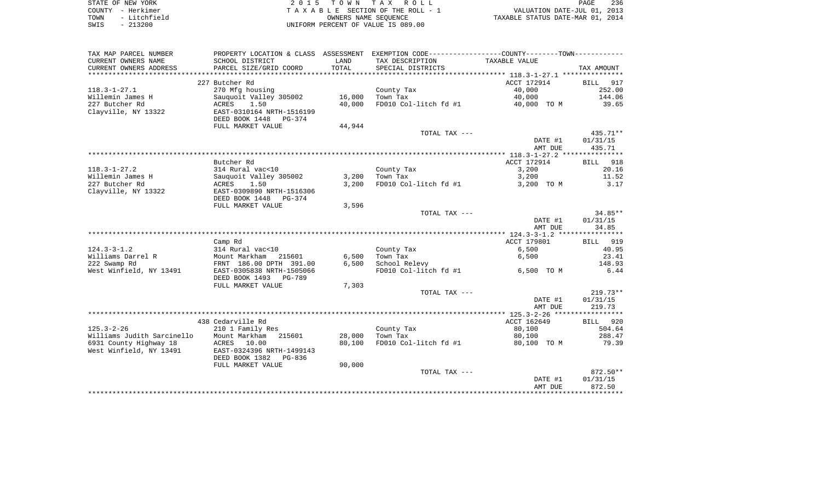| STATE OF NEW YORK    | 2015 TOWN TAX ROLL                 | 236<br>PAGE                      |
|----------------------|------------------------------------|----------------------------------|
| COUNTY - Herkimer    | TAXABLE SECTION OF THE ROLL - 1    | VALUATION DATE-JUL 01, 2013      |
| - Litchfield<br>TOWN | OWNERS NAME SEOUENCE               | TAXABLE STATUS DATE-MAR 01, 2014 |
| SWIS<br>$-213200$    | UNIFORM PERCENT OF VALUE IS 089.00 |                                  |

| TAX MAP PARCEL NUMBER      | PROPERTY LOCATION & CLASS ASSESSMENT                  |        | EXEMPTION CODE-----------------COUNTY-------TOWN----------- |                                                        |                    |
|----------------------------|-------------------------------------------------------|--------|-------------------------------------------------------------|--------------------------------------------------------|--------------------|
| CURRENT OWNERS NAME        | SCHOOL DISTRICT                                       | LAND   | TAX DESCRIPTION                                             | TAXABLE VALUE                                          |                    |
| CURRENT OWNERS ADDRESS     | PARCEL SIZE/GRID COORD                                | TOTAL  | SPECIAL DISTRICTS                                           |                                                        | TAX AMOUNT         |
|                            |                                                       |        |                                                             |                                                        |                    |
|                            | 227 Butcher Rd                                        |        |                                                             | ACCT 172914                                            | 917<br>BILL        |
| $118.3 - 1 - 27.1$         | 270 Mfg housing                                       |        | County Tax                                                  | 40,000                                                 | 252.00             |
| Willemin James H           | Sauquoit Valley 305002                                | 16,000 | Town Tax                                                    | 40,000                                                 | 144.06             |
| 227 Butcher Rd             | ACRES<br>1.50                                         | 40,000 | FD010 Col-litch fd #1                                       | 40,000 TO M                                            | 39.65              |
| Clayville, NY 13322        | EAST-0310164 NRTH-1516199                             |        |                                                             |                                                        |                    |
|                            | DEED BOOK 1448<br>PG-374                              |        |                                                             |                                                        |                    |
|                            | FULL MARKET VALUE                                     | 44,944 |                                                             |                                                        |                    |
|                            |                                                       |        | TOTAL TAX ---                                               |                                                        | 435.71**           |
|                            |                                                       |        |                                                             | DATE #1                                                | 01/31/15           |
|                            |                                                       |        | ***************************                                 | AMT DUE<br>************* 118.3-1-27.2 **************** | 435.71             |
|                            | Butcher Rd                                            |        |                                                             | ACCT 172914                                            | <b>BILL</b><br>918 |
| $118.3 - 1 - 27.2$         | 314 Rural vac<10                                      |        | County Tax                                                  | 3,200                                                  | 20.16              |
| Willemin James H           | Sauquoit Valley 305002                                | 3,200  | Town Tax                                                    | 3,200                                                  | 11.52              |
| 227 Butcher Rd             | 1.50<br>ACRES                                         | 3,200  | FD010 Col-litch fd #1                                       | 3,200 TO M                                             | 3.17               |
| Clayville, NY 13322        | EAST-0309890 NRTH-1516306                             |        |                                                             |                                                        |                    |
|                            | DEED BOOK 1448<br>PG-374                              |        |                                                             |                                                        |                    |
|                            | FULL MARKET VALUE                                     | 3,596  |                                                             |                                                        |                    |
|                            |                                                       |        | TOTAL TAX ---                                               |                                                        | $34.85**$          |
|                            |                                                       |        |                                                             | DATE #1                                                | 01/31/15           |
|                            |                                                       |        |                                                             | AMT DUE                                                | 34.85              |
|                            |                                                       |        |                                                             |                                                        |                    |
|                            | Camp Rd                                               |        |                                                             | ACCT 179801                                            | 919<br>BILL        |
| $124.3 - 3 - 1.2$          | 314 Rural vac<10                                      |        | County Tax                                                  | 6,500                                                  | 40.95              |
| Williams Darrel R          | Mount Markham<br>215601                               | 6,500  | Town Tax                                                    | 6,500                                                  | 23.41              |
| 222 Swamp Rd               | FRNT 186.00 DPTH 391.00                               | 6,500  | School Relevy                                               |                                                        | 148.93             |
| West Winfield, NY 13491    | EAST-0305838 NRTH-1505066<br>DEED BOOK 1493<br>PG-789 |        | FD010 Col-litch fd #1                                       | 6,500 TO M                                             | 6.44               |
|                            | FULL MARKET VALUE                                     | 7,303  |                                                             |                                                        |                    |
|                            |                                                       |        | TOTAL TAX ---                                               |                                                        | $219.73**$         |
|                            |                                                       |        |                                                             | DATE #1                                                | 01/31/15           |
|                            |                                                       |        |                                                             | AMT DUE                                                | 219.73             |
|                            |                                                       |        |                                                             |                                                        |                    |
|                            | 438 Cedarville Rd                                     |        |                                                             | ACCT 162649                                            | 920<br>BILL        |
| $125.3 - 2 - 26$           | 210 1 Family Res                                      |        | County Tax                                                  | 80,100                                                 | 504.64             |
| Williams Judith Sarcinello | Mount Markham<br>215601                               | 28,000 | Town Tax                                                    | 80,100                                                 | 288.47             |
| 6931 County Highway 18     | <b>ACRES</b><br>10.00                                 | 80,100 | FD010 Col-litch fd #1                                       | 80,100 TO M                                            | 79.39              |
| West Winfield, NY 13491    | EAST-0324396 NRTH-1499143                             |        |                                                             |                                                        |                    |
|                            | DEED BOOK 1382<br>PG-836                              |        |                                                             |                                                        |                    |
|                            | FULL MARKET VALUE                                     | 90,000 |                                                             |                                                        |                    |
|                            |                                                       |        | TOTAL TAX ---                                               |                                                        | $872.50**$         |
|                            |                                                       |        |                                                             | DATE #1                                                | 01/31/15           |
|                            |                                                       |        |                                                             | AMT DUE                                                | 872.50             |
|                            |                                                       |        |                                                             |                                                        |                    |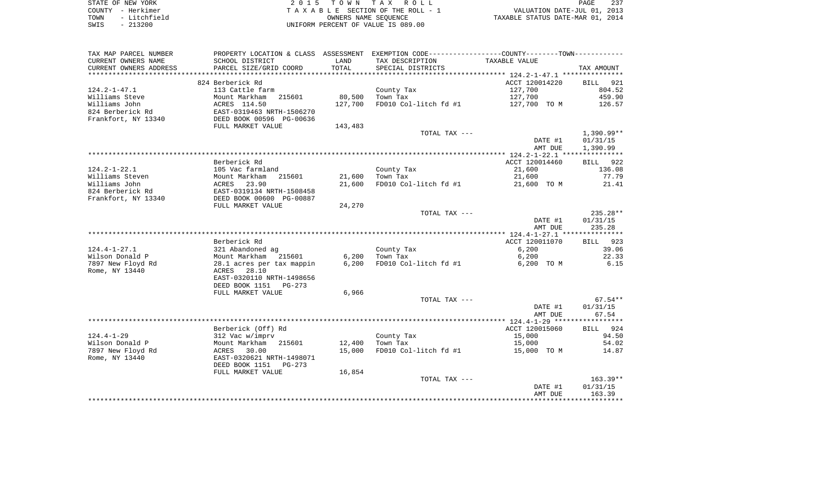| STATE OF NEW YORK    | 2015 TOWN TAX ROLL                 | 237<br>PAGE                      |
|----------------------|------------------------------------|----------------------------------|
| COUNTY - Herkimer    | TAXABLE SECTION OF THE ROLL - 1    | VALUATION DATE-JUL 01, 2013      |
| - Litchfield<br>TOWN | OWNERS NAME SEOUENCE               | TAXABLE STATUS DATE-MAR 01, 2014 |
| $-213200$<br>SWIS    | UNIFORM PERCENT OF VALUE IS 089.00 |                                  |

| TAX MAP PARCEL NUMBER                         |                                               |               | PROPERTY LOCATION & CLASS ASSESSMENT EXEMPTION CODE---------------COUNTY-------TOWN---------- |                  |                   |
|-----------------------------------------------|-----------------------------------------------|---------------|-----------------------------------------------------------------------------------------------|------------------|-------------------|
| CURRENT OWNERS NAME<br>CURRENT OWNERS ADDRESS | SCHOOL DISTRICT<br>PARCEL SIZE/GRID COORD     | LAND<br>TOTAL | TAX DESCRIPTION<br>SPECIAL DISTRICTS                                                          | TAXABLE VALUE    | TAX AMOUNT        |
|                                               |                                               |               |                                                                                               |                  |                   |
|                                               | 824 Berberick Rd                              |               |                                                                                               | ACCT 120014220   | 921<br>BILL       |
| $124.2 - 1 - 47.1$                            | 113 Cattle farm                               |               | County Tax                                                                                    | 127,700          | 804.52            |
| Williams Steve                                | 215601<br>Mount Markham                       | 80,500        | Town Tax                                                                                      | 127,700          | 459.90            |
| Williams John                                 | ACRES 114.50                                  | 127,700       | FD010 Col-litch fd #1                                                                         | 127,700 TO M     | 126.57            |
| 824 Berberick Rd                              | EAST-0319463 NRTH-1506270                     |               |                                                                                               |                  |                   |
| Frankfort, NY 13340                           | DEED BOOK 00596 PG-00636<br>FULL MARKET VALUE |               |                                                                                               |                  |                   |
|                                               |                                               | 143,483       | TOTAL TAX ---                                                                                 |                  | 1,390.99**        |
|                                               |                                               |               |                                                                                               | DATE #1          | 01/31/15          |
|                                               |                                               |               |                                                                                               | AMT DUE          | 1,390.99          |
|                                               |                                               |               |                                                                                               |                  |                   |
|                                               | Berberick Rd                                  |               |                                                                                               | ACCT 120014460   | BILL 922          |
| $124.2 - 1 - 22.1$                            | 105 Vac farmland                              |               | County Tax                                                                                    | 21,600           | 136.08            |
| Williams Steven                               | Mount Markham<br>215601                       | 21,600        | Town Tax                                                                                      | 21,600           | 77.79             |
| Williams John                                 | 23.90<br>ACRES                                | 21,600        | FD010 Col-litch fd #1                                                                         | 21,600 TO M      | 21.41             |
| 824 Berberick Rd                              | EAST-0319134 NRTH-1508458                     |               |                                                                                               |                  |                   |
| Frankfort, NY 13340                           | DEED BOOK 00600 PG-00887                      |               |                                                                                               |                  |                   |
|                                               | FULL MARKET VALUE                             | 24,270        |                                                                                               |                  |                   |
|                                               |                                               |               | TOTAL TAX ---                                                                                 |                  | 235.28**          |
|                                               |                                               |               |                                                                                               | DATE #1          | 01/31/15          |
|                                               |                                               |               |                                                                                               | AMT DUE          | 235.28            |
|                                               |                                               |               |                                                                                               |                  |                   |
|                                               | Berberick Rd                                  |               |                                                                                               | ACCT 120011070   | BILL 923          |
| $124.4 - 1 - 27.1$                            | 321 Abandoned ag                              |               | County Tax                                                                                    | 6,200            | 39.06             |
| Wilson Donald P                               | Mount Markham<br>215601                       | 6,200         | Town Tax                                                                                      | 6,200            | 22.33             |
| 7897 New Floyd Rd                             | 28.1 acres per tax mappin                     | 6,200         | FD010 Col-litch fd #1                                                                         | 6,200 TO M       | 6.15              |
| Rome, NY 13440                                | 28.10<br>ACRES                                |               |                                                                                               |                  |                   |
|                                               | EAST-0320110 NRTH-1498656                     |               |                                                                                               |                  |                   |
|                                               | DEED BOOK 1151<br>$PG-273$                    |               |                                                                                               |                  |                   |
|                                               | FULL MARKET VALUE                             | 6,966         |                                                                                               |                  |                   |
|                                               |                                               |               | TOTAL TAX ---                                                                                 |                  | $67.54**$         |
|                                               |                                               |               |                                                                                               | DATE #1          | 01/31/15          |
|                                               |                                               |               |                                                                                               | AMT DUE          | 67.54             |
|                                               |                                               |               |                                                                                               |                  |                   |
|                                               | Berberick (Off) Rd                            |               |                                                                                               | ACCT 120015060   | BILL 924<br>94.50 |
| $124.4 - 1 - 29$<br>Wilson Donald P           | 312 Vac w/imprv<br>Mount Markham<br>215601    | 12,400        | County Tax<br>Town Tax                                                                        | 15,000<br>15,000 | 54.02             |
| 7897 New Floyd Rd                             | ACRES<br>30.00                                | 15,000        | FD010 Col-litch fd #1                                                                         | 15,000 TO M      | 14.87             |
| Rome, NY 13440                                | EAST-0320621 NRTH-1498071                     |               |                                                                                               |                  |                   |
|                                               | DEED BOOK 1151<br>PG-273                      |               |                                                                                               |                  |                   |
|                                               | FULL MARKET VALUE                             | 16,854        |                                                                                               |                  |                   |
|                                               |                                               |               | TOTAL TAX ---                                                                                 |                  | $163.39**$        |
|                                               |                                               |               |                                                                                               | DATE #1          | 01/31/15          |
|                                               |                                               |               |                                                                                               | AMT DUE          | 163.39            |
|                                               |                                               |               |                                                                                               |                  |                   |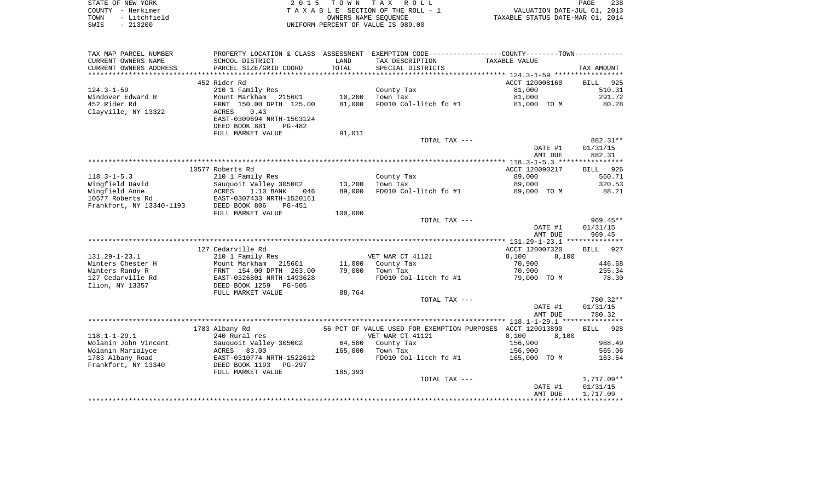| STATE OF NEW YORK    | 2015 TOWN TAX ROLL                 | 238<br>PAGE                      |
|----------------------|------------------------------------|----------------------------------|
| COUNTY - Herkimer    | TAXABLE SECTION OF THE ROLL - 1    | VALUATION DATE-JUL 01, 2013      |
| - Litchfield<br>TOWN | OWNERS NAME SEOUENCE               | TAXABLE STATUS DATE-MAR 01, 2014 |
| $-213200$<br>SWIS    | UNIFORM PERCENT OF VALUE IS 089.00 |                                  |

| TAX MAP PARCEL NUMBER    | PROPERTY LOCATION & CLASS ASSESSMENT |         | EXEMPTION CODE----------------COUNTY-------TOWN----------  |                |                    |
|--------------------------|--------------------------------------|---------|------------------------------------------------------------|----------------|--------------------|
| CURRENT OWNERS NAME      | SCHOOL DISTRICT                      | LAND    | TAX DESCRIPTION                                            | TAXABLE VALUE  |                    |
| CURRENT OWNERS ADDRESS   | PARCEL SIZE/GRID COORD               | TOTAL   | SPECIAL DISTRICTS                                          |                | TAX AMOUNT         |
| ************************ |                                      |         |                                                            |                |                    |
|                          | 452 Rider Rd                         |         |                                                            | ACCT 120008160 | 925<br><b>BILL</b> |
| $124.3 - 1 - 59$         | 210 1 Family Res                     |         | County Tax                                                 | 81,000         | 510.31             |
| Windover Edward R        | Mount Markham 215601                 | 10,200  | Town Tax                                                   | 81,000         | 291.72             |
| 452 Rider Rd             | FRNT 150.00 DPTH 125.00              | 81,000  | FD010 Col-litch fd #1                                      | 81,000 TO M    | 80.28              |
| Clayville, NY 13322      | 0.43<br>ACRES                        |         |                                                            |                |                    |
|                          | EAST-0309694 NRTH-1503124            |         |                                                            |                |                    |
|                          | DEED BOOK 881<br>PG-482              |         |                                                            |                |                    |
|                          | FULL MARKET VALUE                    | 91,011  |                                                            |                |                    |
|                          |                                      |         | TOTAL TAX ---                                              |                | 882.31**           |
|                          |                                      |         |                                                            | DATE #1        | 01/31/15           |
|                          |                                      |         |                                                            | AMT DUE        | 882.31             |
|                          |                                      |         |                                                            |                |                    |
|                          | 10577 Roberts Rd                     |         |                                                            | ACCT 120090217 | 926<br><b>BILL</b> |
| $118.3 - 1 - 5.3$        | 210 1 Family Res                     |         | County Tax                                                 | 89,000         | 560.71             |
| Wingfield David          | Sauguoit Valley 305002               | 13,200  | Town Tax                                                   | 89,000         | 320.53             |
| Wingfield Anne           | ACRES<br>1.10 BANK<br>046            | 89,000  | FD010 Col-litch fd #1                                      | 89,000 TO M    | 88.21              |
| 10577 Roberts Rd         | EAST-0307433 NRTH-1520161            |         |                                                            |                |                    |
| Frankfort, NY 13340-1193 | DEED BOOK 806<br>$PG-451$            |         |                                                            |                |                    |
|                          | FULL MARKET VALUE                    | 100,000 |                                                            |                |                    |
|                          |                                      |         | TOTAL TAX ---                                              |                | $969.45**$         |
|                          |                                      |         |                                                            | DATE #1        | 01/31/15           |
|                          |                                      |         |                                                            | AMT DUE        | 969.45             |
|                          |                                      |         |                                                            |                |                    |
|                          | 127 Cedarville Rd                    |         |                                                            | ACCT 120007320 | BILL 927           |
| $131.29 - 1 - 23.1$      | 210 1 Family Res                     |         | VET WAR CT 41121                                           | 8,100<br>8,100 |                    |
| Winters Chester H        | Mount Markham 215601                 | 11,000  | County Tax                                                 | 70,900         | 446.68             |
| Winters Randy R          | FRNT 154.00 DPTH 263.00              | 79,000  | Town Tax                                                   | 70,900         | 255.34             |
| 127 Cedarville Rd        | EAST-0326801 NRTH-1493628            |         | FD010 Col-litch fd #1                                      | 79,000 TO M    | 78.30              |
| Ilion, NY 13357          | DEED BOOK 1259<br>$PG-505$           |         |                                                            |                |                    |
|                          | FULL MARKET VALUE                    | 88,764  |                                                            |                |                    |
|                          |                                      |         | TOTAL TAX ---                                              |                | 780.32**           |
|                          |                                      |         |                                                            | DATE #1        | 01/31/15           |
|                          |                                      |         |                                                            | AMT DUE        | 780.32             |
|                          |                                      |         |                                                            |                |                    |
|                          | 1783 Albany Rd                       |         | 56 PCT OF VALUE USED FOR EXEMPTION PURPOSES ACCT 120013890 |                | 928<br>BILL        |
| $118.1 - 1 - 29.1$       | 240 Rural res                        |         | VET WAR CT 41121                                           | 8,100<br>8.100 |                    |
| Wolanin John Vincent     | Sauquoit Valley 305002               | 64,500  | County Tax                                                 | 156,900        | 988.49             |
| Wolanin Marialyce        | ACRES<br>83.00                       | 165,000 | Town Tax                                                   | 156,900        | 565.06             |
| 1783 Albany Road         | EAST-0310774 NRTH-1522612            |         | FD010 Col-litch fd #1                                      | 165,000 TO M   | 163.54             |
| Frankfort, NY 13340      | DEED BOOK 1193<br>PG-297             |         |                                                            |                |                    |
|                          | FULL MARKET VALUE                    | 185,393 |                                                            |                |                    |
|                          |                                      |         | TOTAL TAX ---                                              |                | 1,717.09**         |
|                          |                                      |         |                                                            | DATE #1        | 01/31/15           |
|                          |                                      |         |                                                            | AMT DUE        | 1,717.09           |
|                          |                                      |         |                                                            |                |                    |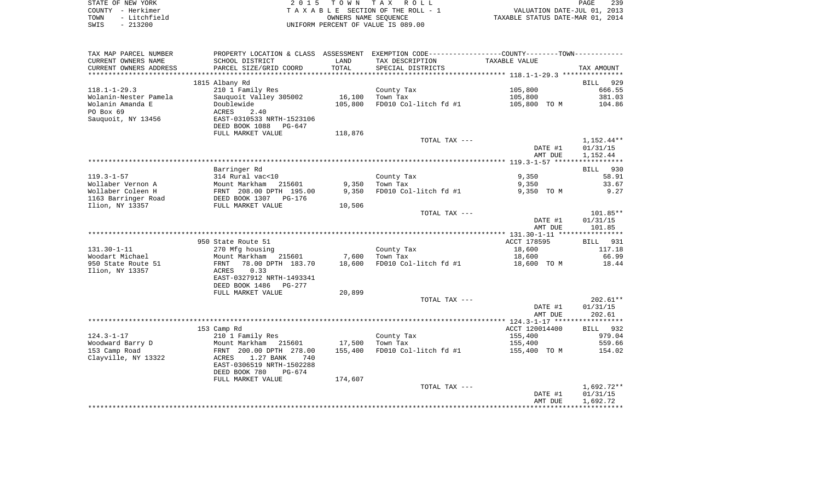|      | STATE OF NEW YORK | 2015 TOWN TAX ROLL                 | 239<br>PAGE                      |
|------|-------------------|------------------------------------|----------------------------------|
|      | COUNTY - Herkimer | TAXABLE SECTION OF THE ROLL - 1    | VALUATION DATE-JUL 01, 2013      |
| TOWN | - Litchfield      | OWNERS NAME SEOUENCE               | TAXABLE STATUS DATE-MAR 01, 2014 |
| SWIS | $-213200$         | UNIFORM PERCENT OF VALUE IS 089.00 |                                  |

| TAX MAP PARCEL NUMBER   | PROPERTY LOCATION & CLASS ASSESSMENT EXEMPTION CODE---------------COUNTY-------TOWN---------- |         |                       |                |                      |
|-------------------------|-----------------------------------------------------------------------------------------------|---------|-----------------------|----------------|----------------------|
| CURRENT OWNERS NAME     | SCHOOL DISTRICT                                                                               | LAND    | TAX DESCRIPTION       | TAXABLE VALUE  |                      |
| CURRENT OWNERS ADDRESS  | PARCEL SIZE/GRID COORD                                                                        | TOTAL   | SPECIAL DISTRICTS     |                | TAX AMOUNT           |
| *********************** | ****************************                                                                  |         |                       |                |                      |
|                         | 1815 Albany Rd                                                                                |         |                       |                | BILL 929             |
| $118.1 - 1 - 29.3$      | 210 1 Family Res                                                                              |         | County Tax            | 105,800        | 666.55               |
| Wolanin-Nester Pamela   | Sauquoit Valley 305002                                                                        | 16,100  | Town Tax              | 105,800        | 381.03               |
| Wolanin Amanda E        | Doublewide                                                                                    | 105,800 | FD010 Col-litch fd #1 | 105,800 TO M   | 104.86               |
| PO Box 69               | ACRES<br>2.40                                                                                 |         |                       |                |                      |
| Sauquoit, NY 13456      | EAST-0310533 NRTH-1523106                                                                     |         |                       |                |                      |
|                         | DEED BOOK 1088<br>PG-647                                                                      |         |                       |                |                      |
|                         | FULL MARKET VALUE                                                                             | 118,876 |                       |                |                      |
|                         |                                                                                               |         | TOTAL TAX ---         |                | 1,152.44**           |
|                         |                                                                                               |         |                       | DATE #1        | 01/31/15             |
|                         |                                                                                               |         |                       | AMT DUE        | 1,152.44             |
|                         |                                                                                               |         |                       |                |                      |
|                         | Barringer Rd                                                                                  |         |                       |                | BILL<br>930          |
| $119.3 - 1 - 57$        | 314 Rural vac<10                                                                              |         | County Tax            | 9,350          | 58.91                |
| Wollaber Vernon A       | Mount Markham<br>215601                                                                       | 9,350   | Town Tax              | 9,350          | 33.67                |
| Wollaber Coleen H       | FRNT 208.00 DPTH 195.00                                                                       | 9,350   | FD010 Col-litch fd #1 | 9,350 TO M     | 9.27                 |
| 1163 Barringer Road     | DEED BOOK 1307<br>PG-176                                                                      |         |                       |                |                      |
| Ilion, NY 13357         | FULL MARKET VALUE                                                                             | 10,506  |                       |                |                      |
|                         |                                                                                               |         | TOTAL TAX ---         |                | 101.85**             |
|                         |                                                                                               |         |                       | DATE #1        | 01/31/15             |
|                         |                                                                                               |         |                       | AMT DUE        | 101.85               |
|                         |                                                                                               |         |                       |                |                      |
|                         | 950 State Route 51                                                                            |         |                       | ACCT 178595    | BILL 931             |
| $131.30 - 1 - 11$       | 270 Mfg housing                                                                               |         | County Tax            | 18,600         | 117.18               |
| Woodart Michael         | Mount Markham<br>215601                                                                       | 7,600   | Town Tax              | 18,600         | 66.99                |
| 950 State Route 51      | 78.00 DPTH 183.70<br>FRNT                                                                     | 18,600  | FD010 Col-litch fd #1 | 18,600 TO M    | 18.44                |
| Ilion, NY 13357         | 0.33<br>ACRES                                                                                 |         |                       |                |                      |
|                         | EAST-0327912 NRTH-1493341                                                                     |         |                       |                |                      |
|                         | DEED BOOK 1486<br>PG-277                                                                      |         |                       |                |                      |
|                         | FULL MARKET VALUE                                                                             | 20,899  |                       |                |                      |
|                         |                                                                                               |         | TOTAL TAX ---         |                | $202.61**$           |
|                         |                                                                                               |         |                       | DATE #1        | 01/31/15             |
|                         |                                                                                               |         |                       | AMT DUE        | 202.61               |
|                         |                                                                                               |         |                       |                |                      |
|                         | 153 Camp Rd                                                                                   |         |                       | ACCT 120014400 | BILL 932             |
| $124.3 - 1 - 17$        | 210 1 Family Res                                                                              |         | County Tax            | 155,400        | 979.04               |
| Woodward Barry D        | Mount Markham<br>215601                                                                       | 17,500  | Town Tax              | 155,400        | 559.66               |
| 153 Camp Road           | FRNT 200.00 DPTH 278.00                                                                       | 155,400 | FD010 Col-litch fd #1 | 155,400 TO M   | 154.02               |
| Clayville, NY 13322     | 1.27 BANK<br>ACRES<br>740                                                                     |         |                       |                |                      |
|                         | EAST-0306519 NRTH-1502288                                                                     |         |                       |                |                      |
|                         | DEED BOOK 780<br>PG-674                                                                       |         |                       |                |                      |
|                         | FULL MARKET VALUE                                                                             | 174,607 |                       |                |                      |
|                         |                                                                                               |         | TOTAL TAX ---         | DATE #1        | 1,692.72**           |
|                         |                                                                                               |         |                       | AMT DUE        | 01/31/15<br>1,692.72 |
|                         |                                                                                               |         |                       |                |                      |
|                         |                                                                                               |         |                       |                |                      |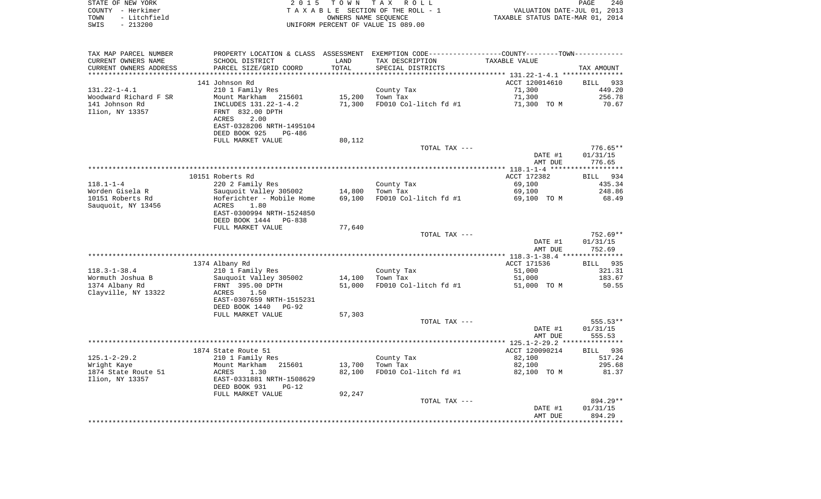|      | STATE OF NEW YORK | 2015 TOWN TAX ROLL                 | PAGE                             | 240 |
|------|-------------------|------------------------------------|----------------------------------|-----|
|      | COUNTY - Herkimer | TAXABLE SECTION OF THE ROLL - 1    | VALUATION DATE-JUL 01, 2013      |     |
| TOWN | - Litchfield      | OWNERS NAME SEOUENCE               | TAXABLE STATUS DATE-MAR 01, 2014 |     |
| SWIS | - 213200          | UNIFORM PERCENT OF VALUE IS 089.00 |                                  |     |

| TAX MAP PARCEL NUMBER  | PROPERTY LOCATION & CLASS | ASSESSMENT | EXEMPTION CODE-----------------COUNTY-------TOWN----------- |                |                    |
|------------------------|---------------------------|------------|-------------------------------------------------------------|----------------|--------------------|
| CURRENT OWNERS NAME    | SCHOOL DISTRICT           | LAND       | TAX DESCRIPTION                                             | TAXABLE VALUE  |                    |
| CURRENT OWNERS ADDRESS | PARCEL SIZE/GRID COORD    | TOTAL      | SPECIAL DISTRICTS                                           |                | TAX AMOUNT         |
| ********************** |                           |            |                                                             |                |                    |
|                        | 141 Johnson Rd            |            |                                                             | ACCT 120014610 | BILL<br>933        |
| $131.22 - 1 - 4.1$     | 210 1 Family Res          |            | County Tax                                                  | 71,300         | 449.20             |
| Woodward Richard F SR  | Mount Markham<br>215601   | 15,200     | Town Tax                                                    | 71,300         | 256.78             |
| 141 Johnson Rd         | INCLUDES 131.22-1-4.2     | 71,300     | FD010 Col-litch fd #1                                       | 71,300 TO M    | 70.67              |
|                        |                           |            |                                                             |                |                    |
| Ilion, NY 13357        | FRNT 832.00 DPTH          |            |                                                             |                |                    |
|                        | 2.00<br>ACRES             |            |                                                             |                |                    |
|                        | EAST-0328206 NRTH-1495104 |            |                                                             |                |                    |
|                        | DEED BOOK 925<br>$PG-486$ |            |                                                             |                |                    |
|                        | FULL MARKET VALUE         | 80,112     |                                                             |                |                    |
|                        |                           |            | TOTAL TAX ---                                               |                | $776.65**$         |
|                        |                           |            |                                                             | DATE #1        | 01/31/15           |
|                        |                           |            |                                                             | AMT DUE        | 776.65             |
|                        |                           |            |                                                             |                | ****************** |
|                        | 10151 Roberts Rd          |            |                                                             | ACCT 172382    | 934<br>BILL        |
| $118.1 - 1 - 4$        | 220 2 Family Res          |            | County Tax                                                  | 69,100         | 435.34             |
| Worden Gisela R        | Sauquoit Valley 305002    | 14,800     | Town Tax                                                    | 69,100         | 248.86             |
| 10151 Roberts Rd       | Hoferichter - Mobile Home | 69,100     | FD010 Col-litch fd #1                                       | 69,100 TO M    | 68.49              |
| Sauguoit, NY 13456     | <b>ACRES</b><br>1.80      |            |                                                             |                |                    |
|                        | EAST-0300994 NRTH-1524850 |            |                                                             |                |                    |
|                        | DEED BOOK 1444<br>PG-838  |            |                                                             |                |                    |
|                        |                           |            |                                                             |                |                    |
|                        | FULL MARKET VALUE         | 77,640     |                                                             |                |                    |
|                        |                           |            | TOTAL TAX ---                                               |                | 752.69**           |
|                        |                           |            |                                                             | DATE #1        | 01/31/15           |
|                        |                           |            |                                                             | AMT DUE        | 752.69             |
|                        |                           |            |                                                             |                |                    |
|                        | 1374 Albany Rd            |            |                                                             | ACCT 171536    | 935<br>BILL        |
| $118.3 - 1 - 38.4$     | 210 1 Family Res          |            | County Tax                                                  | 51,000         | 321.31             |
| Wormuth Joshua B       | Sauquoit Valley 305002    | 14,100     | Town Tax                                                    | 51,000         | 183.67             |
| 1374 Albany Rd         | FRNT 395.00 DPTH          | 51,000     | FD010 Col-litch fd #1                                       | 51,000 TO M    | 50.55              |
| Clayville, NY 13322    | 1.50<br>ACRES             |            |                                                             |                |                    |
|                        | EAST-0307659 NRTH-1515231 |            |                                                             |                |                    |
|                        | DEED BOOK 1440<br>$PG-92$ |            |                                                             |                |                    |
|                        | FULL MARKET VALUE         | 57,303     |                                                             |                |                    |
|                        |                           |            | TOTAL TAX ---                                               |                | 555.53**           |
|                        |                           |            |                                                             | DATE #1        | 01/31/15           |
|                        |                           |            |                                                             | AMT DUE        | 555.53             |
|                        |                           |            |                                                             |                |                    |
|                        | 1874 State Route 51       |            |                                                             | ACCT 120090214 | BILL 936           |
| $125.1 - 2 - 29.2$     | 210 1 Family Res          |            | County Tax                                                  | 82,100         | 517.24             |
| Wright Kaye            | Mount Markham<br>215601   | 13,700     | Town Tax                                                    | 82,100         | 295.68             |
| 1874 State Route 51    |                           | 82,100     |                                                             |                |                    |
|                        | ACRES<br>1.30             |            | FD010 Col-litch fd #1                                       | 82,100 TO M    | 81.37              |
| Ilion, NY 13357        | EAST-0331881 NRTH-1508629 |            |                                                             |                |                    |
|                        | DEED BOOK 931<br>$PG-12$  |            |                                                             |                |                    |
|                        | FULL MARKET VALUE         | 92,247     |                                                             |                |                    |
|                        |                           |            | TOTAL TAX ---                                               |                | 894.29**           |
|                        |                           |            |                                                             | DATE #1        | 01/31/15           |
|                        |                           |            |                                                             | AMT DUE        | 894.29             |
|                        |                           |            |                                                             |                |                    |
|                        |                           |            |                                                             |                |                    |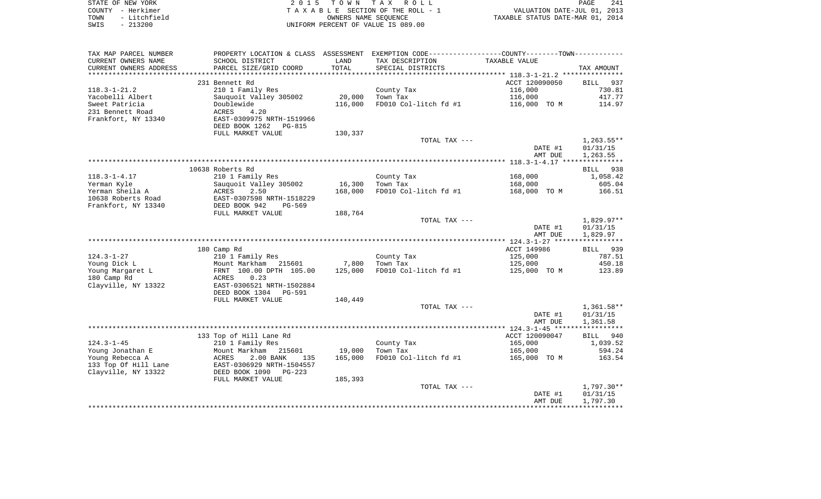| STATE OF NEW YORK    | 2015 TOWN TAX ROLL                                       | PAGE                        | 241 |
|----------------------|----------------------------------------------------------|-----------------------------|-----|
| COUNTY - Herkimer    | TAXABLE SECTION OF THE ROLL - 1                          | VALUATION DATE-JUL 01, 2013 |     |
| - Litchfield<br>TOWN | TAXABLE STATUS DATE-MAR 01, 2014<br>OWNERS NAME SEOUENCE |                             |     |
| SWIS - 213200        | UNIFORM PERCENT OF VALUE IS 089.00                       |                             |     |
|                      |                                                          |                             |     |

| TAX MAP PARCEL NUMBER                | PROPERTY LOCATION & CLASS ASSESSMENT               |         | EXEMPTION CODE----------------COUNTY-------TOWN----------- |                    |                    |
|--------------------------------------|----------------------------------------------------|---------|------------------------------------------------------------|--------------------|--------------------|
| CURRENT OWNERS NAME                  | SCHOOL DISTRICT                                    | LAND    | TAX DESCRIPTION                                            | TAXABLE VALUE      |                    |
| CURRENT OWNERS ADDRESS               | PARCEL SIZE/GRID COORD                             | TOTAL   | SPECIAL DISTRICTS                                          |                    | TAX AMOUNT         |
| ********************                 |                                                    |         |                                                            |                    |                    |
|                                      | 231 Bennett Rd                                     |         |                                                            | ACCT 120090050     | BILL 937           |
| $118.3 - 1 - 21.2$                   | 210 1 Family Res                                   |         | County Tax                                                 | 116,000            | 730.81             |
| Yacobelli Albert                     | Sauquoit Valley 305002                             | 20,000  | Town Tax                                                   | 116,000            | 417.77             |
| Sweet Patricia                       | Doublewide                                         | 116,000 | FD010 Col-litch fd #1                                      | 116,000 TO M       | 114.97             |
| 231 Bennett Road                     | ACRES<br>4.20                                      |         |                                                            |                    |                    |
| Frankfort, NY 13340                  | EAST-0309975 NRTH-1519966<br>DEED BOOK 1262 PG-815 |         |                                                            |                    |                    |
|                                      | FULL MARKET VALUE                                  | 130,337 |                                                            |                    |                    |
|                                      |                                                    |         | TOTAL TAX ---                                              |                    | $1,263.55**$       |
|                                      |                                                    |         |                                                            | DATE #1            | 01/31/15           |
|                                      |                                                    |         |                                                            | AMT DUE            | 1,263.55           |
|                                      |                                                    |         |                                                            |                    |                    |
|                                      | 10638 Roberts Rd                                   |         |                                                            |                    | BILL 938           |
| $118.3 - 1 - 4.17$                   | 210 1 Family Res                                   |         | County Tax                                                 | 168,000            | 1,058.42           |
| Yerman Kyle                          | Sauquoit Valley 305002                             | 16,300  | Town Tax                                                   | 168,000            | 605.04             |
| Yerman Sheila A                      | ACRES<br>2.50                                      | 168,000 | FD010 Col-litch fd #1                                      | 168,000 TO M       | 166.51             |
| 10638 Roberts Road                   | EAST-0307598 NRTH-1518229                          |         |                                                            |                    |                    |
| Frankfort, NY 13340                  | DEED BOOK 942<br>PG-569                            |         |                                                            |                    |                    |
|                                      | FULL MARKET VALUE                                  | 188,764 |                                                            |                    |                    |
|                                      |                                                    |         | TOTAL TAX ---                                              |                    | $1,829.97**$       |
|                                      |                                                    |         |                                                            | DATE #1            | 01/31/15           |
|                                      |                                                    |         |                                                            | AMT DUE            | 1,829.97           |
|                                      | 180 Camp Rd                                        |         |                                                            | ACCT 149986        | BILL 939           |
| $124.3 - 1 - 27$                     | 210 1 Family Res                                   |         | County Tax                                                 | 125,000            | 787.51             |
| Young Dick L                         | Mount Markham 215601                               | 7,800   | Town Tax                                                   | 125,000            | 450.18             |
| Young Margaret L                     | FRNT 100.00 DPTH 105.00                            | 125,000 | FD010 Col-litch fd #1                                      | 125,000 TO M       | 123.89             |
| 180 Camp Rd                          | ACRES<br>0.23                                      |         |                                                            |                    |                    |
| Clayville, NY 13322                  | EAST-0306521 NRTH-1502884                          |         |                                                            |                    |                    |
|                                      | DEED BOOK 1304 PG-591                              |         |                                                            |                    |                    |
|                                      | FULL MARKET VALUE                                  | 140,449 |                                                            |                    |                    |
|                                      |                                                    |         | TOTAL TAX ---                                              |                    | $1,361.58**$       |
|                                      |                                                    |         |                                                            | DATE #1            | 01/31/15           |
|                                      |                                                    |         |                                                            | AMT DUE            | 1,361.58           |
|                                      |                                                    |         |                                                            |                    |                    |
|                                      | 133 Top of Hill Lane Rd                            |         |                                                            | ACCT 120090047     | 940<br>BILL        |
| $124.3 - 1 - 45$<br>Young Jonathan E | 210 1 Family Res<br>Mount Markham<br>215601        | 19,000  | County Tax<br>Town Tax                                     | 165,000<br>165,000 | 1,039.52<br>594.24 |
| Young Rebecca A                      | ACRES<br>2.00 BANK<br>135                          | 165,000 | FD010 Col-litch fd #1                                      | 165,000 TO M       | 163.54             |
| 133 Top Of Hill Lane                 | EAST-0306929 NRTH-1504557                          |         |                                                            |                    |                    |
| Clayville, NY 13322                  | DEED BOOK 1090 PG-223                              |         |                                                            |                    |                    |
|                                      | FULL MARKET VALUE                                  | 185,393 |                                                            |                    |                    |
|                                      |                                                    |         | TOTAL TAX ---                                              |                    | $1,797.30**$       |
|                                      |                                                    |         |                                                            |                    |                    |
|                                      |                                                    |         |                                                            | DATE #1            | 01/31/15           |
|                                      |                                                    |         |                                                            | AMT DUE            | 1,797.30           |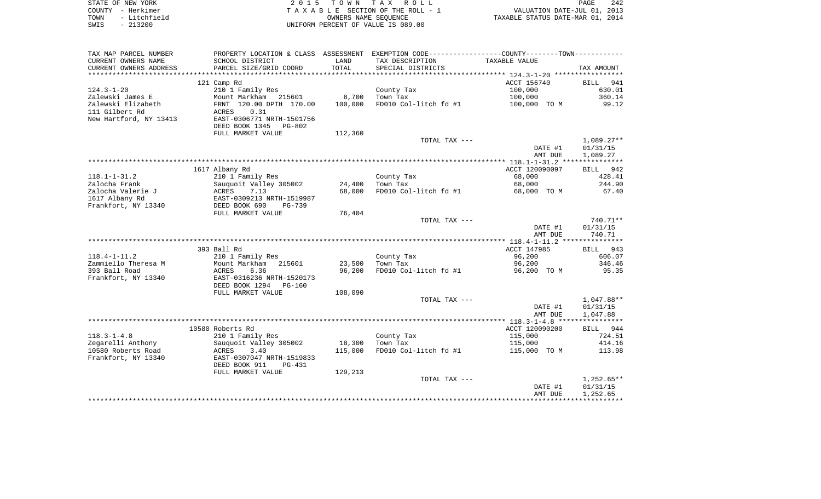| STATE OF NEW YORK    | 2015 TOWN TAX ROLL                 | 242<br>PAGE                      |
|----------------------|------------------------------------|----------------------------------|
| COUNTY - Herkimer    | TAXABLE SECTION OF THE ROLL - 1    | VALUATION DATE-JUL 01, 2013      |
| - Litchfield<br>TOWN | OWNERS NAME SEOUENCE               | TAXABLE STATUS DATE-MAR 01, 2014 |
| - 213200<br>SWIS     | UNIFORM PERCENT OF VALUE IS 089.00 |                                  |

| TAX MAP PARCEL NUMBER  |                           |         | PROPERTY LOCATION & CLASS ASSESSMENT EXEMPTION CODE---------------COUNTY-------TOWN---------- |                |                    |
|------------------------|---------------------------|---------|-----------------------------------------------------------------------------------------------|----------------|--------------------|
| CURRENT OWNERS NAME    | SCHOOL DISTRICT           | LAND    | TAX DESCRIPTION                                                                               | TAXABLE VALUE  |                    |
| CURRENT OWNERS ADDRESS | PARCEL SIZE/GRID COORD    | TOTAL   | SPECIAL DISTRICTS                                                                             |                | TAX AMOUNT         |
|                        |                           |         |                                                                                               |                |                    |
|                        | 121 Camp Rd               |         |                                                                                               | ACCT 156740    | 941<br><b>BILL</b> |
| $124.3 - 1 - 20$       | 210 1 Family Res          |         | County Tax                                                                                    | 100,000        | 630.01             |
| Zalewski James E       | Mount Markham 215601      | 8,700   | Town Tax                                                                                      | 100,000        | 360.14             |
| Zalewski Elizabeth     | FRNT 120.00 DPTH 170.00   | 100,000 | FD010 Col-litch fd #1                                                                         | 100,000 TO M   | 99.12              |
| 111 Gilbert Rd         | ACRES<br>0.31             |         |                                                                                               |                |                    |
| New Hartford, NY 13413 | EAST-0306771 NRTH-1501756 |         |                                                                                               |                |                    |
|                        | DEED BOOK 1345<br>PG-802  |         |                                                                                               |                |                    |
|                        | FULL MARKET VALUE         | 112,360 |                                                                                               |                |                    |
|                        |                           |         | TOTAL TAX ---                                                                                 |                | $1,089.27**$       |
|                        |                           |         |                                                                                               | DATE #1        | 01/31/15           |
|                        |                           |         |                                                                                               | AMT DUE        | 1,089.27           |
|                        |                           |         |                                                                                               |                |                    |
|                        | 1617 Albany Rd            |         |                                                                                               | ACCT 120090097 | BILL 942           |
| $118.1 - 1 - 31.2$     | 210 1 Family Res          |         | County Tax                                                                                    | 68,000         | 428.41             |
| Zalocha Frank          | Sauquoit Valley 305002    | 24,400  | Town Tax                                                                                      | 68,000         | 244.90             |
| Zalocha Valerie J      | 7.13<br>ACRES             | 68,000  | FD010 Col-litch fd #1                                                                         | 68,000 TO M    | 67.40              |
| 1617 Albany Rd         | EAST-0309213 NRTH-1519987 |         |                                                                                               |                |                    |
| Frankfort, NY 13340    | DEED BOOK 690<br>$PG-739$ |         |                                                                                               |                |                    |
|                        | FULL MARKET VALUE         | 76,404  |                                                                                               |                |                    |
|                        |                           |         | TOTAL TAX ---                                                                                 |                | 740.71**           |
|                        |                           |         |                                                                                               | DATE #1        | 01/31/15           |
|                        |                           |         |                                                                                               | AMT DUE        | 740.71             |
|                        |                           |         |                                                                                               |                |                    |
|                        | 393 Ball Rd               |         |                                                                                               | ACCT 147985    | BILL 943           |
| $118.4 - 1 - 11.2$     | 210 1 Family Res          |         | County Tax                                                                                    | 96,200         | 606.07             |
| Zammiello Theresa M    | Mount Markham<br>215601   | 23,500  | Town Tax                                                                                      | 96,200         | 346.46             |
| 393 Ball Road          | ACRES<br>6.36             | 96,200  | FD010 Col-litch fd #1                                                                         | 96,200 TO M    | 95.35              |
| Frankfort, NY 13340    | EAST-0316236 NRTH-1520173 |         |                                                                                               |                |                    |
|                        | DEED BOOK 1294<br>PG-160  |         |                                                                                               |                |                    |
|                        | FULL MARKET VALUE         | 108,090 |                                                                                               |                |                    |
|                        |                           |         | TOTAL TAX ---                                                                                 |                | 1,047.88**         |
|                        |                           |         |                                                                                               | DATE #1        | 01/31/15           |
|                        |                           |         |                                                                                               | AMT DUE        | 1,047.88           |
|                        |                           |         |                                                                                               |                |                    |
|                        | 10580 Roberts Rd          |         |                                                                                               | ACCT 120090200 | BILL 944           |
| $118.3 - 1 - 4.8$      | 210 1 Family Res          |         | County Tax                                                                                    | 115,000        | 724.51             |
| Zegarelli Anthony      | Sauguoit Valley 305002    | 18,300  | Town Tax                                                                                      | 115,000        | 414.16             |
| 10580 Roberts Road     | ACRES<br>3.40             | 115,000 | FD010 Col-litch fd #1                                                                         | 115,000 TO M   | 113.98             |
| Frankfort, NY 13340    | EAST-0307047 NRTH-1519833 |         |                                                                                               |                |                    |
|                        | DEED BOOK 911<br>PG-431   |         |                                                                                               |                |                    |
|                        | FULL MARKET VALUE         | 129,213 |                                                                                               |                |                    |
|                        |                           |         | TOTAL TAX ---                                                                                 |                | $1,252.65**$       |
|                        |                           |         |                                                                                               | DATE #1        | 01/31/15           |
|                        |                           |         |                                                                                               | AMT DUE        | 1,252.65           |
|                        |                           |         |                                                                                               |                |                    |
|                        |                           |         |                                                                                               |                |                    |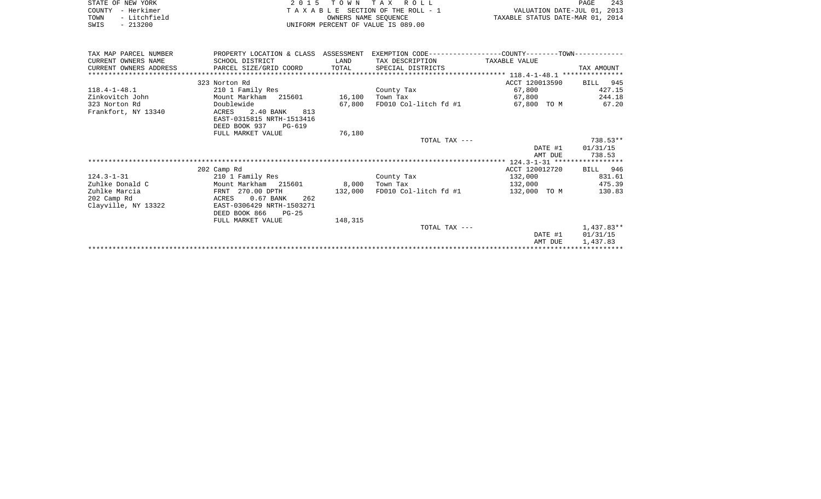|      | STATE OF NEW YORK | 2015 TOWN TAX ROLL                 | PAGE                             | 243 |
|------|-------------------|------------------------------------|----------------------------------|-----|
|      | COUNTY - Herkimer | TAXABLE SECTION OF THE ROLL - 1    | VALUATION DATE-JUL 01, 2013      |     |
| TOWN | - Litchfield      | OWNERS NAME SEOUENCE               | TAXABLE STATUS DATE-MAR 01, 2014 |     |
| SWIS | - 213200          | UNIFORM PERCENT OF VALUE IS 089.00 |                                  |     |

| TAX MAP PARCEL NUMBER<br>CURRENT OWNERS NAME<br>CURRENT OWNERS ADDRESS | PROPERTY LOCATION & CLASS ASSESSMENT EXEMPTION CODE---------------COUNTY-------TOWN----------<br>SCHOOL DISTRICT<br>PARCEL SIZE/GRID COORD TOTAL | LAND    | TAX DESCRIPTION<br>SPECIAL DISTRICTS | TAXABLE VALUE           | TAX AMOUNT |  |  |  |
|------------------------------------------------------------------------|--------------------------------------------------------------------------------------------------------------------------------------------------|---------|--------------------------------------|-------------------------|------------|--|--|--|
|                                                                        |                                                                                                                                                  |         |                                      |                         |            |  |  |  |
|                                                                        | 323 Norton Rd                                                                                                                                    |         |                                      | ACCT 120013590 BILL 945 |            |  |  |  |
| $118.4 - 1 - 48.1$                                                     | 210 1 Family Res                                                                                                                                 |         | County Tax                           | 67,800                  | 427.15     |  |  |  |
| Zinkovitch John                                                        | Mount Markham 215601 16,100                                                                                                                      |         | Town Tax                             | 67,800                  | 244.18     |  |  |  |
| 323 Norton Rd                                                          | Doublewide                                                                                                                                       | 67.800  | FD010 Col-litch fd #1                | 67,800 TO M             | 67.20      |  |  |  |
| Frankfort, NY 13340                                                    | ACRES<br>2.40 BANK<br>813                                                                                                                        |         |                                      |                         |            |  |  |  |
|                                                                        | EAST-0315815 NRTH-1513416                                                                                                                        |         |                                      |                         |            |  |  |  |
|                                                                        | DEED BOOK 937 PG-619                                                                                                                             |         |                                      |                         |            |  |  |  |
|                                                                        | FULL MARKET VALUE                                                                                                                                | 76,180  |                                      |                         |            |  |  |  |
|                                                                        |                                                                                                                                                  |         | TOTAL TAX ---                        |                         | 738.53**   |  |  |  |
|                                                                        |                                                                                                                                                  |         |                                      | DATE #1                 | 01/31/15   |  |  |  |
|                                                                        |                                                                                                                                                  |         |                                      | AMT DUE                 | 738.53     |  |  |  |
|                                                                        |                                                                                                                                                  |         |                                      |                         |            |  |  |  |
|                                                                        | 202 Camp Rd                                                                                                                                      |         |                                      | ACCT 120012720          | BILL 946   |  |  |  |
| $124.3 - 1 - 31$                                                       | 210 1 Family Res                                                                                                                                 |         | County Tax                           | 132,000                 | 831.61     |  |  |  |
| Zuhlke Donald C                                                        | Mount Markham 215601                                                                                                                             | 8,000   | Town Tax                             | 132,000                 | 475.39     |  |  |  |
| Zuhlke Marcia                                                          | FRNT 270.00 DPTH                                                                                                                                 | 132,000 | FD010 Col-litch fd #1                | 132,000 TO M            | 130.83     |  |  |  |
| 202 Camp Rd                                                            | $0.67$ BANK<br>262<br>ACRES                                                                                                                      |         |                                      |                         |            |  |  |  |
| Clayville, NY 13322                                                    | EAST-0306429 NRTH-1503271                                                                                                                        |         |                                      |                         |            |  |  |  |
|                                                                        | DEED BOOK 866<br>$PG-25$                                                                                                                         |         |                                      |                         |            |  |  |  |
|                                                                        | FULL MARKET VALUE                                                                                                                                | 148,315 |                                      |                         |            |  |  |  |
|                                                                        |                                                                                                                                                  |         | TOTAL TAX ---                        |                         | 1,437.83** |  |  |  |
|                                                                        |                                                                                                                                                  |         |                                      | DATE #1                 | 01/31/15   |  |  |  |
|                                                                        |                                                                                                                                                  |         |                                      | AMT DUE                 | 1,437.83   |  |  |  |
|                                                                        |                                                                                                                                                  |         |                                      |                         |            |  |  |  |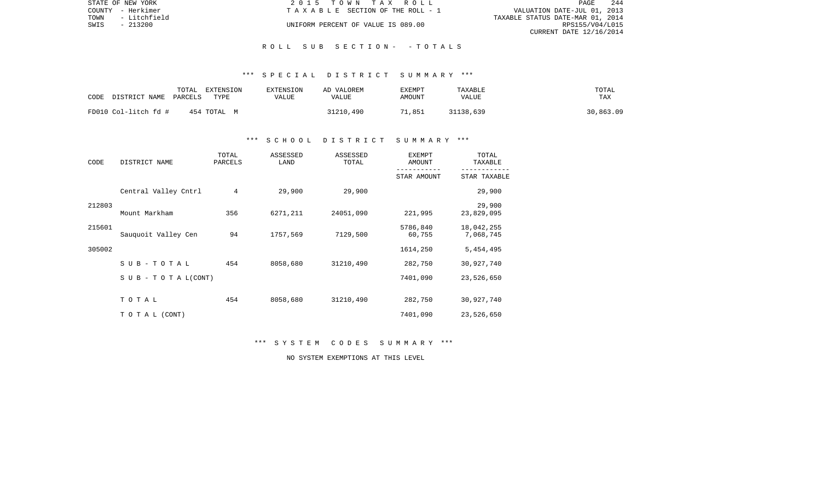|      | STATE OF NEW YORK | 2015 TOWN TAX ROLL                 | PAGE                             | -244 |
|------|-------------------|------------------------------------|----------------------------------|------|
|      | COUNTY - Herkimer | TAXABLE SECTION OF THE ROLL - 1    | VALUATION DATE-JUL 01, 2013      |      |
| TOWN | - Litchfield      |                                    | TAXABLE STATUS DATE-MAR 01, 2014 |      |
| SWIS | $-213200$         | UNIFORM PERCENT OF VALUE IS 089.00 | RPS155/V04/L015                  |      |
|      |                   |                                    | CURRENT DATE 12/16/2014          |      |

#### R O L L S U B S E C T I O N - - T O T A L S

#### \*\*\* S P E C I A L D I S T R I C T S U M M A R Y \*\*\*

| CODE                  | TOTAL | EXTENSION   | <b>EXTENSION</b> | AD VALOREM | <b>EXEMPT</b> | TAXABLE   | TOTAL     |
|-----------------------|-------|-------------|------------------|------------|---------------|-----------|-----------|
| DISTRICT NAME PARCELS |       | TYPE        | VALUE            | VALUE      | AMOUNT        | VALUE     | TAX       |
| FD010 Col-litch fd #  |       | 454 TOTAL M |                  | 31210,490  | 71,851        | 31138,639 | 30,863.09 |

#### \*\*\* S C H O O L D I S T R I C T S U M M A R Y \*\*\*

| CODE   | DISTRICT NAME                    | TOTAL<br>PARCELS | ASSESSED<br>LAND | ASSESSED<br>TOTAL | <b>EXEMPT</b><br>AMOUNT | TOTAL<br>TAXABLE        |
|--------|----------------------------------|------------------|------------------|-------------------|-------------------------|-------------------------|
|        |                                  |                  |                  |                   | STAR AMOUNT             | STAR TAXABLE            |
|        | Central Valley Cntrl             | 4                | 29,900           | 29,900            |                         | 29,900                  |
| 212803 | Mount Markham                    | 356              | 6271,211         | 24051,090         | 221,995                 | 29,900<br>23,829,095    |
| 215601 | Sauquoit Valley Cen              | 94               | 1757,569         | 7129,500          | 5786,840<br>60,755      | 18,042,255<br>7,068,745 |
| 305002 |                                  |                  |                  |                   | 1614,250                | 5,454,495               |
|        | $SUB - TO T AL$                  | 454              | 8058,680         | 31210,490         | 282,750                 | 30,927,740              |
|        | $S \cup B - T \cup T A L (CONT)$ |                  |                  |                   | 7401,090                | 23,526,650              |
|        | TOTAL                            | 454              | 8058,680         | 31210,490         | 282,750                 | 30,927,740              |
|        | TO TAL (CONT)                    |                  |                  |                   | 7401,090                | 23,526,650              |

\*\*\* S Y S T E M C O D E S S U M M A R Y \*\*\*

NO SYSTEM EXEMPTIONS AT THIS LEVEL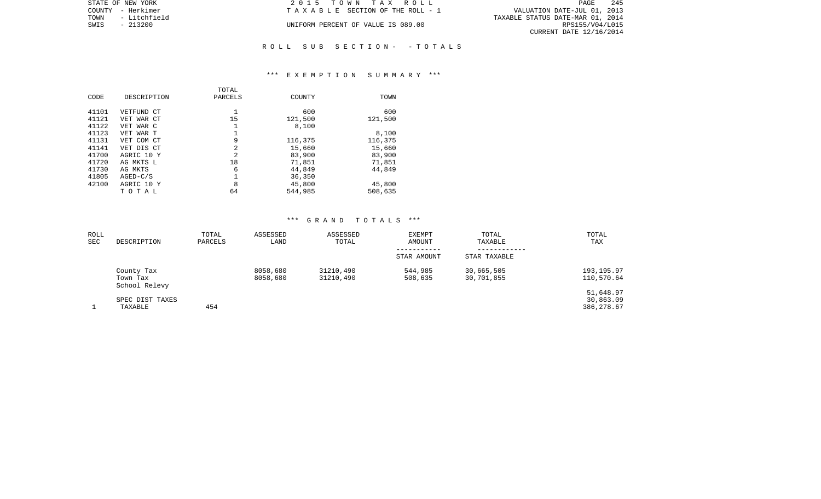| STATE OF NEW YORK    | 2015 TOWN TAX ROLL                 | -245<br>PAGE                     |
|----------------------|------------------------------------|----------------------------------|
| COUNTY - Herkimer    | TAXABLE SECTION OF THE ROLL - 1    | VALUATION DATE-JUL 01, 2013      |
| - Litchfield<br>TOWN |                                    | TAXABLE STATUS DATE-MAR 01, 2014 |
| SWIS<br>$-213200$    | UNIFORM PERCENT OF VALUE IS 089.00 | RPS155/V04/L015                  |
|                      |                                    | CURRENT DATE 12/16/2014          |
|                      |                                    |                                  |

# \*\*\* E X E M P T I O N S U M M A R Y \*\*\*

R O L L S U B S E C T I O N - - T O T A L S

| CODE  | DESCRIPTION | TOTAL<br>PARCELS | COUNTY  | TOWN    |
|-------|-------------|------------------|---------|---------|
| 41101 | VETFUND CT  |                  | 600     | 600     |
| 41121 | VET WAR CT  | 15               | 121,500 | 121,500 |
| 41122 | VET WAR C   |                  | 8,100   |         |
| 41123 | VET WAR T   |                  |         | 8,100   |
| 41131 | VET COM CT  | 9                | 116,375 | 116,375 |
| 41141 | VET DIS CT  | $\overline{2}$   | 15,660  | 15,660  |
| 41700 | AGRIC 10 Y  | $\overline{2}$   | 83,900  | 83,900  |
| 41720 | AG MKTS L   | 18               | 71,851  | 71,851  |
| 41730 | AG MKTS     | 6                | 44,849  | 44,849  |
| 41805 | $AGED-C/S$  |                  | 36,350  |         |
| 42100 | AGRIC 10 Y  | 8                | 45,800  | 45,800  |
|       | TOTAL       | 64               | 544,985 | 508,635 |

#### \*\*\* G R A N D T O T A L S \*\*\*

| ROLL |                                         | TOTAL   | ASSESSED             | ASSESSED               | <b>EXEMPT</b>              | TOTAL                    | TOTAL                                |
|------|-----------------------------------------|---------|----------------------|------------------------|----------------------------|--------------------------|--------------------------------------|
| SEC  | DESCRIPTION                             | PARCELS | LAND                 | TOTAL                  | AMOUNT                     | TAXABLE                  | TAX                                  |
|      |                                         |         |                      |                        | -----------<br>STAR AMOUNT | STAR TAXABLE             |                                      |
|      | County Tax<br>Town Tax<br>School Relevy |         | 8058,680<br>8058,680 | 31210,490<br>31210,490 | 544,985<br>508,635         | 30,665,505<br>30,701,855 | 193, 195.97<br>110,570.64            |
|      | SPEC DIST TAXES<br>TAXABLE              | 454     |                      |                        |                            |                          | 51,648.97<br>30,863.09<br>386,278.67 |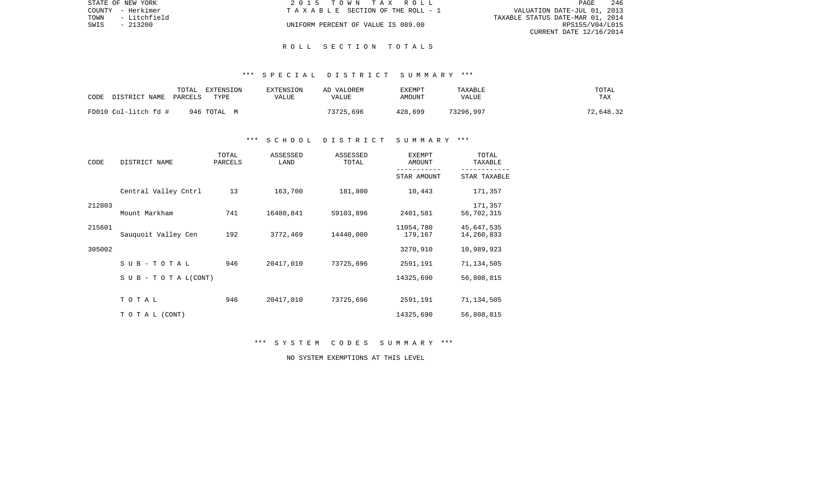|      | STATE OF NEW YORK | 2015 TOWN TAX ROLL                 | PAGE                             | 246 |
|------|-------------------|------------------------------------|----------------------------------|-----|
|      | COUNTY - Herkimer | TAXABLE SECTION OF THE ROLL - 1    | VALUATION DATE-JUL 01, 2013      |     |
| TOWN | - Litchfield      |                                    | TAXABLE STATUS DATE-MAR 01, 2014 |     |
| SWIS | - 213200          | UNIFORM PERCENT OF VALUE IS 089.00 | RPS155/V04/L015                  |     |
|      |                   |                                    | CURRENT DATE 12/16/2014          |     |

#### R O L L S E C T I O N T O T A L S

#### \*\*\* S P E C I A L D I S T R I C T S U M M A R Y \*\*\*

| CODE                 | TOTAL   | EXTENSION   | EXTENSION | AD VALOREM | EXEMPT  | TAXABLE   | TOTAL     |
|----------------------|---------|-------------|-----------|------------|---------|-----------|-----------|
| DISTRICT NAME        | PARCELS | <b>TYPE</b> | VALUE     | VALUE      | AMOUNT  | VALUE     | TAX       |
| FD010 Col-litch fd # |         | 946 TOTAL M |           | 73725,696  | 428,699 | 73296,997 | 72,648.32 |

#### \*\*\* S C H O O L D I S T R I C T S U M M A R Y \*\*\*

| CODE   | DISTRICT NAME                    | TOTAL<br>PARCELS | ASSESSED<br>LAND | ASSESSED<br>TOTAL | <b>EXEMPT</b><br>AMOUNT | TOTAL<br>TAXABLE         |
|--------|----------------------------------|------------------|------------------|-------------------|-------------------------|--------------------------|
|        |                                  |                  |                  |                   | STAR AMOUNT             | STAR TAXABLE             |
|        | Central Valley Cntrl             | 13               | 163,700          | 181,800           | 10,443                  | 171,357                  |
| 212803 | Mount Markham                    | 741              | 16480,841        | 59103,896         | 2401,581                | 171,357<br>56,702,315    |
| 215601 | Sauguoit Valley Cen              | 192              | 3772,469         | 14440,000         | 11054,780<br>179,167    | 45,647,535<br>14,260,833 |
| 305002 |                                  |                  |                  |                   | 3270,910                | 10,989,923               |
|        | $SUB - TO T AL$                  | 946              | 20417,010        | 73725,696         | 2591,191                | 71,134,505               |
|        | $S \cup B - T \cup T A L (CONT)$ |                  |                  |                   | 14325,690               | 56,808,815               |
|        | TOTAL                            | 946              | 20417,010        | 73725,696         | 2591,191                | 71,134,505               |
|        | TO TAL (CONT)                    |                  |                  |                   | 14325,690               | 56,808,815               |

\*\*\* S Y S T E M C O D E S S U M M A R Y \*\*\*

NO SYSTEM EXEMPTIONS AT THIS LEVEL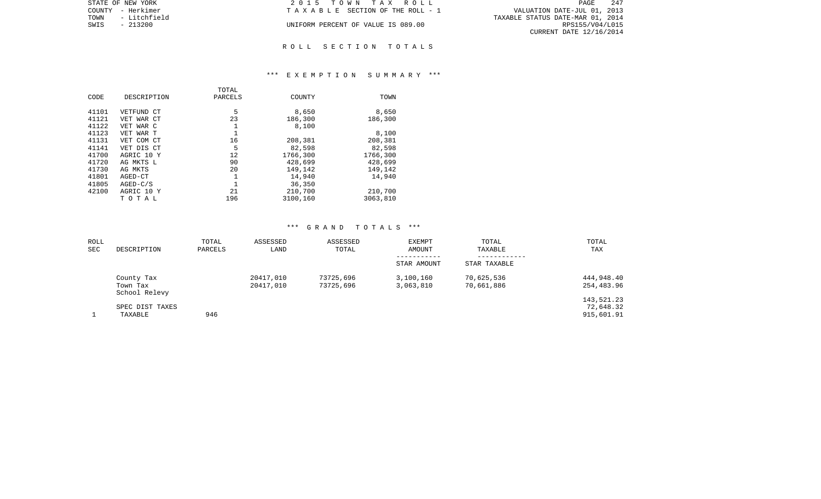| STATE OF NEW YORK    | 2015 TOWN TAX ROLL                 | 247<br>PAGE                      |
|----------------------|------------------------------------|----------------------------------|
| COUNTY - Herkimer    | TAXABLE SECTION OF THE ROLL - 1    | VALUATION DATE-JUL 01, 2013      |
| - Litchfield<br>TOWN |                                    | TAXABLE STATUS DATE-MAR 01, 2014 |
| SWIS<br>- 213200     | UNIFORM PERCENT OF VALUE IS 089.00 | RPS155/V04/L015                  |
|                      |                                    | CURRENT DATE 12/16/2014          |
|                      |                                    |                                  |

# R O L L S E C T I O N T O T A L S

#### \*\*\* E X E M P T I O N S U M M A R Y \*\*\*

|       |             | TOTAL        |          |          |
|-------|-------------|--------------|----------|----------|
| CODE  | DESCRIPTION | PARCELS      | COUNTY   | TOWN     |
|       |             |              |          |          |
| 41101 | VETFUND CT  | 5            | 8,650    | 8,650    |
| 41121 | VET WAR CT  | 23           | 186,300  | 186,300  |
| 41122 | VET WAR C   | 1            | 8,100    |          |
| 41123 | VET WAR T   |              |          | 8,100    |
| 41131 | VET COM CT  | 16           | 208,381  | 208,381  |
| 41141 | VET DIS CT  | 5            | 82,598   | 82,598   |
| 41700 | AGRIC 10 Y  | 12           | 1766,300 | 1766,300 |
| 41720 | AG MKTS L   | 90           | 428,699  | 428,699  |
| 41730 | AG MKTS     | 20           | 149,142  | 149,142  |
| 41801 | AGED-CT     | $\mathbf{1}$ | 14,940   | 14,940   |
| 41805 | $AGED-C/S$  |              | 36,350   |          |
| 42100 | AGRIC 10 Y  | 21           | 210,700  | 210,700  |
|       | тотаь       | 196          | 3100,160 | 3063,810 |

#### \*\*\* G R A N D T O T A L S \*\*\*

| ROLL |                           | TOTAL   | ASSESSED  | ASSESSED  | <b>EXEMPT</b> | TOTAL        | TOTAL      |
|------|---------------------------|---------|-----------|-----------|---------------|--------------|------------|
| SEC  | DESCRIPTION               | PARCELS | LAND      | TOTAL     | AMOUNT        | TAXABLE      | TAX        |
|      |                           |         |           |           | STAR AMOUNT   | STAR TAXABLE |            |
|      | County Tax                |         | 20417,010 | 73725,696 | 3,100,160     | 70,625,536   | 444,948.40 |
|      | Town Tax<br>School Relevy |         | 20417,010 | 73725,696 | 3,063,810     | 70,661,886   | 254,483.96 |
|      |                           |         |           |           |               |              | 143,521.23 |
|      | SPEC DIST TAXES           |         |           |           |               |              | 72,648.32  |
|      | TAXABLE                   | 946     |           |           |               |              | 915,601.91 |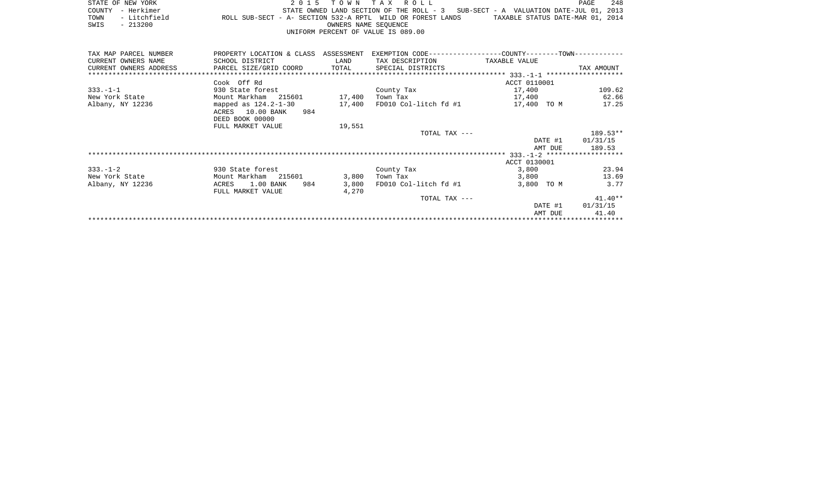|      | STATE OF NEW YORK                  |                                                            |  |  |                      | 2015 TOWN TAX ROLL |  |  | PAGE                                                                                | 248 |
|------|------------------------------------|------------------------------------------------------------|--|--|----------------------|--------------------|--|--|-------------------------------------------------------------------------------------|-----|
|      | COUNTY - Herkimer                  |                                                            |  |  |                      |                    |  |  | STATE OWNED LAND SECTION OF THE ROLL - $3$ SUB-SECT - A VALUATION DATE-JUL 01, 2013 |     |
| TOWN | - Litchfield                       | ROLL SUB-SECT - A- SECTION 532-A RPTL WILD OR FOREST LANDS |  |  |                      |                    |  |  | TAXABLE STATUS DATE-MAR 01, 2014                                                    |     |
| SWIS | $-213200$                          |                                                            |  |  | OWNERS NAME SEOUENCE |                    |  |  |                                                                                     |     |
|      | UNIFORM PERCENT OF VALUE IS 089.00 |                                                            |  |  |                      |                    |  |  |                                                                                     |     |

| TAX MAP PARCEL NUMBER | PROPERTY LOCATION & CLASS ASSESSMENT                                            |        | EXEMPTION CODE-----------------COUNTY-------TOWN----------- |               |            |
|-----------------------|---------------------------------------------------------------------------------|--------|-------------------------------------------------------------|---------------|------------|
| CURRENT OWNERS NAME   | SCHOOL DISTRICT                                                                 | LAND   | TAX DESCRIPTION                                             | TAXABLE VALUE |            |
|                       | CURRENT OWNERS ADDRESS     PARCEL SIZE/GRID COORD     TOTAL   SPECIAL DISTRICTS |        |                                                             |               | TAX AMOUNT |
|                       |                                                                                 |        |                                                             |               |            |
|                       | Cook Off Rd                                                                     |        |                                                             | ACCT 0110001  |            |
| $333. - 1 - 1$        | 930 State forest                                                                |        | County Tax                                                  | 17,400        | 109.62     |
| New York State        | Mount Markham 215601 17,400                                                     |        | Town Tax                                                    | 17,400        | 62.66      |
| Albany, NY 12236      | mapped as $124.2 - 1 - 30$                                                      | 17,400 | FD010 Col-litch fd #1                                       | 17,400 TO M   | 17.25      |
|                       | ACRES 10.00 BANK<br>984                                                         |        |                                                             |               |            |
|                       | DEED BOOK 00000                                                                 |        |                                                             |               |            |
|                       | FULL MARKET VALUE                                                               | 19,551 |                                                             |               |            |
|                       |                                                                                 |        | TOTAL TAX ---                                               |               | 189.53**   |
|                       |                                                                                 |        |                                                             | DATE #1       | 01/31/15   |
|                       |                                                                                 |        |                                                             | AMT DUE       | 189.53     |
|                       |                                                                                 |        |                                                             |               |            |
|                       |                                                                                 |        |                                                             | ACCT 0130001  |            |
| $333. - 1 - 2$        | 930 State forest                                                                |        | County Tax                                                  | 3,800         | 23.94      |
| New York State        | Mount Markham 215601                                                            | 3,800  | Town Tax                                                    | 3,800         | 13.69      |
| Albany, NY 12236      | 1.00 BANK<br>984<br>ACRES                                                       | 3,800  | FD010 Col-litch fd #1                                       | 3,800 TO M    | 3.77       |
|                       | FULL MARKET VALUE                                                               | 4,270  |                                                             |               |            |
|                       |                                                                                 |        | TOTAL TAX ---                                               |               | $41.40**$  |
|                       |                                                                                 |        |                                                             | DATE #1       | 01/31/15   |
|                       |                                                                                 |        |                                                             | AMT DUE       | 41.40      |
|                       |                                                                                 |        |                                                             |               |            |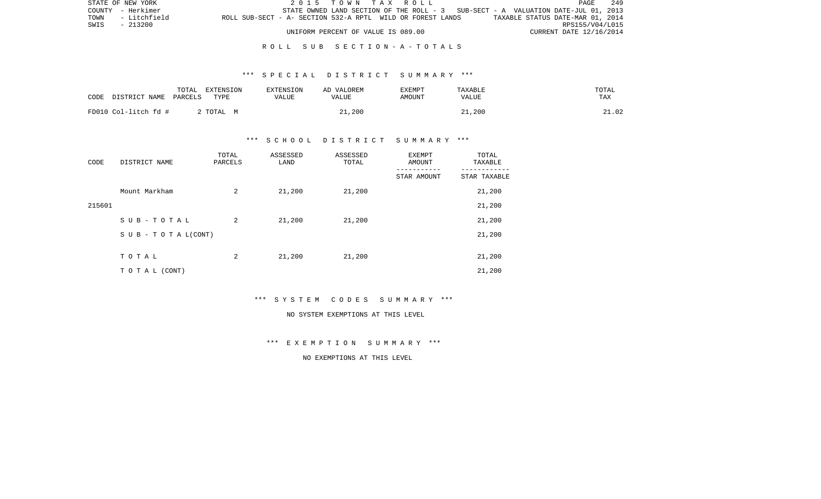|      | STATE OF NEW YORK |                                                            | 2015 TOWN TAX ROLL                                                                |  |  |  |  |                                  | <b>PAGE</b>     | 249 |
|------|-------------------|------------------------------------------------------------|-----------------------------------------------------------------------------------|--|--|--|--|----------------------------------|-----------------|-----|
|      | COUNTY - Herkimer |                                                            | STATE OWNED LAND SECTION OF THE ROLL - 3 SUB-SECT - A VALUATION DATE-JUL 01, 2013 |  |  |  |  |                                  |                 |     |
| TOWN | - Litchfield      | ROLL SUB-SECT - A- SECTION 532-A RPTL WILD OR FOREST LANDS |                                                                                   |  |  |  |  | TAXABLE STATUS DATE-MAR 01, 2014 |                 |     |
| SWIS | $-213200$         |                                                            |                                                                                   |  |  |  |  |                                  | RPS155/V04/L015 |     |
|      |                   |                                                            | UNIFORM PERCENT OF VALUE IS 089.00                                                |  |  |  |  | CURRENT DATE 12/16/2014          |                 |     |

#### R O L L S U B S E C T I O N - A - T O T A L S

#### \*\*\* S P E C I A L D I S T R I C T S U M M A R Y \*\*\*

| CODE<br>DISTRICT NAME | TOTAL<br>EXTENSION<br>PARCELS<br>TYPE | <b>EXTENSION</b><br>VALUE | AD VALOREM<br>VALUE | <b>EXEMPT</b><br>AMOUNT | TAXABLE<br>VALUE | TOTAL<br>TAX |
|-----------------------|---------------------------------------|---------------------------|---------------------|-------------------------|------------------|--------------|
| FD010 Col-litch fd #  | 2 TOTAL M                             |                           | 21,200              |                         | 21,200           | 21.02        |

### \*\*\* S C H O O L D I S T R I C T S U M M A R Y \*\*\*

| CODE   | DISTRICT NAME      | TOTAL<br>PARCELS | ASSESSED<br>LAND | ASSESSED<br>TOTAL | <b>EXEMPT</b><br>AMOUNT | TOTAL<br>TAXABLE |
|--------|--------------------|------------------|------------------|-------------------|-------------------------|------------------|
|        |                    |                  |                  |                   | STAR AMOUNT             | STAR TAXABLE     |
|        | Mount Markham      | 2                | 21,200           | 21,200            |                         | 21,200           |
| 215601 |                    |                  |                  |                   |                         | 21,200           |
|        | SUB-TOTAL          | 2                | 21,200           | 21,200            |                         | 21,200           |
|        | SUB - TO TAL(CONT) |                  |                  |                   |                         | 21,200           |
|        |                    |                  |                  |                   |                         |                  |
|        | TOTAL              | 2                | 21,200           | 21,200            |                         | 21,200           |
|        | TO TAL (CONT)      |                  |                  |                   |                         | 21,200           |

\*\*\* S Y S T E M C O D E S S U M M A R Y \*\*\*

#### NO SYSTEM EXEMPTIONS AT THIS LEVEL

\*\*\* E X E M P T I O N S U M M A R Y \*\*\*

NO EXEMPTIONS AT THIS LEVEL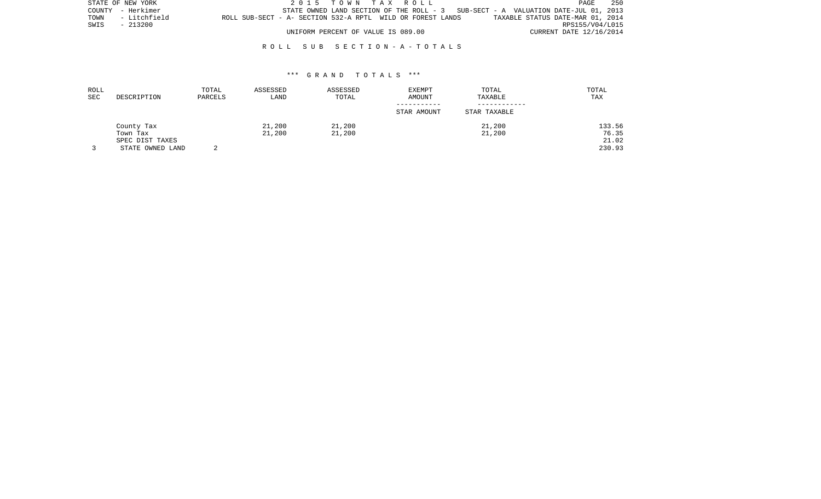|      | STATE OF NEW YORK |                                                            |  | 2015 TOWN TAX ROLL                 |  |  |  |                                                                                   | PAGE | 250 |
|------|-------------------|------------------------------------------------------------|--|------------------------------------|--|--|--|-----------------------------------------------------------------------------------|------|-----|
|      | COUNTY - Herkimer |                                                            |  |                                    |  |  |  | STATE OWNED LAND SECTION OF THE ROLL - 3 SUB-SECT - A VALUATION DATE-JUL 01, 2013 |      |     |
|      | TOWN - Litchfield | ROLL SUB-SECT - A- SECTION 532-A RPTL WILD OR FOREST LANDS |  |                                    |  |  |  | TAXABLE STATUS DATE-MAR 01, 2014                                                  |      |     |
| SWIS | - 213200          |                                                            |  |                                    |  |  |  | RPS155/V04/L015                                                                   |      |     |
|      |                   |                                                            |  | UNIFORM PERCENT OF VALUE IS 089.00 |  |  |  | CURRENT DATE 12/16/2014                                                           |      |     |

#### R O L L S U B S E C T I O N - A - T O T A L S

#### \*\*\* G R A N D T O T A L S \*\*\*

| ROLL<br>SEC | DESCRIPTION      | TOTAL<br>PARCELS | ASSESSED<br>LAND | ASSESSED<br>TOTAL | <b>EXEMPT</b><br><b>AMOUNT</b> | TOTAL<br>TAXABLE | TOTAL<br>TAX |
|-------------|------------------|------------------|------------------|-------------------|--------------------------------|------------------|--------------|
|             |                  |                  |                  |                   | STAR AMOUNT                    | STAR TAXABLE     |              |
|             | County Tax       |                  | 21,200           | 21,200            |                                | 21,200           | 133.56       |
|             | Town Tax         |                  | 21,200           | 21,200            |                                | 21,200           | 76.35        |
|             | SPEC DIST TAXES  |                  |                  |                   |                                |                  | 21.02        |
|             | STATE OWNED LAND |                  |                  |                   |                                |                  | 230.93       |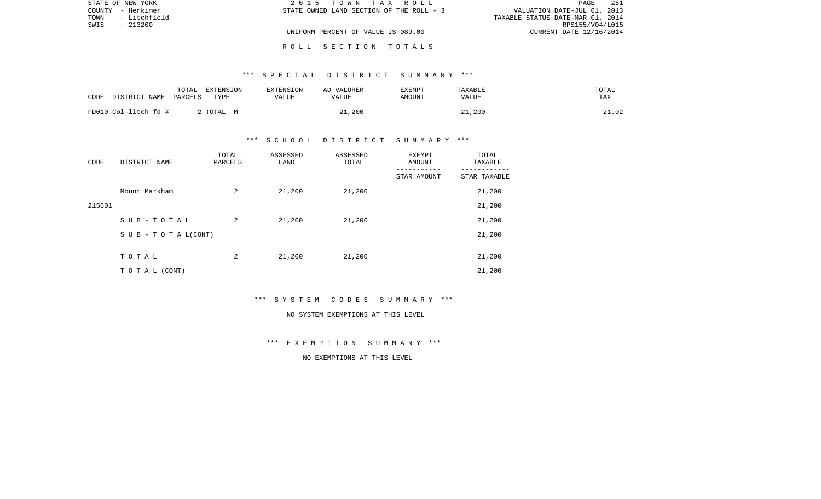|      | STATE OF NEW YORK | 2015 TOWN TAX ROLL                       | PAGE                             | 251 |
|------|-------------------|------------------------------------------|----------------------------------|-----|
|      | COUNTY - Herkimer | STATE OWNED LAND SECTION OF THE ROLL - 3 | VALUATION DATE-JUL 01, 2013      |     |
| TOWN | - Litchfield      |                                          | TAXABLE STATUS DATE-MAR 01, 2014 |     |
| SWIS | $-213200$         |                                          | RPS155/V04/L015                  |     |
|      |                   | UNIFORM PERCENT OF VALUE IS 089.00       | CURRENT DATE 12/16/2014          |     |
|      |                   |                                          |                                  |     |

R O L L S E C T I O N T O T A L S

# \*\*\* S P E C I A L D I S T R I C T S U M M A R Y \*\*\*

| CODE<br>DISTRICT NAME | TOTAL<br>EXTENSION<br>PARCELS<br>TYPE | <b>EXTENSION</b><br>VALUE | AD VALOREM<br>VALUE | EXEMPT<br>AMOUNT | TAXABLE<br>VALUE | TOTAL<br>TAX |
|-----------------------|---------------------------------------|---------------------------|---------------------|------------------|------------------|--------------|
| FD010 Col-litch fd #  | TOTAL M                               |                           | 21,200              |                  | 21,200           | 21.02        |

# \*\*\* S C H O O L D I S T R I C T S U M M A R Y \*\*\*

| CODE   | DISTRICT NAME                    | TOTAL<br>PARCELS | ASSESSED<br>LAND | ASSESSED<br>TOTAL | EXEMPT<br>AMOUNT | TOTAL<br>TAXABLE |
|--------|----------------------------------|------------------|------------------|-------------------|------------------|------------------|
|        |                                  |                  |                  |                   | STAR AMOUNT      | STAR TAXABLE     |
|        | Mount Markham                    | 2                | 21,200           | 21,200            |                  | 21,200           |
| 215601 |                                  |                  |                  |                   |                  | 21,200           |
|        | SUB-TOTAL                        | 2                | 21,200           | 21,200            |                  | 21,200           |
|        | $S \cup B - T \cup T A L (CONT)$ |                  |                  |                   |                  | 21,200           |
|        |                                  |                  |                  |                   |                  |                  |
|        | TOTAL                            | 2                | 21,200           | 21,200            |                  | 21,200           |
|        | T O T A L (CONT)                 |                  |                  |                   |                  | 21,200           |

\*\*\* S Y S T E M C O D E S S U M M A R Y \*\*\*

#### NO SYSTEM EXEMPTIONS AT THIS LEVEL

\*\*\* E X E M P T I O N S U M M A R Y \*\*\*

NO EXEMPTIONS AT THIS LEVEL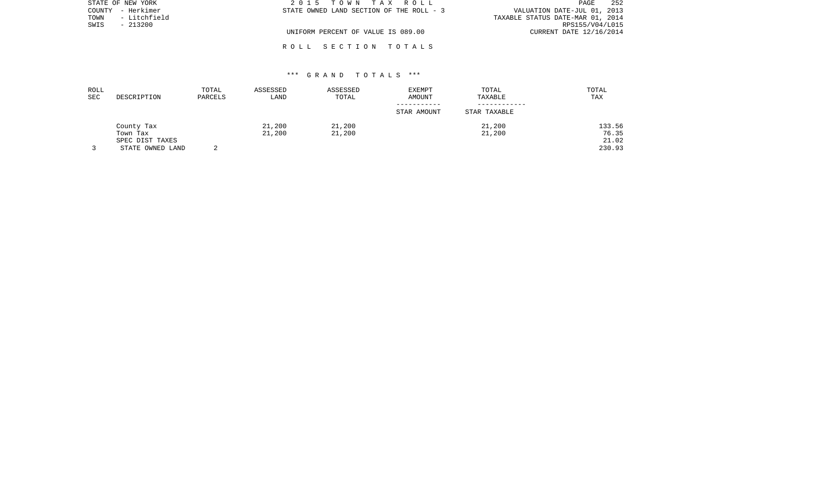| STATE OF NEW YORK    | 2015 TOWN TAX ROLL                       | 252<br>PAGE                      |
|----------------------|------------------------------------------|----------------------------------|
| COUNTY - Herkimer    | STATE OWNED LAND SECTION OF THE ROLL - 3 | VALUATION DATE-JUL 01, 2013      |
| - Litchfield<br>TOWN |                                          | TAXABLE STATUS DATE-MAR 01, 2014 |
| SWIS<br>$-213200$    |                                          | RPS155/V04/L015                  |
|                      | UNIFORM PERCENT OF VALUE IS 089.00       | CURRENT DATE 12/16/2014          |
|                      |                                          |                                  |

## \*\*\* G R A N D T O T A L S \*\*\*

R O L L S E C T I O N T O T A L S

| ROLL<br><b>SEC</b> | DESCRIPTION      | TOTAL<br>PARCELS | ASSESSED<br>LAND | ASSESSED<br>TOTAL | EXEMPT<br>AMOUNT | TOTAL<br>TAXABLE | TOTAL<br>TAX |
|--------------------|------------------|------------------|------------------|-------------------|------------------|------------------|--------------|
|                    |                  |                  |                  |                   | STAR AMOUNT      | STAR TAXABLE     |              |
|                    | County Tax       |                  | 21,200           | 21,200            |                  | 21,200           | 133.56       |
|                    | Town Tax         |                  | 21,200           | 21,200            |                  | 21,200           | 76.35        |
|                    | SPEC DIST TAXES  |                  |                  |                   |                  |                  | 21.02        |
|                    | STATE OWNED LAND |                  |                  |                   |                  |                  | 230.93       |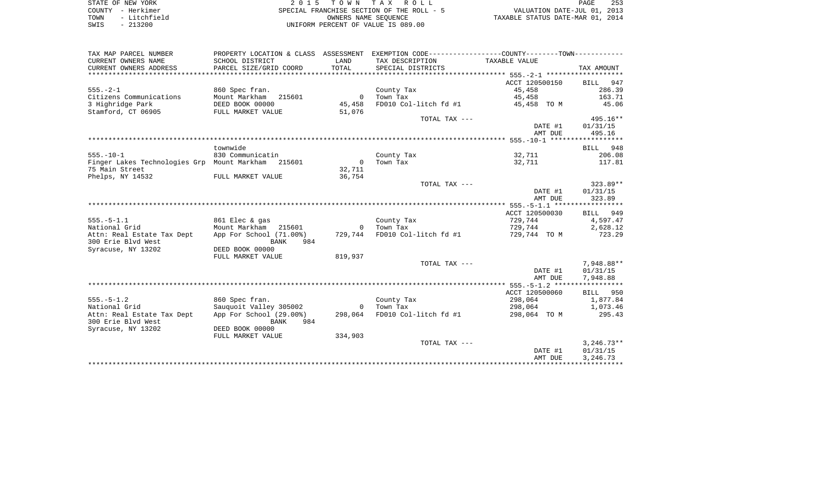| STATE OF NEW YORK                | 2 0 1 5                                                                                          | TOWN                 | ROLL<br>T A X                             |                                  | 253<br>PAGE |
|----------------------------------|--------------------------------------------------------------------------------------------------|----------------------|-------------------------------------------|----------------------------------|-------------|
| - Herkimer<br>COUNTY             |                                                                                                  |                      | SPECIAL FRANCHISE SECTION OF THE ROLL - 5 | VALUATION DATE-JUL 01, 2013      |             |
| - Litchfield<br>TOWN             |                                                                                                  | OWNERS NAME SEQUENCE |                                           | TAXABLE STATUS DATE-MAR 01, 2014 |             |
| SWIS<br>$-213200$                |                                                                                                  |                      | UNIFORM PERCENT OF VALUE IS 089.00        |                                  |             |
|                                  |                                                                                                  |                      |                                           |                                  |             |
| TAX MAP PARCEL NUMBER            | PROPERTY LOCATION & CLASS ASSESSMENT EXEMPTION CODE-----------------COUNTY--------TOWN---------- |                      |                                           |                                  |             |
| CURRENT OWNERS NAME              | SCHOOL DISTRICT                                                                                  | LAND                 | TAX DESCRIPTION TAXABLE VALUE             |                                  |             |
| CURRENT OWNERS ADDRESS           | PARCEL SIZE/GRID COORD                                                                           | TOTAL                | SPECIAL DISTRICTS                         |                                  | TAX AMOUNT  |
|                                  |                                                                                                  |                      |                                           |                                  |             |
|                                  |                                                                                                  |                      |                                           | ACCT 120500150                   | BILL 947    |
| $555. - 2 - 1$                   | 860 Spec fran.                                                                                   |                      | County Tax                                | 45,458                           | 286.39      |
| Citizens Communications          | Mount Markham 215601                                                                             |                      | Town Tax                                  | 45,458                           | 163.71      |
| 3 Highridge Park DEED BOOK 00000 |                                                                                                  | 45,458               | FD010 Col-litch fd #1                     | 45,458 TO M                      | 45.06       |
| Stamford, CT 06905               | FULL MARKET VALUE                                                                                | 51,076               | TOTAL TAX ---                             |                                  | 495.16**    |
|                                  |                                                                                                  |                      |                                           | DATE #1                          | 01/31/15    |
|                                  |                                                                                                  |                      |                                           | AMT DUE                          | 495.16      |
|                                  |                                                                                                  |                      |                                           |                                  |             |
|                                  | townwide                                                                                         |                      |                                           |                                  | BILL 948    |
| $555. - 10 - 1$                  | 830 Communicatin                                                                                 |                      | County Tax                                | 32,711                           | 206.08      |
| Finger Lakes Technologies Grp    | Mount Markham 215601                                                                             |                      | Town Tax                                  | 32,711                           | 117.81      |
| 75 Main Street                   |                                                                                                  | 32,711               |                                           |                                  |             |
| Phelps, NY 14532                 | FULL MARKET VALUE                                                                                | 36,754               |                                           |                                  |             |

|                                                  |                                        |                | TOTAL TAX ---         |                | $323.89**$   |
|--------------------------------------------------|----------------------------------------|----------------|-----------------------|----------------|--------------|
|                                                  |                                        |                |                       | DATE #1        | 01/31/15     |
|                                                  |                                        |                |                       | AMT DUE        | 323.89       |
|                                                  |                                        |                |                       |                |              |
|                                                  |                                        |                |                       | ACCT 120500030 | BILL 949     |
| 555.-5-1.1                                       | 861 Elec & gas                         |                | County Tax            | 729,744        | 4,597.47     |
| National Grid                                    | Mount Markham 215601                   | $\overline{0}$ | Town Tax              | 729,744        | 2,628.12     |
| Attn: Real Estate Tax Dept<br>300 Erie Blvd West | App For School (71.00%)<br>984<br>BANK | 729,744        | FD010 Col-litch fd #1 | 729,744 TO M   | 723.29       |
| Syracuse, NY 13202                               | DEED BOOK 00000                        |                |                       |                |              |
|                                                  | FULL MARKET VALUE                      | 819,937        |                       |                |              |
|                                                  |                                        |                | TOTAL TAX ---         |                | 7,948.88**   |
|                                                  |                                        |                |                       | DATE #1        | 01/31/15     |
|                                                  |                                        |                |                       | AMT DUE        | 7,948.88     |
|                                                  |                                        |                |                       |                |              |
|                                                  |                                        |                |                       | ACCT 120500060 | BILL 950     |
| $555. - 5 - 1.2$                                 | 860 Spec fran.                         |                | County Tax            | 298,064        | 1,877.84     |
| National Grid                                    | Sauquoit Valley 305002                 | $\overline{0}$ | Town Tax              | 298,064        | 1,073.46     |
| Attn: Real Estate Tax Dept<br>300 Erie Blvd West | App For School (29.00%)<br>BANK<br>984 | 298,064        | FD010 Col-litch fd #1 | 298,064 TO M   | 295.43       |
| Syracuse, NY 13202                               | DEED BOOK 00000                        |                |                       |                |              |
|                                                  | FULL MARKET VALUE                      | 334,903        |                       |                |              |
|                                                  |                                        |                | TOTAL TAX ---         |                | $3,246.73**$ |
|                                                  |                                        |                |                       | DATE #1        | 01/31/15     |
|                                                  |                                        |                |                       | AMT DUE        | 3,246.73     |
|                                                  |                                        |                |                       |                |              |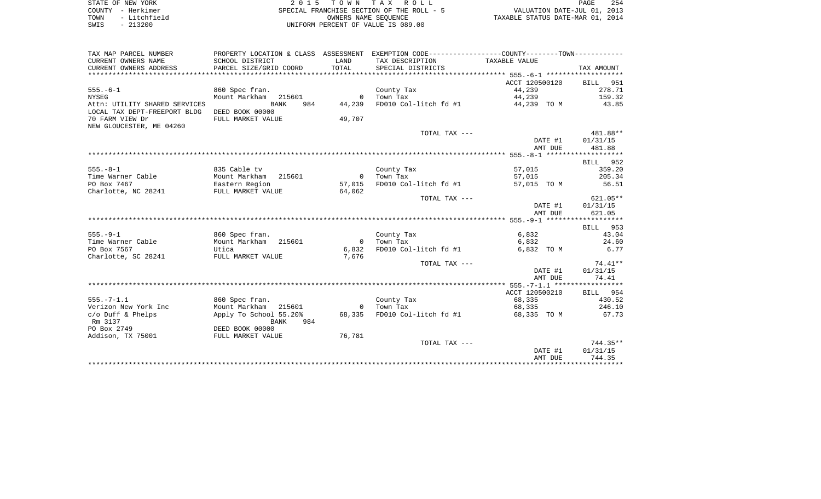|      | STATE OF NEW YORK | 2015 TOWN TAX ROLL                        | PAGE                             | 254 |
|------|-------------------|-------------------------------------------|----------------------------------|-----|
|      | COUNTY - Herkimer | SPECIAL FRANCHISE SECTION OF THE ROLL - 5 | VALUATION DATE-JUL 01, 2013      |     |
| TOWN | - Litchfield      | OWNERS NAME SEOUENCE                      | TAXABLE STATUS DATE-MAR 01, 2014 |     |
| SWIS | $-213200$         | UNIFORM PERCENT OF VALUE IS 089.00        |                                  |     |

| TAX MAP PARCEL NUMBER                        |                                                               |                | PROPERTY LOCATION & CLASS ASSESSMENT EXEMPTION CODE---------------COUNTY-------TOWN---------- |                |            |
|----------------------------------------------|---------------------------------------------------------------|----------------|-----------------------------------------------------------------------------------------------|----------------|------------|
| CURRENT OWNERS NAME                          | SCHOOL DISTRICT                                               | LAND           | TAX DESCRIPTION TAXABLE VALUE                                                                 |                |            |
| CURRENT OWNERS ADDRESS                       | PARCEL SIZE/GRID COORD                                        | TOTAL          | SPECIAL DISTRICTS                                                                             |                | TAX AMOUNT |
|                                              |                                                               |                |                                                                                               |                |            |
|                                              |                                                               |                |                                                                                               | ACCT 120500120 | BILL 951   |
| $555. - 6 - 1$                               | 860 Spec fran.                                                |                | County Tax                                                                                    | 44,239         | 278.71     |
| <b>NYSEG</b>                                 | Mount Markham 215601                                          |                | 0 Town Tax                                                                                    | 44,239         | 159.32     |
| Attn: UTILITY SHARED SERVICES                | <b>BANK</b><br>984                                            | 44,239         | FD010 Col-litch $fd$ #1 $44,239$ TO M                                                         |                | 43.85      |
| LOCAL TAX DEPT-FREEPORT BLDG                 | DEED BOOK 00000                                               |                |                                                                                               |                |            |
| 70 FARM VIEW Dr                              | FULL MARKET VALUE                                             | 49,707         |                                                                                               |                |            |
| NEW GLOUCESTER, ME 04260                     |                                                               |                |                                                                                               |                |            |
|                                              |                                                               |                | TOTAL TAX ---                                                                                 |                | 481.88**   |
|                                              |                                                               |                |                                                                                               | DATE #1        | 01/31/15   |
|                                              |                                                               |                |                                                                                               | AMT DUE        | 481.88     |
|                                              |                                                               |                |                                                                                               |                |            |
|                                              |                                                               |                |                                                                                               |                |            |
| $555. - 8 - 1$                               |                                                               |                |                                                                                               |                | BILL 952   |
|                                              | 835 Cable tv                                                  |                | County Tax                                                                                    | 57,015         | 359.20     |
| Time Warner Cable                            | Mount Markham 215601<br>Mount Markham   215<br>Eastern Region | $\overline{0}$ | Town Tax                                                                                      | 57,015         | 205.34     |
| PO Box 7467                                  |                                                               | 57,015         | FD010 Col-litch fd #1                                                                         | 57,015 TO M    | 56.51      |
| Charlotte, NC 28241 FULL MARKET VALUE 64,062 |                                                               |                |                                                                                               |                |            |
|                                              |                                                               |                | TOTAL TAX ---                                                                                 |                | $621.05**$ |
|                                              |                                                               |                |                                                                                               | DATE #1        | 01/31/15   |
|                                              |                                                               |                |                                                                                               | AMT DUE        | 621.05     |
|                                              |                                                               |                |                                                                                               |                |            |
|                                              |                                                               |                |                                                                                               |                | BILL 953   |
| $555. - 9 - 1$                               | 860 Spec fran.                                                |                | County Tax                                                                                    | 6,832          | 43.04      |
| Time Warner Cable                            | Mount Markham 215601                                          | $\overline{0}$ | Town Tax                                                                                      | 6,832          | 24.60      |
| PO Box 7567                                  | Utica                                                         | 6,832          | FD010 Col-litch fd #1                                                                         | 6,832 TO M     | 6.77       |
| Charlotte, SC 28241                          | FULL MARKET VALUE                                             | 7,676          |                                                                                               |                |            |
|                                              |                                                               |                | TOTAL TAX ---                                                                                 |                | $74.41**$  |
|                                              |                                                               |                |                                                                                               | DATE #1        | 01/31/15   |
|                                              |                                                               |                |                                                                                               | AMT DUE        | 74.41      |
|                                              |                                                               |                |                                                                                               |                |            |
|                                              |                                                               |                |                                                                                               | ACCT 120500210 | BILL 954   |
| $555. - 7 - 1.1$                             | 860 Spec fran.                                                |                | County Tax                                                                                    | 68,335         | 430.52     |
| Verizon New York Inc                         | Mount Markham 215601                                          |                | 0 Town Tax                                                                                    | 68,335         | 246.10     |
| $c/O$ Duff & Phelps                          | Apply To School 55.20%                                        | 68,335         | FD010 Col-litch fd #1                                                                         | 68,335 TO M    | 67.73      |
| Rm 3137                                      | 984<br><b>BANK</b>                                            |                |                                                                                               |                |            |
| PO Box 2749                                  | DEED BOOK 00000                                               |                |                                                                                               |                |            |
| Addison, TX 75001                            | FULL MARKET VALUE                                             | 76,781         |                                                                                               |                |            |
|                                              |                                                               |                | TOTAL TAX ---                                                                                 |                | $744.35**$ |
|                                              |                                                               |                |                                                                                               | DATE #1        | 01/31/15   |
|                                              |                                                               |                |                                                                                               | AMT DUE        | 744.35     |
|                                              |                                                               |                |                                                                                               |                |            |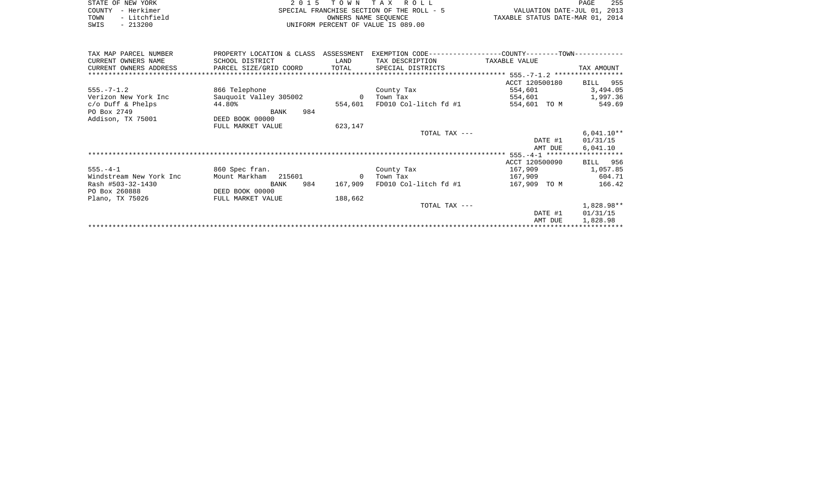|      | STATE OF NEW YORK | 2015 TOWN TAX ROLL                        | PAGE                             | 255 |
|------|-------------------|-------------------------------------------|----------------------------------|-----|
|      | COUNTY - Herkimer | SPECIAL FRANCHISE SECTION OF THE ROLL - 5 | VALUATION DATE-JUL 01, 2013      |     |
| TOWN | - Litchfield      | OWNERS NAME SEOUENCE                      | TAXABLE STATUS DATE-MAR 01, 2014 |     |
| SWIS | $-213200$         | UNIFORM PERCENT OF VALUE IS 089.00        |                                  |     |
|      |                   |                                           |                                  |     |

| TAX MAP PARCEL NUMBER<br>CURRENT OWNERS NAME | PROPERTY LOCATION & CLASS<br>SCHOOL DISTRICT | ASSESSMENT<br>LAND | TAX DESCRIPTION       | EXEMPTION CODE-----------------COUNTY-------TOWN-----------<br>TAXABLE VALUE |              |
|----------------------------------------------|----------------------------------------------|--------------------|-----------------------|------------------------------------------------------------------------------|--------------|
| CURRENT OWNERS ADDRESS                       | PARCEL SIZE/GRID COORD                       | TOTAL              | SPECIAL DISTRICTS     |                                                                              | TAX AMOUNT   |
|                                              |                                              |                    |                       | ********************************** 555.-7-1.2 *****************              |              |
|                                              |                                              |                    |                       | ACCT 120500180                                                               | BILL 955     |
| $555. - 7 - 1.2$                             | 866 Telephone                                |                    | County Tax            | 554,601                                                                      | 3,494.05     |
| Verizon New York Inc                         | Sauguoit Valley 305002                       | $\overline{0}$     | Town Tax              | 554,601                                                                      | 1,997.36     |
| $c/O$ Duff & Phelps                          | 44.80%                                       | 554,601            | FD010 Col-litch fd #1 | 554,601 TO M                                                                 | 549.69       |
| PO Box 2749                                  | 984<br>BANK                                  |                    |                       |                                                                              |              |
| Addison, TX 75001                            | DEED BOOK 00000                              |                    |                       |                                                                              |              |
|                                              | FULL MARKET VALUE                            | 623,147            |                       |                                                                              |              |
|                                              |                                              |                    | TOTAL TAX ---         |                                                                              | $6,041.10**$ |
|                                              |                                              |                    |                       | DATE #1                                                                      | 01/31/15     |
|                                              |                                              |                    |                       | AMT DUE                                                                      | 6,041.10     |
|                                              |                                              |                    |                       |                                                                              |              |
|                                              |                                              |                    |                       | ACCT 120500090                                                               | BILL 956     |
| $555. - 4 - 1$                               | 860 Spec fran.                               |                    | County Tax            | 167,909                                                                      | 1,057.85     |
| Windstream New York Inc                      | Mount Markham<br>215601                      | $\Omega$           | Town Tax              | 167,909                                                                      | 604.71       |
| Rash #503-32-1430                            | 984<br>BANK                                  | 167,909            | FD010 Col-litch fd #1 | 167,909 TO M                                                                 | 166.42       |
| PO Box 260888                                | DEED BOOK 00000                              |                    |                       |                                                                              |              |
| Plano, TX 75026                              | FULL MARKET VALUE                            | 188,662            |                       |                                                                              |              |
|                                              |                                              |                    | TOTAL TAX ---         |                                                                              | 1,828.98**   |
|                                              |                                              |                    |                       | DATE #1                                                                      | 01/31/15     |
|                                              |                                              |                    |                       | AMT DUE                                                                      | 1,828.98     |
|                                              |                                              |                    |                       |                                                                              |              |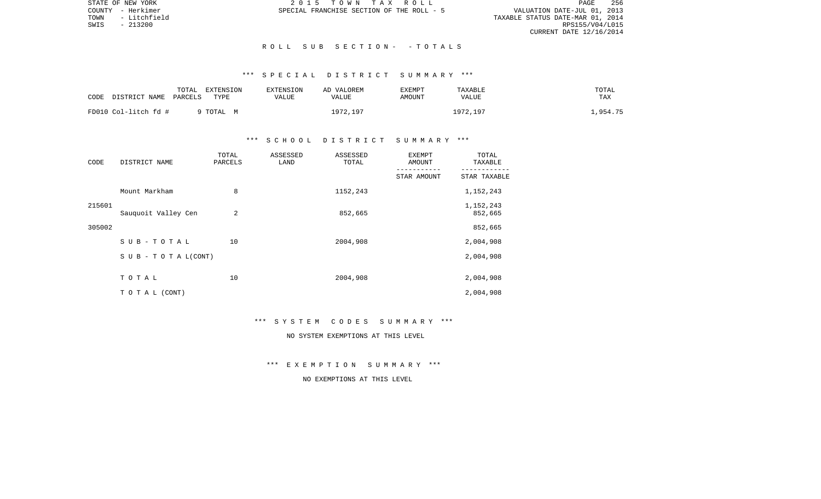VALUATION DATE-JUL 01, 2013 TOWN - Litchfield TAXABLE STATUS DATE-MAR 01, 2014 RPS155/V04/L015 CURRENT DATE 12/16/2014

STATE OF NEW YORK 2 0 1 5 T O W N T A X R O L L PAGE 256COUNTY - Herkimer SPECIAL FRANCHISE SECTION OF THE ROLL - 5

#### R O L L S U B S E C T I O N - - T O T A L S

# \*\*\* S P E C I A L D I S T R I C T S U M M A R Y \*\*\*

| CODE | DISTRICT NAME        | TOTAL<br>PARCELS | EXTENSION<br>TYPE | EXTENSION<br>VALUE | AD VALOREM<br>VALUE | <b>EXEMPT</b><br>AMOUNT | TAXABLE<br>VALUE | TOTAL<br>TAX |
|------|----------------------|------------------|-------------------|--------------------|---------------------|-------------------------|------------------|--------------|
|      | FD010 Col-litch fd # |                  | 9 TOTAL M         |                    | 1972,197            |                         | 1972.197         | .,954.75     |

## \*\*\* S C H O O L D I S T R I C T S U M M A R Y \*\*\*

| CODE   | DISTRICT NAME                    | TOTAL<br>PARCELS | ASSESSED<br>LAND | ASSESSED<br>TOTAL | <b>EXEMPT</b><br>AMOUNT | TOTAL<br>TAXABLE     |
|--------|----------------------------------|------------------|------------------|-------------------|-------------------------|----------------------|
|        |                                  |                  |                  |                   | STAR AMOUNT             | STAR TAXABLE         |
|        | Mount Markham                    | 8                |                  | 1152,243          |                         | 1,152,243            |
| 215601 | Sauquoit Valley Cen              | 2                |                  | 852,665           |                         | 1,152,243<br>852,665 |
| 305002 |                                  |                  |                  |                   |                         | 852,665              |
|        | SUB-TOTAL                        | 10               |                  | 2004,908          |                         | 2,004,908            |
|        | $S \cup B - T \cup T A L (CONT)$ |                  |                  |                   |                         | 2,004,908            |
|        | TOTAL                            | 10               |                  | 2004,908          |                         | 2,004,908            |
|        | TO TAL (CONT)                    |                  |                  |                   |                         | 2,004,908            |

#### \*\*\* S Y S T E M C O D E S S U M M A R Y \*\*\*

# NO SYSTEM EXEMPTIONS AT THIS LEVEL

\*\*\* E X E M P T I O N S U M M A R Y \*\*\*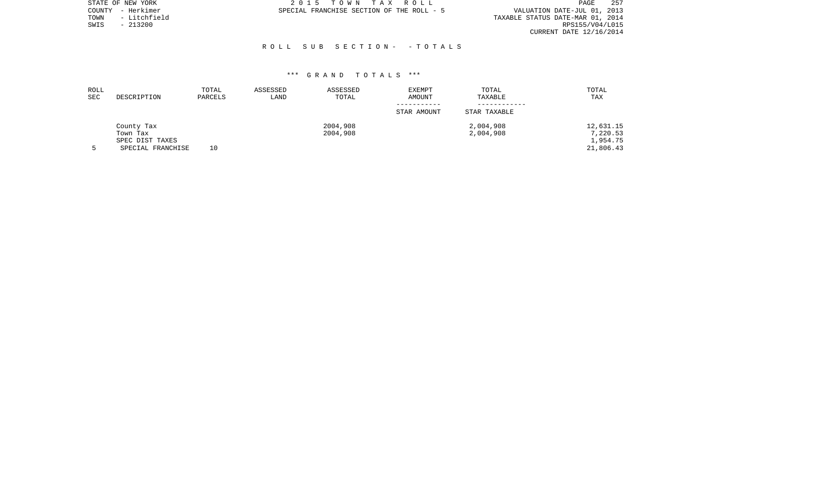|      | STATE OF NEW YORK | 2015 TOWN TAX ROLL                        | PAGE                             | 257 |
|------|-------------------|-------------------------------------------|----------------------------------|-----|
|      | COUNTY - Herkimer | SPECIAL FRANCHISE SECTION OF THE ROLL - 5 | VALUATION DATE-JUL 01, 2013      |     |
| TOWN | - Litchfield      |                                           | TAXABLE STATUS DATE-MAR 01, 2014 |     |
| SWIS | - 213200          |                                           | RPS155/V04/L015                  |     |
|      |                   |                                           | CURRENT DATE 12/16/2014          |     |

#### R O L L S U B S E C T I O N - - T O T A L S

| ROLL<br><b>SEC</b> | DESCRIPTION       | TOTAL<br>PARCELS | ASSESSED<br>LAND | ASSESSED<br>TOTAL | <b>EXEMPT</b><br>AMOUNT | TOTAL<br>TAXABLE | TOTAL<br>TAX |
|--------------------|-------------------|------------------|------------------|-------------------|-------------------------|------------------|--------------|
|                    |                   |                  |                  |                   | STAR AMOUNT             | STAR TAXABLE     |              |
|                    | County Tax        |                  |                  | 2004,908          |                         | 2,004,908        | 12,631.15    |
|                    | Town Tax          |                  |                  | 2004,908          |                         | 2,004,908        | 7,220.53     |
|                    | SPEC DIST TAXES   |                  |                  |                   |                         |                  | 1,954.75     |
|                    | SPECIAL FRANCHISE | 10               |                  |                   |                         |                  | 21,806.43    |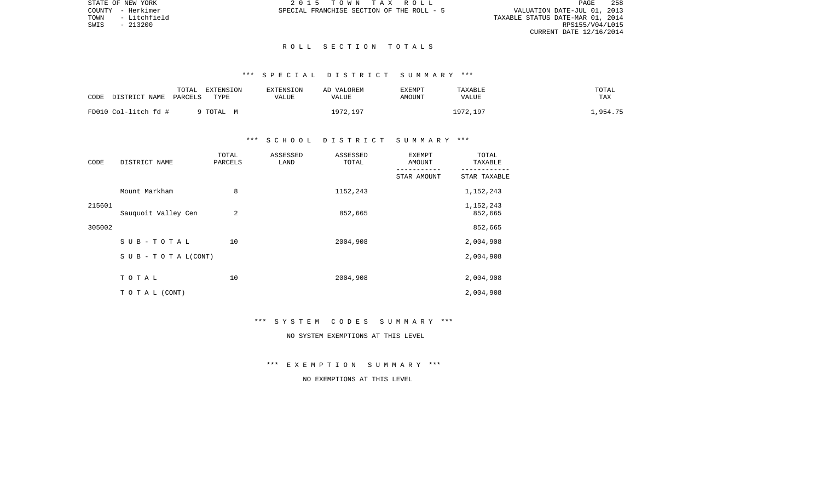VALUATION DATE-JUL 01, 2013 TOWN - Litchfield TAXABLE STATUS DATE-MAR 01, 2014 RPS155/V04/L015 CURRENT DATE 12/16/2014

STATE OF NEW YORK 2 0 1 5 T O W N T A X R O L L PAGE 258COUNTY - Herkimer SPECIAL FRANCHISE SECTION OF THE ROLL - 5

#### R O L L S E C T I O N T O T A L S

# \*\*\* S P E C I A L D I S T R I C T S U M M A R Y \*\*\*

|      |                      | TOTAL   | EXTENSION | EXTENSION | AD VALOREM | EXEMPT | TAXABLE      | TOTAL    |
|------|----------------------|---------|-----------|-----------|------------|--------|--------------|----------|
| CODE | DISTRICT NAME        | PARCELS | TYPE      | VALUE     | VALUE      | AMOUNT | <b>VALUE</b> | TAX      |
|      |                      |         |           |           |            |        |              |          |
|      | FD010 Col-litch fd # |         | 9 TOTAL M |           | 1972,197   |        | 1972,197     | .,954.75 |

## \*\*\* S C H O O L D I S T R I C T S U M M A R Y \*\*\*

| CODE   | DISTRICT NAME                    | TOTAL<br>PARCELS | ASSESSED<br>LAND | ASSESSED<br>TOTAL | <b>EXEMPT</b><br><b>AMOUNT</b> | TOTAL<br>TAXABLE     |
|--------|----------------------------------|------------------|------------------|-------------------|--------------------------------|----------------------|
|        |                                  |                  |                  |                   | STAR AMOUNT                    | STAR TAXABLE         |
|        | Mount Markham                    | 8                |                  | 1152,243          |                                | 1,152,243            |
| 215601 | Sauquoit Valley Cen              | 2                |                  | 852,665           |                                | 1,152,243<br>852,665 |
| 305002 |                                  |                  |                  |                   |                                | 852,665              |
|        | SUB-TOTAL                        | 10               |                  | 2004,908          |                                | 2,004,908            |
|        | $S \cup B - T \cup T A L (CONT)$ |                  |                  |                   |                                | 2,004,908            |
|        | TOTAL                            | 10               |                  | 2004,908          |                                | 2,004,908            |
|        | TO TAL (CONT)                    |                  |                  |                   |                                | 2,004,908            |

#### \*\*\* S Y S T E M C O D E S S U M M A R Y \*\*\*

# NO SYSTEM EXEMPTIONS AT THIS LEVEL

\*\*\* E X E M P T I O N S U M M A R Y \*\*\*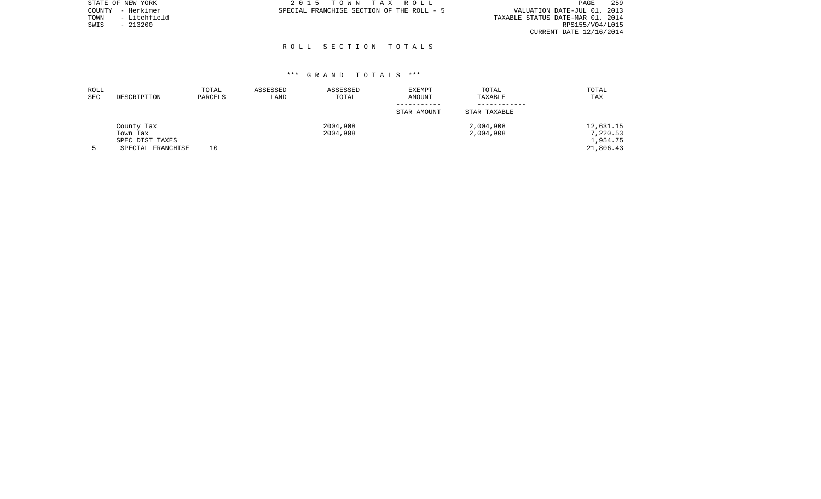| 2015 TOWN TAX ROLL                        | 259<br>PAGE                      |
|-------------------------------------------|----------------------------------|
| SPECIAL FRANCHISE SECTION OF THE ROLL - 5 | VALUATION DATE-JUL 01, 2013      |
|                                           | TAXABLE STATUS DATE-MAR 01, 2014 |
|                                           | RPS155/V04/L015                  |
|                                           | CURRENT DATE 12/16/2014          |
|                                           |                                  |

# R O L L S E C T I O N T O T A L S

| ROLL<br><b>SEC</b> | DESCRIPTION                          | TOTAL<br>PARCELS | ASSESSED<br>LAND | ASSESSED<br>TOTAL    | EXEMPT<br>AMOUNT | TOTAL<br>TAXABLE       | TOTAL<br>TAX          |
|--------------------|--------------------------------------|------------------|------------------|----------------------|------------------|------------------------|-----------------------|
|                    |                                      |                  |                  |                      | STAR AMOUNT      | STAR TAXABLE           |                       |
|                    | County Tax<br>Town Tax               |                  |                  | 2004,908<br>2004,908 |                  | 2,004,908<br>2,004,908 | 12,631.15<br>7,220.53 |
|                    | SPEC DIST TAXES<br>SPECIAL FRANCHISE | 10               |                  |                      |                  |                        | 1,954.75<br>21,806.43 |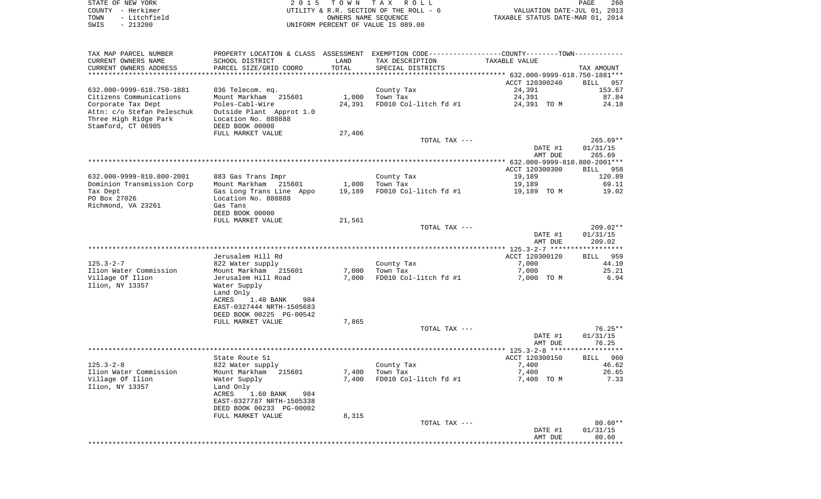| COUNTY - Herkimer<br>TOWN<br>- Litchfield<br>SWIS<br>$-213200$ |                                                                                                                                    | OWNERS NAME SEQUENCE | UTILITY & R.R. SECTION OF THE ROLL - 6<br>UNIFORM PERCENT OF VALUE IS 089.00 | VALUATION DATE-JUL 01, 2013<br>TAXABLE STATUS DATE-MAR 01, 2014 |                       |  |  |
|----------------------------------------------------------------|------------------------------------------------------------------------------------------------------------------------------------|----------------------|------------------------------------------------------------------------------|-----------------------------------------------------------------|-----------------------|--|--|
| TAX MAP PARCEL NUMBER                                          | PROPERTY LOCATION & CLASS ASSESSMENT EXEMPTION CODE---------------COUNTY-------TOWN----------                                      |                      |                                                                              |                                                                 |                       |  |  |
| CURRENT OWNERS NAME                                            | SCHOOL DISTRICT                                                                                                                    | LAND                 | TAX DESCRIPTION                                                              | TAXABLE VALUE                                                   |                       |  |  |
| CURRENT OWNERS ADDRESS                                         | PARCEL SIZE/GRID COORD                                                                                                             | TOTAL                | SPECIAL DISTRICTS                                                            |                                                                 | TAX AMOUNT            |  |  |
|                                                                |                                                                                                                                    |                      |                                                                              |                                                                 |                       |  |  |
| 632.000-9999-618.750-1881                                      | 836 Telecom. eq.                                                                                                                   |                      | County Tax                                                                   | ACCT 120300240<br>24,391                                        | BILL 957<br>153.67    |  |  |
| Citizens Communications                                        | Mount Markham 215601                                                                                                               | 1,000                | Town Tax                                                                     | 24,391                                                          | 87.84                 |  |  |
| Corporate Tax Dept                                             | Poles-Cabl-Wire                                                                                                                    | 24,391               | FD010 Col-litch fd #1                                                        | 24,391 TO M                                                     | 24.18                 |  |  |
| Stamford, CT 06905                                             | Attn: c/o Stefan Peleschuk     Outside Plant  Approt 1.0<br>Three High Ridge Park           Location No. 888888<br>DEED BOOK 00000 |                      |                                                                              |                                                                 |                       |  |  |
|                                                                | FULL MARKET VALUE                                                                                                                  | 27,406               |                                                                              |                                                                 |                       |  |  |
|                                                                |                                                                                                                                    |                      | TOTAL TAX ---                                                                |                                                                 | $265.69**$            |  |  |
|                                                                |                                                                                                                                    |                      |                                                                              | DATE #1                                                         | 01/31/15              |  |  |
|                                                                |                                                                                                                                    |                      |                                                                              | AMT DUE                                                         | 265.69                |  |  |
|                                                                |                                                                                                                                    |                      |                                                                              | ACCT 120300300                                                  | BILL 958              |  |  |
| 632.000-9999-810.800-2001                                      | 883 Gas Trans Impr                                                                                                                 |                      | County Tax                                                                   | 19,189                                                          | 120.89                |  |  |
| Dominion Transmission Corp                                     | Mount Markham 215601                                                                                                               | 1,000                | Town Tax                                                                     | 19,189                                                          | 69.11                 |  |  |
| Tax Dept                                                       | Gas Long Trans Line Appo                                                                                                           | 19,189               | FD010 Col-litch fd #1                                                        | 19,189 TO M                                                     | 19.02                 |  |  |
| PO Box 27026                                                   | Location No. 888888                                                                                                                |                      |                                                                              |                                                                 |                       |  |  |
| Richmond, VA 23261                                             | Gas Tans<br>DEED BOOK 00000                                                                                                        |                      |                                                                              |                                                                 |                       |  |  |
|                                                                | FULL MARKET VALUE                                                                                                                  | 21,561               |                                                                              |                                                                 |                       |  |  |
|                                                                |                                                                                                                                    |                      | TOTAL TAX ---                                                                |                                                                 | $209.02**$            |  |  |
|                                                                |                                                                                                                                    |                      |                                                                              | DATE #1                                                         | 01/31/15              |  |  |
|                                                                |                                                                                                                                    |                      |                                                                              | AMT DUE                                                         | 209.02                |  |  |
|                                                                | Jerusalem Hill Rd                                                                                                                  |                      |                                                                              | ACCT 120300120                                                  | 959<br>BILL           |  |  |
| 125.3-2-7                                                      | 822 Water supply                                                                                                                   |                      | County Tax                                                                   | 7,000                                                           | 44.10                 |  |  |
| Ilion Water Commission                                         | Mount Markham 215601                                                                                                               | 7,000                | Town Tax                                                                     | 7,000                                                           | 25.21                 |  |  |
| Village Of Ilion                                               | Jerusalem Hill Road                                                                                                                | 7,000                | FD010 Col-litch fd #1                                                        | 7,000 TO M                                                      | 6.94                  |  |  |
| Ilion, NY 13357                                                | Water Supply                                                                                                                       |                      |                                                                              |                                                                 |                       |  |  |
|                                                                | Land Only<br>1.40 BANK<br>ACRES<br>984                                                                                             |                      |                                                                              |                                                                 |                       |  |  |
|                                                                | EAST-0327444 NRTH-1505683                                                                                                          |                      |                                                                              |                                                                 |                       |  |  |
|                                                                | DEED BOOK 00225 PG-00542                                                                                                           |                      |                                                                              |                                                                 |                       |  |  |
|                                                                | FULL MARKET VALUE                                                                                                                  | 7,865                |                                                                              |                                                                 |                       |  |  |
|                                                                |                                                                                                                                    |                      | TOTAL TAX ---                                                                | DATE #1                                                         | $76.25**$<br>01/31/15 |  |  |
|                                                                |                                                                                                                                    |                      |                                                                              | AMT DUE                                                         | 76.25                 |  |  |
|                                                                |                                                                                                                                    |                      |                                                                              |                                                                 |                       |  |  |
|                                                                | State Route 51                                                                                                                     |                      |                                                                              | ACCT 120300150                                                  | BILL 960              |  |  |
| $125.3 - 2 - 8$                                                | 822 Water supply                                                                                                                   |                      | County Tax                                                                   | 7,400                                                           | 46.62                 |  |  |
| Ilion Water Commission<br>Village Of Ilion                     | Mount Markham 215601<br>Water Supply                                                                                               | 7,400                | 7,400 Town Tax<br>FD010 Col-litch fd #1                                      | 7,400<br>7,400 TO M                                             | 26.65<br>7.33         |  |  |
| Ilion, NY 13357                                                | Land Only                                                                                                                          |                      |                                                                              |                                                                 |                       |  |  |
|                                                                | ACRES<br>1.60 BANK<br>984                                                                                                          |                      |                                                                              |                                                                 |                       |  |  |
|                                                                | EAST-0327787 NRTH-1505338                                                                                                          |                      |                                                                              |                                                                 |                       |  |  |
|                                                                | DEED BOOK 00233 PG-00002                                                                                                           |                      |                                                                              |                                                                 |                       |  |  |
|                                                                | FULL MARKET VALUE                                                                                                                  | 8,315                | TOTAL TAX ---                                                                |                                                                 | $80.60**$             |  |  |
|                                                                |                                                                                                                                    |                      |                                                                              | DATE #1                                                         | 01/31/15              |  |  |
|                                                                |                                                                                                                                    |                      |                                                                              | AMT DUE                                                         | 80.60                 |  |  |
|                                                                |                                                                                                                                    |                      |                                                                              |                                                                 |                       |  |  |

PAGE 260

STATE OF NEW YORK **EXECUTE:**  $2015$  TOWN TAX ROLL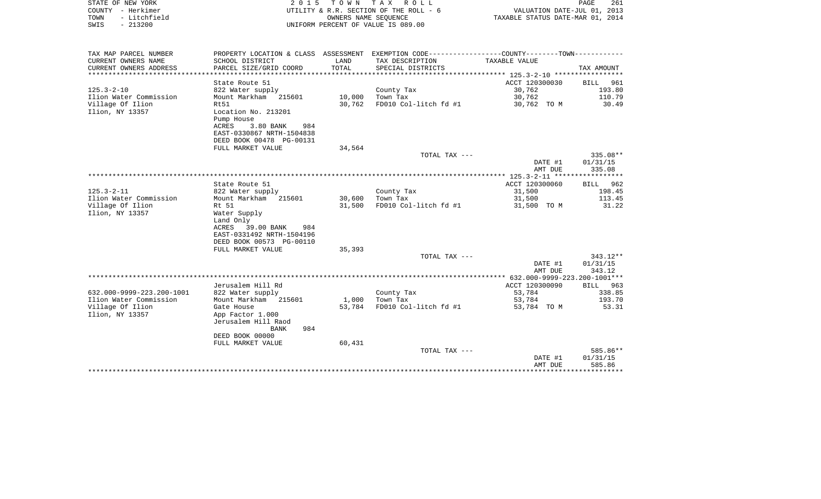| STATE OF NEW YORK<br>COUNTY - Herkimer<br>- Litchfield<br>TOWN<br>$-213200$<br>SWIS | 2 0 1 5                                                                                                                          | T O W N                         | TAX ROLL<br>UTILITY & R.R. SECTION OF THE ROLL - 6<br>OWNERS NAME SEQUENCE<br>UNIFORM PERCENT OF VALUE IS 089.00 | TAXABLE STATUS DATE-MAR 01, 2014 | PAGE<br>261<br>VALUATION DATE-JUL 01, 2013 |
|-------------------------------------------------------------------------------------|----------------------------------------------------------------------------------------------------------------------------------|---------------------------------|------------------------------------------------------------------------------------------------------------------|----------------------------------|--------------------------------------------|
| TAX MAP PARCEL NUMBER                                                               |                                                                                                                                  |                                 | PROPERTY LOCATION & CLASS ASSESSMENT EXEMPTION CODE----------------COUNTY-------TOWN----------                   |                                  |                                            |
| CURRENT OWNERS NAME<br>CURRENT OWNERS ADDRESS<br>*********************              | SCHOOL DISTRICT<br>PARCEL SIZE/GRID COORD<br>**********************                                                              | LAND<br>TOTAL<br>************** | TAX DESCRIPTION<br>SPECIAL DISTRICTS                                                                             | TAXABLE VALUE                    | TAX AMOUNT                                 |
|                                                                                     | State Route 51                                                                                                                   |                                 |                                                                                                                  | ACCT 120300030                   | 961<br>BILL                                |
| $125.3 - 2 - 10$                                                                    | 822 Water supply                                                                                                                 |                                 | County Tax                                                                                                       | 30,762                           | 193.80                                     |
| Ilion Water Commission                                                              | Mount Markham<br>215601                                                                                                          | 10,000                          | Town Tax                                                                                                         | 30,762                           | 110.79                                     |
| Village Of Ilion<br>Ilion, NY 13357                                                 | Rt.51<br>Location No. 213201<br>Pump House<br>ACRES<br>3.80 BANK<br>984<br>EAST-0330867 NRTH-1504838<br>DEED BOOK 00478 PG-00131 | 30,762                          | FD010 Col-litch fd #1                                                                                            | 30,762 TO M                      | 30.49                                      |
|                                                                                     | FULL MARKET VALUE                                                                                                                | 34,564                          |                                                                                                                  |                                  |                                            |
|                                                                                     |                                                                                                                                  |                                 | TOTAL TAX ---                                                                                                    | DATE #1<br>AMT DUE               | 335.08**<br>01/31/15<br>335.08             |
|                                                                                     |                                                                                                                                  |                                 |                                                                                                                  |                                  |                                            |
|                                                                                     | State Route 51                                                                                                                   |                                 |                                                                                                                  | ACCT 120300060                   | 962<br><b>BILL</b>                         |
| $125.3 - 2 - 11$                                                                    | 822 Water supply                                                                                                                 |                                 | County Tax                                                                                                       | 31,500                           | 198.45                                     |
| Ilion Water Commission                                                              | Mount Markham<br>215601                                                                                                          | 30,600                          | Town Tax                                                                                                         | 31,500                           | 113.45                                     |
| Village Of Ilion<br>Ilion, NY 13357                                                 | Rt 51<br>Water Supply<br>Land Only<br>39.00 BANK<br>984<br>ACRES<br>EAST-0331492 NRTH-1504196<br>DEED BOOK 00573 PG-00110        | 31,500                          | FD010 Col-litch fd #1                                                                                            | 31,500 TO M                      | 31.22                                      |
|                                                                                     | FULL MARKET VALUE                                                                                                                | 35,393                          |                                                                                                                  |                                  |                                            |
|                                                                                     |                                                                                                                                  |                                 | TOTAL TAX ---                                                                                                    | DATE #1<br>AMT DUE               | $343.12**$<br>01/31/15<br>343.12           |
|                                                                                     |                                                                                                                                  |                                 |                                                                                                                  |                                  |                                            |
|                                                                                     | Jerusalem Hill Rd                                                                                                                |                                 |                                                                                                                  | ACCT 120300090                   | BILL<br>963                                |
| 632.000-9999-223.200-1001                                                           | 822 Water supply                                                                                                                 |                                 | County Tax                                                                                                       | 53,784                           | 338.85                                     |
| Ilion Water Commission                                                              | Mount Markham 215601                                                                                                             | 1,000                           | Town Tax                                                                                                         | 53,784                           | 193.70                                     |
| Village Of Ilion<br>Ilion, NY 13357                                                 | Gate House<br>App Factor 1.000<br>Jerusalem Hill Raod<br><b>BANK</b><br>984<br>DEED BOOK 00000                                   | 53,784                          | FD010 Col-litch fd #1                                                                                            | 53,784 TO M                      | 53.31                                      |
|                                                                                     | FULL MARKET VALUE                                                                                                                | 60,431                          |                                                                                                                  |                                  |                                            |
|                                                                                     |                                                                                                                                  |                                 | TOTAL TAX ---                                                                                                    |                                  | 585.86**                                   |
|                                                                                     |                                                                                                                                  |                                 |                                                                                                                  | DATE #1<br>AMT DUE               | 01/31/15<br>585.86                         |
|                                                                                     |                                                                                                                                  |                                 |                                                                                                                  |                                  |                                            |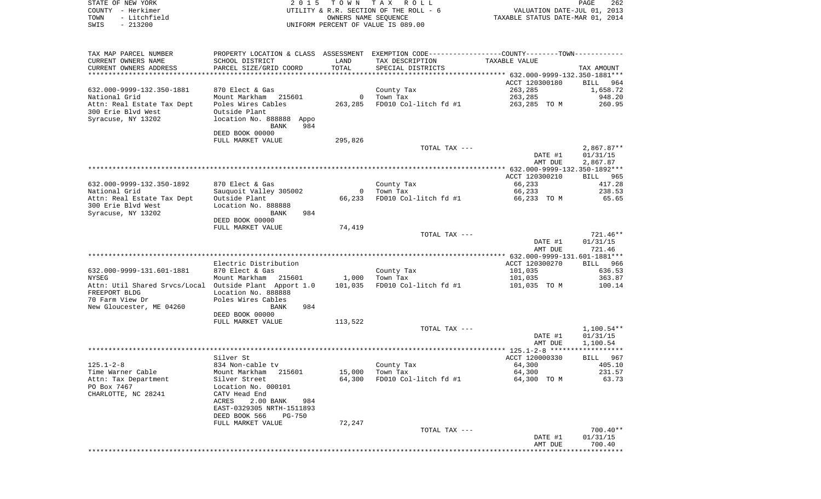| - Litchfield<br>TOWN<br>OWNERS NAME SEQUENCE<br>TAXABLE STATUS DATE-MAR 01, 2014<br>$-213200$<br>SWIS<br>UNIFORM PERCENT OF VALUE IS 089.00                                                                  |                    |
|--------------------------------------------------------------------------------------------------------------------------------------------------------------------------------------------------------------|--------------------|
| TAX MAP PARCEL NUMBER<br>PROPERTY LOCATION & CLASS ASSESSMENT EXEMPTION CODE---------------COUNTY-------TOWN----------<br>CURRENT OWNERS NAME<br>SCHOOL DISTRICT<br>LAND<br>TAX DESCRIPTION<br>TAXABLE VALUE |                    |
| TOTAL<br>CURRENT OWNERS ADDRESS<br>PARCEL SIZE/GRID COORD<br>SPECIAL DISTRICTS                                                                                                                               | TAX AMOUNT         |
| ***********************                                                                                                                                                                                      |                    |
| ACCT 120300180                                                                                                                                                                                               | BILL 964           |
| 263,285<br>632.000-9999-132.350-1881<br>870 Elect & Gas<br>County Tax<br>National Grid<br>Mount Markham 215601<br>Town Tax<br>263,285<br>$\mathbf{0}$                                                        | 1,658.72<br>948.20 |
| FD010 Col-litch fd #1<br>Attn: Real Estate Tax Dept<br>Poles Wires Cables<br>263,285<br>263,285 TO M                                                                                                         | 260.95             |
| 300 Erie Blvd West<br>Outside Plant                                                                                                                                                                          |                    |
| Syracuse, NY 13202<br>location No. 888888 Appo<br>984<br>BANK                                                                                                                                                |                    |
| DEED BOOK 00000                                                                                                                                                                                              |                    |
| 295,826<br>FULL MARKET VALUE<br>TOTAL TAX ---                                                                                                                                                                | $2,867.87**$       |
| DATE #1                                                                                                                                                                                                      | 01/31/15           |
| AMT DUE                                                                                                                                                                                                      | 2,867.87           |
|                                                                                                                                                                                                              |                    |
| ACCT 120300210<br>66,233<br>632.000-9999-132.350-1892<br>870 Elect & Gas<br>County Tax                                                                                                                       | BILL 965<br>417.28 |
| National Grid<br>Sauquoit Valley 305002<br>Town Tax<br>66,233<br>0                                                                                                                                           | 238.53             |
| Attn: Real Estate Tax Dept<br>Outside Plant<br>66,233<br>FD010 Col-litch fd #1<br>66,233 TO M                                                                                                                | 65.65              |
| 300 Erie Blyd West<br>Location No. 888888<br>Syracuse, NY 13202<br>984<br>BANK                                                                                                                               |                    |
| DEED BOOK 00000                                                                                                                                                                                              |                    |
| FULL MARKET VALUE<br>74,419                                                                                                                                                                                  |                    |
| TOTAL TAX ---                                                                                                                                                                                                | 721.46**           |
| DATE #1<br>AMT DUE                                                                                                                                                                                           | 01/31/15<br>721.46 |
|                                                                                                                                                                                                              |                    |
| Electric Distribution<br>ACCT 120300270                                                                                                                                                                      | BILL 966           |
| 632.000-9999-131.601-1881<br>870 Elect & Gas<br>County Tax<br>101,035                                                                                                                                        | 636.53             |
| NYSEG<br>Mount Markham 215601<br>1,000<br>Town Tax<br>101,035<br>FD010 Col-litch fd #1<br>Attn: Util Shared Srvcs/Local Outside Plant Apport 1.0<br>101,035<br>101,035 TO M                                  | 363.87<br>100.14   |
| FREEPORT BLDG<br>Location No. 888888                                                                                                                                                                         |                    |
| Poles Wires Cables<br>70 Farm View Dr                                                                                                                                                                        |                    |
| New Gloucester, ME 04260<br>984<br>BANK                                                                                                                                                                      |                    |
| DEED BOOK 00000<br>FULL MARKET VALUE<br>113,522                                                                                                                                                              |                    |
| TOTAL TAX ---                                                                                                                                                                                                | 1,100.54**         |
| DATE #1                                                                                                                                                                                                      | 01/31/15           |
| AMT DUE                                                                                                                                                                                                      | 1,100.54           |
| Silver St<br>ACCT 120000330                                                                                                                                                                                  | 967<br>BILL        |
| $125.1 - 2 - 8$<br>64,300<br>834 Non-cable tv<br>County Tax                                                                                                                                                  | 405.10             |
| Time Warner Cable<br>Mount Markham 215601<br>15,000<br>Town Tax<br>64,300                                                                                                                                    | 231.57             |
| Attn: Tax Department<br>Silver Street<br>64,300<br>FD010 Col-litch fd #1<br>64,300 TO M<br>PO Box 7467<br>Location No. 000101                                                                                | 63.73              |
| CHARLOTTE, NC 28241<br>CATV Head End                                                                                                                                                                         |                    |
| ACRES<br>2.00 BANK<br>984                                                                                                                                                                                    |                    |
| EAST-0329305 NRTH-1511893                                                                                                                                                                                    |                    |
| DEED BOOK 566<br><b>PG-750</b><br>FULL MARKET VALUE<br>72,247                                                                                                                                                |                    |
| TOTAL TAX ---                                                                                                                                                                                                | $700.40**$         |
| DATE #1                                                                                                                                                                                                      | 01/31/15           |
| AMT DUE<br>*******************************                                                                                                                                                                   | 700.40             |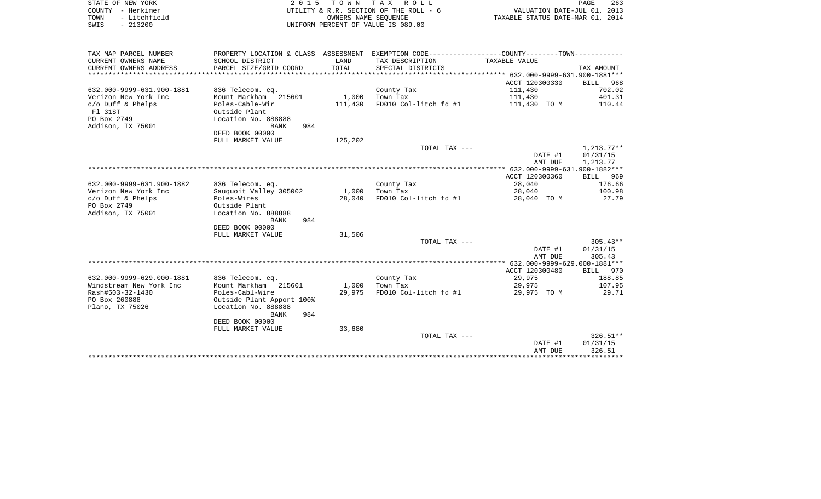| COUNTY - Herkimer<br>TOWN<br>- Litchfield<br>SWIS<br>$-213200$ |                                         |                 | UTILITY & R.R. SECTION OF THE ROLL - 6<br>OWNERS NAME SEOUENCE<br>UNIFORM PERCENT OF VALUE IS 089.00 | VALUATION DATE-JUL 01, 2013<br>TAXABLE STATUS DATE-MAR 01, 2014 |                      |
|----------------------------------------------------------------|-----------------------------------------|-----------------|------------------------------------------------------------------------------------------------------|-----------------------------------------------------------------|----------------------|
| TAX MAP PARCEL NUMBER                                          |                                         |                 | PROPERTY LOCATION & CLASS ASSESSMENT EXEMPTION CODE---------------COUNTY-------TOWN----------        |                                                                 |                      |
| CURRENT OWNERS NAME                                            | SCHOOL DISTRICT                         | LAND            | TAX DESCRIPTION                                                                                      | TAXABLE VALUE                                                   |                      |
| CURRENT OWNERS ADDRESS                                         | PARCEL SIZE/GRID COORD                  | TOTAL           | SPECIAL DISTRICTS                                                                                    |                                                                 | TAX AMOUNT           |
|                                                                |                                         |                 |                                                                                                      |                                                                 |                      |
|                                                                |                                         |                 |                                                                                                      | ACCT 120300330                                                  | BILL 968             |
| 632.000-9999-631.900-1881                                      | 836 Telecom. eq.                        |                 | County Tax                                                                                           | 111,430                                                         | 702.02               |
| Verizon New York Inc                                           | Mount Markham<br>215601                 | 1,000           | Town Tax                                                                                             | 111,430                                                         | 401.31               |
| $c/O$ Duff & Phelps                                            | Poles-Cable-Wir                         | 111,430         | FD010 Col-litch fd #1                                                                                | 111,430 TO M                                                    | 110.44               |
| F1 31ST                                                        | Outside Plant                           |                 |                                                                                                      |                                                                 |                      |
| PO Box 2749                                                    | Location No. 888888                     |                 |                                                                                                      |                                                                 |                      |
| Addison, TX 75001                                              | <b>BANK</b><br>984                      |                 |                                                                                                      |                                                                 |                      |
|                                                                | DEED BOOK 00000                         | 125,202         |                                                                                                      |                                                                 |                      |
|                                                                | FULL MARKET VALUE                       |                 | TOTAL TAX ---                                                                                        |                                                                 | $1,213.77**$         |
|                                                                |                                         |                 |                                                                                                      | DATE #1<br>AMT DUE                                              | 01/31/15<br>1,213.77 |
|                                                                |                                         |                 |                                                                                                      |                                                                 |                      |
|                                                                |                                         |                 |                                                                                                      | ACCT 120300360                                                  | BILL 969             |
| 632.000-9999-631.900-1882                                      | 836 Telecom. eq.                        |                 | County Tax                                                                                           | 28,040                                                          | 176.66               |
| Verizon New York Inc                                           | Sauquoit Valley 305002                  | 1,000           | Town Tax                                                                                             | 28,040                                                          | 100.98               |
| $c/o$ Duff & Phelps                                            | Poles-Wires                             | 28,040          | FD010 Col-litch fd #1                                                                                | 28,040 TO M                                                     | 27.79                |
| PO Box 2749<br>Addison, TX 75001                               | Outside Plant<br>Location No. 888888    |                 |                                                                                                      |                                                                 |                      |
|                                                                | 984<br>BANK                             |                 |                                                                                                      |                                                                 |                      |
|                                                                | DEED BOOK 00000                         |                 |                                                                                                      |                                                                 |                      |
|                                                                | FULL MARKET VALUE                       | 31,506          |                                                                                                      |                                                                 |                      |
|                                                                |                                         |                 | TOTAL TAX ---                                                                                        |                                                                 | $305.43**$           |
|                                                                |                                         |                 |                                                                                                      | DATE #1<br>AMT DUE                                              | 01/31/15<br>305.43   |
|                                                                |                                         |                 |                                                                                                      |                                                                 |                      |
|                                                                |                                         |                 |                                                                                                      | ACCT 120300480                                                  | BILL 970             |
| 632.000-9999-629.000-1881                                      | 836 Telecom. eq.                        |                 | County Tax                                                                                           | 29,975                                                          | 188.85               |
| Windstream New York Inc<br>Rash#503-32-1430                    | Mount Markham 215601<br>Poles-Cabl-Wire | 1,000<br>29,975 | Town Tax<br>FD010 Col-litch fd #1                                                                    | 29,975<br>29,975 TO M                                           | 107.95<br>29.71      |
| PO Box 260888                                                  | Outside Plant Apport 100%               |                 |                                                                                                      |                                                                 |                      |
| Plano, TX 75026                                                | Location No. 888888<br>984<br>BANK      |                 |                                                                                                      |                                                                 |                      |
|                                                                | DEED BOOK 00000                         |                 |                                                                                                      |                                                                 |                      |
|                                                                | FULL MARKET VALUE                       | 33,680          |                                                                                                      |                                                                 |                      |
|                                                                |                                         |                 | TOTAL TAX ---                                                                                        |                                                                 | $326.51**$           |
|                                                                |                                         |                 |                                                                                                      | DATE #1                                                         | 01/31/15             |
|                                                                |                                         |                 |                                                                                                      | AMT DUE                                                         | 326.51               |
|                                                                |                                         |                 |                                                                                                      |                                                                 |                      |

PAGE 263

STATE OF NEW YORK **EXECUTE:**  $2015$  TOWN TAX ROLL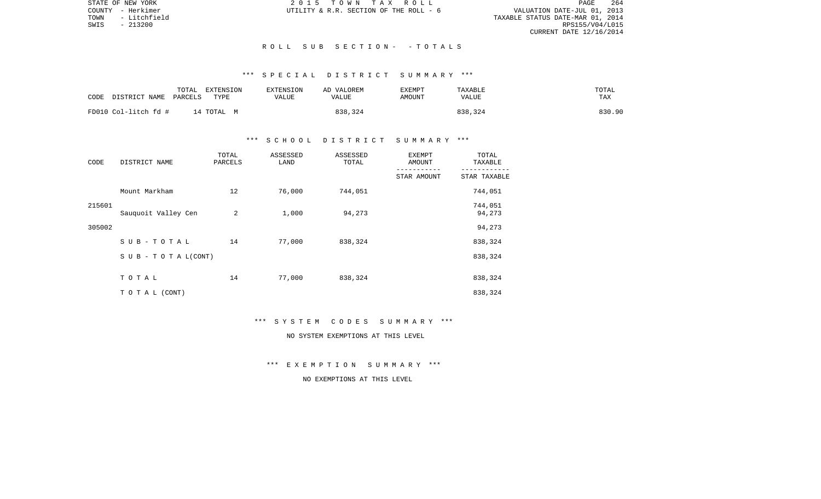STATE OF NEW YORK 2 0 1 5 T O W N T A X R O L L PAGE 264VALUATION DATE-JUL 01, 2013 TOWN - Litchfield TAXABLE STATUS DATE-MAR 01, 2014 RPS155/V04/L015 CURRENT DATE 12/16/2014

COUNTY - Herkimer  $U$ TILITY & R.R. SECTION OF THE ROLL - 6

#### R O L L S U B S E C T I O N - - T O T A L S

# \*\*\* S P E C I A L D I S T R I C T S U M M A R Y \*\*\*

| CODE<br>DISTRICT NAME | TOTAL<br>PARCELS | EXTENSION<br>TYPE | <b>EXTENSION</b><br>VALUE | AD VALOREM<br>VALUE | <b>EXEMPT</b><br>AMOUNT | <b>TAXABLE</b><br>VALUE | TOTAL<br>TAX |  |
|-----------------------|------------------|-------------------|---------------------------|---------------------|-------------------------|-------------------------|--------------|--|
| FD010 Col-litch fd #  |                  | 14 TOTAL M        |                           | 838,324             |                         | 838,324                 | 830.90       |  |

## \*\*\* S C H O O L D I S T R I C T S U M M A R Y \*\*\*

| CODE   | DISTRICT NAME                    | TOTAL<br>PARCELS | ASSESSED<br>LAND | ASSESSED<br>TOTAL | <b>EXEMPT</b><br>AMOUNT | TOTAL<br>TAXABLE  |
|--------|----------------------------------|------------------|------------------|-------------------|-------------------------|-------------------|
|        |                                  |                  |                  |                   | STAR AMOUNT             | STAR TAXABLE      |
|        | Mount Markham                    | 12               | 76,000           | 744,051           |                         | 744,051           |
| 215601 | Sauquoit Valley Cen              | 2                | 1,000            | 94,273            |                         | 744,051<br>94,273 |
| 305002 |                                  |                  |                  |                   |                         | 94,273            |
|        | SUB-TOTAL                        | 14               | 77,000           | 838,324           |                         | 838,324           |
|        | $S \cup B - T \cup T A L (CONT)$ |                  |                  |                   |                         | 838,324           |
|        | TOTAL                            | 14               | 77,000           | 838,324           |                         | 838,324           |
|        | TO TAL (CONT)                    |                  |                  |                   |                         | 838,324           |

\*\*\* S Y S T E M C O D E S S U M M A R Y \*\*\*

NO SYSTEM EXEMPTIONS AT THIS LEVEL

\*\*\* E X E M P T I O N S U M M A R Y \*\*\*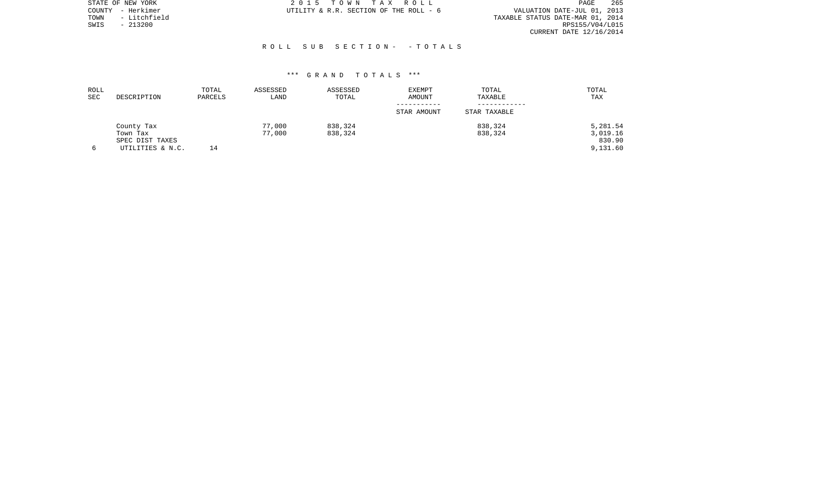| STATE OF NEW YORK    | 2015 TOWN TAX ROLL                     | 265<br>PAGE                      |
|----------------------|----------------------------------------|----------------------------------|
| COUNTY - Herkimer    | UTILITY & R.R. SECTION OF THE ROLL - 6 | VALUATION DATE-JUL 01, 2013      |
| - Litchfield<br>TOWN |                                        | TAXABLE STATUS DATE-MAR 01, 2014 |
| SWIS<br>- 213200     |                                        | RPS155/V04/L015                  |
|                      |                                        | CURRENT DATE 12/16/2014          |

#### R O L L S U B S E C T I O N - - T O T A L S

| ROLL<br>SEC | DESCRIPTION      | TOTAL<br>PARCELS | ASSESSED<br>LAND | ASSESSED<br>TOTAL | <b>EXEMPT</b><br>AMOUNT | TOTAL<br>TAXABLE | TOTAL<br>TAX |
|-------------|------------------|------------------|------------------|-------------------|-------------------------|------------------|--------------|
|             |                  |                  |                  |                   | STAR AMOUNT             | STAR TAXABLE     |              |
|             | County Tax       |                  | 77,000           | 838,324           |                         | 838,324          | 5,281.54     |
|             | Town Tax         |                  | 77,000           | 838,324           |                         | 838,324          | 3,019.16     |
|             | SPEC DIST TAXES  |                  |                  |                   |                         |                  | 830.90       |
| 6           | UTILITIES & N.C. | 14               |                  |                   |                         |                  | 9,131.60     |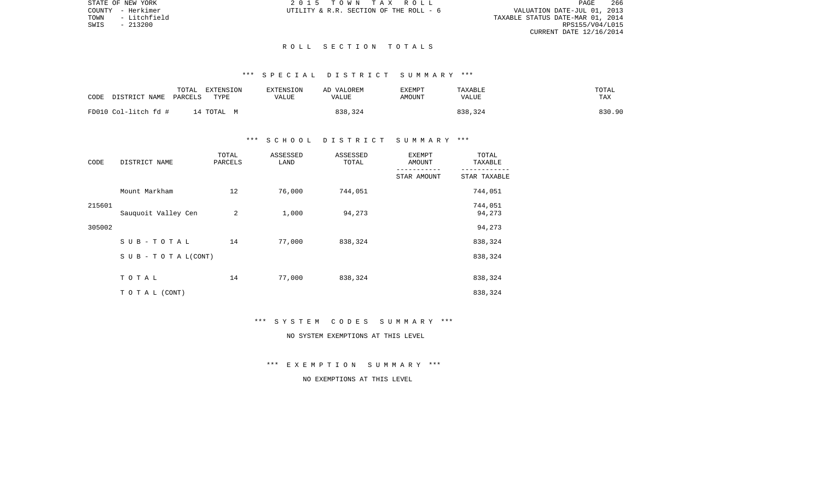STATE OF NEW YORK 2 0 1 5 T O W N T A X R O L L PAGE 266VALUATION DATE-JUL 01, 2013 TOWN - Litchfield TAXABLE STATUS DATE-MAR 01, 2014 RPS155/V04/L015 CURRENT DATE 12/16/2014

COUNTY - Herkimer  $UTILLITY \& R.R.$  SECTION OF THE ROLL - 6

#### R O L L S E C T I O N T O T A L S

# \*\*\* S P E C I A L D I S T R I C T S U M M A R Y \*\*\*

| CODE | DISTRICT NAME        | TOTAL<br>PARCELS | EXTENSION<br>TYPE | <b>EXTENSION</b><br>VALUE | AD VALOREM<br>VALUE | EXEMPT<br>AMOUNT | TAXABLE<br><b>VALUE</b> | TOTAL<br>TAX |
|------|----------------------|------------------|-------------------|---------------------------|---------------------|------------------|-------------------------|--------------|
|      | FD010 Col-litch fd # |                  | 14 ТОТАL М        |                           | 838,324             |                  | 838,324                 | 830.90       |

## \*\*\* S C H O O L D I S T R I C T S U M M A R Y \*\*\*

| CODE   | DISTRICT NAME                    | TOTAL<br>PARCELS | ASSESSED<br>LAND | ASSESSED<br>TOTAL | <b>EXEMPT</b><br>AMOUNT | TOTAL<br>TAXABLE  |
|--------|----------------------------------|------------------|------------------|-------------------|-------------------------|-------------------|
|        |                                  |                  |                  |                   | STAR AMOUNT             | STAR TAXABLE      |
|        | Mount Markham                    | 12               | 76,000           | 744,051           |                         | 744,051           |
| 215601 | Sauquoit Valley Cen              | 2                | 1,000            | 94,273            |                         | 744,051<br>94,273 |
| 305002 |                                  |                  |                  |                   |                         | 94,273            |
|        | SUB-TOTAL                        | 14               | 77,000           | 838,324           |                         | 838,324           |
|        | $S \cup B - T \cup T A L (CONT)$ |                  |                  |                   |                         | 838,324           |
|        | TOTAL                            | 14               | 77,000           | 838,324           |                         | 838,324           |
|        | TO TAL (CONT)                    |                  |                  |                   |                         | 838,324           |

\*\*\* S Y S T E M C O D E S S U M M A R Y \*\*\*

NO SYSTEM EXEMPTIONS AT THIS LEVEL

\*\*\* E X E M P T I O N S U M M A R Y \*\*\*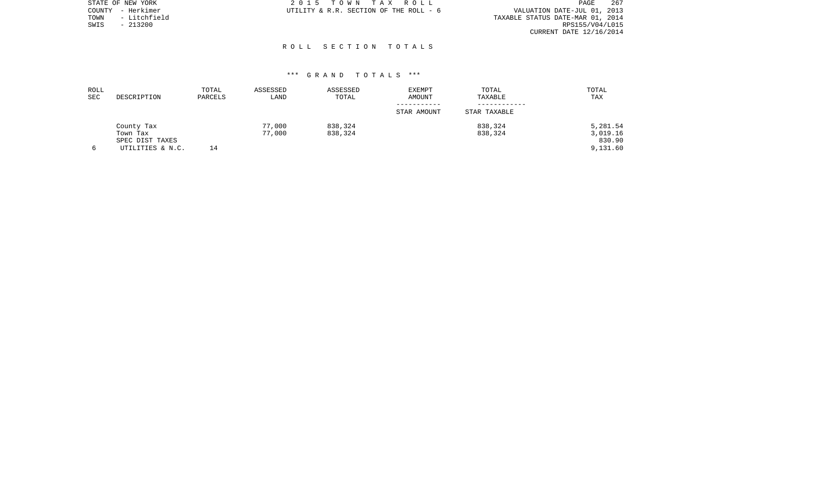|      | STATE OF NEW YORK | 2015 TOWN TAX ROLL                     | 267<br>PAGE                      |
|------|-------------------|----------------------------------------|----------------------------------|
|      | COUNTY - Herkimer | UTILITY & R.R. SECTION OF THE ROLL - 6 | VALUATION DATE-JUL 01, 2013      |
| TOWN | - Litchfield      |                                        | TAXABLE STATUS DATE-MAR 01, 2014 |
| SWIS | $-213200$         |                                        | RPS155/V04/L015                  |
|      |                   |                                        | CURRENT DATE 12/16/2014          |
|      |                   |                                        |                                  |

# R O L L S E C T I O N T O T A L S

| ROLL<br>SEC | DESCRIPTION      | TOTAL<br>PARCELS | ASSESSED<br>LAND | ASSESSED<br>TOTAL | <b>EXEMPT</b><br><b>AMOUNT</b> | TOTAL<br>TAXABLE | TOTAL<br>TAX |
|-------------|------------------|------------------|------------------|-------------------|--------------------------------|------------------|--------------|
|             |                  |                  |                  |                   | STAR AMOUNT                    | STAR TAXABLE     |              |
|             | County Tax       |                  | 77,000           | 838,324           |                                | 838,324          | 5,281.54     |
|             | Town Tax         |                  | 77,000           | 838,324           |                                | 838,324          | 3,019.16     |
|             | SPEC DIST TAXES  |                  |                  |                   |                                |                  | 830.90       |
| 6           | UTILITIES & N.C. | 14               |                  |                   |                                |                  | 9,131.60     |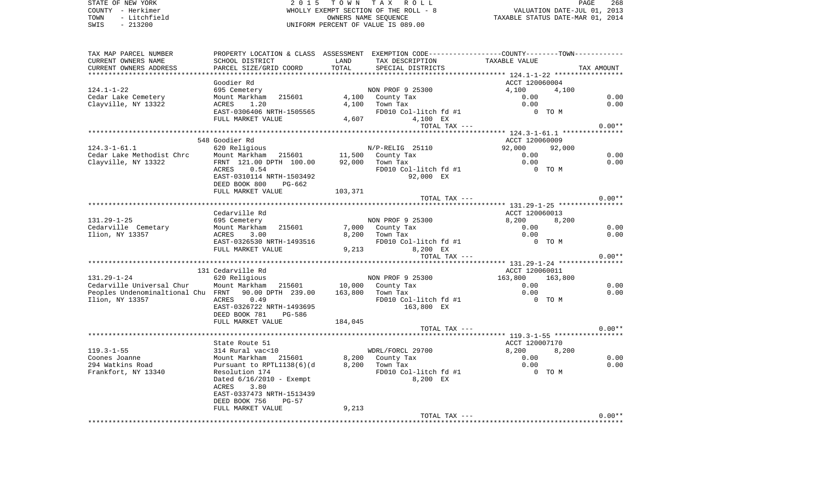COUNTY - Herkimer WHOLLY EXEMPT SECTION OF THE ROLL - 8 VALUATION DATE-JUL 01, 2013 TOWN - Litchfield COWNERS NAME SEQUENCE TAXABLE STATUS DATE-MAR 01, 2014 SWIS - 213200 UNIFORM PERCENT OF VALUE IS 089.00TAX MAP PARCEL NUMBER PROPERTY LOCATION & CLASS ASSESSMENT EXEMPTION CODE------------------COUNTY--------TOWN------------ CURRENT OWNERS NAME SCHOOL DISTRICT LAND TAX DESCRIPTION TAXABLE VALUECURRENT OWNERS ADDRESS PARCEL SIZE/GRID COORD TOTAL SPECIAL DISTRICTS TAX AMOUNT \*\*\*\*\*\*\*\*\*\*\*\*\*\*\*\*\*\*\*\*\*\*\*\*\*\*\*\*\*\*\*\*\*\*\*\*\*\*\*\*\*\*\*\*\*\*\*\*\*\*\*\*\*\*\*\*\*\*\*\*\*\*\*\*\*\*\*\*\*\*\*\*\*\*\*\*\*\*\*\*\*\*\*\*\*\*\*\*\*\*\*\*\*\*\*\*\*\*\*\*\*\*\* 124.1-1-22 \*\*\*\*\*\*\*\*\*\*\*\*\*\*\*\*\* Goodier Rd ACCT 120060004 124.1-1-22 695 Cemetery NON PROF 9 25300 4,100 4,100 Cedar Lake Cemetery 6.00 Mount Markham 215601 4,100 County Tax 6.00 0.00 0.00 0.00 Clayville, NY 13322 ACRES 1.20 4,100 Town Tax 0.00 0.00 EAST-0306406 NRTH-1505565 FD010 Col-litch fd #1 0 TO M FULL MARKET VALUE 4,607 4,100 EX TOTAL TAX  $---$  0.00\*\* \*\*\*\*\*\*\*\*\*\*\*\*\*\*\*\*\*\*\*\*\*\*\*\*\*\*\*\*\*\*\*\*\*\*\*\*\*\*\*\*\*\*\*\*\*\*\*\*\*\*\*\*\*\*\*\*\*\*\*\*\*\*\*\*\*\*\*\*\*\*\*\*\*\*\*\*\*\*\*\*\*\*\*\*\*\*\*\*\*\*\*\*\*\*\*\*\*\*\*\*\*\*\* 124.3-1-61.1 \*\*\*\*\*\*\*\*\*\*\*\*\*\*\* 548 Goodier Rd ACCT 120060009124.3-1-61.1 620 Religious N/P-RELIG 25110 92,000 92,000 Cedar Lake Methodist Chrc Mount Markham 215601 11,500 County Tax 0.00 0.00 Clayville, NY 13322 FRNT 121.00 DPTH 100.00 92,000 Town Tax 0.00 0.00 ACRES 0.54 FD010 Col-litch fd #1 0 TO M EAST-0310114 NRTH-1503492 92,000 EX DEED BOOK 800 PG-662 FULL MARKET VALUE 103,371 TOTAL TAX  $---$  0.00\*\* \*\*\*\*\*\*\*\*\*\*\*\*\*\*\*\*\*\*\*\*\*\*\*\*\*\*\*\*\*\*\*\*\*\*\*\*\*\*\*\*\*\*\*\*\*\*\*\*\*\*\*\*\*\*\*\*\*\*\*\*\*\*\*\*\*\*\*\*\*\*\*\*\*\*\*\*\*\*\*\*\*\*\*\*\*\*\*\*\*\*\*\*\*\*\*\*\*\*\*\*\*\*\* 131.29-1-25 \*\*\*\*\*\*\*\*\*\*\*\*\*\*\*\*Cedarville Rd ACCT 120060013 131.29-1-25 695 Cemetery NON PROF 9 25300 8,200 8,200 Cedarville Cemetary 6.00 Mount Markham 215601 7,000 County Tax 6.00 0.00 0.00 0.00 Ilion, NY 13357 ACRES 3.00 8,200 Town Tax 0.00 0.00 EAST-0326530 NRTH-1493516 FD010 Col-litch fd #1 0 TO M FULL MARKET VALUE  $9,213$  8,200 EX TOTAL TAX  $---$  0.00\*\* \*\*\*\*\*\*\*\*\*\*\*\*\*\*\*\*\*\*\*\*\*\*\*\*\*\*\*\*\*\*\*\*\*\*\*\*\*\*\*\*\*\*\*\*\*\*\*\*\*\*\*\*\*\*\*\*\*\*\*\*\*\*\*\*\*\*\*\*\*\*\*\*\*\*\*\*\*\*\*\*\*\*\*\*\*\*\*\*\*\*\*\*\*\*\*\*\*\*\*\*\*\*\* 131.29-1-24 \*\*\*\*\*\*\*\*\*\*\*\*\*\*\*\*131 Cedarville Rd ACCT 120060011 131.29-1-24 620 Religious NON PROF 9 25300 163,800 163,800 Cedarville Universal Chur Mount Markham 215601 10,000 County Tax 0.00 0.00 Peoples Undenominaltional Chu FRNT 90.00 DPTH 239.00 163,800 Town Tax 0.00 0.00 Ilion, NY 13357 ACRES 0.49 FD010 Col-litch fd #1 0 TO M EAST-0326722 NRTH-1493695 163,800 EX DEED BOOK 781 PG-586FULL MARKET VALUE 184,045 TOTAL TAX  $---$  0.00\*\* \*\*\*\*\*\*\*\*\*\*\*\*\*\*\*\*\*\*\*\*\*\*\*\*\*\*\*\*\*\*\*\*\*\*\*\*\*\*\*\*\*\*\*\*\*\*\*\*\*\*\*\*\*\*\*\*\*\*\*\*\*\*\*\*\*\*\*\*\*\*\*\*\*\*\*\*\*\*\*\*\*\*\*\*\*\*\*\*\*\*\*\*\*\*\*\*\*\*\*\*\*\*\* 119.3-1-55 \*\*\*\*\*\*\*\*\*\*\*\*\*\*\*\*\*State Route 51 ACCT 120007170 119.3-1-55 314 Rural vac<10 WDRL/FORCL 29700 8,200 8,200 Coones Joanne Mount Markham 215601 8,200 County Tax 0.00 0.00 294 Watkins Road Pursuant to RPTL1138(6)(d 8,200 Town Tax 0.00 0.00 Frankfort, NY 13340 Resolution 174 FD010 Col-litch fd #1 0 TO M Dated 6/16/2010 - Exempt 8,200 EX ACRES 3.80 EAST-0337473 NRTH-1513439 DEED BOOK 756 PG-57FULL MARKET VALUE 9,213 TOTAL TAX  $---$  0.00\*\* \*\*\*\*\*\*\*\*\*\*\*\*\*\*\*\*\*\*\*\*\*\*\*\*\*\*\*\*\*\*\*\*\*\*\*\*\*\*\*\*\*\*\*\*\*\*\*\*\*\*\*\*\*\*\*\*\*\*\*\*\*\*\*\*\*\*\*\*\*\*\*\*\*\*\*\*\*\*\*\*\*\*\*\*\*\*\*\*\*\*\*\*\*\*\*\*\*\*\*\*\*\*\*\*\*\*\*\*\*\*\*\*\*\*\*\*\*\*\*\*\*\*\*\*\*\*\*\*\*\*\*\*

STATE OF NEW YORK 2 0 1 5 T O W N T A X R O L L PAGE 268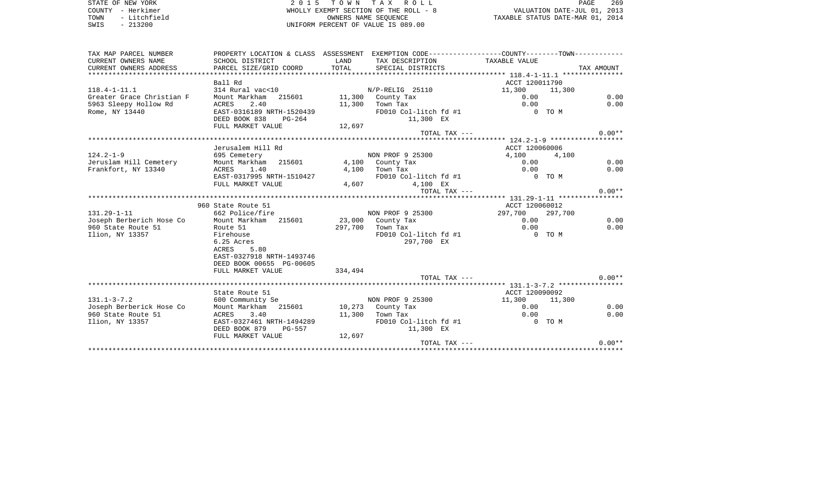STATE OF NEW YORK **EXECUTE:**  $2015$  TOWN TAX ROLL PAGE 269 COUNTY - Herkimer **WHOLLY EXEMPT SECTION OF THE ROLL - 8** VALUATION DATE-JUL 01, 2013 TOWN - Litchfield **CONNERS NAME SEQUENCE STATE STATE STATUS DATE-MAR 01, 2014**<br>TRIS - 213200 UNIFORM PERCENT OF VALUE IS 089.00 TAX MAP PARCEL NUMBER PROPERTY LOCATION & CLASS ASSESSMENT EXEMPTION CODE------------------COUNTY--------TOWN------------

TAXABLE VALUE

CURRENT OWNERS NAME SCHOOL DISTRICT LAND TAX DESCRIPTION TAXABLE VALUE

| CURRENT OWNERS ADDRESS    | PARCEL SIZE/GRID COORD    | TOTAL   | SPECIAL DISTRICTS     |                    | TAX AMOUNT |
|---------------------------|---------------------------|---------|-----------------------|--------------------|------------|
|                           |                           |         |                       |                    |            |
|                           | Ball Rd                   |         |                       | ACCT 120011790     |            |
| $118.4 - 1 - 11.1$        | 314 Rural vac<10          |         | N/P-RELIG 25110       | 11,300<br>11,300   |            |
| Greater Grace Christian F | Mount Markham 215601      |         | 11,300 County Tax     | 0.00               | 0.00       |
| 5963 Sleepy Hollow Rd     | ACRES<br>2.40             | 11,300  | Town Tax              | 0.00               | 0.00       |
| Rome, NY 13440            | EAST-0316189 NRTH-1520439 |         | FD010 Col-litch fd #1 | 0 TO M             |            |
|                           | DEED BOOK 838<br>PG-264   |         | 11,300 EX             |                    |            |
|                           | FULL MARKET VALUE         | 12,697  |                       |                    |            |
|                           |                           |         | TOTAL TAX ---         |                    | $0.00**$   |
|                           |                           |         |                       |                    |            |
|                           | Jerusalem Hill Rd         |         |                       | ACCT 120060006     |            |
| $124.2 - 1 - 9$           | 695 Cemetery              |         | NON PROF 9 25300      | 4,100<br>4,100     |            |
| Jeruslam Hill Cemetery    | Mount Markham 215601      |         | 4,100 County Tax      | 0.00               | 0.00       |
| Frankfort, NY 13340       | ACRES<br>1.40             | 4,100   | Town Tax              | 0.00               | 0.00       |
|                           | EAST-0317995 NRTH-1510427 |         | FD010 Col-litch fd #1 | 0 TO M             |            |
|                           | FULL MARKET VALUE         | 4,607   | 4,100 EX              |                    |            |
|                           |                           |         | TOTAL TAX ---         |                    | $0.00**$   |
|                           |                           |         |                       |                    |            |
|                           | 960 State Route 51        |         |                       | ACCT 120060012     |            |
| $131.29 - 1 - 11$         | 662 Police/fire           |         | NON PROF 9 25300      | 297,700<br>297,700 |            |
| Joseph Berberich Hose Co  | Mount Markham 215601      |         | 23,000 County Tax     | 0.00               | 0.00       |
| 960 State Route 51        | Route 51                  | 297,700 | Town Tax              | 0.00               | 0.00       |
| Ilion, NY 13357           | Firehouse                 |         | FD010 Col-litch fd #1 | 0 TO M             |            |
|                           | 6.25 Acres                |         | 297,700 EX            |                    |            |
|                           | 5.80<br>ACRES             |         |                       |                    |            |
|                           | EAST-0327918 NRTH-1493746 |         |                       |                    |            |
|                           | DEED BOOK 00655 PG-00605  |         |                       |                    |            |
|                           | FULL MARKET VALUE         | 334,494 |                       |                    |            |
|                           |                           |         | TOTAL TAX ---         |                    | $0.00**$   |
|                           |                           |         |                       |                    |            |
|                           | State Route 51            |         |                       | ACCT 120090092     |            |
| $131.1 - 3 - 7.2$         | 600 Community Se          |         | NON PROF 9 25300      | 11,300<br>11,300   |            |
| Joseph Berberick Hose Co  | Mount Markham 215601      |         | 10,273 County Tax     | 0.00               | 0.00       |
| 960 State Route 51        | 3.40<br>ACRES             | 11,300  | Town Tax              | 0.00               | 0.00       |
| Ilion, NY 13357           | EAST-0327461 NRTH-1494289 |         | FD010 Col-litch fd #1 | 0 TO M             |            |
|                           | DEED BOOK 879<br>PG-557   |         | 11,300 EX             |                    |            |
|                           | FULL MARKET VALUE         | 12,697  |                       |                    |            |
|                           |                           |         | TOTAL TAX ---         |                    | $0.00**$   |
|                           |                           |         |                       |                    |            |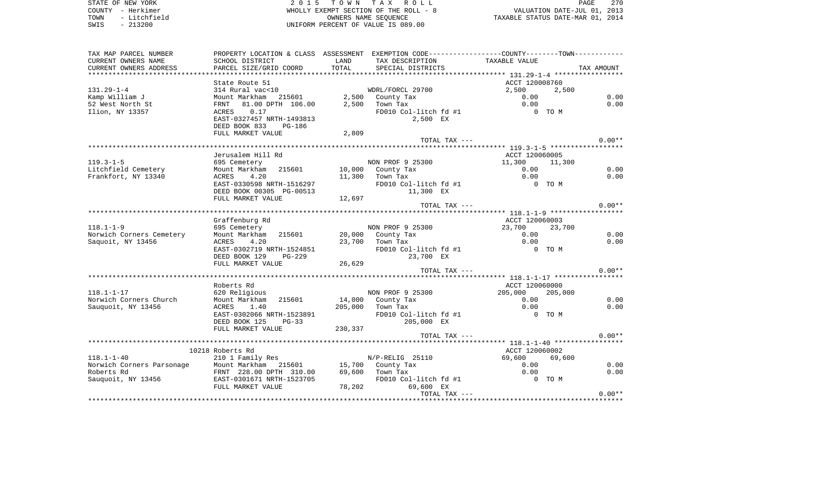STATE OF NEW YORK 2 0 1 5 T O W N T A X R O L L PAGE 270COUNTY - Herkimer WHOLLY EXEMPT SECTION OF THE ROLL - 8 VALUATION DATE-JUL 01, 2013 TOWN - Litchfield COWNERS NAME SEQUENCE TAXABLE STATUS DATE-MAR 01, 2014 SWIS - 213200 UNIFORM PERCENT OF VALUE IS 089.00

TAX MAP PARCEL NUMBER PROPERTY LOCATION & CLASS ASSESSMENT EXEMPTION CODE------------------COUNTY--------TOWN------------ CURRENT OWNERS NAME SCHOOL DISTRICT LAND TAX DESCRIPTION TAXABLE VALUECURRENT OWNERS ADDRESS PARCEL SIZE/GRID COORD TOTAL SPECIAL DISTRICTS TAX AMOUNT \*\*\*\*\*\*\*\*\*\*\*\*\*\*\*\*\*\*\*\*\*\*\*\*\*\*\*\*\*\*\*\*\*\*\*\*\*\*\*\*\*\*\*\*\*\*\*\*\*\*\*\*\*\*\*\*\*\*\*\*\*\*\*\*\*\*\*\*\*\*\*\*\*\*\*\*\*\*\*\*\*\*\*\*\*\*\*\*\*\*\*\*\*\*\*\*\*\*\*\*\*\*\* 131.29-1-4 \*\*\*\*\*\*\*\*\*\*\*\*\*\*\*\*\*State Route 51 ACCT 120008760 131.29-1-4 314 Rural vac<10 WDRL/FORCL 29700 2,500 2,500 Kamp William J Mount Markham 215601 2,500 County Tax 0.00 0.00 52 West North St FRNT 81.00 DPTH 106.00 2,500 Town Tax 0.00 0.00 Ilion, NY 13357 ACRES 0.17 FD010 Col-litch fd #1 0 TO M EAST-0327457 NRTH-1493813 2,500 EX DEED BOOK 833 PG-186FULL MARKET VALUE 2,809 TOTAL TAX  $---$  0.00\*\* \*\*\*\*\*\*\*\*\*\*\*\*\*\*\*\*\*\*\*\*\*\*\*\*\*\*\*\*\*\*\*\*\*\*\*\*\*\*\*\*\*\*\*\*\*\*\*\*\*\*\*\*\*\*\*\*\*\*\*\*\*\*\*\*\*\*\*\*\*\*\*\*\*\*\*\*\*\*\*\*\*\*\*\*\*\*\*\*\*\*\*\*\*\*\*\*\*\*\*\*\*\*\* 119.3-1-5 \*\*\*\*\*\*\*\*\*\*\*\*\*\*\*\*\*\* Jerusalem Hill Rd ACCT 120060005119.3-1-5 695 Cemetery 695 Cemetery 11,300 NON PROF 9 25300 11,300 11,300 11,300 11,300 11,300 11,300 11,300 1<br>
Litchfield Cemetery 69 Mount Markham 215601 10,000 County Tax 0.00 Litchfield Cemetery Mount Markham 215601 10,000 County Tax 0.00 0.00 0.00 0.00 Frankfort, NY 13340 ACRES 4.20 11,300 Town Tax 0.00 0.00 EAST-0330598 NRTH-1516297 FD010 Col-litch fd #1 0 TO M DEED BOOK 00305 PG-00513 11,300 EX FULL MARKET VALUE 12,697 TOTAL TAX  $---$  0.00\*\* \*\*\*\*\*\*\*\*\*\*\*\*\*\*\*\*\*\*\*\*\*\*\*\*\*\*\*\*\*\*\*\*\*\*\*\*\*\*\*\*\*\*\*\*\*\*\*\*\*\*\*\*\*\*\*\*\*\*\*\*\*\*\*\*\*\*\*\*\*\*\*\*\*\*\*\*\*\*\*\*\*\*\*\*\*\*\*\*\*\*\*\*\*\*\*\*\*\*\*\*\*\*\* 118.1-1-9 \*\*\*\*\*\*\*\*\*\*\*\*\*\*\*\*\*\*Graffenburg Rd **ACCT** 120060003 118.1-1-9 695 Cemetery NON PROF 9 25300 23,700 23,700 Norwich Corners Cemetery Mount Markham 215601 20,000 County Tax 0.00 0.00 0.00 0.00 Saquoit, NY 13456 ACRES 4.20 23,700 Town Tax 0.00 0.00 EAST-0302719 NRTH-1524851 FD010 Col-litch fd #1 0 TO M DEED BOOK 129 PG-229 23,700 EX FULL MARKET VALUE 26,629 TOTAL TAX  $---$  0.00\*\* \*\*\*\*\*\*\*\*\*\*\*\*\*\*\*\*\*\*\*\*\*\*\*\*\*\*\*\*\*\*\*\*\*\*\*\*\*\*\*\*\*\*\*\*\*\*\*\*\*\*\*\*\*\*\*\*\*\*\*\*\*\*\*\*\*\*\*\*\*\*\*\*\*\*\*\*\*\*\*\*\*\*\*\*\*\*\*\*\*\*\*\*\*\*\*\*\*\*\*\*\*\*\* 118.1-1-17 \*\*\*\*\*\*\*\*\*\*\*\*\*\*\*\*\*Roberts Rd
accor 120060000  $ACCT$  120060000 118.1-1-17 620 Religious NON PROF 9 25300 205,000 205,000 Norwich Corners Church Mount Markham 215601 14,000 County Tax 0.00 0.00 0.00 0.00 Sauquoit, NY 13456 ACRES 1.40 205,000 Town Tax 0.00 0.00 EAST-0302066 NRTH-1523891 FD010 Col-litch fd #1 0 TO M DEED BOOK 125 PG-33 205,000 EX FULL MARKET VALUE 230,337 TOTAL TAX  $---$  0.00\*\* \*\*\*\*\*\*\*\*\*\*\*\*\*\*\*\*\*\*\*\*\*\*\*\*\*\*\*\*\*\*\*\*\*\*\*\*\*\*\*\*\*\*\*\*\*\*\*\*\*\*\*\*\*\*\*\*\*\*\*\*\*\*\*\*\*\*\*\*\*\*\*\*\*\*\*\*\*\*\*\*\*\*\*\*\*\*\*\*\*\*\*\*\*\*\*\*\*\*\*\*\*\*\* 118.1-1-40 \*\*\*\*\*\*\*\*\*\*\*\*\*\*\*\*\* 10218 Roberts Rd ACCT 120060002118.1-1-40 210 1 Family Res N/P-RELIG 25110 69,600 69,600 Norwich Corners Parsonage Mount Markham 215601 15,700 County Tax 0.00 0.00 0.00 0.00 Roberts Rd FRNT 228.00 DPTH 310.00 69,600 Town Tax 0.00 0.00

Sauquoit, NY 13456 **EAST-0301671 NRTH-1523705** FD010 Col-litch fd #1 0 TO M FULL MARKET VALUE 78,202 69,600 EX

\*\*\*\*\*\*\*\*\*\*\*\*\*\*\*\*\*\*\*\*\*\*\*\*\*\*\*\*\*\*\*\*\*\*\*\*\*\*\*\*\*\*\*\*\*\*\*\*\*\*\*\*\*\*\*\*\*\*\*\*\*\*\*\*\*\*\*\*\*\*\*\*\*\*\*\*\*\*\*\*\*\*\*\*\*\*\*\*\*\*\*\*\*\*\*\*\*\*\*\*\*\*\*\*\*\*\*\*\*\*\*\*\*\*\*\*\*\*\*\*\*\*\*\*\*\*\*\*\*\*\*\*

TOTAL TAX  $---$  0.00\*\*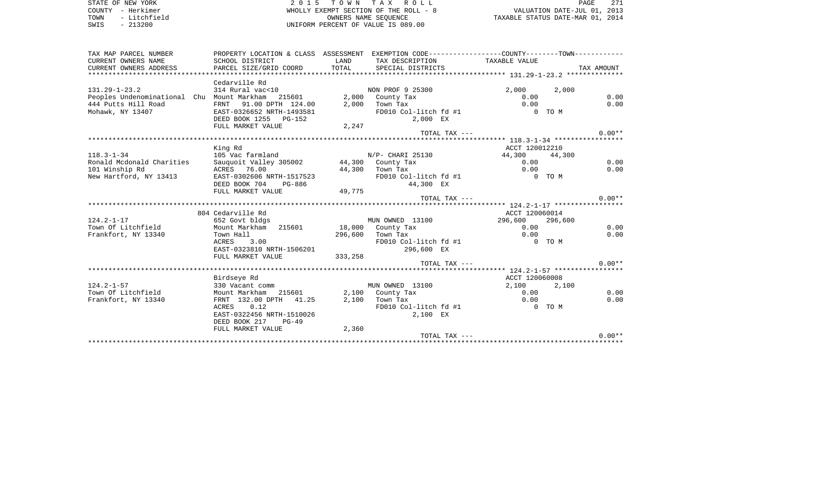STATE OF NEW YORK **EXECUTE:**  $2015$  TOWN TAX ROLL COUNTY - Herkimer WHOLLY EXEMPT SECTION OF THE ROLL - 8 VALUATION DATE-JUL 01, 2013 TOWN - Litchfield OWNERS NAME SEQUENCE TAXABLE STATUS DATE-MAR 01, 2014 SWIS - 213200 UNIFORM PERCENT OF VALUE IS 089.00

| TAX MAP PARCEL NUMBER                             | PROPERTY LOCATION & CLASS ASSESSMENT EXEMPTION CODE---------------COUNTY-------TOWN---------- |          |                              |                |         |              |
|---------------------------------------------------|-----------------------------------------------------------------------------------------------|----------|------------------------------|----------------|---------|--------------|
| CURRENT OWNERS NAME                               | SCHOOL DISTRICT                                                                               | LAND     | TAX DESCRIPTION              | TAXABLE VALUE  |         |              |
| CURRENT OWNERS ADDRESS                            |                                                                                               |          |                              |                |         |              |
|                                                   |                                                                                               |          |                              |                |         |              |
|                                                   | Cedarville Rd                                                                                 |          |                              |                |         |              |
| $131.29 - 1 - 23.2$                               | 314 Rural vac<10                                                                              |          | NON PROF 9 25300             | 2,000          | 2,000   |              |
| Peoples Undenominational Chu Mount Markham 215601 |                                                                                               |          | 2,000 County Tax             | 0.00           |         | 0.00         |
| 444 Putts Hill Road                               | FRNT 91.00 DPTH 124.00                                                                        |          | $2,000$ Town Tax             | 0.00           |         | 0.00         |
| Mohawk, NY 13407                                  | EAST-0326652 NRTH-1493581                                                                     |          | FD010 Col-litch fd #1        | O TOM          |         |              |
|                                                   | DEED BOOK 1255 PG-152                                                                         |          | 2,000 EX                     |                |         |              |
|                                                   | FULL MARKET VALUE                                                                             | 2,247    |                              |                |         |              |
|                                                   |                                                                                               |          | TOTAL TAX ---                |                |         | $0.00**$     |
|                                                   |                                                                                               |          |                              |                |         |              |
|                                                   | King Rd                                                                                       |          |                              | ACCT 120012210 |         |              |
| $118.3 - 1 - 34$                                  | 105 Vac farmland                                                                              |          | $N/P-$ CHARI 25130           | 44,300 44,300  |         |              |
| Ronald Mcdonald Charities                         | Sauguoit Valley 305002 44,300 County Tax                                                      |          |                              | 0.00           |         | 0.00         |
| 101 Winship Rd                                    | ACRES 76.00                                                                                   |          | 44,300 Town Tax              | 0.00           |         | 0.00         |
| New Hartford, NY 13413                            | EAST-0302606 NRTH-1517523                                                                     |          | FD010 Col-litch fd #1        | $0$ TOM        |         |              |
|                                                   | DEED BOOK 704 PG-886                                                                          |          | 44,300 EX                    |                |         |              |
|                                                   | FULL MARKET VALUE                                                                             | 49,775   |                              |                |         | $0.00**$     |
|                                                   |                                                                                               |          | TOTAL TAX ---                |                |         |              |
|                                                   |                                                                                               |          |                              |                |         |              |
| $124.2 - 1 - 17$                                  | 804 Cedarville Rd                                                                             |          |                              | ACCT 120060014 |         |              |
|                                                   | 652 Govt bldgs                                                                                |          | MUN OWNED 13100              | 296,600        | 296,600 |              |
| Town Of Litchfield                                | Mount Markham 215601                                                                          |          | 18,000 County Tax            | 0.00<br>0.00   |         | 0.00<br>0.00 |
| Frankfort, NY 13340                               | Town Hall                                                                                     |          | 296,600 Town Tax             |                |         |              |
|                                                   | ACRES 3.00                                                                                    |          | FD010 Col-litch fd #1        | $0$ TOM        |         |              |
|                                                   | EAST-0323810 NRTH-1506201                                                                     |          | 296,600 EX                   |                |         |              |
|                                                   | FULL MARKET VALUE                                                                             | 333, 258 | TOTAL TAX ---                |                |         | $0.00**$     |
|                                                   |                                                                                               |          |                              |                |         |              |
|                                                   | Birdseye Rd                                                                                   |          |                              | ACCT 120060008 |         |              |
| $124.2 - 1 - 57$                                  | 330 Vacant comm                                                                               |          | MUN OWNED 13100              | 2,100          | 2,100   |              |
| Town Of Litchfield                                | Mount Markham 215601                                                                          |          |                              | 0.00           |         | 0.00         |
| Frankfort, NY 13340                               | FRNT 132.00 DPTH 41.25                                                                        | 2,100    | 2,100 County Tax<br>Town Tax | 0.00           |         | 0.00         |
|                                                   | 0.12<br>ACRES                                                                                 |          | FD010 Col-litch fd #1        | O TOM          |         |              |
|                                                   | EAST-0322456 NRTH-1510026                                                                     |          | 2,100 EX                     |                |         |              |
|                                                   | DEED BOOK 217<br>$PG-49$                                                                      |          |                              |                |         |              |
|                                                   | FULL MARKET VALUE                                                                             | 2,360    |                              |                |         |              |
|                                                   |                                                                                               |          | TOTAL TAX ---                |                |         | $0.00**$     |
|                                                   |                                                                                               |          |                              |                |         |              |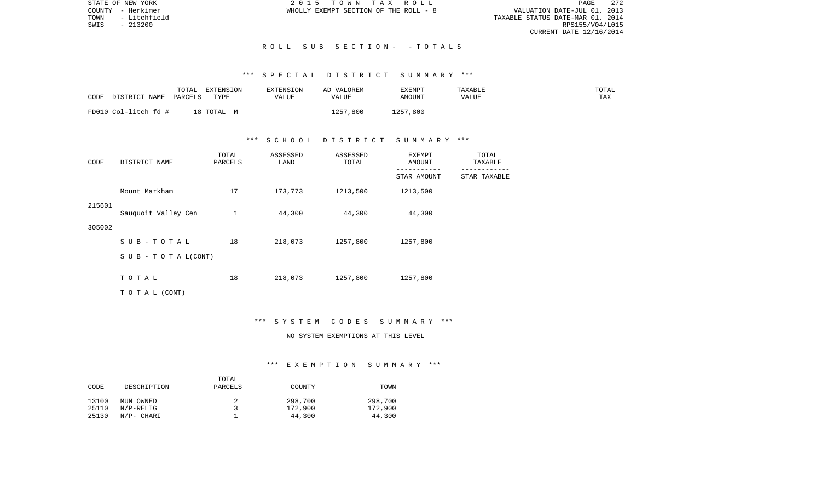STATE OF NEW YORK 2 0 1 5 T O W N T A X R O L L PAGE 272VALUATION DATE-JUL 01, 2013 TOWN - Litchfield TAXABLE STATUS DATE-MAR 01, 2014 RPS155/V04/L015 CURRENT DATE 12/16/2014

COUNTY - Herkimer WHOLLY EXEMPT SECTION OF THE ROLL - 8

#### R O L L S U B S E C T I O N - - T O T A L S

# \*\*\* S P E C I A L D I S T R I C T S U M M A R Y \*\*\*

| CODE<br>DISTRICT NAME | TOTAL<br>PARCELS | <b>EXTENSION</b><br>TYPE | EXTENSION<br>VALUE | AD VALOREM<br>VALUE | EXEMPT<br><b>AMOUNT</b> | TAXABLE<br>VALUE | TOTAL<br>TAX |
|-----------------------|------------------|--------------------------|--------------------|---------------------|-------------------------|------------------|--------------|
| FD010 Col-litch fd #  | 18               | TOTAL                    |                    | 1257,800            | 1257,800                |                  |              |

## \*\*\* S C H O O L D I S T R I C T S U M M A R Y \*\*\*

| CODE   | DISTRICT NAME             | TOTAL<br>PARCELS | ASSESSED<br>LAND | ASSESSED<br>TOTAL | EXEMPT<br>AMOUNT | TOTAL<br>TAXABLE |
|--------|---------------------------|------------------|------------------|-------------------|------------------|------------------|
|        |                           |                  |                  |                   | STAR AMOUNT      | STAR TAXABLE     |
|        | Mount Markham             | 17               | 173,773          | 1213,500          | 1213,500         |                  |
| 215601 | Sauquoit Valley Cen       | $\mathbf{1}$     | 44,300           | 44,300            | 44,300           |                  |
| 305002 |                           |                  |                  |                   |                  |                  |
|        | $S$ U B - T O T A L       | 18               | 218,073          | 1257,800          | 1257,800         |                  |
|        | S U B - T O T A $L(CONT)$ |                  |                  |                   |                  |                  |
|        | TOTAL                     | 18               | 218,073          | 1257,800          | 1257,800         |                  |
|        | T O T A L (CONT)          |                  |                  |                   |                  |                  |

#### \*\*\* S Y S T E M C O D E S S U M M A R Y \*\*\*

# NO SYSTEM EXEMPTIONS AT THIS LEVEL

#### \*\*\* E X E M P T I O N S U M M A R Y \*\*\*

|       |              | TOTAL   |         |         |
|-------|--------------|---------|---------|---------|
| CODE  | DESCRIPTION  | PARCELS | COUNTY  | TOWN    |
| 13100 | MUN OWNED    |         | 298,700 | 298,700 |
| 25110 | $N/P-RELLIG$ |         | 172,900 | 172,900 |
| 25130 | N/P- CHARI   |         | 44,300  | 44,300  |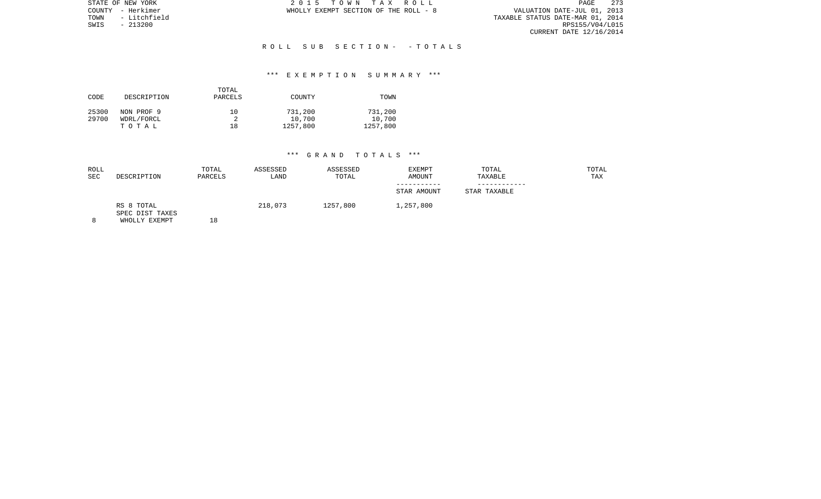PAGE 273 TOWN 1 A ROLL - 8<br>
TOWN - HEROLL - 8<br>
TOWN - HEROLL - 8<br>
TOWN - Litchfield POWN - Litchfield POWN - Litchfield POWN - Litchfield POWN - Litchfield POWN - 2013<br>
TAXABLE STATUS DATE-MAR 01, 2014<br>
SWIS - 213200 RPS155/V04/L01 CURRENT DATE 12/16/2014

STATE OF NEW YORK **2015 TOWN TAX ROLL** COUNTY - Herkimer WHOLLY EXEMPT SECTION OF THE ROLL - 8

SWIS - 213200

## R O L L S U B S E C T I O N - - T O T A L S

## \*\*\* E X E M P T I O N S U M M A R Y \*\*\*

| CODE  | DESCRIPTION | TOTAL<br>PARCELS | COUNTY   | TOWN     |
|-------|-------------|------------------|----------|----------|
| 25300 | NON PROF 9  | 10               | 731,200  | 731,200  |
| 29700 | WDRL/FORCL  |                  | 10,700   | 10,700   |
|       | тотаь       | 18               | 1257,800 | 1257,800 |

| ROLL<br>SEC | DESCRIPTION                                    | TOTAL<br>PARCELS | ASSESSED<br>LAND | ASSESSED<br>TOTAL | EXEMPT<br><b>AMOUNT</b> | TOTAL<br>TAXABLE | TOTAL<br>TAX |
|-------------|------------------------------------------------|------------------|------------------|-------------------|-------------------------|------------------|--------------|
|             |                                                |                  |                  |                   | STAR AMOUNT             | STAR TAXABLE     |              |
| 8           | RS 8 TOTAL<br>SPEC DIST TAXES<br>WHOLLY EXEMPT | 18               | 218,073          | 1257,800          | 1,257,800               |                  |              |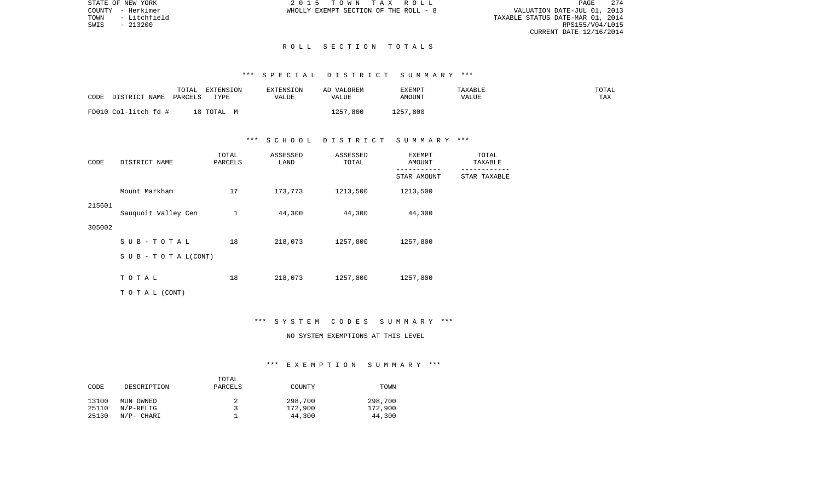VALUATION DATE-JUL 01, 2013 TOWN - Litchfield TAXABLE STATUS DATE-MAR 01, 2014 RPS155/V04/L015 CURRENT DATE 12/16/2014

STATE OF NEW YORK 2 0 1 5 T O W N T A X R O L L PAGE 274COUNTY - Herkimer WHOLLY EXEMPT SECTION OF THE ROLL - 8

#### R O L L S E C T I O N T O T A L S

# \*\*\* S P E C I A L D I S T R I C T S U M M A R Y \*\*\*

| DISTRICT NAME        | TOTAL   | EXTENSION | EXTENSION | AD VALOREM      | EXEMPT   | TAXABLE | TOTAL |
|----------------------|---------|-----------|-----------|-----------------|----------|---------|-------|
| CODE                 | PARCELS | TYPE      | VALUE     | VALUE           | AMOUNT   | VALUE   | TAX   |
| FD010 Col-litch fd # |         | 18 TOTAL  |           | 1257<br>(1,800) | 1257,800 |         |       |

## \*\*\* S C H O O L D I S T R I C T S U M M A R Y \*\*\*

| CODE   | DISTRICT NAME       | TOTAL<br>PARCELS | ASSESSED<br>LAND | ASSESSED<br>TOTAL | EXEMPT<br>AMOUNT | TOTAL<br>TAXABLE |
|--------|---------------------|------------------|------------------|-------------------|------------------|------------------|
|        |                     |                  |                  |                   | STAR AMOUNT      | STAR TAXABLE     |
|        | Mount Markham       | 17               | 173,773          | 1213,500          | 1213,500         |                  |
| 215601 | Sauquoit Valley Cen | 1                | 44,300           | 44,300            | 44,300           |                  |
| 305002 |                     |                  |                  |                   |                  |                  |
|        | SUB-TOTAL           | 18               | 218,073          | 1257,800          | 1257,800         |                  |
|        | SUB - TO TAL(CONT)  |                  |                  |                   |                  |                  |
|        | TOTAL               | 18               | 218,073          | 1257,800          | 1257,800         |                  |
|        | TO TAL (CONT)       |                  |                  |                   |                  |                  |

#### \*\*\* S Y S T E M C O D E S S U M M A R Y \*\*\*

# NO SYSTEM EXEMPTIONS AT THIS LEVEL

## \*\*\* E X E M P T I O N S U M M A R Y \*\*\*

|       |              | TOTAL   |         |         |
|-------|--------------|---------|---------|---------|
| CODE  | DESCRIPTION  | PARCELS | COUNTY  | TOWN    |
| 13100 | MUN OWNED    |         | 298,700 | 298,700 |
| 25110 | $N/P-RELLIG$ |         | 172,900 | 172,900 |
| 25130 | N/P- CHARI   |         | 44,300  | 44,300  |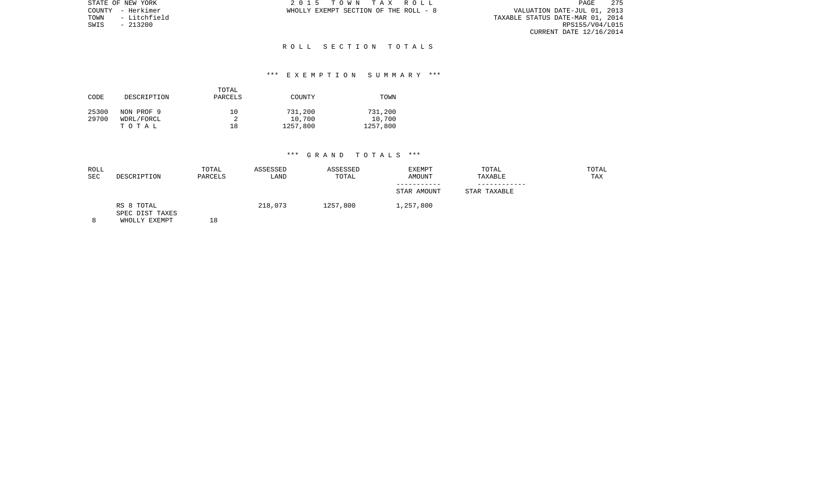| STATE OF NEW YORK    | 2015 TOWN TAX ROLL<br>PAGE                                           | 275 |
|----------------------|----------------------------------------------------------------------|-----|
| COUNTY - Herkimer    | VALUATION DATE-JUL 01, 2013<br>WHOLLY EXEMPT SECTION OF THE ROLL - 8 |     |
| - Litchfield<br>TOWN | TAXABLE STATUS DATE-MAR 01, 2014                                     |     |
| SWIS<br>- 213200     | RPS155/V04/L015                                                      |     |
|                      | CURRENT DATE 12/16/2014                                              |     |

#### R O L L S E C T I O N T O T A L S

## \*\*\* E X E M P T I O N S U M M A R Y \*\*\*

| CODE  | DESCRIPTION | TOTAL<br>PARCELS | COUNTY   | TOWN     |
|-------|-------------|------------------|----------|----------|
| 25300 | NON PROF 9  | 10               | 731,200  | 731,200  |
| 29700 | WDRL/FORCL  |                  | 10,700   | 10,700   |
|       | TOTAL       | 18               | 1257,800 | 1257,800 |

| ROLL<br><b>SEC</b> | DESCRIPTION                   | TOTAL<br>PARCELS | ASSESSED<br>LAND | ASSESSED<br>TOTAL | EXEMPT<br>AMOUNT | TOTAL<br>TAXABLE | TOTAL<br>TAX |
|--------------------|-------------------------------|------------------|------------------|-------------------|------------------|------------------|--------------|
|                    |                               |                  |                  |                   |                  |                  |              |
|                    |                               |                  |                  |                   | STAR AMOUNT      | STAR TAXABLE     |              |
|                    | RS 8 TOTAL<br>SPEC DIST TAXES |                  | 218,073          | 1257,800          | 1,257,800        |                  |              |
| 8                  | WHOLLY EXEMPT                 | 18               |                  |                   |                  |                  |              |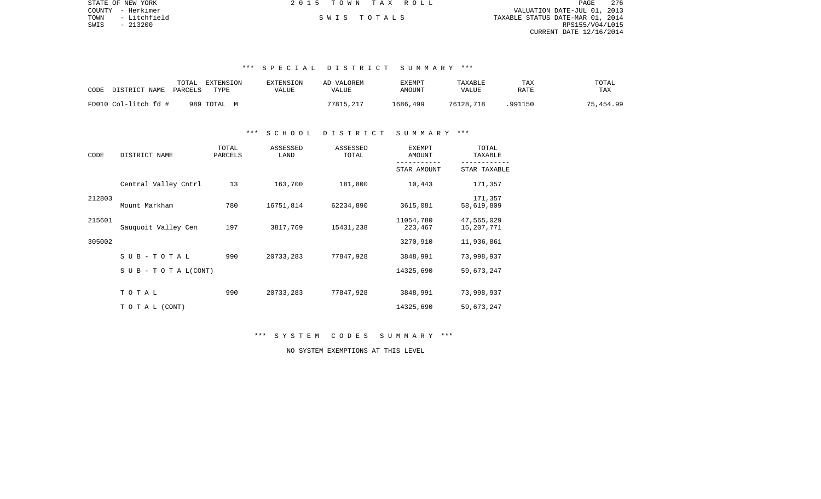| STATE OF NEW YORK    | 2015 TOWN TAX ROLL | 276<br>PAGE                      |
|----------------------|--------------------|----------------------------------|
| COUNTY - Herkimer    |                    | VALUATION DATE-JUL 01, 2013      |
| - Litchfield<br>TOWN | SWIS TOTALS        | TAXABLE STATUS DATE-MAR 01, 2014 |
| SWIS<br>- 213200     |                    | RPS155/V04/L015                  |
|                      |                    | CURRENT DATE 12/16/2014          |
|                      |                    |                                  |
|                      |                    |                                  |

## \*\*\* S P E C I A L D I S T R I C T S U M M A R Y \*\*\*

| TOTAL<br>CODE<br>DISTRICT NAME<br>PARCELS | EXTENSION<br>EXTENSION<br>TYPE<br>VALUE | AD VALOREM<br>VALUE | <b>EXEMPT</b><br>AMOUNT | TAXABLE<br><b>VALUE</b> | TAX<br>RATE | TOTAL<br>TAX |
|-------------------------------------------|-----------------------------------------|---------------------|-------------------------|-------------------------|-------------|--------------|
| FD010 Col-litch fd #<br>989 ТОТАL М       |                                         | 77815,217           | 1686,499                | 76128,718               | 991150      | 75,454.99    |

## \*\*\* S C H O O L D I S T R I C T S U M M A R Y \*\*\*

| CODE   | DISTRICT NAME              | TOTAL<br>PARCELS | ASSESSED<br>LAND | ASSESSED<br>TOTAL | <b>EXEMPT</b><br>AMOUNT | TOTAL<br>TAXABLE         |
|--------|----------------------------|------------------|------------------|-------------------|-------------------------|--------------------------|
|        |                            |                  |                  |                   | STAR AMOUNT             | STAR TAXABLE             |
|        | Central Valley Cntrl       | 13               | 163,700          | 181,800           | 10,443                  | 171,357                  |
| 212803 | Mount Markham              | 780              | 16751,814        | 62234,890         | 3615,081                | 171,357<br>58,619,809    |
| 215601 | Sauquoit Valley Cen        | 197              | 3817,769         | 15431,238         | 11054,780<br>223,467    | 47,565,029<br>15,207,771 |
| 305002 |                            |                  |                  |                   | 3270,910                | 11,936,861               |
|        | SUB-TOTAL                  | 990              | 20733,283        | 77847,928         | 3848,991                | 73,998,937               |
|        | S U B - T O T A $L$ (CONT) |                  |                  |                   | 14325,690               | 59,673,247               |
|        | TOTAL                      | 990              | 20733,283        | 77847,928         | 3848,991                | 73,998,937               |
|        | TO TAL (CONT)              |                  |                  |                   | 14325,690               | 59,673,247               |

\*\*\* S Y S T E M C O D E S S U M M A R Y \*\*\*

NO SYSTEM EXEMPTIONS AT THIS LEVEL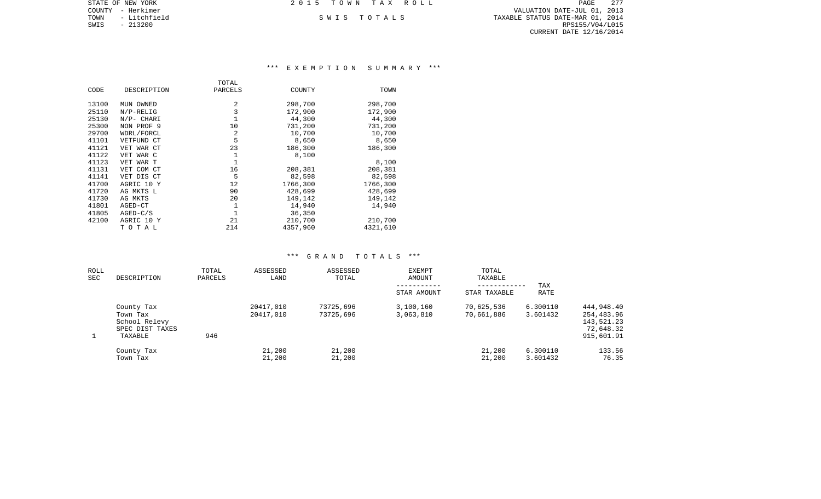| STATE OF NEW YORK    | 2015 TOWN TAX ROLL | 277<br>PAGE                      |
|----------------------|--------------------|----------------------------------|
| COUNTY - Herkimer    |                    | VALUATION DATE-JUL 01, 2013      |
| - Litchfield<br>TOWN | SWIS TOTALS        | TAXABLE STATUS DATE-MAR 01, 2014 |
| SWIS<br>$-213200$    |                    | RPS155/V04/L015                  |
|                      |                    | CURRENT DATE 12/16/2014          |
|                      |                    |                                  |

# \*\*\* E X E M P T I O N S U M M A R Y \*\*\*

|       |              | TOTAL   |          |          |
|-------|--------------|---------|----------|----------|
| CODE  | DESCRIPTION  | PARCELS | COUNTY   | TOWN     |
| 13100 | MUN OWNED    | 2       | 298,700  | 298,700  |
| 25110 | $N/P-RELLIG$ | 3       | 172,900  | 172,900  |
| 25130 | N/P- CHARI   |         | 44,300   | 44,300   |
| 25300 | NON PROF 9   | 10      | 731,200  | 731,200  |
| 29700 | WDRL/FORCL   | 2       | 10,700   | 10,700   |
| 41101 | VETFUND CT   | 5       | 8,650    | 8,650    |
| 41121 | VET WAR CT   | 23      | 186,300  | 186,300  |
| 41122 | VET WAR C    | 1       | 8,100    |          |
| 41123 | VET WAR T    | 1       |          | 8,100    |
| 41131 | VET COM CT   | 16      | 208,381  | 208,381  |
| 41141 | VET DIS CT   | 5       | 82,598   | 82,598   |
| 41700 | AGRIC 10 Y   | 12      | 1766,300 | 1766,300 |
| 41720 | AG MKTS L    | 90      | 428,699  | 428,699  |
| 41730 | AG MKTS      | 20      | 149,142  | 149,142  |
| 41801 | AGED-CT      | 1       | 14,940   | 14,940   |
| 41805 | $AGED-C/S$   |         | 36,350   |          |
| 42100 | AGRIC 10 Y   | 21      | 210,700  | 210,700  |
|       | TOTAL        | 214     | 4357,960 | 4321,610 |

| ROLL<br>SEC | DESCRIPTION                                                           | TOTAL<br>PARCELS | ASSESSED<br>LAND       | ASSESSED<br>TOTAL      | <b>EXEMPT</b><br>AMOUNT<br>-----------<br>STAR AMOUNT | TOTAL<br>TAXABLE<br>------------<br>STAR TAXABLE | TAX<br>RATE          |                                                                   |
|-------------|-----------------------------------------------------------------------|------------------|------------------------|------------------------|-------------------------------------------------------|--------------------------------------------------|----------------------|-------------------------------------------------------------------|
|             | County Tax<br>Town Tax<br>School Relevy<br>SPEC DIST TAXES<br>TAXABLE | 946              | 20417,010<br>20417,010 | 73725,696<br>73725,696 | 3,100,160<br>3,063,810                                | 70,625,536<br>70,661,886                         | 6.300110<br>3.601432 | 444,948.40<br>254,483.96<br>143,521.23<br>72,648.32<br>915,601.91 |
|             | County Tax<br>Town Tax                                                |                  | 21,200<br>21,200       | 21,200<br>21,200       |                                                       | 21,200<br>21,200                                 | 6.300110<br>3.601432 | 133.56<br>76.35                                                   |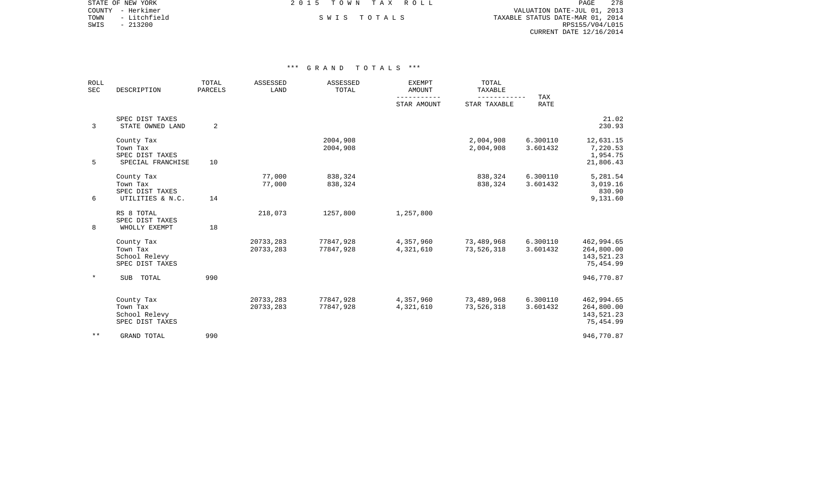COUNTY - Herkimer VALUATION DATE-JUL 01, 2013 TOWN - Litchfield S W I S T O T A L S TAXABLE STATUS DATE-MAR 01, 2014 EXAMPLE SWIS - 213200<br>SWIS - 213200<br>SWIS - 213200 RPS155/V04/L015 CURRENT DATE 12/16/2014

STATE OF NEW YORK **EXECUTE:**  $2015$  TOWN TAX ROLL

| <b>ROLL</b><br><b>SEC</b> | DESCRIPTION                                                    | TOTAL<br>PARCELS | ASSESSED<br>LAND       | ASSESSED<br>TOTAL      | <b>EXEMPT</b><br>AMOUNT    | TOTAL<br>TAXABLE             |                      |                                                     |
|---------------------------|----------------------------------------------------------------|------------------|------------------------|------------------------|----------------------------|------------------------------|----------------------|-----------------------------------------------------|
|                           |                                                                |                  |                        |                        | -----------<br>STAR AMOUNT | ------------<br>STAR TAXABLE | <b>TAX</b><br>RATE   |                                                     |
| 3                         | SPEC DIST TAXES<br>STATE OWNED LAND                            | 2                |                        |                        |                            |                              |                      | 21.02<br>230.93                                     |
| 5                         | County Tax<br>Town Tax<br>SPEC DIST TAXES<br>SPECIAL FRANCHISE | 10               |                        | 2004,908<br>2004,908   |                            | 2,004,908<br>2,004,908       | 6.300110<br>3.601432 | 12,631.15<br>7,220.53<br>1,954.75<br>21,806.43      |
| 6                         | County Tax<br>Town Tax<br>SPEC DIST TAXES<br>UTILITIES & N.C.  | 14               | 77,000<br>77,000       | 838,324<br>838,324     |                            | 838,324<br>838,324           | 6.300110<br>3.601432 | 5,281.54<br>3,019.16<br>830.90<br>9,131.60          |
| 8                         | RS 8 TOTAL<br>SPEC DIST TAXES<br>WHOLLY EXEMPT                 | 18               | 218,073                | 1257,800               | 1,257,800                  |                              |                      |                                                     |
|                           | County Tax<br>Town Tax<br>School Relevy<br>SPEC DIST TAXES     |                  | 20733,283<br>20733,283 | 77847,928<br>77847,928 | 4,357,960<br>4,321,610     | 73,489,968<br>73,526,318     | 6.300110<br>3.601432 | 462,994.65<br>264,800.00<br>143,521.23<br>75,454.99 |
| $\star$                   | SUB TOTAL                                                      | 990              |                        |                        |                            |                              |                      | 946,770.87                                          |
|                           | County Tax<br>Town Tax<br>School Relevy<br>SPEC DIST TAXES     |                  | 20733,283<br>20733,283 | 77847,928<br>77847,928 | 4,357,960<br>4,321,610     | 73,489,968<br>73,526,318     | 6.300110<br>3.601432 | 462,994.65<br>264,800.00<br>143,521.23<br>75,454.99 |
| $* *$                     | <b>GRAND TOTAL</b>                                             | 990              |                        |                        |                            |                              |                      | 946,770.87                                          |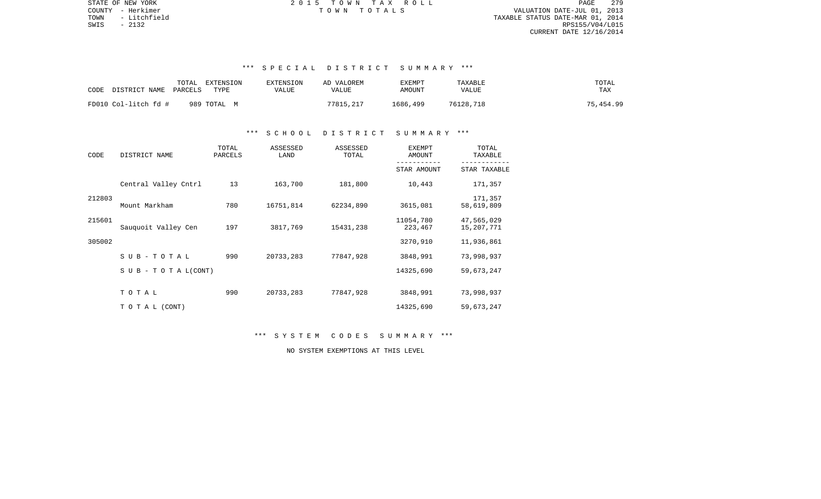PAGE 279 TOWN - Litchfield TAXABLE STATUS DATE-MAR 01, 2014 SWIS - 2132 RPS155/V04/L015 CURRENT DATE 12/16/2014

STATE OF NEW YORK **EXECUTE:**  $2015$  TOWN TAX ROLL COUNTY - Herkimer T O W N T O T A L S VALUATION DATE-JUL 01, 2013

# \*\*\* S P E C I A L D I S T R I C T S U M M A R Y \*\*\*

| TOTAL<br>DISTRICT NAME<br>CODE<br>PARCELS | EXTENSION<br>TYPE | <b>EXTENSION</b><br>VALUE | AD VALOREM<br>VALUE | <b>EXEMPT</b><br>AMOUNT | TAXABLE<br>VALUE | TOTAL<br>TAX |
|-------------------------------------------|-------------------|---------------------------|---------------------|-------------------------|------------------|--------------|
| FD010 Col-litch fd #                      | 989 ТОТАL М       |                           | 77815,217           | 1686,499                | 76128,718        | 75,454.99    |

#### \*\*\* S C H O O L D I S T R I C T S U M M A R Y \*\*\*

| CODE   | DISTRICT NAME                    | TOTAL<br>PARCELS | ASSESSED<br>LAND | ASSESSED<br>TOTAL | <b>EXEMPT</b><br>AMOUNT | TOTAL<br>TAXABLE         |
|--------|----------------------------------|------------------|------------------|-------------------|-------------------------|--------------------------|
|        |                                  |                  |                  |                   | STAR AMOUNT             | STAR TAXABLE             |
|        | Central Valley Cntrl             | 13               | 163,700          | 181,800           | 10,443                  | 171,357                  |
| 212803 | Mount Markham                    | 780              | 16751,814        | 62234,890         | 3615,081                | 171,357<br>58,619,809    |
| 215601 | Sauquoit Valley Cen              | 197              | 3817,769         | 15431,238         | 11054,780<br>223,467    | 47,565,029<br>15,207,771 |
| 305002 |                                  |                  |                  |                   | 3270,910                | 11,936,861               |
|        | SUB-TOTAL                        | 990              | 20733,283        | 77847,928         | 3848,991                | 73,998,937               |
|        | $S \cup B - T \cup T A L (CONT)$ |                  |                  |                   | 14325,690               | 59,673,247               |
|        | TOTAL                            | 990              | 20733,283        | 77847,928         | 3848,991                | 73,998,937               |
|        | TO TAL (CONT)                    |                  |                  |                   | 14325,690               | 59,673,247               |

\*\*\* S Y S T E M C O D E S S U M M A R Y \*\*\*

NO SYSTEM EXEMPTIONS AT THIS LEVEL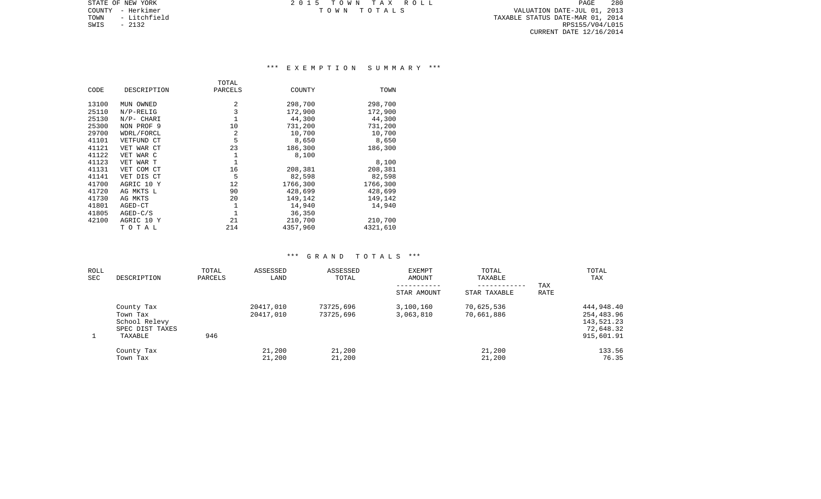STATE OF NEW YORK **EXECUTE:**  $2015$  TOWN TAX ROLL COUNTY - Herkimer T O W N T O T A L S VALUATION DATE-JUL 01, 2013

TOWN - Litchfield TAXABLE STATUS DATE-MAR 01, 2014 SWIS - Litchfield Contract Contract Contract Contract Contract Contract Contract Contract Contract Contract Con<br>SWIS - 2132 RPS155/V04/L015 CURRENT DATE 12/16/2014

# \*\*\* E X E M P T I O N S U M M A R Y \*\*\*

|       |              | TOTAL   |          |          |
|-------|--------------|---------|----------|----------|
| CODE  | DESCRIPTION  | PARCELS | COUNTY   | TOWN     |
| 13100 | MUN OWNED    | 2       | 298,700  | 298,700  |
| 25110 | $N/P-RELLIG$ | 3       | 172,900  | 172,900  |
| 25130 | N/P- CHARI   |         | 44,300   | 44,300   |
| 25300 | NON PROF 9   | 10      | 731,200  | 731,200  |
| 29700 | WDRL/FORCL   | 2       | 10,700   | 10,700   |
| 41101 | VETFUND CT   | 5       | 8,650    | 8,650    |
| 41121 | VET WAR CT   | 23      | 186,300  | 186,300  |
| 41122 | VET WAR C    | 1       | 8,100    |          |
| 41123 | VET WAR T    | 1       |          | 8,100    |
| 41131 | VET COM CT   | 16      | 208,381  | 208,381  |
| 41141 | VET DIS CT   | 5       | 82,598   | 82,598   |
| 41700 | AGRIC 10 Y   | 12      | 1766,300 | 1766,300 |
| 41720 | AG MKTS L    | 90      | 428,699  | 428,699  |
| 41730 | AG MKTS      | 20      | 149,142  | 149,142  |
| 41801 | AGED-CT      | 1       | 14,940   | 14,940   |
| 41805 | $AGED-C/S$   |         | 36,350   |          |
| 42100 | AGRIC 10 Y   | 21      | 210,700  | 210,700  |
|       | TOTAL        | 214     | 4357,960 | 4321,610 |

| ROLL<br>SEC | DESCRIPTION                                                           | TOTAL<br>PARCELS | ASSESSED<br>LAND       | ASSESSED<br>TOTAL      | <b>EXEMPT</b><br>AMOUNT | TOTAL<br>TAXABLE         | TAX         | TOTAL<br>TAX                                                      |
|-------------|-----------------------------------------------------------------------|------------------|------------------------|------------------------|-------------------------|--------------------------|-------------|-------------------------------------------------------------------|
|             |                                                                       |                  |                        |                        | STAR AMOUNT             | STAR TAXABLE             | <b>RATE</b> |                                                                   |
|             | County Tax<br>Town Tax<br>School Relevy<br>SPEC DIST TAXES<br>TAXABLE | 946              | 20417,010<br>20417,010 | 73725,696<br>73725,696 | 3,100,160<br>3,063,810  | 70,625,536<br>70,661,886 |             | 444,948.40<br>254,483.96<br>143,521.23<br>72,648.32<br>915,601.91 |
|             | County Tax<br>Town Tax                                                |                  | 21,200<br>21,200       | 21,200<br>21,200       |                         | 21,200<br>21,200         |             | 133.56<br>76.35                                                   |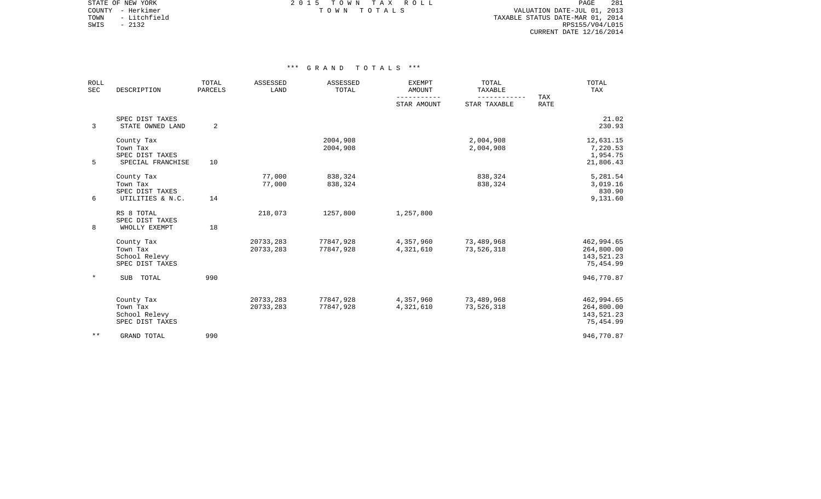STATE OF NEW YORK **EXECUTE:**  $2015$  TOWN TAX ROLL COUNTY - Herkimer T O W N T O T A L S VALUATION DATE-JUL 01, 2013

TOWN - Litchfield TAXABLE STATUS DATE-MAR 01, 2014 SWIS - 2132<br>
SWIS - 2132<br>
SWIS - 2132<br>
RPS155/V04/L015 CURRENT DATE 12/16/2014

| <b>ROLL</b><br>SEC | DESCRIPTION                                                    | TOTAL<br>PARCELS | ASSESSED<br>LAND       | ASSESSED<br>TOTAL      | <b>EXEMPT</b><br><b>AMOUNT</b> | TOTAL<br>TAXABLE         |                           | TOTAL<br>TAX                                        |
|--------------------|----------------------------------------------------------------|------------------|------------------------|------------------------|--------------------------------|--------------------------|---------------------------|-----------------------------------------------------|
|                    |                                                                |                  |                        |                        | STAR AMOUNT                    | STAR TAXABLE             | <b>TAX</b><br><b>RATE</b> |                                                     |
| 3                  | SPEC DIST TAXES<br>STATE OWNED LAND                            | 2                |                        |                        |                                |                          |                           | 21.02<br>230.93                                     |
| 5                  | County Tax<br>Town Tax<br>SPEC DIST TAXES<br>SPECIAL FRANCHISE | 10               |                        | 2004,908<br>2004,908   |                                | 2,004,908<br>2,004,908   |                           | 12,631.15<br>7,220.53<br>1,954.75<br>21,806.43      |
| 6                  | County Tax<br>Town Tax<br>SPEC DIST TAXES<br>UTILITIES & N.C.  | 14               | 77,000<br>77,000       | 838,324<br>838,324     |                                | 838,324<br>838,324       |                           | 5,281.54<br>3,019.16<br>830.90<br>9,131.60          |
| 8                  | RS 8 TOTAL<br>SPEC DIST TAXES<br>WHOLLY EXEMPT                 | 18               | 218,073                | 1257,800               | 1,257,800                      |                          |                           |                                                     |
|                    | County Tax<br>Town Tax<br>School Relevy<br>SPEC DIST TAXES     |                  | 20733,283<br>20733,283 | 77847,928<br>77847,928 | 4,357,960<br>4,321,610         | 73,489,968<br>73,526,318 |                           | 462,994.65<br>264,800.00<br>143,521.23<br>75,454.99 |
| $\ast$             | SUB<br>TOTAL                                                   | 990              |                        |                        |                                |                          |                           | 946,770.87                                          |
|                    | County Tax<br>Town Tax<br>School Relevy<br>SPEC DIST TAXES     |                  | 20733,283<br>20733,283 | 77847,928<br>77847,928 | 4,357,960<br>4,321,610         | 73,489,968<br>73,526,318 |                           | 462,994.65<br>264,800.00<br>143,521.23<br>75,454.99 |
| $* *$              | <b>GRAND TOTAL</b>                                             | 990              |                        |                        |                                |                          |                           | 946,770.87                                          |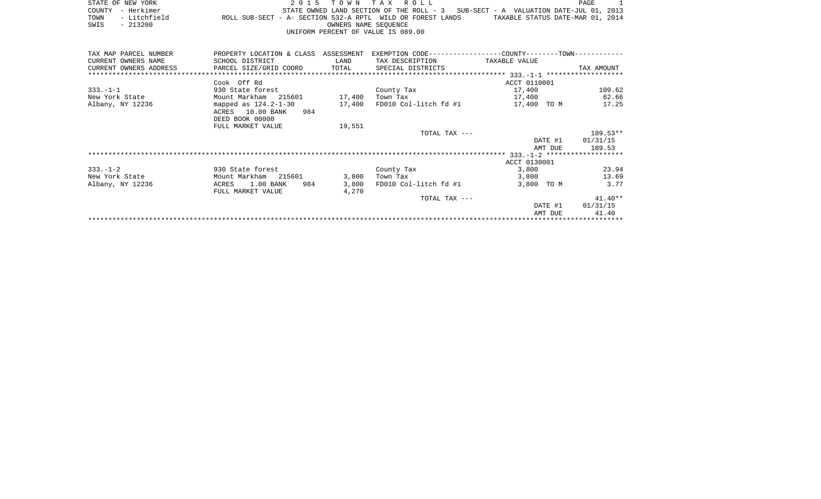|      | STATE OF NEW YORK                  |                                                            |                                                                                    |  |                      |  | 2015 TOWN TAX ROLL |  |  |  |                                  | PAGE |  |
|------|------------------------------------|------------------------------------------------------------|------------------------------------------------------------------------------------|--|----------------------|--|--------------------|--|--|--|----------------------------------|------|--|
|      | COUNTY - Herkimer                  |                                                            | STATE OWNED LAND SECTION OF THE ROLL $-3$ SUB-SECT - A VALUATION DATE-JUL 01, 2013 |  |                      |  |                    |  |  |  |                                  |      |  |
| TOWN | - Litchfield                       | ROLL SUB-SECT - A- SECTION 532-A RPTL WILD OR FOREST LANDS |                                                                                    |  |                      |  |                    |  |  |  | TAXABLE STATUS DATE-MAR 01, 2014 |      |  |
| SWIS | $-213200$                          |                                                            |                                                                                    |  | OWNERS NAME SEOUENCE |  |                    |  |  |  |                                  |      |  |
|      | UNIFORM PERCENT OF VALUE IS 089.00 |                                                            |                                                                                    |  |                      |  |                    |  |  |  |                                  |      |  |

| TAX MAP PARCEL NUMBER  | PROPERTY LOCATION & CLASS ASSESSMENT           |        | EXEMPTION CODE-----------------COUNTY-------TOWN------------ |               |            |
|------------------------|------------------------------------------------|--------|--------------------------------------------------------------|---------------|------------|
| CURRENT OWNERS NAME    | SCHOOL DISTRICT                                | LAND   | TAX DESCRIPTION                                              | TAXABLE VALUE |            |
| CURRENT OWNERS ADDRESS | PARCEL SIZE/GRID COORD TOTAL SPECIAL DISTRICTS |        |                                                              |               | TAX AMOUNT |
|                        |                                                |        |                                                              |               |            |
|                        | Cook Off Rd                                    |        |                                                              | ACCT 0110001  |            |
| $333. - 1 - 1$         | 930 State forest                               |        | County Tax                                                   | 17,400        | 109.62     |
| New York State         | Mount Markham 215601 17,400                    |        | Town Tax                                                     | 17,400        | 62.66      |
| Albany, NY 12236       | mapped as $124.2 - 1 - 30$                     | 17,400 | FD010 Col-litch fd #1                                        | 17,400 TO M   | 17.25      |
|                        | ACRES 10.00 BANK<br>984                        |        |                                                              |               |            |
|                        | DEED BOOK 00000                                |        |                                                              |               |            |
|                        | FULL MARKET VALUE                              | 19,551 |                                                              |               |            |
|                        |                                                |        | TOTAL TAX ---                                                |               | 189.53**   |
|                        |                                                |        |                                                              | DATE #1       | 01/31/15   |
|                        |                                                |        |                                                              | AMT DUE       | 189.53     |
|                        |                                                |        |                                                              |               |            |
|                        |                                                |        |                                                              | ACCT 0130001  |            |
| $333. - 1 - 2$         | 930 State forest                               |        | County Tax                                                   | 3,800         | 23.94      |
| New York State         | Mount Markham 215601                           | 3,800  | Town Tax                                                     | 3,800         | 13.69      |
| Albany, NY 12236       | 1.00 BANK<br>984<br>ACRES                      | 3,800  | FD010 Col-litch fd #1                                        | 3,800 TO M    | 3.77       |
|                        | FULL MARKET VALUE                              | 4,270  |                                                              |               |            |
|                        |                                                |        | TOTAL TAX ---                                                |               | $41.40**$  |
|                        |                                                |        |                                                              | DATE #1       | 01/31/15   |
|                        |                                                |        |                                                              | AMT DUE       | 41.40      |
|                        |                                                |        |                                                              |               |            |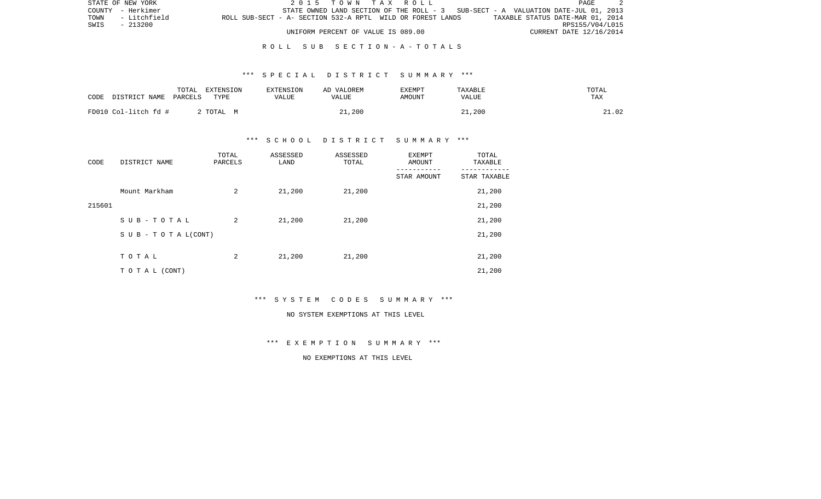|      | STATE OF NEW YORK |                                                            |  | 2015 TOWN TAX ROLL                 |  |  |  |                                                                                   | PAGE |  |
|------|-------------------|------------------------------------------------------------|--|------------------------------------|--|--|--|-----------------------------------------------------------------------------------|------|--|
|      | COUNTY - Herkimer |                                                            |  |                                    |  |  |  | STATE OWNED LAND SECTION OF THE ROLL - 3 SUB-SECT - A VALUATION DATE-JUL 01, 2013 |      |  |
| TOWN | - Litchfield      | ROLL SUB-SECT - A- SECTION 532-A RPTL WILD OR FOREST LANDS |  |                                    |  |  |  | TAXABLE STATUS DATE-MAR 01, 2014                                                  |      |  |
| SWIS | - 213200          |                                                            |  |                                    |  |  |  | RPS155/V04/L015                                                                   |      |  |
|      |                   |                                                            |  | UNIFORM PERCENT OF VALUE IS 089.00 |  |  |  | CURRENT DATE 12/16/2014                                                           |      |  |

## R O L L S U B S E C T I O N - A - T O T A L S

## \*\*\* S P E C I A L D I S T R I C T S U M M A R Y \*\*\*

| CODE                 | TOTAL   | EXTENSION | <b>EXTENSION</b> | AD VALOREM | <b>EXEMPT</b> | TAXABLE      | TOTAL |
|----------------------|---------|-----------|------------------|------------|---------------|--------------|-------|
| DISTRICT NAME        | PARCELS | TYPE      | VALUE            | VALUE      | AMOUNT        | <b>VALUE</b> | TAX   |
| FD010 Col-litch fd # |         | TOTAL M   |                  | 21,200     |               | 21,200       | 21.02 |

# \*\*\* S C H O O L D I S T R I C T S U M M A R Y \*\*\*

| CODE   | DISTRICT NAME                    | TOTAL<br>PARCELS | ASSESSED<br>LAND | ASSESSED<br>TOTAL | EXEMPT<br>AMOUNT | TOTAL<br>TAXABLE |
|--------|----------------------------------|------------------|------------------|-------------------|------------------|------------------|
|        |                                  |                  |                  |                   | STAR AMOUNT      | STAR TAXABLE     |
|        | Mount Markham                    | 2                | 21,200           | 21,200            |                  | 21,200           |
| 215601 |                                  |                  |                  |                   |                  | 21,200           |
|        | SUB-TOTAL                        | 2                | 21,200           | 21,200            |                  | 21,200           |
|        | $S \cup B - T \cup T A L (CONT)$ |                  |                  |                   |                  | 21,200           |
|        |                                  |                  |                  |                   |                  |                  |
|        | TOTAL                            | 2                | 21,200           | 21,200            |                  | 21,200           |
|        | T O T A L (CONT)                 |                  |                  |                   |                  | 21,200           |

\*\*\* S Y S T E M C O D E S S U M M A R Y \*\*\*

#### NO SYSTEM EXEMPTIONS AT THIS LEVEL

\*\*\* E X E M P T I O N S U M M A R Y \*\*\*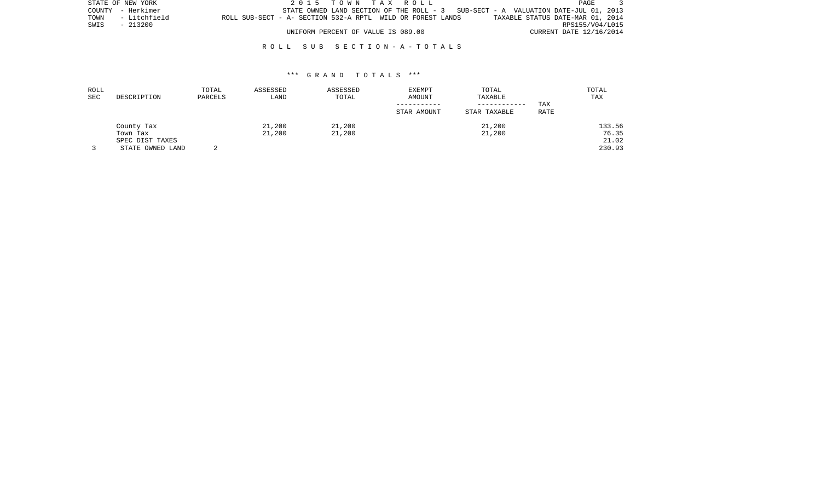|      | STATE OF NEW YORK |                                                            | 2015 TOWN TAX ROLL                 |  |                                                                                   | PAGE                    |  |
|------|-------------------|------------------------------------------------------------|------------------------------------|--|-----------------------------------------------------------------------------------|-------------------------|--|
|      | COUNTY - Herkimer |                                                            |                                    |  | STATE OWNED LAND SECTION OF THE ROLL - 3 SUB-SECT - A VALUATION DATE-JUL 01, 2013 |                         |  |
| TOWN | - Litchfield      | ROLL SUB-SECT - A- SECTION 532-A RPTL WILD OR FOREST LANDS |                                    |  | TAXABLE STATUS DATE-MAR 01, 2014                                                  |                         |  |
| SWIS | - 213200          |                                                            |                                    |  |                                                                                   | RPS155/V04/L015         |  |
|      |                   |                                                            | UNIFORM PERCENT OF VALUE IS 089.00 |  |                                                                                   | CURRENT DATE 12/16/2014 |  |

## R O L L S U B S E C T I O N - A - T O T A L S

| ROLL<br>SEC | DESCRIPTION                                                   | TOTAL<br>PARCELS | ASSESSED<br>LAND | ASSESSED<br>TOTAL | EXEMPT<br>AMOUNT<br>STAR AMOUNT | TOTAL<br>TAXABLE<br>------------<br>STAR TAXABLE | TAX<br>RATE | TOTAL<br>TAX                       |
|-------------|---------------------------------------------------------------|------------------|------------------|-------------------|---------------------------------|--------------------------------------------------|-------------|------------------------------------|
|             | County Tax<br>Town Tax<br>SPEC DIST TAXES<br>STATE OWNED LAND |                  | 21,200<br>21,200 | 21,200<br>21,200  |                                 | 21,200<br>21,200                                 |             | 133.56<br>76.35<br>21.02<br>230.93 |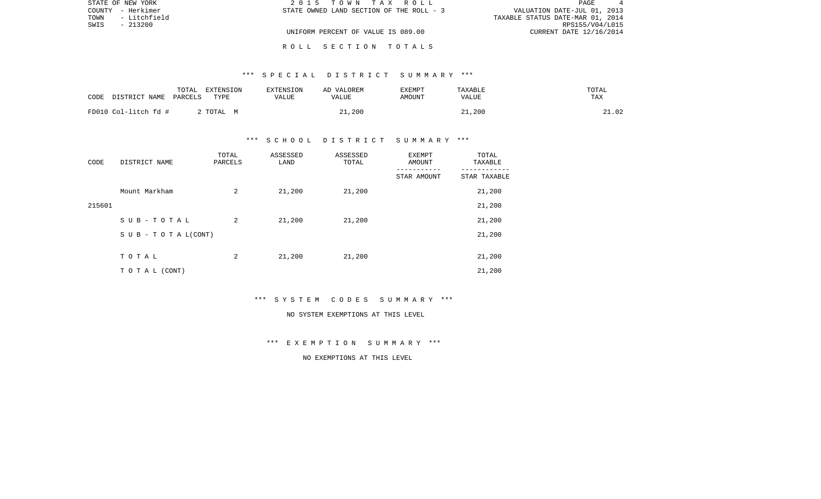| STATE OF NEW YORK |          | 2015 TOWN TAX ROLL                       | PAGE.                            |
|-------------------|----------|------------------------------------------|----------------------------------|
| COUNTY - Herkimer |          | STATE OWNED LAND SECTION OF THE ROLL - 3 | VALUATION DATE-JUL 01, 2013      |
| TOWN - Litchfield |          |                                          | TAXABLE STATUS DATE-MAR 01, 2014 |
| SWIS              | - 213200 |                                          | RPS155/V04/L015                  |
|                   |          | UNIFORM PERCENT OF VALUE IS 089.00       | CURRENT DATE 12/16/2014          |
|                   |          |                                          |                                  |

R O L L S E C T I O N T O T A L S

# \*\*\* S P E C I A L D I S T R I C T S U M M A R Y \*\*\*

| DISTRICT NAME<br>CODE | TOTAL<br>EXTENSION<br>PARCELS<br>TYPE | EXTENSION<br>VALUE | AD VALOREM<br>VALUE | EXEMPT<br>AMOUNT | TAXABLE<br>VALUE | TOTAL<br>TAX |
|-----------------------|---------------------------------------|--------------------|---------------------|------------------|------------------|--------------|
| FD010 Col-litch fd #  | 2 TOTAL M                             |                    | 21,200              |                  | 21,200           | 21.02        |

# \*\*\* S C H O O L D I S T R I C T S U M M A R Y \*\*\*

| CODE   | DISTRICT NAME                    | TOTAL<br>PARCELS | ASSESSED<br>LAND | ASSESSED<br>TOTAL | EXEMPT<br>AMOUNT | TOTAL<br>TAXABLE |
|--------|----------------------------------|------------------|------------------|-------------------|------------------|------------------|
|        |                                  |                  |                  |                   | STAR AMOUNT      | STAR TAXABLE     |
|        | Mount Markham                    | 2                | 21,200           | 21,200            |                  | 21,200           |
| 215601 |                                  |                  |                  |                   |                  | 21,200           |
|        | SUB-TOTAL                        | 2                | 21,200           | 21,200            |                  | 21,200           |
|        | $S \cup B - T \cup T A L (CONT)$ |                  |                  |                   |                  | 21,200           |
|        |                                  |                  |                  |                   |                  |                  |
|        | TOTAL                            | 2                | 21,200           | 21,200            |                  | 21,200           |
|        | T O T A L (CONT)                 |                  |                  |                   |                  | 21,200           |

\*\*\* S Y S T E M C O D E S S U M M A R Y \*\*\*

#### NO SYSTEM EXEMPTIONS AT THIS LEVEL

\*\*\* E X E M P T I O N S U M M A R Y \*\*\*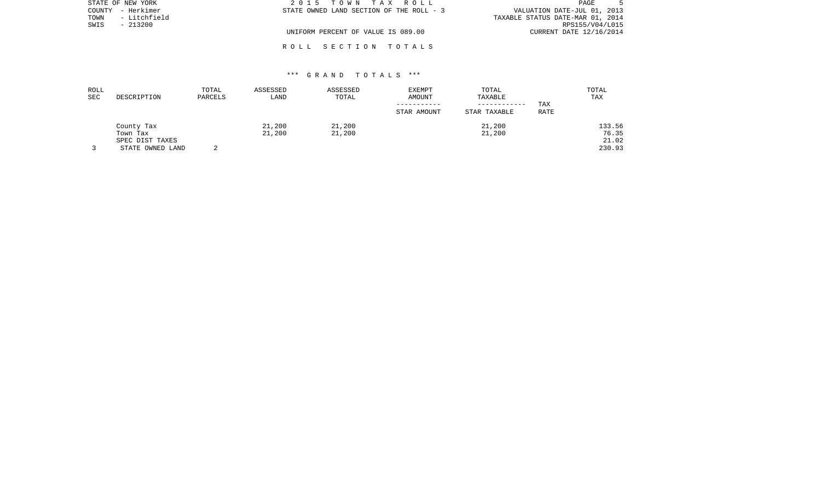| STATE OF NEW YORK    | 2015 TOWN TAX ROLL                       | PAGE                             |
|----------------------|------------------------------------------|----------------------------------|
| COUNTY - Herkimer    | STATE OWNED LAND SECTION OF THE ROLL - 3 | VALUATION DATE-JUL 01, 2013      |
| - Litchfield<br>TOWN |                                          | TAXABLE STATUS DATE-MAR 01, 2014 |
| SWIS<br>$-213200$    |                                          | RPS155/V04/L015                  |
|                      | UNIFORM PERCENT OF VALUE IS 089.00       | CURRENT DATE 12/16/2014          |
|                      |                                          |                                  |

# \*\*\* G R A N D T O T A L S \*\*\*

R O L L S E C T I O N T O T A L S

| ROLL<br>SEC | DESCRIPTION                                                   | TOTAL<br>PARCELS | ASSESSED<br>LAND | ASSESSED<br>TOTAL | EXEMPT<br>AMOUNT<br>STAR AMOUNT | TOTAL<br>TAXABLE<br>STAR TAXABLE | TAX<br>RATE | TOTAL<br>TAX                       |
|-------------|---------------------------------------------------------------|------------------|------------------|-------------------|---------------------------------|----------------------------------|-------------|------------------------------------|
|             | County Tax<br>Town Tax<br>SPEC DIST TAXES<br>STATE OWNED LAND |                  | 21,200<br>21,200 | 21,200<br>21,200  |                                 | 21,200<br>21,200                 |             | 133.56<br>76.35<br>21.02<br>230.93 |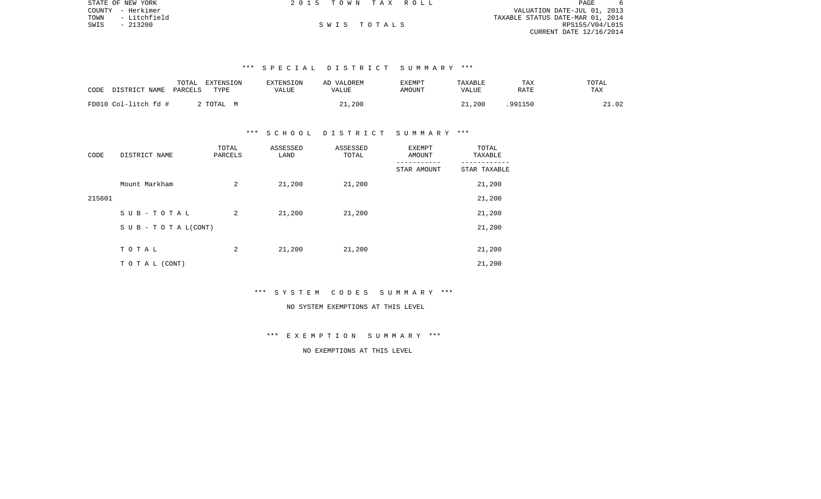|      | STATE OF NEW YORK | 2015 TOWN TAX ROLL |  |                                  | PAGE            | 6 |
|------|-------------------|--------------------|--|----------------------------------|-----------------|---|
|      | COUNTY - Herkimer |                    |  | VALUATION DATE-JUL 01, 2013      |                 |   |
|      | TOWN - Litchfield |                    |  | TAXABLE STATUS DATE-MAR 01, 2014 |                 |   |
| SWIS | $-213200$         | SWIS TOTALS        |  |                                  | RPS155/V04/L015 |   |
|      |                   |                    |  | CURRENT DATE 12/16/2014          |                 |   |

# \*\*\* S P E C I A L D I S T R I C T S U M M A R Y \*\*\*

| CODE<br>DISTRICT NAME | TOTAL<br>EXTENSION<br>PARCELS<br>TYPE | <b>EXTENSION</b><br>VALUE | AD VALOREM<br>VALUE | EXEMPT<br>AMOUNT | TAXABLE<br>VALUE | TAX<br>RATE | TOTAL<br>TAX |
|-----------------------|---------------------------------------|---------------------------|---------------------|------------------|------------------|-------------|--------------|
| FD010 Col-litch fd #  | 2 TOTAL M                             |                           | 21,200              |                  | 21,200           | 991150.     | 21.02        |

## \*\*\* S C H O O L D I S T R I C T S U M M A R Y \*\*\*

| CODE   | DISTRICT NAME                    | TOTAL<br>PARCELS | ASSESSED<br>LAND | ASSESSED<br>TOTAL | <b>EXEMPT</b><br>AMOUNT | TOTAL<br>TAXABLE |
|--------|----------------------------------|------------------|------------------|-------------------|-------------------------|------------------|
|        |                                  |                  |                  |                   | STAR AMOUNT             | STAR TAXABLE     |
|        | Mount Markham                    | 2                | 21,200           | 21,200            |                         | 21,200           |
| 215601 |                                  |                  |                  |                   |                         | 21,200           |
|        | SUB-TOTAL                        | 2                | 21,200           | 21,200            |                         | 21,200           |
|        | $S \cup B - T \cup T A L (CONT)$ |                  |                  |                   |                         | 21,200           |
|        |                                  |                  |                  |                   |                         |                  |
|        | TOTAL                            | 2                | 21,200           | 21,200            |                         | 21,200           |
|        | T O T A L (CONT)                 |                  |                  |                   |                         | 21,200           |

## \*\*\* S Y S T E M C O D E S S U M M A R Y \*\*\*

# NO SYSTEM EXEMPTIONS AT THIS LEVEL

# \*\*\* E X E M P T I O N S U M M A R Y \*\*\*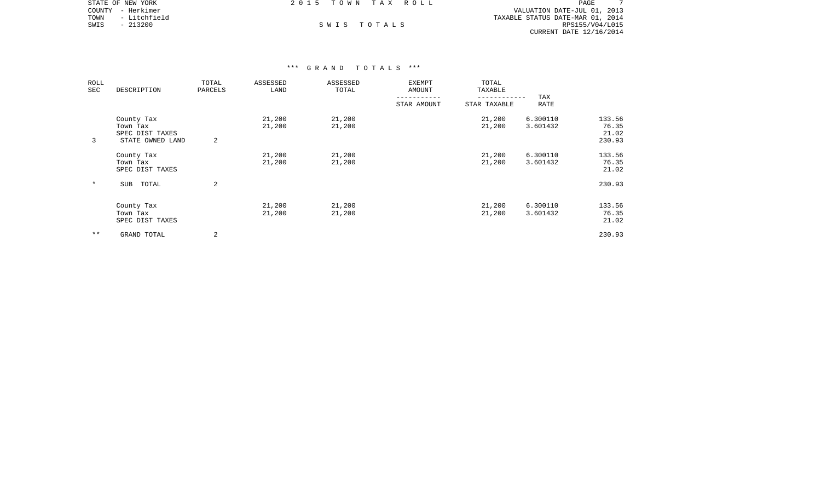|      | STATE OF NEW YORK | 2015 TOWN TAX ROLL |             |  | PAGE                             |
|------|-------------------|--------------------|-------------|--|----------------------------------|
|      | COUNTY - Herkimer |                    |             |  | VALUATION DATE-JUL 01, 2013      |
| TOWN | - Litchfield      |                    |             |  | TAXABLE STATUS DATE-MAR 01, 2014 |
| SWIS | $-213200$         |                    | SWIS TOTALS |  | RPS155/V04/L015                  |
|      |                   |                    |             |  | CURRENT DATE 12/16/2014          |

## \*\*\* G R A N D T O T A L S \*\*\*

| ROLL<br>SEC  | DESCRIPTION                                                   | TOTAL<br>PARCELS | ASSESSED<br>LAND | ASSESSED<br>TOTAL | EXEMPT<br>AMOUNT | TOTAL<br>TAXABLE             |                      |                                    |
|--------------|---------------------------------------------------------------|------------------|------------------|-------------------|------------------|------------------------------|----------------------|------------------------------------|
|              |                                                               |                  |                  |                   | STAR AMOUNT      | ------------<br>STAR TAXABLE | TAX<br><b>RATE</b>   |                                    |
| 3            | County Tax<br>Town Tax<br>SPEC DIST TAXES<br>STATE OWNED LAND | 2                | 21,200<br>21,200 | 21,200<br>21,200  |                  | 21,200<br>21,200             | 6.300110<br>3.601432 | 133.56<br>76.35<br>21.02<br>230.93 |
|              | County Tax<br>Town Tax<br>SPEC DIST TAXES                     |                  | 21,200<br>21,200 | 21,200<br>21,200  |                  | 21,200<br>21,200             | 6.300110<br>3.601432 | 133.56<br>76.35<br>21.02           |
| $\star$      | TOTAL<br>SUB                                                  | 2                |                  |                   |                  |                              |                      | 230.93                             |
|              | County Tax<br>Town Tax<br>SPEC DIST TAXES                     |                  | 21,200<br>21,200 | 21,200<br>21,200  |                  | 21,200<br>21,200             | 6.300110<br>3.601432 | 133.56<br>76.35<br>21.02           |
| $\star\star$ | GRAND TOTAL                                                   | 2                |                  |                   |                  |                              |                      | 230.93                             |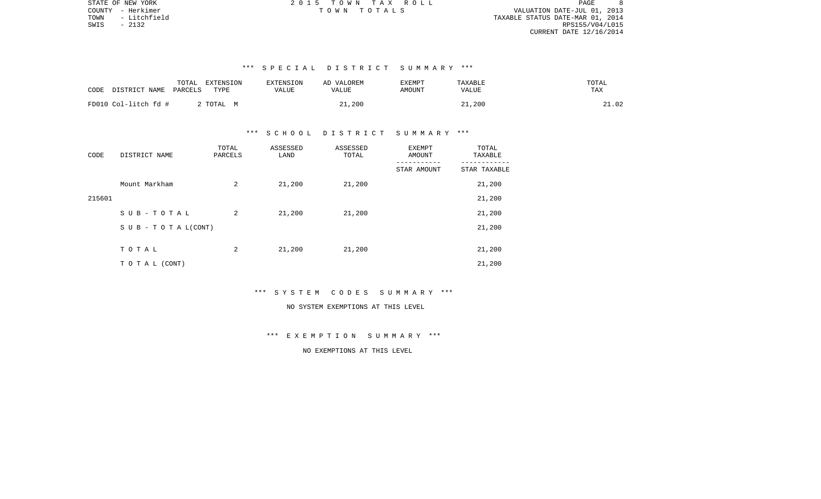$8<sup>8</sup>$ COUNTY - Herkimer T O W N T O T A L S VALUATION DATE-JUL 01, 2013 TOWN - Litchfield TAXABLE STATUS DATE-MAR 01, 2014 RPS155/V04/L015 CURRENT DATE 12/16/2014

STATE OF NEW YORK GOOD CONSULTED A SAMPLE AS A CONSULTED AS A CONSULTED AND RESERVE A SAMPLE ASSESSED. A SAMPLE

## \*\*\* S P E C I A L D I S T R I C T S U M M A R Y \*\*\*

| TOTAL<br>CODE<br>DISTRICT NAME<br>PARCELS | EXTENSION<br><b>EXTENSION</b><br>VALUE<br>TYPE | AD VALOREM<br>VALUE | <b>EXEMPT</b><br>AMOUNT | TAXABLE<br><b>VALUE</b> | TOTAL<br>TAX |
|-------------------------------------------|------------------------------------------------|---------------------|-------------------------|-------------------------|--------------|
| FD010 Col-litch fd #                      | TOTAL.<br>. м                                  | 21,200              |                         | 21,200                  | 21.02        |

## \*\*\* S C H O O L D I S T R I C T S U M M A R Y \*\*\*

| CODE   | DISTRICT NAME                    | TOTAL<br>PARCELS | ASSESSED<br>LAND | ASSESSED<br>TOTAL | EXEMPT<br>AMOUNT | TOTAL<br>TAXABLE |  |
|--------|----------------------------------|------------------|------------------|-------------------|------------------|------------------|--|
|        |                                  |                  |                  |                   | STAR AMOUNT      | STAR TAXABLE     |  |
|        | Mount Markham                    | 2                | 21,200           | 21,200            |                  | 21,200           |  |
| 215601 |                                  |                  |                  |                   |                  | 21,200           |  |
|        | SUB-TOTAL                        | 2                | 21,200           | 21,200            |                  | 21,200           |  |
|        | $S \cup B - T \cup T A L (CONT)$ |                  |                  |                   |                  | 21,200           |  |
|        |                                  |                  |                  |                   |                  |                  |  |
|        | TOTAL                            | 2                | 21,200           | 21,200            |                  | 21,200           |  |
|        | T O T A L (CONT)                 |                  |                  |                   |                  | 21,200           |  |

\*\*\* S Y S T E M C O D E S S U M M A R Y \*\*\*

NO SYSTEM EXEMPTIONS AT THIS LEVEL

\*\*\* E X E M P T I O N S U M M A R Y \*\*\*

NO EXEMPTIONS AT THIS LEVEL